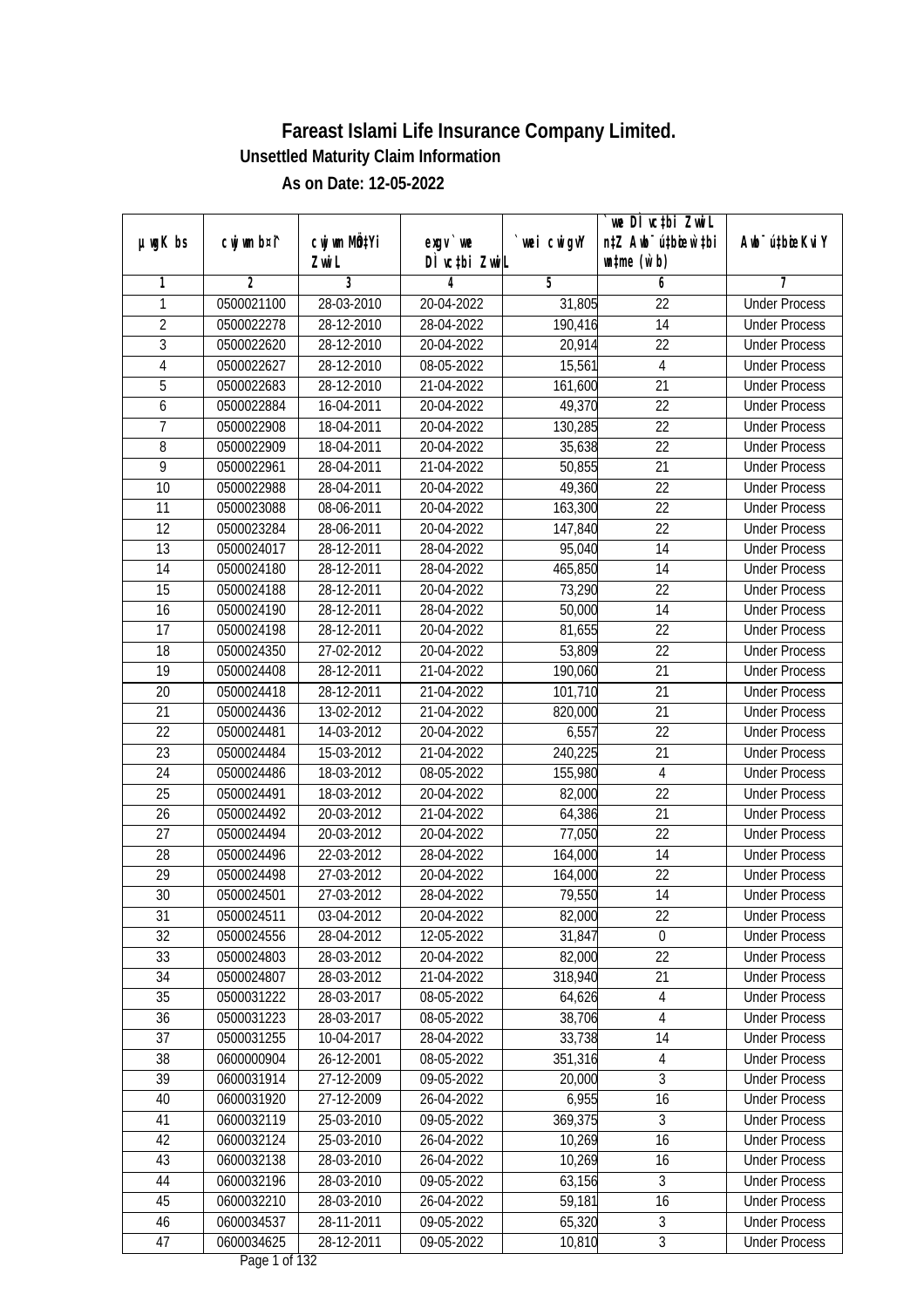|                 |                |                  |               |                | we DI vctbi Zwil                 |                             |
|-----------------|----------------|------------------|---------------|----------------|----------------------------------|-----------------------------|
| $µ$ ug $K$ bs   | cwj wm b¤i^    | cwj wm MQtYi     | $exgV$ we     | `wei cwigvY    | n‡Z Awb <sup>-</sup> ú‡bioar`‡bi | Awb <sup>-</sup> ú‡bioeKviY |
|                 |                | Zwi L            | DÌ vctbi ZwiL |                | $\n  untime\n  (u`b)\n$          |                             |
| 1               | $\overline{2}$ | 3                | 4             | $\overline{5}$ | 6                                | 7                           |
| 1               | 0500021100     | 28-03-2010       | 20-04-2022    | 31,805         | $\overline{22}$                  | <b>Under Process</b>        |
| $\overline{2}$  | 0500022278     | 28-12-2010       | 28-04-2022    | 190,416        | $\overline{14}$                  | <b>Under Process</b>        |
| $\overline{3}$  | 0500022620     | 28-12-2010       | 20-04-2022    | 20,914         | $\overline{22}$                  | <b>Under Process</b>        |
| 4               | 0500022627     | 28-12-2010       | 08-05-2022    | 15,561         | $\overline{4}$                   | <b>Under Process</b>        |
| 5               | 0500022683     | $28 - 12 - 2010$ | 21-04-2022    | 161,600        | $\overline{21}$                  | <b>Under Process</b>        |
| 6               | 0500022884     | 16-04-2011       | 20-04-2022    | 49,370         | $\overline{22}$                  | <b>Under Process</b>        |
| $\overline{7}$  | 0500022908     | 18-04-2011       | 20-04-2022    | 130,285        | $\overline{22}$                  | <b>Under Process</b>        |
| $\overline{8}$  | 0500022909     | 18-04-2011       | 20-04-2022    | 35,638         | $\overline{22}$                  | <b>Under Process</b>        |
| $\overline{9}$  | 0500022961     | 28-04-2011       | 21-04-2022    | 50,855         | $\overline{21}$                  | <b>Under Process</b>        |
| 10              | 0500022988     | 28-04-2011       | 20-04-2022    | 49,360         | 22                               | <b>Under Process</b>        |
| $\overline{11}$ | 0500023088     | 08-06-2011       | 20-04-2022    | 163,300        | $\overline{22}$                  | <b>Under Process</b>        |
| 12              | 0500023284     | 28-06-2011       | 20-04-2022    | 147,840        | 22                               | <b>Under Process</b>        |
| $\overline{13}$ | 0500024017     | 28-12-2011       | 28-04-2022    | 95,040         | $\overline{14}$                  | <b>Under Process</b>        |
| 14              | 0500024180     | 28-12-2011       | 28-04-2022    | 465,850        | 14                               | <b>Under Process</b>        |
| 15              | 0500024188     | 28-12-2011       | 20-04-2022    | 73,290         | 22                               | <b>Under Process</b>        |
| 16              | 0500024190     | 28-12-2011       | 28-04-2022    | 50,000         | 14                               | <b>Under Process</b>        |
| 17              | 0500024198     | 28-12-2011       | 20-04-2022    | 81,655         | 22                               | <b>Under Process</b>        |
| 18              | 0500024350     | 27-02-2012       | 20-04-2022    | 53,809         | 22                               | <b>Under Process</b>        |
| 19              | 0500024408     | 28-12-2011       | 21-04-2022    | 190,060        | 21                               | <b>Under Process</b>        |
| 20              | 0500024418     | 28-12-2011       | 21-04-2022    | 101,710        | 21                               | <b>Under Process</b>        |
| 21              | 0500024436     | 13-02-2012       | 21-04-2022    | 820,000        | 21                               | <b>Under Process</b>        |
| 22              | 0500024481     | 14-03-2012       | 20-04-2022    | 6,557          | 22                               | <b>Under Process</b>        |
| 23              | 0500024484     | 15-03-2012       | 21-04-2022    | 240,225        | 21                               | <b>Under Process</b>        |
| 24              | 0500024486     | 18-03-2012       | 08-05-2022    | 155,980        | $\overline{4}$                   | <b>Under Process</b>        |
| 25              | 0500024491     | 18-03-2012       | 20-04-2022    | 82,000         | 22                               | <b>Under Process</b>        |
| 26              | 0500024492     | 20-03-2012       | 21-04-2022    | 64,386         | 21                               | <b>Under Process</b>        |
| 27              | 0500024494     | 20-03-2012       | 20-04-2022    | 77,050         | 22                               | <b>Under Process</b>        |
| 28              | 0500024496     | 22-03-2012       | 28-04-2022    | 164,000        | 14                               | <b>Under Process</b>        |
| 29              | 0500024498     | 27-03-2012       | 20-04-2022    | 164,000        | 22                               | <b>Under Process</b>        |
| 30              | 0500024501     | 27-03-2012       | 28-04-2022    | 79,550         | 14                               | <b>Under Process</b>        |
| 31              | 0500024511     | 03-04-2012       | 20-04-2022    | 82,000         | 22                               | <b>Under Process</b>        |
| 32              | 0500024556     | 28-04-2012       | 12-05-2022    | 31,847         | $\mathbf 0$                      | <b>Under Process</b>        |
| 33              | 0500024803     | 28-03-2012       | 20-04-2022    | 82,000         | 22                               | <b>Under Process</b>        |
| 34              | 0500024807     | 28-03-2012       | 21-04-2022    | 318,940        | $\overline{21}$                  | <b>Under Process</b>        |
| 35              | 0500031222     | 28-03-2017       | 08-05-2022    | 64,626         | $\overline{4}$                   | <b>Under Process</b>        |
| 36              | 0500031223     | 28-03-2017       | 08-05-2022    | 38,706         | 4                                | <b>Under Process</b>        |
| 37              | 0500031255     | 10-04-2017       | 28-04-2022    | 33,738         | 14                               | <b>Under Process</b>        |
| 38              | 0600000904     | 26-12-2001       | 08-05-2022    | 351,316        | 4                                | <b>Under Process</b>        |
| 39              | 0600031914     | 27-12-2009       | 09-05-2022    | 20,000         | 3                                | <b>Under Process</b>        |
| 40              | 0600031920     | 27-12-2009       | 26-04-2022    | 6,955          | 16                               | <b>Under Process</b>        |
| 41              | 0600032119     | 25-03-2010       | 09-05-2022    | 369,375        | 3                                | <b>Under Process</b>        |
| 42              | 0600032124     | 25-03-2010       | 26-04-2022    | 10,269         | 16                               | <b>Under Process</b>        |
| 43              | 0600032138     | 28-03-2010       | 26-04-2022    | 10,269         | 16                               | <b>Under Process</b>        |
| 44              | 0600032196     | 28-03-2010       | 09-05-2022    | 63,156         | 3                                | <b>Under Process</b>        |
| 45              | 0600032210     | 28-03-2010       | 26-04-2022    | 59,181         | $\overline{16}$                  | <b>Under Process</b>        |
| 46              | 0600034537     | 28-11-2011       | 09-05-2022    | 65,320         | $\overline{3}$                   | <b>Under Process</b>        |
| 47              | 0600034625     | 28-12-2011       | 09-05-2022    | 10,810         | $\mathfrak{Z}$                   | <b>Under Process</b>        |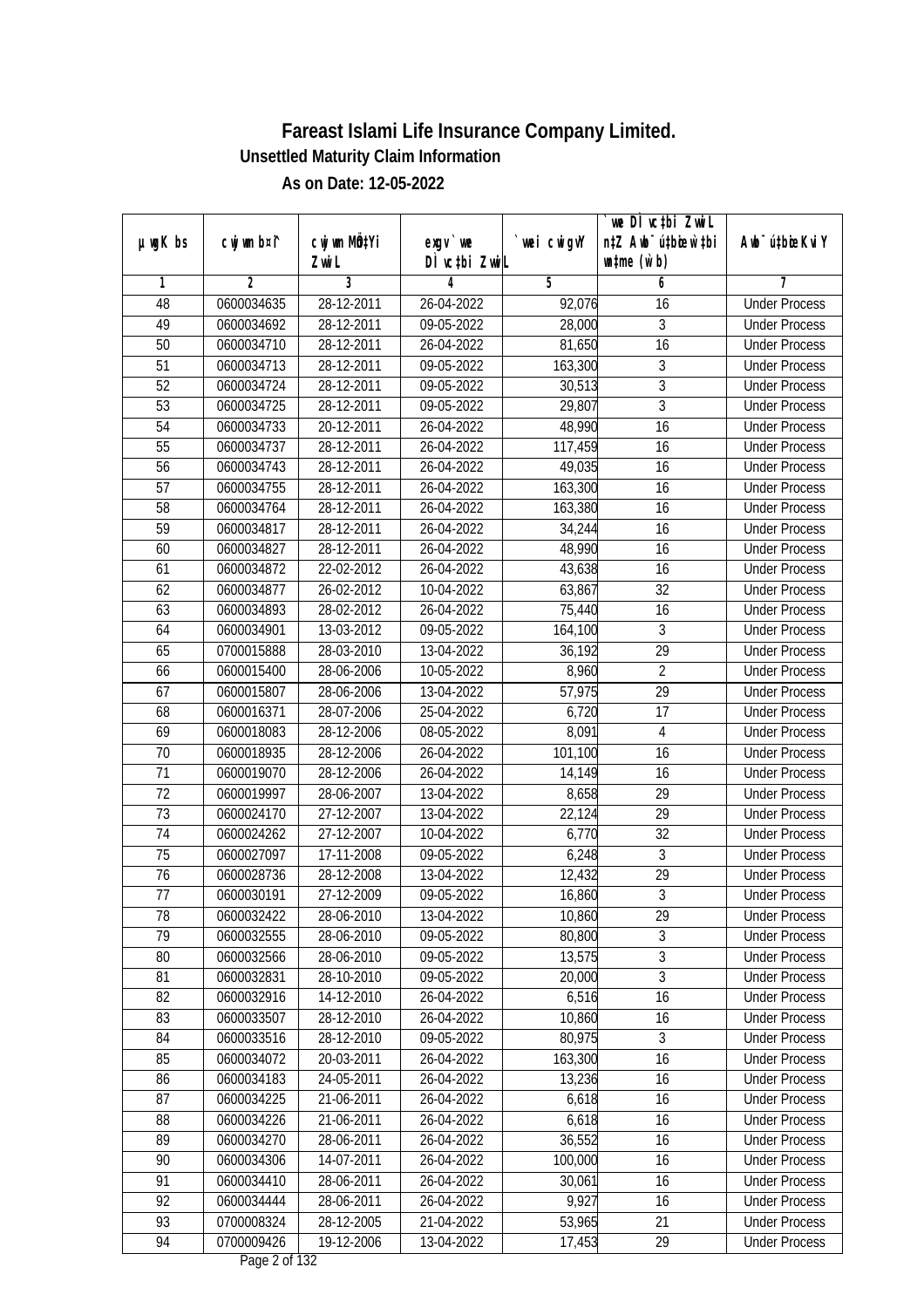|                 |                |                  |               |             | we DI vctbi Zwil                             |                             |
|-----------------|----------------|------------------|---------------|-------------|----------------------------------------------|-----------------------------|
| $µ$ ug $K$ bs   | cwj wm b¤i^    | cwj wm MQtYi     | exgv `we      | `wei cwigvY | n‡Z Awb <sup>-</sup> ú‡bioar`‡bi             | Awb <sup>-</sup> ú‡bioeKviY |
|                 |                | Zwi L            | DÌ vctbi ZwiL |             | $\n  un \uparrow me \left(\vec{v}, b\right)$ |                             |
| 1               | $\overline{2}$ | 3                | 4             | 5           | 6                                            | 7                           |
| 48              | 0600034635     | 28-12-2011       | 26-04-2022    | 92,076      | 16                                           | <b>Under Process</b>        |
| 49              | 0600034692     | 28-12-2011       | 09-05-2022    | 28,000      | 3                                            | <b>Under Process</b>        |
| 50              | 0600034710     | 28-12-2011       | 26-04-2022    | 81,650      | $\overline{16}$                              | <b>Under Process</b>        |
| 51              | 0600034713     | 28-12-2011       | 09-05-2022    | 163,300     | 3                                            | <b>Under Process</b>        |
| 52              | 0600034724     | $28-12-2011$     | 09-05-2022    | 30,513      | $\overline{3}$                               | <b>Under Process</b>        |
| 53              | 0600034725     | 28-12-2011       | 09-05-2022    | 29,807      | $\overline{3}$                               | <b>Under Process</b>        |
| 54              | 0600034733     | 20-12-2011       | 26-04-2022    | 48,990      | $\overline{16}$                              | <b>Under Process</b>        |
| 55              | 0600034737     | 28-12-2011       | 26-04-2022    | 117,459     | $\overline{16}$                              | <b>Under Process</b>        |
| $\overline{56}$ | 0600034743     | 28-12-2011       | 26-04-2022    | 49,035      | 16                                           | <b>Under Process</b>        |
| 57              | 0600034755     | 28-12-2011       | 26-04-2022    | 163,300     | 16                                           | <b>Under Process</b>        |
| 58              | 0600034764     | 28-12-2011       | 26-04-2022    | 163,380     | $\overline{16}$                              | <b>Under Process</b>        |
| 59              | 0600034817     | 28-12-2011       | 26-04-2022    | 34,244      | 16                                           | <b>Under Process</b>        |
| 60              | 0600034827     | 28-12-2011       | 26-04-2022    | 48,990      | $\overline{16}$                              | <b>Under Process</b>        |
| 61              | 0600034872     | 22-02-2012       | 26-04-2022    | 43,638      | 16                                           | <b>Under Process</b>        |
| 62              | 0600034877     | $26 - 02 - 2012$ | 10-04-2022    | 63,867      | 32                                           | <b>Under Process</b>        |
| 63              | 0600034893     | 28-02-2012       | 26-04-2022    | 75,440      | 16                                           | <b>Under Process</b>        |
| 64              | 0600034901     | 13-03-2012       | 09-05-2022    | 164,100     | $\mathfrak{Z}$                               | <b>Under Process</b>        |
| 65              | 0700015888     | 28-03-2010       | 13-04-2022    | 36,192      | 29                                           | <b>Under Process</b>        |
| 66              | 0600015400     | 28-06-2006       | 10-05-2022    | 8,960       | $\overline{2}$                               | <b>Under Process</b>        |
| 67              | 0600015807     | 28-06-2006       | 13-04-2022    | 57,975      | 29                                           | <b>Under Process</b>        |
| 68              | 0600016371     | 28-07-2006       | 25-04-2022    | 6,720       | 17                                           | <b>Under Process</b>        |
| 69              | 0600018083     | 28-12-2006       | 08-05-2022    | 8,091       | 4                                            | <b>Under Process</b>        |
| 70              | 0600018935     | 28-12-2006       | 26-04-2022    | 101,100     | 16                                           | <b>Under Process</b>        |
| 71              | 0600019070     | 28-12-2006       | 26-04-2022    | 14,149      | 16                                           | <b>Under Process</b>        |
| 72              | 0600019997     | 28-06-2007       | 13-04-2022    | 8,658       | 29                                           | <b>Under Process</b>        |
| 73              | 0600024170     | 27-12-2007       | 13-04-2022    | 22,124      | 29                                           | <b>Under Process</b>        |
| 74              | 0600024262     | 27-12-2007       | 10-04-2022    | 6,770       | 32                                           | <b>Under Process</b>        |
| 75              | 0600027097     | 17-11-2008       | 09-05-2022    | 6,248       | $\overline{3}$                               | <b>Under Process</b>        |
| 76              | 0600028736     | 28-12-2008       | 13-04-2022    | 12,432      | $\overline{29}$                              | <b>Under Process</b>        |
| 77              | 0600030191     | 27-12-2009       | 09-05-2022    | 16,860      | $\overline{3}$                               | <b>Under Process</b>        |
| 78              | 0600032422     | 28-06-2010       | 13-04-2022    | 10,860      | 29                                           | <b>Under Process</b>        |
| 79              | 0600032555     | 28-06-2010       | 09-05-2022    | 80,800      | $\overline{3}$                               | <b>Under Process</b>        |
| 80              | 0600032566     | 28-06-2010       | 09-05-2022    | 13,575      | $\overline{3}$                               | <b>Under Process</b>        |
| 81              | 0600032831     | 28-10-2010       | 09-05-2022    | 20,000      | $\overline{3}$                               | <b>Under Process</b>        |
| 82              | 0600032916     | 14-12-2010       | 26-04-2022    | 6,516       | 16                                           | <b>Under Process</b>        |
| 83              | 0600033507     | 28-12-2010       | 26-04-2022    | 10,860      | 16                                           | <b>Under Process</b>        |
| 84              | 0600033516     | 28-12-2010       | 09-05-2022    | 80,975      | $\overline{3}$                               | <b>Under Process</b>        |
| 85              | 0600034072     | 20-03-2011       | 26-04-2022    | 163,300     | 16                                           | <b>Under Process</b>        |
| 86              | 0600034183     | 24-05-2011       | 26-04-2022    | 13,236      | 16                                           | <b>Under Process</b>        |
| 87              | 0600034225     | 21-06-2011       | 26-04-2022    | 6,618       | 16                                           | <b>Under Process</b>        |
| 88              | 0600034226     | 21-06-2011       | 26-04-2022    | 6,618       | 16                                           | <b>Under Process</b>        |
| 89              | 0600034270     | 28-06-2011       | 26-04-2022    | 36,552      | 16                                           | <b>Under Process</b>        |
| 90              | 0600034306     | 14-07-2011       | 26-04-2022    | 100,000     | 16                                           | <b>Under Process</b>        |
| 91              | 0600034410     | 28-06-2011       | 26-04-2022    | 30,061      | 16                                           | <b>Under Process</b>        |
| 92              | 0600034444     | 28-06-2011       | 26-04-2022    | 9,927       | 16                                           | <b>Under Process</b>        |
| 93              | 0700008324     | 28-12-2005       | 21-04-2022    | 53,965      | 21                                           | <b>Under Process</b>        |
| 94              | 0700009426     | 19-12-2006       | 13-04-2022    | 17,453      | 29                                           | <b>Under Process</b>        |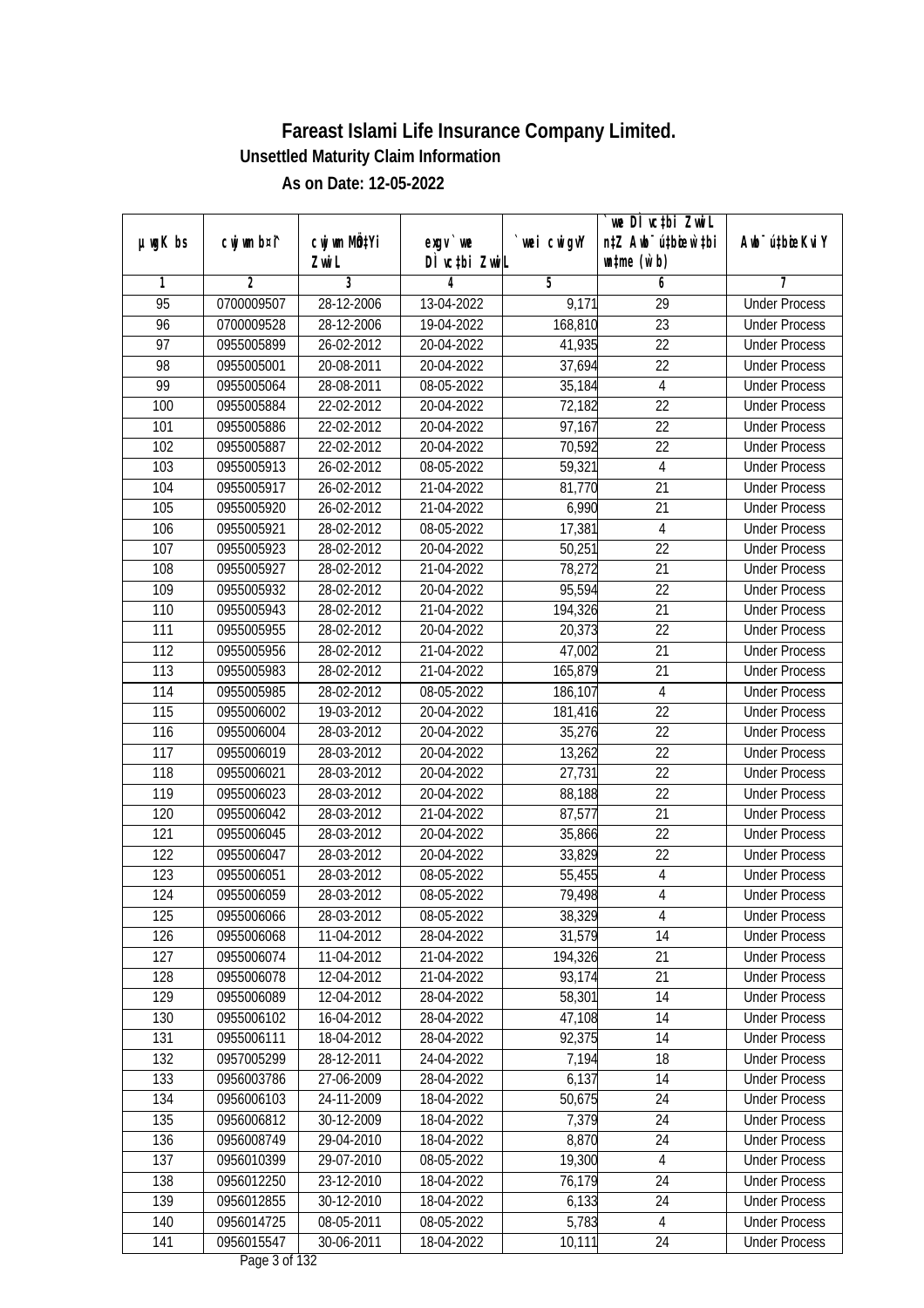|                 |                |              |               |             | we DI vctbi ZwiL                 |                             |
|-----------------|----------------|--------------|---------------|-------------|----------------------------------|-----------------------------|
| $µ$ ug $K$ bs   | cwj wm b¤i^    | cwj wm MQtYi | exgv `we      | `wei cwigvY | n‡Z Awb <sup>-</sup> ú‡bioar`‡bi | Awb <sup>-</sup> ú‡bioeKviY |
|                 |                | Zwi L        | DÌ vctbi ZwiL |             | $\n  untime\n  (u`b)\n$          |                             |
| 1               | $\overline{2}$ | 3            | 4             | 5           | 6                                | 7                           |
| $\overline{95}$ | 0700009507     | 28-12-2006   | 13-04-2022    | 9,171       | $\overline{29}$                  | <b>Under Process</b>        |
| 96              | 0700009528     | 28-12-2006   | 19-04-2022    | 168,810     | $\overline{23}$                  | <b>Under Process</b>        |
| $\overline{97}$ | 0955005899     | 26-02-2012   | 20-04-2022    | 41,935      | $\overline{22}$                  | <b>Under Process</b>        |
| 98              | 0955005001     | 20-08-2011   | 20-04-2022    | 37,694      | 22                               | <b>Under Process</b>        |
| 99              | 0955005064     | 28-08-2011   | 08-05-2022    | 35,184      | $\overline{4}$                   | <b>Under Process</b>        |
| 100             | 0955005884     | 22-02-2012   | 20-04-2022    | 72,182      | $\overline{22}$                  | <b>Under Process</b>        |
| 101             | 0955005886     | 22-02-2012   | 20-04-2022    | 97,167      | $\overline{22}$                  | <b>Under Process</b>        |
| 102             | 0955005887     | 22-02-2012   | 20-04-2022    | 70,592      | $\overline{22}$                  | <b>Under Process</b>        |
| 103             | 0955005913     | 26-02-2012   | 08-05-2022    | 59,321      | $\overline{4}$                   | <b>Under Process</b>        |
| 104             | 0955005917     | 26-02-2012   | 21-04-2022    | 81,770      | 21                               | <b>Under Process</b>        |
| 105             | 0955005920     | 26-02-2012   | 21-04-2022    | 6,990       | $\overline{21}$                  | <b>Under Process</b>        |
| 106             | 0955005921     | 28-02-2012   | 08-05-2022    | 17,381      | $\overline{4}$                   | <b>Under Process</b>        |
| 107             | 0955005923     | 28-02-2012   | 20-04-2022    | 50,251      | $\overline{22}$                  | <b>Under Process</b>        |
| 108             | 0955005927     | 28-02-2012   | 21-04-2022    | 78,272      | 21                               | <b>Under Process</b>        |
| 109             | 0955005932     | 28-02-2012   | 20-04-2022    | 95,594      | 22                               | <b>Under Process</b>        |
| 110             | 0955005943     | 28-02-2012   | 21-04-2022    | 194,326     | 21                               | <b>Under Process</b>        |
| 111             | 0955005955     | 28-02-2012   | 20-04-2022    | 20,373      | 22                               | <b>Under Process</b>        |
| 112             | 0955005956     | 28-02-2012   | 21-04-2022    | 47,002      | 21                               | <b>Under Process</b>        |
| 113             | 0955005983     | 28-02-2012   | 21-04-2022    | 165,879     | 21                               | <b>Under Process</b>        |
| 114             | 0955005985     | 28-02-2012   | 08-05-2022    | 186,107     | $\overline{4}$                   | <b>Under Process</b>        |
| 115             | 0955006002     | 19-03-2012   | 20-04-2022    | 181,416     | 22                               | <b>Under Process</b>        |
| 116             | 0955006004     | 28-03-2012   | 20-04-2022    | 35,276      | 22                               | <b>Under Process</b>        |
| 117             | 0955006019     | 28-03-2012   | 20-04-2022    | 13,262      | 22                               | <b>Under Process</b>        |
| 118             | 0955006021     | 28-03-2012   | 20-04-2022    | 27,731      | 22                               | <b>Under Process</b>        |
| 119             | 0955006023     | 28-03-2012   | 20-04-2022    | 88,188      | 22                               | <b>Under Process</b>        |
| 120             | 0955006042     | 28-03-2012   | 21-04-2022    | 87,577      | 21                               | <b>Under Process</b>        |
| 121             | 0955006045     | 28-03-2012   | 20-04-2022    | 35,866      | 22                               | <b>Under Process</b>        |
| 122             | 0955006047     | 28-03-2012   | 20-04-2022    | 33,829      | 22                               | <b>Under Process</b>        |
| 123             | 0955006051     | 28-03-2012   | 08-05-2022    | 55,455      | $\sqrt{4}$                       | <b>Under Process</b>        |
| 124             | 0955006059     | 28-03-2012   | 08-05-2022    | 79,498      | $\overline{4}$                   | <b>Under Process</b>        |
| 125             | 0955006066     | 28-03-2012   | 08-05-2022    | 38,329      | 4                                | <b>Under Process</b>        |
| 126             | 0955006068     | 11-04-2012   | 28-04-2022    | 31,579      | 14                               | <b>Under Process</b>        |
| 127             | 0955006074     | 11-04-2012   | 21-04-2022    | 194,326     | 21                               | <b>Under Process</b>        |
| 128             | 0955006078     | 12-04-2012   | 21-04-2022    | 93,174      | 21                               | <b>Under Process</b>        |
| 129             | 0955006089     | 12-04-2012   | 28-04-2022    | 58,301      | 14                               | <b>Under Process</b>        |
| 130             | 0955006102     | 16-04-2012   | 28-04-2022    | 47,108      | 14                               | <b>Under Process</b>        |
| 131             | 0955006111     | 18-04-2012   | 28-04-2022    | 92,375      | 14                               | <b>Under Process</b>        |
| 132             | 0957005299     | 28-12-2011   | 24-04-2022    | 7,194       | 18                               | <b>Under Process</b>        |
| 133             | 0956003786     | 27-06-2009   | 28-04-2022    | 6,137       | 14                               | <b>Under Process</b>        |
| 134             | 0956006103     | 24-11-2009   | 18-04-2022    | 50,675      | 24                               | <b>Under Process</b>        |
| 135             | 0956006812     | 30-12-2009   | 18-04-2022    | 7,379       | 24                               | <b>Under Process</b>        |
| 136             | 0956008749     | 29-04-2010   | 18-04-2022    | 8,870       | 24                               | <b>Under Process</b>        |
| 137             | 0956010399     | 29-07-2010   | 08-05-2022    | 19,300      | 4                                | <b>Under Process</b>        |
| 138             | 0956012250     | 23-12-2010   | 18-04-2022    | 76,179      | 24                               | <b>Under Process</b>        |
| 139             | 0956012855     | 30-12-2010   | 18-04-2022    | 6,133       | 24                               | <b>Under Process</b>        |
| 140             | 0956014725     | 08-05-2011   | 08-05-2022    | 5,783       | 4                                | <b>Under Process</b>        |
| 141             | 0956015547     | 30-06-2011   | 18-04-2022    | 10,111      | 24                               | <b>Under Process</b>        |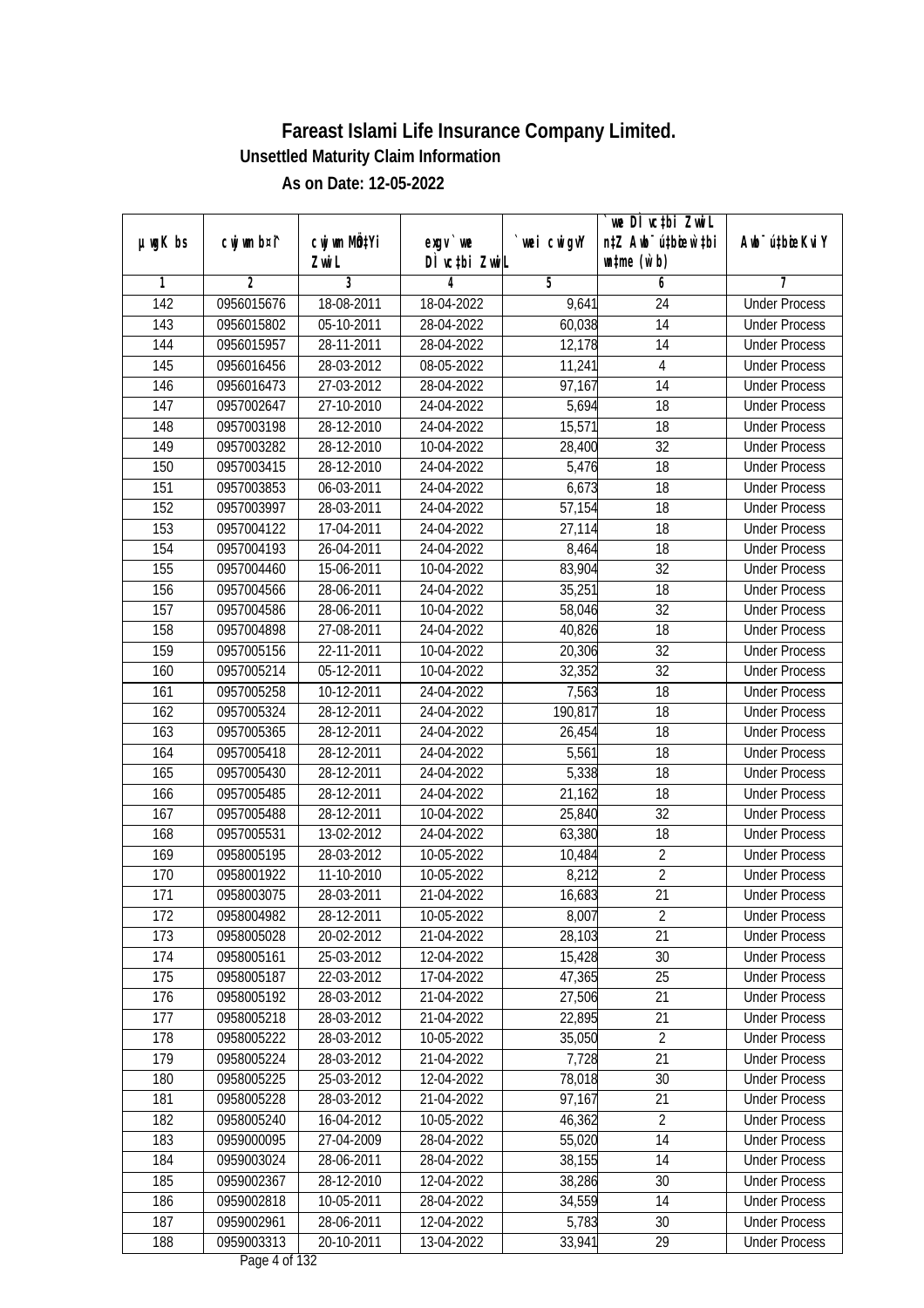|                  |                |              |                  |             | we DI vctbi ZwiL                 |                             |
|------------------|----------------|--------------|------------------|-------------|----------------------------------|-----------------------------|
| $µ$ ug $K$ bs    | cwj wm b¤i^    | cwj wm MQtYi | exgv `we         | `wei cwigvY | n‡Z Awb <sup>-</sup> ú‡bioar`‡bi | Awb <sup>-</sup> ú‡bioeKviY |
|                  |                | Zwi L        | DÌ vctbi ZwiL    |             | $\n  untime\n  (u`b)\n$          |                             |
| 1                | $\overline{2}$ | 3            | 4                | 5           | 6                                | 7                           |
| $\overline{142}$ | 0956015676     | 18-08-2011   | 18-04-2022       | 9,641       | 24                               | <b>Under Process</b>        |
| 143              | 0956015802     | 05-10-2011   | 28-04-2022       | 60,038      | $\overline{14}$                  | <b>Under Process</b>        |
| 144              | 0956015957     | 28-11-2011   | 28-04-2022       | 12,178      | $\overline{14}$                  | <b>Under Process</b>        |
| 145              | 0956016456     | 28-03-2012   | 08-05-2022       | 11,241      | $\overline{4}$                   | <b>Under Process</b>        |
| 146              | 0956016473     | 27-03-2012   | 28-04-2022       | 97,167      | $\overline{14}$                  | <b>Under Process</b>        |
| 147              | 0957002647     | 27-10-2010   | 24-04-2022       | 5,694       | 18                               | <b>Under Process</b>        |
| 148              | 0957003198     | 28-12-2010   | 24-04-2022       | 15,571      | 18                               | <b>Under Process</b>        |
| 149              | 0957003282     | 28-12-2010   | 10-04-2022       | 28,400      | $\overline{32}$                  | <b>Under Process</b>        |
| 150              | 0957003415     | 28-12-2010   | 24-04-2022       | 5,476       | $\overline{18}$                  | <b>Under Process</b>        |
| 151              | 0957003853     | 06-03-2011   | 24-04-2022       | 6,673       | 18                               | <b>Under Process</b>        |
| 152              | 0957003997     | 28-03-2011   | 24-04-2022       | 57,154      | $\overline{18}$                  | <b>Under Process</b>        |
| 153              | 0957004122     | 17-04-2011   | 24-04-2022       | 27,114      | 18                               | <b>Under Process</b>        |
| 154              | 0957004193     | 26-04-2011   | 24-04-2022       | 8,464       | $\overline{18}$                  | <b>Under Process</b>        |
| 155              | 0957004460     | 15-06-2011   | 10-04-2022       | 83,904      | 32                               | <b>Under Process</b>        |
| 156              | 0957004566     | 28-06-2011   | 24-04-2022       | 35,251      | 18                               | <b>Under Process</b>        |
| 157              | 0957004586     | 28-06-2011   | 10-04-2022       | 58,046      | 32                               | <b>Under Process</b>        |
| 158              | 0957004898     | 27-08-2011   | 24-04-2022       | 40,826      | 18                               | <b>Under Process</b>        |
| 159              | 0957005156     | 22-11-2011   | 10-04-2022       | 20,306      | 32                               | <b>Under Process</b>        |
| 160              | 0957005214     | 05-12-2011   | 10-04-2022       | 32,352      | 32                               | <b>Under Process</b>        |
| 161              | 0957005258     | 10-12-2011   | 24-04-2022       | 7,563       | 18                               | <b>Under Process</b>        |
| 162              | 0957005324     | 28-12-2011   | 24-04-2022       | 190,817     | 18                               | <b>Under Process</b>        |
| 163              | 0957005365     | 28-12-2011   | 24-04-2022       | 26,454      | 18                               | <b>Under Process</b>        |
| 164              | 0957005418     | 28-12-2011   | 24-04-2022       | 5,561       | 18                               | <b>Under Process</b>        |
| 165              | 0957005430     | 28-12-2011   | 24-04-2022       | 5,338       | 18                               | <b>Under Process</b>        |
| 166              | 0957005485     | 28-12-2011   | 24-04-2022       | 21,162      | 18                               | <b>Under Process</b>        |
| 167              | 0957005488     | 28-12-2011   | 10-04-2022       | 25,840      | 32                               | <b>Under Process</b>        |
| 168              | 0957005531     | 13-02-2012   | 24-04-2022       | 63,380      | 18                               | <b>Under Process</b>        |
| 169              | 0958005195     | 28-03-2012   | 10-05-2022       | 10,484      | $\overline{2}$                   | <b>Under Process</b>        |
| 170              | 0958001922     | 11-10-2010   | 10-05-2022       | 8,212       | $\overline{2}$                   | <b>Under Process</b>        |
| 171              | 0958003075     | 28-03-2011   | 21-04-2022       | 16,683      | 21                               | <b>Under Process</b>        |
| 172              | 0958004982     | 28-12-2011   | 10-05-2022       | 8,007       | $\overline{2}$                   | <b>Under Process</b>        |
| 173              | 0958005028     | 20-02-2012   | 21-04-2022       | 28,103      | $\overline{21}$                  | <b>Under Process</b>        |
| 174              | 0958005161     | 25-03-2012   | 12-04-2022       | 15,428      | 30                               | <b>Under Process</b>        |
| 175              | 0958005187     | 22-03-2012   | 17-04-2022       | 47,365      | 25                               | <b>Under Process</b>        |
| 176              | 0958005192     | 28-03-2012   | 21-04-2022       | 27,506      | 21                               | <b>Under Process</b>        |
| 177              | 0958005218     | 28-03-2012   | 21-04-2022       | 22,895      | 21                               | <b>Under Process</b>        |
| 178              | 0958005222     | 28-03-2012   | 10-05-2022       | 35,050      | $\overline{2}$                   | <b>Under Process</b>        |
| 179              | 0958005224     | 28-03-2012   | $21 - 04 - 2022$ | 7,728       | $\overline{21}$                  | <b>Under Process</b>        |
| 180              | 0958005225     | 25-03-2012   | 12-04-2022       | 78,018      | 30                               | <b>Under Process</b>        |
| 181              | 0958005228     | 28-03-2012   | 21-04-2022       | 97,167      | 21                               | <b>Under Process</b>        |
| 182              | 0958005240     | 16-04-2012   | 10-05-2022       | 46,362      | $\overline{2}$                   | <b>Under Process</b>        |
| 183              | 0959000095     | 27-04-2009   | 28-04-2022       | 55,020      | 14                               | <b>Under Process</b>        |
| 184              | 0959003024     | 28-06-2011   | 28-04-2022       | 38,155      | 14                               | <b>Under Process</b>        |
| 185              | 0959002367     | 28-12-2010   | 12-04-2022       | 38,286      | 30                               | <b>Under Process</b>        |
| 186              | 0959002818     | 10-05-2011   | 28-04-2022       | 34,559      | 14                               | <b>Under Process</b>        |
| 187              | 0959002961     | 28-06-2011   | 12-04-2022       | 5,783       | 30                               | <b>Under Process</b>        |
| 188              | 0959003313     | 20-10-2011   | 13-04-2022       | 33,941      | 29                               | <b>Under Process</b>        |
|                  |                |              |                  |             |                                  |                             |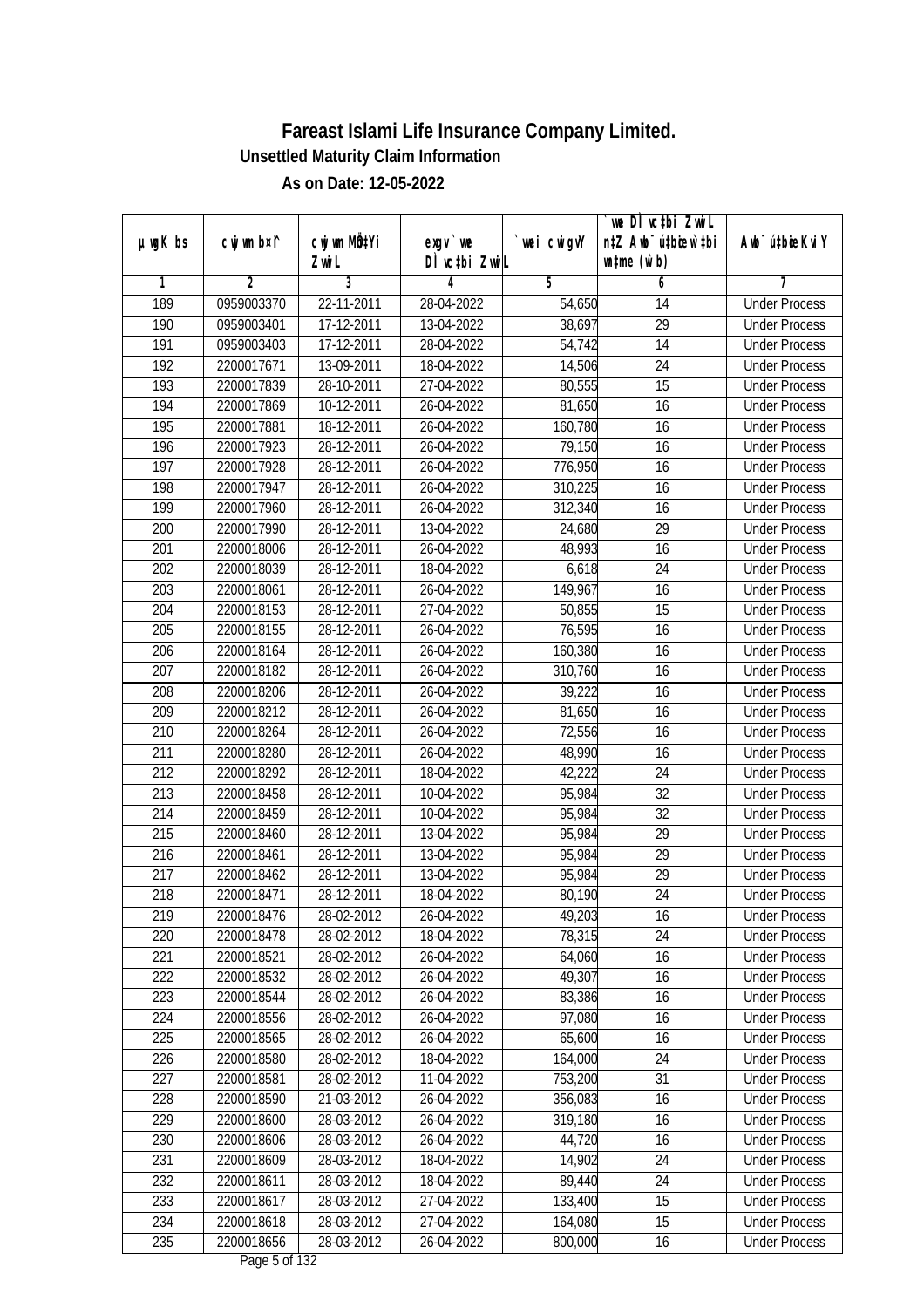|               |             |              |               |             | we DI vctbi ZwiL                 |                             |
|---------------|-------------|--------------|---------------|-------------|----------------------------------|-----------------------------|
| $µ$ ug $K$ bs | cwj wm b¤i^ | CW wm MQYi   | $exgV$ we     | `wei cwigvY | n‡Z Awb <sup>-</sup> ú‡bioar`‡bi | Awb <sup>-</sup> ú‡bioeKviY |
|               |             | Zwi L        | DÌ vctbi ZwiL |             | $\n  untime\n  (u`b)\n$          |                             |
| 1             | 2           | 3            | 4             | 5           | 6                                | 7                           |
| 189           | 0959003370  | 22-11-2011   | 28-04-2022    | 54,650      | 14                               | <b>Under Process</b>        |
| 190           | 0959003401  | 17-12-2011   | 13-04-2022    | 38,697      | $\overline{29}$                  | <b>Under Process</b>        |
| 191           | 0959003403  | 17-12-2011   | 28-04-2022    | 54,742      | 14                               | <b>Under Process</b>        |
| 192           | 2200017671  | 13-09-2011   | 18-04-2022    | 14,506      | $\overline{24}$                  | <b>Under Process</b>        |
| 193           | 2200017839  | $28-10-2011$ | 27-04-2022    | 80,555      | $\overline{15}$                  | <b>Under Process</b>        |
| 194           | 2200017869  | 10-12-2011   | 26-04-2022    | 81,650      | $\overline{16}$                  | <b>Under Process</b>        |
| 195           | 2200017881  | 18-12-2011   | 26-04-2022    | 160,780     | 16                               | <b>Under Process</b>        |
| 196           | 2200017923  | 28-12-2011   | 26-04-2022    | 79,150      | $\overline{16}$                  | <b>Under Process</b>        |
| 197           | 2200017928  | 28-12-2011   | 26-04-2022    | 776,950     | 16                               | <b>Under Process</b>        |
| 198           | 2200017947  | 28-12-2011   | 26-04-2022    | 310,225     | 16                               | <b>Under Process</b>        |
| 199           | 2200017960  | 28-12-2011   | 26-04-2022    | 312,340     | 16                               | <b>Under Process</b>        |
| 200           | 2200017990  | 28-12-2011   | 13-04-2022    | 24,680      | 29                               | <b>Under Process</b>        |
| 201           | 2200018006  | 28-12-2011   | 26-04-2022    | 48,993      | $\overline{16}$                  | <b>Under Process</b>        |
| 202           | 2200018039  | 28-12-2011   | 18-04-2022    | 6,618       | 24                               | <b>Under Process</b>        |
| 203           | 2200018061  | 28-12-2011   | 26-04-2022    | 149,967     | 16                               | <b>Under Process</b>        |
| 204           | 2200018153  | 28-12-2011   | 27-04-2022    | 50,855      | 15                               | <b>Under Process</b>        |
| 205           | 2200018155  | 28-12-2011   | 26-04-2022    | 76,595      | 16                               | <b>Under Process</b>        |
| 206           | 2200018164  | 28-12-2011   | 26-04-2022    | 160,380     | 16                               | <b>Under Process</b>        |
| 207           | 2200018182  | 28-12-2011   | 26-04-2022    | 310,760     | 16                               | <b>Under Process</b>        |
| 208           | 2200018206  | 28-12-2011   | 26-04-2022    | 39,222      | 16                               | <b>Under Process</b>        |
| 209           | 2200018212  | 28-12-2011   | 26-04-2022    | 81,650      | 16                               | <b>Under Process</b>        |
| 210           | 2200018264  | 28-12-2011   | 26-04-2022    | 72,556      | 16                               | <b>Under Process</b>        |
| 211           | 2200018280  | 28-12-2011   | 26-04-2022    | 48,990      | 16                               | <b>Under Process</b>        |
| 212           | 2200018292  | 28-12-2011   | 18-04-2022    | 42,222      | 24                               | <b>Under Process</b>        |
| 213           | 2200018458  | 28-12-2011   | 10-04-2022    | 95,984      | 32                               | <b>Under Process</b>        |
| 214           | 2200018459  | 28-12-2011   | 10-04-2022    | 95,984      | 32                               | <b>Under Process</b>        |
| 215           | 2200018460  | 28-12-2011   | 13-04-2022    | 95,984      | 29                               | <b>Under Process</b>        |
| 216           | 2200018461  | 28-12-2011   | 13-04-2022    | 95,984      | 29                               | <b>Under Process</b>        |
| 217           | 2200018462  | 28-12-2011   | 13-04-2022    | 95,984      | 29                               | <b>Under Process</b>        |
| 218           | 2200018471  | 28-12-2011   | 18-04-2022    | 80,190      | 24                               | <b>Under Process</b>        |
| 219           | 2200018476  | 28-02-2012   | 26-04-2022    | 49,203      | 16                               | <b>Under Process</b>        |
| 220           | 2200018478  | 28-02-2012   | 18-04-2022    | 78,315      | 24                               | <b>Under Process</b>        |
| 221           | 2200018521  | 28-02-2012   | 26-04-2022    | 64,060      | 16                               | <b>Under Process</b>        |
| 222           | 2200018532  | 28-02-2012   | 26-04-2022    | 49,307      | 16                               | <b>Under Process</b>        |
| 223           | 2200018544  | 28-02-2012   | 26-04-2022    | 83,386      | 16                               | <b>Under Process</b>        |
| 224           | 2200018556  | 28-02-2012   | 26-04-2022    | 97,080      | 16                               | <b>Under Process</b>        |
| 225           | 2200018565  | 28-02-2012   | 26-04-2022    | 65,600      | 16                               | <b>Under Process</b>        |
| 226           | 2200018580  | 28-02-2012   | 18-04-2022    | 164,000     | 24                               | <b>Under Process</b>        |
| 227           | 2200018581  | 28-02-2012   | 11-04-2022    | 753,200     | 31                               | <b>Under Process</b>        |
| 228           | 2200018590  | 21-03-2012   | 26-04-2022    | 356,083     | 16                               | <b>Under Process</b>        |
| 229           | 2200018600  | 28-03-2012   | 26-04-2022    | 319,180     | 16                               | <b>Under Process</b>        |
| 230           | 2200018606  | 28-03-2012   | 26-04-2022    | 44,720      | 16                               | <b>Under Process</b>        |
| 231           | 2200018609  | 28-03-2012   | 18-04-2022    | 14,902      | $\overline{24}$                  | <b>Under Process</b>        |
| 232           | 2200018611  | 28-03-2012   | 18-04-2022    | 89,440      | 24                               | <b>Under Process</b>        |
| 233           | 2200018617  | 28-03-2012   | 27-04-2022    | 133,400     | $\overline{15}$                  | <b>Under Process</b>        |
| 234           | 2200018618  | 28-03-2012   | 27-04-2022    | 164,080     | 15                               | <b>Under Process</b>        |
| 235           | 2200018656  | 28-03-2012   | 26-04-2022    | 800,000     | 16                               | <b>Under Process</b>        |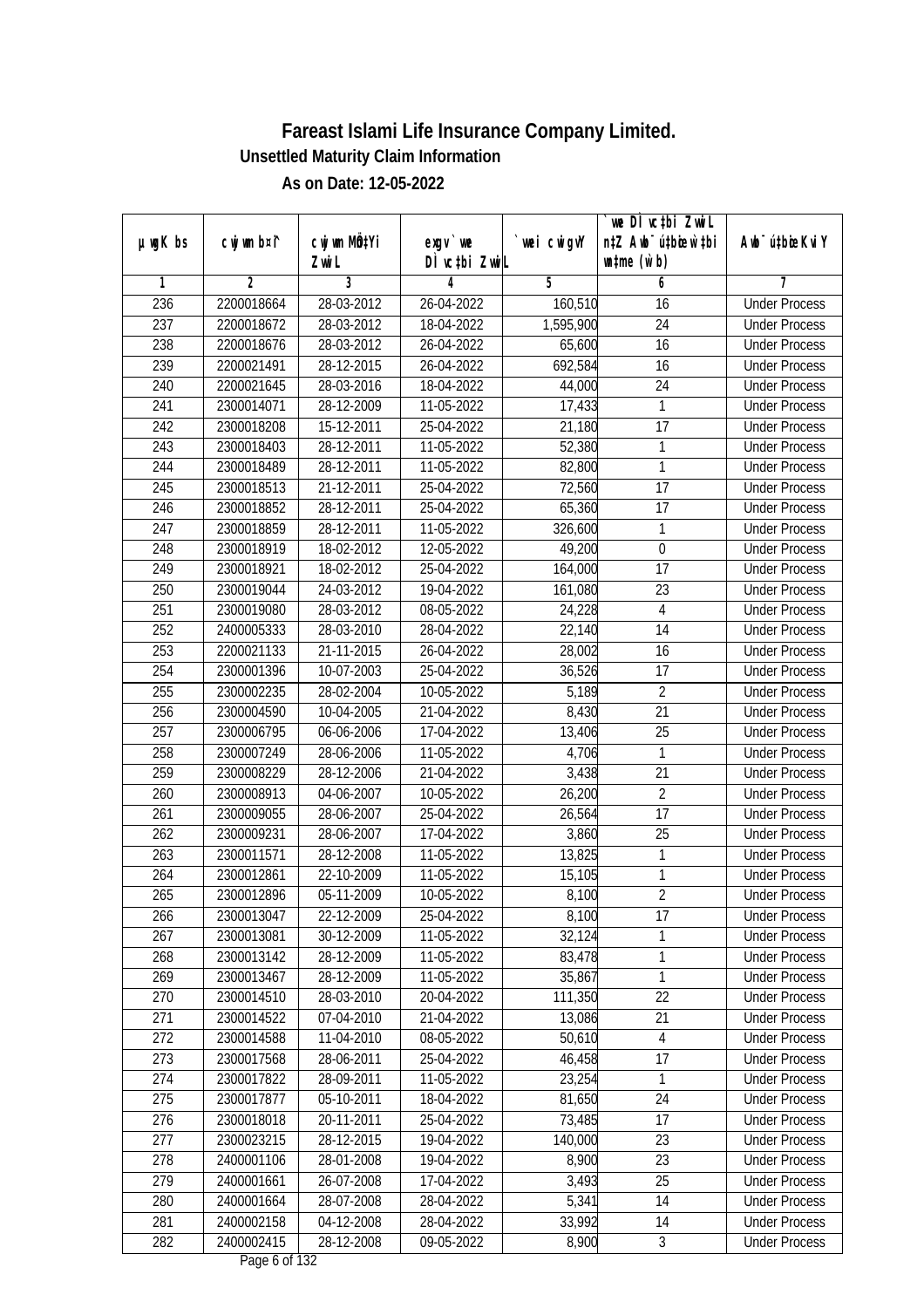|               |             |                                    |                            |             | `we DÌ vc‡bi ZwiL                                           |                             |
|---------------|-------------|------------------------------------|----------------------------|-------------|-------------------------------------------------------------|-----------------------------|
| $µ$ ug $K$ bs | cwj wm b¤i^ | cwj wm MQ <sup>1</sup> Yi<br>Zwi L | $exgV$ we<br>DÌ vctbi ZwiL | `wei cwigvY | n‡Z Awb <sup>-</sup> ú‡bioar`‡bi<br>$\n  untime\n  (u`b)\n$ | Awb <sup>-</sup> ú‡bioeKviY |
| 1             | 2           | 3                                  | 4                          | 5           | 6                                                           | 7                           |
| 236           | 2200018664  | 28-03-2012                         | 26-04-2022                 | 160,510     | 16                                                          | <b>Under Process</b>        |
| 237           | 2200018672  | 28-03-2012                         | 18-04-2022                 | 1,595,900   | $\overline{24}$                                             | <b>Under Process</b>        |
| 238           | 2200018676  | 28-03-2012                         | 26-04-2022                 | 65,600      | 16                                                          | <b>Under Process</b>        |
| 239           | 2200021491  | 28-12-2015                         | 26-04-2022                 | 692,584     | 16                                                          | <b>Under Process</b>        |
| 240           | 2200021645  | 28-03-2016                         | 18-04-2022                 | 44,000      | 24                                                          | <b>Under Process</b>        |
| 241           | 2300014071  | 28-12-2009                         | 11-05-2022                 | 17,433      | 1                                                           | <b>Under Process</b>        |
| 242           | 2300018208  | 15-12-2011                         | 25-04-2022                 | 21,180      | $\overline{17}$                                             | <b>Under Process</b>        |
| 243           | 2300018403  | 28-12-2011                         | 11-05-2022                 | 52,380      | 1                                                           | <b>Under Process</b>        |
| 244           | 2300018489  | 28-12-2011                         | 11-05-2022                 | 82,800      | $\mathbf{1}$                                                | <b>Under Process</b>        |
| 245           | 2300018513  | 21-12-2011                         | 25-04-2022                 | 72,560      | 17                                                          | <b>Under Process</b>        |
| 246           | 2300018852  | 28-12-2011                         | 25-04-2022                 | 65,360      | 17                                                          | <b>Under Process</b>        |
| 247           | 2300018859  | 28-12-2011                         | 11-05-2022                 | 326,600     | 1                                                           | <b>Under Process</b>        |
| 248           | 2300018919  | 18-02-2012                         | 12-05-2022                 | 49,200      | $\boldsymbol{0}$                                            | <b>Under Process</b>        |
| 249           | 2300018921  | 18-02-2012                         | 25-04-2022                 | 164,000     | 17                                                          | <b>Under Process</b>        |
| 250           | 2300019044  | 24-03-2012                         | 19-04-2022                 | 161,080     | 23                                                          | <b>Under Process</b>        |
| 251           | 2300019080  | 28-03-2012                         | 08-05-2022                 | 24,228      | 4                                                           | <b>Under Process</b>        |
| 252           | 2400005333  | 28-03-2010                         | 28-04-2022                 | 22,140      | 14                                                          | <b>Under Process</b>        |
| 253           | 2200021133  | 21-11-2015                         | 26-04-2022                 | 28,002      | 16                                                          | <b>Under Process</b>        |
| 254           | 2300001396  | 10-07-2003                         | 25-04-2022                 | 36,526      | 17                                                          | <b>Under Process</b>        |
| 255           | 2300002235  | 28-02-2004                         | 10-05-2022                 | 5,189       | $\overline{2}$                                              | <b>Under Process</b>        |
| 256           | 2300004590  | 10-04-2005                         | 21-04-2022                 | 8,430       | 21                                                          | <b>Under Process</b>        |
| 257           | 2300006795  | 06-06-2006                         | 17-04-2022                 | 13,406      | 25                                                          | <b>Under Process</b>        |
| 258           | 2300007249  | 28-06-2006                         | 11-05-2022                 | 4,706       | 1                                                           | <b>Under Process</b>        |
| 259           | 2300008229  | 28-12-2006                         | 21-04-2022                 | 3,438       | 21                                                          | <b>Under Process</b>        |
| 260           | 2300008913  | 04-06-2007                         | 10-05-2022                 | 26,200      | $\sqrt{2}$                                                  | <b>Under Process</b>        |
| 261           | 2300009055  | 28-06-2007                         | 25-04-2022                 | 26,564      | 17                                                          | <b>Under Process</b>        |
| 262           | 2300009231  | 28-06-2007                         | 17-04-2022                 | 3,860       | 25                                                          | <b>Under Process</b>        |
| 263           | 2300011571  | 28-12-2008                         | 11-05-2022                 | 13,825      | 1                                                           | <b>Under Process</b>        |
| 264           | 2300012861  | 22-10-2009                         | 11-05-2022                 | 15,105      | 1                                                           | <b>Under Process</b>        |
| 265           | 2300012896  | 05-11-2009                         | 10-05-2022                 | 8,100       | $\overline{2}$                                              | <b>Under Process</b>        |
| 266           | 2300013047  | 22-12-2009                         | 25-04-2022                 | 8,100       | 17                                                          | <b>Under Process</b>        |
| 267           | 2300013081  | 30-12-2009                         | 11-05-2022                 | 32,124      | 1                                                           | <b>Under Process</b>        |
| 268           | 2300013142  | 28-12-2009                         | 11-05-2022                 | 83,478      | 1                                                           | <b>Under Process</b>        |
| 269           | 2300013467  | 28-12-2009                         | 11-05-2022                 | 35,867      | 1                                                           | <b>Under Process</b>        |
| 270           | 2300014510  | 28-03-2010                         | 20-04-2022                 | 111,350     | 22                                                          | <b>Under Process</b>        |
| 271           | 2300014522  | 07-04-2010                         | 21-04-2022                 | 13,086      | 21                                                          | <b>Under Process</b>        |
| 272           | 2300014588  | 11-04-2010                         | 08-05-2022                 | 50,610      | $\overline{4}$                                              | <b>Under Process</b>        |
| 273           | 2300017568  | 28-06-2011                         | 25-04-2022                 | 46,458      | 17                                                          | <b>Under Process</b>        |
| 274           | 2300017822  | 28-09-2011                         | 11-05-2022                 | 23,254      | 1                                                           | <b>Under Process</b>        |
| 275           | 2300017877  | 05-10-2011                         | 18-04-2022                 | 81,650      | 24                                                          | <b>Under Process</b>        |
| 276           | 2300018018  | 20-11-2011                         | 25-04-2022                 | 73,485      | 17                                                          | <b>Under Process</b>        |
| 277           | 2300023215  | 28-12-2015                         | 19-04-2022                 | 140,000     | 23                                                          | <b>Under Process</b>        |
| 278           | 2400001106  | 28-01-2008                         | 19-04-2022                 | 8,900       | $\overline{23}$                                             | <b>Under Process</b>        |
| 279           | 2400001661  | 26-07-2008                         | 17-04-2022                 | 3,493       | $\overline{25}$                                             | <b>Under Process</b>        |
| 280           | 2400001664  | 28-07-2008                         | 28-04-2022                 | 5,341       | 14                                                          | <b>Under Process</b>        |
| 281           | 2400002158  | 04-12-2008                         | 28-04-2022                 | 33,992      | 14                                                          | <b>Under Process</b>        |
| 282           | 2400002415  | 28-12-2008                         | 09-05-2022                 | 8,900       | 3                                                           | <b>Under Process</b>        |
|               |             |                                    |                            |             |                                                             |                             |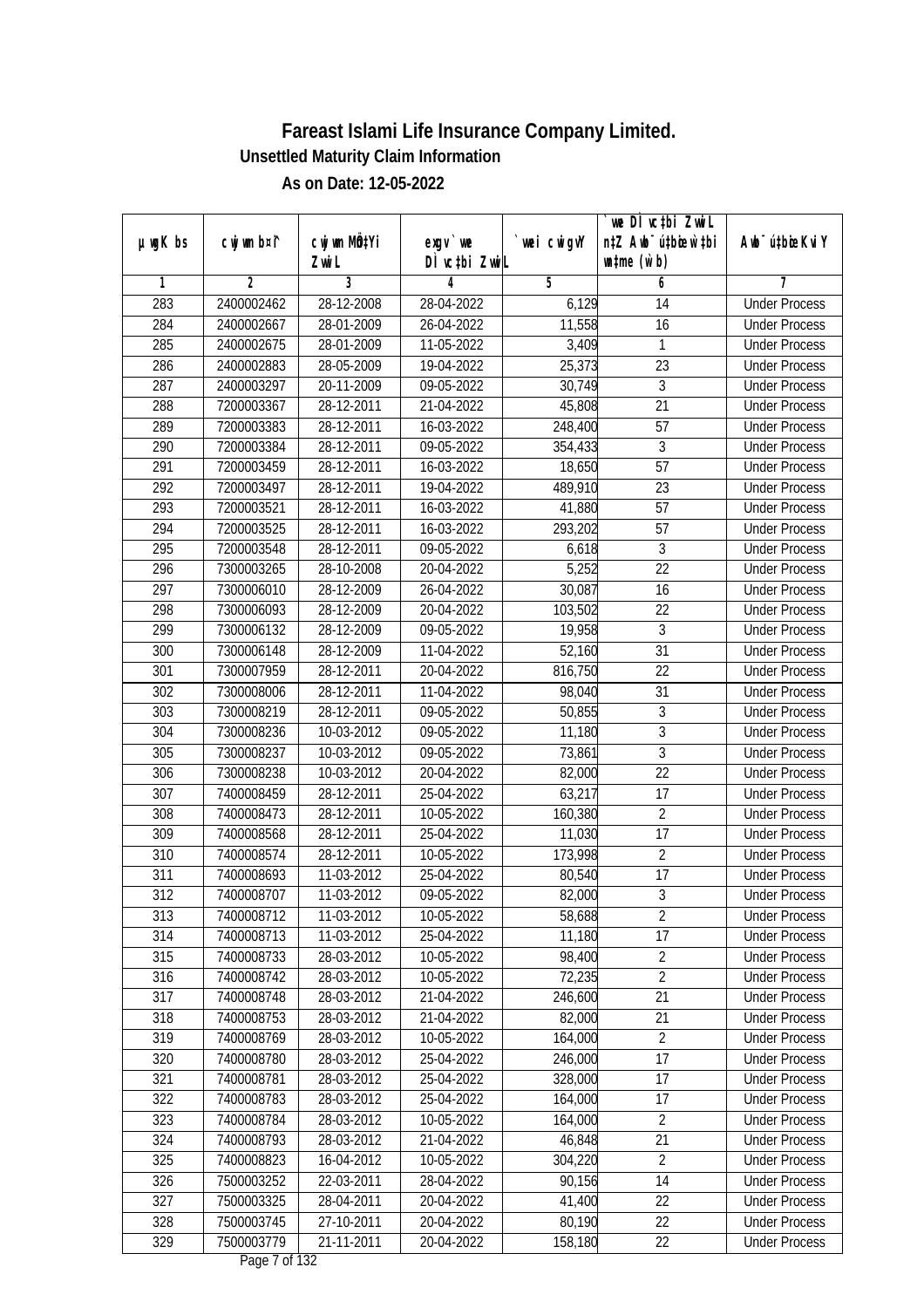|               |                |              |                  |             | we DI vctbi ZwiL                 |                             |
|---------------|----------------|--------------|------------------|-------------|----------------------------------|-----------------------------|
| $µ$ ug $K$ bs | cwj wm b¤i^    | cwj wm MQtYi | $exgV$ we        | `wei cwigvY | n‡Z Awb <sup>-</sup> ú‡bioar`‡bi | Awb <sup>-</sup> ú‡bioeKviY |
|               |                | Zwi L        | DÌ vctbi ZwiL    |             | $\n  untime\n  (u`b)\n$          |                             |
| 1             | $\overline{2}$ | 3            | 4                | 5           | 6                                | 7                           |
| 283           | 2400002462     | 28-12-2008   | 28-04-2022       | 6,129       | 14                               | <b>Under Process</b>        |
| 284           | 2400002667     | 28-01-2009   | 26-04-2022       | 11,558      | $\overline{16}$                  | <b>Under Process</b>        |
| 285           | 2400002675     | 28-01-2009   | 11-05-2022       | 3,409       | $\mathbf{1}$                     | <b>Under Process</b>        |
| 286           | 2400002883     | 28-05-2009   | 19-04-2022       | 25,373      | 23                               | <b>Under Process</b>        |
| 287           | 2400003297     | 20-11-2009   | 09-05-2022       | 30,749      | $\overline{3}$                   | <b>Under Process</b>        |
| 288           | 7200003367     | 28-12-2011   | 21-04-2022       | 45,808      | $\overline{21}$                  | <b>Under Process</b>        |
| 289           | 7200003383     | 28-12-2011   | $16 - 03 - 2022$ | 248,400     | $\overline{57}$                  | <b>Under Process</b>        |
| 290           | 7200003384     | 28-12-2011   | 09-05-2022       | 354,433     | $\overline{3}$                   | <b>Under Process</b>        |
| 291           | 7200003459     | 28-12-2011   | 16-03-2022       | 18,650      | $\overline{57}$                  | <b>Under Process</b>        |
| 292           | 7200003497     | 28-12-2011   | 19-04-2022       | 489,910     | 23                               | <b>Under Process</b>        |
| 293           | 7200003521     | 28-12-2011   | 16-03-2022       | 41,880      | $\overline{57}$                  | <b>Under Process</b>        |
| 294           | 7200003525     | 28-12-2011   | 16-03-2022       | 293,202     | 57                               | <b>Under Process</b>        |
| 295           | 7200003548     | 28-12-2011   | 09-05-2022       | 6,618       | $\overline{3}$                   | <b>Under Process</b>        |
| 296           | 7300003265     | 28-10-2008   | 20-04-2022       | 5,252       | 22                               | <b>Under Process</b>        |
| 297           | 7300006010     | 28-12-2009   | 26-04-2022       | 30,087      | 16                               | <b>Under Process</b>        |
| 298           | 7300006093     | 28-12-2009   | 20-04-2022       | 103,502     | 22                               | <b>Under Process</b>        |
| 299           | 7300006132     | 28-12-2009   | 09-05-2022       | 19,958      | $\mathfrak{Z}$                   | <b>Under Process</b>        |
| 300           | 7300006148     | 28-12-2009   | 11-04-2022       | 52,160      | $\overline{31}$                  | <b>Under Process</b>        |
| 301           | 7300007959     | 28-12-2011   | 20-04-2022       | 816,750     | 22                               | <b>Under Process</b>        |
| 302           | 7300008006     | 28-12-2011   | 11-04-2022       | 98,040      | 31                               | <b>Under Process</b>        |
| 303           | 7300008219     | 28-12-2011   | 09-05-2022       | 50,855      | 3                                | <b>Under Process</b>        |
| 304           | 7300008236     | 10-03-2012   | 09-05-2022       | 11,180      | 3                                | <b>Under Process</b>        |
| 305           | 7300008237     | 10-03-2012   | 09-05-2022       | 73,861      | 3                                | <b>Under Process</b>        |
| 306           | 7300008238     | 10-03-2012   | 20-04-2022       | 82,000      | $\overline{22}$                  | <b>Under Process</b>        |
| 307           | 7400008459     | 28-12-2011   | 25-04-2022       | 63,217      | 17                               | <b>Under Process</b>        |
| 308           | 7400008473     | 28-12-2011   | 10-05-2022       | 160,380     | $\overline{2}$                   | <b>Under Process</b>        |
| 309           | 7400008568     | 28-12-2011   | 25-04-2022       | 11,030      | 17                               | <b>Under Process</b>        |
| 310           | 7400008574     | 28-12-2011   | 10-05-2022       | 173,998     | $\overline{2}$                   | <b>Under Process</b>        |
| 311           | 7400008693     | 11-03-2012   | 25-04-2022       | 80,540      | 17                               | <b>Under Process</b>        |
| 312           | 7400008707     | 11-03-2012   | 09-05-2022       | 82,000      | $\overline{3}$                   | <b>Under Process</b>        |
| 313           | 7400008712     | 11-03-2012   | 10-05-2022       | 58,688      | $\overline{2}$                   | <b>Under Process</b>        |
| 314           | 7400008713     | 11-03-2012   | 25-04-2022       | 11,180      | 17                               | <b>Under Process</b>        |
| 315           | 7400008733     | 28-03-2012   | 10-05-2022       | 98,400      | $\overline{2}$                   | <b>Under Process</b>        |
| 316           | 7400008742     | 28-03-2012   | 10-05-2022       | 72,235      | $\overline{2}$                   | <b>Under Process</b>        |
| 317           | 7400008748     | 28-03-2012   | 21-04-2022       | 246,600     | 21                               | <b>Under Process</b>        |
| 318           | 7400008753     | 28-03-2012   | 21-04-2022       | 82,000      | 21                               | <b>Under Process</b>        |
| 319           | 7400008769     | 28-03-2012   | 10-05-2022       | 164,000     | $\overline{2}$                   | <b>Under Process</b>        |
| 320           | 7400008780     | 28-03-2012   | 25-04-2022       | 246,000     | 17                               | <b>Under Process</b>        |
| 321           | 7400008781     | 28-03-2012   | 25-04-2022       | 328,000     | 17                               | <b>Under Process</b>        |
| 322           | 7400008783     | 28-03-2012   | 25-04-2022       | 164,000     | 17                               | <b>Under Process</b>        |
| 323           | 7400008784     | 28-03-2012   | 10-05-2022       | 164,000     | $\sqrt{2}$                       | <b>Under Process</b>        |
| 324           | 7400008793     | 28-03-2012   | 21-04-2022       | 46,848      | 21                               | <b>Under Process</b>        |
| 325           | 7400008823     | 16-04-2012   | 10-05-2022       | 304,220     | $\overline{2}$                   | <b>Under Process</b>        |
| 326           | 7500003252     | 22-03-2011   | 28-04-2022       | 90,156      | 14                               | <b>Under Process</b>        |
| 327           | 7500003325     | 28-04-2011   | 20-04-2022       | 41,400      | 22                               | <b>Under Process</b>        |
| 328           | 7500003745     | 27-10-2011   | 20-04-2022       | 80,190      | 22                               | <b>Under Process</b>        |
| 329           | 7500003779     | 21-11-2011   | 20-04-2022       | 158,180     | 22                               | <b>Under Process</b>        |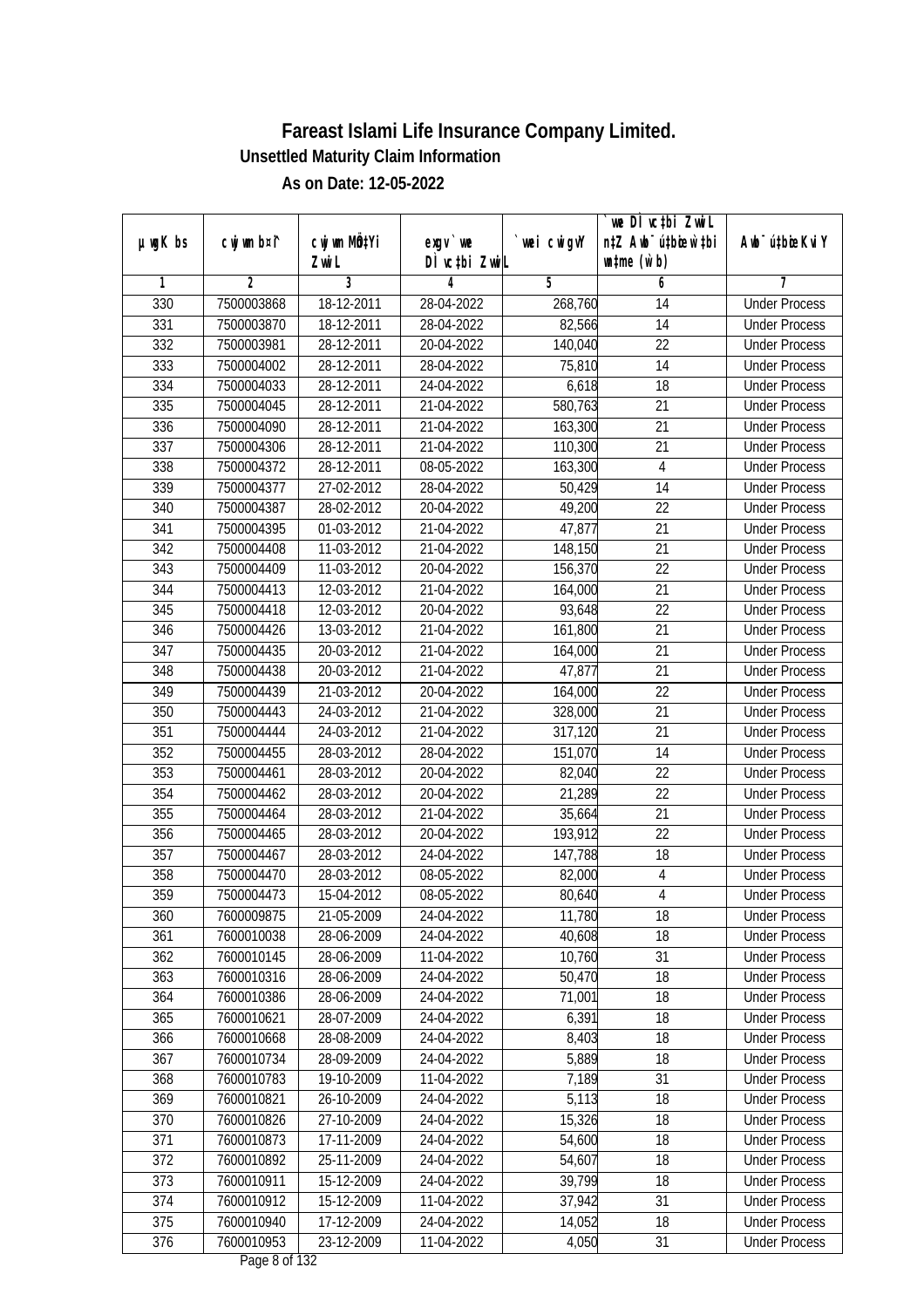|                  |             |            |               |             | we DI vctbi ZwiL                 |                             |
|------------------|-------------|------------|---------------|-------------|----------------------------------|-----------------------------|
| $µ$ ug $K$ bs    | cwj wm b¤i^ | CW wm MQYi | $exgV$ we     | `wei cwigvY | n‡Z Awb <sup>-</sup> ú‡bioar`‡bi | Awb <sup>-</sup> ú‡bioeKviY |
|                  |             | Zwi L      | DÌ vctbi ZwiL |             | $\n  untime\n  (u`b)\n$          |                             |
| 1                | 2           | 3          | 4             | 5           | 6                                | 7                           |
| 330              | 7500003868  | 18-12-2011 | 28-04-2022    | 268,760     | 14                               | <b>Under Process</b>        |
| 331              | 7500003870  | 18-12-2011 | 28-04-2022    | 82,566      | 14                               | <b>Under Process</b>        |
| 332              | 7500003981  | 28-12-2011 | 20-04-2022    | 140,040     | $\overline{22}$                  | <b>Under Process</b>        |
| 333              | 7500004002  | 28-12-2011 | 28-04-2022    | 75,810      | 14                               | <b>Under Process</b>        |
| 334              | 7500004033  | 28-12-2011 | 24-04-2022    | 6,618       | $\overline{18}$                  | <b>Under Process</b>        |
| 335              | 7500004045  | 28-12-2011 | 21-04-2022    | 580,763     | $\overline{21}$                  | <b>Under Process</b>        |
| 336              | 7500004090  | 28-12-2011 | 21-04-2022    | 163,300     | 21                               | <b>Under Process</b>        |
| 337              | 7500004306  | 28-12-2011 | 21-04-2022    | 110,300     | $\overline{21}$                  | <b>Under Process</b>        |
| 338              | 7500004372  | 28-12-2011 | 08-05-2022    | 163,300     | $\overline{4}$                   | <b>Under Process</b>        |
| 339              | 7500004377  | 27-02-2012 | 28-04-2022    | 50,429      | 14                               | <b>Under Process</b>        |
| 340              | 7500004387  | 28-02-2012 | 20-04-2022    | 49,200      | 22                               | <b>Under Process</b>        |
| 341              | 7500004395  | 01-03-2012 | 21-04-2022    | 47,877      | 21                               | <b>Under Process</b>        |
| 342              | 7500004408  | 11-03-2012 | 21-04-2022    | 148,150     | $\overline{21}$                  | <b>Under Process</b>        |
| 343              | 7500004409  | 11-03-2012 | 20-04-2022    | 156,370     | 22                               | <b>Under Process</b>        |
| 344              | 7500004413  | 12-03-2012 | 21-04-2022    | 164,000     | 21                               | <b>Under Process</b>        |
| 345              | 7500004418  | 12-03-2012 | 20-04-2022    | 93,648      | 22                               | <b>Under Process</b>        |
| 346              | 7500004426  | 13-03-2012 | 21-04-2022    | 161,800     | 21                               | <b>Under Process</b>        |
| 347              | 7500004435  | 20-03-2012 | 21-04-2022    | 164,000     | 21                               | <b>Under Process</b>        |
| 348              | 7500004438  | 20-03-2012 | 21-04-2022    | 47,877      | 21                               | <b>Under Process</b>        |
| 349              | 7500004439  | 21-03-2012 | 20-04-2022    | 164,000     | 22                               | <b>Under Process</b>        |
| $\overline{350}$ | 7500004443  | 24-03-2012 | 21-04-2022    | 328,000     | 21                               | <b>Under Process</b>        |
| 351              | 7500004444  | 24-03-2012 | 21-04-2022    | 317,120     | 21                               | <b>Under Process</b>        |
| 352              | 7500004455  | 28-03-2012 | 28-04-2022    | 151,070     | 14                               | <b>Under Process</b>        |
| 353              | 7500004461  | 28-03-2012 | 20-04-2022    | 82,040      | 22                               | <b>Under Process</b>        |
| 354              | 7500004462  | 28-03-2012 | 20-04-2022    | 21,289      | 22                               | <b>Under Process</b>        |
| 355              | 7500004464  | 28-03-2012 | 21-04-2022    | 35,664      | 21                               | <b>Under Process</b>        |
| 356              | 7500004465  | 28-03-2012 | 20-04-2022    | 193,912     | 22                               | <b>Under Process</b>        |
| 357              | 7500004467  | 28-03-2012 | 24-04-2022    | 147,788     | 18                               | <b>Under Process</b>        |
| 358              | 7500004470  | 28-03-2012 | 08-05-2022    | 82,000      | $\overline{4}$                   | <b>Under Process</b>        |
| 359              | 7500004473  | 15-04-2012 | 08-05-2022    | 80,640      | $\overline{4}$                   | <b>Under Process</b>        |
| 360              | 7600009875  | 21-05-2009 | 24-04-2022    | 11,780      | 18                               | <b>Under Process</b>        |
| 361              | 7600010038  | 28-06-2009 | 24-04-2022    | 40,608      | 18                               | <b>Under Process</b>        |
| 362              | 7600010145  | 28-06-2009 | 11-04-2022    | 10,760      | 31                               | <b>Under Process</b>        |
| 363              | 7600010316  | 28-06-2009 | 24-04-2022    | 50,470      | 18                               | <b>Under Process</b>        |
| 364              | 7600010386  | 28-06-2009 | 24-04-2022    | 71,001      | 18                               | <b>Under Process</b>        |
| 365              | 7600010621  | 28-07-2009 | 24-04-2022    | 6,391       | 18                               | <b>Under Process</b>        |
| 366              | 7600010668  | 28-08-2009 | 24-04-2022    | 8,403       | 18                               | <b>Under Process</b>        |
| 367              | 7600010734  | 28-09-2009 | 24-04-2022    | 5,889       | 18                               | <b>Under Process</b>        |
| 368              | 7600010783  | 19-10-2009 | 11-04-2022    | 7,189       | 31                               | <b>Under Process</b>        |
| 369              | 7600010821  | 26-10-2009 | 24-04-2022    | 5,113       | 18                               | <b>Under Process</b>        |
| 370              | 7600010826  | 27-10-2009 | 24-04-2022    | 15,326      | 18                               | <b>Under Process</b>        |
| 371              | 7600010873  | 17-11-2009 | 24-04-2022    | 54,600      | 18                               | <b>Under Process</b>        |
| 372              | 7600010892  | 25-11-2009 | 24-04-2022    | 54,607      | $\overline{18}$                  | <b>Under Process</b>        |
| 373              | 7600010911  | 15-12-2009 | 24-04-2022    | 39,799      | 18                               | <b>Under Process</b>        |
| 374              | 7600010912  | 15-12-2009 | 11-04-2022    | 37,942      | 31                               | <b>Under Process</b>        |
| 375              | 7600010940  | 17-12-2009 | 24-04-2022    | 14,052      | 18                               | <b>Under Process</b>        |
| $\overline{376}$ | 7600010953  | 23-12-2009 | 11-04-2022    | 4,050       | 31                               | <b>Under Process</b>        |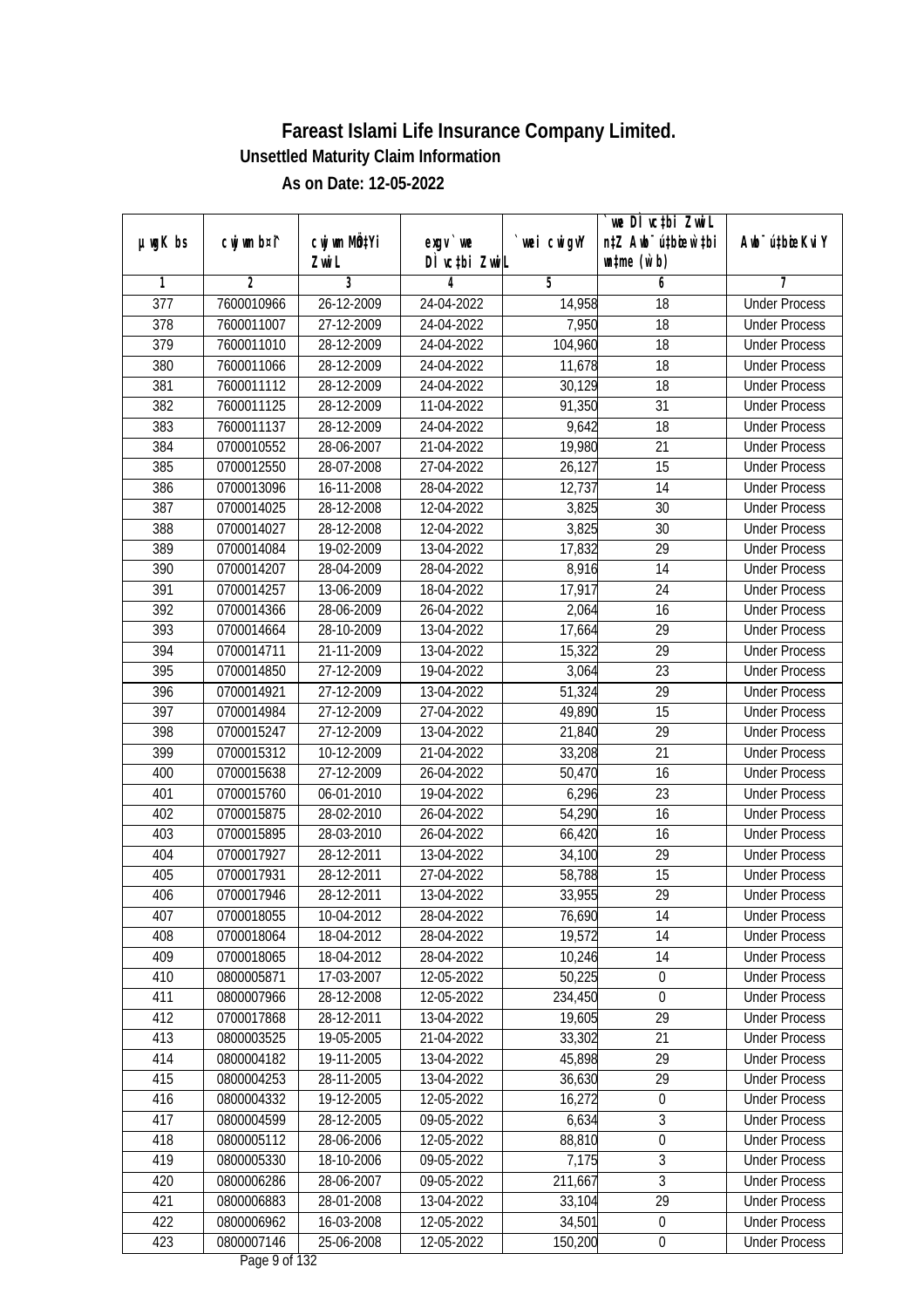| DÌ vctbi ZwiL<br>$\n  untime\n  (u`b)\n$<br>Zwi L<br>3<br>2<br>4<br>5<br>6<br>1<br>7<br>$\overline{377}$<br>7600010966<br>26-12-2009<br><b>Under Process</b><br>24-04-2022<br>14,958<br>18<br>7,950<br>378<br>27-12-2009<br>24-04-2022<br>18<br>7600011007<br><b>Under Process</b><br>379<br>104,960<br>7600011010<br>28-12-2009<br>24-04-2022<br>18<br><b>Under Process</b><br>11,678<br>380<br>7600011066<br>28-12-2009<br>24-04-2022<br>18<br><b>Under Process</b><br>381<br>7600011112<br>28-12-2009<br>24-04-2022<br>30,129<br>18<br><b>Under Process</b><br>382<br>28-12-2009<br>$\overline{31}$<br>7600011125<br>11-04-2022<br>91,350<br><b>Under Process</b><br>383<br>7600011137<br>28-12-2009<br>24-04-2022<br>9,642<br>18<br><b>Under Process</b><br>384<br>19,980<br>$\overline{21}$<br>0700010552<br>28-06-2007<br>21-04-2022<br><b>Under Process</b><br>385<br>0700012550<br>28-07-2008<br>27-04-2022<br>26,127<br>15<br><b>Under Process</b><br>386<br>0700013096<br>16-11-2008<br>28-04-2022<br>12,737<br>14<br><b>Under Process</b><br>387<br>0700014025<br>28-12-2008<br>12-04-2022<br>3,825<br>30<br><b>Under Process</b><br>3,825<br>388<br>0700014027<br>28-12-2008<br>12-04-2022<br>30<br><b>Under Process</b><br>17,832<br>$\overline{29}$<br>389<br>19-02-2009<br>13-04-2022<br>0700014084<br><b>Under Process</b><br>14<br>390<br>0700014207<br>28-04-2009<br>28-04-2022<br>8,916<br><b>Under Process</b><br>391<br>17,917<br>24<br>0700014257<br>13-06-2009<br>18-04-2022<br><b>Under Process</b><br>392<br>0700014366<br>28-06-2009<br>26-04-2022<br>2,064<br>16<br><b>Under Process</b><br>393<br>28-10-2009<br>13-04-2022<br>17,664<br>29<br>0700014664<br><b>Under Process</b><br>394<br>0700014711<br>21-11-2009<br>13-04-2022<br>15,322<br>29<br><b>Under Process</b><br>395<br>23<br>0700014850<br>27-12-2009<br>19-04-2022<br>3,064<br><b>Under Process</b><br>29<br>396<br>27-12-2009<br>51,324<br>0700014921<br>13-04-2022<br><b>Under Process</b><br>15<br>397<br>0700014984<br>27-12-2009<br>27-04-2022<br>49,890<br><b>Under Process</b><br>21,840<br>29<br>398<br>0700015247<br>27-12-2009<br>13-04-2022<br><b>Under Process</b><br>33,208<br>399<br>21-04-2022<br>21<br>0700015312<br>10-12-2009<br><b>Under Process</b><br>400<br>50,470<br>16<br>0700015638<br>27-12-2009<br>26-04-2022<br><b>Under Process</b><br>6,296<br>23<br>401<br>0700015760<br>06-01-2010<br>19-04-2022<br><b>Under Process</b><br>402<br>0700015875<br>28-02-2010<br>26-04-2022<br>54,290<br>16<br><b>Under Process</b><br>16<br>403<br>0700015895<br>28-03-2010<br>26-04-2022<br>66,420<br><b>Under Process</b><br>29<br>404<br>0700017927<br>28-12-2011<br>13-04-2022<br>34,100<br><b>Under Process</b><br>15<br>405<br>0700017931<br>28-12-2011<br>27-04-2022<br>58,788<br><b>Under Process</b><br>29<br>406<br>0700017946<br>28-12-2011<br>13-04-2022<br>33,955<br><b>Under Process</b><br>407<br>0700018055<br>10-04-2012<br>28-04-2022<br>76,690<br>14<br><b>Under Process</b><br>18-04-2012<br>19,572<br>14<br>408<br>0700018064<br>28-04-2022<br><b>Under Process</b><br>14<br>409<br>10,246<br>0700018065<br>18-04-2012<br>28-04-2022<br><b>Under Process</b><br>410<br>50,225<br>$\boldsymbol{0}$<br>0800005871<br>17-03-2007<br>12-05-2022<br><b>Under Process</b><br>0800007966<br>234,450<br>411<br>28-12-2008<br>12-05-2022<br>$\boldsymbol{0}$<br><b>Under Process</b><br>412<br>0700017868<br>28-12-2011<br>13-04-2022<br>19,605<br>29<br><b>Under Process</b><br>413<br>19-05-2005<br>33,302<br>21<br>0800003525<br>21-04-2022<br><b>Under Process</b><br>29<br>414<br>0800004182<br>19-11-2005<br>45,898<br>13-04-2022<br><b>Under Process</b><br>36,630<br>29<br>415<br>0800004253<br>28-11-2005<br>13-04-2022<br><b>Under Process</b><br>19-12-2005<br>$\boldsymbol{0}$<br>416<br>0800004332<br>12-05-2022<br>16,272<br><b>Under Process</b><br>$\overline{3}$<br>417<br>0800004599<br>28-12-2005<br>09-05-2022<br>6,634<br><b>Under Process</b><br>0800005112<br>88,810<br>$\boldsymbol{0}$<br>418<br>28-06-2006<br>12-05-2022<br><b>Under Process</b><br>$\overline{3}$<br>419<br>0800005330<br>18-10-2006<br>$09 - 05 - 2022$<br>7,175<br><b>Under Process</b><br>3<br>0800006286<br>28-06-2007<br>420<br>09-05-2022<br>211,667<br><b>Under Process</b><br>$\overline{29}$<br>421<br>28-01-2008<br>0800006883<br>13-04-2022<br>33,104<br><b>Under Process</b><br>0800006962<br>422<br>16-03-2008<br>12-05-2022<br>34,501<br><b>Under Process</b><br>$\pmb{0}$<br>423<br>0800007146<br>25-06-2008<br>12-05-2022<br>150,200<br>$\boldsymbol{0}$<br><b>Under Process</b> |               |             |              |           |             | `we DÌ vc‡bi ZwiL                |                             |
|------------------------------------------------------------------------------------------------------------------------------------------------------------------------------------------------------------------------------------------------------------------------------------------------------------------------------------------------------------------------------------------------------------------------------------------------------------------------------------------------------------------------------------------------------------------------------------------------------------------------------------------------------------------------------------------------------------------------------------------------------------------------------------------------------------------------------------------------------------------------------------------------------------------------------------------------------------------------------------------------------------------------------------------------------------------------------------------------------------------------------------------------------------------------------------------------------------------------------------------------------------------------------------------------------------------------------------------------------------------------------------------------------------------------------------------------------------------------------------------------------------------------------------------------------------------------------------------------------------------------------------------------------------------------------------------------------------------------------------------------------------------------------------------------------------------------------------------------------------------------------------------------------------------------------------------------------------------------------------------------------------------------------------------------------------------------------------------------------------------------------------------------------------------------------------------------------------------------------------------------------------------------------------------------------------------------------------------------------------------------------------------------------------------------------------------------------------------------------------------------------------------------------------------------------------------------------------------------------------------------------------------------------------------------------------------------------------------------------------------------------------------------------------------------------------------------------------------------------------------------------------------------------------------------------------------------------------------------------------------------------------------------------------------------------------------------------------------------------------------------------------------------------------------------------------------------------------------------------------------------------------------------------------------------------------------------------------------------------------------------------------------------------------------------------------------------------------------------------------------------------------------------------------------------------------------------------------------------------------------------------------------------------------------------------------------------------------------------------------------------------------------------------------------------------------------------------------------------------------------------------------------------------------------------------------------------------------------------------------------------------------------------------------------------------------------------------------------------------------------------------------------------------------------------------------------------------------------------------------------------------------------------------------------------------------------------------------------------------------------------------------------------------------------------------------------------------------------------------------------------------------------------------------------------------------------------------------------------------------------|---------------|-------------|--------------|-----------|-------------|----------------------------------|-----------------------------|
|                                                                                                                                                                                                                                                                                                                                                                                                                                                                                                                                                                                                                                                                                                                                                                                                                                                                                                                                                                                                                                                                                                                                                                                                                                                                                                                                                                                                                                                                                                                                                                                                                                                                                                                                                                                                                                                                                                                                                                                                                                                                                                                                                                                                                                                                                                                                                                                                                                                                                                                                                                                                                                                                                                                                                                                                                                                                                                                                                                                                                                                                                                                                                                                                                                                                                                                                                                                                                                                                                                                                                                                                                                                                                                                                                                                                                                                                                                                                                                                                                                                                                                                                                                                                                                                                                                                                                                                                                                                                                                                                                                                                                  | $µ$ ug $K$ bs | cwj wm b¤i^ | cwj wm MQtYi | $exgV$ we | `wei cwigvY | n‡Z Awb <sup>-</sup> ú‡bioar`‡bi | Awb <sup>-</sup> ú‡bioeKviY |
|                                                                                                                                                                                                                                                                                                                                                                                                                                                                                                                                                                                                                                                                                                                                                                                                                                                                                                                                                                                                                                                                                                                                                                                                                                                                                                                                                                                                                                                                                                                                                                                                                                                                                                                                                                                                                                                                                                                                                                                                                                                                                                                                                                                                                                                                                                                                                                                                                                                                                                                                                                                                                                                                                                                                                                                                                                                                                                                                                                                                                                                                                                                                                                                                                                                                                                                                                                                                                                                                                                                                                                                                                                                                                                                                                                                                                                                                                                                                                                                                                                                                                                                                                                                                                                                                                                                                                                                                                                                                                                                                                                                                                  |               |             |              |           |             |                                  |                             |
|                                                                                                                                                                                                                                                                                                                                                                                                                                                                                                                                                                                                                                                                                                                                                                                                                                                                                                                                                                                                                                                                                                                                                                                                                                                                                                                                                                                                                                                                                                                                                                                                                                                                                                                                                                                                                                                                                                                                                                                                                                                                                                                                                                                                                                                                                                                                                                                                                                                                                                                                                                                                                                                                                                                                                                                                                                                                                                                                                                                                                                                                                                                                                                                                                                                                                                                                                                                                                                                                                                                                                                                                                                                                                                                                                                                                                                                                                                                                                                                                                                                                                                                                                                                                                                                                                                                                                                                                                                                                                                                                                                                                                  |               |             |              |           |             |                                  |                             |
|                                                                                                                                                                                                                                                                                                                                                                                                                                                                                                                                                                                                                                                                                                                                                                                                                                                                                                                                                                                                                                                                                                                                                                                                                                                                                                                                                                                                                                                                                                                                                                                                                                                                                                                                                                                                                                                                                                                                                                                                                                                                                                                                                                                                                                                                                                                                                                                                                                                                                                                                                                                                                                                                                                                                                                                                                                                                                                                                                                                                                                                                                                                                                                                                                                                                                                                                                                                                                                                                                                                                                                                                                                                                                                                                                                                                                                                                                                                                                                                                                                                                                                                                                                                                                                                                                                                                                                                                                                                                                                                                                                                                                  |               |             |              |           |             |                                  |                             |
|                                                                                                                                                                                                                                                                                                                                                                                                                                                                                                                                                                                                                                                                                                                                                                                                                                                                                                                                                                                                                                                                                                                                                                                                                                                                                                                                                                                                                                                                                                                                                                                                                                                                                                                                                                                                                                                                                                                                                                                                                                                                                                                                                                                                                                                                                                                                                                                                                                                                                                                                                                                                                                                                                                                                                                                                                                                                                                                                                                                                                                                                                                                                                                                                                                                                                                                                                                                                                                                                                                                                                                                                                                                                                                                                                                                                                                                                                                                                                                                                                                                                                                                                                                                                                                                                                                                                                                                                                                                                                                                                                                                                                  |               |             |              |           |             |                                  |                             |
|                                                                                                                                                                                                                                                                                                                                                                                                                                                                                                                                                                                                                                                                                                                                                                                                                                                                                                                                                                                                                                                                                                                                                                                                                                                                                                                                                                                                                                                                                                                                                                                                                                                                                                                                                                                                                                                                                                                                                                                                                                                                                                                                                                                                                                                                                                                                                                                                                                                                                                                                                                                                                                                                                                                                                                                                                                                                                                                                                                                                                                                                                                                                                                                                                                                                                                                                                                                                                                                                                                                                                                                                                                                                                                                                                                                                                                                                                                                                                                                                                                                                                                                                                                                                                                                                                                                                                                                                                                                                                                                                                                                                                  |               |             |              |           |             |                                  |                             |
|                                                                                                                                                                                                                                                                                                                                                                                                                                                                                                                                                                                                                                                                                                                                                                                                                                                                                                                                                                                                                                                                                                                                                                                                                                                                                                                                                                                                                                                                                                                                                                                                                                                                                                                                                                                                                                                                                                                                                                                                                                                                                                                                                                                                                                                                                                                                                                                                                                                                                                                                                                                                                                                                                                                                                                                                                                                                                                                                                                                                                                                                                                                                                                                                                                                                                                                                                                                                                                                                                                                                                                                                                                                                                                                                                                                                                                                                                                                                                                                                                                                                                                                                                                                                                                                                                                                                                                                                                                                                                                                                                                                                                  |               |             |              |           |             |                                  |                             |
|                                                                                                                                                                                                                                                                                                                                                                                                                                                                                                                                                                                                                                                                                                                                                                                                                                                                                                                                                                                                                                                                                                                                                                                                                                                                                                                                                                                                                                                                                                                                                                                                                                                                                                                                                                                                                                                                                                                                                                                                                                                                                                                                                                                                                                                                                                                                                                                                                                                                                                                                                                                                                                                                                                                                                                                                                                                                                                                                                                                                                                                                                                                                                                                                                                                                                                                                                                                                                                                                                                                                                                                                                                                                                                                                                                                                                                                                                                                                                                                                                                                                                                                                                                                                                                                                                                                                                                                                                                                                                                                                                                                                                  |               |             |              |           |             |                                  |                             |
|                                                                                                                                                                                                                                                                                                                                                                                                                                                                                                                                                                                                                                                                                                                                                                                                                                                                                                                                                                                                                                                                                                                                                                                                                                                                                                                                                                                                                                                                                                                                                                                                                                                                                                                                                                                                                                                                                                                                                                                                                                                                                                                                                                                                                                                                                                                                                                                                                                                                                                                                                                                                                                                                                                                                                                                                                                                                                                                                                                                                                                                                                                                                                                                                                                                                                                                                                                                                                                                                                                                                                                                                                                                                                                                                                                                                                                                                                                                                                                                                                                                                                                                                                                                                                                                                                                                                                                                                                                                                                                                                                                                                                  |               |             |              |           |             |                                  |                             |
|                                                                                                                                                                                                                                                                                                                                                                                                                                                                                                                                                                                                                                                                                                                                                                                                                                                                                                                                                                                                                                                                                                                                                                                                                                                                                                                                                                                                                                                                                                                                                                                                                                                                                                                                                                                                                                                                                                                                                                                                                                                                                                                                                                                                                                                                                                                                                                                                                                                                                                                                                                                                                                                                                                                                                                                                                                                                                                                                                                                                                                                                                                                                                                                                                                                                                                                                                                                                                                                                                                                                                                                                                                                                                                                                                                                                                                                                                                                                                                                                                                                                                                                                                                                                                                                                                                                                                                                                                                                                                                                                                                                                                  |               |             |              |           |             |                                  |                             |
|                                                                                                                                                                                                                                                                                                                                                                                                                                                                                                                                                                                                                                                                                                                                                                                                                                                                                                                                                                                                                                                                                                                                                                                                                                                                                                                                                                                                                                                                                                                                                                                                                                                                                                                                                                                                                                                                                                                                                                                                                                                                                                                                                                                                                                                                                                                                                                                                                                                                                                                                                                                                                                                                                                                                                                                                                                                                                                                                                                                                                                                                                                                                                                                                                                                                                                                                                                                                                                                                                                                                                                                                                                                                                                                                                                                                                                                                                                                                                                                                                                                                                                                                                                                                                                                                                                                                                                                                                                                                                                                                                                                                                  |               |             |              |           |             |                                  |                             |
|                                                                                                                                                                                                                                                                                                                                                                                                                                                                                                                                                                                                                                                                                                                                                                                                                                                                                                                                                                                                                                                                                                                                                                                                                                                                                                                                                                                                                                                                                                                                                                                                                                                                                                                                                                                                                                                                                                                                                                                                                                                                                                                                                                                                                                                                                                                                                                                                                                                                                                                                                                                                                                                                                                                                                                                                                                                                                                                                                                                                                                                                                                                                                                                                                                                                                                                                                                                                                                                                                                                                                                                                                                                                                                                                                                                                                                                                                                                                                                                                                                                                                                                                                                                                                                                                                                                                                                                                                                                                                                                                                                                                                  |               |             |              |           |             |                                  |                             |
|                                                                                                                                                                                                                                                                                                                                                                                                                                                                                                                                                                                                                                                                                                                                                                                                                                                                                                                                                                                                                                                                                                                                                                                                                                                                                                                                                                                                                                                                                                                                                                                                                                                                                                                                                                                                                                                                                                                                                                                                                                                                                                                                                                                                                                                                                                                                                                                                                                                                                                                                                                                                                                                                                                                                                                                                                                                                                                                                                                                                                                                                                                                                                                                                                                                                                                                                                                                                                                                                                                                                                                                                                                                                                                                                                                                                                                                                                                                                                                                                                                                                                                                                                                                                                                                                                                                                                                                                                                                                                                                                                                                                                  |               |             |              |           |             |                                  |                             |
|                                                                                                                                                                                                                                                                                                                                                                                                                                                                                                                                                                                                                                                                                                                                                                                                                                                                                                                                                                                                                                                                                                                                                                                                                                                                                                                                                                                                                                                                                                                                                                                                                                                                                                                                                                                                                                                                                                                                                                                                                                                                                                                                                                                                                                                                                                                                                                                                                                                                                                                                                                                                                                                                                                                                                                                                                                                                                                                                                                                                                                                                                                                                                                                                                                                                                                                                                                                                                                                                                                                                                                                                                                                                                                                                                                                                                                                                                                                                                                                                                                                                                                                                                                                                                                                                                                                                                                                                                                                                                                                                                                                                                  |               |             |              |           |             |                                  |                             |
|                                                                                                                                                                                                                                                                                                                                                                                                                                                                                                                                                                                                                                                                                                                                                                                                                                                                                                                                                                                                                                                                                                                                                                                                                                                                                                                                                                                                                                                                                                                                                                                                                                                                                                                                                                                                                                                                                                                                                                                                                                                                                                                                                                                                                                                                                                                                                                                                                                                                                                                                                                                                                                                                                                                                                                                                                                                                                                                                                                                                                                                                                                                                                                                                                                                                                                                                                                                                                                                                                                                                                                                                                                                                                                                                                                                                                                                                                                                                                                                                                                                                                                                                                                                                                                                                                                                                                                                                                                                                                                                                                                                                                  |               |             |              |           |             |                                  |                             |
|                                                                                                                                                                                                                                                                                                                                                                                                                                                                                                                                                                                                                                                                                                                                                                                                                                                                                                                                                                                                                                                                                                                                                                                                                                                                                                                                                                                                                                                                                                                                                                                                                                                                                                                                                                                                                                                                                                                                                                                                                                                                                                                                                                                                                                                                                                                                                                                                                                                                                                                                                                                                                                                                                                                                                                                                                                                                                                                                                                                                                                                                                                                                                                                                                                                                                                                                                                                                                                                                                                                                                                                                                                                                                                                                                                                                                                                                                                                                                                                                                                                                                                                                                                                                                                                                                                                                                                                                                                                                                                                                                                                                                  |               |             |              |           |             |                                  |                             |
|                                                                                                                                                                                                                                                                                                                                                                                                                                                                                                                                                                                                                                                                                                                                                                                                                                                                                                                                                                                                                                                                                                                                                                                                                                                                                                                                                                                                                                                                                                                                                                                                                                                                                                                                                                                                                                                                                                                                                                                                                                                                                                                                                                                                                                                                                                                                                                                                                                                                                                                                                                                                                                                                                                                                                                                                                                                                                                                                                                                                                                                                                                                                                                                                                                                                                                                                                                                                                                                                                                                                                                                                                                                                                                                                                                                                                                                                                                                                                                                                                                                                                                                                                                                                                                                                                                                                                                                                                                                                                                                                                                                                                  |               |             |              |           |             |                                  |                             |
|                                                                                                                                                                                                                                                                                                                                                                                                                                                                                                                                                                                                                                                                                                                                                                                                                                                                                                                                                                                                                                                                                                                                                                                                                                                                                                                                                                                                                                                                                                                                                                                                                                                                                                                                                                                                                                                                                                                                                                                                                                                                                                                                                                                                                                                                                                                                                                                                                                                                                                                                                                                                                                                                                                                                                                                                                                                                                                                                                                                                                                                                                                                                                                                                                                                                                                                                                                                                                                                                                                                                                                                                                                                                                                                                                                                                                                                                                                                                                                                                                                                                                                                                                                                                                                                                                                                                                                                                                                                                                                                                                                                                                  |               |             |              |           |             |                                  |                             |
|                                                                                                                                                                                                                                                                                                                                                                                                                                                                                                                                                                                                                                                                                                                                                                                                                                                                                                                                                                                                                                                                                                                                                                                                                                                                                                                                                                                                                                                                                                                                                                                                                                                                                                                                                                                                                                                                                                                                                                                                                                                                                                                                                                                                                                                                                                                                                                                                                                                                                                                                                                                                                                                                                                                                                                                                                                                                                                                                                                                                                                                                                                                                                                                                                                                                                                                                                                                                                                                                                                                                                                                                                                                                                                                                                                                                                                                                                                                                                                                                                                                                                                                                                                                                                                                                                                                                                                                                                                                                                                                                                                                                                  |               |             |              |           |             |                                  |                             |
|                                                                                                                                                                                                                                                                                                                                                                                                                                                                                                                                                                                                                                                                                                                                                                                                                                                                                                                                                                                                                                                                                                                                                                                                                                                                                                                                                                                                                                                                                                                                                                                                                                                                                                                                                                                                                                                                                                                                                                                                                                                                                                                                                                                                                                                                                                                                                                                                                                                                                                                                                                                                                                                                                                                                                                                                                                                                                                                                                                                                                                                                                                                                                                                                                                                                                                                                                                                                                                                                                                                                                                                                                                                                                                                                                                                                                                                                                                                                                                                                                                                                                                                                                                                                                                                                                                                                                                                                                                                                                                                                                                                                                  |               |             |              |           |             |                                  |                             |
|                                                                                                                                                                                                                                                                                                                                                                                                                                                                                                                                                                                                                                                                                                                                                                                                                                                                                                                                                                                                                                                                                                                                                                                                                                                                                                                                                                                                                                                                                                                                                                                                                                                                                                                                                                                                                                                                                                                                                                                                                                                                                                                                                                                                                                                                                                                                                                                                                                                                                                                                                                                                                                                                                                                                                                                                                                                                                                                                                                                                                                                                                                                                                                                                                                                                                                                                                                                                                                                                                                                                                                                                                                                                                                                                                                                                                                                                                                                                                                                                                                                                                                                                                                                                                                                                                                                                                                                                                                                                                                                                                                                                                  |               |             |              |           |             |                                  |                             |
|                                                                                                                                                                                                                                                                                                                                                                                                                                                                                                                                                                                                                                                                                                                                                                                                                                                                                                                                                                                                                                                                                                                                                                                                                                                                                                                                                                                                                                                                                                                                                                                                                                                                                                                                                                                                                                                                                                                                                                                                                                                                                                                                                                                                                                                                                                                                                                                                                                                                                                                                                                                                                                                                                                                                                                                                                                                                                                                                                                                                                                                                                                                                                                                                                                                                                                                                                                                                                                                                                                                                                                                                                                                                                                                                                                                                                                                                                                                                                                                                                                                                                                                                                                                                                                                                                                                                                                                                                                                                                                                                                                                                                  |               |             |              |           |             |                                  |                             |
|                                                                                                                                                                                                                                                                                                                                                                                                                                                                                                                                                                                                                                                                                                                                                                                                                                                                                                                                                                                                                                                                                                                                                                                                                                                                                                                                                                                                                                                                                                                                                                                                                                                                                                                                                                                                                                                                                                                                                                                                                                                                                                                                                                                                                                                                                                                                                                                                                                                                                                                                                                                                                                                                                                                                                                                                                                                                                                                                                                                                                                                                                                                                                                                                                                                                                                                                                                                                                                                                                                                                                                                                                                                                                                                                                                                                                                                                                                                                                                                                                                                                                                                                                                                                                                                                                                                                                                                                                                                                                                                                                                                                                  |               |             |              |           |             |                                  |                             |
|                                                                                                                                                                                                                                                                                                                                                                                                                                                                                                                                                                                                                                                                                                                                                                                                                                                                                                                                                                                                                                                                                                                                                                                                                                                                                                                                                                                                                                                                                                                                                                                                                                                                                                                                                                                                                                                                                                                                                                                                                                                                                                                                                                                                                                                                                                                                                                                                                                                                                                                                                                                                                                                                                                                                                                                                                                                                                                                                                                                                                                                                                                                                                                                                                                                                                                                                                                                                                                                                                                                                                                                                                                                                                                                                                                                                                                                                                                                                                                                                                                                                                                                                                                                                                                                                                                                                                                                                                                                                                                                                                                                                                  |               |             |              |           |             |                                  |                             |
|                                                                                                                                                                                                                                                                                                                                                                                                                                                                                                                                                                                                                                                                                                                                                                                                                                                                                                                                                                                                                                                                                                                                                                                                                                                                                                                                                                                                                                                                                                                                                                                                                                                                                                                                                                                                                                                                                                                                                                                                                                                                                                                                                                                                                                                                                                                                                                                                                                                                                                                                                                                                                                                                                                                                                                                                                                                                                                                                                                                                                                                                                                                                                                                                                                                                                                                                                                                                                                                                                                                                                                                                                                                                                                                                                                                                                                                                                                                                                                                                                                                                                                                                                                                                                                                                                                                                                                                                                                                                                                                                                                                                                  |               |             |              |           |             |                                  |                             |
|                                                                                                                                                                                                                                                                                                                                                                                                                                                                                                                                                                                                                                                                                                                                                                                                                                                                                                                                                                                                                                                                                                                                                                                                                                                                                                                                                                                                                                                                                                                                                                                                                                                                                                                                                                                                                                                                                                                                                                                                                                                                                                                                                                                                                                                                                                                                                                                                                                                                                                                                                                                                                                                                                                                                                                                                                                                                                                                                                                                                                                                                                                                                                                                                                                                                                                                                                                                                                                                                                                                                                                                                                                                                                                                                                                                                                                                                                                                                                                                                                                                                                                                                                                                                                                                                                                                                                                                                                                                                                                                                                                                                                  |               |             |              |           |             |                                  |                             |
|                                                                                                                                                                                                                                                                                                                                                                                                                                                                                                                                                                                                                                                                                                                                                                                                                                                                                                                                                                                                                                                                                                                                                                                                                                                                                                                                                                                                                                                                                                                                                                                                                                                                                                                                                                                                                                                                                                                                                                                                                                                                                                                                                                                                                                                                                                                                                                                                                                                                                                                                                                                                                                                                                                                                                                                                                                                                                                                                                                                                                                                                                                                                                                                                                                                                                                                                                                                                                                                                                                                                                                                                                                                                                                                                                                                                                                                                                                                                                                                                                                                                                                                                                                                                                                                                                                                                                                                                                                                                                                                                                                                                                  |               |             |              |           |             |                                  |                             |
|                                                                                                                                                                                                                                                                                                                                                                                                                                                                                                                                                                                                                                                                                                                                                                                                                                                                                                                                                                                                                                                                                                                                                                                                                                                                                                                                                                                                                                                                                                                                                                                                                                                                                                                                                                                                                                                                                                                                                                                                                                                                                                                                                                                                                                                                                                                                                                                                                                                                                                                                                                                                                                                                                                                                                                                                                                                                                                                                                                                                                                                                                                                                                                                                                                                                                                                                                                                                                                                                                                                                                                                                                                                                                                                                                                                                                                                                                                                                                                                                                                                                                                                                                                                                                                                                                                                                                                                                                                                                                                                                                                                                                  |               |             |              |           |             |                                  |                             |
|                                                                                                                                                                                                                                                                                                                                                                                                                                                                                                                                                                                                                                                                                                                                                                                                                                                                                                                                                                                                                                                                                                                                                                                                                                                                                                                                                                                                                                                                                                                                                                                                                                                                                                                                                                                                                                                                                                                                                                                                                                                                                                                                                                                                                                                                                                                                                                                                                                                                                                                                                                                                                                                                                                                                                                                                                                                                                                                                                                                                                                                                                                                                                                                                                                                                                                                                                                                                                                                                                                                                                                                                                                                                                                                                                                                                                                                                                                                                                                                                                                                                                                                                                                                                                                                                                                                                                                                                                                                                                                                                                                                                                  |               |             |              |           |             |                                  |                             |
|                                                                                                                                                                                                                                                                                                                                                                                                                                                                                                                                                                                                                                                                                                                                                                                                                                                                                                                                                                                                                                                                                                                                                                                                                                                                                                                                                                                                                                                                                                                                                                                                                                                                                                                                                                                                                                                                                                                                                                                                                                                                                                                                                                                                                                                                                                                                                                                                                                                                                                                                                                                                                                                                                                                                                                                                                                                                                                                                                                                                                                                                                                                                                                                                                                                                                                                                                                                                                                                                                                                                                                                                                                                                                                                                                                                                                                                                                                                                                                                                                                                                                                                                                                                                                                                                                                                                                                                                                                                                                                                                                                                                                  |               |             |              |           |             |                                  |                             |
|                                                                                                                                                                                                                                                                                                                                                                                                                                                                                                                                                                                                                                                                                                                                                                                                                                                                                                                                                                                                                                                                                                                                                                                                                                                                                                                                                                                                                                                                                                                                                                                                                                                                                                                                                                                                                                                                                                                                                                                                                                                                                                                                                                                                                                                                                                                                                                                                                                                                                                                                                                                                                                                                                                                                                                                                                                                                                                                                                                                                                                                                                                                                                                                                                                                                                                                                                                                                                                                                                                                                                                                                                                                                                                                                                                                                                                                                                                                                                                                                                                                                                                                                                                                                                                                                                                                                                                                                                                                                                                                                                                                                                  |               |             |              |           |             |                                  |                             |
|                                                                                                                                                                                                                                                                                                                                                                                                                                                                                                                                                                                                                                                                                                                                                                                                                                                                                                                                                                                                                                                                                                                                                                                                                                                                                                                                                                                                                                                                                                                                                                                                                                                                                                                                                                                                                                                                                                                                                                                                                                                                                                                                                                                                                                                                                                                                                                                                                                                                                                                                                                                                                                                                                                                                                                                                                                                                                                                                                                                                                                                                                                                                                                                                                                                                                                                                                                                                                                                                                                                                                                                                                                                                                                                                                                                                                                                                                                                                                                                                                                                                                                                                                                                                                                                                                                                                                                                                                                                                                                                                                                                                                  |               |             |              |           |             |                                  |                             |
|                                                                                                                                                                                                                                                                                                                                                                                                                                                                                                                                                                                                                                                                                                                                                                                                                                                                                                                                                                                                                                                                                                                                                                                                                                                                                                                                                                                                                                                                                                                                                                                                                                                                                                                                                                                                                                                                                                                                                                                                                                                                                                                                                                                                                                                                                                                                                                                                                                                                                                                                                                                                                                                                                                                                                                                                                                                                                                                                                                                                                                                                                                                                                                                                                                                                                                                                                                                                                                                                                                                                                                                                                                                                                                                                                                                                                                                                                                                                                                                                                                                                                                                                                                                                                                                                                                                                                                                                                                                                                                                                                                                                                  |               |             |              |           |             |                                  |                             |
|                                                                                                                                                                                                                                                                                                                                                                                                                                                                                                                                                                                                                                                                                                                                                                                                                                                                                                                                                                                                                                                                                                                                                                                                                                                                                                                                                                                                                                                                                                                                                                                                                                                                                                                                                                                                                                                                                                                                                                                                                                                                                                                                                                                                                                                                                                                                                                                                                                                                                                                                                                                                                                                                                                                                                                                                                                                                                                                                                                                                                                                                                                                                                                                                                                                                                                                                                                                                                                                                                                                                                                                                                                                                                                                                                                                                                                                                                                                                                                                                                                                                                                                                                                                                                                                                                                                                                                                                                                                                                                                                                                                                                  |               |             |              |           |             |                                  |                             |
|                                                                                                                                                                                                                                                                                                                                                                                                                                                                                                                                                                                                                                                                                                                                                                                                                                                                                                                                                                                                                                                                                                                                                                                                                                                                                                                                                                                                                                                                                                                                                                                                                                                                                                                                                                                                                                                                                                                                                                                                                                                                                                                                                                                                                                                                                                                                                                                                                                                                                                                                                                                                                                                                                                                                                                                                                                                                                                                                                                                                                                                                                                                                                                                                                                                                                                                                                                                                                                                                                                                                                                                                                                                                                                                                                                                                                                                                                                                                                                                                                                                                                                                                                                                                                                                                                                                                                                                                                                                                                                                                                                                                                  |               |             |              |           |             |                                  |                             |
|                                                                                                                                                                                                                                                                                                                                                                                                                                                                                                                                                                                                                                                                                                                                                                                                                                                                                                                                                                                                                                                                                                                                                                                                                                                                                                                                                                                                                                                                                                                                                                                                                                                                                                                                                                                                                                                                                                                                                                                                                                                                                                                                                                                                                                                                                                                                                                                                                                                                                                                                                                                                                                                                                                                                                                                                                                                                                                                                                                                                                                                                                                                                                                                                                                                                                                                                                                                                                                                                                                                                                                                                                                                                                                                                                                                                                                                                                                                                                                                                                                                                                                                                                                                                                                                                                                                                                                                                                                                                                                                                                                                                                  |               |             |              |           |             |                                  |                             |
|                                                                                                                                                                                                                                                                                                                                                                                                                                                                                                                                                                                                                                                                                                                                                                                                                                                                                                                                                                                                                                                                                                                                                                                                                                                                                                                                                                                                                                                                                                                                                                                                                                                                                                                                                                                                                                                                                                                                                                                                                                                                                                                                                                                                                                                                                                                                                                                                                                                                                                                                                                                                                                                                                                                                                                                                                                                                                                                                                                                                                                                                                                                                                                                                                                                                                                                                                                                                                                                                                                                                                                                                                                                                                                                                                                                                                                                                                                                                                                                                                                                                                                                                                                                                                                                                                                                                                                                                                                                                                                                                                                                                                  |               |             |              |           |             |                                  |                             |
|                                                                                                                                                                                                                                                                                                                                                                                                                                                                                                                                                                                                                                                                                                                                                                                                                                                                                                                                                                                                                                                                                                                                                                                                                                                                                                                                                                                                                                                                                                                                                                                                                                                                                                                                                                                                                                                                                                                                                                                                                                                                                                                                                                                                                                                                                                                                                                                                                                                                                                                                                                                                                                                                                                                                                                                                                                                                                                                                                                                                                                                                                                                                                                                                                                                                                                                                                                                                                                                                                                                                                                                                                                                                                                                                                                                                                                                                                                                                                                                                                                                                                                                                                                                                                                                                                                                                                                                                                                                                                                                                                                                                                  |               |             |              |           |             |                                  |                             |
|                                                                                                                                                                                                                                                                                                                                                                                                                                                                                                                                                                                                                                                                                                                                                                                                                                                                                                                                                                                                                                                                                                                                                                                                                                                                                                                                                                                                                                                                                                                                                                                                                                                                                                                                                                                                                                                                                                                                                                                                                                                                                                                                                                                                                                                                                                                                                                                                                                                                                                                                                                                                                                                                                                                                                                                                                                                                                                                                                                                                                                                                                                                                                                                                                                                                                                                                                                                                                                                                                                                                                                                                                                                                                                                                                                                                                                                                                                                                                                                                                                                                                                                                                                                                                                                                                                                                                                                                                                                                                                                                                                                                                  |               |             |              |           |             |                                  |                             |
|                                                                                                                                                                                                                                                                                                                                                                                                                                                                                                                                                                                                                                                                                                                                                                                                                                                                                                                                                                                                                                                                                                                                                                                                                                                                                                                                                                                                                                                                                                                                                                                                                                                                                                                                                                                                                                                                                                                                                                                                                                                                                                                                                                                                                                                                                                                                                                                                                                                                                                                                                                                                                                                                                                                                                                                                                                                                                                                                                                                                                                                                                                                                                                                                                                                                                                                                                                                                                                                                                                                                                                                                                                                                                                                                                                                                                                                                                                                                                                                                                                                                                                                                                                                                                                                                                                                                                                                                                                                                                                                                                                                                                  |               |             |              |           |             |                                  |                             |
|                                                                                                                                                                                                                                                                                                                                                                                                                                                                                                                                                                                                                                                                                                                                                                                                                                                                                                                                                                                                                                                                                                                                                                                                                                                                                                                                                                                                                                                                                                                                                                                                                                                                                                                                                                                                                                                                                                                                                                                                                                                                                                                                                                                                                                                                                                                                                                                                                                                                                                                                                                                                                                                                                                                                                                                                                                                                                                                                                                                                                                                                                                                                                                                                                                                                                                                                                                                                                                                                                                                                                                                                                                                                                                                                                                                                                                                                                                                                                                                                                                                                                                                                                                                                                                                                                                                                                                                                                                                                                                                                                                                                                  |               |             |              |           |             |                                  |                             |
|                                                                                                                                                                                                                                                                                                                                                                                                                                                                                                                                                                                                                                                                                                                                                                                                                                                                                                                                                                                                                                                                                                                                                                                                                                                                                                                                                                                                                                                                                                                                                                                                                                                                                                                                                                                                                                                                                                                                                                                                                                                                                                                                                                                                                                                                                                                                                                                                                                                                                                                                                                                                                                                                                                                                                                                                                                                                                                                                                                                                                                                                                                                                                                                                                                                                                                                                                                                                                                                                                                                                                                                                                                                                                                                                                                                                                                                                                                                                                                                                                                                                                                                                                                                                                                                                                                                                                                                                                                                                                                                                                                                                                  |               |             |              |           |             |                                  |                             |
|                                                                                                                                                                                                                                                                                                                                                                                                                                                                                                                                                                                                                                                                                                                                                                                                                                                                                                                                                                                                                                                                                                                                                                                                                                                                                                                                                                                                                                                                                                                                                                                                                                                                                                                                                                                                                                                                                                                                                                                                                                                                                                                                                                                                                                                                                                                                                                                                                                                                                                                                                                                                                                                                                                                                                                                                                                                                                                                                                                                                                                                                                                                                                                                                                                                                                                                                                                                                                                                                                                                                                                                                                                                                                                                                                                                                                                                                                                                                                                                                                                                                                                                                                                                                                                                                                                                                                                                                                                                                                                                                                                                                                  |               |             |              |           |             |                                  |                             |
|                                                                                                                                                                                                                                                                                                                                                                                                                                                                                                                                                                                                                                                                                                                                                                                                                                                                                                                                                                                                                                                                                                                                                                                                                                                                                                                                                                                                                                                                                                                                                                                                                                                                                                                                                                                                                                                                                                                                                                                                                                                                                                                                                                                                                                                                                                                                                                                                                                                                                                                                                                                                                                                                                                                                                                                                                                                                                                                                                                                                                                                                                                                                                                                                                                                                                                                                                                                                                                                                                                                                                                                                                                                                                                                                                                                                                                                                                                                                                                                                                                                                                                                                                                                                                                                                                                                                                                                                                                                                                                                                                                                                                  |               |             |              |           |             |                                  |                             |
|                                                                                                                                                                                                                                                                                                                                                                                                                                                                                                                                                                                                                                                                                                                                                                                                                                                                                                                                                                                                                                                                                                                                                                                                                                                                                                                                                                                                                                                                                                                                                                                                                                                                                                                                                                                                                                                                                                                                                                                                                                                                                                                                                                                                                                                                                                                                                                                                                                                                                                                                                                                                                                                                                                                                                                                                                                                                                                                                                                                                                                                                                                                                                                                                                                                                                                                                                                                                                                                                                                                                                                                                                                                                                                                                                                                                                                                                                                                                                                                                                                                                                                                                                                                                                                                                                                                                                                                                                                                                                                                                                                                                                  |               |             |              |           |             |                                  |                             |
|                                                                                                                                                                                                                                                                                                                                                                                                                                                                                                                                                                                                                                                                                                                                                                                                                                                                                                                                                                                                                                                                                                                                                                                                                                                                                                                                                                                                                                                                                                                                                                                                                                                                                                                                                                                                                                                                                                                                                                                                                                                                                                                                                                                                                                                                                                                                                                                                                                                                                                                                                                                                                                                                                                                                                                                                                                                                                                                                                                                                                                                                                                                                                                                                                                                                                                                                                                                                                                                                                                                                                                                                                                                                                                                                                                                                                                                                                                                                                                                                                                                                                                                                                                                                                                                                                                                                                                                                                                                                                                                                                                                                                  |               |             |              |           |             |                                  |                             |
|                                                                                                                                                                                                                                                                                                                                                                                                                                                                                                                                                                                                                                                                                                                                                                                                                                                                                                                                                                                                                                                                                                                                                                                                                                                                                                                                                                                                                                                                                                                                                                                                                                                                                                                                                                                                                                                                                                                                                                                                                                                                                                                                                                                                                                                                                                                                                                                                                                                                                                                                                                                                                                                                                                                                                                                                                                                                                                                                                                                                                                                                                                                                                                                                                                                                                                                                                                                                                                                                                                                                                                                                                                                                                                                                                                                                                                                                                                                                                                                                                                                                                                                                                                                                                                                                                                                                                                                                                                                                                                                                                                                                                  |               |             |              |           |             |                                  |                             |
|                                                                                                                                                                                                                                                                                                                                                                                                                                                                                                                                                                                                                                                                                                                                                                                                                                                                                                                                                                                                                                                                                                                                                                                                                                                                                                                                                                                                                                                                                                                                                                                                                                                                                                                                                                                                                                                                                                                                                                                                                                                                                                                                                                                                                                                                                                                                                                                                                                                                                                                                                                                                                                                                                                                                                                                                                                                                                                                                                                                                                                                                                                                                                                                                                                                                                                                                                                                                                                                                                                                                                                                                                                                                                                                                                                                                                                                                                                                                                                                                                                                                                                                                                                                                                                                                                                                                                                                                                                                                                                                                                                                                                  |               |             |              |           |             |                                  |                             |
|                                                                                                                                                                                                                                                                                                                                                                                                                                                                                                                                                                                                                                                                                                                                                                                                                                                                                                                                                                                                                                                                                                                                                                                                                                                                                                                                                                                                                                                                                                                                                                                                                                                                                                                                                                                                                                                                                                                                                                                                                                                                                                                                                                                                                                                                                                                                                                                                                                                                                                                                                                                                                                                                                                                                                                                                                                                                                                                                                                                                                                                                                                                                                                                                                                                                                                                                                                                                                                                                                                                                                                                                                                                                                                                                                                                                                                                                                                                                                                                                                                                                                                                                                                                                                                                                                                                                                                                                                                                                                                                                                                                                                  |               |             |              |           |             |                                  |                             |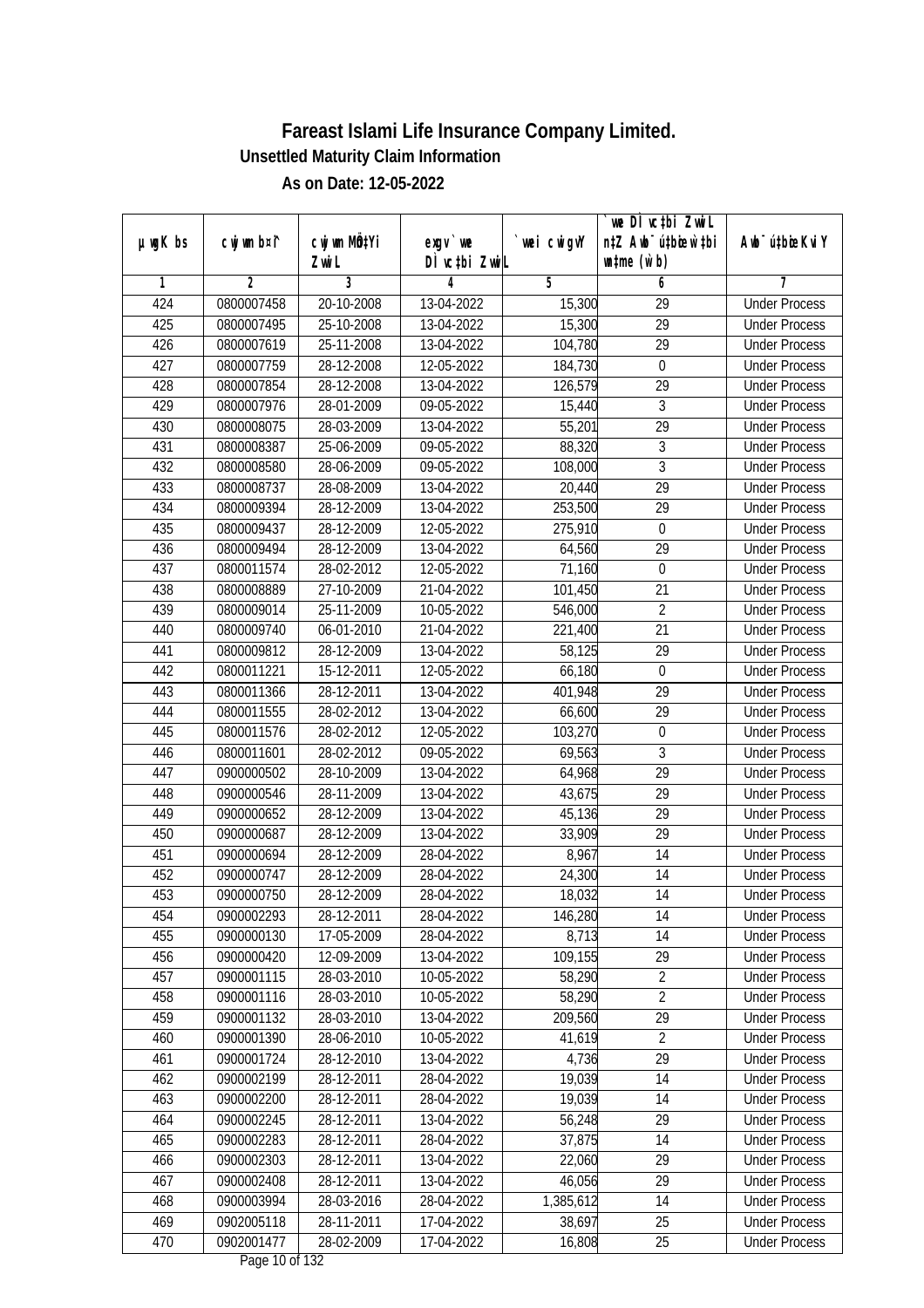|               |                |              |                    |                | we DI vctbi Zwil                 |                             |
|---------------|----------------|--------------|--------------------|----------------|----------------------------------|-----------------------------|
| $µ$ ug $K$ bs | cwj wm b¤i^    | cwj wm MQtYi | $exgv$ we          | wei cwigvY     | n‡Z Awb <sup>-</sup> ú‡bioen`‡bi | Awb <sup>-</sup> ú‡bioeKviY |
| 1             | $\overline{2}$ | Zwi L<br>3   | DÌ vctbi ZwiL<br>4 | $\overline{5}$ | $\n  untime\n  (u`b)\n$<br>6     | 7                           |
| 424           | 0800007458     | 20-10-2008   | 13-04-2022         | 15,300         | $\overline{29}$                  | <b>Under Process</b>        |
| 425           |                |              |                    |                | $\overline{29}$                  |                             |
|               | 0800007495     | 25-10-2008   | 13-04-2022         | 15,300         |                                  | <b>Under Process</b>        |
| 426           | 0800007619     | 25-11-2008   | 13-04-2022         | 104,780        | $\overline{29}$                  | <b>Under Process</b>        |
| 427           | 0800007759     | 28-12-2008   | 12-05-2022         | 184,730        | $\boldsymbol{0}$                 | <b>Under Process</b>        |
| 428           | 0800007854     | 28-12-2008   | 13-04-2022         | 126,579        | $\overline{29}$                  | <b>Under Process</b>        |
| 429           | 0800007976     | 28-01-2009   | 09-05-2022         | 15,440         | 3                                | <b>Under Process</b>        |
| 430           | 0800008075     | 28-03-2009   | 13-04-2022         | 55,201         | $\overline{29}$                  | <b>Under Process</b>        |
| 431           | 0800008387     | 25-06-2009   | 09-05-2022         | 88,320         | $\overline{3}$                   | <b>Under Process</b>        |
| 432           | 0800008580     | 28-06-2009   | 09-05-2022         | 108,000        | $\overline{3}$                   | <b>Under Process</b>        |
| 433           | 0800008737     | 28-08-2009   | 13-04-2022         | 20,440         | 29                               | <b>Under Process</b>        |
| 434           | 0800009394     | 28-12-2009   | 13-04-2022         | 253,500        | $\overline{29}$                  | <b>Under Process</b>        |
| 435           | 0800009437     | 28-12-2009   | 12-05-2022         | 275,910        | $\boldsymbol{0}$                 | <b>Under Process</b>        |
| 436           | 0800009494     | 28-12-2009   | 13-04-2022         | 64,560         | $\overline{29}$                  | <b>Under Process</b>        |
| 437           | 0800011574     | 28-02-2012   | 12-05-2022         | 71,160         | $\boldsymbol{0}$                 | <b>Under Process</b>        |
| 438           | 0800008889     | 27-10-2009   | 21-04-2022         | 101,450        | 21                               | <b>Under Process</b>        |
| 439           | 0800009014     | 25-11-2009   | 10-05-2022         | 546,000        | $\overline{2}$                   | <b>Under Process</b>        |
| 440           | 0800009740     | 06-01-2010   | 21-04-2022         | 221,400        | 21                               | <b>Under Process</b>        |
| 441           | 0800009812     | 28-12-2009   | 13-04-2022         | 58,125         | 29                               | <b>Under Process</b>        |
| 442           | 0800011221     | 15-12-2011   | 12-05-2022         | 66,180         | $\boldsymbol{0}$                 | <b>Under Process</b>        |
| 443           | 0800011366     | 28-12-2011   | 13-04-2022         | 401,948        | 29                               | <b>Under Process</b>        |
| 444           | 0800011555     | 28-02-2012   | 13-04-2022         | 66,600         | 29                               | <b>Under Process</b>        |
| 445           | 0800011576     | 28-02-2012   | 12-05-2022         | 103,270        | $\mathbf 0$                      | <b>Under Process</b>        |
| 446           | 0800011601     | 28-02-2012   | 09-05-2022         | 69,563         | 3                                | <b>Under Process</b>        |
| 447           | 0900000502     | 28-10-2009   | 13-04-2022         | 64,968         | $\overline{29}$                  | <b>Under Process</b>        |
| 448           | 0900000546     | 28-11-2009   | 13-04-2022         | 43,675         | 29                               | <b>Under Process</b>        |
| 449           | 0900000652     | 28-12-2009   | 13-04-2022         | 45,136         | 29                               | <b>Under Process</b>        |
| 450           | 0900000687     | 28-12-2009   | 13-04-2022         | 33,909         | 29                               | <b>Under Process</b>        |
| 451           | 0900000694     | 28-12-2009   | 28-04-2022         | 8,967          | 14                               | <b>Under Process</b>        |
| 452           | 0900000747     | 28-12-2009   | 28-04-2022         | 24,300         | 14                               | <b>Under Process</b>        |
| 453           | 0900000750     | 28-12-2009   | 28-04-2022         | 18,032         | 14                               | <b>Under Process</b>        |
| 454           | 0900002293     | 28-12-2011   | 28-04-2022         | 146,280        | 14                               | <b>Under Process</b>        |
| 455           | 0900000130     | 17-05-2009   | 28-04-2022         | 8,713          | 14                               | <b>Under Process</b>        |
| 456           | 0900000420     | 12-09-2009   | 13-04-2022         | 109,155        | 29                               | <b>Under Process</b>        |
| 457           | 0900001115     | 28-03-2010   | 10-05-2022         | 58,290         | $\overline{2}$                   | <b>Under Process</b>        |
| 458           | 0900001116     | 28-03-2010   | 10-05-2022         | 58,290         | $\overline{2}$                   | <b>Under Process</b>        |
| 459           | 0900001132     | 28-03-2010   | 13-04-2022         | 209,560        | 29                               | <b>Under Process</b>        |
| 460           | 0900001390     | 28-06-2010   | 10-05-2022         | 41,619         | $\overline{2}$                   | <b>Under Process</b>        |
| 461           | 0900001724     | 28-12-2010   | 13-04-2022         | 4,736          | 29                               | <b>Under Process</b>        |
| 462           | 0900002199     | 28-12-2011   | 28-04-2022         | 19,039         | 14                               | <b>Under Process</b>        |
| 463           | 0900002200     | 28-12-2011   | 28-04-2022         | 19,039         | 14                               | <b>Under Process</b>        |
| 464           | 0900002245     | 28-12-2011   | 13-04-2022         | 56,248         | 29                               | <b>Under Process</b>        |
| 465           | 0900002283     | 28-12-2011   | 28-04-2022         | 37,875         | 14                               | <b>Under Process</b>        |
| 466           | 0900002303     | 28-12-2011   | 13-04-2022         | 22,060         | 29                               | <b>Under Process</b>        |
| 467           | 0900002408     | 28-12-2011   | 13-04-2022         | 46,056         | 29                               | <b>Under Process</b>        |
| 468           | 0900003994     | 28-03-2016   | 28-04-2022         | 1,385,612      | 14                               | <b>Under Process</b>        |
| 469           | 0902005118     | 28-11-2011   | 17-04-2022         | 38,697         | 25                               | <b>Under Process</b>        |
| 470           | 0902001477     | 28-02-2009   | 17-04-2022         | 16,808         | 25                               | <b>Under Process</b>        |
|               |                |              |                    |                |                                  |                             |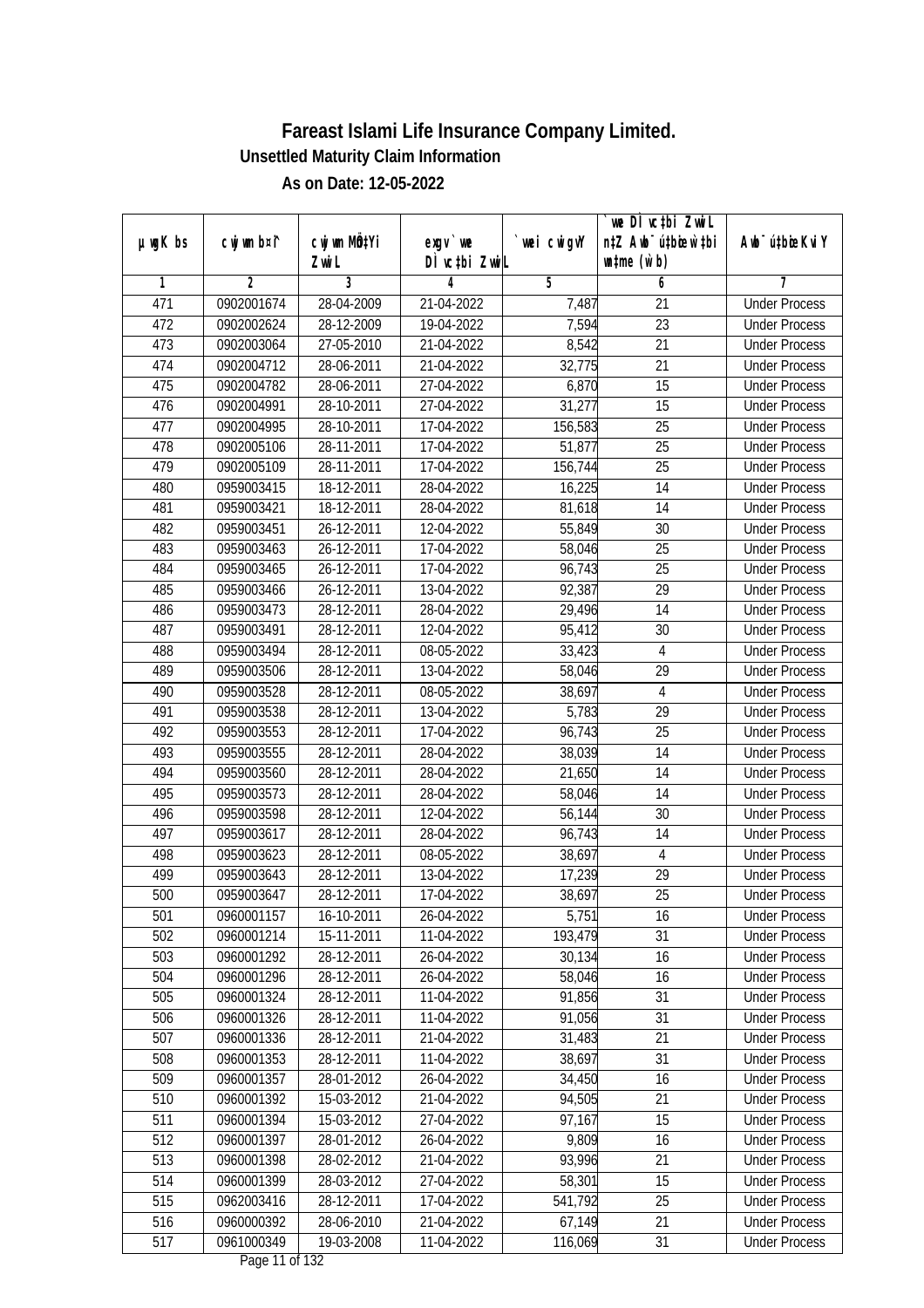|               |                |                       |                           |                  | we DI vctbi ZwiL                                            |                             |
|---------------|----------------|-----------------------|---------------------------|------------------|-------------------------------------------------------------|-----------------------------|
| $µ$ ug $K$ bs | cwj wm b¤i^    | cwj wm MQtYi<br>Zwi L | exgv `we<br>DÌ vctbi ZwiL | `wei cwigvY      | n‡Z Awb <sup>-</sup> ú‡bioar`‡bi<br>$\n  untime\n  (u`b)\n$ | Awb <sup>-</sup> ú‡bioeKviY |
| 1             | $\overline{2}$ | 3                     | 4                         | 5                | 6                                                           | 7                           |
| 471           | 0902001674     | 28-04-2009            | 21-04-2022                | 7,487            | $\overline{21}$                                             | <b>Under Process</b>        |
| 472           | 0902002624     | 28-12-2009            | 19-04-2022                | 7,594            | $\overline{23}$                                             | <b>Under Process</b>        |
| 473           | 0902003064     | 27-05-2010            | 21-04-2022                | 8,542            | $\overline{21}$                                             | <b>Under Process</b>        |
| 474           | 0902004712     | 28-06-2011            | 21-04-2022                | 32,775           | 21                                                          | <b>Under Process</b>        |
| 475           | 0902004782     | 28-06-2011            | 27-04-2022                | 6,870            | $\overline{15}$                                             | <b>Under Process</b>        |
| 476           | 0902004991     | 28-10-2011            | 27-04-2022                | 31,277           | 15                                                          | <b>Under Process</b>        |
| 477           | 0902004995     | 28-10-2011            | 17-04-2022                | 156,583          | $\overline{25}$                                             | <b>Under Process</b>        |
| 478           | 0902005106     | 28-11-2011            | 17-04-2022                | 51,877           | $\overline{25}$                                             | <b>Under Process</b>        |
| 479           | 0902005109     | 28-11-2011            | 17-04-2022                | 156,744          | $\overline{25}$                                             | <b>Under Process</b>        |
| 480           | 0959003415     | 18-12-2011            | 28-04-2022                | 16,225           | 14                                                          | <b>Under Process</b>        |
| 481           | 0959003421     | 18-12-2011            | 28-04-2022                | 81,618           | $\overline{14}$                                             | <b>Under Process</b>        |
| 482           | 0959003451     | 26-12-2011            | 12-04-2022                | 55,849           | 30                                                          | <b>Under Process</b>        |
| 483           | 0959003463     | 26-12-2011            | 17-04-2022                | 58,046           | $\overline{25}$                                             | <b>Under Process</b>        |
| 484           | 0959003465     | 26-12-2011            | 17-04-2022                | 96,743           | 25                                                          | <b>Under Process</b>        |
| 485           | 0959003466     | 26-12-2011            | 13-04-2022                | 92,387           | 29                                                          | <b>Under Process</b>        |
| 486           | 0959003473     | 28-12-2011            | 28-04-2022                |                  | 14                                                          | <b>Under Process</b>        |
| 487           | 0959003491     | 28-12-2011            | 12-04-2022                | 29,496<br>95,412 | 30                                                          | <b>Under Process</b>        |
| 488           | 0959003494     | 28-12-2011            | 08-05-2022                | 33,423           | $\overline{4}$                                              | <b>Under Process</b>        |
| 489           | 0959003506     | 28-12-2011            | 13-04-2022                | 58,046           | 29                                                          | <b>Under Process</b>        |
| 490           | 0959003528     | 28-12-2011            | 08-05-2022                | 38,697           | 4                                                           | <b>Under Process</b>        |
| 491           | 0959003538     | 28-12-2011            | 13-04-2022                | 5,783            | 29                                                          | <b>Under Process</b>        |
| 492           | 0959003553     | 28-12-2011            | 17-04-2022                | 96,743           | 25                                                          | <b>Under Process</b>        |
| 493           | 0959003555     | 28-12-2011            | 28-04-2022                | 38,039           | 14                                                          | <b>Under Process</b>        |
| 494           | 0959003560     | 28-12-2011            | 28-04-2022                | 21,650           | 14                                                          | <b>Under Process</b>        |
| 495           | 0959003573     | 28-12-2011            | 28-04-2022                | 58,046           | 14                                                          | <b>Under Process</b>        |
| 496           | 0959003598     | 28-12-2011            | 12-04-2022                | 56,144           | 30                                                          | <b>Under Process</b>        |
| 497           | 0959003617     | 28-12-2011            | 28-04-2022                | 96,743           | 14                                                          | <b>Under Process</b>        |
| 498           | 0959003623     | 28-12-2011            | 08-05-2022                | 38,697           | $\overline{4}$                                              | <b>Under Process</b>        |
| 499           | 0959003643     | 28-12-2011            | 13-04-2022                | 17,239           | 29                                                          | <b>Under Process</b>        |
| 500           | 0959003647     | 28-12-2011            | 17-04-2022                | 38,697           | 25                                                          | <b>Under Process</b>        |
| 501           | 0960001157     | 16-10-2011            | 26-04-2022                | 5,751            | 16                                                          | <b>Under Process</b>        |
| 502           | 0960001214     | 15-11-2011            | 11-04-2022                | 193,479          | 31                                                          | <b>Under Process</b>        |
| 503           | 0960001292     | 28-12-2011            | 26-04-2022                | 30,134           | 16                                                          | <b>Under Process</b>        |
| 504           | 0960001296     | 28-12-2011            | 26-04-2022                | 58,046           | 16                                                          | <b>Under Process</b>        |
| 505           | 0960001324     | 28-12-2011            | 11-04-2022                | 91,856           | 31                                                          | <b>Under Process</b>        |
| 506           | 0960001326     | 28-12-2011            | 11-04-2022                | 91,056           | 31                                                          | <b>Under Process</b>        |
| 507           | 0960001336     | 28-12-2011            | 21-04-2022                | 31,483           | 21                                                          | <b>Under Process</b>        |
| 508           | 0960001353     | 28-12-2011            | 11-04-2022                | 38,697           | $\overline{31}$                                             | <b>Under Process</b>        |
| 509           | 0960001357     | 28-01-2012            | 26-04-2022                | 34,450           | 16                                                          | <b>Under Process</b>        |
| 510           | 0960001392     | 15-03-2012            | 21-04-2022                | 94,505           | 21                                                          | <b>Under Process</b>        |
| 511           | 0960001394     | 15-03-2012            | 27-04-2022                | 97,167           | 15                                                          | <b>Under Process</b>        |
| 512           | 0960001397     | 28-01-2012            | 26-04-2022                | 9,809            | 16                                                          | <b>Under Process</b>        |
| 513           | 0960001398     | 28-02-2012            | 21-04-2022                | 93,996           | $\overline{21}$                                             | <b>Under Process</b>        |
| 514           | 0960001399     | 28-03-2012            | 27-04-2022                | 58,301           | 15                                                          | <b>Under Process</b>        |
| 515           | 0962003416     | 28-12-2011            | 17-04-2022                | 541,792          | 25                                                          | <b>Under Process</b>        |
| 516           | 0960000392     | 28-06-2010            | 21-04-2022                | 67,149           | 21                                                          | <b>Under Process</b>        |
| 517           | 0961000349     | $19-03-2008$          | 11-04-2022                | 116,069          | 31                                                          | <b>Under Process</b>        |
|               |                |                       | Dege 11 of 122            |                  |                                                             |                             |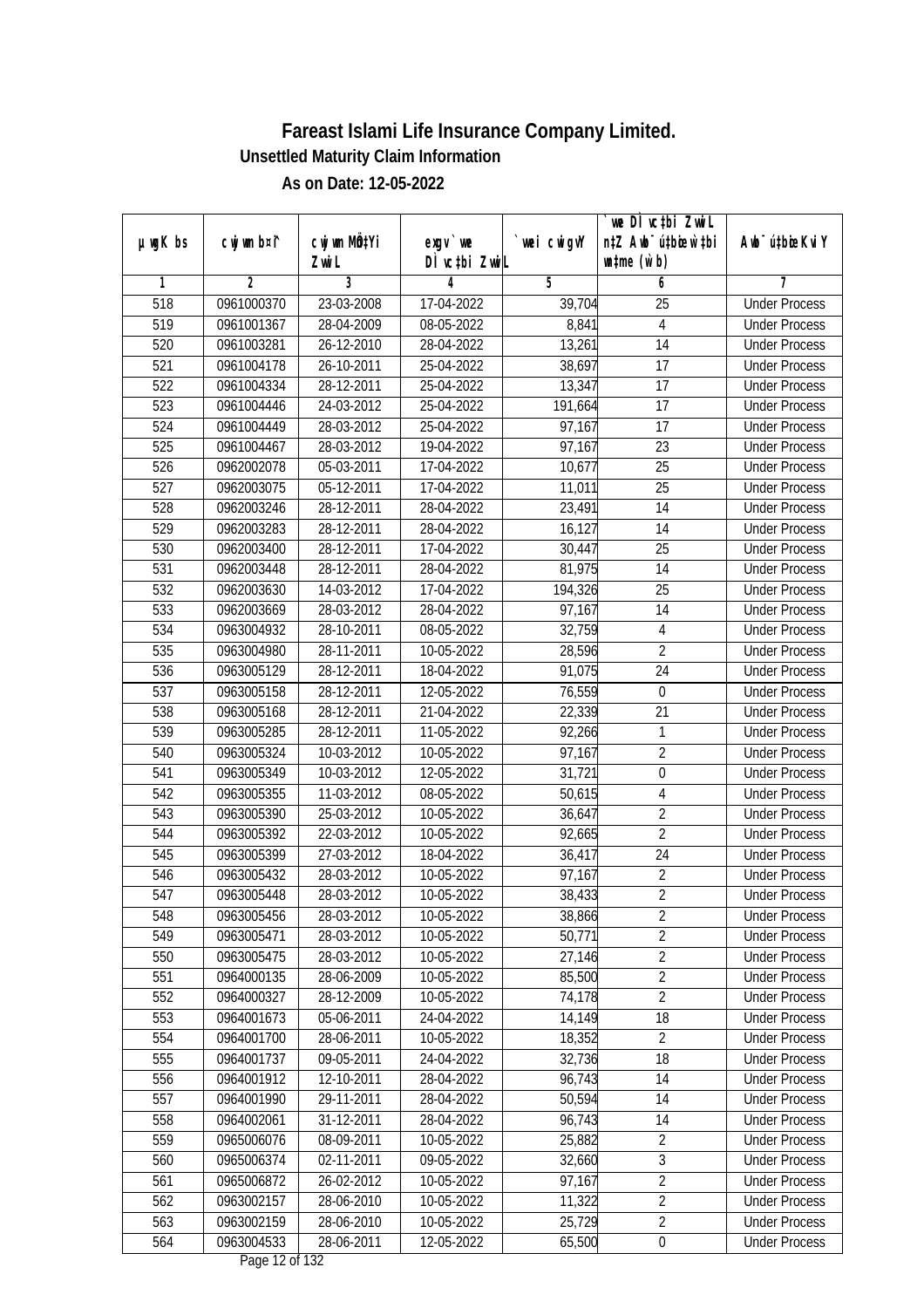|               |                |                       |                                    |                | we DI vctbi ZwiL                                            |                             |
|---------------|----------------|-----------------------|------------------------------------|----------------|-------------------------------------------------------------|-----------------------------|
| $µ$ ug $K$ bs | cwj wm b¤i^    | cwj wm MQtYi<br>Zwi L | $exgV$ we<br>DÌ vctbi ZwiL         | `wei cwigvY    | n‡Z Awb <sup>-</sup> ú‡bioar`‡bi<br>$\n  untime\n  (u`b)\n$ | Awb <sup>-</sup> ú‡bioeKviY |
| 1             | $\overline{2}$ | 3                     | 4                                  | $\overline{5}$ | 6                                                           | 7                           |
| 518           | 0961000370     | 23-03-2008            | 17-04-2022                         | 39,704         | $\overline{25}$                                             | <b>Under Process</b>        |
| 519           | 0961001367     | 28-04-2009            | 08-05-2022                         | 8,841          | $\overline{4}$                                              | <b>Under Process</b>        |
| 520           | 0961003281     | 26-12-2010            | 28-04-2022                         | 13,261         | $\overline{14}$                                             | <b>Under Process</b>        |
| 521           | 0961004178     | 26-10-2011            | 25-04-2022                         | 38,697         | 17                                                          | <b>Under Process</b>        |
| 522           | 0961004334     | $28 - 12 - 2011$      | 25-04-2022                         | 13,347         | $\overline{17}$                                             | <b>Under Process</b>        |
| 523           | 0961004446     | 24-03-2012            | 25-04-2022                         | 191,664        | $\overline{17}$                                             | <b>Under Process</b>        |
| 524           | 0961004449     | 28-03-2012            | 25-04-2022                         | 97,167         | $\overline{17}$                                             | <b>Under Process</b>        |
| 525           | 0961004467     | 28-03-2012            | 19-04-2022                         | 97,167         | 23                                                          | <b>Under Process</b>        |
| 526           | 0962002078     | 05-03-2011            | 17-04-2022                         | 10,677         | $\overline{25}$                                             | <b>Under Process</b>        |
| 527           | 0962003075     | 05-12-2011            | 17-04-2022                         | 11,011         | 25                                                          | <b>Under Process</b>        |
| 528           | 0962003246     | 28-12-2011            | 28-04-2022                         | 23,491         | $\overline{14}$                                             | <b>Under Process</b>        |
| 529           | 0962003283     | 28-12-2011            | 28-04-2022                         | 16,127         | 14                                                          | <b>Under Process</b>        |
| 530           | 0962003400     | 28-12-2011            | 17-04-2022                         | 30,447         | $\overline{25}$                                             | <b>Under Process</b>        |
| 531           | 0962003448     | 28-12-2011            | 28-04-2022                         | 81,975         | 14                                                          | <b>Under Process</b>        |
| 532           | 0962003630     | 14-03-2012            | 17-04-2022                         | 194,326        | 25                                                          | <b>Under Process</b>        |
| 533           | 0962003669     | 28-03-2012            | 28-04-2022                         | 97,167         | 14                                                          | <b>Under Process</b>        |
| 534           | 0963004932     | 28-10-2011            | 08-05-2022                         | 32,759         | $\sqrt{4}$                                                  | <b>Under Process</b>        |
| 535           | 0963004980     | 28-11-2011            | 10-05-2022                         | 28,596         | $\overline{2}$                                              | <b>Under Process</b>        |
| 536           | 0963005129     | 28-12-2011            | 18-04-2022                         | 91,075         | 24                                                          | <b>Under Process</b>        |
| 537           | 0963005158     | 28-12-2011            | 12-05-2022                         | 76,559         | $\boldsymbol{0}$                                            | <b>Under Process</b>        |
| 538           | 0963005168     | 28-12-2011            | 21-04-2022                         | 22,339         | 21                                                          | <b>Under Process</b>        |
| 539           | 0963005285     | 28-12-2011            | 11-05-2022                         | 92,266         | 1                                                           | <b>Under Process</b>        |
| 540           | 0963005324     | 10-03-2012            | 10-05-2022                         | 97,167         | $\overline{2}$                                              | <b>Under Process</b>        |
| 541           | 0963005349     | 10-03-2012            | 12-05-2022                         | 31,721         | $\boldsymbol{0}$                                            | <b>Under Process</b>        |
| 542           | 0963005355     | 11-03-2012            | 08-05-2022                         | 50,615         | $\sqrt{4}$                                                  | <b>Under Process</b>        |
| 543           | 0963005390     | 25-03-2012            | 10-05-2022                         | 36,647         | $\sqrt{2}$                                                  | <b>Under Process</b>        |
| 544           | 0963005392     | 22-03-2012            | 10-05-2022                         | 92,665         | $\overline{2}$                                              | <b>Under Process</b>        |
| 545           | 0963005399     | 27-03-2012            | 18-04-2022                         | 36,417         | 24                                                          | <b>Under Process</b>        |
| 546           | 0963005432     | 28-03-2012            | 10-05-2022                         | 97,167         | $\overline{2}$                                              | <b>Under Process</b>        |
| 547           | 0963005448     | 28-03-2012            | 10-05-2022                         | 38,433         | $\overline{2}$                                              | <b>Under Process</b>        |
| 548           | 0963005456     | 28-03-2012            | 10-05-2022                         | 38,866         | 2                                                           | <b>Under Process</b>        |
| 549           | 0963005471     | 28-03-2012            | 10-05-2022                         | 50,771         | $\overline{2}$                                              | <b>Under Process</b>        |
| 550           | 0963005475     | 28-03-2012            | 10-05-2022                         | 27,146         | $\overline{2}$                                              | <b>Under Process</b>        |
| 551           | 0964000135     | 28-06-2009            | 10-05-2022                         | 85,500         | $\overline{2}$                                              | <b>Under Process</b>        |
| 552           | 0964000327     | 28-12-2009            | 10-05-2022                         | 74,178         | $\overline{2}$                                              | <b>Under Process</b>        |
| 553           | 0964001673     | 05-06-2011            | 24-04-2022                         | 14, 149        | 18                                                          | <b>Under Process</b>        |
| 554           | 0964001700     | 28-06-2011            | 10-05-2022                         | 18,352         | $\overline{2}$                                              | <b>Under Process</b>        |
| 555           | 0964001737     | $09 - 05 - 2011$      | 24-04-2022                         | 32,736         | $\overline{18}$                                             | <b>Under Process</b>        |
| 556           | 0964001912     | 12-10-2011            | 28-04-2022                         | 96,743         | 14                                                          | <b>Under Process</b>        |
| 557           | 0964001990     | 29-11-2011            | 28-04-2022                         | 50,594         | 14                                                          | <b>Under Process</b>        |
| 558           | 0964002061     | 31-12-2011            | 28-04-2022                         | 96,743         | 14                                                          | <b>Under Process</b>        |
| 559           | 0965006076     | 08-09-2011            | 10-05-2022                         | 25,882         | $\overline{2}$                                              | <b>Under Process</b>        |
| 560           | 0965006374     | 02-11-2011            | 09-05-2022                         | 32,660         | 3                                                           | <b>Under Process</b>        |
| 561           | 0965006872     | 26-02-2012            | 10-05-2022                         | 97,167         | $\overline{2}$                                              | <b>Under Process</b>        |
| 562           | 0963002157     | 28-06-2010            | 10-05-2022                         | 11,322         | $\overline{2}$                                              | <b>Under Process</b>        |
| 563           | 0963002159     | 28-06-2010            | 10-05-2022                         | 25,729         | $\overline{2}$                                              | <b>Under Process</b>        |
| 564           | 0963004533     | 28-06-2011            | 12-05-2022<br>$D_{0.92}$ 10 of 100 | 65,500         | $\pmb{0}$                                                   | <b>Under Process</b>        |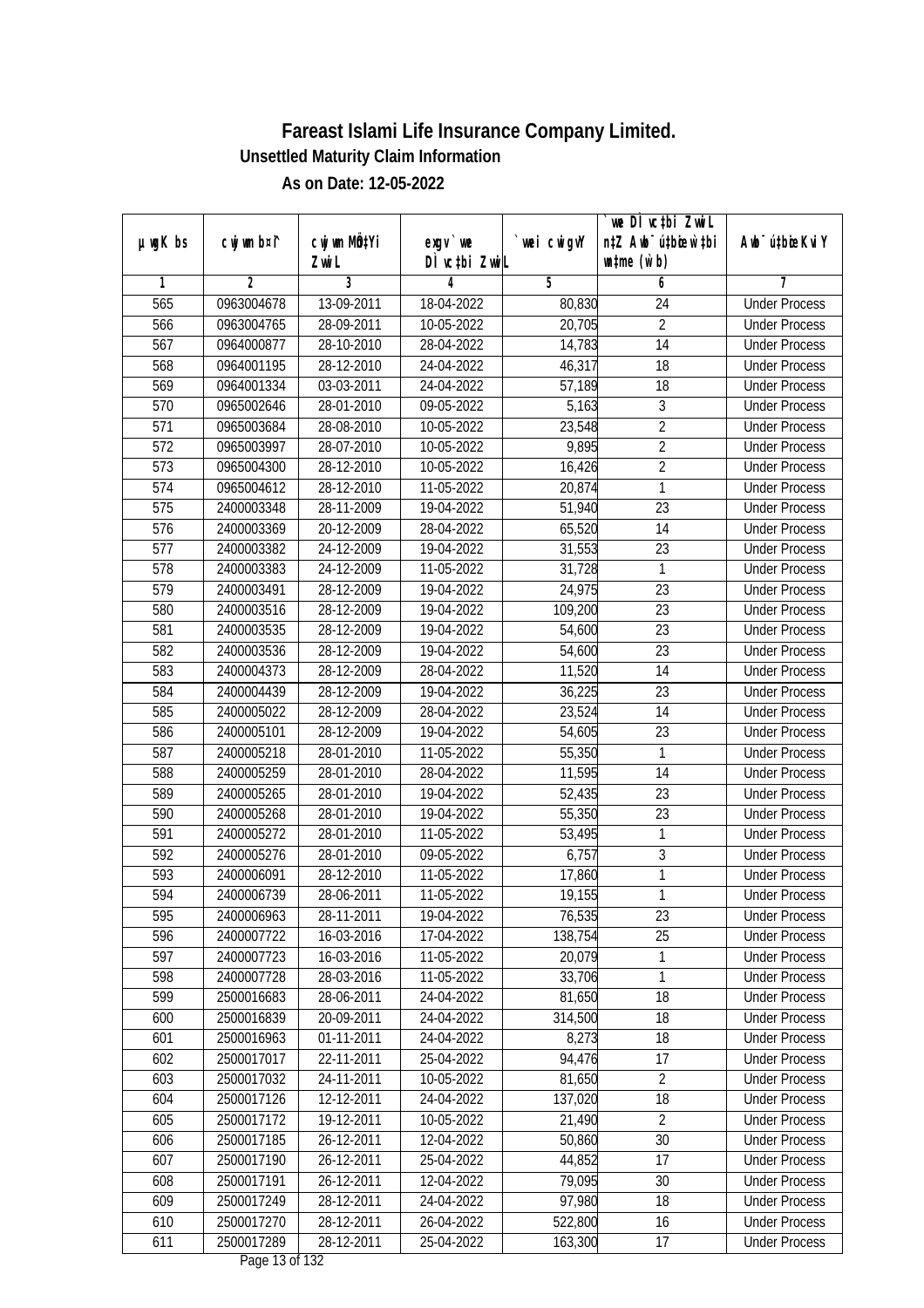|                  |                |                           |               |                | we DI vctbi Zwil                 |                             |
|------------------|----------------|---------------------------|---------------|----------------|----------------------------------|-----------------------------|
| $µ$ ug $K$ bs    | cwj wm b¤i^    | cwj wm MQtYi              | $exgv$ we     | `wei cwigvY    | n‡Z Awb <sup>-</sup> ú‡biosw`‡bi | Awb <sup>-</sup> ú‡bioeKviY |
|                  |                | Zwi L                     | DÌ vctbi ZwiL |                | $\n  untime\n  (u`b)\n$          |                             |
| 1                | $\overline{2}$ | 3                         | 4             | $\overline{5}$ | 6                                | 7                           |
| 565              | 0963004678     | 13-09-2011                | 18-04-2022    | 80,830         | 24                               | <b>Under Process</b>        |
| 566              | 0963004765     | 28-09-2011                | 10-05-2022    | 20,705         | $\overline{2}$                   | <b>Under Process</b>        |
| 567              | 0964000877     | 28-10-2010                | 28-04-2022    | 14,783         | $\overline{14}$                  | <b>Under Process</b>        |
| 568              | 0964001195     | 28-12-2010                | 24-04-2022    | 46,317         | 18                               | <b>Under Process</b>        |
| 569              | 0964001334     | $03 - 03 - 2011$          | 24-04-2022    | 57,189         | $\overline{18}$                  | <b>Under Process</b>        |
| 570              | 0965002646     | 28-01-2010                | 09-05-2022    | 5,163          | 3                                | <b>Under Process</b>        |
| 571              | 0965003684     | 28-08-2010                | $10-05-2022$  | 23,548         | $\overline{2}$                   | <b>Under Process</b>        |
| 572              | 0965003997     | 28-07-2010                | 10-05-2022    | 9,895          | $\overline{2}$                   | <b>Under Process</b>        |
| 573              | 0965004300     | 28-12-2010                | 10-05-2022    | 16,426         | $\overline{2}$                   | <b>Under Process</b>        |
| 574              | 0965004612     | 28-12-2010                | 11-05-2022    | 20,874         | 1                                | <b>Under Process</b>        |
| $\overline{575}$ | 2400003348     | 28-11-2009                | 19-04-2022    | 51,940         | $\overline{23}$                  | <b>Under Process</b>        |
| 576              | 2400003369     | 20-12-2009                | 28-04-2022    | 65,520         | 14                               | <b>Under Process</b>        |
| 577              | 2400003382     | 24-12-2009                | 19-04-2022    | 31,553         | $\overline{23}$                  | <b>Under Process</b>        |
| 578              | 2400003383     | 24-12-2009                | 11-05-2022    | 31,728         | 1                                | <b>Under Process</b>        |
| 579              | 2400003491     | 28-12-2009                | 19-04-2022    | 24,975         | 23                               | <b>Under Process</b>        |
| 580              | 2400003516     | 28-12-2009                | 19-04-2022    | 109,200        | 23                               | <b>Under Process</b>        |
| 581              | 2400003535     | 28-12-2009                | 19-04-2022    | 54,600         | 23                               | <b>Under Process</b>        |
| 582              | 2400003536     | 28-12-2009                | 19-04-2022    | 54,600         | 23                               | <b>Under Process</b>        |
| 583              | 2400004373     | 28-12-2009                | 28-04-2022    | 11,520         | 14                               | <b>Under Process</b>        |
| 584              | 2400004439     | 28-12-2009                | 19-04-2022    | 36,225         | 23                               | <b>Under Process</b>        |
| 585              | 2400005022     | 28-12-2009                | 28-04-2022    | 23,524         | 14                               | <b>Under Process</b>        |
| 586              | 2400005101     | 28-12-2009                | 19-04-2022    | 54,605         | 23                               | <b>Under Process</b>        |
| 587              | 2400005218     | 28-01-2010                | 11-05-2022    | 55,350         | 1                                | <b>Under Process</b>        |
| 588              | 2400005259     | 28-01-2010                | 28-04-2022    | 11,595         | 14                               | <b>Under Process</b>        |
| 589              | 2400005265     | 28-01-2010                | 19-04-2022    | 52,435         | 23                               | <b>Under Process</b>        |
| 590              | 2400005268     | 28-01-2010                | 19-04-2022    | 55,350         | 23                               | <b>Under Process</b>        |
| 591              | 2400005272     | 28-01-2010                | 11-05-2022    | 53,495         | $\mathbf{1}$                     | <b>Under Process</b>        |
| 592              | 2400005276     | 28-01-2010                | 09-05-2022    | 6,757          | $\overline{3}$                   | <b>Under Process</b>        |
| 593              | 2400006091     | 28-12-2010                | 11-05-2022    | 17,860         | 1                                | <b>Under Process</b>        |
| 594              | 2400006739     | 28-06-2011                | 11-05-2022    | 19,155         | $\mathbf{1}$                     | <b>Under Process</b>        |
| 595              | 2400006963     | 28-11-2011                | 19-04-2022    | 76,535         | 23                               | <b>Under Process</b>        |
| 596              | 2400007722     | 16-03-2016                | 17-04-2022    | 138,754        | 25                               | <b>Under Process</b>        |
| 597              | 2400007723     | 16-03-2016                | 11-05-2022    | 20,079         | 1                                | <b>Under Process</b>        |
| 598              | 2400007728     | 28-03-2016                | 11-05-2022    | 33,706         | 1                                | <b>Under Process</b>        |
| 599              | 2500016683     | 28-06-2011                | 24-04-2022    | 81,650         | 18                               | <b>Under Process</b>        |
| 600              | 2500016839     | 20-09-2011                | 24-04-2022    | 314,500        | 18                               | <b>Under Process</b>        |
| 601              | 2500016963     | $\overline{01-11} - 2011$ | 24-04-2022    | 8,273          | 18                               | <b>Under Process</b>        |
| 602              | 2500017017     | 22-11-2011                | 25-04-2022    | 94,476         | 17                               | <b>Under Process</b>        |
| 603              | 2500017032     | 24-11-2011                | 10-05-2022    | 81,650         | $\overline{2}$                   | <b>Under Process</b>        |
| 604              | 2500017126     | 12-12-2011                | 24-04-2022    | 137,020        | 18                               | <b>Under Process</b>        |
| 605              | 2500017172     | 19-12-2011                | 10-05-2022    | 21,490         | $\overline{2}$                   | <b>Under Process</b>        |
| 606              | 2500017185     | 26-12-2011                | 12-04-2022    | 50,860         | 30                               | <b>Under Process</b>        |
| 607              | 2500017190     | 26-12-2011                | 25-04-2022    | 44,852         | 17                               | <b>Under Process</b>        |
| 608              | 2500017191     | 26-12-2011                | 12-04-2022    | 79,095         | 30                               | <b>Under Process</b>        |
| 609              | 2500017249     | 28-12-2011                | 24-04-2022    | 97,980         | 18                               | <b>Under Process</b>        |
| 610              | 2500017270     | 28-12-2011                | 26-04-2022    | 522,800        | 16                               | <b>Under Process</b>        |
| 611              | 2500017289     | 28-12-2011                | 25-04-2022    | 163,300        | 17                               | <b>Under Process</b>        |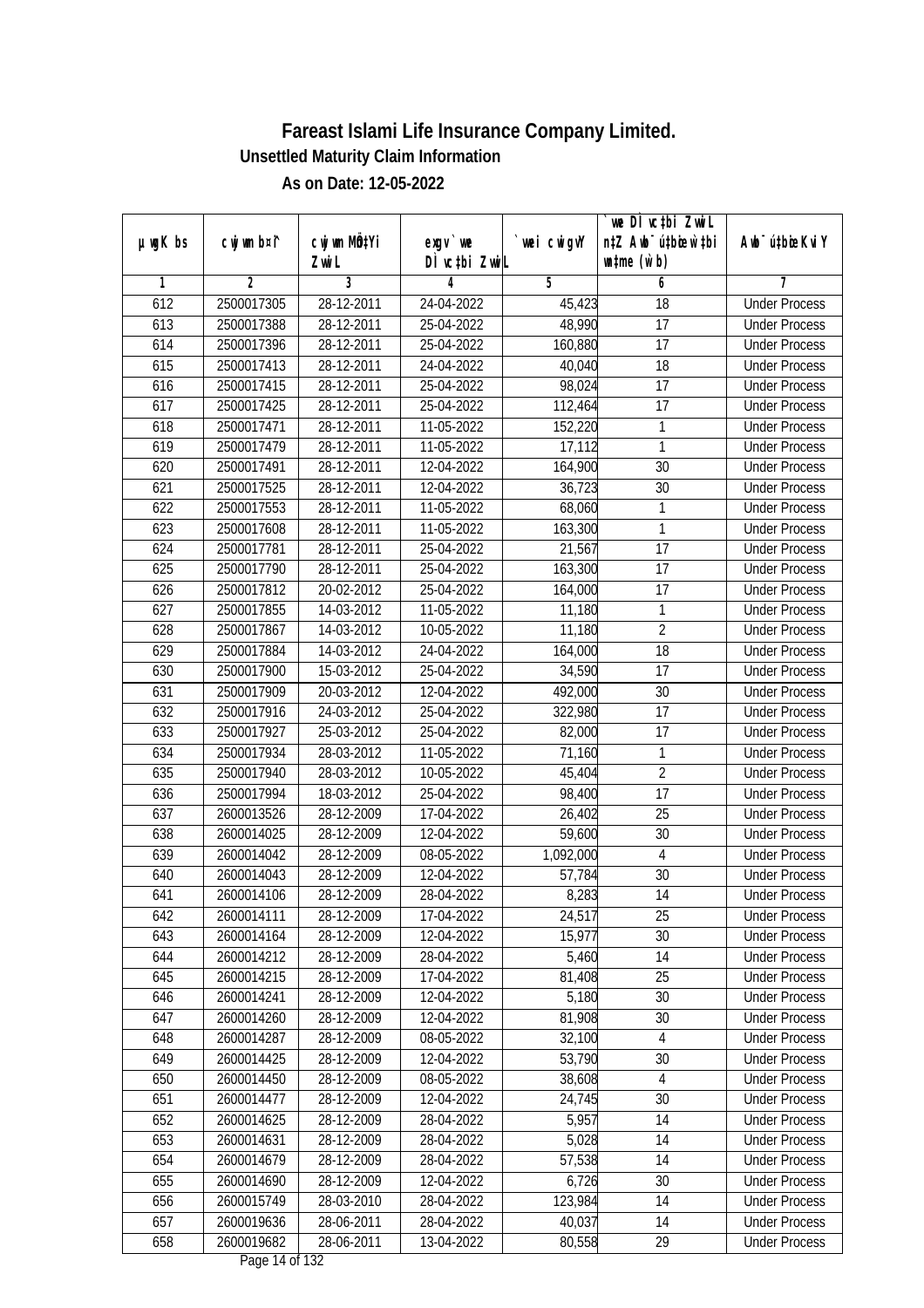| $µ$ ug $K$ bs | cwj wm b¤i^    | cwj wm MQtYi | $exgV$ we     | wei cwigvY | we DI vc‡bi ZwiL<br>n‡Z Awb <sup>-</sup> ú‡bioar`‡bi | Awb <sup>-</sup> ú‡bioeKviY |
|---------------|----------------|--------------|---------------|------------|------------------------------------------------------|-----------------------------|
|               |                | Zwi L        | DÌ vctbi ZwiL |            | $\n  untime\n  (u`b)\n$                              |                             |
| 1             | $\overline{2}$ | 3            | 4             | 5          | 6                                                    | 7                           |
| 612           | 2500017305     | 28-12-2011   | 24-04-2022    | 45,423     | $\overline{18}$                                      | <b>Under Process</b>        |
| 613           | 2500017388     | 28-12-2011   | 25-04-2022    | 48,990     | 17                                                   | <b>Under Process</b>        |
| 614           | 2500017396     | 28-12-2011   | 25-04-2022    | 160,880    | 17                                                   | <b>Under Process</b>        |
| 615           | 2500017413     | 28-12-2011   | 24-04-2022    | 40,040     | 18                                                   | <b>Under Process</b>        |
| 616           | 2500017415     | $28-12-2011$ | 25-04-2022    | 98,024     | $\overline{17}$                                      | <b>Under Process</b>        |
| 617           | 2500017425     | 28-12-2011   | 25-04-2022    | 112,464    | $\overline{17}$                                      | <b>Under Process</b>        |
| 618           | 2500017471     | 28-12-2011   | $11-05-2022$  | 152,220    | 1                                                    | <b>Under Process</b>        |
| 619           | 2500017479     | 28-12-2011   | 11-05-2022    | 17,112     | 1                                                    | <b>Under Process</b>        |
| 620           | 2500017491     | 28-12-2011   | 12-04-2022    | 164,900    | 30                                                   | <b>Under Process</b>        |
| 621           | 2500017525     | 28-12-2011   | 12-04-2022    | 36,723     | 30                                                   | <b>Under Process</b>        |
| 622           | 2500017553     | 28-12-2011   | 11-05-2022    | 68,060     | 1                                                    | <b>Under Process</b>        |
| 623           | 2500017608     | 28-12-2011   | 11-05-2022    | 163,300    | $\mathbf{1}$                                         | <b>Under Process</b>        |
| 624           | 2500017781     | 28-12-2011   | 25-04-2022    | 21,567     | $\overline{17}$                                      | <b>Under Process</b>        |
| 625           | 2500017790     | 28-12-2011   | 25-04-2022    | 163,300    | 17                                                   | <b>Under Process</b>        |
| 626           | 2500017812     | 20-02-2012   | 25-04-2022    | 164,000    | 17                                                   | <b>Under Process</b>        |
| 627           | 2500017855     | 14-03-2012   | 11-05-2022    | 11,180     | $\mathbf{1}$                                         | <b>Under Process</b>        |
| 628           | 2500017867     | 14-03-2012   | 10-05-2022    | 11,180     | $\overline{2}$                                       | <b>Under Process</b>        |
| 629           | 2500017884     | 14-03-2012   | 24-04-2022    | 164,000    | $\overline{18}$                                      | <b>Under Process</b>        |
| 630           | 2500017900     | 15-03-2012   | 25-04-2022    | 34,590     | 17                                                   | <b>Under Process</b>        |
| 631           | 2500017909     | 20-03-2012   | 12-04-2022    | 492,000    | 30                                                   | <b>Under Process</b>        |
| 632           | 2500017916     | 24-03-2012   | 25-04-2022    | 322,980    | 17                                                   | <b>Under Process</b>        |
| 633           | 2500017927     | 25-03-2012   | 25-04-2022    | 82,000     | 17                                                   | <b>Under Process</b>        |
| 634           | 2500017934     | 28-03-2012   | 11-05-2022    | 71,160     | 1                                                    | <b>Under Process</b>        |
| 635           | 2500017940     | 28-03-2012   | 10-05-2022    | 45,404     | $\overline{2}$                                       | <b>Under Process</b>        |
| 636           | 2500017994     | 18-03-2012   | 25-04-2022    | 98,400     | 17                                                   | <b>Under Process</b>        |
| 637           | 2600013526     | 28-12-2009   | 17-04-2022    | 26,402     | 25                                                   | <b>Under Process</b>        |
| 638           | 2600014025     | 28-12-2009   | 12-04-2022    | 59,600     | 30                                                   | <b>Under Process</b>        |
| 639           | 2600014042     | 28-12-2009   | 08-05-2022    | 1,092,000  | $\overline{4}$                                       | <b>Under Process</b>        |
| 640           | 2600014043     | 28-12-2009   | 12-04-2022    | 57,784     | 30                                                   | <b>Under Process</b>        |
| 641           | 2600014106     | 28-12-2009   | 28-04-2022    | 8,283      | 14                                                   | <b>Under Process</b>        |
| 642           | 2600014111     | 28-12-2009   | 17-04-2022    | 24,517     | 25                                                   | <b>Under Process</b>        |
| 643           | 2600014164     | 28-12-2009   | 12-04-2022    | 15,977     | 30                                                   | <b>Under Process</b>        |
| 644           | 2600014212     | 28-12-2009   | 28-04-2022    | 5,460      | 14                                                   | <b>Under Process</b>        |
| 645           | 2600014215     | 28-12-2009   | 17-04-2022    | 81,408     | 25                                                   | <b>Under Process</b>        |
| 646           | 2600014241     | 28-12-2009   | 12-04-2022    | 5,180      | 30                                                   | <b>Under Process</b>        |
| 647           | 2600014260     | 28-12-2009   | 12-04-2022    | 81,908     | 30                                                   | <b>Under Process</b>        |
| 648           | 2600014287     | 28-12-2009   | 08-05-2022    | 32,100     | $\overline{4}$                                       | <b>Under Process</b>        |
| 649           | 2600014425     | 28-12-2009   | 12-04-2022    | 53,790     | 30                                                   | <b>Under Process</b>        |
| 650           | 2600014450     | 28-12-2009   | 08-05-2022    | 38,608     | 4                                                    | <b>Under Process</b>        |
| 651           | 2600014477     | 28-12-2009   | 12-04-2022    | 24,745     | 30                                                   | <b>Under Process</b>        |
| 652           | 2600014625     | 28-12-2009   | 28-04-2022    | 5,957      | 14                                                   | <b>Under Process</b>        |
| 653           | 2600014631     | 28-12-2009   | 28-04-2022    | 5,028      | 14                                                   | <b>Under Process</b>        |
| 654           | 2600014679     | 28-12-2009   | 28-04-2022    | 57,538     | 14                                                   | <b>Under Process</b>        |
| 655           | 2600014690     | 28-12-2009   | 12-04-2022    | 6,726      | 30                                                   | <b>Under Process</b>        |
| 656           | 2600015749     | 28-03-2010   | 28-04-2022    | 123,984    | 14                                                   | <b>Under Process</b>        |
| 657           | 2600019636     | 28-06-2011   | 28-04-2022    | 40,037     | 14                                                   | <b>Under Process</b>        |
| 658           | 2600019682     | 28-06-2011   | 13-04-2022    | 80,558     | 29                                                   | <b>Under Process</b>        |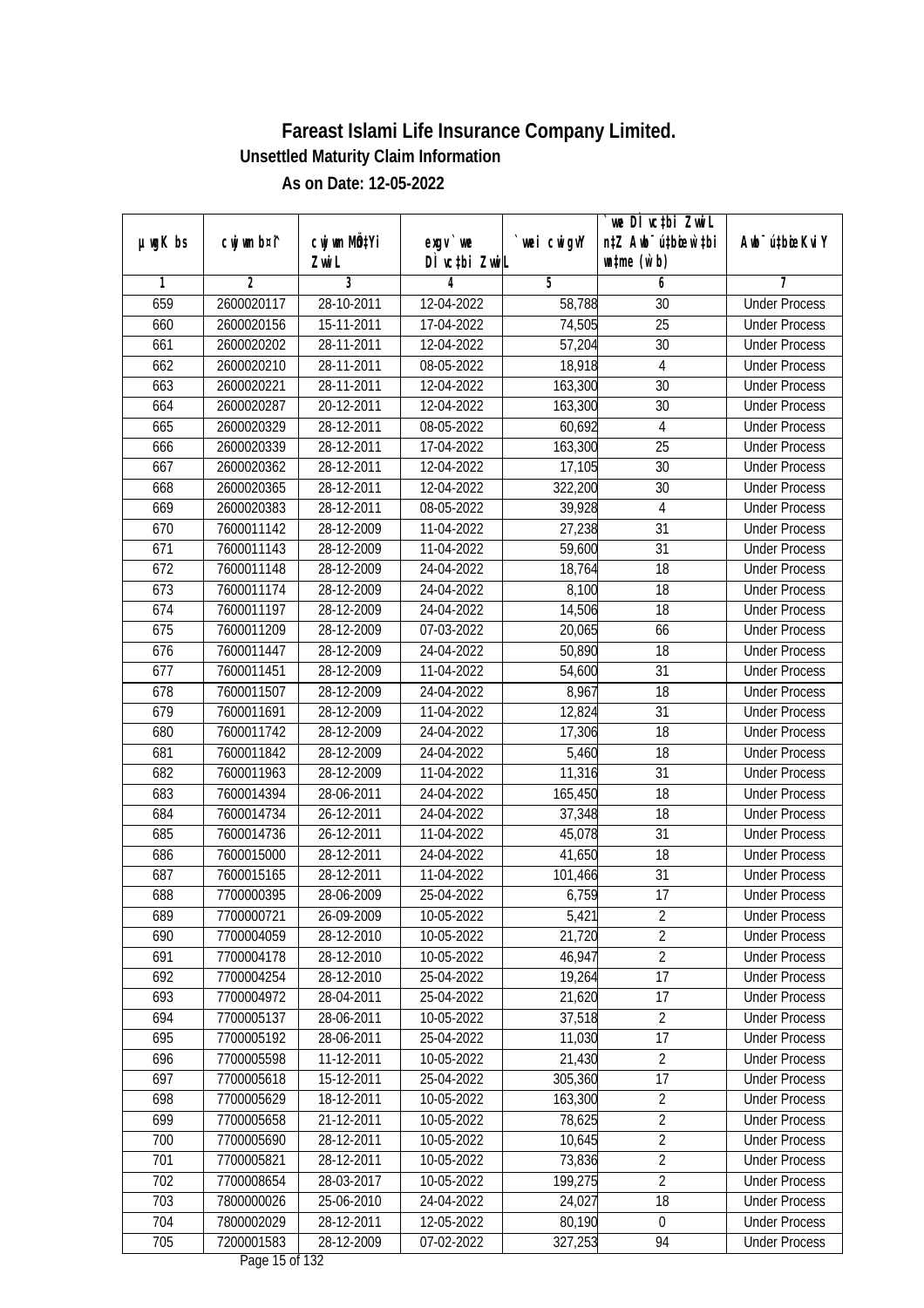|               |                |                       |                            |                | we DI vctbi ZwiL                                            |                             |
|---------------|----------------|-----------------------|----------------------------|----------------|-------------------------------------------------------------|-----------------------------|
| $µ$ ug $K$ bs | cwj wm b¤i^    | cwj wm MQtYi<br>Zwi L | $exgV$ we<br>DÌ vctbi ZwiL | `wei cwigvY    | n‡Z Awb <sup>-</sup> ú‡bioar`‡bi<br>$\n  untime\n  (u`b)\n$ | Awb <sup>-</sup> ú‡bioeKviY |
| 1             | $\overline{2}$ | 3                     | 4                          | $\overline{5}$ | 6                                                           | 7                           |
| 659           | 2600020117     | 28-10-2011            | 12-04-2022                 | 58,788         | 30                                                          | <b>Under Process</b>        |
| 660           | 2600020156     | 15-11-2011            | 17-04-2022                 | 74,505         | $\overline{25}$                                             | <b>Under Process</b>        |
| 661           | 2600020202     | 28-11-2011            | 12-04-2022                 | 57,204         | $\overline{30}$                                             | <b>Under Process</b>        |
| 662           | 2600020210     | 28-11-2011            | 08-05-2022                 | 18,918         | 4                                                           | <b>Under Process</b>        |
| 663           | 2600020221     | 28-11-2011            | 12-04-2022                 | 163,300        | $\overline{30}$                                             | <b>Under Process</b>        |
| 664           | 2600020287     | 20-12-2011            | 12-04-2022                 | 163,300        | 30                                                          | <b>Under Process</b>        |
| 665           | 2600020329     | 28-12-2011            | 08-05-2022                 | 60,692         | $\overline{4}$                                              | <b>Under Process</b>        |
| 666           | 2600020339     | 28-12-2011            | 17-04-2022                 | 163,300        | $\overline{25}$                                             | <b>Under Process</b>        |
| 667           | 2600020362     | 28-12-2011            | 12-04-2022                 | 17,105         | $\overline{30}$                                             | <b>Under Process</b>        |
| 668           | 2600020365     | 28-12-2011            | 12-04-2022                 | 322,200        | 30                                                          | <b>Under Process</b>        |
| 669           | 2600020383     | 28-12-2011            | 08-05-2022                 | 39,928         | 4                                                           | <b>Under Process</b>        |
| 670           | 7600011142     | 28-12-2009            | 11-04-2022                 | 27,238         | 31                                                          | <b>Under Process</b>        |
| 671           | 7600011143     | 28-12-2009            | 11-04-2022                 | 59,600         | $\overline{31}$                                             | <b>Under Process</b>        |
| 672           | 7600011148     | 28-12-2009            | 24-04-2022                 | 18,764         | 18                                                          | <b>Under Process</b>        |
| 673           | 7600011174     | 28-12-2009            | 24-04-2022                 | 8,100          | 18                                                          | <b>Under Process</b>        |
| 674           | 7600011197     | 28-12-2009            | 24-04-2022                 | 14,506         | 18                                                          | <b>Under Process</b>        |
| 675           | 7600011209     | 28-12-2009            | 07-03-2022                 | 20,065         | 66                                                          | <b>Under Process</b>        |
| 676           | 7600011447     | 28-12-2009            | 24-04-2022                 | 50,890         | 18                                                          | <b>Under Process</b>        |
| 677           | 7600011451     | 28-12-2009            | 11-04-2022                 | 54,600         | 31                                                          | <b>Under Process</b>        |
| 678           | 7600011507     | 28-12-2009            | 24-04-2022                 | 8,967          | 18                                                          | <b>Under Process</b>        |
| 679           | 7600011691     | 28-12-2009            | 11-04-2022                 | 12,824         | 31                                                          | <b>Under Process</b>        |
| 680           | 7600011742     | 28-12-2009            | 24-04-2022                 | 17,306         | 18                                                          | <b>Under Process</b>        |
| 681           | 7600011842     | 28-12-2009            | 24-04-2022                 | 5,460          | 18                                                          | <b>Under Process</b>        |
| 682           | 7600011963     | 28-12-2009            | 11-04-2022                 | 11,316         | 31                                                          | <b>Under Process</b>        |
| 683           | 7600014394     | 28-06-2011            | 24-04-2022                 | 165,450        | 18                                                          | <b>Under Process</b>        |
| 684           | 7600014734     | 26-12-2011            | 24-04-2022                 | 37,348         | 18                                                          | <b>Under Process</b>        |
| 685           | 7600014736     | 26-12-2011            | 11-04-2022                 | 45,078         | 31                                                          | <b>Under Process</b>        |
| 686           | 7600015000     | 28-12-2011            | 24-04-2022                 | 41,650         | 18                                                          | <b>Under Process</b>        |
| 687           | 7600015165     | 28-12-2011            | 11-04-2022                 | 101,466        | 31                                                          | <b>Under Process</b>        |
| 688           | 7700000395     | 28-06-2009            | 25-04-2022                 | 6,759          | 17                                                          | <b>Under Process</b>        |
| 689           | 7700000721     | 26-09-2009            | 10-05-2022                 | 5,421          | $\overline{2}$                                              | <b>Under Process</b>        |
| 690           | 7700004059     | 28-12-2010            | 10-05-2022                 | 21,720         | $\overline{2}$                                              | <b>Under Process</b>        |
| 691           | 7700004178     | 28-12-2010            | 10-05-2022                 | 46,947         | $\overline{2}$                                              | <b>Under Process</b>        |
| 692           | 7700004254     | 28-12-2010            | 25-04-2022                 | 19,264         | 17                                                          | <b>Under Process</b>        |
| 693           | 7700004972     | 28-04-2011            | 25-04-2022                 | 21,620         | 17                                                          | <b>Under Process</b>        |
| 694           | 7700005137     | 28-06-2011            | 10-05-2022                 | 37,518         | $\overline{2}$                                              | <b>Under Process</b>        |
| 695           | 7700005192     | 28-06-2011            | 25-04-2022                 | 11,030         | 17                                                          | <b>Under Process</b>        |
| 696           | 7700005598     | 11-12-2011            | 10-05-2022                 | 21,430         | $\overline{2}$                                              | <b>Under Process</b>        |
| 697           | 7700005618     | 15-12-2011            | 25-04-2022                 | 305,360        | 17                                                          | <b>Under Process</b>        |
| 698           | 7700005629     | 18-12-2011            | 10-05-2022                 | 163,300        | $\overline{2}$                                              | <b>Under Process</b>        |
| 699           | 7700005658     | 21-12-2011            | 10-05-2022                 | 78,625         | $\sqrt{2}$                                                  | <b>Under Process</b>        |
| 700           | 7700005690     | 28-12-2011            | 10-05-2022                 | 10,645         | $\overline{2}$                                              | <b>Under Process</b>        |
| 701           | 7700005821     | 28-12-2011            | 10-05-2022                 | 73,836         | $\overline{2}$                                              | <b>Under Process</b>        |
| 702           | 7700008654     | 28-03-2017            | 10-05-2022                 | 199,275        | $\overline{2}$                                              | <b>Under Process</b>        |
| 703           | 7800000026     | 25-06-2010            | 24-04-2022                 | 24,027         | 18                                                          | <b>Under Process</b>        |
| 704           | 7800002029     | 28-12-2011            | 12-05-2022                 | 80,190         | 0                                                           | <b>Under Process</b>        |
| 705           | 7200001583     | 28-12-2009            | 07-02-2022                 | 327,253        | 94                                                          | <b>Under Process</b>        |
|               |                |                       | $D_{0.92}$ 15 of 123       |                |                                                             |                             |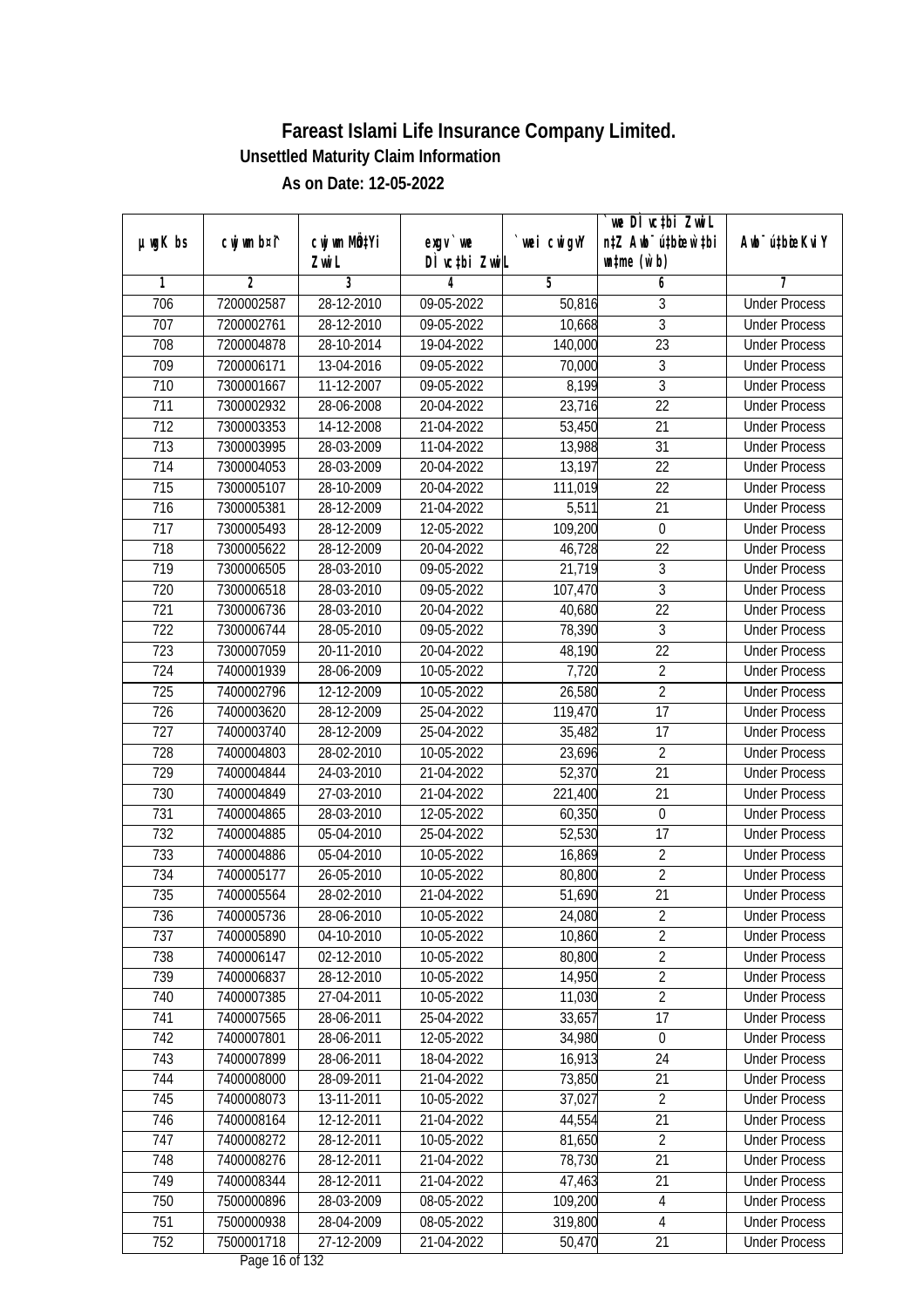|                  |                |                  |                                |            | we DI vctbi Zwil                 |                             |
|------------------|----------------|------------------|--------------------------------|------------|----------------------------------|-----------------------------|
| $µ$ ug $K$ bs    | cwj wm b¤i^    | cwj wm MQtYi     | $exqu$ we                      | wei cwigvY | n‡Z Awb <sup>-</sup> ú‡bioen`‡bi | Awb <sup>-</sup> ú‡bioeKviY |
|                  |                | Zwi L            | DÌ vctbi ZwiL                  |            | $\n  untime\n  (u`b)\n$          |                             |
| 1                | $\overline{2}$ | 3                | 4                              | 5          | 6                                | 7                           |
| 706              | 7200002587     | 28-12-2010       | 09-05-2022                     | 50,816     | 3                                | <b>Under Process</b>        |
| 707              | 7200002761     | 28-12-2010       | 09-05-2022                     | 10,668     | $\overline{3}$                   | <b>Under Process</b>        |
| 708              | 7200004878     | 28-10-2014       | 19-04-2022                     | 140,000    | $\overline{23}$                  | <b>Under Process</b>        |
| 709              | 7200006171     | 13-04-2016       | 09-05-2022                     | 70,000     | 3                                | <b>Under Process</b>        |
| 710              | 7300001667     | $11 - 12 - 2007$ | 09-05-2022                     | 8,199      | $\overline{3}$                   | <b>Under Process</b>        |
| $\overline{711}$ | 7300002932     | 28-06-2008       | 20-04-2022                     | 23,716     | $\overline{22}$                  | <b>Under Process</b>        |
| $\overline{712}$ | 7300003353     | 14-12-2008       | 21-04-2022                     | 53,450     | $\overline{21}$                  | <b>Under Process</b>        |
| 713              | 7300003995     | 28-03-2009       | 11-04-2022                     | 13,988     | 31                               | <b>Under Process</b>        |
| 714              | 7300004053     | 28-03-2009       | 20-04-2022                     | 13,197     | 22                               | <b>Under Process</b>        |
| 715              | 7300005107     | 28-10-2009       | 20-04-2022                     | 111,019    | 22                               | <b>Under Process</b>        |
| 716              | 7300005381     | 28-12-2009       | 21-04-2022                     | 5,511      | $\overline{21}$                  | <b>Under Process</b>        |
| 717              | 7300005493     | 28-12-2009       | 12-05-2022                     | 109,200    | $\boldsymbol{0}$                 | <b>Under Process</b>        |
| 718              | 7300005622     | 28-12-2009       | 20-04-2022                     | 46,728     | $\overline{22}$                  | <b>Under Process</b>        |
| 719              | 7300006505     | 28-03-2010       | 09-05-2022                     | 21,719     | 3                                | <b>Under Process</b>        |
| 720              | 7300006518     | 28-03-2010       | 09-05-2022                     | 107,470    | $\overline{3}$                   | <b>Under Process</b>        |
| 721              | 7300006736     | 28-03-2010       | 20-04-2022                     | 40,680     | $\overline{22}$                  | <b>Under Process</b>        |
| 722              | 7300006744     | 28-05-2010       | 09-05-2022                     | 78,390     | $\overline{3}$                   | <b>Under Process</b>        |
| 723              | 7300007059     | 20-11-2010       | 20-04-2022                     | 48,190     | 22                               | <b>Under Process</b>        |
| 724              | 7400001939     | 28-06-2009       | 10-05-2022                     | 7,720      | $\overline{2}$                   | <b>Under Process</b>        |
| 725              | 7400002796     | 12-12-2009       | 10-05-2022                     | 26,580     | $\overline{2}$                   | <b>Under Process</b>        |
| 726              | 7400003620     | 28-12-2009       | 25-04-2022                     | 119,470    | $\overline{17}$                  | <b>Under Process</b>        |
| 727              | 7400003740     | 28-12-2009       | 25-04-2022                     | 35,482     | 17                               | <b>Under Process</b>        |
| 728              | 7400004803     | 28-02-2010       | 10-05-2022                     | 23,696     | $\overline{2}$                   | <b>Under Process</b>        |
| 729              | 7400004844     | 24-03-2010       | 21-04-2022                     | 52,370     | 21                               | <b>Under Process</b>        |
| 730              | 7400004849     | 27-03-2010       | 21-04-2022                     | 221,400    | 21                               | <b>Under Process</b>        |
| 731              | 7400004865     | 28-03-2010       | 12-05-2022                     | 60,350     | $\boldsymbol{0}$                 | <b>Under Process</b>        |
| 732              | 7400004885     | 05-04-2010       | 25-04-2022                     | 52,530     | 17                               | <b>Under Process</b>        |
| 733              | 7400004886     | 05-04-2010       | 10-05-2022                     | 16,869     | $\overline{2}$                   | <b>Under Process</b>        |
| 734              | 7400005177     | 26-05-2010       | 10-05-2022                     | 80,800     | $\overline{2}$                   | <b>Under Process</b>        |
| 735              | 7400005564     | 28-02-2010       | 21-04-2022                     | 51,690     | 21                               | <b>Under Process</b>        |
| 736              | 7400005736     | 28-06-2010       | 10-05-2022                     | 24,080     | 2                                | <b>Under Process</b>        |
| 737              | 7400005890     | 04-10-2010       | 10-05-2022                     | 10,860     | $\overline{2}$                   | <b>Under Process</b>        |
| 738              | 7400006147     | 02-12-2010       | 10-05-2022                     | 80,800     | $\overline{2}$                   | <b>Under Process</b>        |
| 739              | 7400006837     | 28-12-2010       | 10-05-2022                     | 14,950     | $\overline{2}$                   | <b>Under Process</b>        |
| 740              | 7400007385     | 27-04-2011       | 10-05-2022                     | 11,030     | $\overline{2}$                   | <b>Under Process</b>        |
| 741              | 7400007565     | 28-06-2011       | 25-04-2022                     | 33,657     | 17                               | <b>Under Process</b>        |
| 742              | 7400007801     | 28-06-2011       | 12-05-2022                     | 34,980     | $\boldsymbol{0}$                 | <b>Under Process</b>        |
| 743              | 7400007899     | 28-06-2011       | 18-04-2022                     | 16,913     | 24                               | <b>Under Process</b>        |
| 744              | 7400008000     | 28-09-2011       | 21-04-2022                     | 73,850     | 21                               | <b>Under Process</b>        |
| 745              | 7400008073     | 13-11-2011       | 10-05-2022                     | 37,027     | $\overline{2}$                   | <b>Under Process</b>        |
| 746              | 7400008164     | 12-12-2011       | 21-04-2022                     | 44,554     | 21                               | <b>Under Process</b>        |
| 747              | 7400008272     | 28-12-2011       | 10-05-2022                     | 81,650     | $\overline{2}$                   | <b>Under Process</b>        |
| 748              | 7400008276     | 28-12-2011       | 21-04-2022                     | 78,730     | $\overline{21}$                  | <b>Under Process</b>        |
| 749              | 7400008344     | 28-12-2011       | 21-04-2022                     | 47,463     | 21                               | <b>Under Process</b>        |
| 750              | 7500000896     | 28-03-2009       | 08-05-2022                     | 109,200    | 4                                | <b>Under Process</b>        |
| 751              | 7500000938     | 28-04-2009       | 08-05-2022                     | 319,800    | 4                                | <b>Under Process</b>        |
| 752              | 7500001718     | 27-12-2009       | 21-04-2022<br>Dega $16$ of 122 | 50,470     | 21                               | <b>Under Process</b>        |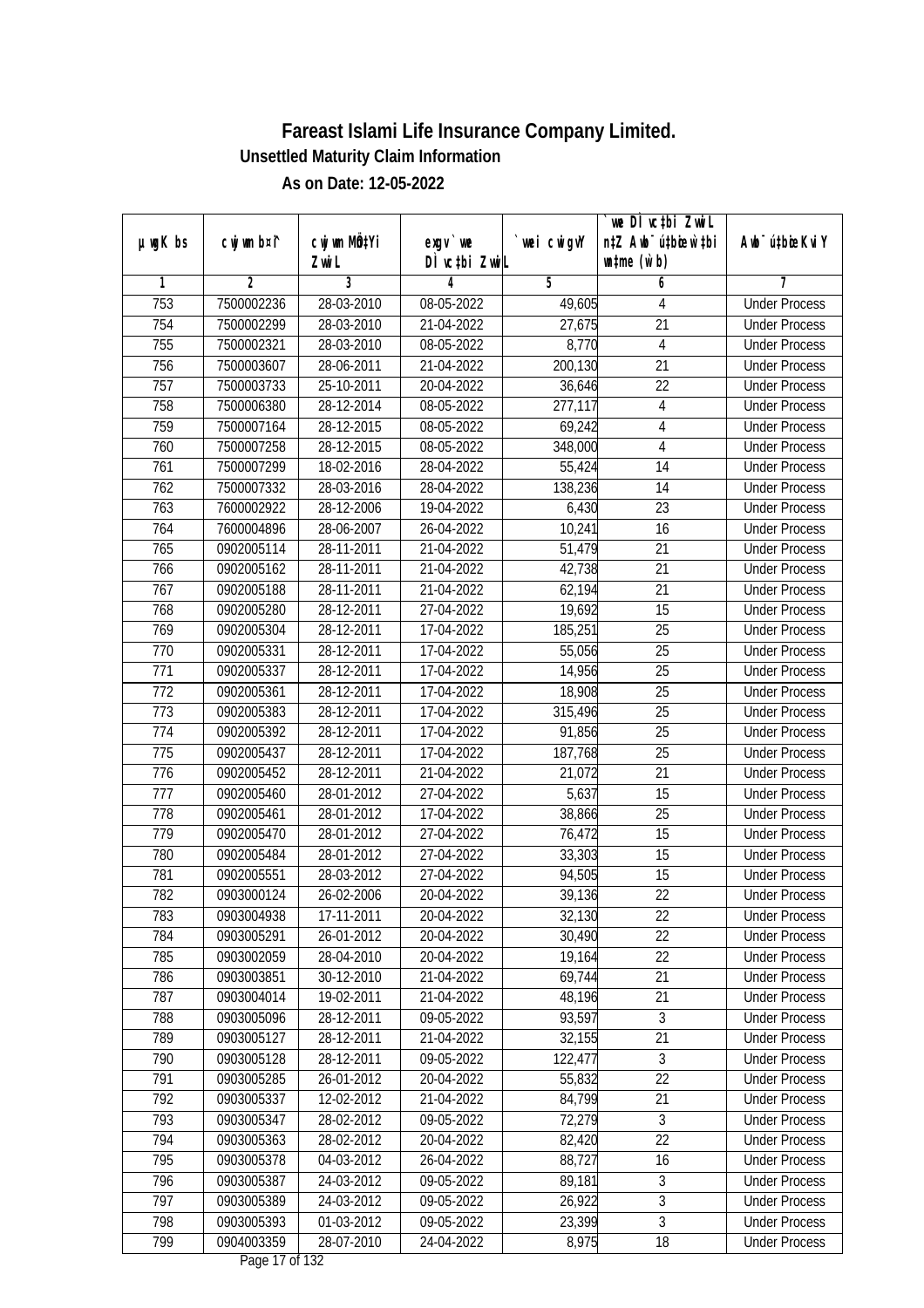| cwj wm b¤i^<br>cwj wm MQtYi<br>$µ$ ug $K$ bs<br>wei cwigvY<br>Awb <sup>-</sup> ú‡bioeKviY<br>DÌ vctbi ZwiL<br>$\n  untime\n  (u`b)\n$<br>Zwi L<br>3<br>$\overline{2}$<br>5<br>6<br>7<br>1<br>4<br>753<br>7500002236<br>28-03-2010<br>08-05-2022<br><b>Under Process</b><br>49,605<br>4<br>$\overline{21}$<br>754<br>7500002299<br>28-03-2010<br>$21-04-2022$<br>27,675<br><b>Under Process</b><br>755<br>8,770<br>$\overline{4}$<br>7500002321<br>28-03-2010<br>08-05-2022<br><b>Under Process</b><br>756<br>21<br>7500003607<br>28-06-2011<br>21-04-2022<br>200,130<br><b>Under Process</b><br>757<br>$25 - 10 - 2011$<br>$\overline{22}$<br>7500003733<br>20-04-2022<br>36,646<br><b>Under Process</b><br>758<br>7500006380<br>28-12-2014<br>08-05-2022<br>277,117<br>4<br><b>Under Process</b><br>759<br>7500007164<br>28-12-2015<br>08-05-2022<br>69,242<br>4<br><b>Under Process</b><br>760<br>7500007258<br>28-12-2015<br>08-05-2022<br>348,000<br>4<br><b>Under Process</b><br>761<br>18-02-2016<br>28-04-2022<br>55,424<br>14<br>7500007299<br><b>Under Process</b><br>762<br>14<br>7500007332<br>28-03-2016<br>28-04-2022<br>138,236<br><b>Under Process</b><br>$\overline{23}$<br>763<br>7600002922<br>28-12-2006<br>19-04-2022<br>6,430<br><b>Under Process</b><br>764<br>28-06-2007<br>10,241<br>16<br>7600004896<br>26-04-2022<br><b>Under Process</b><br>765<br>51,479<br>$\overline{21}$<br>0902005114<br>28-11-2011<br>21-04-2022<br><b>Under Process</b><br>766<br>0902005162<br>28-11-2011<br>21-04-2022<br>21<br>42,738<br><b>Under Process</b><br>767<br>21<br>0902005188<br>28-11-2011<br>21-04-2022<br>62,194<br><b>Under Process</b><br>15<br>768<br>0902005280<br>28-12-2011<br>27-04-2022<br>19,692<br><b>Under Process</b><br>769<br>185,251<br>25<br>0902005304<br>28-12-2011<br>17-04-2022<br><b>Under Process</b><br>25<br>770<br>0902005331<br>28-12-2011<br>55,056<br>17-04-2022<br><b>Under Process</b><br>25<br>771<br>28-12-2011<br>17-04-2022<br>14,956<br>0902005337<br><b>Under Process</b><br>25<br>772<br>28-12-2011<br>17-04-2022<br>18,908<br>0902005361<br><b>Under Process</b><br>$\overline{25}$<br>773<br>315,496<br>0902005383<br>28-12-2011<br>17-04-2022<br><b>Under Process</b><br>91,856<br>774<br>25<br>0902005392<br>28-12-2011<br>17-04-2022<br><b>Under Process</b><br>25<br>775<br>28-12-2011<br>17-04-2022<br>187,768<br>0902005437<br><b>Under Process</b><br>776<br>21<br>0902005452<br>28-12-2011<br>21-04-2022<br>21,072<br><b>Under Process</b><br>777<br>28-01-2012<br>27-04-2022<br>5,637<br>15<br>0902005460<br><b>Under Process</b><br>778<br>25<br>0902005461<br>28-01-2012<br>17-04-2022<br>38,866<br><b>Under Process</b><br>779<br>15<br>0902005470<br>28-01-2012<br>27-04-2022<br>76,472<br><b>Under Process</b><br>780<br>0902005484<br>28-01-2012<br>27-04-2022<br>33,303<br>15<br><b>Under Process</b><br>15<br>781<br>0902005551<br>28-03-2012<br>27-04-2022<br>94,505<br><b>Under Process</b><br>782<br>39,136<br>22<br>0903000124<br>26-02-2006<br>20-04-2022<br><b>Under Process</b><br>783<br>0903004938<br>17-11-2011<br>20-04-2022<br>32,130<br>22<br><b>Under Process</b><br>22<br>0903005291<br>26-01-2012<br>20-04-2022<br>30,490<br>784<br><b>Under Process</b><br>22<br>785<br>19,164<br>0903002059<br>28-04-2010<br>20-04-2022<br><b>Under Process</b><br>786<br>69,744<br>21<br>0903003851<br>30-12-2010<br>21-04-2022<br><b>Under Process</b><br>787<br>0903004014<br>48,196<br>19-02-2011<br>21-04-2022<br>21<br><b>Under Process</b><br>0903005096<br>28-12-2011<br>93,597<br>788<br>09-05-2022<br>3<br><b>Under Process</b><br>789<br>0903005127<br>21<br>28-12-2011<br>21-04-2022<br>32,155<br><b>Under Process</b><br>$\overline{3}$<br>790<br>09-05-2022<br>122,477<br>0903005128<br>28-12-2011<br><b>Under Process</b><br>$\overline{22}$<br>791<br>55,832<br>0903005285<br>26-01-2012<br>20-04-2022<br><b>Under Process</b><br>84,799<br>792<br>0903005337<br>12-02-2012<br>21-04-2022<br>21<br><b>Under Process</b><br>793<br>0903005347<br>28-02-2012<br>09-05-2022<br>72,279<br>3<br><b>Under Process</b><br>$\overline{22}$<br>794<br>0903005363<br>28-02-2012<br>20-04-2022<br>82,420<br><b>Under Process</b><br>795<br>0903005378<br>04-03-2012<br>88,727<br>16<br>26-04-2022<br><b>Under Process</b><br>89,181<br>3<br>796<br>0903005387<br>24-03-2012<br>09-05-2022<br><b>Under Process</b><br>$\overline{3}$<br>797<br>0903005389<br>24-03-2012<br>09-05-2022<br>26,922<br><b>Under Process</b> |     |            |            |            |        | we DI vctbi Zwil                 |                      |
|----------------------------------------------------------------------------------------------------------------------------------------------------------------------------------------------------------------------------------------------------------------------------------------------------------------------------------------------------------------------------------------------------------------------------------------------------------------------------------------------------------------------------------------------------------------------------------------------------------------------------------------------------------------------------------------------------------------------------------------------------------------------------------------------------------------------------------------------------------------------------------------------------------------------------------------------------------------------------------------------------------------------------------------------------------------------------------------------------------------------------------------------------------------------------------------------------------------------------------------------------------------------------------------------------------------------------------------------------------------------------------------------------------------------------------------------------------------------------------------------------------------------------------------------------------------------------------------------------------------------------------------------------------------------------------------------------------------------------------------------------------------------------------------------------------------------------------------------------------------------------------------------------------------------------------------------------------------------------------------------------------------------------------------------------------------------------------------------------------------------------------------------------------------------------------------------------------------------------------------------------------------------------------------------------------------------------------------------------------------------------------------------------------------------------------------------------------------------------------------------------------------------------------------------------------------------------------------------------------------------------------------------------------------------------------------------------------------------------------------------------------------------------------------------------------------------------------------------------------------------------------------------------------------------------------------------------------------------------------------------------------------------------------------------------------------------------------------------------------------------------------------------------------------------------------------------------------------------------------------------------------------------------------------------------------------------------------------------------------------------------------------------------------------------------------------------------------------------------------------------------------------------------------------------------------------------------------------------------------------------------------------------------------------------------------------------------------------------------------------------------------------------------------------------------------------------------------------------------------------------------------------------------------------------------------------------------------------------------------------------------------------------------------------------------------------------------------------------------------------------------------------------------------------------------------------------------------------------------------------------------------------------------------------------------------------------------------------------------------------------------------------------------------------------------------------------------------------------------------------------------------|-----|------------|------------|------------|--------|----------------------------------|----------------------|
|                                                                                                                                                                                                                                                                                                                                                                                                                                                                                                                                                                                                                                                                                                                                                                                                                                                                                                                                                                                                                                                                                                                                                                                                                                                                                                                                                                                                                                                                                                                                                                                                                                                                                                                                                                                                                                                                                                                                                                                                                                                                                                                                                                                                                                                                                                                                                                                                                                                                                                                                                                                                                                                                                                                                                                                                                                                                                                                                                                                                                                                                                                                                                                                                                                                                                                                                                                                                                                                                                                                                                                                                                                                                                                                                                                                                                                                                                                                                                                                                                                                                                                                                                                                                                                                                                                                                                                                                                                                                                                          |     |            |            | $exgv$ we  |        | n‡Z Awb <sup>-</sup> ú‡bioen`‡bi |                      |
|                                                                                                                                                                                                                                                                                                                                                                                                                                                                                                                                                                                                                                                                                                                                                                                                                                                                                                                                                                                                                                                                                                                                                                                                                                                                                                                                                                                                                                                                                                                                                                                                                                                                                                                                                                                                                                                                                                                                                                                                                                                                                                                                                                                                                                                                                                                                                                                                                                                                                                                                                                                                                                                                                                                                                                                                                                                                                                                                                                                                                                                                                                                                                                                                                                                                                                                                                                                                                                                                                                                                                                                                                                                                                                                                                                                                                                                                                                                                                                                                                                                                                                                                                                                                                                                                                                                                                                                                                                                                                                          |     |            |            |            |        |                                  |                      |
|                                                                                                                                                                                                                                                                                                                                                                                                                                                                                                                                                                                                                                                                                                                                                                                                                                                                                                                                                                                                                                                                                                                                                                                                                                                                                                                                                                                                                                                                                                                                                                                                                                                                                                                                                                                                                                                                                                                                                                                                                                                                                                                                                                                                                                                                                                                                                                                                                                                                                                                                                                                                                                                                                                                                                                                                                                                                                                                                                                                                                                                                                                                                                                                                                                                                                                                                                                                                                                                                                                                                                                                                                                                                                                                                                                                                                                                                                                                                                                                                                                                                                                                                                                                                                                                                                                                                                                                                                                                                                                          |     |            |            |            |        |                                  |                      |
|                                                                                                                                                                                                                                                                                                                                                                                                                                                                                                                                                                                                                                                                                                                                                                                                                                                                                                                                                                                                                                                                                                                                                                                                                                                                                                                                                                                                                                                                                                                                                                                                                                                                                                                                                                                                                                                                                                                                                                                                                                                                                                                                                                                                                                                                                                                                                                                                                                                                                                                                                                                                                                                                                                                                                                                                                                                                                                                                                                                                                                                                                                                                                                                                                                                                                                                                                                                                                                                                                                                                                                                                                                                                                                                                                                                                                                                                                                                                                                                                                                                                                                                                                                                                                                                                                                                                                                                                                                                                                                          |     |            |            |            |        |                                  |                      |
|                                                                                                                                                                                                                                                                                                                                                                                                                                                                                                                                                                                                                                                                                                                                                                                                                                                                                                                                                                                                                                                                                                                                                                                                                                                                                                                                                                                                                                                                                                                                                                                                                                                                                                                                                                                                                                                                                                                                                                                                                                                                                                                                                                                                                                                                                                                                                                                                                                                                                                                                                                                                                                                                                                                                                                                                                                                                                                                                                                                                                                                                                                                                                                                                                                                                                                                                                                                                                                                                                                                                                                                                                                                                                                                                                                                                                                                                                                                                                                                                                                                                                                                                                                                                                                                                                                                                                                                                                                                                                                          |     |            |            |            |        |                                  |                      |
|                                                                                                                                                                                                                                                                                                                                                                                                                                                                                                                                                                                                                                                                                                                                                                                                                                                                                                                                                                                                                                                                                                                                                                                                                                                                                                                                                                                                                                                                                                                                                                                                                                                                                                                                                                                                                                                                                                                                                                                                                                                                                                                                                                                                                                                                                                                                                                                                                                                                                                                                                                                                                                                                                                                                                                                                                                                                                                                                                                                                                                                                                                                                                                                                                                                                                                                                                                                                                                                                                                                                                                                                                                                                                                                                                                                                                                                                                                                                                                                                                                                                                                                                                                                                                                                                                                                                                                                                                                                                                                          |     |            |            |            |        |                                  |                      |
|                                                                                                                                                                                                                                                                                                                                                                                                                                                                                                                                                                                                                                                                                                                                                                                                                                                                                                                                                                                                                                                                                                                                                                                                                                                                                                                                                                                                                                                                                                                                                                                                                                                                                                                                                                                                                                                                                                                                                                                                                                                                                                                                                                                                                                                                                                                                                                                                                                                                                                                                                                                                                                                                                                                                                                                                                                                                                                                                                                                                                                                                                                                                                                                                                                                                                                                                                                                                                                                                                                                                                                                                                                                                                                                                                                                                                                                                                                                                                                                                                                                                                                                                                                                                                                                                                                                                                                                                                                                                                                          |     |            |            |            |        |                                  |                      |
|                                                                                                                                                                                                                                                                                                                                                                                                                                                                                                                                                                                                                                                                                                                                                                                                                                                                                                                                                                                                                                                                                                                                                                                                                                                                                                                                                                                                                                                                                                                                                                                                                                                                                                                                                                                                                                                                                                                                                                                                                                                                                                                                                                                                                                                                                                                                                                                                                                                                                                                                                                                                                                                                                                                                                                                                                                                                                                                                                                                                                                                                                                                                                                                                                                                                                                                                                                                                                                                                                                                                                                                                                                                                                                                                                                                                                                                                                                                                                                                                                                                                                                                                                                                                                                                                                                                                                                                                                                                                                                          |     |            |            |            |        |                                  |                      |
|                                                                                                                                                                                                                                                                                                                                                                                                                                                                                                                                                                                                                                                                                                                                                                                                                                                                                                                                                                                                                                                                                                                                                                                                                                                                                                                                                                                                                                                                                                                                                                                                                                                                                                                                                                                                                                                                                                                                                                                                                                                                                                                                                                                                                                                                                                                                                                                                                                                                                                                                                                                                                                                                                                                                                                                                                                                                                                                                                                                                                                                                                                                                                                                                                                                                                                                                                                                                                                                                                                                                                                                                                                                                                                                                                                                                                                                                                                                                                                                                                                                                                                                                                                                                                                                                                                                                                                                                                                                                                                          |     |            |            |            |        |                                  |                      |
|                                                                                                                                                                                                                                                                                                                                                                                                                                                                                                                                                                                                                                                                                                                                                                                                                                                                                                                                                                                                                                                                                                                                                                                                                                                                                                                                                                                                                                                                                                                                                                                                                                                                                                                                                                                                                                                                                                                                                                                                                                                                                                                                                                                                                                                                                                                                                                                                                                                                                                                                                                                                                                                                                                                                                                                                                                                                                                                                                                                                                                                                                                                                                                                                                                                                                                                                                                                                                                                                                                                                                                                                                                                                                                                                                                                                                                                                                                                                                                                                                                                                                                                                                                                                                                                                                                                                                                                                                                                                                                          |     |            |            |            |        |                                  |                      |
|                                                                                                                                                                                                                                                                                                                                                                                                                                                                                                                                                                                                                                                                                                                                                                                                                                                                                                                                                                                                                                                                                                                                                                                                                                                                                                                                                                                                                                                                                                                                                                                                                                                                                                                                                                                                                                                                                                                                                                                                                                                                                                                                                                                                                                                                                                                                                                                                                                                                                                                                                                                                                                                                                                                                                                                                                                                                                                                                                                                                                                                                                                                                                                                                                                                                                                                                                                                                                                                                                                                                                                                                                                                                                                                                                                                                                                                                                                                                                                                                                                                                                                                                                                                                                                                                                                                                                                                                                                                                                                          |     |            |            |            |        |                                  |                      |
|                                                                                                                                                                                                                                                                                                                                                                                                                                                                                                                                                                                                                                                                                                                                                                                                                                                                                                                                                                                                                                                                                                                                                                                                                                                                                                                                                                                                                                                                                                                                                                                                                                                                                                                                                                                                                                                                                                                                                                                                                                                                                                                                                                                                                                                                                                                                                                                                                                                                                                                                                                                                                                                                                                                                                                                                                                                                                                                                                                                                                                                                                                                                                                                                                                                                                                                                                                                                                                                                                                                                                                                                                                                                                                                                                                                                                                                                                                                                                                                                                                                                                                                                                                                                                                                                                                                                                                                                                                                                                                          |     |            |            |            |        |                                  |                      |
|                                                                                                                                                                                                                                                                                                                                                                                                                                                                                                                                                                                                                                                                                                                                                                                                                                                                                                                                                                                                                                                                                                                                                                                                                                                                                                                                                                                                                                                                                                                                                                                                                                                                                                                                                                                                                                                                                                                                                                                                                                                                                                                                                                                                                                                                                                                                                                                                                                                                                                                                                                                                                                                                                                                                                                                                                                                                                                                                                                                                                                                                                                                                                                                                                                                                                                                                                                                                                                                                                                                                                                                                                                                                                                                                                                                                                                                                                                                                                                                                                                                                                                                                                                                                                                                                                                                                                                                                                                                                                                          |     |            |            |            |        |                                  |                      |
|                                                                                                                                                                                                                                                                                                                                                                                                                                                                                                                                                                                                                                                                                                                                                                                                                                                                                                                                                                                                                                                                                                                                                                                                                                                                                                                                                                                                                                                                                                                                                                                                                                                                                                                                                                                                                                                                                                                                                                                                                                                                                                                                                                                                                                                                                                                                                                                                                                                                                                                                                                                                                                                                                                                                                                                                                                                                                                                                                                                                                                                                                                                                                                                                                                                                                                                                                                                                                                                                                                                                                                                                                                                                                                                                                                                                                                                                                                                                                                                                                                                                                                                                                                                                                                                                                                                                                                                                                                                                                                          |     |            |            |            |        |                                  |                      |
|                                                                                                                                                                                                                                                                                                                                                                                                                                                                                                                                                                                                                                                                                                                                                                                                                                                                                                                                                                                                                                                                                                                                                                                                                                                                                                                                                                                                                                                                                                                                                                                                                                                                                                                                                                                                                                                                                                                                                                                                                                                                                                                                                                                                                                                                                                                                                                                                                                                                                                                                                                                                                                                                                                                                                                                                                                                                                                                                                                                                                                                                                                                                                                                                                                                                                                                                                                                                                                                                                                                                                                                                                                                                                                                                                                                                                                                                                                                                                                                                                                                                                                                                                                                                                                                                                                                                                                                                                                                                                                          |     |            |            |            |        |                                  |                      |
|                                                                                                                                                                                                                                                                                                                                                                                                                                                                                                                                                                                                                                                                                                                                                                                                                                                                                                                                                                                                                                                                                                                                                                                                                                                                                                                                                                                                                                                                                                                                                                                                                                                                                                                                                                                                                                                                                                                                                                                                                                                                                                                                                                                                                                                                                                                                                                                                                                                                                                                                                                                                                                                                                                                                                                                                                                                                                                                                                                                                                                                                                                                                                                                                                                                                                                                                                                                                                                                                                                                                                                                                                                                                                                                                                                                                                                                                                                                                                                                                                                                                                                                                                                                                                                                                                                                                                                                                                                                                                                          |     |            |            |            |        |                                  |                      |
|                                                                                                                                                                                                                                                                                                                                                                                                                                                                                                                                                                                                                                                                                                                                                                                                                                                                                                                                                                                                                                                                                                                                                                                                                                                                                                                                                                                                                                                                                                                                                                                                                                                                                                                                                                                                                                                                                                                                                                                                                                                                                                                                                                                                                                                                                                                                                                                                                                                                                                                                                                                                                                                                                                                                                                                                                                                                                                                                                                                                                                                                                                                                                                                                                                                                                                                                                                                                                                                                                                                                                                                                                                                                                                                                                                                                                                                                                                                                                                                                                                                                                                                                                                                                                                                                                                                                                                                                                                                                                                          |     |            |            |            |        |                                  |                      |
|                                                                                                                                                                                                                                                                                                                                                                                                                                                                                                                                                                                                                                                                                                                                                                                                                                                                                                                                                                                                                                                                                                                                                                                                                                                                                                                                                                                                                                                                                                                                                                                                                                                                                                                                                                                                                                                                                                                                                                                                                                                                                                                                                                                                                                                                                                                                                                                                                                                                                                                                                                                                                                                                                                                                                                                                                                                                                                                                                                                                                                                                                                                                                                                                                                                                                                                                                                                                                                                                                                                                                                                                                                                                                                                                                                                                                                                                                                                                                                                                                                                                                                                                                                                                                                                                                                                                                                                                                                                                                                          |     |            |            |            |        |                                  |                      |
|                                                                                                                                                                                                                                                                                                                                                                                                                                                                                                                                                                                                                                                                                                                                                                                                                                                                                                                                                                                                                                                                                                                                                                                                                                                                                                                                                                                                                                                                                                                                                                                                                                                                                                                                                                                                                                                                                                                                                                                                                                                                                                                                                                                                                                                                                                                                                                                                                                                                                                                                                                                                                                                                                                                                                                                                                                                                                                                                                                                                                                                                                                                                                                                                                                                                                                                                                                                                                                                                                                                                                                                                                                                                                                                                                                                                                                                                                                                                                                                                                                                                                                                                                                                                                                                                                                                                                                                                                                                                                                          |     |            |            |            |        |                                  |                      |
|                                                                                                                                                                                                                                                                                                                                                                                                                                                                                                                                                                                                                                                                                                                                                                                                                                                                                                                                                                                                                                                                                                                                                                                                                                                                                                                                                                                                                                                                                                                                                                                                                                                                                                                                                                                                                                                                                                                                                                                                                                                                                                                                                                                                                                                                                                                                                                                                                                                                                                                                                                                                                                                                                                                                                                                                                                                                                                                                                                                                                                                                                                                                                                                                                                                                                                                                                                                                                                                                                                                                                                                                                                                                                                                                                                                                                                                                                                                                                                                                                                                                                                                                                                                                                                                                                                                                                                                                                                                                                                          |     |            |            |            |        |                                  |                      |
|                                                                                                                                                                                                                                                                                                                                                                                                                                                                                                                                                                                                                                                                                                                                                                                                                                                                                                                                                                                                                                                                                                                                                                                                                                                                                                                                                                                                                                                                                                                                                                                                                                                                                                                                                                                                                                                                                                                                                                                                                                                                                                                                                                                                                                                                                                                                                                                                                                                                                                                                                                                                                                                                                                                                                                                                                                                                                                                                                                                                                                                                                                                                                                                                                                                                                                                                                                                                                                                                                                                                                                                                                                                                                                                                                                                                                                                                                                                                                                                                                                                                                                                                                                                                                                                                                                                                                                                                                                                                                                          |     |            |            |            |        |                                  |                      |
|                                                                                                                                                                                                                                                                                                                                                                                                                                                                                                                                                                                                                                                                                                                                                                                                                                                                                                                                                                                                                                                                                                                                                                                                                                                                                                                                                                                                                                                                                                                                                                                                                                                                                                                                                                                                                                                                                                                                                                                                                                                                                                                                                                                                                                                                                                                                                                                                                                                                                                                                                                                                                                                                                                                                                                                                                                                                                                                                                                                                                                                                                                                                                                                                                                                                                                                                                                                                                                                                                                                                                                                                                                                                                                                                                                                                                                                                                                                                                                                                                                                                                                                                                                                                                                                                                                                                                                                                                                                                                                          |     |            |            |            |        |                                  |                      |
|                                                                                                                                                                                                                                                                                                                                                                                                                                                                                                                                                                                                                                                                                                                                                                                                                                                                                                                                                                                                                                                                                                                                                                                                                                                                                                                                                                                                                                                                                                                                                                                                                                                                                                                                                                                                                                                                                                                                                                                                                                                                                                                                                                                                                                                                                                                                                                                                                                                                                                                                                                                                                                                                                                                                                                                                                                                                                                                                                                                                                                                                                                                                                                                                                                                                                                                                                                                                                                                                                                                                                                                                                                                                                                                                                                                                                                                                                                                                                                                                                                                                                                                                                                                                                                                                                                                                                                                                                                                                                                          |     |            |            |            |        |                                  |                      |
|                                                                                                                                                                                                                                                                                                                                                                                                                                                                                                                                                                                                                                                                                                                                                                                                                                                                                                                                                                                                                                                                                                                                                                                                                                                                                                                                                                                                                                                                                                                                                                                                                                                                                                                                                                                                                                                                                                                                                                                                                                                                                                                                                                                                                                                                                                                                                                                                                                                                                                                                                                                                                                                                                                                                                                                                                                                                                                                                                                                                                                                                                                                                                                                                                                                                                                                                                                                                                                                                                                                                                                                                                                                                                                                                                                                                                                                                                                                                                                                                                                                                                                                                                                                                                                                                                                                                                                                                                                                                                                          |     |            |            |            |        |                                  |                      |
|                                                                                                                                                                                                                                                                                                                                                                                                                                                                                                                                                                                                                                                                                                                                                                                                                                                                                                                                                                                                                                                                                                                                                                                                                                                                                                                                                                                                                                                                                                                                                                                                                                                                                                                                                                                                                                                                                                                                                                                                                                                                                                                                                                                                                                                                                                                                                                                                                                                                                                                                                                                                                                                                                                                                                                                                                                                                                                                                                                                                                                                                                                                                                                                                                                                                                                                                                                                                                                                                                                                                                                                                                                                                                                                                                                                                                                                                                                                                                                                                                                                                                                                                                                                                                                                                                                                                                                                                                                                                                                          |     |            |            |            |        |                                  |                      |
|                                                                                                                                                                                                                                                                                                                                                                                                                                                                                                                                                                                                                                                                                                                                                                                                                                                                                                                                                                                                                                                                                                                                                                                                                                                                                                                                                                                                                                                                                                                                                                                                                                                                                                                                                                                                                                                                                                                                                                                                                                                                                                                                                                                                                                                                                                                                                                                                                                                                                                                                                                                                                                                                                                                                                                                                                                                                                                                                                                                                                                                                                                                                                                                                                                                                                                                                                                                                                                                                                                                                                                                                                                                                                                                                                                                                                                                                                                                                                                                                                                                                                                                                                                                                                                                                                                                                                                                                                                                                                                          |     |            |            |            |        |                                  |                      |
|                                                                                                                                                                                                                                                                                                                                                                                                                                                                                                                                                                                                                                                                                                                                                                                                                                                                                                                                                                                                                                                                                                                                                                                                                                                                                                                                                                                                                                                                                                                                                                                                                                                                                                                                                                                                                                                                                                                                                                                                                                                                                                                                                                                                                                                                                                                                                                                                                                                                                                                                                                                                                                                                                                                                                                                                                                                                                                                                                                                                                                                                                                                                                                                                                                                                                                                                                                                                                                                                                                                                                                                                                                                                                                                                                                                                                                                                                                                                                                                                                                                                                                                                                                                                                                                                                                                                                                                                                                                                                                          |     |            |            |            |        |                                  |                      |
|                                                                                                                                                                                                                                                                                                                                                                                                                                                                                                                                                                                                                                                                                                                                                                                                                                                                                                                                                                                                                                                                                                                                                                                                                                                                                                                                                                                                                                                                                                                                                                                                                                                                                                                                                                                                                                                                                                                                                                                                                                                                                                                                                                                                                                                                                                                                                                                                                                                                                                                                                                                                                                                                                                                                                                                                                                                                                                                                                                                                                                                                                                                                                                                                                                                                                                                                                                                                                                                                                                                                                                                                                                                                                                                                                                                                                                                                                                                                                                                                                                                                                                                                                                                                                                                                                                                                                                                                                                                                                                          |     |            |            |            |        |                                  |                      |
|                                                                                                                                                                                                                                                                                                                                                                                                                                                                                                                                                                                                                                                                                                                                                                                                                                                                                                                                                                                                                                                                                                                                                                                                                                                                                                                                                                                                                                                                                                                                                                                                                                                                                                                                                                                                                                                                                                                                                                                                                                                                                                                                                                                                                                                                                                                                                                                                                                                                                                                                                                                                                                                                                                                                                                                                                                                                                                                                                                                                                                                                                                                                                                                                                                                                                                                                                                                                                                                                                                                                                                                                                                                                                                                                                                                                                                                                                                                                                                                                                                                                                                                                                                                                                                                                                                                                                                                                                                                                                                          |     |            |            |            |        |                                  |                      |
|                                                                                                                                                                                                                                                                                                                                                                                                                                                                                                                                                                                                                                                                                                                                                                                                                                                                                                                                                                                                                                                                                                                                                                                                                                                                                                                                                                                                                                                                                                                                                                                                                                                                                                                                                                                                                                                                                                                                                                                                                                                                                                                                                                                                                                                                                                                                                                                                                                                                                                                                                                                                                                                                                                                                                                                                                                                                                                                                                                                                                                                                                                                                                                                                                                                                                                                                                                                                                                                                                                                                                                                                                                                                                                                                                                                                                                                                                                                                                                                                                                                                                                                                                                                                                                                                                                                                                                                                                                                                                                          |     |            |            |            |        |                                  |                      |
|                                                                                                                                                                                                                                                                                                                                                                                                                                                                                                                                                                                                                                                                                                                                                                                                                                                                                                                                                                                                                                                                                                                                                                                                                                                                                                                                                                                                                                                                                                                                                                                                                                                                                                                                                                                                                                                                                                                                                                                                                                                                                                                                                                                                                                                                                                                                                                                                                                                                                                                                                                                                                                                                                                                                                                                                                                                                                                                                                                                                                                                                                                                                                                                                                                                                                                                                                                                                                                                                                                                                                                                                                                                                                                                                                                                                                                                                                                                                                                                                                                                                                                                                                                                                                                                                                                                                                                                                                                                                                                          |     |            |            |            |        |                                  |                      |
|                                                                                                                                                                                                                                                                                                                                                                                                                                                                                                                                                                                                                                                                                                                                                                                                                                                                                                                                                                                                                                                                                                                                                                                                                                                                                                                                                                                                                                                                                                                                                                                                                                                                                                                                                                                                                                                                                                                                                                                                                                                                                                                                                                                                                                                                                                                                                                                                                                                                                                                                                                                                                                                                                                                                                                                                                                                                                                                                                                                                                                                                                                                                                                                                                                                                                                                                                                                                                                                                                                                                                                                                                                                                                                                                                                                                                                                                                                                                                                                                                                                                                                                                                                                                                                                                                                                                                                                                                                                                                                          |     |            |            |            |        |                                  |                      |
|                                                                                                                                                                                                                                                                                                                                                                                                                                                                                                                                                                                                                                                                                                                                                                                                                                                                                                                                                                                                                                                                                                                                                                                                                                                                                                                                                                                                                                                                                                                                                                                                                                                                                                                                                                                                                                                                                                                                                                                                                                                                                                                                                                                                                                                                                                                                                                                                                                                                                                                                                                                                                                                                                                                                                                                                                                                                                                                                                                                                                                                                                                                                                                                                                                                                                                                                                                                                                                                                                                                                                                                                                                                                                                                                                                                                                                                                                                                                                                                                                                                                                                                                                                                                                                                                                                                                                                                                                                                                                                          |     |            |            |            |        |                                  |                      |
|                                                                                                                                                                                                                                                                                                                                                                                                                                                                                                                                                                                                                                                                                                                                                                                                                                                                                                                                                                                                                                                                                                                                                                                                                                                                                                                                                                                                                                                                                                                                                                                                                                                                                                                                                                                                                                                                                                                                                                                                                                                                                                                                                                                                                                                                                                                                                                                                                                                                                                                                                                                                                                                                                                                                                                                                                                                                                                                                                                                                                                                                                                                                                                                                                                                                                                                                                                                                                                                                                                                                                                                                                                                                                                                                                                                                                                                                                                                                                                                                                                                                                                                                                                                                                                                                                                                                                                                                                                                                                                          |     |            |            |            |        |                                  |                      |
|                                                                                                                                                                                                                                                                                                                                                                                                                                                                                                                                                                                                                                                                                                                                                                                                                                                                                                                                                                                                                                                                                                                                                                                                                                                                                                                                                                                                                                                                                                                                                                                                                                                                                                                                                                                                                                                                                                                                                                                                                                                                                                                                                                                                                                                                                                                                                                                                                                                                                                                                                                                                                                                                                                                                                                                                                                                                                                                                                                                                                                                                                                                                                                                                                                                                                                                                                                                                                                                                                                                                                                                                                                                                                                                                                                                                                                                                                                                                                                                                                                                                                                                                                                                                                                                                                                                                                                                                                                                                                                          |     |            |            |            |        |                                  |                      |
|                                                                                                                                                                                                                                                                                                                                                                                                                                                                                                                                                                                                                                                                                                                                                                                                                                                                                                                                                                                                                                                                                                                                                                                                                                                                                                                                                                                                                                                                                                                                                                                                                                                                                                                                                                                                                                                                                                                                                                                                                                                                                                                                                                                                                                                                                                                                                                                                                                                                                                                                                                                                                                                                                                                                                                                                                                                                                                                                                                                                                                                                                                                                                                                                                                                                                                                                                                                                                                                                                                                                                                                                                                                                                                                                                                                                                                                                                                                                                                                                                                                                                                                                                                                                                                                                                                                                                                                                                                                                                                          |     |            |            |            |        |                                  |                      |
|                                                                                                                                                                                                                                                                                                                                                                                                                                                                                                                                                                                                                                                                                                                                                                                                                                                                                                                                                                                                                                                                                                                                                                                                                                                                                                                                                                                                                                                                                                                                                                                                                                                                                                                                                                                                                                                                                                                                                                                                                                                                                                                                                                                                                                                                                                                                                                                                                                                                                                                                                                                                                                                                                                                                                                                                                                                                                                                                                                                                                                                                                                                                                                                                                                                                                                                                                                                                                                                                                                                                                                                                                                                                                                                                                                                                                                                                                                                                                                                                                                                                                                                                                                                                                                                                                                                                                                                                                                                                                                          |     |            |            |            |        |                                  |                      |
|                                                                                                                                                                                                                                                                                                                                                                                                                                                                                                                                                                                                                                                                                                                                                                                                                                                                                                                                                                                                                                                                                                                                                                                                                                                                                                                                                                                                                                                                                                                                                                                                                                                                                                                                                                                                                                                                                                                                                                                                                                                                                                                                                                                                                                                                                                                                                                                                                                                                                                                                                                                                                                                                                                                                                                                                                                                                                                                                                                                                                                                                                                                                                                                                                                                                                                                                                                                                                                                                                                                                                                                                                                                                                                                                                                                                                                                                                                                                                                                                                                                                                                                                                                                                                                                                                                                                                                                                                                                                                                          |     |            |            |            |        |                                  |                      |
|                                                                                                                                                                                                                                                                                                                                                                                                                                                                                                                                                                                                                                                                                                                                                                                                                                                                                                                                                                                                                                                                                                                                                                                                                                                                                                                                                                                                                                                                                                                                                                                                                                                                                                                                                                                                                                                                                                                                                                                                                                                                                                                                                                                                                                                                                                                                                                                                                                                                                                                                                                                                                                                                                                                                                                                                                                                                                                                                                                                                                                                                                                                                                                                                                                                                                                                                                                                                                                                                                                                                                                                                                                                                                                                                                                                                                                                                                                                                                                                                                                                                                                                                                                                                                                                                                                                                                                                                                                                                                                          |     |            |            |            |        |                                  |                      |
|                                                                                                                                                                                                                                                                                                                                                                                                                                                                                                                                                                                                                                                                                                                                                                                                                                                                                                                                                                                                                                                                                                                                                                                                                                                                                                                                                                                                                                                                                                                                                                                                                                                                                                                                                                                                                                                                                                                                                                                                                                                                                                                                                                                                                                                                                                                                                                                                                                                                                                                                                                                                                                                                                                                                                                                                                                                                                                                                                                                                                                                                                                                                                                                                                                                                                                                                                                                                                                                                                                                                                                                                                                                                                                                                                                                                                                                                                                                                                                                                                                                                                                                                                                                                                                                                                                                                                                                                                                                                                                          |     |            |            |            |        |                                  |                      |
|                                                                                                                                                                                                                                                                                                                                                                                                                                                                                                                                                                                                                                                                                                                                                                                                                                                                                                                                                                                                                                                                                                                                                                                                                                                                                                                                                                                                                                                                                                                                                                                                                                                                                                                                                                                                                                                                                                                                                                                                                                                                                                                                                                                                                                                                                                                                                                                                                                                                                                                                                                                                                                                                                                                                                                                                                                                                                                                                                                                                                                                                                                                                                                                                                                                                                                                                                                                                                                                                                                                                                                                                                                                                                                                                                                                                                                                                                                                                                                                                                                                                                                                                                                                                                                                                                                                                                                                                                                                                                                          |     |            |            |            |        |                                  |                      |
|                                                                                                                                                                                                                                                                                                                                                                                                                                                                                                                                                                                                                                                                                                                                                                                                                                                                                                                                                                                                                                                                                                                                                                                                                                                                                                                                                                                                                                                                                                                                                                                                                                                                                                                                                                                                                                                                                                                                                                                                                                                                                                                                                                                                                                                                                                                                                                                                                                                                                                                                                                                                                                                                                                                                                                                                                                                                                                                                                                                                                                                                                                                                                                                                                                                                                                                                                                                                                                                                                                                                                                                                                                                                                                                                                                                                                                                                                                                                                                                                                                                                                                                                                                                                                                                                                                                                                                                                                                                                                                          |     |            |            |            |        |                                  |                      |
|                                                                                                                                                                                                                                                                                                                                                                                                                                                                                                                                                                                                                                                                                                                                                                                                                                                                                                                                                                                                                                                                                                                                                                                                                                                                                                                                                                                                                                                                                                                                                                                                                                                                                                                                                                                                                                                                                                                                                                                                                                                                                                                                                                                                                                                                                                                                                                                                                                                                                                                                                                                                                                                                                                                                                                                                                                                                                                                                                                                                                                                                                                                                                                                                                                                                                                                                                                                                                                                                                                                                                                                                                                                                                                                                                                                                                                                                                                                                                                                                                                                                                                                                                                                                                                                                                                                                                                                                                                                                                                          |     |            |            |            |        |                                  |                      |
|                                                                                                                                                                                                                                                                                                                                                                                                                                                                                                                                                                                                                                                                                                                                                                                                                                                                                                                                                                                                                                                                                                                                                                                                                                                                                                                                                                                                                                                                                                                                                                                                                                                                                                                                                                                                                                                                                                                                                                                                                                                                                                                                                                                                                                                                                                                                                                                                                                                                                                                                                                                                                                                                                                                                                                                                                                                                                                                                                                                                                                                                                                                                                                                                                                                                                                                                                                                                                                                                                                                                                                                                                                                                                                                                                                                                                                                                                                                                                                                                                                                                                                                                                                                                                                                                                                                                                                                                                                                                                                          |     |            |            |            |        |                                  |                      |
|                                                                                                                                                                                                                                                                                                                                                                                                                                                                                                                                                                                                                                                                                                                                                                                                                                                                                                                                                                                                                                                                                                                                                                                                                                                                                                                                                                                                                                                                                                                                                                                                                                                                                                                                                                                                                                                                                                                                                                                                                                                                                                                                                                                                                                                                                                                                                                                                                                                                                                                                                                                                                                                                                                                                                                                                                                                                                                                                                                                                                                                                                                                                                                                                                                                                                                                                                                                                                                                                                                                                                                                                                                                                                                                                                                                                                                                                                                                                                                                                                                                                                                                                                                                                                                                                                                                                                                                                                                                                                                          |     |            |            |            |        |                                  |                      |
|                                                                                                                                                                                                                                                                                                                                                                                                                                                                                                                                                                                                                                                                                                                                                                                                                                                                                                                                                                                                                                                                                                                                                                                                                                                                                                                                                                                                                                                                                                                                                                                                                                                                                                                                                                                                                                                                                                                                                                                                                                                                                                                                                                                                                                                                                                                                                                                                                                                                                                                                                                                                                                                                                                                                                                                                                                                                                                                                                                                                                                                                                                                                                                                                                                                                                                                                                                                                                                                                                                                                                                                                                                                                                                                                                                                                                                                                                                                                                                                                                                                                                                                                                                                                                                                                                                                                                                                                                                                                                                          |     |            |            |            |        |                                  |                      |
|                                                                                                                                                                                                                                                                                                                                                                                                                                                                                                                                                                                                                                                                                                                                                                                                                                                                                                                                                                                                                                                                                                                                                                                                                                                                                                                                                                                                                                                                                                                                                                                                                                                                                                                                                                                                                                                                                                                                                                                                                                                                                                                                                                                                                                                                                                                                                                                                                                                                                                                                                                                                                                                                                                                                                                                                                                                                                                                                                                                                                                                                                                                                                                                                                                                                                                                                                                                                                                                                                                                                                                                                                                                                                                                                                                                                                                                                                                                                                                                                                                                                                                                                                                                                                                                                                                                                                                                                                                                                                                          |     |            |            |            |        |                                  |                      |
|                                                                                                                                                                                                                                                                                                                                                                                                                                                                                                                                                                                                                                                                                                                                                                                                                                                                                                                                                                                                                                                                                                                                                                                                                                                                                                                                                                                                                                                                                                                                                                                                                                                                                                                                                                                                                                                                                                                                                                                                                                                                                                                                                                                                                                                                                                                                                                                                                                                                                                                                                                                                                                                                                                                                                                                                                                                                                                                                                                                                                                                                                                                                                                                                                                                                                                                                                                                                                                                                                                                                                                                                                                                                                                                                                                                                                                                                                                                                                                                                                                                                                                                                                                                                                                                                                                                                                                                                                                                                                                          |     |            |            |            |        |                                  |                      |
|                                                                                                                                                                                                                                                                                                                                                                                                                                                                                                                                                                                                                                                                                                                                                                                                                                                                                                                                                                                                                                                                                                                                                                                                                                                                                                                                                                                                                                                                                                                                                                                                                                                                                                                                                                                                                                                                                                                                                                                                                                                                                                                                                                                                                                                                                                                                                                                                                                                                                                                                                                                                                                                                                                                                                                                                                                                                                                                                                                                                                                                                                                                                                                                                                                                                                                                                                                                                                                                                                                                                                                                                                                                                                                                                                                                                                                                                                                                                                                                                                                                                                                                                                                                                                                                                                                                                                                                                                                                                                                          | 798 | 0903005393 | 01-03-2012 | 09-05-2022 | 23,399 | $\overline{3}$                   | <b>Under Process</b> |
| 799<br>0904003359<br>28-07-2010<br>24-04-2022<br>8,975<br>18<br><b>Under Process</b><br>Dege $17$ of $122$                                                                                                                                                                                                                                                                                                                                                                                                                                                                                                                                                                                                                                                                                                                                                                                                                                                                                                                                                                                                                                                                                                                                                                                                                                                                                                                                                                                                                                                                                                                                                                                                                                                                                                                                                                                                                                                                                                                                                                                                                                                                                                                                                                                                                                                                                                                                                                                                                                                                                                                                                                                                                                                                                                                                                                                                                                                                                                                                                                                                                                                                                                                                                                                                                                                                                                                                                                                                                                                                                                                                                                                                                                                                                                                                                                                                                                                                                                                                                                                                                                                                                                                                                                                                                                                                                                                                                                                               |     |            |            |            |        |                                  |                      |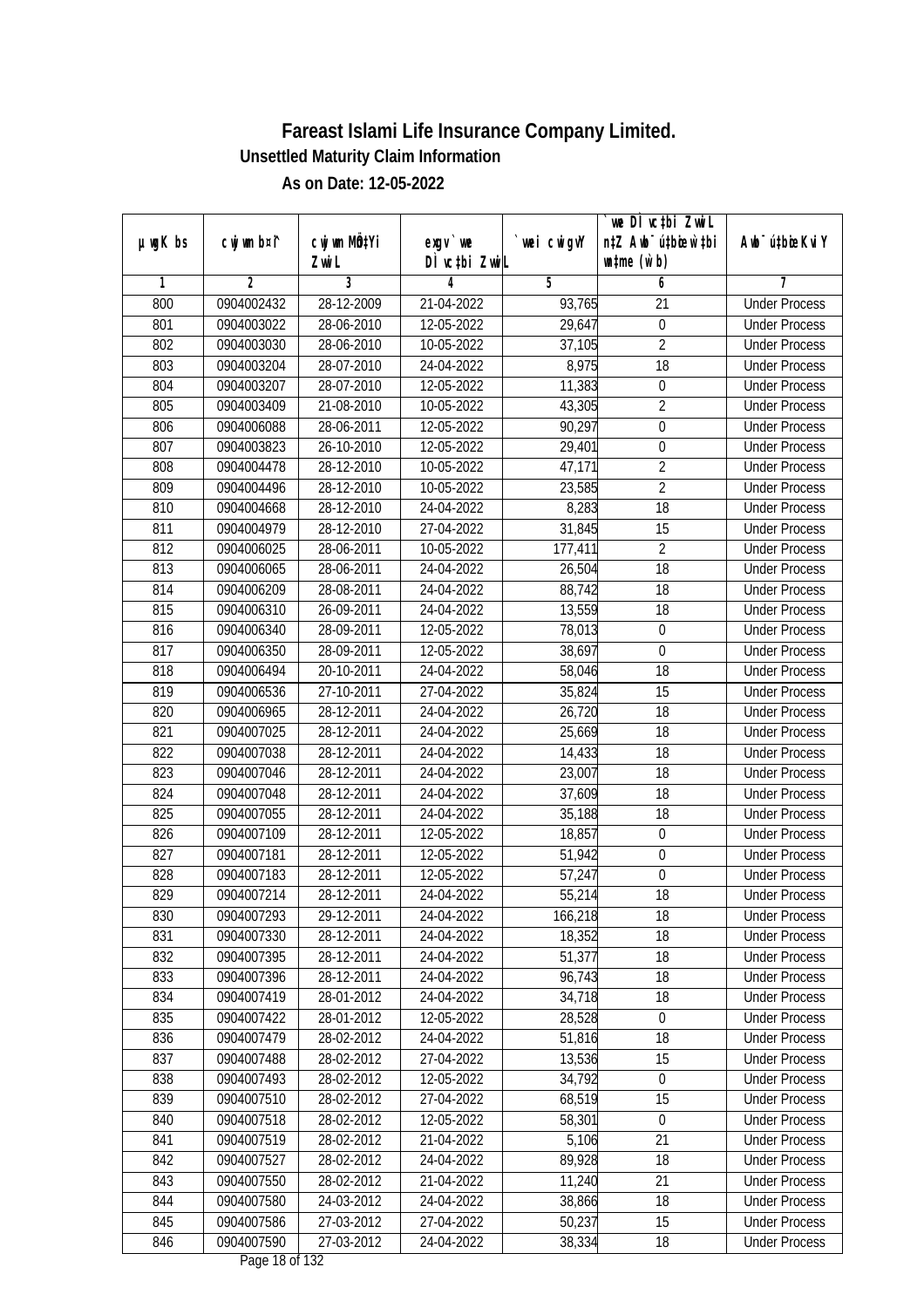| DÌ vctbi ZwiL<br>$\n  untime\n  (u`b)\n$<br>Zwi L<br>3<br>$\overline{2}$<br>5<br>6<br>7<br>1<br>4<br>28-12-2009<br>800<br>0904002432<br>21-04-2022<br>93,765<br>$\overline{21}$<br><b>Under Process</b><br>801<br>0904003022<br>28-06-2010<br>12-05-2022<br>29,647<br>$\boldsymbol{0}$<br><b>Under Process</b><br>$\overline{2}$<br>802<br>0904003030<br>28-06-2010<br>10-05-2022<br>37,105<br><b>Under Process</b><br>803<br>8,975<br>18<br>0904003204<br>28-07-2010<br>24-04-2022<br><b>Under Process</b><br>804<br>0904003207<br>28-07-2010<br>12-05-2022<br>11,383<br>$\boldsymbol{0}$<br><b>Under Process</b><br>805<br>$\overline{2}$<br>0904003409<br>21-08-2010<br>10-05-2022<br>43,305<br><b>Under Process</b><br>90,297<br>$\boldsymbol{0}$<br>806<br>0904006088<br>28-06-2011<br>12-05-2022<br><b>Under Process</b><br>807<br>0904003823<br>26-10-2010<br>12-05-2022<br>29,401<br>$\boldsymbol{0}$<br><b>Under Process</b><br>$\overline{2}$<br>808<br>0904004478<br>28-12-2010<br>10-05-2022<br>47,171<br><b>Under Process</b><br>$\overline{2}$<br>10-05-2022<br>809<br>0904004496<br>28-12-2010<br>23,585<br><b>Under Process</b><br>810<br>8,283<br>$\overline{18}$<br>0904004668<br>28-12-2010<br>24-04-2022<br><b>Under Process</b><br>31,845<br>811<br>0904004979<br>27-04-2022<br>15<br>28-12-2010<br><b>Under Process</b><br>$\overline{2}$<br>812<br>0904006025<br>28-06-2011<br>10-05-2022<br>177,411<br><b>Under Process</b><br>813<br>18<br>0904006065<br>28-06-2011<br>24-04-2022<br>26,504<br><b>Under Process</b><br>814<br>0904006209<br>28-08-2011<br>24-04-2022<br>88,742<br>18<br><b>Under Process</b><br>815<br>18<br>0904006310<br>26-09-2011<br>24-04-2022<br>13,559<br><b>Under Process</b><br>816<br>0904006340<br>28-09-2011<br>12-05-2022<br>78,013<br>$\boldsymbol{0}$<br><b>Under Process</b><br>817<br>28-09-2011<br>38,697<br>$\boldsymbol{0}$<br>0904006350<br>12-05-2022<br><b>Under Process</b><br>818<br>20-10-2011<br>24-04-2022<br>18<br>0904006494<br>58,046<br><b>Under Process</b><br>819<br>0904006536<br>27-10-2011<br>27-04-2022<br>35,824<br>15<br><b>Under Process</b><br>18<br>820<br>0904006965<br>28-12-2011<br>24-04-2022<br>26,720<br><b>Under Process</b><br>821<br>25,669<br>18<br>0904007025<br>28-12-2011<br>24-04-2022<br><b>Under Process</b><br>822<br>0904007038<br>28-12-2011<br>24-04-2022<br>14,433<br>18<br><b>Under Process</b><br>18<br>823<br>0904007046<br>28-12-2011<br>24-04-2022<br>23,007<br><b>Under Process</b><br>824<br>0904007048<br>28-12-2011<br>24-04-2022<br>37,609<br>18<br><b>Under Process</b><br>825<br>0904007055<br>28-12-2011<br>24-04-2022<br>18<br>35,188<br><b>Under Process</b><br>826<br>0904007109<br>28-12-2011<br>12-05-2022<br>18,857<br>0<br><b>Under Process</b><br>827<br>28-12-2011<br>12-05-2022<br>51,942<br>0<br>0904007181<br><b>Under Process</b><br>828<br>$\boldsymbol{0}$<br>0904007183<br>28-12-2011<br>12-05-2022<br>57,247<br><b>Under Process</b><br>829<br>55,214<br>18<br>0904007214<br>28-12-2011<br>24-04-2022<br><b>Under Process</b><br>830<br>0904007293<br>29-12-2011<br>24-04-2022<br>166,218<br>18<br><b>Under Process</b><br>0904007330<br>28-12-2011<br>18<br>831<br>24-04-2022<br>18,352<br><b>Under Process</b><br>832<br>0904007395<br>51,377<br>18<br>28-12-2011<br>24-04-2022<br><b>Under Process</b><br>833<br>96,743<br>18<br>0904007396<br>28-12-2011<br>24-04-2022<br><b>Under Process</b><br>834<br>0904007419<br>28-01-2012<br>24-04-2022<br>34,718<br>18<br><b>Under Process</b><br>835<br>0904007422<br>28,528<br>28-01-2012<br>12-05-2022<br><b>Under Process</b><br>0<br>836<br>0904007479<br>51,816<br>18<br>28-02-2012<br>24-04-2022<br><b>Under Process</b><br>13,536<br>837<br>0904007488<br>28-02-2012<br>15<br>27-04-2022<br><b>Under Process</b><br>34,792<br>838<br>0904007493<br>28-02-2012<br>12-05-2022<br>$\pmb{0}$<br><b>Under Process</b><br>839<br>15<br>0904007510<br>28-02-2012<br>27-04-2022<br>68,519<br><b>Under Process</b><br>840<br>0904007518<br>28-02-2012<br>12-05-2022<br>58,301<br>0<br><b>Under Process</b><br>0904007519<br>28-02-2012<br>21-04-2022<br>21<br>841<br>5,106<br><b>Under Process</b><br>89,928<br>842<br>0904007527<br>28-02-2012<br>24-04-2022<br>18<br><b>Under Process</b><br>21<br>843<br>0904007550<br>28-02-2012<br>21-04-2022<br>11,240<br><b>Under Process</b><br>844<br>0904007580<br>18<br>24-03-2012<br>24-04-2022<br>38,866<br><b>Under Process</b><br>845<br>0904007586<br>27-03-2012<br>50,237<br>15<br>27-04-2022<br><b>Under Process</b><br>24-04-2022 |               |             |              |           |            | we DI vctbi Zwil                 |                             |
|-------------------------------------------------------------------------------------------------------------------------------------------------------------------------------------------------------------------------------------------------------------------------------------------------------------------------------------------------------------------------------------------------------------------------------------------------------------------------------------------------------------------------------------------------------------------------------------------------------------------------------------------------------------------------------------------------------------------------------------------------------------------------------------------------------------------------------------------------------------------------------------------------------------------------------------------------------------------------------------------------------------------------------------------------------------------------------------------------------------------------------------------------------------------------------------------------------------------------------------------------------------------------------------------------------------------------------------------------------------------------------------------------------------------------------------------------------------------------------------------------------------------------------------------------------------------------------------------------------------------------------------------------------------------------------------------------------------------------------------------------------------------------------------------------------------------------------------------------------------------------------------------------------------------------------------------------------------------------------------------------------------------------------------------------------------------------------------------------------------------------------------------------------------------------------------------------------------------------------------------------------------------------------------------------------------------------------------------------------------------------------------------------------------------------------------------------------------------------------------------------------------------------------------------------------------------------------------------------------------------------------------------------------------------------------------------------------------------------------------------------------------------------------------------------------------------------------------------------------------------------------------------------------------------------------------------------------------------------------------------------------------------------------------------------------------------------------------------------------------------------------------------------------------------------------------------------------------------------------------------------------------------------------------------------------------------------------------------------------------------------------------------------------------------------------------------------------------------------------------------------------------------------------------------------------------------------------------------------------------------------------------------------------------------------------------------------------------------------------------------------------------------------------------------------------------------------------------------------------------------------------------------------------------------------------------------------------------------------------------------------------------------------------------------------------------------------------------------------------------------------------------------------------------------------------------------------------------------------------------------------------------------------------------------------------------------------------------------------------------------------------------------------------------------------------------------------------------------------------------------------------------------------------------------------------------------------|---------------|-------------|--------------|-----------|------------|----------------------------------|-----------------------------|
|                                                                                                                                                                                                                                                                                                                                                                                                                                                                                                                                                                                                                                                                                                                                                                                                                                                                                                                                                                                                                                                                                                                                                                                                                                                                                                                                                                                                                                                                                                                                                                                                                                                                                                                                                                                                                                                                                                                                                                                                                                                                                                                                                                                                                                                                                                                                                                                                                                                                                                                                                                                                                                                                                                                                                                                                                                                                                                                                                                                                                                                                                                                                                                                                                                                                                                                                                                                                                                                                                                                                                                                                                                                                                                                                                                                                                                                                                                                                                                                                                                                                                                                                                                                                                                                                                                                                                                                                                                                                                                                                                                         | $µ$ ug $K$ bs | cwj wm b¤i^ | cwj wm MQtYi | $exgv$ we | wei cwigvY | n‡Z Awb <sup>-</sup> ú‡bioen`‡bi | Awb <sup>-</sup> ú‡bioeKviY |
|                                                                                                                                                                                                                                                                                                                                                                                                                                                                                                                                                                                                                                                                                                                                                                                                                                                                                                                                                                                                                                                                                                                                                                                                                                                                                                                                                                                                                                                                                                                                                                                                                                                                                                                                                                                                                                                                                                                                                                                                                                                                                                                                                                                                                                                                                                                                                                                                                                                                                                                                                                                                                                                                                                                                                                                                                                                                                                                                                                                                                                                                                                                                                                                                                                                                                                                                                                                                                                                                                                                                                                                                                                                                                                                                                                                                                                                                                                                                                                                                                                                                                                                                                                                                                                                                                                                                                                                                                                                                                                                                                                         |               |             |              |           |            |                                  |                             |
|                                                                                                                                                                                                                                                                                                                                                                                                                                                                                                                                                                                                                                                                                                                                                                                                                                                                                                                                                                                                                                                                                                                                                                                                                                                                                                                                                                                                                                                                                                                                                                                                                                                                                                                                                                                                                                                                                                                                                                                                                                                                                                                                                                                                                                                                                                                                                                                                                                                                                                                                                                                                                                                                                                                                                                                                                                                                                                                                                                                                                                                                                                                                                                                                                                                                                                                                                                                                                                                                                                                                                                                                                                                                                                                                                                                                                                                                                                                                                                                                                                                                                                                                                                                                                                                                                                                                                                                                                                                                                                                                                                         |               |             |              |           |            |                                  |                             |
|                                                                                                                                                                                                                                                                                                                                                                                                                                                                                                                                                                                                                                                                                                                                                                                                                                                                                                                                                                                                                                                                                                                                                                                                                                                                                                                                                                                                                                                                                                                                                                                                                                                                                                                                                                                                                                                                                                                                                                                                                                                                                                                                                                                                                                                                                                                                                                                                                                                                                                                                                                                                                                                                                                                                                                                                                                                                                                                                                                                                                                                                                                                                                                                                                                                                                                                                                                                                                                                                                                                                                                                                                                                                                                                                                                                                                                                                                                                                                                                                                                                                                                                                                                                                                                                                                                                                                                                                                                                                                                                                                                         |               |             |              |           |            |                                  |                             |
|                                                                                                                                                                                                                                                                                                                                                                                                                                                                                                                                                                                                                                                                                                                                                                                                                                                                                                                                                                                                                                                                                                                                                                                                                                                                                                                                                                                                                                                                                                                                                                                                                                                                                                                                                                                                                                                                                                                                                                                                                                                                                                                                                                                                                                                                                                                                                                                                                                                                                                                                                                                                                                                                                                                                                                                                                                                                                                                                                                                                                                                                                                                                                                                                                                                                                                                                                                                                                                                                                                                                                                                                                                                                                                                                                                                                                                                                                                                                                                                                                                                                                                                                                                                                                                                                                                                                                                                                                                                                                                                                                                         |               |             |              |           |            |                                  |                             |
|                                                                                                                                                                                                                                                                                                                                                                                                                                                                                                                                                                                                                                                                                                                                                                                                                                                                                                                                                                                                                                                                                                                                                                                                                                                                                                                                                                                                                                                                                                                                                                                                                                                                                                                                                                                                                                                                                                                                                                                                                                                                                                                                                                                                                                                                                                                                                                                                                                                                                                                                                                                                                                                                                                                                                                                                                                                                                                                                                                                                                                                                                                                                                                                                                                                                                                                                                                                                                                                                                                                                                                                                                                                                                                                                                                                                                                                                                                                                                                                                                                                                                                                                                                                                                                                                                                                                                                                                                                                                                                                                                                         |               |             |              |           |            |                                  |                             |
|                                                                                                                                                                                                                                                                                                                                                                                                                                                                                                                                                                                                                                                                                                                                                                                                                                                                                                                                                                                                                                                                                                                                                                                                                                                                                                                                                                                                                                                                                                                                                                                                                                                                                                                                                                                                                                                                                                                                                                                                                                                                                                                                                                                                                                                                                                                                                                                                                                                                                                                                                                                                                                                                                                                                                                                                                                                                                                                                                                                                                                                                                                                                                                                                                                                                                                                                                                                                                                                                                                                                                                                                                                                                                                                                                                                                                                                                                                                                                                                                                                                                                                                                                                                                                                                                                                                                                                                                                                                                                                                                                                         |               |             |              |           |            |                                  |                             |
|                                                                                                                                                                                                                                                                                                                                                                                                                                                                                                                                                                                                                                                                                                                                                                                                                                                                                                                                                                                                                                                                                                                                                                                                                                                                                                                                                                                                                                                                                                                                                                                                                                                                                                                                                                                                                                                                                                                                                                                                                                                                                                                                                                                                                                                                                                                                                                                                                                                                                                                                                                                                                                                                                                                                                                                                                                                                                                                                                                                                                                                                                                                                                                                                                                                                                                                                                                                                                                                                                                                                                                                                                                                                                                                                                                                                                                                                                                                                                                                                                                                                                                                                                                                                                                                                                                                                                                                                                                                                                                                                                                         |               |             |              |           |            |                                  |                             |
|                                                                                                                                                                                                                                                                                                                                                                                                                                                                                                                                                                                                                                                                                                                                                                                                                                                                                                                                                                                                                                                                                                                                                                                                                                                                                                                                                                                                                                                                                                                                                                                                                                                                                                                                                                                                                                                                                                                                                                                                                                                                                                                                                                                                                                                                                                                                                                                                                                                                                                                                                                                                                                                                                                                                                                                                                                                                                                                                                                                                                                                                                                                                                                                                                                                                                                                                                                                                                                                                                                                                                                                                                                                                                                                                                                                                                                                                                                                                                                                                                                                                                                                                                                                                                                                                                                                                                                                                                                                                                                                                                                         |               |             |              |           |            |                                  |                             |
|                                                                                                                                                                                                                                                                                                                                                                                                                                                                                                                                                                                                                                                                                                                                                                                                                                                                                                                                                                                                                                                                                                                                                                                                                                                                                                                                                                                                                                                                                                                                                                                                                                                                                                                                                                                                                                                                                                                                                                                                                                                                                                                                                                                                                                                                                                                                                                                                                                                                                                                                                                                                                                                                                                                                                                                                                                                                                                                                                                                                                                                                                                                                                                                                                                                                                                                                                                                                                                                                                                                                                                                                                                                                                                                                                                                                                                                                                                                                                                                                                                                                                                                                                                                                                                                                                                                                                                                                                                                                                                                                                                         |               |             |              |           |            |                                  |                             |
|                                                                                                                                                                                                                                                                                                                                                                                                                                                                                                                                                                                                                                                                                                                                                                                                                                                                                                                                                                                                                                                                                                                                                                                                                                                                                                                                                                                                                                                                                                                                                                                                                                                                                                                                                                                                                                                                                                                                                                                                                                                                                                                                                                                                                                                                                                                                                                                                                                                                                                                                                                                                                                                                                                                                                                                                                                                                                                                                                                                                                                                                                                                                                                                                                                                                                                                                                                                                                                                                                                                                                                                                                                                                                                                                                                                                                                                                                                                                                                                                                                                                                                                                                                                                                                                                                                                                                                                                                                                                                                                                                                         |               |             |              |           |            |                                  |                             |
|                                                                                                                                                                                                                                                                                                                                                                                                                                                                                                                                                                                                                                                                                                                                                                                                                                                                                                                                                                                                                                                                                                                                                                                                                                                                                                                                                                                                                                                                                                                                                                                                                                                                                                                                                                                                                                                                                                                                                                                                                                                                                                                                                                                                                                                                                                                                                                                                                                                                                                                                                                                                                                                                                                                                                                                                                                                                                                                                                                                                                                                                                                                                                                                                                                                                                                                                                                                                                                                                                                                                                                                                                                                                                                                                                                                                                                                                                                                                                                                                                                                                                                                                                                                                                                                                                                                                                                                                                                                                                                                                                                         |               |             |              |           |            |                                  |                             |
|                                                                                                                                                                                                                                                                                                                                                                                                                                                                                                                                                                                                                                                                                                                                                                                                                                                                                                                                                                                                                                                                                                                                                                                                                                                                                                                                                                                                                                                                                                                                                                                                                                                                                                                                                                                                                                                                                                                                                                                                                                                                                                                                                                                                                                                                                                                                                                                                                                                                                                                                                                                                                                                                                                                                                                                                                                                                                                                                                                                                                                                                                                                                                                                                                                                                                                                                                                                                                                                                                                                                                                                                                                                                                                                                                                                                                                                                                                                                                                                                                                                                                                                                                                                                                                                                                                                                                                                                                                                                                                                                                                         |               |             |              |           |            |                                  |                             |
|                                                                                                                                                                                                                                                                                                                                                                                                                                                                                                                                                                                                                                                                                                                                                                                                                                                                                                                                                                                                                                                                                                                                                                                                                                                                                                                                                                                                                                                                                                                                                                                                                                                                                                                                                                                                                                                                                                                                                                                                                                                                                                                                                                                                                                                                                                                                                                                                                                                                                                                                                                                                                                                                                                                                                                                                                                                                                                                                                                                                                                                                                                                                                                                                                                                                                                                                                                                                                                                                                                                                                                                                                                                                                                                                                                                                                                                                                                                                                                                                                                                                                                                                                                                                                                                                                                                                                                                                                                                                                                                                                                         |               |             |              |           |            |                                  |                             |
|                                                                                                                                                                                                                                                                                                                                                                                                                                                                                                                                                                                                                                                                                                                                                                                                                                                                                                                                                                                                                                                                                                                                                                                                                                                                                                                                                                                                                                                                                                                                                                                                                                                                                                                                                                                                                                                                                                                                                                                                                                                                                                                                                                                                                                                                                                                                                                                                                                                                                                                                                                                                                                                                                                                                                                                                                                                                                                                                                                                                                                                                                                                                                                                                                                                                                                                                                                                                                                                                                                                                                                                                                                                                                                                                                                                                                                                                                                                                                                                                                                                                                                                                                                                                                                                                                                                                                                                                                                                                                                                                                                         |               |             |              |           |            |                                  |                             |
|                                                                                                                                                                                                                                                                                                                                                                                                                                                                                                                                                                                                                                                                                                                                                                                                                                                                                                                                                                                                                                                                                                                                                                                                                                                                                                                                                                                                                                                                                                                                                                                                                                                                                                                                                                                                                                                                                                                                                                                                                                                                                                                                                                                                                                                                                                                                                                                                                                                                                                                                                                                                                                                                                                                                                                                                                                                                                                                                                                                                                                                                                                                                                                                                                                                                                                                                                                                                                                                                                                                                                                                                                                                                                                                                                                                                                                                                                                                                                                                                                                                                                                                                                                                                                                                                                                                                                                                                                                                                                                                                                                         |               |             |              |           |            |                                  |                             |
|                                                                                                                                                                                                                                                                                                                                                                                                                                                                                                                                                                                                                                                                                                                                                                                                                                                                                                                                                                                                                                                                                                                                                                                                                                                                                                                                                                                                                                                                                                                                                                                                                                                                                                                                                                                                                                                                                                                                                                                                                                                                                                                                                                                                                                                                                                                                                                                                                                                                                                                                                                                                                                                                                                                                                                                                                                                                                                                                                                                                                                                                                                                                                                                                                                                                                                                                                                                                                                                                                                                                                                                                                                                                                                                                                                                                                                                                                                                                                                                                                                                                                                                                                                                                                                                                                                                                                                                                                                                                                                                                                                         |               |             |              |           |            |                                  |                             |
|                                                                                                                                                                                                                                                                                                                                                                                                                                                                                                                                                                                                                                                                                                                                                                                                                                                                                                                                                                                                                                                                                                                                                                                                                                                                                                                                                                                                                                                                                                                                                                                                                                                                                                                                                                                                                                                                                                                                                                                                                                                                                                                                                                                                                                                                                                                                                                                                                                                                                                                                                                                                                                                                                                                                                                                                                                                                                                                                                                                                                                                                                                                                                                                                                                                                                                                                                                                                                                                                                                                                                                                                                                                                                                                                                                                                                                                                                                                                                                                                                                                                                                                                                                                                                                                                                                                                                                                                                                                                                                                                                                         |               |             |              |           |            |                                  |                             |
|                                                                                                                                                                                                                                                                                                                                                                                                                                                                                                                                                                                                                                                                                                                                                                                                                                                                                                                                                                                                                                                                                                                                                                                                                                                                                                                                                                                                                                                                                                                                                                                                                                                                                                                                                                                                                                                                                                                                                                                                                                                                                                                                                                                                                                                                                                                                                                                                                                                                                                                                                                                                                                                                                                                                                                                                                                                                                                                                                                                                                                                                                                                                                                                                                                                                                                                                                                                                                                                                                                                                                                                                                                                                                                                                                                                                                                                                                                                                                                                                                                                                                                                                                                                                                                                                                                                                                                                                                                                                                                                                                                         |               |             |              |           |            |                                  |                             |
|                                                                                                                                                                                                                                                                                                                                                                                                                                                                                                                                                                                                                                                                                                                                                                                                                                                                                                                                                                                                                                                                                                                                                                                                                                                                                                                                                                                                                                                                                                                                                                                                                                                                                                                                                                                                                                                                                                                                                                                                                                                                                                                                                                                                                                                                                                                                                                                                                                                                                                                                                                                                                                                                                                                                                                                                                                                                                                                                                                                                                                                                                                                                                                                                                                                                                                                                                                                                                                                                                                                                                                                                                                                                                                                                                                                                                                                                                                                                                                                                                                                                                                                                                                                                                                                                                                                                                                                                                                                                                                                                                                         |               |             |              |           |            |                                  |                             |
|                                                                                                                                                                                                                                                                                                                                                                                                                                                                                                                                                                                                                                                                                                                                                                                                                                                                                                                                                                                                                                                                                                                                                                                                                                                                                                                                                                                                                                                                                                                                                                                                                                                                                                                                                                                                                                                                                                                                                                                                                                                                                                                                                                                                                                                                                                                                                                                                                                                                                                                                                                                                                                                                                                                                                                                                                                                                                                                                                                                                                                                                                                                                                                                                                                                                                                                                                                                                                                                                                                                                                                                                                                                                                                                                                                                                                                                                                                                                                                                                                                                                                                                                                                                                                                                                                                                                                                                                                                                                                                                                                                         |               |             |              |           |            |                                  |                             |
|                                                                                                                                                                                                                                                                                                                                                                                                                                                                                                                                                                                                                                                                                                                                                                                                                                                                                                                                                                                                                                                                                                                                                                                                                                                                                                                                                                                                                                                                                                                                                                                                                                                                                                                                                                                                                                                                                                                                                                                                                                                                                                                                                                                                                                                                                                                                                                                                                                                                                                                                                                                                                                                                                                                                                                                                                                                                                                                                                                                                                                                                                                                                                                                                                                                                                                                                                                                                                                                                                                                                                                                                                                                                                                                                                                                                                                                                                                                                                                                                                                                                                                                                                                                                                                                                                                                                                                                                                                                                                                                                                                         |               |             |              |           |            |                                  |                             |
|                                                                                                                                                                                                                                                                                                                                                                                                                                                                                                                                                                                                                                                                                                                                                                                                                                                                                                                                                                                                                                                                                                                                                                                                                                                                                                                                                                                                                                                                                                                                                                                                                                                                                                                                                                                                                                                                                                                                                                                                                                                                                                                                                                                                                                                                                                                                                                                                                                                                                                                                                                                                                                                                                                                                                                                                                                                                                                                                                                                                                                                                                                                                                                                                                                                                                                                                                                                                                                                                                                                                                                                                                                                                                                                                                                                                                                                                                                                                                                                                                                                                                                                                                                                                                                                                                                                                                                                                                                                                                                                                                                         |               |             |              |           |            |                                  |                             |
|                                                                                                                                                                                                                                                                                                                                                                                                                                                                                                                                                                                                                                                                                                                                                                                                                                                                                                                                                                                                                                                                                                                                                                                                                                                                                                                                                                                                                                                                                                                                                                                                                                                                                                                                                                                                                                                                                                                                                                                                                                                                                                                                                                                                                                                                                                                                                                                                                                                                                                                                                                                                                                                                                                                                                                                                                                                                                                                                                                                                                                                                                                                                                                                                                                                                                                                                                                                                                                                                                                                                                                                                                                                                                                                                                                                                                                                                                                                                                                                                                                                                                                                                                                                                                                                                                                                                                                                                                                                                                                                                                                         |               |             |              |           |            |                                  |                             |
|                                                                                                                                                                                                                                                                                                                                                                                                                                                                                                                                                                                                                                                                                                                                                                                                                                                                                                                                                                                                                                                                                                                                                                                                                                                                                                                                                                                                                                                                                                                                                                                                                                                                                                                                                                                                                                                                                                                                                                                                                                                                                                                                                                                                                                                                                                                                                                                                                                                                                                                                                                                                                                                                                                                                                                                                                                                                                                                                                                                                                                                                                                                                                                                                                                                                                                                                                                                                                                                                                                                                                                                                                                                                                                                                                                                                                                                                                                                                                                                                                                                                                                                                                                                                                                                                                                                                                                                                                                                                                                                                                                         |               |             |              |           |            |                                  |                             |
|                                                                                                                                                                                                                                                                                                                                                                                                                                                                                                                                                                                                                                                                                                                                                                                                                                                                                                                                                                                                                                                                                                                                                                                                                                                                                                                                                                                                                                                                                                                                                                                                                                                                                                                                                                                                                                                                                                                                                                                                                                                                                                                                                                                                                                                                                                                                                                                                                                                                                                                                                                                                                                                                                                                                                                                                                                                                                                                                                                                                                                                                                                                                                                                                                                                                                                                                                                                                                                                                                                                                                                                                                                                                                                                                                                                                                                                                                                                                                                                                                                                                                                                                                                                                                                                                                                                                                                                                                                                                                                                                                                         |               |             |              |           |            |                                  |                             |
|                                                                                                                                                                                                                                                                                                                                                                                                                                                                                                                                                                                                                                                                                                                                                                                                                                                                                                                                                                                                                                                                                                                                                                                                                                                                                                                                                                                                                                                                                                                                                                                                                                                                                                                                                                                                                                                                                                                                                                                                                                                                                                                                                                                                                                                                                                                                                                                                                                                                                                                                                                                                                                                                                                                                                                                                                                                                                                                                                                                                                                                                                                                                                                                                                                                                                                                                                                                                                                                                                                                                                                                                                                                                                                                                                                                                                                                                                                                                                                                                                                                                                                                                                                                                                                                                                                                                                                                                                                                                                                                                                                         |               |             |              |           |            |                                  |                             |
|                                                                                                                                                                                                                                                                                                                                                                                                                                                                                                                                                                                                                                                                                                                                                                                                                                                                                                                                                                                                                                                                                                                                                                                                                                                                                                                                                                                                                                                                                                                                                                                                                                                                                                                                                                                                                                                                                                                                                                                                                                                                                                                                                                                                                                                                                                                                                                                                                                                                                                                                                                                                                                                                                                                                                                                                                                                                                                                                                                                                                                                                                                                                                                                                                                                                                                                                                                                                                                                                                                                                                                                                                                                                                                                                                                                                                                                                                                                                                                                                                                                                                                                                                                                                                                                                                                                                                                                                                                                                                                                                                                         |               |             |              |           |            |                                  |                             |
|                                                                                                                                                                                                                                                                                                                                                                                                                                                                                                                                                                                                                                                                                                                                                                                                                                                                                                                                                                                                                                                                                                                                                                                                                                                                                                                                                                                                                                                                                                                                                                                                                                                                                                                                                                                                                                                                                                                                                                                                                                                                                                                                                                                                                                                                                                                                                                                                                                                                                                                                                                                                                                                                                                                                                                                                                                                                                                                                                                                                                                                                                                                                                                                                                                                                                                                                                                                                                                                                                                                                                                                                                                                                                                                                                                                                                                                                                                                                                                                                                                                                                                                                                                                                                                                                                                                                                                                                                                                                                                                                                                         |               |             |              |           |            |                                  |                             |
|                                                                                                                                                                                                                                                                                                                                                                                                                                                                                                                                                                                                                                                                                                                                                                                                                                                                                                                                                                                                                                                                                                                                                                                                                                                                                                                                                                                                                                                                                                                                                                                                                                                                                                                                                                                                                                                                                                                                                                                                                                                                                                                                                                                                                                                                                                                                                                                                                                                                                                                                                                                                                                                                                                                                                                                                                                                                                                                                                                                                                                                                                                                                                                                                                                                                                                                                                                                                                                                                                                                                                                                                                                                                                                                                                                                                                                                                                                                                                                                                                                                                                                                                                                                                                                                                                                                                                                                                                                                                                                                                                                         |               |             |              |           |            |                                  |                             |
|                                                                                                                                                                                                                                                                                                                                                                                                                                                                                                                                                                                                                                                                                                                                                                                                                                                                                                                                                                                                                                                                                                                                                                                                                                                                                                                                                                                                                                                                                                                                                                                                                                                                                                                                                                                                                                                                                                                                                                                                                                                                                                                                                                                                                                                                                                                                                                                                                                                                                                                                                                                                                                                                                                                                                                                                                                                                                                                                                                                                                                                                                                                                                                                                                                                                                                                                                                                                                                                                                                                                                                                                                                                                                                                                                                                                                                                                                                                                                                                                                                                                                                                                                                                                                                                                                                                                                                                                                                                                                                                                                                         |               |             |              |           |            |                                  |                             |
|                                                                                                                                                                                                                                                                                                                                                                                                                                                                                                                                                                                                                                                                                                                                                                                                                                                                                                                                                                                                                                                                                                                                                                                                                                                                                                                                                                                                                                                                                                                                                                                                                                                                                                                                                                                                                                                                                                                                                                                                                                                                                                                                                                                                                                                                                                                                                                                                                                                                                                                                                                                                                                                                                                                                                                                                                                                                                                                                                                                                                                                                                                                                                                                                                                                                                                                                                                                                                                                                                                                                                                                                                                                                                                                                                                                                                                                                                                                                                                                                                                                                                                                                                                                                                                                                                                                                                                                                                                                                                                                                                                         |               |             |              |           |            |                                  |                             |
|                                                                                                                                                                                                                                                                                                                                                                                                                                                                                                                                                                                                                                                                                                                                                                                                                                                                                                                                                                                                                                                                                                                                                                                                                                                                                                                                                                                                                                                                                                                                                                                                                                                                                                                                                                                                                                                                                                                                                                                                                                                                                                                                                                                                                                                                                                                                                                                                                                                                                                                                                                                                                                                                                                                                                                                                                                                                                                                                                                                                                                                                                                                                                                                                                                                                                                                                                                                                                                                                                                                                                                                                                                                                                                                                                                                                                                                                                                                                                                                                                                                                                                                                                                                                                                                                                                                                                                                                                                                                                                                                                                         |               |             |              |           |            |                                  |                             |
|                                                                                                                                                                                                                                                                                                                                                                                                                                                                                                                                                                                                                                                                                                                                                                                                                                                                                                                                                                                                                                                                                                                                                                                                                                                                                                                                                                                                                                                                                                                                                                                                                                                                                                                                                                                                                                                                                                                                                                                                                                                                                                                                                                                                                                                                                                                                                                                                                                                                                                                                                                                                                                                                                                                                                                                                                                                                                                                                                                                                                                                                                                                                                                                                                                                                                                                                                                                                                                                                                                                                                                                                                                                                                                                                                                                                                                                                                                                                                                                                                                                                                                                                                                                                                                                                                                                                                                                                                                                                                                                                                                         |               |             |              |           |            |                                  |                             |
|                                                                                                                                                                                                                                                                                                                                                                                                                                                                                                                                                                                                                                                                                                                                                                                                                                                                                                                                                                                                                                                                                                                                                                                                                                                                                                                                                                                                                                                                                                                                                                                                                                                                                                                                                                                                                                                                                                                                                                                                                                                                                                                                                                                                                                                                                                                                                                                                                                                                                                                                                                                                                                                                                                                                                                                                                                                                                                                                                                                                                                                                                                                                                                                                                                                                                                                                                                                                                                                                                                                                                                                                                                                                                                                                                                                                                                                                                                                                                                                                                                                                                                                                                                                                                                                                                                                                                                                                                                                                                                                                                                         |               |             |              |           |            |                                  |                             |
|                                                                                                                                                                                                                                                                                                                                                                                                                                                                                                                                                                                                                                                                                                                                                                                                                                                                                                                                                                                                                                                                                                                                                                                                                                                                                                                                                                                                                                                                                                                                                                                                                                                                                                                                                                                                                                                                                                                                                                                                                                                                                                                                                                                                                                                                                                                                                                                                                                                                                                                                                                                                                                                                                                                                                                                                                                                                                                                                                                                                                                                                                                                                                                                                                                                                                                                                                                                                                                                                                                                                                                                                                                                                                                                                                                                                                                                                                                                                                                                                                                                                                                                                                                                                                                                                                                                                                                                                                                                                                                                                                                         |               |             |              |           |            |                                  |                             |
|                                                                                                                                                                                                                                                                                                                                                                                                                                                                                                                                                                                                                                                                                                                                                                                                                                                                                                                                                                                                                                                                                                                                                                                                                                                                                                                                                                                                                                                                                                                                                                                                                                                                                                                                                                                                                                                                                                                                                                                                                                                                                                                                                                                                                                                                                                                                                                                                                                                                                                                                                                                                                                                                                                                                                                                                                                                                                                                                                                                                                                                                                                                                                                                                                                                                                                                                                                                                                                                                                                                                                                                                                                                                                                                                                                                                                                                                                                                                                                                                                                                                                                                                                                                                                                                                                                                                                                                                                                                                                                                                                                         |               |             |              |           |            |                                  |                             |
|                                                                                                                                                                                                                                                                                                                                                                                                                                                                                                                                                                                                                                                                                                                                                                                                                                                                                                                                                                                                                                                                                                                                                                                                                                                                                                                                                                                                                                                                                                                                                                                                                                                                                                                                                                                                                                                                                                                                                                                                                                                                                                                                                                                                                                                                                                                                                                                                                                                                                                                                                                                                                                                                                                                                                                                                                                                                                                                                                                                                                                                                                                                                                                                                                                                                                                                                                                                                                                                                                                                                                                                                                                                                                                                                                                                                                                                                                                                                                                                                                                                                                                                                                                                                                                                                                                                                                                                                                                                                                                                                                                         |               |             |              |           |            |                                  |                             |
|                                                                                                                                                                                                                                                                                                                                                                                                                                                                                                                                                                                                                                                                                                                                                                                                                                                                                                                                                                                                                                                                                                                                                                                                                                                                                                                                                                                                                                                                                                                                                                                                                                                                                                                                                                                                                                                                                                                                                                                                                                                                                                                                                                                                                                                                                                                                                                                                                                                                                                                                                                                                                                                                                                                                                                                                                                                                                                                                                                                                                                                                                                                                                                                                                                                                                                                                                                                                                                                                                                                                                                                                                                                                                                                                                                                                                                                                                                                                                                                                                                                                                                                                                                                                                                                                                                                                                                                                                                                                                                                                                                         |               |             |              |           |            |                                  |                             |
|                                                                                                                                                                                                                                                                                                                                                                                                                                                                                                                                                                                                                                                                                                                                                                                                                                                                                                                                                                                                                                                                                                                                                                                                                                                                                                                                                                                                                                                                                                                                                                                                                                                                                                                                                                                                                                                                                                                                                                                                                                                                                                                                                                                                                                                                                                                                                                                                                                                                                                                                                                                                                                                                                                                                                                                                                                                                                                                                                                                                                                                                                                                                                                                                                                                                                                                                                                                                                                                                                                                                                                                                                                                                                                                                                                                                                                                                                                                                                                                                                                                                                                                                                                                                                                                                                                                                                                                                                                                                                                                                                                         |               |             |              |           |            |                                  |                             |
|                                                                                                                                                                                                                                                                                                                                                                                                                                                                                                                                                                                                                                                                                                                                                                                                                                                                                                                                                                                                                                                                                                                                                                                                                                                                                                                                                                                                                                                                                                                                                                                                                                                                                                                                                                                                                                                                                                                                                                                                                                                                                                                                                                                                                                                                                                                                                                                                                                                                                                                                                                                                                                                                                                                                                                                                                                                                                                                                                                                                                                                                                                                                                                                                                                                                                                                                                                                                                                                                                                                                                                                                                                                                                                                                                                                                                                                                                                                                                                                                                                                                                                                                                                                                                                                                                                                                                                                                                                                                                                                                                                         |               |             |              |           |            |                                  |                             |
|                                                                                                                                                                                                                                                                                                                                                                                                                                                                                                                                                                                                                                                                                                                                                                                                                                                                                                                                                                                                                                                                                                                                                                                                                                                                                                                                                                                                                                                                                                                                                                                                                                                                                                                                                                                                                                                                                                                                                                                                                                                                                                                                                                                                                                                                                                                                                                                                                                                                                                                                                                                                                                                                                                                                                                                                                                                                                                                                                                                                                                                                                                                                                                                                                                                                                                                                                                                                                                                                                                                                                                                                                                                                                                                                                                                                                                                                                                                                                                                                                                                                                                                                                                                                                                                                                                                                                                                                                                                                                                                                                                         |               |             |              |           |            |                                  |                             |
|                                                                                                                                                                                                                                                                                                                                                                                                                                                                                                                                                                                                                                                                                                                                                                                                                                                                                                                                                                                                                                                                                                                                                                                                                                                                                                                                                                                                                                                                                                                                                                                                                                                                                                                                                                                                                                                                                                                                                                                                                                                                                                                                                                                                                                                                                                                                                                                                                                                                                                                                                                                                                                                                                                                                                                                                                                                                                                                                                                                                                                                                                                                                                                                                                                                                                                                                                                                                                                                                                                                                                                                                                                                                                                                                                                                                                                                                                                                                                                                                                                                                                                                                                                                                                                                                                                                                                                                                                                                                                                                                                                         |               |             |              |           |            |                                  |                             |
|                                                                                                                                                                                                                                                                                                                                                                                                                                                                                                                                                                                                                                                                                                                                                                                                                                                                                                                                                                                                                                                                                                                                                                                                                                                                                                                                                                                                                                                                                                                                                                                                                                                                                                                                                                                                                                                                                                                                                                                                                                                                                                                                                                                                                                                                                                                                                                                                                                                                                                                                                                                                                                                                                                                                                                                                                                                                                                                                                                                                                                                                                                                                                                                                                                                                                                                                                                                                                                                                                                                                                                                                                                                                                                                                                                                                                                                                                                                                                                                                                                                                                                                                                                                                                                                                                                                                                                                                                                                                                                                                                                         |               |             |              |           |            |                                  |                             |
|                                                                                                                                                                                                                                                                                                                                                                                                                                                                                                                                                                                                                                                                                                                                                                                                                                                                                                                                                                                                                                                                                                                                                                                                                                                                                                                                                                                                                                                                                                                                                                                                                                                                                                                                                                                                                                                                                                                                                                                                                                                                                                                                                                                                                                                                                                                                                                                                                                                                                                                                                                                                                                                                                                                                                                                                                                                                                                                                                                                                                                                                                                                                                                                                                                                                                                                                                                                                                                                                                                                                                                                                                                                                                                                                                                                                                                                                                                                                                                                                                                                                                                                                                                                                                                                                                                                                                                                                                                                                                                                                                                         |               |             |              |           |            |                                  |                             |
|                                                                                                                                                                                                                                                                                                                                                                                                                                                                                                                                                                                                                                                                                                                                                                                                                                                                                                                                                                                                                                                                                                                                                                                                                                                                                                                                                                                                                                                                                                                                                                                                                                                                                                                                                                                                                                                                                                                                                                                                                                                                                                                                                                                                                                                                                                                                                                                                                                                                                                                                                                                                                                                                                                                                                                                                                                                                                                                                                                                                                                                                                                                                                                                                                                                                                                                                                                                                                                                                                                                                                                                                                                                                                                                                                                                                                                                                                                                                                                                                                                                                                                                                                                                                                                                                                                                                                                                                                                                                                                                                                                         |               |             |              |           |            |                                  |                             |
|                                                                                                                                                                                                                                                                                                                                                                                                                                                                                                                                                                                                                                                                                                                                                                                                                                                                                                                                                                                                                                                                                                                                                                                                                                                                                                                                                                                                                                                                                                                                                                                                                                                                                                                                                                                                                                                                                                                                                                                                                                                                                                                                                                                                                                                                                                                                                                                                                                                                                                                                                                                                                                                                                                                                                                                                                                                                                                                                                                                                                                                                                                                                                                                                                                                                                                                                                                                                                                                                                                                                                                                                                                                                                                                                                                                                                                                                                                                                                                                                                                                                                                                                                                                                                                                                                                                                                                                                                                                                                                                                                                         |               |             |              |           |            |                                  |                             |
|                                                                                                                                                                                                                                                                                                                                                                                                                                                                                                                                                                                                                                                                                                                                                                                                                                                                                                                                                                                                                                                                                                                                                                                                                                                                                                                                                                                                                                                                                                                                                                                                                                                                                                                                                                                                                                                                                                                                                                                                                                                                                                                                                                                                                                                                                                                                                                                                                                                                                                                                                                                                                                                                                                                                                                                                                                                                                                                                                                                                                                                                                                                                                                                                                                                                                                                                                                                                                                                                                                                                                                                                                                                                                                                                                                                                                                                                                                                                                                                                                                                                                                                                                                                                                                                                                                                                                                                                                                                                                                                                                                         |               |             |              |           |            |                                  |                             |
|                                                                                                                                                                                                                                                                                                                                                                                                                                                                                                                                                                                                                                                                                                                                                                                                                                                                                                                                                                                                                                                                                                                                                                                                                                                                                                                                                                                                                                                                                                                                                                                                                                                                                                                                                                                                                                                                                                                                                                                                                                                                                                                                                                                                                                                                                                                                                                                                                                                                                                                                                                                                                                                                                                                                                                                                                                                                                                                                                                                                                                                                                                                                                                                                                                                                                                                                                                                                                                                                                                                                                                                                                                                                                                                                                                                                                                                                                                                                                                                                                                                                                                                                                                                                                                                                                                                                                                                                                                                                                                                                                                         |               |             |              |           |            |                                  |                             |
| Dege $10 \text{ of } 122$                                                                                                                                                                                                                                                                                                                                                                                                                                                                                                                                                                                                                                                                                                                                                                                                                                                                                                                                                                                                                                                                                                                                                                                                                                                                                                                                                                                                                                                                                                                                                                                                                                                                                                                                                                                                                                                                                                                                                                                                                                                                                                                                                                                                                                                                                                                                                                                                                                                                                                                                                                                                                                                                                                                                                                                                                                                                                                                                                                                                                                                                                                                                                                                                                                                                                                                                                                                                                                                                                                                                                                                                                                                                                                                                                                                                                                                                                                                                                                                                                                                                                                                                                                                                                                                                                                                                                                                                                                                                                                                                               | 846           | 0904007590  | 27-03-2012   |           | 38,334     | 18                               | <b>Under Process</b>        |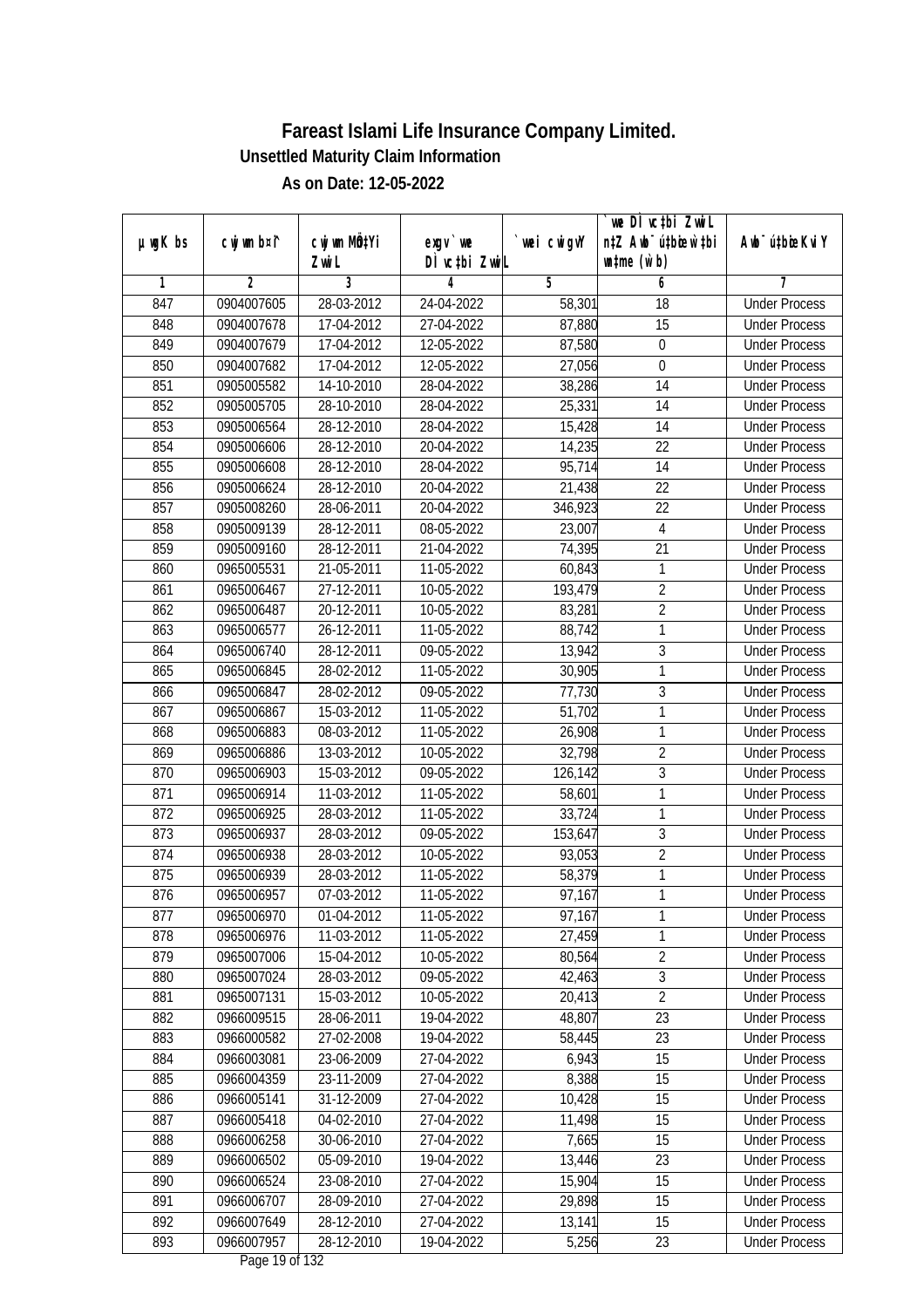| $µ$ ug $K$ bs | cwj wm b¤i^    | cwj wm MQtYi | $exgv$ we     | wei cwigvY | we DI vctbi ZwiL<br>n‡Z Awb <sup>-</sup> ú‡bioar`‡bi | Awb <sup>-</sup> ú‡bioeKviY |
|---------------|----------------|--------------|---------------|------------|------------------------------------------------------|-----------------------------|
|               |                | Zwi L        | DÌ vctbi ZwiL |            | $\n  untime\n  (u`b)\n$                              |                             |
| 1             | $\overline{2}$ | 3            | 4             | 5          | 6                                                    | 7                           |
| 847           | 0904007605     | 28-03-2012   | 24-04-2022    | 58,301     | 18                                                   | <b>Under Process</b>        |
| 848           | 0904007678     | 17-04-2012   | 27-04-2022    | 87,880     | 15                                                   | <b>Under Process</b>        |
| 849           | 0904007679     | 17-04-2012   | 12-05-2022    | 87,580     | $\boldsymbol{0}$                                     | <b>Under Process</b>        |
| 850           | 0904007682     | 17-04-2012   | 12-05-2022    | 27,056     | $\boldsymbol{0}$                                     | <b>Under Process</b>        |
| 851           | 0905005582     | 14-10-2010   | 28-04-2022    | 38,286     | $\overline{14}$                                      | <b>Under Process</b>        |
| 852           | 0905005705     | 28-10-2010   | 28-04-2022    | 25,331     | $\overline{14}$                                      | <b>Under Process</b>        |
| 853           | 0905006564     | 28-12-2010   | 28-04-2022    | 15,428     | 14                                                   | <b>Under Process</b>        |
| 854           | 0905006606     | 28-12-2010   | 20-04-2022    | 14,235     | 22                                                   | <b>Under Process</b>        |
| 855           | 0905006608     | 28-12-2010   | 28-04-2022    | 95,714     | 14                                                   | <b>Under Process</b>        |
| 856           | 0905006624     | 28-12-2010   | 20-04-2022    | 21,438     | 22                                                   | <b>Under Process</b>        |
| 857           | 0905008260     | 28-06-2011   | 20-04-2022    | 346,923    | $\overline{22}$                                      | <b>Under Process</b>        |
| 858           | 0905009139     | 28-12-2011   | 08-05-2022    | 23,007     | 4                                                    | <b>Under Process</b>        |
| 859           | 0905009160     | 28-12-2011   | 21-04-2022    | 74,395     | $\overline{21}$                                      | <b>Under Process</b>        |
| 860           | 0965005531     | 21-05-2011   | 11-05-2022    | 60,843     | 1                                                    | <b>Under Process</b>        |
| 861           | 0965006467     | 27-12-2011   | 10-05-2022    | 193,479    | $\overline{2}$                                       | <b>Under Process</b>        |
| 862           | 0965006487     | 20-12-2011   | 10-05-2022    | 83,281     | $\overline{2}$                                       | <b>Under Process</b>        |
| 863           | 0965006577     | 26-12-2011   | 11-05-2022    | 88,742     | 1                                                    | <b>Under Process</b>        |
| 864           | 0965006740     | 28-12-2011   | 09-05-2022    | 13,942     | $\mathfrak{Z}$                                       | <b>Under Process</b>        |
| 865           | 0965006845     | 28-02-2012   | 11-05-2022    | 30,905     | 1                                                    | <b>Under Process</b>        |
| 866           | 0965006847     | 28-02-2012   | 09-05-2022    | 77,730     | 3                                                    | <b>Under Process</b>        |
| 867           | 0965006867     | 15-03-2012   | 11-05-2022    | 51,702     | 1                                                    | <b>Under Process</b>        |
| 868           | 0965006883     | 08-03-2012   | 11-05-2022    | 26,908     | 1                                                    | <b>Under Process</b>        |
| 869           | 0965006886     | 13-03-2012   | 10-05-2022    | 32,798     | $\overline{2}$                                       | <b>Under Process</b>        |
| 870           | 0965006903     | 15-03-2012   | 09-05-2022    | 126,142    | $\overline{3}$                                       | <b>Under Process</b>        |
| 871           | 0965006914     | 11-03-2012   | 11-05-2022    | 58,601     | 1                                                    | <b>Under Process</b>        |
| 872           | 0965006925     | 28-03-2012   | 11-05-2022    | 33,724     | 1                                                    | <b>Under Process</b>        |
| 873           | 0965006937     | 28-03-2012   | 09-05-2022    | 153,647    | $\mathfrak{Z}$                                       | <b>Under Process</b>        |
| 874           | 0965006938     | 28-03-2012   | 10-05-2022    | 93,053     | $\overline{2}$                                       | <b>Under Process</b>        |
| 875           | 0965006939     | 28-03-2012   | 11-05-2022    | 58,379     | $\overline{1}$                                       | <b>Under Process</b>        |
| 876           | 0965006957     | 07-03-2012   | 11-05-2022    | 97,167     | $\mathbf{1}$                                         | <b>Under Process</b>        |
| 877           | 0965006970     | 01-04-2012   | 11-05-2022    | 97,167     | 1                                                    | <b>Under Process</b>        |
| 878           | 0965006976     | 11-03-2012   | 11-05-2022    | 27,459     | 1                                                    | <b>Under Process</b>        |
| 879           | 0965007006     | 15-04-2012   | 10-05-2022    | 80,564     | $\overline{2}$                                       | <b>Under Process</b>        |
| 880           | 0965007024     | 28-03-2012   | 09-05-2022    | 42,463     | $\overline{3}$                                       | <b>Under Process</b>        |
| 881           | 0965007131     | 15-03-2012   | 10-05-2022    | 20,413     | $\overline{2}$                                       | <b>Under Process</b>        |
| 882           | 0966009515     | 28-06-2011   | 19-04-2022    | 48,807     | 23                                                   | <b>Under Process</b>        |
| 883           | 0966000582     | 27-02-2008   | 19-04-2022    | 58,445     | 23                                                   | <b>Under Process</b>        |
| 884           | 0966003081     | 23-06-2009   | 27-04-2022    | 6,943      | 15                                                   | <b>Under Process</b>        |
| 885           | 0966004359     | 23-11-2009   | 27-04-2022    | 8,388      | 15                                                   | <b>Under Process</b>        |
| 886           | 0966005141     | 31-12-2009   | 27-04-2022    | 10,428     | 15                                                   | <b>Under Process</b>        |
| 887           | 0966005418     | 04-02-2010   | 27-04-2022    | 11,498     | 15                                                   | <b>Under Process</b>        |
| 888           | 0966006258     | 30-06-2010   | 27-04-2022    | 7,665      | 15                                                   | <b>Under Process</b>        |
| 889           | 0966006502     | 05-09-2010   | 19-04-2022    | 13,446     | $\overline{23}$                                      | <b>Under Process</b>        |
| 890           | 0966006524     | 23-08-2010   | 27-04-2022    | 15,904     | 15                                                   | <b>Under Process</b>        |
| 891           | 0966006707     | 28-09-2010   | 27-04-2022    | 29,898     | 15                                                   | <b>Under Process</b>        |
| 892           | 0966007649     | 28-12-2010   | 27-04-2022    | 13,141     | 15                                                   | <b>Under Process</b>        |
| 893           | 0966007957     | 28-12-2010   | 19-04-2022    | 5,256      | 23                                                   | <b>Under Process</b>        |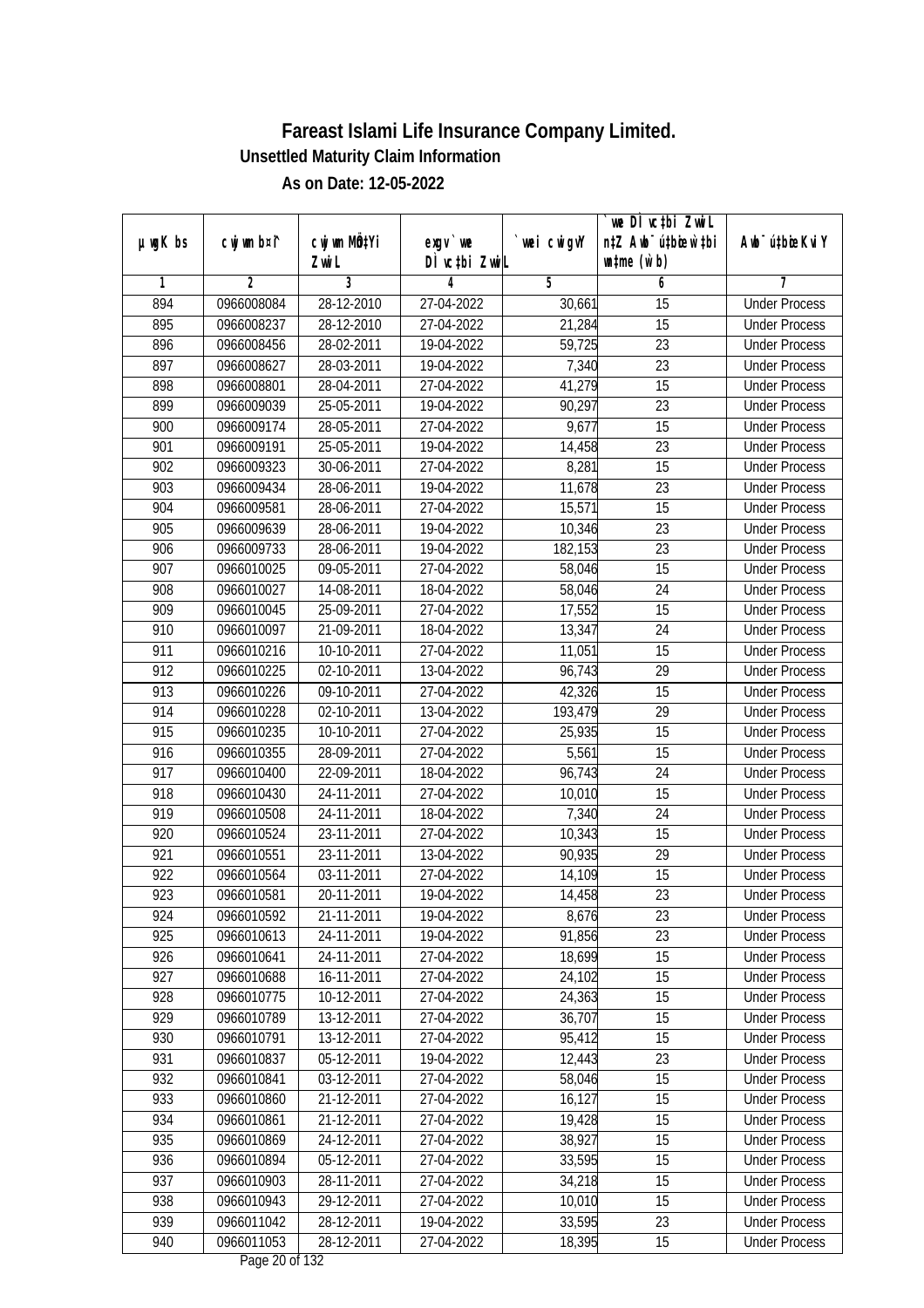|               |                |                           |                                          |             | `we DÌ vc‡bi Zwwi∟               |                             |
|---------------|----------------|---------------------------|------------------------------------------|-------------|----------------------------------|-----------------------------|
| $µ$ ug $K$ bs | cwj wm b¤i^    | cwj wm MQ <sup>1</sup> Yi | $exqu$ we                                | `wei cwigvY | n‡Z Awb <sup>-</sup> ú‡bioen`‡bi | Awb <sup>-</sup> ú‡bioeKviY |
|               |                | Zwi L                     | DÌ vctbi ZwiL                            |             | $\n  untime\n  (u`b)\n$          |                             |
| 1             | $\overline{2}$ | $\overline{3}$            | 4                                        | 5           | 6                                | 7                           |
| 894           | 0966008084     | 28-12-2010                | 27-04-2022                               | 30,661      | 15                               | <b>Under Process</b>        |
| 895           | 0966008237     | 28-12-2010                | 27-04-2022                               | 21,284      | $\overline{15}$                  | <b>Under Process</b>        |
| 896           | 0966008456     | 28-02-2011                | 19-04-2022                               | 59,725      | $\overline{23}$                  | <b>Under Process</b>        |
| 897           | 0966008627     | 28-03-2011                | 19-04-2022                               | 7,340       | $\overline{23}$                  | <b>Under Process</b>        |
| 898           | 0966008801     | 28-04-2011                | 27-04-2022                               | 41,279      | $\overline{15}$                  | <b>Under Process</b>        |
| 899           | 0966009039     | 25-05-2011                | 19-04-2022                               | 90,297      | $\overline{23}$                  | <b>Under Process</b>        |
| 900           | 0966009174     | 28-05-2011                | 27-04-2022                               | 9,677       | $\overline{15}$                  | <b>Under Process</b>        |
| 901           | 0966009191     | 25-05-2011                | 19-04-2022                               | 14,458      | $\overline{23}$                  | <b>Under Process</b>        |
| 902           | 0966009323     | 30-06-2011                | 27-04-2022                               | 8,281       | 15                               | <b>Under Process</b>        |
| 903           | 0966009434     | 28-06-2011                | 19-04-2022                               | 11,678      | $\overline{23}$                  | <b>Under Process</b>        |
| 904           | 0966009581     | 28-06-2011                | 27-04-2022                               | 15,571      | $\overline{15}$                  | <b>Under Process</b>        |
| 905           | 0966009639     | 28-06-2011                | 19-04-2022                               | 10,346      | 23                               | <b>Under Process</b>        |
| 906           | 0966009733     | 28-06-2011                | 19-04-2022                               | 182,153     | 23                               | <b>Under Process</b>        |
| 907           | 0966010025     | 09-05-2011                | 27-04-2022                               | 58,046      | 15                               | <b>Under Process</b>        |
| 908           | 0966010027     | 14-08-2011                | 18-04-2022                               | 58,046      | 24                               | <b>Under Process</b>        |
| 909           | 0966010045     | 25-09-2011                | 27-04-2022                               | 17,552      | 15                               | <b>Under Process</b>        |
| 910           | 0966010097     | 21-09-2011                | 18-04-2022                               | 13,347      | 24                               | <b>Under Process</b>        |
| 911           | 0966010216     | 10-10-2011                | 27-04-2022                               | 11,051      | 15                               | <b>Under Process</b>        |
| 912           | 0966010225     | 02-10-2011                | 13-04-2022                               | 96,743      | 29                               | <b>Under Process</b>        |
| 913           | 0966010226     | 09-10-2011                | 27-04-2022                               | 42,326      | 15                               | <b>Under Process</b>        |
| 914           | 0966010228     | 02-10-2011                | 13-04-2022                               | 193,479     | 29                               | <b>Under Process</b>        |
| 915           | 0966010235     | $\overline{10}$ -10-2011  | 27-04-2022                               | 25,935      | 15                               | <b>Under Process</b>        |
| 916           | 0966010355     | 28-09-2011                | 27-04-2022                               | 5,561       | 15                               | <b>Under Process</b>        |
| 917           | 0966010400     | 22-09-2011                | 18-04-2022                               | 96,743      | 24                               | <b>Under Process</b>        |
| 918           | 0966010430     | 24-11-2011                | 27-04-2022                               | 10,010      | 15                               | <b>Under Process</b>        |
| 919           | 0966010508     | 24-11-2011                | 18-04-2022                               | 7,340       | 24                               | <b>Under Process</b>        |
| 920           | 0966010524     | 23-11-2011                | 27-04-2022                               | 10,343      | 15                               | <b>Under Process</b>        |
| 921           | 0966010551     | 23-11-2011                | 13-04-2022                               | 90,935      | 29                               | <b>Under Process</b>        |
| 922           | 0966010564     | 03-11-2011                | 27-04-2022                               | 14,109      | 15                               | <b>Under Process</b>        |
| 923           | 0966010581     | 20-11-2011                | 19-04-2022                               | 14,458      | 23                               | <b>Under Process</b>        |
| 924           | 0966010592     | 21-11-2011                | 19-04-2022                               | 8,676       | 23                               | <b>Under Process</b>        |
| 925           | 0966010613     | 24-11-2011                | 19-04-2022                               | 91,856      | 23                               | <b>Under Process</b>        |
| 926           | 0966010641     | 24-11-2011                | 27-04-2022                               | 18,699      | 15                               | <b>Under Process</b>        |
| 927           | 0966010688     | 16-11-2011                | 27-04-2022                               | 24,102      | 15                               | <b>Under Process</b>        |
| 928           | 0966010775     | 10-12-2011                | 27-04-2022                               | 24,363      | 15                               | <b>Under Process</b>        |
| 929           | 0966010789     | 13-12-2011                | 27-04-2022                               | 36,707      | 15                               | <b>Under Process</b>        |
| 930           | 0966010791     | 13-12-2011                | 27-04-2022                               | 95,412      | 15                               | <b>Under Process</b>        |
| 931           | 0966010837     | 05-12-2011                | 19-04-2022                               | 12,443      | 23                               | <b>Under Process</b>        |
| 932           | 0966010841     | 03-12-2011                | 27-04-2022                               | 58,046      | 15                               | <b>Under Process</b>        |
| 933           | 0966010860     | 21-12-2011                | 27-04-2022                               | 16,127      | 15                               | <b>Under Process</b>        |
| 934           | 0966010861     | 21-12-2011                | 27-04-2022                               | 19,428      | 15                               | <b>Under Process</b>        |
| 935           | 0966010869     | 24-12-2011                | 27-04-2022                               | 38,927      | 15                               | <b>Under Process</b>        |
| 936           | 0966010894     | 05-12-2011                | 27-04-2022                               | 33,595      | $\overline{15}$                  | <b>Under Process</b>        |
| 937           | 0966010903     | 28-11-2011                | 27-04-2022                               | 34,218      | 15                               | <b>Under Process</b>        |
| 938           | 0966010943     | 29-12-2011                | 27-04-2022                               | 10,010      | 15                               | <b>Under Process</b>        |
| 939           | 0966011042     | 28-12-2011                | 19-04-2022                               | 33,595      | 23                               | <b>Under Process</b>        |
| 940           | 0966011053     | 28-12-2011                | 27-04-2022<br>$D_{\text{max}}$ 00 of 100 | 18,395      | $\overline{15}$                  | <b>Under Process</b>        |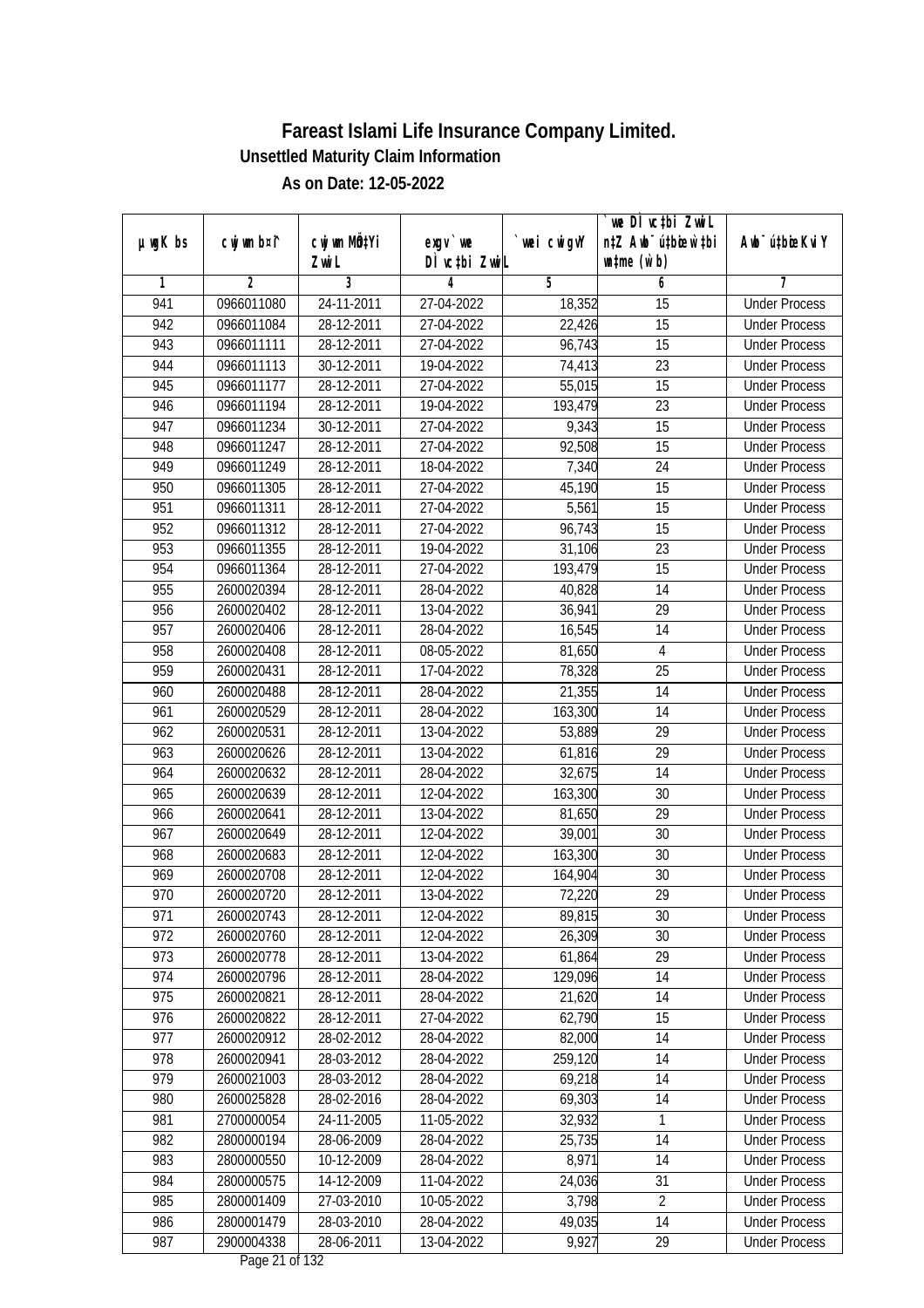| DÌ vctbi ZwiL<br>$\n  untime\n  (u`b)\n$<br>Zwi L<br>3<br>$\overline{2}$<br>$\overline{5}$<br>6<br>7<br>1<br>4<br><b>Under Process</b><br>941<br>0966011080<br>24-11-2011<br>27-04-2022<br>18,352<br>$\overline{15}$<br>$\overline{15}$<br>942<br>28-12-2011<br>27-04-2022<br>22,426<br>0966011084<br><b>Under Process</b><br>$\overline{15}$<br>943<br>28-12-2011<br>27-04-2022<br>96,743<br><b>Under Process</b><br>0966011111<br>944<br>0966011113<br>30-12-2011<br>23<br>19-04-2022<br>74,413<br><b>Under Process</b><br>$\overline{15}$<br>$28-12-2011$<br>945<br>0966011177<br>27-04-2022<br>55,015<br><b>Under Process</b><br>$\overline{23}$<br>946<br>0966011194<br>28-12-2011<br>19-04-2022<br>193,479<br><b>Under Process</b><br>947<br>9,343<br>$\overline{15}$<br>0966011234<br>30-12-2011<br>27-04-2022<br><b>Under Process</b><br>$\overline{15}$<br>948<br>0966011247<br>28-12-2011<br>27-04-2022<br>92,508<br><b>Under Process</b><br>949<br>7,340<br>0966011249<br>28-12-2011<br>18-04-2022<br>24<br><b>Under Process</b><br>45,190<br>15<br>950<br>0966011305<br>28-12-2011<br>27-04-2022<br><b>Under Process</b><br>951<br>5,561<br>$\overline{15}$<br>0966011311<br>28-12-2011<br>27-04-2022<br><b>Under Process</b><br>952<br>27-04-2022<br>96,743<br>15<br>0966011312<br>28-12-2011<br><b>Under Process</b><br>953<br>$\overline{23}$<br>28-12-2011<br>19-04-2022<br>31,106<br>0966011355<br><b>Under Process</b><br>954<br>28-12-2011<br>27-04-2022<br>15<br>0966011364<br>193,479<br><b>Under Process</b><br>955<br>2600020394<br>28-12-2011<br>28-04-2022<br>40,828<br>14<br><b>Under Process</b><br>29<br>956<br>2600020402<br>28-12-2011<br>13-04-2022<br>36,941<br><b>Under Process</b><br>957<br>28-12-2011<br>28-04-2022<br>16,545<br>14<br>2600020406<br><b>Under Process</b><br>958<br>$\overline{4}$<br>2600020408<br>28-12-2011<br>08-05-2022<br>81,650<br><b>Under Process</b><br>959<br>25<br>28-12-2011<br>17-04-2022<br>78,328<br>2600020431<br><b>Under Process</b><br>960<br>21,355<br>14<br>2600020488<br>28-12-2011<br>28-04-2022<br><b>Under Process</b><br>14<br>961<br>2600020529<br>28-12-2011<br>28-04-2022<br>163,300<br><b>Under Process</b><br>962<br>53,889<br>29<br>2600020531<br>28-12-2011<br>13-04-2022<br><b>Under Process</b><br>963<br>29<br>28-12-2011<br>13-04-2022<br>61,816<br>2600020626<br><b>Under Process</b><br>14<br>964<br>2600020632<br>28-12-2011<br>28-04-2022<br>32,675<br><b>Under Process</b><br>965<br>30<br>2600020639<br>28-12-2011<br>12-04-2022<br>163,300<br><b>Under Process</b><br>966<br>2600020641<br>28-12-2011<br>13-04-2022<br>29<br>81,650<br><b>Under Process</b><br>967<br>2600020649<br>28-12-2011<br>12-04-2022<br>39,001<br>30<br><b>Under Process</b><br>968<br>28-12-2011<br>163,300<br>30<br>2600020683<br>12-04-2022<br><b>Under Process</b><br>969<br>30<br>2600020708<br>28-12-2011<br>12-04-2022<br>164,904<br><b>Under Process</b><br>970<br>29<br>2600020720<br>28-12-2011<br>13-04-2022<br>72,220<br><b>Under Process</b><br>971<br>2600020743<br>28-12-2011<br>12-04-2022<br>89,815<br>30<br><b>Under Process</b><br>972<br>2600020760<br>28-12-2011<br>26,309<br>30<br>12-04-2022<br><b>Under Process</b><br>29<br>973<br>2600020778<br>28-12-2011<br>13-04-2022<br>61,864<br><b>Under Process</b><br>974<br>129,096<br>14<br>2600020796<br>28-12-2011<br>28-04-2022<br><b>Under Process</b><br>975<br>2600020821<br>21,620<br>28-12-2011<br>28-04-2022<br>14<br><b>Under Process</b><br>976<br>2600020822<br>62,790<br>28-12-2011<br>27-04-2022<br>15<br><b>Under Process</b><br>977<br>2600020912<br>82,000<br>14<br>28-02-2012<br>28-04-2022<br><b>Under Process</b><br>14<br>978<br>28-03-2012<br>259,120<br>2600020941<br>28-04-2022<br><b>Under Process</b><br>979<br>69,218<br>14<br>2600021003<br>28-03-2012<br>28-04-2022<br><b>Under Process</b><br>2600025828<br>69,303<br>14<br>980<br>28-02-2016<br>28-04-2022<br><b>Under Process</b><br>981<br>2700000054<br>24-11-2005<br>11-05-2022<br>32,932<br><b>Under Process</b><br>1<br>982<br>2800000194<br>14<br>28-06-2009<br>28-04-2022<br>25,735<br><b>Under Process</b><br>8,971<br>983<br>2800000550<br>10-12-2009<br>28-04-2022<br>14<br><b>Under Process</b><br>984<br>24,036<br>31<br>2800000575<br>14-12-2009<br>11-04-2022<br><b>Under Process</b><br>3,798<br>$\overline{2}$<br>985<br>2800001409<br>27-03-2010<br>10-05-2022<br><b>Under Process</b><br>986<br>49,035<br>2800001479<br>28-03-2010<br>28-04-2022<br>14<br><b>Under Process</b><br>987<br>2900004338<br>28-06-2011<br>9,927<br>29<br>13-04-2022<br><b>Under Process</b> |               |             |              |           |             | we DI vctbi ZwiL                 |                             |
|-----------------------------------------------------------------------------------------------------------------------------------------------------------------------------------------------------------------------------------------------------------------------------------------------------------------------------------------------------------------------------------------------------------------------------------------------------------------------------------------------------------------------------------------------------------------------------------------------------------------------------------------------------------------------------------------------------------------------------------------------------------------------------------------------------------------------------------------------------------------------------------------------------------------------------------------------------------------------------------------------------------------------------------------------------------------------------------------------------------------------------------------------------------------------------------------------------------------------------------------------------------------------------------------------------------------------------------------------------------------------------------------------------------------------------------------------------------------------------------------------------------------------------------------------------------------------------------------------------------------------------------------------------------------------------------------------------------------------------------------------------------------------------------------------------------------------------------------------------------------------------------------------------------------------------------------------------------------------------------------------------------------------------------------------------------------------------------------------------------------------------------------------------------------------------------------------------------------------------------------------------------------------------------------------------------------------------------------------------------------------------------------------------------------------------------------------------------------------------------------------------------------------------------------------------------------------------------------------------------------------------------------------------------------------------------------------------------------------------------------------------------------------------------------------------------------------------------------------------------------------------------------------------------------------------------------------------------------------------------------------------------------------------------------------------------------------------------------------------------------------------------------------------------------------------------------------------------------------------------------------------------------------------------------------------------------------------------------------------------------------------------------------------------------------------------------------------------------------------------------------------------------------------------------------------------------------------------------------------------------------------------------------------------------------------------------------------------------------------------------------------------------------------------------------------------------------------------------------------------------------------------------------------------------------------------------------------------------------------------------------------------------------------------------------------------------------------------------------------------------------------------------------------------------------------------------------------------------------------------------------------------------------------------------------------------------------------------------------------------------------------------------------------------------------------------------------------------------------------------------------------------------------------------------------------------------------------------------------------------------------|---------------|-------------|--------------|-----------|-------------|----------------------------------|-----------------------------|
|                                                                                                                                                                                                                                                                                                                                                                                                                                                                                                                                                                                                                                                                                                                                                                                                                                                                                                                                                                                                                                                                                                                                                                                                                                                                                                                                                                                                                                                                                                                                                                                                                                                                                                                                                                                                                                                                                                                                                                                                                                                                                                                                                                                                                                                                                                                                                                                                                                                                                                                                                                                                                                                                                                                                                                                                                                                                                                                                                                                                                                                                                                                                                                                                                                                                                                                                                                                                                                                                                                                                                                                                                                                                                                                                                                                                                                                                                                                                                                                                                                                                                                                                                                                                                                                                                                                                                                                                                                                                                                                                                                                                                       | $µ$ ug $K$ bs | cwj wm b¤i^ | cwj wm MQtYi | $exgV$ we | `wei cwigvY | n‡Z Awb <sup>-</sup> ú‡bioar`‡bi | Awb <sup>-</sup> ú‡bioeKviY |
|                                                                                                                                                                                                                                                                                                                                                                                                                                                                                                                                                                                                                                                                                                                                                                                                                                                                                                                                                                                                                                                                                                                                                                                                                                                                                                                                                                                                                                                                                                                                                                                                                                                                                                                                                                                                                                                                                                                                                                                                                                                                                                                                                                                                                                                                                                                                                                                                                                                                                                                                                                                                                                                                                                                                                                                                                                                                                                                                                                                                                                                                                                                                                                                                                                                                                                                                                                                                                                                                                                                                                                                                                                                                                                                                                                                                                                                                                                                                                                                                                                                                                                                                                                                                                                                                                                                                                                                                                                                                                                                                                                                                                       |               |             |              |           |             |                                  |                             |
|                                                                                                                                                                                                                                                                                                                                                                                                                                                                                                                                                                                                                                                                                                                                                                                                                                                                                                                                                                                                                                                                                                                                                                                                                                                                                                                                                                                                                                                                                                                                                                                                                                                                                                                                                                                                                                                                                                                                                                                                                                                                                                                                                                                                                                                                                                                                                                                                                                                                                                                                                                                                                                                                                                                                                                                                                                                                                                                                                                                                                                                                                                                                                                                                                                                                                                                                                                                                                                                                                                                                                                                                                                                                                                                                                                                                                                                                                                                                                                                                                                                                                                                                                                                                                                                                                                                                                                                                                                                                                                                                                                                                                       |               |             |              |           |             |                                  |                             |
|                                                                                                                                                                                                                                                                                                                                                                                                                                                                                                                                                                                                                                                                                                                                                                                                                                                                                                                                                                                                                                                                                                                                                                                                                                                                                                                                                                                                                                                                                                                                                                                                                                                                                                                                                                                                                                                                                                                                                                                                                                                                                                                                                                                                                                                                                                                                                                                                                                                                                                                                                                                                                                                                                                                                                                                                                                                                                                                                                                                                                                                                                                                                                                                                                                                                                                                                                                                                                                                                                                                                                                                                                                                                                                                                                                                                                                                                                                                                                                                                                                                                                                                                                                                                                                                                                                                                                                                                                                                                                                                                                                                                                       |               |             |              |           |             |                                  |                             |
|                                                                                                                                                                                                                                                                                                                                                                                                                                                                                                                                                                                                                                                                                                                                                                                                                                                                                                                                                                                                                                                                                                                                                                                                                                                                                                                                                                                                                                                                                                                                                                                                                                                                                                                                                                                                                                                                                                                                                                                                                                                                                                                                                                                                                                                                                                                                                                                                                                                                                                                                                                                                                                                                                                                                                                                                                                                                                                                                                                                                                                                                                                                                                                                                                                                                                                                                                                                                                                                                                                                                                                                                                                                                                                                                                                                                                                                                                                                                                                                                                                                                                                                                                                                                                                                                                                                                                                                                                                                                                                                                                                                                                       |               |             |              |           |             |                                  |                             |
|                                                                                                                                                                                                                                                                                                                                                                                                                                                                                                                                                                                                                                                                                                                                                                                                                                                                                                                                                                                                                                                                                                                                                                                                                                                                                                                                                                                                                                                                                                                                                                                                                                                                                                                                                                                                                                                                                                                                                                                                                                                                                                                                                                                                                                                                                                                                                                                                                                                                                                                                                                                                                                                                                                                                                                                                                                                                                                                                                                                                                                                                                                                                                                                                                                                                                                                                                                                                                                                                                                                                                                                                                                                                                                                                                                                                                                                                                                                                                                                                                                                                                                                                                                                                                                                                                                                                                                                                                                                                                                                                                                                                                       |               |             |              |           |             |                                  |                             |
|                                                                                                                                                                                                                                                                                                                                                                                                                                                                                                                                                                                                                                                                                                                                                                                                                                                                                                                                                                                                                                                                                                                                                                                                                                                                                                                                                                                                                                                                                                                                                                                                                                                                                                                                                                                                                                                                                                                                                                                                                                                                                                                                                                                                                                                                                                                                                                                                                                                                                                                                                                                                                                                                                                                                                                                                                                                                                                                                                                                                                                                                                                                                                                                                                                                                                                                                                                                                                                                                                                                                                                                                                                                                                                                                                                                                                                                                                                                                                                                                                                                                                                                                                                                                                                                                                                                                                                                                                                                                                                                                                                                                                       |               |             |              |           |             |                                  |                             |
|                                                                                                                                                                                                                                                                                                                                                                                                                                                                                                                                                                                                                                                                                                                                                                                                                                                                                                                                                                                                                                                                                                                                                                                                                                                                                                                                                                                                                                                                                                                                                                                                                                                                                                                                                                                                                                                                                                                                                                                                                                                                                                                                                                                                                                                                                                                                                                                                                                                                                                                                                                                                                                                                                                                                                                                                                                                                                                                                                                                                                                                                                                                                                                                                                                                                                                                                                                                                                                                                                                                                                                                                                                                                                                                                                                                                                                                                                                                                                                                                                                                                                                                                                                                                                                                                                                                                                                                                                                                                                                                                                                                                                       |               |             |              |           |             |                                  |                             |
|                                                                                                                                                                                                                                                                                                                                                                                                                                                                                                                                                                                                                                                                                                                                                                                                                                                                                                                                                                                                                                                                                                                                                                                                                                                                                                                                                                                                                                                                                                                                                                                                                                                                                                                                                                                                                                                                                                                                                                                                                                                                                                                                                                                                                                                                                                                                                                                                                                                                                                                                                                                                                                                                                                                                                                                                                                                                                                                                                                                                                                                                                                                                                                                                                                                                                                                                                                                                                                                                                                                                                                                                                                                                                                                                                                                                                                                                                                                                                                                                                                                                                                                                                                                                                                                                                                                                                                                                                                                                                                                                                                                                                       |               |             |              |           |             |                                  |                             |
|                                                                                                                                                                                                                                                                                                                                                                                                                                                                                                                                                                                                                                                                                                                                                                                                                                                                                                                                                                                                                                                                                                                                                                                                                                                                                                                                                                                                                                                                                                                                                                                                                                                                                                                                                                                                                                                                                                                                                                                                                                                                                                                                                                                                                                                                                                                                                                                                                                                                                                                                                                                                                                                                                                                                                                                                                                                                                                                                                                                                                                                                                                                                                                                                                                                                                                                                                                                                                                                                                                                                                                                                                                                                                                                                                                                                                                                                                                                                                                                                                                                                                                                                                                                                                                                                                                                                                                                                                                                                                                                                                                                                                       |               |             |              |           |             |                                  |                             |
|                                                                                                                                                                                                                                                                                                                                                                                                                                                                                                                                                                                                                                                                                                                                                                                                                                                                                                                                                                                                                                                                                                                                                                                                                                                                                                                                                                                                                                                                                                                                                                                                                                                                                                                                                                                                                                                                                                                                                                                                                                                                                                                                                                                                                                                                                                                                                                                                                                                                                                                                                                                                                                                                                                                                                                                                                                                                                                                                                                                                                                                                                                                                                                                                                                                                                                                                                                                                                                                                                                                                                                                                                                                                                                                                                                                                                                                                                                                                                                                                                                                                                                                                                                                                                                                                                                                                                                                                                                                                                                                                                                                                                       |               |             |              |           |             |                                  |                             |
|                                                                                                                                                                                                                                                                                                                                                                                                                                                                                                                                                                                                                                                                                                                                                                                                                                                                                                                                                                                                                                                                                                                                                                                                                                                                                                                                                                                                                                                                                                                                                                                                                                                                                                                                                                                                                                                                                                                                                                                                                                                                                                                                                                                                                                                                                                                                                                                                                                                                                                                                                                                                                                                                                                                                                                                                                                                                                                                                                                                                                                                                                                                                                                                                                                                                                                                                                                                                                                                                                                                                                                                                                                                                                                                                                                                                                                                                                                                                                                                                                                                                                                                                                                                                                                                                                                                                                                                                                                                                                                                                                                                                                       |               |             |              |           |             |                                  |                             |
|                                                                                                                                                                                                                                                                                                                                                                                                                                                                                                                                                                                                                                                                                                                                                                                                                                                                                                                                                                                                                                                                                                                                                                                                                                                                                                                                                                                                                                                                                                                                                                                                                                                                                                                                                                                                                                                                                                                                                                                                                                                                                                                                                                                                                                                                                                                                                                                                                                                                                                                                                                                                                                                                                                                                                                                                                                                                                                                                                                                                                                                                                                                                                                                                                                                                                                                                                                                                                                                                                                                                                                                                                                                                                                                                                                                                                                                                                                                                                                                                                                                                                                                                                                                                                                                                                                                                                                                                                                                                                                                                                                                                                       |               |             |              |           |             |                                  |                             |
|                                                                                                                                                                                                                                                                                                                                                                                                                                                                                                                                                                                                                                                                                                                                                                                                                                                                                                                                                                                                                                                                                                                                                                                                                                                                                                                                                                                                                                                                                                                                                                                                                                                                                                                                                                                                                                                                                                                                                                                                                                                                                                                                                                                                                                                                                                                                                                                                                                                                                                                                                                                                                                                                                                                                                                                                                                                                                                                                                                                                                                                                                                                                                                                                                                                                                                                                                                                                                                                                                                                                                                                                                                                                                                                                                                                                                                                                                                                                                                                                                                                                                                                                                                                                                                                                                                                                                                                                                                                                                                                                                                                                                       |               |             |              |           |             |                                  |                             |
|                                                                                                                                                                                                                                                                                                                                                                                                                                                                                                                                                                                                                                                                                                                                                                                                                                                                                                                                                                                                                                                                                                                                                                                                                                                                                                                                                                                                                                                                                                                                                                                                                                                                                                                                                                                                                                                                                                                                                                                                                                                                                                                                                                                                                                                                                                                                                                                                                                                                                                                                                                                                                                                                                                                                                                                                                                                                                                                                                                                                                                                                                                                                                                                                                                                                                                                                                                                                                                                                                                                                                                                                                                                                                                                                                                                                                                                                                                                                                                                                                                                                                                                                                                                                                                                                                                                                                                                                                                                                                                                                                                                                                       |               |             |              |           |             |                                  |                             |
|                                                                                                                                                                                                                                                                                                                                                                                                                                                                                                                                                                                                                                                                                                                                                                                                                                                                                                                                                                                                                                                                                                                                                                                                                                                                                                                                                                                                                                                                                                                                                                                                                                                                                                                                                                                                                                                                                                                                                                                                                                                                                                                                                                                                                                                                                                                                                                                                                                                                                                                                                                                                                                                                                                                                                                                                                                                                                                                                                                                                                                                                                                                                                                                                                                                                                                                                                                                                                                                                                                                                                                                                                                                                                                                                                                                                                                                                                                                                                                                                                                                                                                                                                                                                                                                                                                                                                                                                                                                                                                                                                                                                                       |               |             |              |           |             |                                  |                             |
|                                                                                                                                                                                                                                                                                                                                                                                                                                                                                                                                                                                                                                                                                                                                                                                                                                                                                                                                                                                                                                                                                                                                                                                                                                                                                                                                                                                                                                                                                                                                                                                                                                                                                                                                                                                                                                                                                                                                                                                                                                                                                                                                                                                                                                                                                                                                                                                                                                                                                                                                                                                                                                                                                                                                                                                                                                                                                                                                                                                                                                                                                                                                                                                                                                                                                                                                                                                                                                                                                                                                                                                                                                                                                                                                                                                                                                                                                                                                                                                                                                                                                                                                                                                                                                                                                                                                                                                                                                                                                                                                                                                                                       |               |             |              |           |             |                                  |                             |
|                                                                                                                                                                                                                                                                                                                                                                                                                                                                                                                                                                                                                                                                                                                                                                                                                                                                                                                                                                                                                                                                                                                                                                                                                                                                                                                                                                                                                                                                                                                                                                                                                                                                                                                                                                                                                                                                                                                                                                                                                                                                                                                                                                                                                                                                                                                                                                                                                                                                                                                                                                                                                                                                                                                                                                                                                                                                                                                                                                                                                                                                                                                                                                                                                                                                                                                                                                                                                                                                                                                                                                                                                                                                                                                                                                                                                                                                                                                                                                                                                                                                                                                                                                                                                                                                                                                                                                                                                                                                                                                                                                                                                       |               |             |              |           |             |                                  |                             |
|                                                                                                                                                                                                                                                                                                                                                                                                                                                                                                                                                                                                                                                                                                                                                                                                                                                                                                                                                                                                                                                                                                                                                                                                                                                                                                                                                                                                                                                                                                                                                                                                                                                                                                                                                                                                                                                                                                                                                                                                                                                                                                                                                                                                                                                                                                                                                                                                                                                                                                                                                                                                                                                                                                                                                                                                                                                                                                                                                                                                                                                                                                                                                                                                                                                                                                                                                                                                                                                                                                                                                                                                                                                                                                                                                                                                                                                                                                                                                                                                                                                                                                                                                                                                                                                                                                                                                                                                                                                                                                                                                                                                                       |               |             |              |           |             |                                  |                             |
|                                                                                                                                                                                                                                                                                                                                                                                                                                                                                                                                                                                                                                                                                                                                                                                                                                                                                                                                                                                                                                                                                                                                                                                                                                                                                                                                                                                                                                                                                                                                                                                                                                                                                                                                                                                                                                                                                                                                                                                                                                                                                                                                                                                                                                                                                                                                                                                                                                                                                                                                                                                                                                                                                                                                                                                                                                                                                                                                                                                                                                                                                                                                                                                                                                                                                                                                                                                                                                                                                                                                                                                                                                                                                                                                                                                                                                                                                                                                                                                                                                                                                                                                                                                                                                                                                                                                                                                                                                                                                                                                                                                                                       |               |             |              |           |             |                                  |                             |
|                                                                                                                                                                                                                                                                                                                                                                                                                                                                                                                                                                                                                                                                                                                                                                                                                                                                                                                                                                                                                                                                                                                                                                                                                                                                                                                                                                                                                                                                                                                                                                                                                                                                                                                                                                                                                                                                                                                                                                                                                                                                                                                                                                                                                                                                                                                                                                                                                                                                                                                                                                                                                                                                                                                                                                                                                                                                                                                                                                                                                                                                                                                                                                                                                                                                                                                                                                                                                                                                                                                                                                                                                                                                                                                                                                                                                                                                                                                                                                                                                                                                                                                                                                                                                                                                                                                                                                                                                                                                                                                                                                                                                       |               |             |              |           |             |                                  |                             |
|                                                                                                                                                                                                                                                                                                                                                                                                                                                                                                                                                                                                                                                                                                                                                                                                                                                                                                                                                                                                                                                                                                                                                                                                                                                                                                                                                                                                                                                                                                                                                                                                                                                                                                                                                                                                                                                                                                                                                                                                                                                                                                                                                                                                                                                                                                                                                                                                                                                                                                                                                                                                                                                                                                                                                                                                                                                                                                                                                                                                                                                                                                                                                                                                                                                                                                                                                                                                                                                                                                                                                                                                                                                                                                                                                                                                                                                                                                                                                                                                                                                                                                                                                                                                                                                                                                                                                                                                                                                                                                                                                                                                                       |               |             |              |           |             |                                  |                             |
|                                                                                                                                                                                                                                                                                                                                                                                                                                                                                                                                                                                                                                                                                                                                                                                                                                                                                                                                                                                                                                                                                                                                                                                                                                                                                                                                                                                                                                                                                                                                                                                                                                                                                                                                                                                                                                                                                                                                                                                                                                                                                                                                                                                                                                                                                                                                                                                                                                                                                                                                                                                                                                                                                                                                                                                                                                                                                                                                                                                                                                                                                                                                                                                                                                                                                                                                                                                                                                                                                                                                                                                                                                                                                                                                                                                                                                                                                                                                                                                                                                                                                                                                                                                                                                                                                                                                                                                                                                                                                                                                                                                                                       |               |             |              |           |             |                                  |                             |
|                                                                                                                                                                                                                                                                                                                                                                                                                                                                                                                                                                                                                                                                                                                                                                                                                                                                                                                                                                                                                                                                                                                                                                                                                                                                                                                                                                                                                                                                                                                                                                                                                                                                                                                                                                                                                                                                                                                                                                                                                                                                                                                                                                                                                                                                                                                                                                                                                                                                                                                                                                                                                                                                                                                                                                                                                                                                                                                                                                                                                                                                                                                                                                                                                                                                                                                                                                                                                                                                                                                                                                                                                                                                                                                                                                                                                                                                                                                                                                                                                                                                                                                                                                                                                                                                                                                                                                                                                                                                                                                                                                                                                       |               |             |              |           |             |                                  |                             |
|                                                                                                                                                                                                                                                                                                                                                                                                                                                                                                                                                                                                                                                                                                                                                                                                                                                                                                                                                                                                                                                                                                                                                                                                                                                                                                                                                                                                                                                                                                                                                                                                                                                                                                                                                                                                                                                                                                                                                                                                                                                                                                                                                                                                                                                                                                                                                                                                                                                                                                                                                                                                                                                                                                                                                                                                                                                                                                                                                                                                                                                                                                                                                                                                                                                                                                                                                                                                                                                                                                                                                                                                                                                                                                                                                                                                                                                                                                                                                                                                                                                                                                                                                                                                                                                                                                                                                                                                                                                                                                                                                                                                                       |               |             |              |           |             |                                  |                             |
|                                                                                                                                                                                                                                                                                                                                                                                                                                                                                                                                                                                                                                                                                                                                                                                                                                                                                                                                                                                                                                                                                                                                                                                                                                                                                                                                                                                                                                                                                                                                                                                                                                                                                                                                                                                                                                                                                                                                                                                                                                                                                                                                                                                                                                                                                                                                                                                                                                                                                                                                                                                                                                                                                                                                                                                                                                                                                                                                                                                                                                                                                                                                                                                                                                                                                                                                                                                                                                                                                                                                                                                                                                                                                                                                                                                                                                                                                                                                                                                                                                                                                                                                                                                                                                                                                                                                                                                                                                                                                                                                                                                                                       |               |             |              |           |             |                                  |                             |
|                                                                                                                                                                                                                                                                                                                                                                                                                                                                                                                                                                                                                                                                                                                                                                                                                                                                                                                                                                                                                                                                                                                                                                                                                                                                                                                                                                                                                                                                                                                                                                                                                                                                                                                                                                                                                                                                                                                                                                                                                                                                                                                                                                                                                                                                                                                                                                                                                                                                                                                                                                                                                                                                                                                                                                                                                                                                                                                                                                                                                                                                                                                                                                                                                                                                                                                                                                                                                                                                                                                                                                                                                                                                                                                                                                                                                                                                                                                                                                                                                                                                                                                                                                                                                                                                                                                                                                                                                                                                                                                                                                                                                       |               |             |              |           |             |                                  |                             |
|                                                                                                                                                                                                                                                                                                                                                                                                                                                                                                                                                                                                                                                                                                                                                                                                                                                                                                                                                                                                                                                                                                                                                                                                                                                                                                                                                                                                                                                                                                                                                                                                                                                                                                                                                                                                                                                                                                                                                                                                                                                                                                                                                                                                                                                                                                                                                                                                                                                                                                                                                                                                                                                                                                                                                                                                                                                                                                                                                                                                                                                                                                                                                                                                                                                                                                                                                                                                                                                                                                                                                                                                                                                                                                                                                                                                                                                                                                                                                                                                                                                                                                                                                                                                                                                                                                                                                                                                                                                                                                                                                                                                                       |               |             |              |           |             |                                  |                             |
|                                                                                                                                                                                                                                                                                                                                                                                                                                                                                                                                                                                                                                                                                                                                                                                                                                                                                                                                                                                                                                                                                                                                                                                                                                                                                                                                                                                                                                                                                                                                                                                                                                                                                                                                                                                                                                                                                                                                                                                                                                                                                                                                                                                                                                                                                                                                                                                                                                                                                                                                                                                                                                                                                                                                                                                                                                                                                                                                                                                                                                                                                                                                                                                                                                                                                                                                                                                                                                                                                                                                                                                                                                                                                                                                                                                                                                                                                                                                                                                                                                                                                                                                                                                                                                                                                                                                                                                                                                                                                                                                                                                                                       |               |             |              |           |             |                                  |                             |
|                                                                                                                                                                                                                                                                                                                                                                                                                                                                                                                                                                                                                                                                                                                                                                                                                                                                                                                                                                                                                                                                                                                                                                                                                                                                                                                                                                                                                                                                                                                                                                                                                                                                                                                                                                                                                                                                                                                                                                                                                                                                                                                                                                                                                                                                                                                                                                                                                                                                                                                                                                                                                                                                                                                                                                                                                                                                                                                                                                                                                                                                                                                                                                                                                                                                                                                                                                                                                                                                                                                                                                                                                                                                                                                                                                                                                                                                                                                                                                                                                                                                                                                                                                                                                                                                                                                                                                                                                                                                                                                                                                                                                       |               |             |              |           |             |                                  |                             |
|                                                                                                                                                                                                                                                                                                                                                                                                                                                                                                                                                                                                                                                                                                                                                                                                                                                                                                                                                                                                                                                                                                                                                                                                                                                                                                                                                                                                                                                                                                                                                                                                                                                                                                                                                                                                                                                                                                                                                                                                                                                                                                                                                                                                                                                                                                                                                                                                                                                                                                                                                                                                                                                                                                                                                                                                                                                                                                                                                                                                                                                                                                                                                                                                                                                                                                                                                                                                                                                                                                                                                                                                                                                                                                                                                                                                                                                                                                                                                                                                                                                                                                                                                                                                                                                                                                                                                                                                                                                                                                                                                                                                                       |               |             |              |           |             |                                  |                             |
|                                                                                                                                                                                                                                                                                                                                                                                                                                                                                                                                                                                                                                                                                                                                                                                                                                                                                                                                                                                                                                                                                                                                                                                                                                                                                                                                                                                                                                                                                                                                                                                                                                                                                                                                                                                                                                                                                                                                                                                                                                                                                                                                                                                                                                                                                                                                                                                                                                                                                                                                                                                                                                                                                                                                                                                                                                                                                                                                                                                                                                                                                                                                                                                                                                                                                                                                                                                                                                                                                                                                                                                                                                                                                                                                                                                                                                                                                                                                                                                                                                                                                                                                                                                                                                                                                                                                                                                                                                                                                                                                                                                                                       |               |             |              |           |             |                                  |                             |
|                                                                                                                                                                                                                                                                                                                                                                                                                                                                                                                                                                                                                                                                                                                                                                                                                                                                                                                                                                                                                                                                                                                                                                                                                                                                                                                                                                                                                                                                                                                                                                                                                                                                                                                                                                                                                                                                                                                                                                                                                                                                                                                                                                                                                                                                                                                                                                                                                                                                                                                                                                                                                                                                                                                                                                                                                                                                                                                                                                                                                                                                                                                                                                                                                                                                                                                                                                                                                                                                                                                                                                                                                                                                                                                                                                                                                                                                                                                                                                                                                                                                                                                                                                                                                                                                                                                                                                                                                                                                                                                                                                                                                       |               |             |              |           |             |                                  |                             |
|                                                                                                                                                                                                                                                                                                                                                                                                                                                                                                                                                                                                                                                                                                                                                                                                                                                                                                                                                                                                                                                                                                                                                                                                                                                                                                                                                                                                                                                                                                                                                                                                                                                                                                                                                                                                                                                                                                                                                                                                                                                                                                                                                                                                                                                                                                                                                                                                                                                                                                                                                                                                                                                                                                                                                                                                                                                                                                                                                                                                                                                                                                                                                                                                                                                                                                                                                                                                                                                                                                                                                                                                                                                                                                                                                                                                                                                                                                                                                                                                                                                                                                                                                                                                                                                                                                                                                                                                                                                                                                                                                                                                                       |               |             |              |           |             |                                  |                             |
|                                                                                                                                                                                                                                                                                                                                                                                                                                                                                                                                                                                                                                                                                                                                                                                                                                                                                                                                                                                                                                                                                                                                                                                                                                                                                                                                                                                                                                                                                                                                                                                                                                                                                                                                                                                                                                                                                                                                                                                                                                                                                                                                                                                                                                                                                                                                                                                                                                                                                                                                                                                                                                                                                                                                                                                                                                                                                                                                                                                                                                                                                                                                                                                                                                                                                                                                                                                                                                                                                                                                                                                                                                                                                                                                                                                                                                                                                                                                                                                                                                                                                                                                                                                                                                                                                                                                                                                                                                                                                                                                                                                                                       |               |             |              |           |             |                                  |                             |
|                                                                                                                                                                                                                                                                                                                                                                                                                                                                                                                                                                                                                                                                                                                                                                                                                                                                                                                                                                                                                                                                                                                                                                                                                                                                                                                                                                                                                                                                                                                                                                                                                                                                                                                                                                                                                                                                                                                                                                                                                                                                                                                                                                                                                                                                                                                                                                                                                                                                                                                                                                                                                                                                                                                                                                                                                                                                                                                                                                                                                                                                                                                                                                                                                                                                                                                                                                                                                                                                                                                                                                                                                                                                                                                                                                                                                                                                                                                                                                                                                                                                                                                                                                                                                                                                                                                                                                                                                                                                                                                                                                                                                       |               |             |              |           |             |                                  |                             |
|                                                                                                                                                                                                                                                                                                                                                                                                                                                                                                                                                                                                                                                                                                                                                                                                                                                                                                                                                                                                                                                                                                                                                                                                                                                                                                                                                                                                                                                                                                                                                                                                                                                                                                                                                                                                                                                                                                                                                                                                                                                                                                                                                                                                                                                                                                                                                                                                                                                                                                                                                                                                                                                                                                                                                                                                                                                                                                                                                                                                                                                                                                                                                                                                                                                                                                                                                                                                                                                                                                                                                                                                                                                                                                                                                                                                                                                                                                                                                                                                                                                                                                                                                                                                                                                                                                                                                                                                                                                                                                                                                                                                                       |               |             |              |           |             |                                  |                             |
|                                                                                                                                                                                                                                                                                                                                                                                                                                                                                                                                                                                                                                                                                                                                                                                                                                                                                                                                                                                                                                                                                                                                                                                                                                                                                                                                                                                                                                                                                                                                                                                                                                                                                                                                                                                                                                                                                                                                                                                                                                                                                                                                                                                                                                                                                                                                                                                                                                                                                                                                                                                                                                                                                                                                                                                                                                                                                                                                                                                                                                                                                                                                                                                                                                                                                                                                                                                                                                                                                                                                                                                                                                                                                                                                                                                                                                                                                                                                                                                                                                                                                                                                                                                                                                                                                                                                                                                                                                                                                                                                                                                                                       |               |             |              |           |             |                                  |                             |
|                                                                                                                                                                                                                                                                                                                                                                                                                                                                                                                                                                                                                                                                                                                                                                                                                                                                                                                                                                                                                                                                                                                                                                                                                                                                                                                                                                                                                                                                                                                                                                                                                                                                                                                                                                                                                                                                                                                                                                                                                                                                                                                                                                                                                                                                                                                                                                                                                                                                                                                                                                                                                                                                                                                                                                                                                                                                                                                                                                                                                                                                                                                                                                                                                                                                                                                                                                                                                                                                                                                                                                                                                                                                                                                                                                                                                                                                                                                                                                                                                                                                                                                                                                                                                                                                                                                                                                                                                                                                                                                                                                                                                       |               |             |              |           |             |                                  |                             |
|                                                                                                                                                                                                                                                                                                                                                                                                                                                                                                                                                                                                                                                                                                                                                                                                                                                                                                                                                                                                                                                                                                                                                                                                                                                                                                                                                                                                                                                                                                                                                                                                                                                                                                                                                                                                                                                                                                                                                                                                                                                                                                                                                                                                                                                                                                                                                                                                                                                                                                                                                                                                                                                                                                                                                                                                                                                                                                                                                                                                                                                                                                                                                                                                                                                                                                                                                                                                                                                                                                                                                                                                                                                                                                                                                                                                                                                                                                                                                                                                                                                                                                                                                                                                                                                                                                                                                                                                                                                                                                                                                                                                                       |               |             |              |           |             |                                  |                             |
|                                                                                                                                                                                                                                                                                                                                                                                                                                                                                                                                                                                                                                                                                                                                                                                                                                                                                                                                                                                                                                                                                                                                                                                                                                                                                                                                                                                                                                                                                                                                                                                                                                                                                                                                                                                                                                                                                                                                                                                                                                                                                                                                                                                                                                                                                                                                                                                                                                                                                                                                                                                                                                                                                                                                                                                                                                                                                                                                                                                                                                                                                                                                                                                                                                                                                                                                                                                                                                                                                                                                                                                                                                                                                                                                                                                                                                                                                                                                                                                                                                                                                                                                                                                                                                                                                                                                                                                                                                                                                                                                                                                                                       |               |             |              |           |             |                                  |                             |
|                                                                                                                                                                                                                                                                                                                                                                                                                                                                                                                                                                                                                                                                                                                                                                                                                                                                                                                                                                                                                                                                                                                                                                                                                                                                                                                                                                                                                                                                                                                                                                                                                                                                                                                                                                                                                                                                                                                                                                                                                                                                                                                                                                                                                                                                                                                                                                                                                                                                                                                                                                                                                                                                                                                                                                                                                                                                                                                                                                                                                                                                                                                                                                                                                                                                                                                                                                                                                                                                                                                                                                                                                                                                                                                                                                                                                                                                                                                                                                                                                                                                                                                                                                                                                                                                                                                                                                                                                                                                                                                                                                                                                       |               |             |              |           |             |                                  |                             |
|                                                                                                                                                                                                                                                                                                                                                                                                                                                                                                                                                                                                                                                                                                                                                                                                                                                                                                                                                                                                                                                                                                                                                                                                                                                                                                                                                                                                                                                                                                                                                                                                                                                                                                                                                                                                                                                                                                                                                                                                                                                                                                                                                                                                                                                                                                                                                                                                                                                                                                                                                                                                                                                                                                                                                                                                                                                                                                                                                                                                                                                                                                                                                                                                                                                                                                                                                                                                                                                                                                                                                                                                                                                                                                                                                                                                                                                                                                                                                                                                                                                                                                                                                                                                                                                                                                                                                                                                                                                                                                                                                                                                                       |               |             |              |           |             |                                  |                             |
|                                                                                                                                                                                                                                                                                                                                                                                                                                                                                                                                                                                                                                                                                                                                                                                                                                                                                                                                                                                                                                                                                                                                                                                                                                                                                                                                                                                                                                                                                                                                                                                                                                                                                                                                                                                                                                                                                                                                                                                                                                                                                                                                                                                                                                                                                                                                                                                                                                                                                                                                                                                                                                                                                                                                                                                                                                                                                                                                                                                                                                                                                                                                                                                                                                                                                                                                                                                                                                                                                                                                                                                                                                                                                                                                                                                                                                                                                                                                                                                                                                                                                                                                                                                                                                                                                                                                                                                                                                                                                                                                                                                                                       |               |             |              |           |             |                                  |                             |
|                                                                                                                                                                                                                                                                                                                                                                                                                                                                                                                                                                                                                                                                                                                                                                                                                                                                                                                                                                                                                                                                                                                                                                                                                                                                                                                                                                                                                                                                                                                                                                                                                                                                                                                                                                                                                                                                                                                                                                                                                                                                                                                                                                                                                                                                                                                                                                                                                                                                                                                                                                                                                                                                                                                                                                                                                                                                                                                                                                                                                                                                                                                                                                                                                                                                                                                                                                                                                                                                                                                                                                                                                                                                                                                                                                                                                                                                                                                                                                                                                                                                                                                                                                                                                                                                                                                                                                                                                                                                                                                                                                                                                       |               |             |              |           |             |                                  |                             |
|                                                                                                                                                                                                                                                                                                                                                                                                                                                                                                                                                                                                                                                                                                                                                                                                                                                                                                                                                                                                                                                                                                                                                                                                                                                                                                                                                                                                                                                                                                                                                                                                                                                                                                                                                                                                                                                                                                                                                                                                                                                                                                                                                                                                                                                                                                                                                                                                                                                                                                                                                                                                                                                                                                                                                                                                                                                                                                                                                                                                                                                                                                                                                                                                                                                                                                                                                                                                                                                                                                                                                                                                                                                                                                                                                                                                                                                                                                                                                                                                                                                                                                                                                                                                                                                                                                                                                                                                                                                                                                                                                                                                                       |               |             |              |           |             |                                  |                             |
|                                                                                                                                                                                                                                                                                                                                                                                                                                                                                                                                                                                                                                                                                                                                                                                                                                                                                                                                                                                                                                                                                                                                                                                                                                                                                                                                                                                                                                                                                                                                                                                                                                                                                                                                                                                                                                                                                                                                                                                                                                                                                                                                                                                                                                                                                                                                                                                                                                                                                                                                                                                                                                                                                                                                                                                                                                                                                                                                                                                                                                                                                                                                                                                                                                                                                                                                                                                                                                                                                                                                                                                                                                                                                                                                                                                                                                                                                                                                                                                                                                                                                                                                                                                                                                                                                                                                                                                                                                                                                                                                                                                                                       |               |             |              |           |             |                                  |                             |
|                                                                                                                                                                                                                                                                                                                                                                                                                                                                                                                                                                                                                                                                                                                                                                                                                                                                                                                                                                                                                                                                                                                                                                                                                                                                                                                                                                                                                                                                                                                                                                                                                                                                                                                                                                                                                                                                                                                                                                                                                                                                                                                                                                                                                                                                                                                                                                                                                                                                                                                                                                                                                                                                                                                                                                                                                                                                                                                                                                                                                                                                                                                                                                                                                                                                                                                                                                                                                                                                                                                                                                                                                                                                                                                                                                                                                                                                                                                                                                                                                                                                                                                                                                                                                                                                                                                                                                                                                                                                                                                                                                                                                       |               |             |              |           |             |                                  |                             |
|                                                                                                                                                                                                                                                                                                                                                                                                                                                                                                                                                                                                                                                                                                                                                                                                                                                                                                                                                                                                                                                                                                                                                                                                                                                                                                                                                                                                                                                                                                                                                                                                                                                                                                                                                                                                                                                                                                                                                                                                                                                                                                                                                                                                                                                                                                                                                                                                                                                                                                                                                                                                                                                                                                                                                                                                                                                                                                                                                                                                                                                                                                                                                                                                                                                                                                                                                                                                                                                                                                                                                                                                                                                                                                                                                                                                                                                                                                                                                                                                                                                                                                                                                                                                                                                                                                                                                                                                                                                                                                                                                                                                                       |               |             |              |           |             |                                  |                             |
|                                                                                                                                                                                                                                                                                                                                                                                                                                                                                                                                                                                                                                                                                                                                                                                                                                                                                                                                                                                                                                                                                                                                                                                                                                                                                                                                                                                                                                                                                                                                                                                                                                                                                                                                                                                                                                                                                                                                                                                                                                                                                                                                                                                                                                                                                                                                                                                                                                                                                                                                                                                                                                                                                                                                                                                                                                                                                                                                                                                                                                                                                                                                                                                                                                                                                                                                                                                                                                                                                                                                                                                                                                                                                                                                                                                                                                                                                                                                                                                                                                                                                                                                                                                                                                                                                                                                                                                                                                                                                                                                                                                                                       |               |             |              |           |             |                                  |                             |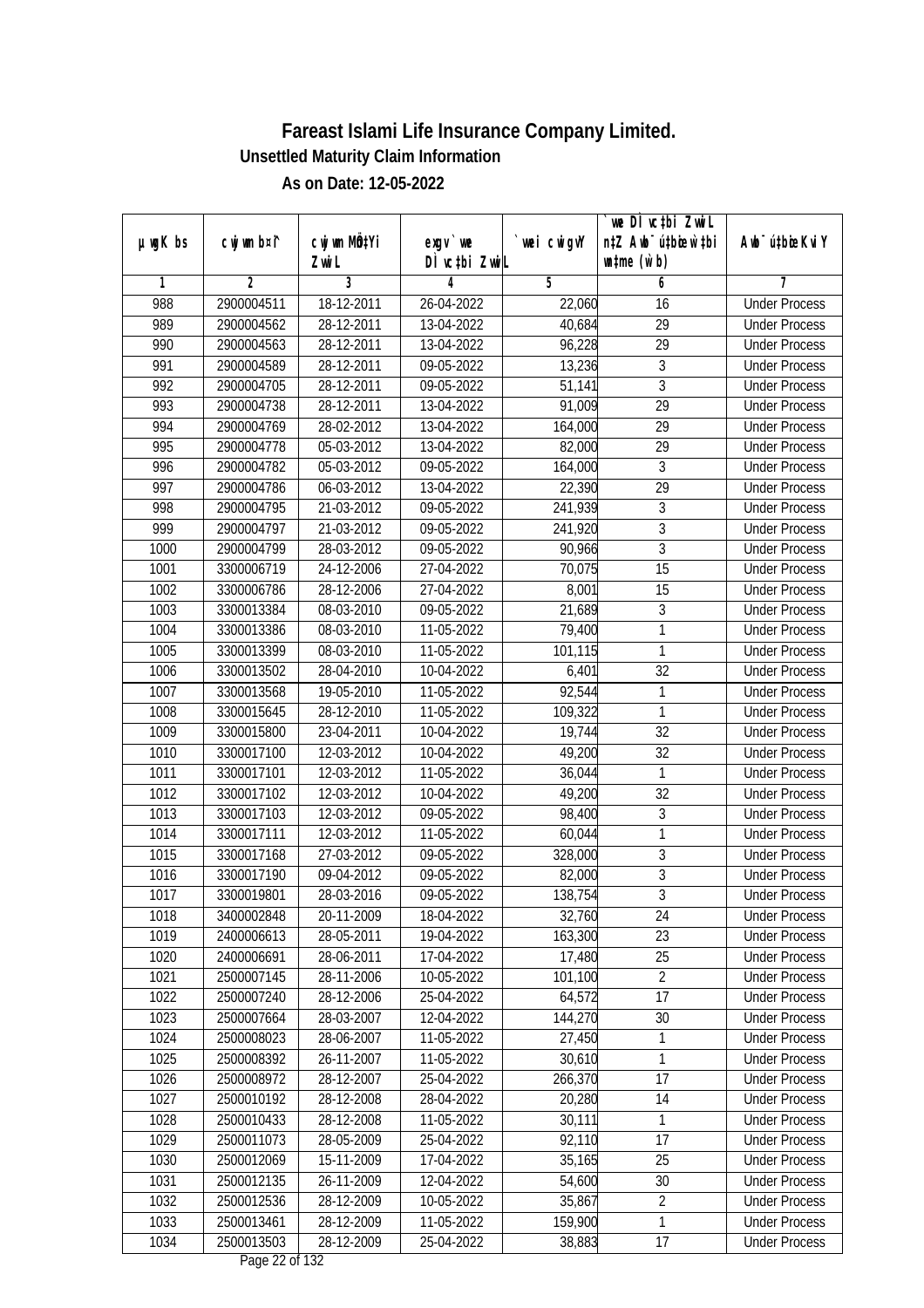|               |                |                       |                                    |            | we DI vctbi ZwiL<br>n‡Z Awb <sup>-</sup> ú‡bicen`‡bi |                             |
|---------------|----------------|-----------------------|------------------------------------|------------|------------------------------------------------------|-----------------------------|
| $µ$ ug $K$ bs | cwj wm b¤i^    | cwj wm MQtYi<br>Zwi L | $exgV$ we<br>DÌ vctbi ZwiL         | wei cwigvY | $\n  untime\n  (u`b)\n$                              | Awb <sup>-</sup> ú‡bioeKviY |
| 1             | $\overline{2}$ | 3                     | 4                                  | 5          | 6                                                    | 7                           |
| 988           | 2900004511     | 18-12-2011            | 26-04-2022                         | 22,060     | 16                                                   | <b>Under Process</b>        |
| 989           | 2900004562     | 28-12-2011            | 13-04-2022                         | 40,684     | $\overline{29}$                                      | <b>Under Process</b>        |
| 990           | 2900004563     | 28-12-2011            | 13-04-2022                         | 96,228     | $\overline{29}$                                      | <b>Under Process</b>        |
| 991           | 2900004589     | 28-12-2011            | 09-05-2022                         | 13,236     | 3                                                    | <b>Under Process</b>        |
| 992           | 2900004705     | 28-12-2011            | 09-05-2022                         | 51,141     | $\overline{3}$                                       | <b>Under Process</b>        |
| 993           | 2900004738     | 28-12-2011            | 13-04-2022                         | 91,009     | $\overline{29}$                                      | <b>Under Process</b>        |
| 994           | 2900004769     | 28-02-2012            | 13-04-2022                         | 164,000    | 29                                                   | <b>Under Process</b>        |
| 995           | 2900004778     | 05-03-2012            | 13-04-2022                         | 82,000     | $\overline{29}$                                      | <b>Under Process</b>        |
| 996           | 2900004782     | 05-03-2012            | 09-05-2022                         | 164,000    | $\overline{3}$                                       | <b>Under Process</b>        |
| 997           | 2900004786     | 06-03-2012            | 13-04-2022                         | 22,390     | 29                                                   | <b>Under Process</b>        |
| 998           | 2900004795     | 21-03-2012            | 09-05-2022                         | 241,939    | 3                                                    | <b>Under Process</b>        |
| 999           | 2900004797     | 21-03-2012            | 09-05-2022                         | 241,920    | 3                                                    | <b>Under Process</b>        |
| 1000          | 2900004799     | 28-03-2012            | 09-05-2022                         | 90,966     | $\overline{3}$                                       | <b>Under Process</b>        |
| 1001          | 3300006719     | 24-12-2006            | 27-04-2022                         | 70,075     | 15                                                   | <b>Under Process</b>        |
| 1002          | 3300006786     | 28-12-2006            | 27-04-2022                         | 8,001      | 15                                                   | <b>Under Process</b>        |
| 1003          | 3300013384     | 08-03-2010            | 09-05-2022                         | 21,689     | $\mathfrak{Z}$                                       | <b>Under Process</b>        |
| 1004          | 3300013386     | 08-03-2010            | 11-05-2022                         | 79,400     | 1                                                    | <b>Under Process</b>        |
| 1005          | 3300013399     | 08-03-2010            | 11-05-2022                         | 101,115    | $\mathbf{1}$                                         | <b>Under Process</b>        |
| 1006          | 3300013502     | 28-04-2010            | 10-04-2022                         | 6,401      | 32                                                   | <b>Under Process</b>        |
| 1007          | 3300013568     | 19-05-2010            | 11-05-2022                         | 92,544     | 1                                                    | <b>Under Process</b>        |
| 1008          | 3300015645     | 28-12-2010            | 11-05-2022                         | 109,322    | $\mathbf{1}$                                         | <b>Under Process</b>        |
| 1009          | 3300015800     | 23-04-2011            | 10-04-2022                         | 19,744     | 32                                                   | <b>Under Process</b>        |
| 1010          | 3300017100     | 12-03-2012            | 10-04-2022                         | 49,200     | 32                                                   | <b>Under Process</b>        |
| 1011          | 3300017101     | 12-03-2012            | 11-05-2022                         | 36,044     | $\mathbf{1}$                                         | <b>Under Process</b>        |
| 1012          | 3300017102     | 12-03-2012            | 10-04-2022                         | 49,200     | 32                                                   | <b>Under Process</b>        |
| 1013          | 3300017103     | 12-03-2012            | 09-05-2022                         | 98,400     | $\sqrt{3}$                                           | <b>Under Process</b>        |
| 1014          | 3300017111     | 12-03-2012            | 11-05-2022                         | 60,044     | $\mathbf{1}$                                         | <b>Under Process</b>        |
| 1015          | 3300017168     | 27-03-2012            | 09-05-2022                         | 328,000    | $\sqrt{3}$                                           | <b>Under Process</b>        |
| 1016          | 3300017190     | 09-04-2012            | 09-05-2022                         | 82,000     | $\overline{3}$                                       | <b>Under Process</b>        |
| 1017          | 3300019801     | 28-03-2016            | 09-05-2022                         | 138,754    | $\overline{3}$                                       | <b>Under Process</b>        |
| 1018          | 3400002848     | 20-11-2009            | 18-04-2022                         | 32,760     | 24                                                   | <b>Under Process</b>        |
| 1019          | 2400006613     | 28-05-2011            | 19-04-2022                         | 163,300    | 23                                                   | <b>Under Process</b>        |
| 1020          | 2400006691     | 28-06-2011            | 17-04-2022                         | 17,480     | 25                                                   | <b>Under Process</b>        |
| 1021          | 2500007145     | 28-11-2006            | 10-05-2022                         | 101,100    | $\overline{2}$                                       | <b>Under Process</b>        |
| 1022          | 2500007240     | 28-12-2006            | 25-04-2022                         | 64,572     | 17                                                   | <b>Under Process</b>        |
| 1023          | 2500007664     | 28-03-2007            | 12-04-2022                         | 144,270    | 30                                                   | <b>Under Process</b>        |
| 1024          | 2500008023     | 28-06-2007            | 11-05-2022                         | 27,450     | 1                                                    | <b>Under Process</b>        |
| 1025          | 2500008392     | 26-11-2007            | 11-05-2022                         | 30,610     | $\mathbf{1}$                                         | <b>Under Process</b>        |
| 1026          | 2500008972     | 28-12-2007            | 25-04-2022                         | 266,370    | 17                                                   | <b>Under Process</b>        |
| 1027          | 2500010192     | 28-12-2008            | 28-04-2022                         | 20,280     | 14                                                   | <b>Under Process</b>        |
| 1028          | 2500010433     | 28-12-2008            | 11-05-2022                         | 30,111     | 1                                                    | <b>Under Process</b>        |
| 1029          | 2500011073     | 28-05-2009            | 25-04-2022                         | 92,110     | 17                                                   | <b>Under Process</b>        |
| 1030          | 2500012069     | 15-11-2009            | 17-04-2022                         | 35,165     | 25                                                   | <b>Under Process</b>        |
| 1031          | 2500012135     | 26-11-2009            | 12-04-2022                         | 54,600     | 30                                                   | <b>Under Process</b>        |
| 1032          | 2500012536     | 28-12-2009            | 10-05-2022                         | 35,867     | $\overline{2}$                                       | <b>Under Process</b>        |
| 1033          | 2500013461     | 28-12-2009            | 11-05-2022                         | 159,900    | $\overline{1}$                                       | <b>Under Process</b>        |
| 1034          | 2500013503     | 28-12-2009            | 25-04-2022<br>$D_{0.82}$ 00 of 100 | 38,883     | 17                                                   | <b>Under Process</b>        |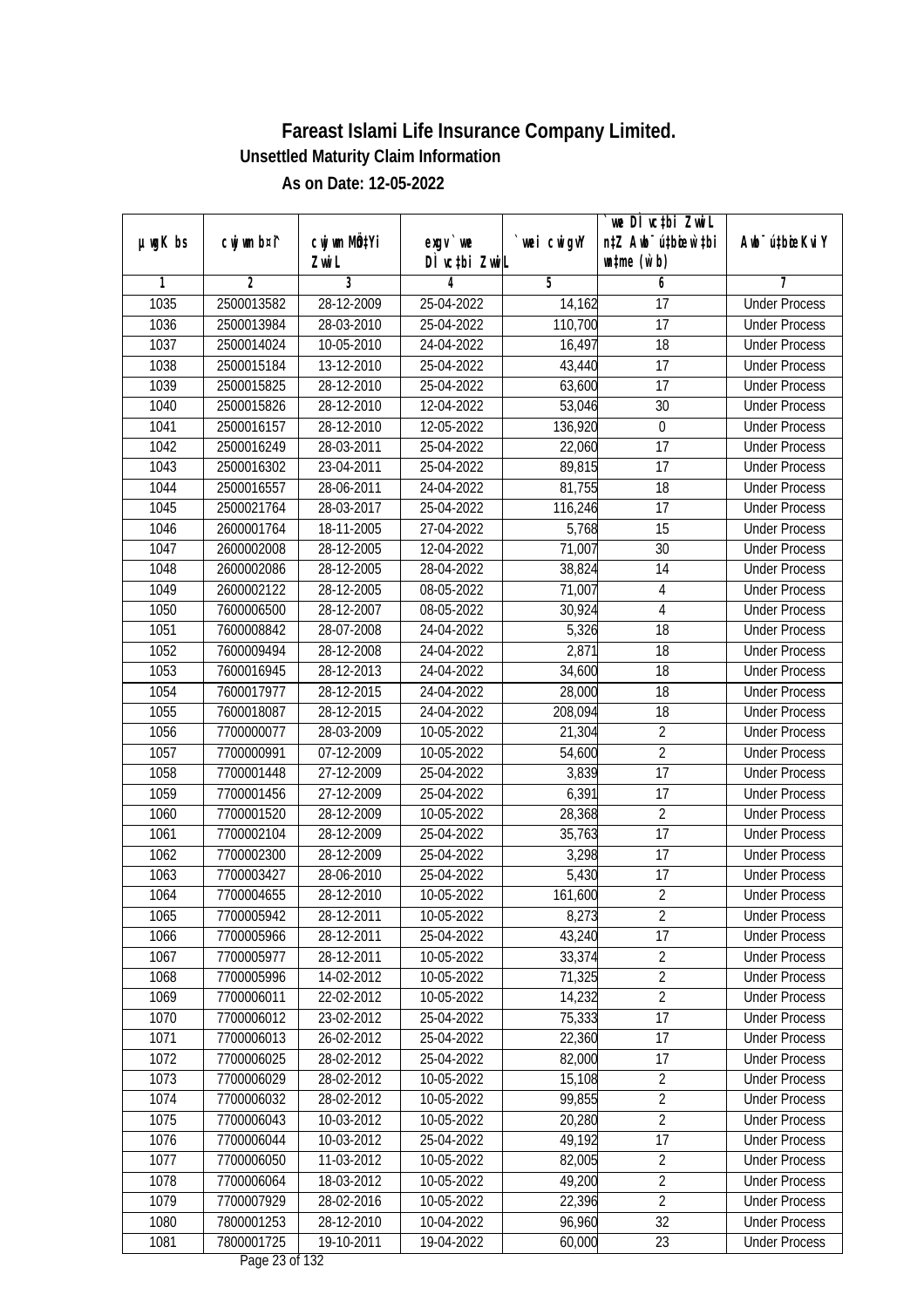| n‡Z Awb <sup>-</sup> ú‡bioar`‡bi<br>cwj wm b¤i^<br>cwj wm MQ <sup>1</sup> Yi<br>$µ$ ug $K$ bs<br>$exgV$ we<br>`wei cwigvY<br>Awb <sup>-</sup> ú‡bioeKviY<br>DÌ vctbi ZwiL<br>$\n  untime\n  (u`b)\n$<br>Zwi L<br>3<br>$\overline{2}$<br>5<br>6<br>7<br>1<br>4<br>1035<br>28-12-2009<br><b>Under Process</b><br>2500013582<br>25-04-2022<br>$\overline{17}$<br>14,162<br>$\overline{17}$<br>1036<br>28-03-2010<br>25-04-2022<br>110,700<br>2500013984<br><b>Under Process</b><br>1037<br>$\overline{18}$<br>2500014024<br>10-05-2010<br>24-04-2022<br>16,497<br><b>Under Process</b><br>1038<br>2500015184<br>13-12-2010<br>17<br>25-04-2022<br>43,440<br><b>Under Process</b><br>1039<br>$\overline{17}$<br>2500015825<br>28-12-2010<br>25-04-2022<br>63,600<br><b>Under Process</b><br>1040<br>2500015826<br>28-12-2010<br>12-04-2022<br>53,046<br>30<br><b>Under Process</b><br>1041<br>2500016157<br>28-12-2010<br>12-05-2022<br>136,920<br>$\boldsymbol{0}$<br><b>Under Process</b><br>1042<br>$\overline{17}$<br>2500016249<br>28-03-2011<br>25-04-2022<br>22,060<br><b>Under Process</b><br>1043<br>89,815<br>$\overline{17}$<br>2500016302<br>23-04-2011<br>25-04-2022<br><b>Under Process</b><br>1044<br>18<br>2500016557<br>28-06-2011<br>24-04-2022<br>81,755<br><b>Under Process</b><br>1045<br>$\overline{17}$<br>2500021764<br>28-03-2017<br>25-04-2022<br>116,246<br><b>Under Process</b><br>1046<br>27-04-2022<br>5,768<br>15<br>2600001764<br>18-11-2005<br><b>Under Process</b><br>1047<br>71,007<br>$\overline{30}$<br>2600002008<br>28-12-2005<br>12-04-2022<br><b>Under Process</b><br>1048<br>28-12-2005<br>28-04-2022<br>14<br>2600002086<br>38,824<br><b>Under Process</b><br>1049<br>2600002122<br>28-12-2005<br>08-05-2022<br>71,007<br>4<br><b>Under Process</b><br>1050<br>7600006500<br>28-12-2007<br>08-05-2022<br>30,924<br>4<br><b>Under Process</b><br>5,326<br>18<br>1051<br>28-07-2008<br>24-04-2022<br>7600008842<br><b>Under Process</b><br>1052<br>2,871<br>18<br>7600009494<br>28-12-2008<br>24-04-2022<br><b>Under Process</b><br>1053<br>7600016945<br>28-12-2013<br>24-04-2022<br>34,600<br>18<br><b>Under Process</b><br>1054<br>18<br>7600017977<br>28-12-2015<br>24-04-2022<br>28,000<br><b>Under Process</b><br>18<br>1055<br>7600018087<br>28-12-2015<br>24-04-2022<br>208,094<br><b>Under Process</b> |  |
|------------------------------------------------------------------------------------------------------------------------------------------------------------------------------------------------------------------------------------------------------------------------------------------------------------------------------------------------------------------------------------------------------------------------------------------------------------------------------------------------------------------------------------------------------------------------------------------------------------------------------------------------------------------------------------------------------------------------------------------------------------------------------------------------------------------------------------------------------------------------------------------------------------------------------------------------------------------------------------------------------------------------------------------------------------------------------------------------------------------------------------------------------------------------------------------------------------------------------------------------------------------------------------------------------------------------------------------------------------------------------------------------------------------------------------------------------------------------------------------------------------------------------------------------------------------------------------------------------------------------------------------------------------------------------------------------------------------------------------------------------------------------------------------------------------------------------------------------------------------------------------------------------------------------------------------------------------------------------------------------------------------------------------------------------------------------------------------------------------------------------------------------------------------------------------------------------------------------------------------------------------------------------------------------------------------------------------------------------|--|
|                                                                                                                                                                                                                                                                                                                                                                                                                                                                                                                                                                                                                                                                                                                                                                                                                                                                                                                                                                                                                                                                                                                                                                                                                                                                                                                                                                                                                                                                                                                                                                                                                                                                                                                                                                                                                                                                                                                                                                                                                                                                                                                                                                                                                                                                                                                                                      |  |
|                                                                                                                                                                                                                                                                                                                                                                                                                                                                                                                                                                                                                                                                                                                                                                                                                                                                                                                                                                                                                                                                                                                                                                                                                                                                                                                                                                                                                                                                                                                                                                                                                                                                                                                                                                                                                                                                                                                                                                                                                                                                                                                                                                                                                                                                                                                                                      |  |
|                                                                                                                                                                                                                                                                                                                                                                                                                                                                                                                                                                                                                                                                                                                                                                                                                                                                                                                                                                                                                                                                                                                                                                                                                                                                                                                                                                                                                                                                                                                                                                                                                                                                                                                                                                                                                                                                                                                                                                                                                                                                                                                                                                                                                                                                                                                                                      |  |
|                                                                                                                                                                                                                                                                                                                                                                                                                                                                                                                                                                                                                                                                                                                                                                                                                                                                                                                                                                                                                                                                                                                                                                                                                                                                                                                                                                                                                                                                                                                                                                                                                                                                                                                                                                                                                                                                                                                                                                                                                                                                                                                                                                                                                                                                                                                                                      |  |
|                                                                                                                                                                                                                                                                                                                                                                                                                                                                                                                                                                                                                                                                                                                                                                                                                                                                                                                                                                                                                                                                                                                                                                                                                                                                                                                                                                                                                                                                                                                                                                                                                                                                                                                                                                                                                                                                                                                                                                                                                                                                                                                                                                                                                                                                                                                                                      |  |
|                                                                                                                                                                                                                                                                                                                                                                                                                                                                                                                                                                                                                                                                                                                                                                                                                                                                                                                                                                                                                                                                                                                                                                                                                                                                                                                                                                                                                                                                                                                                                                                                                                                                                                                                                                                                                                                                                                                                                                                                                                                                                                                                                                                                                                                                                                                                                      |  |
|                                                                                                                                                                                                                                                                                                                                                                                                                                                                                                                                                                                                                                                                                                                                                                                                                                                                                                                                                                                                                                                                                                                                                                                                                                                                                                                                                                                                                                                                                                                                                                                                                                                                                                                                                                                                                                                                                                                                                                                                                                                                                                                                                                                                                                                                                                                                                      |  |
|                                                                                                                                                                                                                                                                                                                                                                                                                                                                                                                                                                                                                                                                                                                                                                                                                                                                                                                                                                                                                                                                                                                                                                                                                                                                                                                                                                                                                                                                                                                                                                                                                                                                                                                                                                                                                                                                                                                                                                                                                                                                                                                                                                                                                                                                                                                                                      |  |
|                                                                                                                                                                                                                                                                                                                                                                                                                                                                                                                                                                                                                                                                                                                                                                                                                                                                                                                                                                                                                                                                                                                                                                                                                                                                                                                                                                                                                                                                                                                                                                                                                                                                                                                                                                                                                                                                                                                                                                                                                                                                                                                                                                                                                                                                                                                                                      |  |
|                                                                                                                                                                                                                                                                                                                                                                                                                                                                                                                                                                                                                                                                                                                                                                                                                                                                                                                                                                                                                                                                                                                                                                                                                                                                                                                                                                                                                                                                                                                                                                                                                                                                                                                                                                                                                                                                                                                                                                                                                                                                                                                                                                                                                                                                                                                                                      |  |
|                                                                                                                                                                                                                                                                                                                                                                                                                                                                                                                                                                                                                                                                                                                                                                                                                                                                                                                                                                                                                                                                                                                                                                                                                                                                                                                                                                                                                                                                                                                                                                                                                                                                                                                                                                                                                                                                                                                                                                                                                                                                                                                                                                                                                                                                                                                                                      |  |
|                                                                                                                                                                                                                                                                                                                                                                                                                                                                                                                                                                                                                                                                                                                                                                                                                                                                                                                                                                                                                                                                                                                                                                                                                                                                                                                                                                                                                                                                                                                                                                                                                                                                                                                                                                                                                                                                                                                                                                                                                                                                                                                                                                                                                                                                                                                                                      |  |
|                                                                                                                                                                                                                                                                                                                                                                                                                                                                                                                                                                                                                                                                                                                                                                                                                                                                                                                                                                                                                                                                                                                                                                                                                                                                                                                                                                                                                                                                                                                                                                                                                                                                                                                                                                                                                                                                                                                                                                                                                                                                                                                                                                                                                                                                                                                                                      |  |
|                                                                                                                                                                                                                                                                                                                                                                                                                                                                                                                                                                                                                                                                                                                                                                                                                                                                                                                                                                                                                                                                                                                                                                                                                                                                                                                                                                                                                                                                                                                                                                                                                                                                                                                                                                                                                                                                                                                                                                                                                                                                                                                                                                                                                                                                                                                                                      |  |
|                                                                                                                                                                                                                                                                                                                                                                                                                                                                                                                                                                                                                                                                                                                                                                                                                                                                                                                                                                                                                                                                                                                                                                                                                                                                                                                                                                                                                                                                                                                                                                                                                                                                                                                                                                                                                                                                                                                                                                                                                                                                                                                                                                                                                                                                                                                                                      |  |
|                                                                                                                                                                                                                                                                                                                                                                                                                                                                                                                                                                                                                                                                                                                                                                                                                                                                                                                                                                                                                                                                                                                                                                                                                                                                                                                                                                                                                                                                                                                                                                                                                                                                                                                                                                                                                                                                                                                                                                                                                                                                                                                                                                                                                                                                                                                                                      |  |
|                                                                                                                                                                                                                                                                                                                                                                                                                                                                                                                                                                                                                                                                                                                                                                                                                                                                                                                                                                                                                                                                                                                                                                                                                                                                                                                                                                                                                                                                                                                                                                                                                                                                                                                                                                                                                                                                                                                                                                                                                                                                                                                                                                                                                                                                                                                                                      |  |
|                                                                                                                                                                                                                                                                                                                                                                                                                                                                                                                                                                                                                                                                                                                                                                                                                                                                                                                                                                                                                                                                                                                                                                                                                                                                                                                                                                                                                                                                                                                                                                                                                                                                                                                                                                                                                                                                                                                                                                                                                                                                                                                                                                                                                                                                                                                                                      |  |
|                                                                                                                                                                                                                                                                                                                                                                                                                                                                                                                                                                                                                                                                                                                                                                                                                                                                                                                                                                                                                                                                                                                                                                                                                                                                                                                                                                                                                                                                                                                                                                                                                                                                                                                                                                                                                                                                                                                                                                                                                                                                                                                                                                                                                                                                                                                                                      |  |
|                                                                                                                                                                                                                                                                                                                                                                                                                                                                                                                                                                                                                                                                                                                                                                                                                                                                                                                                                                                                                                                                                                                                                                                                                                                                                                                                                                                                                                                                                                                                                                                                                                                                                                                                                                                                                                                                                                                                                                                                                                                                                                                                                                                                                                                                                                                                                      |  |
|                                                                                                                                                                                                                                                                                                                                                                                                                                                                                                                                                                                                                                                                                                                                                                                                                                                                                                                                                                                                                                                                                                                                                                                                                                                                                                                                                                                                                                                                                                                                                                                                                                                                                                                                                                                                                                                                                                                                                                                                                                                                                                                                                                                                                                                                                                                                                      |  |
|                                                                                                                                                                                                                                                                                                                                                                                                                                                                                                                                                                                                                                                                                                                                                                                                                                                                                                                                                                                                                                                                                                                                                                                                                                                                                                                                                                                                                                                                                                                                                                                                                                                                                                                                                                                                                                                                                                                                                                                                                                                                                                                                                                                                                                                                                                                                                      |  |
|                                                                                                                                                                                                                                                                                                                                                                                                                                                                                                                                                                                                                                                                                                                                                                                                                                                                                                                                                                                                                                                                                                                                                                                                                                                                                                                                                                                                                                                                                                                                                                                                                                                                                                                                                                                                                                                                                                                                                                                                                                                                                                                                                                                                                                                                                                                                                      |  |
|                                                                                                                                                                                                                                                                                                                                                                                                                                                                                                                                                                                                                                                                                                                                                                                                                                                                                                                                                                                                                                                                                                                                                                                                                                                                                                                                                                                                                                                                                                                                                                                                                                                                                                                                                                                                                                                                                                                                                                                                                                                                                                                                                                                                                                                                                                                                                      |  |
| 1056<br>21,304<br>$\overline{2}$<br>7700000077<br>28-03-2009<br>10-05-2022<br><b>Under Process</b>                                                                                                                                                                                                                                                                                                                                                                                                                                                                                                                                                                                                                                                                                                                                                                                                                                                                                                                                                                                                                                                                                                                                                                                                                                                                                                                                                                                                                                                                                                                                                                                                                                                                                                                                                                                                                                                                                                                                                                                                                                                                                                                                                                                                                                                   |  |
| $\overline{2}$<br>1057<br>07-12-2009<br>10-05-2022<br>54,600<br>7700000991<br><b>Under Process</b>                                                                                                                                                                                                                                                                                                                                                                                                                                                                                                                                                                                                                                                                                                                                                                                                                                                                                                                                                                                                                                                                                                                                                                                                                                                                                                                                                                                                                                                                                                                                                                                                                                                                                                                                                                                                                                                                                                                                                                                                                                                                                                                                                                                                                                                   |  |
| 17<br>1058<br>27-12-2009<br>25-04-2022<br>3,839<br>7700001448<br><b>Under Process</b>                                                                                                                                                                                                                                                                                                                                                                                                                                                                                                                                                                                                                                                                                                                                                                                                                                                                                                                                                                                                                                                                                                                                                                                                                                                                                                                                                                                                                                                                                                                                                                                                                                                                                                                                                                                                                                                                                                                                                                                                                                                                                                                                                                                                                                                                |  |
| 1059<br>6,391<br>17<br>7700001456<br>27-12-2009<br>25-04-2022<br><b>Under Process</b>                                                                                                                                                                                                                                                                                                                                                                                                                                                                                                                                                                                                                                                                                                                                                                                                                                                                                                                                                                                                                                                                                                                                                                                                                                                                                                                                                                                                                                                                                                                                                                                                                                                                                                                                                                                                                                                                                                                                                                                                                                                                                                                                                                                                                                                                |  |
| $\overline{2}$<br>1060<br>7700001520<br>28-12-2009<br>10-05-2022<br>28,368<br><b>Under Process</b>                                                                                                                                                                                                                                                                                                                                                                                                                                                                                                                                                                                                                                                                                                                                                                                                                                                                                                                                                                                                                                                                                                                                                                                                                                                                                                                                                                                                                                                                                                                                                                                                                                                                                                                                                                                                                                                                                                                                                                                                                                                                                                                                                                                                                                                   |  |
| 17<br>1061<br>7700002104<br>28-12-2009<br>25-04-2022<br>35,763<br><b>Under Process</b>                                                                                                                                                                                                                                                                                                                                                                                                                                                                                                                                                                                                                                                                                                                                                                                                                                                                                                                                                                                                                                                                                                                                                                                                                                                                                                                                                                                                                                                                                                                                                                                                                                                                                                                                                                                                                                                                                                                                                                                                                                                                                                                                                                                                                                                               |  |
| 1062<br>3,298<br>17<br>7700002300<br>28-12-2009<br>25-04-2022<br><b>Under Process</b>                                                                                                                                                                                                                                                                                                                                                                                                                                                                                                                                                                                                                                                                                                                                                                                                                                                                                                                                                                                                                                                                                                                                                                                                                                                                                                                                                                                                                                                                                                                                                                                                                                                                                                                                                                                                                                                                                                                                                                                                                                                                                                                                                                                                                                                                |  |
| 1063<br>5,430<br>7700003427<br>28-06-2010<br>25-04-2022<br>17<br><b>Under Process</b>                                                                                                                                                                                                                                                                                                                                                                                                                                                                                                                                                                                                                                                                                                                                                                                                                                                                                                                                                                                                                                                                                                                                                                                                                                                                                                                                                                                                                                                                                                                                                                                                                                                                                                                                                                                                                                                                                                                                                                                                                                                                                                                                                                                                                                                                |  |
| $\overline{2}$<br>1064<br>7700004655<br>28-12-2010<br>10-05-2022<br>161,600<br><b>Under Process</b>                                                                                                                                                                                                                                                                                                                                                                                                                                                                                                                                                                                                                                                                                                                                                                                                                                                                                                                                                                                                                                                                                                                                                                                                                                                                                                                                                                                                                                                                                                                                                                                                                                                                                                                                                                                                                                                                                                                                                                                                                                                                                                                                                                                                                                                  |  |
| 1065<br>7700005942<br>28-12-2011<br>10-05-2022<br>8,273<br>$\overline{2}$<br><b>Under Process</b>                                                                                                                                                                                                                                                                                                                                                                                                                                                                                                                                                                                                                                                                                                                                                                                                                                                                                                                                                                                                                                                                                                                                                                                                                                                                                                                                                                                                                                                                                                                                                                                                                                                                                                                                                                                                                                                                                                                                                                                                                                                                                                                                                                                                                                                    |  |
| 17<br>7700005966<br>28-12-2011<br>25-04-2022<br>43,240<br>1066<br><b>Under Process</b>                                                                                                                                                                                                                                                                                                                                                                                                                                                                                                                                                                                                                                                                                                                                                                                                                                                                                                                                                                                                                                                                                                                                                                                                                                                                                                                                                                                                                                                                                                                                                                                                                                                                                                                                                                                                                                                                                                                                                                                                                                                                                                                                                                                                                                                               |  |
| $\overline{2}$<br>1067<br>33,374<br>7700005977<br>28-12-2011<br>10-05-2022<br><b>Under Process</b>                                                                                                                                                                                                                                                                                                                                                                                                                                                                                                                                                                                                                                                                                                                                                                                                                                                                                                                                                                                                                                                                                                                                                                                                                                                                                                                                                                                                                                                                                                                                                                                                                                                                                                                                                                                                                                                                                                                                                                                                                                                                                                                                                                                                                                                   |  |
| $\overline{2}$<br>1068<br>71,325<br>7700005996<br>14-02-2012<br>10-05-2022<br><b>Under Process</b>                                                                                                                                                                                                                                                                                                                                                                                                                                                                                                                                                                                                                                                                                                                                                                                                                                                                                                                                                                                                                                                                                                                                                                                                                                                                                                                                                                                                                                                                                                                                                                                                                                                                                                                                                                                                                                                                                                                                                                                                                                                                                                                                                                                                                                                   |  |
| $\overline{2}$<br>1069<br>7700006011<br>14,232<br>22-02-2012<br>10-05-2022<br><b>Under Process</b>                                                                                                                                                                                                                                                                                                                                                                                                                                                                                                                                                                                                                                                                                                                                                                                                                                                                                                                                                                                                                                                                                                                                                                                                                                                                                                                                                                                                                                                                                                                                                                                                                                                                                                                                                                                                                                                                                                                                                                                                                                                                                                                                                                                                                                                   |  |
| 1070<br>7700006012<br>75,333<br>17<br>23-02-2012<br>25-04-2022<br><b>Under Process</b>                                                                                                                                                                                                                                                                                                                                                                                                                                                                                                                                                                                                                                                                                                                                                                                                                                                                                                                                                                                                                                                                                                                                                                                                                                                                                                                                                                                                                                                                                                                                                                                                                                                                                                                                                                                                                                                                                                                                                                                                                                                                                                                                                                                                                                                               |  |
| 1071<br>7700006013<br>26-02-2012<br>22,360<br>17<br>25-04-2022<br><b>Under Process</b>                                                                                                                                                                                                                                                                                                                                                                                                                                                                                                                                                                                                                                                                                                                                                                                                                                                                                                                                                                                                                                                                                                                                                                                                                                                                                                                                                                                                                                                                                                                                                                                                                                                                                                                                                                                                                                                                                                                                                                                                                                                                                                                                                                                                                                                               |  |
| 82,000<br>17<br>1072<br>7700006025<br>28-02-2012<br>25-04-2022<br><b>Under Process</b>                                                                                                                                                                                                                                                                                                                                                                                                                                                                                                                                                                                                                                                                                                                                                                                                                                                                                                                                                                                                                                                                                                                                                                                                                                                                                                                                                                                                                                                                                                                                                                                                                                                                                                                                                                                                                                                                                                                                                                                                                                                                                                                                                                                                                                                               |  |
| 15,108<br>$\overline{2}$<br>1073<br>7700006029<br>28-02-2012<br>10-05-2022<br><b>Under Process</b>                                                                                                                                                                                                                                                                                                                                                                                                                                                                                                                                                                                                                                                                                                                                                                                                                                                                                                                                                                                                                                                                                                                                                                                                                                                                                                                                                                                                                                                                                                                                                                                                                                                                                                                                                                                                                                                                                                                                                                                                                                                                                                                                                                                                                                                   |  |
| 99,855<br>$\overline{2}$<br>1074<br>7700006032<br>28-02-2012<br>10-05-2022<br><b>Under Process</b>                                                                                                                                                                                                                                                                                                                                                                                                                                                                                                                                                                                                                                                                                                                                                                                                                                                                                                                                                                                                                                                                                                                                                                                                                                                                                                                                                                                                                                                                                                                                                                                                                                                                                                                                                                                                                                                                                                                                                                                                                                                                                                                                                                                                                                                   |  |
| 1075<br>$\sqrt{2}$<br>7700006043<br>10-03-2012<br>10-05-2022<br>20,280<br><b>Under Process</b>                                                                                                                                                                                                                                                                                                                                                                                                                                                                                                                                                                                                                                                                                                                                                                                                                                                                                                                                                                                                                                                                                                                                                                                                                                                                                                                                                                                                                                                                                                                                                                                                                                                                                                                                                                                                                                                                                                                                                                                                                                                                                                                                                                                                                                                       |  |
| 1076<br>7700006044<br>10-03-2012<br>49,192<br>17<br>25-04-2022<br><b>Under Process</b>                                                                                                                                                                                                                                                                                                                                                                                                                                                                                                                                                                                                                                                                                                                                                                                                                                                                                                                                                                                                                                                                                                                                                                                                                                                                                                                                                                                                                                                                                                                                                                                                                                                                                                                                                                                                                                                                                                                                                                                                                                                                                                                                                                                                                                                               |  |
| 1077<br>$\overline{2}$<br>7700006050<br>11-03-2012<br>10-05-2022<br>82,005<br><b>Under Process</b>                                                                                                                                                                                                                                                                                                                                                                                                                                                                                                                                                                                                                                                                                                                                                                                                                                                                                                                                                                                                                                                                                                                                                                                                                                                                                                                                                                                                                                                                                                                                                                                                                                                                                                                                                                                                                                                                                                                                                                                                                                                                                                                                                                                                                                                   |  |
| $\overline{2}$<br>49,200<br>1078<br>18-03-2012<br>7700006064<br>10-05-2022<br><b>Under Process</b>                                                                                                                                                                                                                                                                                                                                                                                                                                                                                                                                                                                                                                                                                                                                                                                                                                                                                                                                                                                                                                                                                                                                                                                                                                                                                                                                                                                                                                                                                                                                                                                                                                                                                                                                                                                                                                                                                                                                                                                                                                                                                                                                                                                                                                                   |  |
| $\overline{2}$<br>1079<br>7700007929<br>22,396<br>28-02-2016<br>10-05-2022<br><b>Under Process</b>                                                                                                                                                                                                                                                                                                                                                                                                                                                                                                                                                                                                                                                                                                                                                                                                                                                                                                                                                                                                                                                                                                                                                                                                                                                                                                                                                                                                                                                                                                                                                                                                                                                                                                                                                                                                                                                                                                                                                                                                                                                                                                                                                                                                                                                   |  |
| 7800001253<br>96,960<br>32<br>1080<br>28-12-2010<br>10-04-2022<br><b>Under Process</b>                                                                                                                                                                                                                                                                                                                                                                                                                                                                                                                                                                                                                                                                                                                                                                                                                                                                                                                                                                                                                                                                                                                                                                                                                                                                                                                                                                                                                                                                                                                                                                                                                                                                                                                                                                                                                                                                                                                                                                                                                                                                                                                                                                                                                                                               |  |
| 1081<br>7800001725<br>19-10-2011<br>19-04-2022<br>60,000<br>23<br><b>Under Process</b><br>Dega $22ef 122$                                                                                                                                                                                                                                                                                                                                                                                                                                                                                                                                                                                                                                                                                                                                                                                                                                                                                                                                                                                                                                                                                                                                                                                                                                                                                                                                                                                                                                                                                                                                                                                                                                                                                                                                                                                                                                                                                                                                                                                                                                                                                                                                                                                                                                            |  |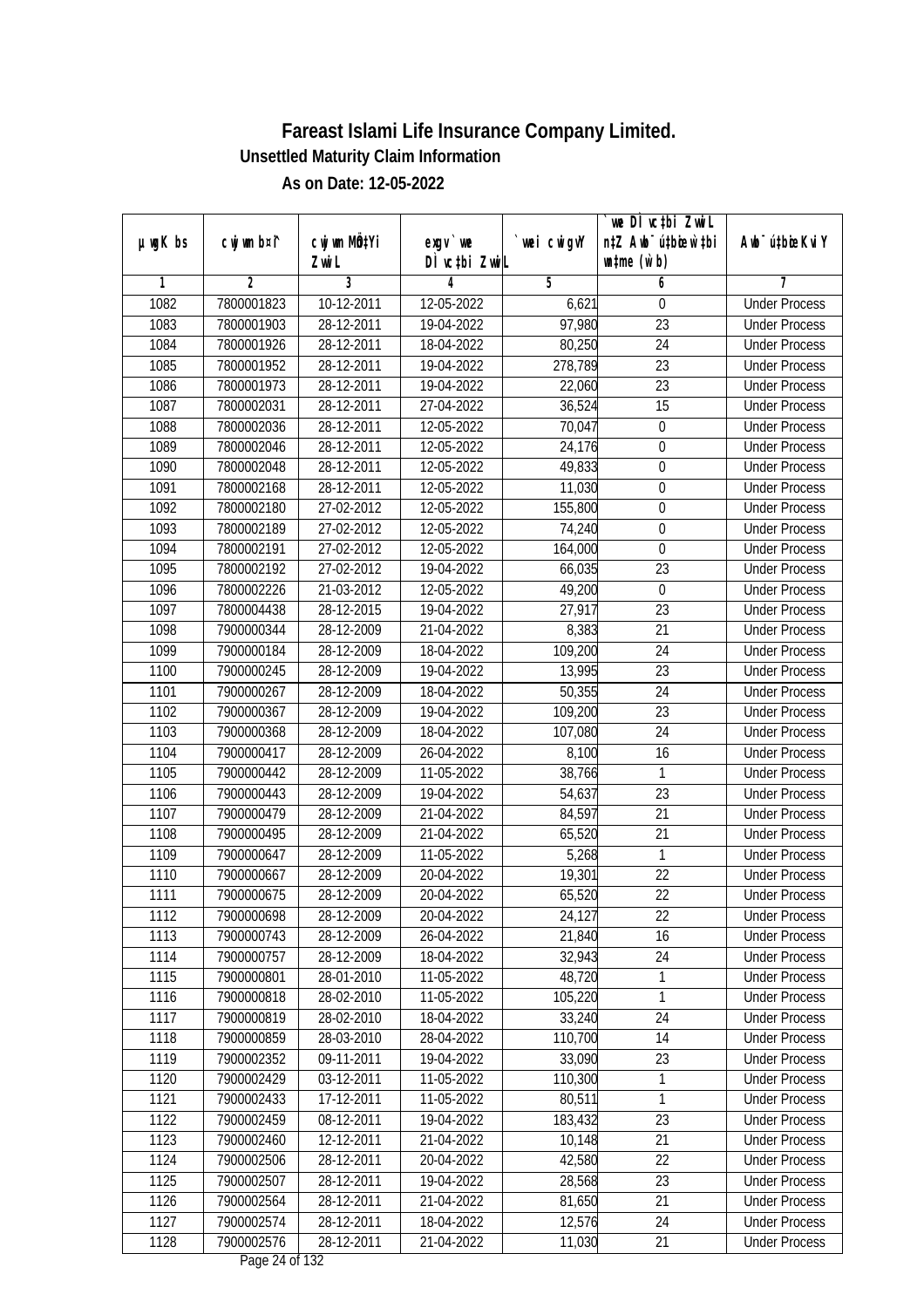|               |                |                           |                                                |             | `we DÌ vc‡bi Zwwi∟               |                             |
|---------------|----------------|---------------------------|------------------------------------------------|-------------|----------------------------------|-----------------------------|
| $µ$ ug $K$ bs | cwj wm b¤i^    | cwj wm MQ <sup>1</sup> Yi | $exqu$ we                                      | `wei cwigvY | n‡Z Awb <sup>-</sup> ú‡bioen`‡bi | Awb <sup>-</sup> ú‡bioeKviY |
|               |                | Zwi L                     | DÌ vctbi ZwiL                                  |             | $\n  untime\n  (u`b)\n$          |                             |
| 1             | $\overline{2}$ | $\overline{3}$            | 4                                              | 5           | 6                                | 7                           |
| 1082          | 7800001823     | $10-12-2011$              | 12-05-2022                                     | 6,621       | 0                                | <b>Under Process</b>        |
| 1083          | 7800001903     | 28-12-2011                | 19-04-2022                                     | 97,980      | $\overline{23}$                  | <b>Under Process</b>        |
| 1084          | 7800001926     | 28-12-2011                | 18-04-2022                                     | 80,250      | 24                               | <b>Under Process</b>        |
| 1085          | 7800001952     | 28-12-2011                | 19-04-2022                                     | 278,789     | $\overline{23}$                  | <b>Under Process</b>        |
| 1086          | 7800001973     | 28-12-2011                | 19-04-2022                                     | 22,060      | $\overline{23}$                  | <b>Under Process</b>        |
| 1087          | 7800002031     | 28-12-2011                | 27-04-2022                                     | 36,524      | $\overline{15}$                  | <b>Under Process</b>        |
| 1088          | 7800002036     | 28-12-2011                | 12-05-2022                                     | 70,047      | 0                                | <b>Under Process</b>        |
| 1089          | 7800002046     | 28-12-2011                | 12-05-2022                                     | 24,176      | 0                                | <b>Under Process</b>        |
| 1090          | 7800002048     | 28-12-2011                | 12-05-2022                                     | 49,833      | 0                                | <b>Under Process</b>        |
| 1091          | 7800002168     | 28-12-2011                | 12-05-2022                                     | 11,030      | $\boldsymbol{0}$                 | <b>Under Process</b>        |
| 1092          | 7800002180     | 27-02-2012                | 12-05-2022                                     | 155,800     | 0                                | <b>Under Process</b>        |
| 1093          | 7800002189     | 27-02-2012                | 12-05-2022                                     | 74,240      | $\boldsymbol{0}$                 | <b>Under Process</b>        |
| 1094          | 7800002191     | 27-02-2012                | 12-05-2022                                     | 164,000     | 0                                | <b>Under Process</b>        |
| 1095          | 7800002192     | 27-02-2012                | 19-04-2022                                     | 66,035      | 23                               | <b>Under Process</b>        |
| 1096          | 7800002226     | 21-03-2012                | 12-05-2022                                     | 49,200      | $\mathbf 0$                      | <b>Under Process</b>        |
| 1097          | 7800004438     | 28-12-2015                | 19-04-2022                                     | 27,917      | $\overline{23}$                  | <b>Under Process</b>        |
| 1098          | 7900000344     | 28-12-2009                | 21-04-2022                                     | 8,383       | 21                               | <b>Under Process</b>        |
| 1099          | 7900000184     | 28-12-2009                | 18-04-2022                                     | 109,200     | 24                               | <b>Under Process</b>        |
| 1100          | 7900000245     | 28-12-2009                | 19-04-2022                                     | 13,995      | 23                               | <b>Under Process</b>        |
| 1101          | 7900000267     | 28-12-2009                | 18-04-2022                                     | 50,355      | 24                               | <b>Under Process</b>        |
| 1102          | 7900000367     | 28-12-2009                | 19-04-2022                                     | 109,200     | 23                               | <b>Under Process</b>        |
| 1103          | 7900000368     | 28-12-2009                | 18-04-2022                                     | 107,080     | 24                               | <b>Under Process</b>        |
| 1104          | 7900000417     | 28-12-2009                | 26-04-2022                                     | 8,100       | 16                               | <b>Under Process</b>        |
| 1105          | 7900000442     | 28-12-2009                | 11-05-2022                                     | 38,766      | 1                                | <b>Under Process</b>        |
| 1106          | 7900000443     | 28-12-2009                | 19-04-2022                                     | 54,637      | 23                               | <b>Under Process</b>        |
| 1107          | 7900000479     | 28-12-2009                | 21-04-2022                                     | 84,597      | 21                               | <b>Under Process</b>        |
| 1108          | 7900000495     | 28-12-2009                | 21-04-2022                                     | 65,520      | 21                               | <b>Under Process</b>        |
| 1109          | 7900000647     | 28-12-2009                | 11-05-2022                                     | 5,268       | 1                                | <b>Under Process</b>        |
| 1110          | 7900000667     | 28-12-2009                | 20-04-2022                                     | 19,301      | 22                               | <b>Under Process</b>        |
| 1111          | 7900000675     | 28-12-2009                | 20-04-2022                                     | 65,520      | 22                               | <b>Under Process</b>        |
| 1112          | 7900000698     | 28-12-2009                | 20-04-2022                                     | 24,127      | 22                               | <b>Under Process</b>        |
| 1113          | 7900000743     | 28-12-2009                | 26-04-2022                                     | 21,840      | 16                               | <b>Under Process</b>        |
| 1114          | 7900000757     | 28-12-2009                | 18-04-2022                                     | 32,943      | 24                               | <b>Under Process</b>        |
| 1115          | 7900000801     | 28-01-2010                | 11-05-2022                                     | 48,720      | 1                                | <b>Under Process</b>        |
| 1116          | 7900000818     | 28-02-2010                | 11-05-2022                                     | 105,220     | 1                                | <b>Under Process</b>        |
| 1117          | 7900000819     | 28-02-2010                | 18-04-2022                                     | 33,240      | 24                               | <b>Under Process</b>        |
| 1118          | 7900000859     | 28-03-2010                | 28-04-2022                                     | 110,700     | 14                               | <b>Under Process</b>        |
| 1119          | 7900002352     | 09-11-2011                | 19-04-2022                                     | 33,090      | 23                               | <b>Under Process</b>        |
| 1120          | 7900002429     | 03-12-2011                | 11-05-2022                                     | 110,300     | 1                                | <b>Under Process</b>        |
| 1121          | 7900002433     | 17-12-2011                | 11-05-2022                                     | 80,511      | 1                                | <b>Under Process</b>        |
| 1122          | 7900002459     | 08-12-2011                | 19-04-2022                                     | 183,432     | 23                               | <b>Under Process</b>        |
| 1123          | 7900002460     | 12-12-2011                | 21-04-2022                                     | 10,148      | 21                               | <b>Under Process</b>        |
| 1124          | 7900002506     | 28-12-2011                | 20-04-2022                                     | 42,580      | $\overline{22}$                  | <b>Under Process</b>        |
| 1125          | 7900002507     | 28-12-2011                | 19-04-2022                                     | 28,568      | 23                               | <b>Under Process</b>        |
| 1126          | 7900002564     | 28-12-2011                | 21-04-2022                                     | 81,650      | 21                               | <b>Under Process</b>        |
| 1127          | 7900002574     | 28-12-2011                | 18-04-2022                                     | 12,576      | 24                               | <b>Under Process</b>        |
| 1128          | 7900002576     | 28-12-2011                | 21-04-2022<br>$D_{\text{max}}$ $\Omega$ of 123 | 11,030      | 21                               | <b>Under Process</b>        |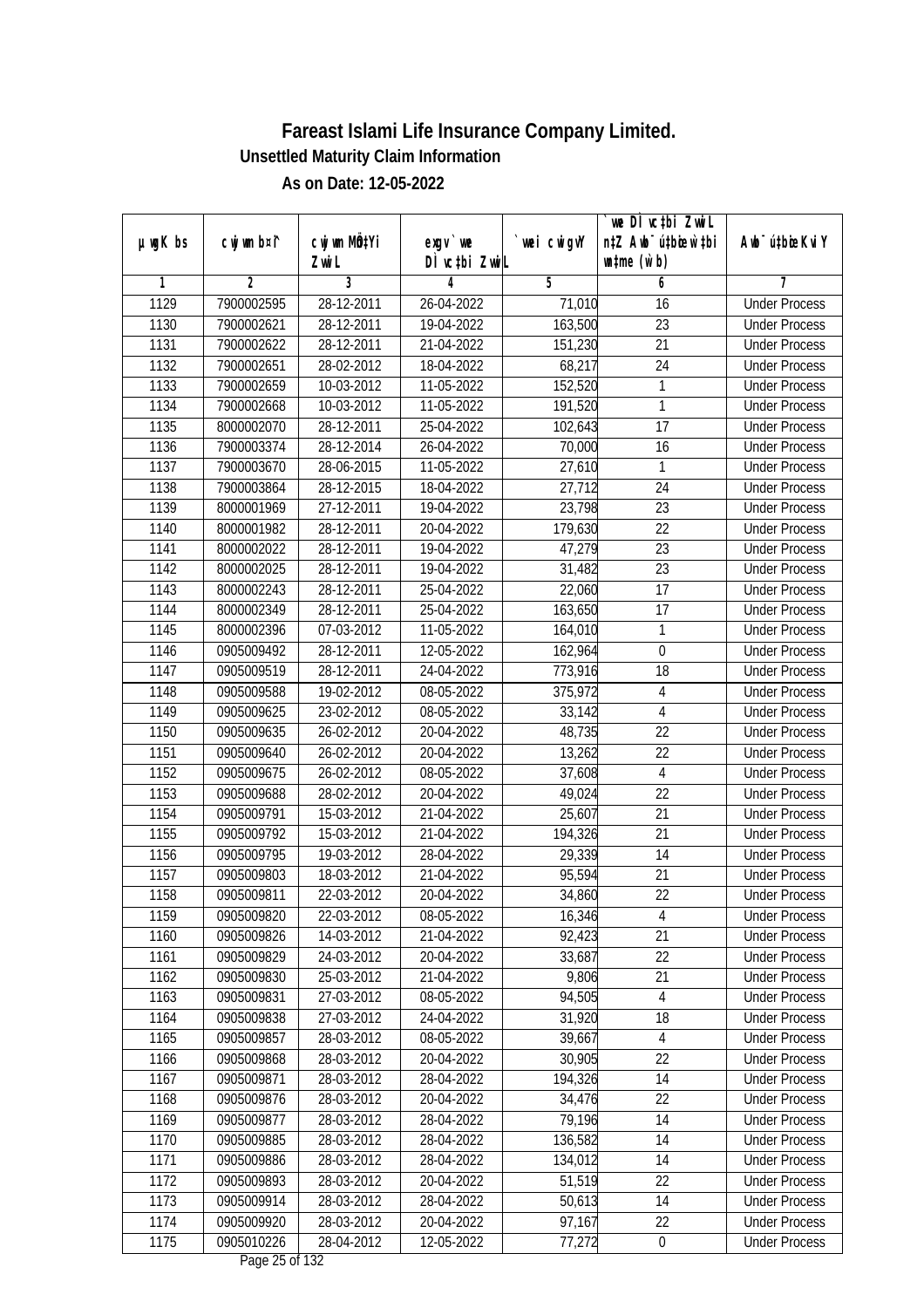|               |                |              |                                       |            | we DI vctbi Zwil                 |                             |
|---------------|----------------|--------------|---------------------------------------|------------|----------------------------------|-----------------------------|
| $µ$ ug $K$ bs | cwj wm b¤i^    | cwj wm MQtYi | $exgv$ we                             | wei cwigvY | n‡Z Awb <sup>-</sup> ú‡bicen`‡bi | Awb <sup>-</sup> ú‡bioeKviY |
|               |                | Zwi L        | DÌ vctbi ZwiL                         |            | $\n  untime\n  (u`b)\n$          |                             |
| 1             | $\overline{2}$ | 3            | 4                                     | 5          | 6                                | 7                           |
| 1129          | 7900002595     | 28-12-2011   | 26-04-2022                            | 71,010     | 16                               | <b>Under Process</b>        |
| 1130          | 7900002621     | 28-12-2011   | 19-04-2022                            | 163,500    | $\overline{23}$                  | <b>Under Process</b>        |
| 1131          | 7900002622     | 28-12-2011   | 21-04-2022                            | 151,230    | $\overline{21}$                  | <b>Under Process</b>        |
| 1132          | 7900002651     | 28-02-2012   | 18-04-2022                            | 68,217     | 24                               | <b>Under Process</b>        |
| 1133          | 7900002659     | 10-03-2012   | 11-05-2022                            | 152,520    | 1                                | <b>Under Process</b>        |
| 1134          | 7900002668     | 10-03-2012   | 11-05-2022                            | 191,520    | 1                                | <b>Under Process</b>        |
| 1135          | 8000002070     | 28-12-2011   | 25-04-2022                            | 102,643    | $\overline{17}$                  | <b>Under Process</b>        |
| 1136          | 7900003374     | 28-12-2014   | 26-04-2022                            | 70,000     | 16                               | <b>Under Process</b>        |
| 1137          | 7900003670     | 28-06-2015   | 11-05-2022                            | 27,610     | 1                                | <b>Under Process</b>        |
| 1138          | 7900003864     | 28-12-2015   | 18-04-2022                            | 27,712     | 24                               | <b>Under Process</b>        |
| 1139          | 8000001969     | 27-12-2011   | 19-04-2022                            | 23,798     | $\overline{23}$                  | <b>Under Process</b>        |
| 1140          | 8000001982     | 28-12-2011   | 20-04-2022                            | 179,630    | 22                               | <b>Under Process</b>        |
| 1141          | 8000002022     | 28-12-2011   | 19-04-2022                            | 47,279     | $\overline{23}$                  | <b>Under Process</b>        |
| 1142          | 8000002025     | 28-12-2011   | 19-04-2022                            | 31,482     | 23                               | <b>Under Process</b>        |
| 1143          | 8000002243     | 28-12-2011   | 25-04-2022                            | 22,060     | 17                               | <b>Under Process</b>        |
| 1144          | 8000002349     | 28-12-2011   | 25-04-2022                            | 163,650    | 17                               | <b>Under Process</b>        |
| 1145          | 8000002396     | 07-03-2012   | 11-05-2022                            | 164,010    | 1                                | <b>Under Process</b>        |
| 1146          | 0905009492     | 28-12-2011   | 12-05-2022                            | 162,964    | $\boldsymbol{0}$                 | <b>Under Process</b>        |
| 1147          | 0905009519     | 28-12-2011   | 24-04-2022                            | 773,916    | 18                               | <b>Under Process</b>        |
| 1148          | 0905009588     | 19-02-2012   | 08-05-2022                            | 375,972    | 4                                | <b>Under Process</b>        |
| 1149          | 0905009625     | 23-02-2012   | 08-05-2022                            | 33,142     | $\overline{4}$                   | <b>Under Process</b>        |
| 1150          | 0905009635     | 26-02-2012   | 20-04-2022                            | 48,735     | 22                               | <b>Under Process</b>        |
| 1151          | 0905009640     | 26-02-2012   | 20-04-2022                            | 13,262     | 22                               | <b>Under Process</b>        |
| 1152          | 0905009675     | 26-02-2012   | 08-05-2022                            | 37,608     | $\overline{4}$                   | <b>Under Process</b>        |
| 1153          | 0905009688     | 28-02-2012   | 20-04-2022                            | 49,024     | 22                               | <b>Under Process</b>        |
| 1154          | 0905009791     | 15-03-2012   | 21-04-2022                            | 25,607     | 21                               | <b>Under Process</b>        |
| 1155          | 0905009792     | 15-03-2012   | 21-04-2022                            | 194,326    | 21                               | <b>Under Process</b>        |
| 1156          | 0905009795     | 19-03-2012   | 28-04-2022                            | 29,339     | 14                               | <b>Under Process</b>        |
| 1157          | 0905009803     | 18-03-2012   | 21-04-2022                            | 95,594     | 21                               | <b>Under Process</b>        |
| 1158          | 0905009811     | 22-03-2012   | 20-04-2022                            | 34,860     | 22                               | <b>Under Process</b>        |
| 1159          | 0905009820     | 22-03-2012   | 08-05-2022                            | 16,346     | 4                                | <b>Under Process</b>        |
| 1160          | 0905009826     | 14-03-2012   | 21-04-2022                            | 92,423     | 21                               | <b>Under Process</b>        |
| 1161          | 0905009829     | 24-03-2012   | 20-04-2022                            | 33,687     | 22                               | <b>Under Process</b>        |
| 1162          | 0905009830     | 25-03-2012   | 21-04-2022                            | 9,806      | 21                               | <b>Under Process</b>        |
| 1163          | 0905009831     | 27-03-2012   | 08-05-2022                            | 94,505     | 4                                | <b>Under Process</b>        |
| 1164          | 0905009838     | 27-03-2012   | 24-04-2022                            | 31,920     | 18                               | <b>Under Process</b>        |
| 1165          | 0905009857     | 28-03-2012   | 08-05-2022                            | 39,667     | $\overline{4}$                   | <b>Under Process</b>        |
| 1166          | 0905009868     | 28-03-2012   | 20-04-2022                            | 30,905     | $\overline{22}$                  | <b>Under Process</b>        |
| 1167          | 0905009871     | 28-03-2012   | 28-04-2022                            | 194,326    | 14                               | <b>Under Process</b>        |
| 1168          | 0905009876     | 28-03-2012   | 20-04-2022                            | 34,476     | 22                               | <b>Under Process</b>        |
| 1169          | 0905009877     | 28-03-2012   | 28-04-2022                            | 79,196     | 14                               | <b>Under Process</b>        |
| 1170          | 0905009885     | 28-03-2012   | 28-04-2022                            | 136,582    | 14                               | <b>Under Process</b>        |
| 1171          | 0905009886     | 28-03-2012   | 28-04-2022                            | 134,012    | 14                               | <b>Under Process</b>        |
| 1172          | 0905009893     | 28-03-2012   | 20-04-2022                            | 51,519     | 22                               | <b>Under Process</b>        |
| 1173          | 0905009914     | 28-03-2012   | 28-04-2022                            | 50,613     | 14                               | <b>Under Process</b>        |
| 1174          | 0905009920     | 28-03-2012   | 20-04-2022                            | 97,167     | 22                               | <b>Under Process</b>        |
| 1175          | 0905010226     | 28-04-2012   | 12-05-2022<br>$D_{0.82}$ $25.6$ f 122 | 77,272     | $\pmb{0}$                        | <b>Under Process</b>        |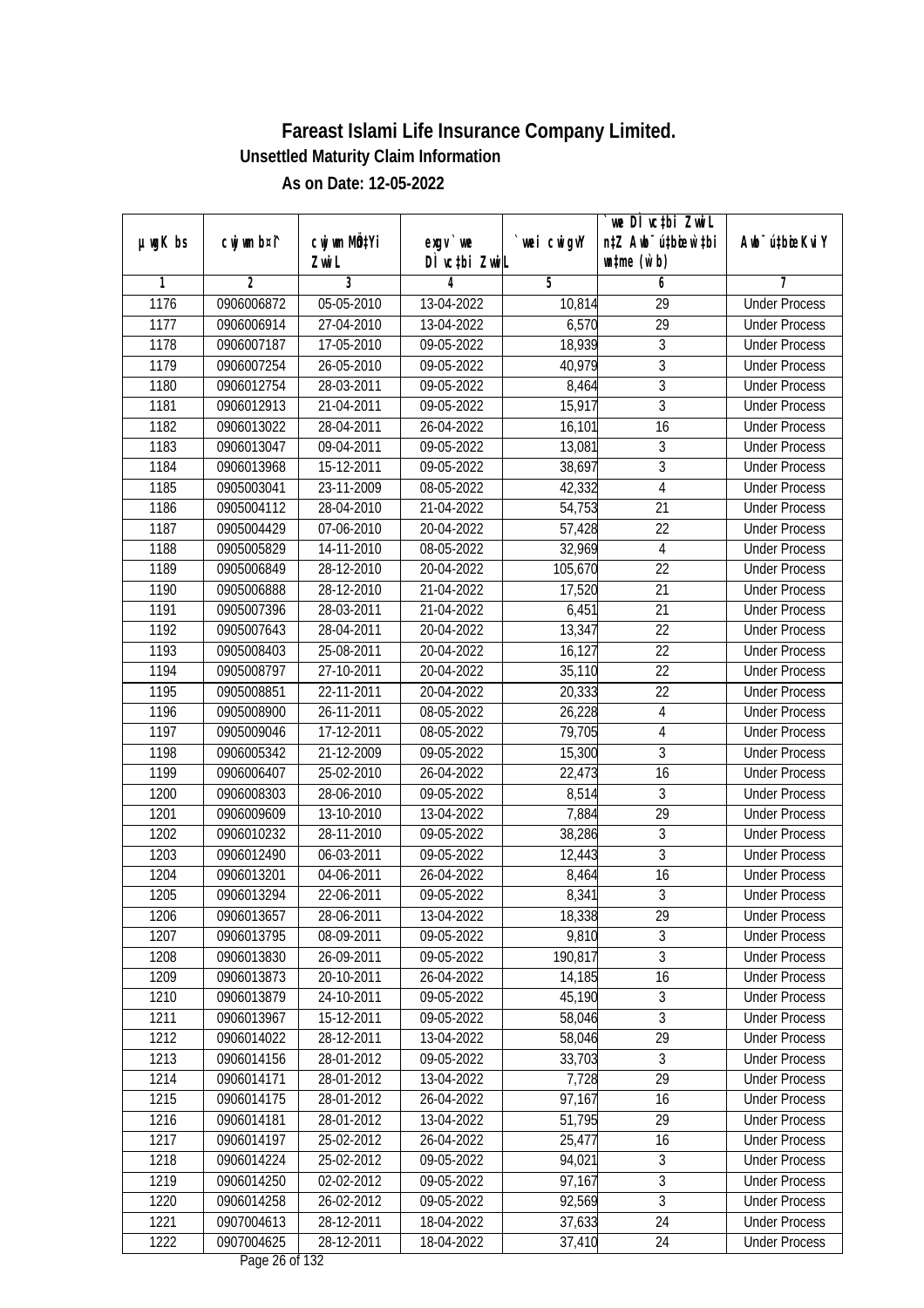|               |                |              |                                                |            | we DÌ vc‡bi ZwiL                 |                             |
|---------------|----------------|--------------|------------------------------------------------|------------|----------------------------------|-----------------------------|
| $µ$ ug $K$ bs | cwj wm b¤i^    | cwj wm MQtYi | $exqu$ we                                      | wei cwigvY | n‡Z Awb <sup>-</sup> ú‡bioen`‡bi | Awb <sup>-</sup> ú‡bioeKviY |
|               |                | Zwi L        | DÌ vctbi ZwiL                                  |            | $\n  untime\n  (u`b)\n$          |                             |
| 1             | $\overline{2}$ | 3            | 4                                              | 5          | 6                                | 7                           |
| 1176          | 0906006872     | 05-05-2010   | 13-04-2022                                     | 10,814     | 29                               | <b>Under Process</b>        |
| 1177          | 0906006914     | 27-04-2010   | 13-04-2022                                     | 6,570      | $\overline{29}$                  | <b>Under Process</b>        |
| 1178          | 0906007187     | 17-05-2010   | 09-05-2022                                     | 18,939     | $\sqrt{3}$                       | <b>Under Process</b>        |
| 1179          | 0906007254     | 26-05-2010   | 09-05-2022                                     | 40,979     | $\overline{3}$                   | <b>Under Process</b>        |
| 1180          | 0906012754     | 28-03-2011   | 09-05-2022                                     | 8,464      | $\mathfrak{Z}$                   | <b>Under Process</b>        |
| 1181          | 0906012913     | 21-04-2011   | 09-05-2022                                     | 15,917     | $\overline{3}$                   | <b>Under Process</b>        |
| 1182          | 0906013022     | 28-04-2011   | 26-04-2022                                     | 16, 101    | $\overline{16}$                  | <b>Under Process</b>        |
| 1183          | 0906013047     | 09-04-2011   | 09-05-2022                                     | 13,081     | $\sqrt{3}$                       | <b>Under Process</b>        |
| 1184          | 0906013968     | 15-12-2011   | 09-05-2022                                     | 38,697     | 3                                | <b>Under Process</b>        |
| 1185          | 0905003041     | 23-11-2009   | 08-05-2022                                     | 42,332     | $\overline{4}$                   | <b>Under Process</b>        |
| 1186          | 0905004112     | 28-04-2010   | 21-04-2022                                     | 54,753     | $\overline{21}$                  | <b>Under Process</b>        |
| 1187          | 0905004429     | 07-06-2010   | 20-04-2022                                     | 57,428     | 22                               | <b>Under Process</b>        |
| 1188          | 0905005829     | 14-11-2010   | 08-05-2022                                     | 32,969     | 4                                | <b>Under Process</b>        |
| 1189          | 0905006849     | 28-12-2010   | 20-04-2022                                     | 105,670    | 22                               | <b>Under Process</b>        |
| 1190          | 0905006888     | 28-12-2010   | 21-04-2022                                     | 17,520     | 21                               | <b>Under Process</b>        |
| 1191          | 0905007396     | 28-03-2011   | 21-04-2022                                     | 6,451      | 21                               | <b>Under Process</b>        |
| 1192          | 0905007643     | 28-04-2011   | 20-04-2022                                     | 13,347     | 22                               | <b>Under Process</b>        |
| 1193          | 0905008403     | 25-08-2011   | 20-04-2022                                     | 16,127     | 22                               | <b>Under Process</b>        |
| 1194          | 0905008797     | 27-10-2011   | 20-04-2022                                     | 35,110     | 22                               | <b>Under Process</b>        |
| 1195          | 0905008851     | 22-11-2011   | 20-04-2022                                     | 20,333     | 22                               | <b>Under Process</b>        |
| 1196          | 0905008900     | 26-11-2011   | 08-05-2022                                     | 26,228     | $\overline{4}$                   | <b>Under Process</b>        |
| 1197          | 0905009046     | 17-12-2011   | 08-05-2022                                     | 79,705     | 4                                | <b>Under Process</b>        |
| 1198          | 0906005342     | 21-12-2009   | 09-05-2022                                     | 15,300     | 3                                | <b>Under Process</b>        |
| 1199          | 0906006407     | 25-02-2010   | 26-04-2022                                     | 22,473     | 16                               | <b>Under Process</b>        |
| 1200          | 0906008303     | 28-06-2010   | 09-05-2022                                     | 8,514      | 3                                | <b>Under Process</b>        |
| 1201          | 0906009609     | 13-10-2010   | 13-04-2022                                     | 7,884      | 29                               | <b>Under Process</b>        |
| 1202          | 0906010232     | 28-11-2010   | 09-05-2022                                     | 38,286     | $\sqrt{3}$                       | <b>Under Process</b>        |
| 1203          | 0906012490     | 06-03-2011   | 09-05-2022                                     | 12,443     | $\overline{3}$                   | <b>Under Process</b>        |
| 1204          | 0906013201     | 04-06-2011   | 26-04-2022                                     | 8,464      | 16                               | <b>Under Process</b>        |
| 1205          | 0906013294     | 22-06-2011   | 09-05-2022                                     | 8,341      | $\overline{3}$                   | <b>Under Process</b>        |
| 1206          | 0906013657     | 28-06-2011   | 13-04-2022                                     | 18,338     | 29                               | <b>Under Process</b>        |
| 1207          | 0906013795     | 08-09-2011   | 09-05-2022                                     | 9,810      | 3                                | <b>Under Process</b>        |
| 1208          | 0906013830     | 26-09-2011   | 09-05-2022                                     | 190,817    | $\overline{3}$                   | <b>Under Process</b>        |
| 1209          | 0906013873     | 20-10-2011   | 26-04-2022                                     | 14,185     | 16                               | <b>Under Process</b>        |
| 1210          | 0906013879     | 24-10-2011   | 09-05-2022                                     | 45,190     | 3                                | <b>Under Process</b>        |
| 1211          | 0906013967     | 15-12-2011   | 09-05-2022                                     | 58,046     | 3                                | <b>Under Process</b>        |
| 1212          | 0906014022     | 28-12-2011   | 13-04-2022                                     | 58,046     | 29                               | <b>Under Process</b>        |
| 1213          | 0906014156     | 28-01-2012   | 09-05-2022                                     | 33,703     | $\mathfrak{Z}$                   | <b>Under Process</b>        |
| 1214          | 0906014171     | 28-01-2012   | 13-04-2022                                     | 7,728      | 29                               | <b>Under Process</b>        |
| 1215          | 0906014175     | 28-01-2012   | 26-04-2022                                     | 97,167     | 16                               | <b>Under Process</b>        |
| 1216          | 0906014181     | 28-01-2012   | 13-04-2022                                     | 51,795     | 29                               | <b>Under Process</b>        |
| 1217          | 0906014197     | 25-02-2012   | 26-04-2022                                     | 25,477     | 16                               | <b>Under Process</b>        |
| 1218          | 0906014224     | 25-02-2012   | 09-05-2022                                     | 94,021     | $\sqrt{3}$                       | <b>Under Process</b>        |
| 1219          | 0906014250     | 02-02-2012   | 09-05-2022                                     | 97,167     | $\overline{3}$                   | <b>Under Process</b>        |
| 1220          | 0906014258     | 26-02-2012   | 09-05-2022                                     | 92,569     | $\overline{3}$                   | <b>Under Process</b>        |
| 1221          | 0907004613     | 28-12-2011   | 18-04-2022                                     | 37,633     | 24                               | <b>Under Process</b>        |
| 1222          | 0907004625     | 28-12-2011   | 18-04-2022<br>$D_{\text{max}}$ $\gamma$ of 123 | 37,410     | 24                               | <b>Under Process</b>        |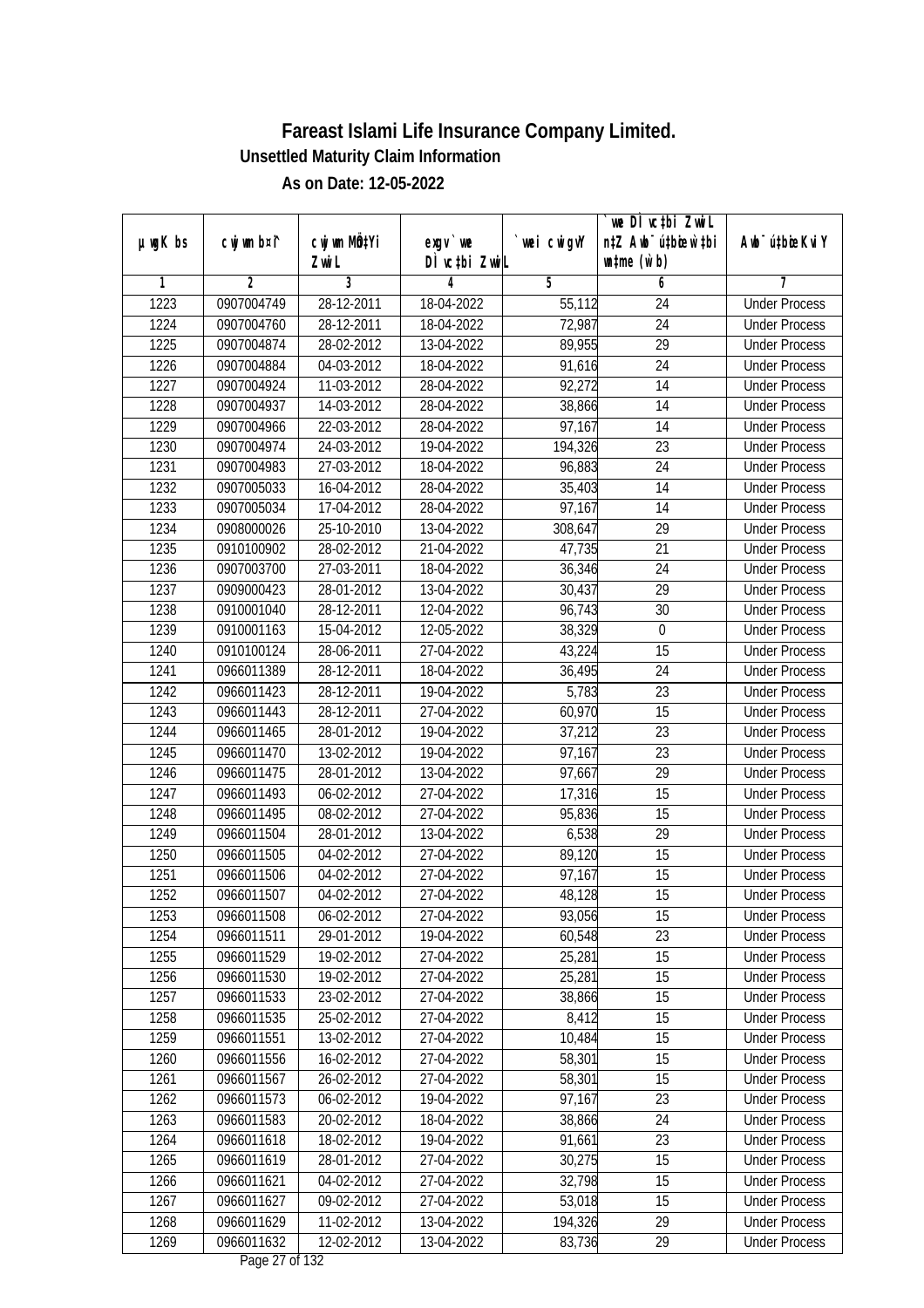|               |             |                           |                |             | `we DÌ vc‡bi ZwiL                |                             |
|---------------|-------------|---------------------------|----------------|-------------|----------------------------------|-----------------------------|
| $µ$ ug $K$ bs | cwj wm b¤i^ | cwj wm MQ <sup>1</sup> Yi | $exgV$ we      | `wei cwigvY | n‡Z Awb <sup>-</sup> ú‡bioar`‡bi | Awb <sup>-</sup> ú‡bioeKviY |
|               |             | Zwi L                     | DÌ vctbi ZwiL  |             | $\n  untime\n  (u`b)\n$          |                             |
| 1             | 2           | 3                         | 4              | 5           | 6                                | 7                           |
| 1223          | 0907004749  | 28-12-2011                | 18-04-2022     | 55,112      | 24                               | <b>Under Process</b>        |
| 1224          | 0907004760  | 28-12-2011                | 18-04-2022     | 72,987      | 24                               | <b>Under Process</b>        |
| 1225          | 0907004874  | 28-02-2012                | 13-04-2022     | 89,955      | $\overline{29}$                  | <b>Under Process</b>        |
| 1226          | 0907004884  | 04-03-2012                | 18-04-2022     | 91,616      | $\overline{24}$                  | <b>Under Process</b>        |
| 1227          | 0907004924  | 11-03-2012                | 28-04-2022     | 92,272      | 14                               | <b>Under Process</b>        |
| 1228          | 0907004937  | 14-03-2012                | 28-04-2022     | 38,866      | $\overline{14}$                  | <b>Under Process</b>        |
| 1229          | 0907004966  | 22-03-2012                | 28-04-2022     | 97,167      | 14                               | <b>Under Process</b>        |
| 1230          | 0907004974  | 24-03-2012                | 19-04-2022     | 194,326     | $\overline{23}$                  | <b>Under Process</b>        |
| 1231          | 0907004983  | 27-03-2012                | 18-04-2022     | 96,883      | 24                               | <b>Under Process</b>        |
| 1232          | 0907005033  | 16-04-2012                | 28-04-2022     | 35,403      | 14                               | <b>Under Process</b>        |
| 1233          | 0907005034  | 17-04-2012                | 28-04-2022     | 97,167      | 14                               | <b>Under Process</b>        |
| 1234          | 0908000026  | 25-10-2010                | 13-04-2022     | 308,647     | 29                               | <b>Under Process</b>        |
| 1235          | 0910100902  | 28-02-2012                | 21-04-2022     | 47,735      | $\overline{21}$                  | <b>Under Process</b>        |
| 1236          | 0907003700  | 27-03-2011                | 18-04-2022     | 36,346      | 24                               | <b>Under Process</b>        |
| 1237          | 0909000423  | 28-01-2012                | 13-04-2022     | 30,437      | 29                               | <b>Under Process</b>        |
| 1238          | 0910001040  | 28-12-2011                | 12-04-2022     | 96,743      | 30                               | <b>Under Process</b>        |
| 1239          | 0910001163  | 15-04-2012                | 12-05-2022     | 38,329      | 0                                | <b>Under Process</b>        |
| 1240          | 0910100124  | 28-06-2011                | 27-04-2022     | 43,224      | 15                               | <b>Under Process</b>        |
| 1241          | 0966011389  | 28-12-2011                | 18-04-2022     | 36,495      | 24                               | <b>Under Process</b>        |
| 1242          | 0966011423  | 28-12-2011                | 19-04-2022     | 5,783       | 23                               | <b>Under Process</b>        |
| 1243          | 0966011443  | 28-12-2011                | 27-04-2022     | 60,970      | 15                               | <b>Under Process</b>        |
| 1244          | 0966011465  | 28-01-2012                | 19-04-2022     | 37,212      | 23                               | <b>Under Process</b>        |
| 1245          | 0966011470  | 13-02-2012                | 19-04-2022     | 97,167      | 23                               | <b>Under Process</b>        |
| 1246          | 0966011475  | 28-01-2012                | 13-04-2022     | 97,667      | 29                               | <b>Under Process</b>        |
| 1247          | 0966011493  | 06-02-2012                | 27-04-2022     | 17,316      | 15                               | <b>Under Process</b>        |
| 1248          | 0966011495  | 08-02-2012                | 27-04-2022     | 95,836      | 15                               | <b>Under Process</b>        |
| 1249          | 0966011504  | 28-01-2012                | 13-04-2022     | 6,538       | 29                               | <b>Under Process</b>        |
| 1250          | 0966011505  | 04-02-2012                | 27-04-2022     | 89,120      | 15                               | <b>Under Process</b>        |
| 1251          | 0966011506  | 04-02-2012                | 27-04-2022     | 97,167      | 15                               | <b>Under Process</b>        |
| 1252          | 0966011507  | 04-02-2012                | 27-04-2022     | 48,128      | 15                               | <b>Under Process</b>        |
| 1253          | 0966011508  | 06-02-2012                | 27-04-2022     | 93,056      | 15                               | <b>Under Process</b>        |
| 1254          | 0966011511  | 29-01-2012                | 19-04-2022     | 60,548      | 23                               | <b>Under Process</b>        |
| 1255          | 0966011529  | 19-02-2012                | 27-04-2022     | 25,281      | 15                               | <b>Under Process</b>        |
| 1256          | 0966011530  | 19-02-2012                | 27-04-2022     | 25,281      | 15                               | <b>Under Process</b>        |
| 1257          | 0966011533  | 23-02-2012                | 27-04-2022     | 38,866      | 15                               | <b>Under Process</b>        |
| 1258          | 0966011535  | 25-02-2012                | 27-04-2022     | 8,412       | 15                               | <b>Under Process</b>        |
| 1259          | 0966011551  | 13-02-2012                | 27-04-2022     | 10,484      | 15                               | <b>Under Process</b>        |
| 1260          | 0966011556  | 16-02-2012                | 27-04-2022     | 58,301      | 15                               | <b>Under Process</b>        |
| 1261          | 0966011567  | 26-02-2012                | 27-04-2022     | 58,301      | 15                               | <b>Under Process</b>        |
| 1262          | 0966011573  | 06-02-2012                | 19-04-2022     | 97,167      | 23                               | <b>Under Process</b>        |
| 1263          | 0966011583  | 20-02-2012                | 18-04-2022     | 38,866      | 24                               | <b>Under Process</b>        |
| 1264          | 0966011618  | 18-02-2012                | 19-04-2022     | 91,661      | 23                               | <b>Under Process</b>        |
| 1265          | 0966011619  | 28-01-2012                | 27-04-2022     | 30,275      | 15                               | <b>Under Process</b>        |
| 1266          | 0966011621  | 04-02-2012                | 27-04-2022     | 32,798      | 15                               | <b>Under Process</b>        |
| 1267          | 0966011627  | 09-02-2012                | 27-04-2022     | 53,018      | 15                               | <b>Under Process</b>        |
| 1268          | 0966011629  | 11-02-2012                | 13-04-2022     | 194,326     | 29                               | <b>Under Process</b>        |
| 1269          | 0966011632  | 12-02-2012                | 13-04-2022     | 83,736      | 29                               | <b>Under Process</b>        |
|               |             |                           | Dege 27 of 122 |             |                                  |                             |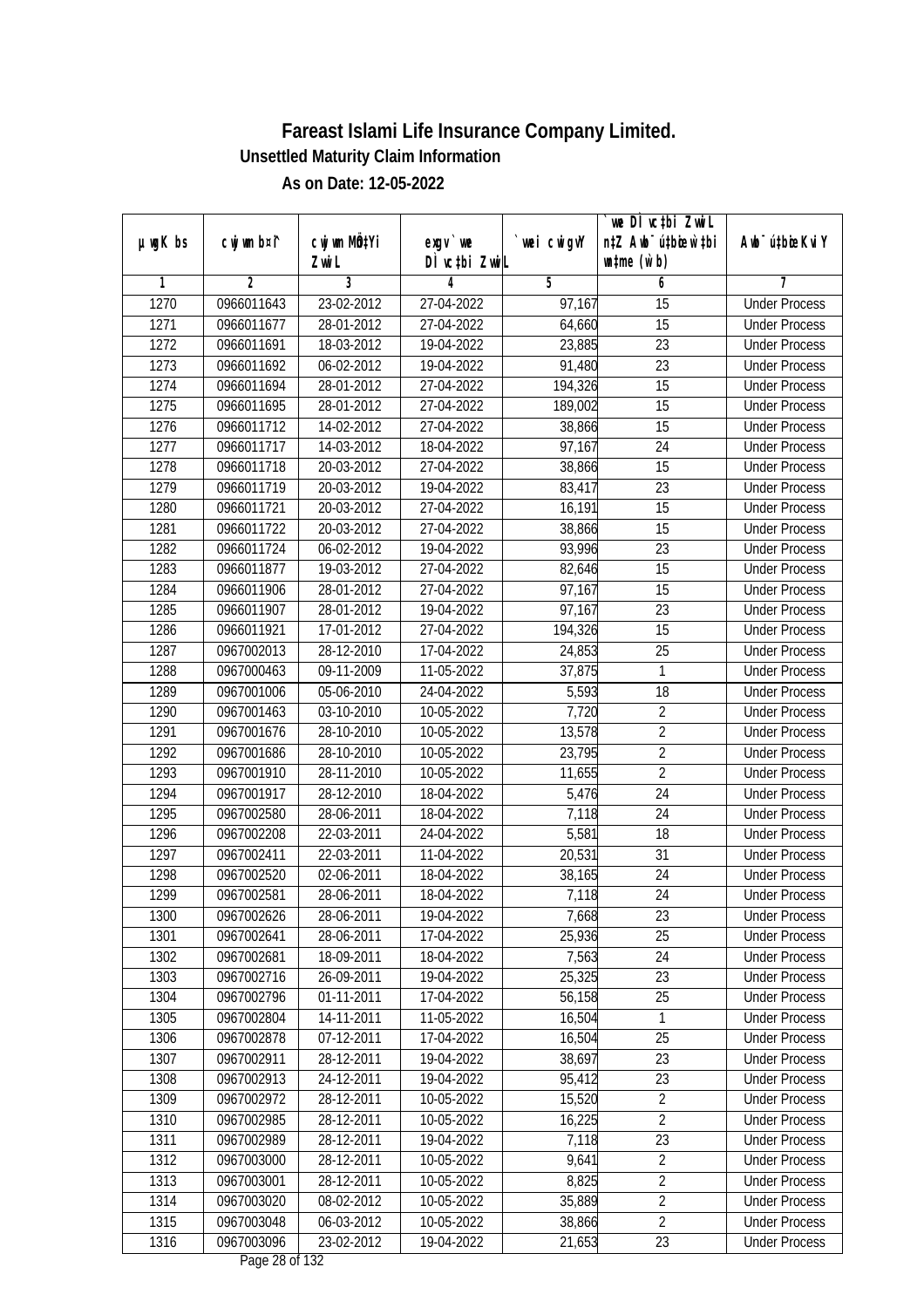|         |                |                  |                               |            | we DI vctbi Zwil                 |                             |
|---------|----------------|------------------|-------------------------------|------------|----------------------------------|-----------------------------|
| µwgK bs | cwj wm b¤i^    | cwj wm MQtYi     | $exqu$ we                     | wei cwigvY | n‡Z Awb <sup>-</sup> ú‡bioen`‡bi | Awb <sup>-</sup> ú‡bioeKviY |
|         |                | Zwi L            | DÌ vctbi ZwiL                 |            | $\n  untime\n  (u`b)\n$          |                             |
| 1       | $\overline{2}$ | 3                | 4                             | 5          | 6                                | 7                           |
| 1270    | 0966011643     | 23-02-2012       | 27-04-2022                    | 97,167     | $\overline{15}$                  | <b>Under Process</b>        |
| 1271    | 0966011677     | 28-01-2012       | 27-04-2022                    | 64,660     | 15                               | <b>Under Process</b>        |
| 1272    | 0966011691     | 18-03-2012       | 19-04-2022                    | 23,885     | $\overline{23}$                  | <b>Under Process</b>        |
| 1273    | 0966011692     | 06-02-2012       | 19-04-2022                    | 91,480     | 23                               | <b>Under Process</b>        |
| 1274    | 0966011694     | 28-01-2012       | 27-04-2022                    | 194,326    | $\overline{15}$                  | <b>Under Process</b>        |
| 1275    | 0966011695     | 28-01-2012       | 27-04-2022                    | 189,002    | $\overline{15}$                  | <b>Under Process</b>        |
| 1276    | 0966011712     | 14-02-2012       | 27-04-2022                    | 38,866     | 15                               | <b>Under Process</b>        |
| 1277    | 0966011717     | 14-03-2012       | 18-04-2022                    | 97,167     | 24                               | <b>Under Process</b>        |
| 1278    | 0966011718     | 20-03-2012       | 27-04-2022                    | 38,866     | 15                               | <b>Under Process</b>        |
| 1279    | 0966011719     | 20-03-2012       | 19-04-2022                    | 83,417     | 23                               | <b>Under Process</b>        |
| 1280    | 0966011721     | 20-03-2012       | 27-04-2022                    | 16,191     | $\overline{15}$                  | <b>Under Process</b>        |
| 1281    | 0966011722     | 20-03-2012       | 27-04-2022                    | 38,866     | 15                               | <b>Under Process</b>        |
| 1282    | 0966011724     | $06 - 02 - 2012$ | 19-04-2022                    | 93,996     | $\overline{23}$                  | <b>Under Process</b>        |
| 1283    | 0966011877     | 19-03-2012       | 27-04-2022                    | 82,646     | 15                               | <b>Under Process</b>        |
| 1284    | 0966011906     | 28-01-2012       | 27-04-2022                    | 97,167     | 15                               | <b>Under Process</b>        |
| 1285    | 0966011907     | 28-01-2012       | 19-04-2022                    | 97,167     | 23                               | <b>Under Process</b>        |
| 1286    | 0966011921     | 17-01-2012       | 27-04-2022                    | 194,326    | 15                               | <b>Under Process</b>        |
| 1287    | 0967002013     | 28-12-2010       | 17-04-2022                    | 24,853     | 25                               | <b>Under Process</b>        |
| 1288    | 0967000463     | 09-11-2009       | 11-05-2022                    | 37,875     | 1                                | <b>Under Process</b>        |
| 1289    | 0967001006     | 05-06-2010       | 24-04-2022                    | 5,593      | 18                               | <b>Under Process</b>        |
| 1290    | 0967001463     | 03-10-2010       | 10-05-2022                    | 7,720      | $\overline{2}$                   | <b>Under Process</b>        |
| 1291    | 0967001676     | 28-10-2010       | 10-05-2022                    | 13,578     | 2                                | <b>Under Process</b>        |
| 1292    | 0967001686     | 28-10-2010       | 10-05-2022                    | 23,795     | $\overline{2}$                   | <b>Under Process</b>        |
| 1293    | 0967001910     | 28-11-2010       | 10-05-2022                    | 11,655     | $\overline{2}$                   | <b>Under Process</b>        |
| 1294    | 0967001917     | 28-12-2010       | 18-04-2022                    | 5,476      | 24                               | <b>Under Process</b>        |
| 1295    | 0967002580     | 28-06-2011       | 18-04-2022                    | 7,118      | 24                               | <b>Under Process</b>        |
| 1296    | 0967002208     | 22-03-2011       | 24-04-2022                    | 5,581      | 18                               | <b>Under Process</b>        |
| 1297    | 0967002411     | 22-03-2011       | 11-04-2022                    | 20,531     | 31                               | <b>Under Process</b>        |
| 1298    | 0967002520     | 02-06-2011       | 18-04-2022                    | 38,165     | 24                               | <b>Under Process</b>        |
| 1299    | 0967002581     | 28-06-2011       | 18-04-2022                    | 7,118      | 24                               | <b>Under Process</b>        |
| 1300    | 0967002626     | 28-06-2011       | 19-04-2022                    | 7,668      | 23                               | <b>Under Process</b>        |
| 1301    | 0967002641     | 28-06-2011       | 17-04-2022                    | 25,936     | 25                               | <b>Under Process</b>        |
| 1302    | 0967002681     | 18-09-2011       | 18-04-2022                    | 7,563      | 24                               | <b>Under Process</b>        |
| 1303    | 0967002716     | 26-09-2011       | 19-04-2022                    | 25,325     | 23                               | <b>Under Process</b>        |
| 1304    | 0967002796     | 01-11-2011       | 17-04-2022                    | 56,158     | 25                               | <b>Under Process</b>        |
| 1305    | 0967002804     | 14-11-2011       | 11-05-2022                    | 16,504     | 1                                | <b>Under Process</b>        |
| 1306    | 0967002878     | 07-12-2011       | 17-04-2022                    | 16,504     | 25                               | <b>Under Process</b>        |
| 1307    | 0967002911     | 28-12-2011       | 19-04-2022                    | 38,697     | 23                               | <b>Under Process</b>        |
| 1308    | 0967002913     | 24-12-2011       | 19-04-2022                    | 95,412     | 23                               | <b>Under Process</b>        |
| 1309    | 0967002972     | 28-12-2011       | 10-05-2022                    | 15,520     | $\overline{2}$                   | <b>Under Process</b>        |
| 1310    | 0967002985     | 28-12-2011       | 10-05-2022                    | 16,225     | $\overline{2}$                   | <b>Under Process</b>        |
| 1311    | 0967002989     | 28-12-2011       | 19-04-2022                    | 7,118      | 23                               | <b>Under Process</b>        |
| 1312    | 0967003000     | 28-12-2011       | $10-05-2022$                  | 9,641      | $\overline{2}$                   | <b>Under Process</b>        |
| 1313    | 0967003001     | 28-12-2011       | 10-05-2022                    | 8,825      | $\overline{2}$                   | <b>Under Process</b>        |
| 1314    | 0967003020     | 08-02-2012       | 10-05-2022                    | 35,889     | $\overline{2}$                   | <b>Under Process</b>        |
| 1315    | 0967003048     | 06-03-2012       | 10-05-2022                    | 38,866     | $\overline{2}$                   | <b>Under Process</b>        |
| 1316    | 0967003096     | 23-02-2012       | 19-04-2022<br>Dege $20ef 122$ | 21,653     | 23                               | <b>Under Process</b>        |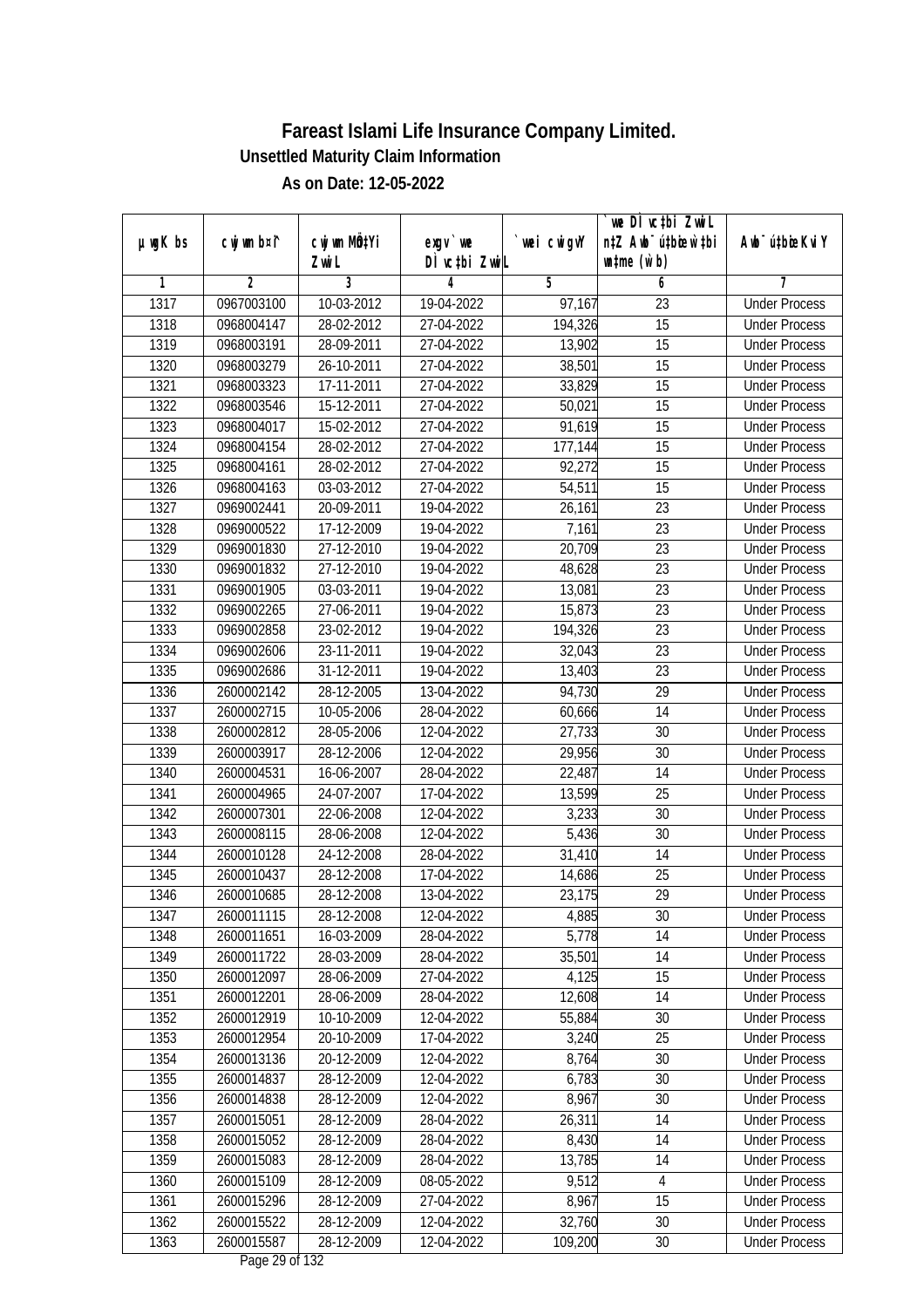|         |                |                  |               |                     | we DI vctbi ZwiL                 |                             |
|---------|----------------|------------------|---------------|---------------------|----------------------------------|-----------------------------|
| µwgK bs | cwj wm b¤i^    | cwj wm MQtYi     | $exqu$ we     | `wei cwigvY         | n‡Z Awb <sup>-</sup> ú‡bioar`‡bi | Awb <sup>-</sup> ú‡bioeKviY |
|         |                | Zwi L            | DÌ vctbi ZwiL |                     | $\n  untime\n  (u`b)\n$          |                             |
| 1       | $\overline{2}$ | 3                | 4             | 5                   | 6                                | 7                           |
| 1317    | 0967003100     | 10-03-2012       | 19-04-2022    | $\overline{97,167}$ | $\overline{23}$                  | <b>Under Process</b>        |
| 1318    | 0968004147     | 28-02-2012       | 27-04-2022    | 194,326             | $\overline{15}$                  | <b>Under Process</b>        |
| 1319    | 0968003191     | 28-09-2011       | 27-04-2022    | 13,902              | $\overline{15}$                  | <b>Under Process</b>        |
| 1320    | 0968003279     | $26 - 10 - 2011$ | 27-04-2022    | 38,501              | 15                               | <b>Under Process</b>        |
| 1321    | 0968003323     | 17-11-2011       | 27-04-2022    | 33,829              | $\overline{15}$                  | <b>Under Process</b>        |
| 1322    | 0968003546     | 15-12-2011       | 27-04-2022    | 50,021              | 15                               | <b>Under Process</b>        |
| 1323    | 0968004017     | 15-02-2012       | 27-04-2022    | 91,619              | 15                               | <b>Under Process</b>        |
| 1324    | 0968004154     | 28-02-2012       | 27-04-2022    | 177,144             | 15                               | <b>Under Process</b>        |
| 1325    | 0968004161     | 28-02-2012       | 27-04-2022    | 92,272              | $\overline{15}$                  | <b>Under Process</b>        |
| 1326    | 0968004163     | 03-03-2012       | 27-04-2022    | 54,511              | 15                               | <b>Under Process</b>        |
| 1327    | 0969002441     | 20-09-2011       | 19-04-2022    | 26,161              | $\overline{23}$                  | <b>Under Process</b>        |
| 1328    | 0969000522     | 17-12-2009       | 19-04-2022    | 7,161               | 23                               | <b>Under Process</b>        |
| 1329    | 0969001830     | 27-12-2010       | 19-04-2022    | 20,709              | $\overline{23}$                  | <b>Under Process</b>        |
| 1330    | 0969001832     | 27-12-2010       | 19-04-2022    | 48,628              | 23                               | <b>Under Process</b>        |
| 1331    | 0969001905     | 03-03-2011       | 19-04-2022    | 13,081              | 23                               | <b>Under Process</b>        |
| 1332    | 0969002265     | 27-06-2011       | 19-04-2022    | 15,873              | 23                               | <b>Under Process</b>        |
| 1333    | 0969002858     | 23-02-2012       | 19-04-2022    | 194,326             | 23                               | <b>Under Process</b>        |
| 1334    | 0969002606     | 23-11-2011       | 19-04-2022    | 32,043              | 23                               | <b>Under Process</b>        |
| 1335    | 0969002686     | 31-12-2011       | 19-04-2022    | 13,403              | 23                               | <b>Under Process</b>        |
| 1336    | 2600002142     | 28-12-2005       | 13-04-2022    | 94,730              | 29                               | <b>Under Process</b>        |
| 1337    | 2600002715     | 10-05-2006       | 28-04-2022    | 60,666              | 14                               | <b>Under Process</b>        |
| 1338    | 2600002812     | 28-05-2006       | 12-04-2022    | 27,733              | 30                               | <b>Under Process</b>        |
| 1339    | 2600003917     | 28-12-2006       | 12-04-2022    | 29,956              | 30                               | <b>Under Process</b>        |
| 1340    | 2600004531     | 16-06-2007       | 28-04-2022    | 22,487              | 14                               | <b>Under Process</b>        |
| 1341    | 2600004965     | 24-07-2007       | 17-04-2022    | 13,599              | 25                               | <b>Under Process</b>        |
| 1342    | 2600007301     | 22-06-2008       | 12-04-2022    | 3,233               | 30                               | <b>Under Process</b>        |
| 1343    | 2600008115     | 28-06-2008       | 12-04-2022    | 5,436               | 30                               | <b>Under Process</b>        |
| 1344    | 2600010128     | 24-12-2008       | 28-04-2022    | 31,410              | 14                               | <b>Under Process</b>        |
| 1345    | 2600010437     | 28-12-2008       | 17-04-2022    | 14,686              | 25                               | <b>Under Process</b>        |
| 1346    | 2600010685     | 28-12-2008       | 13-04-2022    | 23,175              | 29                               | <b>Under Process</b>        |
| 1347    | 2600011115     | 28-12-2008       | 12-04-2022    | 4,885               | 30                               | <b>Under Process</b>        |
| 1348    | 2600011651     | 16-03-2009       | 28-04-2022    | 5,778               | 14                               | <b>Under Process</b>        |
| 1349    | 2600011722     | 28-03-2009       | 28-04-2022    | 35,501              | 14                               | <b>Under Process</b>        |
| 1350    | 2600012097     | 28-06-2009       | 27-04-2022    | 4,125               | 15                               | <b>Under Process</b>        |
| 1351    | 2600012201     | 28-06-2009       | 28-04-2022    | 12,608              | 14                               | <b>Under Process</b>        |
| 1352    | 2600012919     | 10-10-2009       | 12-04-2022    | 55,884              | 30                               | <b>Under Process</b>        |
| 1353    | 2600012954     | 20-10-2009       | 17-04-2022    | 3,240               | 25                               | <b>Under Process</b>        |
| 1354    | 2600013136     | 20-12-2009       | 12-04-2022    | 8,764               | 30                               | <b>Under Process</b>        |
| 1355    | 2600014837     | 28-12-2009       | 12-04-2022    | 6,783               | 30                               | <b>Under Process</b>        |
| 1356    | 2600014838     | 28-12-2009       | 12-04-2022    | 8,967               | 30                               | <b>Under Process</b>        |
| 1357    | 2600015051     | 28-12-2009       | 28-04-2022    | 26,311              | 14                               | <b>Under Process</b>        |
| 1358    | 2600015052     | 28-12-2009       | 28-04-2022    | 8,430               | 14                               | <b>Under Process</b>        |
| 1359    | 2600015083     | 28-12-2009       | 28-04-2022    | 13,785              | 14                               | <b>Under Process</b>        |
| 1360    | 2600015109     | 28-12-2009       | 08-05-2022    | 9,512               | $\sqrt{4}$                       | <b>Under Process</b>        |
| 1361    | 2600015296     | 28-12-2009       | 27-04-2022    | 8,967               | 15                               | <b>Under Process</b>        |
| 1362    | 2600015522     | 28-12-2009       | 12-04-2022    | 32,760              | 30                               | <b>Under Process</b>        |
| 1363    | 2600015587     | 28-12-2009       | 12-04-2022    | 109,200             | 30                               | <b>Under Process</b>        |
|         |                |                  |               |                     |                                  |                             |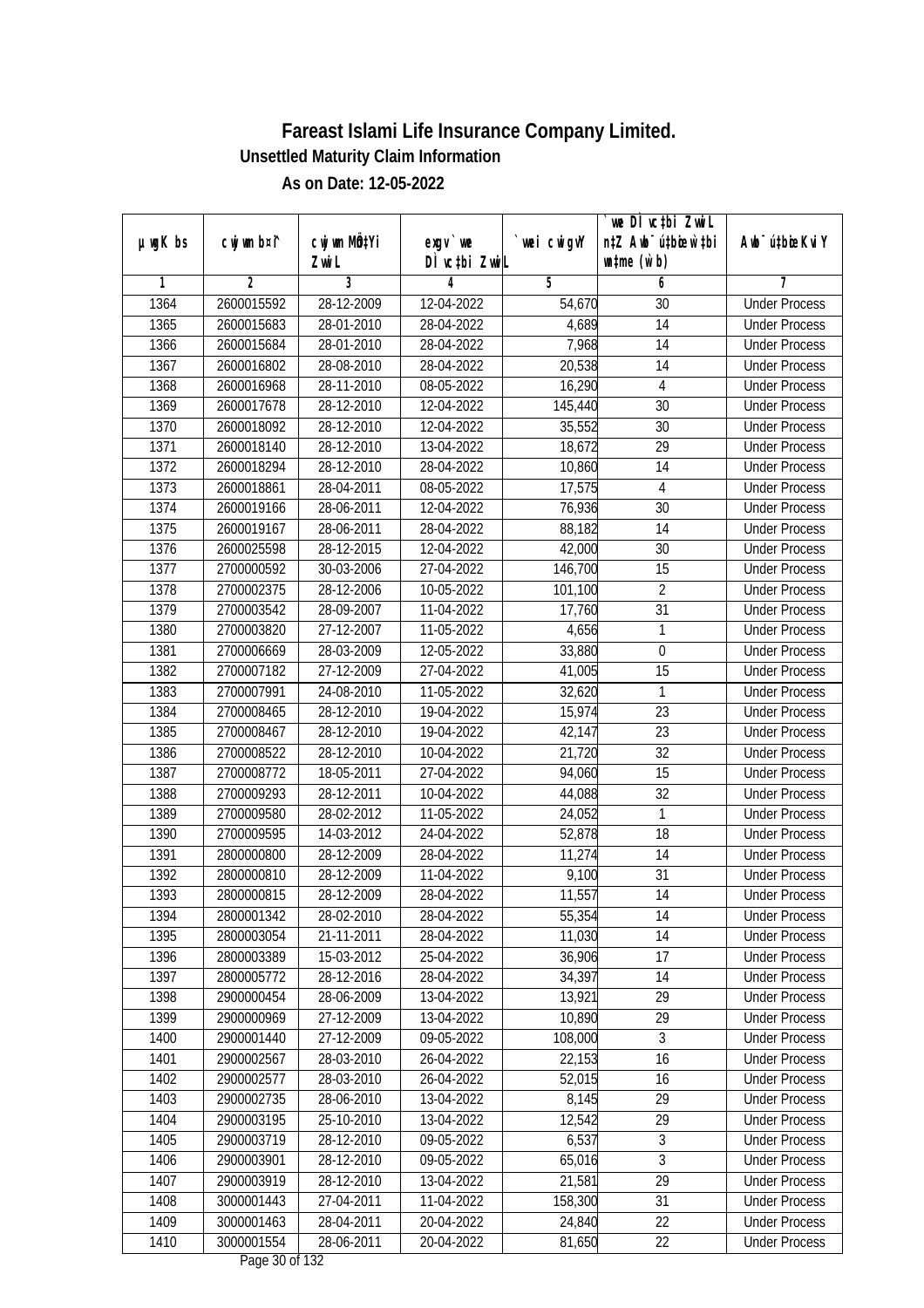|               |             |                           |                              |             | we DI vctbi ZwiL                 |                             |
|---------------|-------------|---------------------------|------------------------------|-------------|----------------------------------|-----------------------------|
| $µ$ ug $K$ bs | cwj wm b¤i^ | cwj wm MQ <sup>1</sup> Yi | $exgV$ we                    | `wei cwigvY | n‡Z Awb <sup>-</sup> ú‡bioar`‡bi | Awb <sup>-</sup> ú‡bioeKviY |
|               |             | Zwi L                     | DÌ vctbi ZwiL                |             | $\n  untime\n  (u`b)\n$          |                             |
| 1             | 2           | 3                         | 4                            | 5           | 6                                | 7                           |
| 1364          | 2600015592  | 28-12-2009                | 12-04-2022                   | 54,670      | 30                               | <b>Under Process</b>        |
| 1365          | 2600015683  | 28-01-2010                | 28-04-2022                   | 4,689       | 14                               | <b>Under Process</b>        |
| 1366          | 2600015684  | 28-01-2010                | 28-04-2022                   | 7,968       | 14                               | <b>Under Process</b>        |
| 1367          | 2600016802  | 28-08-2010                | 28-04-2022                   | 20,538      | 14                               | <b>Under Process</b>        |
| 1368          | 2600016968  | $28-11-2010$              | 08-05-2022                   | 16,290      | $\overline{4}$                   | <b>Under Process</b>        |
| 1369          | 2600017678  | 28-12-2010                | 12-04-2022                   | 145,440     | $\overline{30}$                  | <b>Under Process</b>        |
| 1370          | 2600018092  | 28-12-2010                | 12-04-2022                   | 35,552      | 30                               | <b>Under Process</b>        |
| 1371          | 2600018140  | 28-12-2010                | 13-04-2022                   | 18,672      | $\overline{29}$                  | <b>Under Process</b>        |
| 1372          | 2600018294  | 28-12-2010                | 28-04-2022                   | 10,860      | 14                               | <b>Under Process</b>        |
| 1373          | 2600018861  | 28-04-2011                | 08-05-2022                   | 17,575      | $\overline{4}$                   | <b>Under Process</b>        |
| 1374          | 2600019166  | 28-06-2011                | 12-04-2022                   | 76,936      | 30                               | <b>Under Process</b>        |
| 1375          | 2600019167  | 28-06-2011                | 28-04-2022                   | 88,182      | 14                               | <b>Under Process</b>        |
| 1376          | 2600025598  | 28-12-2015                | 12-04-2022                   | 42,000      | $\overline{30}$                  | <b>Under Process</b>        |
| 1377          | 2700000592  | 30-03-2006                | 27-04-2022                   | 146,700     | 15                               | <b>Under Process</b>        |
| 1378          | 2700002375  | 28-12-2006                | 10-05-2022                   | 101,100     | 2                                | <b>Under Process</b>        |
| 1379          | 2700003542  | 28-09-2007                | 11-04-2022                   | 17,760      | 31                               | <b>Under Process</b>        |
| 1380          | 2700003820  | 27-12-2007                | 11-05-2022                   | 4,656       | 1                                | <b>Under Process</b>        |
| 1381          | 2700006669  | 28-03-2009                | 12-05-2022                   | 33,880      | $\mathbf 0$                      | <b>Under Process</b>        |
| 1382          | 2700007182  | 27-12-2009                | 27-04-2022                   | 41,005      | 15                               | <b>Under Process</b>        |
| 1383          | 2700007991  | 24-08-2010                | 11-05-2022                   | 32,620      | 1                                | <b>Under Process</b>        |
| 1384          | 2700008465  | 28-12-2010                | 19-04-2022                   | 15,974      | 23                               | <b>Under Process</b>        |
| 1385          | 2700008467  | 28-12-2010                | 19-04-2022                   | 42,147      | 23                               | <b>Under Process</b>        |
| 1386          | 2700008522  | 28-12-2010                | 10-04-2022                   | 21,720      | 32                               | <b>Under Process</b>        |
| 1387          | 2700008772  | 18-05-2011                | 27-04-2022                   | 94,060      | 15                               | <b>Under Process</b>        |
| 1388          | 2700009293  | 28-12-2011                | 10-04-2022                   | 44,088      | 32                               | <b>Under Process</b>        |
| 1389          | 2700009580  | 28-02-2012                | 11-05-2022                   | 24,052      | 1                                | <b>Under Process</b>        |
| 1390          | 2700009595  | 14-03-2012                | 24-04-2022                   | 52,878      | 18                               | <b>Under Process</b>        |
| 1391          | 2800000800  | 28-12-2009                | 28-04-2022                   | 11,274      | 14                               | <b>Under Process</b>        |
| 1392          | 2800000810  | 28-12-2009                | 11-04-2022                   | 9,100       | 31                               | <b>Under Process</b>        |
| 1393          | 2800000815  | 28-12-2009                | 28-04-2022                   | 11,557      | 14                               | <b>Under Process</b>        |
| 1394          | 2800001342  | 28-02-2010                | 28-04-2022                   | 55,354      | 14                               | <b>Under Process</b>        |
| 1395          | 2800003054  | 21-11-2011                | 28-04-2022                   | 11,030      | 14                               | <b>Under Process</b>        |
| 1396          | 2800003389  | 15-03-2012                | 25-04-2022                   | 36,906      | 17                               | <b>Under Process</b>        |
| 1397          | 2800005772  | 28-12-2016                | 28-04-2022                   | 34,397      | 14                               | <b>Under Process</b>        |
| 1398          | 2900000454  | 28-06-2009                | 13-04-2022                   | 13,921      | 29                               | <b>Under Process</b>        |
| 1399          | 2900000969  | 27-12-2009                | 13-04-2022                   | 10,890      | 29                               | <b>Under Process</b>        |
| 1400          | 2900001440  | 27-12-2009                | 09-05-2022                   | 108,000     | $\overline{3}$                   | <b>Under Process</b>        |
| 1401          | 2900002567  | 28-03-2010                | 26-04-2022                   | 22,153      | 16                               | <b>Under Process</b>        |
| 1402          | 2900002577  | 28-03-2010                | 26-04-2022                   | 52,015      | 16                               | <b>Under Process</b>        |
| 1403          | 2900002735  | 28-06-2010                | 13-04-2022                   | 8,145       | 29                               | <b>Under Process</b>        |
| 1404          | 2900003195  | 25-10-2010                | 13-04-2022                   | 12,542      | 29                               | <b>Under Process</b>        |
| 1405          | 2900003719  | 28-12-2010                | 09-05-2022                   | 6,537       | 3                                | <b>Under Process</b>        |
| 1406          | 2900003901  | 28-12-2010                | 09-05-2022                   | 65,016      | $\overline{3}$                   | <b>Under Process</b>        |
| 1407          | 2900003919  | 28-12-2010                | 13-04-2022                   | 21,581      | $\overline{29}$                  | <b>Under Process</b>        |
| 1408          | 3000001443  | 27-04-2011                | 11-04-2022                   | 158,300     | 31                               | <b>Under Process</b>        |
| 1409          | 3000001463  | 28-04-2011                | 20-04-2022                   | 24,840      | 22                               | <b>Under Process</b>        |
| 1410          | 3000001554  | 28-06-2011                | 20-04-2022<br>Dege 20 of 122 | 81,650      | 22                               | <b>Under Process</b>        |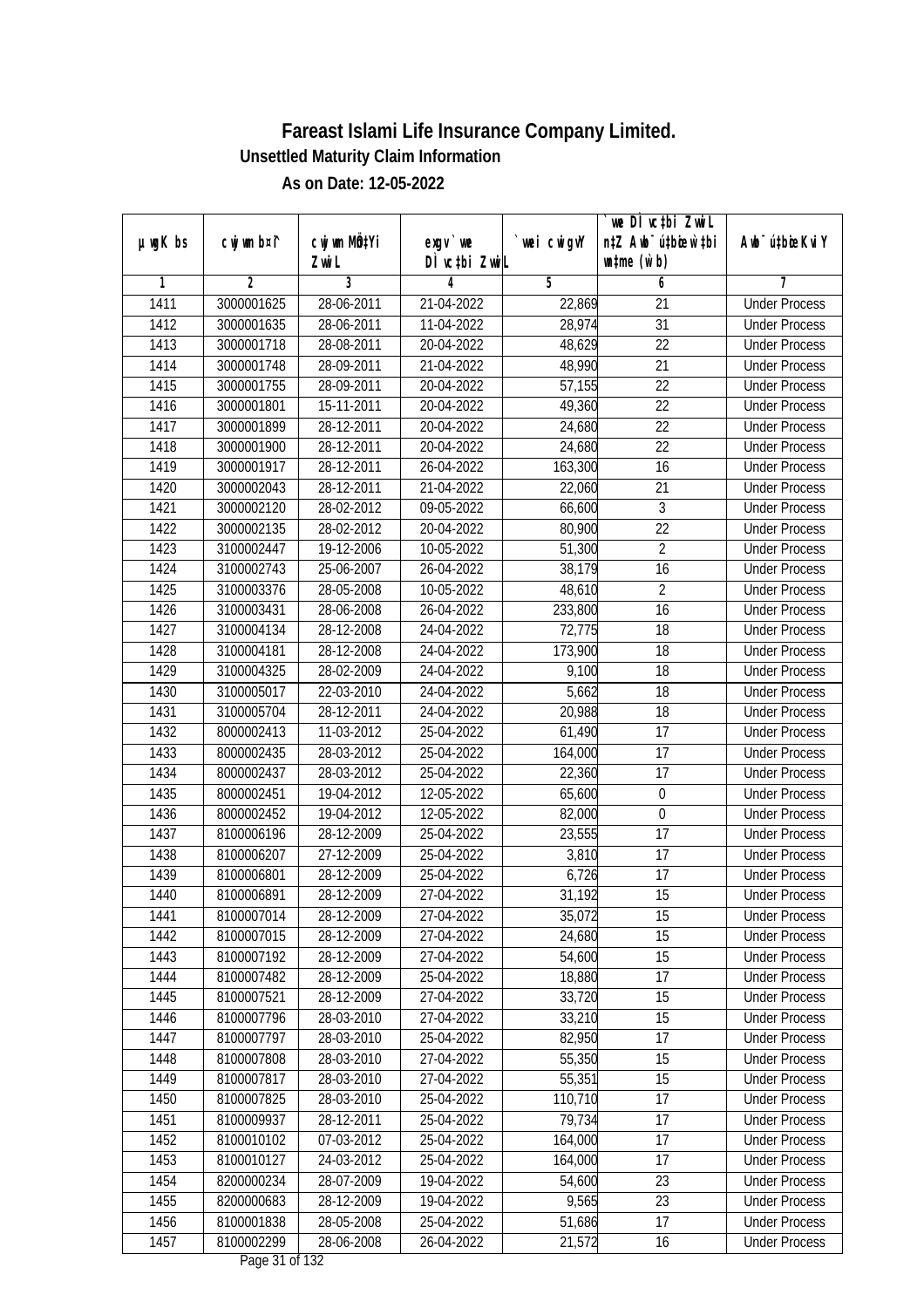|               |                |              |                              |            | we DI vctbi ZwiL                 |                             |
|---------------|----------------|--------------|------------------------------|------------|----------------------------------|-----------------------------|
| $µ$ ug $K$ bs | cwj wm b¤i^    | cwj wm MÖ¢Yi | $exgV$ we                    | wei cwigvY | n‡Z Awb <sup>-</sup> ú‡bicen`‡bi | Awb <sup>-</sup> ú‡bioeKviY |
| 1             | $\overline{2}$ | Zwi L<br>3   | DÌ vctbi ZwiL<br>4           | 5          | $\n  untime\n  (u`b)\n$<br>6     | 7                           |
| 1411          | 3000001625     | 28-06-2011   | 21-04-2022                   | 22,869     | $\overline{21}$                  | <b>Under Process</b>        |
| 1412          | 3000001635     | 28-06-2011   | 11-04-2022                   | 28,974     | $\overline{31}$                  | <b>Under Process</b>        |
| 1413          | 3000001718     | 28-08-2011   | 20-04-2022                   | 48,629     | $\overline{22}$                  | <b>Under Process</b>        |
| 1414          | 3000001748     | 28-09-2011   | 21-04-2022                   | 48,990     | 21                               | <b>Under Process</b>        |
| 1415          | 3000001755     | 28-09-2011   | 20-04-2022                   | 57,155     | $\overline{22}$                  | <b>Under Process</b>        |
| 1416          | 3000001801     | 15-11-2011   | 20-04-2022                   | 49,360     | $\overline{22}$                  | <b>Under Process</b>        |
| 1417          | 3000001899     | 28-12-2011   | 20-04-2022                   | 24,680     | $\overline{22}$                  | <b>Under Process</b>        |
| 1418          | 3000001900     | 28-12-2011   | 20-04-2022                   | 24,680     | $\overline{22}$                  | <b>Under Process</b>        |
| 1419          |                | 28-12-2011   | 26-04-2022                   |            | 16                               |                             |
|               | 3000001917     |              |                              | 163,300    |                                  | <b>Under Process</b>        |
| 1420          | 3000002043     | 28-12-2011   | 21-04-2022                   | 22,060     | 21<br>$\overline{3}$             | <b>Under Process</b>        |
| 1421          | 3000002120     | 28-02-2012   | 09-05-2022                   | 66,600     |                                  | <b>Under Process</b>        |
| 1422          | 3000002135     | 28-02-2012   | 20-04-2022                   | 80,900     | 22                               | <b>Under Process</b>        |
| 1423          | 3100002447     | 19-12-2006   | $10-05-2022$                 | 51,300     | $\overline{2}$                   | <b>Under Process</b>        |
| 1424          | 3100002743     | 25-06-2007   | 26-04-2022                   | 38,179     | 16                               | <b>Under Process</b>        |
| 1425          | 3100003376     | 28-05-2008   | 10-05-2022                   | 48,610     | $\overline{2}$                   | <b>Under Process</b>        |
| 1426          | 3100003431     | 28-06-2008   | 26-04-2022                   | 233,800    | 16                               | <b>Under Process</b>        |
| 1427          | 3100004134     | 28-12-2008   | 24-04-2022                   | 72,775     | 18                               | <b>Under Process</b>        |
| 1428          | 3100004181     | 28-12-2008   | 24-04-2022                   | 173,900    | 18                               | <b>Under Process</b>        |
| 1429          | 3100004325     | 28-02-2009   | 24-04-2022                   | 9,100      | 18                               | <b>Under Process</b>        |
| 1430          | 3100005017     | 22-03-2010   | 24-04-2022                   | 5,662      | 18                               | <b>Under Process</b>        |
| 1431          | 3100005704     | 28-12-2011   | 24-04-2022                   | 20,988     | 18                               | <b>Under Process</b>        |
| 1432          | 8000002413     | 11-03-2012   | 25-04-2022                   | 61,490     | 17                               | <b>Under Process</b>        |
| 1433          | 8000002435     | 28-03-2012   | 25-04-2022                   | 164,000    | 17                               | <b>Under Process</b>        |
| 1434          | 8000002437     | 28-03-2012   | 25-04-2022                   | 22,360     | 17                               | <b>Under Process</b>        |
| 1435          | 8000002451     | 19-04-2012   | 12-05-2022                   | 65,600     | $\boldsymbol{0}$                 | <b>Under Process</b>        |
| 1436          | 8000002452     | 19-04-2012   | 12-05-2022                   | 82,000     | $\mathbf 0$                      | <b>Under Process</b>        |
| 1437          | 8100006196     | 28-12-2009   | 25-04-2022                   | 23,555     | 17                               | <b>Under Process</b>        |
| 1438          | 8100006207     | 27-12-2009   | 25-04-2022                   | 3,810      | 17                               | <b>Under Process</b>        |
| 1439          | 8100006801     | 28-12-2009   | 25-04-2022                   | 6,726      | 17                               | <b>Under Process</b>        |
| 1440          | 8100006891     | 28-12-2009   | 27-04-2022                   | 31,192     | 15                               | <b>Under Process</b>        |
| 1441          | 8100007014     | 28-12-2009   | 27-04-2022                   | 35,072     | 15                               | <b>Under Process</b>        |
| 1442          | 8100007015     | 28-12-2009   | 27-04-2022                   | 24,680     | 15                               | <b>Under Process</b>        |
| 1443          | 8100007192     | 28-12-2009   | 27-04-2022                   | 54,600     | 15                               | <b>Under Process</b>        |
| 1444          | 8100007482     | 28-12-2009   | 25-04-2022                   | 18,880     | 17                               | <b>Under Process</b>        |
| 1445          | 8100007521     | 28-12-2009   | 27-04-2022                   | 33,720     | 15                               | <b>Under Process</b>        |
| 1446          | 8100007796     | 28-03-2010   | 27-04-2022                   | 33,210     | 15                               | <b>Under Process</b>        |
| 1447          | 8100007797     | 28-03-2010   | 25-04-2022                   | 82,950     | 17                               | <b>Under Process</b>        |
| 1448          | 8100007808     | 28-03-2010   | 27-04-2022                   | 55,350     | 15                               | <b>Under Process</b>        |
| 1449          | 8100007817     | 28-03-2010   | 27-04-2022                   | 55,351     | 15                               | <b>Under Process</b>        |
| 1450          | 8100007825     | 28-03-2010   | 25-04-2022                   | 110,710    | 17                               | <b>Under Process</b>        |
| 1451          | 8100009937     | 28-12-2011   | 25-04-2022                   | 79,734     | 17                               | <b>Under Process</b>        |
| 1452          | 8100010102     | 07-03-2012   | 25-04-2022                   | 164,000    | 17                               | <b>Under Process</b>        |
| 1453          | 8100010127     | 24-03-2012   | 25-04-2022                   | 164,000    | 17                               | <b>Under Process</b>        |
| 1454          | 8200000234     | 28-07-2009   | 19-04-2022                   | 54,600     | 23                               | <b>Under Process</b>        |
| 1455          | 8200000683     | 28-12-2009   | 19-04-2022                   | 9,565      | 23                               | <b>Under Process</b>        |
| 1456          | 8100001838     | 28-05-2008   | 25-04-2022                   | 51,686     | 17                               | <b>Under Process</b>        |
| 1457          | 8100002299     | 28-06-2008   | 26-04-2022<br>Dege 21 of 122 | 21,572     | 16                               | <b>Under Process</b>        |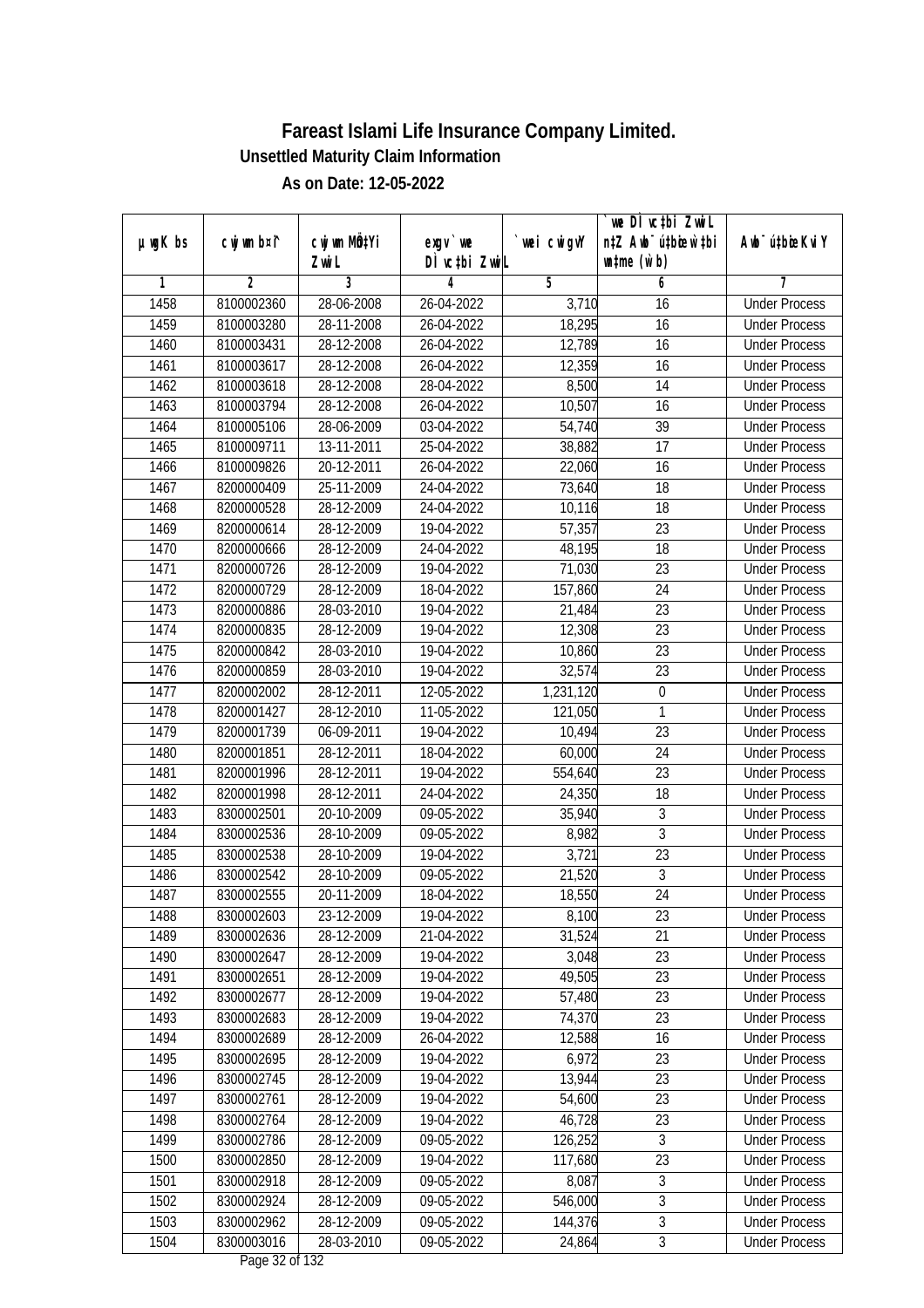| wei cwigvY<br>Awb <sup>-</sup> ú‡bioeKviY<br>DÌ vctbi ZwiL<br>$\n  untime\n  (u`b)\n$<br>Zwi L<br>3<br>$\overline{2}$<br>5<br>6<br>7<br>1<br>4<br>1458<br>8100002360<br>28-06-2008<br>26-04-2022<br>3,710<br><b>Under Process</b><br>16<br>18,295<br>$\overline{16}$<br>1459<br>8100003280<br>28-11-2008<br>26-04-2022<br><b>Under Process</b><br>1460<br>12,789<br>$\overline{16}$<br>8100003431<br>28-12-2008<br>26-04-2022<br><b>Under Process</b><br>1461<br>8100003617<br>28-12-2008<br>26-04-2022<br>12,359<br>16<br><b>Under Process</b><br>1462<br>$\overline{14}$<br>8100003618<br>28-12-2008<br>28-04-2022<br>8,500<br><b>Under Process</b><br>1463<br>10,507<br>$\overline{16}$<br>8100003794<br>28-12-2008<br>26-04-2022<br><b>Under Process</b><br>1464<br>8100005106<br>28-06-2009<br>03-04-2022<br>54,740<br>39<br><b>Under Process</b><br>$\overline{17}$<br>1465<br>8100009711<br>13-11-2011<br>25-04-2022<br>38,882<br><b>Under Process</b><br>1466<br>20-12-2011<br>26-04-2022<br>8100009826<br>22,060<br>16<br><b>Under Process</b><br>1467<br>73,640<br>18<br>8200000409<br>25-11-2009<br>24-04-2022<br><b>Under Process</b><br>1468<br>$\overline{18}$<br>8200000528<br>28-12-2009<br>24-04-2022<br>10,116<br><b>Under Process</b><br>1469<br>28-12-2009<br>19-04-2022<br>57,357<br>23<br>8200000614<br><b>Under Process</b><br>1470<br>$\overline{18}$<br>28-12-2009<br>24-04-2022<br>48,195<br>8200000666<br><b>Under Process</b><br>23<br>1471<br>8200000726<br>28-12-2009<br>19-04-2022<br>71,030<br><b>Under Process</b><br>1472<br>8200000729<br>28-12-2009<br>18-04-2022<br>157,860<br>24<br><b>Under Process</b><br>$\overline{23}$<br>1473<br>8200000886<br>28-03-2010<br>19-04-2022<br>21,484<br><b>Under Process</b><br>23<br>1474<br>8200000835<br>28-12-2009<br>19-04-2022<br>12,308<br><b>Under Process</b><br>23<br>1475<br>28-03-2010<br>10,860<br>8200000842<br>19-04-2022<br><b>Under Process</b><br>1476<br>28-03-2010<br>19-04-2022<br>32,574<br>23<br>8200000859<br><b>Under Process</b><br>1477<br>28-12-2011<br>12-05-2022<br>$\boldsymbol{0}$<br>8200002002<br>1,231,120<br><b>Under Process</b><br>1478<br>121,050<br>1<br>8200001427<br>28-12-2010<br>11-05-2022<br><b>Under Process</b><br>1479<br>10,494<br>23<br>8200001739<br>06-09-2011<br>19-04-2022<br><b>Under Process</b><br>24<br>1480<br>28-12-2011<br>60,000<br>8200001851<br>18-04-2022<br><b>Under Process</b><br>23<br>1481<br>8200001996<br>28-12-2011<br>19-04-2022<br>554,640<br><b>Under Process</b><br>1482<br>28-12-2011<br>18<br>8200001998<br>24-04-2022<br>24,350<br><b>Under Process</b><br>$\sqrt{3}$<br>1483<br>8300002501<br>20-10-2009<br>09-05-2022<br>35,940<br><b>Under Process</b><br>3<br>8,982<br>1484<br>8300002536<br>28-10-2009<br>09-05-2022<br><b>Under Process</b><br>23<br>1485<br>28-10-2009<br>19-04-2022<br>3,721<br>8300002538<br><b>Under Process</b><br>$\overline{3}$<br>1486<br>8300002542<br>28-10-2009<br>09-05-2022<br>21,520<br><b>Under Process</b><br>1487<br>24<br>8300002555<br>20-11-2009<br>18-04-2022<br>18,550<br><b>Under Process</b><br>1488<br>8300002603<br>23-12-2009<br>19-04-2022<br>8,100<br>23<br><b>Under Process</b><br>1489<br>28-12-2009<br>31,524<br>21<br>8300002636<br>21-04-2022<br><b>Under Process</b><br>23<br>1490<br>8300002647<br>28-12-2009<br>19-04-2022<br>3,048<br><b>Under Process</b><br>49,505<br>23<br>1491<br>8300002651<br>28-12-2009<br>19-04-2022<br><b>Under Process</b><br>1492<br>8300002677<br>28-12-2009<br>19-04-2022<br>57,480<br>23<br><b>Under Process</b><br>1493<br>74,370<br>8300002683<br>28-12-2009<br>19-04-2022<br>23<br><b>Under Process</b><br>1494<br>8300002689<br>16<br>28-12-2009<br>26-04-2022<br>12,588<br><b>Under Process</b><br>6,972<br>23<br>1495<br>28-12-2009<br>8300002695<br>19-04-2022<br><b>Under Process</b><br>13,944<br>23<br>1496<br>8300002745<br>28-12-2009<br>19-04-2022<br><b>Under Process</b><br>1497<br>23<br>8300002761<br>28-12-2009<br>19-04-2022<br>54,600<br><b>Under Process</b><br>1498<br>8300002764<br>28-12-2009<br>19-04-2022<br>46,728<br>23<br><b>Under Process</b><br>$\overline{3}$<br>1499<br>8300002786<br>28-12-2009<br>09-05-2022<br>126,252<br><b>Under Process</b><br>$\overline{23}$<br>1500<br>8300002850<br>28-12-2009<br>19-04-2022<br>117,680<br><b>Under Process</b><br>$\sqrt{3}$<br>8,087<br>1501<br>8300002918<br>28-12-2009<br>09-05-2022<br><b>Under Process</b><br>$\overline{3}$<br>1502<br>8300002924<br>28-12-2009<br>09-05-2022<br>546,000<br><b>Under Process</b><br>$\overline{3}$<br>1503<br>8300002962<br>28-12-2009<br>144, 376<br>09-05-2022<br><b>Under Process</b><br>$\overline{3}$<br>1504<br>8300003016<br>09-05-2022<br>24,864<br>28-03-2010<br><b>Under Process</b> |               |             |              |           | we DI vctbi Zwil                 |  |
|----------------------------------------------------------------------------------------------------------------------------------------------------------------------------------------------------------------------------------------------------------------------------------------------------------------------------------------------------------------------------------------------------------------------------------------------------------------------------------------------------------------------------------------------------------------------------------------------------------------------------------------------------------------------------------------------------------------------------------------------------------------------------------------------------------------------------------------------------------------------------------------------------------------------------------------------------------------------------------------------------------------------------------------------------------------------------------------------------------------------------------------------------------------------------------------------------------------------------------------------------------------------------------------------------------------------------------------------------------------------------------------------------------------------------------------------------------------------------------------------------------------------------------------------------------------------------------------------------------------------------------------------------------------------------------------------------------------------------------------------------------------------------------------------------------------------------------------------------------------------------------------------------------------------------------------------------------------------------------------------------------------------------------------------------------------------------------------------------------------------------------------------------------------------------------------------------------------------------------------------------------------------------------------------------------------------------------------------------------------------------------------------------------------------------------------------------------------------------------------------------------------------------------------------------------------------------------------------------------------------------------------------------------------------------------------------------------------------------------------------------------------------------------------------------------------------------------------------------------------------------------------------------------------------------------------------------------------------------------------------------------------------------------------------------------------------------------------------------------------------------------------------------------------------------------------------------------------------------------------------------------------------------------------------------------------------------------------------------------------------------------------------------------------------------------------------------------------------------------------------------------------------------------------------------------------------------------------------------------------------------------------------------------------------------------------------------------------------------------------------------------------------------------------------------------------------------------------------------------------------------------------------------------------------------------------------------------------------------------------------------------------------------------------------------------------------------------------------------------------------------------------------------------------------------------------------------------------------------------------------------------------------------------------------------------------------------------------------------------------------------------------------------------------------------------------------------------------------------------------------------------------------------------------------------------------------------------------------------------------------------------------------------------------------------------------------------------------------------------------------------------------------|---------------|-------------|--------------|-----------|----------------------------------|--|
|                                                                                                                                                                                                                                                                                                                                                                                                                                                                                                                                                                                                                                                                                                                                                                                                                                                                                                                                                                                                                                                                                                                                                                                                                                                                                                                                                                                                                                                                                                                                                                                                                                                                                                                                                                                                                                                                                                                                                                                                                                                                                                                                                                                                                                                                                                                                                                                                                                                                                                                                                                                                                                                                                                                                                                                                                                                                                                                                                                                                                                                                                                                                                                                                                                                                                                                                                                                                                                                                                                                                                                                                                                                                                                                                                                                                                                                                                                                                                                                                                                                                                                                                                                                                                                                                                                                                                                                                                                                                                                                                                                                                                                                                                                                                                                      | $µ$ ug $K$ bs | cwj wm b¤i^ | cwj wm MQtYi | $exgv$ we | n‡Z Awb <sup>-</sup> ú‡bioen`‡bi |  |
|                                                                                                                                                                                                                                                                                                                                                                                                                                                                                                                                                                                                                                                                                                                                                                                                                                                                                                                                                                                                                                                                                                                                                                                                                                                                                                                                                                                                                                                                                                                                                                                                                                                                                                                                                                                                                                                                                                                                                                                                                                                                                                                                                                                                                                                                                                                                                                                                                                                                                                                                                                                                                                                                                                                                                                                                                                                                                                                                                                                                                                                                                                                                                                                                                                                                                                                                                                                                                                                                                                                                                                                                                                                                                                                                                                                                                                                                                                                                                                                                                                                                                                                                                                                                                                                                                                                                                                                                                                                                                                                                                                                                                                                                                                                                                                      |               |             |              |           |                                  |  |
|                                                                                                                                                                                                                                                                                                                                                                                                                                                                                                                                                                                                                                                                                                                                                                                                                                                                                                                                                                                                                                                                                                                                                                                                                                                                                                                                                                                                                                                                                                                                                                                                                                                                                                                                                                                                                                                                                                                                                                                                                                                                                                                                                                                                                                                                                                                                                                                                                                                                                                                                                                                                                                                                                                                                                                                                                                                                                                                                                                                                                                                                                                                                                                                                                                                                                                                                                                                                                                                                                                                                                                                                                                                                                                                                                                                                                                                                                                                                                                                                                                                                                                                                                                                                                                                                                                                                                                                                                                                                                                                                                                                                                                                                                                                                                                      |               |             |              |           |                                  |  |
|                                                                                                                                                                                                                                                                                                                                                                                                                                                                                                                                                                                                                                                                                                                                                                                                                                                                                                                                                                                                                                                                                                                                                                                                                                                                                                                                                                                                                                                                                                                                                                                                                                                                                                                                                                                                                                                                                                                                                                                                                                                                                                                                                                                                                                                                                                                                                                                                                                                                                                                                                                                                                                                                                                                                                                                                                                                                                                                                                                                                                                                                                                                                                                                                                                                                                                                                                                                                                                                                                                                                                                                                                                                                                                                                                                                                                                                                                                                                                                                                                                                                                                                                                                                                                                                                                                                                                                                                                                                                                                                                                                                                                                                                                                                                                                      |               |             |              |           |                                  |  |
|                                                                                                                                                                                                                                                                                                                                                                                                                                                                                                                                                                                                                                                                                                                                                                                                                                                                                                                                                                                                                                                                                                                                                                                                                                                                                                                                                                                                                                                                                                                                                                                                                                                                                                                                                                                                                                                                                                                                                                                                                                                                                                                                                                                                                                                                                                                                                                                                                                                                                                                                                                                                                                                                                                                                                                                                                                                                                                                                                                                                                                                                                                                                                                                                                                                                                                                                                                                                                                                                                                                                                                                                                                                                                                                                                                                                                                                                                                                                                                                                                                                                                                                                                                                                                                                                                                                                                                                                                                                                                                                                                                                                                                                                                                                                                                      |               |             |              |           |                                  |  |
|                                                                                                                                                                                                                                                                                                                                                                                                                                                                                                                                                                                                                                                                                                                                                                                                                                                                                                                                                                                                                                                                                                                                                                                                                                                                                                                                                                                                                                                                                                                                                                                                                                                                                                                                                                                                                                                                                                                                                                                                                                                                                                                                                                                                                                                                                                                                                                                                                                                                                                                                                                                                                                                                                                                                                                                                                                                                                                                                                                                                                                                                                                                                                                                                                                                                                                                                                                                                                                                                                                                                                                                                                                                                                                                                                                                                                                                                                                                                                                                                                                                                                                                                                                                                                                                                                                                                                                                                                                                                                                                                                                                                                                                                                                                                                                      |               |             |              |           |                                  |  |
|                                                                                                                                                                                                                                                                                                                                                                                                                                                                                                                                                                                                                                                                                                                                                                                                                                                                                                                                                                                                                                                                                                                                                                                                                                                                                                                                                                                                                                                                                                                                                                                                                                                                                                                                                                                                                                                                                                                                                                                                                                                                                                                                                                                                                                                                                                                                                                                                                                                                                                                                                                                                                                                                                                                                                                                                                                                                                                                                                                                                                                                                                                                                                                                                                                                                                                                                                                                                                                                                                                                                                                                                                                                                                                                                                                                                                                                                                                                                                                                                                                                                                                                                                                                                                                                                                                                                                                                                                                                                                                                                                                                                                                                                                                                                                                      |               |             |              |           |                                  |  |
|                                                                                                                                                                                                                                                                                                                                                                                                                                                                                                                                                                                                                                                                                                                                                                                                                                                                                                                                                                                                                                                                                                                                                                                                                                                                                                                                                                                                                                                                                                                                                                                                                                                                                                                                                                                                                                                                                                                                                                                                                                                                                                                                                                                                                                                                                                                                                                                                                                                                                                                                                                                                                                                                                                                                                                                                                                                                                                                                                                                                                                                                                                                                                                                                                                                                                                                                                                                                                                                                                                                                                                                                                                                                                                                                                                                                                                                                                                                                                                                                                                                                                                                                                                                                                                                                                                                                                                                                                                                                                                                                                                                                                                                                                                                                                                      |               |             |              |           |                                  |  |
|                                                                                                                                                                                                                                                                                                                                                                                                                                                                                                                                                                                                                                                                                                                                                                                                                                                                                                                                                                                                                                                                                                                                                                                                                                                                                                                                                                                                                                                                                                                                                                                                                                                                                                                                                                                                                                                                                                                                                                                                                                                                                                                                                                                                                                                                                                                                                                                                                                                                                                                                                                                                                                                                                                                                                                                                                                                                                                                                                                                                                                                                                                                                                                                                                                                                                                                                                                                                                                                                                                                                                                                                                                                                                                                                                                                                                                                                                                                                                                                                                                                                                                                                                                                                                                                                                                                                                                                                                                                                                                                                                                                                                                                                                                                                                                      |               |             |              |           |                                  |  |
|                                                                                                                                                                                                                                                                                                                                                                                                                                                                                                                                                                                                                                                                                                                                                                                                                                                                                                                                                                                                                                                                                                                                                                                                                                                                                                                                                                                                                                                                                                                                                                                                                                                                                                                                                                                                                                                                                                                                                                                                                                                                                                                                                                                                                                                                                                                                                                                                                                                                                                                                                                                                                                                                                                                                                                                                                                                                                                                                                                                                                                                                                                                                                                                                                                                                                                                                                                                                                                                                                                                                                                                                                                                                                                                                                                                                                                                                                                                                                                                                                                                                                                                                                                                                                                                                                                                                                                                                                                                                                                                                                                                                                                                                                                                                                                      |               |             |              |           |                                  |  |
|                                                                                                                                                                                                                                                                                                                                                                                                                                                                                                                                                                                                                                                                                                                                                                                                                                                                                                                                                                                                                                                                                                                                                                                                                                                                                                                                                                                                                                                                                                                                                                                                                                                                                                                                                                                                                                                                                                                                                                                                                                                                                                                                                                                                                                                                                                                                                                                                                                                                                                                                                                                                                                                                                                                                                                                                                                                                                                                                                                                                                                                                                                                                                                                                                                                                                                                                                                                                                                                                                                                                                                                                                                                                                                                                                                                                                                                                                                                                                                                                                                                                                                                                                                                                                                                                                                                                                                                                                                                                                                                                                                                                                                                                                                                                                                      |               |             |              |           |                                  |  |
|                                                                                                                                                                                                                                                                                                                                                                                                                                                                                                                                                                                                                                                                                                                                                                                                                                                                                                                                                                                                                                                                                                                                                                                                                                                                                                                                                                                                                                                                                                                                                                                                                                                                                                                                                                                                                                                                                                                                                                                                                                                                                                                                                                                                                                                                                                                                                                                                                                                                                                                                                                                                                                                                                                                                                                                                                                                                                                                                                                                                                                                                                                                                                                                                                                                                                                                                                                                                                                                                                                                                                                                                                                                                                                                                                                                                                                                                                                                                                                                                                                                                                                                                                                                                                                                                                                                                                                                                                                                                                                                                                                                                                                                                                                                                                                      |               |             |              |           |                                  |  |
|                                                                                                                                                                                                                                                                                                                                                                                                                                                                                                                                                                                                                                                                                                                                                                                                                                                                                                                                                                                                                                                                                                                                                                                                                                                                                                                                                                                                                                                                                                                                                                                                                                                                                                                                                                                                                                                                                                                                                                                                                                                                                                                                                                                                                                                                                                                                                                                                                                                                                                                                                                                                                                                                                                                                                                                                                                                                                                                                                                                                                                                                                                                                                                                                                                                                                                                                                                                                                                                                                                                                                                                                                                                                                                                                                                                                                                                                                                                                                                                                                                                                                                                                                                                                                                                                                                                                                                                                                                                                                                                                                                                                                                                                                                                                                                      |               |             |              |           |                                  |  |
|                                                                                                                                                                                                                                                                                                                                                                                                                                                                                                                                                                                                                                                                                                                                                                                                                                                                                                                                                                                                                                                                                                                                                                                                                                                                                                                                                                                                                                                                                                                                                                                                                                                                                                                                                                                                                                                                                                                                                                                                                                                                                                                                                                                                                                                                                                                                                                                                                                                                                                                                                                                                                                                                                                                                                                                                                                                                                                                                                                                                                                                                                                                                                                                                                                                                                                                                                                                                                                                                                                                                                                                                                                                                                                                                                                                                                                                                                                                                                                                                                                                                                                                                                                                                                                                                                                                                                                                                                                                                                                                                                                                                                                                                                                                                                                      |               |             |              |           |                                  |  |
|                                                                                                                                                                                                                                                                                                                                                                                                                                                                                                                                                                                                                                                                                                                                                                                                                                                                                                                                                                                                                                                                                                                                                                                                                                                                                                                                                                                                                                                                                                                                                                                                                                                                                                                                                                                                                                                                                                                                                                                                                                                                                                                                                                                                                                                                                                                                                                                                                                                                                                                                                                                                                                                                                                                                                                                                                                                                                                                                                                                                                                                                                                                                                                                                                                                                                                                                                                                                                                                                                                                                                                                                                                                                                                                                                                                                                                                                                                                                                                                                                                                                                                                                                                                                                                                                                                                                                                                                                                                                                                                                                                                                                                                                                                                                                                      |               |             |              |           |                                  |  |
|                                                                                                                                                                                                                                                                                                                                                                                                                                                                                                                                                                                                                                                                                                                                                                                                                                                                                                                                                                                                                                                                                                                                                                                                                                                                                                                                                                                                                                                                                                                                                                                                                                                                                                                                                                                                                                                                                                                                                                                                                                                                                                                                                                                                                                                                                                                                                                                                                                                                                                                                                                                                                                                                                                                                                                                                                                                                                                                                                                                                                                                                                                                                                                                                                                                                                                                                                                                                                                                                                                                                                                                                                                                                                                                                                                                                                                                                                                                                                                                                                                                                                                                                                                                                                                                                                                                                                                                                                                                                                                                                                                                                                                                                                                                                                                      |               |             |              |           |                                  |  |
|                                                                                                                                                                                                                                                                                                                                                                                                                                                                                                                                                                                                                                                                                                                                                                                                                                                                                                                                                                                                                                                                                                                                                                                                                                                                                                                                                                                                                                                                                                                                                                                                                                                                                                                                                                                                                                                                                                                                                                                                                                                                                                                                                                                                                                                                                                                                                                                                                                                                                                                                                                                                                                                                                                                                                                                                                                                                                                                                                                                                                                                                                                                                                                                                                                                                                                                                                                                                                                                                                                                                                                                                                                                                                                                                                                                                                                                                                                                                                                                                                                                                                                                                                                                                                                                                                                                                                                                                                                                                                                                                                                                                                                                                                                                                                                      |               |             |              |           |                                  |  |
|                                                                                                                                                                                                                                                                                                                                                                                                                                                                                                                                                                                                                                                                                                                                                                                                                                                                                                                                                                                                                                                                                                                                                                                                                                                                                                                                                                                                                                                                                                                                                                                                                                                                                                                                                                                                                                                                                                                                                                                                                                                                                                                                                                                                                                                                                                                                                                                                                                                                                                                                                                                                                                                                                                                                                                                                                                                                                                                                                                                                                                                                                                                                                                                                                                                                                                                                                                                                                                                                                                                                                                                                                                                                                                                                                                                                                                                                                                                                                                                                                                                                                                                                                                                                                                                                                                                                                                                                                                                                                                                                                                                                                                                                                                                                                                      |               |             |              |           |                                  |  |
|                                                                                                                                                                                                                                                                                                                                                                                                                                                                                                                                                                                                                                                                                                                                                                                                                                                                                                                                                                                                                                                                                                                                                                                                                                                                                                                                                                                                                                                                                                                                                                                                                                                                                                                                                                                                                                                                                                                                                                                                                                                                                                                                                                                                                                                                                                                                                                                                                                                                                                                                                                                                                                                                                                                                                                                                                                                                                                                                                                                                                                                                                                                                                                                                                                                                                                                                                                                                                                                                                                                                                                                                                                                                                                                                                                                                                                                                                                                                                                                                                                                                                                                                                                                                                                                                                                                                                                                                                                                                                                                                                                                                                                                                                                                                                                      |               |             |              |           |                                  |  |
|                                                                                                                                                                                                                                                                                                                                                                                                                                                                                                                                                                                                                                                                                                                                                                                                                                                                                                                                                                                                                                                                                                                                                                                                                                                                                                                                                                                                                                                                                                                                                                                                                                                                                                                                                                                                                                                                                                                                                                                                                                                                                                                                                                                                                                                                                                                                                                                                                                                                                                                                                                                                                                                                                                                                                                                                                                                                                                                                                                                                                                                                                                                                                                                                                                                                                                                                                                                                                                                                                                                                                                                                                                                                                                                                                                                                                                                                                                                                                                                                                                                                                                                                                                                                                                                                                                                                                                                                                                                                                                                                                                                                                                                                                                                                                                      |               |             |              |           |                                  |  |
|                                                                                                                                                                                                                                                                                                                                                                                                                                                                                                                                                                                                                                                                                                                                                                                                                                                                                                                                                                                                                                                                                                                                                                                                                                                                                                                                                                                                                                                                                                                                                                                                                                                                                                                                                                                                                                                                                                                                                                                                                                                                                                                                                                                                                                                                                                                                                                                                                                                                                                                                                                                                                                                                                                                                                                                                                                                                                                                                                                                                                                                                                                                                                                                                                                                                                                                                                                                                                                                                                                                                                                                                                                                                                                                                                                                                                                                                                                                                                                                                                                                                                                                                                                                                                                                                                                                                                                                                                                                                                                                                                                                                                                                                                                                                                                      |               |             |              |           |                                  |  |
|                                                                                                                                                                                                                                                                                                                                                                                                                                                                                                                                                                                                                                                                                                                                                                                                                                                                                                                                                                                                                                                                                                                                                                                                                                                                                                                                                                                                                                                                                                                                                                                                                                                                                                                                                                                                                                                                                                                                                                                                                                                                                                                                                                                                                                                                                                                                                                                                                                                                                                                                                                                                                                                                                                                                                                                                                                                                                                                                                                                                                                                                                                                                                                                                                                                                                                                                                                                                                                                                                                                                                                                                                                                                                                                                                                                                                                                                                                                                                                                                                                                                                                                                                                                                                                                                                                                                                                                                                                                                                                                                                                                                                                                                                                                                                                      |               |             |              |           |                                  |  |
|                                                                                                                                                                                                                                                                                                                                                                                                                                                                                                                                                                                                                                                                                                                                                                                                                                                                                                                                                                                                                                                                                                                                                                                                                                                                                                                                                                                                                                                                                                                                                                                                                                                                                                                                                                                                                                                                                                                                                                                                                                                                                                                                                                                                                                                                                                                                                                                                                                                                                                                                                                                                                                                                                                                                                                                                                                                                                                                                                                                                                                                                                                                                                                                                                                                                                                                                                                                                                                                                                                                                                                                                                                                                                                                                                                                                                                                                                                                                                                                                                                                                                                                                                                                                                                                                                                                                                                                                                                                                                                                                                                                                                                                                                                                                                                      |               |             |              |           |                                  |  |
|                                                                                                                                                                                                                                                                                                                                                                                                                                                                                                                                                                                                                                                                                                                                                                                                                                                                                                                                                                                                                                                                                                                                                                                                                                                                                                                                                                                                                                                                                                                                                                                                                                                                                                                                                                                                                                                                                                                                                                                                                                                                                                                                                                                                                                                                                                                                                                                                                                                                                                                                                                                                                                                                                                                                                                                                                                                                                                                                                                                                                                                                                                                                                                                                                                                                                                                                                                                                                                                                                                                                                                                                                                                                                                                                                                                                                                                                                                                                                                                                                                                                                                                                                                                                                                                                                                                                                                                                                                                                                                                                                                                                                                                                                                                                                                      |               |             |              |           |                                  |  |
|                                                                                                                                                                                                                                                                                                                                                                                                                                                                                                                                                                                                                                                                                                                                                                                                                                                                                                                                                                                                                                                                                                                                                                                                                                                                                                                                                                                                                                                                                                                                                                                                                                                                                                                                                                                                                                                                                                                                                                                                                                                                                                                                                                                                                                                                                                                                                                                                                                                                                                                                                                                                                                                                                                                                                                                                                                                                                                                                                                                                                                                                                                                                                                                                                                                                                                                                                                                                                                                                                                                                                                                                                                                                                                                                                                                                                                                                                                                                                                                                                                                                                                                                                                                                                                                                                                                                                                                                                                                                                                                                                                                                                                                                                                                                                                      |               |             |              |           |                                  |  |
|                                                                                                                                                                                                                                                                                                                                                                                                                                                                                                                                                                                                                                                                                                                                                                                                                                                                                                                                                                                                                                                                                                                                                                                                                                                                                                                                                                                                                                                                                                                                                                                                                                                                                                                                                                                                                                                                                                                                                                                                                                                                                                                                                                                                                                                                                                                                                                                                                                                                                                                                                                                                                                                                                                                                                                                                                                                                                                                                                                                                                                                                                                                                                                                                                                                                                                                                                                                                                                                                                                                                                                                                                                                                                                                                                                                                                                                                                                                                                                                                                                                                                                                                                                                                                                                                                                                                                                                                                                                                                                                                                                                                                                                                                                                                                                      |               |             |              |           |                                  |  |
|                                                                                                                                                                                                                                                                                                                                                                                                                                                                                                                                                                                                                                                                                                                                                                                                                                                                                                                                                                                                                                                                                                                                                                                                                                                                                                                                                                                                                                                                                                                                                                                                                                                                                                                                                                                                                                                                                                                                                                                                                                                                                                                                                                                                                                                                                                                                                                                                                                                                                                                                                                                                                                                                                                                                                                                                                                                                                                                                                                                                                                                                                                                                                                                                                                                                                                                                                                                                                                                                                                                                                                                                                                                                                                                                                                                                                                                                                                                                                                                                                                                                                                                                                                                                                                                                                                                                                                                                                                                                                                                                                                                                                                                                                                                                                                      |               |             |              |           |                                  |  |
|                                                                                                                                                                                                                                                                                                                                                                                                                                                                                                                                                                                                                                                                                                                                                                                                                                                                                                                                                                                                                                                                                                                                                                                                                                                                                                                                                                                                                                                                                                                                                                                                                                                                                                                                                                                                                                                                                                                                                                                                                                                                                                                                                                                                                                                                                                                                                                                                                                                                                                                                                                                                                                                                                                                                                                                                                                                                                                                                                                                                                                                                                                                                                                                                                                                                                                                                                                                                                                                                                                                                                                                                                                                                                                                                                                                                                                                                                                                                                                                                                                                                                                                                                                                                                                                                                                                                                                                                                                                                                                                                                                                                                                                                                                                                                                      |               |             |              |           |                                  |  |
|                                                                                                                                                                                                                                                                                                                                                                                                                                                                                                                                                                                                                                                                                                                                                                                                                                                                                                                                                                                                                                                                                                                                                                                                                                                                                                                                                                                                                                                                                                                                                                                                                                                                                                                                                                                                                                                                                                                                                                                                                                                                                                                                                                                                                                                                                                                                                                                                                                                                                                                                                                                                                                                                                                                                                                                                                                                                                                                                                                                                                                                                                                                                                                                                                                                                                                                                                                                                                                                                                                                                                                                                                                                                                                                                                                                                                                                                                                                                                                                                                                                                                                                                                                                                                                                                                                                                                                                                                                                                                                                                                                                                                                                                                                                                                                      |               |             |              |           |                                  |  |
|                                                                                                                                                                                                                                                                                                                                                                                                                                                                                                                                                                                                                                                                                                                                                                                                                                                                                                                                                                                                                                                                                                                                                                                                                                                                                                                                                                                                                                                                                                                                                                                                                                                                                                                                                                                                                                                                                                                                                                                                                                                                                                                                                                                                                                                                                                                                                                                                                                                                                                                                                                                                                                                                                                                                                                                                                                                                                                                                                                                                                                                                                                                                                                                                                                                                                                                                                                                                                                                                                                                                                                                                                                                                                                                                                                                                                                                                                                                                                                                                                                                                                                                                                                                                                                                                                                                                                                                                                                                                                                                                                                                                                                                                                                                                                                      |               |             |              |           |                                  |  |
|                                                                                                                                                                                                                                                                                                                                                                                                                                                                                                                                                                                                                                                                                                                                                                                                                                                                                                                                                                                                                                                                                                                                                                                                                                                                                                                                                                                                                                                                                                                                                                                                                                                                                                                                                                                                                                                                                                                                                                                                                                                                                                                                                                                                                                                                                                                                                                                                                                                                                                                                                                                                                                                                                                                                                                                                                                                                                                                                                                                                                                                                                                                                                                                                                                                                                                                                                                                                                                                                                                                                                                                                                                                                                                                                                                                                                                                                                                                                                                                                                                                                                                                                                                                                                                                                                                                                                                                                                                                                                                                                                                                                                                                                                                                                                                      |               |             |              |           |                                  |  |
|                                                                                                                                                                                                                                                                                                                                                                                                                                                                                                                                                                                                                                                                                                                                                                                                                                                                                                                                                                                                                                                                                                                                                                                                                                                                                                                                                                                                                                                                                                                                                                                                                                                                                                                                                                                                                                                                                                                                                                                                                                                                                                                                                                                                                                                                                                                                                                                                                                                                                                                                                                                                                                                                                                                                                                                                                                                                                                                                                                                                                                                                                                                                                                                                                                                                                                                                                                                                                                                                                                                                                                                                                                                                                                                                                                                                                                                                                                                                                                                                                                                                                                                                                                                                                                                                                                                                                                                                                                                                                                                                                                                                                                                                                                                                                                      |               |             |              |           |                                  |  |
|                                                                                                                                                                                                                                                                                                                                                                                                                                                                                                                                                                                                                                                                                                                                                                                                                                                                                                                                                                                                                                                                                                                                                                                                                                                                                                                                                                                                                                                                                                                                                                                                                                                                                                                                                                                                                                                                                                                                                                                                                                                                                                                                                                                                                                                                                                                                                                                                                                                                                                                                                                                                                                                                                                                                                                                                                                                                                                                                                                                                                                                                                                                                                                                                                                                                                                                                                                                                                                                                                                                                                                                                                                                                                                                                                                                                                                                                                                                                                                                                                                                                                                                                                                                                                                                                                                                                                                                                                                                                                                                                                                                                                                                                                                                                                                      |               |             |              |           |                                  |  |
|                                                                                                                                                                                                                                                                                                                                                                                                                                                                                                                                                                                                                                                                                                                                                                                                                                                                                                                                                                                                                                                                                                                                                                                                                                                                                                                                                                                                                                                                                                                                                                                                                                                                                                                                                                                                                                                                                                                                                                                                                                                                                                                                                                                                                                                                                                                                                                                                                                                                                                                                                                                                                                                                                                                                                                                                                                                                                                                                                                                                                                                                                                                                                                                                                                                                                                                                                                                                                                                                                                                                                                                                                                                                                                                                                                                                                                                                                                                                                                                                                                                                                                                                                                                                                                                                                                                                                                                                                                                                                                                                                                                                                                                                                                                                                                      |               |             |              |           |                                  |  |
|                                                                                                                                                                                                                                                                                                                                                                                                                                                                                                                                                                                                                                                                                                                                                                                                                                                                                                                                                                                                                                                                                                                                                                                                                                                                                                                                                                                                                                                                                                                                                                                                                                                                                                                                                                                                                                                                                                                                                                                                                                                                                                                                                                                                                                                                                                                                                                                                                                                                                                                                                                                                                                                                                                                                                                                                                                                                                                                                                                                                                                                                                                                                                                                                                                                                                                                                                                                                                                                                                                                                                                                                                                                                                                                                                                                                                                                                                                                                                                                                                                                                                                                                                                                                                                                                                                                                                                                                                                                                                                                                                                                                                                                                                                                                                                      |               |             |              |           |                                  |  |
|                                                                                                                                                                                                                                                                                                                                                                                                                                                                                                                                                                                                                                                                                                                                                                                                                                                                                                                                                                                                                                                                                                                                                                                                                                                                                                                                                                                                                                                                                                                                                                                                                                                                                                                                                                                                                                                                                                                                                                                                                                                                                                                                                                                                                                                                                                                                                                                                                                                                                                                                                                                                                                                                                                                                                                                                                                                                                                                                                                                                                                                                                                                                                                                                                                                                                                                                                                                                                                                                                                                                                                                                                                                                                                                                                                                                                                                                                                                                                                                                                                                                                                                                                                                                                                                                                                                                                                                                                                                                                                                                                                                                                                                                                                                                                                      |               |             |              |           |                                  |  |
|                                                                                                                                                                                                                                                                                                                                                                                                                                                                                                                                                                                                                                                                                                                                                                                                                                                                                                                                                                                                                                                                                                                                                                                                                                                                                                                                                                                                                                                                                                                                                                                                                                                                                                                                                                                                                                                                                                                                                                                                                                                                                                                                                                                                                                                                                                                                                                                                                                                                                                                                                                                                                                                                                                                                                                                                                                                                                                                                                                                                                                                                                                                                                                                                                                                                                                                                                                                                                                                                                                                                                                                                                                                                                                                                                                                                                                                                                                                                                                                                                                                                                                                                                                                                                                                                                                                                                                                                                                                                                                                                                                                                                                                                                                                                                                      |               |             |              |           |                                  |  |
|                                                                                                                                                                                                                                                                                                                                                                                                                                                                                                                                                                                                                                                                                                                                                                                                                                                                                                                                                                                                                                                                                                                                                                                                                                                                                                                                                                                                                                                                                                                                                                                                                                                                                                                                                                                                                                                                                                                                                                                                                                                                                                                                                                                                                                                                                                                                                                                                                                                                                                                                                                                                                                                                                                                                                                                                                                                                                                                                                                                                                                                                                                                                                                                                                                                                                                                                                                                                                                                                                                                                                                                                                                                                                                                                                                                                                                                                                                                                                                                                                                                                                                                                                                                                                                                                                                                                                                                                                                                                                                                                                                                                                                                                                                                                                                      |               |             |              |           |                                  |  |
|                                                                                                                                                                                                                                                                                                                                                                                                                                                                                                                                                                                                                                                                                                                                                                                                                                                                                                                                                                                                                                                                                                                                                                                                                                                                                                                                                                                                                                                                                                                                                                                                                                                                                                                                                                                                                                                                                                                                                                                                                                                                                                                                                                                                                                                                                                                                                                                                                                                                                                                                                                                                                                                                                                                                                                                                                                                                                                                                                                                                                                                                                                                                                                                                                                                                                                                                                                                                                                                                                                                                                                                                                                                                                                                                                                                                                                                                                                                                                                                                                                                                                                                                                                                                                                                                                                                                                                                                                                                                                                                                                                                                                                                                                                                                                                      |               |             |              |           |                                  |  |
|                                                                                                                                                                                                                                                                                                                                                                                                                                                                                                                                                                                                                                                                                                                                                                                                                                                                                                                                                                                                                                                                                                                                                                                                                                                                                                                                                                                                                                                                                                                                                                                                                                                                                                                                                                                                                                                                                                                                                                                                                                                                                                                                                                                                                                                                                                                                                                                                                                                                                                                                                                                                                                                                                                                                                                                                                                                                                                                                                                                                                                                                                                                                                                                                                                                                                                                                                                                                                                                                                                                                                                                                                                                                                                                                                                                                                                                                                                                                                                                                                                                                                                                                                                                                                                                                                                                                                                                                                                                                                                                                                                                                                                                                                                                                                                      |               |             |              |           |                                  |  |
|                                                                                                                                                                                                                                                                                                                                                                                                                                                                                                                                                                                                                                                                                                                                                                                                                                                                                                                                                                                                                                                                                                                                                                                                                                                                                                                                                                                                                                                                                                                                                                                                                                                                                                                                                                                                                                                                                                                                                                                                                                                                                                                                                                                                                                                                                                                                                                                                                                                                                                                                                                                                                                                                                                                                                                                                                                                                                                                                                                                                                                                                                                                                                                                                                                                                                                                                                                                                                                                                                                                                                                                                                                                                                                                                                                                                                                                                                                                                                                                                                                                                                                                                                                                                                                                                                                                                                                                                                                                                                                                                                                                                                                                                                                                                                                      |               |             |              |           |                                  |  |
|                                                                                                                                                                                                                                                                                                                                                                                                                                                                                                                                                                                                                                                                                                                                                                                                                                                                                                                                                                                                                                                                                                                                                                                                                                                                                                                                                                                                                                                                                                                                                                                                                                                                                                                                                                                                                                                                                                                                                                                                                                                                                                                                                                                                                                                                                                                                                                                                                                                                                                                                                                                                                                                                                                                                                                                                                                                                                                                                                                                                                                                                                                                                                                                                                                                                                                                                                                                                                                                                                                                                                                                                                                                                                                                                                                                                                                                                                                                                                                                                                                                                                                                                                                                                                                                                                                                                                                                                                                                                                                                                                                                                                                                                                                                                                                      |               |             |              |           |                                  |  |
|                                                                                                                                                                                                                                                                                                                                                                                                                                                                                                                                                                                                                                                                                                                                                                                                                                                                                                                                                                                                                                                                                                                                                                                                                                                                                                                                                                                                                                                                                                                                                                                                                                                                                                                                                                                                                                                                                                                                                                                                                                                                                                                                                                                                                                                                                                                                                                                                                                                                                                                                                                                                                                                                                                                                                                                                                                                                                                                                                                                                                                                                                                                                                                                                                                                                                                                                                                                                                                                                                                                                                                                                                                                                                                                                                                                                                                                                                                                                                                                                                                                                                                                                                                                                                                                                                                                                                                                                                                                                                                                                                                                                                                                                                                                                                                      |               |             |              |           |                                  |  |
|                                                                                                                                                                                                                                                                                                                                                                                                                                                                                                                                                                                                                                                                                                                                                                                                                                                                                                                                                                                                                                                                                                                                                                                                                                                                                                                                                                                                                                                                                                                                                                                                                                                                                                                                                                                                                                                                                                                                                                                                                                                                                                                                                                                                                                                                                                                                                                                                                                                                                                                                                                                                                                                                                                                                                                                                                                                                                                                                                                                                                                                                                                                                                                                                                                                                                                                                                                                                                                                                                                                                                                                                                                                                                                                                                                                                                                                                                                                                                                                                                                                                                                                                                                                                                                                                                                                                                                                                                                                                                                                                                                                                                                                                                                                                                                      |               |             |              |           |                                  |  |
|                                                                                                                                                                                                                                                                                                                                                                                                                                                                                                                                                                                                                                                                                                                                                                                                                                                                                                                                                                                                                                                                                                                                                                                                                                                                                                                                                                                                                                                                                                                                                                                                                                                                                                                                                                                                                                                                                                                                                                                                                                                                                                                                                                                                                                                                                                                                                                                                                                                                                                                                                                                                                                                                                                                                                                                                                                                                                                                                                                                                                                                                                                                                                                                                                                                                                                                                                                                                                                                                                                                                                                                                                                                                                                                                                                                                                                                                                                                                                                                                                                                                                                                                                                                                                                                                                                                                                                                                                                                                                                                                                                                                                                                                                                                                                                      |               |             |              |           |                                  |  |
|                                                                                                                                                                                                                                                                                                                                                                                                                                                                                                                                                                                                                                                                                                                                                                                                                                                                                                                                                                                                                                                                                                                                                                                                                                                                                                                                                                                                                                                                                                                                                                                                                                                                                                                                                                                                                                                                                                                                                                                                                                                                                                                                                                                                                                                                                                                                                                                                                                                                                                                                                                                                                                                                                                                                                                                                                                                                                                                                                                                                                                                                                                                                                                                                                                                                                                                                                                                                                                                                                                                                                                                                                                                                                                                                                                                                                                                                                                                                                                                                                                                                                                                                                                                                                                                                                                                                                                                                                                                                                                                                                                                                                                                                                                                                                                      |               |             |              |           |                                  |  |
|                                                                                                                                                                                                                                                                                                                                                                                                                                                                                                                                                                                                                                                                                                                                                                                                                                                                                                                                                                                                                                                                                                                                                                                                                                                                                                                                                                                                                                                                                                                                                                                                                                                                                                                                                                                                                                                                                                                                                                                                                                                                                                                                                                                                                                                                                                                                                                                                                                                                                                                                                                                                                                                                                                                                                                                                                                                                                                                                                                                                                                                                                                                                                                                                                                                                                                                                                                                                                                                                                                                                                                                                                                                                                                                                                                                                                                                                                                                                                                                                                                                                                                                                                                                                                                                                                                                                                                                                                                                                                                                                                                                                                                                                                                                                                                      |               |             |              |           |                                  |  |
|                                                                                                                                                                                                                                                                                                                                                                                                                                                                                                                                                                                                                                                                                                                                                                                                                                                                                                                                                                                                                                                                                                                                                                                                                                                                                                                                                                                                                                                                                                                                                                                                                                                                                                                                                                                                                                                                                                                                                                                                                                                                                                                                                                                                                                                                                                                                                                                                                                                                                                                                                                                                                                                                                                                                                                                                                                                                                                                                                                                                                                                                                                                                                                                                                                                                                                                                                                                                                                                                                                                                                                                                                                                                                                                                                                                                                                                                                                                                                                                                                                                                                                                                                                                                                                                                                                                                                                                                                                                                                                                                                                                                                                                                                                                                                                      |               |             |              |           |                                  |  |
|                                                                                                                                                                                                                                                                                                                                                                                                                                                                                                                                                                                                                                                                                                                                                                                                                                                                                                                                                                                                                                                                                                                                                                                                                                                                                                                                                                                                                                                                                                                                                                                                                                                                                                                                                                                                                                                                                                                                                                                                                                                                                                                                                                                                                                                                                                                                                                                                                                                                                                                                                                                                                                                                                                                                                                                                                                                                                                                                                                                                                                                                                                                                                                                                                                                                                                                                                                                                                                                                                                                                                                                                                                                                                                                                                                                                                                                                                                                                                                                                                                                                                                                                                                                                                                                                                                                                                                                                                                                                                                                                                                                                                                                                                                                                                                      |               |             |              |           |                                  |  |
| Dege $22ef 122$                                                                                                                                                                                                                                                                                                                                                                                                                                                                                                                                                                                                                                                                                                                                                                                                                                                                                                                                                                                                                                                                                                                                                                                                                                                                                                                                                                                                                                                                                                                                                                                                                                                                                                                                                                                                                                                                                                                                                                                                                                                                                                                                                                                                                                                                                                                                                                                                                                                                                                                                                                                                                                                                                                                                                                                                                                                                                                                                                                                                                                                                                                                                                                                                                                                                                                                                                                                                                                                                                                                                                                                                                                                                                                                                                                                                                                                                                                                                                                                                                                                                                                                                                                                                                                                                                                                                                                                                                                                                                                                                                                                                                                                                                                                                                      |               |             |              |           |                                  |  |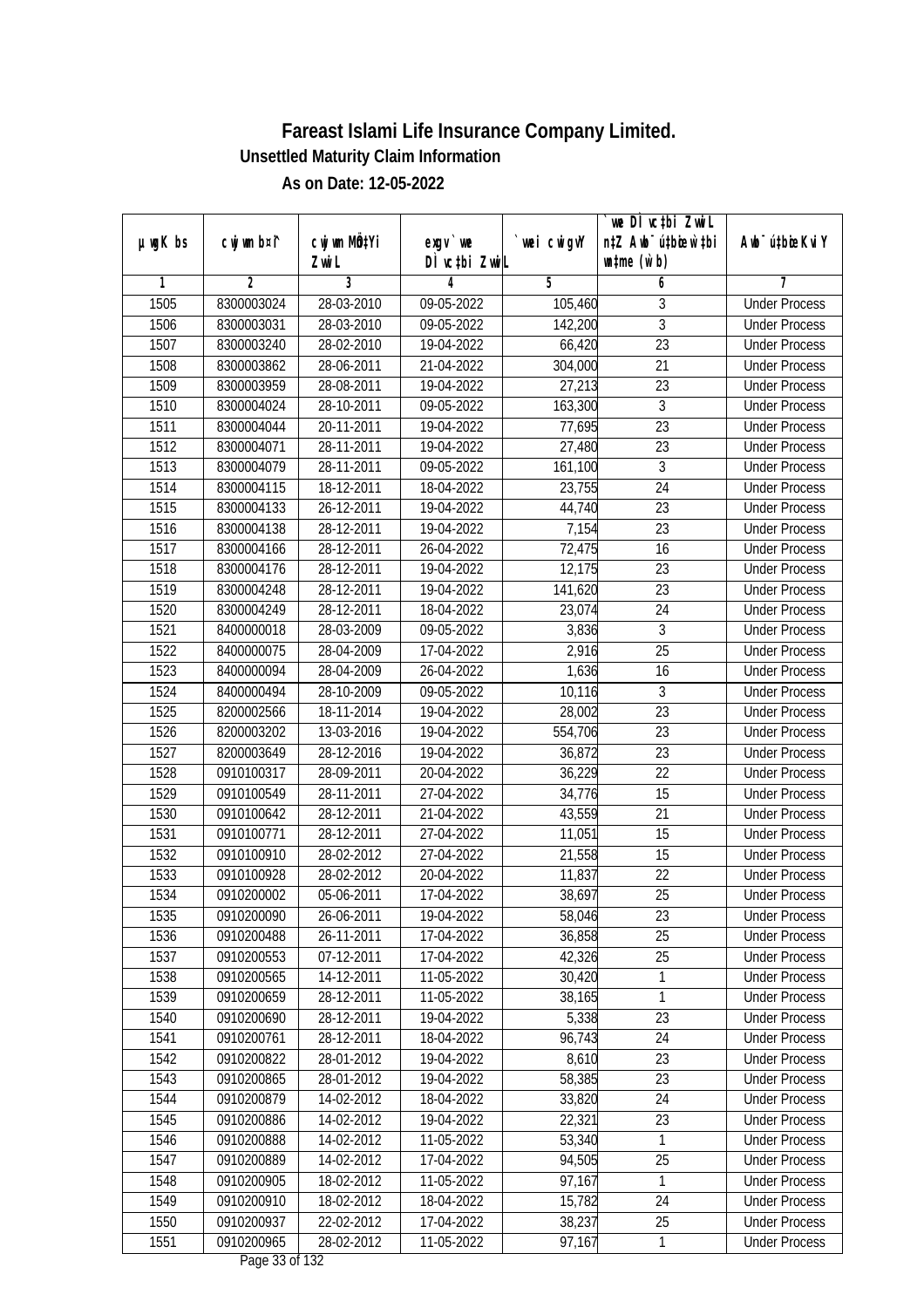|               |             |            |                              |             | `we DÌ vc‡bi ZwiL                |                             |
|---------------|-------------|------------|------------------------------|-------------|----------------------------------|-----------------------------|
| $µ$ ug $K$ bs | cwj wm b¤i^ | CW wm MQYi | $exgV$ we                    | `wei cwigvY | n‡Z Awb <sup>-</sup> ú‡bioar`‡bi | Awb <sup>-</sup> ú‡bioeKviY |
|               |             | Zwi L      | DÌ vctbi ZwiL                |             | $\n  untime\n  (u`b)\n$          |                             |
| 1             | 2           | 3          | 4                            | 5           | 6                                | 7                           |
| 1505          | 8300003024  | 28-03-2010 | 09-05-2022                   | 105,460     | 3                                | <b>Under Process</b>        |
| 1506          | 8300003031  | 28-03-2010 | $\overline{09-05} - 2022$    | 142,200     | 3                                | <b>Under Process</b>        |
| 1507          | 8300003240  | 28-02-2010 | 19-04-2022                   | 66,420      | $\overline{23}$                  | <b>Under Process</b>        |
| 1508          | 8300003862  | 28-06-2011 | 21-04-2022                   | 304,000     | 21                               | <b>Under Process</b>        |
| 1509          | 8300003959  | 28-08-2011 | 19-04-2022                   | 27,213      | 23                               | <b>Under Process</b>        |
| 1510          | 8300004024  | 28-10-2011 | 09-05-2022                   | 163,300     | $\overline{3}$                   | <b>Under Process</b>        |
| 1511          | 8300004044  | 20-11-2011 | 19-04-2022                   | 77,695      | $\overline{23}$                  | <b>Under Process</b>        |
| 1512          | 8300004071  | 28-11-2011 | 19-04-2022                   | 27,480      | $\overline{23}$                  | <b>Under Process</b>        |
| 1513          | 8300004079  | 28-11-2011 | 09-05-2022                   | 161,100     | $\overline{3}$                   | <b>Under Process</b>        |
| 1514          | 8300004115  | 18-12-2011 | 18-04-2022                   | 23,755      | 24                               | <b>Under Process</b>        |
| 1515          | 8300004133  | 26-12-2011 | 19-04-2022                   | 44,740      | 23                               | <b>Under Process</b>        |
| 1516          | 8300004138  | 28-12-2011 | 19-04-2022                   | 7,154       | 23                               | <b>Under Process</b>        |
| 1517          | 8300004166  | 28-12-2011 | 26-04-2022                   | 72,475      | $\overline{16}$                  | <b>Under Process</b>        |
| 1518          | 8300004176  | 28-12-2011 | 19-04-2022                   | 12,175      | 23                               | <b>Under Process</b>        |
| 1519          | 8300004248  | 28-12-2011 | 19-04-2022                   | 141,620     | 23                               | <b>Under Process</b>        |
| 1520          | 8300004249  | 28-12-2011 | 18-04-2022                   | 23,074      | 24                               | <b>Under Process</b>        |
| 1521          | 8400000018  | 28-03-2009 | 09-05-2022                   | 3,836       | $\mathfrak{Z}$                   | <b>Under Process</b>        |
| 1522          | 8400000075  | 28-04-2009 | 17-04-2022                   | 2,916       | 25                               | <b>Under Process</b>        |
| 1523          | 8400000094  | 28-04-2009 | 26-04-2022                   | 1,636       | 16                               | <b>Under Process</b>        |
| 1524          | 8400000494  | 28-10-2009 | 09-05-2022                   | 10,116      | $\sqrt{3}$                       | <b>Under Process</b>        |
| 1525          | 8200002566  | 18-11-2014 | 19-04-2022                   | 28,002      | 23                               | <b>Under Process</b>        |
| 1526          | 8200003202  | 13-03-2016 | 19-04-2022                   | 554,706     | 23                               | <b>Under Process</b>        |
| 1527          | 8200003649  | 28-12-2016 | 19-04-2022                   | 36,872      | 23                               | <b>Under Process</b>        |
| 1528          | 0910100317  | 28-09-2011 | 20-04-2022                   | 36,229      | 22                               | <b>Under Process</b>        |
| 1529          | 0910100549  | 28-11-2011 | 27-04-2022                   | 34,776      | 15                               | <b>Under Process</b>        |
| 1530          | 0910100642  | 28-12-2011 | 21-04-2022                   | 43,559      | 21                               | <b>Under Process</b>        |
| 1531          | 0910100771  | 28-12-2011 | 27-04-2022                   | 11,051      | 15                               | <b>Under Process</b>        |
| 1532          | 0910100910  | 28-02-2012 | 27-04-2022                   | 21,558      | 15                               | <b>Under Process</b>        |
| 1533          | 0910100928  | 28-02-2012 | 20-04-2022                   | 11,837      | 22                               | <b>Under Process</b>        |
| 1534          | 0910200002  | 05-06-2011 | 17-04-2022                   | 38,697      | 25                               | <b>Under Process</b>        |
| 1535          | 0910200090  | 26-06-2011 | 19-04-2022                   | 58,046      | 23                               | <b>Under Process</b>        |
| 1536          | 0910200488  | 26-11-2011 | 17-04-2022                   | 36,858      | 25                               | <b>Under Process</b>        |
| 1537          | 0910200553  | 07-12-2011 | 17-04-2022                   | 42,326      | 25                               | <b>Under Process</b>        |
| 1538          | 0910200565  | 14-12-2011 | 11-05-2022                   | 30,420      | 1                                | <b>Under Process</b>        |
| 1539          | 0910200659  | 28-12-2011 | 11-05-2022                   | 38,165      | $\overline{1}$                   | <b>Under Process</b>        |
| 1540          | 0910200690  | 28-12-2011 | 19-04-2022                   | 5,338       | 23                               | <b>Under Process</b>        |
| 1541          | 0910200761  | 28-12-2011 | 18-04-2022                   | 96,743      | 24                               | <b>Under Process</b>        |
| 1542          | 0910200822  | 28-01-2012 | 19-04-2022                   | 8,610       | 23                               | <b>Under Process</b>        |
| 1543          | 0910200865  | 28-01-2012 | 19-04-2022                   | 58,385      | 23                               | <b>Under Process</b>        |
| 1544          | 0910200879  | 14-02-2012 | 18-04-2022                   | 33,820      | 24                               | <b>Under Process</b>        |
| 1545          | 0910200886  | 14-02-2012 | 19-04-2022                   | 22,321      | 23                               | <b>Under Process</b>        |
| 1546          | 0910200888  | 14-02-2012 | 11-05-2022                   | 53,340      | 1                                | <b>Under Process</b>        |
| 1547          | 0910200889  | 14-02-2012 | 17-04-2022                   | 94,505      | 25                               | <b>Under Process</b>        |
| 1548          | 0910200905  | 18-02-2012 | 11-05-2022                   | 97,167      | 1                                | <b>Under Process</b>        |
| 1549          | 0910200910  | 18-02-2012 | 18-04-2022                   | 15,782      | 24                               | <b>Under Process</b>        |
| 1550          | 0910200937  | 22-02-2012 | 17-04-2022                   | 38,237      | 25                               | <b>Under Process</b>        |
| 1551          | 0910200965  | 28-02-2012 | 11-05-2022<br>Dege 22 of 122 | 97,167      | 1                                | <b>Under Process</b>        |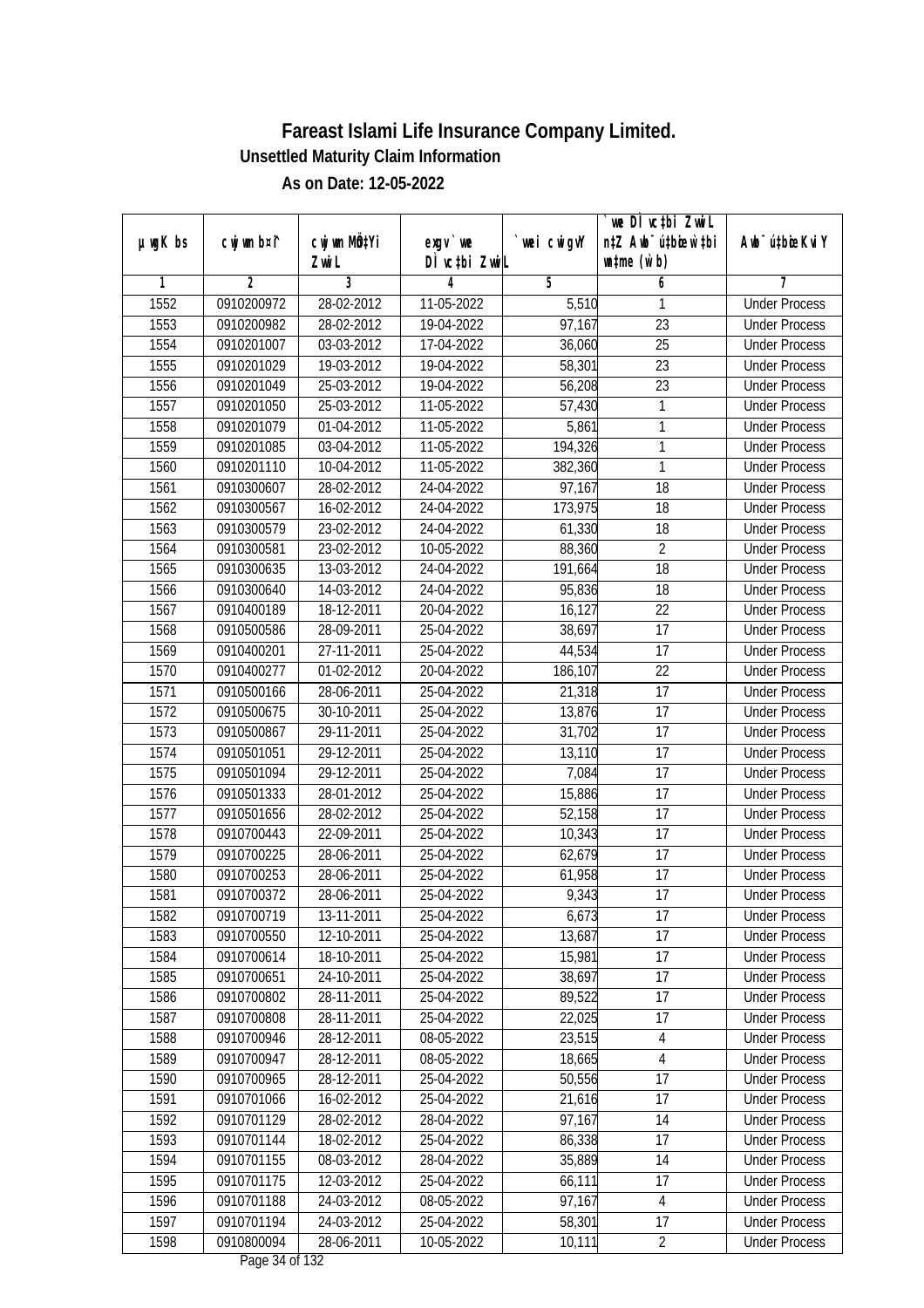|               |             |                  |                                |             | `we DÌ vc‡bi ZwiL                |                             |
|---------------|-------------|------------------|--------------------------------|-------------|----------------------------------|-----------------------------|
| $µ$ ug $K$ bs | cwj wm b¤i^ | CW wm MQYi       | $exgV$ we                      | `wei cwigvY | n‡Z Awb <sup>-</sup> ú‡bioar`‡bi | Awb <sup>-</sup> ú‡bioeKviY |
|               |             | Zwi L            | DÌ vctbi ZwiL                  |             | $\n  untime\n  (u`b)\n$          |                             |
| 1             | 2           | 3                | 4                              | 5           | 6                                | 7                           |
| 1552          | 0910200972  | 28-02-2012       | 11-05-2022                     | 5,510       | 1                                | <b>Under Process</b>        |
| 1553          | 0910200982  | 28-02-2012       | 19-04-2022                     | 97,167      | 23                               | <b>Under Process</b>        |
| 1554          | 0910201007  | 03-03-2012       | 17-04-2022                     | 36,060      | $\overline{25}$                  | <b>Under Process</b>        |
| 1555          | 0910201029  | 19-03-2012       | 19-04-2022                     | 58,301      | $\overline{23}$                  | <b>Under Process</b>        |
| 1556          | 0910201049  | $25 - 03 - 2012$ | 19-04-2022                     | 56,208      | $\overline{23}$                  | <b>Under Process</b>        |
| 1557          | 0910201050  | 25-03-2012       | 11-05-2022                     | 57,430      | 1                                | <b>Under Process</b>        |
| 1558          | 0910201079  | 01-04-2012       | 11-05-2022                     | 5,861       | 1                                | <b>Under Process</b>        |
| 1559          | 0910201085  | 03-04-2012       | 11-05-2022                     | 194,326     | 1                                | <b>Under Process</b>        |
| 1560          | 0910201110  | 10-04-2012       | 11-05-2022                     | 382,360     | 1                                | <b>Under Process</b>        |
| 1561          | 0910300607  | 28-02-2012       | 24-04-2022                     | 97,167      | 18                               | <b>Under Process</b>        |
| 1562          | 0910300567  | 16-02-2012       | 24-04-2022                     | 173,975     | 18                               | <b>Under Process</b>        |
| 1563          | 0910300579  | 23-02-2012       | 24-04-2022                     | 61,330      | 18                               | <b>Under Process</b>        |
| 1564          | 0910300581  | 23-02-2012       | 10-05-2022                     | 88,360      | $\overline{2}$                   | <b>Under Process</b>        |
| 1565          | 0910300635  | 13-03-2012       | 24-04-2022                     | 191,664     | 18                               | <b>Under Process</b>        |
| 1566          | 0910300640  | 14-03-2012       | 24-04-2022                     | 95,836      | 18                               | <b>Under Process</b>        |
| 1567          | 0910400189  | 18-12-2011       | 20-04-2022                     | 16,127      | 22                               | <b>Under Process</b>        |
| 1568          | 0910500586  | 28-09-2011       | 25-04-2022                     | 38,697      | 17                               | <b>Under Process</b>        |
| 1569          | 0910400201  | 27-11-2011       | 25-04-2022                     | 44,534      | 17                               | <b>Under Process</b>        |
| 1570          | 0910400277  | 01-02-2012       | 20-04-2022                     | 186,107     | 22                               | <b>Under Process</b>        |
| 1571          | 0910500166  | 28-06-2011       | 25-04-2022                     | 21,318      | 17                               | <b>Under Process</b>        |
| 1572          | 0910500675  | 30-10-2011       | 25-04-2022                     | 13,876      | 17                               | <b>Under Process</b>        |
| 1573          | 0910500867  | 29-11-2011       | 25-04-2022                     | 31,702      | 17                               | <b>Under Process</b>        |
| 1574          | 0910501051  | 29-12-2011       | 25-04-2022                     | 13,110      | 17                               | <b>Under Process</b>        |
| 1575          | 0910501094  | 29-12-2011       | 25-04-2022                     | 7,084       | 17                               | <b>Under Process</b>        |
| 1576          | 0910501333  | 28-01-2012       | 25-04-2022                     | 15,886      | 17                               | <b>Under Process</b>        |
| 1577          | 0910501656  | 28-02-2012       | 25-04-2022                     | 52,158      | 17                               | <b>Under Process</b>        |
| 1578          | 0910700443  | 22-09-2011       | 25-04-2022                     | 10,343      | 17                               | <b>Under Process</b>        |
| 1579          | 0910700225  | 28-06-2011       | 25-04-2022                     | 62,679      | 17                               | <b>Under Process</b>        |
| 1580          | 0910700253  | 28-06-2011       | 25-04-2022                     | 61,958      | 17                               | <b>Under Process</b>        |
| 1581          | 0910700372  | 28-06-2011       | 25-04-2022                     | 9,343       | 17                               | <b>Under Process</b>        |
| 1582          | 0910700719  | 13-11-2011       | 25-04-2022                     | 6,673       | 17                               | <b>Under Process</b>        |
| 1583          | 0910700550  | 12-10-2011       | 25-04-2022                     | 13,687      | 17                               | <b>Under Process</b>        |
| 1584          | 0910700614  | 18-10-2011       | 25-04-2022                     | 15,981      | 17                               | <b>Under Process</b>        |
| 1585          | 0910700651  | 24-10-2011       | 25-04-2022                     | 38,697      | 17                               | <b>Under Process</b>        |
| 1586          | 0910700802  | 28-11-2011       | 25-04-2022                     | 89,522      | 17                               | <b>Under Process</b>        |
| 1587          | 0910700808  | 28-11-2011       | 25-04-2022                     | 22,025      | 17                               | <b>Under Process</b>        |
| 1588          | 0910700946  | 28-12-2011       | 08-05-2022                     | 23,515      | $\overline{4}$                   | <b>Under Process</b>        |
| 1589          | 0910700947  | 28-12-2011       | 08-05-2022                     | 18,665      | 4                                | <b>Under Process</b>        |
| 1590          | 0910700965  | 28-12-2011       | 25-04-2022                     | 50,556      | 17                               | <b>Under Process</b>        |
| 1591          | 0910701066  | 16-02-2012       | 25-04-2022                     | 21,616      | 17                               | <b>Under Process</b>        |
| 1592          | 0910701129  | 28-02-2012       | 28-04-2022                     | 97,167      | 14                               | <b>Under Process</b>        |
| 1593          | 0910701144  | 18-02-2012       | 25-04-2022                     | 86,338      | 17                               | <b>Under Process</b>        |
| 1594          | 0910701155  | 08-03-2012       | 28-04-2022                     | 35,889      | $\overline{14}$                  | <b>Under Process</b>        |
| 1595          | 0910701175  | 12-03-2012       | 25-04-2022                     | 66,111      | 17                               | <b>Under Process</b>        |
| 1596          | 0910701188  | 24-03-2012       | 08-05-2022                     | 97,167      | $\overline{4}$                   | <b>Under Process</b>        |
| 1597          | 0910701194  | 24-03-2012       | 25-04-2022                     | 58,301      | 17                               | <b>Under Process</b>        |
| 1598          | 0910800094  | 28-06-2011       | 10-05-2022<br>Dege $24$ of 122 | 10,111      | $\overline{2}$                   | <b>Under Process</b>        |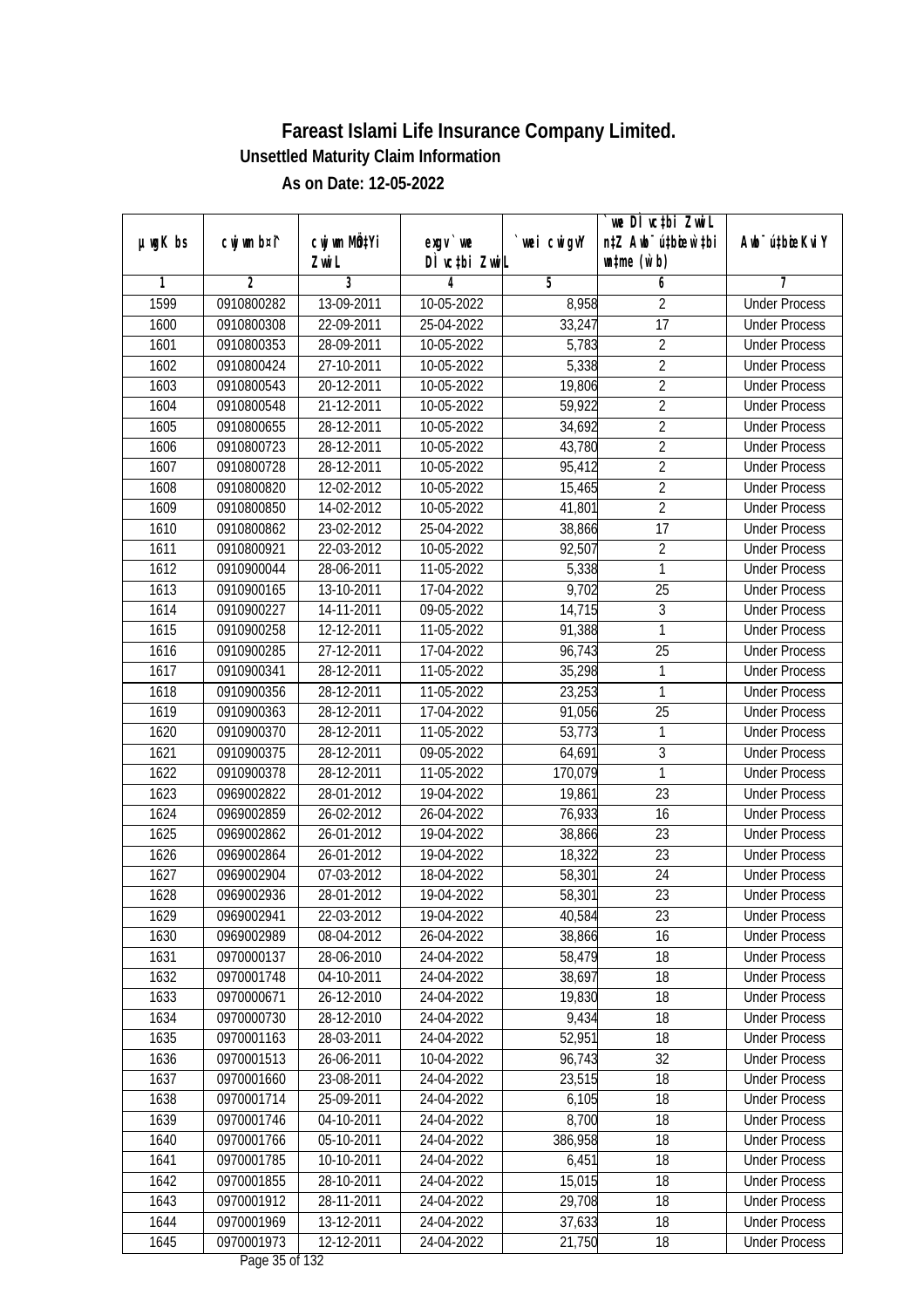|               |             |              |                                      |             | we DI vctbi ZwiL                 |                             |
|---------------|-------------|--------------|--------------------------------------|-------------|----------------------------------|-----------------------------|
| $µ$ ug $K$ bs | cwj wm b¤i^ | cwj wm MQtYi | $exgV$ we                            | `wei cwigvY | n‡Z Awb <sup>-</sup> ú‡bioen`‡bi | Awb <sup>-</sup> ú‡bioeKviY |
|               |             | Zwi L        | DÌ vctbi ZwiL                        |             | $\n  untime\n  (u`b)\n$          |                             |
| 1             | 2           | 3            | 4                                    | 5           | 6                                | 7                           |
| 1599          | 0910800282  | 13-09-2011   | 10-05-2022                           | 8,958       | 2                                | <b>Under Process</b>        |
| 1600          | 0910800308  | 22-09-2011   | 25-04-2022                           | 33,247      | $\overline{17}$                  | <b>Under Process</b>        |
| 1601          | 0910800353  | 28-09-2011   | 10-05-2022                           | 5,783       | $\overline{2}$                   | <b>Under Process</b>        |
| 1602          | 0910800424  | 27-10-2011   | 10-05-2022                           | 5,338       | $\overline{2}$                   | <b>Under Process</b>        |
| 1603          | 0910800543  | 20-12-2011   | 10-05-2022                           | 19,806      | $\overline{2}$                   | <b>Under Process</b>        |
| 1604          | 0910800548  | 21-12-2011   | 10-05-2022                           | 59,922      | $\overline{2}$                   | <b>Under Process</b>        |
| 1605          | 0910800655  | 28-12-2011   | 10-05-2022                           | 34,692      | $\overline{2}$                   | <b>Under Process</b>        |
| 1606          | 0910800723  | 28-12-2011   | 10-05-2022                           | 43,780      | $\overline{2}$                   | <b>Under Process</b>        |
| 1607          | 0910800728  | 28-12-2011   | 10-05-2022                           | 95,412      | $\overline{2}$                   | <b>Under Process</b>        |
| 1608          | 0910800820  | 12-02-2012   | 10-05-2022                           | 15,465      | $\overline{2}$                   | <b>Under Process</b>        |
| 1609          | 0910800850  | 14-02-2012   | 10-05-2022                           | 41,801      | $\overline{2}$                   | <b>Under Process</b>        |
| 1610          | 0910800862  | 23-02-2012   | 25-04-2022                           | 38,866      | 17                               | <b>Under Process</b>        |
| 1611          | 0910800921  | 22-03-2012   | 10-05-2022                           | 92,507      | $\overline{2}$                   | <b>Under Process</b>        |
| 1612          | 0910900044  | 28-06-2011   | 11-05-2022                           | 5,338       | $\mathbf{1}$                     | <b>Under Process</b>        |
| 1613          | 0910900165  | 13-10-2011   | 17-04-2022                           | 9,702       | 25                               | <b>Under Process</b>        |
| 1614          | 0910900227  | 14-11-2011   | 09-05-2022                           | 14,715      | 3                                | <b>Under Process</b>        |
| 1615          | 0910900258  | 12-12-2011   | 11-05-2022                           | 91,388      | 1                                | <b>Under Process</b>        |
| 1616          | 0910900285  | 27-12-2011   | 17-04-2022                           | 96,743      | 25                               | <b>Under Process</b>        |
| 1617          | 0910900341  | 28-12-2011   | 11-05-2022                           | 35,298      | 1                                | <b>Under Process</b>        |
| 1618          | 0910900356  | 28-12-2011   | 11-05-2022                           | 23,253      | $\mathbf{1}$                     | <b>Under Process</b>        |
| 1619          | 0910900363  | 28-12-2011   | 17-04-2022                           | 91,056      | 25                               | <b>Under Process</b>        |
| 1620          | 0910900370  | 28-12-2011   | 11-05-2022                           | 53,773      | 1                                | <b>Under Process</b>        |
| 1621          | 0910900375  | 28-12-2011   | 09-05-2022                           | 64,691      | 3                                | <b>Under Process</b>        |
| 1622          | 0910900378  | 28-12-2011   | 11-05-2022                           | 170,079     | 1                                | <b>Under Process</b>        |
| 1623          | 0969002822  | 28-01-2012   | 19-04-2022                           | 19,861      | 23                               | <b>Under Process</b>        |
| 1624          | 0969002859  | 26-02-2012   | 26-04-2022                           | 76,933      | 16                               | <b>Under Process</b>        |
| 1625          | 0969002862  | 26-01-2012   | 19-04-2022                           | 38,866      | 23                               | <b>Under Process</b>        |
| 1626          | 0969002864  | 26-01-2012   | 19-04-2022                           | 18,322      | 23                               | <b>Under Process</b>        |
| 1627          | 0969002904  | 07-03-2012   | 18-04-2022                           | 58,301      | 24                               | <b>Under Process</b>        |
| 1628          | 0969002936  | 28-01-2012   | 19-04-2022                           | 58,301      | 23                               | <b>Under Process</b>        |
| 1629          | 0969002941  | 22-03-2012   | 19-04-2022                           | 40,584      | 23                               | <b>Under Process</b>        |
| 1630          | 0969002989  | 08-04-2012   | 26-04-2022                           | 38,866      | 16                               | <b>Under Process</b>        |
| 1631          | 0970000137  | 28-06-2010   | 24-04-2022                           | 58,479      | 18                               | <b>Under Process</b>        |
| 1632          | 0970001748  | 04-10-2011   | 24-04-2022                           | 38,697      | 18                               | <b>Under Process</b>        |
| 1633          | 0970000671  | 26-12-2010   | 24-04-2022                           | 19,830      | 18                               | <b>Under Process</b>        |
| 1634          | 0970000730  | 28-12-2010   | 24-04-2022                           | 9,434       | 18                               | <b>Under Process</b>        |
| 1635          | 0970001163  | 28-03-2011   | 24-04-2022                           | 52,951      | 18                               | <b>Under Process</b>        |
| 1636          | 0970001513  | 26-06-2011   | 10-04-2022                           | 96,743      | $\overline{32}$                  | <b>Under Process</b>        |
| 1637          | 0970001660  | 23-08-2011   | 24-04-2022                           | 23,515      | 18                               | <b>Under Process</b>        |
| 1638          | 0970001714  | 25-09-2011   | 24-04-2022                           | 6,105       | 18                               | <b>Under Process</b>        |
| 1639          | 0970001746  | 04-10-2011   | 24-04-2022                           | 8,700       | 18                               | <b>Under Process</b>        |
| 1640          | 0970001766  | 05-10-2011   | 24-04-2022                           | 386,958     | 18                               | <b>Under Process</b>        |
| 1641          | 0970001785  | 10-10-2011   | 24-04-2022                           | 6,451       | $\overline{18}$                  | <b>Under Process</b>        |
| 1642          | 0970001855  | 28-10-2011   | 24-04-2022                           | 15,015      | 18                               | <b>Under Process</b>        |
| 1643          | 0970001912  | 28-11-2011   | 24-04-2022                           | 29,708      | 18                               | <b>Under Process</b>        |
| 1644          | 0970001969  | 13-12-2011   | 24-04-2022                           | 37,633      | 18                               | <b>Under Process</b>        |
| 1645          | 0970001973  | 12-12-2011   | 24-04-2022<br>$D_{0.92}$ $25$ of 122 | 21,750      | 18                               | <b>Under Process</b>        |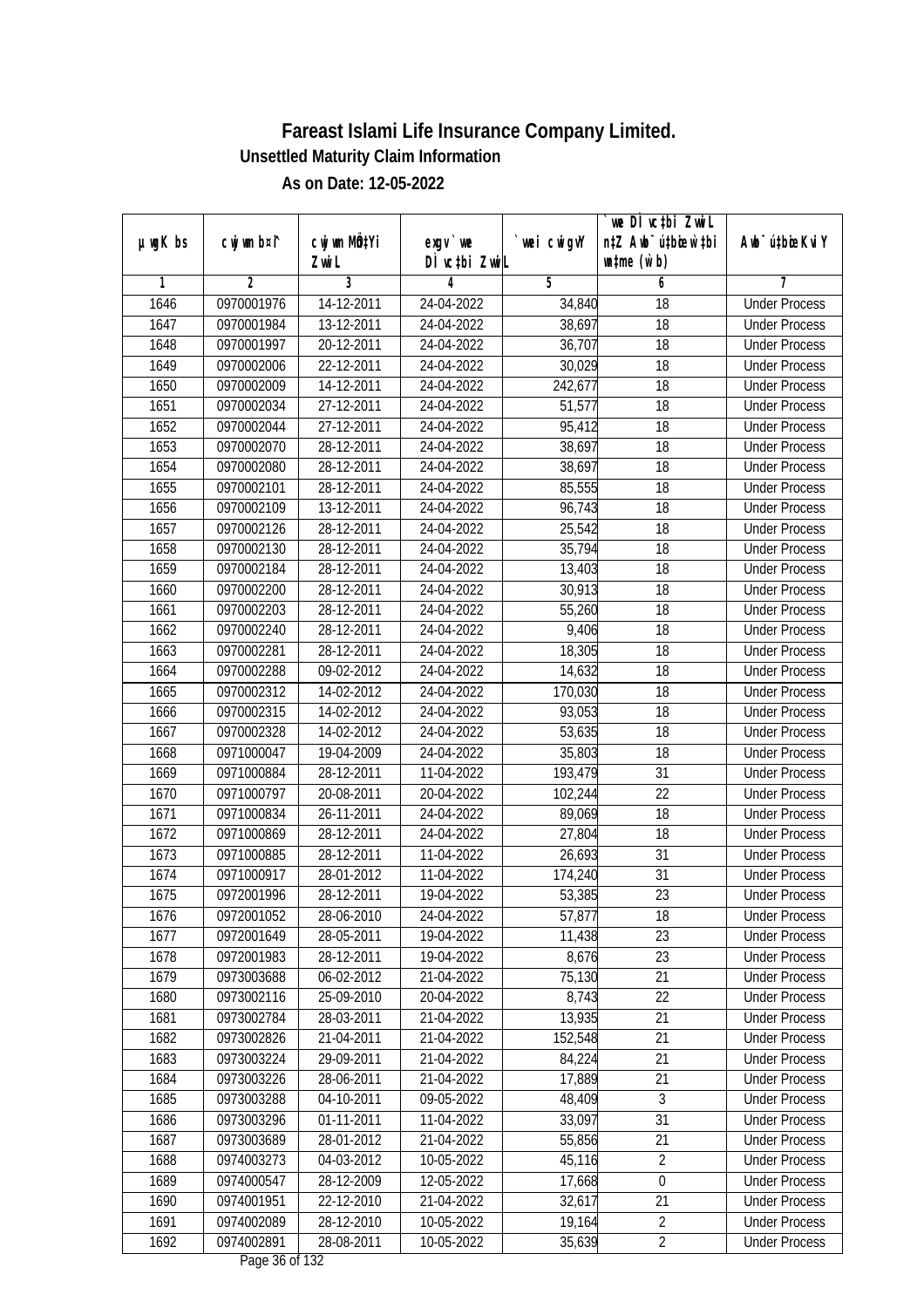|               |                |              |                               |                | we DI vctbi ZwiL                 |                             |
|---------------|----------------|--------------|-------------------------------|----------------|----------------------------------|-----------------------------|
| $µ$ ug $K$ bs | cwj wm b¤i^    | cwj wm MQtYi | exgv `we                      | `wei cwigvY    | n‡Z Awb <sup>-</sup> ú‡bioar`‡bi | Awb <sup>-</sup> ú‡bioeKviY |
|               |                | Zwi L        | DÌ vctbi ZwiL                 |                | $\n  untime\n  (u`b)\n$          |                             |
| 1             | $\overline{2}$ | 3            | 4                             | $\overline{5}$ | 6                                | 7                           |
| 1646          | 0970001976     | 14-12-2011   | 24-04-2022                    | 34,840         | 18                               | <b>Under Process</b>        |
| 1647          | 0970001984     | 13-12-2011   | 24-04-2022                    | 38,697         | 18                               | <b>Under Process</b>        |
| 1648          | 0970001997     | 20-12-2011   | 24-04-2022                    | 36,707         | $\overline{18}$                  | <b>Under Process</b>        |
| 1649          | 0970002006     | 22-12-2011   | 24-04-2022                    | 30,029         | 18                               | <b>Under Process</b>        |
| 1650          | 0970002009     | 14-12-2011   | 24-04-2022                    | 242,677        | $\overline{18}$                  | <b>Under Process</b>        |
| 1651          | 0970002034     | 27-12-2011   | 24-04-2022                    | 51,577         | 18                               | <b>Under Process</b>        |
| 1652          | 0970002044     | 27-12-2011   | 24-04-2022                    | 95,412         | 18                               | <b>Under Process</b>        |
| 1653          | 0970002070     | 28-12-2011   | 24-04-2022                    | 38,697         | 18                               | <b>Under Process</b>        |
| 1654          | 0970002080     | 28-12-2011   | 24-04-2022                    | 38,697         | 18                               | <b>Under Process</b>        |
| 1655          | 0970002101     | 28-12-2011   | 24-04-2022                    | 85,555         | 18                               | <b>Under Process</b>        |
| 1656          | 0970002109     | 13-12-2011   | 24-04-2022                    | 96,743         | $\overline{18}$                  | <b>Under Process</b>        |
| 1657          | 0970002126     | 28-12-2011   | 24-04-2022                    | 25,542         | 18                               | <b>Under Process</b>        |
| 1658          | 0970002130     | 28-12-2011   | 24-04-2022                    | 35,794         | $\overline{18}$                  | <b>Under Process</b>        |
| 1659          | 0970002184     | 28-12-2011   | 24-04-2022                    | 13,403         | 18                               | <b>Under Process</b>        |
| 1660          | 0970002200     | 28-12-2011   | 24-04-2022                    | 30,913         | 18                               | <b>Under Process</b>        |
| 1661          | 0970002203     | 28-12-2011   | 24-04-2022                    | 55,260         | 18                               | <b>Under Process</b>        |
| 1662          | 0970002240     | 28-12-2011   | 24-04-2022                    | 9,406          | 18                               | <b>Under Process</b>        |
| 1663          | 0970002281     | 28-12-2011   | 24-04-2022                    | 18,305         | 18                               | <b>Under Process</b>        |
| 1664          | 0970002288     | 09-02-2012   | 24-04-2022                    | 14,632         | 18                               | <b>Under Process</b>        |
| 1665          | 0970002312     | 14-02-2012   | 24-04-2022                    | 170,030        | 18                               | <b>Under Process</b>        |
| 1666          | 0970002315     | 14-02-2012   | 24-04-2022                    | 93,053         | 18                               | <b>Under Process</b>        |
| 1667          | 0970002328     | 14-02-2012   | 24-04-2022                    | 53,635         | 18                               | <b>Under Process</b>        |
| 1668          | 0971000047     | 19-04-2009   | 24-04-2022                    | 35,803         | 18                               | <b>Under Process</b>        |
| 1669          | 0971000884     | 28-12-2011   | 11-04-2022                    | 193,479        | 31                               | <b>Under Process</b>        |
| 1670          | 0971000797     | 20-08-2011   | 20-04-2022                    | 102,244        | 22                               | <b>Under Process</b>        |
| 1671          | 0971000834     | 26-11-2011   | 24-04-2022                    | 89,069         | 18                               | <b>Under Process</b>        |
| 1672          | 0971000869     | 28-12-2011   | 24-04-2022                    | 27,804         | 18                               | <b>Under Process</b>        |
| 1673          | 0971000885     | 28-12-2011   | 11-04-2022                    | 26,693         | 31                               | <b>Under Process</b>        |
| 1674          | 0971000917     | 28-01-2012   | 11-04-2022                    | 174,240        | 31                               | <b>Under Process</b>        |
| 1675          | 0972001996     | 28-12-2011   | 19-04-2022                    | 53,385         | 23                               | <b>Under Process</b>        |
| 1676          | 0972001052     | 28-06-2010   | 24-04-2022                    | 57,877         | 18                               | <b>Under Process</b>        |
| 1677          | 0972001649     | 28-05-2011   | 19-04-2022                    | 11,438         | 23                               | <b>Under Process</b>        |
| 1678          | 0972001983     | 28-12-2011   | 19-04-2022                    | 8,676          | 23                               | <b>Under Process</b>        |
| 1679          | 0973003688     | 06-02-2012   | 21-04-2022                    | 75,130         | 21                               | <b>Under Process</b>        |
| 1680          | 0973002116     | 25-09-2010   | 20-04-2022                    | 8,743          | 22                               | <b>Under Process</b>        |
| 1681          | 0973002784     | 28-03-2011   | 21-04-2022                    | 13,935         | 21                               | <b>Under Process</b>        |
| 1682          | 0973002826     | 21-04-2011   | 21-04-2022                    | 152,548        | 21                               | <b>Under Process</b>        |
| 1683          | 0973003224     | 29-09-2011   | 21-04-2022                    | 84,224         | 21                               | <b>Under Process</b>        |
| 1684          | 0973003226     | 28-06-2011   | 21-04-2022                    | 17,889         | 21                               | <b>Under Process</b>        |
| 1685          | 0973003288     | 04-10-2011   | 09-05-2022                    | 48,409         | $\overline{3}$                   | <b>Under Process</b>        |
| 1686          | 0973003296     | 01-11-2011   | 11-04-2022                    | 33,097         | 31                               | <b>Under Process</b>        |
| 1687          | 0973003689     | 28-01-2012   | 21-04-2022                    | 55,856         | 21                               | <b>Under Process</b>        |
| 1688          | 0974003273     | 04-03-2012   | 10-05-2022                    | 45,116         | $\overline{2}$                   | <b>Under Process</b>        |
| 1689          | 0974000547     | 28-12-2009   | 12-05-2022                    | 17,668         | $\overline{0}$                   | <b>Under Process</b>        |
| 1690          | 0974001951     | 22-12-2010   | 21-04-2022                    | 32,617         | 21                               | <b>Under Process</b>        |
| 1691          | 0974002089     | 28-12-2010   | 10-05-2022                    | 19,164         | $\sqrt{2}$                       | <b>Under Process</b>        |
| 1692          | 0974002891     | 28-08-2011   | 10-05-2022<br>Dega $26.65122$ | 35,639         | $\overline{2}$                   | <b>Under Process</b>        |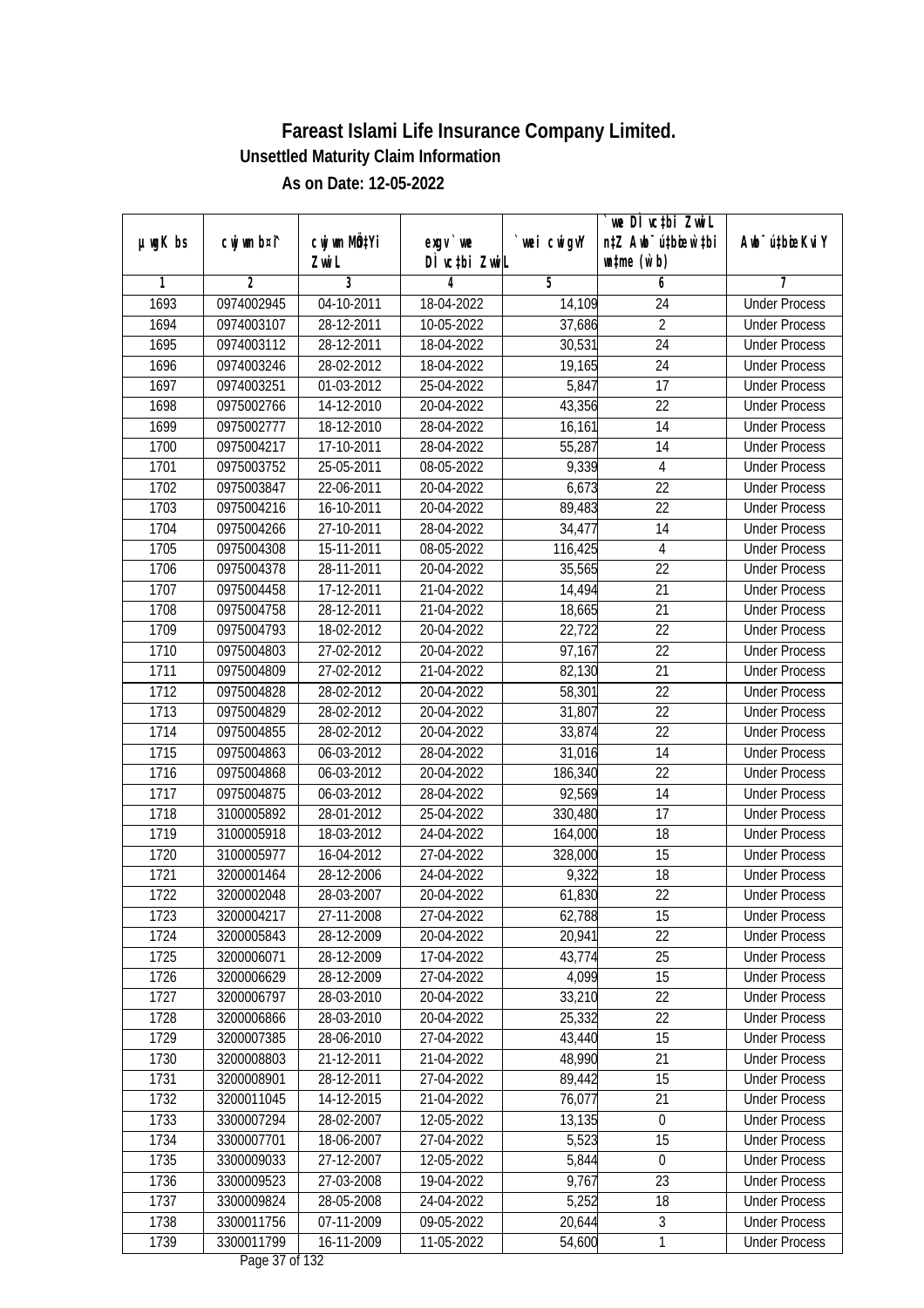| $µ$ ug $K$ bs | cwj wm b¤i^ | cwj wm MQtYi | exgv `we                       | wei cwigvY | `we DÌ vc‡bi ZwiL<br>n‡Z Awb <sup>-</sup> ú‡bicen`‡bi | Awb <sup>-</sup> ú‡bioeKviY |
|---------------|-------------|--------------|--------------------------------|------------|-------------------------------------------------------|-----------------------------|
|               |             | Zwi L        | DÌ vctbi ZwiL                  |            | $\n  untime\n  (u`b)\n$                               |                             |
| 1             | 2           | 3            | 4                              | 5          | 6                                                     | 7                           |
| 1693          | 0974002945  | 04-10-2011   | 18-04-2022                     | 14,109     | 24                                                    | <b>Under Process</b>        |
| 1694          | 0974003107  | 28-12-2011   | 10-05-2022                     | 37,686     | $\overline{2}$                                        | <b>Under Process</b>        |
| 1695          | 0974003112  | 28-12-2011   | 18-04-2022                     | 30,531     | 24                                                    | <b>Under Process</b>        |
| 1696          | 0974003246  | 28-02-2012   | 18-04-2022                     | 19,165     | 24                                                    | <b>Under Process</b>        |
| 1697          | 0974003251  | 01-03-2012   | 25-04-2022                     | 5,847      | 17                                                    | <b>Under Process</b>        |
| 1698          | 0975002766  | 14-12-2010   | 20-04-2022                     | 43,356     | $\overline{22}$                                       | <b>Under Process</b>        |
| 1699          | 0975002777  | 18-12-2010   | 28-04-2022                     | 16,161     | 14                                                    | <b>Under Process</b>        |
| 1700          | 0975004217  | 17-10-2011   | 28-04-2022                     | 55,287     | 14                                                    | <b>Under Process</b>        |
| 1701          | 0975003752  | 25-05-2011   | 08-05-2022                     | 9,339      | 4                                                     | <b>Under Process</b>        |
| 1702          | 0975003847  | 22-06-2011   | 20-04-2022                     | 6,673      | 22                                                    | <b>Under Process</b>        |
| 1703          | 0975004216  | 16-10-2011   | 20-04-2022                     | 89,483     | $\overline{22}$                                       | <b>Under Process</b>        |
| 1704          | 0975004266  | 27-10-2011   | 28-04-2022                     | 34,477     | 14                                                    | <b>Under Process</b>        |
| 1705          | 0975004308  | 15-11-2011   | 08-05-2022                     | 116,425    | $\overline{4}$                                        | <b>Under Process</b>        |
| 1706          | 0975004378  | 28-11-2011   | 20-04-2022                     | 35,565     | 22                                                    | <b>Under Process</b>        |
| 1707          | 0975004458  | 17-12-2011   | 21-04-2022                     | 14,494     | 21                                                    | <b>Under Process</b>        |
| 1708          | 0975004758  | 28-12-2011   | 21-04-2022                     | 18,665     | 21                                                    | <b>Under Process</b>        |
| 1709          | 0975004793  | 18-02-2012   | 20-04-2022                     | 22,722     | 22                                                    | <b>Under Process</b>        |
| 1710          | 0975004803  | 27-02-2012   | 20-04-2022                     | 97,167     | 22                                                    | <b>Under Process</b>        |
| 1711          | 0975004809  | 27-02-2012   | 21-04-2022                     | 82,130     | 21                                                    | <b>Under Process</b>        |
| 1712          | 0975004828  | 28-02-2012   | 20-04-2022                     | 58,301     | 22                                                    | <b>Under Process</b>        |
| 1713          | 0975004829  | 28-02-2012   | 20-04-2022                     | 31,807     | 22                                                    | <b>Under Process</b>        |
| 1714          | 0975004855  | 28-02-2012   | 20-04-2022                     | 33,874     | 22                                                    | <b>Under Process</b>        |
| 1715          | 0975004863  | 06-03-2012   | 28-04-2022                     | 31,016     | 14                                                    | <b>Under Process</b>        |
| 1716          | 0975004868  | 06-03-2012   | 20-04-2022                     | 186,340    | 22                                                    | <b>Under Process</b>        |
| 1717          | 0975004875  | 06-03-2012   | 28-04-2022                     | 92,569     | 14                                                    | <b>Under Process</b>        |
| 1718          | 3100005892  | 28-01-2012   | 25-04-2022                     | 330,480    | 17                                                    | <b>Under Process</b>        |
| 1719          | 3100005918  | 18-03-2012   | 24-04-2022                     | 164,000    | 18                                                    | <b>Under Process</b>        |
| 1720          | 3100005977  | 16-04-2012   | 27-04-2022                     | 328,000    | 15                                                    | <b>Under Process</b>        |
| 1721          | 3200001464  | 28-12-2006   | 24-04-2022                     | 9,322      | 18                                                    | <b>Under Process</b>        |
| 1722          | 3200002048  | 28-03-2007   | 20-04-2022                     | 61,830     | 22                                                    | <b>Under Process</b>        |
| 1723          | 3200004217  | 27-11-2008   | 27-04-2022                     | 62,788     | 15                                                    | <b>Under Process</b>        |
| 1724          | 3200005843  | 28-12-2009   | 20-04-2022                     | 20,941     | 22                                                    | <b>Under Process</b>        |
| 1725          | 3200006071  | 28-12-2009   | 17-04-2022                     | 43,774     | 25                                                    | <b>Under Process</b>        |
| 1726          | 3200006629  | 28-12-2009   | 27-04-2022                     | 4,099      | 15                                                    | <b>Under Process</b>        |
| 1727          | 3200006797  | 28-03-2010   | 20-04-2022                     | 33,210     | 22                                                    | <b>Under Process</b>        |
| 1728          | 3200006866  | 28-03-2010   | 20-04-2022                     | 25,332     | 22                                                    | <b>Under Process</b>        |
| 1729          | 3200007385  | 28-06-2010   | 27-04-2022                     | 43,440     | 15                                                    | <b>Under Process</b>        |
| 1730          | 3200008803  | 21-12-2011   | 21-04-2022                     | 48,990     | 21                                                    | <b>Under Process</b>        |
| 1731          | 3200008901  | 28-12-2011   | 27-04-2022                     | 89,442     | 15                                                    | <b>Under Process</b>        |
| 1732          | 3200011045  | 14-12-2015   | 21-04-2022                     | 76,077     | 21                                                    | <b>Under Process</b>        |
| 1733          | 3300007294  | 28-02-2007   | 12-05-2022                     | 13, 135    | $\boldsymbol{0}$                                      | <b>Under Process</b>        |
| 1734          | 3300007701  | 18-06-2007   | 27-04-2022                     | 5,523      | 15                                                    | <b>Under Process</b>        |
| 1735          | 3300009033  | 27-12-2007   | $12 - 05 - 2022$               | 5,844      | $\mathbf 0$                                           | <b>Under Process</b>        |
| 1736          | 3300009523  | 27-03-2008   | 19-04-2022                     | 9,767      | $\overline{23}$                                       | <b>Under Process</b>        |
| 1737          | 3300009824  | 28-05-2008   | 24-04-2022                     | 5,252      | 18                                                    | <b>Under Process</b>        |
| 1738          | 3300011756  | 07-11-2009   | 09-05-2022                     | 20,644     | $\mathfrak{Z}$                                        | <b>Under Process</b>        |
| 1739          | 3300011799  | 16-11-2009   | 11-05-2022<br>Dege $27$ of 122 | 54,600     | 1                                                     | <b>Under Process</b>        |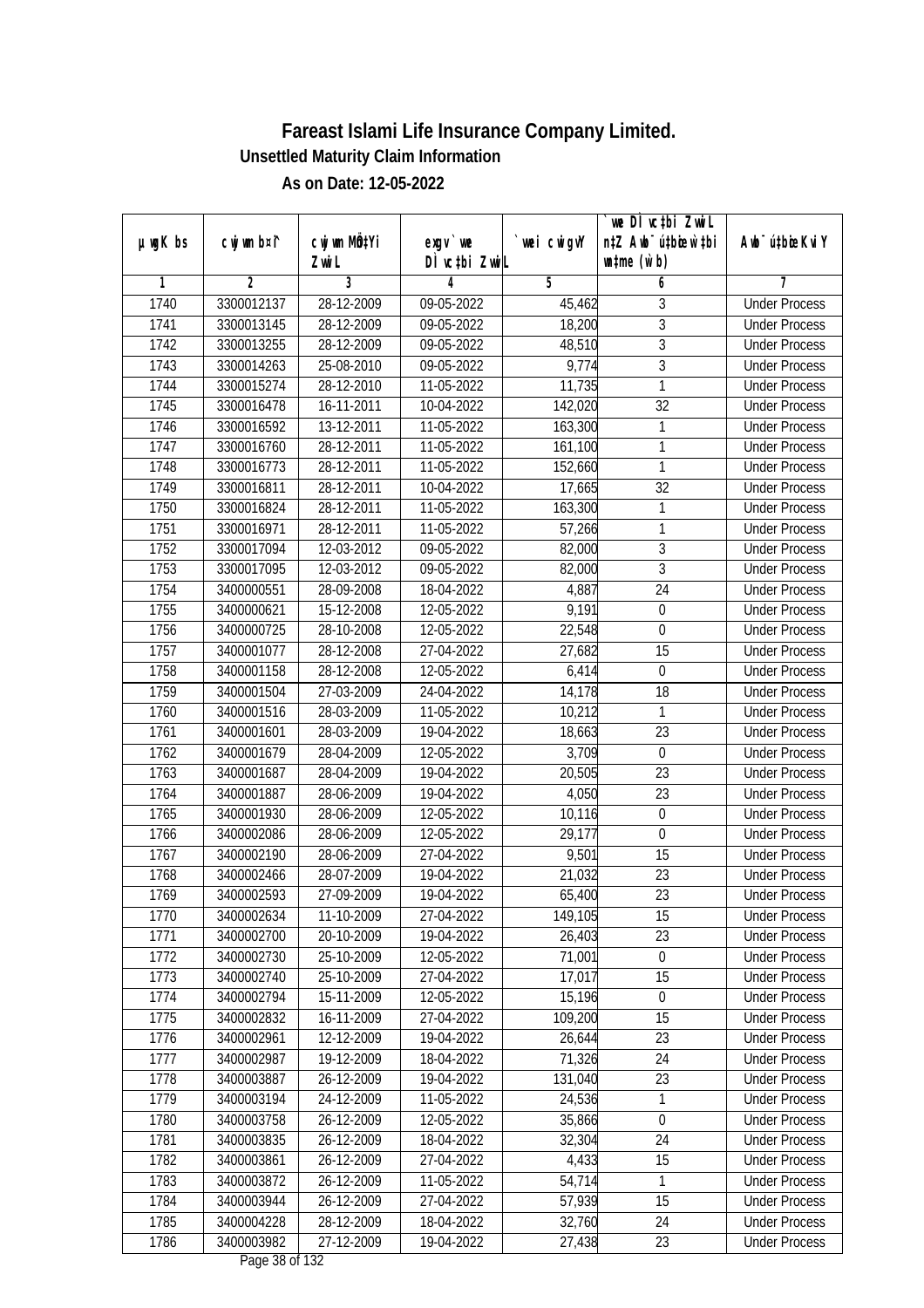| n‡Z Awb <sup>-</sup> ú‡bicen`‡bi<br>cwj wm b¤i^<br>cwj wm MQtYi<br>$µ$ ug $K$ bs<br>wei cwigvY<br>Awb <sup>-</sup> ú‡bioeKviY<br>$exgV$ we<br>DÌ vctbi ZwiL<br>$\n  untime\n  (u`b)\n$<br>Zwi L<br>3<br>$\overline{2}$<br>5<br>1<br>4<br>6<br>7<br>28-12-2009<br><b>Under Process</b><br>1740<br>3300012137<br>09-05-2022<br>3<br>45,462<br>$\overline{3}$<br>1741<br>3300013145<br>28-12-2009<br>$09-05-2022$<br>18,200<br><b>Under Process</b><br>$\overline{3}$<br>48,510<br>1742<br>3300013255<br>28-12-2009<br>09-05-2022<br><b>Under Process</b><br>$\overline{3}$<br>1743<br>9,774<br>3300014263<br>25-08-2010<br>09-05-2022<br><b>Under Process</b><br>1744<br>28-12-2010<br>$\mathbf{1}$<br>3300015274<br>11-05-2022<br>11,735<br><b>Under Process</b><br>$\overline{32}$<br>1745<br>16-11-2011<br>3300016478<br>10-04-2022<br>142,020<br><b>Under Process</b><br>13-12-2011<br>1746<br>3300016592<br>11-05-2022<br>163,300<br>1<br><b>Under Process</b><br>1<br>1747<br>3300016760<br>28-12-2011<br>11-05-2022<br>161,100<br><b>Under Process</b><br>$\mathbf{1}$<br>1748<br>3300016773<br>28-12-2011<br>11-05-2022<br>152,660<br><b>Under Process</b><br>1749<br>28-12-2011<br>32<br>3300016811<br>10-04-2022<br>17,665<br><b>Under Process</b><br>1750<br>163,300<br>3300016824<br>28-12-2011<br>11-05-2022<br>1<br><b>Under Process</b><br>1751<br>28-12-2011<br>$\overline{11}$ -05-2022<br>1<br>3300016971<br>57,266<br><b>Under Process</b><br>$\overline{3}$<br>1752<br>3300017094<br>12-03-2012<br>09-05-2022<br>82,000<br><b>Under Process</b><br>$\mathfrak{Z}$<br>1753<br>3300017095<br>12-03-2012<br>09-05-2022<br>82,000<br><b>Under Process</b><br>1754<br>24<br>3400000551<br>28-09-2008<br>18-04-2022<br>4,887<br><b>Under Process</b><br>1755<br>3400000621<br>15-12-2008<br>12-05-2022<br>9,191<br>$\boldsymbol{0}$<br><b>Under Process</b><br>1756<br>22,548<br>$\mathbf 0$<br>3400000725<br>28-10-2008<br>12-05-2022<br><b>Under Process</b><br>15<br>1757<br>28-12-2008<br>27,682<br>3400001077<br>27-04-2022<br><b>Under Process</b><br>1758<br>28-12-2008<br>12-05-2022<br>6,414<br>3400001158<br>$\boldsymbol{0}$<br><b>Under Process</b><br>1759<br>27-03-2009<br>14,178<br>18<br>3400001504<br>24-04-2022<br><b>Under Process</b><br>1760<br>10,212<br>$\mathbf{1}$<br>3400001516<br>28-03-2009<br>11-05-2022<br><b>Under Process</b><br>1761<br>23<br>3400001601<br>28-03-2009<br>19-04-2022<br>18,663<br><b>Under Process</b><br>1762<br>12-05-2022<br>3,709<br>$\boldsymbol{0}$<br>3400001679<br>28-04-2009<br><b>Under Process</b><br>23<br>1763<br>28-04-2009<br>19-04-2022<br>20,505<br>3400001687<br><b>Under Process</b><br>23<br>1764<br>28-06-2009<br>19-04-2022<br>4,050<br>3400001887<br><b>Under Process</b><br>1765<br>3400001930<br>28-06-2009<br>12-05-2022<br>10,116<br>$\mathbf 0$<br><b>Under Process</b><br>1766<br>3400002086<br>28-06-2009<br>12-05-2022<br>29,177<br>$\mathbf 0$<br><b>Under Process</b><br>15<br>1767<br>28-06-2009<br>27-04-2022<br>9,501<br>3400002190<br><b>Under Process</b><br>23<br>1768<br>3400002466<br>28-07-2009<br>19-04-2022<br>21,032<br><b>Under Process</b><br>23<br>1769<br>3400002593<br>27-09-2009<br>19-04-2022<br>65,400<br><b>Under Process</b><br>1770<br>3400002634<br>11-10-2009<br>27-04-2022<br>149,105<br>15<br><b>Under Process</b><br>3400002700<br>20-10-2009<br>19-04-2022<br>23<br>1771<br>26,403<br><b>Under Process</b><br>1772<br>25-10-2009<br>71,001<br>$\mathbf 0$<br>3400002730<br>12-05-2022<br><b>Under Process</b><br>15<br>25-10-2009<br>17,017<br>1773<br>3400002740<br>27-04-2022<br><b>Under Process</b><br>15,196<br>1774<br>3400002794<br>15-11-2009<br>12-05-2022<br>$\boldsymbol{0}$<br><b>Under Process</b><br>1775<br>3400002832<br>16-11-2009<br>27-04-2022<br>109,200<br>15<br><b>Under Process</b><br>1776<br>12-12-2009<br>26,644<br>23<br>3400002961<br>19-04-2022<br><b>Under Process</b><br>71,326<br>1777<br>3400002987<br>19-12-2009<br>24<br>18-04-2022<br><b>Under Process</b><br>23<br>1778<br>3400003887<br>26-12-2009<br>19-04-2022<br>131,040<br><b>Under Process</b><br>24-12-2009<br>1779<br>3400003194<br>11-05-2022<br>24,536<br>1<br><b>Under Process</b><br>1780<br>3400003758<br>26-12-2009<br>12-05-2022<br>35,866<br><b>Under Process</b><br>0<br>1781<br>3400003835<br>26-12-2009<br>18-04-2022<br>32,304<br>24<br><b>Under Process</b><br>1782<br>3400003861<br>26-12-2009<br>27-04-2022<br>4,433<br>15<br><b>Under Process</b><br>1783<br>3400003872<br>26-12-2009<br>11-05-2022<br>54,714<br>1<br><b>Under Process</b><br>1784<br>3400003944<br>26-12-2009<br>27-04-2022<br>57,939<br>15<br><b>Under Process</b><br>1785<br>28-12-2009<br>3400004228<br>18-04-2022<br>32,760<br>24<br><b>Under Process</b> |      |            |            |            | we DI vctbi ZwiL |                      |
|------------------------------------------------------------------------------------------------------------------------------------------------------------------------------------------------------------------------------------------------------------------------------------------------------------------------------------------------------------------------------------------------------------------------------------------------------------------------------------------------------------------------------------------------------------------------------------------------------------------------------------------------------------------------------------------------------------------------------------------------------------------------------------------------------------------------------------------------------------------------------------------------------------------------------------------------------------------------------------------------------------------------------------------------------------------------------------------------------------------------------------------------------------------------------------------------------------------------------------------------------------------------------------------------------------------------------------------------------------------------------------------------------------------------------------------------------------------------------------------------------------------------------------------------------------------------------------------------------------------------------------------------------------------------------------------------------------------------------------------------------------------------------------------------------------------------------------------------------------------------------------------------------------------------------------------------------------------------------------------------------------------------------------------------------------------------------------------------------------------------------------------------------------------------------------------------------------------------------------------------------------------------------------------------------------------------------------------------------------------------------------------------------------------------------------------------------------------------------------------------------------------------------------------------------------------------------------------------------------------------------------------------------------------------------------------------------------------------------------------------------------------------------------------------------------------------------------------------------------------------------------------------------------------------------------------------------------------------------------------------------------------------------------------------------------------------------------------------------------------------------------------------------------------------------------------------------------------------------------------------------------------------------------------------------------------------------------------------------------------------------------------------------------------------------------------------------------------------------------------------------------------------------------------------------------------------------------------------------------------------------------------------------------------------------------------------------------------------------------------------------------------------------------------------------------------------------------------------------------------------------------------------------------------------------------------------------------------------------------------------------------------------------------------------------------------------------------------------------------------------------------------------------------------------------------------------------------------------------------------------------------------------------------------------------------------------------------------------------------------------------------------------------------------------------------------------------------------------------------------------------------------------------------------------------------------------------------------------------------------------------------------------------------------------------------------------------------------------------------------------------------------------|------|------------|------------|------------|------------------|----------------------|
|                                                                                                                                                                                                                                                                                                                                                                                                                                                                                                                                                                                                                                                                                                                                                                                                                                                                                                                                                                                                                                                                                                                                                                                                                                                                                                                                                                                                                                                                                                                                                                                                                                                                                                                                                                                                                                                                                                                                                                                                                                                                                                                                                                                                                                                                                                                                                                                                                                                                                                                                                                                                                                                                                                                                                                                                                                                                                                                                                                                                                                                                                                                                                                                                                                                                                                                                                                                                                                                                                                                                                                                                                                                                                                                                                                                                                                                                                                                                                                                                                                                                                                                                                                                                                                                                                                                                                                                                                                                                                                                                                                                                                                                                                                                                                                        |      |            |            |            |                  |                      |
|                                                                                                                                                                                                                                                                                                                                                                                                                                                                                                                                                                                                                                                                                                                                                                                                                                                                                                                                                                                                                                                                                                                                                                                                                                                                                                                                                                                                                                                                                                                                                                                                                                                                                                                                                                                                                                                                                                                                                                                                                                                                                                                                                                                                                                                                                                                                                                                                                                                                                                                                                                                                                                                                                                                                                                                                                                                                                                                                                                                                                                                                                                                                                                                                                                                                                                                                                                                                                                                                                                                                                                                                                                                                                                                                                                                                                                                                                                                                                                                                                                                                                                                                                                                                                                                                                                                                                                                                                                                                                                                                                                                                                                                                                                                                                                        |      |            |            |            |                  |                      |
|                                                                                                                                                                                                                                                                                                                                                                                                                                                                                                                                                                                                                                                                                                                                                                                                                                                                                                                                                                                                                                                                                                                                                                                                                                                                                                                                                                                                                                                                                                                                                                                                                                                                                                                                                                                                                                                                                                                                                                                                                                                                                                                                                                                                                                                                                                                                                                                                                                                                                                                                                                                                                                                                                                                                                                                                                                                                                                                                                                                                                                                                                                                                                                                                                                                                                                                                                                                                                                                                                                                                                                                                                                                                                                                                                                                                                                                                                                                                                                                                                                                                                                                                                                                                                                                                                                                                                                                                                                                                                                                                                                                                                                                                                                                                                                        |      |            |            |            |                  |                      |
|                                                                                                                                                                                                                                                                                                                                                                                                                                                                                                                                                                                                                                                                                                                                                                                                                                                                                                                                                                                                                                                                                                                                                                                                                                                                                                                                                                                                                                                                                                                                                                                                                                                                                                                                                                                                                                                                                                                                                                                                                                                                                                                                                                                                                                                                                                                                                                                                                                                                                                                                                                                                                                                                                                                                                                                                                                                                                                                                                                                                                                                                                                                                                                                                                                                                                                                                                                                                                                                                                                                                                                                                                                                                                                                                                                                                                                                                                                                                                                                                                                                                                                                                                                                                                                                                                                                                                                                                                                                                                                                                                                                                                                                                                                                                                                        |      |            |            |            |                  |                      |
|                                                                                                                                                                                                                                                                                                                                                                                                                                                                                                                                                                                                                                                                                                                                                                                                                                                                                                                                                                                                                                                                                                                                                                                                                                                                                                                                                                                                                                                                                                                                                                                                                                                                                                                                                                                                                                                                                                                                                                                                                                                                                                                                                                                                                                                                                                                                                                                                                                                                                                                                                                                                                                                                                                                                                                                                                                                                                                                                                                                                                                                                                                                                                                                                                                                                                                                                                                                                                                                                                                                                                                                                                                                                                                                                                                                                                                                                                                                                                                                                                                                                                                                                                                                                                                                                                                                                                                                                                                                                                                                                                                                                                                                                                                                                                                        |      |            |            |            |                  |                      |
|                                                                                                                                                                                                                                                                                                                                                                                                                                                                                                                                                                                                                                                                                                                                                                                                                                                                                                                                                                                                                                                                                                                                                                                                                                                                                                                                                                                                                                                                                                                                                                                                                                                                                                                                                                                                                                                                                                                                                                                                                                                                                                                                                                                                                                                                                                                                                                                                                                                                                                                                                                                                                                                                                                                                                                                                                                                                                                                                                                                                                                                                                                                                                                                                                                                                                                                                                                                                                                                                                                                                                                                                                                                                                                                                                                                                                                                                                                                                                                                                                                                                                                                                                                                                                                                                                                                                                                                                                                                                                                                                                                                                                                                                                                                                                                        |      |            |            |            |                  |                      |
|                                                                                                                                                                                                                                                                                                                                                                                                                                                                                                                                                                                                                                                                                                                                                                                                                                                                                                                                                                                                                                                                                                                                                                                                                                                                                                                                                                                                                                                                                                                                                                                                                                                                                                                                                                                                                                                                                                                                                                                                                                                                                                                                                                                                                                                                                                                                                                                                                                                                                                                                                                                                                                                                                                                                                                                                                                                                                                                                                                                                                                                                                                                                                                                                                                                                                                                                                                                                                                                                                                                                                                                                                                                                                                                                                                                                                                                                                                                                                                                                                                                                                                                                                                                                                                                                                                                                                                                                                                                                                                                                                                                                                                                                                                                                                                        |      |            |            |            |                  |                      |
|                                                                                                                                                                                                                                                                                                                                                                                                                                                                                                                                                                                                                                                                                                                                                                                                                                                                                                                                                                                                                                                                                                                                                                                                                                                                                                                                                                                                                                                                                                                                                                                                                                                                                                                                                                                                                                                                                                                                                                                                                                                                                                                                                                                                                                                                                                                                                                                                                                                                                                                                                                                                                                                                                                                                                                                                                                                                                                                                                                                                                                                                                                                                                                                                                                                                                                                                                                                                                                                                                                                                                                                                                                                                                                                                                                                                                                                                                                                                                                                                                                                                                                                                                                                                                                                                                                                                                                                                                                                                                                                                                                                                                                                                                                                                                                        |      |            |            |            |                  |                      |
|                                                                                                                                                                                                                                                                                                                                                                                                                                                                                                                                                                                                                                                                                                                                                                                                                                                                                                                                                                                                                                                                                                                                                                                                                                                                                                                                                                                                                                                                                                                                                                                                                                                                                                                                                                                                                                                                                                                                                                                                                                                                                                                                                                                                                                                                                                                                                                                                                                                                                                                                                                                                                                                                                                                                                                                                                                                                                                                                                                                                                                                                                                                                                                                                                                                                                                                                                                                                                                                                                                                                                                                                                                                                                                                                                                                                                                                                                                                                                                                                                                                                                                                                                                                                                                                                                                                                                                                                                                                                                                                                                                                                                                                                                                                                                                        |      |            |            |            |                  |                      |
|                                                                                                                                                                                                                                                                                                                                                                                                                                                                                                                                                                                                                                                                                                                                                                                                                                                                                                                                                                                                                                                                                                                                                                                                                                                                                                                                                                                                                                                                                                                                                                                                                                                                                                                                                                                                                                                                                                                                                                                                                                                                                                                                                                                                                                                                                                                                                                                                                                                                                                                                                                                                                                                                                                                                                                                                                                                                                                                                                                                                                                                                                                                                                                                                                                                                                                                                                                                                                                                                                                                                                                                                                                                                                                                                                                                                                                                                                                                                                                                                                                                                                                                                                                                                                                                                                                                                                                                                                                                                                                                                                                                                                                                                                                                                                                        |      |            |            |            |                  |                      |
|                                                                                                                                                                                                                                                                                                                                                                                                                                                                                                                                                                                                                                                                                                                                                                                                                                                                                                                                                                                                                                                                                                                                                                                                                                                                                                                                                                                                                                                                                                                                                                                                                                                                                                                                                                                                                                                                                                                                                                                                                                                                                                                                                                                                                                                                                                                                                                                                                                                                                                                                                                                                                                                                                                                                                                                                                                                                                                                                                                                                                                                                                                                                                                                                                                                                                                                                                                                                                                                                                                                                                                                                                                                                                                                                                                                                                                                                                                                                                                                                                                                                                                                                                                                                                                                                                                                                                                                                                                                                                                                                                                                                                                                                                                                                                                        |      |            |            |            |                  |                      |
|                                                                                                                                                                                                                                                                                                                                                                                                                                                                                                                                                                                                                                                                                                                                                                                                                                                                                                                                                                                                                                                                                                                                                                                                                                                                                                                                                                                                                                                                                                                                                                                                                                                                                                                                                                                                                                                                                                                                                                                                                                                                                                                                                                                                                                                                                                                                                                                                                                                                                                                                                                                                                                                                                                                                                                                                                                                                                                                                                                                                                                                                                                                                                                                                                                                                                                                                                                                                                                                                                                                                                                                                                                                                                                                                                                                                                                                                                                                                                                                                                                                                                                                                                                                                                                                                                                                                                                                                                                                                                                                                                                                                                                                                                                                                                                        |      |            |            |            |                  |                      |
|                                                                                                                                                                                                                                                                                                                                                                                                                                                                                                                                                                                                                                                                                                                                                                                                                                                                                                                                                                                                                                                                                                                                                                                                                                                                                                                                                                                                                                                                                                                                                                                                                                                                                                                                                                                                                                                                                                                                                                                                                                                                                                                                                                                                                                                                                                                                                                                                                                                                                                                                                                                                                                                                                                                                                                                                                                                                                                                                                                                                                                                                                                                                                                                                                                                                                                                                                                                                                                                                                                                                                                                                                                                                                                                                                                                                                                                                                                                                                                                                                                                                                                                                                                                                                                                                                                                                                                                                                                                                                                                                                                                                                                                                                                                                                                        |      |            |            |            |                  |                      |
|                                                                                                                                                                                                                                                                                                                                                                                                                                                                                                                                                                                                                                                                                                                                                                                                                                                                                                                                                                                                                                                                                                                                                                                                                                                                                                                                                                                                                                                                                                                                                                                                                                                                                                                                                                                                                                                                                                                                                                                                                                                                                                                                                                                                                                                                                                                                                                                                                                                                                                                                                                                                                                                                                                                                                                                                                                                                                                                                                                                                                                                                                                                                                                                                                                                                                                                                                                                                                                                                                                                                                                                                                                                                                                                                                                                                                                                                                                                                                                                                                                                                                                                                                                                                                                                                                                                                                                                                                                                                                                                                                                                                                                                                                                                                                                        |      |            |            |            |                  |                      |
|                                                                                                                                                                                                                                                                                                                                                                                                                                                                                                                                                                                                                                                                                                                                                                                                                                                                                                                                                                                                                                                                                                                                                                                                                                                                                                                                                                                                                                                                                                                                                                                                                                                                                                                                                                                                                                                                                                                                                                                                                                                                                                                                                                                                                                                                                                                                                                                                                                                                                                                                                                                                                                                                                                                                                                                                                                                                                                                                                                                                                                                                                                                                                                                                                                                                                                                                                                                                                                                                                                                                                                                                                                                                                                                                                                                                                                                                                                                                                                                                                                                                                                                                                                                                                                                                                                                                                                                                                                                                                                                                                                                                                                                                                                                                                                        |      |            |            |            |                  |                      |
|                                                                                                                                                                                                                                                                                                                                                                                                                                                                                                                                                                                                                                                                                                                                                                                                                                                                                                                                                                                                                                                                                                                                                                                                                                                                                                                                                                                                                                                                                                                                                                                                                                                                                                                                                                                                                                                                                                                                                                                                                                                                                                                                                                                                                                                                                                                                                                                                                                                                                                                                                                                                                                                                                                                                                                                                                                                                                                                                                                                                                                                                                                                                                                                                                                                                                                                                                                                                                                                                                                                                                                                                                                                                                                                                                                                                                                                                                                                                                                                                                                                                                                                                                                                                                                                                                                                                                                                                                                                                                                                                                                                                                                                                                                                                                                        |      |            |            |            |                  |                      |
|                                                                                                                                                                                                                                                                                                                                                                                                                                                                                                                                                                                                                                                                                                                                                                                                                                                                                                                                                                                                                                                                                                                                                                                                                                                                                                                                                                                                                                                                                                                                                                                                                                                                                                                                                                                                                                                                                                                                                                                                                                                                                                                                                                                                                                                                                                                                                                                                                                                                                                                                                                                                                                                                                                                                                                                                                                                                                                                                                                                                                                                                                                                                                                                                                                                                                                                                                                                                                                                                                                                                                                                                                                                                                                                                                                                                                                                                                                                                                                                                                                                                                                                                                                                                                                                                                                                                                                                                                                                                                                                                                                                                                                                                                                                                                                        |      |            |            |            |                  |                      |
|                                                                                                                                                                                                                                                                                                                                                                                                                                                                                                                                                                                                                                                                                                                                                                                                                                                                                                                                                                                                                                                                                                                                                                                                                                                                                                                                                                                                                                                                                                                                                                                                                                                                                                                                                                                                                                                                                                                                                                                                                                                                                                                                                                                                                                                                                                                                                                                                                                                                                                                                                                                                                                                                                                                                                                                                                                                                                                                                                                                                                                                                                                                                                                                                                                                                                                                                                                                                                                                                                                                                                                                                                                                                                                                                                                                                                                                                                                                                                                                                                                                                                                                                                                                                                                                                                                                                                                                                                                                                                                                                                                                                                                                                                                                                                                        |      |            |            |            |                  |                      |
|                                                                                                                                                                                                                                                                                                                                                                                                                                                                                                                                                                                                                                                                                                                                                                                                                                                                                                                                                                                                                                                                                                                                                                                                                                                                                                                                                                                                                                                                                                                                                                                                                                                                                                                                                                                                                                                                                                                                                                                                                                                                                                                                                                                                                                                                                                                                                                                                                                                                                                                                                                                                                                                                                                                                                                                                                                                                                                                                                                                                                                                                                                                                                                                                                                                                                                                                                                                                                                                                                                                                                                                                                                                                                                                                                                                                                                                                                                                                                                                                                                                                                                                                                                                                                                                                                                                                                                                                                                                                                                                                                                                                                                                                                                                                                                        |      |            |            |            |                  |                      |
|                                                                                                                                                                                                                                                                                                                                                                                                                                                                                                                                                                                                                                                                                                                                                                                                                                                                                                                                                                                                                                                                                                                                                                                                                                                                                                                                                                                                                                                                                                                                                                                                                                                                                                                                                                                                                                                                                                                                                                                                                                                                                                                                                                                                                                                                                                                                                                                                                                                                                                                                                                                                                                                                                                                                                                                                                                                                                                                                                                                                                                                                                                                                                                                                                                                                                                                                                                                                                                                                                                                                                                                                                                                                                                                                                                                                                                                                                                                                                                                                                                                                                                                                                                                                                                                                                                                                                                                                                                                                                                                                                                                                                                                                                                                                                                        |      |            |            |            |                  |                      |
|                                                                                                                                                                                                                                                                                                                                                                                                                                                                                                                                                                                                                                                                                                                                                                                                                                                                                                                                                                                                                                                                                                                                                                                                                                                                                                                                                                                                                                                                                                                                                                                                                                                                                                                                                                                                                                                                                                                                                                                                                                                                                                                                                                                                                                                                                                                                                                                                                                                                                                                                                                                                                                                                                                                                                                                                                                                                                                                                                                                                                                                                                                                                                                                                                                                                                                                                                                                                                                                                                                                                                                                                                                                                                                                                                                                                                                                                                                                                                                                                                                                                                                                                                                                                                                                                                                                                                                                                                                                                                                                                                                                                                                                                                                                                                                        |      |            |            |            |                  |                      |
|                                                                                                                                                                                                                                                                                                                                                                                                                                                                                                                                                                                                                                                                                                                                                                                                                                                                                                                                                                                                                                                                                                                                                                                                                                                                                                                                                                                                                                                                                                                                                                                                                                                                                                                                                                                                                                                                                                                                                                                                                                                                                                                                                                                                                                                                                                                                                                                                                                                                                                                                                                                                                                                                                                                                                                                                                                                                                                                                                                                                                                                                                                                                                                                                                                                                                                                                                                                                                                                                                                                                                                                                                                                                                                                                                                                                                                                                                                                                                                                                                                                                                                                                                                                                                                                                                                                                                                                                                                                                                                                                                                                                                                                                                                                                                                        |      |            |            |            |                  |                      |
|                                                                                                                                                                                                                                                                                                                                                                                                                                                                                                                                                                                                                                                                                                                                                                                                                                                                                                                                                                                                                                                                                                                                                                                                                                                                                                                                                                                                                                                                                                                                                                                                                                                                                                                                                                                                                                                                                                                                                                                                                                                                                                                                                                                                                                                                                                                                                                                                                                                                                                                                                                                                                                                                                                                                                                                                                                                                                                                                                                                                                                                                                                                                                                                                                                                                                                                                                                                                                                                                                                                                                                                                                                                                                                                                                                                                                                                                                                                                                                                                                                                                                                                                                                                                                                                                                                                                                                                                                                                                                                                                                                                                                                                                                                                                                                        |      |            |            |            |                  |                      |
|                                                                                                                                                                                                                                                                                                                                                                                                                                                                                                                                                                                                                                                                                                                                                                                                                                                                                                                                                                                                                                                                                                                                                                                                                                                                                                                                                                                                                                                                                                                                                                                                                                                                                                                                                                                                                                                                                                                                                                                                                                                                                                                                                                                                                                                                                                                                                                                                                                                                                                                                                                                                                                                                                                                                                                                                                                                                                                                                                                                                                                                                                                                                                                                                                                                                                                                                                                                                                                                                                                                                                                                                                                                                                                                                                                                                                                                                                                                                                                                                                                                                                                                                                                                                                                                                                                                                                                                                                                                                                                                                                                                                                                                                                                                                                                        |      |            |            |            |                  |                      |
|                                                                                                                                                                                                                                                                                                                                                                                                                                                                                                                                                                                                                                                                                                                                                                                                                                                                                                                                                                                                                                                                                                                                                                                                                                                                                                                                                                                                                                                                                                                                                                                                                                                                                                                                                                                                                                                                                                                                                                                                                                                                                                                                                                                                                                                                                                                                                                                                                                                                                                                                                                                                                                                                                                                                                                                                                                                                                                                                                                                                                                                                                                                                                                                                                                                                                                                                                                                                                                                                                                                                                                                                                                                                                                                                                                                                                                                                                                                                                                                                                                                                                                                                                                                                                                                                                                                                                                                                                                                                                                                                                                                                                                                                                                                                                                        |      |            |            |            |                  |                      |
|                                                                                                                                                                                                                                                                                                                                                                                                                                                                                                                                                                                                                                                                                                                                                                                                                                                                                                                                                                                                                                                                                                                                                                                                                                                                                                                                                                                                                                                                                                                                                                                                                                                                                                                                                                                                                                                                                                                                                                                                                                                                                                                                                                                                                                                                                                                                                                                                                                                                                                                                                                                                                                                                                                                                                                                                                                                                                                                                                                                                                                                                                                                                                                                                                                                                                                                                                                                                                                                                                                                                                                                                                                                                                                                                                                                                                                                                                                                                                                                                                                                                                                                                                                                                                                                                                                                                                                                                                                                                                                                                                                                                                                                                                                                                                                        |      |            |            |            |                  |                      |
|                                                                                                                                                                                                                                                                                                                                                                                                                                                                                                                                                                                                                                                                                                                                                                                                                                                                                                                                                                                                                                                                                                                                                                                                                                                                                                                                                                                                                                                                                                                                                                                                                                                                                                                                                                                                                                                                                                                                                                                                                                                                                                                                                                                                                                                                                                                                                                                                                                                                                                                                                                                                                                                                                                                                                                                                                                                                                                                                                                                                                                                                                                                                                                                                                                                                                                                                                                                                                                                                                                                                                                                                                                                                                                                                                                                                                                                                                                                                                                                                                                                                                                                                                                                                                                                                                                                                                                                                                                                                                                                                                                                                                                                                                                                                                                        |      |            |            |            |                  |                      |
|                                                                                                                                                                                                                                                                                                                                                                                                                                                                                                                                                                                                                                                                                                                                                                                                                                                                                                                                                                                                                                                                                                                                                                                                                                                                                                                                                                                                                                                                                                                                                                                                                                                                                                                                                                                                                                                                                                                                                                                                                                                                                                                                                                                                                                                                                                                                                                                                                                                                                                                                                                                                                                                                                                                                                                                                                                                                                                                                                                                                                                                                                                                                                                                                                                                                                                                                                                                                                                                                                                                                                                                                                                                                                                                                                                                                                                                                                                                                                                                                                                                                                                                                                                                                                                                                                                                                                                                                                                                                                                                                                                                                                                                                                                                                                                        |      |            |            |            |                  |                      |
|                                                                                                                                                                                                                                                                                                                                                                                                                                                                                                                                                                                                                                                                                                                                                                                                                                                                                                                                                                                                                                                                                                                                                                                                                                                                                                                                                                                                                                                                                                                                                                                                                                                                                                                                                                                                                                                                                                                                                                                                                                                                                                                                                                                                                                                                                                                                                                                                                                                                                                                                                                                                                                                                                                                                                                                                                                                                                                                                                                                                                                                                                                                                                                                                                                                                                                                                                                                                                                                                                                                                                                                                                                                                                                                                                                                                                                                                                                                                                                                                                                                                                                                                                                                                                                                                                                                                                                                                                                                                                                                                                                                                                                                                                                                                                                        |      |            |            |            |                  |                      |
|                                                                                                                                                                                                                                                                                                                                                                                                                                                                                                                                                                                                                                                                                                                                                                                                                                                                                                                                                                                                                                                                                                                                                                                                                                                                                                                                                                                                                                                                                                                                                                                                                                                                                                                                                                                                                                                                                                                                                                                                                                                                                                                                                                                                                                                                                                                                                                                                                                                                                                                                                                                                                                                                                                                                                                                                                                                                                                                                                                                                                                                                                                                                                                                                                                                                                                                                                                                                                                                                                                                                                                                                                                                                                                                                                                                                                                                                                                                                                                                                                                                                                                                                                                                                                                                                                                                                                                                                                                                                                                                                                                                                                                                                                                                                                                        |      |            |            |            |                  |                      |
|                                                                                                                                                                                                                                                                                                                                                                                                                                                                                                                                                                                                                                                                                                                                                                                                                                                                                                                                                                                                                                                                                                                                                                                                                                                                                                                                                                                                                                                                                                                                                                                                                                                                                                                                                                                                                                                                                                                                                                                                                                                                                                                                                                                                                                                                                                                                                                                                                                                                                                                                                                                                                                                                                                                                                                                                                                                                                                                                                                                                                                                                                                                                                                                                                                                                                                                                                                                                                                                                                                                                                                                                                                                                                                                                                                                                                                                                                                                                                                                                                                                                                                                                                                                                                                                                                                                                                                                                                                                                                                                                                                                                                                                                                                                                                                        |      |            |            |            |                  |                      |
|                                                                                                                                                                                                                                                                                                                                                                                                                                                                                                                                                                                                                                                                                                                                                                                                                                                                                                                                                                                                                                                                                                                                                                                                                                                                                                                                                                                                                                                                                                                                                                                                                                                                                                                                                                                                                                                                                                                                                                                                                                                                                                                                                                                                                                                                                                                                                                                                                                                                                                                                                                                                                                                                                                                                                                                                                                                                                                                                                                                                                                                                                                                                                                                                                                                                                                                                                                                                                                                                                                                                                                                                                                                                                                                                                                                                                                                                                                                                                                                                                                                                                                                                                                                                                                                                                                                                                                                                                                                                                                                                                                                                                                                                                                                                                                        |      |            |            |            |                  |                      |
|                                                                                                                                                                                                                                                                                                                                                                                                                                                                                                                                                                                                                                                                                                                                                                                                                                                                                                                                                                                                                                                                                                                                                                                                                                                                                                                                                                                                                                                                                                                                                                                                                                                                                                                                                                                                                                                                                                                                                                                                                                                                                                                                                                                                                                                                                                                                                                                                                                                                                                                                                                                                                                                                                                                                                                                                                                                                                                                                                                                                                                                                                                                                                                                                                                                                                                                                                                                                                                                                                                                                                                                                                                                                                                                                                                                                                                                                                                                                                                                                                                                                                                                                                                                                                                                                                                                                                                                                                                                                                                                                                                                                                                                                                                                                                                        |      |            |            |            |                  |                      |
|                                                                                                                                                                                                                                                                                                                                                                                                                                                                                                                                                                                                                                                                                                                                                                                                                                                                                                                                                                                                                                                                                                                                                                                                                                                                                                                                                                                                                                                                                                                                                                                                                                                                                                                                                                                                                                                                                                                                                                                                                                                                                                                                                                                                                                                                                                                                                                                                                                                                                                                                                                                                                                                                                                                                                                                                                                                                                                                                                                                                                                                                                                                                                                                                                                                                                                                                                                                                                                                                                                                                                                                                                                                                                                                                                                                                                                                                                                                                                                                                                                                                                                                                                                                                                                                                                                                                                                                                                                                                                                                                                                                                                                                                                                                                                                        |      |            |            |            |                  |                      |
|                                                                                                                                                                                                                                                                                                                                                                                                                                                                                                                                                                                                                                                                                                                                                                                                                                                                                                                                                                                                                                                                                                                                                                                                                                                                                                                                                                                                                                                                                                                                                                                                                                                                                                                                                                                                                                                                                                                                                                                                                                                                                                                                                                                                                                                                                                                                                                                                                                                                                                                                                                                                                                                                                                                                                                                                                                                                                                                                                                                                                                                                                                                                                                                                                                                                                                                                                                                                                                                                                                                                                                                                                                                                                                                                                                                                                                                                                                                                                                                                                                                                                                                                                                                                                                                                                                                                                                                                                                                                                                                                                                                                                                                                                                                                                                        |      |            |            |            |                  |                      |
|                                                                                                                                                                                                                                                                                                                                                                                                                                                                                                                                                                                                                                                                                                                                                                                                                                                                                                                                                                                                                                                                                                                                                                                                                                                                                                                                                                                                                                                                                                                                                                                                                                                                                                                                                                                                                                                                                                                                                                                                                                                                                                                                                                                                                                                                                                                                                                                                                                                                                                                                                                                                                                                                                                                                                                                                                                                                                                                                                                                                                                                                                                                                                                                                                                                                                                                                                                                                                                                                                                                                                                                                                                                                                                                                                                                                                                                                                                                                                                                                                                                                                                                                                                                                                                                                                                                                                                                                                                                                                                                                                                                                                                                                                                                                                                        |      |            |            |            |                  |                      |
|                                                                                                                                                                                                                                                                                                                                                                                                                                                                                                                                                                                                                                                                                                                                                                                                                                                                                                                                                                                                                                                                                                                                                                                                                                                                                                                                                                                                                                                                                                                                                                                                                                                                                                                                                                                                                                                                                                                                                                                                                                                                                                                                                                                                                                                                                                                                                                                                                                                                                                                                                                                                                                                                                                                                                                                                                                                                                                                                                                                                                                                                                                                                                                                                                                                                                                                                                                                                                                                                                                                                                                                                                                                                                                                                                                                                                                                                                                                                                                                                                                                                                                                                                                                                                                                                                                                                                                                                                                                                                                                                                                                                                                                                                                                                                                        |      |            |            |            |                  |                      |
|                                                                                                                                                                                                                                                                                                                                                                                                                                                                                                                                                                                                                                                                                                                                                                                                                                                                                                                                                                                                                                                                                                                                                                                                                                                                                                                                                                                                                                                                                                                                                                                                                                                                                                                                                                                                                                                                                                                                                                                                                                                                                                                                                                                                                                                                                                                                                                                                                                                                                                                                                                                                                                                                                                                                                                                                                                                                                                                                                                                                                                                                                                                                                                                                                                                                                                                                                                                                                                                                                                                                                                                                                                                                                                                                                                                                                                                                                                                                                                                                                                                                                                                                                                                                                                                                                                                                                                                                                                                                                                                                                                                                                                                                                                                                                                        |      |            |            |            |                  |                      |
|                                                                                                                                                                                                                                                                                                                                                                                                                                                                                                                                                                                                                                                                                                                                                                                                                                                                                                                                                                                                                                                                                                                                                                                                                                                                                                                                                                                                                                                                                                                                                                                                                                                                                                                                                                                                                                                                                                                                                                                                                                                                                                                                                                                                                                                                                                                                                                                                                                                                                                                                                                                                                                                                                                                                                                                                                                                                                                                                                                                                                                                                                                                                                                                                                                                                                                                                                                                                                                                                                                                                                                                                                                                                                                                                                                                                                                                                                                                                                                                                                                                                                                                                                                                                                                                                                                                                                                                                                                                                                                                                                                                                                                                                                                                                                                        |      |            |            |            |                  |                      |
|                                                                                                                                                                                                                                                                                                                                                                                                                                                                                                                                                                                                                                                                                                                                                                                                                                                                                                                                                                                                                                                                                                                                                                                                                                                                                                                                                                                                                                                                                                                                                                                                                                                                                                                                                                                                                                                                                                                                                                                                                                                                                                                                                                                                                                                                                                                                                                                                                                                                                                                                                                                                                                                                                                                                                                                                                                                                                                                                                                                                                                                                                                                                                                                                                                                                                                                                                                                                                                                                                                                                                                                                                                                                                                                                                                                                                                                                                                                                                                                                                                                                                                                                                                                                                                                                                                                                                                                                                                                                                                                                                                                                                                                                                                                                                                        |      |            |            |            |                  |                      |
|                                                                                                                                                                                                                                                                                                                                                                                                                                                                                                                                                                                                                                                                                                                                                                                                                                                                                                                                                                                                                                                                                                                                                                                                                                                                                                                                                                                                                                                                                                                                                                                                                                                                                                                                                                                                                                                                                                                                                                                                                                                                                                                                                                                                                                                                                                                                                                                                                                                                                                                                                                                                                                                                                                                                                                                                                                                                                                                                                                                                                                                                                                                                                                                                                                                                                                                                                                                                                                                                                                                                                                                                                                                                                                                                                                                                                                                                                                                                                                                                                                                                                                                                                                                                                                                                                                                                                                                                                                                                                                                                                                                                                                                                                                                                                                        |      |            |            |            |                  |                      |
|                                                                                                                                                                                                                                                                                                                                                                                                                                                                                                                                                                                                                                                                                                                                                                                                                                                                                                                                                                                                                                                                                                                                                                                                                                                                                                                                                                                                                                                                                                                                                                                                                                                                                                                                                                                                                                                                                                                                                                                                                                                                                                                                                                                                                                                                                                                                                                                                                                                                                                                                                                                                                                                                                                                                                                                                                                                                                                                                                                                                                                                                                                                                                                                                                                                                                                                                                                                                                                                                                                                                                                                                                                                                                                                                                                                                                                                                                                                                                                                                                                                                                                                                                                                                                                                                                                                                                                                                                                                                                                                                                                                                                                                                                                                                                                        |      |            |            |            |                  |                      |
|                                                                                                                                                                                                                                                                                                                                                                                                                                                                                                                                                                                                                                                                                                                                                                                                                                                                                                                                                                                                                                                                                                                                                                                                                                                                                                                                                                                                                                                                                                                                                                                                                                                                                                                                                                                                                                                                                                                                                                                                                                                                                                                                                                                                                                                                                                                                                                                                                                                                                                                                                                                                                                                                                                                                                                                                                                                                                                                                                                                                                                                                                                                                                                                                                                                                                                                                                                                                                                                                                                                                                                                                                                                                                                                                                                                                                                                                                                                                                                                                                                                                                                                                                                                                                                                                                                                                                                                                                                                                                                                                                                                                                                                                                                                                                                        |      |            |            |            |                  |                      |
|                                                                                                                                                                                                                                                                                                                                                                                                                                                                                                                                                                                                                                                                                                                                                                                                                                                                                                                                                                                                                                                                                                                                                                                                                                                                                                                                                                                                                                                                                                                                                                                                                                                                                                                                                                                                                                                                                                                                                                                                                                                                                                                                                                                                                                                                                                                                                                                                                                                                                                                                                                                                                                                                                                                                                                                                                                                                                                                                                                                                                                                                                                                                                                                                                                                                                                                                                                                                                                                                                                                                                                                                                                                                                                                                                                                                                                                                                                                                                                                                                                                                                                                                                                                                                                                                                                                                                                                                                                                                                                                                                                                                                                                                                                                                                                        |      |            |            |            |                  |                      |
|                                                                                                                                                                                                                                                                                                                                                                                                                                                                                                                                                                                                                                                                                                                                                                                                                                                                                                                                                                                                                                                                                                                                                                                                                                                                                                                                                                                                                                                                                                                                                                                                                                                                                                                                                                                                                                                                                                                                                                                                                                                                                                                                                                                                                                                                                                                                                                                                                                                                                                                                                                                                                                                                                                                                                                                                                                                                                                                                                                                                                                                                                                                                                                                                                                                                                                                                                                                                                                                                                                                                                                                                                                                                                                                                                                                                                                                                                                                                                                                                                                                                                                                                                                                                                                                                                                                                                                                                                                                                                                                                                                                                                                                                                                                                                                        |      |            |            |            |                  |                      |
|                                                                                                                                                                                                                                                                                                                                                                                                                                                                                                                                                                                                                                                                                                                                                                                                                                                                                                                                                                                                                                                                                                                                                                                                                                                                                                                                                                                                                                                                                                                                                                                                                                                                                                                                                                                                                                                                                                                                                                                                                                                                                                                                                                                                                                                                                                                                                                                                                                                                                                                                                                                                                                                                                                                                                                                                                                                                                                                                                                                                                                                                                                                                                                                                                                                                                                                                                                                                                                                                                                                                                                                                                                                                                                                                                                                                                                                                                                                                                                                                                                                                                                                                                                                                                                                                                                                                                                                                                                                                                                                                                                                                                                                                                                                                                                        |      |            |            |            |                  |                      |
|                                                                                                                                                                                                                                                                                                                                                                                                                                                                                                                                                                                                                                                                                                                                                                                                                                                                                                                                                                                                                                                                                                                                                                                                                                                                                                                                                                                                                                                                                                                                                                                                                                                                                                                                                                                                                                                                                                                                                                                                                                                                                                                                                                                                                                                                                                                                                                                                                                                                                                                                                                                                                                                                                                                                                                                                                                                                                                                                                                                                                                                                                                                                                                                                                                                                                                                                                                                                                                                                                                                                                                                                                                                                                                                                                                                                                                                                                                                                                                                                                                                                                                                                                                                                                                                                                                                                                                                                                                                                                                                                                                                                                                                                                                                                                                        |      |            |            |            |                  |                      |
|                                                                                                                                                                                                                                                                                                                                                                                                                                                                                                                                                                                                                                                                                                                                                                                                                                                                                                                                                                                                                                                                                                                                                                                                                                                                                                                                                                                                                                                                                                                                                                                                                                                                                                                                                                                                                                                                                                                                                                                                                                                                                                                                                                                                                                                                                                                                                                                                                                                                                                                                                                                                                                                                                                                                                                                                                                                                                                                                                                                                                                                                                                                                                                                                                                                                                                                                                                                                                                                                                                                                                                                                                                                                                                                                                                                                                                                                                                                                                                                                                                                                                                                                                                                                                                                                                                                                                                                                                                                                                                                                                                                                                                                                                                                                                                        |      |            |            |            |                  |                      |
|                                                                                                                                                                                                                                                                                                                                                                                                                                                                                                                                                                                                                                                                                                                                                                                                                                                                                                                                                                                                                                                                                                                                                                                                                                                                                                                                                                                                                                                                                                                                                                                                                                                                                                                                                                                                                                                                                                                                                                                                                                                                                                                                                                                                                                                                                                                                                                                                                                                                                                                                                                                                                                                                                                                                                                                                                                                                                                                                                                                                                                                                                                                                                                                                                                                                                                                                                                                                                                                                                                                                                                                                                                                                                                                                                                                                                                                                                                                                                                                                                                                                                                                                                                                                                                                                                                                                                                                                                                                                                                                                                                                                                                                                                                                                                                        |      |            |            |            |                  |                      |
| 27,438<br>Dege 20 of 122                                                                                                                                                                                                                                                                                                                                                                                                                                                                                                                                                                                                                                                                                                                                                                                                                                                                                                                                                                                                                                                                                                                                                                                                                                                                                                                                                                                                                                                                                                                                                                                                                                                                                                                                                                                                                                                                                                                                                                                                                                                                                                                                                                                                                                                                                                                                                                                                                                                                                                                                                                                                                                                                                                                                                                                                                                                                                                                                                                                                                                                                                                                                                                                                                                                                                                                                                                                                                                                                                                                                                                                                                                                                                                                                                                                                                                                                                                                                                                                                                                                                                                                                                                                                                                                                                                                                                                                                                                                                                                                                                                                                                                                                                                                                               | 1786 | 3400003982 | 27-12-2009 | 19-04-2022 | 23               | <b>Under Process</b> |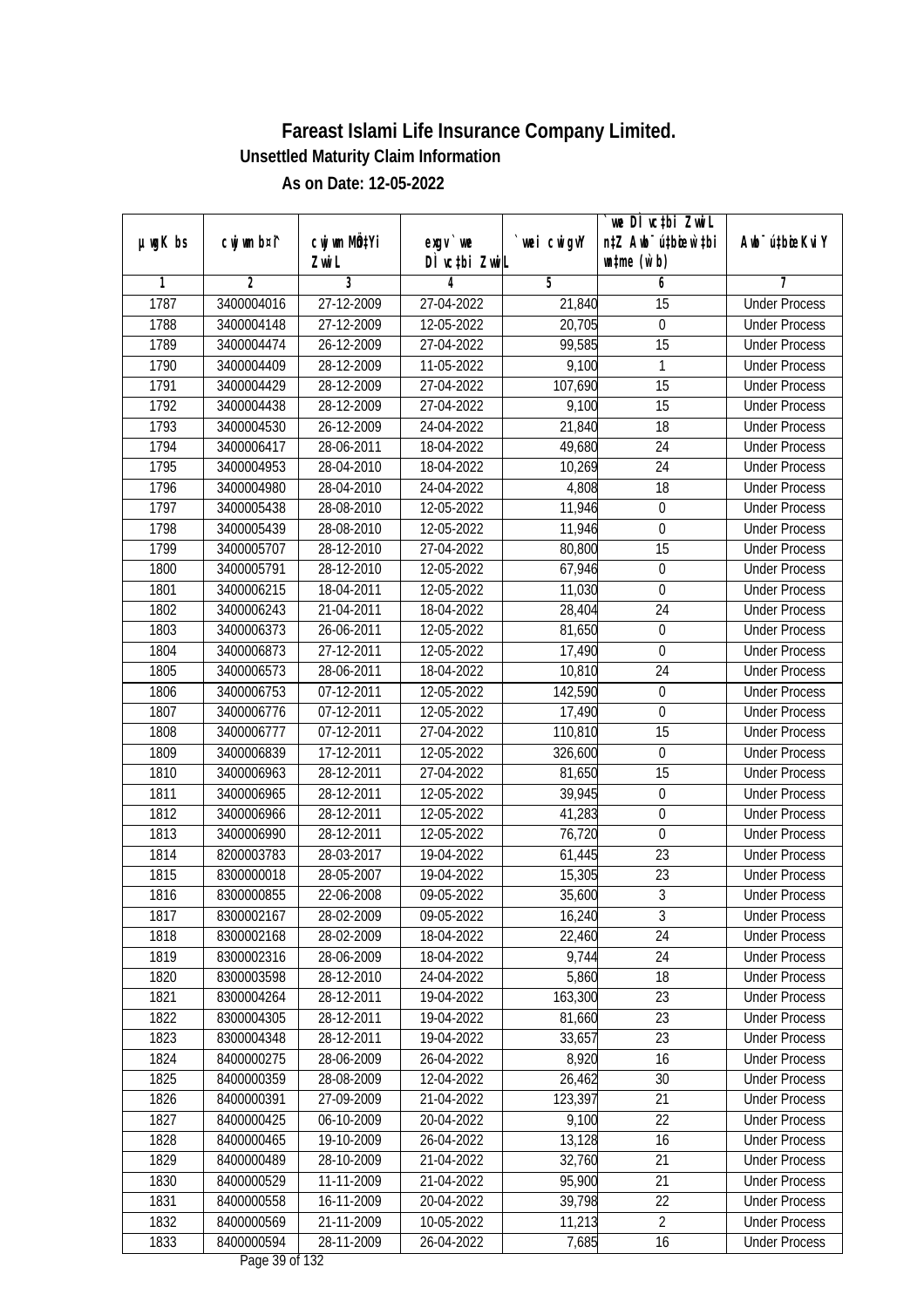| DÌ vctbi ZwiL<br>$\n  untime\n  (u`b)\n$<br>Zwi L<br>3<br>2<br>5<br>6<br>1<br>4<br>7<br>1787<br>3400004016<br>27-12-2009<br><b>Under Process</b><br>27-04-2022<br>21,840<br>15<br>1788<br>3400004148<br>27-12-2009<br>12-05-2022<br>20,705<br>$\boldsymbol{0}$<br><b>Under Process</b><br>99,585<br>$\overline{15}$<br>1789<br>3400004474<br>26-12-2009<br>27-04-2022<br><b>Under Process</b><br>1790<br>11-05-2022<br>9,100<br>3400004409<br>28-12-2009<br>1<br><b>Under Process</b><br>1791<br>3400004429<br>28-12-2009<br>27-04-2022<br>107,690<br>15<br><b>Under Process</b><br>1792<br>28-12-2009<br>9,100<br>$\overline{15}$<br>3400004438<br>27-04-2022<br><b>Under Process</b><br>1793<br>3400004530<br>26-12-2009<br>24-04-2022<br>21,840<br>18<br><b>Under Process</b><br>1794<br>$\overline{24}$<br>3400006417<br>28-06-2011<br>18-04-2022<br>49,680<br><b>Under Process</b><br>1795<br>3400004953<br>28-04-2010<br>18-04-2022<br>10,269<br>24<br><b>Under Process</b><br>1796<br>3400004980<br>28-04-2010<br>24-04-2022<br>4,808<br>18<br><b>Under Process</b><br>1797<br>28-08-2010<br>11,946<br>$\boldsymbol{0}$<br><b>Under Process</b><br>3400005438<br>12-05-2022<br>11,946<br>1798<br>3400005439<br>28-08-2010<br>12-05-2022<br>0<br><b>Under Process</b><br>$\overline{15}$<br>1799<br>3400005707<br>28-12-2010<br>27-04-2022<br>80,800<br><b>Under Process</b><br>1800<br>3400005791<br>28-12-2010<br>12-05-2022<br>67,946<br>$\boldsymbol{0}$<br><b>Under Process</b><br>1801<br>3400006215<br>18-04-2011<br>12-05-2022<br>11,030<br>0<br><b>Under Process</b><br>24<br>1802<br>3400006243<br>21-04-2011<br>18-04-2022<br>28,404<br><b>Under Process</b><br>1803<br>3400006373<br>26-06-2011<br>12-05-2022<br>81,650<br>0<br><b>Under Process</b><br>$\mathbf 0$<br>1804<br>3400006873<br>27-12-2011<br>12-05-2022<br>17,490<br><b>Under Process</b><br>1805<br>24<br>28-06-2011<br>18-04-2022<br>10,810<br><b>Under Process</b><br>3400006573<br>1806<br>07-12-2011<br>142,590<br>$\boldsymbol{0}$<br>3400006753<br>12-05-2022<br><b>Under Process</b><br>1807<br>3400006776<br>07-12-2011<br>12-05-2022<br>17,490<br>$\mathbf 0$<br><b>Under Process</b><br>1808<br>$\overline{07-1}$ 2-2011<br>27-04-2022<br>110,810<br>15<br>3400006777<br><b>Under Process</b><br>1809<br>$\overline{17}$ -12-2011<br>12-05-2022<br>326,600<br>$\boldsymbol{0}$<br>3400006839<br><b>Under Process</b><br>1810<br>15<br>3400006963<br>28-12-2011<br>27-04-2022<br>81,650<br><b>Under Process</b><br>1811<br>12-05-2022<br>3400006965<br>28-12-2011<br>39,945<br>0<br><b>Under Process</b><br>1812<br>3400006966<br>28-12-2011<br>$\boldsymbol{0}$<br>12-05-2022<br>41,283<br><b>Under Process</b><br>1813<br>3400006990<br>28-12-2011<br>12-05-2022<br>76,720<br>0<br><b>Under Process</b><br>23<br>1814<br>8200003783<br>28-03-2017<br>19-04-2022<br>61,445<br><b>Under Process</b> |               |             |                           |            |             | we DI vctbi ZwiL                 |                             |
|-----------------------------------------------------------------------------------------------------------------------------------------------------------------------------------------------------------------------------------------------------------------------------------------------------------------------------------------------------------------------------------------------------------------------------------------------------------------------------------------------------------------------------------------------------------------------------------------------------------------------------------------------------------------------------------------------------------------------------------------------------------------------------------------------------------------------------------------------------------------------------------------------------------------------------------------------------------------------------------------------------------------------------------------------------------------------------------------------------------------------------------------------------------------------------------------------------------------------------------------------------------------------------------------------------------------------------------------------------------------------------------------------------------------------------------------------------------------------------------------------------------------------------------------------------------------------------------------------------------------------------------------------------------------------------------------------------------------------------------------------------------------------------------------------------------------------------------------------------------------------------------------------------------------------------------------------------------------------------------------------------------------------------------------------------------------------------------------------------------------------------------------------------------------------------------------------------------------------------------------------------------------------------------------------------------------------------------------------------------------------------------------------------------------------------------------------------------------------------------------------------------------------------------------------------------------------------------------------------------------------------------------------------------------------------------------------------------------------------------------------------------------------------------------------------------------------------------------------------------------------------------------------|---------------|-------------|---------------------------|------------|-------------|----------------------------------|-----------------------------|
|                                                                                                                                                                                                                                                                                                                                                                                                                                                                                                                                                                                                                                                                                                                                                                                                                                                                                                                                                                                                                                                                                                                                                                                                                                                                                                                                                                                                                                                                                                                                                                                                                                                                                                                                                                                                                                                                                                                                                                                                                                                                                                                                                                                                                                                                                                                                                                                                                                                                                                                                                                                                                                                                                                                                                                                                                                                                                               | $µ$ ug $K$ bs | cwj wm b¤i^ | cwj wm MQ <sup>1</sup> Yi | $exgV$ we  | `wei cwigvY | n‡Z Awb <sup>-</sup> ú‡bioar`‡bi | Awb <sup>-</sup> ú‡bioeKviY |
|                                                                                                                                                                                                                                                                                                                                                                                                                                                                                                                                                                                                                                                                                                                                                                                                                                                                                                                                                                                                                                                                                                                                                                                                                                                                                                                                                                                                                                                                                                                                                                                                                                                                                                                                                                                                                                                                                                                                                                                                                                                                                                                                                                                                                                                                                                                                                                                                                                                                                                                                                                                                                                                                                                                                                                                                                                                                                               |               |             |                           |            |             |                                  |                             |
|                                                                                                                                                                                                                                                                                                                                                                                                                                                                                                                                                                                                                                                                                                                                                                                                                                                                                                                                                                                                                                                                                                                                                                                                                                                                                                                                                                                                                                                                                                                                                                                                                                                                                                                                                                                                                                                                                                                                                                                                                                                                                                                                                                                                                                                                                                                                                                                                                                                                                                                                                                                                                                                                                                                                                                                                                                                                                               |               |             |                           |            |             |                                  |                             |
|                                                                                                                                                                                                                                                                                                                                                                                                                                                                                                                                                                                                                                                                                                                                                                                                                                                                                                                                                                                                                                                                                                                                                                                                                                                                                                                                                                                                                                                                                                                                                                                                                                                                                                                                                                                                                                                                                                                                                                                                                                                                                                                                                                                                                                                                                                                                                                                                                                                                                                                                                                                                                                                                                                                                                                                                                                                                                               |               |             |                           |            |             |                                  |                             |
|                                                                                                                                                                                                                                                                                                                                                                                                                                                                                                                                                                                                                                                                                                                                                                                                                                                                                                                                                                                                                                                                                                                                                                                                                                                                                                                                                                                                                                                                                                                                                                                                                                                                                                                                                                                                                                                                                                                                                                                                                                                                                                                                                                                                                                                                                                                                                                                                                                                                                                                                                                                                                                                                                                                                                                                                                                                                                               |               |             |                           |            |             |                                  |                             |
|                                                                                                                                                                                                                                                                                                                                                                                                                                                                                                                                                                                                                                                                                                                                                                                                                                                                                                                                                                                                                                                                                                                                                                                                                                                                                                                                                                                                                                                                                                                                                                                                                                                                                                                                                                                                                                                                                                                                                                                                                                                                                                                                                                                                                                                                                                                                                                                                                                                                                                                                                                                                                                                                                                                                                                                                                                                                                               |               |             |                           |            |             |                                  |                             |
|                                                                                                                                                                                                                                                                                                                                                                                                                                                                                                                                                                                                                                                                                                                                                                                                                                                                                                                                                                                                                                                                                                                                                                                                                                                                                                                                                                                                                                                                                                                                                                                                                                                                                                                                                                                                                                                                                                                                                                                                                                                                                                                                                                                                                                                                                                                                                                                                                                                                                                                                                                                                                                                                                                                                                                                                                                                                                               |               |             |                           |            |             |                                  |                             |
|                                                                                                                                                                                                                                                                                                                                                                                                                                                                                                                                                                                                                                                                                                                                                                                                                                                                                                                                                                                                                                                                                                                                                                                                                                                                                                                                                                                                                                                                                                                                                                                                                                                                                                                                                                                                                                                                                                                                                                                                                                                                                                                                                                                                                                                                                                                                                                                                                                                                                                                                                                                                                                                                                                                                                                                                                                                                                               |               |             |                           |            |             |                                  |                             |
|                                                                                                                                                                                                                                                                                                                                                                                                                                                                                                                                                                                                                                                                                                                                                                                                                                                                                                                                                                                                                                                                                                                                                                                                                                                                                                                                                                                                                                                                                                                                                                                                                                                                                                                                                                                                                                                                                                                                                                                                                                                                                                                                                                                                                                                                                                                                                                                                                                                                                                                                                                                                                                                                                                                                                                                                                                                                                               |               |             |                           |            |             |                                  |                             |
|                                                                                                                                                                                                                                                                                                                                                                                                                                                                                                                                                                                                                                                                                                                                                                                                                                                                                                                                                                                                                                                                                                                                                                                                                                                                                                                                                                                                                                                                                                                                                                                                                                                                                                                                                                                                                                                                                                                                                                                                                                                                                                                                                                                                                                                                                                                                                                                                                                                                                                                                                                                                                                                                                                                                                                                                                                                                                               |               |             |                           |            |             |                                  |                             |
|                                                                                                                                                                                                                                                                                                                                                                                                                                                                                                                                                                                                                                                                                                                                                                                                                                                                                                                                                                                                                                                                                                                                                                                                                                                                                                                                                                                                                                                                                                                                                                                                                                                                                                                                                                                                                                                                                                                                                                                                                                                                                                                                                                                                                                                                                                                                                                                                                                                                                                                                                                                                                                                                                                                                                                                                                                                                                               |               |             |                           |            |             |                                  |                             |
|                                                                                                                                                                                                                                                                                                                                                                                                                                                                                                                                                                                                                                                                                                                                                                                                                                                                                                                                                                                                                                                                                                                                                                                                                                                                                                                                                                                                                                                                                                                                                                                                                                                                                                                                                                                                                                                                                                                                                                                                                                                                                                                                                                                                                                                                                                                                                                                                                                                                                                                                                                                                                                                                                                                                                                                                                                                                                               |               |             |                           |            |             |                                  |                             |
|                                                                                                                                                                                                                                                                                                                                                                                                                                                                                                                                                                                                                                                                                                                                                                                                                                                                                                                                                                                                                                                                                                                                                                                                                                                                                                                                                                                                                                                                                                                                                                                                                                                                                                                                                                                                                                                                                                                                                                                                                                                                                                                                                                                                                                                                                                                                                                                                                                                                                                                                                                                                                                                                                                                                                                                                                                                                                               |               |             |                           |            |             |                                  |                             |
|                                                                                                                                                                                                                                                                                                                                                                                                                                                                                                                                                                                                                                                                                                                                                                                                                                                                                                                                                                                                                                                                                                                                                                                                                                                                                                                                                                                                                                                                                                                                                                                                                                                                                                                                                                                                                                                                                                                                                                                                                                                                                                                                                                                                                                                                                                                                                                                                                                                                                                                                                                                                                                                                                                                                                                                                                                                                                               |               |             |                           |            |             |                                  |                             |
|                                                                                                                                                                                                                                                                                                                                                                                                                                                                                                                                                                                                                                                                                                                                                                                                                                                                                                                                                                                                                                                                                                                                                                                                                                                                                                                                                                                                                                                                                                                                                                                                                                                                                                                                                                                                                                                                                                                                                                                                                                                                                                                                                                                                                                                                                                                                                                                                                                                                                                                                                                                                                                                                                                                                                                                                                                                                                               |               |             |                           |            |             |                                  |                             |
|                                                                                                                                                                                                                                                                                                                                                                                                                                                                                                                                                                                                                                                                                                                                                                                                                                                                                                                                                                                                                                                                                                                                                                                                                                                                                                                                                                                                                                                                                                                                                                                                                                                                                                                                                                                                                                                                                                                                                                                                                                                                                                                                                                                                                                                                                                                                                                                                                                                                                                                                                                                                                                                                                                                                                                                                                                                                                               |               |             |                           |            |             |                                  |                             |
|                                                                                                                                                                                                                                                                                                                                                                                                                                                                                                                                                                                                                                                                                                                                                                                                                                                                                                                                                                                                                                                                                                                                                                                                                                                                                                                                                                                                                                                                                                                                                                                                                                                                                                                                                                                                                                                                                                                                                                                                                                                                                                                                                                                                                                                                                                                                                                                                                                                                                                                                                                                                                                                                                                                                                                                                                                                                                               |               |             |                           |            |             |                                  |                             |
|                                                                                                                                                                                                                                                                                                                                                                                                                                                                                                                                                                                                                                                                                                                                                                                                                                                                                                                                                                                                                                                                                                                                                                                                                                                                                                                                                                                                                                                                                                                                                                                                                                                                                                                                                                                                                                                                                                                                                                                                                                                                                                                                                                                                                                                                                                                                                                                                                                                                                                                                                                                                                                                                                                                                                                                                                                                                                               |               |             |                           |            |             |                                  |                             |
|                                                                                                                                                                                                                                                                                                                                                                                                                                                                                                                                                                                                                                                                                                                                                                                                                                                                                                                                                                                                                                                                                                                                                                                                                                                                                                                                                                                                                                                                                                                                                                                                                                                                                                                                                                                                                                                                                                                                                                                                                                                                                                                                                                                                                                                                                                                                                                                                                                                                                                                                                                                                                                                                                                                                                                                                                                                                                               |               |             |                           |            |             |                                  |                             |
|                                                                                                                                                                                                                                                                                                                                                                                                                                                                                                                                                                                                                                                                                                                                                                                                                                                                                                                                                                                                                                                                                                                                                                                                                                                                                                                                                                                                                                                                                                                                                                                                                                                                                                                                                                                                                                                                                                                                                                                                                                                                                                                                                                                                                                                                                                                                                                                                                                                                                                                                                                                                                                                                                                                                                                                                                                                                                               |               |             |                           |            |             |                                  |                             |
|                                                                                                                                                                                                                                                                                                                                                                                                                                                                                                                                                                                                                                                                                                                                                                                                                                                                                                                                                                                                                                                                                                                                                                                                                                                                                                                                                                                                                                                                                                                                                                                                                                                                                                                                                                                                                                                                                                                                                                                                                                                                                                                                                                                                                                                                                                                                                                                                                                                                                                                                                                                                                                                                                                                                                                                                                                                                                               |               |             |                           |            |             |                                  |                             |
|                                                                                                                                                                                                                                                                                                                                                                                                                                                                                                                                                                                                                                                                                                                                                                                                                                                                                                                                                                                                                                                                                                                                                                                                                                                                                                                                                                                                                                                                                                                                                                                                                                                                                                                                                                                                                                                                                                                                                                                                                                                                                                                                                                                                                                                                                                                                                                                                                                                                                                                                                                                                                                                                                                                                                                                                                                                                                               |               |             |                           |            |             |                                  |                             |
|                                                                                                                                                                                                                                                                                                                                                                                                                                                                                                                                                                                                                                                                                                                                                                                                                                                                                                                                                                                                                                                                                                                                                                                                                                                                                                                                                                                                                                                                                                                                                                                                                                                                                                                                                                                                                                                                                                                                                                                                                                                                                                                                                                                                                                                                                                                                                                                                                                                                                                                                                                                                                                                                                                                                                                                                                                                                                               |               |             |                           |            |             |                                  |                             |
|                                                                                                                                                                                                                                                                                                                                                                                                                                                                                                                                                                                                                                                                                                                                                                                                                                                                                                                                                                                                                                                                                                                                                                                                                                                                                                                                                                                                                                                                                                                                                                                                                                                                                                                                                                                                                                                                                                                                                                                                                                                                                                                                                                                                                                                                                                                                                                                                                                                                                                                                                                                                                                                                                                                                                                                                                                                                                               |               |             |                           |            |             |                                  |                             |
|                                                                                                                                                                                                                                                                                                                                                                                                                                                                                                                                                                                                                                                                                                                                                                                                                                                                                                                                                                                                                                                                                                                                                                                                                                                                                                                                                                                                                                                                                                                                                                                                                                                                                                                                                                                                                                                                                                                                                                                                                                                                                                                                                                                                                                                                                                                                                                                                                                                                                                                                                                                                                                                                                                                                                                                                                                                                                               |               |             |                           |            |             |                                  |                             |
|                                                                                                                                                                                                                                                                                                                                                                                                                                                                                                                                                                                                                                                                                                                                                                                                                                                                                                                                                                                                                                                                                                                                                                                                                                                                                                                                                                                                                                                                                                                                                                                                                                                                                                                                                                                                                                                                                                                                                                                                                                                                                                                                                                                                                                                                                                                                                                                                                                                                                                                                                                                                                                                                                                                                                                                                                                                                                               |               |             |                           |            |             |                                  |                             |
|                                                                                                                                                                                                                                                                                                                                                                                                                                                                                                                                                                                                                                                                                                                                                                                                                                                                                                                                                                                                                                                                                                                                                                                                                                                                                                                                                                                                                                                                                                                                                                                                                                                                                                                                                                                                                                                                                                                                                                                                                                                                                                                                                                                                                                                                                                                                                                                                                                                                                                                                                                                                                                                                                                                                                                                                                                                                                               |               |             |                           |            |             |                                  |                             |
|                                                                                                                                                                                                                                                                                                                                                                                                                                                                                                                                                                                                                                                                                                                                                                                                                                                                                                                                                                                                                                                                                                                                                                                                                                                                                                                                                                                                                                                                                                                                                                                                                                                                                                                                                                                                                                                                                                                                                                                                                                                                                                                                                                                                                                                                                                                                                                                                                                                                                                                                                                                                                                                                                                                                                                                                                                                                                               |               |             |                           |            |             |                                  |                             |
|                                                                                                                                                                                                                                                                                                                                                                                                                                                                                                                                                                                                                                                                                                                                                                                                                                                                                                                                                                                                                                                                                                                                                                                                                                                                                                                                                                                                                                                                                                                                                                                                                                                                                                                                                                                                                                                                                                                                                                                                                                                                                                                                                                                                                                                                                                                                                                                                                                                                                                                                                                                                                                                                                                                                                                                                                                                                                               |               |             |                           |            |             |                                  |                             |
|                                                                                                                                                                                                                                                                                                                                                                                                                                                                                                                                                                                                                                                                                                                                                                                                                                                                                                                                                                                                                                                                                                                                                                                                                                                                                                                                                                                                                                                                                                                                                                                                                                                                                                                                                                                                                                                                                                                                                                                                                                                                                                                                                                                                                                                                                                                                                                                                                                                                                                                                                                                                                                                                                                                                                                                                                                                                                               |               |             |                           |            |             |                                  |                             |
|                                                                                                                                                                                                                                                                                                                                                                                                                                                                                                                                                                                                                                                                                                                                                                                                                                                                                                                                                                                                                                                                                                                                                                                                                                                                                                                                                                                                                                                                                                                                                                                                                                                                                                                                                                                                                                                                                                                                                                                                                                                                                                                                                                                                                                                                                                                                                                                                                                                                                                                                                                                                                                                                                                                                                                                                                                                                                               |               |             |                           |            |             |                                  |                             |
|                                                                                                                                                                                                                                                                                                                                                                                                                                                                                                                                                                                                                                                                                                                                                                                                                                                                                                                                                                                                                                                                                                                                                                                                                                                                                                                                                                                                                                                                                                                                                                                                                                                                                                                                                                                                                                                                                                                                                                                                                                                                                                                                                                                                                                                                                                                                                                                                                                                                                                                                                                                                                                                                                                                                                                                                                                                                                               | 1815          | 8300000018  | 28-05-2007                | 19-04-2022 | 15,305      | 23                               | <b>Under Process</b>        |
| $\overline{3}$<br>1816<br>22-06-2008<br>09-05-2022<br>35,600<br>8300000855<br><b>Under Process</b>                                                                                                                                                                                                                                                                                                                                                                                                                                                                                                                                                                                                                                                                                                                                                                                                                                                                                                                                                                                                                                                                                                                                                                                                                                                                                                                                                                                                                                                                                                                                                                                                                                                                                                                                                                                                                                                                                                                                                                                                                                                                                                                                                                                                                                                                                                                                                                                                                                                                                                                                                                                                                                                                                                                                                                                            |               |             |                           |            |             |                                  |                             |
| 1817<br>8300002167<br>28-02-2009<br>09-05-2022<br>16,240<br>3<br><b>Under Process</b>                                                                                                                                                                                                                                                                                                                                                                                                                                                                                                                                                                                                                                                                                                                                                                                                                                                                                                                                                                                                                                                                                                                                                                                                                                                                                                                                                                                                                                                                                                                                                                                                                                                                                                                                                                                                                                                                                                                                                                                                                                                                                                                                                                                                                                                                                                                                                                                                                                                                                                                                                                                                                                                                                                                                                                                                         |               |             |                           |            |             |                                  |                             |
| 24<br>1818<br>8300002168<br>28-02-2009<br>18-04-2022<br>22,460<br><b>Under Process</b>                                                                                                                                                                                                                                                                                                                                                                                                                                                                                                                                                                                                                                                                                                                                                                                                                                                                                                                                                                                                                                                                                                                                                                                                                                                                                                                                                                                                                                                                                                                                                                                                                                                                                                                                                                                                                                                                                                                                                                                                                                                                                                                                                                                                                                                                                                                                                                                                                                                                                                                                                                                                                                                                                                                                                                                                        |               |             |                           |            |             |                                  |                             |
| 1819<br>9,744<br>24<br>8300002316<br>28-06-2009<br>18-04-2022<br><b>Under Process</b>                                                                                                                                                                                                                                                                                                                                                                                                                                                                                                                                                                                                                                                                                                                                                                                                                                                                                                                                                                                                                                                                                                                                                                                                                                                                                                                                                                                                                                                                                                                                                                                                                                                                                                                                                                                                                                                                                                                                                                                                                                                                                                                                                                                                                                                                                                                                                                                                                                                                                                                                                                                                                                                                                                                                                                                                         |               |             |                           |            |             |                                  |                             |
| 5,860<br>18<br>1820<br>8300003598<br>28-12-2010<br>24-04-2022<br><b>Under Process</b>                                                                                                                                                                                                                                                                                                                                                                                                                                                                                                                                                                                                                                                                                                                                                                                                                                                                                                                                                                                                                                                                                                                                                                                                                                                                                                                                                                                                                                                                                                                                                                                                                                                                                                                                                                                                                                                                                                                                                                                                                                                                                                                                                                                                                                                                                                                                                                                                                                                                                                                                                                                                                                                                                                                                                                                                         |               |             |                           |            |             |                                  |                             |
| 1821<br>8300004264<br>163,300<br>23<br>28-12-2011<br>19-04-2022<br><b>Under Process</b>                                                                                                                                                                                                                                                                                                                                                                                                                                                                                                                                                                                                                                                                                                                                                                                                                                                                                                                                                                                                                                                                                                                                                                                                                                                                                                                                                                                                                                                                                                                                                                                                                                                                                                                                                                                                                                                                                                                                                                                                                                                                                                                                                                                                                                                                                                                                                                                                                                                                                                                                                                                                                                                                                                                                                                                                       |               |             |                           |            |             |                                  |                             |
| 1822<br>23<br>8300004305<br>28-12-2011<br>19-04-2022<br>81,660<br><b>Under Process</b>                                                                                                                                                                                                                                                                                                                                                                                                                                                                                                                                                                                                                                                                                                                                                                                                                                                                                                                                                                                                                                                                                                                                                                                                                                                                                                                                                                                                                                                                                                                                                                                                                                                                                                                                                                                                                                                                                                                                                                                                                                                                                                                                                                                                                                                                                                                                                                                                                                                                                                                                                                                                                                                                                                                                                                                                        |               |             |                           |            |             |                                  |                             |
| 23<br>1823<br>8300004348<br>28-12-2011<br>19-04-2022<br>33,657<br><b>Under Process</b>                                                                                                                                                                                                                                                                                                                                                                                                                                                                                                                                                                                                                                                                                                                                                                                                                                                                                                                                                                                                                                                                                                                                                                                                                                                                                                                                                                                                                                                                                                                                                                                                                                                                                                                                                                                                                                                                                                                                                                                                                                                                                                                                                                                                                                                                                                                                                                                                                                                                                                                                                                                                                                                                                                                                                                                                        |               |             |                           |            |             |                                  |                             |
| 1824<br>28-06-2009<br>8,920<br>8400000275<br>26-04-2022<br>16<br><b>Under Process</b>                                                                                                                                                                                                                                                                                                                                                                                                                                                                                                                                                                                                                                                                                                                                                                                                                                                                                                                                                                                                                                                                                                                                                                                                                                                                                                                                                                                                                                                                                                                                                                                                                                                                                                                                                                                                                                                                                                                                                                                                                                                                                                                                                                                                                                                                                                                                                                                                                                                                                                                                                                                                                                                                                                                                                                                                         |               |             |                           |            |             |                                  |                             |
| 1825<br>8400000359<br>28-08-2009<br>12-04-2022<br>26,462<br>30<br><b>Under Process</b>                                                                                                                                                                                                                                                                                                                                                                                                                                                                                                                                                                                                                                                                                                                                                                                                                                                                                                                                                                                                                                                                                                                                                                                                                                                                                                                                                                                                                                                                                                                                                                                                                                                                                                                                                                                                                                                                                                                                                                                                                                                                                                                                                                                                                                                                                                                                                                                                                                                                                                                                                                                                                                                                                                                                                                                                        |               |             |                           |            |             |                                  |                             |
| 1826<br>27-09-2009<br>123,397<br>21<br>8400000391<br>21-04-2022<br><b>Under Process</b>                                                                                                                                                                                                                                                                                                                                                                                                                                                                                                                                                                                                                                                                                                                                                                                                                                                                                                                                                                                                                                                                                                                                                                                                                                                                                                                                                                                                                                                                                                                                                                                                                                                                                                                                                                                                                                                                                                                                                                                                                                                                                                                                                                                                                                                                                                                                                                                                                                                                                                                                                                                                                                                                                                                                                                                                       |               |             |                           |            |             |                                  |                             |
| 1827<br>8400000425<br>06-10-2009<br>9,100<br>22<br><b>Under Process</b><br>20-04-2022                                                                                                                                                                                                                                                                                                                                                                                                                                                                                                                                                                                                                                                                                                                                                                                                                                                                                                                                                                                                                                                                                                                                                                                                                                                                                                                                                                                                                                                                                                                                                                                                                                                                                                                                                                                                                                                                                                                                                                                                                                                                                                                                                                                                                                                                                                                                                                                                                                                                                                                                                                                                                                                                                                                                                                                                         |               |             |                           |            |             |                                  |                             |
| 8400000465<br>19-10-2009<br>13,128<br>1828<br>26-04-2022<br>16<br><b>Under Process</b>                                                                                                                                                                                                                                                                                                                                                                                                                                                                                                                                                                                                                                                                                                                                                                                                                                                                                                                                                                                                                                                                                                                                                                                                                                                                                                                                                                                                                                                                                                                                                                                                                                                                                                                                                                                                                                                                                                                                                                                                                                                                                                                                                                                                                                                                                                                                                                                                                                                                                                                                                                                                                                                                                                                                                                                                        |               |             |                           |            |             |                                  |                             |
| $\overline{21}$<br>1829<br>8400000489<br>28-10-2009<br>32,760<br>21-04-2022<br><b>Under Process</b>                                                                                                                                                                                                                                                                                                                                                                                                                                                                                                                                                                                                                                                                                                                                                                                                                                                                                                                                                                                                                                                                                                                                                                                                                                                                                                                                                                                                                                                                                                                                                                                                                                                                                                                                                                                                                                                                                                                                                                                                                                                                                                                                                                                                                                                                                                                                                                                                                                                                                                                                                                                                                                                                                                                                                                                           |               |             |                           |            |             |                                  |                             |
| 8400000529<br>11-11-2009<br>95,900<br>21<br>1830<br>21-04-2022<br><b>Under Process</b>                                                                                                                                                                                                                                                                                                                                                                                                                                                                                                                                                                                                                                                                                                                                                                                                                                                                                                                                                                                                                                                                                                                                                                                                                                                                                                                                                                                                                                                                                                                                                                                                                                                                                                                                                                                                                                                                                                                                                                                                                                                                                                                                                                                                                                                                                                                                                                                                                                                                                                                                                                                                                                                                                                                                                                                                        |               |             |                           |            |             |                                  |                             |
| 1831<br>39,798<br>22<br>8400000558<br>16-11-2009<br>20-04-2022<br><b>Under Process</b>                                                                                                                                                                                                                                                                                                                                                                                                                                                                                                                                                                                                                                                                                                                                                                                                                                                                                                                                                                                                                                                                                                                                                                                                                                                                                                                                                                                                                                                                                                                                                                                                                                                                                                                                                                                                                                                                                                                                                                                                                                                                                                                                                                                                                                                                                                                                                                                                                                                                                                                                                                                                                                                                                                                                                                                                        |               |             |                           |            |             |                                  |                             |
| 1832<br>8400000569<br>21-11-2009<br>10-05-2022<br>11,213<br>$\overline{2}$<br><b>Under Process</b>                                                                                                                                                                                                                                                                                                                                                                                                                                                                                                                                                                                                                                                                                                                                                                                                                                                                                                                                                                                                                                                                                                                                                                                                                                                                                                                                                                                                                                                                                                                                                                                                                                                                                                                                                                                                                                                                                                                                                                                                                                                                                                                                                                                                                                                                                                                                                                                                                                                                                                                                                                                                                                                                                                                                                                                            |               |             |                           |            |             |                                  |                             |
| 1833<br>8400000594<br>28-11-2009<br>26-04-2022<br>7,685<br>16<br><b>Under Process</b><br>Dege 20 of 122                                                                                                                                                                                                                                                                                                                                                                                                                                                                                                                                                                                                                                                                                                                                                                                                                                                                                                                                                                                                                                                                                                                                                                                                                                                                                                                                                                                                                                                                                                                                                                                                                                                                                                                                                                                                                                                                                                                                                                                                                                                                                                                                                                                                                                                                                                                                                                                                                                                                                                                                                                                                                                                                                                                                                                                       |               |             |                           |            |             |                                  |                             |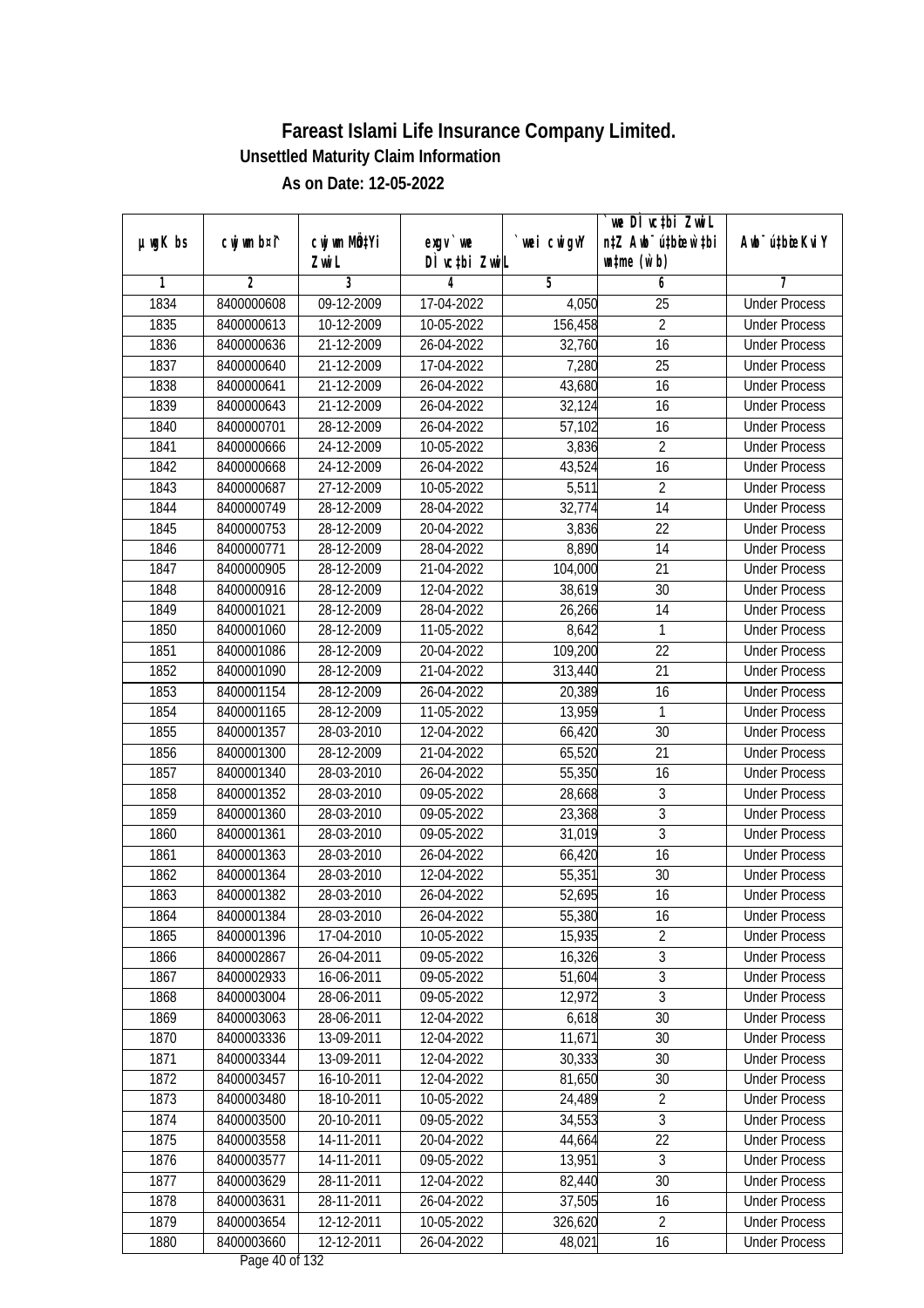|               |                          |                          |                                |                  | `we DÌ vc‡bi ZwiL                                           |                                              |
|---------------|--------------------------|--------------------------|--------------------------------|------------------|-------------------------------------------------------------|----------------------------------------------|
| $µ$ ug $K$ bs | cwj wm b¤i^              | cwj wm MQtYi<br>Zwi L    | $exgV$ we<br>DÌ vctbi ZwiL     | `wei cwigvY      | n‡Z Awb <sup>-</sup> ú‡bioar`‡bi<br>$\n  untime\n  (u`b)\n$ | Awb <sup>-</sup> ú‡bioeKviY                  |
| 1             | 2                        | 3                        | 4                              | 5                | 6                                                           | 7                                            |
| 1834          | 8400000608               | 09-12-2009               | 17-04-2022                     | 4,050            | 25                                                          | <b>Under Process</b>                         |
| 1835          | 8400000613               | 10-12-2009               | 10-05-2022                     | 156,458          | $\overline{2}$                                              | <b>Under Process</b>                         |
| 1836          | 8400000636               | 21-12-2009               | 26-04-2022                     | 32,760           | 16                                                          | <b>Under Process</b>                         |
| 1837          | 8400000640               | 21-12-2009               | 17-04-2022                     | 7,280            | $\overline{25}$                                             | <b>Under Process</b>                         |
| 1838          | 8400000641               | 21-12-2009               | 26-04-2022                     | 43,680           | 16                                                          | <b>Under Process</b>                         |
| 1839          | 8400000643               | 21-12-2009               | 26-04-2022                     | 32,124           | $\overline{16}$                                             | <b>Under Process</b>                         |
| 1840          | 8400000701               | 28-12-2009               | 26-04-2022                     | 57,102           | 16                                                          | <b>Under Process</b>                         |
| 1841          | 8400000666               | 24-12-2009               | 10-05-2022                     | 3,836            | $\overline{2}$                                              | <b>Under Process</b>                         |
| 1842          | 8400000668               | 24-12-2009               | 26-04-2022                     | 43,524           | 16                                                          | <b>Under Process</b>                         |
| 1843          | 8400000687               | 27-12-2009               | 10-05-2022                     | 5,511            | $\overline{2}$                                              | <b>Under Process</b>                         |
| 1844          | 8400000749               | 28-12-2009               | 28-04-2022                     | 32,774           | 14                                                          | <b>Under Process</b>                         |
| 1845          | 8400000753               | 28-12-2009               | 20-04-2022                     | 3,836            | 22                                                          | <b>Under Process</b>                         |
| 1846          | 8400000771               | 28-12-2009               | 28-04-2022                     | 8,890            | $\overline{14}$                                             | <b>Under Process</b>                         |
| 1847          | 8400000905               | 28-12-2009               | 21-04-2022                     | 104,000          | 21                                                          | <b>Under Process</b>                         |
| 1848          | 8400000916               | 28-12-2009               | 12-04-2022                     | 38,619           | 30                                                          | <b>Under Process</b>                         |
| 1849          | 8400001021               | 28-12-2009               | 28-04-2022                     | 26,266           | 14                                                          | <b>Under Process</b>                         |
| 1850          | 8400001060               | 28-12-2009               | 11-05-2022                     | 8,642            | 1                                                           | <b>Under Process</b>                         |
| 1851          | 8400001086               | 28-12-2009               | 20-04-2022                     | 109,200          | 22                                                          | <b>Under Process</b>                         |
| 1852          | 8400001090               | 28-12-2009               | 21-04-2022                     |                  | 21                                                          | <b>Under Process</b>                         |
|               |                          |                          |                                | 313,440          |                                                             |                                              |
| 1853<br>1854  | 8400001154<br>8400001165 | 28-12-2009<br>28-12-2009 | 26-04-2022<br>11-05-2022       | 20,389<br>13,959 | 16<br>1                                                     | <b>Under Process</b><br><b>Under Process</b> |
| 1855          |                          | 28-03-2010               |                                | 66,420           | 30                                                          | <b>Under Process</b>                         |
| 1856          | 8400001357               |                          | 12-04-2022<br>21-04-2022       |                  | 21                                                          | <b>Under Process</b>                         |
| 1857          | 8400001300<br>8400001340 | 28-12-2009<br>28-03-2010 | 26-04-2022                     | 65,520<br>55,350 | 16                                                          | <b>Under Process</b>                         |
| 1858          |                          |                          | 09-05-2022                     | 28,668           | $\sqrt{3}$                                                  | <b>Under Process</b>                         |
| 1859          | 8400001352<br>8400001360 | 28-03-2010<br>28-03-2010 |                                |                  | 3                                                           | <b>Under Process</b>                         |
| 1860          | 8400001361               | 28-03-2010               | 09-05-2022<br>09-05-2022       | 23,368<br>31,019 | 3                                                           | <b>Under Process</b>                         |
| 1861          | 8400001363               | 28-03-2010               | 26-04-2022                     | 66,420           | 16                                                          | <b>Under Process</b>                         |
|               | 8400001364               | 28-03-2010               | 12-04-2022                     |                  | 30                                                          | <b>Under Process</b>                         |
| 1862<br>1863  | 8400001382               | 28-03-2010               | 26-04-2022                     | 55,351<br>52,695 | 16                                                          | <b>Under Process</b>                         |
|               |                          |                          |                                |                  |                                                             |                                              |
| 1864          | 8400001384<br>8400001396 | 28-03-2010<br>17-04-2010 | 26-04-2022                     | 55,380           | 16<br>$\overline{2}$                                        | <b>Under Process</b><br><b>Under Process</b> |
| 1865          |                          |                          | 10-05-2022                     | 15,935           | $\overline{3}$                                              |                                              |
| 1866          | 8400002867               | 26-04-2011               | 09-05-2022                     | 16,326           | $\overline{3}$                                              | <b>Under Process</b>                         |
| 1867          | 8400002933               | 16-06-2011               | 09-05-2022                     | 51,604           | $\overline{3}$                                              | <b>Under Process</b>                         |
| 1868          | 8400003004               | 28-06-2011               | 09-05-2022                     | 12,972           |                                                             | <b>Under Process</b>                         |
| 1869          | 8400003063               | 28-06-2011<br>13-09-2011 | 12-04-2022                     | 6,618            | 30                                                          | <b>Under Process</b>                         |
| 1870<br>1871  | 8400003336<br>8400003344 | 13-09-2011               | 12-04-2022                     | 11,671<br>30,333 | 30<br>30                                                    | <b>Under Process</b>                         |
|               |                          |                          | 12-04-2022                     |                  |                                                             | <b>Under Process</b>                         |
| 1872          | 8400003457<br>8400003480 | 16-10-2011<br>18-10-2011 | 12-04-2022                     | 81,650<br>24,489 | 30<br>$\overline{2}$                                        | <b>Under Process</b>                         |
| 1873<br>1874  |                          | 20-10-2011               | 10-05-2022                     |                  | $\overline{3}$                                              | <b>Under Process</b><br><b>Under Process</b> |
| 1875          | 8400003500<br>8400003558 | 14-11-2011               | 09-05-2022<br>20-04-2022       | 34,553<br>44,664 | 22                                                          | <b>Under Process</b>                         |
| 1876          | 8400003577               | 14-11-2011               | $09 - 05 - 2022$               | 13,951           | $\overline{3}$                                              | <b>Under Process</b>                         |
|               | 8400003629               |                          |                                |                  | 30                                                          |                                              |
| 1877          |                          | 28-11-2011               | 12-04-2022                     | 82,440           |                                                             | <b>Under Process</b>                         |
| 1878          | 8400003631               | 28-11-2011               | 26-04-2022                     | 37,505           | 16                                                          | <b>Under Process</b>                         |
| 1879          | 8400003654               | 12-12-2011               | 10-05-2022                     | 326,620          | $\overline{2}$                                              | <b>Under Process</b>                         |
| 1880          | 8400003660               | 12-12-2011               | 26-04-2022<br>Dega $40$ of 122 | 48,021           | 16                                                          | <b>Under Process</b>                         |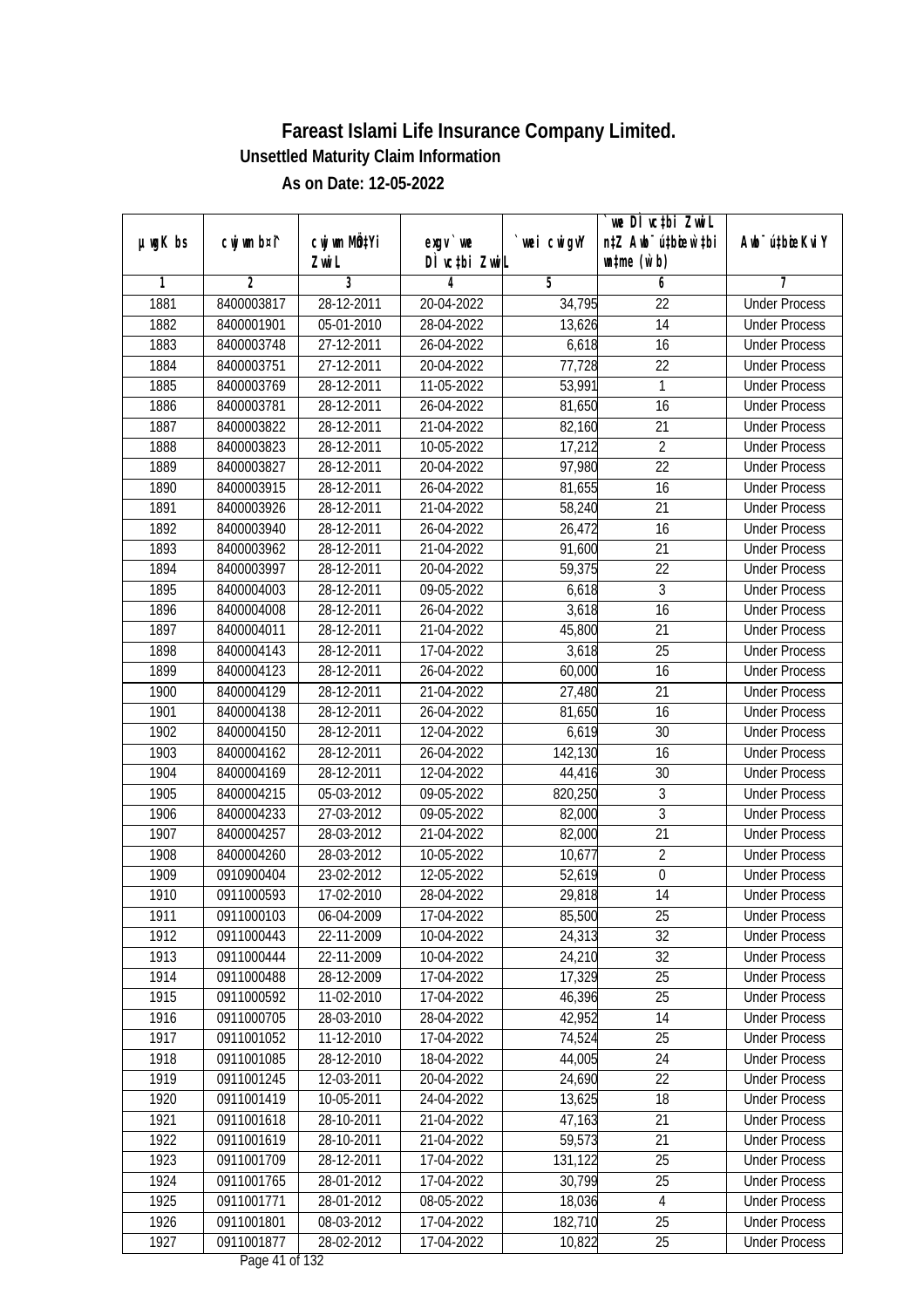|         |                |              |                  |                | we DI vctbi ZwiL                 |                             |
|---------|----------------|--------------|------------------|----------------|----------------------------------|-----------------------------|
| µwgK bs | cwj wm b¤i^    | cwj wm MQtYi | $exqu$ we        | `wei cwigvY    | n‡Z Awb <sup>-</sup> ú‡bioar`‡bi | Awb <sup>-</sup> ú‡bioeKviY |
|         |                | Zwi L        | DÌ vctbi ZwiL    |                | $\n  untime\n  (u`b)\n$          |                             |
| 1       | $\overline{2}$ | 3            | 4                | $\overline{5}$ | 6                                | 7                           |
| 1881    | 8400003817     | 28-12-2011   | 20-04-2022       | 34,795         | $\overline{22}$                  | <b>Under Process</b>        |
| 1882    | 8400001901     | 05-01-2010   | 28-04-2022       | 13,626         | $\overline{14}$                  | <b>Under Process</b>        |
| 1883    | 8400003748     | 27-12-2011   | 26-04-2022       | 6,618          | 16                               | <b>Under Process</b>        |
| 1884    | 8400003751     | 27-12-2011   | 20-04-2022       | 77,728         | 22                               | <b>Under Process</b>        |
| 1885    | 8400003769     | 28-12-2011   | 11-05-2022       | 53,991         | 1                                | <b>Under Process</b>        |
| 1886    | 8400003781     | 28-12-2011   | 26-04-2022       | 81,650         | 16                               | <b>Under Process</b>        |
| 1887    | 8400003822     | 28-12-2011   | 21-04-2022       | 82,160         | $\overline{21}$                  | <b>Under Process</b>        |
| 1888    | 8400003823     | 28-12-2011   | 10-05-2022       | 17,212         | $\overline{2}$                   | <b>Under Process</b>        |
| 1889    | 8400003827     | 28-12-2011   | 20-04-2022       | 97,980         | $\overline{22}$                  | <b>Under Process</b>        |
| 1890    | 8400003915     | 28-12-2011   | 26-04-2022       | 81,655         | 16                               | <b>Under Process</b>        |
| 1891    | 8400003926     | 28-12-2011   | 21-04-2022       | 58,240         | $\overline{21}$                  | <b>Under Process</b>        |
| 1892    | 8400003940     | 28-12-2011   | 26-04-2022       | 26,472         | 16                               | <b>Under Process</b>        |
| 1893    | 8400003962     | 28-12-2011   | 21-04-2022       | 91,600         | $\overline{21}$                  | <b>Under Process</b>        |
| 1894    | 8400003997     | 28-12-2011   | 20-04-2022       | 59,375         | 22                               | <b>Under Process</b>        |
| 1895    | 8400004003     | 28-12-2011   | 09-05-2022       | 6,618          | 3                                | <b>Under Process</b>        |
| 1896    | 8400004008     | 28-12-2011   | 26-04-2022       | 3,618          | 16                               | <b>Under Process</b>        |
| 1897    | 8400004011     | 28-12-2011   | 21-04-2022       | 45,800         | 21                               | <b>Under Process</b>        |
| 1898    | 8400004143     | 28-12-2011   | 17-04-2022       | 3,618          | 25                               | <b>Under Process</b>        |
| 1899    | 8400004123     | 28-12-2011   | 26-04-2022       | 60,000         | 16                               | <b>Under Process</b>        |
| 1900    | 8400004129     | 28-12-2011   | 21-04-2022       | 27,480         | 21                               | <b>Under Process</b>        |
| 1901    | 8400004138     | 28-12-2011   | 26-04-2022       | 81,650         | 16                               | <b>Under Process</b>        |
| 1902    | 8400004150     | 28-12-2011   | 12-04-2022       | 6,619          | 30                               | <b>Under Process</b>        |
| 1903    | 8400004162     | 28-12-2011   | 26-04-2022       | 142,130        | 16                               | <b>Under Process</b>        |
| 1904    | 8400004169     | 28-12-2011   | 12-04-2022       | 44,416         | 30                               | <b>Under Process</b>        |
| 1905    | 8400004215     | 05-03-2012   | 09-05-2022       | 820,250        | 3                                | <b>Under Process</b>        |
| 1906    | 8400004233     | 27-03-2012   | 09-05-2022       | 82,000         | 3                                | <b>Under Process</b>        |
| 1907    | 8400004257     | 28-03-2012   | 21-04-2022       | 82,000         | 21                               | <b>Under Process</b>        |
| 1908    | 8400004260     | 28-03-2012   | 10-05-2022       | 10,677         | $\overline{2}$                   | <b>Under Process</b>        |
| 1909    | 0910900404     | 23-02-2012   | 12-05-2022       | 52,619         | $\boldsymbol{0}$                 | <b>Under Process</b>        |
| 1910    | 0911000593     | 17-02-2010   | 28-04-2022       | 29,818         | 14                               | <b>Under Process</b>        |
| 1911    | 0911000103     | 06-04-2009   | 17-04-2022       | 85,500         | 25                               | <b>Under Process</b>        |
| 1912    | 0911000443     | 22-11-2009   | 10-04-2022       | 24,313         | 32                               | <b>Under Process</b>        |
| 1913    | 0911000444     | 22-11-2009   | 10-04-2022       | 24,210         | 32                               | <b>Under Process</b>        |
| 1914    | 0911000488     | 28-12-2009   | 17-04-2022       | 17,329         | 25                               | <b>Under Process</b>        |
| 1915    | 0911000592     | 11-02-2010   | 17-04-2022       | 46,396         | 25                               | <b>Under Process</b>        |
| 1916    | 0911000705     | 28-03-2010   | 28-04-2022       | 42,952         | 14                               | <b>Under Process</b>        |
| 1917    | 0911001052     | 11-12-2010   | 17-04-2022       | 74,524         | 25                               | <b>Under Process</b>        |
| 1918    | 0911001085     | 28-12-2010   | 18-04-2022       | 44,005         | 24                               | <b>Under Process</b>        |
| 1919    | 0911001245     | 12-03-2011   | 20-04-2022       | 24,690         | 22                               | <b>Under Process</b>        |
| 1920    | 0911001419     | 10-05-2011   | 24-04-2022       | 13,625         | 18                               | <b>Under Process</b>        |
| 1921    | 0911001618     | 28-10-2011   | 21-04-2022       | 47,163         | 21                               | <b>Under Process</b>        |
| 1922    | 0911001619     | 28-10-2011   | 21-04-2022       | 59,573         | 21                               | <b>Under Process</b>        |
| 1923    | 0911001709     | 28-12-2011   | 17-04-2022       | 131,122        | 25                               | <b>Under Process</b>        |
| 1924    | 0911001765     | 28-01-2012   | 17-04-2022       | 30,799         | 25                               | <b>Under Process</b>        |
| 1925    | 0911001771     | 28-01-2012   | 08-05-2022       | 18,036         | $\sqrt{4}$                       | <b>Under Process</b>        |
| 1926    | 0911001801     | 08-03-2012   | 17-04-2022       | 182,710        | 25                               | <b>Under Process</b>        |
| 1927    | 0911001877     | 28-02-2012   | 17-04-2022       | 10,822         | 25                               | <b>Under Process</b>        |
|         |                |              | Dega $11$ of 122 |                |                                  |                             |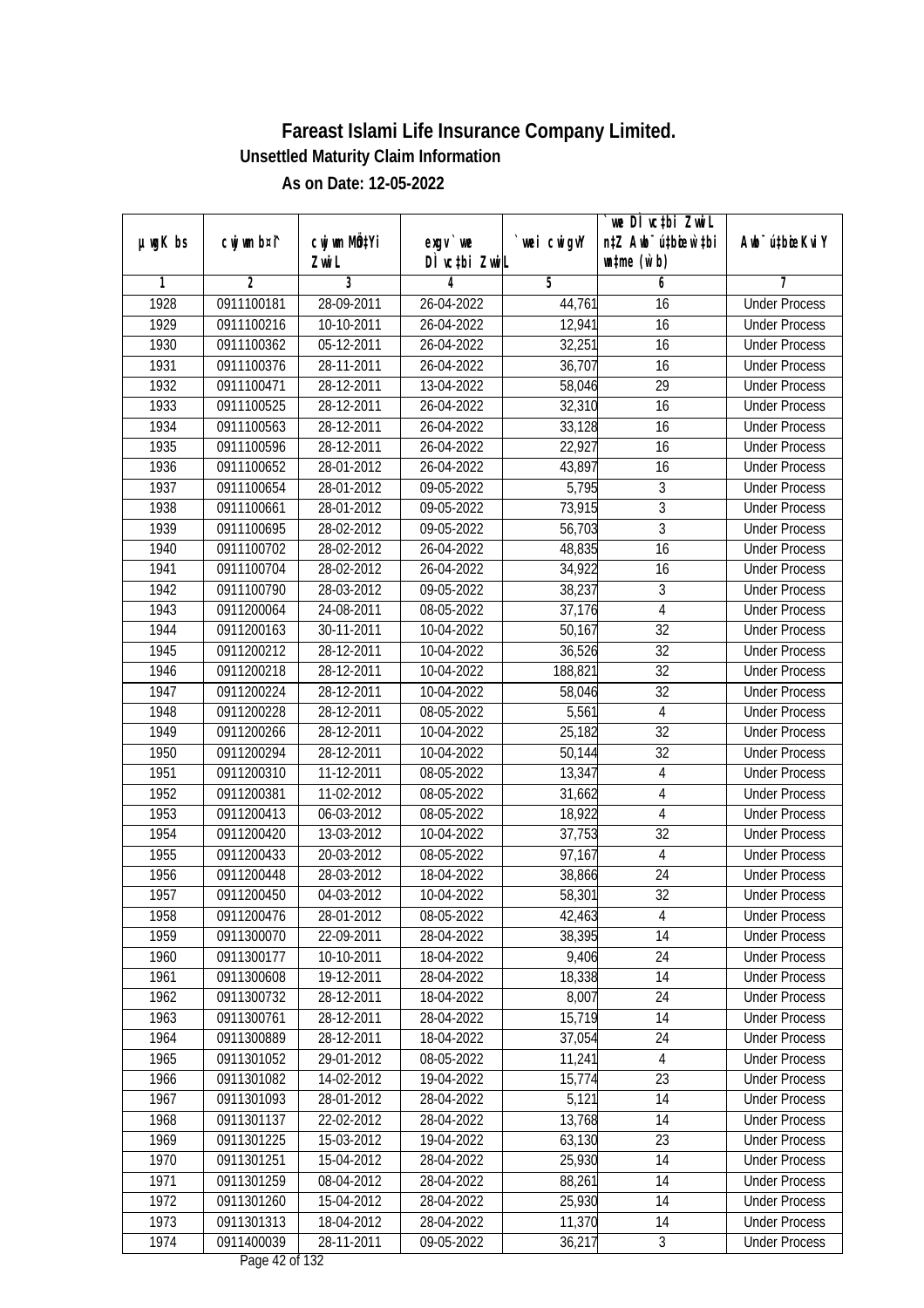|               |                |                  |                                          |             | we DI vctbi ZwiL                 |                             |
|---------------|----------------|------------------|------------------------------------------|-------------|----------------------------------|-----------------------------|
| $µ$ ug $K$ bs | cwj wm b¤i^    | cwj wm MQtYi     | exgv `we                                 | `wei cwigvY | n‡Z Awb <sup>-</sup> ú‡bioar`‡bi | Awb <sup>-</sup> ú‡bioeKviY |
|               |                | Zwi L            | DÌ vctbi ZwiL                            |             | $\n  untime\n  (u`b)\n$          |                             |
| 1             | $\overline{2}$ | 3                | 4                                        | 5           | 6                                | 7                           |
| 1928          | 0911100181     | 28-09-2011       | 26-04-2022                               | 44,761      | 16                               | <b>Under Process</b>        |
| 1929          | 0911100216     | 10-10-2011       | 26-04-2022                               | 12,941      | 16                               | <b>Under Process</b>        |
| 1930          | 0911100362     | 05-12-2011       | 26-04-2022                               | 32,251      | 16                               | <b>Under Process</b>        |
| 1931          | 0911100376     | 28-11-2011       | 26-04-2022                               | 36,707      | 16                               | <b>Under Process</b>        |
| 1932          | 0911100471     | 28-12-2011       | 13-04-2022                               | 58,046      | $\overline{29}$                  | <b>Under Process</b>        |
| 1933          | 0911100525     | 28-12-2011       | 26-04-2022                               | 32,310      | 16                               | <b>Under Process</b>        |
| 1934          | 0911100563     | 28-12-2011       | 26-04-2022                               | 33,128      | 16                               | <b>Under Process</b>        |
| 1935          | 0911100596     | 28-12-2011       | 26-04-2022                               | 22,927      | 16                               | <b>Under Process</b>        |
| 1936          | 0911100652     | 28-01-2012       | 26-04-2022                               | 43,897      | 16                               | <b>Under Process</b>        |
| 1937          | 0911100654     | 28-01-2012       | 09-05-2022                               | 5,795       | $\sqrt{3}$                       | <b>Under Process</b>        |
| 1938          | 0911100661     | 28-01-2012       | 09-05-2022                               | 73,915      | $\overline{3}$                   | <b>Under Process</b>        |
| 1939          | 0911100695     | 28-02-2012       | 09-05-2022                               | 56,703      | 3                                | <b>Under Process</b>        |
| 1940          | 0911100702     | 28-02-2012       | 26-04-2022                               | 48,835      | $\overline{16}$                  | <b>Under Process</b>        |
| 1941          | 0911100704     | 28-02-2012       | 26-04-2022                               | 34,922      | 16                               | <b>Under Process</b>        |
| 1942          | 0911100790     | 28-03-2012       | 09-05-2022                               | 38,237      | 3                                | <b>Under Process</b>        |
| 1943          | 0911200064     | 24-08-2011       | 08-05-2022                               | 37,176      | 4                                | <b>Under Process</b>        |
| 1944          | 0911200163     | 30-11-2011       | 10-04-2022                               | 50,167      | 32                               | <b>Under Process</b>        |
| 1945          | 0911200212     | 28-12-2011       | 10-04-2022                               | 36,526      | 32                               | <b>Under Process</b>        |
| 1946          | 0911200218     | 28-12-2011       | 10-04-2022                               | 188,821     | 32                               | <b>Under Process</b>        |
| 1947          | 0911200224     | 28-12-2011       | 10-04-2022                               | 58,046      | 32                               | <b>Under Process</b>        |
| 1948          | 0911200228     | 28-12-2011       | 08-05-2022                               | 5,561       | $\overline{4}$                   | <b>Under Process</b>        |
| 1949          | 0911200266     | 28-12-2011       | 10-04-2022                               | 25,182      | 32                               | <b>Under Process</b>        |
| 1950          | 0911200294     | 28-12-2011       | 10-04-2022                               | 50,144      | 32                               | <b>Under Process</b>        |
| 1951          | 0911200310     | 11-12-2011       | 08-05-2022                               | 13,347      | $\sqrt{4}$                       | <b>Under Process</b>        |
| 1952          | 0911200381     | 11-02-2012       | 08-05-2022                               | 31,662      | $\sqrt{4}$                       | <b>Under Process</b>        |
| 1953          | 0911200413     | 06-03-2012       | 08-05-2022                               | 18,922      | 4                                | <b>Under Process</b>        |
| 1954          | 0911200420     | 13-03-2012       | 10-04-2022                               | 37,753      | 32                               | <b>Under Process</b>        |
| 1955          | 0911200433     | 20-03-2012       | 08-05-2022                               | 97,167      | $\overline{4}$                   | <b>Under Process</b>        |
| 1956          | 0911200448     | 28-03-2012       | 18-04-2022                               | 38,866      | 24                               | <b>Under Process</b>        |
| 1957          | 0911200450     | 04-03-2012       | 10-04-2022                               | 58,301      | 32                               | <b>Under Process</b>        |
| 1958          | 0911200476     | 28-01-2012       | 08-05-2022                               | 42,463      | 4                                | <b>Under Process</b>        |
| 1959          | 0911300070     | 22-09-2011       | 28-04-2022                               | 38,395      | 14                               | <b>Under Process</b>        |
| 1960          | 0911300177     | 10-10-2011       | 18-04-2022                               | 9,406       | 24                               | <b>Under Process</b>        |
| 1961          | 0911300608     | 19-12-2011       | 28-04-2022                               | 18,338      | 14                               | <b>Under Process</b>        |
| 1962          | 0911300732     | 28-12-2011       | 18-04-2022                               | 8,007       | 24                               | <b>Under Process</b>        |
| 1963          | 0911300761     | 28-12-2011       | 28-04-2022                               | 15,719      | 14                               | <b>Under Process</b>        |
| 1964          | 0911300889     | 28-12-2011       | 18-04-2022                               | 37,054      | 24                               | <b>Under Process</b>        |
| 1965          | 0911301052     | 29-01-2012       | 08-05-2022                               | 11,241      | $\overline{4}$                   | <b>Under Process</b>        |
| 1966          | 0911301082     | 14-02-2012       | 19-04-2022                               | 15,774      | 23                               | <b>Under Process</b>        |
| 1967          | 0911301093     | 28-01-2012       | 28-04-2022                               | 5,121       | 14                               | <b>Under Process</b>        |
| 1968          | 0911301137     | 22-02-2012       | 28-04-2022                               | 13,768      | 14                               | <b>Under Process</b>        |
| 1969          | 0911301225     | 15-03-2012       | 19-04-2022                               | 63,130      | 23                               | <b>Under Process</b>        |
| 1970          | 0911301251     | 15-04-2012       | 28-04-2022                               | 25,930      | 14                               | <b>Under Process</b>        |
| 1971          | 0911301259     | 08-04-2012       | 28-04-2022                               | 88,261      | 14                               | <b>Under Process</b>        |
| 1972          | 0911301260     | 15-04-2012       | 28-04-2022                               | 25,930      | 14                               | <b>Under Process</b>        |
| 1973          | 0911301313     | 18-04-2012       | 28-04-2022                               | 11,370      | 14                               | <b>Under Process</b>        |
| 1974          | 0911400039     | $28 - 11 - 2011$ | 09-05-2022<br>Dega $\overline{A}$ of 122 | 36,217      | $\mathfrak{Z}$                   | <b>Under Process</b>        |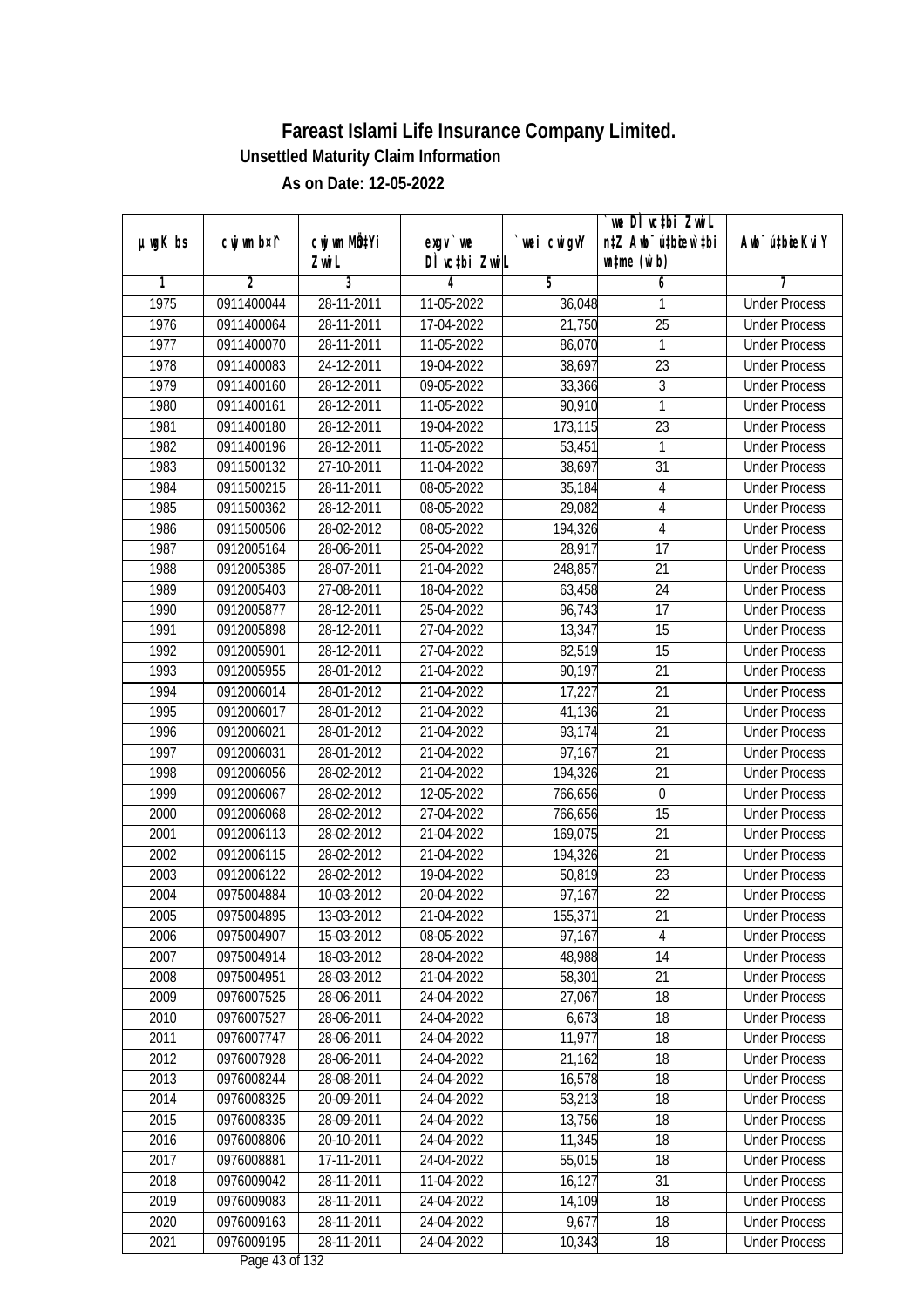|               |             |              |                                          |             | `we DÌ vc‡bi ZwwiL               |                             |
|---------------|-------------|--------------|------------------------------------------|-------------|----------------------------------|-----------------------------|
| $µ$ ug $K$ bs | cwj wm b¤i^ | cwj wm MQtYi | exgy `we                                 | `wei cwigvY | n‡Z Awb <sup>-</sup> ú‡bioen`‡bi | Awb <sup>-</sup> ú‡bioeKviY |
|               |             | Zwi L        | DÌ vctbi ZwiL                            |             | $\n  untime\n  (u`b)\n$          |                             |
| 1             | 2           | 3            | 4                                        | 5           | 6                                | 7                           |
| 1975          | 0911400044  | 28-11-2011   | 11-05-2022                               | 36,048      | 1                                | <b>Under Process</b>        |
| 1976          | 0911400064  | 28-11-2011   | 17-04-2022                               | 21,750      | $\overline{25}$                  | <b>Under Process</b>        |
| 1977          | 0911400070  | 28-11-2011   | 11-05-2022                               | 86,070      | 1                                | <b>Under Process</b>        |
| 1978          | 0911400083  | 24-12-2011   | 19-04-2022                               | 38,697      | $\overline{23}$                  | <b>Under Process</b>        |
| 1979          | 0911400160  | 28-12-2011   | 09-05-2022                               | 33,366      | 3                                | <b>Under Process</b>        |
| 1980          | 0911400161  | 28-12-2011   | 11-05-2022                               | 90,910      | 1                                | <b>Under Process</b>        |
| 1981          | 0911400180  | 28-12-2011   | 19-04-2022                               | 173,115     | $\overline{23}$                  | <b>Under Process</b>        |
| 1982          | 0911400196  | 28-12-2011   | 11-05-2022                               | 53,451      | 1                                | <b>Under Process</b>        |
| 1983          | 0911500132  | 27-10-2011   | 11-04-2022                               | 38,697      | 31                               | <b>Under Process</b>        |
| 1984          | 0911500215  | 28-11-2011   | 08-05-2022                               | 35,184      | $\overline{4}$                   | <b>Under Process</b>        |
| 1985          | 0911500362  | 28-12-2011   | 08-05-2022                               | 29,082      | 4                                | <b>Under Process</b>        |
| 1986          | 0911500506  | 28-02-2012   | 08-05-2022                               | 194,326     | $\overline{4}$                   | <b>Under Process</b>        |
| 1987          | 0912005164  | 28-06-2011   | 25-04-2022                               | 28,917      | 17                               | <b>Under Process</b>        |
| 1988          | 0912005385  | 28-07-2011   | 21-04-2022                               | 248,857     | 21                               | <b>Under Process</b>        |
| 1989          | 0912005403  | 27-08-2011   | 18-04-2022                               | 63,458      | 24                               | <b>Under Process</b>        |
| 1990          | 0912005877  | 28-12-2011   | 25-04-2022                               | 96,743      | 17                               | <b>Under Process</b>        |
| 1991          | 0912005898  | 28-12-2011   | 27-04-2022                               | 13,347      | 15                               | <b>Under Process</b>        |
| 1992          | 0912005901  | 28-12-2011   | 27-04-2022                               | 82,519      | 15                               | <b>Under Process</b>        |
| 1993          | 0912005955  | 28-01-2012   | 21-04-2022                               | 90,197      | 21                               | <b>Under Process</b>        |
| 1994          | 0912006014  | 28-01-2012   | 21-04-2022                               | 17,227      | 21                               | <b>Under Process</b>        |
| 1995          | 0912006017  | 28-01-2012   | 21-04-2022                               | 41,136      | 21                               | <b>Under Process</b>        |
| 1996          | 0912006021  | 28-01-2012   | 21-04-2022                               | 93,174      | 21                               | <b>Under Process</b>        |
| 1997          | 0912006031  | 28-01-2012   | 21-04-2022                               | 97,167      | 21                               | <b>Under Process</b>        |
| 1998          | 0912006056  | 28-02-2012   | 21-04-2022                               | 194,326     | 21                               | <b>Under Process</b>        |
| 1999          | 0912006067  | 28-02-2012   | 12-05-2022                               | 766,656     | $\boldsymbol{0}$                 | <b>Under Process</b>        |
| 2000          | 0912006068  | 28-02-2012   | 27-04-2022                               | 766,656     | 15                               | <b>Under Process</b>        |
| 2001          | 0912006113  | 28-02-2012   | 21-04-2022                               | 169,075     | 21                               | <b>Under Process</b>        |
| 2002          | 0912006115  | 28-02-2012   | 21-04-2022                               | 194,326     | 21                               | <b>Under Process</b>        |
| 2003          | 0912006122  | 28-02-2012   | 19-04-2022                               | 50,819      | 23                               | <b>Under Process</b>        |
| 2004          | 0975004884  | 10-03-2012   | 20-04-2022                               | 97,167      | 22                               | <b>Under Process</b>        |
| 2005          | 0975004895  | 13-03-2012   | 21-04-2022                               | 155,371     | 21                               | <b>Under Process</b>        |
| 2006          | 0975004907  | 15-03-2012   | 08-05-2022                               | 97,167      | 4                                | <b>Under Process</b>        |
| 2007          | 0975004914  | 18-03-2012   | 28-04-2022                               | 48,988      | 14                               | <b>Under Process</b>        |
| 2008          | 0975004951  | 28-03-2012   | 21-04-2022                               | 58,301      | 21                               | <b>Under Process</b>        |
| 2009          | 0976007525  | 28-06-2011   | 24-04-2022                               | 27,067      | 18                               | <b>Under Process</b>        |
| 2010          | 0976007527  | 28-06-2011   | 24-04-2022                               | 6,673       | 18                               | <b>Under Process</b>        |
| 2011          | 0976007747  | 28-06-2011   | 24-04-2022                               | 11,977      | 18                               | <b>Under Process</b>        |
| 2012          | 0976007928  | 28-06-2011   | 24-04-2022                               | 21,162      | 18                               | <b>Under Process</b>        |
| 2013          | 0976008244  | 28-08-2011   | 24-04-2022                               | 16,578      | 18                               | <b>Under Process</b>        |
| 2014          | 0976008325  | 20-09-2011   | 24-04-2022                               | 53,213      | 18                               | <b>Under Process</b>        |
| 2015          | 0976008335  | 28-09-2011   | 24-04-2022                               | 13,756      | 18                               | <b>Under Process</b>        |
| 2016          | 0976008806  | 20-10-2011   | 24-04-2022                               | 11,345      | 18                               | <b>Under Process</b>        |
| 2017          | 0976008881  | 17-11-2011   | 24-04-2022                               | 55,015      | $\overline{18}$                  | <b>Under Process</b>        |
| 2018          | 0976009042  | 28-11-2011   | 11-04-2022                               | 16,127      | 31                               | <b>Under Process</b>        |
| 2019          | 0976009083  | 28-11-2011   | 24-04-2022                               | 14,109      | 18                               | <b>Under Process</b>        |
| 2020          | 0976009163  | 28-11-2011   | 24-04-2022                               | 9,677       | 18                               | <b>Under Process</b>        |
| 2021          | 0976009195  | 28-11-2011   | 24-04-2022<br>$D_{\text{max}}$ 42 of 123 | 10,343      | 18                               | <b>Under Process</b>        |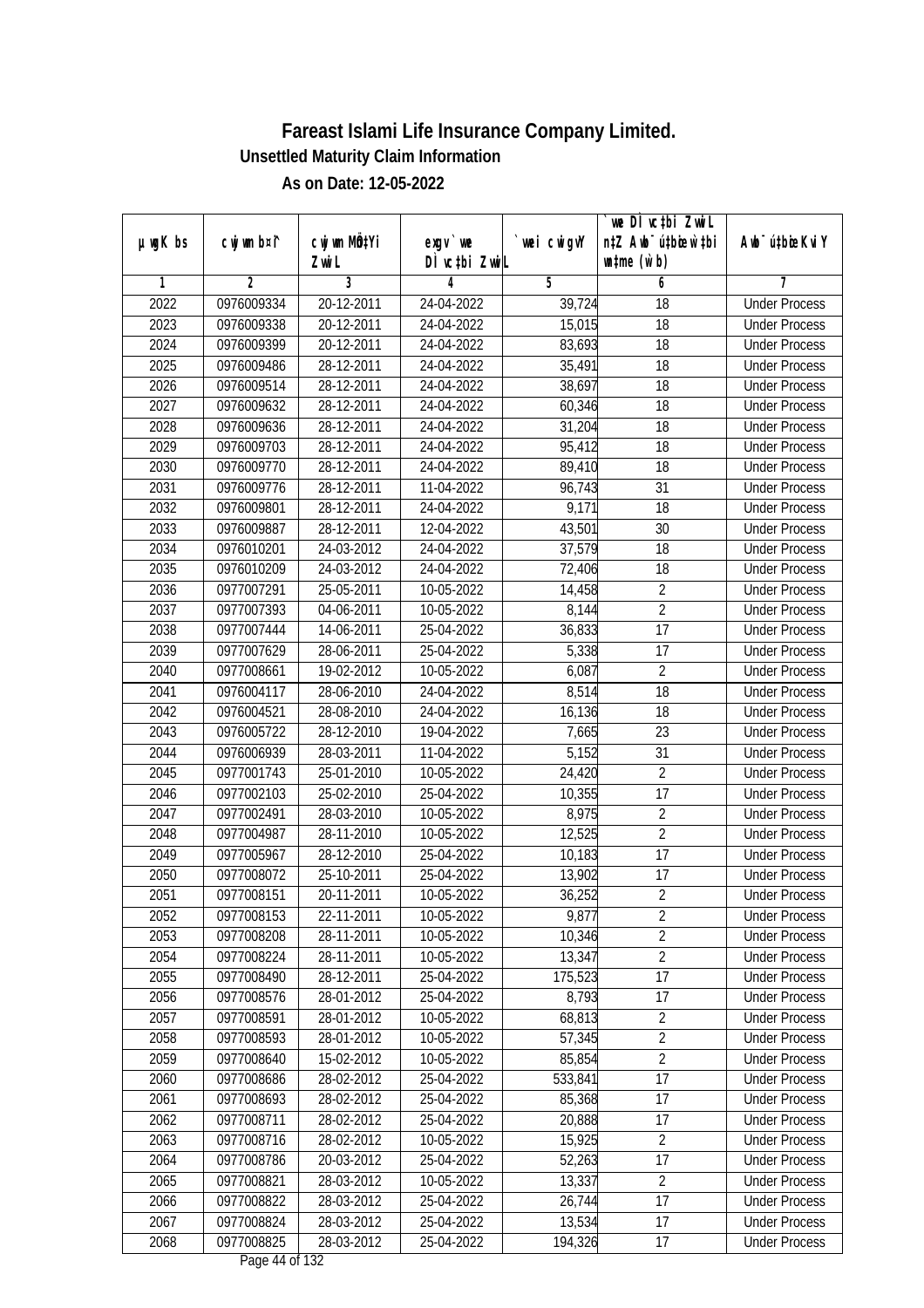|               |                |                       |                           |            | we DI vctbi ZwiL                                            |                             |
|---------------|----------------|-----------------------|---------------------------|------------|-------------------------------------------------------------|-----------------------------|
| $µ$ ug $K$ bs | cwj wm b¤i^    | cwj wm MQtYi<br>Zwi L | exgv `we<br>DÌ vctbi ZwiL | wei cwigvY | n‡Z Awb <sup>-</sup> ú‡bicen`‡bi<br>$\n  untime\n  (u`b)\n$ | Awb <sup>-</sup> ú‡bioeKviY |
| 1             | $\overline{2}$ | 3                     | 4                         | 5          | 6                                                           | 7                           |
| 2022          | 0976009334     | 20-12-2011            | 24-04-2022                | 39,724     | $\overline{18}$                                             | <b>Under Process</b>        |
| 2023          | 0976009338     | 20-12-2011            | 24-04-2022                | 15,015     | 18                                                          | <b>Under Process</b>        |
| 2024          | 0976009399     | 20-12-2011            | 24-04-2022                | 83,693     | $\overline{18}$                                             | <b>Under Process</b>        |
| 2025          | 0976009486     | 28-12-2011            | 24-04-2022                | 35,491     | 18                                                          | <b>Under Process</b>        |
| 2026          | 0976009514     | 28-12-2011            | 24-04-2022                | 38,697     | $\overline{18}$                                             | <b>Under Process</b>        |
| 2027          | 0976009632     | 28-12-2011            | 24-04-2022                | 60,346     | $\overline{18}$                                             | <b>Under Process</b>        |
| 2028          | 0976009636     | 28-12-2011            | 24-04-2022                | 31,204     | 18                                                          | <b>Under Process</b>        |
| 2029          | 0976009703     | 28-12-2011            | 24-04-2022                | 95,412     | 18                                                          | <b>Under Process</b>        |
| 2030          | 0976009770     | 28-12-2011            | 24-04-2022                | 89,410     | 18                                                          | <b>Under Process</b>        |
| 2031          | 0976009776     | 28-12-2011            | 11-04-2022                | 96,743     | 31                                                          | <b>Under Process</b>        |
| 2032          | 0976009801     | 28-12-2011            | 24-04-2022                | 9,171      | $\overline{18}$                                             | <b>Under Process</b>        |
| 2033          | 0976009887     | 28-12-2011            | 12-04-2022                | 43,501     | 30                                                          | <b>Under Process</b>        |
| 2034          | 0976010201     | 24-03-2012            | 24-04-2022                | 37,579     | $\overline{18}$                                             | <b>Under Process</b>        |
| 2035          | 0976010209     | 24-03-2012            | 24-04-2022                | 72,406     | 18                                                          | <b>Under Process</b>        |
| 2036          | 0977007291     | 25-05-2011            | 10-05-2022                | 14,458     | $\overline{2}$                                              | <b>Under Process</b>        |
| 2037          | 0977007393     | 04-06-2011            | 10-05-2022                | 8,144      | $\overline{2}$                                              | <b>Under Process</b>        |
| 2038          | 0977007444     | 14-06-2011            | 25-04-2022                | 36,833     | $\overline{17}$                                             | <b>Under Process</b>        |
| 2039          | 0977007629     | 28-06-2011            | 25-04-2022                | 5,338      | 17                                                          | <b>Under Process</b>        |
| 2040          | 0977008661     | 19-02-2012            | 10-05-2022                | 6,087      | $\overline{2}$                                              | <b>Under Process</b>        |
| 2041          | 0976004117     | 28-06-2010            | 24-04-2022                | 8,514      | 18                                                          | <b>Under Process</b>        |
| 2042          | 0976004521     | 28-08-2010            | 24-04-2022                | 16,136     | 18                                                          | <b>Under Process</b>        |
| 2043          | 0976005722     | 28-12-2010            | 19-04-2022                | 7,665      | 23                                                          | <b>Under Process</b>        |
| 2044          | 0976006939     | 28-03-2011            | 11-04-2022                | 5,152      | 31                                                          | <b>Under Process</b>        |
| 2045          | 0977001743     | 25-01-2010            | 10-05-2022                | 24,420     | $\overline{2}$                                              | <b>Under Process</b>        |
| 2046          | 0977002103     | 25-02-2010            | 25-04-2022                | 10,355     | 17                                                          | <b>Under Process</b>        |
| 2047          | 0977002491     | 28-03-2010            | 10-05-2022                | 8,975      | $\overline{2}$                                              | <b>Under Process</b>        |
| 2048          | 0977004987     | 28-11-2010            | 10-05-2022                | 12,525     | $\overline{2}$                                              | <b>Under Process</b>        |
| 2049          | 0977005967     | 28-12-2010            | 25-04-2022                | 10,183     | 17                                                          | <b>Under Process</b>        |
| 2050          | 0977008072     | 25-10-2011            | 25-04-2022                | 13,902     | 17                                                          | <b>Under Process</b>        |
| 2051          | 0977008151     | 20-11-2011            | 10-05-2022                | 36,252     | $\overline{2}$                                              | <b>Under Process</b>        |
| 2052          | 0977008153     | 22-11-2011            | 10-05-2022                | 9,877      | 2                                                           | <b>Under Process</b>        |
| 2053          | 0977008208     | 28-11-2011            | 10-05-2022                | 10,346     | $\overline{2}$                                              | <b>Under Process</b>        |
| 2054          | 0977008224     | 28-11-2011            | 10-05-2022                | 13,347     | $\overline{2}$                                              | <b>Under Process</b>        |
| 2055          | 0977008490     | 28-12-2011            | 25-04-2022                | 175,523    | 17                                                          | <b>Under Process</b>        |
| 2056          | 0977008576     | 28-01-2012            | 25-04-2022                | 8,793      | 17                                                          | <b>Under Process</b>        |
| 2057          | 0977008591     | 28-01-2012            | 10-05-2022                | 68,813     | 2                                                           | <b>Under Process</b>        |
| 2058          | 0977008593     | 28-01-2012            | 10-05-2022                | 57,345     | $\overline{2}$                                              | <b>Under Process</b>        |
| 2059          | 0977008640     | 15-02-2012            | 10-05-2022                | 85,854     | $\overline{2}$                                              | <b>Under Process</b>        |
| 2060          | 0977008686     | 28-02-2012            | 25-04-2022                | 533,841    | 17                                                          | <b>Under Process</b>        |
| 2061          | 0977008693     | 28-02-2012            | 25-04-2022                | 85,368     | 17                                                          | <b>Under Process</b>        |
| 2062          | 0977008711     | 28-02-2012            | 25-04-2022                | 20,888     | 17                                                          | <b>Under Process</b>        |
| 2063          | 0977008716     | 28-02-2012            | 10-05-2022                | 15,925     | $\overline{2}$                                              | <b>Under Process</b>        |
| 2064          | 0977008786     | 20-03-2012            | 25-04-2022                | 52,263     | 17                                                          | <b>Under Process</b>        |
| 2065          | 0977008821     | 28-03-2012            | 10-05-2022                | 13,337     | $\overline{2}$                                              | <b>Under Process</b>        |
| 2066          | 0977008822     | 28-03-2012            | 25-04-2022                | 26,744     | 17                                                          | <b>Under Process</b>        |
| 2067          | 0977008824     | 28-03-2012            | 25-04-2022                | 13,534     | 17                                                          | <b>Under Process</b>        |
| 2068          | 0977008825     | 28-03-2012            | 25-04-2022                | 194,326    | 17                                                          | <b>Under Process</b>        |
|               |                |                       | Dega $11$ of 122          |            |                                                             |                             |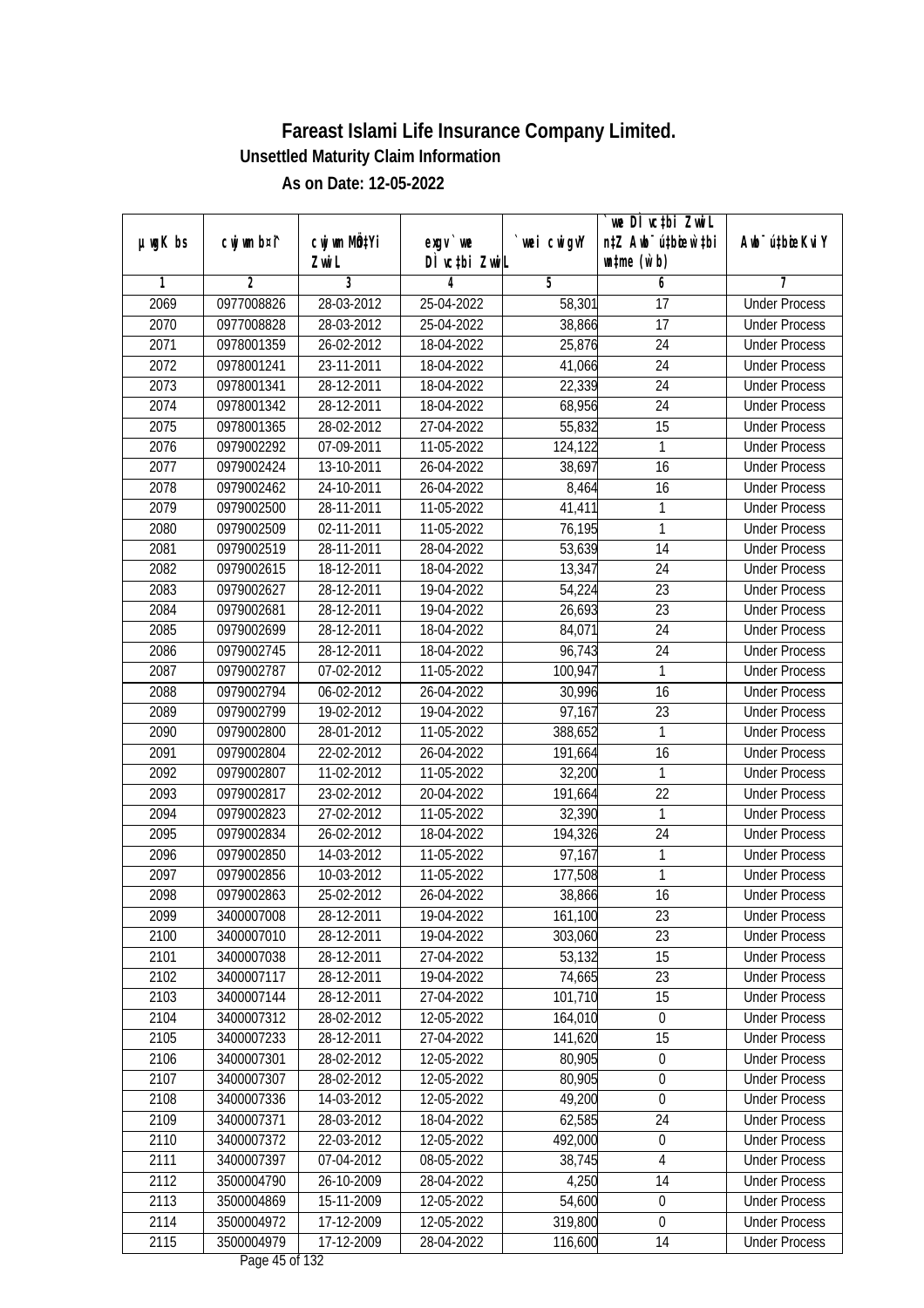|               |                          |                          |                           |             | we DI vctbi ZwiL                                            |                                              |
|---------------|--------------------------|--------------------------|---------------------------|-------------|-------------------------------------------------------------|----------------------------------------------|
| $µ$ ug $K$ bs | cwj wm b¤i^              | cwj wm MQtYi<br>Zwi L    | exgy `we<br>DÌ vctbi ZwiL | `wei cwigvY | n‡Z Awb <sup>-</sup> ú‡bioar`‡bi<br>$\n  untime\n  (u`b)\n$ | Awb <sup>-</sup> ú‡bioeKviY                  |
| 1             | 2                        | 3                        | 4                         | 5           | 6                                                           | 7                                            |
| 2069          | 0977008826               | 28-03-2012               | 25-04-2022                | 58,301      | $\overline{17}$                                             | <b>Under Process</b>                         |
| 2070          | 0977008828               | 28-03-2012               | 25-04-2022                | 38,866      | $\overline{17}$                                             | <b>Under Process</b>                         |
| 2071          | 0978001359               | 26-02-2012               | 18-04-2022                | 25,876      | $\overline{24}$                                             | <b>Under Process</b>                         |
| 2072          | 0978001241               | 23-11-2011               | 18-04-2022                | 41,066      | 24                                                          | <b>Under Process</b>                         |
| 2073          | 0978001341               | 28-12-2011               | 18-04-2022                | 22,339      | $\overline{24}$                                             | <b>Under Process</b>                         |
| 2074          | 0978001342               | 28-12-2011               | 18-04-2022                | 68,956      | 24                                                          | <b>Under Process</b>                         |
| 2075          | 0978001365               | 28-02-2012               | 27-04-2022                | 55,832      | 15                                                          | <b>Under Process</b>                         |
| 2076          | 0979002292               | 07-09-2011               | 11-05-2022                | 124,122     | 1                                                           | <b>Under Process</b>                         |
| 2077          | 0979002424               | 13-10-2011               | 26-04-2022                | 38,697      | 16                                                          | <b>Under Process</b>                         |
| 2078          | 0979002462               | 24-10-2011               | 26-04-2022                | 8,464       | 16                                                          | <b>Under Process</b>                         |
| 2079          | 0979002500               | 28-11-2011               | 11-05-2022                | 41,411      | 1                                                           | <b>Under Process</b>                         |
| 2080          | 0979002509               | 02-11-2011               | $\overline{11}$ -05-2022  | 76,195      | 1                                                           | <b>Under Process</b>                         |
| 2081          | 0979002519               | 28-11-2011               | 28-04-2022                | 53,639      | $\overline{14}$                                             | <b>Under Process</b>                         |
| 2082          | 0979002615               | 18-12-2011               | 18-04-2022                | 13,347      | 24                                                          | <b>Under Process</b>                         |
| 2083          | 0979002627               | 28-12-2011               | 19-04-2022                | 54,224      | 23                                                          | <b>Under Process</b>                         |
| 2084          | 0979002681               | 28-12-2011               | 19-04-2022                | 26,693      | 23                                                          | <b>Under Process</b>                         |
| 2085          | 0979002699               | 28-12-2011               | 18-04-2022                | 84,071      | 24                                                          | <b>Under Process</b>                         |
| 2086          | 0979002745               | 28-12-2011               | 18-04-2022                | 96,743      | 24                                                          | <b>Under Process</b>                         |
| 2087          | 0979002787               | 07-02-2012               | 11-05-2022                | 100,947     | 1                                                           | <b>Under Process</b>                         |
| 2088          | 0979002794               | 06-02-2012               | 26-04-2022                | 30,996      | 16                                                          | <b>Under Process</b>                         |
| 2089          | 0979002799               | 19-02-2012               | 19-04-2022                | 97,167      | 23                                                          | <b>Under Process</b>                         |
| 2090          | 0979002800               | 28-01-2012               | 11-05-2022                | 388,652     | 1                                                           |                                              |
| 2091          | 0979002804               | 22-02-2012               | 26-04-2022                |             | 16                                                          | <b>Under Process</b><br><b>Under Process</b> |
|               |                          |                          |                           | 191,664     |                                                             |                                              |
| 2092          | 0979002807               | 11-02-2012               | 11-05-2022                | 32,200      | $\mathbf{1}$                                                | <b>Under Process</b>                         |
| 2093<br>2094  | 0979002817<br>0979002823 | 23-02-2012<br>27-02-2012 | 20-04-2022<br>11-05-2022  | 191,664     | 22<br>1                                                     | <b>Under Process</b><br><b>Under Process</b> |
| 2095          | 0979002834               | 26-02-2012               |                           | 32,390      | 24                                                          |                                              |
|               |                          |                          | 18-04-2022                | 194,326     |                                                             | <b>Under Process</b>                         |
| 2096          | 0979002850               | 14-03-2012               | 11-05-2022                | 97,167      | 1                                                           | <b>Under Process</b>                         |
| 2097          | 0979002856               | 10-03-2012               | 11-05-2022                | 177,508     | 1                                                           | <b>Under Process</b>                         |
| 2098          | 0979002863               | 25-02-2012               | 26-04-2022                | 38,866      | 16                                                          | <b>Under Process</b>                         |
| 2099          | 3400007008               | 28-12-2011               | 19-04-2022                | 161,100     | 23                                                          | <b>Under Process</b>                         |
| 2100          | 3400007010               | 28-12-2011               | 19-04-2022                | 303,060     | 23                                                          | <b>Under Process</b>                         |
| 2101          | 3400007038               | 28-12-2011               | 27-04-2022                | 53,132      | 15                                                          | <b>Under Process</b>                         |
| 2102          | 3400007117               | 28-12-2011               | 19-04-2022                | 74,665      | 23                                                          | <b>Under Process</b>                         |
| 2103          | 3400007144               | 28-12-2011               | 27-04-2022                | 101,710     | 15                                                          | <b>Under Process</b>                         |
| 2104          | 3400007312               | 28-02-2012               | 12-05-2022                | 164,010     | 0                                                           | <b>Under Process</b>                         |
| 2105          | 3400007233               | 28-12-2011               | 27-04-2022                | 141,620     | 15                                                          | <b>Under Process</b>                         |
| 2106          | 3400007301               | 28-02-2012               | 12-05-2022                | 80,905      | $\boldsymbol{0}$                                            | <b>Under Process</b>                         |
| 2107          | 3400007307               | 28-02-2012               | 12-05-2022                | 80,905      | $\boldsymbol{0}$                                            | <b>Under Process</b>                         |
| 2108          | 3400007336               | 14-03-2012               | 12-05-2022                | 49,200      | $\boldsymbol{0}$                                            | <b>Under Process</b>                         |
| 2109          | 3400007371               | 28-03-2012               | 18-04-2022                | 62,585      | 24                                                          | <b>Under Process</b>                         |
| 2110          | 3400007372               | 22-03-2012               | 12-05-2022                | 492,000     | $\boldsymbol{0}$                                            | <b>Under Process</b>                         |
| 2111          | 3400007397               | 07-04-2012               | $08 - 05 - 2022$          | 38,745      | 4                                                           | <b>Under Process</b>                         |
| 2112          | 3500004790               | 26-10-2009               | 28-04-2022                | 4,250       | 14                                                          | <b>Under Process</b>                         |
| 2113          | 3500004869               | 15-11-2009               | 12-05-2022                | 54,600      | $\boldsymbol{0}$                                            | <b>Under Process</b>                         |
| 2114          | 3500004972               | 17-12-2009               | 12-05-2022                | 319,800     | $\boldsymbol{0}$                                            | <b>Under Process</b>                         |
| 2115          | 3500004979               | 17-12-2009               | 28-04-2022                | 116,600     | 14                                                          | <b>Under Process</b>                         |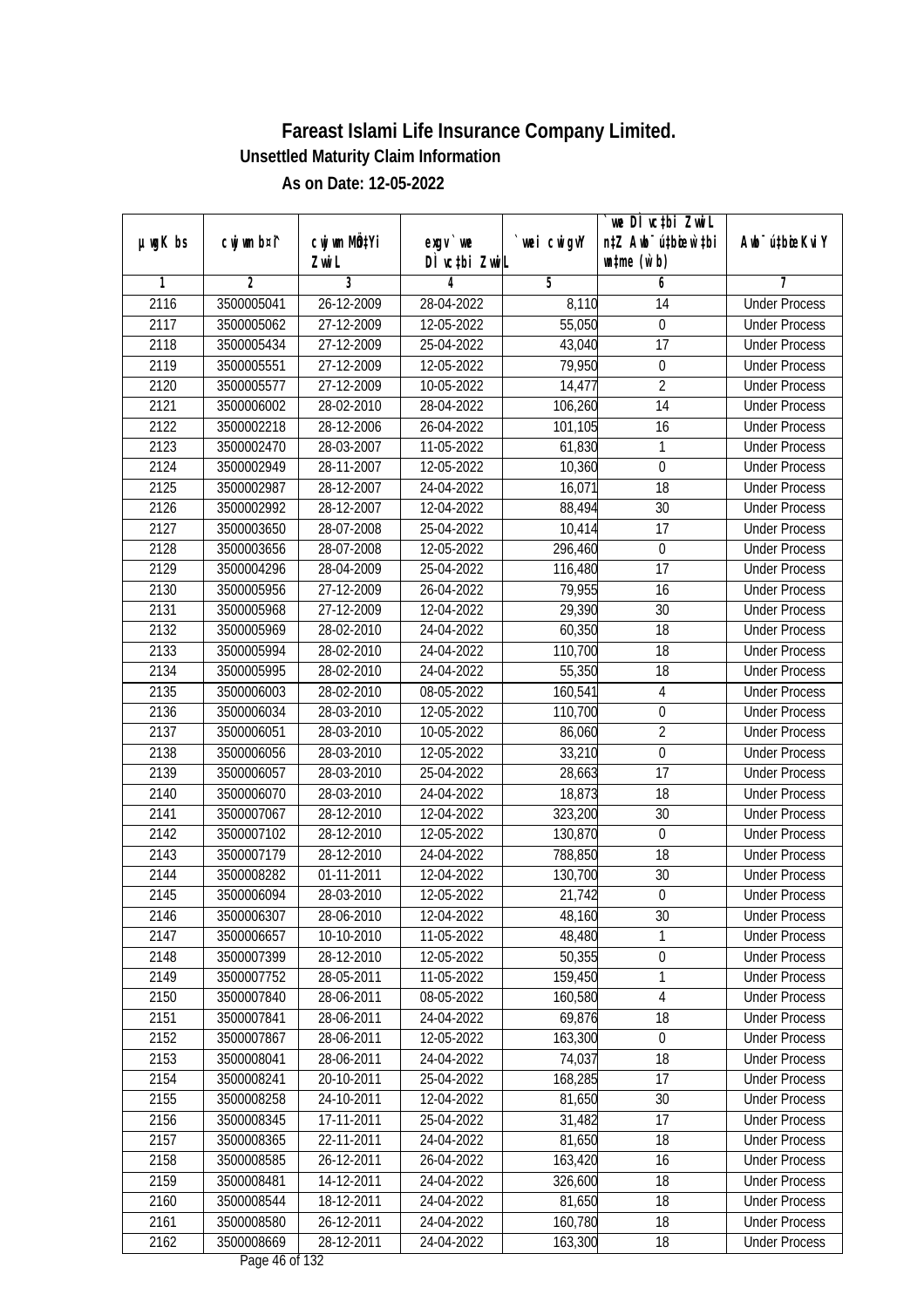| $µ$ ug $K$ bs | cwj wm b¤i^ | cwj wm MQtYi | $exqu$ we                       | wei cwigvY | we DI vctbi ZwiL<br>n‡Z Awb <sup>-</sup> ú‡bioen`‡bi | Awb <sup>-</sup> ú‡bioeKviY |
|---------------|-------------|--------------|---------------------------------|------------|------------------------------------------------------|-----------------------------|
|               |             | Zwi L        | DÌ vctbi ZwiL                   |            | $\n  untime\n  (u`b)\n$                              |                             |
| 1             | 2           | 3            | 4                               | 5          | 6                                                    | 7                           |
| 2116          | 3500005041  | 26-12-2009   | 28-04-2022                      | 8,110      | 14                                                   | <b>Under Process</b>        |
| 2117          | 3500005062  | 27-12-2009   | 12-05-2022                      | 55,050     | $\boldsymbol{0}$                                     | <b>Under Process</b>        |
| 2118          | 3500005434  | 27-12-2009   | 25-04-2022                      | 43,040     | 17                                                   | <b>Under Process</b>        |
| 2119          | 3500005551  | 27-12-2009   | 12-05-2022                      | 79,950     | $\boldsymbol{0}$                                     | <b>Under Process</b>        |
| 2120          | 3500005577  | 27-12-2009   | 10-05-2022                      | 14,477     | $\overline{2}$                                       | <b>Under Process</b>        |
| 2121          | 3500006002  | 28-02-2010   | 28-04-2022                      | 106,260    | $\overline{14}$                                      | <b>Under Process</b>        |
| 2122          | 3500002218  | 28-12-2006   | 26-04-2022                      | 101,105    | 16                                                   | <b>Under Process</b>        |
| 2123          | 3500002470  | 28-03-2007   | 11-05-2022                      | 61,830     | 1                                                    | <b>Under Process</b>        |
| 2124          | 3500002949  | 28-11-2007   | 12-05-2022                      | 10,360     | $\boldsymbol{0}$                                     | <b>Under Process</b>        |
| 2125          | 3500002987  | 28-12-2007   | 24-04-2022                      | 16,071     | 18                                                   | <b>Under Process</b>        |
| 2126          | 3500002992  | 28-12-2007   | 12-04-2022                      | 88,494     | 30                                                   | <b>Under Process</b>        |
| 2127          | 3500003650  | 28-07-2008   | 25-04-2022                      | 10,414     | 17                                                   | <b>Under Process</b>        |
| 2128          | 3500003656  | 28-07-2008   | 12-05-2022                      | 296,460    | $\boldsymbol{0}$                                     | <b>Under Process</b>        |
| 2129          | 3500004296  | 28-04-2009   | 25-04-2022                      | 116,480    | 17                                                   | <b>Under Process</b>        |
| 2130          | 3500005956  | 27-12-2009   | 26-04-2022                      | 79,955     | 16                                                   | <b>Under Process</b>        |
| 2131          | 3500005968  | 27-12-2009   | 12-04-2022                      | 29,390     | 30                                                   | <b>Under Process</b>        |
| 2132          | 3500005969  | 28-02-2010   | 24-04-2022                      | 60,350     | 18                                                   | <b>Under Process</b>        |
| 2133          | 3500005994  | 28-02-2010   | 24-04-2022                      | 110,700    | 18                                                   | <b>Under Process</b>        |
| 2134          | 3500005995  | 28-02-2010   | 24-04-2022                      | 55,350     | 18                                                   | <b>Under Process</b>        |
| 2135          | 3500006003  | 28-02-2010   | 08-05-2022                      | 160,541    | $\overline{4}$                                       | <b>Under Process</b>        |
| 2136          | 3500006034  | 28-03-2010   | 12-05-2022                      | 110,700    | $\mathbf 0$                                          | <b>Under Process</b>        |
| 2137          | 3500006051  | 28-03-2010   | 10-05-2022                      | 86,060     | $\overline{2}$                                       | <b>Under Process</b>        |
| 2138          | 3500006056  | 28-03-2010   | 12-05-2022                      | 33,210     | 0                                                    | <b>Under Process</b>        |
| 2139          | 3500006057  | 28-03-2010   | 25-04-2022                      | 28,663     | 17                                                   | <b>Under Process</b>        |
| 2140          | 3500006070  | 28-03-2010   | 24-04-2022                      | 18,873     | 18                                                   | <b>Under Process</b>        |
| 2141          | 3500007067  | 28-12-2010   | 12-04-2022                      | 323,200    | 30                                                   | <b>Under Process</b>        |
| 2142          | 3500007102  | 28-12-2010   | 12-05-2022                      | 130,870    | $\boldsymbol{0}$                                     | <b>Under Process</b>        |
| 2143          | 3500007179  | 28-12-2010   | 24-04-2022                      | 788,850    | 18                                                   | <b>Under Process</b>        |
| 2144          | 3500008282  | 01-11-2011   | 12-04-2022                      | 130,700    | 30                                                   | <b>Under Process</b>        |
| 2145          | 3500006094  | 28-03-2010   | 12-05-2022                      | 21,742     | $\boldsymbol{0}$                                     | <b>Under Process</b>        |
| 2146          | 3500006307  | 28-06-2010   | 12-04-2022                      | 48,160     | 30                                                   | <b>Under Process</b>        |
| 2147          | 3500006657  | 10-10-2010   | 11-05-2022                      | 48,480     | 1                                                    | <b>Under Process</b>        |
| 2148          | 3500007399  | 28-12-2010   | 12-05-2022                      | 50,355     | $\boldsymbol{0}$                                     | <b>Under Process</b>        |
| 2149          | 3500007752  | 28-05-2011   | 11-05-2022                      | 159,450    | 1                                                    | <b>Under Process</b>        |
| 2150          | 3500007840  | 28-06-2011   | 08-05-2022                      | 160,580    | $\overline{4}$                                       | <b>Under Process</b>        |
| 2151          | 3500007841  | 28-06-2011   | 24-04-2022                      | 69,876     | 18                                                   | <b>Under Process</b>        |
| 2152          | 3500007867  | 28-06-2011   | 12-05-2022                      | 163,300    | $\boldsymbol{0}$                                     | <b>Under Process</b>        |
| 2153          | 3500008041  | 28-06-2011   | 24-04-2022                      | 74,037     | 18                                                   | <b>Under Process</b>        |
| 2154          | 3500008241  | 20-10-2011   | 25-04-2022                      | 168,285    | 17                                                   | <b>Under Process</b>        |
| 2155          | 3500008258  | 24-10-2011   | 12-04-2022                      | 81,650     | 30                                                   | <b>Under Process</b>        |
| 2156          | 3500008345  | 17-11-2011   | 25-04-2022                      | 31,482     | 17                                                   | <b>Under Process</b>        |
| 2157          | 3500008365  | 22-11-2011   | 24-04-2022                      | 81,650     | 18                                                   | <b>Under Process</b>        |
| 2158          | 3500008585  | 26-12-2011   | 26-04-2022                      | 163,420    | 16                                                   | <b>Under Process</b>        |
| 2159          | 3500008481  | 14-12-2011   | 24-04-2022                      | 326,600    | 18                                                   | <b>Under Process</b>        |
| 2160          | 3500008544  | 18-12-2011   | 24-04-2022                      | 81,650     | 18                                                   | <b>Under Process</b>        |
| 2161          | 3500008580  | 26-12-2011   | 24-04-2022                      | 160,780    | 18                                                   | <b>Under Process</b>        |
| 2162          | 3500008669  | 28-12-2011   | 24-04-2022<br>Dege $\mu$ of 122 | 163,300    | 18                                                   | <b>Under Process</b>        |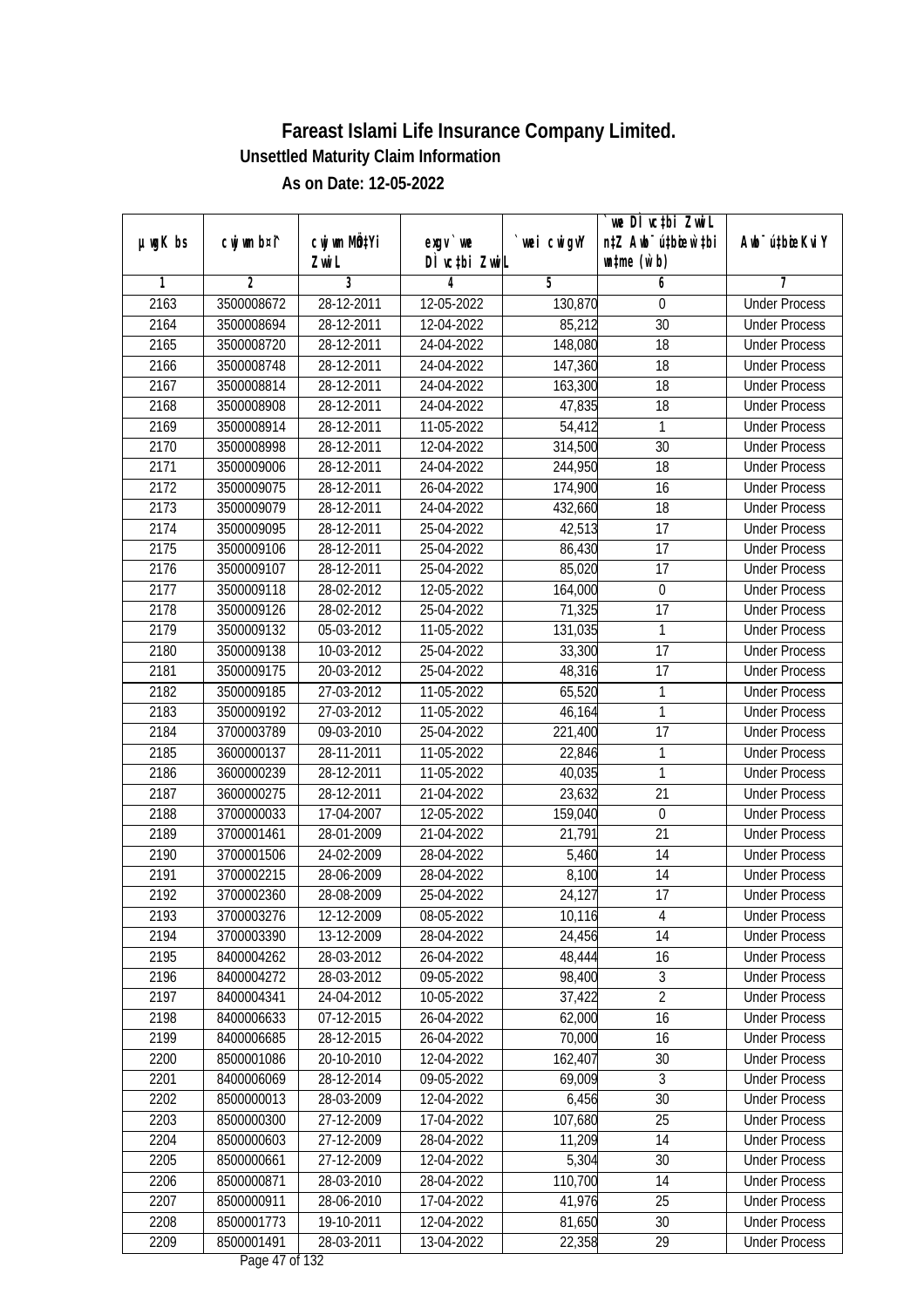|               |                |              |                                |            | we DI vctbi ZwiL                 |                             |
|---------------|----------------|--------------|--------------------------------|------------|----------------------------------|-----------------------------|
| $µ$ ug $K$ bs | cwj wm b¤i^    | cwj wm MQtYi | $exgV$ we                      | wei cwigvY | n‡Z Awb <sup>-</sup> ú‡bioar`‡bi | Awb <sup>-</sup> ú‡bioeKviY |
| 1             | $\overline{2}$ | Zwi L<br>3   | DÌ vctbi ZwiL<br>4             | 5          | $\n  untime\n  (u`b)\n$<br>6     | 7                           |
| 2163          | 3500008672     | 28-12-2011   | 12-05-2022                     | 130,870    | $\theta$                         | <b>Under Process</b>        |
| 2164          | 3500008694     | 28-12-2011   | 12-04-2022                     | 85,212     | $\overline{30}$                  | <b>Under Process</b>        |
| 2165          | 3500008720     | 28-12-2011   | 24-04-2022                     | 148,080    | $\overline{18}$                  | <b>Under Process</b>        |
| 2166          | 3500008748     | 28-12-2011   | 24-04-2022                     | 147,360    | 18                               | <b>Under Process</b>        |
| 2167          | 3500008814     | 28-12-2011   | 24-04-2022                     | 163,300    | $\overline{18}$                  | <b>Under Process</b>        |
| 2168          | 3500008908     | 28-12-2011   | 24-04-2022                     | 47,835     | $\overline{18}$                  | <b>Under Process</b>        |
| 2169          | 3500008914     | 28-12-2011   | 11-05-2022                     | 54,412     | 1                                | <b>Under Process</b>        |
| 2170          | 3500008998     | 28-12-2011   | 12-04-2022                     | 314,500    | 30                               | <b>Under Process</b>        |
| 2171          |                | 28-12-2011   | 24-04-2022                     |            | 18                               | <b>Under Process</b>        |
|               | 3500009006     |              |                                | 244,950    |                                  |                             |
| 2172          | 3500009075     | 28-12-2011   | 26-04-2022                     | 174,900    | 16<br>$\overline{18}$            | <b>Under Process</b>        |
| 2173          | 3500009079     | 28-12-2011   | 24-04-2022                     | 432,660    |                                  | <b>Under Process</b>        |
| 2174          | 3500009095     | 28-12-2011   | 25-04-2022<br>25-04-2022       | 42,513     | 17                               | <b>Under Process</b>        |
| 2175          | 3500009106     | 28-12-2011   |                                | 86,430     | $\overline{17}$                  | <b>Under Process</b>        |
| 2176          | 3500009107     | 28-12-2011   | 25-04-2022                     | 85,020     | 17                               | <b>Under Process</b>        |
| 2177          | 3500009118     | 28-02-2012   | 12-05-2022                     | 164,000    | $\boldsymbol{0}$                 | <b>Under Process</b>        |
| 2178          | 3500009126     | 28-02-2012   | 25-04-2022                     | 71,325     | 17                               | <b>Under Process</b>        |
| 2179          | 3500009132     | 05-03-2012   | 11-05-2022                     | 131,035    | $\mathbf{1}$                     | <b>Under Process</b>        |
| 2180          | 3500009138     | 10-03-2012   | 25-04-2022                     | 33,300     | 17                               | <b>Under Process</b>        |
| 2181          | 3500009175     | 20-03-2012   | 25-04-2022                     | 48,316     | 17                               | <b>Under Process</b>        |
| 2182          | 3500009185     | 27-03-2012   | 11-05-2022                     | 65,520     | 1                                | <b>Under Process</b>        |
| 2183          | 3500009192     | 27-03-2012   | 11-05-2022                     | 46,164     | $\mathbf{1}$                     | <b>Under Process</b>        |
| 2184          | 3700003789     | 09-03-2010   | 25-04-2022                     | 221,400    | 17                               | <b>Under Process</b>        |
| 2185          | 3600000137     | 28-11-2011   | 11-05-2022                     | 22,846     | 1                                | <b>Under Process</b>        |
| 2186          | 3600000239     | 28-12-2011   | 11-05-2022                     | 40,035     | $\mathbf{1}$                     | <b>Under Process</b>        |
| 2187          | 3600000275     | 28-12-2011   | 21-04-2022                     | 23,632     | 21                               | <b>Under Process</b>        |
| 2188          | 3700000033     | 17-04-2007   | 12-05-2022                     | 159,040    | $\mathbf 0$                      | <b>Under Process</b>        |
| 2189          | 3700001461     | 28-01-2009   | 21-04-2022                     | 21,791     | 21                               | <b>Under Process</b>        |
| 2190          | 3700001506     | 24-02-2009   | 28-04-2022                     | 5,460      | 14                               | <b>Under Process</b>        |
| 2191          | 3700002215     | 28-06-2009   | 28-04-2022                     | 8,100      | 14                               | <b>Under Process</b>        |
| 2192          | 3700002360     | 28-08-2009   | 25-04-2022                     | 24,127     | 17                               | <b>Under Process</b>        |
| 2193          | 3700003276     | 12-12-2009   | 08-05-2022                     | 10,116     | 4                                | <b>Under Process</b>        |
| 2194          | 3700003390     | 13-12-2009   | 28-04-2022                     | 24,456     | 14                               | <b>Under Process</b>        |
| 2195          | 8400004262     | 28-03-2012   | 26-04-2022                     | 48,444     | 16                               | <b>Under Process</b>        |
| 2196          | 8400004272     | 28-03-2012   | 09-05-2022                     | 98,400     | $\sqrt{3}$                       | <b>Under Process</b>        |
| 2197          | 8400004341     | 24-04-2012   | 10-05-2022                     | 37,422     | $\overline{2}$                   | <b>Under Process</b>        |
| 2198          | 8400006633     | 07-12-2015   | 26-04-2022                     | 62,000     | 16                               | <b>Under Process</b>        |
| 2199          | 8400006685     | 28-12-2015   | 26-04-2022                     | 70,000     | 16                               | <b>Under Process</b>        |
| 2200          | 8500001086     | 20-10-2010   | 12-04-2022                     | 162,407    | 30                               | <b>Under Process</b>        |
| 2201          | 8400006069     | 28-12-2014   | 09-05-2022                     | 69,009     | 3                                | <b>Under Process</b>        |
| 2202          | 8500000013     | 28-03-2009   | 12-04-2022                     | 6,456      | 30                               | <b>Under Process</b>        |
| 2203          | 8500000300     | 27-12-2009   | 17-04-2022                     | 107,680    | 25                               | <b>Under Process</b>        |
| 2204          | 8500000603     | 27-12-2009   | 28-04-2022                     | 11,209     | 14                               | <b>Under Process</b>        |
| 2205          | 8500000661     | 27-12-2009   | 12-04-2022                     | 5,304      | 30                               | <b>Under Process</b>        |
| 2206          | 8500000871     | 28-03-2010   | 28-04-2022                     | 110,700    | 14                               | <b>Under Process</b>        |
| 2207          | 8500000911     | 28-06-2010   | 17-04-2022                     | 41,976     | 25                               | <b>Under Process</b>        |
| 2208          | 8500001773     | 19-10-2011   | 12-04-2022                     | 81,650     | 30                               | <b>Under Process</b>        |
| 2209          | 8500001491     | $28-03-2011$ | 13-04-2022<br>Dega $17$ of 122 | 22,358     | 29                               | <b>Under Process</b>        |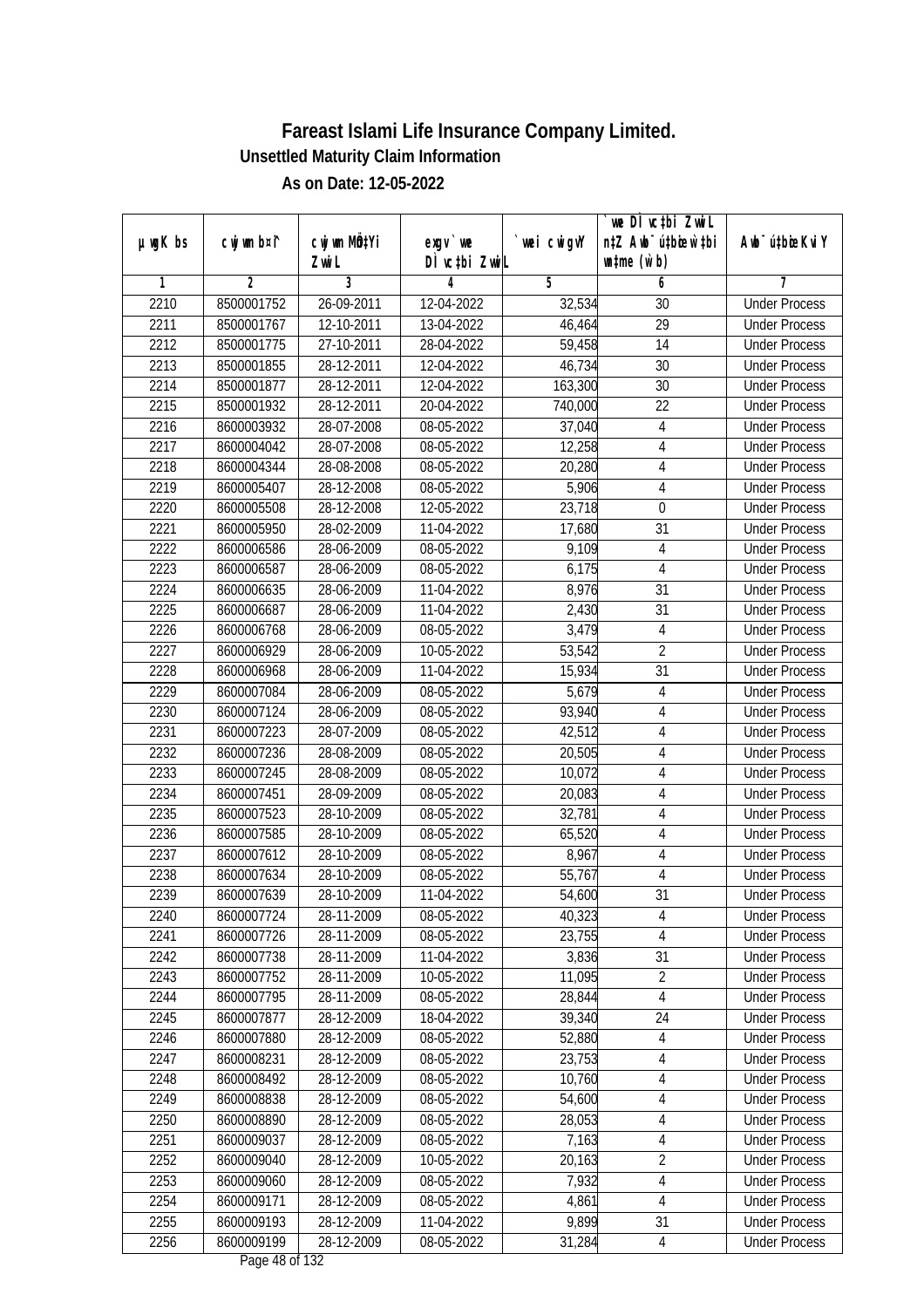| $µ$ ug $K$ bs | cwj wm b¤i^    | cwj wm MÖ¢Yi | $exgV$ we     | wei cwigvY | we DI vctbi ZwiL<br>n‡Z Awb <sup>-</sup> ú‡bicen`‡bi | Awb <sup>-</sup> ú‡bioeKviY |
|---------------|----------------|--------------|---------------|------------|------------------------------------------------------|-----------------------------|
|               |                | Zwi L        | DÌ vctbi ZwiL |            | $\n  untime\n  (u`b)\n$                              |                             |
| 1             | $\overline{2}$ | 3            | 4             | 5          | 6                                                    | 7                           |
| 2210          | 8500001752     | 26-09-2011   | 12-04-2022    | 32,534     | 30                                                   | <b>Under Process</b>        |
| 2211          | 8500001767     | 12-10-2011   | 13-04-2022    | 46,464     | $\overline{29}$                                      | <b>Under Process</b>        |
| 2212          | 8500001775     | 27-10-2011   | 28-04-2022    | 59,458     | $\overline{14}$                                      | <b>Under Process</b>        |
| 2213          | 8500001855     | 28-12-2011   | 12-04-2022    | 46,734     | 30                                                   | <b>Under Process</b>        |
| 2214          | 8500001877     | 28-12-2011   | 12-04-2022    | 163,300    | $\overline{30}$                                      | <b>Under Process</b>        |
| 2215          | 8500001932     | 28-12-2011   | 20-04-2022    | 740,000    | $\overline{22}$                                      | <b>Under Process</b>        |
| 2216          | 8600003932     | 28-07-2008   | 08-05-2022    | 37,040     | 4                                                    | <b>Under Process</b>        |
| 2217          | 8600004042     | 28-07-2008   | 08-05-2022    | 12,258     | 4                                                    | <b>Under Process</b>        |
| 2218          | 8600004344     | 28-08-2008   | 08-05-2022    | 20,280     | $\overline{4}$                                       | <b>Under Process</b>        |
| 2219          | 8600005407     | 28-12-2008   | 08-05-2022    | 5,906      | $\overline{4}$                                       | <b>Under Process</b>        |
| 2220          | 8600005508     | 28-12-2008   | 12-05-2022    | 23,718     | $\boldsymbol{0}$                                     | <b>Under Process</b>        |
| 2221          | 8600005950     | 28-02-2009   | 11-04-2022    | 17,680     | 31                                                   | <b>Under Process</b>        |
| 2222          | 8600006586     | 28-06-2009   | 08-05-2022    | 9,109      | $\overline{4}$                                       | <b>Under Process</b>        |
| 2223          | 8600006587     | 28-06-2009   | 08-05-2022    | 6,175      | 4                                                    | <b>Under Process</b>        |
| 2224          | 8600006635     | 28-06-2009   | 11-04-2022    | 8,976      | 31                                                   | <b>Under Process</b>        |
| 2225          | 8600006687     | 28-06-2009   | 11-04-2022    | 2,430      | 31                                                   | <b>Under Process</b>        |
| 2226          | 8600006768     | 28-06-2009   | 08-05-2022    | 3,479      | $\overline{4}$                                       | <b>Under Process</b>        |
| 2227          | 8600006929     | 28-06-2009   | 10-05-2022    | 53,542     | $\overline{2}$                                       | <b>Under Process</b>        |
| 2228          | 8600006968     | 28-06-2009   | 11-04-2022    | 15,934     | 31                                                   | <b>Under Process</b>        |
| 2229          | 8600007084     | 28-06-2009   | 08-05-2022    | 5,679      | 4                                                    | <b>Under Process</b>        |
| 2230          | 8600007124     | 28-06-2009   | 08-05-2022    | 93,940     | $\overline{\mathbf{4}}$                              | <b>Under Process</b>        |
| 2231          | 8600007223     | 28-07-2009   | 08-05-2022    | 42,512     | 4                                                    | <b>Under Process</b>        |
| 2232          | 8600007236     | 28-08-2009   | 08-05-2022    | 20,505     | $\overline{\mathbf{4}}$                              | <b>Under Process</b>        |
| 2233          | 8600007245     | 28-08-2009   | 08-05-2022    | 10,072     | $\overline{4}$                                       | <b>Under Process</b>        |
| 2234          | 8600007451     | 28-09-2009   | 08-05-2022    | 20,083     | $\overline{4}$                                       | <b>Under Process</b>        |
| 2235          | 8600007523     | 28-10-2009   | 08-05-2022    | 32,781     | $\overline{4}$                                       | <b>Under Process</b>        |
| 2236          | 8600007585     | 28-10-2009   | 08-05-2022    | 65,520     | 4                                                    | <b>Under Process</b>        |
| 2237          | 8600007612     | 28-10-2009   | 08-05-2022    | 8,967      | $\overline{4}$                                       | <b>Under Process</b>        |
| 2238          | 8600007634     | 28-10-2009   | 08-05-2022    | 55,767     | $\overline{4}$                                       | <b>Under Process</b>        |
| 2239          | 8600007639     | 28-10-2009   | 11-04-2022    | 54,600     | 31                                                   | <b>Under Process</b>        |
| 2240          | 8600007724     | 28-11-2009   | 08-05-2022    | 40,323     | 4                                                    | <b>Under Process</b>        |
| 2241          | 8600007726     | 28-11-2009   | 08-05-2022    | 23,755     | 4                                                    | <b>Under Process</b>        |
| 2242          | 8600007738     | 28-11-2009   | 11-04-2022    | 3,836      | 31                                                   | <b>Under Process</b>        |
| 2243          | 8600007752     | 28-11-2009   | 10-05-2022    | 11,095     | $\overline{2}$                                       | <b>Under Process</b>        |
| 2244          | 8600007795     | 28-11-2009   | 08-05-2022    | 28,844     | $\overline{4}$                                       | <b>Under Process</b>        |
| 2245          | 8600007877     | 28-12-2009   | 18-04-2022    | 39,340     | 24                                                   | <b>Under Process</b>        |
| 2246          | 8600007880     | 28-12-2009   | 08-05-2022    | 52,880     | 4                                                    | <b>Under Process</b>        |
| 2247          | 8600008231     | 28-12-2009   | 08-05-2022    | 23,753     | 4                                                    | <b>Under Process</b>        |
| 2248          | 8600008492     | 28-12-2009   | 08-05-2022    | 10,760     | 4                                                    | <b>Under Process</b>        |
| 2249          | 8600008838     | 28-12-2009   | 08-05-2022    | 54,600     | $\overline{4}$                                       | <b>Under Process</b>        |
| 2250          | 8600008890     | 28-12-2009   | 08-05-2022    | 28,053     | 4                                                    | <b>Under Process</b>        |
| 2251          | 8600009037     | 28-12-2009   | 08-05-2022    | 7,163      | $\overline{4}$                                       | <b>Under Process</b>        |
| 2252          | 8600009040     | 28-12-2009   | 10-05-2022    | 20,163     | $\overline{2}$                                       | <b>Under Process</b>        |
| 2253          | 8600009060     | 28-12-2009   | 08-05-2022    | 7,932      | 4                                                    | <b>Under Process</b>        |
| 2254          | 8600009171     | 28-12-2009   | 08-05-2022    | 4,861      | $\overline{4}$                                       | <b>Under Process</b>        |
| 2255          | 8600009193     | 28-12-2009   | 11-04-2022    | 9,899      | 31                                                   | <b>Under Process</b>        |
| 2256          | 8600009199     | 28-12-2009   | 08-05-2022    | 31,284     | $\overline{4}$                                       | <b>Under Process</b>        |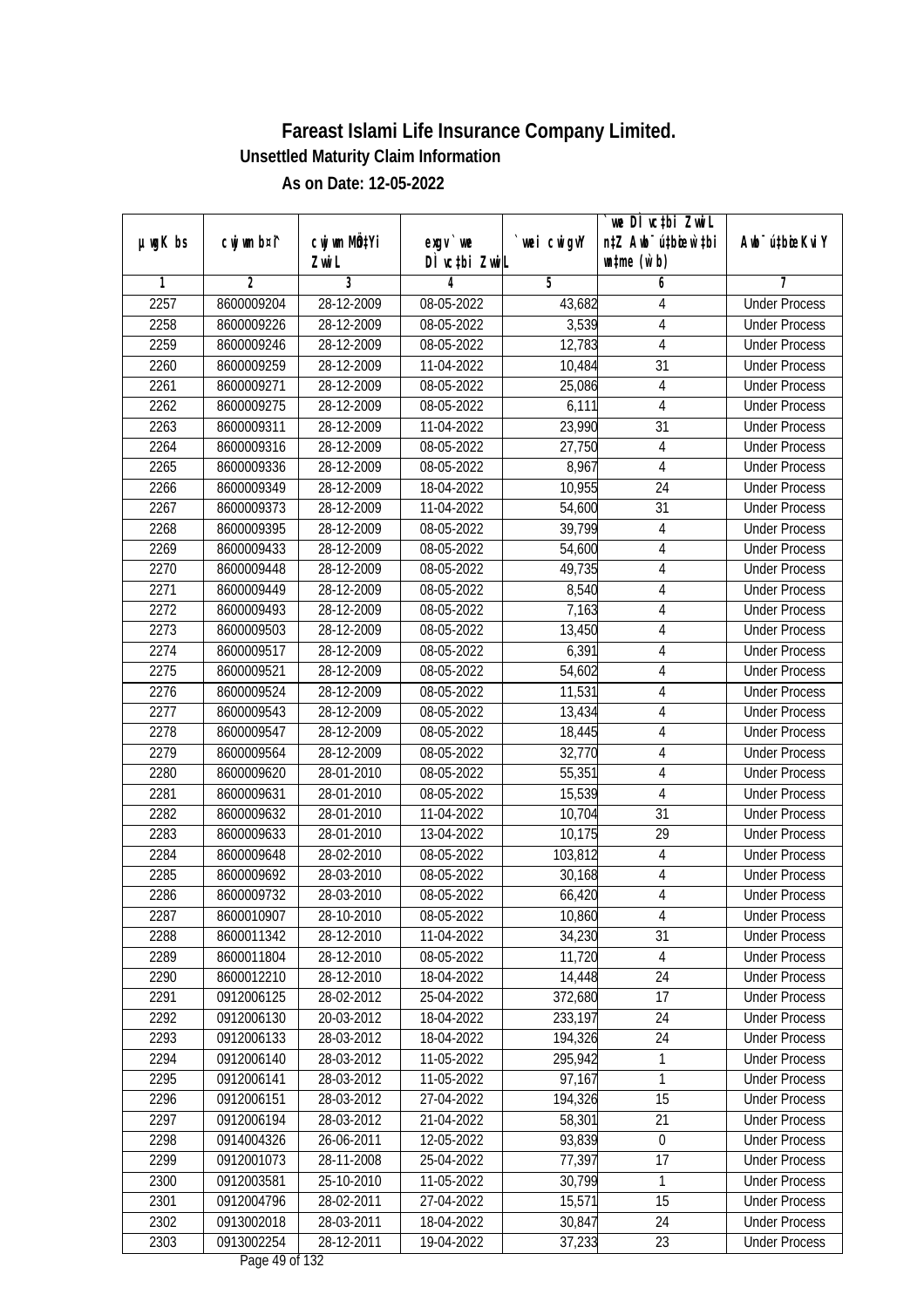| $µ$ ug $K$ bs | cwj wm b¤i^ | cwj wm MQtYi | exgv `we                 | wei cwigvY | we DI vctbi ZwiL<br>n‡Z Awb <sup>-</sup> ú‡bioen`‡bi | Awb <sup>-</sup> ú‡bioeKviY |
|---------------|-------------|--------------|--------------------------|------------|------------------------------------------------------|-----------------------------|
|               |             | Zwi L        | DÌ vctbi ZwiL            |            | $\n  untime\n  (u`b)\n$                              |                             |
| 1             | 2           | 3            | 4                        | 5          | 6                                                    | 7                           |
| 2257          | 8600009204  | 28-12-2009   | 08-05-2022               | 43,682     | 4                                                    | <b>Under Process</b>        |
| 2258          | 8600009226  | 28-12-2009   | $08 - 05 - 2022$         | 3,539      | 4                                                    | <b>Under Process</b>        |
| 2259          | 8600009246  | 28-12-2009   | 08-05-2022               | 12,783     | $\overline{4}$                                       | <b>Under Process</b>        |
| 2260          | 8600009259  | 28-12-2009   | 11-04-2022               | 10,484     | $\overline{31}$                                      | <b>Under Process</b>        |
| 2261          | 8600009271  | 28-12-2009   | 08-05-2022               | 25,086     | 4                                                    | <b>Under Process</b>        |
| 2262          | 8600009275  | 28-12-2009   | 08-05-2022               | 6,111      | 4                                                    | <b>Under Process</b>        |
| 2263          | 8600009311  | 28-12-2009   | 11-04-2022               | 23,990     | 31                                                   | <b>Under Process</b>        |
| 2264          | 8600009316  | 28-12-2009   | 08-05-2022               | 27,750     | $\overline{4}$                                       | <b>Under Process</b>        |
| 2265          | 8600009336  | 28-12-2009   | 08-05-2022               | 8,967      | $\overline{4}$                                       | <b>Under Process</b>        |
| 2266          | 8600009349  | 28-12-2009   | 18-04-2022               | 10,955     | 24                                                   | <b>Under Process</b>        |
| 2267          | 8600009373  | 28-12-2009   | 11-04-2022               | 54,600     | $\overline{31}$                                      | <b>Under Process</b>        |
| 2268          | 8600009395  | 28-12-2009   | 08-05-2022               | 39,799     | $\overline{4}$                                       | <b>Under Process</b>        |
| 2269          | 8600009433  | 28-12-2009   | 08-05-2022               | 54,600     | $\overline{4}$                                       | <b>Under Process</b>        |
| 2270          | 8600009448  | 28-12-2009   | 08-05-2022               | 49,735     | $\overline{4}$                                       | <b>Under Process</b>        |
| 2271          | 8600009449  | 28-12-2009   | 08-05-2022               | 8,540      | 4                                                    | <b>Under Process</b>        |
| 2272          | 8600009493  | 28-12-2009   | 08-05-2022               | 7,163      | $\overline{\mathbf{4}}$                              | <b>Under Process</b>        |
| 2273          | 8600009503  | 28-12-2009   | 08-05-2022               | 13,450     | $\sqrt{4}$                                           | <b>Under Process</b>        |
| 2274          | 8600009517  | 28-12-2009   | 08-05-2022               | 6,391      | $\overline{4}$                                       | <b>Under Process</b>        |
| 2275          | 8600009521  | 28-12-2009   | 08-05-2022               | 54,602     | 4                                                    | <b>Under Process</b>        |
| 2276          | 8600009524  | 28-12-2009   | 08-05-2022               | 11,531     | $\overline{4}$                                       | <b>Under Process</b>        |
| 2277          | 8600009543  | 28-12-2009   | 08-05-2022               | 13,434     | $\overline{4}$                                       | <b>Under Process</b>        |
| 2278          | 8600009547  | 28-12-2009   | 08-05-2022               | 18,445     | 4                                                    | <b>Under Process</b>        |
| 2279          | 8600009564  | 28-12-2009   | 08-05-2022               | 32,770     | 4                                                    | <b>Under Process</b>        |
| 2280          | 8600009620  | 28-01-2010   | 08-05-2022               | 55,351     | $\overline{\mathbf{4}}$                              | <b>Under Process</b>        |
| 2281          | 8600009631  | 28-01-2010   | 08-05-2022               | 15,539     | $\overline{4}$                                       | <b>Under Process</b>        |
| 2282          | 8600009632  | 28-01-2010   | 11-04-2022               | 10,704     | 31                                                   | <b>Under Process</b>        |
| 2283          | 8600009633  | 28-01-2010   | 13-04-2022               | 10,175     | 29                                                   | <b>Under Process</b>        |
| 2284          | 8600009648  | 28-02-2010   | 08-05-2022               | 103,812    | $\overline{4}$                                       | <b>Under Process</b>        |
| 2285          | 8600009692  | 28-03-2010   | 08-05-2022               | 30,168     | $\overline{\mathbf{4}}$                              | <b>Under Process</b>        |
| 2286          | 8600009732  | 28-03-2010   | 08-05-2022               | 66,420     | $\overline{4}$                                       | <b>Under Process</b>        |
| 2287          | 8600010907  | 28-10-2010   | 08-05-2022               | 10,860     | 4                                                    | <b>Under Process</b>        |
| 2288          | 8600011342  | 28-12-2010   | 11-04-2022               | 34,230     | 31                                                   | <b>Under Process</b>        |
| 2289          | 8600011804  | 28-12-2010   | 08-05-2022               | 11,720     | 4                                                    | <b>Under Process</b>        |
| 2290          | 8600012210  | 28-12-2010   | 18-04-2022               | 14,448     | 24                                                   | <b>Under Process</b>        |
| 2291          | 0912006125  | 28-02-2012   | 25-04-2022               | 372,680    | 17                                                   | <b>Under Process</b>        |
| 2292          | 0912006130  | 20-03-2012   | 18-04-2022               | 233,197    | 24                                                   | <b>Under Process</b>        |
| 2293          | 0912006133  | 28-03-2012   | 18-04-2022               | 194,326    | 24                                                   | <b>Under Process</b>        |
| 2294          | 0912006140  | 28-03-2012   | 11-05-2022               | 295,942    | 1                                                    | <b>Under Process</b>        |
| 2295          | 0912006141  | 28-03-2012   | 11-05-2022               | 97,167     | $\mathbf{1}$                                         | <b>Under Process</b>        |
| 2296          | 0912006151  | 28-03-2012   | 27-04-2022               | 194,326    | 15                                                   | <b>Under Process</b>        |
| 2297          | 0912006194  | 28-03-2012   | 21-04-2022               | 58,301     | 21                                                   | <b>Under Process</b>        |
| 2298          | 0914004326  | 26-06-2011   | 12-05-2022               | 93,839     | $\boldsymbol{0}$                                     | <b>Under Process</b>        |
| 2299          | 0912001073  | 28-11-2008   | 25-04-2022               | 77,397     | 17                                                   | <b>Under Process</b>        |
| 2300          | 0912003581  | 25-10-2010   | 11-05-2022               | 30,799     | 1                                                    | <b>Under Process</b>        |
| 2301          | 0912004796  | 28-02-2011   | 27-04-2022               | 15,571     | 15                                                   | <b>Under Process</b>        |
| 2302          | 0913002018  | 28-03-2011   | 18-04-2022               | 30,847     | 24                                                   | <b>Under Process</b>        |
| 2303          | 0913002254  | 28-12-2011   | 19-04-2022<br>$10 - 132$ | 37,233     | 23                                                   | <b>Under Process</b>        |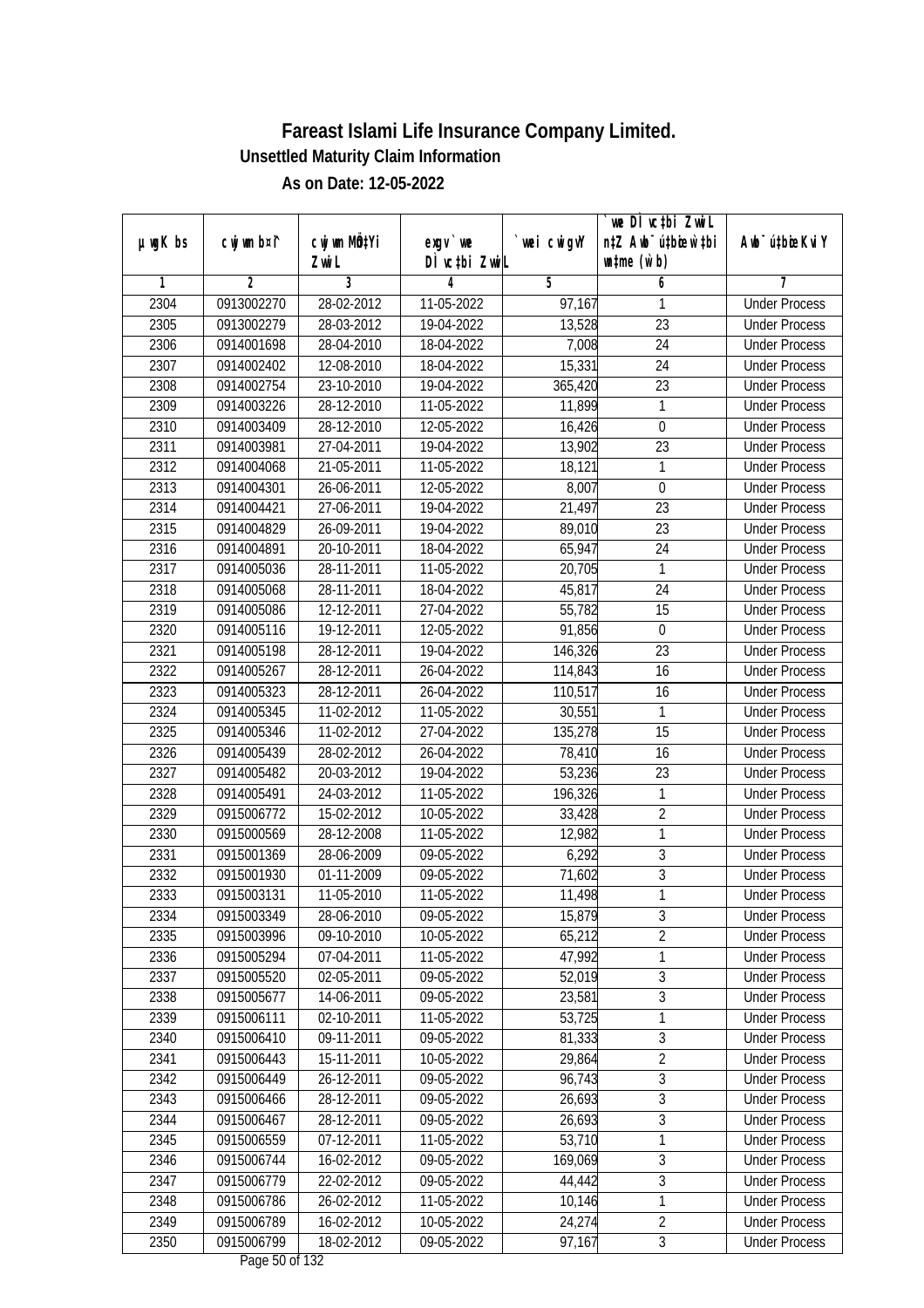|               |                |                       |                                    |            | we DI vctbi ZwiL                                            |                             |
|---------------|----------------|-----------------------|------------------------------------|------------|-------------------------------------------------------------|-----------------------------|
| $µ$ ug $K$ bs | cwj wm b¤i^    | cwj wm MQtYi<br>Zwi L | $exgV$ we<br>DÌ vctbi ZwiL         | wei cwigvY | n‡Z Awb <sup>-</sup> ú‡bicen`‡bi<br>$\n  untime\n  (u`b)\n$ | Awb <sup>-</sup> ú‡bioeKviY |
| 1             | $\overline{2}$ | 3                     | 4                                  | 5          | 6                                                           | 7                           |
| 2304          | 0913002270     | 28-02-2012            | 11-05-2022                         | 97,167     | 1                                                           | <b>Under Process</b>        |
| 2305          | 0913002279     | 28-03-2012            | 19-04-2022                         | 13,528     | $\overline{23}$                                             | <b>Under Process</b>        |
| 2306          | 0914001698     | 28-04-2010            | 18-04-2022                         | 7,008      | $\overline{24}$                                             | <b>Under Process</b>        |
| 2307          | 0914002402     | 12-08-2010            | 18-04-2022                         | 15,331     | 24                                                          | <b>Under Process</b>        |
| 2308          | 0914002754     | 23-10-2010            | 19-04-2022                         | 365,420    | $\overline{23}$                                             | <b>Under Process</b>        |
| 2309          | 0914003226     | 28-12-2010            | 11-05-2022                         | 11,899     | 1                                                           | <b>Under Process</b>        |
| 2310          | 0914003409     | 28-12-2010            | 12-05-2022                         | 16,426     | $\overline{0}$                                              | <b>Under Process</b>        |
| 2311          | 0914003981     | 27-04-2011            | 19-04-2022                         | 13,902     | 23                                                          | <b>Under Process</b>        |
| 2312          | 0914004068     | 21-05-2011            | 11-05-2022                         | 18,121     | $\mathbf{1}$                                                | <b>Under Process</b>        |
| 2313          | 0914004301     | 26-06-2011            | 12-05-2022                         | 8,007      | $\mathbf 0$                                                 | <b>Under Process</b>        |
| 2314          | 0914004421     | 27-06-2011            | 19-04-2022                         | 21,497     | $\overline{23}$                                             | <b>Under Process</b>        |
| 2315          | 0914004829     | 26-09-2011            | 19-04-2022                         | 89,010     | 23                                                          | <b>Under Process</b>        |
| 2316          | 0914004891     | 20-10-2011            | 18-04-2022                         | 65,947     | $\overline{24}$                                             | <b>Under Process</b>        |
| 2317          | 0914005036     | 28-11-2011            | 11-05-2022                         | 20,705     | 1                                                           | <b>Under Process</b>        |
| 2318          | 0914005068     | 28-11-2011            | 18-04-2022                         | 45,817     | 24                                                          | <b>Under Process</b>        |
| 2319          | 0914005086     | 12-12-2011            | 27-04-2022                         | 55,782     | 15                                                          | <b>Under Process</b>        |
| 2320          | 0914005116     | 19-12-2011            | 12-05-2022                         | 91,856     | $\mathbf 0$                                                 | <b>Under Process</b>        |
| 2321          | 0914005198     | 28-12-2011            | 19-04-2022                         | 146,326    | 23                                                          | <b>Under Process</b>        |
| 2322          | 0914005267     | 28-12-2011            | 26-04-2022                         | 114,843    | 16                                                          | <b>Under Process</b>        |
| 2323          | 0914005323     | 28-12-2011            | 26-04-2022                         | 110,517    | 16                                                          | <b>Under Process</b>        |
| 2324          | 0914005345     | 11-02-2012            | 11-05-2022                         | 30,551     | $\mathbf{1}$                                                | <b>Under Process</b>        |
| 2325          | 0914005346     | 11-02-2012            | 27-04-2022                         | 135,278    | 15                                                          | <b>Under Process</b>        |
| 2326          | 0914005439     | 28-02-2012            | 26-04-2022                         | 78,410     | 16                                                          | <b>Under Process</b>        |
| 2327          | 0914005482     | 20-03-2012            | 19-04-2022                         | 53,236     | 23                                                          | <b>Under Process</b>        |
| 2328          | 0914005491     | 24-03-2012            | 11-05-2022                         | 196,326    | 1                                                           | <b>Under Process</b>        |
| 2329          | 0915006772     | 15-02-2012            | 10-05-2022                         | 33,428     | $\overline{2}$                                              | <b>Under Process</b>        |
| 2330          | 0915000569     | 28-12-2008            | 11-05-2022                         | 12,982     | $\mathbf{1}$                                                | <b>Under Process</b>        |
| 2331          | 0915001369     | 28-06-2009            | 09-05-2022                         | 6,292      | $\overline{3}$                                              | <b>Under Process</b>        |
| 2332          | 0915001930     | 01-11-2009            | 09-05-2022                         | 71,602     | $\overline{3}$                                              | <b>Under Process</b>        |
| 2333          | 0915003131     | 11-05-2010            | 11-05-2022                         | 11,498     | $\overline{1}$                                              | <b>Under Process</b>        |
| 2334          | 0915003349     | 28-06-2010            | 09-05-2022                         | 15,879     | 3                                                           | <b>Under Process</b>        |
| 2335          | 0915003996     | 09-10-2010            | 10-05-2022                         | 65,212     | $\overline{2}$                                              | <b>Under Process</b>        |
| 2336          | 0915005294     | 07-04-2011            | 11-05-2022                         | 47,992     | 1                                                           | <b>Under Process</b>        |
| 2337          | 0915005520     | 02-05-2011            | 09-05-2022                         | 52,019     | $\overline{3}$                                              | <b>Under Process</b>        |
| 2338          | 0915005677     | 14-06-2011            | 09-05-2022                         | 23,581     | $\overline{3}$                                              | <b>Under Process</b>        |
| 2339          | 0915006111     | 02-10-2011            | 11-05-2022                         | 53,725     | 1                                                           | <b>Under Process</b>        |
| 2340          | 0915006410     | 09-11-2011            | 09-05-2022                         | 81,333     | 3                                                           | <b>Under Process</b>        |
| 2341          | 0915006443     | 15-11-2011            | 10-05-2022                         | 29,864     | $\overline{2}$                                              | <b>Under Process</b>        |
| 2342          | 0915006449     | 26-12-2011            | 09-05-2022                         | 96,743     | $\sqrt{3}$                                                  | <b>Under Process</b>        |
| 2343          | 0915006466     | 28-12-2011            | 09-05-2022                         | 26,693     | $\overline{3}$                                              | <b>Under Process</b>        |
| 2344          | 0915006467     | 28-12-2011            | 09-05-2022                         | 26,693     | $\sqrt{3}$                                                  | <b>Under Process</b>        |
| 2345          | 0915006559     | 07-12-2011            | 11-05-2022                         | 53,710     | $\mathbf{1}$                                                | <b>Under Process</b>        |
| 2346          | 0915006744     | 16-02-2012            | 09-05-2022                         | 169,069    | $\overline{3}$                                              | <b>Under Process</b>        |
| 2347          | 0915006779     | 22-02-2012            | 09-05-2022                         | 44,442     | $\overline{3}$                                              | <b>Under Process</b>        |
| 2348          | 0915006786     | 26-02-2012            | 11-05-2022                         | 10,146     | 1                                                           | <b>Under Process</b>        |
| 2349          | 0915006789     | 16-02-2012            | 10-05-2022                         | 24,274     | $\overline{2}$                                              | <b>Under Process</b>        |
| 2350          | 0915006799     | 18-02-2012            | 09-05-2022<br>$D_{0.92}$ EO of 122 | 97,167     | $\mathfrak{Z}$                                              | <b>Under Process</b>        |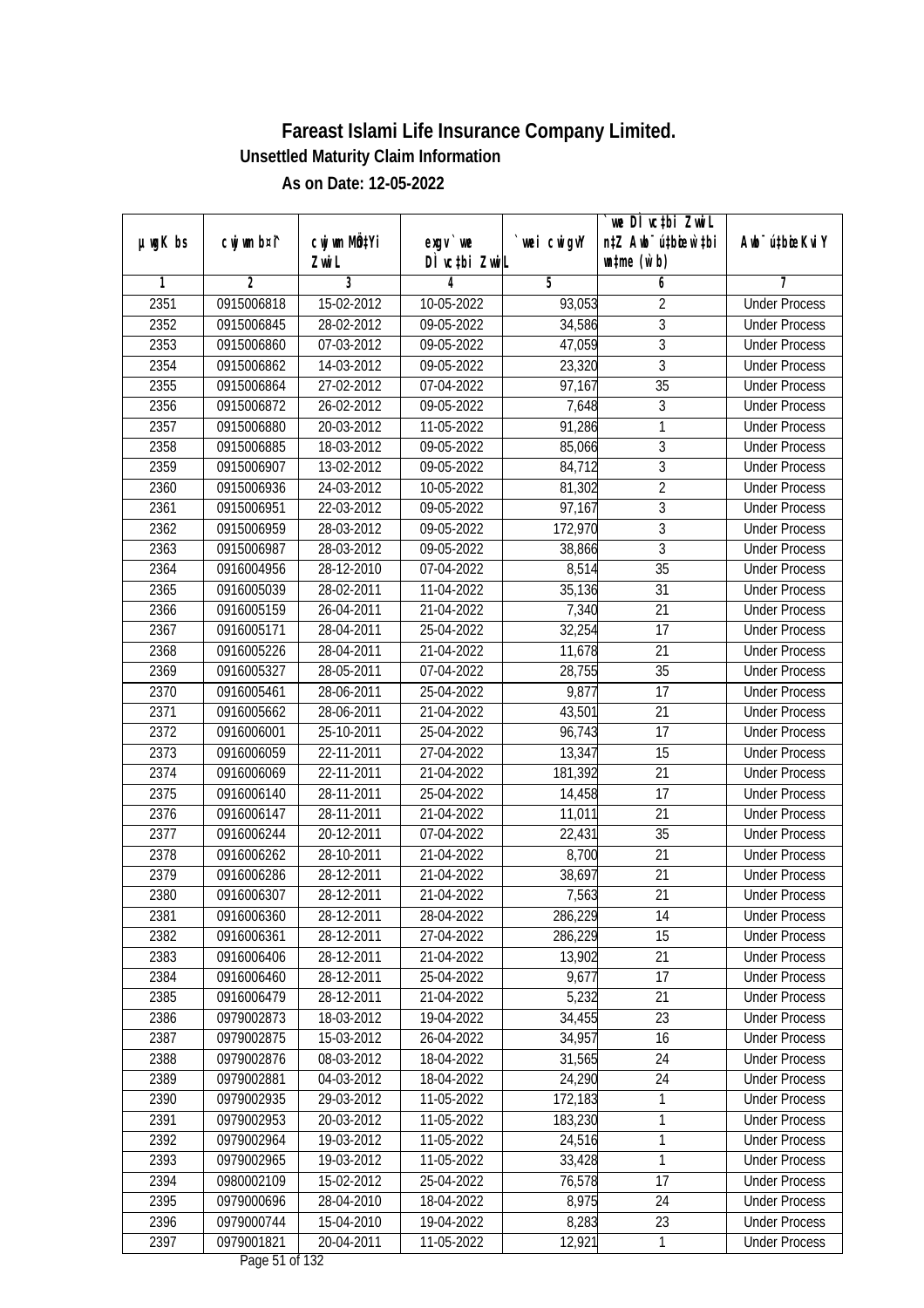|               |                |                       |                                      |            | we DI vctbi ZwiL                                            |                             |
|---------------|----------------|-----------------------|--------------------------------------|------------|-------------------------------------------------------------|-----------------------------|
| $µ$ ug $K$ bs | cwj wm b¤i^    | cwj wm MQtYi<br>Zwi L | $exgV$ we<br>DÌ vctbi ZwiL           | wei cwigvY | n‡Z Awb <sup>-</sup> ú‡bicen`‡bi<br>$\n  untime\n  (u`b)\n$ | Awb <sup>-</sup> ú‡bioeKviY |
| 1             | $\overline{2}$ | 3                     | 4                                    | 5          | 6                                                           | 7                           |
| 2351          | 0915006818     | 15-02-2012            | 10-05-2022                           | 93,053     | $\overline{2}$                                              | <b>Under Process</b>        |
| 2352          | 0915006845     | 28-02-2012            | 09-05-2022                           | 34,586     | $\overline{3}$                                              | <b>Under Process</b>        |
| 2353          | 0915006860     | 07-03-2012            | 09-05-2022                           | 47,059     | $\overline{3}$                                              | <b>Under Process</b>        |
| 2354          | 0915006862     | 14-03-2012            | 09-05-2022                           | 23,320     | $\sqrt{3}$                                                  | <b>Under Process</b>        |
| 2355          | 0915006864     | 27-02-2012            | 07-04-2022                           | 97,167     | $\overline{35}$                                             | <b>Under Process</b>        |
| 2356          | 0915006872     | 26-02-2012            | 09-05-2022                           | 7,648      | 3                                                           | <b>Under Process</b>        |
| 2357          | 0915006880     | 20-03-2012            | 11-05-2022                           | 91,286     | 1                                                           | <b>Under Process</b>        |
| 2358          | 0915006885     | 18-03-2012            | 09-05-2022                           | 85,066     | $\overline{3}$                                              | <b>Under Process</b>        |
| 2359          | 0915006907     | 13-02-2012            | 09-05-2022                           | 84,712     | $\overline{3}$                                              | <b>Under Process</b>        |
| 2360          | 0915006936     | 24-03-2012            | 10-05-2022                           | 81,302     | $\overline{2}$                                              | <b>Under Process</b>        |
| 2361          | 0915006951     | 22-03-2012            | 09-05-2022                           | 97,167     | $\overline{3}$                                              | <b>Under Process</b>        |
| 2362          | 0915006959     | 28-03-2012            | 09-05-2022                           | 172,970    | 3                                                           | <b>Under Process</b>        |
| 2363          | 0915006987     | 28-03-2012            | $09 - 05 - 2022$                     | 38,866     | $\overline{3}$                                              | <b>Under Process</b>        |
| 2364          | 0916004956     | 28-12-2010            | 07-04-2022                           | 8,514      | 35                                                          | <b>Under Process</b>        |
| 2365          | 0916005039     | 28-02-2011            | 11-04-2022                           | 35,136     | 31                                                          | <b>Under Process</b>        |
| 2366          | 0916005159     | 26-04-2011            | 21-04-2022                           | 7,340      | 21                                                          | <b>Under Process</b>        |
| 2367          | 0916005171     | 28-04-2011            | 25-04-2022                           | 32,254     | 17                                                          | <b>Under Process</b>        |
| 2368          | 0916005226     | 28-04-2011            | 21-04-2022                           | 11,678     | 21                                                          | <b>Under Process</b>        |
| 2369          | 0916005327     | 28-05-2011            | 07-04-2022                           | 28,755     | 35                                                          | <b>Under Process</b>        |
| 2370          | 0916005461     | 28-06-2011            | 25-04-2022                           | 9,877      | 17                                                          | <b>Under Process</b>        |
| 2371          | 0916005662     | 28-06-2011            | 21-04-2022                           | 43,501     | 21                                                          | <b>Under Process</b>        |
| 2372          | 0916006001     | 25-10-2011            | 25-04-2022                           | 96,743     | 17                                                          | <b>Under Process</b>        |
| 2373          | 0916006059     | 22-11-2011            | 27-04-2022                           | 13,347     | 15                                                          | <b>Under Process</b>        |
| 2374          | 0916006069     | 22-11-2011            | 21-04-2022                           | 181,392    | 21                                                          | <b>Under Process</b>        |
| 2375          | 0916006140     | 28-11-2011            | 25-04-2022                           | 14,458     | 17                                                          | <b>Under Process</b>        |
| 2376          | 0916006147     | 28-11-2011            | 21-04-2022                           | 11,011     | 21                                                          | <b>Under Process</b>        |
| 2377          | 0916006244     | 20-12-2011            | 07-04-2022                           | 22,431     | 35                                                          | <b>Under Process</b>        |
| 2378          | 0916006262     | 28-10-2011            | 21-04-2022                           | 8,700      | 21                                                          | <b>Under Process</b>        |
| 2379          | 0916006286     | 28-12-2011            | 21-04-2022                           | 38,697     | 21                                                          | <b>Under Process</b>        |
| 2380          | 0916006307     | 28-12-2011            | 21-04-2022                           | 7,563      | 21                                                          | <b>Under Process</b>        |
| 2381          | 0916006360     | 28-12-2011            | 28-04-2022                           | 286,229    | 14                                                          | <b>Under Process</b>        |
| 2382          | 0916006361     | 28-12-2011            | 27-04-2022                           | 286,229    | 15                                                          | <b>Under Process</b>        |
| 2383          | 0916006406     | 28-12-2011            | 21-04-2022                           | 13,902     | 21                                                          | <b>Under Process</b>        |
| 2384          | 0916006460     | 28-12-2011            | 25-04-2022                           | 9,677      | 17                                                          | <b>Under Process</b>        |
| 2385          | 0916006479     | 28-12-2011            | 21-04-2022                           | 5,232      | 21                                                          | <b>Under Process</b>        |
| 2386          | 0979002873     | 18-03-2012            | 19-04-2022                           | 34,455     | 23                                                          | <b>Under Process</b>        |
| 2387          | 0979002875     | $15-03-2012$          | 26-04-2022                           | 34,957     | 16                                                          | <b>Under Process</b>        |
| 2388          | 0979002876     | 08-03-2012            | 18-04-2022                           | 31,565     | 24                                                          | <b>Under Process</b>        |
| 2389          | 0979002881     | 04-03-2012            | 18-04-2022                           | 24,290     | 24                                                          | <b>Under Process</b>        |
| 2390          | 0979002935     | 29-03-2012            | 11-05-2022                           | 172,183    | 1                                                           | <b>Under Process</b>        |
| 2391          | 0979002953     | 20-03-2012            | 11-05-2022                           | 183,230    | 1                                                           | <b>Under Process</b>        |
| 2392          | 0979002964     | 19-03-2012            | 11-05-2022                           | 24,516     | $\mathbf{1}$                                                | <b>Under Process</b>        |
| 2393          | 0979002965     | 19-03-2012            | 11-05-2022                           | 33,428     | 1                                                           | <b>Under Process</b>        |
| 2394          | 0980002109     | $15-02-2012$          | 25-04-2022                           | 76,578     | 17                                                          | <b>Under Process</b>        |
| 2395          | 0979000696     | 28-04-2010            | 18-04-2022                           | 8,975      | 24                                                          | <b>Under Process</b>        |
| 2396          | 0979000744     | 15-04-2010            | 19-04-2022                           | 8,283      | 23                                                          | <b>Under Process</b>        |
| 2397          | 0979001821     | 20-04-2011            | 11-05-2022<br>$D_{0.92}$ $E1$ of 122 | 12,921     | $\mathbf{1}$                                                | <b>Under Process</b>        |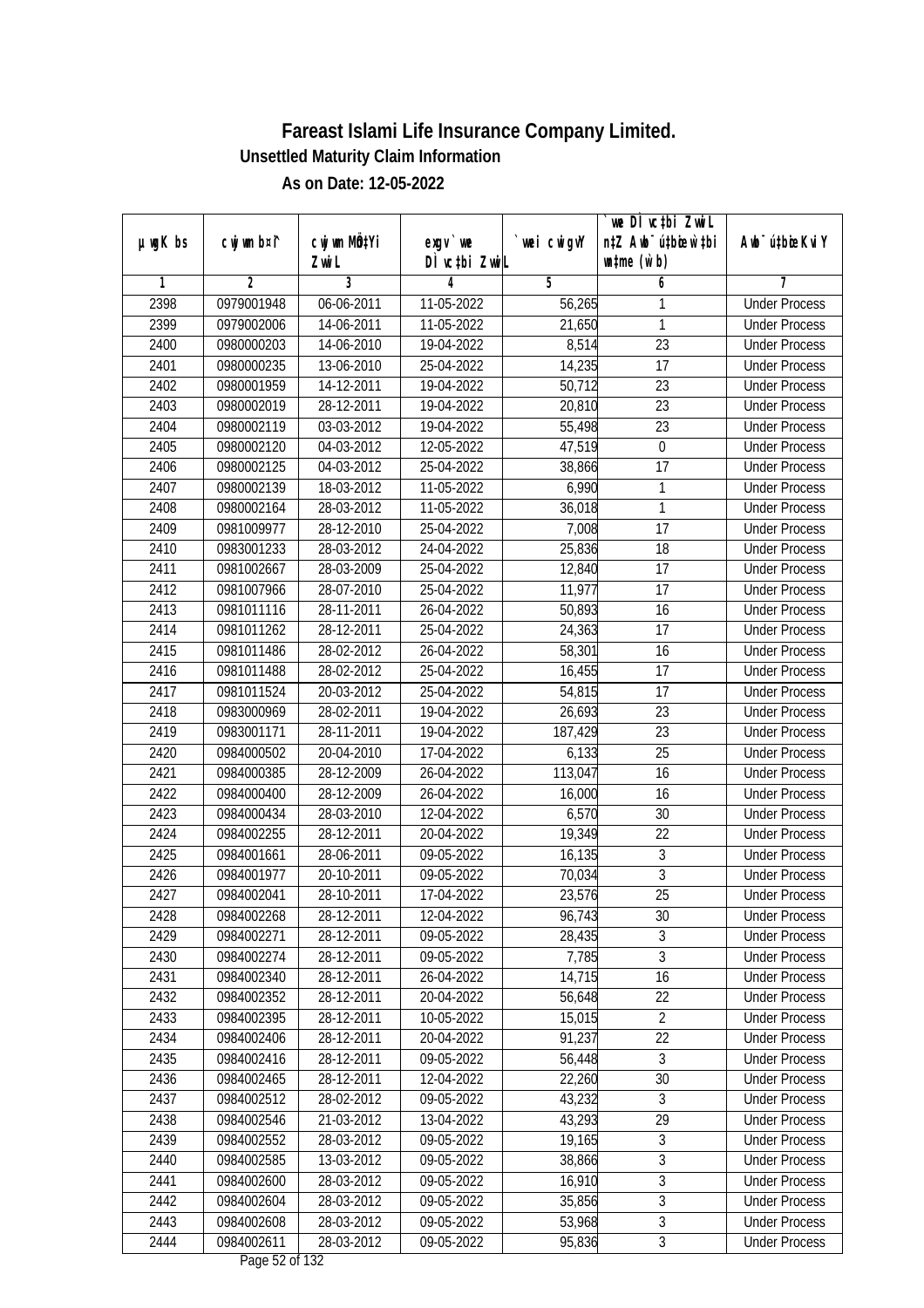|               |                |              |                                                         |             | `we DÌ vc‡bi ZwwiL               |                             |
|---------------|----------------|--------------|---------------------------------------------------------|-------------|----------------------------------|-----------------------------|
| $µ$ ug $K$ bs | cwj wm b¤i^    | cwj wm MQtYi | exgy `we                                                | `wei cwigvY | n‡Z Awb <sup>-</sup> ú‡bioen`‡bi | Awb <sup>-</sup> ú‡bioeKviY |
|               |                | Zwi L        | DÌ vctbi ZwiL                                           |             | $\n  untime\n  (u`b)\n$          |                             |
| 1             | $\overline{2}$ | 3            | 4                                                       | 5           | 6                                | 7                           |
| 2398          | 0979001948     | 06-06-2011   | 11-05-2022                                              | 56,265      | 1                                | <b>Under Process</b>        |
| 2399          | 0979002006     | 14-06-2011   | 11-05-2022                                              | 21,650      | 1                                | <b>Under Process</b>        |
| 2400          | 0980000203     | 14-06-2010   | 19-04-2022                                              | 8,514       | $\overline{23}$                  | <b>Under Process</b>        |
| 2401          | 0980000235     | 13-06-2010   | 25-04-2022                                              | 14,235      | $\overline{17}$                  | <b>Under Process</b>        |
| 2402          | 0980001959     | 14-12-2011   | 19-04-2022                                              | 50,712      | $\overline{23}$                  | <b>Under Process</b>        |
| 2403          | 0980002019     | 28-12-2011   | 19-04-2022                                              | 20,810      | $\overline{23}$                  | <b>Under Process</b>        |
| 2404          | 0980002119     | 03-03-2012   | 19-04-2022                                              | 55,498      | $\overline{23}$                  | <b>Under Process</b>        |
| 2405          | 0980002120     | 04-03-2012   | 12-05-2022                                              | 47,519      | $\boldsymbol{0}$                 | <b>Under Process</b>        |
| 2406          | 0980002125     | 04-03-2012   | 25-04-2022                                              | 38,866      | $\overline{17}$                  | <b>Under Process</b>        |
| 2407          | 0980002139     | 18-03-2012   | 11-05-2022                                              | 6,990       | 1                                | <b>Under Process</b>        |
| 2408          | 0980002164     | 28-03-2012   | 11-05-2022                                              | 36,018      | 1                                | <b>Under Process</b>        |
| 2409          | 0981009977     | 28-12-2010   | 25-04-2022                                              | 7,008       | 17                               | <b>Under Process</b>        |
| 2410          | 0983001233     | 28-03-2012   | 24-04-2022                                              | 25,836      | $\overline{18}$                  | <b>Under Process</b>        |
| 2411          | 0981002667     | 28-03-2009   | 25-04-2022                                              | 12,840      | 17                               | <b>Under Process</b>        |
| 2412          | 0981007966     | 28-07-2010   | 25-04-2022                                              | 11,977      | 17                               | <b>Under Process</b>        |
| 2413          | 0981011116     | 28-11-2011   | 26-04-2022                                              | 50,893      | 16                               | <b>Under Process</b>        |
| 2414          | 0981011262     | 28-12-2011   | 25-04-2022                                              | 24,363      | 17                               | <b>Under Process</b>        |
| 2415          | 0981011486     | 28-02-2012   | 26-04-2022                                              | 58,301      | 16                               | <b>Under Process</b>        |
| 2416          | 0981011488     | 28-02-2012   | 25-04-2022                                              | 16,455      | 17                               | <b>Under Process</b>        |
| 2417          | 0981011524     | 20-03-2012   | 25-04-2022                                              | 54,815      | 17                               | <b>Under Process</b>        |
| 2418          | 0983000969     | 28-02-2011   | 19-04-2022                                              | 26,693      | 23                               | <b>Under Process</b>        |
| 2419          | 0983001171     | 28-11-2011   | 19-04-2022                                              | 187,429     | 23                               | <b>Under Process</b>        |
| 2420          | 0984000502     | 20-04-2010   | 17-04-2022                                              | 6,133       | $\overline{25}$                  | <b>Under Process</b>        |
| 2421          | 0984000385     | 28-12-2009   | 26-04-2022                                              | 113,047     | 16                               | <b>Under Process</b>        |
| 2422          | 0984000400     | 28-12-2009   | 26-04-2022                                              | 16,000      | 16                               | <b>Under Process</b>        |
| 2423          | 0984000434     | 28-03-2010   | 12-04-2022                                              | 6,570       | 30                               | <b>Under Process</b>        |
| 2424          | 0984002255     | 28-12-2011   | 20-04-2022                                              | 19,349      | 22                               | <b>Under Process</b>        |
| 2425          | 0984001661     | 28-06-2011   | 09-05-2022                                              | 16,135      | 3                                | <b>Under Process</b>        |
| 2426          | 0984001977     | 20-10-2011   | 09-05-2022                                              | 70,034      | $\overline{3}$                   | <b>Under Process</b>        |
| 2427          | 0984002041     | 28-10-2011   | 17-04-2022                                              | 23,576      | 25                               | <b>Under Process</b>        |
| 2428          | 0984002268     | 28-12-2011   | 12-04-2022                                              | 96,743      | 30                               | <b>Under Process</b>        |
| 2429          | 0984002271     | 28-12-2011   | 09-05-2022                                              | 28,435      | 3                                | <b>Under Process</b>        |
| 2430          | 0984002274     | 28-12-2011   | 09-05-2022                                              | 7,785       | $\overline{3}$                   | <b>Under Process</b>        |
| 2431          | 0984002340     | 28-12-2011   | 26-04-2022                                              | 14,715      | 16                               | <b>Under Process</b>        |
| 2432          | 0984002352     | 28-12-2011   | 20-04-2022                                              | 56,648      | 22                               | <b>Under Process</b>        |
| 2433          | 0984002395     | 28-12-2011   | 10-05-2022                                              | 15,015      | $\overline{2}$                   | <b>Under Process</b>        |
| 2434          | 0984002406     | 28-12-2011   | 20-04-2022                                              | 91,237      | 22                               | <b>Under Process</b>        |
| 2435          | 0984002416     | 28-12-2011   | 09-05-2022                                              | 56,448      | 3                                | <b>Under Process</b>        |
| 2436          | 0984002465     | 28-12-2011   | 12-04-2022                                              | 22,260      | 30                               | <b>Under Process</b>        |
| 2437          | 0984002512     | 28-02-2012   | 09-05-2022                                              | 43,232      | 3                                | <b>Under Process</b>        |
| 2438          | 0984002546     | 21-03-2012   | 13-04-2022                                              | 43,293      | 29                               | <b>Under Process</b>        |
| 2439          | 0984002552     | $28-03-2012$ | 09-05-2022                                              | 19,165      | 3                                | <b>Under Process</b>        |
| 2440          | 0984002585     | 13-03-2012   | 09-05-2022                                              | 38,866      | $\overline{3}$                   | <b>Under Process</b>        |
| 2441          | 0984002600     | 28-03-2012   | 09-05-2022                                              | 16,910      | $\overline{3}$                   | <b>Under Process</b>        |
| 2442          | 0984002604     | 28-03-2012   | 09-05-2022                                              | 35,856      | $\overline{3}$                   | <b>Under Process</b>        |
| 2443          | 0984002608     | 28-03-2012   | 09-05-2022                                              | 53,968      | $\overline{3}$                   | <b>Under Process</b>        |
| 2444          | 0984002611     | 28-03-2012   | 09-05-2022<br>$D_{\text{max}}$ $\Gamma$ $\Omega$ of 123 | 95,836      | $\overline{3}$                   | <b>Under Process</b>        |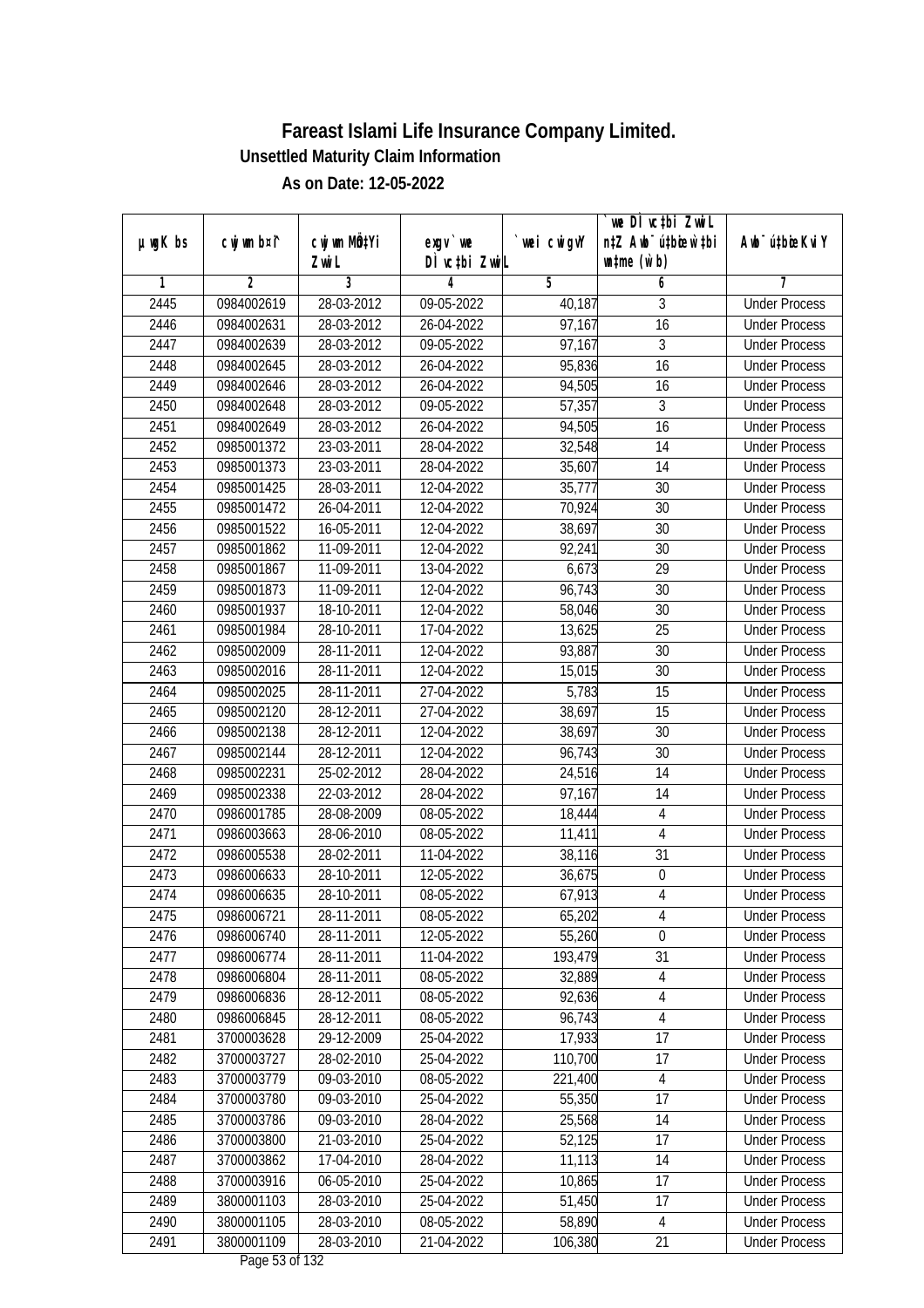|               |                |                       |                                      |            | we DI vctbi ZwiL                                            |                             |
|---------------|----------------|-----------------------|--------------------------------------|------------|-------------------------------------------------------------|-----------------------------|
| $µ$ ug $K$ bs | cwj wm b¤i^    | cwj wm MQtYi<br>Zwi L | exgv `we<br>DÌ vctbi ZwiL            | wei cwigvY | n‡Z Awb <sup>-</sup> ú‡bioar`‡bi<br>$\n  untime\n  (u`b)\n$ | Awb <sup>-</sup> ú‡bioeKviY |
| 1             | $\overline{2}$ | 3                     | 4                                    | 5          | 6                                                           | 7                           |
| 2445          | 0984002619     | 28-03-2012            | 09-05-2022                           | 40,187     | 3                                                           | <b>Under Process</b>        |
| 2446          | 0984002631     | 28-03-2012            | 26-04-2022                           | 97,167     | $\overline{16}$                                             | <b>Under Process</b>        |
| 2447          | 0984002639     | 28-03-2012            | 09-05-2022                           | 97,167     | $\sqrt{3}$                                                  | <b>Under Process</b>        |
| 2448          | 0984002645     | 28-03-2012            | 26-04-2022                           | 95,836     | 16                                                          | <b>Under Process</b>        |
| 2449          | 0984002646     | 28-03-2012            | 26-04-2022                           | 94,505     | 16                                                          | <b>Under Process</b>        |
| 2450          | 0984002648     | 28-03-2012            | 09-05-2022                           | 57,357     | 3                                                           | <b>Under Process</b>        |
| 2451          | 0984002649     | 28-03-2012            | 26-04-2022                           | 94,505     | $\overline{16}$                                             | <b>Under Process</b>        |
| 2452          | 0985001372     | 23-03-2011            | 28-04-2022                           | 32,548     | 14                                                          | <b>Under Process</b>        |
| 2453          | 0985001373     | 23-03-2011            | 28-04-2022                           | 35,607     | 14                                                          | <b>Under Process</b>        |
| 2454          | 0985001425     | 28-03-2011            | 12-04-2022                           | 35,777     | 30                                                          | <b>Under Process</b>        |
| 2455          | 0985001472     | 26-04-2011            | 12-04-2022                           | 70,924     | $\overline{30}$                                             | <b>Under Process</b>        |
| 2456          | 0985001522     | 16-05-2011            | 12-04-2022                           | 38,697     | 30                                                          | <b>Under Process</b>        |
| 2457          | 0985001862     | 11-09-2011            | 12-04-2022                           | 92,241     | $\overline{30}$                                             | <b>Under Process</b>        |
| 2458          | 0985001867     | 11-09-2011            | 13-04-2022                           | 6,673      | 29                                                          | <b>Under Process</b>        |
| 2459          | 0985001873     | 11-09-2011            | 12-04-2022                           | 96,743     | 30                                                          | <b>Under Process</b>        |
| 2460          | 0985001937     | 18-10-2011            | 12-04-2022                           | 58,046     | 30                                                          | <b>Under Process</b>        |
| 2461          | 0985001984     | 28-10-2011            | 17-04-2022                           | 13,625     | 25                                                          | <b>Under Process</b>        |
| 2462          | 0985002009     | 28-11-2011            | 12-04-2022                           | 93,887     | 30                                                          | <b>Under Process</b>        |
| 2463          | 0985002016     | 28-11-2011            | 12-04-2022                           | 15,015     | 30                                                          | <b>Under Process</b>        |
| 2464          | 0985002025     | 28-11-2011            | 27-04-2022                           | 5,783      | 15                                                          | <b>Under Process</b>        |
| 2465          | 0985002120     | 28-12-2011            | 27-04-2022                           | 38,697     | 15                                                          | <b>Under Process</b>        |
| 2466          | 0985002138     | 28-12-2011            | 12-04-2022                           | 38,697     | 30                                                          | <b>Under Process</b>        |
| 2467          | 0985002144     | 28-12-2011            | 12-04-2022                           | 96,743     | 30                                                          | <b>Under Process</b>        |
| 2468          | 0985002231     | 25-02-2012            | 28-04-2022                           | 24,516     | 14                                                          | <b>Under Process</b>        |
| 2469          | 0985002338     | 22-03-2012            | 28-04-2022                           | 97,167     | 14                                                          | <b>Under Process</b>        |
| 2470          | 0986001785     | 28-08-2009            | 08-05-2022                           | 18,444     | $\overline{4}$                                              | <b>Under Process</b>        |
| 2471          | 0986003663     | 28-06-2010            | 08-05-2022                           | 11,411     | $\overline{4}$                                              | <b>Under Process</b>        |
| 2472          | 0986005538     | 28-02-2011            | 11-04-2022                           | 38,116     | 31                                                          | <b>Under Process</b>        |
| 2473          | 0986006633     | 28-10-2011            | 12-05-2022                           | 36,675     | $\boldsymbol{0}$                                            | <b>Under Process</b>        |
| 2474          | 0986006635     | 28-10-2011            | 08-05-2022                           | 67,913     | $\overline{4}$                                              | <b>Under Process</b>        |
| 2475          | 0986006721     | 28-11-2011            | 08-05-2022                           | 65,202     | 4                                                           | <b>Under Process</b>        |
| 2476          | 0986006740     | 28-11-2011            | 12-05-2022                           | 55,260     | $\mathbf 0$                                                 | <b>Under Process</b>        |
| 2477          | 0986006774     | 28-11-2011            | 11-04-2022                           | 193,479    | 31                                                          | <b>Under Process</b>        |
| 2478          | 0986006804     | 28-11-2011            | 08-05-2022                           | 32,889     | $\overline{4}$                                              | <b>Under Process</b>        |
| 2479          | 0986006836     | 28-12-2011            | 08-05-2022                           | 92,636     | 4                                                           | <b>Under Process</b>        |
| 2480          | 0986006845     | 28-12-2011            | 08-05-2022                           | 96,743     | 4                                                           | <b>Under Process</b>        |
| 2481          | 3700003628     | 29-12-2009            | 25-04-2022                           | 17,933     | 17                                                          | <b>Under Process</b>        |
| 2482          | 3700003727     | 28-02-2010            | 25-04-2022                           | 110,700    | 17                                                          | <b>Under Process</b>        |
| 2483          | 3700003779     | 09-03-2010            | 08-05-2022                           | 221,400    | $\overline{4}$                                              | <b>Under Process</b>        |
| 2484          | 3700003780     | 09-03-2010            | 25-04-2022                           | 55,350     | 17                                                          | <b>Under Process</b>        |
| 2485          | 3700003786     | 09-03-2010            | 28-04-2022                           | 25,568     | 14                                                          | <b>Under Process</b>        |
| 2486          | 3700003800     | 21-03-2010            | 25-04-2022                           | 52,125     | 17                                                          | <b>Under Process</b>        |
| 2487          | 3700003862     | 17-04-2010            | 28-04-2022                           | 11,113     | 14                                                          | <b>Under Process</b>        |
| 2488          | 3700003916     | 06-05-2010            | 25-04-2022                           | 10,865     | 17                                                          | <b>Under Process</b>        |
| 2489          | 3800001103     | 28-03-2010            | 25-04-2022                           | 51,450     | 17                                                          | <b>Under Process</b>        |
| 2490          | 3800001105     | 28-03-2010            | 08-05-2022                           | 58,890     | $\overline{4}$                                              | <b>Under Process</b>        |
| 2491          | 3800001109     | 28-03-2010            | 21-04-2022<br>$D_{0.92}$ $E2$ of 122 | 106,380    | 21                                                          | <b>Under Process</b>        |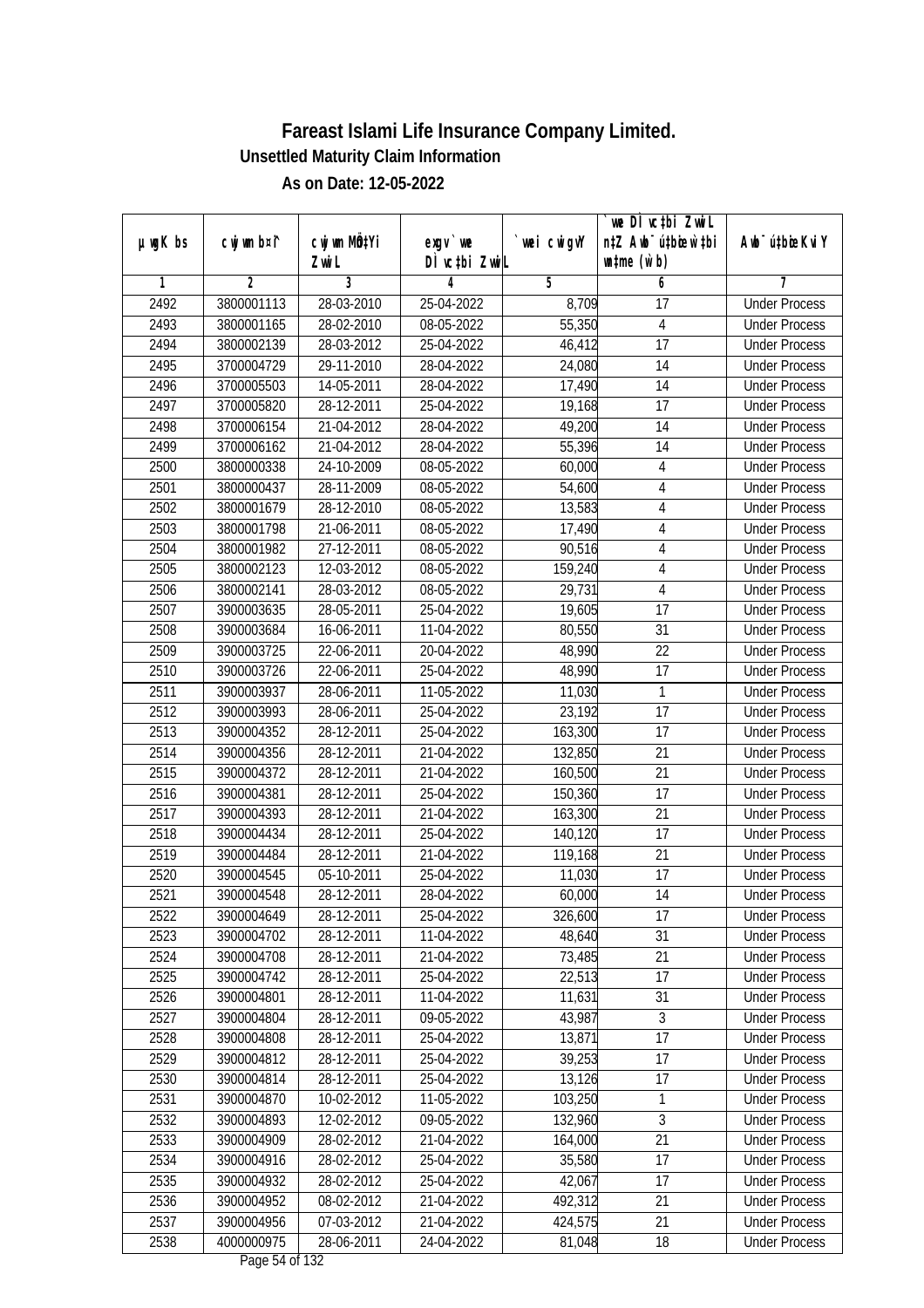| $µ$ ug $K$ bs | cwj wm b¤i^ | cwj wm MQtYi | exgv `we                                         | wei cwigvY | `we DÌ vc‡bi ZwiL<br>n‡Z Awb <sup>-</sup> ú‡bioen`‡bi | Awb <sup>-</sup> ú‡bioeKviY |
|---------------|-------------|--------------|--------------------------------------------------|------------|-------------------------------------------------------|-----------------------------|
|               |             | Zwi L        | DÌ vctbi ZwiL                                    |            | $\n  untime\n  (u`b)\n$                               |                             |
| 1             | 2           | 3            | 4                                                | 5          | 6                                                     | 7                           |
| 2492          | 3800001113  | 28-03-2010   | 25-04-2022                                       | 8,709      | 17                                                    | <b>Under Process</b>        |
| 2493          | 3800001165  | 28-02-2010   | 08-05-2022                                       | 55,350     | 4                                                     | <b>Under Process</b>        |
| 2494          | 3800002139  | 28-03-2012   | 25-04-2022                                       | 46,412     | $\overline{17}$                                       | <b>Under Process</b>        |
| 2495          | 3700004729  | 29-11-2010   | 28-04-2022                                       | 24,080     | 14                                                    | <b>Under Process</b>        |
| 2496          | 3700005503  | 14-05-2011   | 28-04-2022                                       | 17,490     | 14                                                    | <b>Under Process</b>        |
| 2497          | 3700005820  | 28-12-2011   | 25-04-2022                                       | 19,168     | $\overline{17}$                                       | <b>Under Process</b>        |
| 2498          | 3700006154  | 21-04-2012   | 28-04-2022                                       | 49,200     | 14                                                    | <b>Under Process</b>        |
| 2499          | 3700006162  | 21-04-2012   | 28-04-2022                                       | 55,396     | 14                                                    | <b>Under Process</b>        |
| 2500          | 3800000338  | 24-10-2009   | 08-05-2022                                       | 60,000     | $\overline{4}$                                        | <b>Under Process</b>        |
| 2501          | 3800000437  | 28-11-2009   | 08-05-2022                                       | 54,600     | $\overline{4}$                                        | <b>Under Process</b>        |
| 2502          | 3800001679  | 28-12-2010   | 08-05-2022                                       | 13,583     | $\overline{4}$                                        | <b>Under Process</b>        |
| 2503          | 3800001798  | 21-06-2011   | 08-05-2022                                       | 17,490     | $\overline{4}$                                        | <b>Under Process</b>        |
| 2504          | 3800001982  | 27-12-2011   | 08-05-2022                                       | 90,516     | $\overline{4}$                                        | <b>Under Process</b>        |
| 2505          | 3800002123  | 12-03-2012   | 08-05-2022                                       | 159,240    | $\overline{4}$                                        | <b>Under Process</b>        |
| 2506          | 3800002141  | 28-03-2012   | 08-05-2022                                       | 29,731     | 4                                                     | <b>Under Process</b>        |
| 2507          | 3900003635  | 28-05-2011   | 25-04-2022                                       | 19,605     | 17                                                    | <b>Under Process</b>        |
| 2508          | 3900003684  | 16-06-2011   | 11-04-2022                                       | 80,550     | 31                                                    | <b>Under Process</b>        |
| 2509          | 3900003725  | 22-06-2011   | 20-04-2022                                       | 48,990     | 22                                                    | <b>Under Process</b>        |
| 2510          | 3900003726  | 22-06-2011   | 25-04-2022                                       | 48,990     | 17                                                    | <b>Under Process</b>        |
| 2511          | 3900003937  | 28-06-2011   | 11-05-2022                                       | 11,030     | 1                                                     | <b>Under Process</b>        |
| 2512          | 3900003993  | 28-06-2011   | 25-04-2022                                       | 23,192     | 17                                                    | <b>Under Process</b>        |
| 2513          | 3900004352  | 28-12-2011   | 25-04-2022                                       | 163,300    | 17                                                    | <b>Under Process</b>        |
| 2514          | 3900004356  | 28-12-2011   | 21-04-2022                                       | 132,850    | 21                                                    | <b>Under Process</b>        |
| 2515          | 3900004372  | 28-12-2011   | 21-04-2022                                       | 160,500    | 21                                                    | <b>Under Process</b>        |
| 2516          | 3900004381  | 28-12-2011   | 25-04-2022                                       | 150,360    | 17                                                    | <b>Under Process</b>        |
| 2517          | 3900004393  | 28-12-2011   | 21-04-2022                                       | 163,300    | 21                                                    | <b>Under Process</b>        |
| 2518          | 3900004434  | 28-12-2011   | 25-04-2022                                       | 140,120    | 17                                                    | <b>Under Process</b>        |
| 2519          | 3900004484  | 28-12-2011   | 21-04-2022                                       | 119,168    | 21                                                    | <b>Under Process</b>        |
| 2520          | 3900004545  | 05-10-2011   | 25-04-2022                                       | 11,030     | 17                                                    | <b>Under Process</b>        |
| 2521          | 3900004548  | 28-12-2011   | 28-04-2022                                       | 60,000     | 14                                                    | <b>Under Process</b>        |
| 2522          | 3900004649  | 28-12-2011   | 25-04-2022                                       | 326,600    | 17                                                    | <b>Under Process</b>        |
| 2523          | 3900004702  | 28-12-2011   | 11-04-2022                                       | 48,640     | 31                                                    | <b>Under Process</b>        |
| 2524          | 3900004708  | 28-12-2011   | 21-04-2022                                       | 73,485     | 21                                                    | <b>Under Process</b>        |
| 2525          | 3900004742  | 28-12-2011   | 25-04-2022                                       | 22,513     | 17                                                    | <b>Under Process</b>        |
| 2526          | 3900004801  | 28-12-2011   | 11-04-2022                                       | 11,631     | 31                                                    | <b>Under Process</b>        |
| 2527          | 3900004804  | 28-12-2011   | 09-05-2022                                       | 43,987     | 3                                                     | <b>Under Process</b>        |
| 2528          | 3900004808  | 28-12-2011   | 25-04-2022                                       | 13,871     | 17                                                    | <b>Under Process</b>        |
| 2529          | 3900004812  | 28-12-2011   | 25-04-2022                                       | 39,253     | 17                                                    | <b>Under Process</b>        |
| 2530          | 3900004814  | 28-12-2011   | 25-04-2022                                       | 13,126     | 17                                                    | <b>Under Process</b>        |
| 2531          | 3900004870  | 10-02-2012   | 11-05-2022                                       | 103,250    | 1                                                     | <b>Under Process</b>        |
| 2532          | 3900004893  | 12-02-2012   | 09-05-2022                                       | 132,960    | $\overline{3}$                                        | <b>Under Process</b>        |
| 2533          | 3900004909  | 28-02-2012   | 21-04-2022                                       | 164,000    | 21                                                    | <b>Under Process</b>        |
| 2534          | 3900004916  | 28-02-2012   | 25-04-2022                                       | 35,580     | 17                                                    | <b>Under Process</b>        |
| 2535          | 3900004932  | 28-02-2012   | 25-04-2022                                       | 42,067     | 17                                                    | <b>Under Process</b>        |
| 2536          | 3900004952  | 08-02-2012   | 21-04-2022                                       | 492,312    | 21                                                    | <b>Under Process</b>        |
| 2537          | 3900004956  | 07-03-2012   | 21-04-2022                                       | 424,575    | 21                                                    | <b>Under Process</b>        |
| 2538          | 4000000975  | 28-06-2011   | 24-04-2022<br>$D_{\text{max}}$ $\Gamma$ 4 of 123 | 81,048     | 18                                                    | <b>Under Process</b>        |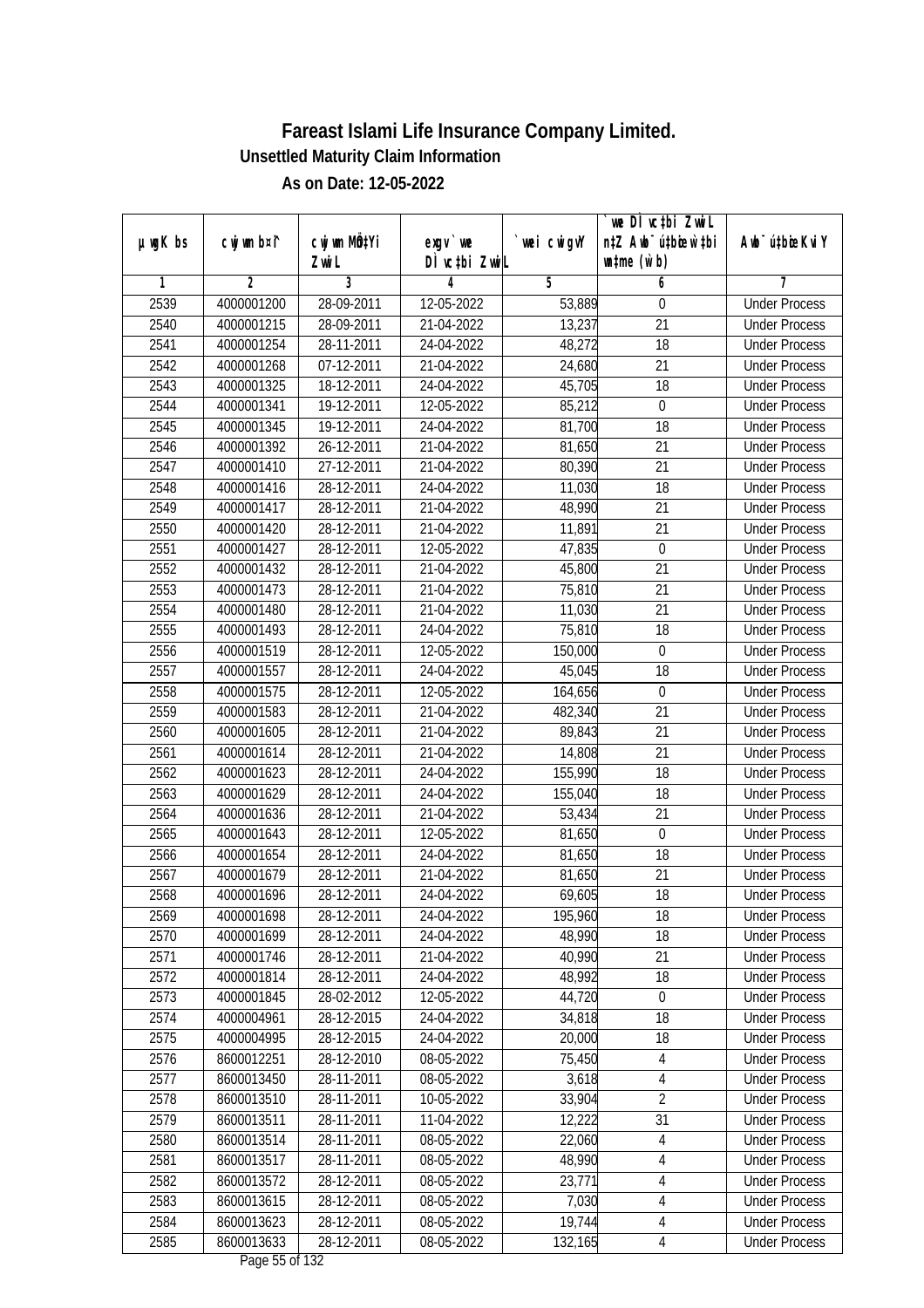| $µ$ ug $K$ bs | cwj wm b¤i^ | cwj wm MQtYi | exgv `we                           | wei cwigvY | we DI vctbi ZwiL<br>n‡Z Awb <sup>-</sup> ú‡bioen`‡bi | Awb <sup>-</sup> ú‡bioeKviY |
|---------------|-------------|--------------|------------------------------------|------------|------------------------------------------------------|-----------------------------|
|               |             | Zwi L        | DÌ vctbi ZwiL                      |            | $\n  untime\n  (u`b)\n$                              |                             |
| 1             | 2           | 3            | 4                                  | 5          | 6                                                    | 7                           |
| 2539          | 4000001200  | 28-09-2011   | 12-05-2022                         | 53,889     | 0                                                    | <b>Under Process</b>        |
| 2540          | 4000001215  | 28-09-2011   | 21-04-2022                         | 13,237     | 21                                                   | <b>Under Process</b>        |
| 2541          | 4000001254  | 28-11-2011   | 24-04-2022                         | 48,272     | 18                                                   | <b>Under Process</b>        |
| 2542          | 4000001268  | 07-12-2011   | 21-04-2022                         | 24,680     | 21                                                   | <b>Under Process</b>        |
| 2543          | 4000001325  | 18-12-2011   | 24-04-2022                         | 45,705     | 18                                                   | <b>Under Process</b>        |
| 2544          | 4000001341  | 19-12-2011   | 12-05-2022                         | 85,212     | $\mathbf 0$                                          | <b>Under Process</b>        |
| 2545          | 4000001345  | 19-12-2011   | 24-04-2022                         | 81,700     | 18                                                   | <b>Under Process</b>        |
| 2546          | 4000001392  | 26-12-2011   | 21-04-2022                         | 81,650     | $\overline{21}$                                      | <b>Under Process</b>        |
| 2547          | 4000001410  | 27-12-2011   | 21-04-2022                         | 80,390     | 21                                                   | <b>Under Process</b>        |
| 2548          | 4000001416  | 28-12-2011   | 24-04-2022                         | 11,030     | 18                                                   | <b>Under Process</b>        |
| 2549          | 4000001417  | 28-12-2011   | 21-04-2022                         | 48,990     | $\overline{21}$                                      | <b>Under Process</b>        |
| 2550          | 4000001420  | 28-12-2011   | 21-04-2022                         | 11,891     | 21                                                   | <b>Under Process</b>        |
| 2551          | 4000001427  | 28-12-2011   | 12-05-2022                         | 47,835     | $\boldsymbol{0}$                                     | <b>Under Process</b>        |
| 2552          | 4000001432  | 28-12-2011   | 21-04-2022                         | 45,800     | 21                                                   | <b>Under Process</b>        |
| 2553          | 4000001473  | 28-12-2011   | 21-04-2022                         | 75,810     | 21                                                   | <b>Under Process</b>        |
| 2554          | 4000001480  | 28-12-2011   | 21-04-2022                         | 11,030     | 21                                                   | <b>Under Process</b>        |
| 2555          | 4000001493  | 28-12-2011   | 24-04-2022                         | 75,810     | 18                                                   | <b>Under Process</b>        |
| 2556          | 4000001519  | 28-12-2011   | 12-05-2022                         | 150,000    | $\boldsymbol{0}$                                     | <b>Under Process</b>        |
| 2557          | 4000001557  | 28-12-2011   | 24-04-2022                         | 45,045     | 18                                                   | <b>Under Process</b>        |
| 2558          | 4000001575  | 28-12-2011   | 12-05-2022                         | 164,656    | $\boldsymbol{0}$                                     | <b>Under Process</b>        |
| 2559          | 4000001583  | 28-12-2011   | 21-04-2022                         | 482,340    | 21                                                   | <b>Under Process</b>        |
| 2560          | 4000001605  | 28-12-2011   | 21-04-2022                         | 89,843     | 21                                                   | <b>Under Process</b>        |
| 2561          | 4000001614  | 28-12-2011   | 21-04-2022                         | 14,808     | 21                                                   | <b>Under Process</b>        |
| 2562          | 4000001623  | 28-12-2011   | 24-04-2022                         | 155,990    | 18                                                   | <b>Under Process</b>        |
| 2563          | 4000001629  | 28-12-2011   | 24-04-2022                         | 155,040    | 18                                                   | <b>Under Process</b>        |
| 2564          | 4000001636  | 28-12-2011   | 21-04-2022                         | 53,434     | 21                                                   | <b>Under Process</b>        |
| 2565          | 4000001643  | 28-12-2011   | 12-05-2022                         | 81,650     | $\mathbf 0$                                          | <b>Under Process</b>        |
| 2566          | 4000001654  | 28-12-2011   | 24-04-2022                         | 81,650     | 18                                                   | <b>Under Process</b>        |
| 2567          | 4000001679  | 28-12-2011   | 21-04-2022                         | 81,650     | 21                                                   | <b>Under Process</b>        |
| 2568          | 4000001696  | 28-12-2011   | 24-04-2022                         | 69,605     | 18                                                   | <b>Under Process</b>        |
| 2569          | 4000001698  | 28-12-2011   | 24-04-2022                         | 195,960    | 18                                                   | <b>Under Process</b>        |
| 2570          | 4000001699  | 28-12-2011   | 24-04-2022                         | 48,990     | 18                                                   | <b>Under Process</b>        |
| 2571          | 4000001746  | 28-12-2011   | 21-04-2022                         | 40,990     | 21                                                   | <b>Under Process</b>        |
| 2572          | 4000001814  | 28-12-2011   | 24-04-2022                         | 48,992     | 18                                                   | <b>Under Process</b>        |
| 2573          | 4000001845  | 28-02-2012   | 12-05-2022                         | 44,720     | $\boldsymbol{0}$                                     | <b>Under Process</b>        |
| 2574          | 4000004961  | 28-12-2015   | 24-04-2022                         | 34,818     | 18                                                   | <b>Under Process</b>        |
| 2575          | 4000004995  | 28-12-2015   | 24-04-2022                         | 20,000     | 18                                                   | <b>Under Process</b>        |
| 2576          | 8600012251  | 28-12-2010   | 08-05-2022                         | 75,450     | 4                                                    | <b>Under Process</b>        |
| 2577          | 8600013450  | 28-11-2011   | 08-05-2022                         | 3,618      | 4                                                    | <b>Under Process</b>        |
| 2578          | 8600013510  | 28-11-2011   | 10-05-2022                         | 33,904     | $\overline{2}$                                       | <b>Under Process</b>        |
| 2579          | 8600013511  | 28-11-2011   | 11-04-2022                         | 12,222     | 31                                                   | <b>Under Process</b>        |
| 2580          | 8600013514  | 28-11-2011   | 08-05-2022                         | 22,060     | $\overline{4}$                                       | <b>Under Process</b>        |
| 2581          | 8600013517  | 28-11-2011   | 08-05-2022                         | 48,990     | $\overline{4}$                                       | <b>Under Process</b>        |
| 2582          | 8600013572  | 28-12-2011   | 08-05-2022                         | 23,771     | $\overline{4}$                                       | <b>Under Process</b>        |
| 2583          | 8600013615  | 28-12-2011   | 08-05-2022                         | 7,030      | $\overline{4}$                                       | <b>Under Process</b>        |
| 2584          | 8600013623  | 28-12-2011   | 08-05-2022                         | 19,744     | $\overline{4}$                                       | <b>Under Process</b>        |
| 2585          | 8600013633  | 28-12-2011   | 08-05-2022<br>$D_{0.92}$ EE of 122 | 132,165    | 4                                                    | <b>Under Process</b>        |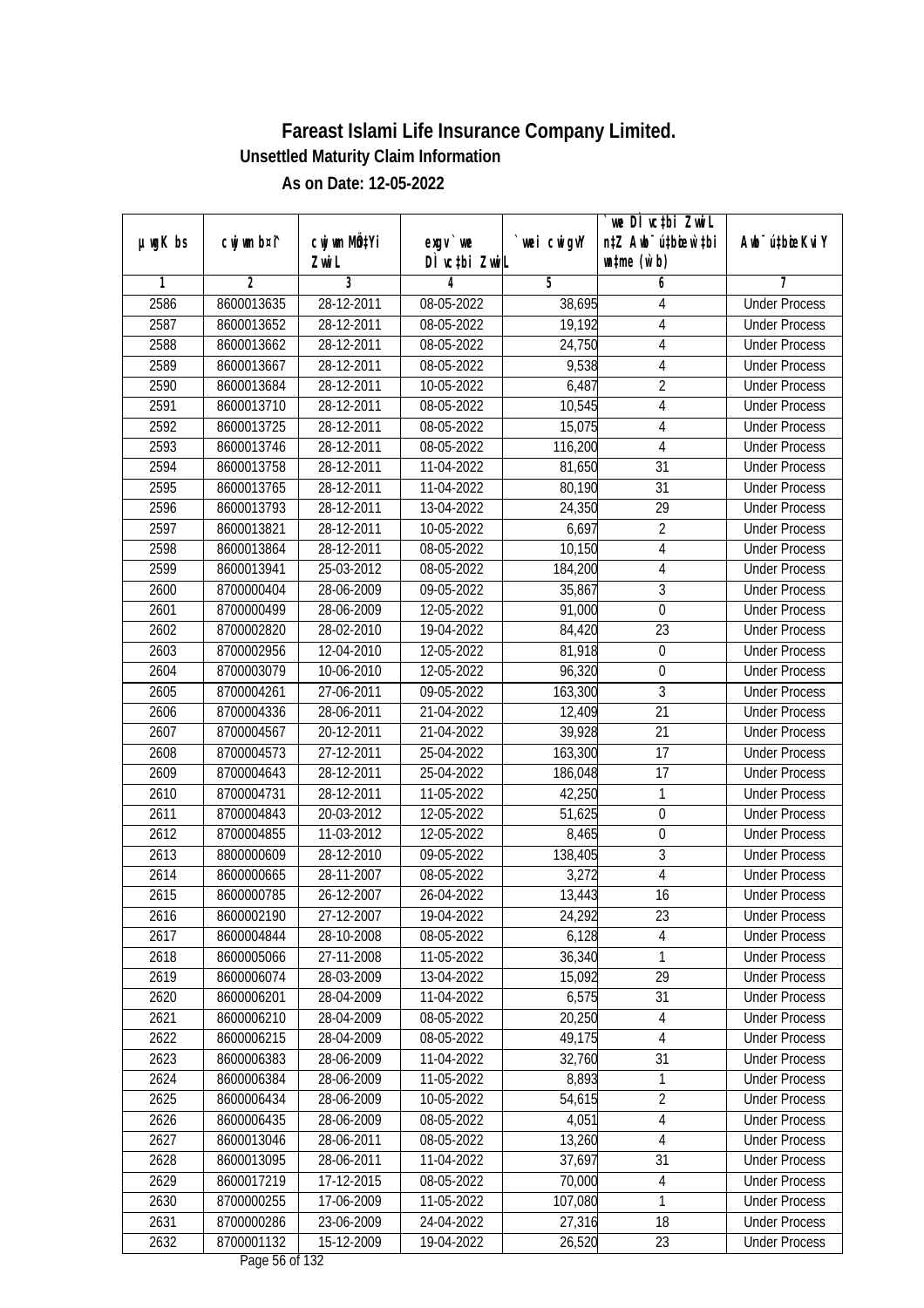|               |                          |                          |                                   |                  | we DI vctbi ZwiL                 |                                              |
|---------------|--------------------------|--------------------------|-----------------------------------|------------------|----------------------------------|----------------------------------------------|
| $µ$ ug $K$ bs | cwj wm b¤i^              | cwj wm MQtYi             | $exgV$ we                         | wei cwigvY       | n‡Z Awb <sup>-</sup> ú‡bicen`‡bi | Awb <sup>-</sup> ú‡bioeKviY                  |
| 1             | $\overline{2}$           | Zwi L<br>3               | DÌ vctbi ZwiL<br>4                | 5                | $\n  untime\n  (u`b)\n$<br>6     | 7                                            |
| 2586          | 8600013635               | 28-12-2011               | 08-05-2022                        | 38,695           | 4                                | <b>Under Process</b>                         |
| 2587          | 8600013652               | 28-12-2011               | 08-05-2022                        | 19,192           | $\overline{4}$                   | <b>Under Process</b>                         |
| 2588          | 8600013662               | 28-12-2011               | 08-05-2022                        | 24,750           | $\overline{4}$                   | <b>Under Process</b>                         |
| 2589          | 8600013667               | 28-12-2011               | 08-05-2022                        | 9,538            | $\overline{4}$                   | <b>Under Process</b>                         |
| 2590          | 8600013684               | 28-12-2011               | 10-05-2022                        | 6,487            | $\overline{2}$                   | <b>Under Process</b>                         |
| 2591          | 8600013710               | 28-12-2011               | 08-05-2022                        | 10,545           | 4                                | <b>Under Process</b>                         |
| 2592          | 8600013725               | 28-12-2011               | $08-05-2022$                      | 15,075           | $\overline{4}$                   | <b>Under Process</b>                         |
| 2593          | 8600013746               | 28-12-2011               | 08-05-2022                        | 116,200          | $\overline{4}$                   | <b>Under Process</b>                         |
| 2594          | 8600013758               | 28-12-2011               | 11-04-2022                        | 81,650           | 31                               | <b>Under Process</b>                         |
| 2595          |                          |                          |                                   |                  | 31                               |                                              |
| 2596          | 8600013765<br>8600013793 | 28-12-2011<br>28-12-2011 | 11-04-2022<br>13-04-2022          | 80,190<br>24,350 | $\overline{29}$                  | <b>Under Process</b><br><b>Under Process</b> |
|               |                          |                          |                                   |                  |                                  |                                              |
| 2597          | 8600013821               | 28-12-2011               | 10-05-2022                        | 6,697            | 2                                | <b>Under Process</b>                         |
| 2598          | 8600013864               | 28-12-2011               | 08-05-2022                        | 10,150           | $\overline{4}$                   | <b>Under Process</b>                         |
| 2599          | 8600013941               | 25-03-2012               | 08-05-2022                        | 184,200          | $\overline{4}$                   | <b>Under Process</b>                         |
| 2600          | 8700000404               | 28-06-2009               | 09-05-2022                        | 35,867           | $\mathfrak{Z}$                   | <b>Under Process</b>                         |
| 2601          | 8700000499               | 28-06-2009               | 12-05-2022                        | 91,000           | $\mathbf 0$                      | <b>Under Process</b>                         |
| 2602          | 8700002820               | 28-02-2010               | 19-04-2022                        | 84,420           | 23                               | <b>Under Process</b>                         |
| 2603          | 8700002956               | 12-04-2010               | 12-05-2022                        | 81,918           | $\boldsymbol{0}$                 | <b>Under Process</b>                         |
| 2604          | 8700003079               | 10-06-2010               | 12-05-2022                        | 96,320           | $\boldsymbol{0}$                 | <b>Under Process</b>                         |
| 2605          | 8700004261               | 27-06-2011               | 09-05-2022                        | 163,300          | 3                                | <b>Under Process</b>                         |
| 2606          | 8700004336               | 28-06-2011               | 21-04-2022                        | 12,409           | $\overline{21}$                  | <b>Under Process</b>                         |
| 2607          | 8700004567               | 20-12-2011               | 21-04-2022                        | 39,928           | 21                               | <b>Under Process</b>                         |
| 2608          | 8700004573               | 27-12-2011               | 25-04-2022                        | 163,300          | 17                               | <b>Under Process</b>                         |
| 2609          | 8700004643               | 28-12-2011               | 25-04-2022                        | 186,048          | 17                               | <b>Under Process</b>                         |
| 2610          | 8700004731               | 28-12-2011               | 11-05-2022                        | 42,250           | 1                                | <b>Under Process</b>                         |
| 2611          | 8700004843               | 20-03-2012               | 12-05-2022                        | 51,625           | $\mathbf 0$                      | <b>Under Process</b>                         |
| 2612          | 8700004855               | 11-03-2012               | 12-05-2022                        | 8,465            | $\boldsymbol{0}$                 | <b>Under Process</b>                         |
| 2613          | 8800000609               | 28-12-2010               | 09-05-2022                        | 138,405          | 3                                | <b>Under Process</b>                         |
| 2614          | 8600000665               | 28-11-2007               | 08-05-2022                        | 3,272            | $\overline{4}$                   | <b>Under Process</b>                         |
| 2615          | 8600000785               | 26-12-2007               | 26-04-2022                        | 13,443           | 16                               | <b>Under Process</b>                         |
| 2616          | 8600002190               | 27-12-2007               | 19-04-2022                        | 24,292           | 23                               | <b>Under Process</b>                         |
| 2617          | 8600004844               | 28-10-2008               | 08-05-2022                        | 6,128            | 4                                | <b>Under Process</b>                         |
| 2618          | 8600005066               | 27-11-2008               | 11-05-2022                        | 36,340           | 1                                | <b>Under Process</b>                         |
| 2619          | 8600006074               | 28-03-2009               | 13-04-2022                        | 15,092           | 29                               | <b>Under Process</b>                         |
| 2620          | 8600006201               | 28-04-2009               | 11-04-2022                        | 6,575            | 31                               | <b>Under Process</b>                         |
| 2621          | 8600006210               | 28-04-2009               | 08-05-2022                        | 20,250           | 4                                | <b>Under Process</b>                         |
| 2622          | 8600006215               | 28-04-2009               | 08-05-2022                        | 49,175           | $\overline{4}$                   | <b>Under Process</b>                         |
| 2623          | 8600006383               | 28-06-2009               | 11-04-2022                        | 32,760           | 31                               | <b>Under Process</b>                         |
| 2624          | 8600006384               | 28-06-2009               | 11-05-2022                        | 8,893            | 1                                | <b>Under Process</b>                         |
| 2625          | 8600006434               | 28-06-2009               | 10-05-2022                        | 54,615           | $\overline{2}$                   | <b>Under Process</b>                         |
| 2626          | 8600006435               | 28-06-2009               | 08-05-2022                        | 4,051            | 4                                | <b>Under Process</b>                         |
| 2627          | 8600013046               | 28-06-2011               | 08-05-2022                        | 13,260           | 4                                | <b>Under Process</b>                         |
| 2628          | 8600013095               | 28-06-2011               | 11-04-2022                        | 37,697           | 31                               | <b>Under Process</b>                         |
| 2629          | 8600017219               | 17-12-2015               | 08-05-2022                        | 70,000           | 4                                | <b>Under Process</b>                         |
| 2630          | 8700000255               | 17-06-2009               | 11-05-2022                        | 107,080          | 1                                | <b>Under Process</b>                         |
| 2631          | 8700000286               | 23-06-2009               | 24-04-2022                        | 27,316           | 18                               | <b>Under Process</b>                         |
| 2632          | 8700001132               | 15-12-2009               | 19-04-2022<br>Dege $E\ell$ of 122 | 26,520           | 23                               | <b>Under Process</b>                         |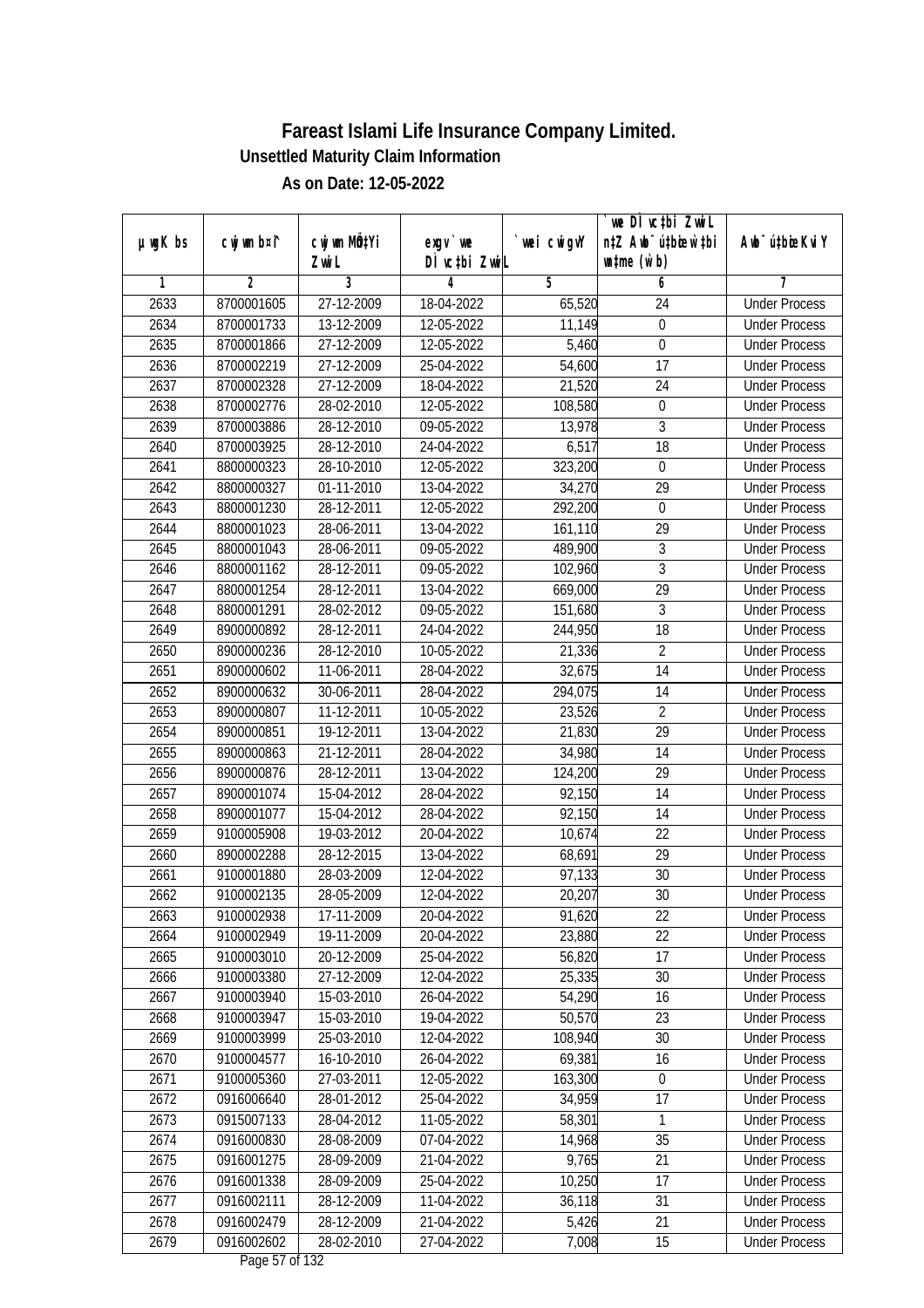| DÌ vctbi ZwiL<br>$\n  untime\n  (u`b)\n$<br>Zwi L<br>3<br>1<br>2<br>5<br>6<br>4<br>7<br>2633<br>8700001605<br>27-12-2009<br><b>Under Process</b><br>18-04-2022<br>65,520<br>24<br>2634<br>13-12-2009<br>12-05-2022<br>$\boldsymbol{0}$<br>8700001733<br>11,149<br><b>Under Process</b><br>2635<br>27-12-2009<br>12-05-2022<br>5,460<br>$\boldsymbol{0}$<br><b>Under Process</b><br>8700001866<br>2636<br>8700002219<br>27-12-2009<br>25-04-2022<br>54,600<br>17<br><b>Under Process</b><br>2637<br>8700002328<br>27-12-2009<br>18-04-2022<br>21,520<br>24<br><b>Under Process</b><br>2638<br>8700002776<br>28-02-2010<br>12-05-2022<br>108,580<br>$\boldsymbol{0}$<br><b>Under Process</b><br>$\overline{3}$<br>2639<br>8700003886<br>28-12-2010<br>09-05-2022<br>13,978<br><b>Under Process</b><br>$\overline{18}$<br>2640<br>6,517<br>8700003925<br>28-12-2010<br>24-04-2022<br><b>Under Process</b><br>2641<br>8800000323<br>28-10-2010<br>12-05-2022<br>323,200<br>$\boldsymbol{0}$<br><b>Under Process</b><br>2642<br>8800000327<br>01-11-2010<br>13-04-2022<br>34,270<br>29<br><b>Under Process</b><br>292,200<br>2643<br>8800001230<br>28-12-2011<br>12-05-2022<br>$\mathbf 0$<br><b>Under Process</b><br>29<br>2644<br>8800001023<br>28-06-2011<br>13-04-2022<br>161,110<br><b>Under Process</b><br>$\sqrt{3}$<br>2645<br>28-06-2011<br>489,900<br>8800001043<br>09-05-2022<br><b>Under Process</b><br>$\overline{3}$<br>2646<br>28-12-2011<br>8800001162<br>09-05-2022<br>102,960<br><b>Under Process</b><br>29<br>2647<br>8800001254<br>28-12-2011<br>13-04-2022<br>669,000<br><b>Under Process</b><br>3<br>2648<br>8800001291<br>28-02-2012<br>09-05-2022<br>151,680<br><b>Under Process</b><br>18<br>2649<br>8900000892<br>28-12-2011<br>24-04-2022<br>244,950<br><b>Under Process</b><br>$\overline{2}$<br>2650<br>28-12-2010<br>21,336<br>8900000236<br>10-05-2022<br><b>Under Process</b><br>2651<br>11-06-2011<br>14<br>8900000602<br>28-04-2022<br>32,675<br><b>Under Process</b><br>2652<br>30-06-2011<br>28-04-2022<br>294,075<br>14<br>8900000632<br><b>Under Process</b><br>2653<br>$\overline{2}$<br>8900000807<br>11-12-2011<br>10-05-2022<br>23,526<br><b>Under Process</b><br>21,830<br>29<br>2654<br>19-12-2011<br>8900000851<br>13-04-2022<br><b>Under Process</b><br>2655<br>8900000863<br>21-12-2011<br>28-04-2022<br>34,980<br>14<br><b>Under Process</b><br>29<br>2656<br>8900000876<br>28-12-2011<br>13-04-2022<br>124,200<br><b>Under Process</b><br>2657<br>28-04-2022<br>14<br>8900001074<br>15-04-2012<br>92,150<br><b>Under Process</b><br>2658<br>8900001077<br>15-04-2012<br>28-04-2022<br>92,150<br>14<br><b>Under Process</b><br>2659<br>9100005908<br>19-03-2012<br>20-04-2022<br>22<br><b>Under Process</b><br>10,674<br>2660<br>8900002288<br>28-12-2015<br>13-04-2022<br>68,691<br>29<br><b>Under Process</b><br>2661<br>9100001880<br>28-03-2009<br>12-04-2022<br>97,133<br>30<br><b>Under Process</b><br>2662<br>28-05-2009<br>12-04-2022<br>20,207<br>30<br>9100002135<br><b>Under Process</b><br>2663<br>9100002938<br>17-11-2009<br>20-04-2022<br>91,620<br>22<br><b>Under Process</b><br>19-11-2009<br>22<br>2664<br>9100002949<br>20-04-2022<br>23,880<br><b>Under Process</b><br>2665<br>9100003010<br>20-12-2009<br>25-04-2022<br>56,820<br>17<br><b>Under Process</b><br>2666<br>25,335<br>30<br>9100003380<br>27-12-2009<br>12-04-2022<br><b>Under Process</b><br>2667<br>9100003940<br>54,290<br>15-03-2010<br>26-04-2022<br>16<br><b>Under Process</b><br>2668<br>9100003947<br>15-03-2010<br>19-04-2022<br>50,570<br>23<br><b>Under Process</b><br>2669<br>9100003999<br>25-03-2010<br>108,940<br>30<br>12-04-2022<br><b>Under Process</b><br>2670<br>$16 - 10 - 2010$<br>69,381<br>9100004577<br>26-04-2022<br>16<br><b>Under Process</b><br>2671<br>9100005360<br>27-03-2011<br>12-05-2022<br>163,300<br>$\boldsymbol{0}$<br><b>Under Process</b><br>0916006640<br>17<br>2672<br>28-01-2012<br>25-04-2022<br>34,959<br><b>Under Process</b><br>2673<br>0915007133<br>28-04-2012<br>11-05-2022<br>58,301<br>1<br><b>Under Process</b><br>2674<br>0916000830<br>28-08-2009<br>35<br>07-04-2022<br>14,968<br><b>Under Process</b><br>2675<br>0916001275<br>28-09-2009<br>21-04-2022<br>9,765<br>21<br><b>Under Process</b><br>28-09-2009<br>10,250<br>17<br>2676<br>0916001338<br>25-04-2022<br><b>Under Process</b><br>36,118<br>31<br>2677<br>0916002111<br>28-12-2009<br>11-04-2022<br><b>Under Process</b><br>2678<br>5,426<br>0916002479<br>28-12-2009<br>21-04-2022<br>21<br><b>Under Process</b><br>2679<br>0916002602<br>28-02-2010<br>27-04-2022<br>7,008<br>15<br><b>Under Process</b> | $µ$ ug $K$ bs | cwj wm b¤i^ | cwj wm MQtYi | $exqu$ we | wei cwigvY | `we DÌ vc‡bi ZwiL<br>n‡Z Awb <sup>-</sup> ú‡bioen`‡bi | Awb <sup>-</sup> ú‡bioeKviY |
|------------------------------------------------------------------------------------------------------------------------------------------------------------------------------------------------------------------------------------------------------------------------------------------------------------------------------------------------------------------------------------------------------------------------------------------------------------------------------------------------------------------------------------------------------------------------------------------------------------------------------------------------------------------------------------------------------------------------------------------------------------------------------------------------------------------------------------------------------------------------------------------------------------------------------------------------------------------------------------------------------------------------------------------------------------------------------------------------------------------------------------------------------------------------------------------------------------------------------------------------------------------------------------------------------------------------------------------------------------------------------------------------------------------------------------------------------------------------------------------------------------------------------------------------------------------------------------------------------------------------------------------------------------------------------------------------------------------------------------------------------------------------------------------------------------------------------------------------------------------------------------------------------------------------------------------------------------------------------------------------------------------------------------------------------------------------------------------------------------------------------------------------------------------------------------------------------------------------------------------------------------------------------------------------------------------------------------------------------------------------------------------------------------------------------------------------------------------------------------------------------------------------------------------------------------------------------------------------------------------------------------------------------------------------------------------------------------------------------------------------------------------------------------------------------------------------------------------------------------------------------------------------------------------------------------------------------------------------------------------------------------------------------------------------------------------------------------------------------------------------------------------------------------------------------------------------------------------------------------------------------------------------------------------------------------------------------------------------------------------------------------------------------------------------------------------------------------------------------------------------------------------------------------------------------------------------------------------------------------------------------------------------------------------------------------------------------------------------------------------------------------------------------------------------------------------------------------------------------------------------------------------------------------------------------------------------------------------------------------------------------------------------------------------------------------------------------------------------------------------------------------------------------------------------------------------------------------------------------------------------------------------------------------------------------------------------------------------------------------------------------------------------------------------------------------------------------------------------------------------------------------------------------------------------------------------------------------------------------------------------------------------------------------|---------------|-------------|--------------|-----------|------------|-------------------------------------------------------|-----------------------------|
|                                                                                                                                                                                                                                                                                                                                                                                                                                                                                                                                                                                                                                                                                                                                                                                                                                                                                                                                                                                                                                                                                                                                                                                                                                                                                                                                                                                                                                                                                                                                                                                                                                                                                                                                                                                                                                                                                                                                                                                                                                                                                                                                                                                                                                                                                                                                                                                                                                                                                                                                                                                                                                                                                                                                                                                                                                                                                                                                                                                                                                                                                                                                                                                                                                                                                                                                                                                                                                                                                                                                                                                                                                                                                                                                                                                                                                                                                                                                                                                                                                                                                                                                                                                                                                                                                                                                                                                                                                                                                                                                                                                                                                                            |               |             |              |           |            |                                                       |                             |
|                                                                                                                                                                                                                                                                                                                                                                                                                                                                                                                                                                                                                                                                                                                                                                                                                                                                                                                                                                                                                                                                                                                                                                                                                                                                                                                                                                                                                                                                                                                                                                                                                                                                                                                                                                                                                                                                                                                                                                                                                                                                                                                                                                                                                                                                                                                                                                                                                                                                                                                                                                                                                                                                                                                                                                                                                                                                                                                                                                                                                                                                                                                                                                                                                                                                                                                                                                                                                                                                                                                                                                                                                                                                                                                                                                                                                                                                                                                                                                                                                                                                                                                                                                                                                                                                                                                                                                                                                                                                                                                                                                                                                                                            |               |             |              |           |            |                                                       |                             |
|                                                                                                                                                                                                                                                                                                                                                                                                                                                                                                                                                                                                                                                                                                                                                                                                                                                                                                                                                                                                                                                                                                                                                                                                                                                                                                                                                                                                                                                                                                                                                                                                                                                                                                                                                                                                                                                                                                                                                                                                                                                                                                                                                                                                                                                                                                                                                                                                                                                                                                                                                                                                                                                                                                                                                                                                                                                                                                                                                                                                                                                                                                                                                                                                                                                                                                                                                                                                                                                                                                                                                                                                                                                                                                                                                                                                                                                                                                                                                                                                                                                                                                                                                                                                                                                                                                                                                                                                                                                                                                                                                                                                                                                            |               |             |              |           |            |                                                       |                             |
|                                                                                                                                                                                                                                                                                                                                                                                                                                                                                                                                                                                                                                                                                                                                                                                                                                                                                                                                                                                                                                                                                                                                                                                                                                                                                                                                                                                                                                                                                                                                                                                                                                                                                                                                                                                                                                                                                                                                                                                                                                                                                                                                                                                                                                                                                                                                                                                                                                                                                                                                                                                                                                                                                                                                                                                                                                                                                                                                                                                                                                                                                                                                                                                                                                                                                                                                                                                                                                                                                                                                                                                                                                                                                                                                                                                                                                                                                                                                                                                                                                                                                                                                                                                                                                                                                                                                                                                                                                                                                                                                                                                                                                                            |               |             |              |           |            |                                                       |                             |
|                                                                                                                                                                                                                                                                                                                                                                                                                                                                                                                                                                                                                                                                                                                                                                                                                                                                                                                                                                                                                                                                                                                                                                                                                                                                                                                                                                                                                                                                                                                                                                                                                                                                                                                                                                                                                                                                                                                                                                                                                                                                                                                                                                                                                                                                                                                                                                                                                                                                                                                                                                                                                                                                                                                                                                                                                                                                                                                                                                                                                                                                                                                                                                                                                                                                                                                                                                                                                                                                                                                                                                                                                                                                                                                                                                                                                                                                                                                                                                                                                                                                                                                                                                                                                                                                                                                                                                                                                                                                                                                                                                                                                                                            |               |             |              |           |            |                                                       |                             |
|                                                                                                                                                                                                                                                                                                                                                                                                                                                                                                                                                                                                                                                                                                                                                                                                                                                                                                                                                                                                                                                                                                                                                                                                                                                                                                                                                                                                                                                                                                                                                                                                                                                                                                                                                                                                                                                                                                                                                                                                                                                                                                                                                                                                                                                                                                                                                                                                                                                                                                                                                                                                                                                                                                                                                                                                                                                                                                                                                                                                                                                                                                                                                                                                                                                                                                                                                                                                                                                                                                                                                                                                                                                                                                                                                                                                                                                                                                                                                                                                                                                                                                                                                                                                                                                                                                                                                                                                                                                                                                                                                                                                                                                            |               |             |              |           |            |                                                       |                             |
|                                                                                                                                                                                                                                                                                                                                                                                                                                                                                                                                                                                                                                                                                                                                                                                                                                                                                                                                                                                                                                                                                                                                                                                                                                                                                                                                                                                                                                                                                                                                                                                                                                                                                                                                                                                                                                                                                                                                                                                                                                                                                                                                                                                                                                                                                                                                                                                                                                                                                                                                                                                                                                                                                                                                                                                                                                                                                                                                                                                                                                                                                                                                                                                                                                                                                                                                                                                                                                                                                                                                                                                                                                                                                                                                                                                                                                                                                                                                                                                                                                                                                                                                                                                                                                                                                                                                                                                                                                                                                                                                                                                                                                                            |               |             |              |           |            |                                                       |                             |
|                                                                                                                                                                                                                                                                                                                                                                                                                                                                                                                                                                                                                                                                                                                                                                                                                                                                                                                                                                                                                                                                                                                                                                                                                                                                                                                                                                                                                                                                                                                                                                                                                                                                                                                                                                                                                                                                                                                                                                                                                                                                                                                                                                                                                                                                                                                                                                                                                                                                                                                                                                                                                                                                                                                                                                                                                                                                                                                                                                                                                                                                                                                                                                                                                                                                                                                                                                                                                                                                                                                                                                                                                                                                                                                                                                                                                                                                                                                                                                                                                                                                                                                                                                                                                                                                                                                                                                                                                                                                                                                                                                                                                                                            |               |             |              |           |            |                                                       |                             |
|                                                                                                                                                                                                                                                                                                                                                                                                                                                                                                                                                                                                                                                                                                                                                                                                                                                                                                                                                                                                                                                                                                                                                                                                                                                                                                                                                                                                                                                                                                                                                                                                                                                                                                                                                                                                                                                                                                                                                                                                                                                                                                                                                                                                                                                                                                                                                                                                                                                                                                                                                                                                                                                                                                                                                                                                                                                                                                                                                                                                                                                                                                                                                                                                                                                                                                                                                                                                                                                                                                                                                                                                                                                                                                                                                                                                                                                                                                                                                                                                                                                                                                                                                                                                                                                                                                                                                                                                                                                                                                                                                                                                                                                            |               |             |              |           |            |                                                       |                             |
|                                                                                                                                                                                                                                                                                                                                                                                                                                                                                                                                                                                                                                                                                                                                                                                                                                                                                                                                                                                                                                                                                                                                                                                                                                                                                                                                                                                                                                                                                                                                                                                                                                                                                                                                                                                                                                                                                                                                                                                                                                                                                                                                                                                                                                                                                                                                                                                                                                                                                                                                                                                                                                                                                                                                                                                                                                                                                                                                                                                                                                                                                                                                                                                                                                                                                                                                                                                                                                                                                                                                                                                                                                                                                                                                                                                                                                                                                                                                                                                                                                                                                                                                                                                                                                                                                                                                                                                                                                                                                                                                                                                                                                                            |               |             |              |           |            |                                                       |                             |
|                                                                                                                                                                                                                                                                                                                                                                                                                                                                                                                                                                                                                                                                                                                                                                                                                                                                                                                                                                                                                                                                                                                                                                                                                                                                                                                                                                                                                                                                                                                                                                                                                                                                                                                                                                                                                                                                                                                                                                                                                                                                                                                                                                                                                                                                                                                                                                                                                                                                                                                                                                                                                                                                                                                                                                                                                                                                                                                                                                                                                                                                                                                                                                                                                                                                                                                                                                                                                                                                                                                                                                                                                                                                                                                                                                                                                                                                                                                                                                                                                                                                                                                                                                                                                                                                                                                                                                                                                                                                                                                                                                                                                                                            |               |             |              |           |            |                                                       |                             |
|                                                                                                                                                                                                                                                                                                                                                                                                                                                                                                                                                                                                                                                                                                                                                                                                                                                                                                                                                                                                                                                                                                                                                                                                                                                                                                                                                                                                                                                                                                                                                                                                                                                                                                                                                                                                                                                                                                                                                                                                                                                                                                                                                                                                                                                                                                                                                                                                                                                                                                                                                                                                                                                                                                                                                                                                                                                                                                                                                                                                                                                                                                                                                                                                                                                                                                                                                                                                                                                                                                                                                                                                                                                                                                                                                                                                                                                                                                                                                                                                                                                                                                                                                                                                                                                                                                                                                                                                                                                                                                                                                                                                                                                            |               |             |              |           |            |                                                       |                             |
|                                                                                                                                                                                                                                                                                                                                                                                                                                                                                                                                                                                                                                                                                                                                                                                                                                                                                                                                                                                                                                                                                                                                                                                                                                                                                                                                                                                                                                                                                                                                                                                                                                                                                                                                                                                                                                                                                                                                                                                                                                                                                                                                                                                                                                                                                                                                                                                                                                                                                                                                                                                                                                                                                                                                                                                                                                                                                                                                                                                                                                                                                                                                                                                                                                                                                                                                                                                                                                                                                                                                                                                                                                                                                                                                                                                                                                                                                                                                                                                                                                                                                                                                                                                                                                                                                                                                                                                                                                                                                                                                                                                                                                                            |               |             |              |           |            |                                                       |                             |
|                                                                                                                                                                                                                                                                                                                                                                                                                                                                                                                                                                                                                                                                                                                                                                                                                                                                                                                                                                                                                                                                                                                                                                                                                                                                                                                                                                                                                                                                                                                                                                                                                                                                                                                                                                                                                                                                                                                                                                                                                                                                                                                                                                                                                                                                                                                                                                                                                                                                                                                                                                                                                                                                                                                                                                                                                                                                                                                                                                                                                                                                                                                                                                                                                                                                                                                                                                                                                                                                                                                                                                                                                                                                                                                                                                                                                                                                                                                                                                                                                                                                                                                                                                                                                                                                                                                                                                                                                                                                                                                                                                                                                                                            |               |             |              |           |            |                                                       |                             |
|                                                                                                                                                                                                                                                                                                                                                                                                                                                                                                                                                                                                                                                                                                                                                                                                                                                                                                                                                                                                                                                                                                                                                                                                                                                                                                                                                                                                                                                                                                                                                                                                                                                                                                                                                                                                                                                                                                                                                                                                                                                                                                                                                                                                                                                                                                                                                                                                                                                                                                                                                                                                                                                                                                                                                                                                                                                                                                                                                                                                                                                                                                                                                                                                                                                                                                                                                                                                                                                                                                                                                                                                                                                                                                                                                                                                                                                                                                                                                                                                                                                                                                                                                                                                                                                                                                                                                                                                                                                                                                                                                                                                                                                            |               |             |              |           |            |                                                       |                             |
|                                                                                                                                                                                                                                                                                                                                                                                                                                                                                                                                                                                                                                                                                                                                                                                                                                                                                                                                                                                                                                                                                                                                                                                                                                                                                                                                                                                                                                                                                                                                                                                                                                                                                                                                                                                                                                                                                                                                                                                                                                                                                                                                                                                                                                                                                                                                                                                                                                                                                                                                                                                                                                                                                                                                                                                                                                                                                                                                                                                                                                                                                                                                                                                                                                                                                                                                                                                                                                                                                                                                                                                                                                                                                                                                                                                                                                                                                                                                                                                                                                                                                                                                                                                                                                                                                                                                                                                                                                                                                                                                                                                                                                                            |               |             |              |           |            |                                                       |                             |
|                                                                                                                                                                                                                                                                                                                                                                                                                                                                                                                                                                                                                                                                                                                                                                                                                                                                                                                                                                                                                                                                                                                                                                                                                                                                                                                                                                                                                                                                                                                                                                                                                                                                                                                                                                                                                                                                                                                                                                                                                                                                                                                                                                                                                                                                                                                                                                                                                                                                                                                                                                                                                                                                                                                                                                                                                                                                                                                                                                                                                                                                                                                                                                                                                                                                                                                                                                                                                                                                                                                                                                                                                                                                                                                                                                                                                                                                                                                                                                                                                                                                                                                                                                                                                                                                                                                                                                                                                                                                                                                                                                                                                                                            |               |             |              |           |            |                                                       |                             |
|                                                                                                                                                                                                                                                                                                                                                                                                                                                                                                                                                                                                                                                                                                                                                                                                                                                                                                                                                                                                                                                                                                                                                                                                                                                                                                                                                                                                                                                                                                                                                                                                                                                                                                                                                                                                                                                                                                                                                                                                                                                                                                                                                                                                                                                                                                                                                                                                                                                                                                                                                                                                                                                                                                                                                                                                                                                                                                                                                                                                                                                                                                                                                                                                                                                                                                                                                                                                                                                                                                                                                                                                                                                                                                                                                                                                                                                                                                                                                                                                                                                                                                                                                                                                                                                                                                                                                                                                                                                                                                                                                                                                                                                            |               |             |              |           |            |                                                       |                             |
|                                                                                                                                                                                                                                                                                                                                                                                                                                                                                                                                                                                                                                                                                                                                                                                                                                                                                                                                                                                                                                                                                                                                                                                                                                                                                                                                                                                                                                                                                                                                                                                                                                                                                                                                                                                                                                                                                                                                                                                                                                                                                                                                                                                                                                                                                                                                                                                                                                                                                                                                                                                                                                                                                                                                                                                                                                                                                                                                                                                                                                                                                                                                                                                                                                                                                                                                                                                                                                                                                                                                                                                                                                                                                                                                                                                                                                                                                                                                                                                                                                                                                                                                                                                                                                                                                                                                                                                                                                                                                                                                                                                                                                                            |               |             |              |           |            |                                                       |                             |
|                                                                                                                                                                                                                                                                                                                                                                                                                                                                                                                                                                                                                                                                                                                                                                                                                                                                                                                                                                                                                                                                                                                                                                                                                                                                                                                                                                                                                                                                                                                                                                                                                                                                                                                                                                                                                                                                                                                                                                                                                                                                                                                                                                                                                                                                                                                                                                                                                                                                                                                                                                                                                                                                                                                                                                                                                                                                                                                                                                                                                                                                                                                                                                                                                                                                                                                                                                                                                                                                                                                                                                                                                                                                                                                                                                                                                                                                                                                                                                                                                                                                                                                                                                                                                                                                                                                                                                                                                                                                                                                                                                                                                                                            |               |             |              |           |            |                                                       |                             |
|                                                                                                                                                                                                                                                                                                                                                                                                                                                                                                                                                                                                                                                                                                                                                                                                                                                                                                                                                                                                                                                                                                                                                                                                                                                                                                                                                                                                                                                                                                                                                                                                                                                                                                                                                                                                                                                                                                                                                                                                                                                                                                                                                                                                                                                                                                                                                                                                                                                                                                                                                                                                                                                                                                                                                                                                                                                                                                                                                                                                                                                                                                                                                                                                                                                                                                                                                                                                                                                                                                                                                                                                                                                                                                                                                                                                                                                                                                                                                                                                                                                                                                                                                                                                                                                                                                                                                                                                                                                                                                                                                                                                                                                            |               |             |              |           |            |                                                       |                             |
|                                                                                                                                                                                                                                                                                                                                                                                                                                                                                                                                                                                                                                                                                                                                                                                                                                                                                                                                                                                                                                                                                                                                                                                                                                                                                                                                                                                                                                                                                                                                                                                                                                                                                                                                                                                                                                                                                                                                                                                                                                                                                                                                                                                                                                                                                                                                                                                                                                                                                                                                                                                                                                                                                                                                                                                                                                                                                                                                                                                                                                                                                                                                                                                                                                                                                                                                                                                                                                                                                                                                                                                                                                                                                                                                                                                                                                                                                                                                                                                                                                                                                                                                                                                                                                                                                                                                                                                                                                                                                                                                                                                                                                                            |               |             |              |           |            |                                                       |                             |
|                                                                                                                                                                                                                                                                                                                                                                                                                                                                                                                                                                                                                                                                                                                                                                                                                                                                                                                                                                                                                                                                                                                                                                                                                                                                                                                                                                                                                                                                                                                                                                                                                                                                                                                                                                                                                                                                                                                                                                                                                                                                                                                                                                                                                                                                                                                                                                                                                                                                                                                                                                                                                                                                                                                                                                                                                                                                                                                                                                                                                                                                                                                                                                                                                                                                                                                                                                                                                                                                                                                                                                                                                                                                                                                                                                                                                                                                                                                                                                                                                                                                                                                                                                                                                                                                                                                                                                                                                                                                                                                                                                                                                                                            |               |             |              |           |            |                                                       |                             |
|                                                                                                                                                                                                                                                                                                                                                                                                                                                                                                                                                                                                                                                                                                                                                                                                                                                                                                                                                                                                                                                                                                                                                                                                                                                                                                                                                                                                                                                                                                                                                                                                                                                                                                                                                                                                                                                                                                                                                                                                                                                                                                                                                                                                                                                                                                                                                                                                                                                                                                                                                                                                                                                                                                                                                                                                                                                                                                                                                                                                                                                                                                                                                                                                                                                                                                                                                                                                                                                                                                                                                                                                                                                                                                                                                                                                                                                                                                                                                                                                                                                                                                                                                                                                                                                                                                                                                                                                                                                                                                                                                                                                                                                            |               |             |              |           |            |                                                       |                             |
|                                                                                                                                                                                                                                                                                                                                                                                                                                                                                                                                                                                                                                                                                                                                                                                                                                                                                                                                                                                                                                                                                                                                                                                                                                                                                                                                                                                                                                                                                                                                                                                                                                                                                                                                                                                                                                                                                                                                                                                                                                                                                                                                                                                                                                                                                                                                                                                                                                                                                                                                                                                                                                                                                                                                                                                                                                                                                                                                                                                                                                                                                                                                                                                                                                                                                                                                                                                                                                                                                                                                                                                                                                                                                                                                                                                                                                                                                                                                                                                                                                                                                                                                                                                                                                                                                                                                                                                                                                                                                                                                                                                                                                                            |               |             |              |           |            |                                                       |                             |
|                                                                                                                                                                                                                                                                                                                                                                                                                                                                                                                                                                                                                                                                                                                                                                                                                                                                                                                                                                                                                                                                                                                                                                                                                                                                                                                                                                                                                                                                                                                                                                                                                                                                                                                                                                                                                                                                                                                                                                                                                                                                                                                                                                                                                                                                                                                                                                                                                                                                                                                                                                                                                                                                                                                                                                                                                                                                                                                                                                                                                                                                                                                                                                                                                                                                                                                                                                                                                                                                                                                                                                                                                                                                                                                                                                                                                                                                                                                                                                                                                                                                                                                                                                                                                                                                                                                                                                                                                                                                                                                                                                                                                                                            |               |             |              |           |            |                                                       |                             |
|                                                                                                                                                                                                                                                                                                                                                                                                                                                                                                                                                                                                                                                                                                                                                                                                                                                                                                                                                                                                                                                                                                                                                                                                                                                                                                                                                                                                                                                                                                                                                                                                                                                                                                                                                                                                                                                                                                                                                                                                                                                                                                                                                                                                                                                                                                                                                                                                                                                                                                                                                                                                                                                                                                                                                                                                                                                                                                                                                                                                                                                                                                                                                                                                                                                                                                                                                                                                                                                                                                                                                                                                                                                                                                                                                                                                                                                                                                                                                                                                                                                                                                                                                                                                                                                                                                                                                                                                                                                                                                                                                                                                                                                            |               |             |              |           |            |                                                       |                             |
|                                                                                                                                                                                                                                                                                                                                                                                                                                                                                                                                                                                                                                                                                                                                                                                                                                                                                                                                                                                                                                                                                                                                                                                                                                                                                                                                                                                                                                                                                                                                                                                                                                                                                                                                                                                                                                                                                                                                                                                                                                                                                                                                                                                                                                                                                                                                                                                                                                                                                                                                                                                                                                                                                                                                                                                                                                                                                                                                                                                                                                                                                                                                                                                                                                                                                                                                                                                                                                                                                                                                                                                                                                                                                                                                                                                                                                                                                                                                                                                                                                                                                                                                                                                                                                                                                                                                                                                                                                                                                                                                                                                                                                                            |               |             |              |           |            |                                                       |                             |
|                                                                                                                                                                                                                                                                                                                                                                                                                                                                                                                                                                                                                                                                                                                                                                                                                                                                                                                                                                                                                                                                                                                                                                                                                                                                                                                                                                                                                                                                                                                                                                                                                                                                                                                                                                                                                                                                                                                                                                                                                                                                                                                                                                                                                                                                                                                                                                                                                                                                                                                                                                                                                                                                                                                                                                                                                                                                                                                                                                                                                                                                                                                                                                                                                                                                                                                                                                                                                                                                                                                                                                                                                                                                                                                                                                                                                                                                                                                                                                                                                                                                                                                                                                                                                                                                                                                                                                                                                                                                                                                                                                                                                                                            |               |             |              |           |            |                                                       |                             |
|                                                                                                                                                                                                                                                                                                                                                                                                                                                                                                                                                                                                                                                                                                                                                                                                                                                                                                                                                                                                                                                                                                                                                                                                                                                                                                                                                                                                                                                                                                                                                                                                                                                                                                                                                                                                                                                                                                                                                                                                                                                                                                                                                                                                                                                                                                                                                                                                                                                                                                                                                                                                                                                                                                                                                                                                                                                                                                                                                                                                                                                                                                                                                                                                                                                                                                                                                                                                                                                                                                                                                                                                                                                                                                                                                                                                                                                                                                                                                                                                                                                                                                                                                                                                                                                                                                                                                                                                                                                                                                                                                                                                                                                            |               |             |              |           |            |                                                       |                             |
|                                                                                                                                                                                                                                                                                                                                                                                                                                                                                                                                                                                                                                                                                                                                                                                                                                                                                                                                                                                                                                                                                                                                                                                                                                                                                                                                                                                                                                                                                                                                                                                                                                                                                                                                                                                                                                                                                                                                                                                                                                                                                                                                                                                                                                                                                                                                                                                                                                                                                                                                                                                                                                                                                                                                                                                                                                                                                                                                                                                                                                                                                                                                                                                                                                                                                                                                                                                                                                                                                                                                                                                                                                                                                                                                                                                                                                                                                                                                                                                                                                                                                                                                                                                                                                                                                                                                                                                                                                                                                                                                                                                                                                                            |               |             |              |           |            |                                                       |                             |
|                                                                                                                                                                                                                                                                                                                                                                                                                                                                                                                                                                                                                                                                                                                                                                                                                                                                                                                                                                                                                                                                                                                                                                                                                                                                                                                                                                                                                                                                                                                                                                                                                                                                                                                                                                                                                                                                                                                                                                                                                                                                                                                                                                                                                                                                                                                                                                                                                                                                                                                                                                                                                                                                                                                                                                                                                                                                                                                                                                                                                                                                                                                                                                                                                                                                                                                                                                                                                                                                                                                                                                                                                                                                                                                                                                                                                                                                                                                                                                                                                                                                                                                                                                                                                                                                                                                                                                                                                                                                                                                                                                                                                                                            |               |             |              |           |            |                                                       |                             |
|                                                                                                                                                                                                                                                                                                                                                                                                                                                                                                                                                                                                                                                                                                                                                                                                                                                                                                                                                                                                                                                                                                                                                                                                                                                                                                                                                                                                                                                                                                                                                                                                                                                                                                                                                                                                                                                                                                                                                                                                                                                                                                                                                                                                                                                                                                                                                                                                                                                                                                                                                                                                                                                                                                                                                                                                                                                                                                                                                                                                                                                                                                                                                                                                                                                                                                                                                                                                                                                                                                                                                                                                                                                                                                                                                                                                                                                                                                                                                                                                                                                                                                                                                                                                                                                                                                                                                                                                                                                                                                                                                                                                                                                            |               |             |              |           |            |                                                       |                             |
|                                                                                                                                                                                                                                                                                                                                                                                                                                                                                                                                                                                                                                                                                                                                                                                                                                                                                                                                                                                                                                                                                                                                                                                                                                                                                                                                                                                                                                                                                                                                                                                                                                                                                                                                                                                                                                                                                                                                                                                                                                                                                                                                                                                                                                                                                                                                                                                                                                                                                                                                                                                                                                                                                                                                                                                                                                                                                                                                                                                                                                                                                                                                                                                                                                                                                                                                                                                                                                                                                                                                                                                                                                                                                                                                                                                                                                                                                                                                                                                                                                                                                                                                                                                                                                                                                                                                                                                                                                                                                                                                                                                                                                                            |               |             |              |           |            |                                                       |                             |
|                                                                                                                                                                                                                                                                                                                                                                                                                                                                                                                                                                                                                                                                                                                                                                                                                                                                                                                                                                                                                                                                                                                                                                                                                                                                                                                                                                                                                                                                                                                                                                                                                                                                                                                                                                                                                                                                                                                                                                                                                                                                                                                                                                                                                                                                                                                                                                                                                                                                                                                                                                                                                                                                                                                                                                                                                                                                                                                                                                                                                                                                                                                                                                                                                                                                                                                                                                                                                                                                                                                                                                                                                                                                                                                                                                                                                                                                                                                                                                                                                                                                                                                                                                                                                                                                                                                                                                                                                                                                                                                                                                                                                                                            |               |             |              |           |            |                                                       |                             |
|                                                                                                                                                                                                                                                                                                                                                                                                                                                                                                                                                                                                                                                                                                                                                                                                                                                                                                                                                                                                                                                                                                                                                                                                                                                                                                                                                                                                                                                                                                                                                                                                                                                                                                                                                                                                                                                                                                                                                                                                                                                                                                                                                                                                                                                                                                                                                                                                                                                                                                                                                                                                                                                                                                                                                                                                                                                                                                                                                                                                                                                                                                                                                                                                                                                                                                                                                                                                                                                                                                                                                                                                                                                                                                                                                                                                                                                                                                                                                                                                                                                                                                                                                                                                                                                                                                                                                                                                                                                                                                                                                                                                                                                            |               |             |              |           |            |                                                       |                             |
|                                                                                                                                                                                                                                                                                                                                                                                                                                                                                                                                                                                                                                                                                                                                                                                                                                                                                                                                                                                                                                                                                                                                                                                                                                                                                                                                                                                                                                                                                                                                                                                                                                                                                                                                                                                                                                                                                                                                                                                                                                                                                                                                                                                                                                                                                                                                                                                                                                                                                                                                                                                                                                                                                                                                                                                                                                                                                                                                                                                                                                                                                                                                                                                                                                                                                                                                                                                                                                                                                                                                                                                                                                                                                                                                                                                                                                                                                                                                                                                                                                                                                                                                                                                                                                                                                                                                                                                                                                                                                                                                                                                                                                                            |               |             |              |           |            |                                                       |                             |
|                                                                                                                                                                                                                                                                                                                                                                                                                                                                                                                                                                                                                                                                                                                                                                                                                                                                                                                                                                                                                                                                                                                                                                                                                                                                                                                                                                                                                                                                                                                                                                                                                                                                                                                                                                                                                                                                                                                                                                                                                                                                                                                                                                                                                                                                                                                                                                                                                                                                                                                                                                                                                                                                                                                                                                                                                                                                                                                                                                                                                                                                                                                                                                                                                                                                                                                                                                                                                                                                                                                                                                                                                                                                                                                                                                                                                                                                                                                                                                                                                                                                                                                                                                                                                                                                                                                                                                                                                                                                                                                                                                                                                                                            |               |             |              |           |            |                                                       |                             |
|                                                                                                                                                                                                                                                                                                                                                                                                                                                                                                                                                                                                                                                                                                                                                                                                                                                                                                                                                                                                                                                                                                                                                                                                                                                                                                                                                                                                                                                                                                                                                                                                                                                                                                                                                                                                                                                                                                                                                                                                                                                                                                                                                                                                                                                                                                                                                                                                                                                                                                                                                                                                                                                                                                                                                                                                                                                                                                                                                                                                                                                                                                                                                                                                                                                                                                                                                                                                                                                                                                                                                                                                                                                                                                                                                                                                                                                                                                                                                                                                                                                                                                                                                                                                                                                                                                                                                                                                                                                                                                                                                                                                                                                            |               |             |              |           |            |                                                       |                             |
|                                                                                                                                                                                                                                                                                                                                                                                                                                                                                                                                                                                                                                                                                                                                                                                                                                                                                                                                                                                                                                                                                                                                                                                                                                                                                                                                                                                                                                                                                                                                                                                                                                                                                                                                                                                                                                                                                                                                                                                                                                                                                                                                                                                                                                                                                                                                                                                                                                                                                                                                                                                                                                                                                                                                                                                                                                                                                                                                                                                                                                                                                                                                                                                                                                                                                                                                                                                                                                                                                                                                                                                                                                                                                                                                                                                                                                                                                                                                                                                                                                                                                                                                                                                                                                                                                                                                                                                                                                                                                                                                                                                                                                                            |               |             |              |           |            |                                                       |                             |
|                                                                                                                                                                                                                                                                                                                                                                                                                                                                                                                                                                                                                                                                                                                                                                                                                                                                                                                                                                                                                                                                                                                                                                                                                                                                                                                                                                                                                                                                                                                                                                                                                                                                                                                                                                                                                                                                                                                                                                                                                                                                                                                                                                                                                                                                                                                                                                                                                                                                                                                                                                                                                                                                                                                                                                                                                                                                                                                                                                                                                                                                                                                                                                                                                                                                                                                                                                                                                                                                                                                                                                                                                                                                                                                                                                                                                                                                                                                                                                                                                                                                                                                                                                                                                                                                                                                                                                                                                                                                                                                                                                                                                                                            |               |             |              |           |            |                                                       |                             |
|                                                                                                                                                                                                                                                                                                                                                                                                                                                                                                                                                                                                                                                                                                                                                                                                                                                                                                                                                                                                                                                                                                                                                                                                                                                                                                                                                                                                                                                                                                                                                                                                                                                                                                                                                                                                                                                                                                                                                                                                                                                                                                                                                                                                                                                                                                                                                                                                                                                                                                                                                                                                                                                                                                                                                                                                                                                                                                                                                                                                                                                                                                                                                                                                                                                                                                                                                                                                                                                                                                                                                                                                                                                                                                                                                                                                                                                                                                                                                                                                                                                                                                                                                                                                                                                                                                                                                                                                                                                                                                                                                                                                                                                            |               |             |              |           |            |                                                       |                             |
|                                                                                                                                                                                                                                                                                                                                                                                                                                                                                                                                                                                                                                                                                                                                                                                                                                                                                                                                                                                                                                                                                                                                                                                                                                                                                                                                                                                                                                                                                                                                                                                                                                                                                                                                                                                                                                                                                                                                                                                                                                                                                                                                                                                                                                                                                                                                                                                                                                                                                                                                                                                                                                                                                                                                                                                                                                                                                                                                                                                                                                                                                                                                                                                                                                                                                                                                                                                                                                                                                                                                                                                                                                                                                                                                                                                                                                                                                                                                                                                                                                                                                                                                                                                                                                                                                                                                                                                                                                                                                                                                                                                                                                                            |               |             |              |           |            |                                                       |                             |
|                                                                                                                                                                                                                                                                                                                                                                                                                                                                                                                                                                                                                                                                                                                                                                                                                                                                                                                                                                                                                                                                                                                                                                                                                                                                                                                                                                                                                                                                                                                                                                                                                                                                                                                                                                                                                                                                                                                                                                                                                                                                                                                                                                                                                                                                                                                                                                                                                                                                                                                                                                                                                                                                                                                                                                                                                                                                                                                                                                                                                                                                                                                                                                                                                                                                                                                                                                                                                                                                                                                                                                                                                                                                                                                                                                                                                                                                                                                                                                                                                                                                                                                                                                                                                                                                                                                                                                                                                                                                                                                                                                                                                                                            |               |             |              |           |            |                                                       |                             |
|                                                                                                                                                                                                                                                                                                                                                                                                                                                                                                                                                                                                                                                                                                                                                                                                                                                                                                                                                                                                                                                                                                                                                                                                                                                                                                                                                                                                                                                                                                                                                                                                                                                                                                                                                                                                                                                                                                                                                                                                                                                                                                                                                                                                                                                                                                                                                                                                                                                                                                                                                                                                                                                                                                                                                                                                                                                                                                                                                                                                                                                                                                                                                                                                                                                                                                                                                                                                                                                                                                                                                                                                                                                                                                                                                                                                                                                                                                                                                                                                                                                                                                                                                                                                                                                                                                                                                                                                                                                                                                                                                                                                                                                            |               |             |              |           |            |                                                       |                             |
|                                                                                                                                                                                                                                                                                                                                                                                                                                                                                                                                                                                                                                                                                                                                                                                                                                                                                                                                                                                                                                                                                                                                                                                                                                                                                                                                                                                                                                                                                                                                                                                                                                                                                                                                                                                                                                                                                                                                                                                                                                                                                                                                                                                                                                                                                                                                                                                                                                                                                                                                                                                                                                                                                                                                                                                                                                                                                                                                                                                                                                                                                                                                                                                                                                                                                                                                                                                                                                                                                                                                                                                                                                                                                                                                                                                                                                                                                                                                                                                                                                                                                                                                                                                                                                                                                                                                                                                                                                                                                                                                                                                                                                                            |               |             |              |           |            |                                                       |                             |
|                                                                                                                                                                                                                                                                                                                                                                                                                                                                                                                                                                                                                                                                                                                                                                                                                                                                                                                                                                                                                                                                                                                                                                                                                                                                                                                                                                                                                                                                                                                                                                                                                                                                                                                                                                                                                                                                                                                                                                                                                                                                                                                                                                                                                                                                                                                                                                                                                                                                                                                                                                                                                                                                                                                                                                                                                                                                                                                                                                                                                                                                                                                                                                                                                                                                                                                                                                                                                                                                                                                                                                                                                                                                                                                                                                                                                                                                                                                                                                                                                                                                                                                                                                                                                                                                                                                                                                                                                                                                                                                                                                                                                                                            |               |             |              |           |            |                                                       |                             |
|                                                                                                                                                                                                                                                                                                                                                                                                                                                                                                                                                                                                                                                                                                                                                                                                                                                                                                                                                                                                                                                                                                                                                                                                                                                                                                                                                                                                                                                                                                                                                                                                                                                                                                                                                                                                                                                                                                                                                                                                                                                                                                                                                                                                                                                                                                                                                                                                                                                                                                                                                                                                                                                                                                                                                                                                                                                                                                                                                                                                                                                                                                                                                                                                                                                                                                                                                                                                                                                                                                                                                                                                                                                                                                                                                                                                                                                                                                                                                                                                                                                                                                                                                                                                                                                                                                                                                                                                                                                                                                                                                                                                                                                            |               |             |              |           |            |                                                       |                             |
| $D_{0.92}$ $E7$ of 122                                                                                                                                                                                                                                                                                                                                                                                                                                                                                                                                                                                                                                                                                                                                                                                                                                                                                                                                                                                                                                                                                                                                                                                                                                                                                                                                                                                                                                                                                                                                                                                                                                                                                                                                                                                                                                                                                                                                                                                                                                                                                                                                                                                                                                                                                                                                                                                                                                                                                                                                                                                                                                                                                                                                                                                                                                                                                                                                                                                                                                                                                                                                                                                                                                                                                                                                                                                                                                                                                                                                                                                                                                                                                                                                                                                                                                                                                                                                                                                                                                                                                                                                                                                                                                                                                                                                                                                                                                                                                                                                                                                                                                     |               |             |              |           |            |                                                       |                             |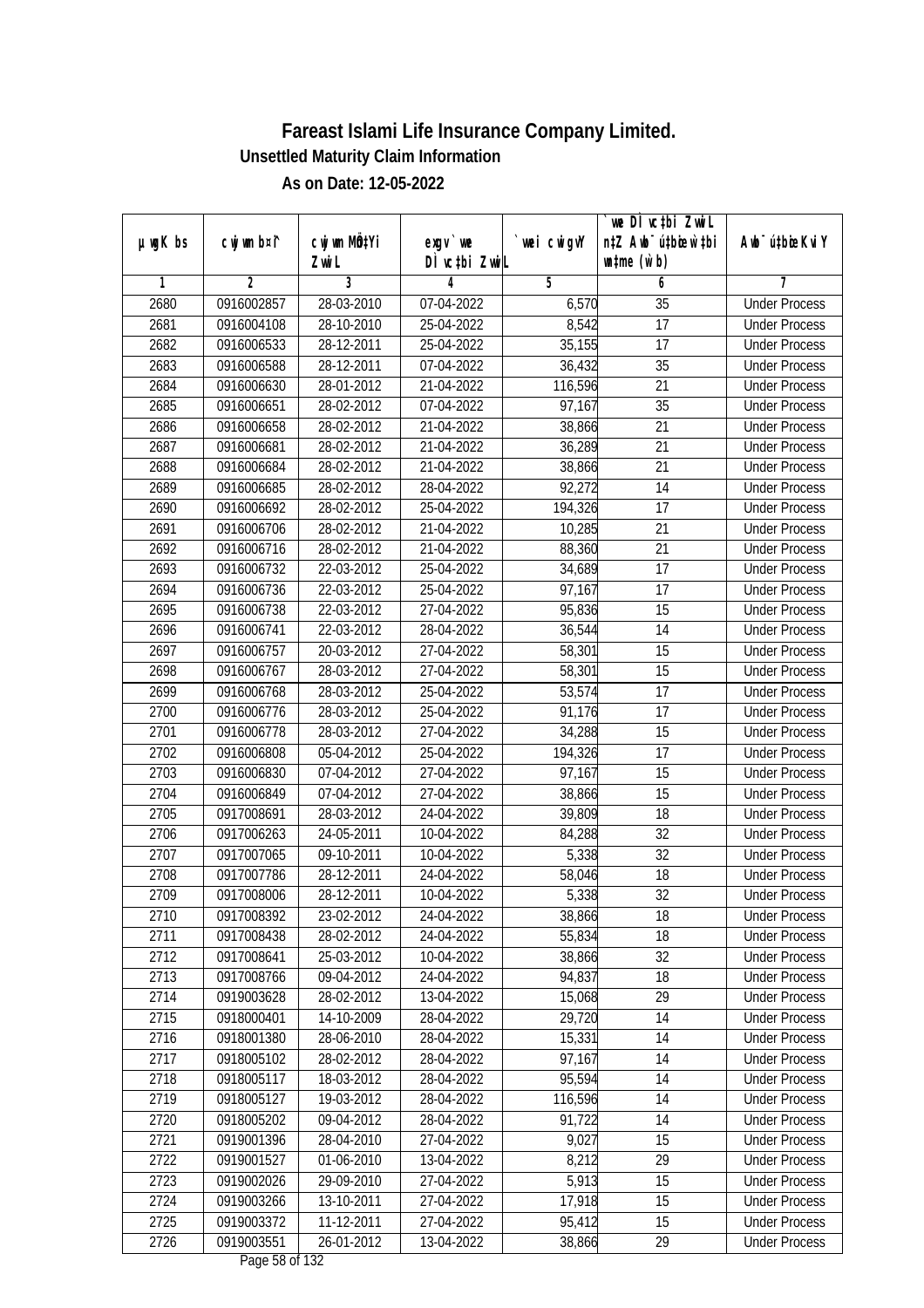|               |                |                       |                           |            | we DI vctbi ZwiL                                            |                             |
|---------------|----------------|-----------------------|---------------------------|------------|-------------------------------------------------------------|-----------------------------|
| $µ$ ug $K$ bs | cwj wm b¤i^    | cwj wm MQtYi<br>Zwi L | exgv `we<br>DÌ vctbi ZwiL | wei cwigvY | n‡Z Awb <sup>-</sup> ú‡bicen`‡bi<br>$\n  untime\n  (u`b)\n$ | Awb <sup>-</sup> ú‡bioeKviY |
| 1             | $\overline{2}$ | 3                     | 4                         | 5          | 6                                                           | 7                           |
| 2680          | 0916002857     | 28-03-2010            | 07-04-2022                | 6,570      | $\overline{35}$                                             | <b>Under Process</b>        |
| 2681          | 0916004108     | 28-10-2010            | 25-04-2022                | 8,542      | $\overline{17}$                                             | <b>Under Process</b>        |
| 2682          | 0916006533     | 28-12-2011            | 25-04-2022                | 35,155     | 17                                                          | <b>Under Process</b>        |
| 2683          | 0916006588     | 28-12-2011            | 07-04-2022                | 36,432     | 35                                                          | <b>Under Process</b>        |
| 2684          | 0916006630     | 28-01-2012            | 21-04-2022                | 116,596    | $\overline{21}$                                             | <b>Under Process</b>        |
| 2685          | 0916006651     | 28-02-2012            | 07-04-2022                | 97,167     | $\overline{35}$                                             | <b>Under Process</b>        |
| 2686          | 0916006658     | 28-02-2012            | 21-04-2022                | 38,866     | 21                                                          | <b>Under Process</b>        |
| 2687          | 0916006681     | 28-02-2012            | 21-04-2022                | 36,289     | 21                                                          | <b>Under Process</b>        |
| 2688          | 0916006684     | 28-02-2012            | 21-04-2022                | 38,866     | 21                                                          | <b>Under Process</b>        |
| 2689          | 0916006685     | 28-02-2012            | 28-04-2022                | 92,272     | 14                                                          | <b>Under Process</b>        |
| 2690          | 0916006692     | 28-02-2012            | 25-04-2022                | 194,326    | $\overline{17}$                                             | <b>Under Process</b>        |
| 2691          | 0916006706     | 28-02-2012            | 21-04-2022                | 10,285     | 21                                                          | <b>Under Process</b>        |
| 2692          | 0916006716     | 28-02-2012            | 21-04-2022                | 88,360     | $\overline{21}$                                             | <b>Under Process</b>        |
| 2693          | 0916006732     | 22-03-2012            | 25-04-2022                | 34,689     | 17                                                          | <b>Under Process</b>        |
| 2694          | 0916006736     | 22-03-2012            | 25-04-2022                | 97,167     | 17                                                          | <b>Under Process</b>        |
| 2695          | 0916006738     | 22-03-2012            | 27-04-2022                | 95,836     | 15                                                          | <b>Under Process</b>        |
| 2696          | 0916006741     | 22-03-2012            | 28-04-2022                | 36,544     | 14                                                          | <b>Under Process</b>        |
| 2697          | 0916006757     | 20-03-2012            | 27-04-2022                | 58,301     | 15                                                          | <b>Under Process</b>        |
| 2698          | 0916006767     | 28-03-2012            | 27-04-2022                | 58,301     | 15                                                          | <b>Under Process</b>        |
| 2699          | 0916006768     | 28-03-2012            | 25-04-2022                | 53,574     | 17                                                          | <b>Under Process</b>        |
| 2700          | 0916006776     | 28-03-2012            | 25-04-2022                | 91,176     | 17                                                          | <b>Under Process</b>        |
| 2701          | 0916006778     | 28-03-2012            | 27-04-2022                | 34,288     | 15                                                          | <b>Under Process</b>        |
| 2702          | 0916006808     | 05-04-2012            | 25-04-2022                | 194,326    | 17                                                          | <b>Under Process</b>        |
| 2703          | 0916006830     | 07-04-2012            | 27-04-2022                | 97,167     | 15                                                          | <b>Under Process</b>        |
| 2704          | 0916006849     | 07-04-2012            | 27-04-2022                | 38,866     | 15                                                          | <b>Under Process</b>        |
| 2705          | 0917008691     | 28-03-2012            | 24-04-2022                | 39,809     | 18                                                          | <b>Under Process</b>        |
| 2706          | 0917006263     | 24-05-2011            | 10-04-2022                | 84,288     | 32                                                          | <b>Under Process</b>        |
| 2707          | 0917007065     | 09-10-2011            | 10-04-2022                | 5,338      | 32                                                          | <b>Under Process</b>        |
| 2708          | 0917007786     | 28-12-2011            | 24-04-2022                | 58,046     | 18                                                          | <b>Under Process</b>        |
| 2709          | 0917008006     | 28-12-2011            | 10-04-2022                | 5,338      | 32                                                          | <b>Under Process</b>        |
| 2710          | 0917008392     | 23-02-2012            | 24-04-2022                | 38,866     | 18                                                          | <b>Under Process</b>        |
| 2711          | 0917008438     | 28-02-2012            | 24-04-2022                | 55,834     | 18                                                          | <b>Under Process</b>        |
| 2712          | 0917008641     | 25-03-2012            | 10-04-2022                | 38,866     | 32                                                          | <b>Under Process</b>        |
| 2713          | 0917008766     | 09-04-2012            | 24-04-2022                | 94,837     | 18                                                          | <b>Under Process</b>        |
| 2714          | 0919003628     | 28-02-2012            | 13-04-2022                | 15,068     | 29                                                          | <b>Under Process</b>        |
| 2715          | 0918000401     | 14-10-2009            | 28-04-2022                | 29,720     | 14                                                          | <b>Under Process</b>        |
| 2716          | 0918001380     | 28-06-2010            | 28-04-2022                | 15,331     | 14                                                          | <b>Under Process</b>        |
| 2717          | 0918005102     | 28-02-2012            | 28-04-2022                | 97,167     | 14                                                          | <b>Under Process</b>        |
| 2718          | 0918005117     | 18-03-2012            | 28-04-2022                | 95,594     | 14                                                          | <b>Under Process</b>        |
| 2719          | 0918005127     | 19-03-2012            | 28-04-2022                | 116,596    | 14                                                          | <b>Under Process</b>        |
| 2720          | 0918005202     | 09-04-2012            | 28-04-2022                | 91,722     | 14                                                          | <b>Under Process</b>        |
| 2721          | 0919001396     | 28-04-2010            | 27-04-2022                | 9,027      | 15                                                          | <b>Under Process</b>        |
| 2722          | 0919001527     | 01-06-2010            | 13-04-2022                | 8,212      | $\overline{29}$                                             | <b>Under Process</b>        |
| 2723          | 0919002026     | 29-09-2010            | 27-04-2022                | 5,913      | 15                                                          | <b>Under Process</b>        |
| 2724          | 0919003266     | 13-10-2011            | 27-04-2022                | 17,918     | 15                                                          | <b>Under Process</b>        |
| 2725          | 0919003372     | 11-12-2011            | 27-04-2022                | 95,412     | 15                                                          | <b>Under Process</b>        |
| 2726          | 0919003551     | 26-01-2012            | 13-04-2022                | 38,866     | 29                                                          | <b>Under Process</b>        |
|               |                |                       | $D_{0.92}$ $E_{0.95}$ 122 |            |                                                             |                             |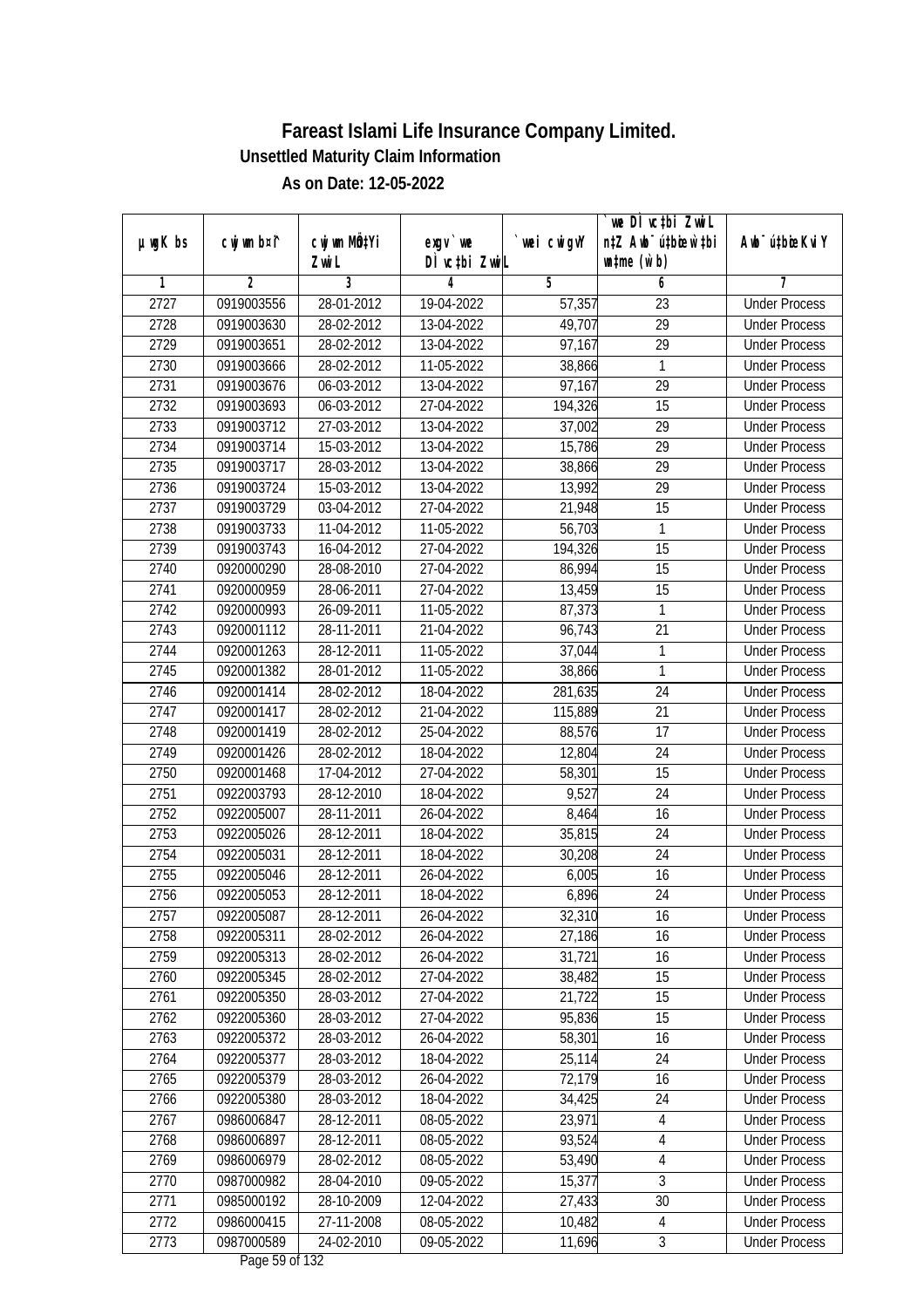| $µ$ ug $K$ bs | cwj wm b¤i^ | cwj wm MQtYi | exgv `we                              | wei cwigvY | `we DÌ vc‡bi ZwiL<br>n‡Z Awb <sup>-</sup> ú‡bioen`‡bi | Awb <sup>-</sup> ú‡bioeKviY |
|---------------|-------------|--------------|---------------------------------------|------------|-------------------------------------------------------|-----------------------------|
|               |             | Zwi L        | DÌ vctbi ZwiL                         |            | $\n  untime\n  (u`b)\n$                               |                             |
| 1             | 2           | 3            | 4                                     | 5          | 6                                                     | 7                           |
| 2727          | 0919003556  | 28-01-2012   | 19-04-2022                            | 57,357     | 23                                                    | <b>Under Process</b>        |
| 2728          | 0919003630  | 28-02-2012   | 13-04-2022                            | 49,707     | 29                                                    | <b>Under Process</b>        |
| 2729          | 0919003651  | 28-02-2012   | 13-04-2022                            | 97,167     | $\overline{29}$                                       | <b>Under Process</b>        |
| 2730          | 0919003666  | 28-02-2012   | 11-05-2022                            | 38,866     | $\mathbf{1}$                                          | <b>Under Process</b>        |
| 2731          | 0919003676  | 06-03-2012   | 13-04-2022                            | 97,167     | 29                                                    | <b>Under Process</b>        |
| 2732          | 0919003693  | 06-03-2012   | 27-04-2022                            | 194,326    | $\overline{15}$                                       | <b>Under Process</b>        |
| 2733          | 0919003712  | 27-03-2012   | 13-04-2022                            | 37,002     | 29                                                    | <b>Under Process</b>        |
| 2734          | 0919003714  | 15-03-2012   | 13-04-2022                            | 15,786     | $\overline{29}$                                       | <b>Under Process</b>        |
| 2735          | 0919003717  | 28-03-2012   | 13-04-2022                            | 38,866     | 29                                                    | <b>Under Process</b>        |
| 2736          | 0919003724  | 15-03-2012   | 13-04-2022                            | 13,992     | 29                                                    | <b>Under Process</b>        |
| 2737          | 0919003729  | 03-04-2012   | 27-04-2022                            | 21,948     | $\overline{15}$                                       | <b>Under Process</b>        |
| 2738          | 0919003733  | 11-04-2012   | 11-05-2022                            | 56,703     | 1                                                     | <b>Under Process</b>        |
| 2739          | 0919003743  | 16-04-2012   | 27-04-2022                            | 194,326    | $\overline{15}$                                       | <b>Under Process</b>        |
| 2740          | 0920000290  | 28-08-2010   | 27-04-2022                            | 86,994     | 15                                                    | <b>Under Process</b>        |
| 2741          | 0920000959  | 28-06-2011   | 27-04-2022                            | 13,459     | 15                                                    | <b>Under Process</b>        |
| 2742          | 0920000993  | 26-09-2011   | 11-05-2022                            | 87,373     | $\mathbf{1}$                                          | <b>Under Process</b>        |
| 2743          | 0920001112  | 28-11-2011   | 21-04-2022                            | 96,743     | 21                                                    | <b>Under Process</b>        |
| 2744          | 0920001263  | 28-12-2011   | 11-05-2022                            | 37,044     | $\mathbf{1}$                                          | <b>Under Process</b>        |
| 2745          | 0920001382  | 28-01-2012   | 11-05-2022                            | 38,866     | 1                                                     | <b>Under Process</b>        |
| 2746          | 0920001414  | 28-02-2012   | 18-04-2022                            | 281,635    | 24                                                    | <b>Under Process</b>        |
| 2747          | 0920001417  | 28-02-2012   | 21-04-2022                            | 115,889    | 21                                                    | <b>Under Process</b>        |
| 2748          | 0920001419  | 28-02-2012   | 25-04-2022                            | 88,576     | 17                                                    | <b>Under Process</b>        |
| 2749          | 0920001426  | 28-02-2012   | 18-04-2022                            | 12,804     | 24                                                    | <b>Under Process</b>        |
| 2750          | 0920001468  | 17-04-2012   | 27-04-2022                            | 58,301     | 15                                                    | <b>Under Process</b>        |
| 2751          | 0922003793  | 28-12-2010   | 18-04-2022                            | 9,527      | 24                                                    | <b>Under Process</b>        |
| 2752          | 0922005007  | 28-11-2011   | 26-04-2022                            | 8,464      | 16                                                    | <b>Under Process</b>        |
| 2753          | 0922005026  | 28-12-2011   | 18-04-2022                            | 35,815     | 24                                                    | <b>Under Process</b>        |
| 2754          | 0922005031  | 28-12-2011   | 18-04-2022                            | 30,208     | 24                                                    | <b>Under Process</b>        |
| 2755          | 0922005046  | 28-12-2011   | 26-04-2022                            | 6,005      | 16                                                    | <b>Under Process</b>        |
| 2756          | 0922005053  | 28-12-2011   | 18-04-2022                            | 6,896      | 24                                                    | <b>Under Process</b>        |
| 2757          | 0922005087  | 28-12-2011   | 26-04-2022                            | 32,310     | 16                                                    | <b>Under Process</b>        |
| 2758          | 0922005311  | 28-02-2012   | 26-04-2022                            | 27,186     | 16                                                    | <b>Under Process</b>        |
| 2759          | 0922005313  | 28-02-2012   | 26-04-2022                            | 31,721     | 16                                                    | <b>Under Process</b>        |
| 2760          | 0922005345  | 28-02-2012   | 27-04-2022                            | 38,482     | 15                                                    | <b>Under Process</b>        |
| 2761          | 0922005350  | 28-03-2012   | 27-04-2022                            | 21,722     | 15                                                    | <b>Under Process</b>        |
| 2762          | 0922005360  | 28-03-2012   | 27-04-2022                            | 95,836     | 15                                                    | <b>Under Process</b>        |
| 2763          | 0922005372  | 28-03-2012   | 26-04-2022                            | 58,301     | 16                                                    | <b>Under Process</b>        |
| 2764          | 0922005377  | 28-03-2012   | 18-04-2022                            | 25,114     | 24                                                    | <b>Under Process</b>        |
| 2765          | 0922005379  | 28-03-2012   | 26-04-2022                            | 72,179     | 16                                                    | <b>Under Process</b>        |
| 2766          | 0922005380  | 28-03-2012   | 18-04-2022                            | 34,425     | 24                                                    | <b>Under Process</b>        |
| 2767          | 0986006847  | 28-12-2011   | 08-05-2022                            | 23,971     | $\overline{4}$                                        | <b>Under Process</b>        |
| 2768          | 0986006897  | 28-12-2011   | 08-05-2022                            | 93,524     | 4                                                     | <b>Under Process</b>        |
| 2769          | 0986006979  | 28-02-2012   | $08 - 05 - 2022$                      | 53,490     | 4                                                     | <b>Under Process</b>        |
| 2770          | 0987000982  | 28-04-2010   | 09-05-2022                            | 15,377     | $\overline{3}$                                        | <b>Under Process</b>        |
| 2771          | 0985000192  | 28-10-2009   | 12-04-2022                            | 27,433     | 30                                                    | <b>Under Process</b>        |
| 2772          | 0986000415  | 27-11-2008   | 08-05-2022                            | 10,482     | $\overline{4}$                                        | <b>Under Process</b>        |
| 2773          | 0987000589  | 24-02-2010   | 09-05-2022<br>$D_{0.92}$ $E_0$ of 122 | 11,696     | $\mathfrak{Z}$                                        | <b>Under Process</b>        |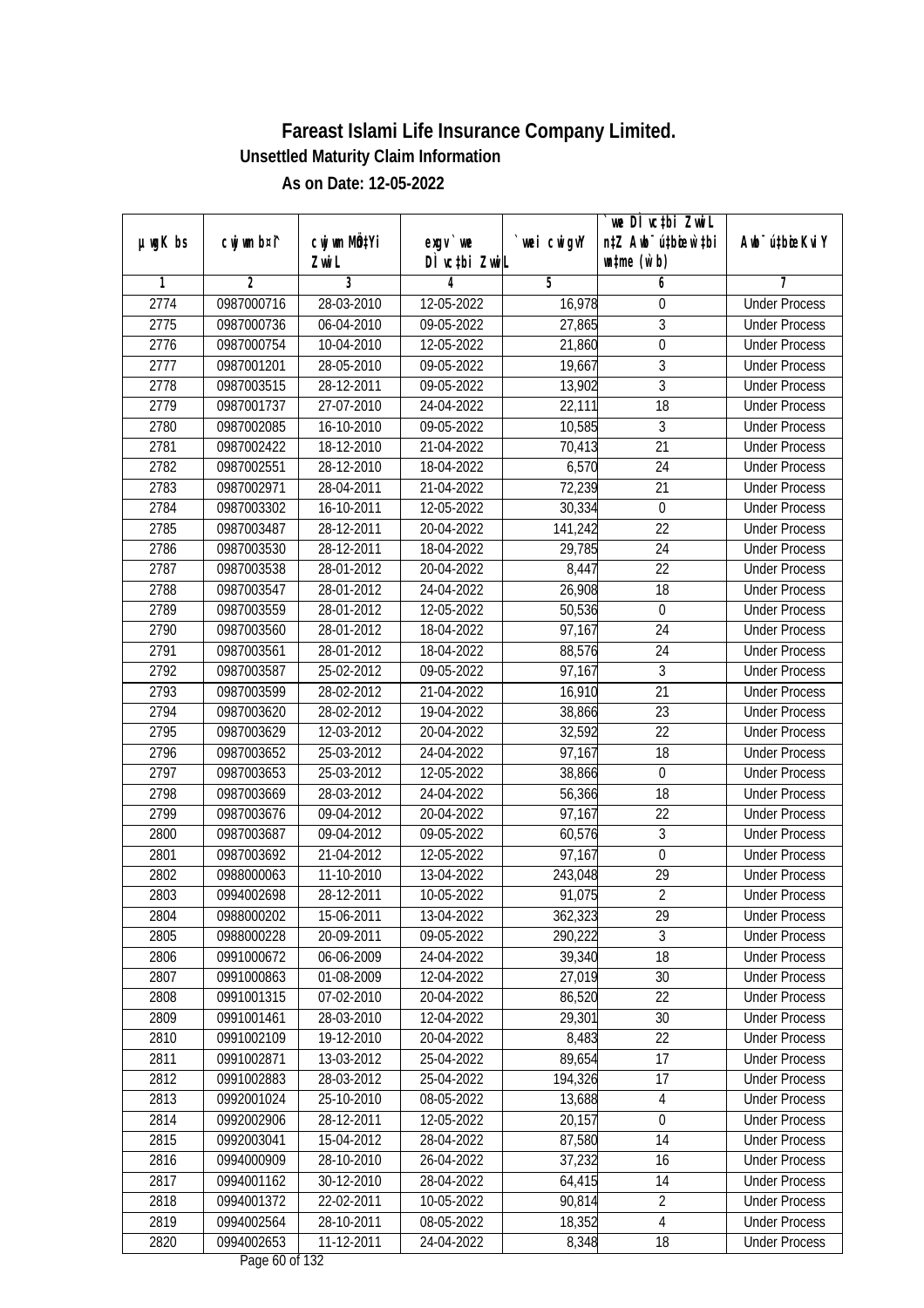|               |                          |                          |                                          |                  | we DI vctbi ZwiL                 |                                              |
|---------------|--------------------------|--------------------------|------------------------------------------|------------------|----------------------------------|----------------------------------------------|
| $µ$ ug $K$ bs | cwj wm b¤i^              | cwj wm MQtYi             | exgv `we                                 | wei cwigvY       | n‡Z Awb <sup>-</sup> ú‡bicen`‡bi | Awb <sup>-</sup> ú‡bioeKviY                  |
| 1             | $\overline{2}$           | Zwi L<br>3               | DÌ vctbi ZwiL<br>4                       | 5                | $\n  untime\n  (u`b)\n$<br>6     | 7                                            |
| 2774          | 0987000716               | 28-03-2010               | 12-05-2022                               | 16,978           | $\boldsymbol{0}$                 | <b>Under Process</b>                         |
| 2775          | 0987000736               | 06-04-2010               | 09-05-2022                               | 27,865           | $\sqrt{3}$                       | <b>Under Process</b>                         |
| 2776          | 0987000754               | 10-04-2010               | 12-05-2022                               | 21,860           | $\overline{0}$                   | <b>Under Process</b>                         |
| 2777          |                          | 28-05-2010               |                                          |                  |                                  | <b>Under Process</b>                         |
| 2778          | 0987001201<br>0987003515 | 28-12-2011               | 09-05-2022<br>09-05-2022                 | 19,667<br>13,902 | $\sqrt{3}$<br>$\overline{3}$     | <b>Under Process</b>                         |
| 2779          | 0987001737               | 27-07-2010               | 24-04-2022                               | 22,111           | $\overline{18}$                  | <b>Under Process</b>                         |
| 2780          | 0987002085               | 16-10-2010               | 09-05-2022                               | 10,585           | 3                                | <b>Under Process</b>                         |
| 2781          | 0987002422               | 18-12-2010               | 21-04-2022                               | 70,413           | $\overline{21}$                  | <b>Under Process</b>                         |
| 2782          | 0987002551               | 28-12-2010               | 18-04-2022                               | 6,570            | 24                               | <b>Under Process</b>                         |
| 2783          |                          |                          |                                          |                  | 21                               |                                              |
| 2784          | 0987002971<br>0987003302 | 28-04-2011<br>16-10-2011 | 21-04-2022<br>12-05-2022                 | 72,239           | $\mathbf 0$                      | <b>Under Process</b><br><b>Under Process</b> |
|               |                          |                          |                                          | 30,334           |                                  |                                              |
| 2785          | 0987003487               | 28-12-2011               | 20-04-2022                               | 141,242          | 22                               | <b>Under Process</b>                         |
| 2786          | 0987003530               | 28-12-2011               | 18-04-2022                               | 29,785           | $\overline{24}$                  | <b>Under Process</b>                         |
| 2787          | 0987003538               | 28-01-2012               | 20-04-2022                               | 8,447            | 22                               | <b>Under Process</b>                         |
| 2788          | 0987003547               | 28-01-2012               | 24-04-2022                               | 26,908           | 18                               | <b>Under Process</b>                         |
| 2789          | 0987003559               | 28-01-2012               | 12-05-2022                               | 50,536           | $\mathbf 0$                      | <b>Under Process</b>                         |
| 2790          | 0987003560               | 28-01-2012               | 18-04-2022                               | 97,167           | 24                               | <b>Under Process</b>                         |
| 2791          | 0987003561               | 28-01-2012               | 18-04-2022                               | 88,576           | 24                               | <b>Under Process</b>                         |
| 2792          | 0987003587               | 25-02-2012               | 09-05-2022                               | 97,167           | $\mathfrak{Z}$                   | <b>Under Process</b>                         |
| 2793          | 0987003599               | 28-02-2012               | 21-04-2022                               | 16,910           | 21                               | <b>Under Process</b>                         |
| 2794          | 0987003620               | 28-02-2012               | 19-04-2022                               | 38,866           | 23                               | <b>Under Process</b>                         |
| 2795          | 0987003629               | 12-03-2012               | 20-04-2022                               | 32,592           | 22                               | <b>Under Process</b>                         |
| 2796          | 0987003652               | 25-03-2012               | 24-04-2022                               | 97,167           | 18                               | <b>Under Process</b>                         |
| 2797          | 0987003653               | 25-03-2012               | 12-05-2022                               | 38,866           | $\boldsymbol{0}$                 | <b>Under Process</b>                         |
| 2798          | 0987003669               | 28-03-2012               | 24-04-2022                               | 56,366           | 18                               | <b>Under Process</b>                         |
| 2799          | 0987003676               | 09-04-2012               | 20-04-2022                               | 97,167           | 22                               | <b>Under Process</b>                         |
| 2800          | 0987003687               | 09-04-2012               | 09-05-2022                               | 60,576           | 3                                | <b>Under Process</b>                         |
| 2801          | 0987003692               | 21-04-2012               | 12-05-2022                               | 97,167           | $\boldsymbol{0}$                 | <b>Under Process</b>                         |
| 2802          | 0988000063               | 11-10-2010               | 13-04-2022                               | 243,048          | 29                               | <b>Under Process</b>                         |
| 2803          | 0994002698               | 28-12-2011               | 10-05-2022                               | 91,075           | $\overline{2}$                   | <b>Under Process</b>                         |
| 2804          | 0988000202               | 15-06-2011               | 13-04-2022                               | 362,323          | 29                               | <b>Under Process</b>                         |
| 2805          | 0988000228               | 20-09-2011               | 09-05-2022                               | 290,222          | 3                                | <b>Under Process</b>                         |
| 2806          | 0991000672               | 06-06-2009               | 24-04-2022                               | 39,340           | 18                               | <b>Under Process</b>                         |
| 2807          | 0991000863               | 01-08-2009               | 12-04-2022                               | 27,019           | 30                               | <b>Under Process</b>                         |
| 2808          | 0991001315               | 07-02-2010               | 20-04-2022                               | 86,520           | 22                               | <b>Under Process</b>                         |
| 2809          | 0991001461               | 28-03-2010               | 12-04-2022                               | 29,301           | 30                               | <b>Under Process</b>                         |
| 2810          | 0991002109               | $19-12-2010$             | 20-04-2022                               | 8,483            | 22                               | <b>Under Process</b>                         |
| 2811          | 0991002871               | $13-03-2012$             | 25-04-2022                               | 89,654           | 17                               | <b>Under Process</b>                         |
| 2812          | 0991002883               | 28-03-2012               | 25-04-2022                               | 194, 326         | 17                               | <b>Under Process</b>                         |
| 2813          | 0992001024               | 25-10-2010               | 08-05-2022                               | 13,688           | 4                                | <b>Under Process</b>                         |
| 2814          | 0992002906               | 28-12-2011               | 12-05-2022                               | 20,157           | 0                                | <b>Under Process</b>                         |
| 2815          | 0992003041               | 15-04-2012               | 28-04-2022                               | 87,580           | 14                               | <b>Under Process</b>                         |
| 2816          | 0994000909               | 28-10-2010               | 26-04-2022                               | 37,232           | 16                               | <b>Under Process</b>                         |
| 2817          | 0994001162               | 30-12-2010               | 28-04-2022                               | 64,415           | 14                               | <b>Under Process</b>                         |
| 2818          | 0994001372               | 22-02-2011               | 10-05-2022                               | 90,814           | $\overline{2}$                   | <b>Under Process</b>                         |
| 2819          | 0994002564               | 28-10-2011               | 08-05-2022                               | 18,352           | $\overline{4}$                   | <b>Under Process</b>                         |
| 2820          | 0994002653               | 11-12-2011               | 24-04-2022<br>Dega $(0 \text{ of } 122)$ | 8,348            | 18                               | <b>Under Process</b>                         |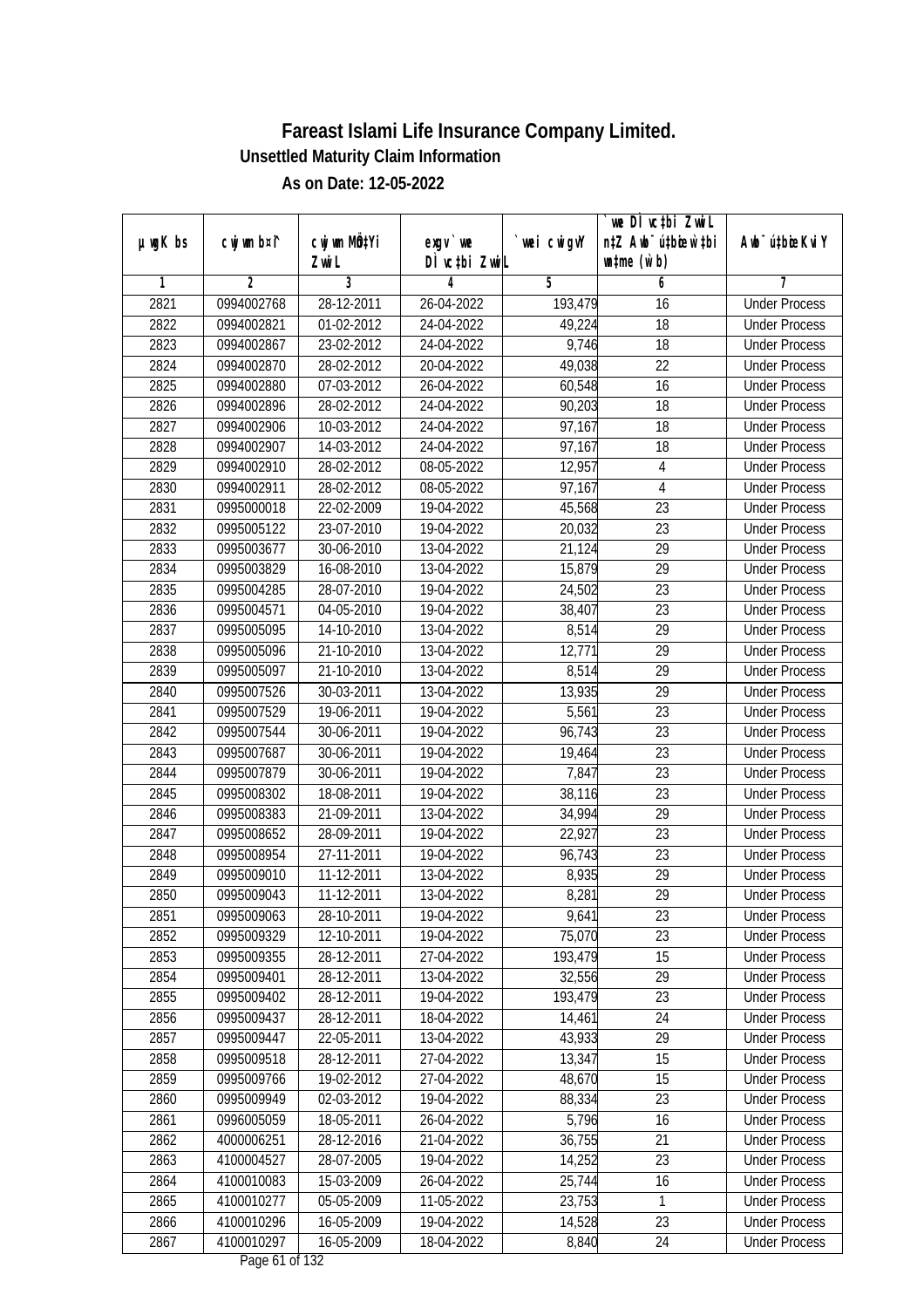|               |                |                       |                                  |            | we DI vctbi ZwiL                                            |                             |
|---------------|----------------|-----------------------|----------------------------------|------------|-------------------------------------------------------------|-----------------------------|
| $µ$ ug $K$ bs | cwj wm b¤i^    | cwj wm MQtYi<br>Zwi L | exgv `we<br>DÌ vctbi ZwiL        | wei cwigvY | n‡Z Awb <sup>-</sup> ú‡bicen`‡bi<br>$\n  untime\n  (u`b)\n$ | Awb <sup>-</sup> ú‡bioeKviY |
| 1             | $\overline{2}$ | 3                     | 4                                | 5          | 6                                                           | 7                           |
| 2821          | 0994002768     | 28-12-2011            | 26-04-2022                       | 193,479    | 16                                                          | <b>Under Process</b>        |
| 2822          | 0994002821     | 01-02-2012            | 24-04-2022                       | 49,224     | 18                                                          | <b>Under Process</b>        |
| 2823          | 0994002867     | 23-02-2012            | 24-04-2022                       | 9,746      | 18                                                          | <b>Under Process</b>        |
| 2824          | 0994002870     | 28-02-2012            | 20-04-2022                       | 49,038     | 22                                                          | <b>Under Process</b>        |
| 2825          | 0994002880     | 07-03-2012            | 26-04-2022                       | 60,548     | 16                                                          | <b>Under Process</b>        |
| 2826          | 0994002896     | 28-02-2012            | 24-04-2022                       | 90,203     | $\overline{18}$                                             | <b>Under Process</b>        |
| 2827          | 0994002906     | 10-03-2012            | 24-04-2022                       | 97,167     | 18                                                          | <b>Under Process</b>        |
| 2828          | 0994002907     | 14-03-2012            | 24-04-2022                       | 97,167     | 18                                                          | <b>Under Process</b>        |
| 2829          | 0994002910     | 28-02-2012            | 08-05-2022                       | 12,957     | $\overline{4}$                                              | <b>Under Process</b>        |
| 2830          | 0994002911     | 28-02-2012            | 08-05-2022                       | 97,167     | $\overline{4}$                                              | <b>Under Process</b>        |
| 2831          | 0995000018     | 22-02-2009            | 19-04-2022                       | 45,568     | $\overline{23}$                                             | <b>Under Process</b>        |
| 2832          | 0995005122     | 23-07-2010            | 19-04-2022                       | 20,032     | 23                                                          | <b>Under Process</b>        |
| 2833          | 0995003677     | 30-06-2010            | 13-04-2022                       | 21,124     | $\overline{29}$                                             | <b>Under Process</b>        |
| 2834          | 0995003829     | 16-08-2010            | 13-04-2022                       | 15,879     | 29                                                          | <b>Under Process</b>        |
| 2835          | 0995004285     | 28-07-2010            | 19-04-2022                       | 24,502     | 23                                                          | <b>Under Process</b>        |
| 2836          | 0995004571     | 04-05-2010            | 19-04-2022                       | 38,407     | 23                                                          | <b>Under Process</b>        |
| 2837          | 0995005095     | 14-10-2010            | 13-04-2022                       | 8,514      | 29                                                          | <b>Under Process</b>        |
| 2838          | 0995005096     | 21-10-2010            | 13-04-2022                       | 12,771     | 29                                                          | <b>Under Process</b>        |
| 2839          | 0995005097     | 21-10-2010            | 13-04-2022                       | 8,514      | 29                                                          | <b>Under Process</b>        |
| 2840          | 0995007526     | 30-03-2011            | 13-04-2022                       | 13,935     | 29                                                          | <b>Under Process</b>        |
| 2841          | 0995007529     | 19-06-2011            | 19-04-2022                       | 5,561      | 23                                                          | <b>Under Process</b>        |
| 2842          | 0995007544     | 30-06-2011            | 19-04-2022                       | 96,743     | 23                                                          | <b>Under Process</b>        |
| 2843          | 0995007687     | 30-06-2011            | 19-04-2022                       | 19,464     | 23                                                          | <b>Under Process</b>        |
| 2844          | 0995007879     | 30-06-2011            | 19-04-2022                       | 7,847      | 23                                                          | <b>Under Process</b>        |
| 2845          | 0995008302     | 18-08-2011            | 19-04-2022                       | 38,116     | 23                                                          | <b>Under Process</b>        |
| 2846          | 0995008383     | 21-09-2011            | 13-04-2022                       | 34,994     | 29                                                          | <b>Under Process</b>        |
| 2847          | 0995008652     | 28-09-2011            | 19-04-2022                       | 22,927     | 23                                                          | <b>Under Process</b>        |
| 2848          | 0995008954     | 27-11-2011            | 19-04-2022                       | 96,743     | 23                                                          | <b>Under Process</b>        |
| 2849          | 0995009010     | 11-12-2011            | 13-04-2022                       | 8,935      | 29                                                          | <b>Under Process</b>        |
| 2850          | 0995009043     | 11-12-2011            | 13-04-2022                       | 8,281      | 29                                                          | <b>Under Process</b>        |
| 2851          | 0995009063     | 28-10-2011            | 19-04-2022                       | 9,641      | 23                                                          | <b>Under Process</b>        |
| 2852          | 0995009329     | 12-10-2011            | 19-04-2022                       | 75,070     | 23                                                          | <b>Under Process</b>        |
| 2853          | 0995009355     | 28-12-2011            | 27-04-2022                       | 193,479    | 15                                                          | <b>Under Process</b>        |
| 2854          | 0995009401     | 28-12-2011            | 13-04-2022                       | 32,556     | 29                                                          | <b>Under Process</b>        |
| 2855          | 0995009402     | 28-12-2011            | 19-04-2022                       | 193,479    | 23                                                          | <b>Under Process</b>        |
| 2856          | 0995009437     | 28-12-2011            | 18-04-2022                       | 14,461     | 24                                                          | <b>Under Process</b>        |
| 2857          | 0995009447     | 22-05-2011            | 13-04-2022                       | 43,933     | 29                                                          | <b>Under Process</b>        |
| 2858          | 0995009518     | 28-12-2011            | 27-04-2022                       | 13,347     | 15                                                          | <b>Under Process</b>        |
| 2859          | 0995009766     | 19-02-2012            | 27-04-2022                       | 48,670     | 15                                                          | <b>Under Process</b>        |
| 2860          | 0995009949     | 02-03-2012            | 19-04-2022                       | 88,334     | 23                                                          | <b>Under Process</b>        |
| 2861          | 0996005059     | 18-05-2011            | 26-04-2022                       | 5,796      | 16                                                          | <b>Under Process</b>        |
| 2862          | 4000006251     | 28-12-2016            | 21-04-2022                       | 36,755     | 21                                                          | <b>Under Process</b>        |
| 2863          | 4100004527     | 28-07-2005            | 19-04-2022                       | 14,252     | $\overline{23}$                                             | <b>Under Process</b>        |
| 2864          | 4100010083     | 15-03-2009            | 26-04-2022                       | 25,744     | 16                                                          | <b>Under Process</b>        |
| 2865          | 4100010277     | 05-05-2009            | 11-05-2022                       | 23,753     | 1                                                           | <b>Under Process</b>        |
| 2866          | 4100010296     | 16-05-2009            | 19-04-2022                       | 14,528     | 23                                                          | <b>Under Process</b>        |
| 2867          | 4100010297     | 16-05-2009            | 18-04-2022<br>Dega $(1 - f 122)$ | 8,840      | 24                                                          | <b>Under Process</b>        |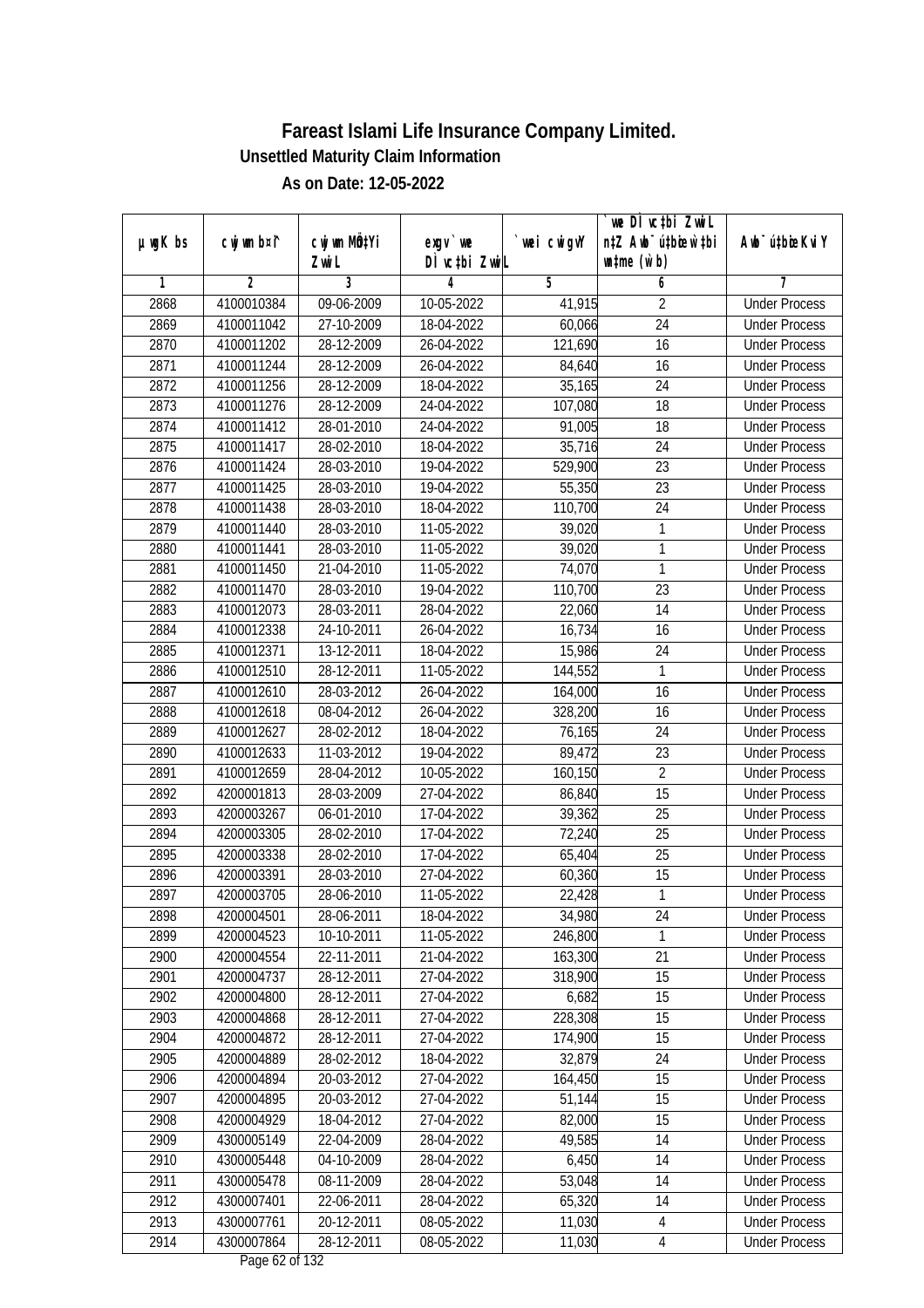|               |                |                       |                               |            | we DI vctbi ZwiL                                            |                             |
|---------------|----------------|-----------------------|-------------------------------|------------|-------------------------------------------------------------|-----------------------------|
| $µ$ ug $K$ bs | cwj wm b¤i^    | cwj wm MQtYi<br>Zwi L | $exgV$ we<br>DÌ vctbi ZwiL    | wei cwigvY | n‡Z Awb <sup>-</sup> ú‡bioar`‡bi<br>$\n  untime\n  (u`b)\n$ | Awb <sup>-</sup> ú‡bioeKviY |
| 1             | $\overline{2}$ | 3                     | 4                             | 5          | 6                                                           | 7                           |
| 2868          | 4100010384     | 09-06-2009            | 10-05-2022                    | 41,915     | $\overline{2}$                                              | <b>Under Process</b>        |
| 2869          | 4100011042     | 27-10-2009            | 18-04-2022                    | 60,066     | $\overline{24}$                                             | <b>Under Process</b>        |
| 2870          | 4100011202     | 28-12-2009            | 26-04-2022                    | 121,690    | $\overline{16}$                                             | <b>Under Process</b>        |
| 2871          | 4100011244     | 28-12-2009            | 26-04-2022                    | 84,640     | 16                                                          | <b>Under Process</b>        |
| 2872          | 4100011256     | 28-12-2009            | 18-04-2022                    | 35,165     | $\overline{24}$                                             | <b>Under Process</b>        |
| 2873          | 4100011276     | 28-12-2009            | 24-04-2022                    | 107,080    | $\overline{18}$                                             | <b>Under Process</b>        |
| 2874          | 4100011412     | 28-01-2010            | 24-04-2022                    | 91,005     | 18                                                          | <b>Under Process</b>        |
| 2875          | 4100011417     | 28-02-2010            | 18-04-2022                    | 35,716     | 24                                                          | <b>Under Process</b>        |
| 2876          | 4100011424     | 28-03-2010            | 19-04-2022                    | 529,900    | 23                                                          | <b>Under Process</b>        |
| 2877          | 4100011425     | 28-03-2010            | 19-04-2022                    | 55,350     | 23                                                          | <b>Under Process</b>        |
| 2878          | 4100011438     | 28-03-2010            | 18-04-2022                    | 110,700    | $\overline{24}$                                             | <b>Under Process</b>        |
| 2879          | 4100011440     | 28-03-2010            | $\overline{11}$ -05-2022      | 39,020     | 1                                                           | <b>Under Process</b>        |
| 2880          | 4100011441     | 28-03-2010            | 11-05-2022                    | 39,020     | $\mathbf{1}$                                                | <b>Under Process</b>        |
| 2881          | 4100011450     | 21-04-2010            | 11-05-2022                    | 74,070     | 1                                                           | <b>Under Process</b>        |
| 2882          | 4100011470     | 28-03-2010            | 19-04-2022                    | 110,700    | 23                                                          | <b>Under Process</b>        |
| 2883          | 4100012073     | 28-03-2011            | 28-04-2022                    | 22,060     | 14                                                          | <b>Under Process</b>        |
| 2884          | 4100012338     | 24-10-2011            | 26-04-2022                    | 16,734     | 16                                                          | <b>Under Process</b>        |
| 2885          | 4100012371     | 13-12-2011            | 18-04-2022                    | 15,986     | 24                                                          | <b>Under Process</b>        |
| 2886          | 4100012510     | 28-12-2011            | 11-05-2022                    | 144,552    | 1                                                           | <b>Under Process</b>        |
| 2887          | 4100012610     | 28-03-2012            | 26-04-2022                    | 164,000    | 16                                                          | <b>Under Process</b>        |
| 2888          | 4100012618     | 08-04-2012            | 26-04-2022                    | 328,200    | 16                                                          | <b>Under Process</b>        |
| 2889          | 4100012627     | 28-02-2012            | 18-04-2022                    | 76,165     | 24                                                          | <b>Under Process</b>        |
| 2890          | 4100012633     | 11-03-2012            | 19-04-2022                    | 89,472     | 23                                                          | <b>Under Process</b>        |
| 2891          | 4100012659     | 28-04-2012            | 10-05-2022                    | 160,150    | $\overline{2}$                                              | <b>Under Process</b>        |
| 2892          | 4200001813     | 28-03-2009            | 27-04-2022                    | 86,840     | 15                                                          | <b>Under Process</b>        |
| 2893          | 4200003267     | 06-01-2010            | 17-04-2022                    | 39,362     | 25                                                          | <b>Under Process</b>        |
| 2894          | 4200003305     | 28-02-2010            | 17-04-2022                    | 72,240     | 25                                                          | <b>Under Process</b>        |
| 2895          | 4200003338     | 28-02-2010            | 17-04-2022                    | 65,404     | 25                                                          | <b>Under Process</b>        |
| 2896          | 4200003391     | 28-03-2010            | 27-04-2022                    | 60,360     | 15                                                          | <b>Under Process</b>        |
| 2897          | 4200003705     | 28-06-2010            | 11-05-2022                    | 22,428     | $\mathbf{1}$                                                | <b>Under Process</b>        |
| 2898          | 4200004501     | 28-06-2011            | 18-04-2022                    | 34,980     | 24                                                          | <b>Under Process</b>        |
| 2899          | 4200004523     | 10-10-2011            | 11-05-2022                    | 246,800    | 1                                                           | <b>Under Process</b>        |
| 2900          | 4200004554     | 22-11-2011            | 21-04-2022                    | 163,300    | 21                                                          | <b>Under Process</b>        |
| 2901          | 4200004737     | 28-12-2011            | 27-04-2022                    | 318,900    | 15                                                          | <b>Under Process</b>        |
| 2902          | 4200004800     | 28-12-2011            | 27-04-2022                    | 6,682      | 15                                                          | <b>Under Process</b>        |
| 2903          | 4200004868     | 28-12-2011            | 27-04-2022                    | 228,308    | 15                                                          | <b>Under Process</b>        |
| 2904          | 4200004872     | 28-12-2011            | 27-04-2022                    | 174,900    | 15                                                          | <b>Under Process</b>        |
| 2905          | 4200004889     | 28-02-2012            | 18-04-2022                    | 32,879     | 24                                                          | <b>Under Process</b>        |
| 2906          | 4200004894     | 20-03-2012            | 27-04-2022                    | 164,450    | 15                                                          | <b>Under Process</b>        |
| 2907          | 4200004895     | 20-03-2012            | 27-04-2022                    | 51,144     | 15                                                          | <b>Under Process</b>        |
| 2908          | 4200004929     | 18-04-2012            | 27-04-2022                    | 82,000     | 15                                                          | <b>Under Process</b>        |
| 2909          | 4300005149     | 22-04-2009            | 28-04-2022                    | 49,585     | 14                                                          | <b>Under Process</b>        |
| 2910          | 4300005448     | 04-10-2009            | 28-04-2022                    | 6,450      | 14                                                          | <b>Under Process</b>        |
| 2911          | 4300005478     | 08-11-2009            | 28-04-2022                    | 53,048     | 14                                                          | <b>Under Process</b>        |
| 2912          | 4300007401     | 22-06-2011            | 28-04-2022                    | 65,320     | 14                                                          | <b>Under Process</b>        |
| 2913          | 4300007761     | 20-12-2011            | 08-05-2022                    | 11,030     | $\overline{4}$                                              | <b>Under Process</b>        |
| 2914          | 4300007864     | 28-12-2011            | 08-05-2022<br>Dega $(2.6122)$ | 11,030     | $\overline{4}$                                              | <b>Under Process</b>        |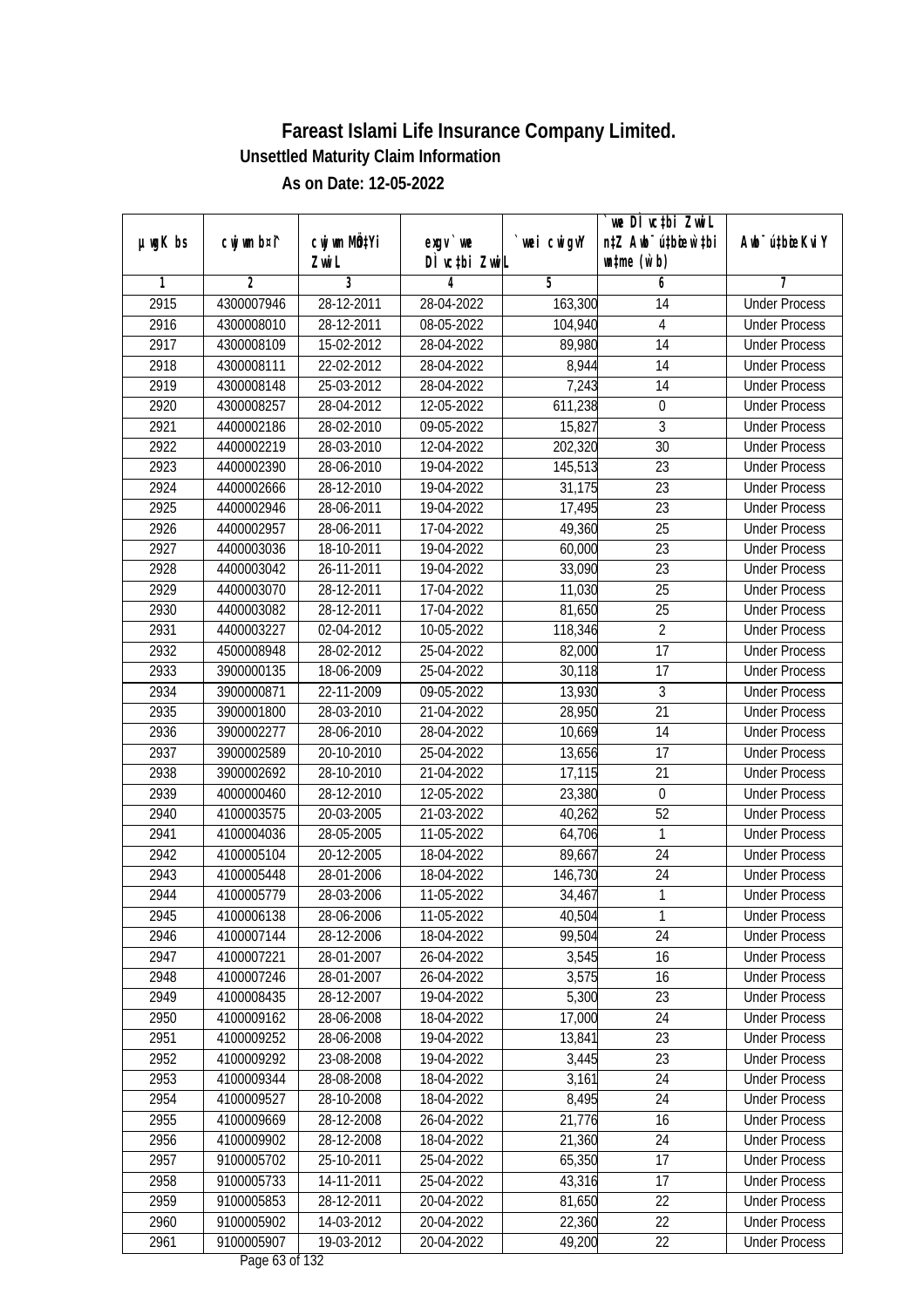| $µ$ ug $K$ bs | cwj wm b¤i^ | cwj wm MQtYi | $exgv$ we                                | wei cwigvY | `we DÌ vc‡bi ZwiL<br>n‡Z Awb <sup>-</sup> ú‡bioen`‡bi | Awb <sup>-</sup> ú‡bioeKviY |
|---------------|-------------|--------------|------------------------------------------|------------|-------------------------------------------------------|-----------------------------|
|               |             | Zwi L        | DÌ vctbi ZwiL                            |            | $\n  untime\n  (u`b)\n$                               |                             |
| 1             | 2           | 3            | 4                                        | 5          | 6                                                     | 7                           |
| 2915          | 4300007946  | 28-12-2011   | 28-04-2022                               | 163,300    | 14                                                    | <b>Under Process</b>        |
| 2916          | 4300008010  | 28-12-2011   | 08-05-2022                               | 104,940    | 4                                                     | <b>Under Process</b>        |
| 2917          | 4300008109  | 15-02-2012   | 28-04-2022                               | 89,980     | 14                                                    | <b>Under Process</b>        |
| 2918          | 4300008111  | 22-02-2012   | 28-04-2022                               | 8,944      | 14                                                    | <b>Under Process</b>        |
| 2919          | 4300008148  | 25-03-2012   | 28-04-2022                               | 7,243      | 14                                                    | <b>Under Process</b>        |
| 2920          | 4300008257  | 28-04-2012   | 12-05-2022                               | 611,238    | $\boldsymbol{0}$                                      | <b>Under Process</b>        |
| 2921          | 4400002186  | 28-02-2010   | 09-05-2022                               | 15,827     | $\overline{3}$                                        | <b>Under Process</b>        |
| 2922          | 4400002219  | 28-03-2010   | 12-04-2022                               | 202,320    | $\overline{30}$                                       | <b>Under Process</b>        |
| 2923          | 4400002390  | 28-06-2010   | 19-04-2022                               | 145,513    | 23                                                    | <b>Under Process</b>        |
| 2924          | 4400002666  | 28-12-2010   | 19-04-2022                               | 31,175     | 23                                                    | <b>Under Process</b>        |
| 2925          | 4400002946  | 28-06-2011   | 19-04-2022                               | 17,495     | $\overline{23}$                                       | <b>Under Process</b>        |
| 2926          | 4400002957  | 28-06-2011   | 17-04-2022                               | 49,360     | 25                                                    | <b>Under Process</b>        |
| 2927          | 4400003036  | 18-10-2011   | 19-04-2022                               | 60,000     | $\overline{23}$                                       | <b>Under Process</b>        |
| 2928          | 4400003042  | 26-11-2011   | 19-04-2022                               | 33,090     | 23                                                    | <b>Under Process</b>        |
| 2929          | 4400003070  | 28-12-2011   | 17-04-2022                               | 11,030     | 25                                                    | <b>Under Process</b>        |
| 2930          | 4400003082  | 28-12-2011   | 17-04-2022                               | 81,650     | 25                                                    | <b>Under Process</b>        |
| 2931          | 4400003227  | 02-04-2012   | 10-05-2022                               | 118,346    | $\overline{2}$                                        | <b>Under Process</b>        |
| 2932          | 4500008948  | 28-02-2012   | 25-04-2022                               | 82,000     | 17                                                    | <b>Under Process</b>        |
| 2933          | 3900000135  | 18-06-2009   | 25-04-2022                               | 30,118     | 17                                                    | <b>Under Process</b>        |
| 2934          | 3900000871  | 22-11-2009   | 09-05-2022                               | 13,930     | 3                                                     | <b>Under Process</b>        |
| 2935          | 3900001800  | 28-03-2010   | 21-04-2022                               | 28,950     | 21                                                    | <b>Under Process</b>        |
| 2936          | 3900002277  | 28-06-2010   | 28-04-2022                               | 10,669     | 14                                                    | <b>Under Process</b>        |
| 2937          | 3900002589  | 20-10-2010   | 25-04-2022                               | 13,656     | 17                                                    | <b>Under Process</b>        |
| 2938          | 3900002692  | 28-10-2010   | 21-04-2022                               | 17,115     | 21                                                    | <b>Under Process</b>        |
| 2939          | 4000000460  | 28-12-2010   | 12-05-2022                               | 23,380     | $\boldsymbol{0}$                                      | <b>Under Process</b>        |
| 2940          | 4100003575  | 20-03-2005   | 21-03-2022                               | 40,262     | 52                                                    | <b>Under Process</b>        |
| 2941          | 4100004036  | 28-05-2005   | 11-05-2022                               | 64,706     | 1                                                     | <b>Under Process</b>        |
| 2942          | 4100005104  | 20-12-2005   | 18-04-2022                               | 89,667     | 24                                                    | <b>Under Process</b>        |
| 2943          | 4100005448  | 28-01-2006   | 18-04-2022                               | 146,730    | 24                                                    | <b>Under Process</b>        |
| 2944          | 4100005779  | 28-03-2006   | 11-05-2022                               | 34,467     | 1                                                     | <b>Under Process</b>        |
| 2945          | 4100006138  | 28-06-2006   | 11-05-2022                               | 40,504     | 1                                                     | <b>Under Process</b>        |
| 2946          | 4100007144  | 28-12-2006   | 18-04-2022                               | 99,504     | 24                                                    | <b>Under Process</b>        |
| 2947          | 4100007221  | 28-01-2007   | 26-04-2022                               | 3,545      | 16                                                    | <b>Under Process</b>        |
| 2948          | 4100007246  | 28-01-2007   | 26-04-2022                               | 3,575      | 16                                                    | <b>Under Process</b>        |
| 2949          | 4100008435  | 28-12-2007   | 19-04-2022                               | 5,300      | 23                                                    | <b>Under Process</b>        |
| 2950          | 4100009162  | 28-06-2008   | 18-04-2022                               | 17,000     | 24                                                    | <b>Under Process</b>        |
| 2951          | 4100009252  | 28-06-2008   | 19-04-2022                               | 13,841     | 23                                                    | <b>Under Process</b>        |
| 2952          | 4100009292  | 23-08-2008   | 19-04-2022                               | 3,445      | 23                                                    | <b>Under Process</b>        |
| 2953          | 4100009344  | 28-08-2008   | 18-04-2022                               | 3,161      | 24                                                    | <b>Under Process</b>        |
| 2954          | 4100009527  | 28-10-2008   | 18-04-2022                               | 8,495      | 24                                                    | <b>Under Process</b>        |
| 2955          | 4100009669  | 28-12-2008   | 26-04-2022                               | 21,776     | 16                                                    | <b>Under Process</b>        |
| 2956          | 4100009902  | 28-12-2008   | 18-04-2022                               | 21,360     | 24                                                    | <b>Under Process</b>        |
| 2957          | 9100005702  | 25-10-2011   | 25-04-2022                               | 65,350     | 17                                                    | <b>Under Process</b>        |
| 2958          | 9100005733  | 14-11-2011   | 25-04-2022                               | 43,316     | 17                                                    | <b>Under Process</b>        |
| 2959          | 9100005853  | 28-12-2011   | 20-04-2022                               | 81,650     | 22                                                    | <b>Under Process</b>        |
| 2960          | 9100005902  | 14-03-2012   | 20-04-2022                               | 22,360     | 22                                                    | <b>Under Process</b>        |
| 2961          | 9100005907  | 19-03-2012   | 20-04-2022<br>Dega $(2 \text{ of } 122)$ | 49,200     | 22                                                    | <b>Under Process</b>        |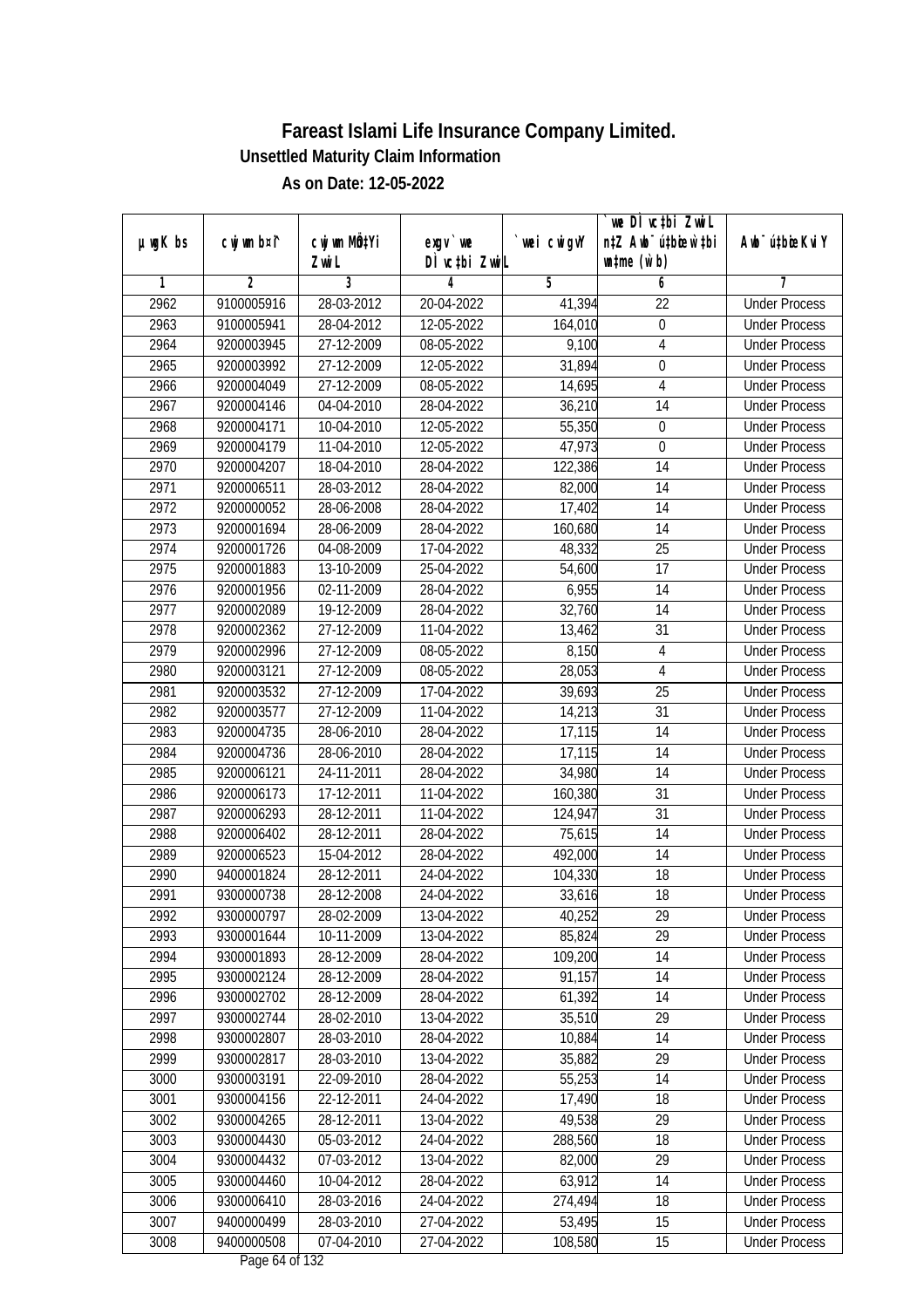|               |                |                       |                                          |            | we DI vctbi ZwiL                                            |                             |
|---------------|----------------|-----------------------|------------------------------------------|------------|-------------------------------------------------------------|-----------------------------|
| $µ$ ug $K$ bs | cwj wm b¤i^    | cwj wm MQtYi<br>Zwi L | exgv `we<br>DÌ vctbi ZwiL                | wei cwigvY | n‡Z Awb <sup>-</sup> ú‡bicen`‡bi<br>$\n  untime\n  (u`b)\n$ | Awb <sup>-</sup> ú‡bioeKviY |
| 1             | $\overline{2}$ | 3                     | 4                                        | 5          | 6                                                           | 7                           |
| 2962          | 9100005916     | 28-03-2012            | 20-04-2022                               | 41,394     | $\overline{22}$                                             | <b>Under Process</b>        |
| 2963          | 9100005941     | 28-04-2012            | 12-05-2022                               | 164,010    | $\boldsymbol{0}$                                            | <b>Under Process</b>        |
| 2964          | 9200003945     | 27-12-2009            | 08-05-2022                               | 9,100      | $\overline{4}$                                              | <b>Under Process</b>        |
| 2965          | 9200003992     | 27-12-2009            | 12-05-2022                               | 31,894     | $\boldsymbol{0}$                                            | <b>Under Process</b>        |
| 2966          | 9200004049     | 27-12-2009            | 08-05-2022                               | 14,695     | $\overline{4}$                                              | <b>Under Process</b>        |
| 2967          | 9200004146     | 04-04-2010            | 28-04-2022                               | 36,210     | 14                                                          | <b>Under Process</b>        |
| 2968          | 9200004171     | 10-04-2010            | 12-05-2022                               | 55,350     | $\boldsymbol{0}$                                            | <b>Under Process</b>        |
| 2969          | 9200004179     | 11-04-2010            | 12-05-2022                               | 47,973     | $\boldsymbol{0}$                                            | <b>Under Process</b>        |
| 2970          | 9200004207     | 18-04-2010            | 28-04-2022                               | 122,386    | 14                                                          | <b>Under Process</b>        |
| 2971          | 9200006511     | 28-03-2012            | 28-04-2022                               | 82,000     | 14                                                          | <b>Under Process</b>        |
| 2972          | 9200000052     | 28-06-2008            | 28-04-2022                               | 17,402     | $\overline{14}$                                             | <b>Under Process</b>        |
| 2973          | 9200001694     | 28-06-2009            | 28-04-2022                               | 160,680    | 14                                                          | <b>Under Process</b>        |
| 2974          | 9200001726     | 04-08-2009            | 17-04-2022                               | 48,332     | $\overline{25}$                                             | <b>Under Process</b>        |
| 2975          | 9200001883     | 13-10-2009            | 25-04-2022                               | 54,600     | 17                                                          | <b>Under Process</b>        |
| 2976          | 9200001956     | 02-11-2009            | 28-04-2022                               | 6,955      | 14                                                          | <b>Under Process</b>        |
| 2977          | 9200002089     | 19-12-2009            | 28-04-2022                               | 32,760     | 14                                                          | <b>Under Process</b>        |
| 2978          | 9200002362     | 27-12-2009            | 11-04-2022                               | 13,462     | 31                                                          | <b>Under Process</b>        |
| 2979          | 9200002996     | 27-12-2009            | 08-05-2022                               | 8,150      | $\overline{4}$                                              | <b>Under Process</b>        |
| 2980          | 9200003121     | 27-12-2009            | 08-05-2022                               | 28,053     | $\overline{4}$                                              | <b>Under Process</b>        |
| 2981          | 9200003532     | 27-12-2009            | 17-04-2022                               | 39,693     | 25                                                          | <b>Under Process</b>        |
| 2982          | 9200003577     | $27 - 12 - 2009$      | 11-04-2022                               | 14,213     | 31                                                          | <b>Under Process</b>        |
| 2983          | 9200004735     | 28-06-2010            | 28-04-2022                               | 17,115     | 14                                                          | <b>Under Process</b>        |
| 2984          | 9200004736     | 28-06-2010            | 28-04-2022                               | 17,115     | 14                                                          | <b>Under Process</b>        |
| 2985          | 9200006121     | 24-11-2011            | 28-04-2022                               | 34,980     | 14                                                          | <b>Under Process</b>        |
| 2986          | 9200006173     | 17-12-2011            | 11-04-2022                               | 160,380    | 31                                                          | <b>Under Process</b>        |
| 2987          | 9200006293     | 28-12-2011            | 11-04-2022                               | 124,947    | 31                                                          | <b>Under Process</b>        |
| 2988          | 9200006402     | 28-12-2011            | 28-04-2022                               | 75,615     | 14                                                          | <b>Under Process</b>        |
| 2989          | 9200006523     | 15-04-2012            | 28-04-2022                               | 492,000    | 14                                                          | <b>Under Process</b>        |
| 2990          | 9400001824     | 28-12-2011            | 24-04-2022                               | 104,330    | 18                                                          | <b>Under Process</b>        |
| 2991          | 9300000738     | 28-12-2008            | 24-04-2022                               | 33,616     | 18                                                          | <b>Under Process</b>        |
| 2992          | 9300000797     | 28-02-2009            | 13-04-2022                               | 40,252     | 29                                                          | <b>Under Process</b>        |
| 2993          | 9300001644     | 10-11-2009            | 13-04-2022                               | 85,824     | 29                                                          | <b>Under Process</b>        |
| 2994          | 9300001893     | 28-12-2009            | 28-04-2022                               | 109,200    | 14                                                          | <b>Under Process</b>        |
| 2995          | 9300002124     | 28-12-2009            | 28-04-2022                               | 91,157     | 14                                                          | <b>Under Process</b>        |
| 2996          | 9300002702     | 28-12-2009            | 28-04-2022                               | 61,392     | 14                                                          | <b>Under Process</b>        |
| 2997          | 9300002744     | 28-02-2010            | 13-04-2022                               | 35,510     | 29                                                          | <b>Under Process</b>        |
| 2998          | 9300002807     | 28-03-2010            | 28-04-2022                               | 10,884     | 14                                                          | <b>Under Process</b>        |
| 2999          | 9300002817     | 28-03-2010            | 13-04-2022                               | 35,882     | 29                                                          | <b>Under Process</b>        |
| 3000          | 9300003191     | 22-09-2010            | 28-04-2022                               | 55,253     | 14                                                          | <b>Under Process</b>        |
| 3001          | 9300004156     | 22-12-2011            | 24-04-2022                               | 17,490     | 18                                                          | <b>Under Process</b>        |
| 3002          | 9300004265     | 28-12-2011            | 13-04-2022                               | 49,538     | 29                                                          | <b>Under Process</b>        |
| 3003          | 9300004430     | 05-03-2012            | 24-04-2022                               | 288,560    | 18                                                          | <b>Under Process</b>        |
| 3004          | 9300004432     | 07-03-2012            | 13-04-2022                               | 82,000     | $\overline{29}$                                             | <b>Under Process</b>        |
| 3005          | 9300004460     | 10-04-2012            | 28-04-2022                               | 63,912     | 14                                                          | <b>Under Process</b>        |
| 3006          | 9300006410     | 28-03-2016            | 24-04-2022                               | 274,494    | 18                                                          | <b>Under Process</b>        |
| 3007          | 9400000499     | 28-03-2010            | 27-04-2022                               | 53,495     | 15                                                          | <b>Under Process</b>        |
| 3008          | 9400000508     | 07-04-2010            | 27-04-2022<br>Dogs $(1 \text{ of } 122)$ | 108,580    | 15                                                          | <b>Under Process</b>        |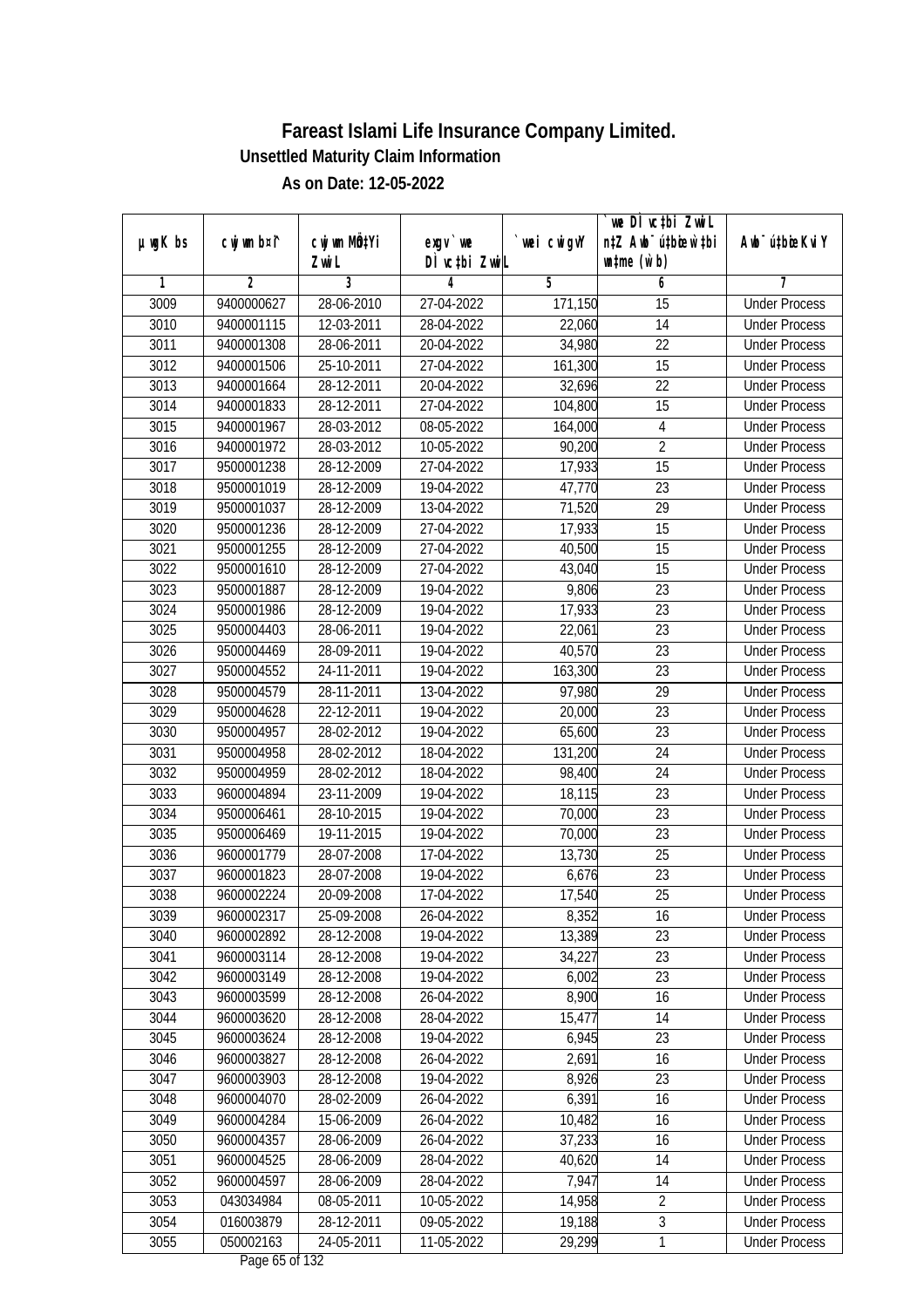| $µ$ ug $K$ bs | cwj wm b¤i^    | cwj wm MQtYi | exgv `we      | wei cwigvY | we DI vctbi ZwiL<br>n‡Z Awb <sup>-</sup> ú‡bicen`‡bi | Awb <sup>-</sup> ú‡bioeKviY |
|---------------|----------------|--------------|---------------|------------|------------------------------------------------------|-----------------------------|
|               |                | Zwi L        | DÌ vctbi ZwiL |            | $\n  untime\n  (u`b)\n$                              |                             |
| 1             | $\overline{2}$ | 3            | 4             | 5          | 6                                                    | 7                           |
| 3009          | 9400000627     | 28-06-2010   | 27-04-2022    | 171,150    | $\overline{15}$                                      | <b>Under Process</b>        |
| 3010          | 9400001115     | 12-03-2011   | 28-04-2022    | 22,060     | 14                                                   | <b>Under Process</b>        |
| 3011          | 9400001308     | 28-06-2011   | 20-04-2022    | 34,980     | $\overline{22}$                                      | <b>Under Process</b>        |
| 3012          | 9400001506     | 25-10-2011   | 27-04-2022    | 161,300    | 15                                                   | <b>Under Process</b>        |
| 3013          | 9400001664     | 28-12-2011   | 20-04-2022    | 32,696     | $\overline{22}$                                      | <b>Under Process</b>        |
| 3014          | 9400001833     | 28-12-2011   | 27-04-2022    | 104,800    | $\overline{15}$                                      | <b>Under Process</b>        |
| 3015          | 9400001967     | 28-03-2012   | $08-05-2022$  | 164,000    | 4                                                    | <b>Under Process</b>        |
| 3016          | 9400001972     | 28-03-2012   | 10-05-2022    | 90,200     | $\overline{2}$                                       | <b>Under Process</b>        |
| 3017          | 9500001238     | 28-12-2009   | 27-04-2022    | 17,933     | $\overline{15}$                                      | <b>Under Process</b>        |
| 3018          | 9500001019     | 28-12-2009   | 19-04-2022    | 47,770     | 23                                                   | <b>Under Process</b>        |
| 3019          | 9500001037     | 28-12-2009   | 13-04-2022    | 71,520     | $\overline{29}$                                      | <b>Under Process</b>        |
| 3020          | 9500001236     | 28-12-2009   | 27-04-2022    | 17,933     | 15                                                   | <b>Under Process</b>        |
| 3021          | 9500001255     | 28-12-2009   | 27-04-2022    | 40,500     | $\overline{15}$                                      | <b>Under Process</b>        |
| 3022          | 9500001610     | 28-12-2009   | 27-04-2022    | 43,040     | 15                                                   | <b>Under Process</b>        |
| 3023          | 9500001887     | 28-12-2009   | 19-04-2022    | 9,806      | 23                                                   | <b>Under Process</b>        |
| 3024          | 9500001986     | 28-12-2009   | 19-04-2022    | 17,933     | 23                                                   | <b>Under Process</b>        |
| 3025          | 9500004403     | 28-06-2011   | 19-04-2022    | 22,061     | 23                                                   | <b>Under Process</b>        |
| 3026          | 9500004469     | 28-09-2011   | 19-04-2022    | 40,570     | 23                                                   | <b>Under Process</b>        |
| 3027          | 9500004552     | 24-11-2011   | 19-04-2022    | 163,300    | 23                                                   | <b>Under Process</b>        |
| 3028          | 9500004579     | 28-11-2011   | 13-04-2022    | 97,980     | 29                                                   | <b>Under Process</b>        |
| 3029          | 9500004628     | 22-12-2011   | 19-04-2022    | 20,000     | 23                                                   | <b>Under Process</b>        |
| 3030          | 9500004957     | 28-02-2012   | 19-04-2022    | 65,600     | 23                                                   | <b>Under Process</b>        |
| 3031          | 9500004958     | 28-02-2012   | 18-04-2022    | 131,200    | 24                                                   | <b>Under Process</b>        |
| 3032          | 9500004959     | 28-02-2012   | 18-04-2022    | 98,400     | 24                                                   | <b>Under Process</b>        |
| 3033          | 9600004894     | 23-11-2009   | 19-04-2022    | 18,115     | 23                                                   | <b>Under Process</b>        |
| 3034          | 9500006461     | 28-10-2015   | 19-04-2022    | 70,000     | 23                                                   | <b>Under Process</b>        |
| 3035          | 9500006469     | 19-11-2015   | 19-04-2022    | 70,000     | 23                                                   | <b>Under Process</b>        |
| 3036          | 9600001779     | 28-07-2008   | 17-04-2022    | 13,730     | 25                                                   | <b>Under Process</b>        |
| 3037          | 9600001823     | 28-07-2008   | 19-04-2022    | 6,676      | 23                                                   | <b>Under Process</b>        |
| 3038          | 9600002224     | 20-09-2008   | 17-04-2022    | 17,540     | 25                                                   | <b>Under Process</b>        |
| 3039          | 9600002317     | 25-09-2008   | 26-04-2022    | 8,352      | 16                                                   | <b>Under Process</b>        |
| 3040          | 9600002892     | 28-12-2008   | 19-04-2022    | 13,389     | 23                                                   | <b>Under Process</b>        |
| 3041          | 9600003114     | 28-12-2008   | 19-04-2022    | 34,227     | 23                                                   | <b>Under Process</b>        |
| 3042          | 9600003149     | 28-12-2008   | 19-04-2022    | 6,002      | 23                                                   | <b>Under Process</b>        |
| 3043          | 9600003599     | 28-12-2008   | 26-04-2022    | 8,900      | 16                                                   | <b>Under Process</b>        |
| 3044          | 9600003620     | 28-12-2008   | 28-04-2022    | 15,477     | 14                                                   | <b>Under Process</b>        |
| 3045          | 9600003624     | 28-12-2008   | 19-04-2022    | 6,945      | 23                                                   | <b>Under Process</b>        |
| 3046          | 9600003827     | 28-12-2008   | 26-04-2022    | 2,691      | 16                                                   | <b>Under Process</b>        |
| 3047          | 9600003903     | 28-12-2008   | 19-04-2022    | 8,926      | 23                                                   | <b>Under Process</b>        |
| 3048          | 9600004070     | 28-02-2009   | 26-04-2022    | 6,391      | 16                                                   | <b>Under Process</b>        |
| 3049          | 9600004284     | 15-06-2009   | 26-04-2022    | 10,482     | 16                                                   | <b>Under Process</b>        |
| 3050          | 9600004357     | 28-06-2009   | 26-04-2022    | 37,233     | 16                                                   | <b>Under Process</b>        |
| 3051          | 9600004525     | 28-06-2009   | 28-04-2022    | 40,620     | 14                                                   | <b>Under Process</b>        |
| 3052          | 9600004597     | 28-06-2009   | 28-04-2022    | 7,947      | 14                                                   | <b>Under Process</b>        |
| 3053          | 043034984      | 08-05-2011   | 10-05-2022    | 14,958     | $\overline{2}$                                       | <b>Under Process</b>        |
| 3054          | 016003879      | 28-12-2011   | 09-05-2022    | 19,188     | $\overline{3}$                                       | <b>Under Process</b>        |
| 3055          | 050002163      | 24-05-2011   | 11-05-2022    | 29,299     | $\mathbf{1}$                                         | <b>Under Process</b>        |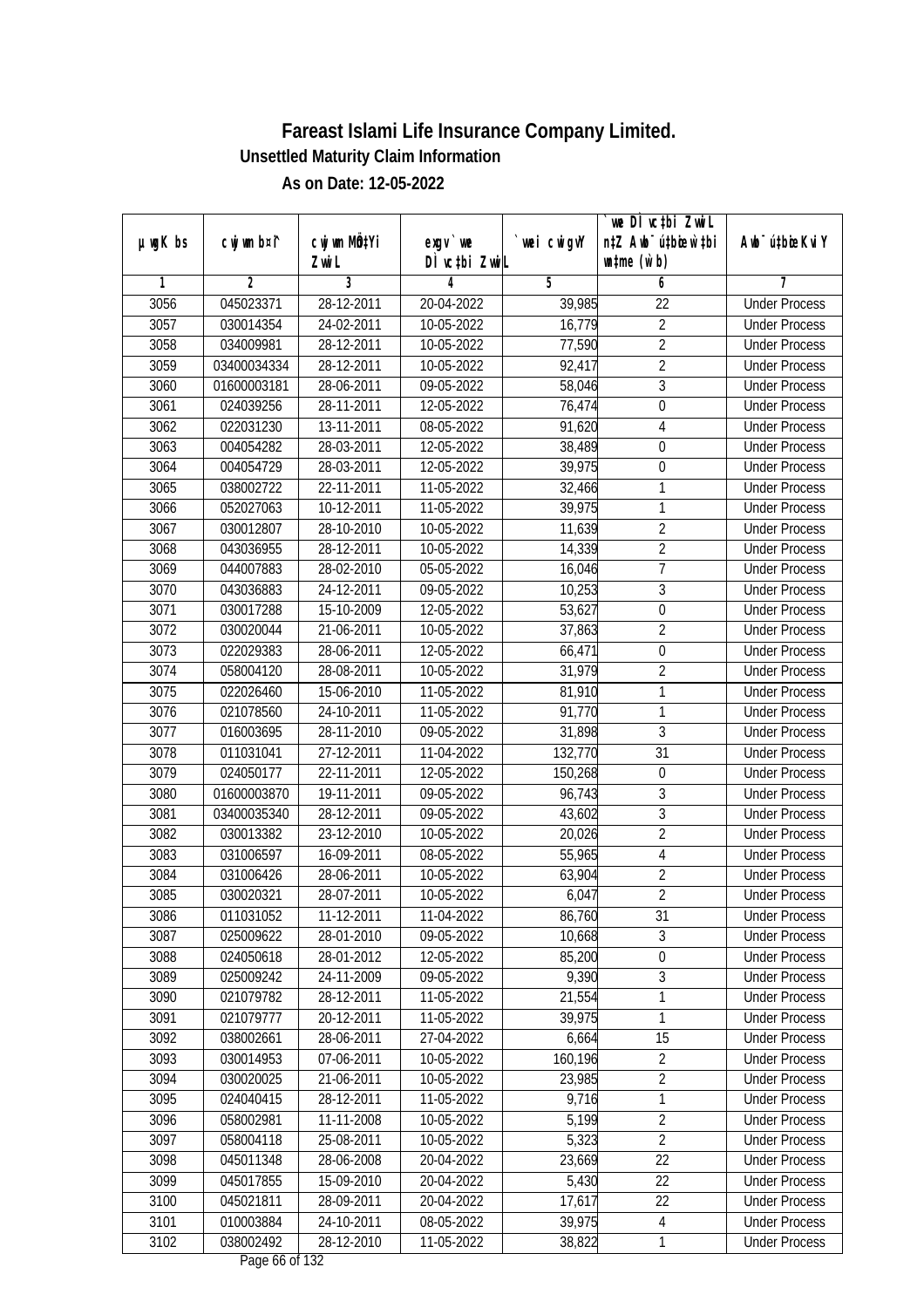|               |                |                  |                                |            | we DI vctbi ZwiL                 |                             |
|---------------|----------------|------------------|--------------------------------|------------|----------------------------------|-----------------------------|
| $µ$ ug $K$ bs | cwj wm b¤i^    | cwj wm MQtYi     | $exgV$ we                      | wei cwigvY | n‡Z Awb <sup>-</sup> ú‡bioen`‡bi | Awb <sup>-</sup> ú‡bioeKviY |
| 1             | $\overline{2}$ | Zwi L<br>3       | DÌ vctbi ZwiL<br>4             | 5          | $\n  untime\n  (u`b)\n$<br>6     | 7                           |
| 3056          | 045023371      | 28-12-2011       | 20-04-2022                     | 39,985     | $\overline{22}$                  | <b>Under Process</b>        |
| 3057          | 030014354      | 24-02-2011       | 10-05-2022                     | 16,779     | $\overline{2}$                   | <b>Under Process</b>        |
| 3058          | 034009981      | 28-12-2011       | 10-05-2022                     | 77,590     | $\overline{2}$                   | <b>Under Process</b>        |
| 3059          | 03400034334    | 28-12-2011       | 10-05-2022                     | 92,417     | $\overline{2}$                   | <b>Under Process</b>        |
| 3060          | 01600003181    | 28-06-2011       | 09-05-2022                     | 58,046     | $\overline{3}$                   | <b>Under Process</b>        |
| 3061          | 024039256      | 28-11-2011       | 12-05-2022                     | 76,474     | $\boldsymbol{0}$                 | <b>Under Process</b>        |
| 3062          | 022031230      | 13-11-2011       | 08-05-2022                     | 91,620     | $\overline{4}$                   | <b>Under Process</b>        |
| 3063          | 004054282      | 28-03-2011       | 12-05-2022                     | 38,489     | $\boldsymbol{0}$                 | <b>Under Process</b>        |
| 3064          | 004054729      | 28-03-2011       | 12-05-2022                     | 39,975     | $\boldsymbol{0}$                 | <b>Under Process</b>        |
|               |                | $22 - 11 - 2011$ |                                |            |                                  |                             |
| 3065          | 038002722      |                  | 11-05-2022                     | 32,466     | 1<br>$\mathbf{1}$                | <b>Under Process</b>        |
| 3066          | 052027063      | 10-12-2011       | 11-05-2022                     | 39,975     |                                  | <b>Under Process</b>        |
| 3067          | 030012807      | 28-10-2010       | 10-05-2022                     | 11,639     | $\overline{2}$<br>$\overline{2}$ | <b>Under Process</b>        |
| 3068          | 043036955      | 28-12-2011       | 10-05-2022                     | 14,339     |                                  | <b>Under Process</b>        |
| 3069          | 044007883      | 28-02-2010       | 05-05-2022                     | 16,046     | $\overline{7}$                   | <b>Under Process</b>        |
| 3070          | 043036883      | 24-12-2011       | 09-05-2022                     | 10,253     | $\mathfrak{Z}$                   | <b>Under Process</b>        |
| 3071          | 030017288      | 15-10-2009       | 12-05-2022                     | 53,627     | $\boldsymbol{0}$                 | <b>Under Process</b>        |
| 3072          | 030020044      | 21-06-2011       | 10-05-2022                     | 37,863     | $\overline{2}$                   | <b>Under Process</b>        |
| 3073          | 022029383      | 28-06-2011       | 12-05-2022                     | 66,471     | $\boldsymbol{0}$                 | <b>Under Process</b>        |
| 3074          | 058004120      | 28-08-2011       | 10-05-2022                     | 31,979     | $\overline{2}$                   | <b>Under Process</b>        |
| 3075          | 022026460      | 15-06-2010       | 11-05-2022                     | 81,910     | 1                                | <b>Under Process</b>        |
| 3076          | 021078560      | 24-10-2011       | 11-05-2022                     | 91,770     | $\mathbf{1}$                     | <b>Under Process</b>        |
| 3077          | 016003695      | 28-11-2010       | 09-05-2022                     | 31,898     | 3                                | <b>Under Process</b>        |
| 3078          | 011031041      | 27-12-2011       | 11-04-2022                     | 132,770    | 31                               | <b>Under Process</b>        |
| 3079          | 024050177      | 22-11-2011       | 12-05-2022                     | 150,268    | $\boldsymbol{0}$                 | <b>Under Process</b>        |
| 3080          | 01600003870    | 19-11-2011       | 09-05-2022                     | 96,743     | $\mathfrak{Z}$                   | <b>Under Process</b>        |
| 3081          | 03400035340    | 28-12-2011       | 09-05-2022                     | 43,602     | $\overline{3}$                   | <b>Under Process</b>        |
| 3082          | 030013382      | 23-12-2010       | 10-05-2022                     | 20,026     | $\overline{2}$                   | <b>Under Process</b>        |
| 3083          | 031006597      | 16-09-2011       | 08-05-2022                     | 55,965     | 4                                | <b>Under Process</b>        |
| 3084          | 031006426      | 28-06-2011       | 10-05-2022                     | 63,904     | $\overline{2}$                   | <b>Under Process</b>        |
| 3085          | 030020321      | 28-07-2011       | 10-05-2022                     | 6,047      | $\overline{2}$                   | <b>Under Process</b>        |
| 3086          | 011031052      | 11-12-2011       | 11-04-2022                     | 86,760     | 31                               | <b>Under Process</b>        |
| 3087          | 025009622      | 28-01-2010       | 09-05-2022                     | 10,668     | 3                                | <b>Under Process</b>        |
| 3088          | 024050618      | 28-01-2012       | 12-05-2022                     | 85,200     | $\boldsymbol{0}$                 | <b>Under Process</b>        |
| 3089          | 025009242      | 24-11-2009       | 09-05-2022                     | 9,390      | $\overline{3}$                   | <b>Under Process</b>        |
| 3090          | 021079782      | 28-12-2011       | 11-05-2022                     | 21,554     | $\mathbf 1$                      | <b>Under Process</b>        |
| 3091          | 021079777      | 20-12-2011       | 11-05-2022                     | 39,975     | 1                                | <b>Under Process</b>        |
| 3092          | 038002661      | 28-06-2011       | 27-04-2022                     | 6,664      | 15                               | <b>Under Process</b>        |
| 3093          | 030014953      | 07-06-2011       | 10-05-2022                     | 160,196    | $\overline{2}$                   | <b>Under Process</b>        |
| 3094          | 030020025      | 21-06-2011       | 10-05-2022                     | 23,985     | $\overline{2}$                   | <b>Under Process</b>        |
| 3095          | 024040415      | 28-12-2011       | 11-05-2022                     | 9,716      | $\mathbf{1}$                     | <b>Under Process</b>        |
| 3096          | 058002981      | 11-11-2008       | 10-05-2022                     | 5,199      | $\overline{2}$                   | <b>Under Process</b>        |
| 3097          | 058004118      | 25-08-2011       | 10-05-2022                     | 5,323      | $\overline{2}$                   | <b>Under Process</b>        |
| 3098          | 045011348      | 28-06-2008       | 20-04-2022                     | 23,669     | $\overline{22}$                  | <b>Under Process</b>        |
| 3099          | 045017855      | 15-09-2010       | 20-04-2022                     | 5,430      | 22                               | <b>Under Process</b>        |
| 3100          | 045021811      | 28-09-2011       | 20-04-2022                     | 17,617     | 22                               | <b>Under Process</b>        |
| 3101          | 010003884      | 24-10-2011       | 08-05-2022                     | 39,975     | $\overline{4}$                   | <b>Under Process</b>        |
| 3102          | 038002492      | 28-12-2010       | 11-05-2022<br>Dogs $LL$ of 122 | 38,822     | $\mathbf{1}$                     | <b>Under Process</b>        |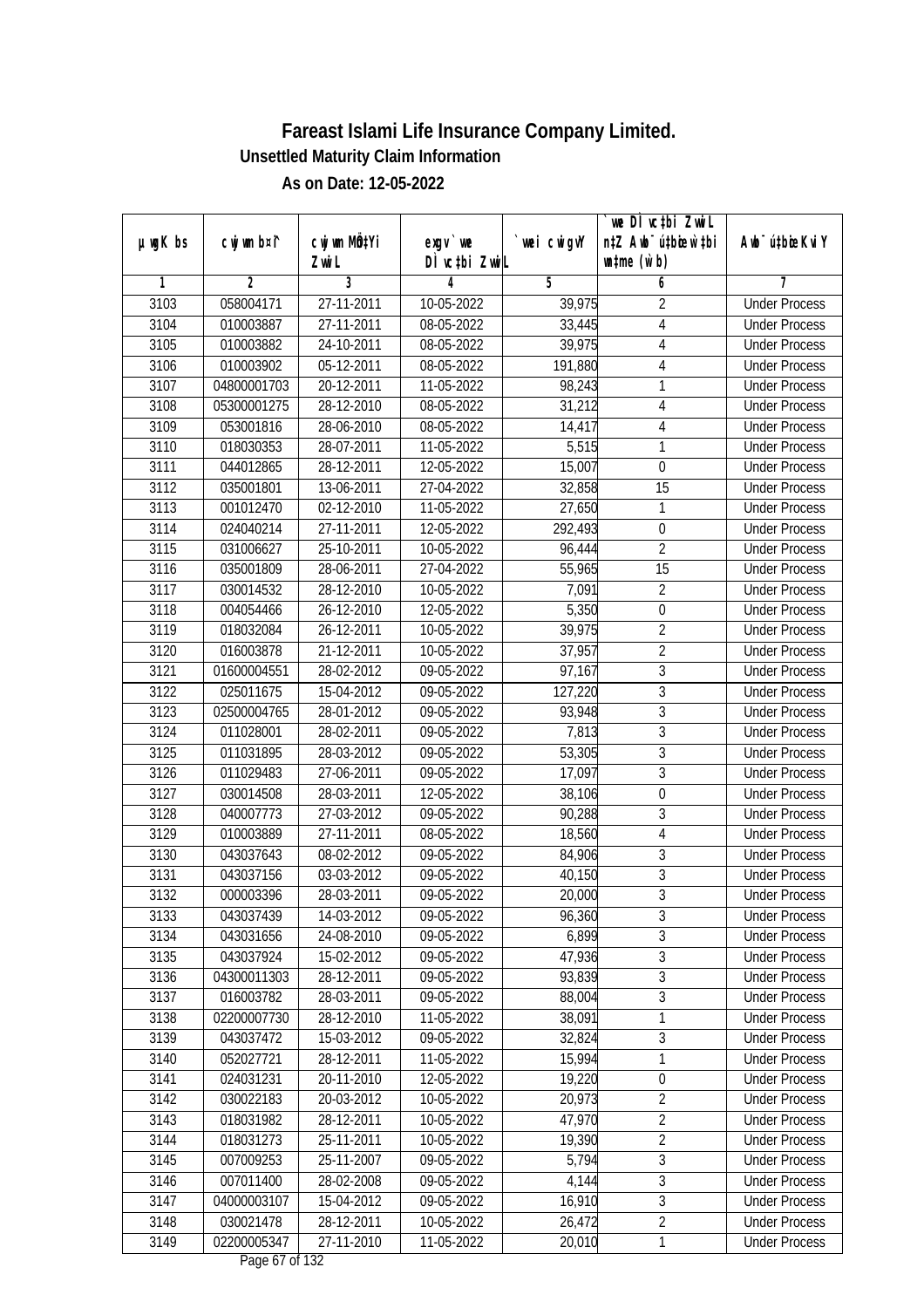|               |                |              |                                |            | we DI vctbi ZwiL                 |                             |
|---------------|----------------|--------------|--------------------------------|------------|----------------------------------|-----------------------------|
| $µ$ ug $K$ bs | cwj wm b¤i^    | cwj wm MQtYi | $exgV$ we                      | wei cwigvY | n‡Z Awb <sup>-</sup> ú‡bioen`‡bi | Awb <sup>-</sup> ú‡bioeKviY |
|               |                | Zwi L        | DÌ vctbi ZwiL                  |            | $\n  untime\n  (u`b)\n$          |                             |
| 1             | $\overline{2}$ | 3            | 4                              | 5          | 6                                | 7                           |
| 3103          | 058004171      | 27-11-2011   | 10-05-2022                     | 39,975     | $\overline{2}$                   | <b>Under Process</b>        |
| 3104          | 010003887      | 27-11-2011   | 08-05-2022                     | 33,445     | $\overline{\mathbf{4}}$          | <b>Under Process</b>        |
| 3105          | 010003882      | 24-10-2011   | 08-05-2022                     | 39,975     | $\overline{4}$                   | <b>Under Process</b>        |
| 3106          | 010003902      | 05-12-2011   | 08-05-2022                     | 191,880    | $\overline{4}$                   | <b>Under Process</b>        |
| 3107          | 04800001703    | 20-12-2011   | 11-05-2022                     | 98,243     | $\mathbf{1}$                     | <b>Under Process</b>        |
| 3108          | 05300001275    | 28-12-2010   | 08-05-2022                     | 31,212     | 4                                | <b>Under Process</b>        |
| 3109          | 053001816      | 28-06-2010   | 08-05-2022                     | 14,417     | $\overline{4}$                   | <b>Under Process</b>        |
| 3110          | 018030353      | 28-07-2011   | 11-05-2022                     | 5,515      | 1                                | <b>Under Process</b>        |
| 3111          | 044012865      | 28-12-2011   | 12-05-2022                     | 15,007     | $\boldsymbol{0}$                 | <b>Under Process</b>        |
| 3112          | 035001801      | 13-06-2011   | 27-04-2022                     | 32,858     | 15                               | <b>Under Process</b>        |
| 3113          | 001012470      | 02-12-2010   | 11-05-2022                     | 27,650     | 1                                | <b>Under Process</b>        |
| 3114          | 024040214      | 27-11-2011   | 12-05-2022                     | 292,493    | $\boldsymbol{0}$                 | <b>Under Process</b>        |
| 3115          | 031006627      | 25-10-2011   | 10-05-2022                     | 96,444     | $\overline{2}$                   | <b>Under Process</b>        |
| 3116          | 035001809      | 28-06-2011   | 27-04-2022                     | 55,965     | 15                               | <b>Under Process</b>        |
| 3117          | 030014532      | 28-12-2010   | 10-05-2022                     | 7,091      | $\overline{2}$                   | <b>Under Process</b>        |
| 3118          | 004054466      | 26-12-2010   | 12-05-2022                     | 5,350      | $\boldsymbol{0}$                 | <b>Under Process</b>        |
| 3119          | 018032084      | 26-12-2011   | 10-05-2022                     | 39,975     | $\overline{2}$                   | <b>Under Process</b>        |
| 3120          | 016003878      | 21-12-2011   | 10-05-2022                     | 37,957     | $\overline{2}$                   | <b>Under Process</b>        |
| 3121          | 01600004551    | 28-02-2012   | 09-05-2022                     | 97,167     | $\mathfrak{Z}$                   | <b>Under Process</b>        |
| 3122          | 025011675      | 15-04-2012   | 09-05-2022                     | 127,220    | $\mathfrak{Z}$                   | <b>Under Process</b>        |
| 3123          | 02500004765    | 28-01-2012   | 09-05-2022                     | 93,948     | $\overline{3}$                   | <b>Under Process</b>        |
| 3124          | 011028001      | 28-02-2011   | 09-05-2022                     | 7,813      | $\sqrt{3}$                       | <b>Under Process</b>        |
| 3125          | 011031895      | 28-03-2012   | $\overline{0}$ 9-05-2022       | 53,305     | $\mathfrak{Z}$                   | <b>Under Process</b>        |
| 3126          | 011029483      | 27-06-2011   | 09-05-2022                     | 17,097     | $\overline{3}$                   | <b>Under Process</b>        |
| 3127          | 030014508      | 28-03-2011   | 12-05-2022                     | 38,106     | $\boldsymbol{0}$                 | <b>Under Process</b>        |
| 3128          | 040007773      | 27-03-2012   | 09-05-2022                     | 90,288     | 3                                | <b>Under Process</b>        |
| 3129          | 010003889      | 27-11-2011   | 08-05-2022                     | 18,560     | 4                                | <b>Under Process</b>        |
| 3130          | 043037643      | 08-02-2012   | 09-05-2022                     | 84,906     | $\sqrt{3}$                       | <b>Under Process</b>        |
| 3131          | 043037156      | 03-03-2012   | 09-05-2022                     | 40,150     | $\overline{3}$                   | <b>Under Process</b>        |
| 3132          | 000003396      | 28-03-2011   | 09-05-2022                     | 20,000     | $\overline{3}$                   | <b>Under Process</b>        |
| 3133          | 043037439      | 14-03-2012   | 09-05-2022                     | 96,360     | 3                                | <b>Under Process</b>        |
| 3134          | 043031656      | 24-08-2010   | 09-05-2022                     | 6,899      | $\overline{3}$                   | <b>Under Process</b>        |
| 3135          | 043037924      | 15-02-2012   | 09-05-2022                     | 47,936     | $\overline{3}$                   | <b>Under Process</b>        |
| 3136          | 04300011303    | 28-12-2011   | 09-05-2022                     | 93,839     | $\overline{3}$                   | <b>Under Process</b>        |
| 3137          | 016003782      | 28-03-2011   | 09-05-2022                     | 88,004     | $\overline{3}$                   | <b>Under Process</b>        |
| 3138          | 02200007730    | 28-12-2010   | 11-05-2022                     | 38,091     | 1                                | <b>Under Process</b>        |
| 3139          | 043037472      | 15-03-2012   | 09-05-2022                     | 32,824     | 3                                | <b>Under Process</b>        |
| 3140          | 052027721      | 28-12-2011   | 11-05-2022                     | 15,994     | $\mathbf{1}$                     | <b>Under Process</b>        |
| 3141          | 024031231      | 20-11-2010   | 12-05-2022                     | 19,220     | $\boldsymbol{0}$                 | <b>Under Process</b>        |
| 3142          | 030022183      | 20-03-2012   | 10-05-2022                     | 20,973     | $\overline{2}$                   | <b>Under Process</b>        |
| 3143          | 018031982      | 28-12-2011   | 10-05-2022                     | 47,970     | $\overline{2}$                   | <b>Under Process</b>        |
| 3144          | 018031273      | 25-11-2011   | 10-05-2022                     | 19,390     | $\overline{2}$                   | <b>Under Process</b>        |
| 3145          | 007009253      | 25-11-2007   | 09-05-2022                     | 5,794      | $\overline{3}$                   | <b>Under Process</b>        |
| 3146          | 007011400      | 28-02-2008   | 09-05-2022                     | 4,144      | $\overline{3}$                   | <b>Under Process</b>        |
| 3147          | 04000003107    | 15-04-2012   | 09-05-2022                     | 16,910     | $\overline{3}$                   | <b>Under Process</b>        |
| 3148          | 030021478      | 28-12-2011   | 10-05-2022                     | 26,472     | $\overline{2}$                   | <b>Under Process</b>        |
| 3149          | 02200005347    | 27-11-2010   | 11-05-2022<br>Dega $17$ of 122 | 20,010     | $\mathbf{1}$                     | <b>Under Process</b>        |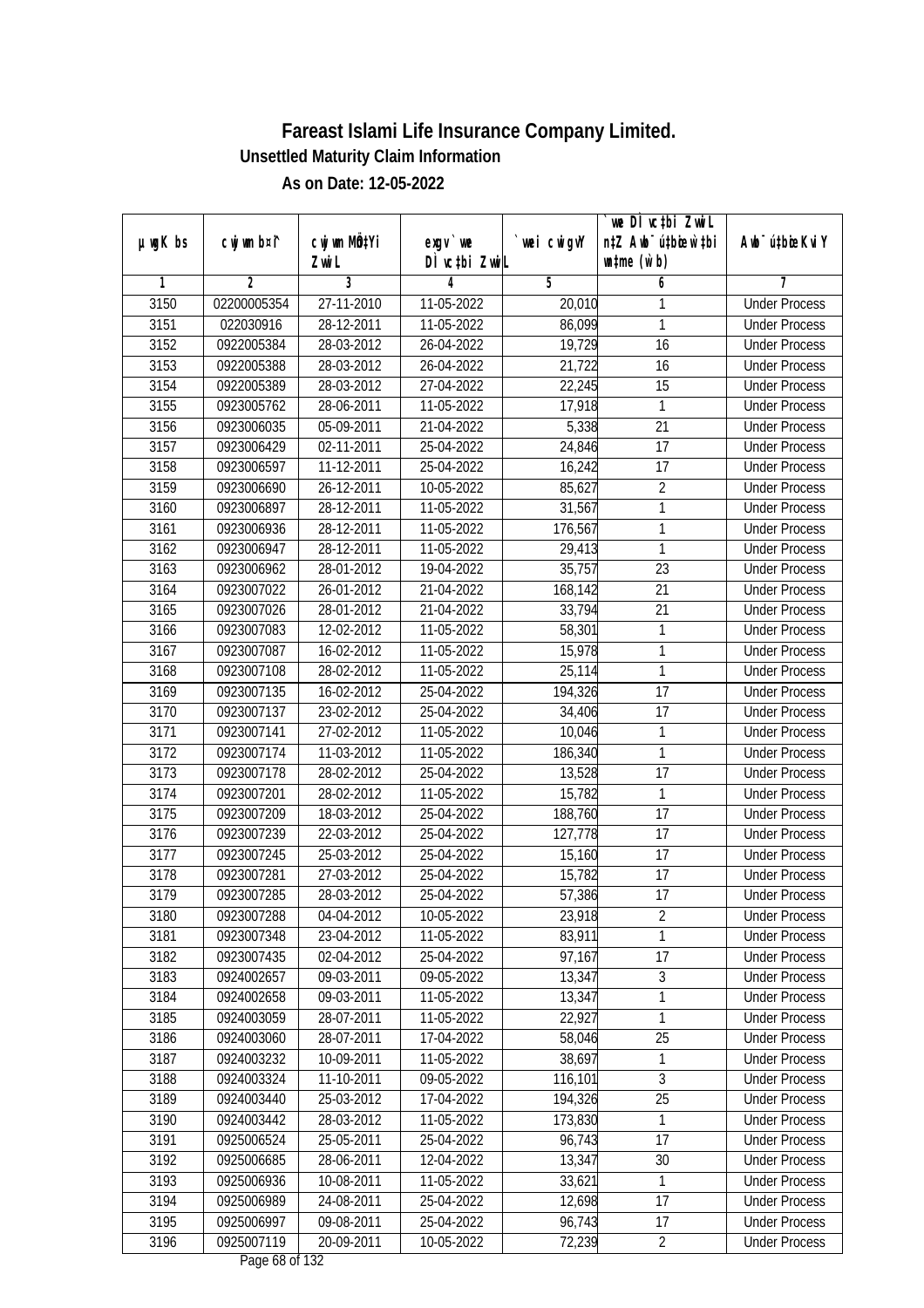| Awb <sup>-</sup> ú‡bioeKviY<br>$µ$ ug $K$ bs<br>$exgV$ we<br>DÌ vctbi ZwiL<br>$\n  untime\n  (u`b)\n$<br>Zwi L<br>3<br>$\overline{2}$<br>5<br>7<br>1<br>4<br>6<br>02200005354<br>27-11-2010<br>11-05-2022<br><b>Under Process</b><br>3150<br>20,010<br>1<br>3151<br>86,099<br>1<br>022030916<br>28-12-2011<br>11-05-2022<br><b>Under Process</b><br>3152<br>0922005384<br>28-03-2012<br>26-04-2022<br>19,729<br>16<br><b>Under Process</b><br>3153<br>0922005388<br>28-03-2012<br>26-04-2022<br>21,722<br>16<br><b>Under Process</b><br>3154<br>0922005389<br>28-03-2012<br>27-04-2022<br>22,245<br>15<br><b>Under Process</b><br>3155<br>17,918<br>0923005762<br>28-06-2011<br>11-05-2022<br>1<br><b>Under Process</b><br>$\overline{21}$<br>3156<br>0923006035<br>05-09-2011<br>21-04-2022<br>5,338<br><b>Under Process</b><br>3157<br>$\overline{17}$<br>0923006429<br>02-11-2011<br>25-04-2022<br>24,846<br><b>Under Process</b><br>3158<br>11-12-2011<br>16,242<br>17<br>0923006597<br>25-04-2022<br><b>Under Process</b><br>$\overline{2}$<br>3159<br>85,627<br>0923006690<br>26-12-2011<br>10-05-2022<br><b>Under Process</b><br>3160<br>31,567<br>0923006897<br>28-12-2011<br>11-05-2022<br>1<br><b>Under Process</b><br>1<br>3161<br>28-12-2011<br>11-05-2022<br>176,567<br>0923006936<br><b>Under Process</b><br>1<br>3162<br>0923006947<br>28-12-2011<br>11-05-2022<br>29,413<br><b>Under Process</b><br>23<br>3163<br>0923006962<br>28-01-2012<br>19-04-2022<br>35,757<br><b>Under Process</b><br>21<br>3164<br>0923007022<br>26-01-2012<br>21-04-2022<br>168,142<br><b>Under Process</b><br>21<br>3165<br>0923007026<br>28-01-2012<br>21-04-2022<br>33,794<br><b>Under Process</b><br>12-02-2012<br>11-05-2022<br>58,301<br>1<br>3166<br>0923007083<br><b>Under Process</b><br>3167<br>1<br>0923007087<br>16-02-2012<br>11-05-2022<br>15,978<br><b>Under Process</b><br>$\mathbf{1}$<br>3168<br>11-05-2022<br>0923007108<br>28-02-2012<br>25,114<br><b>Under Process</b><br>3169<br>0923007135<br>16-02-2012<br>25-04-2022<br>194,326<br>17<br><b>Under Process</b><br>3170<br>0923007137<br>23-02-2012<br>25-04-2022<br>34,406<br>17<br><b>Under Process</b><br>3171<br>27-02-2012<br>11-05-2022<br>10,046<br>1<br>0923007141<br><b>Under Process</b><br>1<br>3172<br>11-03-2012<br>11-05-2022<br>186,340<br>0923007174<br><b>Under Process</b><br>17<br>3173<br>0923007178<br>28-02-2012<br>25-04-2022<br>13,528<br><b>Under Process</b><br>3174<br>0923007201<br>28-02-2012<br>11-05-2022<br>15,782<br>1<br><b>Under Process</b><br>3175<br>0923007209<br>18-03-2012<br>25-04-2022<br>188,760<br>17<br><b>Under Process</b><br>17<br>3176<br>0923007239<br>22-03-2012<br>25-04-2022<br>127,778<br><b>Under Process</b><br>3177<br>0923007245<br>25-03-2012<br>17<br>25-04-2022<br>15,160<br><b>Under Process</b><br>3178<br>0923007281<br>27-03-2012<br>25-04-2022<br>15,782<br>17<br><b>Under Process</b><br>3179<br>57,386<br>17<br>0923007285<br>28-03-2012<br>25-04-2022<br><b>Under Process</b><br>3180<br>0923007288<br>04-04-2012<br>10-05-2022<br>23,918<br>$\sqrt{2}$<br><b>Under Process</b><br>83,911<br>1<br>3181<br>0923007348<br>23-04-2012<br>11-05-2022<br><b>Under Process</b><br>97,167<br>17<br>3182<br>0923007435<br>02-04-2012<br>25-04-2022<br><b>Under Process</b><br>$\overline{3}$<br>3183<br>0924002657<br>09-03-2011<br>09-05-2022<br>13,347<br><b>Under Process</b><br>3184<br>1<br>0924002658<br>09-03-2011<br>11-05-2022<br>13,347<br><b>Under Process</b><br>3185<br>0924003059<br>28-07-2011<br>22,927<br>11-05-2022<br>1<br><b>Under Process</b><br>58,046<br>25<br>3186<br>0924003060<br>28-07-2011<br>17-04-2022<br><b>Under Process</b><br>38,697<br>3187<br>0924003232<br>10-09-2011<br>11-05-2022<br>1<br><b>Under Process</b><br>$\overline{3}$<br>3188<br>0924003324<br>11-10-2011<br>09-05-2022<br>116,101<br><b>Under Process</b><br>3189<br>194,326<br>25<br>0924003440<br>25-03-2012<br>17-04-2022<br><b>Under Process</b><br>3190<br>0924003442<br>28-03-2012<br>11-05-2022<br>173,830<br><b>Under Process</b><br>1<br>3191<br>0925006524<br>$25 - 05 - 2011$<br>25-04-2022<br>96,743<br>17<br><b>Under Process</b><br>3192<br>0925006685<br>28-06-2011<br>12-04-2022<br>13,347<br>30<br><b>Under Process</b><br>33,621<br>3193<br>0925006936<br>10-08-2011<br>11-05-2022<br>1<br><b>Under Process</b><br>3194<br>0925006989<br>12,698<br>24-08-2011<br>25-04-2022<br>17<br><b>Under Process</b><br>3195<br>0925006997<br>09-08-2011<br>96,743<br>17<br><b>Under Process</b><br>25-04-2022<br>$\overline{2}$<br>3196<br>0925007119<br>72,239<br>20-09-2011<br>10-05-2022<br><b>Under Process</b> |             |              |             | `we DÌ vc‡bi ZwwiL               |  |
|---------------------------------------------------------------------------------------------------------------------------------------------------------------------------------------------------------------------------------------------------------------------------------------------------------------------------------------------------------------------------------------------------------------------------------------------------------------------------------------------------------------------------------------------------------------------------------------------------------------------------------------------------------------------------------------------------------------------------------------------------------------------------------------------------------------------------------------------------------------------------------------------------------------------------------------------------------------------------------------------------------------------------------------------------------------------------------------------------------------------------------------------------------------------------------------------------------------------------------------------------------------------------------------------------------------------------------------------------------------------------------------------------------------------------------------------------------------------------------------------------------------------------------------------------------------------------------------------------------------------------------------------------------------------------------------------------------------------------------------------------------------------------------------------------------------------------------------------------------------------------------------------------------------------------------------------------------------------------------------------------------------------------------------------------------------------------------------------------------------------------------------------------------------------------------------------------------------------------------------------------------------------------------------------------------------------------------------------------------------------------------------------------------------------------------------------------------------------------------------------------------------------------------------------------------------------------------------------------------------------------------------------------------------------------------------------------------------------------------------------------------------------------------------------------------------------------------------------------------------------------------------------------------------------------------------------------------------------------------------------------------------------------------------------------------------------------------------------------------------------------------------------------------------------------------------------------------------------------------------------------------------------------------------------------------------------------------------------------------------------------------------------------------------------------------------------------------------------------------------------------------------------------------------------------------------------------------------------------------------------------------------------------------------------------------------------------------------------------------------------------------------------------------------------------------------------------------------------------------------------------------------------------------------------------------------------------------------------------------------------------------------------------------------------------------------------------------------------------------------------------------------------------------------------------------------------------------------------------------------------------------------------------------------------------------------------------------------------------------------------------------------------------------------------------------------------------------------------------------------------------------------------------------------------------------------------------------------------------------------------------------------------------------------|-------------|--------------|-------------|----------------------------------|--|
|                                                                                                                                                                                                                                                                                                                                                                                                                                                                                                                                                                                                                                                                                                                                                                                                                                                                                                                                                                                                                                                                                                                                                                                                                                                                                                                                                                                                                                                                                                                                                                                                                                                                                                                                                                                                                                                                                                                                                                                                                                                                                                                                                                                                                                                                                                                                                                                                                                                                                                                                                                                                                                                                                                                                                                                                                                                                                                                                                                                                                                                                                                                                                                                                                                                                                                                                                                                                                                                                                                                                                                                                                                                                                                                                                                                                                                                                                                                                                                                                                                                                                                                                                                                                                                                                                                                                                                                                                                                                                                                                                                                                                                                               | cwj wm b¤i^ | cwj wm MQtYi | `wei cwigvY | n‡Z Awb <sup>-</sup> ú‡bioen`‡bi |  |
|                                                                                                                                                                                                                                                                                                                                                                                                                                                                                                                                                                                                                                                                                                                                                                                                                                                                                                                                                                                                                                                                                                                                                                                                                                                                                                                                                                                                                                                                                                                                                                                                                                                                                                                                                                                                                                                                                                                                                                                                                                                                                                                                                                                                                                                                                                                                                                                                                                                                                                                                                                                                                                                                                                                                                                                                                                                                                                                                                                                                                                                                                                                                                                                                                                                                                                                                                                                                                                                                                                                                                                                                                                                                                                                                                                                                                                                                                                                                                                                                                                                                                                                                                                                                                                                                                                                                                                                                                                                                                                                                                                                                                                                               |             |              |             |                                  |  |
|                                                                                                                                                                                                                                                                                                                                                                                                                                                                                                                                                                                                                                                                                                                                                                                                                                                                                                                                                                                                                                                                                                                                                                                                                                                                                                                                                                                                                                                                                                                                                                                                                                                                                                                                                                                                                                                                                                                                                                                                                                                                                                                                                                                                                                                                                                                                                                                                                                                                                                                                                                                                                                                                                                                                                                                                                                                                                                                                                                                                                                                                                                                                                                                                                                                                                                                                                                                                                                                                                                                                                                                                                                                                                                                                                                                                                                                                                                                                                                                                                                                                                                                                                                                                                                                                                                                                                                                                                                                                                                                                                                                                                                                               |             |              |             |                                  |  |
|                                                                                                                                                                                                                                                                                                                                                                                                                                                                                                                                                                                                                                                                                                                                                                                                                                                                                                                                                                                                                                                                                                                                                                                                                                                                                                                                                                                                                                                                                                                                                                                                                                                                                                                                                                                                                                                                                                                                                                                                                                                                                                                                                                                                                                                                                                                                                                                                                                                                                                                                                                                                                                                                                                                                                                                                                                                                                                                                                                                                                                                                                                                                                                                                                                                                                                                                                                                                                                                                                                                                                                                                                                                                                                                                                                                                                                                                                                                                                                                                                                                                                                                                                                                                                                                                                                                                                                                                                                                                                                                                                                                                                                                               |             |              |             |                                  |  |
|                                                                                                                                                                                                                                                                                                                                                                                                                                                                                                                                                                                                                                                                                                                                                                                                                                                                                                                                                                                                                                                                                                                                                                                                                                                                                                                                                                                                                                                                                                                                                                                                                                                                                                                                                                                                                                                                                                                                                                                                                                                                                                                                                                                                                                                                                                                                                                                                                                                                                                                                                                                                                                                                                                                                                                                                                                                                                                                                                                                                                                                                                                                                                                                                                                                                                                                                                                                                                                                                                                                                                                                                                                                                                                                                                                                                                                                                                                                                                                                                                                                                                                                                                                                                                                                                                                                                                                                                                                                                                                                                                                                                                                                               |             |              |             |                                  |  |
|                                                                                                                                                                                                                                                                                                                                                                                                                                                                                                                                                                                                                                                                                                                                                                                                                                                                                                                                                                                                                                                                                                                                                                                                                                                                                                                                                                                                                                                                                                                                                                                                                                                                                                                                                                                                                                                                                                                                                                                                                                                                                                                                                                                                                                                                                                                                                                                                                                                                                                                                                                                                                                                                                                                                                                                                                                                                                                                                                                                                                                                                                                                                                                                                                                                                                                                                                                                                                                                                                                                                                                                                                                                                                                                                                                                                                                                                                                                                                                                                                                                                                                                                                                                                                                                                                                                                                                                                                                                                                                                                                                                                                                                               |             |              |             |                                  |  |
|                                                                                                                                                                                                                                                                                                                                                                                                                                                                                                                                                                                                                                                                                                                                                                                                                                                                                                                                                                                                                                                                                                                                                                                                                                                                                                                                                                                                                                                                                                                                                                                                                                                                                                                                                                                                                                                                                                                                                                                                                                                                                                                                                                                                                                                                                                                                                                                                                                                                                                                                                                                                                                                                                                                                                                                                                                                                                                                                                                                                                                                                                                                                                                                                                                                                                                                                                                                                                                                                                                                                                                                                                                                                                                                                                                                                                                                                                                                                                                                                                                                                                                                                                                                                                                                                                                                                                                                                                                                                                                                                                                                                                                                               |             |              |             |                                  |  |
|                                                                                                                                                                                                                                                                                                                                                                                                                                                                                                                                                                                                                                                                                                                                                                                                                                                                                                                                                                                                                                                                                                                                                                                                                                                                                                                                                                                                                                                                                                                                                                                                                                                                                                                                                                                                                                                                                                                                                                                                                                                                                                                                                                                                                                                                                                                                                                                                                                                                                                                                                                                                                                                                                                                                                                                                                                                                                                                                                                                                                                                                                                                                                                                                                                                                                                                                                                                                                                                                                                                                                                                                                                                                                                                                                                                                                                                                                                                                                                                                                                                                                                                                                                                                                                                                                                                                                                                                                                                                                                                                                                                                                                                               |             |              |             |                                  |  |
|                                                                                                                                                                                                                                                                                                                                                                                                                                                                                                                                                                                                                                                                                                                                                                                                                                                                                                                                                                                                                                                                                                                                                                                                                                                                                                                                                                                                                                                                                                                                                                                                                                                                                                                                                                                                                                                                                                                                                                                                                                                                                                                                                                                                                                                                                                                                                                                                                                                                                                                                                                                                                                                                                                                                                                                                                                                                                                                                                                                                                                                                                                                                                                                                                                                                                                                                                                                                                                                                                                                                                                                                                                                                                                                                                                                                                                                                                                                                                                                                                                                                                                                                                                                                                                                                                                                                                                                                                                                                                                                                                                                                                                                               |             |              |             |                                  |  |
|                                                                                                                                                                                                                                                                                                                                                                                                                                                                                                                                                                                                                                                                                                                                                                                                                                                                                                                                                                                                                                                                                                                                                                                                                                                                                                                                                                                                                                                                                                                                                                                                                                                                                                                                                                                                                                                                                                                                                                                                                                                                                                                                                                                                                                                                                                                                                                                                                                                                                                                                                                                                                                                                                                                                                                                                                                                                                                                                                                                                                                                                                                                                                                                                                                                                                                                                                                                                                                                                                                                                                                                                                                                                                                                                                                                                                                                                                                                                                                                                                                                                                                                                                                                                                                                                                                                                                                                                                                                                                                                                                                                                                                                               |             |              |             |                                  |  |
|                                                                                                                                                                                                                                                                                                                                                                                                                                                                                                                                                                                                                                                                                                                                                                                                                                                                                                                                                                                                                                                                                                                                                                                                                                                                                                                                                                                                                                                                                                                                                                                                                                                                                                                                                                                                                                                                                                                                                                                                                                                                                                                                                                                                                                                                                                                                                                                                                                                                                                                                                                                                                                                                                                                                                                                                                                                                                                                                                                                                                                                                                                                                                                                                                                                                                                                                                                                                                                                                                                                                                                                                                                                                                                                                                                                                                                                                                                                                                                                                                                                                                                                                                                                                                                                                                                                                                                                                                                                                                                                                                                                                                                                               |             |              |             |                                  |  |
|                                                                                                                                                                                                                                                                                                                                                                                                                                                                                                                                                                                                                                                                                                                                                                                                                                                                                                                                                                                                                                                                                                                                                                                                                                                                                                                                                                                                                                                                                                                                                                                                                                                                                                                                                                                                                                                                                                                                                                                                                                                                                                                                                                                                                                                                                                                                                                                                                                                                                                                                                                                                                                                                                                                                                                                                                                                                                                                                                                                                                                                                                                                                                                                                                                                                                                                                                                                                                                                                                                                                                                                                                                                                                                                                                                                                                                                                                                                                                                                                                                                                                                                                                                                                                                                                                                                                                                                                                                                                                                                                                                                                                                                               |             |              |             |                                  |  |
|                                                                                                                                                                                                                                                                                                                                                                                                                                                                                                                                                                                                                                                                                                                                                                                                                                                                                                                                                                                                                                                                                                                                                                                                                                                                                                                                                                                                                                                                                                                                                                                                                                                                                                                                                                                                                                                                                                                                                                                                                                                                                                                                                                                                                                                                                                                                                                                                                                                                                                                                                                                                                                                                                                                                                                                                                                                                                                                                                                                                                                                                                                                                                                                                                                                                                                                                                                                                                                                                                                                                                                                                                                                                                                                                                                                                                                                                                                                                                                                                                                                                                                                                                                                                                                                                                                                                                                                                                                                                                                                                                                                                                                                               |             |              |             |                                  |  |
|                                                                                                                                                                                                                                                                                                                                                                                                                                                                                                                                                                                                                                                                                                                                                                                                                                                                                                                                                                                                                                                                                                                                                                                                                                                                                                                                                                                                                                                                                                                                                                                                                                                                                                                                                                                                                                                                                                                                                                                                                                                                                                                                                                                                                                                                                                                                                                                                                                                                                                                                                                                                                                                                                                                                                                                                                                                                                                                                                                                                                                                                                                                                                                                                                                                                                                                                                                                                                                                                                                                                                                                                                                                                                                                                                                                                                                                                                                                                                                                                                                                                                                                                                                                                                                                                                                                                                                                                                                                                                                                                                                                                                                                               |             |              |             |                                  |  |
|                                                                                                                                                                                                                                                                                                                                                                                                                                                                                                                                                                                                                                                                                                                                                                                                                                                                                                                                                                                                                                                                                                                                                                                                                                                                                                                                                                                                                                                                                                                                                                                                                                                                                                                                                                                                                                                                                                                                                                                                                                                                                                                                                                                                                                                                                                                                                                                                                                                                                                                                                                                                                                                                                                                                                                                                                                                                                                                                                                                                                                                                                                                                                                                                                                                                                                                                                                                                                                                                                                                                                                                                                                                                                                                                                                                                                                                                                                                                                                                                                                                                                                                                                                                                                                                                                                                                                                                                                                                                                                                                                                                                                                                               |             |              |             |                                  |  |
|                                                                                                                                                                                                                                                                                                                                                                                                                                                                                                                                                                                                                                                                                                                                                                                                                                                                                                                                                                                                                                                                                                                                                                                                                                                                                                                                                                                                                                                                                                                                                                                                                                                                                                                                                                                                                                                                                                                                                                                                                                                                                                                                                                                                                                                                                                                                                                                                                                                                                                                                                                                                                                                                                                                                                                                                                                                                                                                                                                                                                                                                                                                                                                                                                                                                                                                                                                                                                                                                                                                                                                                                                                                                                                                                                                                                                                                                                                                                                                                                                                                                                                                                                                                                                                                                                                                                                                                                                                                                                                                                                                                                                                                               |             |              |             |                                  |  |
|                                                                                                                                                                                                                                                                                                                                                                                                                                                                                                                                                                                                                                                                                                                                                                                                                                                                                                                                                                                                                                                                                                                                                                                                                                                                                                                                                                                                                                                                                                                                                                                                                                                                                                                                                                                                                                                                                                                                                                                                                                                                                                                                                                                                                                                                                                                                                                                                                                                                                                                                                                                                                                                                                                                                                                                                                                                                                                                                                                                                                                                                                                                                                                                                                                                                                                                                                                                                                                                                                                                                                                                                                                                                                                                                                                                                                                                                                                                                                                                                                                                                                                                                                                                                                                                                                                                                                                                                                                                                                                                                                                                                                                                               |             |              |             |                                  |  |
|                                                                                                                                                                                                                                                                                                                                                                                                                                                                                                                                                                                                                                                                                                                                                                                                                                                                                                                                                                                                                                                                                                                                                                                                                                                                                                                                                                                                                                                                                                                                                                                                                                                                                                                                                                                                                                                                                                                                                                                                                                                                                                                                                                                                                                                                                                                                                                                                                                                                                                                                                                                                                                                                                                                                                                                                                                                                                                                                                                                                                                                                                                                                                                                                                                                                                                                                                                                                                                                                                                                                                                                                                                                                                                                                                                                                                                                                                                                                                                                                                                                                                                                                                                                                                                                                                                                                                                                                                                                                                                                                                                                                                                                               |             |              |             |                                  |  |
|                                                                                                                                                                                                                                                                                                                                                                                                                                                                                                                                                                                                                                                                                                                                                                                                                                                                                                                                                                                                                                                                                                                                                                                                                                                                                                                                                                                                                                                                                                                                                                                                                                                                                                                                                                                                                                                                                                                                                                                                                                                                                                                                                                                                                                                                                                                                                                                                                                                                                                                                                                                                                                                                                                                                                                                                                                                                                                                                                                                                                                                                                                                                                                                                                                                                                                                                                                                                                                                                                                                                                                                                                                                                                                                                                                                                                                                                                                                                                                                                                                                                                                                                                                                                                                                                                                                                                                                                                                                                                                                                                                                                                                                               |             |              |             |                                  |  |
|                                                                                                                                                                                                                                                                                                                                                                                                                                                                                                                                                                                                                                                                                                                                                                                                                                                                                                                                                                                                                                                                                                                                                                                                                                                                                                                                                                                                                                                                                                                                                                                                                                                                                                                                                                                                                                                                                                                                                                                                                                                                                                                                                                                                                                                                                                                                                                                                                                                                                                                                                                                                                                                                                                                                                                                                                                                                                                                                                                                                                                                                                                                                                                                                                                                                                                                                                                                                                                                                                                                                                                                                                                                                                                                                                                                                                                                                                                                                                                                                                                                                                                                                                                                                                                                                                                                                                                                                                                                                                                                                                                                                                                                               |             |              |             |                                  |  |
|                                                                                                                                                                                                                                                                                                                                                                                                                                                                                                                                                                                                                                                                                                                                                                                                                                                                                                                                                                                                                                                                                                                                                                                                                                                                                                                                                                                                                                                                                                                                                                                                                                                                                                                                                                                                                                                                                                                                                                                                                                                                                                                                                                                                                                                                                                                                                                                                                                                                                                                                                                                                                                                                                                                                                                                                                                                                                                                                                                                                                                                                                                                                                                                                                                                                                                                                                                                                                                                                                                                                                                                                                                                                                                                                                                                                                                                                                                                                                                                                                                                                                                                                                                                                                                                                                                                                                                                                                                                                                                                                                                                                                                                               |             |              |             |                                  |  |
|                                                                                                                                                                                                                                                                                                                                                                                                                                                                                                                                                                                                                                                                                                                                                                                                                                                                                                                                                                                                                                                                                                                                                                                                                                                                                                                                                                                                                                                                                                                                                                                                                                                                                                                                                                                                                                                                                                                                                                                                                                                                                                                                                                                                                                                                                                                                                                                                                                                                                                                                                                                                                                                                                                                                                                                                                                                                                                                                                                                                                                                                                                                                                                                                                                                                                                                                                                                                                                                                                                                                                                                                                                                                                                                                                                                                                                                                                                                                                                                                                                                                                                                                                                                                                                                                                                                                                                                                                                                                                                                                                                                                                                                               |             |              |             |                                  |  |
|                                                                                                                                                                                                                                                                                                                                                                                                                                                                                                                                                                                                                                                                                                                                                                                                                                                                                                                                                                                                                                                                                                                                                                                                                                                                                                                                                                                                                                                                                                                                                                                                                                                                                                                                                                                                                                                                                                                                                                                                                                                                                                                                                                                                                                                                                                                                                                                                                                                                                                                                                                                                                                                                                                                                                                                                                                                                                                                                                                                                                                                                                                                                                                                                                                                                                                                                                                                                                                                                                                                                                                                                                                                                                                                                                                                                                                                                                                                                                                                                                                                                                                                                                                                                                                                                                                                                                                                                                                                                                                                                                                                                                                                               |             |              |             |                                  |  |
|                                                                                                                                                                                                                                                                                                                                                                                                                                                                                                                                                                                                                                                                                                                                                                                                                                                                                                                                                                                                                                                                                                                                                                                                                                                                                                                                                                                                                                                                                                                                                                                                                                                                                                                                                                                                                                                                                                                                                                                                                                                                                                                                                                                                                                                                                                                                                                                                                                                                                                                                                                                                                                                                                                                                                                                                                                                                                                                                                                                                                                                                                                                                                                                                                                                                                                                                                                                                                                                                                                                                                                                                                                                                                                                                                                                                                                                                                                                                                                                                                                                                                                                                                                                                                                                                                                                                                                                                                                                                                                                                                                                                                                                               |             |              |             |                                  |  |
|                                                                                                                                                                                                                                                                                                                                                                                                                                                                                                                                                                                                                                                                                                                                                                                                                                                                                                                                                                                                                                                                                                                                                                                                                                                                                                                                                                                                                                                                                                                                                                                                                                                                                                                                                                                                                                                                                                                                                                                                                                                                                                                                                                                                                                                                                                                                                                                                                                                                                                                                                                                                                                                                                                                                                                                                                                                                                                                                                                                                                                                                                                                                                                                                                                                                                                                                                                                                                                                                                                                                                                                                                                                                                                                                                                                                                                                                                                                                                                                                                                                                                                                                                                                                                                                                                                                                                                                                                                                                                                                                                                                                                                                               |             |              |             |                                  |  |
|                                                                                                                                                                                                                                                                                                                                                                                                                                                                                                                                                                                                                                                                                                                                                                                                                                                                                                                                                                                                                                                                                                                                                                                                                                                                                                                                                                                                                                                                                                                                                                                                                                                                                                                                                                                                                                                                                                                                                                                                                                                                                                                                                                                                                                                                                                                                                                                                                                                                                                                                                                                                                                                                                                                                                                                                                                                                                                                                                                                                                                                                                                                                                                                                                                                                                                                                                                                                                                                                                                                                                                                                                                                                                                                                                                                                                                                                                                                                                                                                                                                                                                                                                                                                                                                                                                                                                                                                                                                                                                                                                                                                                                                               |             |              |             |                                  |  |
|                                                                                                                                                                                                                                                                                                                                                                                                                                                                                                                                                                                                                                                                                                                                                                                                                                                                                                                                                                                                                                                                                                                                                                                                                                                                                                                                                                                                                                                                                                                                                                                                                                                                                                                                                                                                                                                                                                                                                                                                                                                                                                                                                                                                                                                                                                                                                                                                                                                                                                                                                                                                                                                                                                                                                                                                                                                                                                                                                                                                                                                                                                                                                                                                                                                                                                                                                                                                                                                                                                                                                                                                                                                                                                                                                                                                                                                                                                                                                                                                                                                                                                                                                                                                                                                                                                                                                                                                                                                                                                                                                                                                                                                               |             |              |             |                                  |  |
|                                                                                                                                                                                                                                                                                                                                                                                                                                                                                                                                                                                                                                                                                                                                                                                                                                                                                                                                                                                                                                                                                                                                                                                                                                                                                                                                                                                                                                                                                                                                                                                                                                                                                                                                                                                                                                                                                                                                                                                                                                                                                                                                                                                                                                                                                                                                                                                                                                                                                                                                                                                                                                                                                                                                                                                                                                                                                                                                                                                                                                                                                                                                                                                                                                                                                                                                                                                                                                                                                                                                                                                                                                                                                                                                                                                                                                                                                                                                                                                                                                                                                                                                                                                                                                                                                                                                                                                                                                                                                                                                                                                                                                                               |             |              |             |                                  |  |
|                                                                                                                                                                                                                                                                                                                                                                                                                                                                                                                                                                                                                                                                                                                                                                                                                                                                                                                                                                                                                                                                                                                                                                                                                                                                                                                                                                                                                                                                                                                                                                                                                                                                                                                                                                                                                                                                                                                                                                                                                                                                                                                                                                                                                                                                                                                                                                                                                                                                                                                                                                                                                                                                                                                                                                                                                                                                                                                                                                                                                                                                                                                                                                                                                                                                                                                                                                                                                                                                                                                                                                                                                                                                                                                                                                                                                                                                                                                                                                                                                                                                                                                                                                                                                                                                                                                                                                                                                                                                                                                                                                                                                                                               |             |              |             |                                  |  |
|                                                                                                                                                                                                                                                                                                                                                                                                                                                                                                                                                                                                                                                                                                                                                                                                                                                                                                                                                                                                                                                                                                                                                                                                                                                                                                                                                                                                                                                                                                                                                                                                                                                                                                                                                                                                                                                                                                                                                                                                                                                                                                                                                                                                                                                                                                                                                                                                                                                                                                                                                                                                                                                                                                                                                                                                                                                                                                                                                                                                                                                                                                                                                                                                                                                                                                                                                                                                                                                                                                                                                                                                                                                                                                                                                                                                                                                                                                                                                                                                                                                                                                                                                                                                                                                                                                                                                                                                                                                                                                                                                                                                                                                               |             |              |             |                                  |  |
|                                                                                                                                                                                                                                                                                                                                                                                                                                                                                                                                                                                                                                                                                                                                                                                                                                                                                                                                                                                                                                                                                                                                                                                                                                                                                                                                                                                                                                                                                                                                                                                                                                                                                                                                                                                                                                                                                                                                                                                                                                                                                                                                                                                                                                                                                                                                                                                                                                                                                                                                                                                                                                                                                                                                                                                                                                                                                                                                                                                                                                                                                                                                                                                                                                                                                                                                                                                                                                                                                                                                                                                                                                                                                                                                                                                                                                                                                                                                                                                                                                                                                                                                                                                                                                                                                                                                                                                                                                                                                                                                                                                                                                                               |             |              |             |                                  |  |
|                                                                                                                                                                                                                                                                                                                                                                                                                                                                                                                                                                                                                                                                                                                                                                                                                                                                                                                                                                                                                                                                                                                                                                                                                                                                                                                                                                                                                                                                                                                                                                                                                                                                                                                                                                                                                                                                                                                                                                                                                                                                                                                                                                                                                                                                                                                                                                                                                                                                                                                                                                                                                                                                                                                                                                                                                                                                                                                                                                                                                                                                                                                                                                                                                                                                                                                                                                                                                                                                                                                                                                                                                                                                                                                                                                                                                                                                                                                                                                                                                                                                                                                                                                                                                                                                                                                                                                                                                                                                                                                                                                                                                                                               |             |              |             |                                  |  |
|                                                                                                                                                                                                                                                                                                                                                                                                                                                                                                                                                                                                                                                                                                                                                                                                                                                                                                                                                                                                                                                                                                                                                                                                                                                                                                                                                                                                                                                                                                                                                                                                                                                                                                                                                                                                                                                                                                                                                                                                                                                                                                                                                                                                                                                                                                                                                                                                                                                                                                                                                                                                                                                                                                                                                                                                                                                                                                                                                                                                                                                                                                                                                                                                                                                                                                                                                                                                                                                                                                                                                                                                                                                                                                                                                                                                                                                                                                                                                                                                                                                                                                                                                                                                                                                                                                                                                                                                                                                                                                                                                                                                                                                               |             |              |             |                                  |  |
|                                                                                                                                                                                                                                                                                                                                                                                                                                                                                                                                                                                                                                                                                                                                                                                                                                                                                                                                                                                                                                                                                                                                                                                                                                                                                                                                                                                                                                                                                                                                                                                                                                                                                                                                                                                                                                                                                                                                                                                                                                                                                                                                                                                                                                                                                                                                                                                                                                                                                                                                                                                                                                                                                                                                                                                                                                                                                                                                                                                                                                                                                                                                                                                                                                                                                                                                                                                                                                                                                                                                                                                                                                                                                                                                                                                                                                                                                                                                                                                                                                                                                                                                                                                                                                                                                                                                                                                                                                                                                                                                                                                                                                                               |             |              |             |                                  |  |
|                                                                                                                                                                                                                                                                                                                                                                                                                                                                                                                                                                                                                                                                                                                                                                                                                                                                                                                                                                                                                                                                                                                                                                                                                                                                                                                                                                                                                                                                                                                                                                                                                                                                                                                                                                                                                                                                                                                                                                                                                                                                                                                                                                                                                                                                                                                                                                                                                                                                                                                                                                                                                                                                                                                                                                                                                                                                                                                                                                                                                                                                                                                                                                                                                                                                                                                                                                                                                                                                                                                                                                                                                                                                                                                                                                                                                                                                                                                                                                                                                                                                                                                                                                                                                                                                                                                                                                                                                                                                                                                                                                                                                                                               |             |              |             |                                  |  |
|                                                                                                                                                                                                                                                                                                                                                                                                                                                                                                                                                                                                                                                                                                                                                                                                                                                                                                                                                                                                                                                                                                                                                                                                                                                                                                                                                                                                                                                                                                                                                                                                                                                                                                                                                                                                                                                                                                                                                                                                                                                                                                                                                                                                                                                                                                                                                                                                                                                                                                                                                                                                                                                                                                                                                                                                                                                                                                                                                                                                                                                                                                                                                                                                                                                                                                                                                                                                                                                                                                                                                                                                                                                                                                                                                                                                                                                                                                                                                                                                                                                                                                                                                                                                                                                                                                                                                                                                                                                                                                                                                                                                                                                               |             |              |             |                                  |  |
|                                                                                                                                                                                                                                                                                                                                                                                                                                                                                                                                                                                                                                                                                                                                                                                                                                                                                                                                                                                                                                                                                                                                                                                                                                                                                                                                                                                                                                                                                                                                                                                                                                                                                                                                                                                                                                                                                                                                                                                                                                                                                                                                                                                                                                                                                                                                                                                                                                                                                                                                                                                                                                                                                                                                                                                                                                                                                                                                                                                                                                                                                                                                                                                                                                                                                                                                                                                                                                                                                                                                                                                                                                                                                                                                                                                                                                                                                                                                                                                                                                                                                                                                                                                                                                                                                                                                                                                                                                                                                                                                                                                                                                                               |             |              |             |                                  |  |
|                                                                                                                                                                                                                                                                                                                                                                                                                                                                                                                                                                                                                                                                                                                                                                                                                                                                                                                                                                                                                                                                                                                                                                                                                                                                                                                                                                                                                                                                                                                                                                                                                                                                                                                                                                                                                                                                                                                                                                                                                                                                                                                                                                                                                                                                                                                                                                                                                                                                                                                                                                                                                                                                                                                                                                                                                                                                                                                                                                                                                                                                                                                                                                                                                                                                                                                                                                                                                                                                                                                                                                                                                                                                                                                                                                                                                                                                                                                                                                                                                                                                                                                                                                                                                                                                                                                                                                                                                                                                                                                                                                                                                                                               |             |              |             |                                  |  |
|                                                                                                                                                                                                                                                                                                                                                                                                                                                                                                                                                                                                                                                                                                                                                                                                                                                                                                                                                                                                                                                                                                                                                                                                                                                                                                                                                                                                                                                                                                                                                                                                                                                                                                                                                                                                                                                                                                                                                                                                                                                                                                                                                                                                                                                                                                                                                                                                                                                                                                                                                                                                                                                                                                                                                                                                                                                                                                                                                                                                                                                                                                                                                                                                                                                                                                                                                                                                                                                                                                                                                                                                                                                                                                                                                                                                                                                                                                                                                                                                                                                                                                                                                                                                                                                                                                                                                                                                                                                                                                                                                                                                                                                               |             |              |             |                                  |  |
|                                                                                                                                                                                                                                                                                                                                                                                                                                                                                                                                                                                                                                                                                                                                                                                                                                                                                                                                                                                                                                                                                                                                                                                                                                                                                                                                                                                                                                                                                                                                                                                                                                                                                                                                                                                                                                                                                                                                                                                                                                                                                                                                                                                                                                                                                                                                                                                                                                                                                                                                                                                                                                                                                                                                                                                                                                                                                                                                                                                                                                                                                                                                                                                                                                                                                                                                                                                                                                                                                                                                                                                                                                                                                                                                                                                                                                                                                                                                                                                                                                                                                                                                                                                                                                                                                                                                                                                                                                                                                                                                                                                                                                                               |             |              |             |                                  |  |
|                                                                                                                                                                                                                                                                                                                                                                                                                                                                                                                                                                                                                                                                                                                                                                                                                                                                                                                                                                                                                                                                                                                                                                                                                                                                                                                                                                                                                                                                                                                                                                                                                                                                                                                                                                                                                                                                                                                                                                                                                                                                                                                                                                                                                                                                                                                                                                                                                                                                                                                                                                                                                                                                                                                                                                                                                                                                                                                                                                                                                                                                                                                                                                                                                                                                                                                                                                                                                                                                                                                                                                                                                                                                                                                                                                                                                                                                                                                                                                                                                                                                                                                                                                                                                                                                                                                                                                                                                                                                                                                                                                                                                                                               |             |              |             |                                  |  |
|                                                                                                                                                                                                                                                                                                                                                                                                                                                                                                                                                                                                                                                                                                                                                                                                                                                                                                                                                                                                                                                                                                                                                                                                                                                                                                                                                                                                                                                                                                                                                                                                                                                                                                                                                                                                                                                                                                                                                                                                                                                                                                                                                                                                                                                                                                                                                                                                                                                                                                                                                                                                                                                                                                                                                                                                                                                                                                                                                                                                                                                                                                                                                                                                                                                                                                                                                                                                                                                                                                                                                                                                                                                                                                                                                                                                                                                                                                                                                                                                                                                                                                                                                                                                                                                                                                                                                                                                                                                                                                                                                                                                                                                               |             |              |             |                                  |  |
|                                                                                                                                                                                                                                                                                                                                                                                                                                                                                                                                                                                                                                                                                                                                                                                                                                                                                                                                                                                                                                                                                                                                                                                                                                                                                                                                                                                                                                                                                                                                                                                                                                                                                                                                                                                                                                                                                                                                                                                                                                                                                                                                                                                                                                                                                                                                                                                                                                                                                                                                                                                                                                                                                                                                                                                                                                                                                                                                                                                                                                                                                                                                                                                                                                                                                                                                                                                                                                                                                                                                                                                                                                                                                                                                                                                                                                                                                                                                                                                                                                                                                                                                                                                                                                                                                                                                                                                                                                                                                                                                                                                                                                                               |             |              |             |                                  |  |
|                                                                                                                                                                                                                                                                                                                                                                                                                                                                                                                                                                                                                                                                                                                                                                                                                                                                                                                                                                                                                                                                                                                                                                                                                                                                                                                                                                                                                                                                                                                                                                                                                                                                                                                                                                                                                                                                                                                                                                                                                                                                                                                                                                                                                                                                                                                                                                                                                                                                                                                                                                                                                                                                                                                                                                                                                                                                                                                                                                                                                                                                                                                                                                                                                                                                                                                                                                                                                                                                                                                                                                                                                                                                                                                                                                                                                                                                                                                                                                                                                                                                                                                                                                                                                                                                                                                                                                                                                                                                                                                                                                                                                                                               |             |              |             |                                  |  |
|                                                                                                                                                                                                                                                                                                                                                                                                                                                                                                                                                                                                                                                                                                                                                                                                                                                                                                                                                                                                                                                                                                                                                                                                                                                                                                                                                                                                                                                                                                                                                                                                                                                                                                                                                                                                                                                                                                                                                                                                                                                                                                                                                                                                                                                                                                                                                                                                                                                                                                                                                                                                                                                                                                                                                                                                                                                                                                                                                                                                                                                                                                                                                                                                                                                                                                                                                                                                                                                                                                                                                                                                                                                                                                                                                                                                                                                                                                                                                                                                                                                                                                                                                                                                                                                                                                                                                                                                                                                                                                                                                                                                                                                               |             |              |             |                                  |  |
|                                                                                                                                                                                                                                                                                                                                                                                                                                                                                                                                                                                                                                                                                                                                                                                                                                                                                                                                                                                                                                                                                                                                                                                                                                                                                                                                                                                                                                                                                                                                                                                                                                                                                                                                                                                                                                                                                                                                                                                                                                                                                                                                                                                                                                                                                                                                                                                                                                                                                                                                                                                                                                                                                                                                                                                                                                                                                                                                                                                                                                                                                                                                                                                                                                                                                                                                                                                                                                                                                                                                                                                                                                                                                                                                                                                                                                                                                                                                                                                                                                                                                                                                                                                                                                                                                                                                                                                                                                                                                                                                                                                                                                                               |             |              |             |                                  |  |
|                                                                                                                                                                                                                                                                                                                                                                                                                                                                                                                                                                                                                                                                                                                                                                                                                                                                                                                                                                                                                                                                                                                                                                                                                                                                                                                                                                                                                                                                                                                                                                                                                                                                                                                                                                                                                                                                                                                                                                                                                                                                                                                                                                                                                                                                                                                                                                                                                                                                                                                                                                                                                                                                                                                                                                                                                                                                                                                                                                                                                                                                                                                                                                                                                                                                                                                                                                                                                                                                                                                                                                                                                                                                                                                                                                                                                                                                                                                                                                                                                                                                                                                                                                                                                                                                                                                                                                                                                                                                                                                                                                                                                                                               |             |              |             |                                  |  |
|                                                                                                                                                                                                                                                                                                                                                                                                                                                                                                                                                                                                                                                                                                                                                                                                                                                                                                                                                                                                                                                                                                                                                                                                                                                                                                                                                                                                                                                                                                                                                                                                                                                                                                                                                                                                                                                                                                                                                                                                                                                                                                                                                                                                                                                                                                                                                                                                                                                                                                                                                                                                                                                                                                                                                                                                                                                                                                                                                                                                                                                                                                                                                                                                                                                                                                                                                                                                                                                                                                                                                                                                                                                                                                                                                                                                                                                                                                                                                                                                                                                                                                                                                                                                                                                                                                                                                                                                                                                                                                                                                                                                                                                               |             |              |             |                                  |  |
|                                                                                                                                                                                                                                                                                                                                                                                                                                                                                                                                                                                                                                                                                                                                                                                                                                                                                                                                                                                                                                                                                                                                                                                                                                                                                                                                                                                                                                                                                                                                                                                                                                                                                                                                                                                                                                                                                                                                                                                                                                                                                                                                                                                                                                                                                                                                                                                                                                                                                                                                                                                                                                                                                                                                                                                                                                                                                                                                                                                                                                                                                                                                                                                                                                                                                                                                                                                                                                                                                                                                                                                                                                                                                                                                                                                                                                                                                                                                                                                                                                                                                                                                                                                                                                                                                                                                                                                                                                                                                                                                                                                                                                                               |             |              |             |                                  |  |
|                                                                                                                                                                                                                                                                                                                                                                                                                                                                                                                                                                                                                                                                                                                                                                                                                                                                                                                                                                                                                                                                                                                                                                                                                                                                                                                                                                                                                                                                                                                                                                                                                                                                                                                                                                                                                                                                                                                                                                                                                                                                                                                                                                                                                                                                                                                                                                                                                                                                                                                                                                                                                                                                                                                                                                                                                                                                                                                                                                                                                                                                                                                                                                                                                                                                                                                                                                                                                                                                                                                                                                                                                                                                                                                                                                                                                                                                                                                                                                                                                                                                                                                                                                                                                                                                                                                                                                                                                                                                                                                                                                                                                                                               |             |              |             |                                  |  |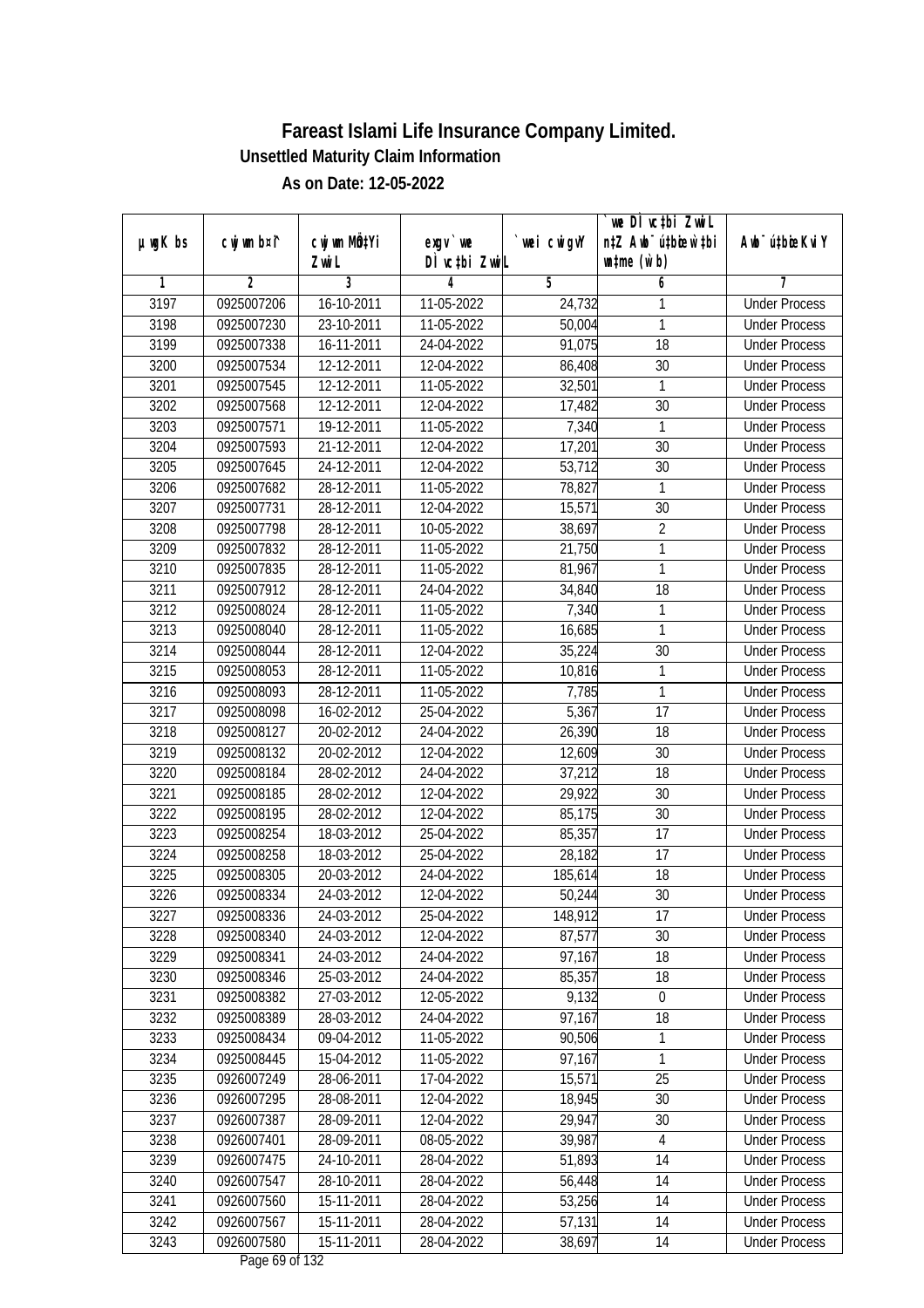|               |                |                       |                                          |            | we DI vctbi ZwiL                                            |                             |
|---------------|----------------|-----------------------|------------------------------------------|------------|-------------------------------------------------------------|-----------------------------|
| $µ$ ug $K$ bs | cwj wm b¤i^    | cwj wm MQtYi<br>Zwi L | exgv `we<br>DÌ vctbi ZwiL                | wei cwigvY | n‡Z Awb <sup>-</sup> ú‡bicen`‡bi<br>$\n  untime\n  (u`b)\n$ | Awb <sup>-</sup> ú‡bioeKviY |
| 1             | $\overline{2}$ | 3                     | 4                                        | 5          | 6                                                           | 7                           |
| 3197          | 0925007206     | 16-10-2011            | 11-05-2022                               | 24,732     | 1                                                           | <b>Under Process</b>        |
| 3198          | 0925007230     | 23-10-2011            | 11-05-2022                               | 50,004     | $\mathbf{1}$                                                | <b>Under Process</b>        |
| 3199          | 0925007338     | 16-11-2011            | 24-04-2022                               | 91,075     | 18                                                          | <b>Under Process</b>        |
| 3200          | 0925007534     | 12-12-2011            | 12-04-2022                               | 86,408     | 30                                                          | <b>Under Process</b>        |
| 3201          | 0925007545     | 12-12-2011            | 11-05-2022                               | 32,501     | $\mathbf{1}$                                                | <b>Under Process</b>        |
| 3202          | 0925007568     | 12-12-2011            | 12-04-2022                               | 17,482     | $\overline{30}$                                             | <b>Under Process</b>        |
| 3203          | 0925007571     | 19-12-2011            | 11-05-2022                               | 7,340      | 1                                                           | <b>Under Process</b>        |
| 3204          | 0925007593     | 21-12-2011            | 12-04-2022                               | 17,201     | 30                                                          | <b>Under Process</b>        |
| 3205          | 0925007645     | 24-12-2011            | 12-04-2022                               | 53,712     | 30                                                          | <b>Under Process</b>        |
| 3206          | 0925007682     | 28-12-2011            | 11-05-2022                               | 78,827     | 1                                                           | <b>Under Process</b>        |
| 3207          | 0925007731     | 28-12-2011            | 12-04-2022                               | 15,571     | $\overline{30}$                                             | <b>Under Process</b>        |
| 3208          | 0925007798     | 28-12-2011            | 10-05-2022                               | 38,697     | $\overline{2}$                                              | <b>Under Process</b>        |
| 3209          | 0925007832     | 28-12-2011            | 11-05-2022                               | 21,750     | $\overline{1}$                                              | <b>Under Process</b>        |
| 3210          | 0925007835     | 28-12-2011            | 11-05-2022                               | 81,967     | 1                                                           | <b>Under Process</b>        |
| 3211          | 0925007912     | 28-12-2011            | 24-04-2022                               | 34,840     | 18                                                          | <b>Under Process</b>        |
| 3212          | 0925008024     | 28-12-2011            | 11-05-2022                               | 7,340      | $\mathbf{1}$                                                | <b>Under Process</b>        |
| 3213          | 0925008040     | 28-12-2011            | 11-05-2022                               | 16,685     | $\mathbf{1}$                                                | <b>Under Process</b>        |
| 3214          | 0925008044     | 28-12-2011            | 12-04-2022                               | 35,224     | 30                                                          | <b>Under Process</b>        |
| 3215          | 0925008053     | 28-12-2011            | 11-05-2022                               | 10,816     | 1                                                           | <b>Under Process</b>        |
| 3216          | 0925008093     | 28-12-2011            | 11-05-2022                               | 7,785      | 1                                                           | <b>Under Process</b>        |
| 3217          | 0925008098     | 16-02-2012            | 25-04-2022                               | 5,367      | 17                                                          | <b>Under Process</b>        |
| 3218          | 0925008127     | 20-02-2012            | 24-04-2022                               | 26,390     | 18                                                          | <b>Under Process</b>        |
| 3219          | 0925008132     | 20-02-2012            | 12-04-2022                               | 12,609     | 30                                                          | <b>Under Process</b>        |
| 3220          | 0925008184     | 28-02-2012            | 24-04-2022                               | 37,212     | 18                                                          | <b>Under Process</b>        |
| 3221          | 0925008185     | 28-02-2012            | 12-04-2022                               | 29,922     | 30                                                          | <b>Under Process</b>        |
| 3222          | 0925008195     | 28-02-2012            | 12-04-2022                               | 85,175     | 30                                                          | <b>Under Process</b>        |
| 3223          | 0925008254     | 18-03-2012            | 25-04-2022                               | 85,357     | 17                                                          | <b>Under Process</b>        |
| 3224          | 0925008258     | 18-03-2012            | 25-04-2022                               | 28,182     | 17                                                          | <b>Under Process</b>        |
| 3225          | 0925008305     | 20-03-2012            | 24-04-2022                               | 185,614    | 18                                                          | <b>Under Process</b>        |
| 3226          | 0925008334     | 24-03-2012            | 12-04-2022                               | 50,244     | 30                                                          | <b>Under Process</b>        |
| 3227          | 0925008336     | 24-03-2012            | 25-04-2022                               | 148,912    | 17                                                          | <b>Under Process</b>        |
| 3228          | 0925008340     | 24-03-2012            | 12-04-2022                               | 87,577     | 30                                                          | <b>Under Process</b>        |
| 3229          | 0925008341     | 24-03-2012            | 24-04-2022                               | 97,167     | 18                                                          | <b>Under Process</b>        |
| 3230          | 0925008346     | 25-03-2012            | 24-04-2022                               | 85,357     | 18                                                          | <b>Under Process</b>        |
| 3231          | 0925008382     | 27-03-2012            | 12-05-2022                               | 9,132      | $\mathbf 0$                                                 | <b>Under Process</b>        |
| 3232          | 0925008389     | 28-03-2012            | 24-04-2022                               | 97,167     | 18                                                          | <b>Under Process</b>        |
| 3233          | 0925008434     | 09-04-2012            | 11-05-2022                               | 90,506     | $\mathbf{1}$                                                | <b>Under Process</b>        |
| 3234          | 0925008445     | 15-04-2012            | 11-05-2022                               | 97,167     | $\mathbf{1}$                                                | <b>Under Process</b>        |
| 3235          | 0926007249     | 28-06-2011            | 17-04-2022                               | 15,571     | 25                                                          | <b>Under Process</b>        |
| 3236          | 0926007295     | 28-08-2011            | 12-04-2022                               | 18,945     | 30                                                          | <b>Under Process</b>        |
| 3237          | 0926007387     | 28-09-2011            | 12-04-2022                               | 29,947     | 30                                                          | <b>Under Process</b>        |
| 3238          | 0926007401     | 28-09-2011            | 08-05-2022                               | 39,987     | $\overline{4}$                                              | <b>Under Process</b>        |
| 3239          | 0926007475     | 24-10-2011            | 28-04-2022                               | 51,893     | 14                                                          | <b>Under Process</b>        |
| 3240          | 0926007547     | 28-10-2011            | 28-04-2022                               | 56,448     | 14                                                          | <b>Under Process</b>        |
| 3241          | 0926007560     | 15-11-2011            | 28-04-2022                               | 53,256     | 14                                                          | <b>Under Process</b>        |
| 3242          | 0926007567     | 15-11-2011            | 28-04-2022                               | 57,131     | 14                                                          | <b>Under Process</b>        |
| 3243          | 0926007580     | 15-11-2011            | 28-04-2022<br>Dega $(0 \text{ of } 122)$ | 38,697     | 14                                                          | <b>Under Process</b>        |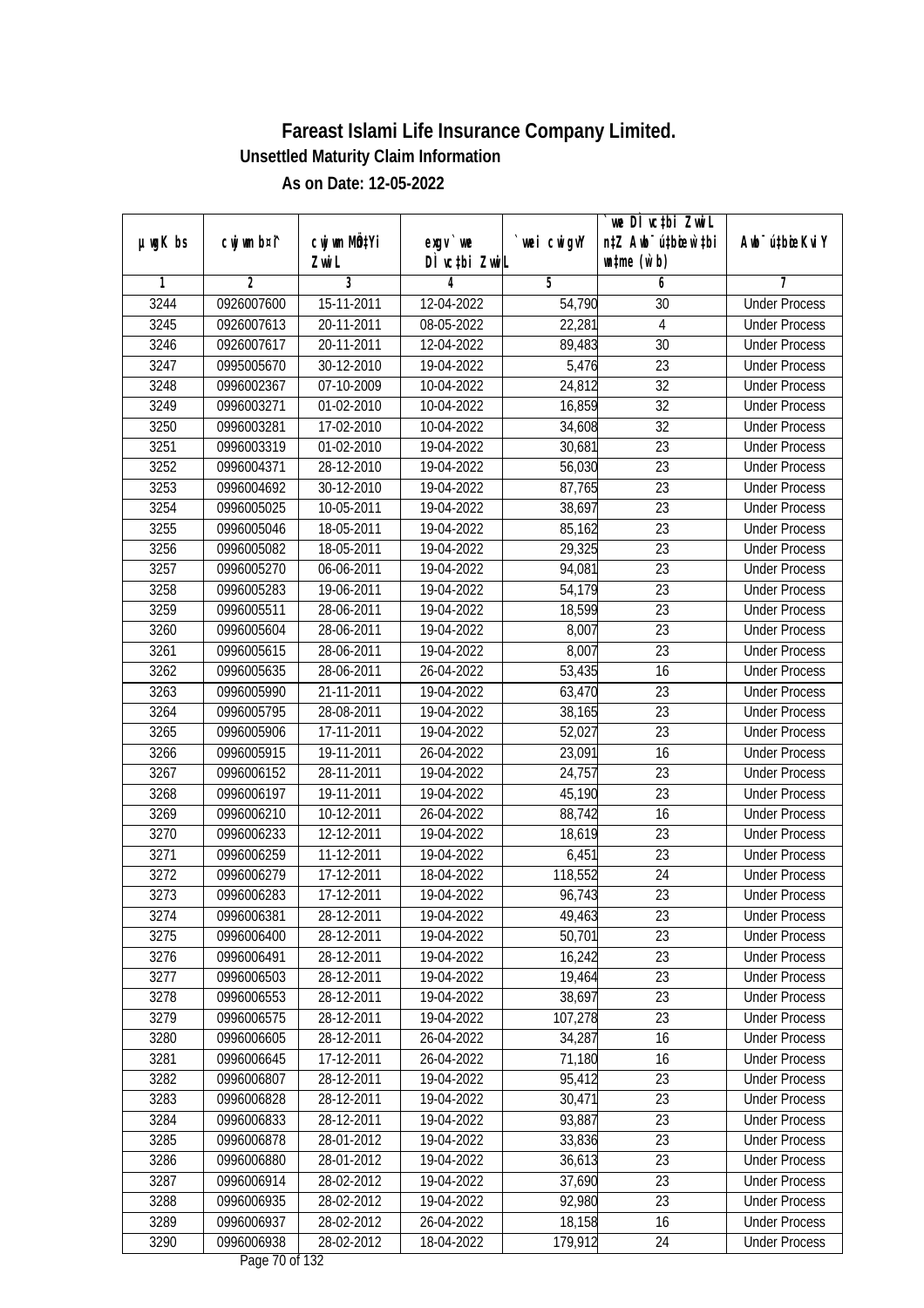|               | cwj wm b¤i^    | cwj wm MQtYi             |                              | wei cwigvY | we DI vctbi ZwiL<br>n‡Z Awb <sup>-</sup> ú‡bicen`‡bi | Awb <sup>-</sup> ú‡bioeKviY |
|---------------|----------------|--------------------------|------------------------------|------------|------------------------------------------------------|-----------------------------|
| $µ$ ug $K$ bs |                | Zwi L                    | exgv `we<br>DÌ vctbi ZwiL    |            | $\n  untime\n  (u`b)\n$                              |                             |
| 1             | $\overline{2}$ | 3                        | 4                            | 5          | 6                                                    | 7                           |
| 3244          | 0926007600     | 15-11-2011               | 12-04-2022                   | 54,790     | 30                                                   | <b>Under Process</b>        |
| 3245          | 0926007613     | 20-11-2011               | 08-05-2022                   | 22,281     | $\overline{4}$                                       | <b>Under Process</b>        |
| 3246          | 0926007617     | 20-11-2011               | 12-04-2022                   | 89,483     | $\overline{30}$                                      | <b>Under Process</b>        |
| 3247          | 0995005670     | 30-12-2010               | 19-04-2022                   | 5,476      | 23                                                   | <b>Under Process</b>        |
| 3248          | 0996002367     | 07-10-2009               | 10-04-2022                   | 24,812     | $\overline{32}$                                      | <b>Under Process</b>        |
| 3249          | 0996003271     | 01-02-2010               | 10-04-2022                   | 16,859     | $\overline{32}$                                      | <b>Under Process</b>        |
| 3250          | 0996003281     | 17-02-2010               | 10-04-2022                   | 34,608     | 32                                                   | <b>Under Process</b>        |
| 3251          | 0996003319     | 01-02-2010               | 19-04-2022                   | 30,681     | $\overline{23}$                                      | <b>Under Process</b>        |
| 3252          | 0996004371     | 28-12-2010               | 19-04-2022                   | 56,030     | $\overline{23}$                                      | <b>Under Process</b>        |
| 3253          | 0996004692     | 30-12-2010               | 19-04-2022                   | 87,765     | 23                                                   | <b>Under Process</b>        |
| 3254          | 0996005025     | 10-05-2011               | 19-04-2022                   | 38,697     | $\overline{23}$                                      | <b>Under Process</b>        |
| 3255          | 0996005046     | 18-05-2011               | 19-04-2022                   | 85,162     | 23                                                   | <b>Under Process</b>        |
| 3256          | 0996005082     | 18-05-2011               | 19-04-2022                   | 29,325     | $\overline{23}$                                      | <b>Under Process</b>        |
| 3257          | 0996005270     | 06-06-2011               | 19-04-2022                   | 94,081     | 23                                                   | <b>Under Process</b>        |
| 3258          | 0996005283     | 19-06-2011               | 19-04-2022                   | 54,179     | 23                                                   | <b>Under Process</b>        |
| 3259          | 0996005511     | 28-06-2011               | 19-04-2022                   | 18,599     | 23                                                   | <b>Under Process</b>        |
| 3260          | 0996005604     | 28-06-2011               | 19-04-2022                   | 8,007      | 23                                                   | <b>Under Process</b>        |
| 3261          | 0996005615     | 28-06-2011               | 19-04-2022                   | 8,007      | 23                                                   | <b>Under Process</b>        |
| 3262          | 0996005635     | 28-06-2011               | 26-04-2022                   | 53,435     | 16                                                   | <b>Under Process</b>        |
| 3263          | 0996005990     | 21-11-2011               | 19-04-2022                   | 63,470     | 23                                                   | <b>Under Process</b>        |
| 3264          | 0996005795     | 28-08-2011               | 19-04-2022                   | 38,165     | 23                                                   | <b>Under Process</b>        |
| 3265          | 0996005906     | $\overline{17}$ -11-2011 | 19-04-2022                   | 52,027     | 23                                                   | <b>Under Process</b>        |
| 3266          | 0996005915     | 19-11-2011               | 26-04-2022                   | 23,091     | 16                                                   | <b>Under Process</b>        |
| 3267          | 0996006152     | 28-11-2011               | 19-04-2022                   | 24,757     | 23                                                   | <b>Under Process</b>        |
| 3268          | 0996006197     | 19-11-2011               | 19-04-2022                   | 45,190     | 23                                                   | <b>Under Process</b>        |
| 3269          | 0996006210     | 10-12-2011               | 26-04-2022                   | 88,742     | 16                                                   | <b>Under Process</b>        |
| 3270          | 0996006233     | 12-12-2011               | 19-04-2022                   | 18,619     | 23                                                   | <b>Under Process</b>        |
| 3271          | 0996006259     | 11-12-2011               | 19-04-2022                   | 6,451      | 23                                                   | <b>Under Process</b>        |
| 3272          | 0996006279     | 17-12-2011               | 18-04-2022                   | 118,552    | 24                                                   | <b>Under Process</b>        |
| 3273          | 0996006283     | 17-12-2011               | 19-04-2022                   | 96,743     | 23                                                   | <b>Under Process</b>        |
| 3274          | 0996006381     | 28-12-2011               | 19-04-2022                   | 49,463     | 23                                                   | <b>Under Process</b>        |
| 3275          | 0996006400     | 28-12-2011               | 19-04-2022                   | 50,701     | 23                                                   | <b>Under Process</b>        |
| 3276          | 0996006491     | 28-12-2011               | 19-04-2022                   | 16,242     | 23                                                   | <b>Under Process</b>        |
| 3277          | 0996006503     | 28-12-2011               | 19-04-2022                   | 19,464     | 23                                                   | <b>Under Process</b>        |
| 3278          | 0996006553     | 28-12-2011               | 19-04-2022                   | 38,697     | 23                                                   | <b>Under Process</b>        |
| 3279          | 0996006575     | 28-12-2011               | 19-04-2022                   | 107,278    | 23                                                   | <b>Under Process</b>        |
| 3280          | 0996006605     | 28-12-2011               | 26-04-2022                   | 34,287     | 16                                                   | <b>Under Process</b>        |
| 3281          | 0996006645     | 17-12-2011               | 26-04-2022                   | 71,180     | 16                                                   | <b>Under Process</b>        |
| 3282          | 0996006807     | 28-12-2011               | 19-04-2022                   | 95,412     | 23                                                   | <b>Under Process</b>        |
| 3283          | 0996006828     | 28-12-2011               | 19-04-2022                   | 30,471     | 23                                                   | <b>Under Process</b>        |
| 3284          | 0996006833     | 28-12-2011               | 19-04-2022                   | 93,887     | 23                                                   | <b>Under Process</b>        |
| 3285          | 0996006878     | 28-01-2012               | 19-04-2022                   | 33,836     | 23                                                   | <b>Under Process</b>        |
| 3286          | 0996006880     | 28-01-2012               | 19-04-2022                   | 36,613     | $\overline{23}$                                      | <b>Under Process</b>        |
| 3287          | 0996006914     | 28-02-2012               | 19-04-2022                   | 37,690     | 23                                                   | <b>Under Process</b>        |
| 3288          | 0996006935     | 28-02-2012               | 19-04-2022                   | 92,980     | 23                                                   | <b>Under Process</b>        |
| 3289          | 0996006937     | 28-02-2012               | 26-04-2022                   | 18,158     | 16                                                   | <b>Under Process</b>        |
| 3290          | 0996006938     | 28-02-2012               | 18-04-2022<br>Dege 70 of 122 | 179,912    | 24                                                   | <b>Under Process</b>        |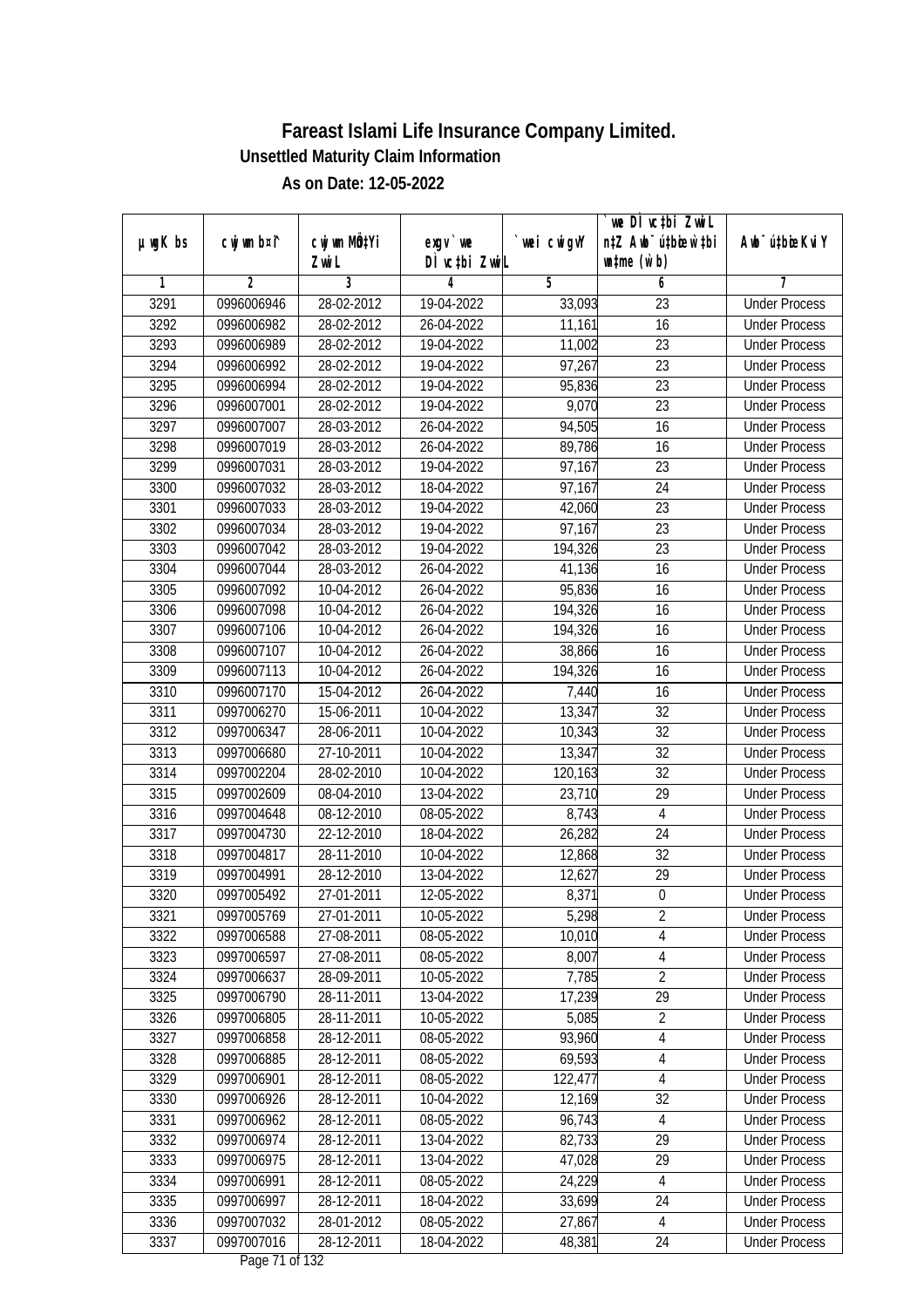| $µ$ ug $K$ bs | cwj wm b¤i^ | cwj wm MQtYi | $exgv$ we                    | wei cwigvY | `we DÌ vc‡bi ZwiL<br>n‡Z Awb <sup>-</sup> ú‡bioen`‡bi | Awb <sup>-</sup> ú‡bioeKviY |
|---------------|-------------|--------------|------------------------------|------------|-------------------------------------------------------|-----------------------------|
|               |             | Zwi L        | DÌ vctbi ZwiL                |            | $\n  untime\n  (u`b)\n$                               |                             |
| 1             | 2           | 3            | 4                            | 5          | 6                                                     | 7                           |
| 3291          | 0996006946  | 28-02-2012   | 19-04-2022                   | 33,093     | 23                                                    | <b>Under Process</b>        |
| 3292          | 0996006982  | 28-02-2012   | 26-04-2022                   | 11,161     | 16                                                    | <b>Under Process</b>        |
| 3293          | 0996006989  | 28-02-2012   | 19-04-2022                   | 11,002     | 23                                                    | <b>Under Process</b>        |
| 3294          | 0996006992  | 28-02-2012   | 19-04-2022                   | 97,267     | $\overline{23}$                                       | <b>Under Process</b>        |
| 3295          | 0996006994  | 28-02-2012   | 19-04-2022                   | 95,836     | $\overline{23}$                                       | <b>Under Process</b>        |
| 3296          | 0996007001  | 28-02-2012   | 19-04-2022                   | 9,070      | $\overline{23}$                                       | <b>Under Process</b>        |
| 3297          | 0996007007  | 28-03-2012   | 26-04-2022                   | 94,505     | 16                                                    | <b>Under Process</b>        |
| 3298          | 0996007019  | 28-03-2012   | 26-04-2022                   | 89,786     | 16                                                    | <b>Under Process</b>        |
| 3299          | 0996007031  | 28-03-2012   | 19-04-2022                   | 97,167     | 23                                                    | <b>Under Process</b>        |
| 3300          | 0996007032  | 28-03-2012   | 18-04-2022                   | 97,167     | 24                                                    | <b>Under Process</b>        |
| 3301          | 0996007033  | 28-03-2012   | 19-04-2022                   | 42,060     | $\overline{23}$                                       | <b>Under Process</b>        |
| 3302          | 0996007034  | 28-03-2012   | 19-04-2022                   | 97,167     | 23                                                    | <b>Under Process</b>        |
| 3303          | 0996007042  | 28-03-2012   | 19-04-2022                   | 194,326    | $\overline{23}$                                       | <b>Under Process</b>        |
| 3304          | 0996007044  | 28-03-2012   | 26-04-2022                   | 41,136     | 16                                                    | <b>Under Process</b>        |
| 3305          | 0996007092  | 10-04-2012   | 26-04-2022                   | 95,836     | 16                                                    | <b>Under Process</b>        |
| 3306          | 0996007098  | 10-04-2012   | 26-04-2022                   | 194,326    | 16                                                    | <b>Under Process</b>        |
| 3307          | 0996007106  | 10-04-2012   | 26-04-2022                   | 194,326    | 16                                                    | <b>Under Process</b>        |
| 3308          | 0996007107  | 10-04-2012   | 26-04-2022                   | 38,866     | 16                                                    | <b>Under Process</b>        |
| 3309          | 0996007113  | 10-04-2012   | 26-04-2022                   | 194,326    | 16                                                    | <b>Under Process</b>        |
| 3310          | 0996007170  | 15-04-2012   | 26-04-2022                   | 7,440      | 16                                                    | <b>Under Process</b>        |
| 3311          | 0997006270  | 15-06-2011   | 10-04-2022                   | 13,347     | 32                                                    | <b>Under Process</b>        |
| 3312          | 0997006347  | 28-06-2011   | 10-04-2022                   | 10,343     | 32                                                    | <b>Under Process</b>        |
| 3313          | 0997006680  | 27-10-2011   | 10-04-2022                   | 13,347     | 32                                                    | <b>Under Process</b>        |
| 3314          | 0997002204  | 28-02-2010   | 10-04-2022                   | 120,163    | 32                                                    | <b>Under Process</b>        |
| 3315          | 0997002609  | 08-04-2010   | 13-04-2022                   | 23,710     | 29                                                    | <b>Under Process</b>        |
| 3316          | 0997004648  | 08-12-2010   | 08-05-2022                   | 8,743      | $\overline{4}$                                        | <b>Under Process</b>        |
| 3317          | 0997004730  | 22-12-2010   | 18-04-2022                   | 26,282     | 24                                                    | <b>Under Process</b>        |
| 3318          | 0997004817  | 28-11-2010   | 10-04-2022                   | 12,868     | 32                                                    | <b>Under Process</b>        |
| 3319          | 0997004991  | 28-12-2010   | 13-04-2022                   | 12,627     | 29                                                    | <b>Under Process</b>        |
| 3320          | 0997005492  | 27-01-2011   | 12-05-2022                   | 8,371      | $\boldsymbol{0}$                                      | <b>Under Process</b>        |
| 3321          | 0997005769  | 27-01-2011   | 10-05-2022                   | 5,298      | 2                                                     | <b>Under Process</b>        |
| 3322          | 0997006588  | 27-08-2011   | 08-05-2022                   | 10,010     | 4                                                     | <b>Under Process</b>        |
| 3323          | 0997006597  | 27-08-2011   | 08-05-2022                   | 8,007      | $\overline{4}$                                        | <b>Under Process</b>        |
| 3324          | 0997006637  | 28-09-2011   | 10-05-2022                   | 7,785      | $\overline{2}$                                        | <b>Under Process</b>        |
| 3325          | 0997006790  | 28-11-2011   | 13-04-2022                   | 17,239     | 29                                                    | <b>Under Process</b>        |
| 3326          | 0997006805  | 28-11-2011   | 10-05-2022                   | 5,085      | $\overline{2}$                                        | <b>Under Process</b>        |
| 3327          | 0997006858  | 28-12-2011   | 08-05-2022                   | 93,960     | 4                                                     | <b>Under Process</b>        |
| 3328          | 0997006885  | 28-12-2011   | 08-05-2022                   | 69,593     | 4                                                     | <b>Under Process</b>        |
| 3329          | 0997006901  | 28-12-2011   | 08-05-2022                   | 122,477    | $\overline{4}$                                        | <b>Under Process</b>        |
| 3330          | 0997006926  | 28-12-2011   | 10-04-2022                   | 12,169     | 32                                                    | <b>Under Process</b>        |
| 3331          | 0997006962  | 28-12-2011   | 08-05-2022                   | 96,743     | 4                                                     | <b>Under Process</b>        |
| 3332          | 0997006974  | 28-12-2011   | 13-04-2022                   | 82,733     | 29                                                    | <b>Under Process</b>        |
| 3333          | 0997006975  | 28-12-2011   | 13-04-2022                   | 47,028     | 29                                                    | <b>Under Process</b>        |
| 3334          | 0997006991  | 28-12-2011   | 08-05-2022                   | 24,229     | $\overline{4}$                                        | <b>Under Process</b>        |
| 3335          | 0997006997  | 28-12-2011   | 18-04-2022                   | 33,699     | 24                                                    | <b>Under Process</b>        |
| 3336          | 0997007032  | 28-01-2012   | 08-05-2022                   | 27,867     | $\overline{4}$                                        | <b>Under Process</b>        |
| 3337          | 0997007016  | 28-12-2011   | 18-04-2022<br>Dege 71 of 122 | 48,381     | 24                                                    | <b>Under Process</b>        |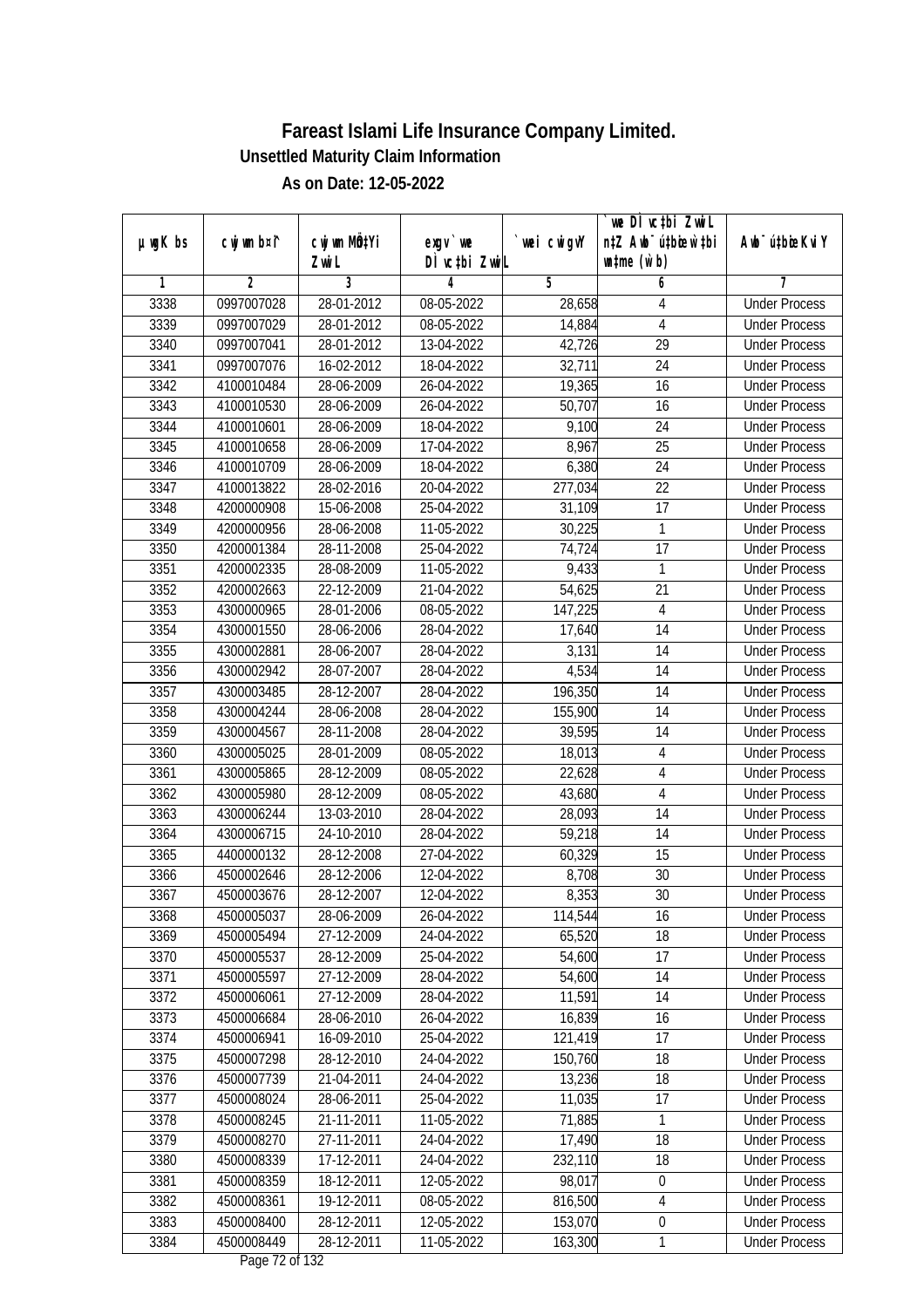| $µ$ ug $K$ bs | cwj wm b¤i^ | cwj wm MQtYi     | exgv `we                       | wei cwigvY | we DI vctbi ZwiL<br>n‡Z Awb <sup>-</sup> ú‡bioen`‡bi | Awb <sup>-</sup> ú‡bioeKviY |
|---------------|-------------|------------------|--------------------------------|------------|------------------------------------------------------|-----------------------------|
|               |             | Zwi L            | DÌ vctbi ZwiL                  |            | $\n  untime\n  (u`b)\n$                              |                             |
| 1             | 2           | 3                | 4                              | 5          | 6                                                    | 7                           |
| 3338          | 0997007028  | 28-01-2012       | 08-05-2022                     | 28,658     | 4                                                    | <b>Under Process</b>        |
| 3339          | 0997007029  | 28-01-2012       | $08 - 05 - 2022$               | 14,884     | 4                                                    | <b>Under Process</b>        |
| 3340          | 0997007041  | 28-01-2012       | 13-04-2022                     | 42,726     | $\overline{29}$                                      | <b>Under Process</b>        |
| 3341          | 0997007076  | 16-02-2012       | 18-04-2022                     | 32,711     | 24                                                   | <b>Under Process</b>        |
| 3342          | 4100010484  | 28-06-2009       | 26-04-2022                     | 19,365     | 16                                                   | <b>Under Process</b>        |
| 3343          | 4100010530  | 28-06-2009       | 26-04-2022                     | 50,707     | 16                                                   | <b>Under Process</b>        |
| 3344          | 4100010601  | 28-06-2009       | 18-04-2022                     | 9,100      | 24                                                   | <b>Under Process</b>        |
| 3345          | 4100010658  | 28-06-2009       | 17-04-2022                     | 8,967      | $\overline{25}$                                      | <b>Under Process</b>        |
| 3346          | 4100010709  | 28-06-2009       | 18-04-2022                     | 6,380      | 24                                                   | <b>Under Process</b>        |
| 3347          | 4100013822  | 28-02-2016       | 20-04-2022                     | 277,034    | 22                                                   | <b>Under Process</b>        |
| 3348          | 4200000908  | 15-06-2008       | 25-04-2022                     | 31,109     | $\overline{17}$                                      | <b>Under Process</b>        |
| 3349          | 4200000956  | 28-06-2008       | 11-05-2022                     | 30,225     | $\mathbf{1}$                                         | <b>Under Process</b>        |
| 3350          | 4200001384  | 28-11-2008       | 25-04-2022                     | 74,724     | $\overline{17}$                                      | <b>Under Process</b>        |
| 3351          | 4200002335  | 28-08-2009       | 11-05-2022                     | 9,433      | 1                                                    | <b>Under Process</b>        |
| 3352          | 4200002663  | 22-12-2009       | 21-04-2022                     | 54,625     | 21                                                   | <b>Under Process</b>        |
| 3353          | 4300000965  | 28-01-2006       | 08-05-2022                     | 147,225    | $\overline{4}$                                       | <b>Under Process</b>        |
| 3354          | 4300001550  | 28-06-2006       | 28-04-2022                     | 17,640     | 14                                                   | <b>Under Process</b>        |
| 3355          | 4300002881  | 28-06-2007       | 28-04-2022                     | 3,131      | 14                                                   | <b>Under Process</b>        |
| 3356          | 4300002942  | 28-07-2007       | 28-04-2022                     | 4,534      | 14                                                   | <b>Under Process</b>        |
| 3357          | 4300003485  | 28-12-2007       | 28-04-2022                     | 196,350    | 14                                                   | <b>Under Process</b>        |
| 3358          | 4300004244  | 28-06-2008       | 28-04-2022                     | 155,900    | 14                                                   | <b>Under Process</b>        |
| 3359          | 4300004567  | 28-11-2008       | 28-04-2022                     | 39,595     | 14                                                   | <b>Under Process</b>        |
| 3360          | 4300005025  | 28-01-2009       | 08-05-2022                     | 18,013     | 4                                                    | <b>Under Process</b>        |
| 3361          | 4300005865  | 28-12-2009       | 08-05-2022                     | 22,628     | $\overline{4}$                                       | <b>Under Process</b>        |
| 3362          | 4300005980  | 28-12-2009       | 08-05-2022                     | 43,680     | $\overline{4}$                                       | <b>Under Process</b>        |
| 3363          | 4300006244  | 13-03-2010       | 28-04-2022                     | 28,093     | 14                                                   | <b>Under Process</b>        |
| 3364          | 4300006715  | 24-10-2010       | 28-04-2022                     | 59,218     | 14                                                   | <b>Under Process</b>        |
| 3365          | 4400000132  | 28-12-2008       | 27-04-2022                     | 60,329     | 15                                                   | <b>Under Process</b>        |
| 3366          | 4500002646  | 28-12-2006       | 12-04-2022                     | 8,708      | 30                                                   | <b>Under Process</b>        |
| 3367          | 4500003676  | 28-12-2007       | 12-04-2022                     | 8,353      | 30                                                   | <b>Under Process</b>        |
| 3368          | 4500005037  | 28-06-2009       | 26-04-2022                     | 114,544    | 16                                                   | <b>Under Process</b>        |
| 3369          | 4500005494  | 27-12-2009       | 24-04-2022                     | 65,520     | 18                                                   | <b>Under Process</b>        |
| 3370          | 4500005537  | 28-12-2009       | 25-04-2022                     | 54,600     | 17                                                   | <b>Under Process</b>        |
| 3371          | 4500005597  | 27-12-2009       | 28-04-2022                     | 54,600     | 14                                                   | <b>Under Process</b>        |
| 3372          | 4500006061  | 27-12-2009       | 28-04-2022                     | 11,591     | 14                                                   | <b>Under Process</b>        |
| 3373          | 4500006684  | 28-06-2010       | 26-04-2022                     | 16,839     | 16                                                   | <b>Under Process</b>        |
| 3374          | 4500006941  | 16-09-2010       | 25-04-2022                     | 121,419    | 17                                                   | <b>Under Process</b>        |
| 3375          | 4500007298  | 28-12-2010       | 24-04-2022                     | 150,760    | 18                                                   | <b>Under Process</b>        |
| 3376          | 4500007739  | 21-04-2011       | 24-04-2022                     | 13,236     | 18                                                   | <b>Under Process</b>        |
| 3377          | 4500008024  | 28-06-2011       | 25-04-2022                     | 11,035     | 17                                                   | <b>Under Process</b>        |
| 3378          | 4500008245  | 21-11-2011       | 11-05-2022                     | 71,885     | $\mathbf{1}$                                         | <b>Under Process</b>        |
| 3379          | 4500008270  | 27-11-2011       | 24-04-2022                     | 17,490     | 18                                                   | <b>Under Process</b>        |
| 3380          | 4500008339  | $17 - 12 - 2011$ | 24-04-2022                     | 232,110    | 18                                                   | <b>Under Process</b>        |
| 3381          | 4500008359  | 18-12-2011       | 12-05-2022                     | 98,017     | $\boldsymbol{0}$                                     | <b>Under Process</b>        |
| 3382          | 4500008361  | 19-12-2011       | 08-05-2022                     | 816,500    | $\overline{4}$                                       | <b>Under Process</b>        |
| 3383          | 4500008400  | 28-12-2011       | 12-05-2022                     | 153,070    | $\boldsymbol{0}$                                     | <b>Under Process</b>        |
| 3384          | 4500008449  | 28-12-2011       | 11-05-2022<br>Dege $72$ of 122 | 163,300    | 1                                                    | <b>Under Process</b>        |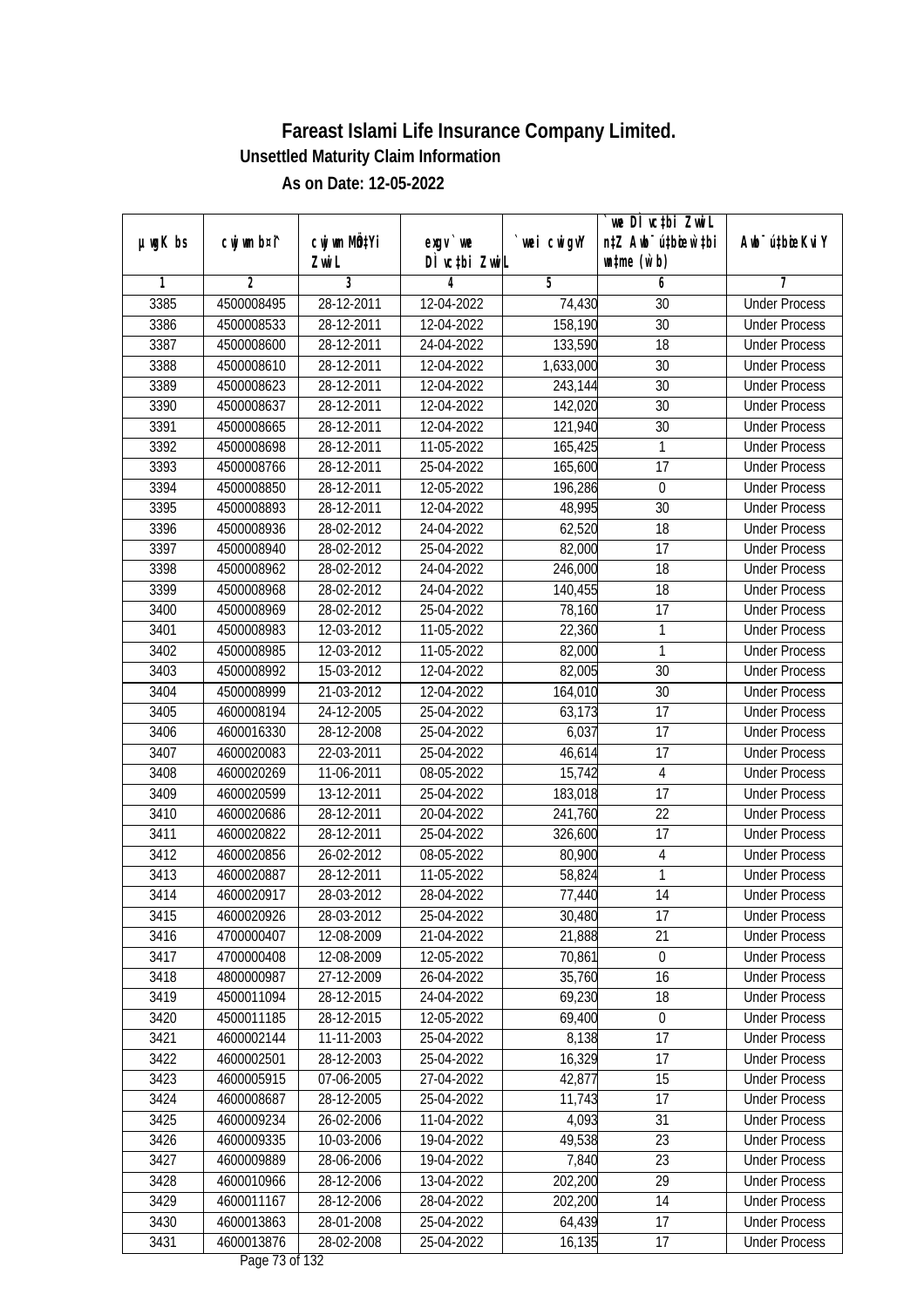| $µ$ ug $K$ bs | cwj wm b¤i^    | cwj wm MQtYi |                           | wei cwigvY | we DI vctbi ZwiL<br>n‡Z Awb <sup>-</sup> ú‡bicen`‡bi | Awb <sup>-</sup> ú‡bioeKviY |
|---------------|----------------|--------------|---------------------------|------------|------------------------------------------------------|-----------------------------|
|               |                | Zwi L        | exgv `we<br>DÌ vctbi ZwiL |            | $\n  untime\n  (u`b)\n$                              |                             |
| 1             | $\overline{2}$ | 3            | 4                         | 5          | 6                                                    | 7                           |
| 3385          | 4500008495     | 28-12-2011   | 12-04-2022                | 74,430     | 30                                                   | <b>Under Process</b>        |
| 3386          | 4500008533     | 28-12-2011   | 12-04-2022                | 158,190    | 30                                                   | <b>Under Process</b>        |
| 3387          | 4500008600     | 28-12-2011   | 24-04-2022                | 133,590    | 18                                                   | <b>Under Process</b>        |
| 3388          | 4500008610     | 28-12-2011   | 12-04-2022                | 1,633,000  | 30                                                   | <b>Under Process</b>        |
| 3389          | 4500008623     | 28-12-2011   | 12-04-2022                | 243,144    | 30                                                   | <b>Under Process</b>        |
| 3390          | 4500008637     | 28-12-2011   | 12-04-2022                | 142,020    | $\overline{30}$                                      | <b>Under Process</b>        |
| 3391          | 4500008665     | 28-12-2011   | 12-04-2022                | 121,940    | 30                                                   | <b>Under Process</b>        |
| 3392          | 4500008698     | 28-12-2011   | 11-05-2022                | 165,425    | 1                                                    | <b>Under Process</b>        |
| 3393          | 4500008766     | 28-12-2011   | 25-04-2022                | 165,600    | 17                                                   | <b>Under Process</b>        |
| 3394          | 4500008850     | 28-12-2011   | 12-05-2022                | 196,286    | $\mathbf 0$                                          | <b>Under Process</b>        |
| 3395          | 4500008893     | 28-12-2011   | 12-04-2022                | 48,995     | $\overline{30}$                                      | <b>Under Process</b>        |
| 3396          | 4500008936     | 28-02-2012   | 24-04-2022                | 62,520     | 18                                                   | <b>Under Process</b>        |
| 3397          | 4500008940     | 28-02-2012   | 25-04-2022                | 82,000     | $\overline{17}$                                      | <b>Under Process</b>        |
| 3398          | 4500008962     | 28-02-2012   | 24-04-2022                | 246,000    | 18                                                   | <b>Under Process</b>        |
| 3399          | 4500008968     | 28-02-2012   | 24-04-2022                | 140,455    | 18                                                   | <b>Under Process</b>        |
| 3400          | 4500008969     | 28-02-2012   | 25-04-2022                | 78,160     | 17                                                   | <b>Under Process</b>        |
| 3401          | 4500008983     | 12-03-2012   | 11-05-2022                | 22,360     | $\mathbf{1}$                                         | <b>Under Process</b>        |
| 3402          | 4500008985     | 12-03-2012   | 11-05-2022                | 82,000     | $\mathbf{1}$                                         | <b>Under Process</b>        |
| 3403          | 4500008992     | 15-03-2012   | 12-04-2022                | 82,005     | 30                                                   | <b>Under Process</b>        |
| 3404          | 4500008999     | 21-03-2012   | 12-04-2022                | 164,010    | 30                                                   | <b>Under Process</b>        |
| 3405          | 4600008194     | 24-12-2005   | 25-04-2022                | 63,173     | 17                                                   | <b>Under Process</b>        |
| 3406          | 4600016330     | 28-12-2008   | 25-04-2022                | 6,037      | 17                                                   | <b>Under Process</b>        |
| 3407          | 4600020083     | 22-03-2011   | 25-04-2022                | 46,614     | 17                                                   | <b>Under Process</b>        |
| 3408          | 4600020269     | 11-06-2011   | 08-05-2022                | 15,742     | $\overline{4}$                                       | <b>Under Process</b>        |
| 3409          | 4600020599     | 13-12-2011   | 25-04-2022                | 183,018    | 17                                                   | <b>Under Process</b>        |
| 3410          | 4600020686     | 28-12-2011   | 20-04-2022                | 241,760    | 22                                                   | <b>Under Process</b>        |
| 3411          | 4600020822     | 28-12-2011   | 25-04-2022                | 326,600    | 17                                                   | <b>Under Process</b>        |
| 3412          | 4600020856     | 26-02-2012   | 08-05-2022                | 80,900     | 4                                                    | <b>Under Process</b>        |
| 3413          | 4600020887     | 28-12-2011   | 11-05-2022                | 58,824     | $\mathbf{1}$                                         | <b>Under Process</b>        |
| 3414          | 4600020917     | 28-03-2012   | 28-04-2022                | 77,440     | 14                                                   | <b>Under Process</b>        |
| 3415          | 4600020926     | 28-03-2012   | 25-04-2022                | 30,480     | 17                                                   | <b>Under Process</b>        |
| 3416          | 4700000407     | 12-08-2009   | 21-04-2022                | 21,888     | 21                                                   | <b>Under Process</b>        |
| 3417          | 4700000408     | 12-08-2009   | 12-05-2022                | 70,861     | $\mathbf 0$                                          | <b>Under Process</b>        |
| 3418          | 4800000987     | 27-12-2009   | 26-04-2022                | 35,760     | 16                                                   | <b>Under Process</b>        |
| 3419          | 4500011094     | 28-12-2015   | 24-04-2022                | 69,230     | 18                                                   | <b>Under Process</b>        |
| 3420          | 4500011185     | 28-12-2015   | 12-05-2022                | 69,400     | 0                                                    | <b>Under Process</b>        |
| 3421          | 4600002144     | 11-11-2003   | 25-04-2022                | 8,138      | 17                                                   | <b>Under Process</b>        |
| 3422          | 4600002501     | 28-12-2003   | 25-04-2022                | 16,329     | 17                                                   | <b>Under Process</b>        |
| 3423          | 4600005915     | 07-06-2005   | 27-04-2022                | 42,877     | 15                                                   | <b>Under Process</b>        |
| 3424          | 4600008687     | 28-12-2005   | 25-04-2022                | 11,743     | 17                                                   | <b>Under Process</b>        |
| 3425          | 4600009234     | 26-02-2006   | 11-04-2022                | 4,093      | 31                                                   | <b>Under Process</b>        |
| 3426          | 4600009335     | 10-03-2006   | 19-04-2022                | 49,538     | 23                                                   | <b>Under Process</b>        |
| 3427          | 4600009889     | 28-06-2006   | 19-04-2022                | 7,840      | $\overline{23}$                                      | <b>Under Process</b>        |
| 3428          | 4600010966     | 28-12-2006   | 13-04-2022                | 202,200    | 29                                                   | <b>Under Process</b>        |
| 3429          | 4600011167     | 28-12-2006   | 28-04-2022                | 202,200    | 14                                                   | <b>Under Process</b>        |
| 3430          | 4600013863     | 28-01-2008   | 25-04-2022                | 64,439     | 17                                                   | <b>Under Process</b>        |
| 3431          | 4600013876     | 28-02-2008   | 25-04-2022                | 16,135     | 17                                                   | <b>Under Process</b>        |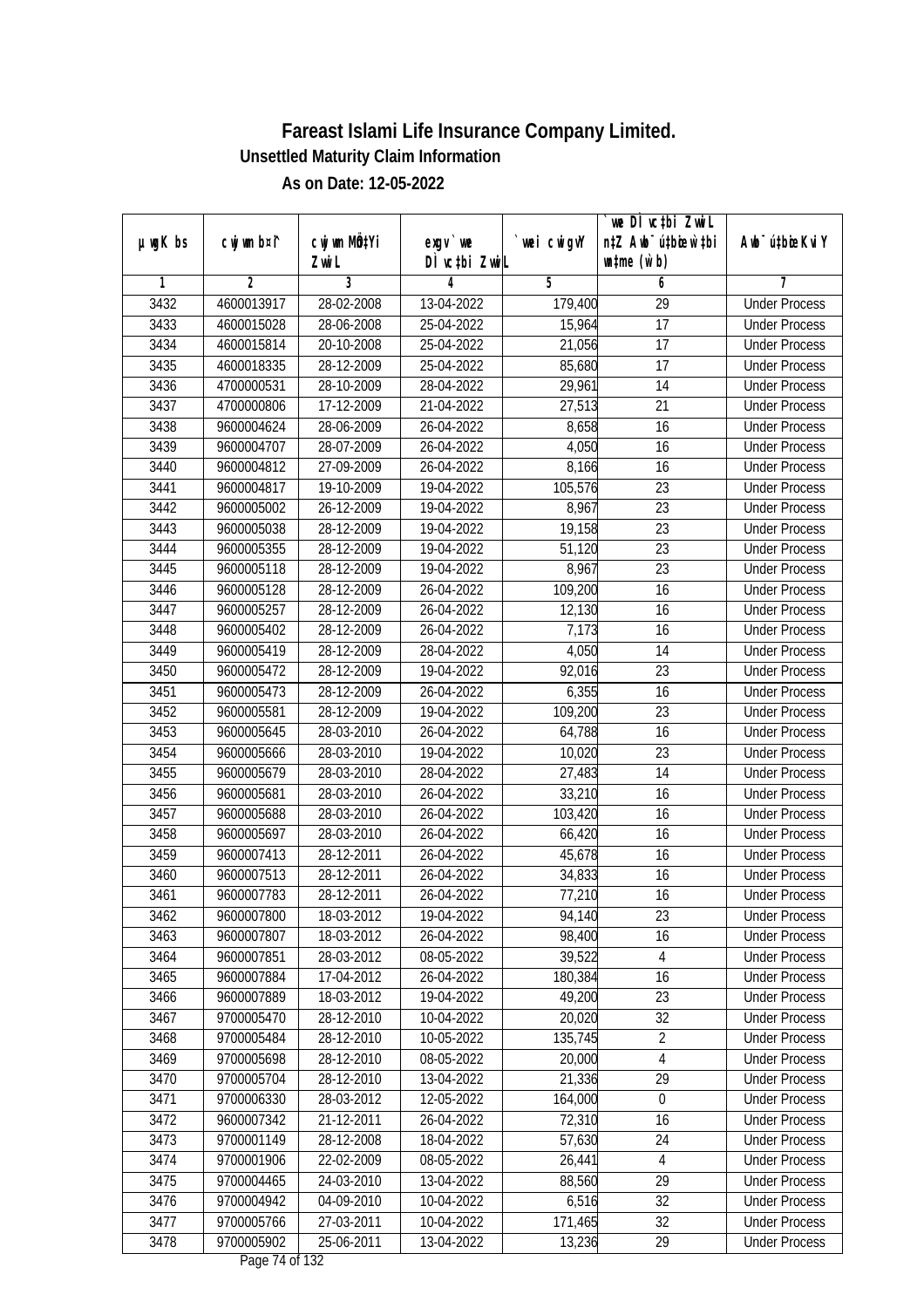| $µ$ ug $K$ bs | cwj wm b¤i^ | cwj wm MQtYi | exgv `we                       | wei cwigvY | `we DÌ vc‡bi ZwiL<br>n‡Z Awb <sup>-</sup> ú‡bioen`‡bi | Awb <sup>-</sup> ú‡bioeKviY |
|---------------|-------------|--------------|--------------------------------|------------|-------------------------------------------------------|-----------------------------|
|               |             | Zwi L        | DÌ vctbi ZwiL                  |            | $\n  untime\n  (u`b)\n$                               |                             |
| 1             | 2           | 3            | 4                              | 5          | 6                                                     | 7                           |
| 3432          | 4600013917  | 28-02-2008   | 13-04-2022                     | 179,400    | $\overline{29}$                                       | <b>Under Process</b>        |
| 3433          | 4600015028  | 28-06-2008   | 25-04-2022                     | 15,964     | 17                                                    | <b>Under Process</b>        |
| 3434          | 4600015814  | 20-10-2008   | 25-04-2022                     | 21,056     | 17                                                    | <b>Under Process</b>        |
| 3435          | 4600018335  | 28-12-2009   | 25-04-2022                     | 85,680     | 17                                                    | <b>Under Process</b>        |
| 3436          | 4700000531  | 28-10-2009   | 28-04-2022                     | 29,961     | 14                                                    | <b>Under Process</b>        |
| 3437          | 4700000806  | 17-12-2009   | 21-04-2022                     | 27,513     | $\overline{21}$                                       | <b>Under Process</b>        |
| 3438          | 9600004624  | 28-06-2009   | 26-04-2022                     | 8,658      | 16                                                    | <b>Under Process</b>        |
| 3439          | 9600004707  | 28-07-2009   | 26-04-2022                     | 4,050      | 16                                                    | <b>Under Process</b>        |
| 3440          | 9600004812  | 27-09-2009   | 26-04-2022                     | 8,166      | 16                                                    | <b>Under Process</b>        |
| 3441          | 9600004817  | 19-10-2009   | 19-04-2022                     | 105,576    | 23                                                    | <b>Under Process</b>        |
| 3442          | 9600005002  | 26-12-2009   | 19-04-2022                     | 8,967      | $\overline{23}$                                       | <b>Under Process</b>        |
| 3443          | 9600005038  | 28-12-2009   | 19-04-2022                     | 19,158     | 23                                                    | <b>Under Process</b>        |
| 3444          | 9600005355  | 28-12-2009   | 19-04-2022                     | 51,120     | $\overline{23}$                                       | <b>Under Process</b>        |
| 3445          | 9600005118  | 28-12-2009   | 19-04-2022                     | 8,967      | 23                                                    | <b>Under Process</b>        |
| 3446          | 9600005128  | 28-12-2009   | 26-04-2022                     | 109,200    | 16                                                    | <b>Under Process</b>        |
| 3447          | 9600005257  | 28-12-2009   | 26-04-2022                     | 12,130     | 16                                                    | <b>Under Process</b>        |
| 3448          | 9600005402  | 28-12-2009   | 26-04-2022                     | 7,173      | 16                                                    | <b>Under Process</b>        |
| 3449          | 9600005419  | 28-12-2009   | 28-04-2022                     | 4,050      | 14                                                    | <b>Under Process</b>        |
| 3450          | 9600005472  | 28-12-2009   | 19-04-2022                     | 92,016     | 23                                                    | <b>Under Process</b>        |
| 3451          | 9600005473  | 28-12-2009   | 26-04-2022                     | 6,355      | 16                                                    | <b>Under Process</b>        |
| 3452          | 9600005581  | 28-12-2009   | 19-04-2022                     | 109,200    | 23                                                    | <b>Under Process</b>        |
| 3453          | 9600005645  | 28-03-2010   | 26-04-2022                     | 64,788     | 16                                                    | <b>Under Process</b>        |
| 3454          | 9600005666  | 28-03-2010   | 19-04-2022                     | 10,020     | 23                                                    | <b>Under Process</b>        |
| 3455          | 9600005679  | 28-03-2010   | 28-04-2022                     | 27,483     | 14                                                    | <b>Under Process</b>        |
| 3456          | 9600005681  | 28-03-2010   | 26-04-2022                     | 33,210     | 16                                                    | <b>Under Process</b>        |
| 3457          | 9600005688  | 28-03-2010   | 26-04-2022                     | 103,420    | 16                                                    | <b>Under Process</b>        |
| 3458          | 9600005697  | 28-03-2010   | 26-04-2022                     | 66,420     | 16                                                    | <b>Under Process</b>        |
| 3459          | 9600007413  | 28-12-2011   | 26-04-2022                     | 45,678     | 16                                                    | <b>Under Process</b>        |
| 3460          | 9600007513  | 28-12-2011   | 26-04-2022                     | 34,833     | 16                                                    | <b>Under Process</b>        |
| 3461          | 9600007783  | 28-12-2011   | 26-04-2022                     | 77,210     | 16                                                    | <b>Under Process</b>        |
| 3462          | 9600007800  | 18-03-2012   | 19-04-2022                     | 94,140     | 23                                                    | <b>Under Process</b>        |
| 3463          | 9600007807  | 18-03-2012   | 26-04-2022                     | 98,400     | 16                                                    | <b>Under Process</b>        |
| 3464          | 9600007851  | 28-03-2012   | 08-05-2022                     | 39,522     | 4                                                     | <b>Under Process</b>        |
| 3465          | 9600007884  | 17-04-2012   | 26-04-2022                     | 180,384    | 16                                                    | <b>Under Process</b>        |
| 3466          | 9600007889  | 18-03-2012   | 19-04-2022                     | 49,200     | 23                                                    | <b>Under Process</b>        |
| 3467          | 9700005470  | 28-12-2010   | 10-04-2022                     | 20,020     | 32                                                    | <b>Under Process</b>        |
| 3468          | 9700005484  | 28-12-2010   | 10-05-2022                     | 135,745    | $\overline{2}$                                        | <b>Under Process</b>        |
| 3469          | 9700005698  | 28-12-2010   | 08-05-2022                     | 20,000     | $\overline{4}$                                        | <b>Under Process</b>        |
| 3470          | 9700005704  | 28-12-2010   | 13-04-2022                     | 21,336     | 29                                                    | <b>Under Process</b>        |
| 3471          | 9700006330  | 28-03-2012   | 12-05-2022                     | 164,000    | $\boldsymbol{0}$                                      | <b>Under Process</b>        |
| 3472          | 9600007342  | 21-12-2011   | 26-04-2022                     | 72,310     | 16                                                    | <b>Under Process</b>        |
| 3473          | 9700001149  | 28-12-2008   | 18-04-2022                     | 57,630     | 24                                                    | <b>Under Process</b>        |
| 3474          | 9700001906  | 22-02-2009   | 08-05-2022                     | 26,441     | $\overline{4}$                                        | <b>Under Process</b>        |
| 3475          | 9700004465  | 24-03-2010   | 13-04-2022                     | 88,560     | 29                                                    | <b>Under Process</b>        |
| 3476          | 9700004942  | 04-09-2010   | 10-04-2022                     | 6,516      | 32                                                    | <b>Under Process</b>        |
| 3477          | 9700005766  | 27-03-2011   | 10-04-2022                     | 171,465    | 32                                                    | <b>Under Process</b>        |
| 3478          | 9700005902  | 25-06-2011   | 13-04-2022<br>Dege $74$ of 122 | 13,236     | 29                                                    | <b>Under Process</b>        |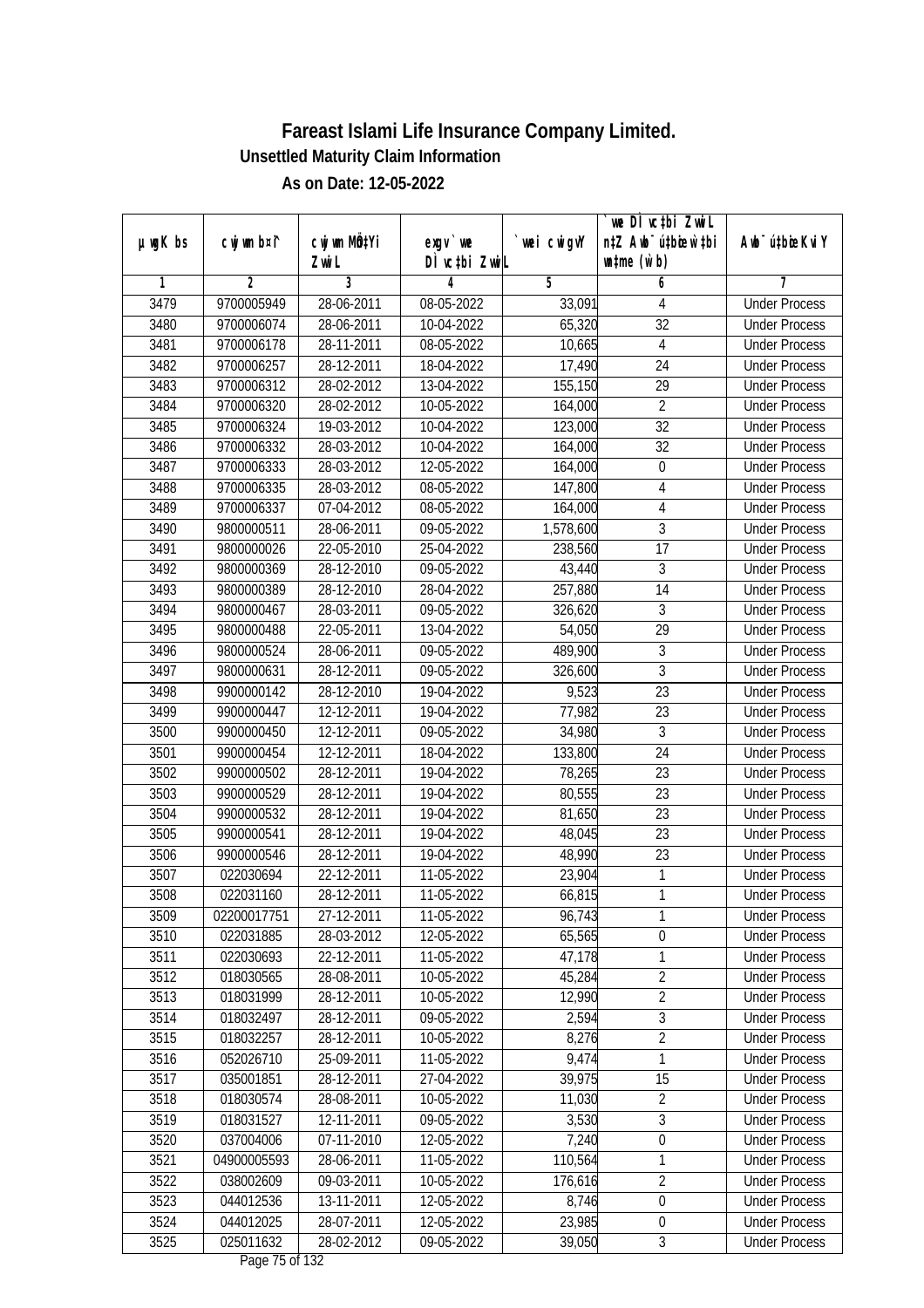| DÌ vctbi ZwiL<br>$\n  untime\n  (u`b)\n$<br>Zwi L<br>3<br>2<br>5<br>6<br>1<br>4<br>7<br>3479<br>9700005949<br>28-06-2011<br>08-05-2022<br><b>Under Process</b><br>33,091<br>4<br>$\overline{32}$<br>3480<br>28-06-2011<br>$10-04-2022$<br>65,320<br>9700006074<br><b>Under Process</b><br>3481<br>9700006178<br>28-11-2011<br>08-05-2022<br>10,665<br>$\overline{4}$<br><b>Under Process</b><br>3482<br>$\overline{24}$<br>9700006257<br>28-12-2011<br>18-04-2022<br>17,490<br><b>Under Process</b><br>$\overline{29}$<br>3483<br>9700006312<br>28-02-2012<br>13-04-2022<br>155,150<br><b>Under Process</b><br>$\overline{2}$<br>3484<br>9700006320<br>28-02-2012<br>10-05-2022<br>164,000<br><b>Under Process</b><br>$\overline{32}$<br>3485<br>9700006324<br>19-03-2012<br>10-04-2022<br>123,000<br><b>Under Process</b><br>3486<br>$\overline{32}$<br>9700006332<br>28-03-2012<br>10-04-2022<br>164,000<br><b>Under Process</b><br>3487<br>9700006333<br>28-03-2012<br>12-05-2022<br>$\boldsymbol{0}$<br>164,000<br><b>Under Process</b><br>3488<br>9700006335<br>28-03-2012<br>08-05-2022<br>147,800<br>4<br><b>Under Process</b><br>3489<br>9700006337<br>07-04-2012<br>$08-05-2022$<br>164,000<br>4<br><b>Under Process</b><br>1,578,600<br>3<br>3490<br>9800000511<br>28-06-2011<br>09-05-2022<br><b>Under Process</b><br>$\overline{17}$<br>3491<br>9800000026<br>22-05-2010<br>238,560<br>25-04-2022<br><b>Under Process</b><br>$\overline{3}$<br>3492<br>9800000369<br>28-12-2010<br>09-05-2022<br>43,440<br><b>Under Process</b><br>3493<br>257,880<br>14<br>9800000389<br>28-12-2010<br>28-04-2022<br><b>Under Process</b><br>3<br>3494<br>9800000467<br>28-03-2011<br>09-05-2022<br><b>Under Process</b><br>326,620<br>3495<br>22-05-2011<br>13-04-2022<br>29<br>9800000488<br>54,050<br><b>Under Process</b><br>3<br>3496<br>9800000524<br>28-06-2011<br>09-05-2022<br>489,900<br><b>Under Process</b><br>$\overline{3}$<br>3497<br>9800000631<br>28-12-2011<br>09-05-2022<br><b>Under Process</b><br>326,600<br>23<br>3498<br>9,523<br>9900000142<br>28-12-2010<br>19-04-2022<br><b>Under Process</b><br>23<br>3499<br>9900000447<br>12-12-2011<br>19-04-2022<br>77,982<br><b>Under Process</b><br>34,980<br>3<br>3500<br>9900000450<br>12-12-2011<br>09-05-2022<br><b>Under Process</b><br>133,800<br>24<br>3501<br>9900000454<br>12-12-2011<br>18-04-2022<br><b>Under Process</b><br>3502<br>23<br>9900000502<br>28-12-2011<br>19-04-2022<br>78,265<br><b>Under Process</b><br>3503<br>80,555<br>23<br>9900000529<br>28-12-2011<br>19-04-2022<br><b>Under Process</b><br>3504<br>9900000532<br>28-12-2011<br>23<br>19-04-2022<br>81,650<br><b>Under Process</b><br>23<br>3505<br>9900000541<br>28-12-2011<br>19-04-2022<br>48,045<br><b>Under Process</b><br>23<br>3506<br>9900000546<br>28-12-2011<br>19-04-2022<br>48,990<br><b>Under Process</b><br>1<br>3507<br>022030694<br>22-12-2011<br>11-05-2022<br>23,904<br><b>Under Process</b><br>3508<br>022031160<br>28-12-2011<br>11-05-2022<br>66,815<br>1<br><b>Under Process</b><br>3509<br>02200017751<br>27-12-2011<br>11-05-2022<br>96,743<br><b>Under Process</b><br>1<br>$\boldsymbol{0}$<br>3510<br>022031885<br>28-03-2012<br>12-05-2022<br>65,565<br><b>Under Process</b><br>3511<br>22-12-2011<br>1<br>022030693<br>11-05-2022<br>47,178<br><b>Under Process</b><br>$\overline{2}$<br>45,284<br>3512<br>018030565<br>28-08-2011<br>10-05-2022<br><b>Under Process</b><br>$\overline{2}$<br>12,990<br>018031999<br>3513<br>28-12-2011<br>10-05-2022<br><b>Under Process</b><br>3<br>2,594<br>3514<br>018032497<br>28-12-2011<br>09-05-2022<br><b>Under Process</b><br>$\overline{2}$<br>8,276<br>3515<br>018032257<br>28-12-2011<br>10-05-2022<br><b>Under Process</b><br>9,474<br>1<br>3516<br>052026710<br>25-09-2011<br>11-05-2022<br><b>Under Process</b><br>39,975<br>15<br>3517<br>035001851<br>28-12-2011<br>27-04-2022<br><b>Under Process</b><br>$\overline{2}$<br>11,030<br>3518<br>018030574<br>28-08-2011<br>10-05-2022<br><b>Under Process</b><br>$\overline{3}$<br>3,530<br>3519<br>018031527<br>12-11-2011<br>09-05-2022<br><b>Under Process</b><br>037004006<br>07-11-2010<br>$\boldsymbol{0}$<br>3520<br>12-05-2022<br>7,240<br><b>Under Process</b><br>1<br>3521<br>04900005593<br>28-06-2011<br>$11-05-2022$<br>110,564<br><b>Under Process</b><br>$\overline{2}$<br>3522<br>176,616<br>038002609<br>09-03-2011<br>10-05-2022<br><b>Under Process</b><br>$\overline{0}$<br>3523<br>044012536<br>13-11-2011<br>12-05-2022<br>8,746<br><b>Under Process</b><br>23,985<br>3524<br>044012025<br>28-07-2011<br>12-05-2022<br>$\boldsymbol{0}$<br><b>Under Process</b> |               |             |                           |           |             | we DI vctbi ZwiL                 |                             |
|-----------------------------------------------------------------------------------------------------------------------------------------------------------------------------------------------------------------------------------------------------------------------------------------------------------------------------------------------------------------------------------------------------------------------------------------------------------------------------------------------------------------------------------------------------------------------------------------------------------------------------------------------------------------------------------------------------------------------------------------------------------------------------------------------------------------------------------------------------------------------------------------------------------------------------------------------------------------------------------------------------------------------------------------------------------------------------------------------------------------------------------------------------------------------------------------------------------------------------------------------------------------------------------------------------------------------------------------------------------------------------------------------------------------------------------------------------------------------------------------------------------------------------------------------------------------------------------------------------------------------------------------------------------------------------------------------------------------------------------------------------------------------------------------------------------------------------------------------------------------------------------------------------------------------------------------------------------------------------------------------------------------------------------------------------------------------------------------------------------------------------------------------------------------------------------------------------------------------------------------------------------------------------------------------------------------------------------------------------------------------------------------------------------------------------------------------------------------------------------------------------------------------------------------------------------------------------------------------------------------------------------------------------------------------------------------------------------------------------------------------------------------------------------------------------------------------------------------------------------------------------------------------------------------------------------------------------------------------------------------------------------------------------------------------------------------------------------------------------------------------------------------------------------------------------------------------------------------------------------------------------------------------------------------------------------------------------------------------------------------------------------------------------------------------------------------------------------------------------------------------------------------------------------------------------------------------------------------------------------------------------------------------------------------------------------------------------------------------------------------------------------------------------------------------------------------------------------------------------------------------------------------------------------------------------------------------------------------------------------------------------------------------------------------------------------------------------------------------------------------------------------------------------------------------------------------------------------------------------------------------------------------------------------------------------------------------------------------------------------------------------------------------------------------------------------------------------------------------------------------------------------------------------------------------------------------------------------------------------------------------------------------------------------------|---------------|-------------|---------------------------|-----------|-------------|----------------------------------|-----------------------------|
|                                                                                                                                                                                                                                                                                                                                                                                                                                                                                                                                                                                                                                                                                                                                                                                                                                                                                                                                                                                                                                                                                                                                                                                                                                                                                                                                                                                                                                                                                                                                                                                                                                                                                                                                                                                                                                                                                                                                                                                                                                                                                                                                                                                                                                                                                                                                                                                                                                                                                                                                                                                                                                                                                                                                                                                                                                                                                                                                                                                                                                                                                                                                                                                                                                                                                                                                                                                                                                                                                                                                                                                                                                                                                                                                                                                                                                                                                                                                                                                                                                                                                                                                                                                                                                                                                                                                                                                                                                                                                                                                                                                                                                                                 | $µ$ ug $K$ bs | cwj wm b¤i^ | cwj wm MQ <sup>1</sup> Yi | $exgV$ we | `wei cwigvY | n‡Z Awb <sup>-</sup> ú‡bioen`‡bi | Awb <sup>-</sup> ú‡bioeKviY |
|                                                                                                                                                                                                                                                                                                                                                                                                                                                                                                                                                                                                                                                                                                                                                                                                                                                                                                                                                                                                                                                                                                                                                                                                                                                                                                                                                                                                                                                                                                                                                                                                                                                                                                                                                                                                                                                                                                                                                                                                                                                                                                                                                                                                                                                                                                                                                                                                                                                                                                                                                                                                                                                                                                                                                                                                                                                                                                                                                                                                                                                                                                                                                                                                                                                                                                                                                                                                                                                                                                                                                                                                                                                                                                                                                                                                                                                                                                                                                                                                                                                                                                                                                                                                                                                                                                                                                                                                                                                                                                                                                                                                                                                                 |               |             |                           |           |             |                                  |                             |
|                                                                                                                                                                                                                                                                                                                                                                                                                                                                                                                                                                                                                                                                                                                                                                                                                                                                                                                                                                                                                                                                                                                                                                                                                                                                                                                                                                                                                                                                                                                                                                                                                                                                                                                                                                                                                                                                                                                                                                                                                                                                                                                                                                                                                                                                                                                                                                                                                                                                                                                                                                                                                                                                                                                                                                                                                                                                                                                                                                                                                                                                                                                                                                                                                                                                                                                                                                                                                                                                                                                                                                                                                                                                                                                                                                                                                                                                                                                                                                                                                                                                                                                                                                                                                                                                                                                                                                                                                                                                                                                                                                                                                                                                 |               |             |                           |           |             |                                  |                             |
|                                                                                                                                                                                                                                                                                                                                                                                                                                                                                                                                                                                                                                                                                                                                                                                                                                                                                                                                                                                                                                                                                                                                                                                                                                                                                                                                                                                                                                                                                                                                                                                                                                                                                                                                                                                                                                                                                                                                                                                                                                                                                                                                                                                                                                                                                                                                                                                                                                                                                                                                                                                                                                                                                                                                                                                                                                                                                                                                                                                                                                                                                                                                                                                                                                                                                                                                                                                                                                                                                                                                                                                                                                                                                                                                                                                                                                                                                                                                                                                                                                                                                                                                                                                                                                                                                                                                                                                                                                                                                                                                                                                                                                                                 |               |             |                           |           |             |                                  |                             |
|                                                                                                                                                                                                                                                                                                                                                                                                                                                                                                                                                                                                                                                                                                                                                                                                                                                                                                                                                                                                                                                                                                                                                                                                                                                                                                                                                                                                                                                                                                                                                                                                                                                                                                                                                                                                                                                                                                                                                                                                                                                                                                                                                                                                                                                                                                                                                                                                                                                                                                                                                                                                                                                                                                                                                                                                                                                                                                                                                                                                                                                                                                                                                                                                                                                                                                                                                                                                                                                                                                                                                                                                                                                                                                                                                                                                                                                                                                                                                                                                                                                                                                                                                                                                                                                                                                                                                                                                                                                                                                                                                                                                                                                                 |               |             |                           |           |             |                                  |                             |
|                                                                                                                                                                                                                                                                                                                                                                                                                                                                                                                                                                                                                                                                                                                                                                                                                                                                                                                                                                                                                                                                                                                                                                                                                                                                                                                                                                                                                                                                                                                                                                                                                                                                                                                                                                                                                                                                                                                                                                                                                                                                                                                                                                                                                                                                                                                                                                                                                                                                                                                                                                                                                                                                                                                                                                                                                                                                                                                                                                                                                                                                                                                                                                                                                                                                                                                                                                                                                                                                                                                                                                                                                                                                                                                                                                                                                                                                                                                                                                                                                                                                                                                                                                                                                                                                                                                                                                                                                                                                                                                                                                                                                                                                 |               |             |                           |           |             |                                  |                             |
|                                                                                                                                                                                                                                                                                                                                                                                                                                                                                                                                                                                                                                                                                                                                                                                                                                                                                                                                                                                                                                                                                                                                                                                                                                                                                                                                                                                                                                                                                                                                                                                                                                                                                                                                                                                                                                                                                                                                                                                                                                                                                                                                                                                                                                                                                                                                                                                                                                                                                                                                                                                                                                                                                                                                                                                                                                                                                                                                                                                                                                                                                                                                                                                                                                                                                                                                                                                                                                                                                                                                                                                                                                                                                                                                                                                                                                                                                                                                                                                                                                                                                                                                                                                                                                                                                                                                                                                                                                                                                                                                                                                                                                                                 |               |             |                           |           |             |                                  |                             |
|                                                                                                                                                                                                                                                                                                                                                                                                                                                                                                                                                                                                                                                                                                                                                                                                                                                                                                                                                                                                                                                                                                                                                                                                                                                                                                                                                                                                                                                                                                                                                                                                                                                                                                                                                                                                                                                                                                                                                                                                                                                                                                                                                                                                                                                                                                                                                                                                                                                                                                                                                                                                                                                                                                                                                                                                                                                                                                                                                                                                                                                                                                                                                                                                                                                                                                                                                                                                                                                                                                                                                                                                                                                                                                                                                                                                                                                                                                                                                                                                                                                                                                                                                                                                                                                                                                                                                                                                                                                                                                                                                                                                                                                                 |               |             |                           |           |             |                                  |                             |
|                                                                                                                                                                                                                                                                                                                                                                                                                                                                                                                                                                                                                                                                                                                                                                                                                                                                                                                                                                                                                                                                                                                                                                                                                                                                                                                                                                                                                                                                                                                                                                                                                                                                                                                                                                                                                                                                                                                                                                                                                                                                                                                                                                                                                                                                                                                                                                                                                                                                                                                                                                                                                                                                                                                                                                                                                                                                                                                                                                                                                                                                                                                                                                                                                                                                                                                                                                                                                                                                                                                                                                                                                                                                                                                                                                                                                                                                                                                                                                                                                                                                                                                                                                                                                                                                                                                                                                                                                                                                                                                                                                                                                                                                 |               |             |                           |           |             |                                  |                             |
|                                                                                                                                                                                                                                                                                                                                                                                                                                                                                                                                                                                                                                                                                                                                                                                                                                                                                                                                                                                                                                                                                                                                                                                                                                                                                                                                                                                                                                                                                                                                                                                                                                                                                                                                                                                                                                                                                                                                                                                                                                                                                                                                                                                                                                                                                                                                                                                                                                                                                                                                                                                                                                                                                                                                                                                                                                                                                                                                                                                                                                                                                                                                                                                                                                                                                                                                                                                                                                                                                                                                                                                                                                                                                                                                                                                                                                                                                                                                                                                                                                                                                                                                                                                                                                                                                                                                                                                                                                                                                                                                                                                                                                                                 |               |             |                           |           |             |                                  |                             |
|                                                                                                                                                                                                                                                                                                                                                                                                                                                                                                                                                                                                                                                                                                                                                                                                                                                                                                                                                                                                                                                                                                                                                                                                                                                                                                                                                                                                                                                                                                                                                                                                                                                                                                                                                                                                                                                                                                                                                                                                                                                                                                                                                                                                                                                                                                                                                                                                                                                                                                                                                                                                                                                                                                                                                                                                                                                                                                                                                                                                                                                                                                                                                                                                                                                                                                                                                                                                                                                                                                                                                                                                                                                                                                                                                                                                                                                                                                                                                                                                                                                                                                                                                                                                                                                                                                                                                                                                                                                                                                                                                                                                                                                                 |               |             |                           |           |             |                                  |                             |
|                                                                                                                                                                                                                                                                                                                                                                                                                                                                                                                                                                                                                                                                                                                                                                                                                                                                                                                                                                                                                                                                                                                                                                                                                                                                                                                                                                                                                                                                                                                                                                                                                                                                                                                                                                                                                                                                                                                                                                                                                                                                                                                                                                                                                                                                                                                                                                                                                                                                                                                                                                                                                                                                                                                                                                                                                                                                                                                                                                                                                                                                                                                                                                                                                                                                                                                                                                                                                                                                                                                                                                                                                                                                                                                                                                                                                                                                                                                                                                                                                                                                                                                                                                                                                                                                                                                                                                                                                                                                                                                                                                                                                                                                 |               |             |                           |           |             |                                  |                             |
|                                                                                                                                                                                                                                                                                                                                                                                                                                                                                                                                                                                                                                                                                                                                                                                                                                                                                                                                                                                                                                                                                                                                                                                                                                                                                                                                                                                                                                                                                                                                                                                                                                                                                                                                                                                                                                                                                                                                                                                                                                                                                                                                                                                                                                                                                                                                                                                                                                                                                                                                                                                                                                                                                                                                                                                                                                                                                                                                                                                                                                                                                                                                                                                                                                                                                                                                                                                                                                                                                                                                                                                                                                                                                                                                                                                                                                                                                                                                                                                                                                                                                                                                                                                                                                                                                                                                                                                                                                                                                                                                                                                                                                                                 |               |             |                           |           |             |                                  |                             |
|                                                                                                                                                                                                                                                                                                                                                                                                                                                                                                                                                                                                                                                                                                                                                                                                                                                                                                                                                                                                                                                                                                                                                                                                                                                                                                                                                                                                                                                                                                                                                                                                                                                                                                                                                                                                                                                                                                                                                                                                                                                                                                                                                                                                                                                                                                                                                                                                                                                                                                                                                                                                                                                                                                                                                                                                                                                                                                                                                                                                                                                                                                                                                                                                                                                                                                                                                                                                                                                                                                                                                                                                                                                                                                                                                                                                                                                                                                                                                                                                                                                                                                                                                                                                                                                                                                                                                                                                                                                                                                                                                                                                                                                                 |               |             |                           |           |             |                                  |                             |
|                                                                                                                                                                                                                                                                                                                                                                                                                                                                                                                                                                                                                                                                                                                                                                                                                                                                                                                                                                                                                                                                                                                                                                                                                                                                                                                                                                                                                                                                                                                                                                                                                                                                                                                                                                                                                                                                                                                                                                                                                                                                                                                                                                                                                                                                                                                                                                                                                                                                                                                                                                                                                                                                                                                                                                                                                                                                                                                                                                                                                                                                                                                                                                                                                                                                                                                                                                                                                                                                                                                                                                                                                                                                                                                                                                                                                                                                                                                                                                                                                                                                                                                                                                                                                                                                                                                                                                                                                                                                                                                                                                                                                                                                 |               |             |                           |           |             |                                  |                             |
|                                                                                                                                                                                                                                                                                                                                                                                                                                                                                                                                                                                                                                                                                                                                                                                                                                                                                                                                                                                                                                                                                                                                                                                                                                                                                                                                                                                                                                                                                                                                                                                                                                                                                                                                                                                                                                                                                                                                                                                                                                                                                                                                                                                                                                                                                                                                                                                                                                                                                                                                                                                                                                                                                                                                                                                                                                                                                                                                                                                                                                                                                                                                                                                                                                                                                                                                                                                                                                                                                                                                                                                                                                                                                                                                                                                                                                                                                                                                                                                                                                                                                                                                                                                                                                                                                                                                                                                                                                                                                                                                                                                                                                                                 |               |             |                           |           |             |                                  |                             |
|                                                                                                                                                                                                                                                                                                                                                                                                                                                                                                                                                                                                                                                                                                                                                                                                                                                                                                                                                                                                                                                                                                                                                                                                                                                                                                                                                                                                                                                                                                                                                                                                                                                                                                                                                                                                                                                                                                                                                                                                                                                                                                                                                                                                                                                                                                                                                                                                                                                                                                                                                                                                                                                                                                                                                                                                                                                                                                                                                                                                                                                                                                                                                                                                                                                                                                                                                                                                                                                                                                                                                                                                                                                                                                                                                                                                                                                                                                                                                                                                                                                                                                                                                                                                                                                                                                                                                                                                                                                                                                                                                                                                                                                                 |               |             |                           |           |             |                                  |                             |
|                                                                                                                                                                                                                                                                                                                                                                                                                                                                                                                                                                                                                                                                                                                                                                                                                                                                                                                                                                                                                                                                                                                                                                                                                                                                                                                                                                                                                                                                                                                                                                                                                                                                                                                                                                                                                                                                                                                                                                                                                                                                                                                                                                                                                                                                                                                                                                                                                                                                                                                                                                                                                                                                                                                                                                                                                                                                                                                                                                                                                                                                                                                                                                                                                                                                                                                                                                                                                                                                                                                                                                                                                                                                                                                                                                                                                                                                                                                                                                                                                                                                                                                                                                                                                                                                                                                                                                                                                                                                                                                                                                                                                                                                 |               |             |                           |           |             |                                  |                             |
|                                                                                                                                                                                                                                                                                                                                                                                                                                                                                                                                                                                                                                                                                                                                                                                                                                                                                                                                                                                                                                                                                                                                                                                                                                                                                                                                                                                                                                                                                                                                                                                                                                                                                                                                                                                                                                                                                                                                                                                                                                                                                                                                                                                                                                                                                                                                                                                                                                                                                                                                                                                                                                                                                                                                                                                                                                                                                                                                                                                                                                                                                                                                                                                                                                                                                                                                                                                                                                                                                                                                                                                                                                                                                                                                                                                                                                                                                                                                                                                                                                                                                                                                                                                                                                                                                                                                                                                                                                                                                                                                                                                                                                                                 |               |             |                           |           |             |                                  |                             |
|                                                                                                                                                                                                                                                                                                                                                                                                                                                                                                                                                                                                                                                                                                                                                                                                                                                                                                                                                                                                                                                                                                                                                                                                                                                                                                                                                                                                                                                                                                                                                                                                                                                                                                                                                                                                                                                                                                                                                                                                                                                                                                                                                                                                                                                                                                                                                                                                                                                                                                                                                                                                                                                                                                                                                                                                                                                                                                                                                                                                                                                                                                                                                                                                                                                                                                                                                                                                                                                                                                                                                                                                                                                                                                                                                                                                                                                                                                                                                                                                                                                                                                                                                                                                                                                                                                                                                                                                                                                                                                                                                                                                                                                                 |               |             |                           |           |             |                                  |                             |
|                                                                                                                                                                                                                                                                                                                                                                                                                                                                                                                                                                                                                                                                                                                                                                                                                                                                                                                                                                                                                                                                                                                                                                                                                                                                                                                                                                                                                                                                                                                                                                                                                                                                                                                                                                                                                                                                                                                                                                                                                                                                                                                                                                                                                                                                                                                                                                                                                                                                                                                                                                                                                                                                                                                                                                                                                                                                                                                                                                                                                                                                                                                                                                                                                                                                                                                                                                                                                                                                                                                                                                                                                                                                                                                                                                                                                                                                                                                                                                                                                                                                                                                                                                                                                                                                                                                                                                                                                                                                                                                                                                                                                                                                 |               |             |                           |           |             |                                  |                             |
|                                                                                                                                                                                                                                                                                                                                                                                                                                                                                                                                                                                                                                                                                                                                                                                                                                                                                                                                                                                                                                                                                                                                                                                                                                                                                                                                                                                                                                                                                                                                                                                                                                                                                                                                                                                                                                                                                                                                                                                                                                                                                                                                                                                                                                                                                                                                                                                                                                                                                                                                                                                                                                                                                                                                                                                                                                                                                                                                                                                                                                                                                                                                                                                                                                                                                                                                                                                                                                                                                                                                                                                                                                                                                                                                                                                                                                                                                                                                                                                                                                                                                                                                                                                                                                                                                                                                                                                                                                                                                                                                                                                                                                                                 |               |             |                           |           |             |                                  |                             |
|                                                                                                                                                                                                                                                                                                                                                                                                                                                                                                                                                                                                                                                                                                                                                                                                                                                                                                                                                                                                                                                                                                                                                                                                                                                                                                                                                                                                                                                                                                                                                                                                                                                                                                                                                                                                                                                                                                                                                                                                                                                                                                                                                                                                                                                                                                                                                                                                                                                                                                                                                                                                                                                                                                                                                                                                                                                                                                                                                                                                                                                                                                                                                                                                                                                                                                                                                                                                                                                                                                                                                                                                                                                                                                                                                                                                                                                                                                                                                                                                                                                                                                                                                                                                                                                                                                                                                                                                                                                                                                                                                                                                                                                                 |               |             |                           |           |             |                                  |                             |
|                                                                                                                                                                                                                                                                                                                                                                                                                                                                                                                                                                                                                                                                                                                                                                                                                                                                                                                                                                                                                                                                                                                                                                                                                                                                                                                                                                                                                                                                                                                                                                                                                                                                                                                                                                                                                                                                                                                                                                                                                                                                                                                                                                                                                                                                                                                                                                                                                                                                                                                                                                                                                                                                                                                                                                                                                                                                                                                                                                                                                                                                                                                                                                                                                                                                                                                                                                                                                                                                                                                                                                                                                                                                                                                                                                                                                                                                                                                                                                                                                                                                                                                                                                                                                                                                                                                                                                                                                                                                                                                                                                                                                                                                 |               |             |                           |           |             |                                  |                             |
|                                                                                                                                                                                                                                                                                                                                                                                                                                                                                                                                                                                                                                                                                                                                                                                                                                                                                                                                                                                                                                                                                                                                                                                                                                                                                                                                                                                                                                                                                                                                                                                                                                                                                                                                                                                                                                                                                                                                                                                                                                                                                                                                                                                                                                                                                                                                                                                                                                                                                                                                                                                                                                                                                                                                                                                                                                                                                                                                                                                                                                                                                                                                                                                                                                                                                                                                                                                                                                                                                                                                                                                                                                                                                                                                                                                                                                                                                                                                                                                                                                                                                                                                                                                                                                                                                                                                                                                                                                                                                                                                                                                                                                                                 |               |             |                           |           |             |                                  |                             |
|                                                                                                                                                                                                                                                                                                                                                                                                                                                                                                                                                                                                                                                                                                                                                                                                                                                                                                                                                                                                                                                                                                                                                                                                                                                                                                                                                                                                                                                                                                                                                                                                                                                                                                                                                                                                                                                                                                                                                                                                                                                                                                                                                                                                                                                                                                                                                                                                                                                                                                                                                                                                                                                                                                                                                                                                                                                                                                                                                                                                                                                                                                                                                                                                                                                                                                                                                                                                                                                                                                                                                                                                                                                                                                                                                                                                                                                                                                                                                                                                                                                                                                                                                                                                                                                                                                                                                                                                                                                                                                                                                                                                                                                                 |               |             |                           |           |             |                                  |                             |
|                                                                                                                                                                                                                                                                                                                                                                                                                                                                                                                                                                                                                                                                                                                                                                                                                                                                                                                                                                                                                                                                                                                                                                                                                                                                                                                                                                                                                                                                                                                                                                                                                                                                                                                                                                                                                                                                                                                                                                                                                                                                                                                                                                                                                                                                                                                                                                                                                                                                                                                                                                                                                                                                                                                                                                                                                                                                                                                                                                                                                                                                                                                                                                                                                                                                                                                                                                                                                                                                                                                                                                                                                                                                                                                                                                                                                                                                                                                                                                                                                                                                                                                                                                                                                                                                                                                                                                                                                                                                                                                                                                                                                                                                 |               |             |                           |           |             |                                  |                             |
|                                                                                                                                                                                                                                                                                                                                                                                                                                                                                                                                                                                                                                                                                                                                                                                                                                                                                                                                                                                                                                                                                                                                                                                                                                                                                                                                                                                                                                                                                                                                                                                                                                                                                                                                                                                                                                                                                                                                                                                                                                                                                                                                                                                                                                                                                                                                                                                                                                                                                                                                                                                                                                                                                                                                                                                                                                                                                                                                                                                                                                                                                                                                                                                                                                                                                                                                                                                                                                                                                                                                                                                                                                                                                                                                                                                                                                                                                                                                                                                                                                                                                                                                                                                                                                                                                                                                                                                                                                                                                                                                                                                                                                                                 |               |             |                           |           |             |                                  |                             |
|                                                                                                                                                                                                                                                                                                                                                                                                                                                                                                                                                                                                                                                                                                                                                                                                                                                                                                                                                                                                                                                                                                                                                                                                                                                                                                                                                                                                                                                                                                                                                                                                                                                                                                                                                                                                                                                                                                                                                                                                                                                                                                                                                                                                                                                                                                                                                                                                                                                                                                                                                                                                                                                                                                                                                                                                                                                                                                                                                                                                                                                                                                                                                                                                                                                                                                                                                                                                                                                                                                                                                                                                                                                                                                                                                                                                                                                                                                                                                                                                                                                                                                                                                                                                                                                                                                                                                                                                                                                                                                                                                                                                                                                                 |               |             |                           |           |             |                                  |                             |
|                                                                                                                                                                                                                                                                                                                                                                                                                                                                                                                                                                                                                                                                                                                                                                                                                                                                                                                                                                                                                                                                                                                                                                                                                                                                                                                                                                                                                                                                                                                                                                                                                                                                                                                                                                                                                                                                                                                                                                                                                                                                                                                                                                                                                                                                                                                                                                                                                                                                                                                                                                                                                                                                                                                                                                                                                                                                                                                                                                                                                                                                                                                                                                                                                                                                                                                                                                                                                                                                                                                                                                                                                                                                                                                                                                                                                                                                                                                                                                                                                                                                                                                                                                                                                                                                                                                                                                                                                                                                                                                                                                                                                                                                 |               |             |                           |           |             |                                  |                             |
|                                                                                                                                                                                                                                                                                                                                                                                                                                                                                                                                                                                                                                                                                                                                                                                                                                                                                                                                                                                                                                                                                                                                                                                                                                                                                                                                                                                                                                                                                                                                                                                                                                                                                                                                                                                                                                                                                                                                                                                                                                                                                                                                                                                                                                                                                                                                                                                                                                                                                                                                                                                                                                                                                                                                                                                                                                                                                                                                                                                                                                                                                                                                                                                                                                                                                                                                                                                                                                                                                                                                                                                                                                                                                                                                                                                                                                                                                                                                                                                                                                                                                                                                                                                                                                                                                                                                                                                                                                                                                                                                                                                                                                                                 |               |             |                           |           |             |                                  |                             |
|                                                                                                                                                                                                                                                                                                                                                                                                                                                                                                                                                                                                                                                                                                                                                                                                                                                                                                                                                                                                                                                                                                                                                                                                                                                                                                                                                                                                                                                                                                                                                                                                                                                                                                                                                                                                                                                                                                                                                                                                                                                                                                                                                                                                                                                                                                                                                                                                                                                                                                                                                                                                                                                                                                                                                                                                                                                                                                                                                                                                                                                                                                                                                                                                                                                                                                                                                                                                                                                                                                                                                                                                                                                                                                                                                                                                                                                                                                                                                                                                                                                                                                                                                                                                                                                                                                                                                                                                                                                                                                                                                                                                                                                                 |               |             |                           |           |             |                                  |                             |
|                                                                                                                                                                                                                                                                                                                                                                                                                                                                                                                                                                                                                                                                                                                                                                                                                                                                                                                                                                                                                                                                                                                                                                                                                                                                                                                                                                                                                                                                                                                                                                                                                                                                                                                                                                                                                                                                                                                                                                                                                                                                                                                                                                                                                                                                                                                                                                                                                                                                                                                                                                                                                                                                                                                                                                                                                                                                                                                                                                                                                                                                                                                                                                                                                                                                                                                                                                                                                                                                                                                                                                                                                                                                                                                                                                                                                                                                                                                                                                                                                                                                                                                                                                                                                                                                                                                                                                                                                                                                                                                                                                                                                                                                 |               |             |                           |           |             |                                  |                             |
|                                                                                                                                                                                                                                                                                                                                                                                                                                                                                                                                                                                                                                                                                                                                                                                                                                                                                                                                                                                                                                                                                                                                                                                                                                                                                                                                                                                                                                                                                                                                                                                                                                                                                                                                                                                                                                                                                                                                                                                                                                                                                                                                                                                                                                                                                                                                                                                                                                                                                                                                                                                                                                                                                                                                                                                                                                                                                                                                                                                                                                                                                                                                                                                                                                                                                                                                                                                                                                                                                                                                                                                                                                                                                                                                                                                                                                                                                                                                                                                                                                                                                                                                                                                                                                                                                                                                                                                                                                                                                                                                                                                                                                                                 |               |             |                           |           |             |                                  |                             |
|                                                                                                                                                                                                                                                                                                                                                                                                                                                                                                                                                                                                                                                                                                                                                                                                                                                                                                                                                                                                                                                                                                                                                                                                                                                                                                                                                                                                                                                                                                                                                                                                                                                                                                                                                                                                                                                                                                                                                                                                                                                                                                                                                                                                                                                                                                                                                                                                                                                                                                                                                                                                                                                                                                                                                                                                                                                                                                                                                                                                                                                                                                                                                                                                                                                                                                                                                                                                                                                                                                                                                                                                                                                                                                                                                                                                                                                                                                                                                                                                                                                                                                                                                                                                                                                                                                                                                                                                                                                                                                                                                                                                                                                                 |               |             |                           |           |             |                                  |                             |
|                                                                                                                                                                                                                                                                                                                                                                                                                                                                                                                                                                                                                                                                                                                                                                                                                                                                                                                                                                                                                                                                                                                                                                                                                                                                                                                                                                                                                                                                                                                                                                                                                                                                                                                                                                                                                                                                                                                                                                                                                                                                                                                                                                                                                                                                                                                                                                                                                                                                                                                                                                                                                                                                                                                                                                                                                                                                                                                                                                                                                                                                                                                                                                                                                                                                                                                                                                                                                                                                                                                                                                                                                                                                                                                                                                                                                                                                                                                                                                                                                                                                                                                                                                                                                                                                                                                                                                                                                                                                                                                                                                                                                                                                 |               |             |                           |           |             |                                  |                             |
|                                                                                                                                                                                                                                                                                                                                                                                                                                                                                                                                                                                                                                                                                                                                                                                                                                                                                                                                                                                                                                                                                                                                                                                                                                                                                                                                                                                                                                                                                                                                                                                                                                                                                                                                                                                                                                                                                                                                                                                                                                                                                                                                                                                                                                                                                                                                                                                                                                                                                                                                                                                                                                                                                                                                                                                                                                                                                                                                                                                                                                                                                                                                                                                                                                                                                                                                                                                                                                                                                                                                                                                                                                                                                                                                                                                                                                                                                                                                                                                                                                                                                                                                                                                                                                                                                                                                                                                                                                                                                                                                                                                                                                                                 |               |             |                           |           |             |                                  |                             |
|                                                                                                                                                                                                                                                                                                                                                                                                                                                                                                                                                                                                                                                                                                                                                                                                                                                                                                                                                                                                                                                                                                                                                                                                                                                                                                                                                                                                                                                                                                                                                                                                                                                                                                                                                                                                                                                                                                                                                                                                                                                                                                                                                                                                                                                                                                                                                                                                                                                                                                                                                                                                                                                                                                                                                                                                                                                                                                                                                                                                                                                                                                                                                                                                                                                                                                                                                                                                                                                                                                                                                                                                                                                                                                                                                                                                                                                                                                                                                                                                                                                                                                                                                                                                                                                                                                                                                                                                                                                                                                                                                                                                                                                                 |               |             |                           |           |             |                                  |                             |
|                                                                                                                                                                                                                                                                                                                                                                                                                                                                                                                                                                                                                                                                                                                                                                                                                                                                                                                                                                                                                                                                                                                                                                                                                                                                                                                                                                                                                                                                                                                                                                                                                                                                                                                                                                                                                                                                                                                                                                                                                                                                                                                                                                                                                                                                                                                                                                                                                                                                                                                                                                                                                                                                                                                                                                                                                                                                                                                                                                                                                                                                                                                                                                                                                                                                                                                                                                                                                                                                                                                                                                                                                                                                                                                                                                                                                                                                                                                                                                                                                                                                                                                                                                                                                                                                                                                                                                                                                                                                                                                                                                                                                                                                 |               |             |                           |           |             |                                  |                             |
|                                                                                                                                                                                                                                                                                                                                                                                                                                                                                                                                                                                                                                                                                                                                                                                                                                                                                                                                                                                                                                                                                                                                                                                                                                                                                                                                                                                                                                                                                                                                                                                                                                                                                                                                                                                                                                                                                                                                                                                                                                                                                                                                                                                                                                                                                                                                                                                                                                                                                                                                                                                                                                                                                                                                                                                                                                                                                                                                                                                                                                                                                                                                                                                                                                                                                                                                                                                                                                                                                                                                                                                                                                                                                                                                                                                                                                                                                                                                                                                                                                                                                                                                                                                                                                                                                                                                                                                                                                                                                                                                                                                                                                                                 |               |             |                           |           |             |                                  |                             |
|                                                                                                                                                                                                                                                                                                                                                                                                                                                                                                                                                                                                                                                                                                                                                                                                                                                                                                                                                                                                                                                                                                                                                                                                                                                                                                                                                                                                                                                                                                                                                                                                                                                                                                                                                                                                                                                                                                                                                                                                                                                                                                                                                                                                                                                                                                                                                                                                                                                                                                                                                                                                                                                                                                                                                                                                                                                                                                                                                                                                                                                                                                                                                                                                                                                                                                                                                                                                                                                                                                                                                                                                                                                                                                                                                                                                                                                                                                                                                                                                                                                                                                                                                                                                                                                                                                                                                                                                                                                                                                                                                                                                                                                                 |               |             |                           |           |             |                                  |                             |
|                                                                                                                                                                                                                                                                                                                                                                                                                                                                                                                                                                                                                                                                                                                                                                                                                                                                                                                                                                                                                                                                                                                                                                                                                                                                                                                                                                                                                                                                                                                                                                                                                                                                                                                                                                                                                                                                                                                                                                                                                                                                                                                                                                                                                                                                                                                                                                                                                                                                                                                                                                                                                                                                                                                                                                                                                                                                                                                                                                                                                                                                                                                                                                                                                                                                                                                                                                                                                                                                                                                                                                                                                                                                                                                                                                                                                                                                                                                                                                                                                                                                                                                                                                                                                                                                                                                                                                                                                                                                                                                                                                                                                                                                 |               |             |                           |           |             |                                  |                             |
|                                                                                                                                                                                                                                                                                                                                                                                                                                                                                                                                                                                                                                                                                                                                                                                                                                                                                                                                                                                                                                                                                                                                                                                                                                                                                                                                                                                                                                                                                                                                                                                                                                                                                                                                                                                                                                                                                                                                                                                                                                                                                                                                                                                                                                                                                                                                                                                                                                                                                                                                                                                                                                                                                                                                                                                                                                                                                                                                                                                                                                                                                                                                                                                                                                                                                                                                                                                                                                                                                                                                                                                                                                                                                                                                                                                                                                                                                                                                                                                                                                                                                                                                                                                                                                                                                                                                                                                                                                                                                                                                                                                                                                                                 |               |             |                           |           |             |                                  |                             |
|                                                                                                                                                                                                                                                                                                                                                                                                                                                                                                                                                                                                                                                                                                                                                                                                                                                                                                                                                                                                                                                                                                                                                                                                                                                                                                                                                                                                                                                                                                                                                                                                                                                                                                                                                                                                                                                                                                                                                                                                                                                                                                                                                                                                                                                                                                                                                                                                                                                                                                                                                                                                                                                                                                                                                                                                                                                                                                                                                                                                                                                                                                                                                                                                                                                                                                                                                                                                                                                                                                                                                                                                                                                                                                                                                                                                                                                                                                                                                                                                                                                                                                                                                                                                                                                                                                                                                                                                                                                                                                                                                                                                                                                                 |               |             |                           |           |             |                                  |                             |
|                                                                                                                                                                                                                                                                                                                                                                                                                                                                                                                                                                                                                                                                                                                                                                                                                                                                                                                                                                                                                                                                                                                                                                                                                                                                                                                                                                                                                                                                                                                                                                                                                                                                                                                                                                                                                                                                                                                                                                                                                                                                                                                                                                                                                                                                                                                                                                                                                                                                                                                                                                                                                                                                                                                                                                                                                                                                                                                                                                                                                                                                                                                                                                                                                                                                                                                                                                                                                                                                                                                                                                                                                                                                                                                                                                                                                                                                                                                                                                                                                                                                                                                                                                                                                                                                                                                                                                                                                                                                                                                                                                                                                                                                 |               |             |                           |           |             |                                  |                             |
|                                                                                                                                                                                                                                                                                                                                                                                                                                                                                                                                                                                                                                                                                                                                                                                                                                                                                                                                                                                                                                                                                                                                                                                                                                                                                                                                                                                                                                                                                                                                                                                                                                                                                                                                                                                                                                                                                                                                                                                                                                                                                                                                                                                                                                                                                                                                                                                                                                                                                                                                                                                                                                                                                                                                                                                                                                                                                                                                                                                                                                                                                                                                                                                                                                                                                                                                                                                                                                                                                                                                                                                                                                                                                                                                                                                                                                                                                                                                                                                                                                                                                                                                                                                                                                                                                                                                                                                                                                                                                                                                                                                                                                                                 |               |             |                           |           |             |                                  |                             |
|                                                                                                                                                                                                                                                                                                                                                                                                                                                                                                                                                                                                                                                                                                                                                                                                                                                                                                                                                                                                                                                                                                                                                                                                                                                                                                                                                                                                                                                                                                                                                                                                                                                                                                                                                                                                                                                                                                                                                                                                                                                                                                                                                                                                                                                                                                                                                                                                                                                                                                                                                                                                                                                                                                                                                                                                                                                                                                                                                                                                                                                                                                                                                                                                                                                                                                                                                                                                                                                                                                                                                                                                                                                                                                                                                                                                                                                                                                                                                                                                                                                                                                                                                                                                                                                                                                                                                                                                                                                                                                                                                                                                                                                                 |               |             |                           |           |             |                                  |                             |
|                                                                                                                                                                                                                                                                                                                                                                                                                                                                                                                                                                                                                                                                                                                                                                                                                                                                                                                                                                                                                                                                                                                                                                                                                                                                                                                                                                                                                                                                                                                                                                                                                                                                                                                                                                                                                                                                                                                                                                                                                                                                                                                                                                                                                                                                                                                                                                                                                                                                                                                                                                                                                                                                                                                                                                                                                                                                                                                                                                                                                                                                                                                                                                                                                                                                                                                                                                                                                                                                                                                                                                                                                                                                                                                                                                                                                                                                                                                                                                                                                                                                                                                                                                                                                                                                                                                                                                                                                                                                                                                                                                                                                                                                 |               |             |                           |           |             |                                  |                             |
|                                                                                                                                                                                                                                                                                                                                                                                                                                                                                                                                                                                                                                                                                                                                                                                                                                                                                                                                                                                                                                                                                                                                                                                                                                                                                                                                                                                                                                                                                                                                                                                                                                                                                                                                                                                                                                                                                                                                                                                                                                                                                                                                                                                                                                                                                                                                                                                                                                                                                                                                                                                                                                                                                                                                                                                                                                                                                                                                                                                                                                                                                                                                                                                                                                                                                                                                                                                                                                                                                                                                                                                                                                                                                                                                                                                                                                                                                                                                                                                                                                                                                                                                                                                                                                                                                                                                                                                                                                                                                                                                                                                                                                                                 |               |             |                           |           |             |                                  |                             |
| 3525<br>025011632<br>28-02-2012<br>09-05-2022<br>39,050<br>3<br><b>Under Process</b><br>Dege $75$ of 122                                                                                                                                                                                                                                                                                                                                                                                                                                                                                                                                                                                                                                                                                                                                                                                                                                                                                                                                                                                                                                                                                                                                                                                                                                                                                                                                                                                                                                                                                                                                                                                                                                                                                                                                                                                                                                                                                                                                                                                                                                                                                                                                                                                                                                                                                                                                                                                                                                                                                                                                                                                                                                                                                                                                                                                                                                                                                                                                                                                                                                                                                                                                                                                                                                                                                                                                                                                                                                                                                                                                                                                                                                                                                                                                                                                                                                                                                                                                                                                                                                                                                                                                                                                                                                                                                                                                                                                                                                                                                                                                                        |               |             |                           |           |             |                                  |                             |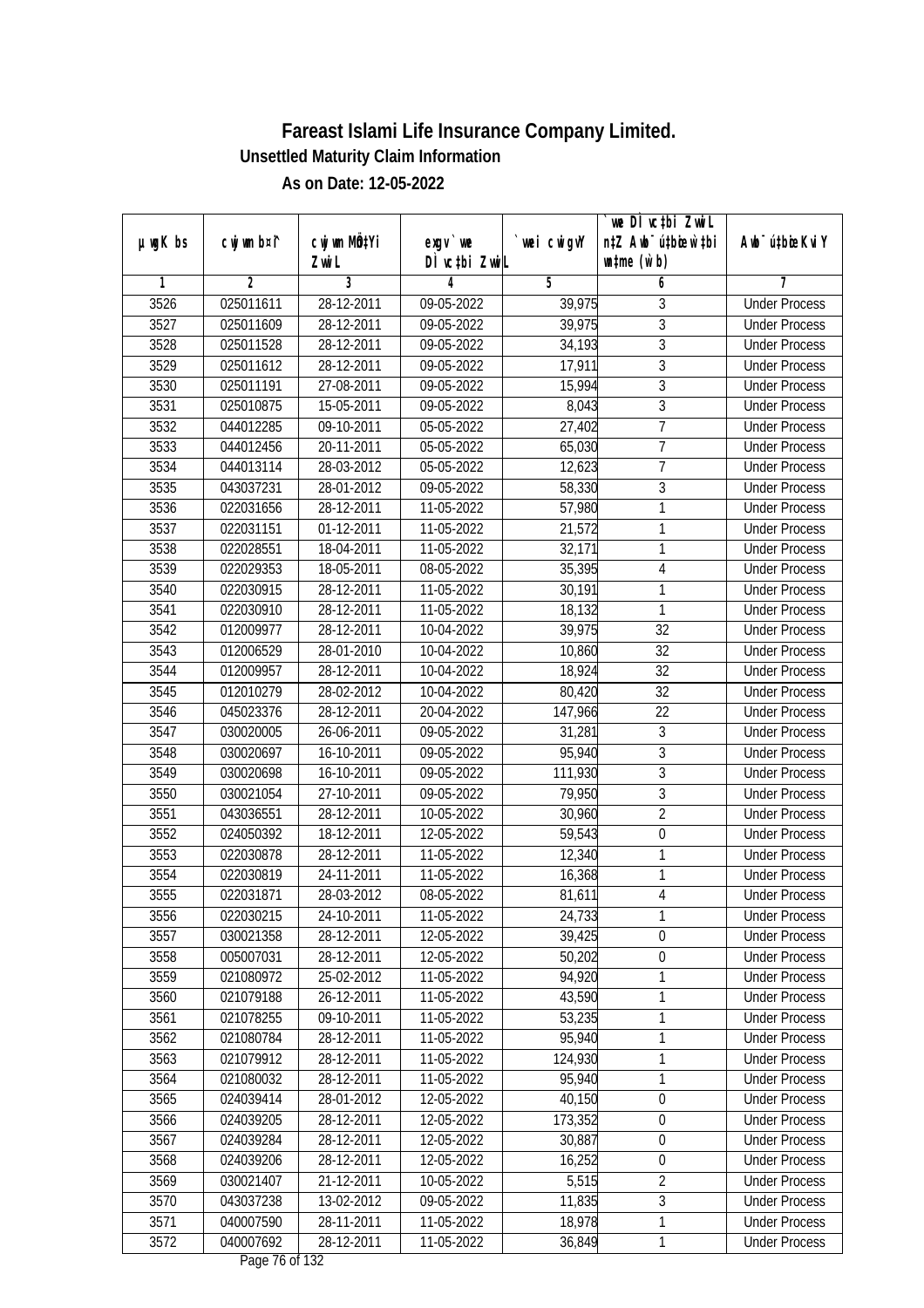| cwj wm b¤i^<br>`wei cwigvY<br>Awb <sup>-</sup> ú‡bioeKviY<br>$µ$ ug $K$ bs<br>exgy `we<br>DÌ vctbi ZwiL<br>$\n  untime\n  (u`b)\n$<br>Zwi L<br>3<br>$\overline{2}$<br>$\overline{5}$<br>6<br>1<br>4<br>7<br>3526<br>025011611<br>28-12-2011<br>09-05-2022<br>3<br><b>Under Process</b><br>39,975<br>$\overline{3}$<br>3527<br>28-12-2011<br>$09-05-2022$<br>39,975<br>025011609<br><b>Under Process</b><br>$\overline{3}$<br>3528<br>025011528<br>28-12-2011<br>09-05-2022<br>34,193<br><b>Under Process</b><br>$\overline{3}$<br>3529<br>025011612<br>28-12-2011<br>09-05-2022<br>17,911<br><b>Under Process</b><br>$\overline{3}$<br>3530<br>025011191<br>27-08-2011<br>09-05-2022<br>15,994<br><b>Under Process</b><br>3<br>3531<br>025010875<br>15-05-2011<br>09-05-2022<br>8,043<br><b>Under Process</b><br>$\overline{7}$<br>3532<br>044012285<br>09-10-2011<br>$05-05-2022$<br>27,402<br><b>Under Process</b><br>$\overline{7}$<br>3533<br>044012456<br>20-11-2011<br>05-05-2022<br>65,030<br><b>Under Process</b><br>$\overline{7}$<br>3534<br>044013114<br>28-03-2012<br>05-05-2022<br>12,623<br><b>Under Process</b><br>3<br>3535<br>043037231<br>28-01-2012<br>09-05-2022<br>58,330<br><b>Under Process</b><br>57,980<br>1<br>3536<br>022031656<br>28-12-2011<br>11-05-2022<br><b>Under Process</b><br>21,572<br>1<br>3537<br>022031151<br>01-12-2011<br>11-05-2022<br><b>Under Process</b><br>3538<br>32,171<br>1<br>022028551<br>18-04-2011<br>11-05-2022<br><b>Under Process</b><br>3539<br>022029353<br>08-05-2022<br>$\sqrt{4}$<br>18-05-2011<br>35,395<br><b>Under Process</b><br>1<br>3540<br>022030915<br>28-12-2011<br>11-05-2022<br>30,191<br><b>Under Process</b><br>1<br>3541<br>022030910<br>28-12-2011<br>11-05-2022<br>18,132<br><b>Under Process</b><br>3542<br>32<br>28-12-2011<br>10-04-2022<br>39,975<br>012009977<br><b>Under Process</b><br>32<br>3543<br>012006529<br>28-01-2010<br>10,860<br>10-04-2022<br><b>Under Process</b><br>32<br>3544<br>28-12-2011<br>10-04-2022<br>18,924<br>012009957<br><b>Under Process</b><br>3545<br>32<br>012010279<br>28-02-2012<br>10-04-2022<br>80,420<br><b>Under Process</b><br>22<br>3546<br>045023376<br>28-12-2011<br>20-04-2022<br>147,966<br><b>Under Process</b><br>3547<br>3<br>030020005<br>26-06-2011<br>09-05-2022<br>31,281<br><b>Under Process</b><br>3<br>95,940<br>3548<br>030020697<br>16-10-2011<br>09-05-2022<br><b>Under Process</b><br>$\overline{3}$<br>3549<br>16-10-2011<br>09-05-2022<br>111,930<br>030020698<br><b>Under Process</b><br>$\overline{3}$<br>3550<br>030021054<br>27-10-2011<br>09-05-2022<br>79,950<br><b>Under Process</b><br>$\overline{2}$<br>3551<br>043036551<br>28-12-2011<br>10-05-2022<br>30,960<br><b>Under Process</b><br>3552<br>024050392<br>18-12-2011<br>12-05-2022<br>59,543<br>$\boldsymbol{0}$<br><b>Under Process</b><br>1<br>3553<br>28-12-2011<br>12,340<br>022030878<br>11-05-2022<br><b>Under Process</b><br>3554<br>1<br>022030819<br>24-11-2011<br>11-05-2022<br>16,368<br><b>Under Process</b><br>3555<br>81,611<br>$\overline{4}$<br>022031871<br>28-03-2012<br>08-05-2022<br><b>Under Process</b><br>3556<br>022030215<br>24-10-2011<br>11-05-2022<br>24,733<br><b>Under Process</b><br>1<br>030021358<br>28-12-2011<br>39,425<br>0<br>3557<br>12-05-2022<br><b>Under Process</b><br>$\boldsymbol{0}$<br>3558<br>005007031<br>28-12-2011<br>12-05-2022<br>50,202<br><b>Under Process</b><br>1<br>3559<br>021080972<br>94,920<br>25-02-2012<br>11-05-2022<br><b>Under Process</b><br>3560<br>43,590<br>1<br>021079188<br>26-12-2011<br>11-05-2022<br><b>Under Process</b><br>09-10-2011<br>53,235<br>3561<br>021078255<br>11-05-2022<br>1<br><b>Under Process</b><br>021080784<br>95,940<br>1<br>3562<br>28-12-2011<br>11-05-2022<br><b>Under Process</b><br>1<br>3563<br>021079912<br>124,930<br>28-12-2011<br>11-05-2022<br><b>Under Process</b><br>95,940<br>1<br>3564<br>021080032<br>28-12-2011<br>11-05-2022<br><b>Under Process</b><br>3565<br>40,150<br>$\boldsymbol{0}$<br>024039414<br>28-01-2012<br>12-05-2022<br><b>Under Process</b><br>3566<br>024039205<br>28-12-2011<br>12-05-2022<br>173,352<br>$\boldsymbol{0}$<br><b>Under Process</b><br>28-12-2011<br>$\boldsymbol{0}$<br>3567<br>024039284<br>12-05-2022<br>30,887<br><b>Under Process</b><br>3568<br>024039206<br>28-12-2011<br>$12 - 05 - 2022$<br>16,252<br>$\boldsymbol{0}$<br><b>Under Process</b><br>$\overline{2}$<br>5,515<br>3569<br>030021407<br>21-12-2011<br>10-05-2022<br><b>Under Process</b><br>$\overline{3}$<br>3570<br>11,835<br>043037238<br>13-02-2012<br>09-05-2022<br><b>Under Process</b><br>1<br>3571<br>18,978<br>040007590<br>28-11-2011<br>11-05-2022<br><b>Under Process</b><br>3572<br>040007692<br>36,849<br>28-12-2011<br>11-05-2022<br>1<br><b>Under Process</b> |  |                           |  | we DI vctbi ZwiL                 |  |
|---------------------------------------------------------------------------------------------------------------------------------------------------------------------------------------------------------------------------------------------------------------------------------------------------------------------------------------------------------------------------------------------------------------------------------------------------------------------------------------------------------------------------------------------------------------------------------------------------------------------------------------------------------------------------------------------------------------------------------------------------------------------------------------------------------------------------------------------------------------------------------------------------------------------------------------------------------------------------------------------------------------------------------------------------------------------------------------------------------------------------------------------------------------------------------------------------------------------------------------------------------------------------------------------------------------------------------------------------------------------------------------------------------------------------------------------------------------------------------------------------------------------------------------------------------------------------------------------------------------------------------------------------------------------------------------------------------------------------------------------------------------------------------------------------------------------------------------------------------------------------------------------------------------------------------------------------------------------------------------------------------------------------------------------------------------------------------------------------------------------------------------------------------------------------------------------------------------------------------------------------------------------------------------------------------------------------------------------------------------------------------------------------------------------------------------------------------------------------------------------------------------------------------------------------------------------------------------------------------------------------------------------------------------------------------------------------------------------------------------------------------------------------------------------------------------------------------------------------------------------------------------------------------------------------------------------------------------------------------------------------------------------------------------------------------------------------------------------------------------------------------------------------------------------------------------------------------------------------------------------------------------------------------------------------------------------------------------------------------------------------------------------------------------------------------------------------------------------------------------------------------------------------------------------------------------------------------------------------------------------------------------------------------------------------------------------------------------------------------------------------------------------------------------------------------------------------------------------------------------------------------------------------------------------------------------------------------------------------------------------------------------------------------------------------------------------------------------------------------------------------------------------------------------------------------------------------------------------------------------------------------------------------------------------------------------------------------------------------------------------------------------------------------------------------------------------------------------------------------------------------------------------------------------------------------------------------------------------------------------------------------------------------------------------------------------------------------------------------------------------------------------------------------------------------------------|--|---------------------------|--|----------------------------------|--|
|                                                                                                                                                                                                                                                                                                                                                                                                                                                                                                                                                                                                                                                                                                                                                                                                                                                                                                                                                                                                                                                                                                                                                                                                                                                                                                                                                                                                                                                                                                                                                                                                                                                                                                                                                                                                                                                                                                                                                                                                                                                                                                                                                                                                                                                                                                                                                                                                                                                                                                                                                                                                                                                                                                                                                                                                                                                                                                                                                                                                                                                                                                                                                                                                                                                                                                                                                                                                                                                                                                                                                                                                                                                                                                                                                                                                                                                                                                                                                                                                                                                                                                                                                                                                                                                                                                                                                                                                                                                                                                                                                                                                                                                                                                                                                                                                               |  | cwj wm MQ <sup>1</sup> Yi |  | n‡Z Awb <sup>-</sup> ú‡bicen`‡bi |  |
|                                                                                                                                                                                                                                                                                                                                                                                                                                                                                                                                                                                                                                                                                                                                                                                                                                                                                                                                                                                                                                                                                                                                                                                                                                                                                                                                                                                                                                                                                                                                                                                                                                                                                                                                                                                                                                                                                                                                                                                                                                                                                                                                                                                                                                                                                                                                                                                                                                                                                                                                                                                                                                                                                                                                                                                                                                                                                                                                                                                                                                                                                                                                                                                                                                                                                                                                                                                                                                                                                                                                                                                                                                                                                                                                                                                                                                                                                                                                                                                                                                                                                                                                                                                                                                                                                                                                                                                                                                                                                                                                                                                                                                                                                                                                                                                                               |  |                           |  |                                  |  |
|                                                                                                                                                                                                                                                                                                                                                                                                                                                                                                                                                                                                                                                                                                                                                                                                                                                                                                                                                                                                                                                                                                                                                                                                                                                                                                                                                                                                                                                                                                                                                                                                                                                                                                                                                                                                                                                                                                                                                                                                                                                                                                                                                                                                                                                                                                                                                                                                                                                                                                                                                                                                                                                                                                                                                                                                                                                                                                                                                                                                                                                                                                                                                                                                                                                                                                                                                                                                                                                                                                                                                                                                                                                                                                                                                                                                                                                                                                                                                                                                                                                                                                                                                                                                                                                                                                                                                                                                                                                                                                                                                                                                                                                                                                                                                                                                               |  |                           |  |                                  |  |
|                                                                                                                                                                                                                                                                                                                                                                                                                                                                                                                                                                                                                                                                                                                                                                                                                                                                                                                                                                                                                                                                                                                                                                                                                                                                                                                                                                                                                                                                                                                                                                                                                                                                                                                                                                                                                                                                                                                                                                                                                                                                                                                                                                                                                                                                                                                                                                                                                                                                                                                                                                                                                                                                                                                                                                                                                                                                                                                                                                                                                                                                                                                                                                                                                                                                                                                                                                                                                                                                                                                                                                                                                                                                                                                                                                                                                                                                                                                                                                                                                                                                                                                                                                                                                                                                                                                                                                                                                                                                                                                                                                                                                                                                                                                                                                                                               |  |                           |  |                                  |  |
|                                                                                                                                                                                                                                                                                                                                                                                                                                                                                                                                                                                                                                                                                                                                                                                                                                                                                                                                                                                                                                                                                                                                                                                                                                                                                                                                                                                                                                                                                                                                                                                                                                                                                                                                                                                                                                                                                                                                                                                                                                                                                                                                                                                                                                                                                                                                                                                                                                                                                                                                                                                                                                                                                                                                                                                                                                                                                                                                                                                                                                                                                                                                                                                                                                                                                                                                                                                                                                                                                                                                                                                                                                                                                                                                                                                                                                                                                                                                                                                                                                                                                                                                                                                                                                                                                                                                                                                                                                                                                                                                                                                                                                                                                                                                                                                                               |  |                           |  |                                  |  |
|                                                                                                                                                                                                                                                                                                                                                                                                                                                                                                                                                                                                                                                                                                                                                                                                                                                                                                                                                                                                                                                                                                                                                                                                                                                                                                                                                                                                                                                                                                                                                                                                                                                                                                                                                                                                                                                                                                                                                                                                                                                                                                                                                                                                                                                                                                                                                                                                                                                                                                                                                                                                                                                                                                                                                                                                                                                                                                                                                                                                                                                                                                                                                                                                                                                                                                                                                                                                                                                                                                                                                                                                                                                                                                                                                                                                                                                                                                                                                                                                                                                                                                                                                                                                                                                                                                                                                                                                                                                                                                                                                                                                                                                                                                                                                                                                               |  |                           |  |                                  |  |
|                                                                                                                                                                                                                                                                                                                                                                                                                                                                                                                                                                                                                                                                                                                                                                                                                                                                                                                                                                                                                                                                                                                                                                                                                                                                                                                                                                                                                                                                                                                                                                                                                                                                                                                                                                                                                                                                                                                                                                                                                                                                                                                                                                                                                                                                                                                                                                                                                                                                                                                                                                                                                                                                                                                                                                                                                                                                                                                                                                                                                                                                                                                                                                                                                                                                                                                                                                                                                                                                                                                                                                                                                                                                                                                                                                                                                                                                                                                                                                                                                                                                                                                                                                                                                                                                                                                                                                                                                                                                                                                                                                                                                                                                                                                                                                                                               |  |                           |  |                                  |  |
|                                                                                                                                                                                                                                                                                                                                                                                                                                                                                                                                                                                                                                                                                                                                                                                                                                                                                                                                                                                                                                                                                                                                                                                                                                                                                                                                                                                                                                                                                                                                                                                                                                                                                                                                                                                                                                                                                                                                                                                                                                                                                                                                                                                                                                                                                                                                                                                                                                                                                                                                                                                                                                                                                                                                                                                                                                                                                                                                                                                                                                                                                                                                                                                                                                                                                                                                                                                                                                                                                                                                                                                                                                                                                                                                                                                                                                                                                                                                                                                                                                                                                                                                                                                                                                                                                                                                                                                                                                                                                                                                                                                                                                                                                                                                                                                                               |  |                           |  |                                  |  |
|                                                                                                                                                                                                                                                                                                                                                                                                                                                                                                                                                                                                                                                                                                                                                                                                                                                                                                                                                                                                                                                                                                                                                                                                                                                                                                                                                                                                                                                                                                                                                                                                                                                                                                                                                                                                                                                                                                                                                                                                                                                                                                                                                                                                                                                                                                                                                                                                                                                                                                                                                                                                                                                                                                                                                                                                                                                                                                                                                                                                                                                                                                                                                                                                                                                                                                                                                                                                                                                                                                                                                                                                                                                                                                                                                                                                                                                                                                                                                                                                                                                                                                                                                                                                                                                                                                                                                                                                                                                                                                                                                                                                                                                                                                                                                                                                               |  |                           |  |                                  |  |
|                                                                                                                                                                                                                                                                                                                                                                                                                                                                                                                                                                                                                                                                                                                                                                                                                                                                                                                                                                                                                                                                                                                                                                                                                                                                                                                                                                                                                                                                                                                                                                                                                                                                                                                                                                                                                                                                                                                                                                                                                                                                                                                                                                                                                                                                                                                                                                                                                                                                                                                                                                                                                                                                                                                                                                                                                                                                                                                                                                                                                                                                                                                                                                                                                                                                                                                                                                                                                                                                                                                                                                                                                                                                                                                                                                                                                                                                                                                                                                                                                                                                                                                                                                                                                                                                                                                                                                                                                                                                                                                                                                                                                                                                                                                                                                                                               |  |                           |  |                                  |  |
|                                                                                                                                                                                                                                                                                                                                                                                                                                                                                                                                                                                                                                                                                                                                                                                                                                                                                                                                                                                                                                                                                                                                                                                                                                                                                                                                                                                                                                                                                                                                                                                                                                                                                                                                                                                                                                                                                                                                                                                                                                                                                                                                                                                                                                                                                                                                                                                                                                                                                                                                                                                                                                                                                                                                                                                                                                                                                                                                                                                                                                                                                                                                                                                                                                                                                                                                                                                                                                                                                                                                                                                                                                                                                                                                                                                                                                                                                                                                                                                                                                                                                                                                                                                                                                                                                                                                                                                                                                                                                                                                                                                                                                                                                                                                                                                                               |  |                           |  |                                  |  |
|                                                                                                                                                                                                                                                                                                                                                                                                                                                                                                                                                                                                                                                                                                                                                                                                                                                                                                                                                                                                                                                                                                                                                                                                                                                                                                                                                                                                                                                                                                                                                                                                                                                                                                                                                                                                                                                                                                                                                                                                                                                                                                                                                                                                                                                                                                                                                                                                                                                                                                                                                                                                                                                                                                                                                                                                                                                                                                                                                                                                                                                                                                                                                                                                                                                                                                                                                                                                                                                                                                                                                                                                                                                                                                                                                                                                                                                                                                                                                                                                                                                                                                                                                                                                                                                                                                                                                                                                                                                                                                                                                                                                                                                                                                                                                                                                               |  |                           |  |                                  |  |
|                                                                                                                                                                                                                                                                                                                                                                                                                                                                                                                                                                                                                                                                                                                                                                                                                                                                                                                                                                                                                                                                                                                                                                                                                                                                                                                                                                                                                                                                                                                                                                                                                                                                                                                                                                                                                                                                                                                                                                                                                                                                                                                                                                                                                                                                                                                                                                                                                                                                                                                                                                                                                                                                                                                                                                                                                                                                                                                                                                                                                                                                                                                                                                                                                                                                                                                                                                                                                                                                                                                                                                                                                                                                                                                                                                                                                                                                                                                                                                                                                                                                                                                                                                                                                                                                                                                                                                                                                                                                                                                                                                                                                                                                                                                                                                                                               |  |                           |  |                                  |  |
|                                                                                                                                                                                                                                                                                                                                                                                                                                                                                                                                                                                                                                                                                                                                                                                                                                                                                                                                                                                                                                                                                                                                                                                                                                                                                                                                                                                                                                                                                                                                                                                                                                                                                                                                                                                                                                                                                                                                                                                                                                                                                                                                                                                                                                                                                                                                                                                                                                                                                                                                                                                                                                                                                                                                                                                                                                                                                                                                                                                                                                                                                                                                                                                                                                                                                                                                                                                                                                                                                                                                                                                                                                                                                                                                                                                                                                                                                                                                                                                                                                                                                                                                                                                                                                                                                                                                                                                                                                                                                                                                                                                                                                                                                                                                                                                                               |  |                           |  |                                  |  |
|                                                                                                                                                                                                                                                                                                                                                                                                                                                                                                                                                                                                                                                                                                                                                                                                                                                                                                                                                                                                                                                                                                                                                                                                                                                                                                                                                                                                                                                                                                                                                                                                                                                                                                                                                                                                                                                                                                                                                                                                                                                                                                                                                                                                                                                                                                                                                                                                                                                                                                                                                                                                                                                                                                                                                                                                                                                                                                                                                                                                                                                                                                                                                                                                                                                                                                                                                                                                                                                                                                                                                                                                                                                                                                                                                                                                                                                                                                                                                                                                                                                                                                                                                                                                                                                                                                                                                                                                                                                                                                                                                                                                                                                                                                                                                                                                               |  |                           |  |                                  |  |
|                                                                                                                                                                                                                                                                                                                                                                                                                                                                                                                                                                                                                                                                                                                                                                                                                                                                                                                                                                                                                                                                                                                                                                                                                                                                                                                                                                                                                                                                                                                                                                                                                                                                                                                                                                                                                                                                                                                                                                                                                                                                                                                                                                                                                                                                                                                                                                                                                                                                                                                                                                                                                                                                                                                                                                                                                                                                                                                                                                                                                                                                                                                                                                                                                                                                                                                                                                                                                                                                                                                                                                                                                                                                                                                                                                                                                                                                                                                                                                                                                                                                                                                                                                                                                                                                                                                                                                                                                                                                                                                                                                                                                                                                                                                                                                                                               |  |                           |  |                                  |  |
|                                                                                                                                                                                                                                                                                                                                                                                                                                                                                                                                                                                                                                                                                                                                                                                                                                                                                                                                                                                                                                                                                                                                                                                                                                                                                                                                                                                                                                                                                                                                                                                                                                                                                                                                                                                                                                                                                                                                                                                                                                                                                                                                                                                                                                                                                                                                                                                                                                                                                                                                                                                                                                                                                                                                                                                                                                                                                                                                                                                                                                                                                                                                                                                                                                                                                                                                                                                                                                                                                                                                                                                                                                                                                                                                                                                                                                                                                                                                                                                                                                                                                                                                                                                                                                                                                                                                                                                                                                                                                                                                                                                                                                                                                                                                                                                                               |  |                           |  |                                  |  |
|                                                                                                                                                                                                                                                                                                                                                                                                                                                                                                                                                                                                                                                                                                                                                                                                                                                                                                                                                                                                                                                                                                                                                                                                                                                                                                                                                                                                                                                                                                                                                                                                                                                                                                                                                                                                                                                                                                                                                                                                                                                                                                                                                                                                                                                                                                                                                                                                                                                                                                                                                                                                                                                                                                                                                                                                                                                                                                                                                                                                                                                                                                                                                                                                                                                                                                                                                                                                                                                                                                                                                                                                                                                                                                                                                                                                                                                                                                                                                                                                                                                                                                                                                                                                                                                                                                                                                                                                                                                                                                                                                                                                                                                                                                                                                                                                               |  |                           |  |                                  |  |
|                                                                                                                                                                                                                                                                                                                                                                                                                                                                                                                                                                                                                                                                                                                                                                                                                                                                                                                                                                                                                                                                                                                                                                                                                                                                                                                                                                                                                                                                                                                                                                                                                                                                                                                                                                                                                                                                                                                                                                                                                                                                                                                                                                                                                                                                                                                                                                                                                                                                                                                                                                                                                                                                                                                                                                                                                                                                                                                                                                                                                                                                                                                                                                                                                                                                                                                                                                                                                                                                                                                                                                                                                                                                                                                                                                                                                                                                                                                                                                                                                                                                                                                                                                                                                                                                                                                                                                                                                                                                                                                                                                                                                                                                                                                                                                                                               |  |                           |  |                                  |  |
|                                                                                                                                                                                                                                                                                                                                                                                                                                                                                                                                                                                                                                                                                                                                                                                                                                                                                                                                                                                                                                                                                                                                                                                                                                                                                                                                                                                                                                                                                                                                                                                                                                                                                                                                                                                                                                                                                                                                                                                                                                                                                                                                                                                                                                                                                                                                                                                                                                                                                                                                                                                                                                                                                                                                                                                                                                                                                                                                                                                                                                                                                                                                                                                                                                                                                                                                                                                                                                                                                                                                                                                                                                                                                                                                                                                                                                                                                                                                                                                                                                                                                                                                                                                                                                                                                                                                                                                                                                                                                                                                                                                                                                                                                                                                                                                                               |  |                           |  |                                  |  |
|                                                                                                                                                                                                                                                                                                                                                                                                                                                                                                                                                                                                                                                                                                                                                                                                                                                                                                                                                                                                                                                                                                                                                                                                                                                                                                                                                                                                                                                                                                                                                                                                                                                                                                                                                                                                                                                                                                                                                                                                                                                                                                                                                                                                                                                                                                                                                                                                                                                                                                                                                                                                                                                                                                                                                                                                                                                                                                                                                                                                                                                                                                                                                                                                                                                                                                                                                                                                                                                                                                                                                                                                                                                                                                                                                                                                                                                                                                                                                                                                                                                                                                                                                                                                                                                                                                                                                                                                                                                                                                                                                                                                                                                                                                                                                                                                               |  |                           |  |                                  |  |
|                                                                                                                                                                                                                                                                                                                                                                                                                                                                                                                                                                                                                                                                                                                                                                                                                                                                                                                                                                                                                                                                                                                                                                                                                                                                                                                                                                                                                                                                                                                                                                                                                                                                                                                                                                                                                                                                                                                                                                                                                                                                                                                                                                                                                                                                                                                                                                                                                                                                                                                                                                                                                                                                                                                                                                                                                                                                                                                                                                                                                                                                                                                                                                                                                                                                                                                                                                                                                                                                                                                                                                                                                                                                                                                                                                                                                                                                                                                                                                                                                                                                                                                                                                                                                                                                                                                                                                                                                                                                                                                                                                                                                                                                                                                                                                                                               |  |                           |  |                                  |  |
|                                                                                                                                                                                                                                                                                                                                                                                                                                                                                                                                                                                                                                                                                                                                                                                                                                                                                                                                                                                                                                                                                                                                                                                                                                                                                                                                                                                                                                                                                                                                                                                                                                                                                                                                                                                                                                                                                                                                                                                                                                                                                                                                                                                                                                                                                                                                                                                                                                                                                                                                                                                                                                                                                                                                                                                                                                                                                                                                                                                                                                                                                                                                                                                                                                                                                                                                                                                                                                                                                                                                                                                                                                                                                                                                                                                                                                                                                                                                                                                                                                                                                                                                                                                                                                                                                                                                                                                                                                                                                                                                                                                                                                                                                                                                                                                                               |  |                           |  |                                  |  |
|                                                                                                                                                                                                                                                                                                                                                                                                                                                                                                                                                                                                                                                                                                                                                                                                                                                                                                                                                                                                                                                                                                                                                                                                                                                                                                                                                                                                                                                                                                                                                                                                                                                                                                                                                                                                                                                                                                                                                                                                                                                                                                                                                                                                                                                                                                                                                                                                                                                                                                                                                                                                                                                                                                                                                                                                                                                                                                                                                                                                                                                                                                                                                                                                                                                                                                                                                                                                                                                                                                                                                                                                                                                                                                                                                                                                                                                                                                                                                                                                                                                                                                                                                                                                                                                                                                                                                                                                                                                                                                                                                                                                                                                                                                                                                                                                               |  |                           |  |                                  |  |
|                                                                                                                                                                                                                                                                                                                                                                                                                                                                                                                                                                                                                                                                                                                                                                                                                                                                                                                                                                                                                                                                                                                                                                                                                                                                                                                                                                                                                                                                                                                                                                                                                                                                                                                                                                                                                                                                                                                                                                                                                                                                                                                                                                                                                                                                                                                                                                                                                                                                                                                                                                                                                                                                                                                                                                                                                                                                                                                                                                                                                                                                                                                                                                                                                                                                                                                                                                                                                                                                                                                                                                                                                                                                                                                                                                                                                                                                                                                                                                                                                                                                                                                                                                                                                                                                                                                                                                                                                                                                                                                                                                                                                                                                                                                                                                                                               |  |                           |  |                                  |  |
|                                                                                                                                                                                                                                                                                                                                                                                                                                                                                                                                                                                                                                                                                                                                                                                                                                                                                                                                                                                                                                                                                                                                                                                                                                                                                                                                                                                                                                                                                                                                                                                                                                                                                                                                                                                                                                                                                                                                                                                                                                                                                                                                                                                                                                                                                                                                                                                                                                                                                                                                                                                                                                                                                                                                                                                                                                                                                                                                                                                                                                                                                                                                                                                                                                                                                                                                                                                                                                                                                                                                                                                                                                                                                                                                                                                                                                                                                                                                                                                                                                                                                                                                                                                                                                                                                                                                                                                                                                                                                                                                                                                                                                                                                                                                                                                                               |  |                           |  |                                  |  |
|                                                                                                                                                                                                                                                                                                                                                                                                                                                                                                                                                                                                                                                                                                                                                                                                                                                                                                                                                                                                                                                                                                                                                                                                                                                                                                                                                                                                                                                                                                                                                                                                                                                                                                                                                                                                                                                                                                                                                                                                                                                                                                                                                                                                                                                                                                                                                                                                                                                                                                                                                                                                                                                                                                                                                                                                                                                                                                                                                                                                                                                                                                                                                                                                                                                                                                                                                                                                                                                                                                                                                                                                                                                                                                                                                                                                                                                                                                                                                                                                                                                                                                                                                                                                                                                                                                                                                                                                                                                                                                                                                                                                                                                                                                                                                                                                               |  |                           |  |                                  |  |
|                                                                                                                                                                                                                                                                                                                                                                                                                                                                                                                                                                                                                                                                                                                                                                                                                                                                                                                                                                                                                                                                                                                                                                                                                                                                                                                                                                                                                                                                                                                                                                                                                                                                                                                                                                                                                                                                                                                                                                                                                                                                                                                                                                                                                                                                                                                                                                                                                                                                                                                                                                                                                                                                                                                                                                                                                                                                                                                                                                                                                                                                                                                                                                                                                                                                                                                                                                                                                                                                                                                                                                                                                                                                                                                                                                                                                                                                                                                                                                                                                                                                                                                                                                                                                                                                                                                                                                                                                                                                                                                                                                                                                                                                                                                                                                                                               |  |                           |  |                                  |  |
|                                                                                                                                                                                                                                                                                                                                                                                                                                                                                                                                                                                                                                                                                                                                                                                                                                                                                                                                                                                                                                                                                                                                                                                                                                                                                                                                                                                                                                                                                                                                                                                                                                                                                                                                                                                                                                                                                                                                                                                                                                                                                                                                                                                                                                                                                                                                                                                                                                                                                                                                                                                                                                                                                                                                                                                                                                                                                                                                                                                                                                                                                                                                                                                                                                                                                                                                                                                                                                                                                                                                                                                                                                                                                                                                                                                                                                                                                                                                                                                                                                                                                                                                                                                                                                                                                                                                                                                                                                                                                                                                                                                                                                                                                                                                                                                                               |  |                           |  |                                  |  |
|                                                                                                                                                                                                                                                                                                                                                                                                                                                                                                                                                                                                                                                                                                                                                                                                                                                                                                                                                                                                                                                                                                                                                                                                                                                                                                                                                                                                                                                                                                                                                                                                                                                                                                                                                                                                                                                                                                                                                                                                                                                                                                                                                                                                                                                                                                                                                                                                                                                                                                                                                                                                                                                                                                                                                                                                                                                                                                                                                                                                                                                                                                                                                                                                                                                                                                                                                                                                                                                                                                                                                                                                                                                                                                                                                                                                                                                                                                                                                                                                                                                                                                                                                                                                                                                                                                                                                                                                                                                                                                                                                                                                                                                                                                                                                                                                               |  |                           |  |                                  |  |
|                                                                                                                                                                                                                                                                                                                                                                                                                                                                                                                                                                                                                                                                                                                                                                                                                                                                                                                                                                                                                                                                                                                                                                                                                                                                                                                                                                                                                                                                                                                                                                                                                                                                                                                                                                                                                                                                                                                                                                                                                                                                                                                                                                                                                                                                                                                                                                                                                                                                                                                                                                                                                                                                                                                                                                                                                                                                                                                                                                                                                                                                                                                                                                                                                                                                                                                                                                                                                                                                                                                                                                                                                                                                                                                                                                                                                                                                                                                                                                                                                                                                                                                                                                                                                                                                                                                                                                                                                                                                                                                                                                                                                                                                                                                                                                                                               |  |                           |  |                                  |  |
|                                                                                                                                                                                                                                                                                                                                                                                                                                                                                                                                                                                                                                                                                                                                                                                                                                                                                                                                                                                                                                                                                                                                                                                                                                                                                                                                                                                                                                                                                                                                                                                                                                                                                                                                                                                                                                                                                                                                                                                                                                                                                                                                                                                                                                                                                                                                                                                                                                                                                                                                                                                                                                                                                                                                                                                                                                                                                                                                                                                                                                                                                                                                                                                                                                                                                                                                                                                                                                                                                                                                                                                                                                                                                                                                                                                                                                                                                                                                                                                                                                                                                                                                                                                                                                                                                                                                                                                                                                                                                                                                                                                                                                                                                                                                                                                                               |  |                           |  |                                  |  |
|                                                                                                                                                                                                                                                                                                                                                                                                                                                                                                                                                                                                                                                                                                                                                                                                                                                                                                                                                                                                                                                                                                                                                                                                                                                                                                                                                                                                                                                                                                                                                                                                                                                                                                                                                                                                                                                                                                                                                                                                                                                                                                                                                                                                                                                                                                                                                                                                                                                                                                                                                                                                                                                                                                                                                                                                                                                                                                                                                                                                                                                                                                                                                                                                                                                                                                                                                                                                                                                                                                                                                                                                                                                                                                                                                                                                                                                                                                                                                                                                                                                                                                                                                                                                                                                                                                                                                                                                                                                                                                                                                                                                                                                                                                                                                                                                               |  |                           |  |                                  |  |
|                                                                                                                                                                                                                                                                                                                                                                                                                                                                                                                                                                                                                                                                                                                                                                                                                                                                                                                                                                                                                                                                                                                                                                                                                                                                                                                                                                                                                                                                                                                                                                                                                                                                                                                                                                                                                                                                                                                                                                                                                                                                                                                                                                                                                                                                                                                                                                                                                                                                                                                                                                                                                                                                                                                                                                                                                                                                                                                                                                                                                                                                                                                                                                                                                                                                                                                                                                                                                                                                                                                                                                                                                                                                                                                                                                                                                                                                                                                                                                                                                                                                                                                                                                                                                                                                                                                                                                                                                                                                                                                                                                                                                                                                                                                                                                                                               |  |                           |  |                                  |  |
|                                                                                                                                                                                                                                                                                                                                                                                                                                                                                                                                                                                                                                                                                                                                                                                                                                                                                                                                                                                                                                                                                                                                                                                                                                                                                                                                                                                                                                                                                                                                                                                                                                                                                                                                                                                                                                                                                                                                                                                                                                                                                                                                                                                                                                                                                                                                                                                                                                                                                                                                                                                                                                                                                                                                                                                                                                                                                                                                                                                                                                                                                                                                                                                                                                                                                                                                                                                                                                                                                                                                                                                                                                                                                                                                                                                                                                                                                                                                                                                                                                                                                                                                                                                                                                                                                                                                                                                                                                                                                                                                                                                                                                                                                                                                                                                                               |  |                           |  |                                  |  |
|                                                                                                                                                                                                                                                                                                                                                                                                                                                                                                                                                                                                                                                                                                                                                                                                                                                                                                                                                                                                                                                                                                                                                                                                                                                                                                                                                                                                                                                                                                                                                                                                                                                                                                                                                                                                                                                                                                                                                                                                                                                                                                                                                                                                                                                                                                                                                                                                                                                                                                                                                                                                                                                                                                                                                                                                                                                                                                                                                                                                                                                                                                                                                                                                                                                                                                                                                                                                                                                                                                                                                                                                                                                                                                                                                                                                                                                                                                                                                                                                                                                                                                                                                                                                                                                                                                                                                                                                                                                                                                                                                                                                                                                                                                                                                                                                               |  |                           |  |                                  |  |
|                                                                                                                                                                                                                                                                                                                                                                                                                                                                                                                                                                                                                                                                                                                                                                                                                                                                                                                                                                                                                                                                                                                                                                                                                                                                                                                                                                                                                                                                                                                                                                                                                                                                                                                                                                                                                                                                                                                                                                                                                                                                                                                                                                                                                                                                                                                                                                                                                                                                                                                                                                                                                                                                                                                                                                                                                                                                                                                                                                                                                                                                                                                                                                                                                                                                                                                                                                                                                                                                                                                                                                                                                                                                                                                                                                                                                                                                                                                                                                                                                                                                                                                                                                                                                                                                                                                                                                                                                                                                                                                                                                                                                                                                                                                                                                                                               |  |                           |  |                                  |  |
|                                                                                                                                                                                                                                                                                                                                                                                                                                                                                                                                                                                                                                                                                                                                                                                                                                                                                                                                                                                                                                                                                                                                                                                                                                                                                                                                                                                                                                                                                                                                                                                                                                                                                                                                                                                                                                                                                                                                                                                                                                                                                                                                                                                                                                                                                                                                                                                                                                                                                                                                                                                                                                                                                                                                                                                                                                                                                                                                                                                                                                                                                                                                                                                                                                                                                                                                                                                                                                                                                                                                                                                                                                                                                                                                                                                                                                                                                                                                                                                                                                                                                                                                                                                                                                                                                                                                                                                                                                                                                                                                                                                                                                                                                                                                                                                                               |  |                           |  |                                  |  |
|                                                                                                                                                                                                                                                                                                                                                                                                                                                                                                                                                                                                                                                                                                                                                                                                                                                                                                                                                                                                                                                                                                                                                                                                                                                                                                                                                                                                                                                                                                                                                                                                                                                                                                                                                                                                                                                                                                                                                                                                                                                                                                                                                                                                                                                                                                                                                                                                                                                                                                                                                                                                                                                                                                                                                                                                                                                                                                                                                                                                                                                                                                                                                                                                                                                                                                                                                                                                                                                                                                                                                                                                                                                                                                                                                                                                                                                                                                                                                                                                                                                                                                                                                                                                                                                                                                                                                                                                                                                                                                                                                                                                                                                                                                                                                                                                               |  |                           |  |                                  |  |
|                                                                                                                                                                                                                                                                                                                                                                                                                                                                                                                                                                                                                                                                                                                                                                                                                                                                                                                                                                                                                                                                                                                                                                                                                                                                                                                                                                                                                                                                                                                                                                                                                                                                                                                                                                                                                                                                                                                                                                                                                                                                                                                                                                                                                                                                                                                                                                                                                                                                                                                                                                                                                                                                                                                                                                                                                                                                                                                                                                                                                                                                                                                                                                                                                                                                                                                                                                                                                                                                                                                                                                                                                                                                                                                                                                                                                                                                                                                                                                                                                                                                                                                                                                                                                                                                                                                                                                                                                                                                                                                                                                                                                                                                                                                                                                                                               |  |                           |  |                                  |  |
|                                                                                                                                                                                                                                                                                                                                                                                                                                                                                                                                                                                                                                                                                                                                                                                                                                                                                                                                                                                                                                                                                                                                                                                                                                                                                                                                                                                                                                                                                                                                                                                                                                                                                                                                                                                                                                                                                                                                                                                                                                                                                                                                                                                                                                                                                                                                                                                                                                                                                                                                                                                                                                                                                                                                                                                                                                                                                                                                                                                                                                                                                                                                                                                                                                                                                                                                                                                                                                                                                                                                                                                                                                                                                                                                                                                                                                                                                                                                                                                                                                                                                                                                                                                                                                                                                                                                                                                                                                                                                                                                                                                                                                                                                                                                                                                                               |  |                           |  |                                  |  |
|                                                                                                                                                                                                                                                                                                                                                                                                                                                                                                                                                                                                                                                                                                                                                                                                                                                                                                                                                                                                                                                                                                                                                                                                                                                                                                                                                                                                                                                                                                                                                                                                                                                                                                                                                                                                                                                                                                                                                                                                                                                                                                                                                                                                                                                                                                                                                                                                                                                                                                                                                                                                                                                                                                                                                                                                                                                                                                                                                                                                                                                                                                                                                                                                                                                                                                                                                                                                                                                                                                                                                                                                                                                                                                                                                                                                                                                                                                                                                                                                                                                                                                                                                                                                                                                                                                                                                                                                                                                                                                                                                                                                                                                                                                                                                                                                               |  |                           |  |                                  |  |
|                                                                                                                                                                                                                                                                                                                                                                                                                                                                                                                                                                                                                                                                                                                                                                                                                                                                                                                                                                                                                                                                                                                                                                                                                                                                                                                                                                                                                                                                                                                                                                                                                                                                                                                                                                                                                                                                                                                                                                                                                                                                                                                                                                                                                                                                                                                                                                                                                                                                                                                                                                                                                                                                                                                                                                                                                                                                                                                                                                                                                                                                                                                                                                                                                                                                                                                                                                                                                                                                                                                                                                                                                                                                                                                                                                                                                                                                                                                                                                                                                                                                                                                                                                                                                                                                                                                                                                                                                                                                                                                                                                                                                                                                                                                                                                                                               |  |                           |  |                                  |  |
|                                                                                                                                                                                                                                                                                                                                                                                                                                                                                                                                                                                                                                                                                                                                                                                                                                                                                                                                                                                                                                                                                                                                                                                                                                                                                                                                                                                                                                                                                                                                                                                                                                                                                                                                                                                                                                                                                                                                                                                                                                                                                                                                                                                                                                                                                                                                                                                                                                                                                                                                                                                                                                                                                                                                                                                                                                                                                                                                                                                                                                                                                                                                                                                                                                                                                                                                                                                                                                                                                                                                                                                                                                                                                                                                                                                                                                                                                                                                                                                                                                                                                                                                                                                                                                                                                                                                                                                                                                                                                                                                                                                                                                                                                                                                                                                                               |  |                           |  |                                  |  |
|                                                                                                                                                                                                                                                                                                                                                                                                                                                                                                                                                                                                                                                                                                                                                                                                                                                                                                                                                                                                                                                                                                                                                                                                                                                                                                                                                                                                                                                                                                                                                                                                                                                                                                                                                                                                                                                                                                                                                                                                                                                                                                                                                                                                                                                                                                                                                                                                                                                                                                                                                                                                                                                                                                                                                                                                                                                                                                                                                                                                                                                                                                                                                                                                                                                                                                                                                                                                                                                                                                                                                                                                                                                                                                                                                                                                                                                                                                                                                                                                                                                                                                                                                                                                                                                                                                                                                                                                                                                                                                                                                                                                                                                                                                                                                                                                               |  |                           |  |                                  |  |
|                                                                                                                                                                                                                                                                                                                                                                                                                                                                                                                                                                                                                                                                                                                                                                                                                                                                                                                                                                                                                                                                                                                                                                                                                                                                                                                                                                                                                                                                                                                                                                                                                                                                                                                                                                                                                                                                                                                                                                                                                                                                                                                                                                                                                                                                                                                                                                                                                                                                                                                                                                                                                                                                                                                                                                                                                                                                                                                                                                                                                                                                                                                                                                                                                                                                                                                                                                                                                                                                                                                                                                                                                                                                                                                                                                                                                                                                                                                                                                                                                                                                                                                                                                                                                                                                                                                                                                                                                                                                                                                                                                                                                                                                                                                                                                                                               |  |                           |  |                                  |  |
|                                                                                                                                                                                                                                                                                                                                                                                                                                                                                                                                                                                                                                                                                                                                                                                                                                                                                                                                                                                                                                                                                                                                                                                                                                                                                                                                                                                                                                                                                                                                                                                                                                                                                                                                                                                                                                                                                                                                                                                                                                                                                                                                                                                                                                                                                                                                                                                                                                                                                                                                                                                                                                                                                                                                                                                                                                                                                                                                                                                                                                                                                                                                                                                                                                                                                                                                                                                                                                                                                                                                                                                                                                                                                                                                                                                                                                                                                                                                                                                                                                                                                                                                                                                                                                                                                                                                                                                                                                                                                                                                                                                                                                                                                                                                                                                                               |  |                           |  |                                  |  |
|                                                                                                                                                                                                                                                                                                                                                                                                                                                                                                                                                                                                                                                                                                                                                                                                                                                                                                                                                                                                                                                                                                                                                                                                                                                                                                                                                                                                                                                                                                                                                                                                                                                                                                                                                                                                                                                                                                                                                                                                                                                                                                                                                                                                                                                                                                                                                                                                                                                                                                                                                                                                                                                                                                                                                                                                                                                                                                                                                                                                                                                                                                                                                                                                                                                                                                                                                                                                                                                                                                                                                                                                                                                                                                                                                                                                                                                                                                                                                                                                                                                                                                                                                                                                                                                                                                                                                                                                                                                                                                                                                                                                                                                                                                                                                                                                               |  |                           |  |                                  |  |
|                                                                                                                                                                                                                                                                                                                                                                                                                                                                                                                                                                                                                                                                                                                                                                                                                                                                                                                                                                                                                                                                                                                                                                                                                                                                                                                                                                                                                                                                                                                                                                                                                                                                                                                                                                                                                                                                                                                                                                                                                                                                                                                                                                                                                                                                                                                                                                                                                                                                                                                                                                                                                                                                                                                                                                                                                                                                                                                                                                                                                                                                                                                                                                                                                                                                                                                                                                                                                                                                                                                                                                                                                                                                                                                                                                                                                                                                                                                                                                                                                                                                                                                                                                                                                                                                                                                                                                                                                                                                                                                                                                                                                                                                                                                                                                                                               |  |                           |  |                                  |  |
|                                                                                                                                                                                                                                                                                                                                                                                                                                                                                                                                                                                                                                                                                                                                                                                                                                                                                                                                                                                                                                                                                                                                                                                                                                                                                                                                                                                                                                                                                                                                                                                                                                                                                                                                                                                                                                                                                                                                                                                                                                                                                                                                                                                                                                                                                                                                                                                                                                                                                                                                                                                                                                                                                                                                                                                                                                                                                                                                                                                                                                                                                                                                                                                                                                                                                                                                                                                                                                                                                                                                                                                                                                                                                                                                                                                                                                                                                                                                                                                                                                                                                                                                                                                                                                                                                                                                                                                                                                                                                                                                                                                                                                                                                                                                                                                                               |  |                           |  |                                  |  |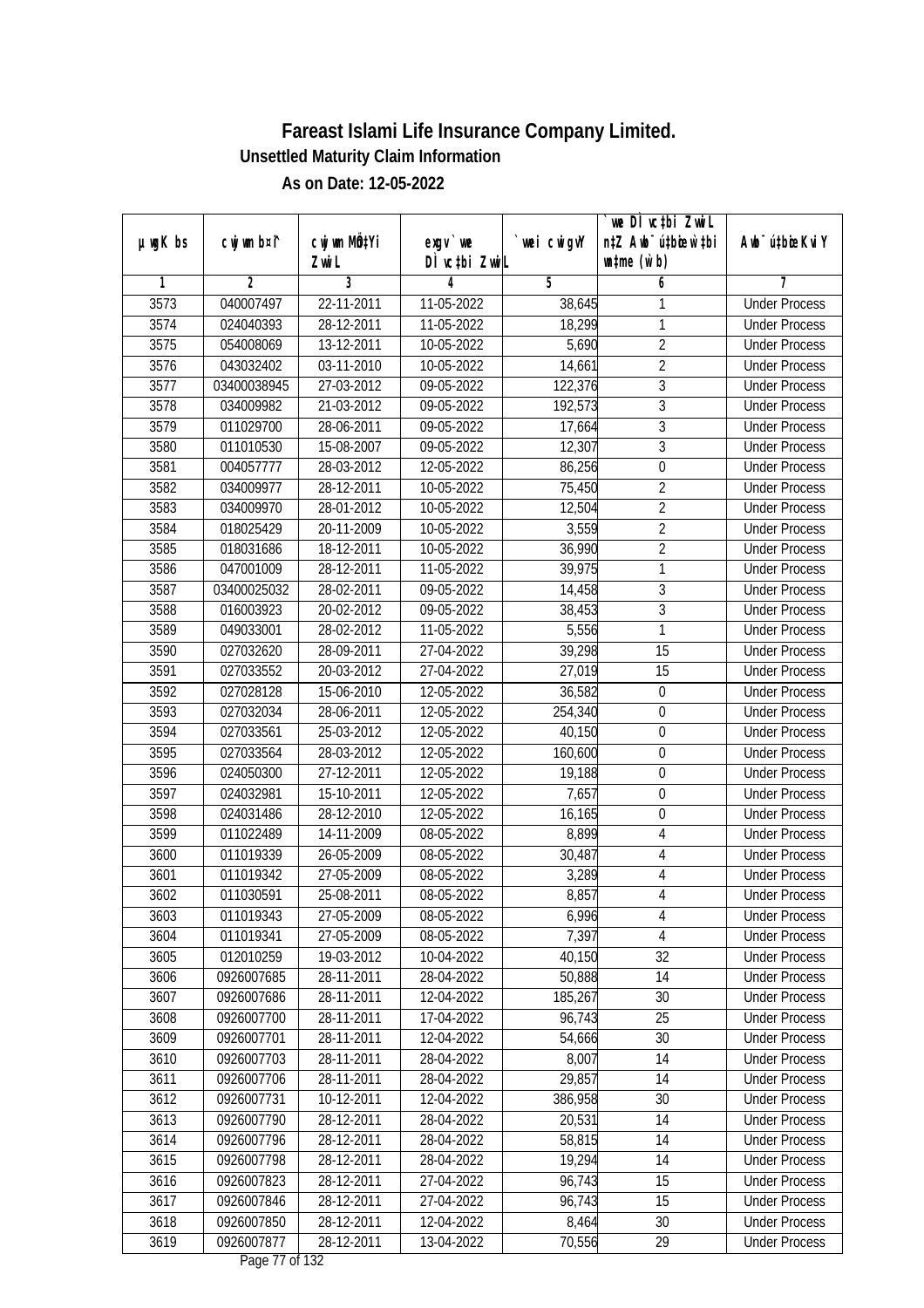|         |                |              |                  |                | we DI vctbi ZwiL                 |                             |
|---------|----------------|--------------|------------------|----------------|----------------------------------|-----------------------------|
| µwgK bs | cwj wm b¤i^    | cwj wm MQtYi | exgy `we         | `wei cwigvY    | n‡Z Awb <sup>-</sup> ú‡bicen`‡bi | Awb <sup>-</sup> ú‡bioeKviY |
|         |                | Zwi L        | DÌ vctbi ZwiL    |                | $\n  untime\n  (u`b)\n$          |                             |
| 1       | $\overline{2}$ | 3            | 4                | $\overline{5}$ | 6                                | 7                           |
| 3573    | 040007497      | 22-11-2011   | 11-05-2022       | 38,645         | 1                                | <b>Under Process</b>        |
| 3574    | 024040393      | 28-12-2011   | 11-05-2022       | 18,299         | 1                                | <b>Under Process</b>        |
| 3575    | 054008069      | 13-12-2011   | 10-05-2022       | 5,690          | $\overline{2}$                   | <b>Under Process</b>        |
| 3576    | 043032402      | 03-11-2010   | 10-05-2022       | 14,661         | $\overline{2}$                   | <b>Under Process</b>        |
| 3577    | 03400038945    | 27-03-2012   | 09-05-2022       | 122,376        | $\overline{3}$                   | <b>Under Process</b>        |
| 3578    | 034009982      | 21-03-2012   | 09-05-2022       | 192,573        | 3                                | <b>Under Process</b>        |
| 3579    | 011029700      | 28-06-2011   | $09 - 05 - 2022$ | 17,664         | $\overline{3}$                   | <b>Under Process</b>        |
| 3580    | 011010530      | 15-08-2007   | 09-05-2022       | 12,307         | $\overline{3}$                   | <b>Under Process</b>        |
| 3581    | 004057777      | 28-03-2012   | 12-05-2022       | 86,256         | $\overline{0}$                   | <b>Under Process</b>        |
| 3582    | 034009977      | 28-12-2011   | 10-05-2022       | 75,450         | $\overline{2}$                   | <b>Under Process</b>        |
| 3583    | 034009970      | 28-01-2012   | 10-05-2022       | 12,504         | $\overline{2}$                   | <b>Under Process</b>        |
| 3584    | 018025429      | 20-11-2009   | 10-05-2022       | 3,559          | $\overline{2}$                   | <b>Under Process</b>        |
| 3585    | 018031686      | 18-12-2011   | 10-05-2022       | 36,990         | $\overline{2}$                   | <b>Under Process</b>        |
| 3586    | 047001009      | 28-12-2011   | 11-05-2022       | 39,975         | 1                                | <b>Under Process</b>        |
| 3587    | 03400025032    | 28-02-2011   | 09-05-2022       | 14,458         | 3                                | <b>Under Process</b>        |
| 3588    | 016003923      | 20-02-2012   | 09-05-2022       | 38,453         | 3                                | <b>Under Process</b>        |
| 3589    | 049033001      | 28-02-2012   | 11-05-2022       | 5,556          | 1                                | <b>Under Process</b>        |
| 3590    | 027032620      | 28-09-2011   | 27-04-2022       | 39,298         | 15                               | <b>Under Process</b>        |
| 3591    | 027033552      | 20-03-2012   | 27-04-2022       | 27,019         | 15                               | <b>Under Process</b>        |
| 3592    | 027028128      | 15-06-2010   | 12-05-2022       | 36,582         | 0                                | <b>Under Process</b>        |
| 3593    | 027032034      | 28-06-2011   | 12-05-2022       | 254,340        | $\boldsymbol{0}$                 | <b>Under Process</b>        |
| 3594    | 027033561      | 25-03-2012   | 12-05-2022       | 40,150         | 0                                | <b>Under Process</b>        |
| 3595    | 027033564      | 28-03-2012   | 12-05-2022       | 160,600        | $\boldsymbol{0}$                 | <b>Under Process</b>        |
| 3596    | 024050300      | 27-12-2011   | 12-05-2022       | 19,188         | $\boldsymbol{0}$                 | <b>Under Process</b>        |
| 3597    | 024032981      | 15-10-2011   | 12-05-2022       | 7,657          | $\boldsymbol{0}$                 | <b>Under Process</b>        |
| 3598    | 024031486      | 28-12-2010   | 12-05-2022       | 16,165         | $\boldsymbol{0}$                 | <b>Under Process</b>        |
| 3599    | 011022489      | 14-11-2009   | 08-05-2022       | 8,899          | 4                                | <b>Under Process</b>        |
| 3600    | 011019339      | 26-05-2009   | 08-05-2022       | 30,487         | 4                                | <b>Under Process</b>        |
| 3601    | 011019342      | 27-05-2009   | 08-05-2022       | 3,289          | $\overline{4}$                   | <b>Under Process</b>        |
| 3602    | 011030591      | 25-08-2011   | 08-05-2022       | 8,857          | $\overline{4}$                   | <b>Under Process</b>        |
| 3603    | 011019343      | 27-05-2009   | 08-05-2022       | 6,996          | 4                                | <b>Under Process</b>        |
| 3604    | 011019341      | 27-05-2009   | 08-05-2022       | 7,397          | 4                                | <b>Under Process</b>        |
| 3605    | 012010259      | 19-03-2012   | 10-04-2022       | 40,150         | 32                               | <b>Under Process</b>        |
| 3606    | 0926007685     | 28-11-2011   | 28-04-2022       | 50,888         | 14                               | <b>Under Process</b>        |
| 3607    | 0926007686     | 28-11-2011   | 12-04-2022       | 185,267        | 30                               | <b>Under Process</b>        |
| 3608    | 0926007700     | 28-11-2011   | 17-04-2022       | 96,743         | 25                               | <b>Under Process</b>        |
| 3609    | 0926007701     | 28-11-2011   | 12-04-2022       | 54,666         | 30                               | <b>Under Process</b>        |
| 3610    | 0926007703     | 28-11-2011   | 28-04-2022       | 8,007          | 14                               | <b>Under Process</b>        |
| 3611    | 0926007706     | 28-11-2011   | 28-04-2022       | 29,857         | 14                               | <b>Under Process</b>        |
| 3612    | 0926007731     | 10-12-2011   | 12-04-2022       | 386,958        | 30                               | <b>Under Process</b>        |
| 3613    | 0926007790     | 28-12-2011   | 28-04-2022       | 20,531         | 14                               | <b>Under Process</b>        |
| 3614    | 0926007796     | 28-12-2011   | 28-04-2022       | 58,815         | 14                               | <b>Under Process</b>        |
| 3615    | 0926007798     | 28-12-2011   | 28-04-2022       | 19,294         | 14                               | <b>Under Process</b>        |
| 3616    | 0926007823     | 28-12-2011   | 27-04-2022       | 96,743         | 15                               | <b>Under Process</b>        |
| 3617    | 0926007846     | 28-12-2011   | 27-04-2022       | 96,743         | 15                               | <b>Under Process</b>        |
| 3618    | 0926007850     | 28-12-2011   | 12-04-2022       | 8,464          | 30                               | <b>Under Process</b>        |
| 3619    | 0926007877     | 28-12-2011   | 13-04-2022       | 70,556         | 29                               | <b>Under Process</b>        |
|         |                |              |                  |                |                                  |                             |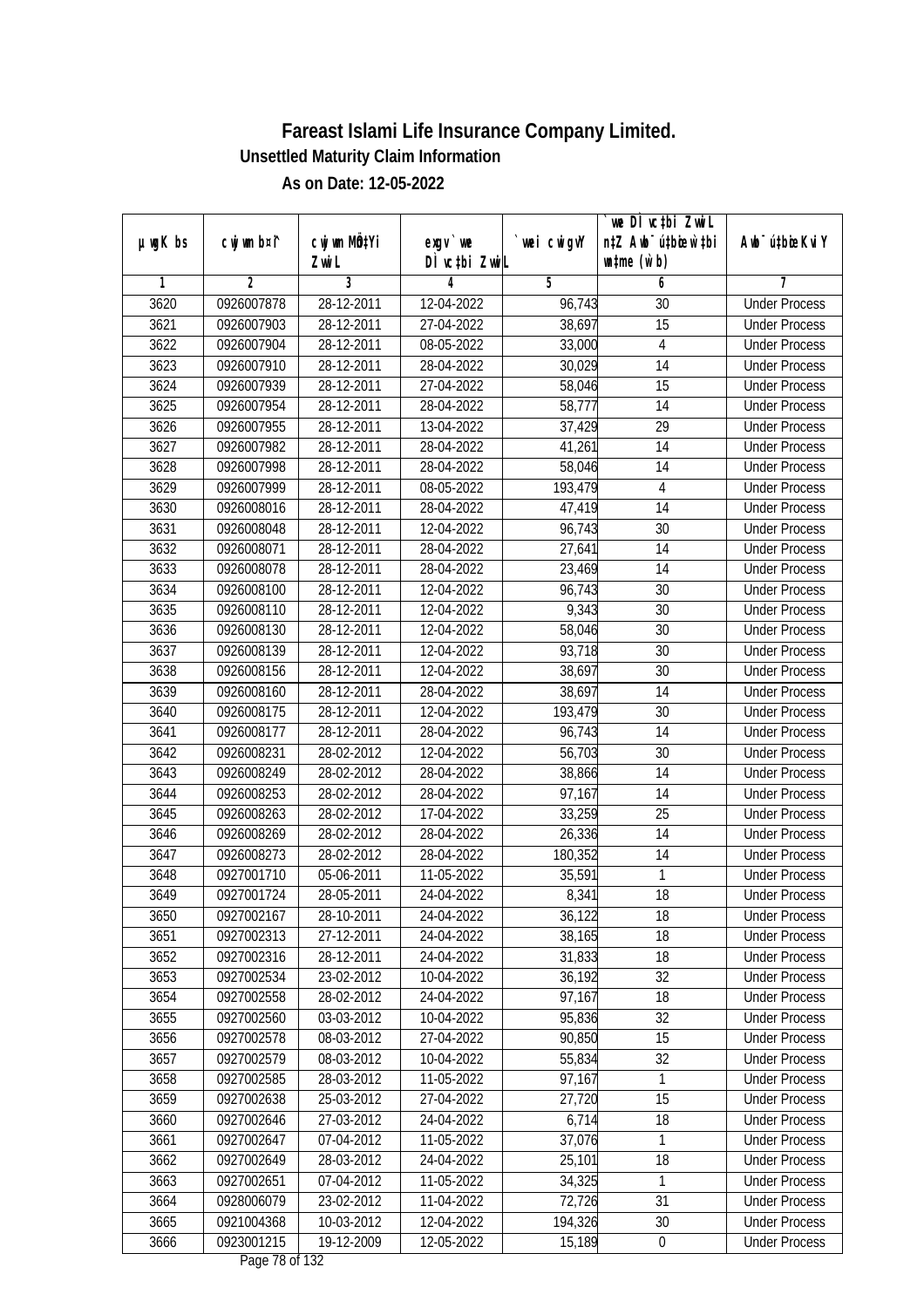|         |                |                 |               |             | we DI vctbi ZwiL                 |                             |
|---------|----------------|-----------------|---------------|-------------|----------------------------------|-----------------------------|
| µwgK bs | cwj wm b¤i^    | cwj wm MQtYi    | exgy `we      | `wei cwigvY | n‡Z Awb <sup>-</sup> ú‡bioar`‡bi | Awb <sup>-</sup> ú‡bioeKviY |
|         |                | Zwi L           | DÌ vctbi ZwiL |             | $\n  untime\n  (u`b)\n$          |                             |
| 1       | $\overline{2}$ | 3<br>28-12-2011 | 4             | 5           | 6                                | 7                           |
| 3620    | 0926007878     |                 | 12-04-2022    | 96,743      | 30                               | <b>Under Process</b>        |
| 3621    | 0926007903     | 28-12-2011      | 27-04-2022    | 38,697      | $\overline{15}$                  | <b>Under Process</b>        |
| 3622    | 0926007904     | 28-12-2011      | 08-05-2022    | 33,000      | $\overline{4}$                   | <b>Under Process</b>        |
| 3623    | 0926007910     | 28-12-2011      | 28-04-2022    | 30,029      | 14                               | <b>Under Process</b>        |
| 3624    | 0926007939     | 28-12-2011      | 27-04-2022    | 58,046      | $\overline{15}$                  | <b>Under Process</b>        |
| 3625    | 0926007954     | 28-12-2011      | 28-04-2022    | 58,777      | 14                               | <b>Under Process</b>        |
| 3626    | 0926007955     | 28-12-2011      | 13-04-2022    | 37,429      | $\overline{29}$                  | <b>Under Process</b>        |
| 3627    | 0926007982     | 28-12-2011      | 28-04-2022    | 41,261      | $\overline{14}$                  | <b>Under Process</b>        |
| 3628    | 0926007998     | 28-12-2011      | 28-04-2022    | 58,046      | 14                               | <b>Under Process</b>        |
| 3629    | 0926007999     | 28-12-2011      | 08-05-2022    | 193,479     | $\overline{4}$                   | <b>Under Process</b>        |
| 3630    | 0926008016     | 28-12-2011      | 28-04-2022    | 47,419      | $\overline{14}$                  | <b>Under Process</b>        |
| 3631    | 0926008048     | 28-12-2011      | 12-04-2022    | 96,743      | 30                               | <b>Under Process</b>        |
| 3632    | 0926008071     | 28-12-2011      | 28-04-2022    | 27,641      | $\overline{14}$                  | <b>Under Process</b>        |
| 3633    | 0926008078     | 28-12-2011      | 28-04-2022    | 23,469      | 14                               | <b>Under Process</b>        |
| 3634    | 0926008100     | 28-12-2011      | 12-04-2022    | 96,743      | 30                               | <b>Under Process</b>        |
| 3635    | 0926008110     | 28-12-2011      | 12-04-2022    | 9,343       | 30                               | <b>Under Process</b>        |
| 3636    | 0926008130     | 28-12-2011      | 12-04-2022    | 58,046      | 30                               | <b>Under Process</b>        |
| 3637    | 0926008139     | 28-12-2011      | 12-04-2022    | 93,718      | 30                               | <b>Under Process</b>        |
| 3638    | 0926008156     | 28-12-2011      | 12-04-2022    | 38,697      | 30                               | <b>Under Process</b>        |
| 3639    | 0926008160     | 28-12-2011      | 28-04-2022    | 38,697      | 14                               | <b>Under Process</b>        |
| 3640    | 0926008175     | 28-12-2011      | 12-04-2022    | 193,479     | 30                               | <b>Under Process</b>        |
| 3641    | 0926008177     | 28-12-2011      | 28-04-2022    | 96,743      | 14                               | <b>Under Process</b>        |
| 3642    | 0926008231     | 28-02-2012      | 12-04-2022    | 56,703      | 30                               | <b>Under Process</b>        |
| 3643    | 0926008249     | 28-02-2012      | 28-04-2022    | 38,866      | 14                               | <b>Under Process</b>        |
| 3644    | 0926008253     | 28-02-2012      | 28-04-2022    | 97,167      | 14                               | <b>Under Process</b>        |
| 3645    | 0926008263     | 28-02-2012      | 17-04-2022    | 33,259      | 25                               | <b>Under Process</b>        |
| 3646    | 0926008269     | 28-02-2012      | 28-04-2022    | 26,336      | 14                               | <b>Under Process</b>        |
| 3647    | 0926008273     | 28-02-2012      | 28-04-2022    | 180,352     | 14                               | <b>Under Process</b>        |
| 3648    | 0927001710     | 05-06-2011      | 11-05-2022    | 35,591      | 1                                | <b>Under Process</b>        |
| 3649    | 0927001724     | 28-05-2011      | 24-04-2022    | 8,341       | 18                               | <b>Under Process</b>        |
| 3650    | 0927002167     | 28-10-2011      | 24-04-2022    | 36,122      | 18                               | <b>Under Process</b>        |
| 3651    | 0927002313     | 27-12-2011      | 24-04-2022    | 38,165      | 18                               | <b>Under Process</b>        |
| 3652    | 0927002316     | 28-12-2011      | 24-04-2022    | 31,833      | 18                               | <b>Under Process</b>        |
| 3653    | 0927002534     | 23-02-2012      | 10-04-2022    | 36,192      | 32                               | <b>Under Process</b>        |
| 3654    | 0927002558     | 28-02-2012      | 24-04-2022    | 97,167      | 18                               | <b>Under Process</b>        |
| 3655    | 0927002560     | 03-03-2012      | 10-04-2022    | 95,836      | 32                               | <b>Under Process</b>        |
| 3656    | 0927002578     | 08-03-2012      | 27-04-2022    | 90,850      | 15                               | <b>Under Process</b>        |
| 3657    | 0927002579     | 08-03-2012      | 10-04-2022    | 55,834      | 32                               | <b>Under Process</b>        |
| 3658    | 0927002585     | 28-03-2012      | 11-05-2022    | 97,167      | 1                                | <b>Under Process</b>        |
| 3659    | 0927002638     | 25-03-2012      | 27-04-2022    | 27,720      | 15                               | <b>Under Process</b>        |
| 3660    | 0927002646     | 27-03-2012      | 24-04-2022    | 6,714       | 18                               | <b>Under Process</b>        |
| 3661    | 0927002647     | 07-04-2012      | 11-05-2022    | 37,076      | 1                                | <b>Under Process</b>        |
| 3662    | 0927002649     | 28-03-2012      | 24-04-2022    | 25,101      | 18                               | <b>Under Process</b>        |
| 3663    | 0927002651     | 07-04-2012      | 11-05-2022    | 34,325      | 1                                | <b>Under Process</b>        |
| 3664    | 0928006079     | 23-02-2012      | 11-04-2022    | 72,726      | 31                               | <b>Under Process</b>        |
| 3665    | 0921004368     | 10-03-2012      | 12-04-2022    | 194,326     | 30                               | <b>Under Process</b>        |
| 3666    | 0923001215     | 19-12-2009      | 12-05-2022    | 15,189      | 0                                | <b>Under Process</b>        |
|         |                |                 |               |             |                                  |                             |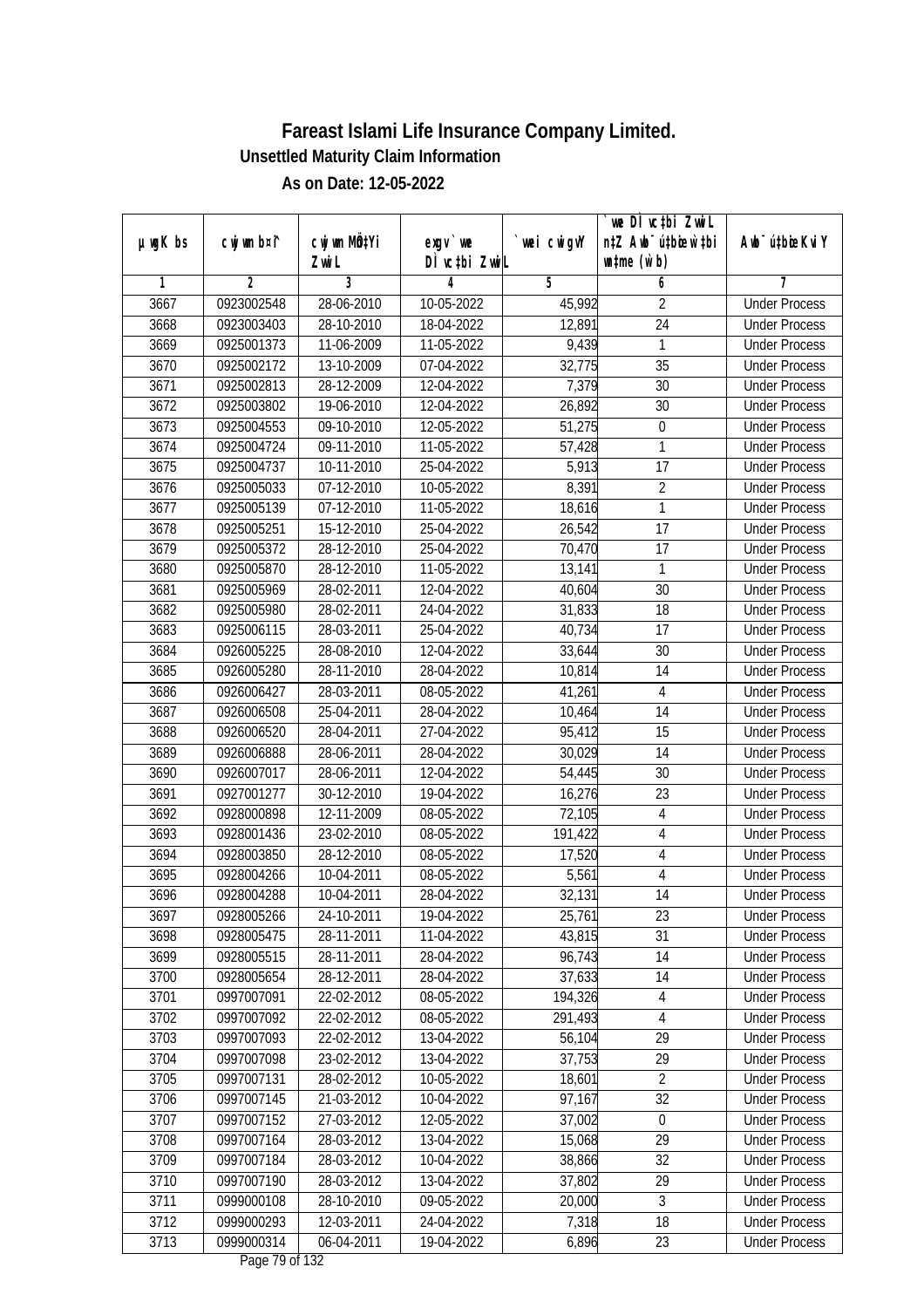|               |                |                           |                              |            | we DI vctbi ZwiL                                            |                             |
|---------------|----------------|---------------------------|------------------------------|------------|-------------------------------------------------------------|-----------------------------|
| $µ$ ug $K$ bs | cwj wm b¤i^    | cwj wm MQtYi<br>Zwi L     | exgv `we<br>DÌ vctbi ZwiL    | wei cwigvY | n‡Z Awb <sup>-</sup> ú‡bicen`‡bi<br>$\n  untime\n  (u`b)\n$ | Awb <sup>-</sup> ú‡bioeKviY |
| 1             | $\overline{2}$ | 3                         | 4                            | 5          | 6                                                           | 7                           |
| 3667          | 0923002548     | 28-06-2010                | 10-05-2022                   | 45,992     | $\overline{2}$                                              | <b>Under Process</b>        |
| 3668          | 0923003403     | 28-10-2010                | 18-04-2022                   | 12,891     | $\overline{24}$                                             | <b>Under Process</b>        |
| 3669          | 0925001373     | 11-06-2009                | 11-05-2022                   | 9,439      | 1                                                           | <b>Under Process</b>        |
| 3670          | 0925002172     | 13-10-2009                | 07-04-2022                   | 32,775     | 35                                                          | <b>Under Process</b>        |
| 3671          | 0925002813     | 28-12-2009                | 12-04-2022                   | 7,379      | 30                                                          | <b>Under Process</b>        |
| 3672          | 0925003802     | 19-06-2010                | 12-04-2022                   | 26,892     | 30                                                          | <b>Under Process</b>        |
| 3673          | 0925004553     | 09-10-2010                | 12-05-2022                   | 51,275     | $\boldsymbol{0}$                                            | <b>Under Process</b>        |
| 3674          | 0925004724     | 09-11-2010                | 11-05-2022                   | 57,428     | 1                                                           | <b>Under Process</b>        |
| 3675          | 0925004737     | 10-11-2010                | 25-04-2022                   | 5,913      | 17                                                          | <b>Under Process</b>        |
| 3676          | 0925005033     | $\overline{07-12} - 2010$ | 10-05-2022                   | 8,391      | $\overline{2}$                                              | <b>Under Process</b>        |
| 3677          | 0925005139     | 07-12-2010                | 11-05-2022                   | 18,616     | $\mathbf{1}$                                                | <b>Under Process</b>        |
| 3678          | 0925005251     | 15-12-2010                | 25-04-2022                   | 26,542     | 17                                                          | <b>Under Process</b>        |
| 3679          | 0925005372     | 28-12-2010                | 25-04-2022                   | 70,470     | $\overline{17}$                                             | <b>Under Process</b>        |
| 3680          | 0925005870     | 28-12-2010                | 11-05-2022                   | 13,141     | 1                                                           | <b>Under Process</b>        |
| 3681          | 0925005969     | 28-02-2011                | 12-04-2022                   | 40,604     | 30                                                          | <b>Under Process</b>        |
| 3682          | 0925005980     | 28-02-2011                | 24-04-2022                   | 31,833     | 18                                                          | <b>Under Process</b>        |
| 3683          | 0925006115     | 28-03-2011                | 25-04-2022                   | 40,734     | 17                                                          | <b>Under Process</b>        |
| 3684          | 0926005225     | 28-08-2010                | 12-04-2022                   | 33,644     | 30                                                          | <b>Under Process</b>        |
| 3685          | 0926005280     | 28-11-2010                | 28-04-2022                   | 10,814     | 14                                                          | <b>Under Process</b>        |
| 3686          | 0926006427     | 28-03-2011                | 08-05-2022                   | 41,261     | 4                                                           | <b>Under Process</b>        |
| 3687          | 0926006508     | 25-04-2011                | 28-04-2022                   | 10,464     | 14                                                          | <b>Under Process</b>        |
| 3688          | 0926006520     | 28-04-2011                | 27-04-2022                   | 95,412     | 15                                                          | <b>Under Process</b>        |
| 3689          | 0926006888     | 28-06-2011                | 28-04-2022                   | 30,029     | 14                                                          | <b>Under Process</b>        |
| 3690          | 0926007017     | 28-06-2011                | 12-04-2022                   | 54,445     | 30                                                          | <b>Under Process</b>        |
| 3691          | 0927001277     | 30-12-2010                | 19-04-2022                   | 16,276     | 23                                                          | <b>Under Process</b>        |
| 3692          | 0928000898     | 12-11-2009                | 08-05-2022                   | 72,105     | $\overline{4}$                                              | <b>Under Process</b>        |
| 3693          | 0928001436     | 23-02-2010                | 08-05-2022                   | 191,422    | 4                                                           | <b>Under Process</b>        |
| 3694          | 0928003850     | 28-12-2010                | 08-05-2022                   | 17,520     | $\overline{4}$                                              | <b>Under Process</b>        |
| 3695          | 0928004266     | 10-04-2011                | 08-05-2022                   | 5,561      | $\overline{4}$                                              | <b>Under Process</b>        |
| 3696          | 0928004288     | 10-04-2011                | 28-04-2022                   | 32,131     | 14                                                          | <b>Under Process</b>        |
| 3697          | 0928005266     | 24-10-2011                | 19-04-2022                   | 25,761     | 23                                                          | <b>Under Process</b>        |
| 3698          | 0928005475     | 28-11-2011                | 11-04-2022                   | 43,815     | 31                                                          | <b>Under Process</b>        |
| 3699          | 0928005515     | 28-11-2011                | 28-04-2022                   | 96,743     | 14                                                          | <b>Under Process</b>        |
| 3700          | 0928005654     | 28-12-2011                | 28-04-2022                   | 37,633     | 14                                                          | <b>Under Process</b>        |
| 3701          | 0997007091     | 22-02-2012                | 08-05-2022                   | 194,326    | 4                                                           | <b>Under Process</b>        |
| 3702          | 0997007092     | 22-02-2012                | 08-05-2022                   | 291,493    | 4                                                           | <b>Under Process</b>        |
| 3703          | 0997007093     | 22-02-2012                | 13-04-2022                   | 56,104     | 29                                                          | <b>Under Process</b>        |
| 3704          | 0997007098     | 23-02-2012                | 13-04-2022                   | 37,753     | 29                                                          | <b>Under Process</b>        |
| 3705          | 0997007131     | 28-02-2012                | 10-05-2022                   | 18,601     | $\overline{2}$                                              | <b>Under Process</b>        |
| 3706          | 0997007145     | 21-03-2012                | 10-04-2022                   | 97,167     | 32                                                          | <b>Under Process</b>        |
| 3707          | 0997007152     | 27-03-2012                | 12-05-2022                   | 37,002     | 0                                                           | <b>Under Process</b>        |
| 3708          | 0997007164     | 28-03-2012                | 13-04-2022                   | 15,068     | 29                                                          | <b>Under Process</b>        |
| 3709          | 0997007184     | 28-03-2012                | 10-04-2022                   | 38,866     | $\overline{32}$                                             | <b>Under Process</b>        |
| 3710          | 0997007190     | 28-03-2012                | 13-04-2022                   | 37,802     | 29                                                          | <b>Under Process</b>        |
| 3711          | 0999000108     | 28-10-2010                | 09-05-2022                   | 20,000     | $\overline{3}$                                              | <b>Under Process</b>        |
| 3712          | 0999000293     | 12-03-2011                | 24-04-2022                   | 7,318      | 18                                                          | <b>Under Process</b>        |
| 3713          | 0999000314     | 06-04-2011                | 19-04-2022<br>Dege 70 of 122 | 6,896      | 23                                                          | <b>Under Process</b>        |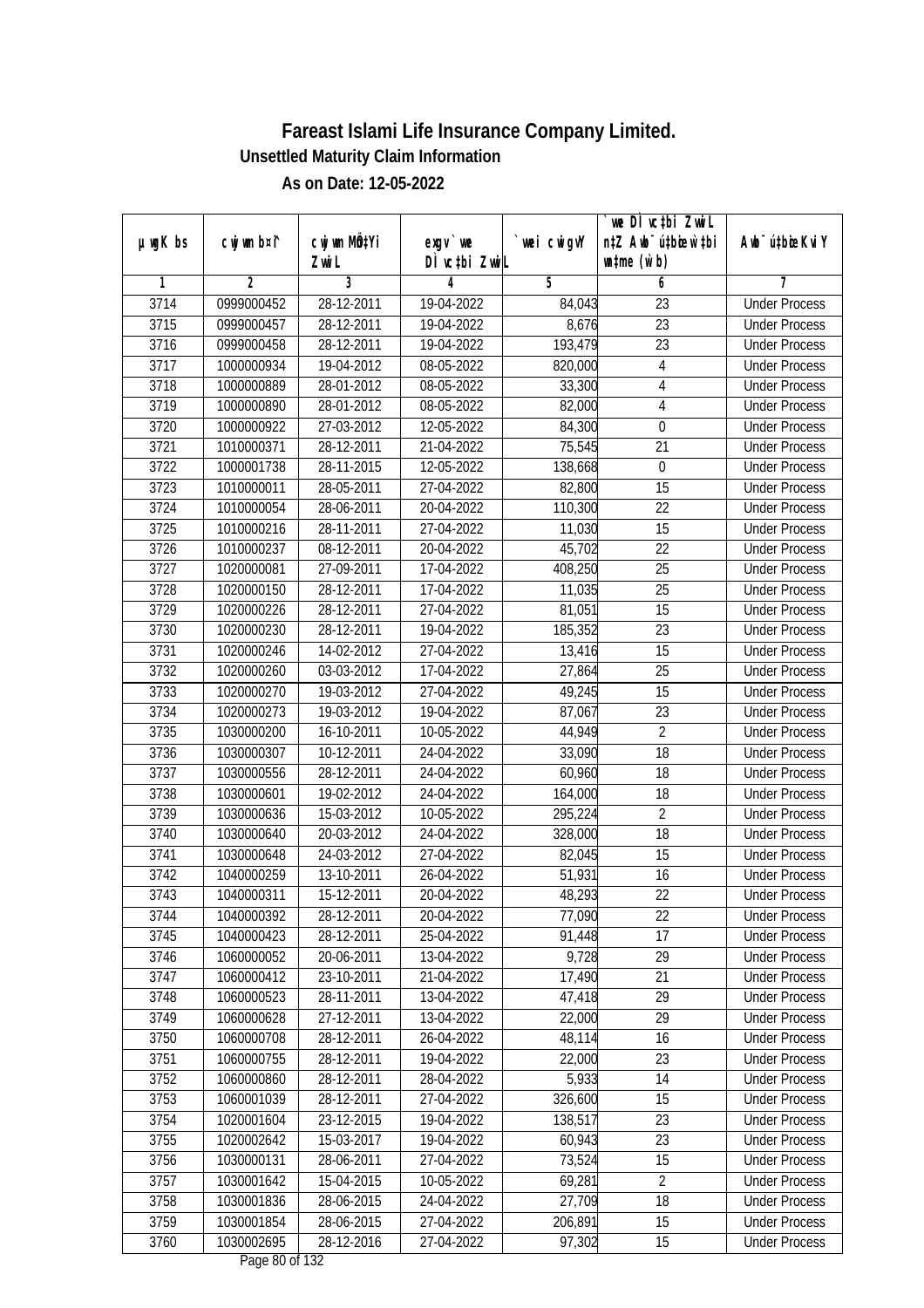|               |                |                       |                           |            | we DI vctbi ZwiL                                            |                             |
|---------------|----------------|-----------------------|---------------------------|------------|-------------------------------------------------------------|-----------------------------|
| $µ$ ug $K$ bs | cwj wm b¤i^    | cwj wm MQtYi<br>Zwi L | exgv `we<br>DÌ vctbi ZwiL | wei cwigvY | n‡Z Awb <sup>-</sup> ú‡bioar`‡bi<br>$\n  untime\n  (u`b)\n$ | Awb <sup>-</sup> ú‡bioeKviY |
| 1             | $\overline{2}$ | 3                     | 4                         | 5          | 6                                                           | 7                           |
| 3714          | 0999000452     | 28-12-2011            | 19-04-2022                | 84,043     | $\overline{23}$                                             | <b>Under Process</b>        |
| 3715          | 0999000457     | 28-12-2011            | 19-04-2022                | 8,676      | $\overline{23}$                                             | <b>Under Process</b>        |
| 3716          | 0999000458     | 28-12-2011            | 19-04-2022                | 193,479    | $\overline{23}$                                             | <b>Under Process</b>        |
| 3717          | 1000000934     | 19-04-2012            | 08-05-2022                | 820,000    | 4                                                           | <b>Under Process</b>        |
| 3718          | 1000000889     | 28-01-2012            | 08-05-2022                | 33,300     | $\overline{4}$                                              | <b>Under Process</b>        |
| 3719          | 1000000890     | 28-01-2012            | 08-05-2022                | 82,000     | 4                                                           | <b>Under Process</b>        |
| 3720          | 1000000922     | 27-03-2012            | 12-05-2022                | 84,300     | $\boldsymbol{0}$                                            | <b>Under Process</b>        |
| 3721          | 1010000371     | 28-12-2011            | 21-04-2022                | 75,545     | 21                                                          | <b>Under Process</b>        |
| 3722          | 1000001738     | 28-11-2015            | 12-05-2022                | 138,668    | $\boldsymbol{0}$                                            | <b>Under Process</b>        |
| 3723          | 1010000011     | 28-05-2011            | 27-04-2022                | 82,800     | 15                                                          | <b>Under Process</b>        |
| 3724          | 1010000054     | 28-06-2011            | 20-04-2022                | 110,300    | $\overline{22}$                                             | <b>Under Process</b>        |
| 3725          | 1010000216     | 28-11-2011            | 27-04-2022                | 11,030     | 15                                                          | <b>Under Process</b>        |
| 3726          | 1010000237     | 08-12-2011            | 20-04-2022                | 45,702     | $\overline{22}$                                             | <b>Under Process</b>        |
| 3727          | 1020000081     | 27-09-2011            | 17-04-2022                | 408,250    | 25                                                          | <b>Under Process</b>        |
| 3728          | 1020000150     | 28-12-2011            | 17-04-2022                | 11,035     | 25                                                          | <b>Under Process</b>        |
| 3729          | 1020000226     | 28-12-2011            | 27-04-2022                | 81,051     | 15                                                          | <b>Under Process</b>        |
| 3730          | 1020000230     | 28-12-2011            | 19-04-2022                | 185,352    | 23                                                          | <b>Under Process</b>        |
| 3731          | 1020000246     | 14-02-2012            | 27-04-2022                | 13,416     | 15                                                          | <b>Under Process</b>        |
| 3732          | 1020000260     | 03-03-2012            | 17-04-2022                | 27,864     | 25                                                          | <b>Under Process</b>        |
| 3733          | 1020000270     | 19-03-2012            | 27-04-2022                | 49,245     | 15                                                          | <b>Under Process</b>        |
| 3734          | 1020000273     | 19-03-2012            | 19-04-2022                | 87,067     | 23                                                          | <b>Under Process</b>        |
| 3735          | 1030000200     | 16-10-2011            | 10-05-2022                | 44,949     | $\overline{2}$                                              | <b>Under Process</b>        |
| 3736          | 1030000307     | 10-12-2011            | 24-04-2022                | 33,090     | 18                                                          | <b>Under Process</b>        |
| 3737          | 1030000556     | 28-12-2011            | 24-04-2022                | 60,960     | 18                                                          | <b>Under Process</b>        |
| 3738          | 1030000601     | 19-02-2012            | 24-04-2022                | 164,000    | 18                                                          | <b>Under Process</b>        |
| 3739          | 1030000636     | 15-03-2012            | 10-05-2022                | 295,224    | $\overline{2}$                                              | <b>Under Process</b>        |
| 3740          | 1030000640     | 20-03-2012            | 24-04-2022                | 328,000    | 18                                                          | <b>Under Process</b>        |
| 3741          | 1030000648     | 24-03-2012            | 27-04-2022                | 82,045     | 15                                                          | <b>Under Process</b>        |
| 3742          | 1040000259     | 13-10-2011            | 26-04-2022                | 51,931     | 16                                                          | <b>Under Process</b>        |
| 3743          | 1040000311     | 15-12-2011            | 20-04-2022                | 48,293     | 22                                                          | <b>Under Process</b>        |
| 3744          | 1040000392     | 28-12-2011            | 20-04-2022                | 77,090     | 22                                                          | <b>Under Process</b>        |
| 3745          | 1040000423     | 28-12-2011            | 25-04-2022                | 91,448     | 17                                                          | <b>Under Process</b>        |
| 3746          | 1060000052     | 20-06-2011            | 13-04-2022                | 9,728      | 29                                                          | <b>Under Process</b>        |
| 3747          | 1060000412     | 23-10-2011            | 21-04-2022                | 17,490     | 21                                                          | <b>Under Process</b>        |
| 3748          | 1060000523     | 28-11-2011            | 13-04-2022                | 47,418     | 29                                                          | <b>Under Process</b>        |
| 3749          | 1060000628     | 27-12-2011            | 13-04-2022                | 22,000     | 29                                                          | <b>Under Process</b>        |
| 3750          | 1060000708     | 28-12-2011            | 26-04-2022                | 48,114     | 16                                                          | <b>Under Process</b>        |
| 3751          | 1060000755     | 28-12-2011            | 19-04-2022                | 22,000     | 23                                                          | <b>Under Process</b>        |
| 3752          | 1060000860     | 28-12-2011            | 28-04-2022                | 5,933      | 14                                                          | <b>Under Process</b>        |
| 3753          | 1060001039     | 28-12-2011            | 27-04-2022                | 326,600    | 15                                                          | <b>Under Process</b>        |
| 3754          | 1020001604     | 23-12-2015            | 19-04-2022                | 138,517    | 23                                                          | <b>Under Process</b>        |
| 3755          | 1020002642     | 15-03-2017            | 19-04-2022                | 60,943     | $\overline{23}$                                             | <b>Under Process</b>        |
| 3756          | 1030000131     | 28-06-2011            | $27 - 04 - 2022$          | 73,524     | 15                                                          | <b>Under Process</b>        |
| 3757          | 1030001642     | 15-04-2015            | 10-05-2022                | 69,281     | $\overline{2}$                                              | <b>Under Process</b>        |
| 3758          | 1030001836     | 28-06-2015            | 24-04-2022                | 27,709     | 18                                                          | <b>Under Process</b>        |
| 3759          | 1030001854     | 28-06-2015            | 27-04-2022                | 206,891    | 15                                                          | <b>Under Process</b>        |
| 3760          | 1030002695     | 28-12-2016            | 27-04-2022                | 97,302     | 15                                                          | <b>Under Process</b>        |
|               |                |                       | $D_{0.82}$ $0.06$ of 122  |            |                                                             |                             |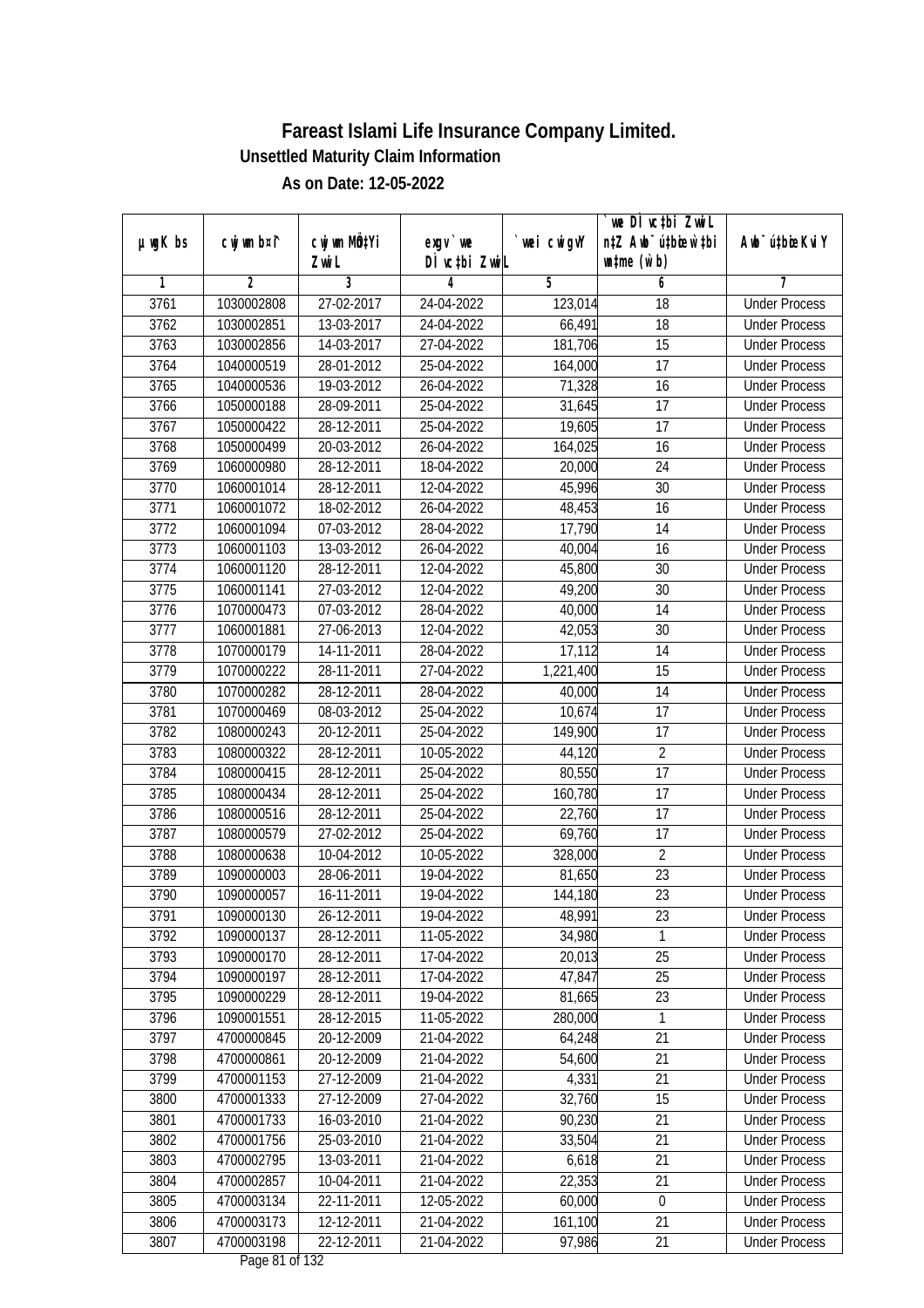|               |                |                       |                              |            | we DI vctbi ZwiL                                            |                             |
|---------------|----------------|-----------------------|------------------------------|------------|-------------------------------------------------------------|-----------------------------|
| $µ$ ug $K$ bs | cwj wm b¤i^    | cwj wm MQtYi<br>Zwi L | exgv `we<br>DÌ vctbi ZwiL    | wei cwigvY | n‡Z Awb <sup>-</sup> ú‡bioar`‡bi<br>$\n  untime\n  (u`b)\n$ | Awb <sup>-</sup> ú‡bioeKviY |
| 1             | $\overline{2}$ | 3                     | 4                            | 5          | 6                                                           | 7                           |
| 3761          | 1030002808     | 27-02-2017            | 24-04-2022                   | 123,014    | $\overline{18}$                                             | <b>Under Process</b>        |
| 3762          | 1030002851     | 13-03-2017            | 24-04-2022                   | 66,491     | 18                                                          | <b>Under Process</b>        |
| 3763          | 1030002856     | 14-03-2017            | 27-04-2022                   | 181,706    | $\overline{15}$                                             | <b>Under Process</b>        |
| 3764          | 1040000519     | 28-01-2012            | 25-04-2022                   | 164,000    | 17                                                          | <b>Under Process</b>        |
| 3765          | 1040000536     | 19-03-2012            | 26-04-2022                   | 71,328     | 16                                                          | <b>Under Process</b>        |
| 3766          | 1050000188     | 28-09-2011            | 25-04-2022                   | 31,645     | $\overline{17}$                                             | <b>Under Process</b>        |
| 3767          | 1050000422     | 28-12-2011            | 25-04-2022                   | 19,605     | 17                                                          | <b>Under Process</b>        |
| 3768          | 1050000499     | 20-03-2012            | 26-04-2022                   | 164,025    | 16                                                          | <b>Under Process</b>        |
| 3769          | 1060000980     | 28-12-2011            | 18-04-2022                   | 20,000     | 24                                                          | <b>Under Process</b>        |
| 3770          | 1060001014     | 28-12-2011            | 12-04-2022                   | 45,996     | 30                                                          | <b>Under Process</b>        |
| 3771          | 1060001072     | 18-02-2012            | 26-04-2022                   | 48,453     | 16                                                          | <b>Under Process</b>        |
| 3772          | 1060001094     | 07-03-2012            | 28-04-2022                   | 17,790     | 14                                                          | <b>Under Process</b>        |
| 3773          | 1060001103     | $13 - 03 - 2012$      | 26-04-2022                   | 40,004     | $\overline{16}$                                             | <b>Under Process</b>        |
| 3774          | 1060001120     | 28-12-2011            | 12-04-2022                   | 45,800     | 30                                                          | <b>Under Process</b>        |
| 3775          | 1060001141     | 27-03-2012            | 12-04-2022                   | 49,200     | 30                                                          | <b>Under Process</b>        |
| 3776          | 1070000473     | 07-03-2012            | 28-04-2022                   | 40,000     | 14                                                          | <b>Under Process</b>        |
| 3777          | 1060001881     | 27-06-2013            | 12-04-2022                   | 42,053     | 30                                                          | <b>Under Process</b>        |
| 3778          | 1070000179     | 14-11-2011            | 28-04-2022                   | 17,112     | 14                                                          | <b>Under Process</b>        |
| 3779          | 1070000222     | 28-11-2011            | 27-04-2022                   | 1,221,400  | 15                                                          | <b>Under Process</b>        |
| 3780          | 1070000282     | 28-12-2011            | 28-04-2022                   | 40,000     | 14                                                          | <b>Under Process</b>        |
| 3781          | 1070000469     | 08-03-2012            | 25-04-2022                   | 10,674     | 17                                                          | <b>Under Process</b>        |
| 3782          | 1080000243     | 20-12-2011            | 25-04-2022                   | 149,900    | 17                                                          | <b>Under Process</b>        |
| 3783          | 1080000322     | 28-12-2011            | 10-05-2022                   | 44,120     | $\overline{2}$                                              | <b>Under Process</b>        |
| 3784          | 1080000415     | 28-12-2011            | 25-04-2022                   | 80,550     | 17                                                          | <b>Under Process</b>        |
| 3785          | 1080000434     | 28-12-2011            | 25-04-2022                   | 160,780    | 17                                                          | <b>Under Process</b>        |
| 3786          | 1080000516     | 28-12-2011            | 25-04-2022                   | 22,760     | 17                                                          | <b>Under Process</b>        |
| 3787          | 1080000579     | 27-02-2012            | 25-04-2022                   | 69,760     | 17                                                          | <b>Under Process</b>        |
| 3788          | 1080000638     | 10-04-2012            | 10-05-2022                   | 328,000    | $\overline{2}$                                              | <b>Under Process</b>        |
| 3789          | 1090000003     | 28-06-2011            | 19-04-2022                   | 81,650     | 23                                                          | <b>Under Process</b>        |
| 3790          | 1090000057     | 16-11-2011            | 19-04-2022                   | 144,180    | 23                                                          | <b>Under Process</b>        |
| 3791          | 1090000130     | 26-12-2011            | 19-04-2022                   | 48,991     | 23                                                          | <b>Under Process</b>        |
| 3792          | 1090000137     | 28-12-2011            | 11-05-2022                   | 34,980     | 1                                                           | <b>Under Process</b>        |
| 3793          | 1090000170     | 28-12-2011            | 17-04-2022                   | 20,013     | 25                                                          | <b>Under Process</b>        |
| 3794          | 1090000197     | 28-12-2011            | 17-04-2022                   | 47,847     | 25                                                          | <b>Under Process</b>        |
| 3795          | 1090000229     | 28-12-2011            | 19-04-2022                   | 81,665     | 23                                                          | <b>Under Process</b>        |
| 3796          | 1090001551     | 28-12-2015            | 11-05-2022                   | 280,000    | 1                                                           | <b>Under Process</b>        |
| 3797          | 4700000845     | 20-12-2009            | 21-04-2022                   | 64,248     | 21                                                          | <b>Under Process</b>        |
| 3798          | 4700000861     | 20-12-2009            | 21-04-2022                   | 54,600     | 21                                                          | <b>Under Process</b>        |
| 3799          | 4700001153     | 27-12-2009            | 21-04-2022                   | 4,331      | 21                                                          | <b>Under Process</b>        |
| 3800          | 4700001333     | 27-12-2009            | 27-04-2022                   | 32,760     | 15                                                          | <b>Under Process</b>        |
| 3801          | 4700001733     | 16-03-2010            | 21-04-2022                   | 90,230     | 21                                                          | <b>Under Process</b>        |
| 3802          | 4700001756     | 25-03-2010            | 21-04-2022                   | 33,504     | 21                                                          | <b>Under Process</b>        |
| 3803          | 4700002795     | 13-03-2011            | 21-04-2022                   | 6,618      | 21                                                          | <b>Under Process</b>        |
| 3804          | 4700002857     | 10-04-2011            | 21-04-2022                   | 22,353     | 21                                                          | <b>Under Process</b>        |
| 3805          | 4700003134     | 22-11-2011            | 12-05-2022                   | 60,000     | $\pmb{0}$                                                   | <b>Under Process</b>        |
| 3806          | 4700003173     | 12-12-2011            | 21-04-2022                   | 161,100    | 21                                                          | <b>Under Process</b>        |
| 3807          | 4700003198     | 22-12-2011            | 21-04-2022<br>Dege 01 of 122 | 97,986     | 21                                                          | <b>Under Process</b>        |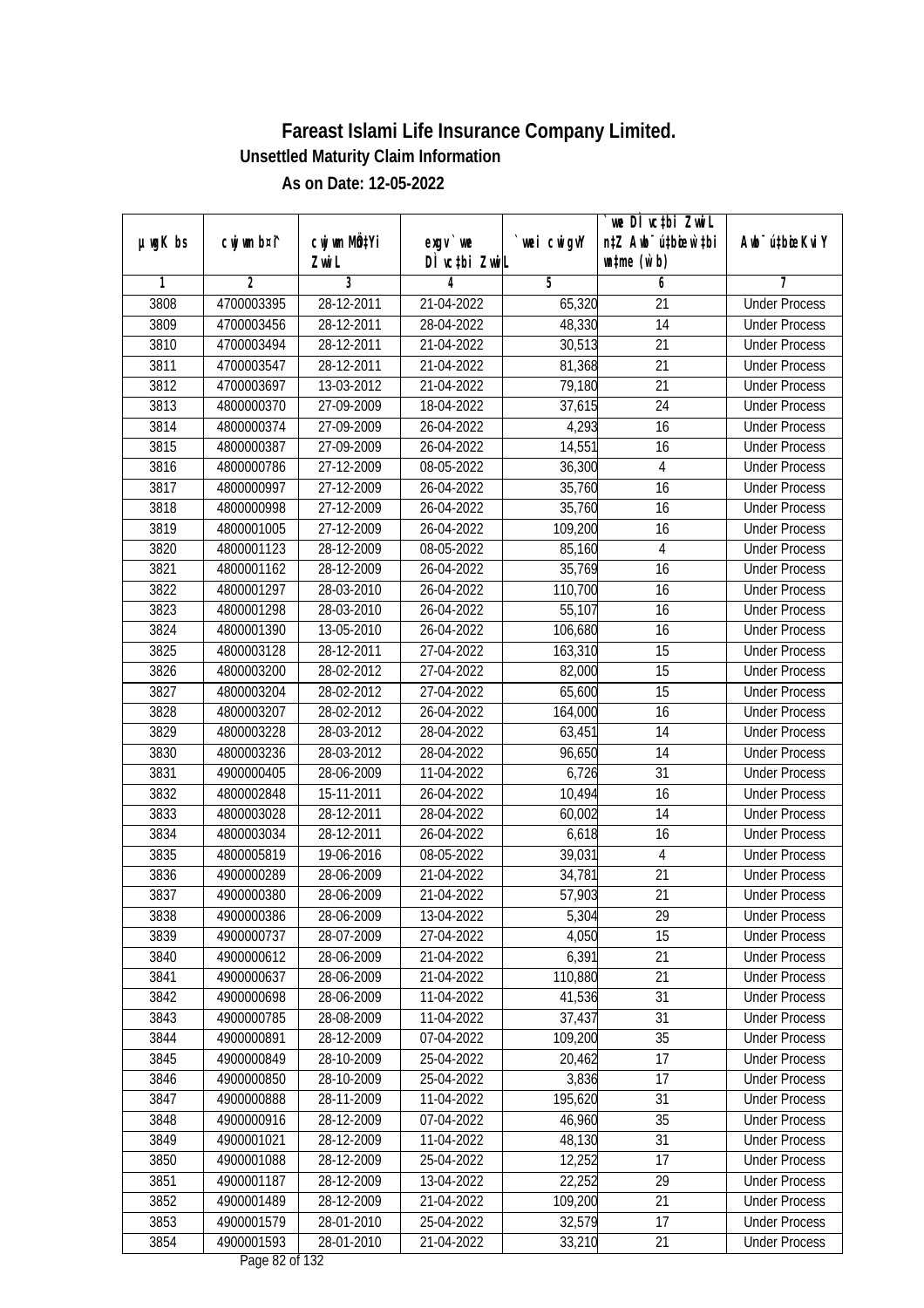|               |                |                           |                                          |             | `we DÌ vc‡bi Zwwi∟               |                             |
|---------------|----------------|---------------------------|------------------------------------------|-------------|----------------------------------|-----------------------------|
| $µ$ ug $K$ bs | cwj wm b¤i^    | cwj wm MQ <sup>1</sup> Yi | $exqu$ we                                | `wei cwigvY | n‡Z Awb <sup>-</sup> ú‡bioen`‡bi | Awb <sup>-</sup> ú‡bioeKviY |
|               |                | Zwi L                     | DÌ vctbi ZwiL                            |             | $\n  untime\n  (u`b)\n$          |                             |
| 1             | $\overline{2}$ | $\overline{3}$            | 4                                        | 5           | 6                                | 7                           |
| 3808          | 4700003395     | 28-12-2011                | 21-04-2022                               | 65,320      | 21                               | <b>Under Process</b>        |
| 3809          | 4700003456     | 28-12-2011                | 28-04-2022                               | 48,330      | $\overline{14}$                  | <b>Under Process</b>        |
| 3810          | 4700003494     | 28-12-2011                | 21-04-2022                               | 30,513      | 21                               | <b>Under Process</b>        |
| 3811          | 4700003547     | 28-12-2011                | 21-04-2022                               | 81,368      | $\overline{21}$                  | <b>Under Process</b>        |
| 3812          | 4700003697     | 13-03-2012                | 21-04-2022                               | 79,180      | $\overline{21}$                  | <b>Under Process</b>        |
| 3813          | 4800000370     | 27-09-2009                | 18-04-2022                               | 37,615      | $\overline{24}$                  | <b>Under Process</b>        |
| 3814          | 4800000374     | 27-09-2009                | 26-04-2022                               | 4,293       | $\overline{16}$                  | <b>Under Process</b>        |
| 3815          | 4800000387     | 27-09-2009                | 26-04-2022                               | 14,551      | 16                               | <b>Under Process</b>        |
| 3816          | 4800000786     | 27-12-2009                | 08-05-2022                               | 36,300      | 4                                | <b>Under Process</b>        |
| 3817          | 4800000997     | 27-12-2009                | 26-04-2022                               | 35,760      | 16                               | <b>Under Process</b>        |
| 3818          | 4800000998     | 27-12-2009                | 26-04-2022                               | 35,760      | $\overline{16}$                  | <b>Under Process</b>        |
| 3819          | 4800001005     | 27-12-2009                | 26-04-2022                               | 109,200     | 16                               | <b>Under Process</b>        |
| 3820          | 4800001123     | 28-12-2009                | 08-05-2022                               | 85,160      | 4                                | <b>Under Process</b>        |
| 3821          | 4800001162     | 28-12-2009                | 26-04-2022                               | 35,769      | 16                               | <b>Under Process</b>        |
| 3822          | 4800001297     | 28-03-2010                | 26-04-2022                               | 110,700     | 16                               | <b>Under Process</b>        |
| 3823          | 4800001298     | 28-03-2010                | 26-04-2022                               | 55,107      | 16                               | <b>Under Process</b>        |
| 3824          | 4800001390     | 13-05-2010                | 26-04-2022                               | 106,680     | 16                               | <b>Under Process</b>        |
| 3825          | 4800003128     | 28-12-2011                | 27-04-2022                               | 163,310     | 15                               | <b>Under Process</b>        |
| 3826          | 4800003200     | 28-02-2012                | 27-04-2022                               | 82,000      | 15                               | <b>Under Process</b>        |
| 3827          | 4800003204     | 28-02-2012                | 27-04-2022                               | 65,600      | 15                               | <b>Under Process</b>        |
| 3828          | 4800003207     | 28-02-2012                | 26-04-2022                               | 164,000     | 16                               | <b>Under Process</b>        |
| 3829          | 4800003228     | 28-03-2012                | 28-04-2022                               | 63,451      | 14                               | <b>Under Process</b>        |
| 3830          | 4800003236     | 28-03-2012                | 28-04-2022                               | 96,650      | 14                               | <b>Under Process</b>        |
| 3831          | 4900000405     | 28-06-2009                | 11-04-2022                               | 6,726       | 31                               | <b>Under Process</b>        |
| 3832          | 4800002848     | 15-11-2011                | 26-04-2022                               | 10,494      | 16                               | <b>Under Process</b>        |
| 3833          | 4800003028     | 28-12-2011                | 28-04-2022                               | 60,002      | 14                               | <b>Under Process</b>        |
| 3834          | 4800003034     | 28-12-2011                | 26-04-2022                               | 6,618       | 16                               | <b>Under Process</b>        |
| 3835          | 4800005819     | 19-06-2016                | 08-05-2022                               | 39,031      | 4                                | <b>Under Process</b>        |
| 3836          | 4900000289     | 28-06-2009                | 21-04-2022                               | 34,781      | 21                               | <b>Under Process</b>        |
| 3837          | 4900000380     | 28-06-2009                | 21-04-2022                               | 57,903      | 21                               | <b>Under Process</b>        |
| 3838          | 4900000386     | 28-06-2009                | 13-04-2022                               | 5,304       | 29                               | <b>Under Process</b>        |
| 3839          | 4900000737     | 28-07-2009                | 27-04-2022                               | 4,050       | 15                               | <b>Under Process</b>        |
| 3840          | 4900000612     | 28-06-2009                | 21-04-2022                               | 6,391       | 21                               | <b>Under Process</b>        |
| 3841          | 4900000637     | 28-06-2009                | 21-04-2022                               | 110,880     | 21                               | <b>Under Process</b>        |
| 3842          | 4900000698     | 28-06-2009                | 11-04-2022                               | 41,536      | 31                               | <b>Under Process</b>        |
| 3843          | 4900000785     | 28-08-2009                | 11-04-2022                               | 37,437      | 31                               | <b>Under Process</b>        |
| 3844          | 4900000891     | 28-12-2009                | 07-04-2022                               | 109,200     | 35                               | <b>Under Process</b>        |
| 3845          | 4900000849     | 28-10-2009                | 25-04-2022                               | 20,462      | 17                               | <b>Under Process</b>        |
| 3846          | 4900000850     | 28-10-2009                | 25-04-2022                               | 3,836       | 17                               | <b>Under Process</b>        |
| 3847          | 4900000888     | 28-11-2009                | 11-04-2022                               | 195,620     | 31                               | <b>Under Process</b>        |
| 3848          | 4900000916     | 28-12-2009                | 07-04-2022                               | 46,960      | 35                               | <b>Under Process</b>        |
| 3849          | 4900001021     | 28-12-2009                | 11-04-2022                               | 48,130      | 31                               | <b>Under Process</b>        |
| 3850          | 4900001088     | 28-12-2009                | 25-04-2022                               | 12,252      | 17                               | <b>Under Process</b>        |
| 3851          | 4900001187     | 28-12-2009                | 13-04-2022                               | 22,252      | 29                               | <b>Under Process</b>        |
| 3852          | 4900001489     | 28-12-2009                | 21-04-2022                               | 109,200     | 21                               | <b>Under Process</b>        |
| 3853          | 4900001579     | 28-01-2010                | 25-04-2022                               | 32,579      | 17                               | <b>Under Process</b>        |
| 3854          | 4900001593     | 28-01-2010                | 21-04-2022<br>$D_{\text{max}}$ 00 of 100 | 33,210      | 21                               | <b>Under Process</b>        |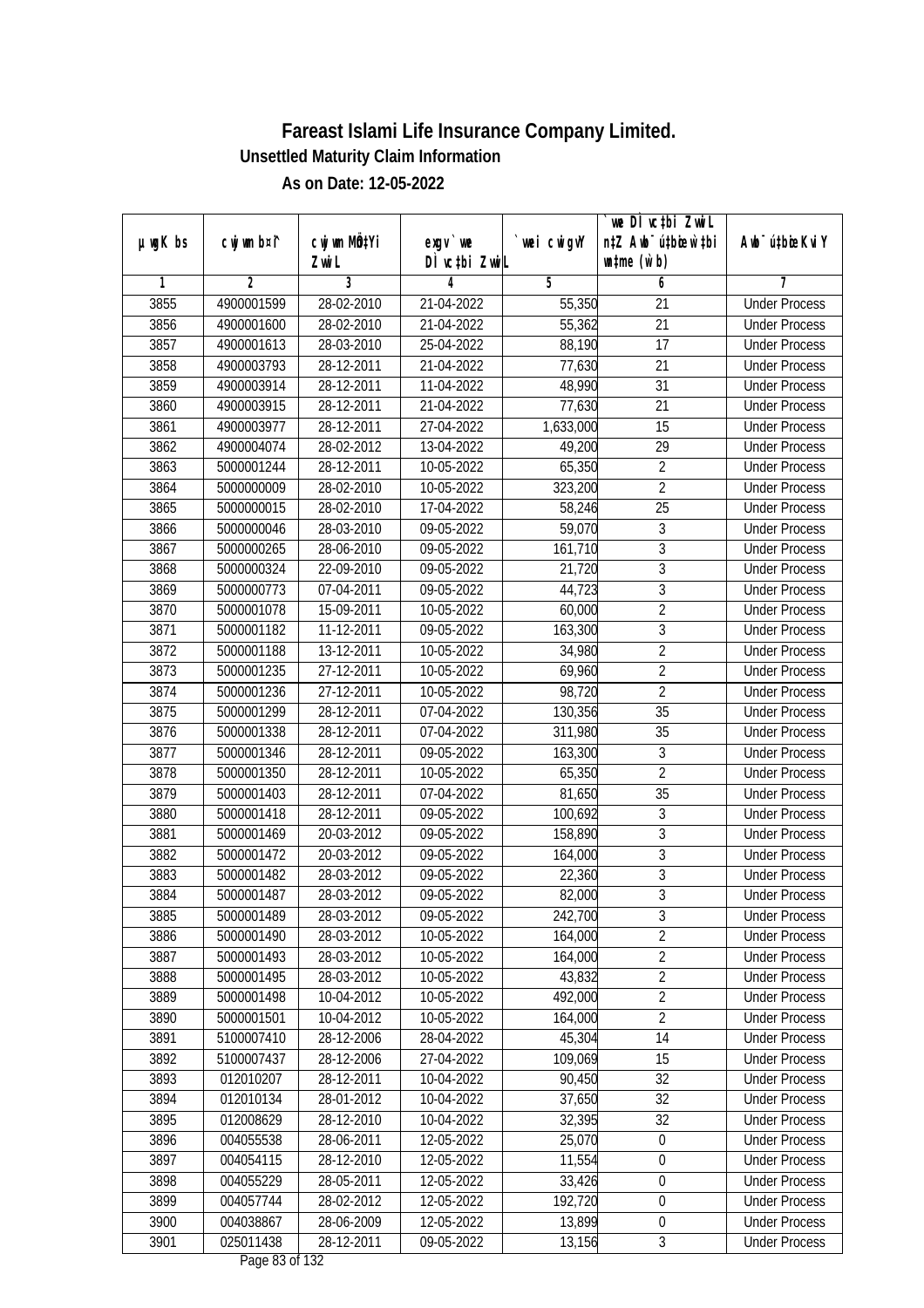|               |                |                       |                                |            | we DI vctbi ZwiL<br>n‡Z Awb <sup>-</sup> ú‡bioen`‡bi |                             |
|---------------|----------------|-----------------------|--------------------------------|------------|------------------------------------------------------|-----------------------------|
| $µ$ ug $K$ bs | cwj wm b¤i^    | cwj wm MQtYi<br>Zwi L | $exgV$ we<br>DÌ vctbi ZwiL     | wei cwigvY | $\n  untime\n  (u`b)\n$                              | Awb <sup>-</sup> ú‡bioeKviY |
| 1             | $\overline{2}$ | 3                     | 4                              | 5          | 6                                                    | 7                           |
| 3855          | 4900001599     | 28-02-2010            | 21-04-2022                     | 55,350     | $\overline{21}$                                      | <b>Under Process</b>        |
| 3856          | 4900001600     | 28-02-2010            | 21-04-2022                     | 55,362     | $\overline{21}$                                      | <b>Under Process</b>        |
| 3857          | 4900001613     | 28-03-2010            | 25-04-2022                     | 88,190     | 17                                                   | <b>Under Process</b>        |
| 3858          | 4900003793     | 28-12-2011            | 21-04-2022                     | 77,630     | 21                                                   | <b>Under Process</b>        |
| 3859          | 4900003914     | 28-12-2011            | 11-04-2022                     | 48,990     | $\overline{31}$                                      | <b>Under Process</b>        |
| 3860          | 4900003915     | 28-12-2011            | 21-04-2022                     | 77,630     | $\overline{21}$                                      | <b>Under Process</b>        |
| 3861          | 4900003977     | 28-12-2011            | 27-04-2022                     | 1,633,000  | 15                                                   | <b>Under Process</b>        |
| 3862          | 4900004074     | 28-02-2012            | 13-04-2022                     | 49,200     | 29                                                   | <b>Under Process</b>        |
| 3863          | 5000001244     | 28-12-2011            | 10-05-2022                     | 65,350     | $\overline{2}$                                       | <b>Under Process</b>        |
| 3864          | 5000000009     | 28-02-2010            | 10-05-2022                     | 323,200    | $\overline{2}$                                       | <b>Under Process</b>        |
| 3865          | 5000000015     | 28-02-2010            | 17-04-2022                     | 58,246     | $\overline{25}$                                      | <b>Under Process</b>        |
| 3866          | 5000000046     | 28-03-2010            | 09-05-2022                     | 59,070     | $\sqrt{3}$                                           | <b>Under Process</b>        |
| 3867          | 5000000265     | 28-06-2010            | 09-05-2022                     | 161,710    | $\overline{3}$                                       | <b>Under Process</b>        |
| 3868          | 5000000324     | 22-09-2010            | 09-05-2022                     | 21,720     | $\sqrt{3}$                                           | <b>Under Process</b>        |
| 3869          | 5000000773     | 07-04-2011            | 09-05-2022                     | 44,723     | $\overline{3}$                                       | <b>Under Process</b>        |
| 3870          | 5000001078     | 15-09-2011            | 10-05-2022                     | 60,000     | $\overline{2}$                                       | <b>Under Process</b>        |
| 3871          | 5000001182     | 11-12-2011            | 09-05-2022                     | 163,300    | $\mathfrak z$                                        | <b>Under Process</b>        |
| 3872          | 5000001188     | 13-12-2011            | 10-05-2022                     | 34,980     | $\overline{2}$                                       | <b>Under Process</b>        |
| 3873          | 5000001235     | 27-12-2011            | 10-05-2022                     | 69,960     | $\overline{2}$                                       | <b>Under Process</b>        |
| 3874          | 5000001236     | 27-12-2011            | 10-05-2022                     | 98,720     | $\overline{2}$                                       | <b>Under Process</b>        |
| 3875          | 5000001299     | 28-12-2011            | 07-04-2022                     | 130,356    | 35                                                   | <b>Under Process</b>        |
| 3876          | 5000001338     | 28-12-2011            | 07-04-2022                     | 311,980    | 35                                                   | <b>Under Process</b>        |
| 3877          | 5000001346     | 28-12-2011            | $\overline{0}$ 9-05-2022       | 163,300    | 3                                                    | <b>Under Process</b>        |
| 3878          | 5000001350     | 28-12-2011            | 10-05-2022                     | 65,350     | $\overline{2}$                                       | <b>Under Process</b>        |
| 3879          | 5000001403     | 28-12-2011            | 07-04-2022                     | 81,650     | 35                                                   | <b>Under Process</b>        |
| 3880          | 5000001418     | 28-12-2011            | 09-05-2022                     | 100,692    | $\sqrt{3}$                                           | <b>Under Process</b>        |
| 3881          | 5000001469     | 20-03-2012            | 09-05-2022                     | 158,890    | $\mathfrak{Z}$                                       | <b>Under Process</b>        |
| 3882          | 5000001472     | 20-03-2012            | 09-05-2022                     | 164,000    | $\overline{3}$                                       | <b>Under Process</b>        |
| 3883          | 5000001482     | 28-03-2012            | 09-05-2022                     | 22,360     | $\overline{3}$                                       | <b>Under Process</b>        |
| 3884          | 5000001487     | 28-03-2012            | 09-05-2022                     | 82,000     | $\overline{3}$                                       | <b>Under Process</b>        |
| 3885          | 5000001489     | 28-03-2012            | 09-05-2022                     | 242,700    | 3                                                    | <b>Under Process</b>        |
| 3886          | 5000001490     | 28-03-2012            | 10-05-2022                     | 164,000    | $\overline{2}$                                       | <b>Under Process</b>        |
| 3887          | 5000001493     | 28-03-2012            | 10-05-2022                     | 164,000    | $\overline{2}$                                       | <b>Under Process</b>        |
| 3888          | 5000001495     | 28-03-2012            | 10-05-2022                     | 43,832     | $\overline{2}$                                       | <b>Under Process</b>        |
| 3889          | 5000001498     | 10-04-2012            | 10-05-2022                     | 492,000    | $\overline{2}$                                       | <b>Under Process</b>        |
| 3890          | 5000001501     | 10-04-2012            | 10-05-2022                     | 164,000    | $\overline{2}$                                       | <b>Under Process</b>        |
| 3891          | 5100007410     | 28-12-2006            | 28-04-2022                     | 45,304     | 14                                                   | <b>Under Process</b>        |
| 3892          | 5100007437     | 28-12-2006            | 27-04-2022                     | 109,069    | 15                                                   | <b>Under Process</b>        |
| 3893          | 012010207      | 28-12-2011            | 10-04-2022                     | 90,450     | 32                                                   | <b>Under Process</b>        |
| 3894          | 012010134      | 28-01-2012            | 10-04-2022                     | 37,650     | 32                                                   | <b>Under Process</b>        |
| 3895          | 012008629      | 28-12-2010            | 10-04-2022                     | 32,395     | 32                                                   | <b>Under Process</b>        |
| 3896          | 004055538      | 28-06-2011            | 12-05-2022                     | 25,070     | $\boldsymbol{0}$                                     | <b>Under Process</b>        |
| 3897          | 004054115      | 28-12-2010            | 12-05-2022                     | 11,554     | $\boldsymbol{0}$                                     | <b>Under Process</b>        |
| 3898          | 004055229      | 28-05-2011            | 12-05-2022                     | 33,426     | $\boldsymbol{0}$                                     | <b>Under Process</b>        |
| 3899          | 004057744      | 28-02-2012            | 12-05-2022                     | 192,720    | $\boldsymbol{0}$                                     | <b>Under Process</b>        |
| 3900          | 004038867      | 28-06-2009            | 12-05-2022                     | 13,899     | $\boldsymbol{0}$                                     | <b>Under Process</b>        |
| 3901          | 025011438      | 28-12-2011            | 09-05-2022<br>Dege $02$ of 122 | 13,156     | $\mathfrak{Z}$                                       | <b>Under Process</b>        |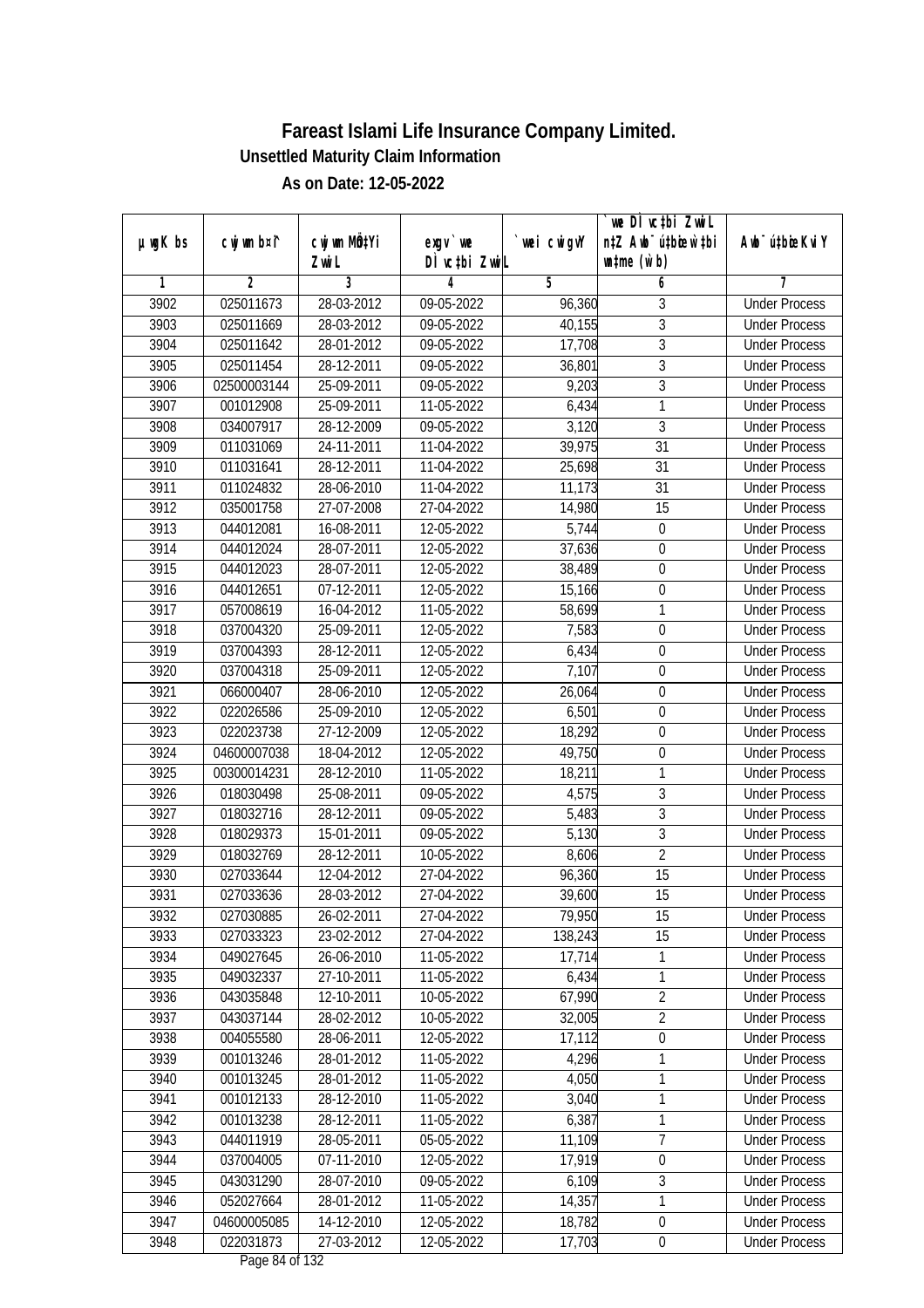| DÌ vctbi ZwiL<br>$\n  untime\n  (u`b)\n$<br>Zwi L<br>3<br>2<br>5<br>6<br>1<br>4<br>7<br>025011673<br>3902<br>28-03-2012<br>09-05-2022<br>96,360<br>3<br><b>Under Process</b><br>$\overline{3}$<br>3903<br>28-03-2012<br>$09-05-2022$<br>025011669<br>40,155<br><b>Under Process</b><br>$\overline{3}$<br>3904<br>025011642<br>28-01-2012<br>09-05-2022<br>17,708<br><b>Under Process</b><br>$\overline{3}$<br>3905<br>025011454<br>28-12-2011<br>09-05-2022<br>36,801<br><b>Under Process</b><br>$\overline{3}$<br>3906<br>02500003144<br>25-09-2011<br>09-05-2022<br>9,203<br><b>Under Process</b><br>1<br>3907<br>001012908<br>25-09-2011<br>11-05-2022<br>6,434<br><b>Under Process</b><br>$\overline{3}$<br>3,120<br>3908<br>034007917<br>28-12-2009<br>$09 - 05 - 2022$<br><b>Under Process</b><br>3909<br>011031069<br>39,975<br>31<br>24-11-2011<br>11-04-2022<br><b>Under Process</b><br>3910<br>011031641<br>28-12-2011<br>11-04-2022<br>25,698<br>31<br><b>Under Process</b><br>3911<br>011024832<br>28-06-2010<br>31<br>11-04-2022<br>11,173<br><b>Under Process</b><br>3912<br>$\overline{15}$<br>035001758<br>27-07-2008<br>27-04-2022<br>14,980<br><b>Under Process</b><br>3913<br>12-05-2022<br>5,744<br>044012081<br>16-08-2011<br>$\boldsymbol{0}$<br><b>Under Process</b><br>$\overline{0}$<br>3914<br>044012024<br>28-07-2011<br>12-05-2022<br>37,636<br><b>Under Process</b><br>3915<br>044012023<br>28-07-2011<br>12-05-2022<br>38,489<br>$\boldsymbol{0}$<br><b>Under Process</b><br>3916<br>044012651<br>07-12-2011<br>12-05-2022<br>15,166<br>$\boldsymbol{0}$<br><b>Under Process</b><br>3917<br>1<br>057008619<br>16-04-2012<br>11-05-2022<br>58,699<br><b>Under Process</b><br>25-09-2011<br>7,583<br>$\mathbf 0$<br>3918<br>037004320<br>12-05-2022<br><b>Under Process</b><br>$\boldsymbol{0}$<br>3919<br>037004393<br>28-12-2011<br>12-05-2022<br>6,434<br><b>Under Process</b><br>3920<br>25-09-2011<br>12-05-2022<br>7,107<br>$\boldsymbol{0}$<br>037004318<br><b>Under Process</b><br>3921<br>066000407<br>28-06-2010<br>12-05-2022<br>26,064<br><b>Under Process</b><br>0<br>3922<br>022026586<br>25-09-2010<br>12-05-2022<br>6,501<br>$\mathbf 0$<br><b>Under Process</b><br>18,292<br>3923<br>022023738<br>27-12-2009<br>12-05-2022<br>$\mathbf 0$<br><b>Under Process</b><br>3924<br>18-04-2012<br>12-05-2022<br>49,750<br>$\boldsymbol{0}$<br>04600007038<br><b>Under Process</b><br>$\mathbf{1}$<br>3925<br>00300014231<br>28-12-2010<br>11-05-2022<br>18,211<br><b>Under Process</b><br>$\mathfrak{Z}$<br>3926<br>018030498<br>25-08-2011<br>09-05-2022<br>4,575<br><b>Under Process</b><br>3<br>3927<br>018032716<br>28-12-2011<br>09-05-2022<br>5,483<br><b>Under Process</b><br>$\mathfrak{Z}$<br>5,130<br>3928<br>018029373<br>15-01-2011<br>09-05-2022<br><b>Under Process</b><br>$\overline{2}$<br>3929<br>018032769<br>28-12-2011<br>10-05-2022<br>8,606<br><b>Under Process</b><br>3930<br>15<br>027033644<br>12-04-2012<br>27-04-2022<br>96,360<br><b>Under Process</b><br>3931<br>39,600<br>15<br>027033636<br>28-03-2012<br>27-04-2022<br><b>Under Process</b><br>3932<br>027030885<br>26-02-2011<br>27-04-2022<br>79,950<br>15<br><b>Under Process</b><br>027033323<br>138,243<br>3933<br>23-02-2012<br>27-04-2022<br>15<br><b>Under Process</b><br>3934<br>049027645<br>26-06-2010<br>11-05-2022<br>17,714<br>1<br><b>Under Process</b><br>1<br>3935<br>27-10-2011<br>049032337<br>11-05-2022<br>6,434<br><b>Under Process</b><br>$\overline{2}$<br>3936<br>12-10-2011<br>67,990<br>043035848<br>10-05-2022<br><b>Under Process</b><br>3937<br>$\overline{2}$<br>043037144<br>28-02-2012<br>10-05-2022<br>32,005<br><b>Under Process</b><br>17,112<br>$\boldsymbol{0}$<br>3938<br>004055580<br>28-06-2011<br>12-05-2022<br><b>Under Process</b><br>3939<br>4,296<br>1<br>001013246<br>28-01-2012<br>11-05-2022<br><b>Under Process</b><br>4,050<br>1<br>3940<br>001013245<br>28-01-2012<br>11-05-2022<br><b>Under Process</b><br>$\mathbf{1}$<br>3,040<br>3941<br>001012133<br>28-12-2010<br>11-05-2022<br><b>Under Process</b><br>6,387<br>1<br>3942<br>001013238<br>28-12-2011<br>11-05-2022<br><b>Under Process</b><br>$\overline{7}$<br>044011919<br>28-05-2011<br>3943<br>05-05-2022<br>11,109<br><b>Under Process</b><br>3944<br>037004005<br>07-11-2010<br>17,919<br>$\boldsymbol{0}$<br>12-05-2022<br><b>Under Process</b><br>3<br>3945<br>043031290<br>28-07-2010<br>09-05-2022<br>6,109<br><b>Under Process</b><br>1<br>3946<br>14,357<br>052027664<br>28-01-2012<br>11-05-2022<br><b>Under Process</b><br>3947<br>14-12-2010<br>18,782<br>$\boldsymbol{0}$<br>04600005085<br>12-05-2022<br><b>Under Process</b><br>3948<br>022031873<br>27-03-2012<br>17,703<br>12-05-2022<br>$\pmb{0}$<br><b>Under Process</b> |               |             |              |           |            | we DI vctbi ZwiL<br>n‡Z Awb <sup>-</sup> ú‡bioar`‡bi |                             |
|---------------------------------------------------------------------------------------------------------------------------------------------------------------------------------------------------------------------------------------------------------------------------------------------------------------------------------------------------------------------------------------------------------------------------------------------------------------------------------------------------------------------------------------------------------------------------------------------------------------------------------------------------------------------------------------------------------------------------------------------------------------------------------------------------------------------------------------------------------------------------------------------------------------------------------------------------------------------------------------------------------------------------------------------------------------------------------------------------------------------------------------------------------------------------------------------------------------------------------------------------------------------------------------------------------------------------------------------------------------------------------------------------------------------------------------------------------------------------------------------------------------------------------------------------------------------------------------------------------------------------------------------------------------------------------------------------------------------------------------------------------------------------------------------------------------------------------------------------------------------------------------------------------------------------------------------------------------------------------------------------------------------------------------------------------------------------------------------------------------------------------------------------------------------------------------------------------------------------------------------------------------------------------------------------------------------------------------------------------------------------------------------------------------------------------------------------------------------------------------------------------------------------------------------------------------------------------------------------------------------------------------------------------------------------------------------------------------------------------------------------------------------------------------------------------------------------------------------------------------------------------------------------------------------------------------------------------------------------------------------------------------------------------------------------------------------------------------------------------------------------------------------------------------------------------------------------------------------------------------------------------------------------------------------------------------------------------------------------------------------------------------------------------------------------------------------------------------------------------------------------------------------------------------------------------------------------------------------------------------------------------------------------------------------------------------------------------------------------------------------------------------------------------------------------------------------------------------------------------------------------------------------------------------------------------------------------------------------------------------------------------------------------------------------------------------------------------------------------------------------------------------------------------------------------------------------------------------------------------------------------------------------------------------------------------------------------------------------------------------------------------------------------------------------------------------------------------------------------------------------------------------------------------------------------------------------------------------------------------------------------------------------------------------------------------------------------------------------------------------------------------------------------------|---------------|-------------|--------------|-----------|------------|------------------------------------------------------|-----------------------------|
|                                                                                                                                                                                                                                                                                                                                                                                                                                                                                                                                                                                                                                                                                                                                                                                                                                                                                                                                                                                                                                                                                                                                                                                                                                                                                                                                                                                                                                                                                                                                                                                                                                                                                                                                                                                                                                                                                                                                                                                                                                                                                                                                                                                                                                                                                                                                                                                                                                                                                                                                                                                                                                                                                                                                                                                                                                                                                                                                                                                                                                                                                                                                                                                                                                                                                                                                                                                                                                                                                                                                                                                                                                                                                                                                                                                                                                                                                                                                                                                                                                                                                                                                                                                                                                                                                                                                                                                                                                                                                                                                                                                                                                                                                                                                                                                 | $µ$ ug $K$ bs | cwj wm b¤i^ | cwj wm MQtYi | $exgV$ we | wei cwigvY |                                                      | Awb <sup>-</sup> ú‡bioeKviY |
|                                                                                                                                                                                                                                                                                                                                                                                                                                                                                                                                                                                                                                                                                                                                                                                                                                                                                                                                                                                                                                                                                                                                                                                                                                                                                                                                                                                                                                                                                                                                                                                                                                                                                                                                                                                                                                                                                                                                                                                                                                                                                                                                                                                                                                                                                                                                                                                                                                                                                                                                                                                                                                                                                                                                                                                                                                                                                                                                                                                                                                                                                                                                                                                                                                                                                                                                                                                                                                                                                                                                                                                                                                                                                                                                                                                                                                                                                                                                                                                                                                                                                                                                                                                                                                                                                                                                                                                                                                                                                                                                                                                                                                                                                                                                                                                 |               |             |              |           |            |                                                      |                             |
|                                                                                                                                                                                                                                                                                                                                                                                                                                                                                                                                                                                                                                                                                                                                                                                                                                                                                                                                                                                                                                                                                                                                                                                                                                                                                                                                                                                                                                                                                                                                                                                                                                                                                                                                                                                                                                                                                                                                                                                                                                                                                                                                                                                                                                                                                                                                                                                                                                                                                                                                                                                                                                                                                                                                                                                                                                                                                                                                                                                                                                                                                                                                                                                                                                                                                                                                                                                                                                                                                                                                                                                                                                                                                                                                                                                                                                                                                                                                                                                                                                                                                                                                                                                                                                                                                                                                                                                                                                                                                                                                                                                                                                                                                                                                                                                 |               |             |              |           |            |                                                      |                             |
|                                                                                                                                                                                                                                                                                                                                                                                                                                                                                                                                                                                                                                                                                                                                                                                                                                                                                                                                                                                                                                                                                                                                                                                                                                                                                                                                                                                                                                                                                                                                                                                                                                                                                                                                                                                                                                                                                                                                                                                                                                                                                                                                                                                                                                                                                                                                                                                                                                                                                                                                                                                                                                                                                                                                                                                                                                                                                                                                                                                                                                                                                                                                                                                                                                                                                                                                                                                                                                                                                                                                                                                                                                                                                                                                                                                                                                                                                                                                                                                                                                                                                                                                                                                                                                                                                                                                                                                                                                                                                                                                                                                                                                                                                                                                                                                 |               |             |              |           |            |                                                      |                             |
|                                                                                                                                                                                                                                                                                                                                                                                                                                                                                                                                                                                                                                                                                                                                                                                                                                                                                                                                                                                                                                                                                                                                                                                                                                                                                                                                                                                                                                                                                                                                                                                                                                                                                                                                                                                                                                                                                                                                                                                                                                                                                                                                                                                                                                                                                                                                                                                                                                                                                                                                                                                                                                                                                                                                                                                                                                                                                                                                                                                                                                                                                                                                                                                                                                                                                                                                                                                                                                                                                                                                                                                                                                                                                                                                                                                                                                                                                                                                                                                                                                                                                                                                                                                                                                                                                                                                                                                                                                                                                                                                                                                                                                                                                                                                                                                 |               |             |              |           |            |                                                      |                             |
|                                                                                                                                                                                                                                                                                                                                                                                                                                                                                                                                                                                                                                                                                                                                                                                                                                                                                                                                                                                                                                                                                                                                                                                                                                                                                                                                                                                                                                                                                                                                                                                                                                                                                                                                                                                                                                                                                                                                                                                                                                                                                                                                                                                                                                                                                                                                                                                                                                                                                                                                                                                                                                                                                                                                                                                                                                                                                                                                                                                                                                                                                                                                                                                                                                                                                                                                                                                                                                                                                                                                                                                                                                                                                                                                                                                                                                                                                                                                                                                                                                                                                                                                                                                                                                                                                                                                                                                                                                                                                                                                                                                                                                                                                                                                                                                 |               |             |              |           |            |                                                      |                             |
|                                                                                                                                                                                                                                                                                                                                                                                                                                                                                                                                                                                                                                                                                                                                                                                                                                                                                                                                                                                                                                                                                                                                                                                                                                                                                                                                                                                                                                                                                                                                                                                                                                                                                                                                                                                                                                                                                                                                                                                                                                                                                                                                                                                                                                                                                                                                                                                                                                                                                                                                                                                                                                                                                                                                                                                                                                                                                                                                                                                                                                                                                                                                                                                                                                                                                                                                                                                                                                                                                                                                                                                                                                                                                                                                                                                                                                                                                                                                                                                                                                                                                                                                                                                                                                                                                                                                                                                                                                                                                                                                                                                                                                                                                                                                                                                 |               |             |              |           |            |                                                      |                             |
|                                                                                                                                                                                                                                                                                                                                                                                                                                                                                                                                                                                                                                                                                                                                                                                                                                                                                                                                                                                                                                                                                                                                                                                                                                                                                                                                                                                                                                                                                                                                                                                                                                                                                                                                                                                                                                                                                                                                                                                                                                                                                                                                                                                                                                                                                                                                                                                                                                                                                                                                                                                                                                                                                                                                                                                                                                                                                                                                                                                                                                                                                                                                                                                                                                                                                                                                                                                                                                                                                                                                                                                                                                                                                                                                                                                                                                                                                                                                                                                                                                                                                                                                                                                                                                                                                                                                                                                                                                                                                                                                                                                                                                                                                                                                                                                 |               |             |              |           |            |                                                      |                             |
|                                                                                                                                                                                                                                                                                                                                                                                                                                                                                                                                                                                                                                                                                                                                                                                                                                                                                                                                                                                                                                                                                                                                                                                                                                                                                                                                                                                                                                                                                                                                                                                                                                                                                                                                                                                                                                                                                                                                                                                                                                                                                                                                                                                                                                                                                                                                                                                                                                                                                                                                                                                                                                                                                                                                                                                                                                                                                                                                                                                                                                                                                                                                                                                                                                                                                                                                                                                                                                                                                                                                                                                                                                                                                                                                                                                                                                                                                                                                                                                                                                                                                                                                                                                                                                                                                                                                                                                                                                                                                                                                                                                                                                                                                                                                                                                 |               |             |              |           |            |                                                      |                             |
|                                                                                                                                                                                                                                                                                                                                                                                                                                                                                                                                                                                                                                                                                                                                                                                                                                                                                                                                                                                                                                                                                                                                                                                                                                                                                                                                                                                                                                                                                                                                                                                                                                                                                                                                                                                                                                                                                                                                                                                                                                                                                                                                                                                                                                                                                                                                                                                                                                                                                                                                                                                                                                                                                                                                                                                                                                                                                                                                                                                                                                                                                                                                                                                                                                                                                                                                                                                                                                                                                                                                                                                                                                                                                                                                                                                                                                                                                                                                                                                                                                                                                                                                                                                                                                                                                                                                                                                                                                                                                                                                                                                                                                                                                                                                                                                 |               |             |              |           |            |                                                      |                             |
|                                                                                                                                                                                                                                                                                                                                                                                                                                                                                                                                                                                                                                                                                                                                                                                                                                                                                                                                                                                                                                                                                                                                                                                                                                                                                                                                                                                                                                                                                                                                                                                                                                                                                                                                                                                                                                                                                                                                                                                                                                                                                                                                                                                                                                                                                                                                                                                                                                                                                                                                                                                                                                                                                                                                                                                                                                                                                                                                                                                                                                                                                                                                                                                                                                                                                                                                                                                                                                                                                                                                                                                                                                                                                                                                                                                                                                                                                                                                                                                                                                                                                                                                                                                                                                                                                                                                                                                                                                                                                                                                                                                                                                                                                                                                                                                 |               |             |              |           |            |                                                      |                             |
|                                                                                                                                                                                                                                                                                                                                                                                                                                                                                                                                                                                                                                                                                                                                                                                                                                                                                                                                                                                                                                                                                                                                                                                                                                                                                                                                                                                                                                                                                                                                                                                                                                                                                                                                                                                                                                                                                                                                                                                                                                                                                                                                                                                                                                                                                                                                                                                                                                                                                                                                                                                                                                                                                                                                                                                                                                                                                                                                                                                                                                                                                                                                                                                                                                                                                                                                                                                                                                                                                                                                                                                                                                                                                                                                                                                                                                                                                                                                                                                                                                                                                                                                                                                                                                                                                                                                                                                                                                                                                                                                                                                                                                                                                                                                                                                 |               |             |              |           |            |                                                      |                             |
|                                                                                                                                                                                                                                                                                                                                                                                                                                                                                                                                                                                                                                                                                                                                                                                                                                                                                                                                                                                                                                                                                                                                                                                                                                                                                                                                                                                                                                                                                                                                                                                                                                                                                                                                                                                                                                                                                                                                                                                                                                                                                                                                                                                                                                                                                                                                                                                                                                                                                                                                                                                                                                                                                                                                                                                                                                                                                                                                                                                                                                                                                                                                                                                                                                                                                                                                                                                                                                                                                                                                                                                                                                                                                                                                                                                                                                                                                                                                                                                                                                                                                                                                                                                                                                                                                                                                                                                                                                                                                                                                                                                                                                                                                                                                                                                 |               |             |              |           |            |                                                      |                             |
|                                                                                                                                                                                                                                                                                                                                                                                                                                                                                                                                                                                                                                                                                                                                                                                                                                                                                                                                                                                                                                                                                                                                                                                                                                                                                                                                                                                                                                                                                                                                                                                                                                                                                                                                                                                                                                                                                                                                                                                                                                                                                                                                                                                                                                                                                                                                                                                                                                                                                                                                                                                                                                                                                                                                                                                                                                                                                                                                                                                                                                                                                                                                                                                                                                                                                                                                                                                                                                                                                                                                                                                                                                                                                                                                                                                                                                                                                                                                                                                                                                                                                                                                                                                                                                                                                                                                                                                                                                                                                                                                                                                                                                                                                                                                                                                 |               |             |              |           |            |                                                      |                             |
|                                                                                                                                                                                                                                                                                                                                                                                                                                                                                                                                                                                                                                                                                                                                                                                                                                                                                                                                                                                                                                                                                                                                                                                                                                                                                                                                                                                                                                                                                                                                                                                                                                                                                                                                                                                                                                                                                                                                                                                                                                                                                                                                                                                                                                                                                                                                                                                                                                                                                                                                                                                                                                                                                                                                                                                                                                                                                                                                                                                                                                                                                                                                                                                                                                                                                                                                                                                                                                                                                                                                                                                                                                                                                                                                                                                                                                                                                                                                                                                                                                                                                                                                                                                                                                                                                                                                                                                                                                                                                                                                                                                                                                                                                                                                                                                 |               |             |              |           |            |                                                      |                             |
|                                                                                                                                                                                                                                                                                                                                                                                                                                                                                                                                                                                                                                                                                                                                                                                                                                                                                                                                                                                                                                                                                                                                                                                                                                                                                                                                                                                                                                                                                                                                                                                                                                                                                                                                                                                                                                                                                                                                                                                                                                                                                                                                                                                                                                                                                                                                                                                                                                                                                                                                                                                                                                                                                                                                                                                                                                                                                                                                                                                                                                                                                                                                                                                                                                                                                                                                                                                                                                                                                                                                                                                                                                                                                                                                                                                                                                                                                                                                                                                                                                                                                                                                                                                                                                                                                                                                                                                                                                                                                                                                                                                                                                                                                                                                                                                 |               |             |              |           |            |                                                      |                             |
|                                                                                                                                                                                                                                                                                                                                                                                                                                                                                                                                                                                                                                                                                                                                                                                                                                                                                                                                                                                                                                                                                                                                                                                                                                                                                                                                                                                                                                                                                                                                                                                                                                                                                                                                                                                                                                                                                                                                                                                                                                                                                                                                                                                                                                                                                                                                                                                                                                                                                                                                                                                                                                                                                                                                                                                                                                                                                                                                                                                                                                                                                                                                                                                                                                                                                                                                                                                                                                                                                                                                                                                                                                                                                                                                                                                                                                                                                                                                                                                                                                                                                                                                                                                                                                                                                                                                                                                                                                                                                                                                                                                                                                                                                                                                                                                 |               |             |              |           |            |                                                      |                             |
|                                                                                                                                                                                                                                                                                                                                                                                                                                                                                                                                                                                                                                                                                                                                                                                                                                                                                                                                                                                                                                                                                                                                                                                                                                                                                                                                                                                                                                                                                                                                                                                                                                                                                                                                                                                                                                                                                                                                                                                                                                                                                                                                                                                                                                                                                                                                                                                                                                                                                                                                                                                                                                                                                                                                                                                                                                                                                                                                                                                                                                                                                                                                                                                                                                                                                                                                                                                                                                                                                                                                                                                                                                                                                                                                                                                                                                                                                                                                                                                                                                                                                                                                                                                                                                                                                                                                                                                                                                                                                                                                                                                                                                                                                                                                                                                 |               |             |              |           |            |                                                      |                             |
|                                                                                                                                                                                                                                                                                                                                                                                                                                                                                                                                                                                                                                                                                                                                                                                                                                                                                                                                                                                                                                                                                                                                                                                                                                                                                                                                                                                                                                                                                                                                                                                                                                                                                                                                                                                                                                                                                                                                                                                                                                                                                                                                                                                                                                                                                                                                                                                                                                                                                                                                                                                                                                                                                                                                                                                                                                                                                                                                                                                                                                                                                                                                                                                                                                                                                                                                                                                                                                                                                                                                                                                                                                                                                                                                                                                                                                                                                                                                                                                                                                                                                                                                                                                                                                                                                                                                                                                                                                                                                                                                                                                                                                                                                                                                                                                 |               |             |              |           |            |                                                      |                             |
|                                                                                                                                                                                                                                                                                                                                                                                                                                                                                                                                                                                                                                                                                                                                                                                                                                                                                                                                                                                                                                                                                                                                                                                                                                                                                                                                                                                                                                                                                                                                                                                                                                                                                                                                                                                                                                                                                                                                                                                                                                                                                                                                                                                                                                                                                                                                                                                                                                                                                                                                                                                                                                                                                                                                                                                                                                                                                                                                                                                                                                                                                                                                                                                                                                                                                                                                                                                                                                                                                                                                                                                                                                                                                                                                                                                                                                                                                                                                                                                                                                                                                                                                                                                                                                                                                                                                                                                                                                                                                                                                                                                                                                                                                                                                                                                 |               |             |              |           |            |                                                      |                             |
|                                                                                                                                                                                                                                                                                                                                                                                                                                                                                                                                                                                                                                                                                                                                                                                                                                                                                                                                                                                                                                                                                                                                                                                                                                                                                                                                                                                                                                                                                                                                                                                                                                                                                                                                                                                                                                                                                                                                                                                                                                                                                                                                                                                                                                                                                                                                                                                                                                                                                                                                                                                                                                                                                                                                                                                                                                                                                                                                                                                                                                                                                                                                                                                                                                                                                                                                                                                                                                                                                                                                                                                                                                                                                                                                                                                                                                                                                                                                                                                                                                                                                                                                                                                                                                                                                                                                                                                                                                                                                                                                                                                                                                                                                                                                                                                 |               |             |              |           |            |                                                      |                             |
|                                                                                                                                                                                                                                                                                                                                                                                                                                                                                                                                                                                                                                                                                                                                                                                                                                                                                                                                                                                                                                                                                                                                                                                                                                                                                                                                                                                                                                                                                                                                                                                                                                                                                                                                                                                                                                                                                                                                                                                                                                                                                                                                                                                                                                                                                                                                                                                                                                                                                                                                                                                                                                                                                                                                                                                                                                                                                                                                                                                                                                                                                                                                                                                                                                                                                                                                                                                                                                                                                                                                                                                                                                                                                                                                                                                                                                                                                                                                                                                                                                                                                                                                                                                                                                                                                                                                                                                                                                                                                                                                                                                                                                                                                                                                                                                 |               |             |              |           |            |                                                      |                             |
|                                                                                                                                                                                                                                                                                                                                                                                                                                                                                                                                                                                                                                                                                                                                                                                                                                                                                                                                                                                                                                                                                                                                                                                                                                                                                                                                                                                                                                                                                                                                                                                                                                                                                                                                                                                                                                                                                                                                                                                                                                                                                                                                                                                                                                                                                                                                                                                                                                                                                                                                                                                                                                                                                                                                                                                                                                                                                                                                                                                                                                                                                                                                                                                                                                                                                                                                                                                                                                                                                                                                                                                                                                                                                                                                                                                                                                                                                                                                                                                                                                                                                                                                                                                                                                                                                                                                                                                                                                                                                                                                                                                                                                                                                                                                                                                 |               |             |              |           |            |                                                      |                             |
|                                                                                                                                                                                                                                                                                                                                                                                                                                                                                                                                                                                                                                                                                                                                                                                                                                                                                                                                                                                                                                                                                                                                                                                                                                                                                                                                                                                                                                                                                                                                                                                                                                                                                                                                                                                                                                                                                                                                                                                                                                                                                                                                                                                                                                                                                                                                                                                                                                                                                                                                                                                                                                                                                                                                                                                                                                                                                                                                                                                                                                                                                                                                                                                                                                                                                                                                                                                                                                                                                                                                                                                                                                                                                                                                                                                                                                                                                                                                                                                                                                                                                                                                                                                                                                                                                                                                                                                                                                                                                                                                                                                                                                                                                                                                                                                 |               |             |              |           |            |                                                      |                             |
|                                                                                                                                                                                                                                                                                                                                                                                                                                                                                                                                                                                                                                                                                                                                                                                                                                                                                                                                                                                                                                                                                                                                                                                                                                                                                                                                                                                                                                                                                                                                                                                                                                                                                                                                                                                                                                                                                                                                                                                                                                                                                                                                                                                                                                                                                                                                                                                                                                                                                                                                                                                                                                                                                                                                                                                                                                                                                                                                                                                                                                                                                                                                                                                                                                                                                                                                                                                                                                                                                                                                                                                                                                                                                                                                                                                                                                                                                                                                                                                                                                                                                                                                                                                                                                                                                                                                                                                                                                                                                                                                                                                                                                                                                                                                                                                 |               |             |              |           |            |                                                      |                             |
|                                                                                                                                                                                                                                                                                                                                                                                                                                                                                                                                                                                                                                                                                                                                                                                                                                                                                                                                                                                                                                                                                                                                                                                                                                                                                                                                                                                                                                                                                                                                                                                                                                                                                                                                                                                                                                                                                                                                                                                                                                                                                                                                                                                                                                                                                                                                                                                                                                                                                                                                                                                                                                                                                                                                                                                                                                                                                                                                                                                                                                                                                                                                                                                                                                                                                                                                                                                                                                                                                                                                                                                                                                                                                                                                                                                                                                                                                                                                                                                                                                                                                                                                                                                                                                                                                                                                                                                                                                                                                                                                                                                                                                                                                                                                                                                 |               |             |              |           |            |                                                      |                             |
|                                                                                                                                                                                                                                                                                                                                                                                                                                                                                                                                                                                                                                                                                                                                                                                                                                                                                                                                                                                                                                                                                                                                                                                                                                                                                                                                                                                                                                                                                                                                                                                                                                                                                                                                                                                                                                                                                                                                                                                                                                                                                                                                                                                                                                                                                                                                                                                                                                                                                                                                                                                                                                                                                                                                                                                                                                                                                                                                                                                                                                                                                                                                                                                                                                                                                                                                                                                                                                                                                                                                                                                                                                                                                                                                                                                                                                                                                                                                                                                                                                                                                                                                                                                                                                                                                                                                                                                                                                                                                                                                                                                                                                                                                                                                                                                 |               |             |              |           |            |                                                      |                             |
|                                                                                                                                                                                                                                                                                                                                                                                                                                                                                                                                                                                                                                                                                                                                                                                                                                                                                                                                                                                                                                                                                                                                                                                                                                                                                                                                                                                                                                                                                                                                                                                                                                                                                                                                                                                                                                                                                                                                                                                                                                                                                                                                                                                                                                                                                                                                                                                                                                                                                                                                                                                                                                                                                                                                                                                                                                                                                                                                                                                                                                                                                                                                                                                                                                                                                                                                                                                                                                                                                                                                                                                                                                                                                                                                                                                                                                                                                                                                                                                                                                                                                                                                                                                                                                                                                                                                                                                                                                                                                                                                                                                                                                                                                                                                                                                 |               |             |              |           |            |                                                      |                             |
|                                                                                                                                                                                                                                                                                                                                                                                                                                                                                                                                                                                                                                                                                                                                                                                                                                                                                                                                                                                                                                                                                                                                                                                                                                                                                                                                                                                                                                                                                                                                                                                                                                                                                                                                                                                                                                                                                                                                                                                                                                                                                                                                                                                                                                                                                                                                                                                                                                                                                                                                                                                                                                                                                                                                                                                                                                                                                                                                                                                                                                                                                                                                                                                                                                                                                                                                                                                                                                                                                                                                                                                                                                                                                                                                                                                                                                                                                                                                                                                                                                                                                                                                                                                                                                                                                                                                                                                                                                                                                                                                                                                                                                                                                                                                                                                 |               |             |              |           |            |                                                      |                             |
|                                                                                                                                                                                                                                                                                                                                                                                                                                                                                                                                                                                                                                                                                                                                                                                                                                                                                                                                                                                                                                                                                                                                                                                                                                                                                                                                                                                                                                                                                                                                                                                                                                                                                                                                                                                                                                                                                                                                                                                                                                                                                                                                                                                                                                                                                                                                                                                                                                                                                                                                                                                                                                                                                                                                                                                                                                                                                                                                                                                                                                                                                                                                                                                                                                                                                                                                                                                                                                                                                                                                                                                                                                                                                                                                                                                                                                                                                                                                                                                                                                                                                                                                                                                                                                                                                                                                                                                                                                                                                                                                                                                                                                                                                                                                                                                 |               |             |              |           |            |                                                      |                             |
|                                                                                                                                                                                                                                                                                                                                                                                                                                                                                                                                                                                                                                                                                                                                                                                                                                                                                                                                                                                                                                                                                                                                                                                                                                                                                                                                                                                                                                                                                                                                                                                                                                                                                                                                                                                                                                                                                                                                                                                                                                                                                                                                                                                                                                                                                                                                                                                                                                                                                                                                                                                                                                                                                                                                                                                                                                                                                                                                                                                                                                                                                                                                                                                                                                                                                                                                                                                                                                                                                                                                                                                                                                                                                                                                                                                                                                                                                                                                                                                                                                                                                                                                                                                                                                                                                                                                                                                                                                                                                                                                                                                                                                                                                                                                                                                 |               |             |              |           |            |                                                      |                             |
|                                                                                                                                                                                                                                                                                                                                                                                                                                                                                                                                                                                                                                                                                                                                                                                                                                                                                                                                                                                                                                                                                                                                                                                                                                                                                                                                                                                                                                                                                                                                                                                                                                                                                                                                                                                                                                                                                                                                                                                                                                                                                                                                                                                                                                                                                                                                                                                                                                                                                                                                                                                                                                                                                                                                                                                                                                                                                                                                                                                                                                                                                                                                                                                                                                                                                                                                                                                                                                                                                                                                                                                                                                                                                                                                                                                                                                                                                                                                                                                                                                                                                                                                                                                                                                                                                                                                                                                                                                                                                                                                                                                                                                                                                                                                                                                 |               |             |              |           |            |                                                      |                             |
|                                                                                                                                                                                                                                                                                                                                                                                                                                                                                                                                                                                                                                                                                                                                                                                                                                                                                                                                                                                                                                                                                                                                                                                                                                                                                                                                                                                                                                                                                                                                                                                                                                                                                                                                                                                                                                                                                                                                                                                                                                                                                                                                                                                                                                                                                                                                                                                                                                                                                                                                                                                                                                                                                                                                                                                                                                                                                                                                                                                                                                                                                                                                                                                                                                                                                                                                                                                                                                                                                                                                                                                                                                                                                                                                                                                                                                                                                                                                                                                                                                                                                                                                                                                                                                                                                                                                                                                                                                                                                                                                                                                                                                                                                                                                                                                 |               |             |              |           |            |                                                      |                             |
|                                                                                                                                                                                                                                                                                                                                                                                                                                                                                                                                                                                                                                                                                                                                                                                                                                                                                                                                                                                                                                                                                                                                                                                                                                                                                                                                                                                                                                                                                                                                                                                                                                                                                                                                                                                                                                                                                                                                                                                                                                                                                                                                                                                                                                                                                                                                                                                                                                                                                                                                                                                                                                                                                                                                                                                                                                                                                                                                                                                                                                                                                                                                                                                                                                                                                                                                                                                                                                                                                                                                                                                                                                                                                                                                                                                                                                                                                                                                                                                                                                                                                                                                                                                                                                                                                                                                                                                                                                                                                                                                                                                                                                                                                                                                                                                 |               |             |              |           |            |                                                      |                             |
|                                                                                                                                                                                                                                                                                                                                                                                                                                                                                                                                                                                                                                                                                                                                                                                                                                                                                                                                                                                                                                                                                                                                                                                                                                                                                                                                                                                                                                                                                                                                                                                                                                                                                                                                                                                                                                                                                                                                                                                                                                                                                                                                                                                                                                                                                                                                                                                                                                                                                                                                                                                                                                                                                                                                                                                                                                                                                                                                                                                                                                                                                                                                                                                                                                                                                                                                                                                                                                                                                                                                                                                                                                                                                                                                                                                                                                                                                                                                                                                                                                                                                                                                                                                                                                                                                                                                                                                                                                                                                                                                                                                                                                                                                                                                                                                 |               |             |              |           |            |                                                      |                             |
|                                                                                                                                                                                                                                                                                                                                                                                                                                                                                                                                                                                                                                                                                                                                                                                                                                                                                                                                                                                                                                                                                                                                                                                                                                                                                                                                                                                                                                                                                                                                                                                                                                                                                                                                                                                                                                                                                                                                                                                                                                                                                                                                                                                                                                                                                                                                                                                                                                                                                                                                                                                                                                                                                                                                                                                                                                                                                                                                                                                                                                                                                                                                                                                                                                                                                                                                                                                                                                                                                                                                                                                                                                                                                                                                                                                                                                                                                                                                                                                                                                                                                                                                                                                                                                                                                                                                                                                                                                                                                                                                                                                                                                                                                                                                                                                 |               |             |              |           |            |                                                      |                             |
|                                                                                                                                                                                                                                                                                                                                                                                                                                                                                                                                                                                                                                                                                                                                                                                                                                                                                                                                                                                                                                                                                                                                                                                                                                                                                                                                                                                                                                                                                                                                                                                                                                                                                                                                                                                                                                                                                                                                                                                                                                                                                                                                                                                                                                                                                                                                                                                                                                                                                                                                                                                                                                                                                                                                                                                                                                                                                                                                                                                                                                                                                                                                                                                                                                                                                                                                                                                                                                                                                                                                                                                                                                                                                                                                                                                                                                                                                                                                                                                                                                                                                                                                                                                                                                                                                                                                                                                                                                                                                                                                                                                                                                                                                                                                                                                 |               |             |              |           |            |                                                      |                             |
|                                                                                                                                                                                                                                                                                                                                                                                                                                                                                                                                                                                                                                                                                                                                                                                                                                                                                                                                                                                                                                                                                                                                                                                                                                                                                                                                                                                                                                                                                                                                                                                                                                                                                                                                                                                                                                                                                                                                                                                                                                                                                                                                                                                                                                                                                                                                                                                                                                                                                                                                                                                                                                                                                                                                                                                                                                                                                                                                                                                                                                                                                                                                                                                                                                                                                                                                                                                                                                                                                                                                                                                                                                                                                                                                                                                                                                                                                                                                                                                                                                                                                                                                                                                                                                                                                                                                                                                                                                                                                                                                                                                                                                                                                                                                                                                 |               |             |              |           |            |                                                      |                             |
|                                                                                                                                                                                                                                                                                                                                                                                                                                                                                                                                                                                                                                                                                                                                                                                                                                                                                                                                                                                                                                                                                                                                                                                                                                                                                                                                                                                                                                                                                                                                                                                                                                                                                                                                                                                                                                                                                                                                                                                                                                                                                                                                                                                                                                                                                                                                                                                                                                                                                                                                                                                                                                                                                                                                                                                                                                                                                                                                                                                                                                                                                                                                                                                                                                                                                                                                                                                                                                                                                                                                                                                                                                                                                                                                                                                                                                                                                                                                                                                                                                                                                                                                                                                                                                                                                                                                                                                                                                                                                                                                                                                                                                                                                                                                                                                 |               |             |              |           |            |                                                      |                             |
|                                                                                                                                                                                                                                                                                                                                                                                                                                                                                                                                                                                                                                                                                                                                                                                                                                                                                                                                                                                                                                                                                                                                                                                                                                                                                                                                                                                                                                                                                                                                                                                                                                                                                                                                                                                                                                                                                                                                                                                                                                                                                                                                                                                                                                                                                                                                                                                                                                                                                                                                                                                                                                                                                                                                                                                                                                                                                                                                                                                                                                                                                                                                                                                                                                                                                                                                                                                                                                                                                                                                                                                                                                                                                                                                                                                                                                                                                                                                                                                                                                                                                                                                                                                                                                                                                                                                                                                                                                                                                                                                                                                                                                                                                                                                                                                 |               |             |              |           |            |                                                      |                             |
|                                                                                                                                                                                                                                                                                                                                                                                                                                                                                                                                                                                                                                                                                                                                                                                                                                                                                                                                                                                                                                                                                                                                                                                                                                                                                                                                                                                                                                                                                                                                                                                                                                                                                                                                                                                                                                                                                                                                                                                                                                                                                                                                                                                                                                                                                                                                                                                                                                                                                                                                                                                                                                                                                                                                                                                                                                                                                                                                                                                                                                                                                                                                                                                                                                                                                                                                                                                                                                                                                                                                                                                                                                                                                                                                                                                                                                                                                                                                                                                                                                                                                                                                                                                                                                                                                                                                                                                                                                                                                                                                                                                                                                                                                                                                                                                 |               |             |              |           |            |                                                      |                             |
|                                                                                                                                                                                                                                                                                                                                                                                                                                                                                                                                                                                                                                                                                                                                                                                                                                                                                                                                                                                                                                                                                                                                                                                                                                                                                                                                                                                                                                                                                                                                                                                                                                                                                                                                                                                                                                                                                                                                                                                                                                                                                                                                                                                                                                                                                                                                                                                                                                                                                                                                                                                                                                                                                                                                                                                                                                                                                                                                                                                                                                                                                                                                                                                                                                                                                                                                                                                                                                                                                                                                                                                                                                                                                                                                                                                                                                                                                                                                                                                                                                                                                                                                                                                                                                                                                                                                                                                                                                                                                                                                                                                                                                                                                                                                                                                 |               |             |              |           |            |                                                      |                             |
|                                                                                                                                                                                                                                                                                                                                                                                                                                                                                                                                                                                                                                                                                                                                                                                                                                                                                                                                                                                                                                                                                                                                                                                                                                                                                                                                                                                                                                                                                                                                                                                                                                                                                                                                                                                                                                                                                                                                                                                                                                                                                                                                                                                                                                                                                                                                                                                                                                                                                                                                                                                                                                                                                                                                                                                                                                                                                                                                                                                                                                                                                                                                                                                                                                                                                                                                                                                                                                                                                                                                                                                                                                                                                                                                                                                                                                                                                                                                                                                                                                                                                                                                                                                                                                                                                                                                                                                                                                                                                                                                                                                                                                                                                                                                                                                 |               |             |              |           |            |                                                      |                             |
|                                                                                                                                                                                                                                                                                                                                                                                                                                                                                                                                                                                                                                                                                                                                                                                                                                                                                                                                                                                                                                                                                                                                                                                                                                                                                                                                                                                                                                                                                                                                                                                                                                                                                                                                                                                                                                                                                                                                                                                                                                                                                                                                                                                                                                                                                                                                                                                                                                                                                                                                                                                                                                                                                                                                                                                                                                                                                                                                                                                                                                                                                                                                                                                                                                                                                                                                                                                                                                                                                                                                                                                                                                                                                                                                                                                                                                                                                                                                                                                                                                                                                                                                                                                                                                                                                                                                                                                                                                                                                                                                                                                                                                                                                                                                                                                 |               |             |              |           |            |                                                      |                             |
|                                                                                                                                                                                                                                                                                                                                                                                                                                                                                                                                                                                                                                                                                                                                                                                                                                                                                                                                                                                                                                                                                                                                                                                                                                                                                                                                                                                                                                                                                                                                                                                                                                                                                                                                                                                                                                                                                                                                                                                                                                                                                                                                                                                                                                                                                                                                                                                                                                                                                                                                                                                                                                                                                                                                                                                                                                                                                                                                                                                                                                                                                                                                                                                                                                                                                                                                                                                                                                                                                                                                                                                                                                                                                                                                                                                                                                                                                                                                                                                                                                                                                                                                                                                                                                                                                                                                                                                                                                                                                                                                                                                                                                                                                                                                                                                 |               |             |              |           |            |                                                      |                             |
|                                                                                                                                                                                                                                                                                                                                                                                                                                                                                                                                                                                                                                                                                                                                                                                                                                                                                                                                                                                                                                                                                                                                                                                                                                                                                                                                                                                                                                                                                                                                                                                                                                                                                                                                                                                                                                                                                                                                                                                                                                                                                                                                                                                                                                                                                                                                                                                                                                                                                                                                                                                                                                                                                                                                                                                                                                                                                                                                                                                                                                                                                                                                                                                                                                                                                                                                                                                                                                                                                                                                                                                                                                                                                                                                                                                                                                                                                                                                                                                                                                                                                                                                                                                                                                                                                                                                                                                                                                                                                                                                                                                                                                                                                                                                                                                 |               |             |              |           |            |                                                      |                             |
|                                                                                                                                                                                                                                                                                                                                                                                                                                                                                                                                                                                                                                                                                                                                                                                                                                                                                                                                                                                                                                                                                                                                                                                                                                                                                                                                                                                                                                                                                                                                                                                                                                                                                                                                                                                                                                                                                                                                                                                                                                                                                                                                                                                                                                                                                                                                                                                                                                                                                                                                                                                                                                                                                                                                                                                                                                                                                                                                                                                                                                                                                                                                                                                                                                                                                                                                                                                                                                                                                                                                                                                                                                                                                                                                                                                                                                                                                                                                                                                                                                                                                                                                                                                                                                                                                                                                                                                                                                                                                                                                                                                                                                                                                                                                                                                 |               |             |              |           |            |                                                      |                             |
|                                                                                                                                                                                                                                                                                                                                                                                                                                                                                                                                                                                                                                                                                                                                                                                                                                                                                                                                                                                                                                                                                                                                                                                                                                                                                                                                                                                                                                                                                                                                                                                                                                                                                                                                                                                                                                                                                                                                                                                                                                                                                                                                                                                                                                                                                                                                                                                                                                                                                                                                                                                                                                                                                                                                                                                                                                                                                                                                                                                                                                                                                                                                                                                                                                                                                                                                                                                                                                                                                                                                                                                                                                                                                                                                                                                                                                                                                                                                                                                                                                                                                                                                                                                                                                                                                                                                                                                                                                                                                                                                                                                                                                                                                                                                                                                 |               |             |              |           |            |                                                      |                             |
|                                                                                                                                                                                                                                                                                                                                                                                                                                                                                                                                                                                                                                                                                                                                                                                                                                                                                                                                                                                                                                                                                                                                                                                                                                                                                                                                                                                                                                                                                                                                                                                                                                                                                                                                                                                                                                                                                                                                                                                                                                                                                                                                                                                                                                                                                                                                                                                                                                                                                                                                                                                                                                                                                                                                                                                                                                                                                                                                                                                                                                                                                                                                                                                                                                                                                                                                                                                                                                                                                                                                                                                                                                                                                                                                                                                                                                                                                                                                                                                                                                                                                                                                                                                                                                                                                                                                                                                                                                                                                                                                                                                                                                                                                                                                                                                 |               |             |              |           |            |                                                      |                             |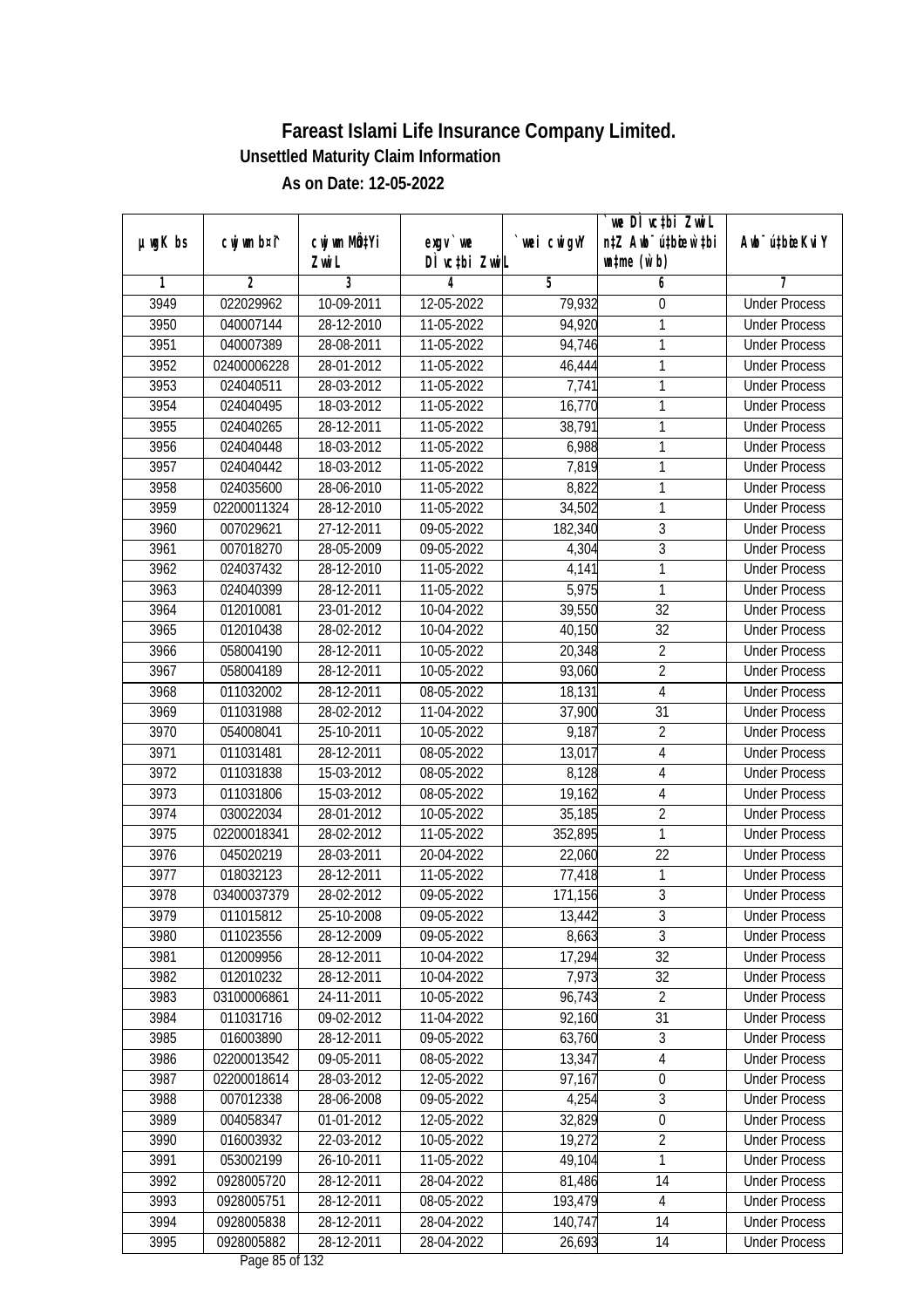|         |                |              |               |             | we DI vctbi ZwiL                 |                             |
|---------|----------------|--------------|---------------|-------------|----------------------------------|-----------------------------|
| µwgK bs | cwj wm b¤i^    | cwj wm MQtYi | exgy `we      | `wei cwigvY | n‡Z Awb <sup>-</sup> ú‡bioar`‡bi | Awb <sup>-</sup> ú‡bioeKviY |
|         |                | Zwi L        | DÌ vctbi ZwiL |             | $\n  untime\n  (u`b)\n$          |                             |
| 1       | $\overline{2}$ | 3            | 4             | 5           | 6                                | 7                           |
| 3949    | 022029962      | 10-09-2011   | 12-05-2022    | 79,932      | 0                                | <b>Under Process</b>        |
| 3950    | 040007144      | 28-12-2010   | $11-05-2022$  | 94,920      | 1                                | <b>Under Process</b>        |
| 3951    | 040007389      | 28-08-2011   | 11-05-2022    | 94,746      | 1                                | <b>Under Process</b>        |
| 3952    | 02400006228    | 28-01-2012   | 11-05-2022    | 46,444      | 1                                | <b>Under Process</b>        |
| 3953    | 024040511      | 28-03-2012   | 11-05-2022    | 7,741       | 1                                | <b>Under Process</b>        |
| 3954    | 024040495      | 18-03-2012   | 11-05-2022    | 16,770      | 1                                | <b>Under Process</b>        |
| 3955    | 024040265      | 28-12-2011   | 11-05-2022    | 38,791      | 1                                | <b>Under Process</b>        |
| 3956    | 024040448      | 18-03-2012   | 11-05-2022    | 6,988       | 1                                | <b>Under Process</b>        |
| 3957    | 024040442      | 18-03-2012   | 11-05-2022    | 7,819       | 1                                | <b>Under Process</b>        |
| 3958    | 024035600      | 28-06-2010   | 11-05-2022    | 8,822       | 1                                | <b>Under Process</b>        |
| 3959    | 02200011324    | 28-12-2010   | 11-05-2022    | 34,502      | 1                                | <b>Under Process</b>        |
| 3960    | 007029621      | 27-12-2011   | 09-05-2022    | 182,340     | 3                                | <b>Under Process</b>        |
| 3961    | 007018270      | 28-05-2009   | 09-05-2022    | 4,304       | $\overline{3}$                   | <b>Under Process</b>        |
| 3962    | 024037432      | 28-12-2010   | 11-05-2022    | 4,141       | $\mathbf{1}$                     | <b>Under Process</b>        |
| 3963    | 024040399      | 28-12-2011   | 11-05-2022    | 5,975       | 1                                | <b>Under Process</b>        |
| 3964    | 012010081      | 23-01-2012   | 10-04-2022    | 39,550      | 32                               | <b>Under Process</b>        |
| 3965    | 012010438      | 28-02-2012   | 10-04-2022    | 40,150      | 32                               | <b>Under Process</b>        |
| 3966    | 058004190      | 28-12-2011   | 10-05-2022    | 20,348      | $\overline{2}$                   | <b>Under Process</b>        |
| 3967    | 058004189      | 28-12-2011   | 10-05-2022    | 93,060      | $\overline{2}$                   | <b>Under Process</b>        |
| 3968    | 011032002      | 28-12-2011   | 08-05-2022    | 18,131      | $\overline{4}$                   | <b>Under Process</b>        |
| 3969    | 011031988      | 28-02-2012   | 11-04-2022    | 37,900      | 31                               | <b>Under Process</b>        |
| 3970    | 054008041      | 25-10-2011   | 10-05-2022    | 9,187       | $\overline{2}$                   | <b>Under Process</b>        |
| 3971    | 011031481      | 28-12-2011   | 08-05-2022    | 13,017      | 4                                | <b>Under Process</b>        |
| 3972    | 011031838      | 15-03-2012   | 08-05-2022    | 8,128       | $\overline{4}$                   | <b>Under Process</b>        |
| 3973    | 011031806      | 15-03-2012   | 08-05-2022    | 19,162      | $\sqrt{4}$                       | <b>Under Process</b>        |
| 3974    | 030022034      | 28-01-2012   | 10-05-2022    | 35,185      | $\overline{2}$                   | <b>Under Process</b>        |
| 3975    | 02200018341    | 28-02-2012   | 11-05-2022    | 352,895     | 1                                | <b>Under Process</b>        |
| 3976    | 045020219      | 28-03-2011   | 20-04-2022    | 22,060      | 22                               | <b>Under Process</b>        |
| 3977    | 018032123      | 28-12-2011   | 11-05-2022    | 77,418      | 1                                | <b>Under Process</b>        |
| 3978    | 03400037379    | 28-02-2012   | 09-05-2022    | 171,156     | $\overline{3}$                   | <b>Under Process</b>        |
| 3979    | 011015812      | 25-10-2008   | 09-05-2022    | 13,442      | 3                                | <b>Under Process</b>        |
| 3980    | 011023556      | 28-12-2009   | 09-05-2022    | 8,663       | $\overline{3}$                   | <b>Under Process</b>        |
| 3981    | 012009956      | 28-12-2011   | 10-04-2022    | 17,294      | 32                               | <b>Under Process</b>        |
| 3982    | 012010232      | 28-12-2011   | 10-04-2022    | 7,973       | 32                               | <b>Under Process</b>        |
| 3983    | 03100006861    | 24-11-2011   | 10-05-2022    | 96,743      | $\overline{2}$                   | <b>Under Process</b>        |
| 3984    | 011031716      | 09-02-2012   | 11-04-2022    | 92,160      | 31                               | <b>Under Process</b>        |
| 3985    | 016003890      | 28-12-2011   | 09-05-2022    | 63,760      | 3                                | <b>Under Process</b>        |
| 3986    | 02200013542    | 09-05-2011   | 08-05-2022    | 13,347      | 4                                | <b>Under Process</b>        |
| 3987    | 02200018614    | 28-03-2012   | 12-05-2022    | 97,167      | $\boldsymbol{0}$                 | <b>Under Process</b>        |
| 3988    | 007012338      | 28-06-2008   | 09-05-2022    | 4,254       | $\overline{3}$                   | <b>Under Process</b>        |
| 3989    | 004058347      | 01-01-2012   | 12-05-2022    | 32,829      | $\boldsymbol{0}$                 | <b>Under Process</b>        |
| 3990    | 016003932      | 22-03-2012   | 10-05-2022    | 19,272      | $\overline{2}$                   | <b>Under Process</b>        |
| 3991    | 053002199      | 26-10-2011   | 11-05-2022    | 49,104      | 1                                | <b>Under Process</b>        |
| 3992    | 0928005720     | 28-12-2011   | 28-04-2022    | 81,486      | 14                               | <b>Under Process</b>        |
| 3993    | 0928005751     | 28-12-2011   | 08-05-2022    | 193,479     | $\sqrt{4}$                       | <b>Under Process</b>        |
| 3994    | 0928005838     | 28-12-2011   | 28-04-2022    | 140,747     | 14                               | <b>Under Process</b>        |
| 3995    | 0928005882     | 28-12-2011   | 28-04-2022    | 26,693      | 14                               | <b>Under Process</b>        |
|         |                |              |               |             |                                  |                             |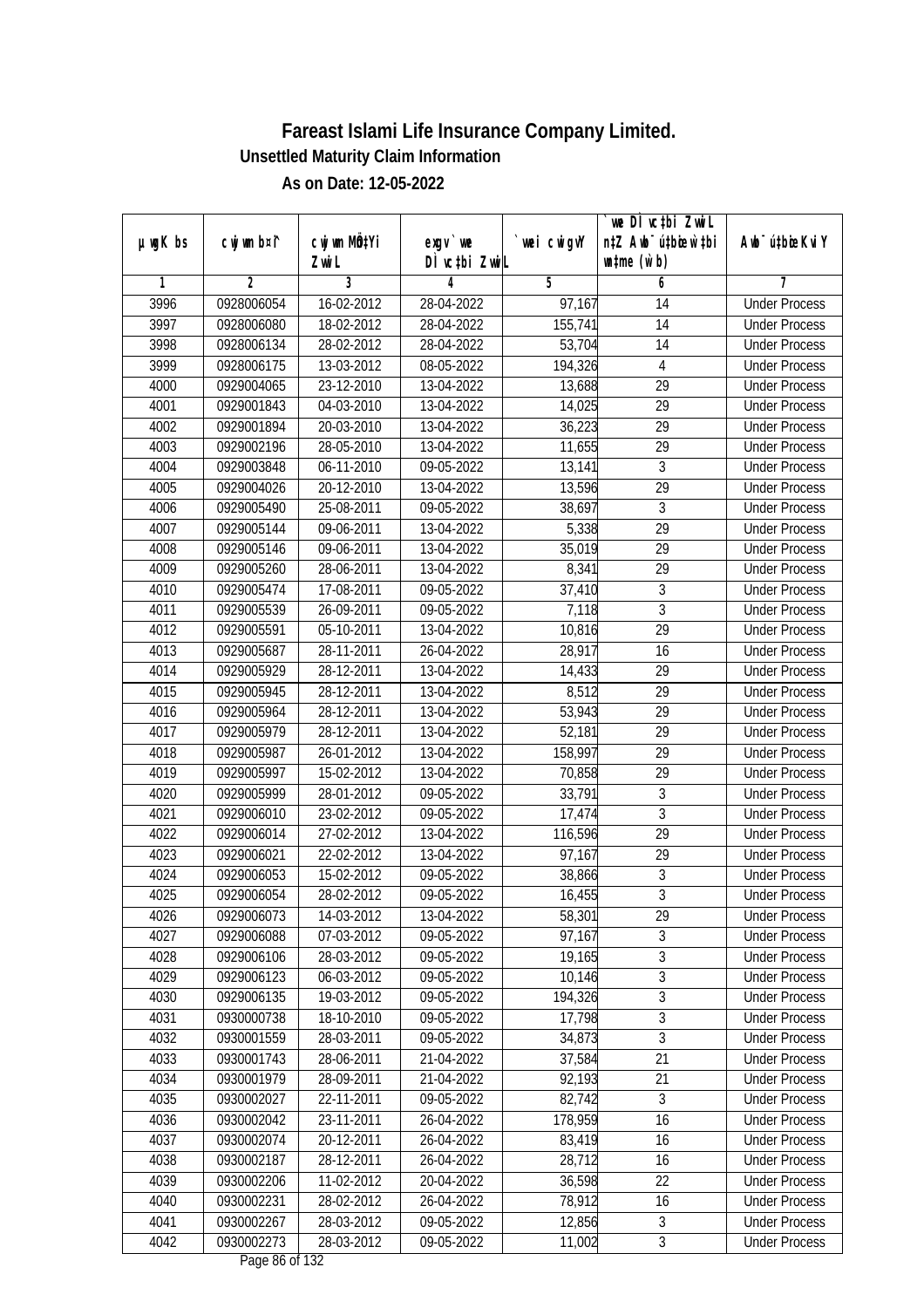|               |             |                       |                             |            | we DI vctbi ZwiL<br>n‡Z Awb <sup>-</sup> ú‡bioar`‡bi |                             |
|---------------|-------------|-----------------------|-----------------------------|------------|------------------------------------------------------|-----------------------------|
| $µ$ ug $K$ bs | cwj wm b¤i^ | cwj wm MQtYi<br>Zwi L | $exgV$ we<br>DÌ vctbi ZwiL  | wei cwigvY | $\n  untime\n  (u`b)\n$                              | Awb <sup>-</sup> ú‡bioeKviY |
| 1             | 2           | 3                     | 4                           | 5          | 6                                                    | 7                           |
| 3996          | 0928006054  | 16-02-2012            | 28-04-2022                  | 97,167     | 14                                                   | <b>Under Process</b>        |
| 3997          | 0928006080  | 18-02-2012            | 28-04-2022                  | 155,741    | 14                                                   | <b>Under Process</b>        |
| 3998          | 0928006134  | 28-02-2012            | 28-04-2022                  | 53,704     | 14                                                   | <b>Under Process</b>        |
| 3999          | 0928006175  | 13-03-2012            | 08-05-2022                  | 194,326    | 4                                                    | <b>Under Process</b>        |
| 4000          | 0929004065  | 23-12-2010            | 13-04-2022                  | 13,688     | $\overline{29}$                                      | <b>Under Process</b>        |
| 4001          | 0929001843  | 04-03-2010            | 13-04-2022                  | 14,025     | $\overline{29}$                                      | <b>Under Process</b>        |
| 4002          | 0929001894  | 20-03-2010            | $\overline{13} - 04 - 2022$ | 36,223     | 29                                                   | <b>Under Process</b>        |
| 4003          | 0929002196  | 28-05-2010            | 13-04-2022                  | 11,655     | 29                                                   | <b>Under Process</b>        |
| 4004          | 0929003848  | 06-11-2010            | 09-05-2022                  | 13,141     | $\overline{3}$                                       | <b>Under Process</b>        |
| 4005          | 0929004026  | 20-12-2010            | 13-04-2022                  | 13,596     | 29                                                   | <b>Under Process</b>        |
| 4006          | 0929005490  | 25-08-2011            | 09-05-2022                  | 38,697     | 3                                                    | <b>Under Process</b>        |
| 4007          | 0929005144  | 09-06-2011            | 13-04-2022                  | 5,338      | 29                                                   | <b>Under Process</b>        |
| 4008          | 0929005146  | 09-06-2011            | 13-04-2022                  | 35,019     | $\overline{29}$                                      | <b>Under Process</b>        |
| 4009          | 0929005260  | 28-06-2011            | 13-04-2022                  | 8,341      | 29                                                   | <b>Under Process</b>        |
| 4010          | 0929005474  | 17-08-2011            | 09-05-2022                  | 37,410     | $\sqrt{3}$                                           | <b>Under Process</b>        |
| 4011          | 0929005539  | 26-09-2011            | 09-05-2022                  | 7,118      | 3                                                    | <b>Under Process</b>        |
| 4012          | 0929005591  | 05-10-2011            | 13-04-2022                  | 10,816     | 29                                                   | <b>Under Process</b>        |
| 4013          | 0929005687  | 28-11-2011            | 26-04-2022                  | 28,917     | 16                                                   | <b>Under Process</b>        |
| 4014          | 0929005929  | 28-12-2011            | 13-04-2022                  | 14,433     | 29                                                   | <b>Under Process</b>        |
| 4015          | 0929005945  | 28-12-2011            | 13-04-2022                  | 8,512      | 29                                                   | <b>Under Process</b>        |
| 4016          | 0929005964  | 28-12-2011            | 13-04-2022                  | 53,943     | 29                                                   | <b>Under Process</b>        |
| 4017          | 0929005979  | 28-12-2011            | 13-04-2022                  | 52,181     | 29                                                   | <b>Under Process</b>        |
| 4018          | 0929005987  | 26-01-2012            | 13-04-2022                  | 158,997    | 29                                                   | <b>Under Process</b>        |
| 4019          | 0929005997  | 15-02-2012            | 13-04-2022                  | 70,858     | 29                                                   | <b>Under Process</b>        |
| 4020          | 0929005999  | 28-01-2012            | 09-05-2022                  | 33,791     | 3                                                    | <b>Under Process</b>        |
| 4021          | 0929006010  | 23-02-2012            | 09-05-2022                  | 17,474     | 3                                                    | <b>Under Process</b>        |
| 4022          | 0929006014  | 27-02-2012            | 13-04-2022                  | 116,596    | 29                                                   | <b>Under Process</b>        |
| 4023          | 0929006021  | 22-02-2012            | 13-04-2022                  | 97,167     | 29                                                   | <b>Under Process</b>        |
| 4024          | 0929006053  | 15-02-2012            | 09-05-2022                  | 38,866     | $\overline{3}$                                       | <b>Under Process</b>        |
| 4025          | 0929006054  | 28-02-2012            | 09-05-2022                  | 16,455     | $\overline{3}$                                       | <b>Under Process</b>        |
| 4026          | 0929006073  | 14-03-2012            | 13-04-2022                  | 58,301     | 29                                                   | <b>Under Process</b>        |
| 4027          | 0929006088  | 07-03-2012            | 09-05-2022                  | 97,167     | 3                                                    | <b>Under Process</b>        |
| 4028          | 0929006106  | 28-03-2012            | 09-05-2022                  | 19,165     | 3                                                    | <b>Under Process</b>        |
| 4029          | 0929006123  | 06-03-2012            | 09-05-2022                  | 10,146     | $\overline{3}$                                       | <b>Under Process</b>        |
| 4030          | 0929006135  | 19-03-2012            | 09-05-2022                  | 194,326    | $\overline{3}$                                       | <b>Under Process</b>        |
| 4031          | 0930000738  | 18-10-2010            | 09-05-2022                  | 17,798     | $\sqrt{3}$                                           | <b>Under Process</b>        |
| 4032          | 0930001559  | 28-03-2011            | 09-05-2022                  | 34,873     | $\overline{3}$                                       | <b>Under Process</b>        |
| 4033          | 0930001743  | 28-06-2011            | 21-04-2022                  | 37,584     | 21                                                   | <b>Under Process</b>        |
| 4034          | 0930001979  | 28-09-2011            | 21-04-2022                  | 92,193     | 21                                                   | <b>Under Process</b>        |
| 4035          | 0930002027  | 22-11-2011            | 09-05-2022                  | 82,742     | 3                                                    | <b>Under Process</b>        |
| 4036          | 0930002042  | 23-11-2011            | 26-04-2022                  | 178,959    | 16                                                   | <b>Under Process</b>        |
| 4037          | 0930002074  | 20-12-2011            | 26-04-2022                  | 83,419     | 16                                                   | <b>Under Process</b>        |
| 4038          | 0930002187  | 28-12-2011            | 26-04-2022                  | 28,712     | 16                                                   | <b>Under Process</b>        |
| 4039          | 0930002206  | 11-02-2012            | 20-04-2022                  | 36,598     | 22                                                   | <b>Under Process</b>        |
| 4040          | 0930002231  | 28-02-2012            | 26-04-2022                  | 78,912     | 16                                                   | <b>Under Process</b>        |
| 4041          | 0930002267  | 28-03-2012            | 09-05-2022                  | 12,856     | $\overline{3}$                                       | <b>Under Process</b>        |
| 4042          | 0930002273  | 28-03-2012            | 09-05-2022                  | 11,002     | $\overline{3}$                                       | <b>Under Process</b>        |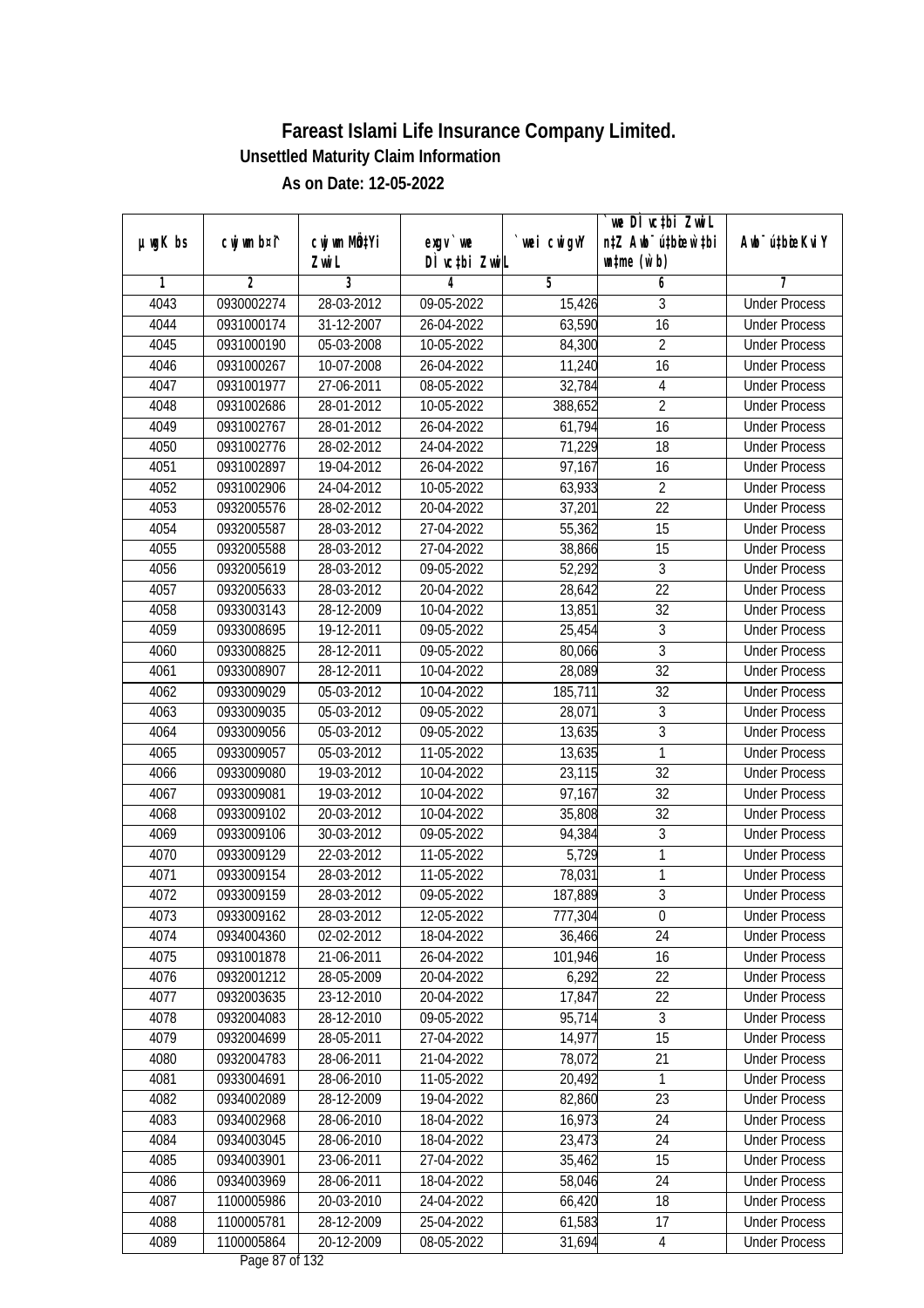| $µ$ ug $K$ bs | cwj wm b¤i^ | cwj wm MQtYi | $exgv$ we                            | wei cwigvY           | we DI vctbi ZwiL<br>n‡Z Awb <sup>-</sup> ú‡bioen`‡bi | Awb <sup>-</sup> ú‡bioeKviY |
|---------------|-------------|--------------|--------------------------------------|----------------------|------------------------------------------------------|-----------------------------|
|               |             | Zwi L        | DÌ vctbi ZwiL                        |                      | $\n  untime\n  (u`b)\n$                              |                             |
| 1             | 2           | 3            | 4                                    | 5                    | 6                                                    | 7                           |
| 4043          | 0930002274  | 28-03-2012   | 09-05-2022                           | 15,426               | 3                                                    | <b>Under Process</b>        |
| 4044          | 0931000174  | 31-12-2007   | $26 - 04 - 2022$                     | 63,590               | 16                                                   | <b>Under Process</b>        |
| 4045          | 0931000190  | 05-03-2008   | 10-05-2022                           | 84,300               | $\overline{2}$                                       | <b>Under Process</b>        |
| 4046          | 0931000267  | 10-07-2008   | 26-04-2022                           | 11,240               | 16                                                   | <b>Under Process</b>        |
| 4047          | 0931001977  | 27-06-2011   | 08-05-2022                           | 32,784               | 4                                                    | <b>Under Process</b>        |
| 4048          | 0931002686  | 28-01-2012   | 10-05-2022                           | 388,652              | $\overline{2}$                                       | <b>Under Process</b>        |
| 4049          | 0931002767  | 28-01-2012   | 26-04-2022                           | 61,794               | 16                                                   | <b>Under Process</b>        |
| 4050          | 0931002776  | 28-02-2012   | 24-04-2022                           | 71,229               | $\overline{18}$                                      | <b>Under Process</b>        |
| 4051          | 0931002897  | 19-04-2012   | 26-04-2022                           | 97,167               | 16                                                   | <b>Under Process</b>        |
| 4052          | 0931002906  | 24-04-2012   | 10-05-2022                           | 63,933               | $\overline{2}$                                       | <b>Under Process</b>        |
| 4053          | 0932005576  | 28-02-2012   | 20-04-2022                           | 37,201               | $\overline{22}$                                      | <b>Under Process</b>        |
| 4054          | 0932005587  | 28-03-2012   | 27-04-2022                           | 55,362               | 15                                                   | <b>Under Process</b>        |
| 4055          | 0932005588  | 28-03-2012   | 27-04-2022                           | 38,866               | $\overline{15}$                                      | <b>Under Process</b>        |
| 4056          | 0932005619  | 28-03-2012   | 09-05-2022                           | 52,292               | $\mathfrak{Z}$                                       | <b>Under Process</b>        |
| 4057          | 0932005633  | 28-03-2012   | 20-04-2022                           | 28,642               | 22                                                   | <b>Under Process</b>        |
| 4058          | 0933003143  | 28-12-2009   | 10-04-2022                           | 13,851               | 32                                                   | <b>Under Process</b>        |
| 4059          | 0933008695  | 19-12-2011   | 09-05-2022                           | 25,454               | 3                                                    | <b>Under Process</b>        |
| 4060          | 0933008825  | 28-12-2011   | 09-05-2022                           | 80,066               | $\mathfrak{Z}$                                       | <b>Under Process</b>        |
| 4061          | 0933008907  | 28-12-2011   | 10-04-2022                           | 28,089               | 32                                                   | <b>Under Process</b>        |
| 4062          | 0933009029  | 05-03-2012   | 10-04-2022                           | 185,711              | 32                                                   | <b>Under Process</b>        |
| 4063          | 0933009035  | 05-03-2012   | 09-05-2022                           | 28,071               | 3                                                    | <b>Under Process</b>        |
| 4064          | 0933009056  | 05-03-2012   | 09-05-2022                           | 13,635               | $\mathfrak{Z}$                                       | <b>Under Process</b>        |
| 4065          | 0933009057  | 05-03-2012   | 11-05-2022                           | 13,635               | 1                                                    | <b>Under Process</b>        |
| 4066          | 0933009080  | 19-03-2012   | 10-04-2022                           | 23,115               | 32                                                   | <b>Under Process</b>        |
| 4067          | 0933009081  | 19-03-2012   | 10-04-2022                           | 97,167               | 32                                                   | <b>Under Process</b>        |
| 4068          | 0933009102  | 20-03-2012   | 10-04-2022                           | 35,808               | 32                                                   | <b>Under Process</b>        |
| 4069          | 0933009106  | 30-03-2012   | 09-05-2022                           | 94,384               | 3                                                    | <b>Under Process</b>        |
| 4070          | 0933009129  | 22-03-2012   | 11-05-2022                           | 5,729                | 1                                                    | <b>Under Process</b>        |
| 4071          | 0933009154  | 28-03-2012   | 11-05-2022                           | $\overline{78}$ ,031 | $\mathbf{1}$                                         | <b>Under Process</b>        |
| 4072          | 0933009159  | 28-03-2012   | 09-05-2022                           | 187,889              | $\overline{3}$                                       | <b>Under Process</b>        |
| 4073          | 0933009162  | 28-03-2012   | 12-05-2022                           | 777,304              | 0                                                    | <b>Under Process</b>        |
| 4074          | 0934004360  | 02-02-2012   | 18-04-2022                           | 36,466               | 24                                                   | <b>Under Process</b>        |
| 4075          | 0931001878  | 21-06-2011   | 26-04-2022                           | 101,946              | 16                                                   | <b>Under Process</b>        |
| 4076          | 0932001212  | 28-05-2009   | 20-04-2022                           | 6,292                | 22                                                   | <b>Under Process</b>        |
| 4077          | 0932003635  | 23-12-2010   | 20-04-2022                           | 17,847               | 22                                                   | <b>Under Process</b>        |
| 4078          | 0932004083  | 28-12-2010   | 09-05-2022                           | 95,714               | 3                                                    | <b>Under Process</b>        |
| 4079          | 0932004699  | 28-05-2011   | 27-04-2022                           | 14,977               | 15                                                   | <b>Under Process</b>        |
| 4080          | 0932004783  | 28-06-2011   | 21-04-2022                           | 78,072               | 21                                                   | <b>Under Process</b>        |
| 4081          | 0933004691  | 28-06-2010   | 11-05-2022                           | 20,492               | 1                                                    | <b>Under Process</b>        |
| 4082          | 0934002089  | 28-12-2009   | 19-04-2022                           | 82,860               | 23                                                   | <b>Under Process</b>        |
| 4083          | 0934002968  | 28-06-2010   | 18-04-2022                           | 16,973               | 24                                                   | <b>Under Process</b>        |
| 4084          | 0934003045  | 28-06-2010   | 18-04-2022                           | 23,473               | 24                                                   | <b>Under Process</b>        |
| 4085          | 0934003901  | 23-06-2011   | 27-04-2022                           | 35,462               | 15                                                   | <b>Under Process</b>        |
| 4086          | 0934003969  | 28-06-2011   | 18-04-2022                           | 58,046               | 24                                                   | <b>Under Process</b>        |
| 4087          | 1100005986  | 20-03-2010   | 24-04-2022                           | 66,420               | 18                                                   | <b>Under Process</b>        |
| 4088          | 1100005781  | 28-12-2009   | 25-04-2022                           | 61,583               | 17                                                   | <b>Under Process</b>        |
| 4089          | 1100005864  | 20-12-2009   | 08-05-2022<br>$D_{0.92}$ 0.7 of 1.33 | 31,694               | $\overline{4}$                                       | <b>Under Process</b>        |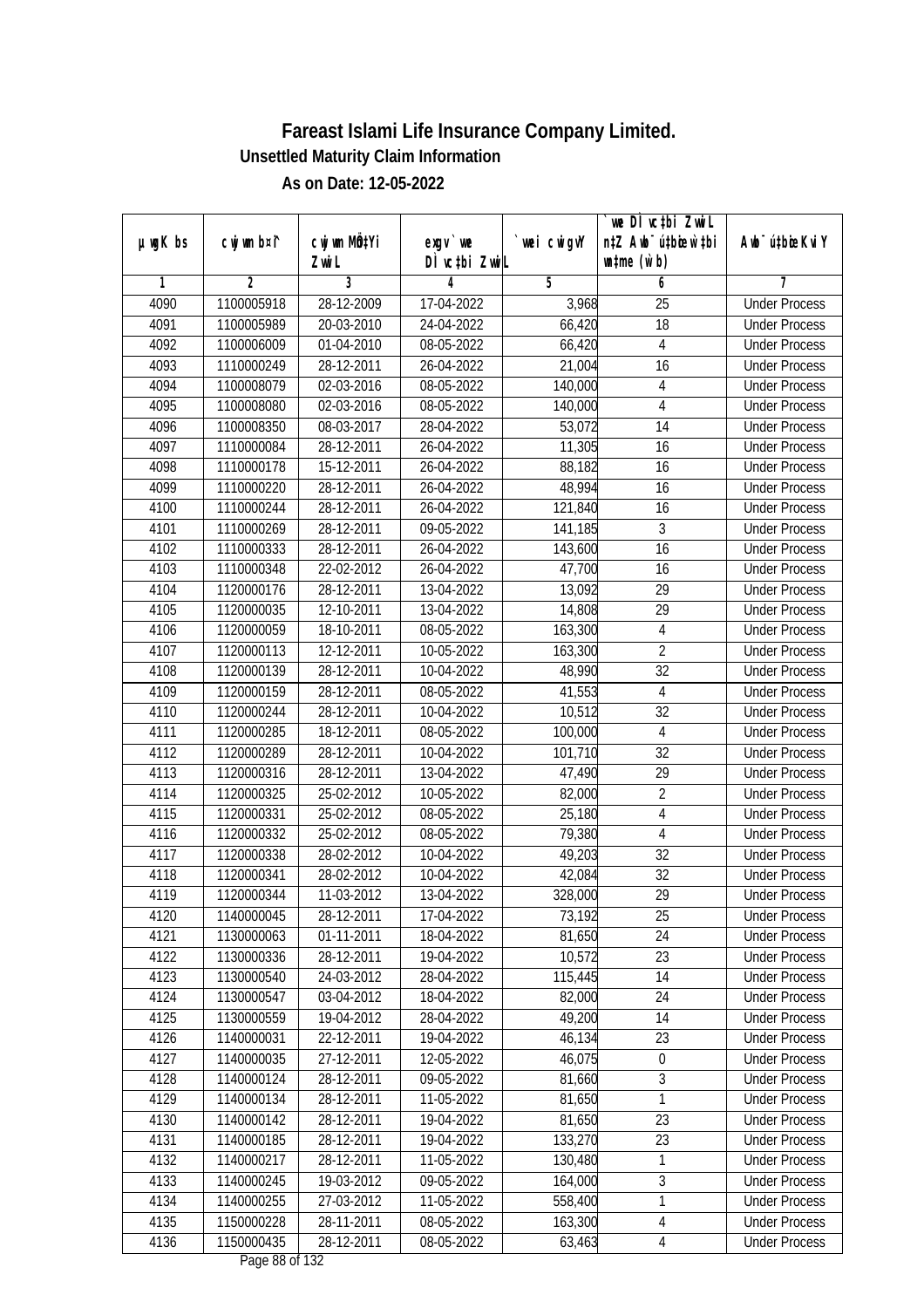|               |                |                       |                                    |            | we DI vctbi ZwiL                                            |                             |
|---------------|----------------|-----------------------|------------------------------------|------------|-------------------------------------------------------------|-----------------------------|
| $µ$ ug $K$ bs | cwj wm b¤i^    | cwj wm MÖ¢Yi<br>Zwi L | $exgV$ we<br>DÌ vctbi ZwiL         | wei cwigvY | n‡Z Awb <sup>-</sup> ú‡bioar`‡bi<br>$\n  untime\n  (u`b)\n$ | Awb <sup>-</sup> ú‡bioeKviY |
| 1             | $\overline{2}$ | 3                     | 4                                  | 5          | 6                                                           | 7                           |
| 4090          | 1100005918     | 28-12-2009            | 17-04-2022                         | 3,968      | $\overline{25}$                                             | <b>Under Process</b>        |
| 4091          | 1100005989     | 20-03-2010            | 24-04-2022                         | 66,420     | $\overline{18}$                                             | <b>Under Process</b>        |
| 4092          | 1100006009     | 01-04-2010            | 08-05-2022                         | 66,420     | $\overline{4}$                                              | <b>Under Process</b>        |
| 4093          | 1110000249     | 28-12-2011            | 26-04-2022                         | 21,004     | 16                                                          | <b>Under Process</b>        |
| 4094          | 1100008079     | 02-03-2016            | 08-05-2022                         | 140,000    | 4                                                           | <b>Under Process</b>        |
| 4095          | 1100008080     | 02-03-2016            | 08-05-2022                         | 140,000    | $\overline{4}$                                              | <b>Under Process</b>        |
| 4096          | 1100008350     | 08-03-2017            | 28-04-2022                         | 53,072     | 14                                                          | <b>Under Process</b>        |
| 4097          | 1110000084     | 28-12-2011            | 26-04-2022                         | 11,305     | 16                                                          | <b>Under Process</b>        |
| 4098          | 1110000178     | 15-12-2011            | 26-04-2022                         | 88,182     | 16                                                          | <b>Under Process</b>        |
| 4099          | 1110000220     | 28-12-2011            | 26-04-2022                         | 48,994     | 16                                                          | <b>Under Process</b>        |
| 4100          | 1110000244     | 28-12-2011            | 26-04-2022                         | 121,840    | 16                                                          | <b>Under Process</b>        |
| 4101          | 1110000269     | 28-12-2011            | 09-05-2022                         | 141,185    | 3                                                           | <b>Under Process</b>        |
| 4102          | 1110000333     | 28-12-2011            | 26-04-2022                         | 143,600    | $\overline{16}$                                             | <b>Under Process</b>        |
| 4103          | 1110000348     | 22-02-2012            | 26-04-2022                         | 47,700     | 16                                                          | <b>Under Process</b>        |
| 4104          | 1120000176     | 28-12-2011            | 13-04-2022                         | 13,092     | 29                                                          | <b>Under Process</b>        |
| 4105          | 1120000035     | 12-10-2011            | 13-04-2022                         | 14,808     | 29                                                          | <b>Under Process</b>        |
| 4106          | 1120000059     | 18-10-2011            | 08-05-2022                         | 163,300    | $\overline{4}$                                              | <b>Under Process</b>        |
| 4107          | 1120000113     | 12-12-2011            | 10-05-2022                         | 163,300    | $\overline{2}$                                              | <b>Under Process</b>        |
| 4108          | 1120000139     | 28-12-2011            | 10-04-2022                         | 48,990     | 32                                                          | <b>Under Process</b>        |
| 4109          | 1120000159     | 28-12-2011            | 08-05-2022                         | 41,553     | 4                                                           | <b>Under Process</b>        |
| 4110          | 1120000244     | 28-12-2011            | 10-04-2022                         | 10,512     | 32                                                          | <b>Under Process</b>        |
| 4111          | 1120000285     | 18-12-2011            | 08-05-2022                         | 100,000    | $\overline{4}$                                              | <b>Under Process</b>        |
| 4112          | 1120000289     | 28-12-2011            | 10-04-2022                         | 101,710    | 32                                                          | <b>Under Process</b>        |
| 4113          | 1120000316     | 28-12-2011            | 13-04-2022                         | 47,490     | 29                                                          | <b>Under Process</b>        |
| 4114          | 1120000325     | 25-02-2012            | 10-05-2022                         | 82,000     | $\sqrt{2}$                                                  | <b>Under Process</b>        |
| 4115          | 1120000331     | 25-02-2012            | 08-05-2022                         | 25,180     | $\overline{4}$                                              | <b>Under Process</b>        |
| 4116          | 1120000332     | 25-02-2012            | 08-05-2022                         | 79,380     | $\overline{4}$                                              | <b>Under Process</b>        |
| 4117          | 1120000338     | 28-02-2012            | 10-04-2022                         | 49,203     | 32                                                          | <b>Under Process</b>        |
| 4118          | 1120000341     | 28-02-2012            | 10-04-2022                         | 42,084     | 32                                                          | <b>Under Process</b>        |
| 4119          | 1120000344     | 11-03-2012            | 13-04-2022                         | 328,000    | 29                                                          | <b>Under Process</b>        |
| 4120          | 1140000045     | 28-12-2011            | 17-04-2022                         | 73,192     | 25                                                          | <b>Under Process</b>        |
| 4121          | 1130000063     | 01-11-2011            | 18-04-2022                         | 81,650     | 24                                                          | <b>Under Process</b>        |
| 4122          | 1130000336     | 28-12-2011            | 19-04-2022                         | 10,572     | 23                                                          | <b>Under Process</b>        |
| 4123          | 1130000540     | 24-03-2012            | 28-04-2022                         | 115,445    | 14                                                          | <b>Under Process</b>        |
| 4124          | 1130000547     | 03-04-2012            | 18-04-2022                         | 82,000     | 24                                                          | <b>Under Process</b>        |
| 4125          | 1130000559     | 19-04-2012            | 28-04-2022                         | 49,200     | 14                                                          | <b>Under Process</b>        |
| 4126          | 1140000031     | 22-12-2011            | 19-04-2022                         | 46,134     | 23                                                          | <b>Under Process</b>        |
| 4127          | 1140000035     | 27-12-2011            | 12-05-2022                         | 46,075     | $\boldsymbol{0}$                                            | <b>Under Process</b>        |
| 4128          | 1140000124     | 28-12-2011            | 09-05-2022                         | 81,660     | $\sqrt{3}$                                                  | <b>Under Process</b>        |
| 4129          | 1140000134     | 28-12-2011            | 11-05-2022                         | 81,650     | $\mathbf{1}$                                                | <b>Under Process</b>        |
| 4130          | 1140000142     | 28-12-2011            | 19-04-2022                         | 81,650     | 23                                                          | <b>Under Process</b>        |
| 4131          | 1140000185     | 28-12-2011            | 19-04-2022                         | 133,270    | 23                                                          | <b>Under Process</b>        |
| 4132          | 1140000217     | 28-12-2011            | 11-05-2022                         | 130,480    | 1                                                           | <b>Under Process</b>        |
| 4133          | 1140000245     | 19-03-2012            | 09-05-2022                         | 164,000    | 3                                                           | <b>Under Process</b>        |
| 4134          | 1140000255     | 27-03-2012            | 11-05-2022                         | 558,400    | 1                                                           | <b>Under Process</b>        |
| 4135          | 1150000228     | 28-11-2011            | 08-05-2022                         | 163,300    | $\overline{4}$                                              | <b>Under Process</b>        |
| 4136          | 1150000435     | 28-12-2011            | 08-05-2022<br>$D_{0.82}$ 00 of 122 | 63,463     | $\overline{4}$                                              | <b>Under Process</b>        |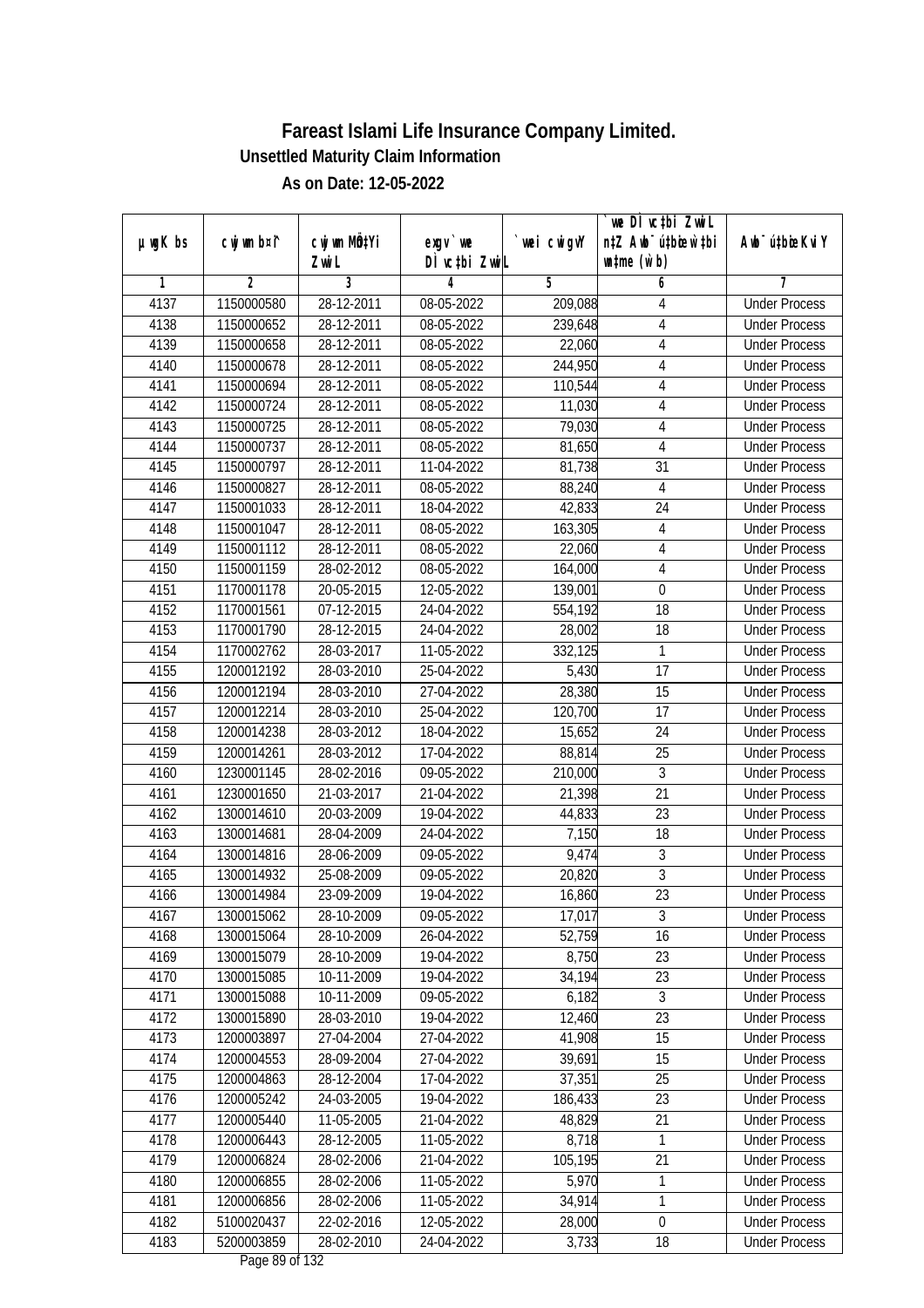|               |                |              |                          |             | we DI vctbi ZwiL                 |                             |
|---------------|----------------|--------------|--------------------------|-------------|----------------------------------|-----------------------------|
| $µ$ ug $K$ bs | cwj wm b¤i^    | cwj wm MQtYi | $exqu$ we                | `wei cwigvY | n‡Z Awb <sup>-</sup> ú‡bioar`‡bi | Awb <sup>-</sup> ú‡bioeKviY |
|               |                | Zwi L        | DÌ vctbi ZwiL            |             | $\n  untime\n  (u`b)\n$          |                             |
| 1             | $\overline{2}$ | 3            | 4                        | 5           | 6                                | 7                           |
| 4137          | 1150000580     | 28-12-2011   | 08-05-2022               | 209,088     | 4                                | <b>Under Process</b>        |
| 4138          | 1150000652     | 28-12-2011   | $08-05-2022$             | 239,648     | 4                                | <b>Under Process</b>        |
| 4139          | 1150000658     | 28-12-2011   | 08-05-2022               | 22,060      | $\overline{4}$                   | <b>Under Process</b>        |
| 4140          | 1150000678     | 28-12-2011   | 08-05-2022               | 244,950     | 4                                | <b>Under Process</b>        |
| 4141          | 1150000694     | 28-12-2011   | 08-05-2022               | 110,544     | 4                                | <b>Under Process</b>        |
| 4142          | 1150000724     | 28-12-2011   | 08-05-2022               | 11,030      | 4                                | <b>Under Process</b>        |
| 4143          | 1150000725     | 28-12-2011   | $08-05-2022$             | 79,030      | 4                                | <b>Under Process</b>        |
| 4144          | 1150000737     | 28-12-2011   | 08-05-2022               | 81,650      | $\overline{4}$                   | <b>Under Process</b>        |
| 4145          | 1150000797     | 28-12-2011   | 11-04-2022               | 81,738      | $\overline{31}$                  | <b>Under Process</b>        |
| 4146          | 1150000827     | 28-12-2011   | 08-05-2022               | 88,240      | $\overline{4}$                   | <b>Under Process</b>        |
| 4147          | 1150001033     | 28-12-2011   | 18-04-2022               | 42,833      | $\overline{24}$                  | <b>Under Process</b>        |
| 4148          | 1150001047     | 28-12-2011   | 08-05-2022               | 163,305     | 4                                | <b>Under Process</b>        |
| 4149          | 1150001112     | 28-12-2011   | 08-05-2022               | 22,060      | $\overline{4}$                   | <b>Under Process</b>        |
| 4150          | 1150001159     | 28-02-2012   | 08-05-2022               | 164,000     | 4                                | <b>Under Process</b>        |
| 4151          | 1170001178     | 20-05-2015   | 12-05-2022               | 139,001     | $\boldsymbol{0}$                 | <b>Under Process</b>        |
| 4152          | 1170001561     | 07-12-2015   | 24-04-2022               | 554,192     | 18                               | <b>Under Process</b>        |
| 4153          | 1170001790     | 28-12-2015   | 24-04-2022               | 28,002      | 18                               | <b>Under Process</b>        |
| 4154          | 1170002762     | 28-03-2017   | 11-05-2022               | 332,125     | 1                                | <b>Under Process</b>        |
| 4155          | 1200012192     | 28-03-2010   | 25-04-2022               | 5,430       | 17                               | <b>Under Process</b>        |
| 4156          | 1200012194     | 28-03-2010   | 27-04-2022               | 28,380      | 15                               | <b>Under Process</b>        |
| 4157          | 1200012214     | 28-03-2010   | 25-04-2022               | 120,700     | 17                               | <b>Under Process</b>        |
| 4158          | 1200014238     | 28-03-2012   | 18-04-2022               | 15,652      | 24                               | <b>Under Process</b>        |
| 4159          | 1200014261     | 28-03-2012   | $\overline{17}$ -04-2022 | 88,814      | 25                               | <b>Under Process</b>        |
| 4160          | 1230001145     | 28-02-2016   | 09-05-2022               | 210,000     | $\overline{3}$                   | <b>Under Process</b>        |
| 4161          | 1230001650     | 21-03-2017   | 21-04-2022               | 21,398      | 21                               | <b>Under Process</b>        |
| 4162          | 1300014610     | 20-03-2009   | 19-04-2022               | 44,833      | 23                               | <b>Under Process</b>        |
| 4163          | 1300014681     | 28-04-2009   | 24-04-2022               | 7,150       | 18                               | <b>Under Process</b>        |
| 4164          | 1300014816     | 28-06-2009   | 09-05-2022               | 9,474       | 3                                | <b>Under Process</b>        |
| 4165          | 1300014932     | 25-08-2009   | 09-05-2022               | 20,820      | $\overline{3}$                   | <b>Under Process</b>        |
| 4166          | 1300014984     | 23-09-2009   | 19-04-2022               | 16,860      | 23                               | <b>Under Process</b>        |
| 4167          | 1300015062     | 28-10-2009   | 09-05-2022               | 17,017      | 3                                | <b>Under Process</b>        |
| 4168          | 1300015064     | 28-10-2009   | 26-04-2022               | 52,759      | 16                               | <b>Under Process</b>        |
| 4169          | 1300015079     | 28-10-2009   | 19-04-2022               | 8,750       | 23                               | <b>Under Process</b>        |
| 4170          | 1300015085     | 10-11-2009   | 19-04-2022               | 34,194      | 23                               | <b>Under Process</b>        |
| 4171          | 1300015088     | 10-11-2009   | 09-05-2022               | 6,182       | $\mathfrak{Z}$                   | <b>Under Process</b>        |
| 4172          | 1300015890     | 28-03-2010   | 19-04-2022               | 12,460      | 23                               | <b>Under Process</b>        |
| 4173          | 1200003897     | 27-04-2004   | 27-04-2022               | 41,908      | 15                               | <b>Under Process</b>        |
| 4174          | 1200004553     | 28-09-2004   | 27-04-2022               | 39,691      | 15                               | <b>Under Process</b>        |
| 4175          | 1200004863     | 28-12-2004   | 17-04-2022               | 37,351      | 25                               | <b>Under Process</b>        |
| 4176          | 1200005242     | 24-03-2005   | 19-04-2022               | 186,433     | 23                               | <b>Under Process</b>        |
| 4177          | 1200005440     | 11-05-2005   | 21-04-2022               | 48,829      | 21                               | <b>Under Process</b>        |
| 4178          | 1200006443     | 28-12-2005   | 11-05-2022               | 8,718       | 1                                | <b>Under Process</b>        |
| 4179          | 1200006824     | 28-02-2006   | $21 - 04 - 2022$         | 105,195     | 21                               | <b>Under Process</b>        |
| 4180          | 1200006855     | 28-02-2006   | 11-05-2022               | 5,970       | 1                                | <b>Under Process</b>        |
| 4181          | 1200006856     | 28-02-2006   | 11-05-2022               | 34,914      | 1                                | <b>Under Process</b>        |
| 4182          | 5100020437     | 22-02-2016   | 12-05-2022               | 28,000      | $\boldsymbol{0}$                 | <b>Under Process</b>        |
| 4183          | 5200003859     | 28-02-2010   | 24-04-2022               | 3,733       | 18                               | <b>Under Process</b>        |
|               |                |              |                          |             |                                  |                             |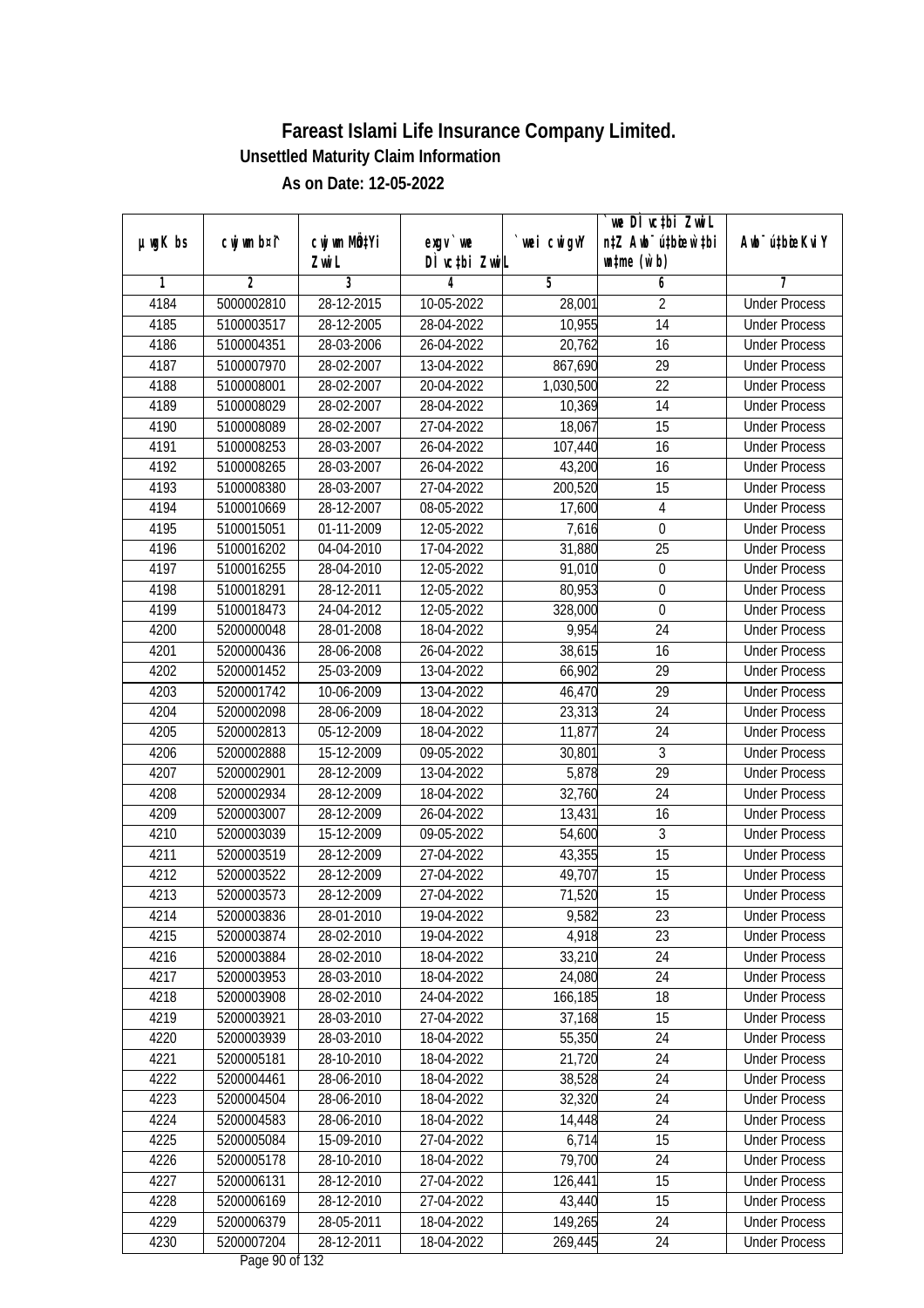| $µ$ ug $K$ bs | cwj wm b¤i^ | cwj wm MQtYi | exgv `we                                | wei cwigvY | `we DÌ vc‡bi ZwiL<br>n‡Z Awb <sup>-</sup> ú‡bioen`‡bi | Awb <sup>-</sup> ú‡bioeKviY |
|---------------|-------------|--------------|-----------------------------------------|------------|-------------------------------------------------------|-----------------------------|
|               |             | Zwi L        | DÌ vctbi ZwiL                           |            | $\n  untime\n  (u`b)\n$                               |                             |
| 1             | 2           | 3            | 4                                       | 5          | 6                                                     | 7                           |
| 4184          | 5000002810  | 28-12-2015   | 10-05-2022                              | 28,001     | 2                                                     | <b>Under Process</b>        |
| 4185          | 5100003517  | 28-12-2005   | 28-04-2022                              | 10,955     | 14                                                    | <b>Under Process</b>        |
| 4186          | 5100004351  | 28-03-2006   | 26-04-2022                              | 20,762     | 16                                                    | <b>Under Process</b>        |
| 4187          | 5100007970  | 28-02-2007   | 13-04-2022                              | 867,690    | 29                                                    | <b>Under Process</b>        |
| 4188          | 5100008001  | 28-02-2007   | 20-04-2022                              | 1,030,500  | 22                                                    | <b>Under Process</b>        |
| 4189          | 5100008029  | 28-02-2007   | 28-04-2022                              | 10,369     | $\overline{14}$                                       | <b>Under Process</b>        |
| 4190          | 5100008089  | 28-02-2007   | 27-04-2022                              | 18,067     | $\overline{15}$                                       | <b>Under Process</b>        |
| 4191          | 5100008253  | 28-03-2007   | 26-04-2022                              | 107,440    | $\overline{16}$                                       | <b>Under Process</b>        |
| 4192          | 5100008265  | 28-03-2007   | 26-04-2022                              | 43,200     | 16                                                    | <b>Under Process</b>        |
| 4193          | 5100008380  | 28-03-2007   | 27-04-2022                              | 200,520    | 15                                                    | <b>Under Process</b>        |
| 4194          | 5100010669  | 28-12-2007   | 08-05-2022                              | 17,600     | $\overline{4}$                                        | <b>Under Process</b>        |
| 4195          | 5100015051  | 01-11-2009   | 12-05-2022                              | 7,616      | $\mathbf 0$                                           | <b>Under Process</b>        |
| 4196          | 5100016202  | 04-04-2010   | 17-04-2022                              | 31,880     | $\overline{25}$                                       | <b>Under Process</b>        |
| 4197          | 5100016255  | 28-04-2010   | 12-05-2022                              | 91,010     | $\boldsymbol{0}$                                      | <b>Under Process</b>        |
| 4198          | 5100018291  | 28-12-2011   | 12-05-2022                              | 80,953     | $\boldsymbol{0}$                                      | <b>Under Process</b>        |
| 4199          | 5100018473  | 24-04-2012   | 12-05-2022                              | 328,000    | $\mathbf 0$                                           | <b>Under Process</b>        |
| 4200          | 5200000048  | 28-01-2008   | 18-04-2022                              | 9,954      | 24                                                    | <b>Under Process</b>        |
| 4201          | 5200000436  | 28-06-2008   | 26-04-2022                              | 38,615     | 16                                                    | <b>Under Process</b>        |
| 4202          | 5200001452  | 25-03-2009   | 13-04-2022                              | 66,902     | 29                                                    | <b>Under Process</b>        |
| 4203          | 5200001742  | 10-06-2009   | 13-04-2022                              | 46,470     | 29                                                    | <b>Under Process</b>        |
| 4204          | 5200002098  | 28-06-2009   | 18-04-2022                              | 23,313     | 24                                                    | <b>Under Process</b>        |
| 4205          | 5200002813  | 05-12-2009   | 18-04-2022                              | 11,877     | 24                                                    | <b>Under Process</b>        |
| 4206          | 5200002888  | 15-12-2009   | 09-05-2022                              | 30,801     | 3                                                     | <b>Under Process</b>        |
| 4207          | 5200002901  | 28-12-2009   | 13-04-2022                              | 5,878      | $\overline{29}$                                       | <b>Under Process</b>        |
| 4208          | 5200002934  | 28-12-2009   | 18-04-2022                              | 32,760     | 24                                                    | <b>Under Process</b>        |
| 4209          | 5200003007  | 28-12-2009   | 26-04-2022                              | 13,431     | 16                                                    | <b>Under Process</b>        |
| 4210          | 5200003039  | 15-12-2009   | 09-05-2022                              | 54,600     | 3                                                     | <b>Under Process</b>        |
| 4211          | 5200003519  | 28-12-2009   | 27-04-2022                              | 43,355     | 15                                                    | <b>Under Process</b>        |
| 4212          | 5200003522  | 28-12-2009   | 27-04-2022                              | 49,707     | 15                                                    | <b>Under Process</b>        |
| 4213          | 5200003573  | 28-12-2009   | 27-04-2022                              | 71,520     | 15                                                    | <b>Under Process</b>        |
| 4214          | 5200003836  | 28-01-2010   | 19-04-2022                              | 9,582      | 23                                                    | <b>Under Process</b>        |
| 4215          | 5200003874  | 28-02-2010   | 19-04-2022                              | 4,918      | 23                                                    | <b>Under Process</b>        |
| 4216          | 5200003884  | 28-02-2010   | 18-04-2022                              | 33,210     | 24                                                    | <b>Under Process</b>        |
| 4217          | 5200003953  | 28-03-2010   | 18-04-2022                              | 24,080     | 24                                                    | <b>Under Process</b>        |
| 4218          | 5200003908  | 28-02-2010   | 24-04-2022                              | 166,185    | 18                                                    | <b>Under Process</b>        |
| 4219          | 5200003921  | 28-03-2010   | 27-04-2022                              | 37,168     | 15                                                    | <b>Under Process</b>        |
| 4220          | 5200003939  | 28-03-2010   | 18-04-2022                              | 55,350     | 24                                                    | <b>Under Process</b>        |
| 4221          | 5200005181  | 28-10-2010   | 18-04-2022                              | 21,720     | 24                                                    | <b>Under Process</b>        |
| 4222          | 5200004461  | 28-06-2010   | 18-04-2022                              | 38,528     | 24                                                    | <b>Under Process</b>        |
| 4223          | 5200004504  | 28-06-2010   | 18-04-2022                              | 32,320     | 24                                                    | <b>Under Process</b>        |
| 4224          | 5200004583  | 28-06-2010   | 18-04-2022                              | 14,448     | 24                                                    | <b>Under Process</b>        |
| 4225          | 5200005084  | 15-09-2010   | 27-04-2022                              | 6,714      | 15                                                    | <b>Under Process</b>        |
| 4226          | 5200005178  | 28-10-2010   | 18-04-2022                              | 79,700     | $\overline{24}$                                       | <b>Under Process</b>        |
| 4227          | 5200006131  | 28-12-2010   | 27-04-2022                              | 126,441    | 15                                                    | <b>Under Process</b>        |
| 4228          | 5200006169  | 28-12-2010   | 27-04-2022                              | 43,440     | 15                                                    | <b>Under Process</b>        |
| 4229          | 5200006379  | 28-05-2011   | 18-04-2022                              | 149,265    | 24                                                    | <b>Under Process</b>        |
| 4230          | 5200007204  | 28-12-2011   | 18-04-2022<br>Dege $00 \text{ of } 122$ | 269,445    | 24                                                    | <b>Under Process</b>        |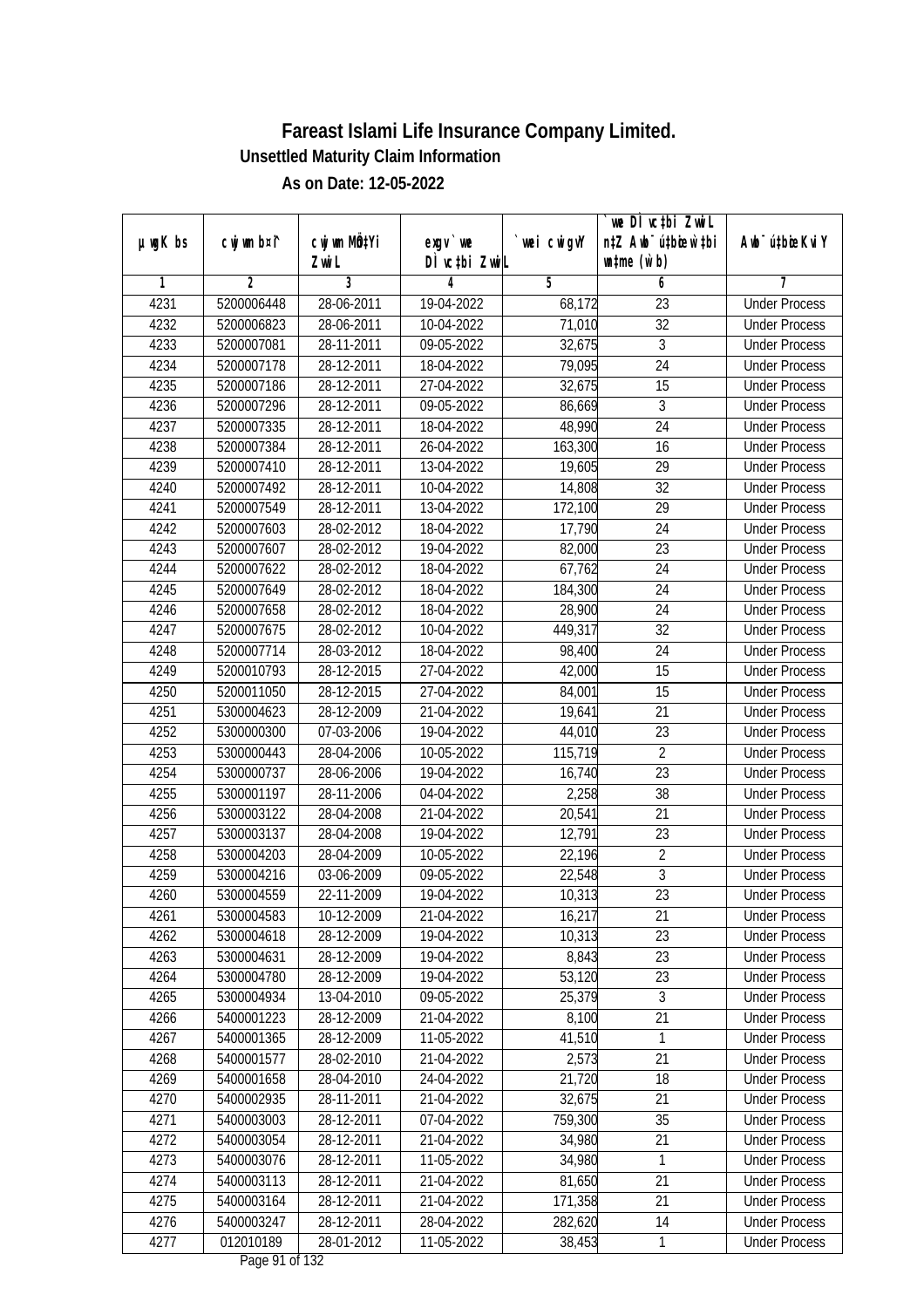|               |             | cwj wm MQtYi |                                    |            | `we DÌ vc‡bi ZwiL<br>n‡Z Awb <sup>-</sup> ú‡bioen`‡bi | Awb <sup>-</sup> ú‡bioeKviY |
|---------------|-------------|--------------|------------------------------------|------------|-------------------------------------------------------|-----------------------------|
| $µ$ ug $K$ bs | cwj wm b¤i^ | Zwi L        | $exqu$ we<br>DÌ vctbi ZwiL         | wei cwigvY | $\n  untime\n  (u`b)\n$                               |                             |
| 1             | 2           | 3            | 4                                  | 5          | 6                                                     | 7                           |
| 4231          | 5200006448  | 28-06-2011   | 19-04-2022                         | 68,172     | 23                                                    | <b>Under Process</b>        |
| 4232          | 5200006823  | 28-06-2011   | 10-04-2022                         | 71,010     | 32                                                    | <b>Under Process</b>        |
| 4233          | 5200007081  | 28-11-2011   | 09-05-2022                         | 32,675     | $\sqrt{3}$                                            | <b>Under Process</b>        |
| 4234          | 5200007178  | 28-12-2011   | 18-04-2022                         | 79,095     | 24                                                    | <b>Under Process</b>        |
| 4235          | 5200007186  | 28-12-2011   | 27-04-2022                         | 32,675     | 15                                                    | <b>Under Process</b>        |
| 4236          | 5200007296  | 28-12-2011   | 09-05-2022                         | 86,669     | $\overline{3}$                                        | <b>Under Process</b>        |
| 4237          | 5200007335  | 28-12-2011   | 18-04-2022                         | 48,990     | $\overline{24}$                                       | <b>Under Process</b>        |
| 4238          | 5200007384  | 28-12-2011   | 26-04-2022                         | 163,300    | $\overline{16}$                                       | <b>Under Process</b>        |
| 4239          | 5200007410  | 28-12-2011   | 13-04-2022                         | 19,605     | 29                                                    | <b>Under Process</b>        |
| 4240          | 5200007492  | 28-12-2011   | 10-04-2022                         | 14,808     | 32                                                    | <b>Under Process</b>        |
| 4241          | 5200007549  | 28-12-2011   | 13-04-2022                         | 172,100    | $\overline{29}$                                       | <b>Under Process</b>        |
| 4242          | 5200007603  | 28-02-2012   | 18-04-2022                         | 17,790     | 24                                                    | <b>Under Process</b>        |
| 4243          | 5200007607  | 28-02-2012   | 19-04-2022                         | 82,000     | $\overline{23}$                                       | <b>Under Process</b>        |
| 4244          | 5200007622  | 28-02-2012   | 18-04-2022                         | 67,762     | 24                                                    | <b>Under Process</b>        |
| 4245          | 5200007649  | 28-02-2012   | 18-04-2022                         | 184,300    | 24                                                    | <b>Under Process</b>        |
| 4246          | 5200007658  | 28-02-2012   | 18-04-2022                         | 28,900     | 24                                                    | <b>Under Process</b>        |
| 4247          | 5200007675  | 28-02-2012   | 10-04-2022                         | 449,317    | 32                                                    | <b>Under Process</b>        |
| 4248          | 5200007714  | 28-03-2012   | 18-04-2022                         | 98,400     | 24                                                    | <b>Under Process</b>        |
| 4249          | 5200010793  | 28-12-2015   | 27-04-2022                         | 42,000     | 15                                                    | <b>Under Process</b>        |
| 4250          | 5200011050  | 28-12-2015   | 27-04-2022                         | 84,001     | 15                                                    | <b>Under Process</b>        |
| 4251          | 5300004623  | 28-12-2009   | 21-04-2022                         | 19,641     | 21                                                    | <b>Under Process</b>        |
| 4252          | 5300000300  | 07-03-2006   | 19-04-2022                         | 44,010     | 23                                                    | <b>Under Process</b>        |
| 4253          | 5300000443  | 28-04-2006   | 10-05-2022                         | 115,719    | $\overline{2}$                                        | <b>Under Process</b>        |
| 4254          | 5300000737  | 28-06-2006   | 19-04-2022                         | 16,740     | 23                                                    | <b>Under Process</b>        |
| 4255          | 5300001197  | 28-11-2006   | 04-04-2022                         | 2,258      | 38                                                    | <b>Under Process</b>        |
| 4256          | 5300003122  | 28-04-2008   | 21-04-2022                         | 20,541     | 21                                                    | <b>Under Process</b>        |
| 4257          | 5300003137  | 28-04-2008   | 19-04-2022                         | 12,791     | 23                                                    | <b>Under Process</b>        |
| 4258          | 5300004203  | 28-04-2009   | 10-05-2022                         | 22,196     | $\overline{2}$                                        | <b>Under Process</b>        |
| 4259          | 5300004216  | 03-06-2009   | 09-05-2022                         | 22,548     | 3                                                     | <b>Under Process</b>        |
| 4260          | 5300004559  | 22-11-2009   | 19-04-2022                         | 10,313     | 23                                                    | <b>Under Process</b>        |
| 4261          | 5300004583  | 10-12-2009   | 21-04-2022                         | 16,217     | 21                                                    | <b>Under Process</b>        |
| 4262          | 5300004618  | 28-12-2009   | 19-04-2022                         | 10,313     | 23                                                    | <b>Under Process</b>        |
| 4263          | 5300004631  | 28-12-2009   | 19-04-2022                         | 8,843      | 23                                                    | <b>Under Process</b>        |
| 4264          | 5300004780  | 28-12-2009   | 19-04-2022                         | 53,120     | 23                                                    | <b>Under Process</b>        |
| 4265          | 5300004934  | 13-04-2010   | 09-05-2022                         | 25,379     | $\mathfrak{Z}$                                        | <b>Under Process</b>        |
| 4266          | 5400001223  | 28-12-2009   | 21-04-2022                         | 8,100      | 21                                                    | <b>Under Process</b>        |
| 4267          | 5400001365  | 28-12-2009   | 11-05-2022                         | 41,510     | $\mathbf{1}$                                          | <b>Under Process</b>        |
| 4268          | 5400001577  | 28-02-2010   | 21-04-2022                         | 2,573      | 21                                                    | <b>Under Process</b>        |
| 4269          | 5400001658  | 28-04-2010   | 24-04-2022                         | 21,720     | 18                                                    | <b>Under Process</b>        |
| 4270          | 5400002935  | 28-11-2011   | 21-04-2022                         | 32,675     | 21                                                    | <b>Under Process</b>        |
| 4271          | 5400003003  | 28-12-2011   | 07-04-2022                         | 759,300    | 35                                                    | <b>Under Process</b>        |
| 4272          | 5400003054  | 28-12-2011   | 21-04-2022                         | 34,980     | 21                                                    | <b>Under Process</b>        |
| 4273          | 5400003076  | 28-12-2011   | $11-05-2022$                       | 34,980     | 1                                                     | <b>Under Process</b>        |
| 4274          | 5400003113  | 28-12-2011   | 21-04-2022                         | 81,650     | 21                                                    | <b>Under Process</b>        |
| 4275          | 5400003164  | 28-12-2011   | 21-04-2022                         | 171,358    | 21                                                    | <b>Under Process</b>        |
| 4276          | 5400003247  | 28-12-2011   | 28-04-2022                         | 282,620    | 14                                                    | <b>Under Process</b>        |
| 4277          | 012010189   | 28-01-2012   | 11-05-2022<br>$D_{0.92}$ 01 of 122 | 38,453     | 1                                                     | <b>Under Process</b>        |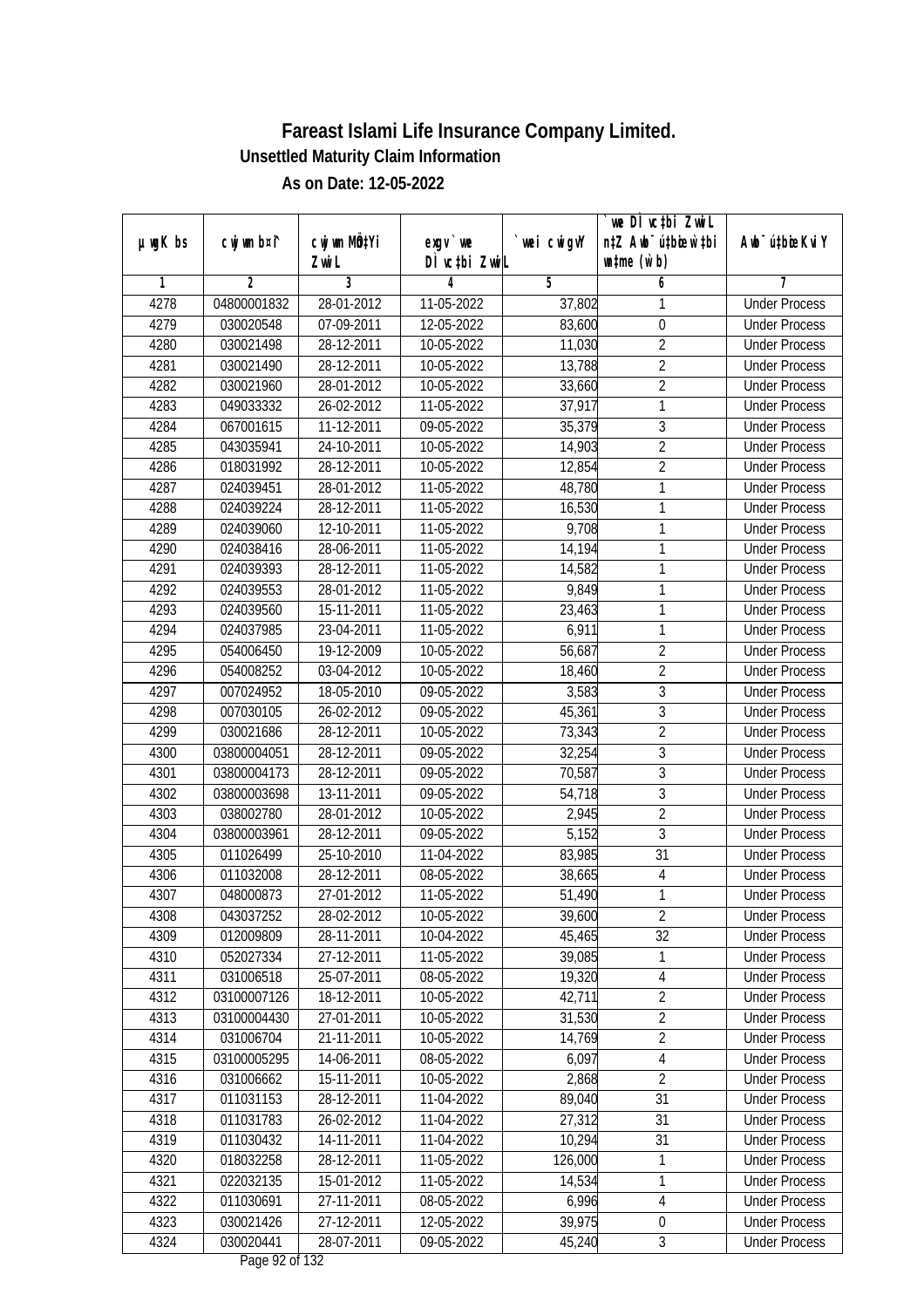|               |                |                 |                              |            | we DI vctbi ZwiL                 |                             |
|---------------|----------------|-----------------|------------------------------|------------|----------------------------------|-----------------------------|
| $µ$ ug $K$ bs | cwj wm b¤i^    | cwj wm MQtYi    | $exgV$ we                    | wei cwigvY | n‡Z Awb <sup>-</sup> ú‡bioen`‡bi | Awb <sup>-</sup> ú‡bioeKviY |
|               |                | Zwi L           | DÌ vctbi ZwiL                |            | $\n  untime\n  (u`b)\n$          |                             |
| 1<br>4278     | $\overline{2}$ | 3<br>28-01-2012 | 4                            | 5          | 6                                | 7<br><b>Under Process</b>   |
|               | 04800001832    |                 | 11-05-2022                   | 37,802     | 1                                |                             |
| 4279          | 030020548      | 07-09-2011      | 12-05-2022                   | 83,600     | $\boldsymbol{0}$                 | <b>Under Process</b>        |
| 4280          | 030021498      | 28-12-2011      | 10-05-2022                   | 11,030     | $\overline{2}$                   | <b>Under Process</b>        |
| 4281          | 030021490      | 28-12-2011      | 10-05-2022                   | 13,788     | $\overline{2}$                   | <b>Under Process</b>        |
| 4282          | 030021960      | 28-01-2012      | 10-05-2022                   | 33,660     | $\overline{2}$                   | <b>Under Process</b>        |
| 4283          | 049033332      | 26-02-2012      | 11-05-2022                   | 37,917     | $\mathbf{1}$                     | <b>Under Process</b>        |
| 4284          | 067001615      | 11-12-2011      | $09 - 05 - 2022$             | 35,379     | $\overline{3}$                   | <b>Under Process</b>        |
| 4285          | 043035941      | 24-10-2011      | 10-05-2022                   | 14,903     | $\overline{2}$                   | <b>Under Process</b>        |
| 4286          | 018031992      | 28-12-2011      | 10-05-2022                   | 12,854     | $\overline{2}$                   | <b>Under Process</b>        |
| 4287          | 024039451      | 28-01-2012      | 11-05-2022                   | 48,780     | $\mathbf{1}$                     | <b>Under Process</b>        |
| 4288          | 024039224      | 28-12-2011      | 11-05-2022                   | 16,530     | $\mathbf{1}$                     | <b>Under Process</b>        |
| 4289          | 024039060      | 12-10-2011      | 11-05-2022                   | 9,708      | $\mathbf{1}$                     | <b>Under Process</b>        |
| 4290          | 024038416      | 28-06-2011      | 11-05-2022                   | 14,194     | $\mathbf{1}$                     | <b>Under Process</b>        |
| 4291          | 024039393      | 28-12-2011      | 11-05-2022                   | 14,582     | $\mathbf{1}$                     | <b>Under Process</b>        |
| 4292          | 024039553      | 28-01-2012      | 11-05-2022                   | 9,849      | $\mathbf{1}$                     | <b>Under Process</b>        |
| 4293          | 024039560      | 15-11-2011      | 11-05-2022                   | 23,463     | $\mathbf{1}$                     | <b>Under Process</b>        |
| 4294          | 024037985      | 23-04-2011      | 11-05-2022                   | 6,911      | $\mathbf{1}$                     | <b>Under Process</b>        |
| 4295          | 054006450      | 19-12-2009      | 10-05-2022                   | 56,687     | $\overline{2}$                   | <b>Under Process</b>        |
| 4296          | 054008252      | 03-04-2012      | 10-05-2022                   | 18,460     | $\overline{2}$                   | <b>Under Process</b>        |
| 4297          | 007024952      | 18-05-2010      | 09-05-2022                   | 3,583      | $\mathfrak z$                    | <b>Under Process</b>        |
| 4298          | 007030105      | 26-02-2012      | 09-05-2022                   | 45,361     | $\overline{3}$                   | <b>Under Process</b>        |
| 4299          | 030021686      | 28-12-2011      | 10-05-2022                   | 73,343     | $\sqrt{2}$                       | <b>Under Process</b>        |
| 4300          | 03800004051    | 28-12-2011      | $\overline{0}$ 9-05-2022     | 32,254     | $\mathfrak{Z}$                   | <b>Under Process</b>        |
| 4301          | 03800004173    | 28-12-2011      | 09-05-2022                   | 70,587     | $\overline{3}$                   | <b>Under Process</b>        |
| 4302          | 03800003698    | 13-11-2011      | 09-05-2022                   | 54,718     | $\overline{3}$                   | <b>Under Process</b>        |
| 4303          | 038002780      | 28-01-2012      | 10-05-2022                   | 2,945      | $\overline{2}$                   | <b>Under Process</b>        |
| 4304          | 03800003961    | 28-12-2011      | 09-05-2022                   | 5,152      | $\mathfrak{Z}$                   | <b>Under Process</b>        |
| 4305          | 011026499      | 25-10-2010      | 11-04-2022                   | 83,985     | 31                               | <b>Under Process</b>        |
| 4306          | 011032008      | 28-12-2011      | 08-05-2022                   | 38,665     | $\sqrt{4}$                       | <b>Under Process</b>        |
| 4307          | 048000873      | 27-01-2012      | 11-05-2022                   | 51,490     | $\mathbf{1}$                     | <b>Under Process</b>        |
| 4308          | 043037252      | 28-02-2012      | 10-05-2022                   | 39,600     | 2                                | <b>Under Process</b>        |
| 4309          | 012009809      | 28-11-2011      | 10-04-2022                   | 45,465     | 32                               | <b>Under Process</b>        |
| 4310          | 052027334      | 27-12-2011      | 11-05-2022                   | 39,085     | $\mathbf{1}$                     | <b>Under Process</b>        |
| 4311          | 031006518      | 25-07-2011      | 08-05-2022                   | 19,320     | $\overline{4}$                   | <b>Under Process</b>        |
| 4312          | 03100007126    | 18-12-2011      | 10-05-2022                   | 42,711     | $\overline{2}$                   | <b>Under Process</b>        |
| 4313          | 03100004430    | 27-01-2011      | 10-05-2022                   | 31,530     | $\overline{2}$                   | <b>Under Process</b>        |
| 4314          | 031006704      | 21-11-2011      | 10-05-2022                   | 14,769     | $\overline{2}$                   | <b>Under Process</b>        |
| 4315          | 03100005295    | 14-06-2011      | 08-05-2022                   | 6,097      | $\overline{4}$                   | <b>Under Process</b>        |
| 4316          | 031006662      | 15-11-2011      | 10-05-2022                   | 2,868      | $\overline{2}$                   | <b>Under Process</b>        |
| 4317          | 011031153      | 28-12-2011      | 11-04-2022                   | 89,040     | 31                               | <b>Under Process</b>        |
| 4318          | 011031783      | 26-02-2012      | 11-04-2022                   | 27,312     | 31                               | <b>Under Process</b>        |
| 4319          | 011030432      | 14-11-2011      | 11-04-2022                   | 10,294     | 31                               | <b>Under Process</b>        |
| 4320          | 018032258      | 28-12-2011      | 11-05-2022                   | 126,000    | 1                                | <b>Under Process</b>        |
| 4321          | 022032135      | 15-01-2012      | 11-05-2022                   | 14,534     | 1                                | <b>Under Process</b>        |
| 4322          | 011030691      | 27-11-2011      | 08-05-2022                   | 6,996      | $\overline{4}$                   | <b>Under Process</b>        |
| 4323          | 030021426      | 27-12-2011      | 12-05-2022                   | 39,975     | $\boldsymbol{0}$                 | <b>Under Process</b>        |
| 4324          | 030020441      | 28-07-2011      | 09-05-2022<br>Dege $02ef122$ | 45,240     | $\mathfrak{Z}$                   | <b>Under Process</b>        |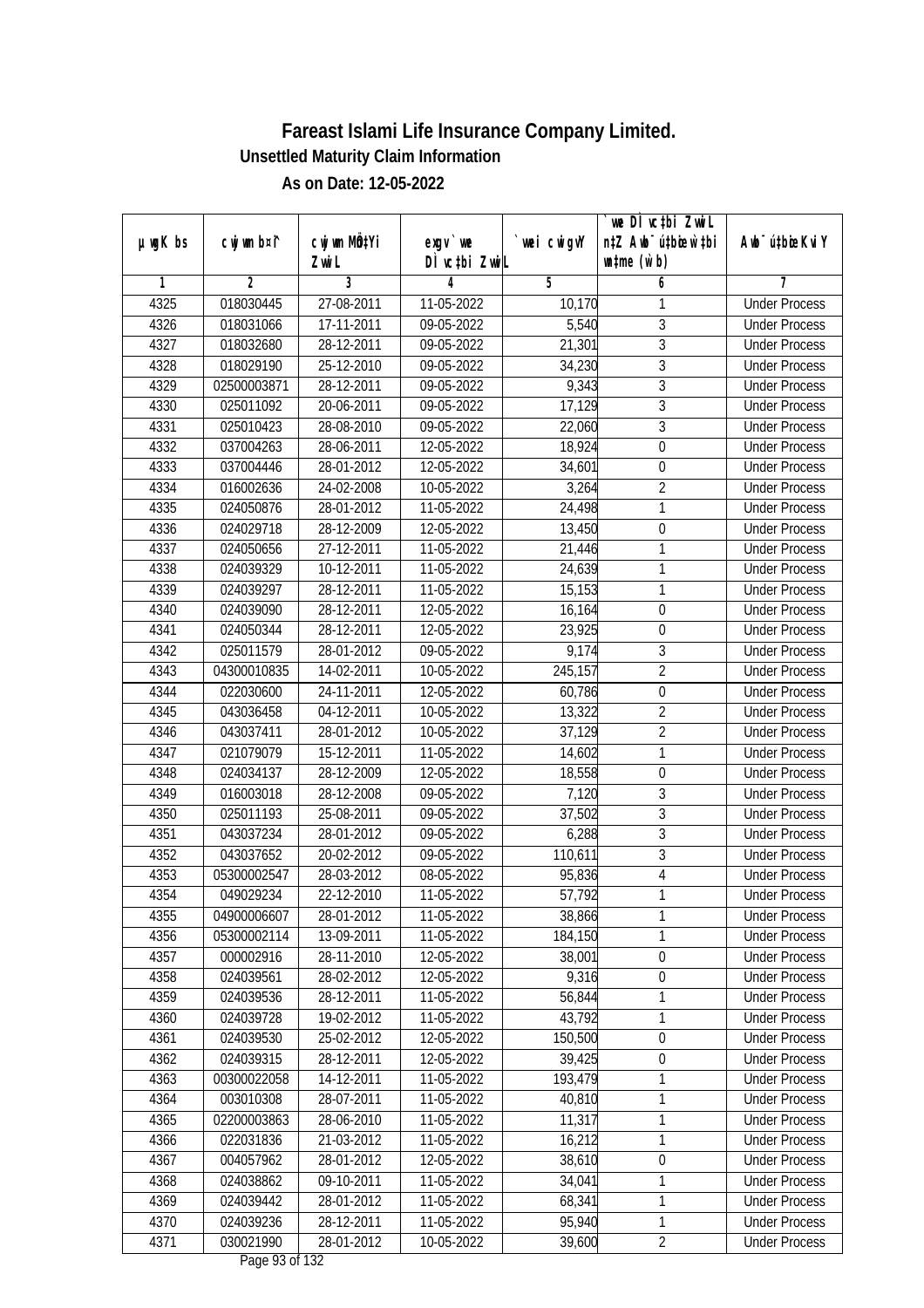| $µ$ ug $K$ bs | cwj wm b¤i^ | cwj wm MQtYi | exgv `we                           | wei cwigvY | `we DÌ vc‡bi ZwiL<br>n‡Z Awb <sup>-</sup> ú‡bioen`‡bi | Awb <sup>-</sup> ú‡bioeKviY |
|---------------|-------------|--------------|------------------------------------|------------|-------------------------------------------------------|-----------------------------|
|               |             | Zwi L        | DÌ vctbi ZwiL                      |            | $\n  untime\n  (u`b)\n$                               |                             |
| 1             | 2           | 3            | 4                                  | 5          | 6                                                     | 7                           |
| 4325          | 018030445   | 27-08-2011   | 11-05-2022                         | 10,170     | 1                                                     | <b>Under Process</b>        |
| 4326          | 018031066   | 17-11-2011   | 09-05-2022                         | 5,540      | 3                                                     | <b>Under Process</b>        |
| 4327          | 018032680   | 28-12-2011   | 09-05-2022                         | 21,301     | $\overline{3}$                                        | <b>Under Process</b>        |
| 4328          | 018029190   | 25-12-2010   | 09-05-2022                         | 34,230     | $\overline{3}$                                        | <b>Under Process</b>        |
| 4329          | 02500003871 | 28-12-2011   | 09-05-2022                         | 9,343      | $\overline{3}$                                        | <b>Under Process</b>        |
| 4330          | 025011092   | 20-06-2011   | 09-05-2022                         | 17,129     | $\overline{3}$                                        | <b>Under Process</b>        |
| 4331          | 025010423   | 28-08-2010   | 09-05-2022                         | 22,060     | $\overline{3}$                                        | <b>Under Process</b>        |
| 4332          | 037004263   | 28-06-2011   | 12-05-2022                         | 18,924     | $\overline{0}$                                        | <b>Under Process</b>        |
| 4333          | 037004446   | 28-01-2012   | 12-05-2022                         | 34,601     | $\boldsymbol{0}$                                      | <b>Under Process</b>        |
| 4334          | 016002636   | 24-02-2008   | 10-05-2022                         | 3,264      | $\overline{2}$                                        | <b>Under Process</b>        |
| 4335          | 024050876   | 28-01-2012   | 11-05-2022                         | 24,498     | $\mathbf{1}$                                          | <b>Under Process</b>        |
| 4336          | 024029718   | 28-12-2009   | 12-05-2022                         | 13,450     | $\boldsymbol{0}$                                      | <b>Under Process</b>        |
| 4337          | 024050656   | 27-12-2011   | 11-05-2022                         | 21,446     | $\mathbf{1}$                                          | <b>Under Process</b>        |
| 4338          | 024039329   | 10-12-2011   | 11-05-2022                         | 24,639     | $\mathbf{1}$                                          | <b>Under Process</b>        |
| 4339          | 024039297   | 28-12-2011   | 11-05-2022                         | 15,153     | $\mathbf{1}$                                          | <b>Under Process</b>        |
| 4340          | 024039090   | 28-12-2011   | 12-05-2022                         | 16,164     | $\mathbf 0$                                           | <b>Under Process</b>        |
| 4341          | 024050344   | 28-12-2011   | 12-05-2022                         | 23,925     | $\mathbf 0$                                           | <b>Under Process</b>        |
| 4342          | 025011579   | 28-01-2012   | 09-05-2022                         | 9,174      | $\mathfrak{Z}$                                        | <b>Under Process</b>        |
| 4343          | 04300010835 | 14-02-2011   | 10-05-2022                         | 245,157    | $\overline{2}$                                        | <b>Under Process</b>        |
| 4344          | 022030600   | 24-11-2011   | 12-05-2022                         | 60,786     | $\boldsymbol{0}$                                      | <b>Under Process</b>        |
| 4345          | 043036458   | 04-12-2011   | 10-05-2022                         | 13,322     | $\overline{2}$                                        | <b>Under Process</b>        |
| 4346          | 043037411   | 28-01-2012   | 10-05-2022                         | 37,129     | $\overline{2}$                                        | <b>Under Process</b>        |
| 4347          | 021079079   | 15-12-2011   | 11-05-2022                         | 14,602     | 1                                                     | <b>Under Process</b>        |
| 4348          | 024034137   | 28-12-2009   | 12-05-2022                         | 18,558     | $\boldsymbol{0}$                                      | <b>Under Process</b>        |
| 4349          | 016003018   | 28-12-2008   | 09-05-2022                         | 7,120      | $\overline{3}$                                        | <b>Under Process</b>        |
| 4350          | 025011193   | 25-08-2011   | 09-05-2022                         | 37,502     | $\overline{3}$                                        | <b>Under Process</b>        |
| 4351          | 043037234   | 28-01-2012   | 09-05-2022                         | 6,288      | $\mathfrak{Z}$                                        | <b>Under Process</b>        |
| 4352          | 043037652   | 20-02-2012   | 09-05-2022                         | 110,611    | $\overline{3}$                                        | <b>Under Process</b>        |
| 4353          | 05300002547 | 28-03-2012   | 08-05-2022                         | 95,836     | $\overline{4}$                                        | <b>Under Process</b>        |
| 4354          | 049029234   | 22-12-2010   | 11-05-2022                         | 57,792     | $\mathbf{1}$                                          | <b>Under Process</b>        |
| 4355          | 04900006607 | 28-01-2012   | 11-05-2022                         | 38,866     | 1                                                     | <b>Under Process</b>        |
| 4356          | 05300002114 | 13-09-2011   | 11-05-2022                         | 184,150    | 1                                                     | <b>Under Process</b>        |
| 4357          | 000002916   | 28-11-2010   | 12-05-2022                         | 38,001     | $\boldsymbol{0}$                                      | <b>Under Process</b>        |
| 4358          | 024039561   | 28-02-2012   | 12-05-2022                         | 9,316      | $\boldsymbol{0}$                                      | <b>Under Process</b>        |
| 4359          | 024039536   | 28-12-2011   | 11-05-2022                         | 56,844     | $\mathbf{1}$                                          | <b>Under Process</b>        |
| 4360          | 024039728   | 19-02-2012   | 11-05-2022                         | 43,792     | 1                                                     | <b>Under Process</b>        |
| 4361          | 024039530   | 25-02-2012   | 12-05-2022                         | 150,500    | $\boldsymbol{0}$                                      | <b>Under Process</b>        |
| 4362          | 024039315   | 28-12-2011   | 12-05-2022                         | 39,425     | $\boldsymbol{0}$                                      | <b>Under Process</b>        |
| 4363          | 00300022058 | 14-12-2011   | 11-05-2022                         | 193,479    | 1                                                     | <b>Under Process</b>        |
| 4364          | 003010308   | 28-07-2011   | 11-05-2022                         | 40,810     | 1                                                     | <b>Under Process</b>        |
| 4365          | 02200003863 | 28-06-2010   | 11-05-2022                         | 11,317     | $\mathbf{1}$                                          | <b>Under Process</b>        |
| 4366          | 022031836   | 21-03-2012   | 11-05-2022                         | 16,212     | 1                                                     | <b>Under Process</b>        |
| 4367          | 004057962   | 28-01-2012   | 12-05-2022                         | 38,610     | $\boldsymbol{0}$                                      | <b>Under Process</b>        |
| 4368          | 024038862   | 09-10-2011   | 11-05-2022                         | 34,041     | 1                                                     | <b>Under Process</b>        |
| 4369          | 024039442   | 28-01-2012   | 11-05-2022                         | 68,341     | $\mathbf{1}$                                          | <b>Under Process</b>        |
| 4370          | 024039236   | 28-12-2011   | 11-05-2022                         | 95,940     | $\mathbf{1}$                                          | <b>Under Process</b>        |
| 4371          | 030021990   | 28-01-2012   | 10-05-2022<br>$D_{0.92}$ 02 of 122 | 39,600     | $\overline{2}$                                        | <b>Under Process</b>        |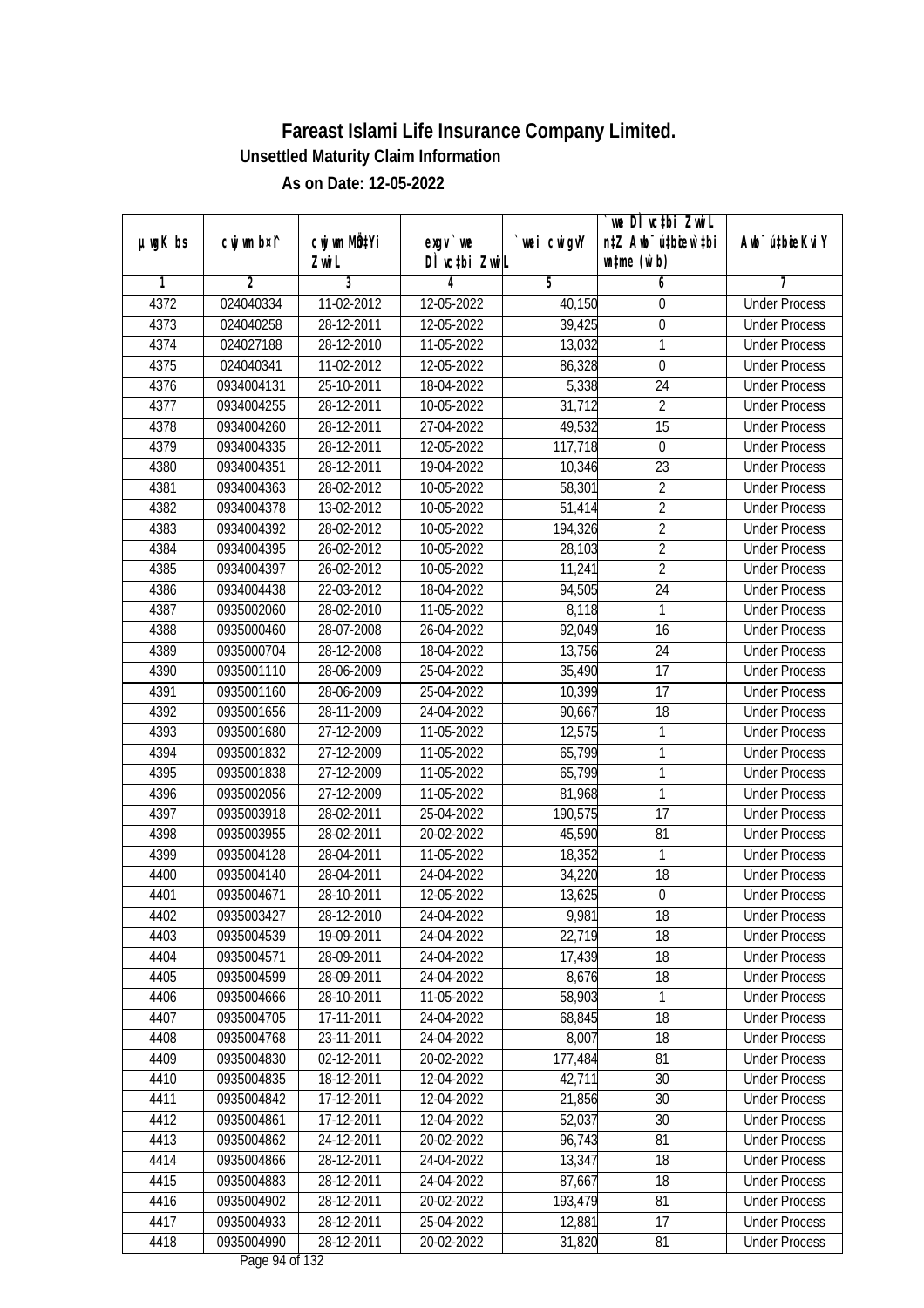|               |                |              |                              |            | we DI vctbi ZwiL                 |                             |
|---------------|----------------|--------------|------------------------------|------------|----------------------------------|-----------------------------|
| $µ$ ug $K$ bs | cwj wm b¤i^    | cwj wm MQtYi | exgv `we                     | wei cwigvY | n‡Z Awb <sup>-</sup> ú‡bicen`‡bi | Awb <sup>-</sup> ú‡bioeKviY |
|               |                | Zwi L        | DÌ vctbi ZwiL                |            | $\n  untime\n  (u`b)\n$          |                             |
| 1             | $\overline{2}$ | 3            | 4                            | 5          | 6                                | 7                           |
| 4372          | 024040334      | 11-02-2012   | 12-05-2022                   | 40,150     | $\boldsymbol{0}$                 | <b>Under Process</b>        |
| 4373          | 024040258      | 28-12-2011   | 12-05-2022                   | 39,425     | $\boldsymbol{0}$                 | <b>Under Process</b>        |
| 4374          | 024027188      | 28-12-2010   | 11-05-2022                   | 13,032     | $\mathbf{1}$                     | <b>Under Process</b>        |
| 4375          | 024040341      | 11-02-2012   | 12-05-2022                   | 86,328     | $\boldsymbol{0}$                 | <b>Under Process</b>        |
| 4376          | 0934004131     | 25-10-2011   | 18-04-2022                   | 5,338      | 24                               | <b>Under Process</b>        |
| 4377          | 0934004255     | 28-12-2011   | 10-05-2022                   | 31,712     | $\overline{2}$                   | <b>Under Process</b>        |
| 4378          | 0934004260     | 28-12-2011   | 27-04-2022                   | 49,532     | $\overline{15}$                  | <b>Under Process</b>        |
| 4379          | 0934004335     | 28-12-2011   | 12-05-2022                   | 117,718    | $\boldsymbol{0}$                 | <b>Under Process</b>        |
| 4380          | 0934004351     | 28-12-2011   | 19-04-2022                   | 10,346     | 23                               | <b>Under Process</b>        |
| 4381          | 0934004363     | 28-02-2012   | 10-05-2022                   | 58,301     | $\overline{2}$                   | <b>Under Process</b>        |
| 4382          | 0934004378     | 13-02-2012   | 10-05-2022                   | 51,414     | $\overline{2}$                   | <b>Under Process</b>        |
| 4383          | 0934004392     | 28-02-2012   | 10-05-2022                   | 194,326    | $\overline{2}$                   | <b>Under Process</b>        |
| 4384          | 0934004395     | 26-02-2012   | 10-05-2022                   | 28,103     | $\overline{2}$                   | <b>Under Process</b>        |
| 4385          | 0934004397     | 26-02-2012   | 10-05-2022                   | 11,241     | $\overline{2}$                   | <b>Under Process</b>        |
| 4386          | 0934004438     | 22-03-2012   | 18-04-2022                   | 94,505     | 24                               | <b>Under Process</b>        |
| 4387          | 0935002060     | 28-02-2010   | 11-05-2022                   | 8,118      | $\mathbf{1}$                     | <b>Under Process</b>        |
| 4388          | 0935000460     | 28-07-2008   | 26-04-2022                   | 92,049     | 16                               | <b>Under Process</b>        |
| 4389          | 0935000704     | 28-12-2008   | 18-04-2022                   | 13,756     | 24                               | <b>Under Process</b>        |
| 4390          | 0935001110     | 28-06-2009   | 25-04-2022                   | 35,490     | 17                               | <b>Under Process</b>        |
| 4391          | 0935001160     | 28-06-2009   | 25-04-2022                   | 10,399     | 17                               | <b>Under Process</b>        |
| 4392          | 0935001656     | 28-11-2009   | 24-04-2022                   | 90,667     | 18                               | <b>Under Process</b>        |
| 4393          | 0935001680     | 27-12-2009   | 11-05-2022                   | 12,575     | 1                                | <b>Under Process</b>        |
| 4394          | 0935001832     | 27-12-2009   | 11-05-2022                   | 65,799     | $\mathbf{1}$                     | <b>Under Process</b>        |
| 4395          | 0935001838     | 27-12-2009   | 11-05-2022                   | 65,799     | $\mathbf{1}$                     | <b>Under Process</b>        |
| 4396          | 0935002056     | 27-12-2009   | 11-05-2022                   | 81,968     | $\mathbf{1}$                     | <b>Under Process</b>        |
| 4397          | 0935003918     | 28-02-2011   | 25-04-2022                   | 190,575    | 17                               | <b>Under Process</b>        |
| 4398          | 0935003955     | 28-02-2011   | 20-02-2022                   | 45,590     | 81                               | <b>Under Process</b>        |
| 4399          | 0935004128     | 28-04-2011   | 11-05-2022                   | 18,352     | 1                                | <b>Under Process</b>        |
| 4400          | 0935004140     | 28-04-2011   | 24-04-2022                   | 34,220     | 18                               | <b>Under Process</b>        |
| 4401          | 0935004671     | 28-10-2011   | 12-05-2022                   | 13,625     | $\boldsymbol{0}$                 | <b>Under Process</b>        |
| 4402          | 0935003427     | 28-12-2010   | 24-04-2022                   | 9,981      | 18                               | <b>Under Process</b>        |
| 4403          | 0935004539     | 19-09-2011   | 24-04-2022                   | 22,719     | 18                               | <b>Under Process</b>        |
| 4404          | 0935004571     | 28-09-2011   | 24-04-2022                   | 17,439     | 18                               | <b>Under Process</b>        |
| 4405          | 0935004599     | 28-09-2011   | 24-04-2022                   | 8,676      | 18                               | <b>Under Process</b>        |
| 4406          | 0935004666     | 28-10-2011   | 11-05-2022                   | 58,903     | 1                                | <b>Under Process</b>        |
| 4407          | 0935004705     | 17-11-2011   | 24-04-2022                   | 68,845     | 18                               | <b>Under Process</b>        |
| 4408          | 0935004768     | 23-11-2011   | 24-04-2022                   | 8,007      | 18                               | <b>Under Process</b>        |
| 4409          | 0935004830     | 02-12-2011   | 20-02-2022                   | 177,484    | 81                               | <b>Under Process</b>        |
| 4410          | 0935004835     | 18-12-2011   | 12-04-2022                   | 42,711     | 30                               | <b>Under Process</b>        |
| 4411          | 0935004842     | 17-12-2011   | 12-04-2022                   | 21,856     | 30                               | <b>Under Process</b>        |
| 4412          | 0935004861     | 17-12-2011   | 12-04-2022                   | 52,037     | 30                               | <b>Under Process</b>        |
| 4413          | 0935004862     | 24-12-2011   | 20-02-2022                   | 96,743     | 81                               | <b>Under Process</b>        |
| 4414          | 0935004866     | 28-12-2011   | 24-04-2022                   | 13,347     | 18                               | <b>Under Process</b>        |
| 4415          | 0935004883     | 28-12-2011   | 24-04-2022                   | 87,667     | 18                               | <b>Under Process</b>        |
| 4416          | 0935004902     | 28-12-2011   | 20-02-2022                   | 193,479    | 81                               | <b>Under Process</b>        |
| 4417          | 0935004933     | 28-12-2011   | 25-04-2022                   | 12,881     | 17                               | <b>Under Process</b>        |
| 4418          | 0935004990     | 28-12-2011   | 20-02-2022<br>Dago 04 of 122 | 31,820     | 81                               | <b>Under Process</b>        |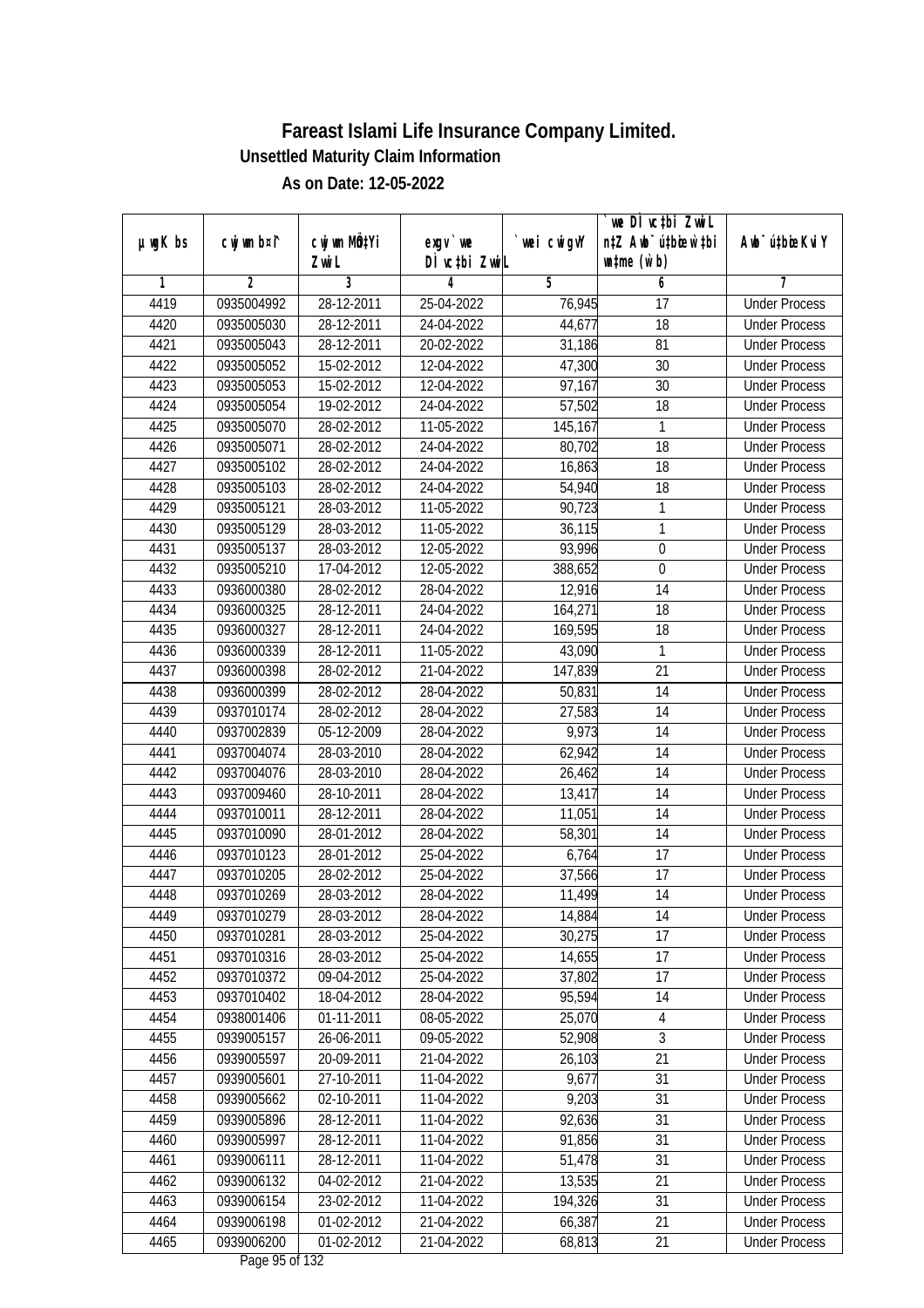| $µ$ ug $K$ bs | cwj wm b¤i^    | cwj wm MQtYi | exgv `we                                                              | wei cwigvY | we DI vctbi ZwiL<br>n‡Z Awb <sup>-</sup> ú‡bioen`‡bi | Awb <sup>-</sup> ú‡bioeKviY |
|---------------|----------------|--------------|-----------------------------------------------------------------------|------------|------------------------------------------------------|-----------------------------|
|               |                | Zwi L        | DÌ vctbi ZwiL                                                         |            | $\n  untime\n  (u`b)\n$                              |                             |
| 1             | $\overline{2}$ | 3            | 4                                                                     | 5          | 6                                                    | 7                           |
| 4419          | 0935004992     | 28-12-2011   | 25-04-2022                                                            | 76,945     | $\overline{17}$                                      | <b>Under Process</b>        |
| 4420          | 0935005030     | 28-12-2011   | 24-04-2022                                                            | 44,677     | 18                                                   | <b>Under Process</b>        |
| 4421          | 0935005043     | 28-12-2011   | 20-02-2022                                                            | 31,186     | 81                                                   | <b>Under Process</b>        |
| 4422          | 0935005052     | 15-02-2012   | 12-04-2022                                                            | 47,300     | 30                                                   | <b>Under Process</b>        |
| 4423          | 0935005053     | 15-02-2012   | 12-04-2022                                                            | 97,167     | $\overline{30}$                                      | <b>Under Process</b>        |
| 4424          | 0935005054     | 19-02-2012   | 24-04-2022                                                            | 57,502     | $\overline{18}$                                      | <b>Under Process</b>        |
| 4425          | 0935005070     | 28-02-2012   | 11-05-2022                                                            | 145,167    | 1                                                    | <b>Under Process</b>        |
| 4426          | 0935005071     | 28-02-2012   | 24-04-2022                                                            | 80,702     | 18                                                   | <b>Under Process</b>        |
| 4427          | 0935005102     | 28-02-2012   | 24-04-2022                                                            | 16,863     | 18                                                   | <b>Under Process</b>        |
| 4428          | 0935005103     | 28-02-2012   | 24-04-2022                                                            | 54,940     | 18                                                   | <b>Under Process</b>        |
| 4429          | 0935005121     | 28-03-2012   | 11-05-2022                                                            | 90,723     | $\mathbf{1}$                                         | <b>Under Process</b>        |
| 4430          | 0935005129     | 28-03-2012   | $\overline{11}$ -05-2022                                              | 36,115     | 1                                                    | <b>Under Process</b>        |
| 4431          | 0935005137     | 28-03-2012   | 12-05-2022                                                            | 93,996     | $\overline{0}$                                       | <b>Under Process</b>        |
| 4432          | 0935005210     | 17-04-2012   | 12-05-2022                                                            | 388,652    | 0                                                    | <b>Under Process</b>        |
| 4433          | 0936000380     | 28-02-2012   | 28-04-2022                                                            | 12,916     | 14                                                   | <b>Under Process</b>        |
| 4434          | 0936000325     | 28-12-2011   | 24-04-2022                                                            | 164,271    | 18                                                   | <b>Under Process</b>        |
| 4435          | 0936000327     | 28-12-2011   | 24-04-2022                                                            | 169,595    | 18                                                   | <b>Under Process</b>        |
| 4436          | 0936000339     | 28-12-2011   | 11-05-2022                                                            | 43,090     | 1                                                    | <b>Under Process</b>        |
| 4437          | 0936000398     | 28-02-2012   | 21-04-2022                                                            | 147,839    | 21                                                   | <b>Under Process</b>        |
| 4438          | 0936000399     | 28-02-2012   | 28-04-2022                                                            | 50,831     | 14                                                   | <b>Under Process</b>        |
| 4439          | 0937010174     | 28-02-2012   | 28-04-2022                                                            | 27,583     | 14                                                   | <b>Under Process</b>        |
| 4440          | 0937002839     | 05-12-2009   | 28-04-2022                                                            | 9,973      | 14                                                   | <b>Under Process</b>        |
| 4441          | 0937004074     | 28-03-2010   | 28-04-2022                                                            | 62,942     | 14                                                   | <b>Under Process</b>        |
| 4442          | 0937004076     | 28-03-2010   | 28-04-2022                                                            | 26,462     | 14                                                   | <b>Under Process</b>        |
| 4443          | 0937009460     | 28-10-2011   | 28-04-2022                                                            | 13,417     | 14                                                   | <b>Under Process</b>        |
| 4444          | 0937010011     | 28-12-2011   | 28-04-2022                                                            | 11,051     | 14                                                   | <b>Under Process</b>        |
| 4445          | 0937010090     | 28-01-2012   | 28-04-2022                                                            | 58,301     | 14                                                   | <b>Under Process</b>        |
| 4446          | 0937010123     | 28-01-2012   | 25-04-2022                                                            | 6,764      | 17                                                   | <b>Under Process</b>        |
| 4447          | 0937010205     | 28-02-2012   | 25-04-2022                                                            | 37,566     | 17                                                   | <b>Under Process</b>        |
| 4448          | 0937010269     | 28-03-2012   | 28-04-2022                                                            | 11,499     | 14                                                   | <b>Under Process</b>        |
| 4449          | 0937010279     | 28-03-2012   | 28-04-2022                                                            | 14,884     | 14                                                   | <b>Under Process</b>        |
| 4450          | 0937010281     | 28-03-2012   | 25-04-2022                                                            | 30,275     | 17                                                   | <b>Under Process</b>        |
| 4451          | 0937010316     | 28-03-2012   | 25-04-2022                                                            | 14,655     | 17                                                   | <b>Under Process</b>        |
| 4452          | 0937010372     | 09-04-2012   | 25-04-2022                                                            | 37,802     | 17                                                   | <b>Under Process</b>        |
| 4453          | 0937010402     | 18-04-2012   | 28-04-2022                                                            | 95,594     | 14                                                   | <b>Under Process</b>        |
| 4454          | 0938001406     | 01-11-2011   | 08-05-2022                                                            | 25,070     | 4                                                    | <b>Under Process</b>        |
| 4455          | 0939005157     | 26-06-2011   | 09-05-2022                                                            | 52,908     | 3                                                    | <b>Under Process</b>        |
| 4456          | 0939005597     | 20-09-2011   | 21-04-2022                                                            | 26,103     | 21                                                   | <b>Under Process</b>        |
| 4457          | 0939005601     | 27-10-2011   | 11-04-2022                                                            | 9,677      | 31                                                   | <b>Under Process</b>        |
| 4458          | 0939005662     | 02-10-2011   | 11-04-2022                                                            | 9,203      | 31                                                   | <b>Under Process</b>        |
| 4459          | 0939005896     | 28-12-2011   | 11-04-2022                                                            | 92,636     | 31                                                   | <b>Under Process</b>        |
| 4460          | 0939005997     | 28-12-2011   | 11-04-2022                                                            | 91,856     | 31                                                   | <b>Under Process</b>        |
| 4461          | 0939006111     | 28-12-2011   | 11-04-2022                                                            | 51,478     | 31                                                   | <b>Under Process</b>        |
| 4462          | 0939006132     | 04-02-2012   | 21-04-2022                                                            | 13,535     | 21                                                   | <b>Under Process</b>        |
| 4463          | 0939006154     | 23-02-2012   | 11-04-2022                                                            | 194,326    | 31                                                   | <b>Under Process</b>        |
| 4464          | 0939006198     | 01-02-2012   | 21-04-2022                                                            | 66,387     | 21                                                   | <b>Under Process</b>        |
| 4465          | 0939006200     | 01-02-2012   | 21-04-2022<br>$D0$ $\alpha$ $\alpha$ $\beta$ $\beta$ $\beta$ $\gamma$ | 68,813     | 21                                                   | <b>Under Process</b>        |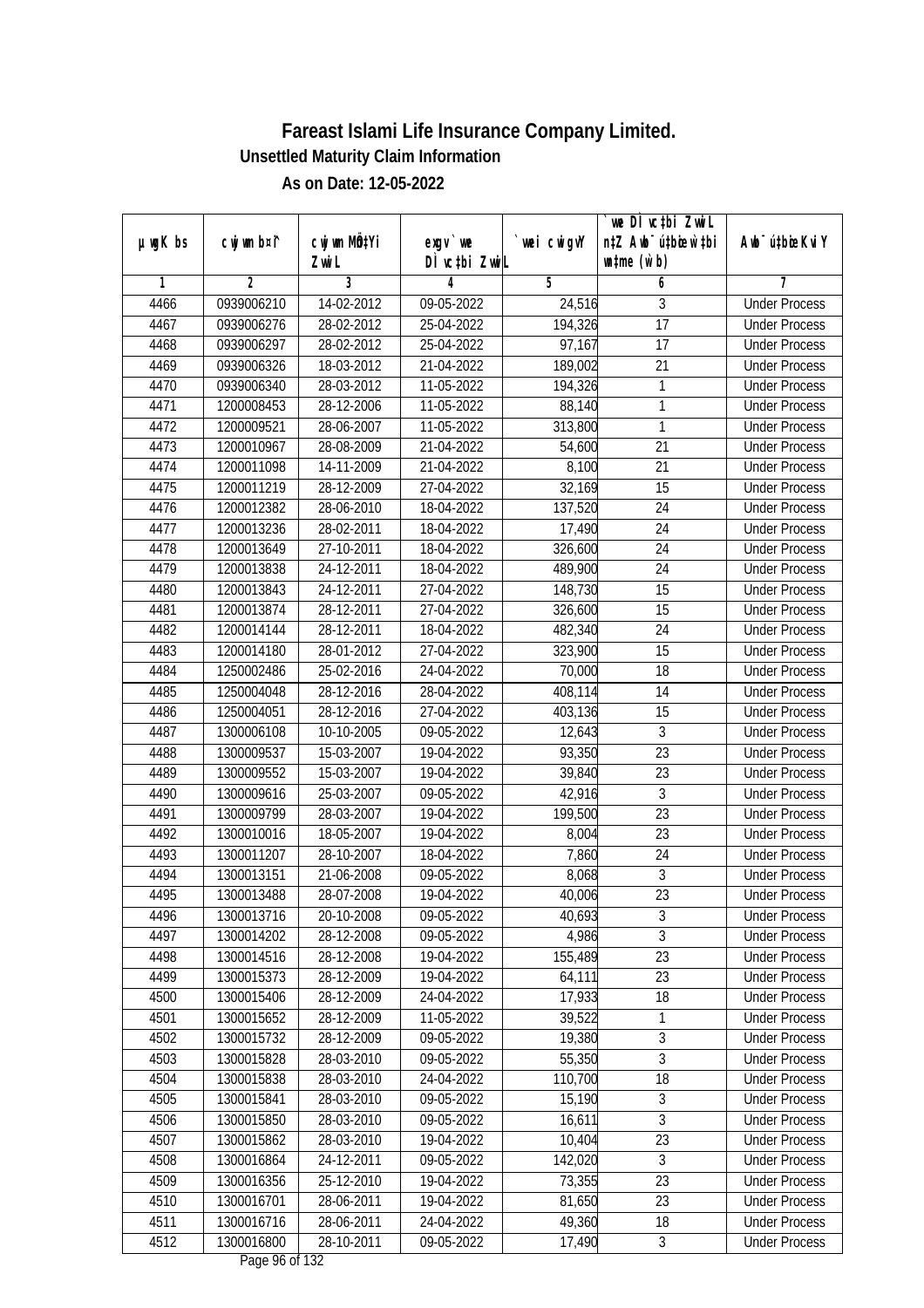|         |                |              |                  |             | we DI vctbi ZwiL                 |                             |
|---------|----------------|--------------|------------------|-------------|----------------------------------|-----------------------------|
| µwgK bs | cwj wm b¤i^    | cwj wm MQtYi | $exgV$ we        | `wei cwigvY | n‡Z Awb <sup>-</sup> ú‡bioar`‡bi | Awb <sup>-</sup> ú‡bioeKviY |
|         |                | Zwi L        | DÌ vctbi ZwiL    |             | $\n  untime\n  (u`b)\n$          |                             |
| 1       | $\overline{2}$ | 3            | 4                | 5           | 6                                | 7                           |
| 4466    | 0939006210     | 14-02-2012   | 09-05-2022       | 24,516      | 3                                | <b>Under Process</b>        |
| 4467    | 0939006276     | 28-02-2012   | 25-04-2022       | 194,326     | $\overline{17}$                  | <b>Under Process</b>        |
| 4468    | 0939006297     | 28-02-2012   | 25-04-2022       | 97,167      | 17                               | <b>Under Process</b>        |
| 4469    | 0939006326     | 18-03-2012   | 21-04-2022       | 189,002     | 21                               | <b>Under Process</b>        |
| 4470    | 0939006340     | 28-03-2012   | 11-05-2022       | 194,326     | 1                                | <b>Under Process</b>        |
| 4471    | 1200008453     | 28-12-2006   | 11-05-2022       | 88,140      | 1                                | <b>Under Process</b>        |
| 4472    | 1200009521     | 28-06-2007   | 11-05-2022       | 313,800     | 1                                | <b>Under Process</b>        |
| 4473    | 1200010967     | 28-08-2009   | 21-04-2022       | 54,600      | $\overline{21}$                  | <b>Under Process</b>        |
| 4474    | 1200011098     | 14-11-2009   | 21-04-2022       | 8,100       | 21                               | <b>Under Process</b>        |
| 4475    | 1200011219     | 28-12-2009   | 27-04-2022       | 32,169      | 15                               | <b>Under Process</b>        |
| 4476    | 1200012382     | 28-06-2010   | 18-04-2022       | 137,520     | $\overline{24}$                  | <b>Under Process</b>        |
| 4477    | 1200013236     | 28-02-2011   | 18-04-2022       | 17,490      | 24                               | <b>Under Process</b>        |
| 4478    | 1200013649     | 27-10-2011   | 18-04-2022       | 326,600     | $\overline{24}$                  | <b>Under Process</b>        |
| 4479    | 1200013838     | 24-12-2011   | 18-04-2022       | 489,900     | 24                               | <b>Under Process</b>        |
| 4480    | 1200013843     | 24-12-2011   | 27-04-2022       | 148,730     | 15                               | <b>Under Process</b>        |
| 4481    | 1200013874     | 28-12-2011   | 27-04-2022       | 326,600     | 15                               | <b>Under Process</b>        |
| 4482    | 1200014144     | 28-12-2011   | 18-04-2022       | 482,340     | 24                               | <b>Under Process</b>        |
| 4483    | 1200014180     | 28-01-2012   | 27-04-2022       | 323,900     | 15                               | <b>Under Process</b>        |
| 4484    | 1250002486     | 25-02-2016   | 24-04-2022       | 70,000      | 18                               | <b>Under Process</b>        |
| 4485    | 1250004048     | 28-12-2016   | 28-04-2022       | 408,114     | 14                               | <b>Under Process</b>        |
| 4486    | 1250004051     | 28-12-2016   | 27-04-2022       | 403,136     | 15                               | <b>Under Process</b>        |
| 4487    | 1300006108     | 10-10-2005   | 09-05-2022       | 12,643      | $\mathfrak{Z}$                   | <b>Under Process</b>        |
| 4488    | 1300009537     | 15-03-2007   | 19-04-2022       | 93,350      | 23                               | <b>Under Process</b>        |
| 4489    | 1300009552     | 15-03-2007   | 19-04-2022       | 39,840      | 23                               | <b>Under Process</b>        |
| 4490    | 1300009616     | 25-03-2007   | 09-05-2022       | 42,916      | $\sqrt{3}$                       | <b>Under Process</b>        |
| 4491    | 1300009799     | 28-03-2007   | 19-04-2022       | 199,500     | 23                               | <b>Under Process</b>        |
| 4492    | 1300010016     | 18-05-2007   | 19-04-2022       | 8,004       | 23                               | <b>Under Process</b>        |
| 4493    | 1300011207     | 28-10-2007   | 18-04-2022       | 7,860       | 24                               | <b>Under Process</b>        |
| 4494    | 1300013151     | 21-06-2008   | 09-05-2022       | 8,068       | $\overline{3}$                   | <b>Under Process</b>        |
| 4495    | 1300013488     | 28-07-2008   | 19-04-2022       | 40,006      | 23                               | <b>Under Process</b>        |
| 4496    | 1300013716     | 20-10-2008   | 09-05-2022       | 40,693      | 3                                | <b>Under Process</b>        |
| 4497    | 1300014202     | 28-12-2008   | 09-05-2022       | 4,986       | $\overline{3}$                   | <b>Under Process</b>        |
| 4498    | 1300014516     | 28-12-2008   | 19-04-2022       | 155,489     | 23                               | <b>Under Process</b>        |
| 4499    | 1300015373     | 28-12-2009   | 19-04-2022       | 64,111      | 23                               | <b>Under Process</b>        |
| 4500    | 1300015406     | 28-12-2009   | 24-04-2022       | 17,933      | 18                               | <b>Under Process</b>        |
| 4501    | 1300015652     | 28-12-2009   | 11-05-2022       | 39,522      | 1                                | <b>Under Process</b>        |
| 4502    | 1300015732     | 28-12-2009   | 09-05-2022       | 19,380      | $\overline{3}$                   | <b>Under Process</b>        |
| 4503    | 1300015828     | 28-03-2010   | $09 - 05 - 2022$ | 55,350      | $\overline{3}$                   | <b>Under Process</b>        |
| 4504    | 1300015838     | 28-03-2010   | 24-04-2022       | 110,700     | 18                               | <b>Under Process</b>        |
| 4505    | 1300015841     | 28-03-2010   | 09-05-2022       | 15,190      | $\overline{3}$                   | <b>Under Process</b>        |
| 4506    | 1300015850     | 28-03-2010   | 09-05-2022       | 16,611      | 3                                | <b>Under Process</b>        |
| 4507    | 1300015862     | 28-03-2010   | 19-04-2022       | 10,404      | 23                               | <b>Under Process</b>        |
| 4508    | 1300016864     | 24-12-2011   | 09-05-2022       | 142,020     | 3                                | <b>Under Process</b>        |
| 4509    | 1300016356     | 25-12-2010   | 19-04-2022       | 73,355      | $\overline{23}$                  | <b>Under Process</b>        |
| 4510    | 1300016701     | 28-06-2011   | 19-04-2022       | 81,650      | 23                               | <b>Under Process</b>        |
| 4511    | 1300016716     | 28-06-2011   | 24-04-2022       | 49,360      | 18                               | <b>Under Process</b>        |
| 4512    | 1300016800     | 28-10-2011   | 09-05-2022       | 17,490      | $\mathfrak{Z}$                   | <b>Under Process</b>        |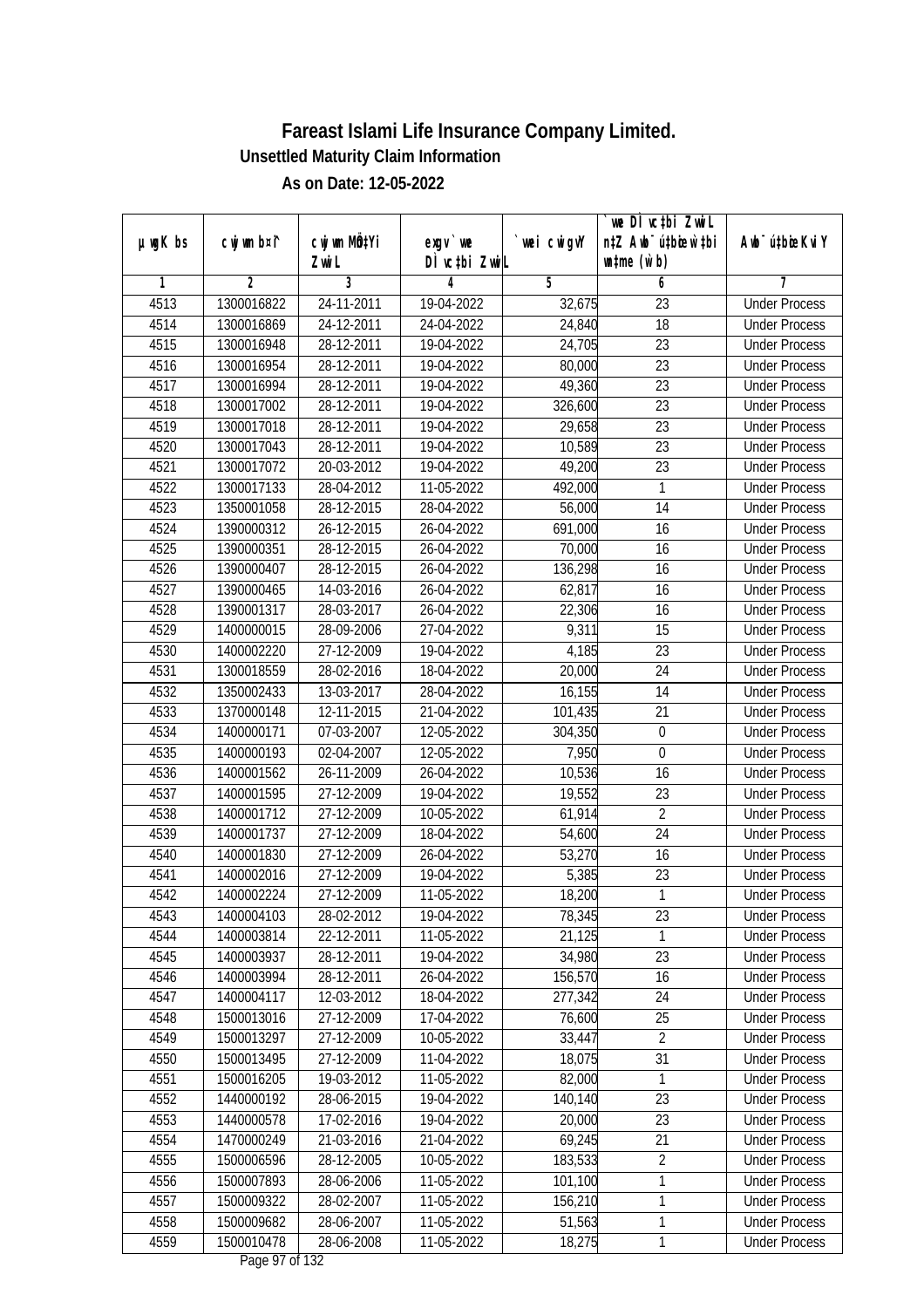|               |                |                       |                            |            | we DI vctbi ZwiL<br>n‡Z Awb <sup>-</sup> ú‡bioar`‡bi |                             |
|---------------|----------------|-----------------------|----------------------------|------------|------------------------------------------------------|-----------------------------|
| $µ$ ug $K$ bs | cwj wm b¤i^    | cwj wm MQtYi<br>Zwi L | $exgV$ we<br>DÌ vctbi ZwiL | wei cwigvY | $\n  untime\n  (u`b)\n$                              | Awb <sup>-</sup> ú‡bioeKviY |
| 1             | $\overline{2}$ | 3                     | 4                          | 5          | 6                                                    | 7                           |
| 4513          | 1300016822     | 24-11-2011            | 19-04-2022                 | 32,675     | $\overline{23}$                                      | <b>Under Process</b>        |
| 4514          | 1300016869     | 24-12-2011            | 24-04-2022                 | 24,840     | 18                                                   | <b>Under Process</b>        |
| 4515          | 1300016948     | 28-12-2011            | 19-04-2022                 | 24,705     | $\overline{23}$                                      | <b>Under Process</b>        |
| 4516          | 1300016954     | 28-12-2011            | 19-04-2022                 | 80,000     | 23                                                   | <b>Under Process</b>        |
| 4517          | 1300016994     | 28-12-2011            | 19-04-2022                 | 49,360     | $\overline{23}$                                      | <b>Under Process</b>        |
| 4518          | 1300017002     | 28-12-2011            | 19-04-2022                 | 326,600    | $\overline{23}$                                      | <b>Under Process</b>        |
| 4519          | 1300017018     | 28-12-2011            | 19-04-2022                 | 29,658     | $\overline{23}$                                      | <b>Under Process</b>        |
| 4520          | 1300017043     | 28-12-2011            | 19-04-2022                 | 10,589     | $\overline{23}$                                      | <b>Under Process</b>        |
| 4521          | 1300017072     | 20-03-2012            | 19-04-2022                 | 49,200     | $\overline{23}$                                      | <b>Under Process</b>        |
| 4522          | 1300017133     | 28-04-2012            | 11-05-2022                 | 492,000    | $\mathbf{1}$                                         | <b>Under Process</b>        |
| 4523          | 1350001058     | 28-12-2015            | 28-04-2022                 | 56,000     | $\overline{14}$                                      | <b>Under Process</b>        |
| 4524          | 1390000312     | 26-12-2015            | 26-04-2022                 | 691,000    | 16                                                   | <b>Under Process</b>        |
| 4525          | 1390000351     | 28-12-2015            | 26-04-2022                 | 70,000     | $\overline{16}$                                      | <b>Under Process</b>        |
| 4526          | 1390000407     | 28-12-2015            | 26-04-2022                 | 136,298    | 16                                                   | <b>Under Process</b>        |
| 4527          | 1390000465     | 14-03-2016            | 26-04-2022                 | 62,817     | 16                                                   | <b>Under Process</b>        |
| 4528          | 1390001317     | 28-03-2017            | 26-04-2022                 | 22,306     | 16                                                   | <b>Under Process</b>        |
| 4529          | 1400000015     | 28-09-2006            | 27-04-2022                 | 9,311      | 15                                                   | <b>Under Process</b>        |
| 4530          | 1400002220     | 27-12-2009            | 19-04-2022                 | 4,185      | 23                                                   | <b>Under Process</b>        |
| 4531          | 1300018559     | 28-02-2016            | 18-04-2022                 | 20,000     | 24                                                   | <b>Under Process</b>        |
| 4532          | 1350002433     | 13-03-2017            | 28-04-2022                 | 16,155     | 14                                                   | <b>Under Process</b>        |
| 4533          | 1370000148     | 12-11-2015            | 21-04-2022                 | 101,435    | 21                                                   | <b>Under Process</b>        |
| 4534          | 1400000171     | 07-03-2007            | 12-05-2022                 | 304,350    | 0                                                    | <b>Under Process</b>        |
| 4535          | 1400000193     | 02-04-2007            | 12-05-2022                 | 7,950      | $\boldsymbol{0}$                                     | <b>Under Process</b>        |
| 4536          | 1400001562     | 26-11-2009            | 26-04-2022                 | 10,536     | 16                                                   | <b>Under Process</b>        |
| 4537          | 1400001595     | 27-12-2009            | 19-04-2022                 | 19,552     | 23                                                   | <b>Under Process</b>        |
| 4538          | 1400001712     | 27-12-2009            | 10-05-2022                 | 61,914     | $\overline{2}$                                       | <b>Under Process</b>        |
| 4539          | 1400001737     | 27-12-2009            | 18-04-2022                 | 54,600     | 24                                                   | <b>Under Process</b>        |
| 4540          | 1400001830     | 27-12-2009            | 26-04-2022                 | 53,270     | 16                                                   | <b>Under Process</b>        |
| 4541          | 1400002016     | 27-12-2009            | 19-04-2022                 | 5,385      | 23                                                   | <b>Under Process</b>        |
| 4542          | 1400002224     | 27-12-2009            | 11-05-2022                 | 18,200     | $\mathbf{1}$                                         | <b>Under Process</b>        |
| 4543          | 1400004103     | 28-02-2012            | 19-04-2022                 | 78,345     | 23                                                   | <b>Under Process</b>        |
| 4544          | 1400003814     | 22-12-2011            | 11-05-2022                 | 21,125     | 1                                                    | <b>Under Process</b>        |
| 4545          | 1400003937     | 28-12-2011            | 19-04-2022                 | 34,980     | 23                                                   | <b>Under Process</b>        |
| 4546          | 1400003994     | 28-12-2011            | 26-04-2022                 | 156,570    | 16                                                   | <b>Under Process</b>        |
| 4547          | 1400004117     | 12-03-2012            | 18-04-2022                 | 277,342    | 24                                                   | <b>Under Process</b>        |
| 4548          | 1500013016     | 27-12-2009            | 17-04-2022                 | 76,600     | 25                                                   | <b>Under Process</b>        |
| 4549          | 1500013297     | 27-12-2009            | 10-05-2022                 | 33,447     | $\overline{2}$                                       | <b>Under Process</b>        |
| 4550          | 1500013495     | 27-12-2009            | 11-04-2022                 | 18,075     | 31                                                   | <b>Under Process</b>        |
| 4551          | 1500016205     | 19-03-2012            | 11-05-2022                 | 82,000     | 1                                                    | <b>Under Process</b>        |
| 4552          | 1440000192     | 28-06-2015            | 19-04-2022                 | 140,140    | 23                                                   | <b>Under Process</b>        |
| 4553          | 1440000578     | 17-02-2016            | 19-04-2022                 | 20,000     | 23                                                   | <b>Under Process</b>        |
| 4554          | 1470000249     | 21-03-2016            | 21-04-2022                 | 69,245     | 21                                                   | <b>Under Process</b>        |
| 4555          | 1500006596     | 28-12-2005            | 10-05-2022                 | 183,533    | $\overline{2}$                                       | <b>Under Process</b>        |
| 4556          | 1500007893     | 28-06-2006            | 11-05-2022                 | 101,100    | 1                                                    | <b>Under Process</b>        |
| 4557          | 1500009322     | 28-02-2007            | 11-05-2022                 | 156,210    | 1                                                    | <b>Under Process</b>        |
| 4558          | 1500009682     | 28-06-2007            | 11-05-2022                 | 51,563     | $\mathbf{1}$                                         | <b>Under Process</b>        |
| 4559          | 1500010478     | 28-06-2008            | 11-05-2022                 | 18,275     | $\mathbf{1}$                                         | <b>Under Process</b>        |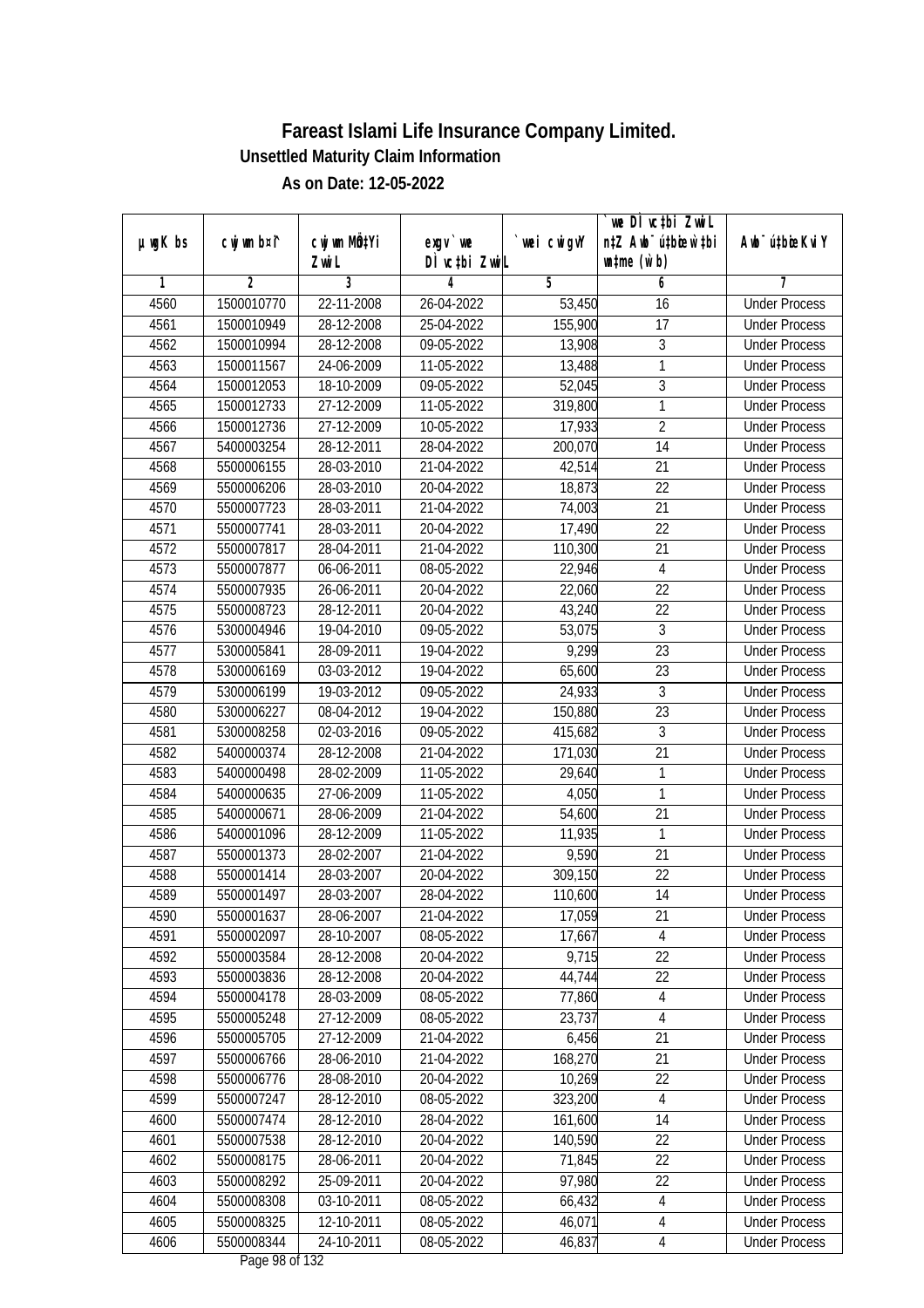|               |                |              |                  |             | we DI vctbi ZwiL                 |                             |
|---------------|----------------|--------------|------------------|-------------|----------------------------------|-----------------------------|
| $µ$ ug $K$ bs | cwj wm b¤i^    | cwj wm MQtYi | $exgV$ we        | `wei cwigvY | n‡Z Awb <sup>-</sup> ú‡bioar`‡bi | Awb <sup>-</sup> ú‡bioeKviY |
|               |                | Zwi L        | DÌ vctbi ZwiL    |             | $\n  untime\n  (u`b)\n$          |                             |
| 1             | $\overline{2}$ | 3            | 4                | 5           | 6                                | 7                           |
| 4560          | 1500010770     | 22-11-2008   | 26-04-2022       | 53,450      | 16                               | <b>Under Process</b>        |
| 4561          | 1500010949     | 28-12-2008   | 25-04-2022       | 155,900     | $\overline{17}$                  | <b>Under Process</b>        |
| 4562          | 1500010994     | 28-12-2008   | 09-05-2022       | 13,908      | $\overline{3}$                   | <b>Under Process</b>        |
| 4563          | 1500011567     | 24-06-2009   | 11-05-2022       | 13,488      | 1                                | <b>Under Process</b>        |
| 4564          | 1500012053     | 18-10-2009   | 09-05-2022       | 52,045      | $\overline{3}$                   | <b>Under Process</b>        |
| 4565          | 1500012733     | 27-12-2009   | 11-05-2022       | 319,800     | 1                                | <b>Under Process</b>        |
| 4566          | 1500012736     | 27-12-2009   | $10-05-2022$     | 17,933      | $\overline{2}$                   | <b>Under Process</b>        |
| 4567          | 5400003254     | 28-12-2011   | 28-04-2022       | 200,070     | $\overline{14}$                  | <b>Under Process</b>        |
| 4568          | 5500006155     | 28-03-2010   | 21-04-2022       | 42,514      | 21                               | <b>Under Process</b>        |
| 4569          | 5500006206     | 28-03-2010   | 20-04-2022       | 18,873      | 22                               | <b>Under Process</b>        |
| 4570          | 5500007723     | 28-03-2011   | 21-04-2022       | 74,003      | $\overline{21}$                  | <b>Under Process</b>        |
| 4571          | 5500007741     | 28-03-2011   | 20-04-2022       | 17,490      | 22                               | <b>Under Process</b>        |
| 4572          | 5500007817     | 28-04-2011   | 21-04-2022       | 110,300     | $\overline{21}$                  | <b>Under Process</b>        |
| 4573          | 5500007877     | 06-06-2011   | 08-05-2022       | 22,946      | $\overline{4}$                   | <b>Under Process</b>        |
| 4574          | 5500007935     | 26-06-2011   | 20-04-2022       | 22,060      | 22                               | <b>Under Process</b>        |
| 4575          | 5500008723     | 28-12-2011   | 20-04-2022       | 43,240      | 22                               | <b>Under Process</b>        |
| 4576          | 5300004946     | 19-04-2010   | 09-05-2022       | 53,075      | $\mathfrak{Z}$                   | <b>Under Process</b>        |
| 4577          | 5300005841     | 28-09-2011   | 19-04-2022       | 9,299       | 23                               | <b>Under Process</b>        |
| 4578          | 5300006169     | 03-03-2012   | 19-04-2022       | 65,600      | 23                               | <b>Under Process</b>        |
| 4579          | 5300006199     | 19-03-2012   | 09-05-2022       | 24,933      | $\mathfrak{Z}$                   | <b>Under Process</b>        |
| 4580          | 5300006227     | 08-04-2012   | 19-04-2022       | 150,880     | 23                               | <b>Under Process</b>        |
| 4581          | 5300008258     | 02-03-2016   | 09-05-2022       | 415,682     | $\mathfrak{Z}$                   | <b>Under Process</b>        |
| 4582          | 5400000374     | 28-12-2008   | $21 - 04 - 2022$ | 171,030     | 21                               | <b>Under Process</b>        |
| 4583          | 5400000498     | 28-02-2009   | 11-05-2022       | 29,640      | $\mathbf{1}$                     | <b>Under Process</b>        |
| 4584          | 5400000635     | 27-06-2009   | 11-05-2022       | 4,050       | $\mathbf{1}$                     | <b>Under Process</b>        |
| 4585          | 5400000671     | 28-06-2009   | 21-04-2022       | 54,600      | 21                               | <b>Under Process</b>        |
| 4586          | 5400001096     | 28-12-2009   | 11-05-2022       | 11,935      | 1                                | <b>Under Process</b>        |
| 4587          | 5500001373     | 28-02-2007   | 21-04-2022       | 9,590       | 21                               | <b>Under Process</b>        |
| 4588          | 5500001414     | 28-03-2007   | 20-04-2022       | 309,150     | 22                               | <b>Under Process</b>        |
| 4589          | 5500001497     | 28-03-2007   | 28-04-2022       | 110,600     | 14                               | <b>Under Process</b>        |
| 4590          | 5500001637     | 28-06-2007   | 21-04-2022       | 17,059      | 21                               | <b>Under Process</b>        |
| 4591          | 5500002097     | 28-10-2007   | 08-05-2022       | 17,667      | 4                                | <b>Under Process</b>        |
| 4592          | 5500003584     | 28-12-2008   | 20-04-2022       | 9,715       | 22                               | <b>Under Process</b>        |
| 4593          | 5500003836     | 28-12-2008   | 20-04-2022       | 44,744      | 22                               | <b>Under Process</b>        |
| 4594          | 5500004178     | 28-03-2009   | 08-05-2022       | 77,860      | 4                                | <b>Under Process</b>        |
| 4595          | 5500005248     | 27-12-2009   | 08-05-2022       | 23,737      | 4                                | <b>Under Process</b>        |
| 4596          | 5500005705     | 27-12-2009   | 21-04-2022       | 6,456       | 21                               | <b>Under Process</b>        |
| 4597          | 5500006766     | 28-06-2010   | 21-04-2022       | 168,270     | 21                               | <b>Under Process</b>        |
| 4598          | 5500006776     | 28-08-2010   | 20-04-2022       | 10,269      | 22                               | <b>Under Process</b>        |
| 4599          | 5500007247     | 28-12-2010   | 08-05-2022       | 323,200     | 4                                | <b>Under Process</b>        |
| 4600          | 5500007474     | 28-12-2010   | 28-04-2022       | 161,600     | 14                               | <b>Under Process</b>        |
| 4601          | 5500007538     | 28-12-2010   | 20-04-2022       | 140,590     | 22                               | <b>Under Process</b>        |
| 4602          | 5500008175     | 28-06-2011   | 20-04-2022       | 71,845      | $\overline{22}$                  | <b>Under Process</b>        |
| 4603          | 5500008292     | 25-09-2011   | 20-04-2022       | 97,980      | 22                               | <b>Under Process</b>        |
| 4604          | 5500008308     | 03-10-2011   | 08-05-2022       | 66,432      | $\sqrt{4}$                       | <b>Under Process</b>        |
| 4605          | 5500008325     | 12-10-2011   | 08-05-2022       | 46,071      | $\overline{\mathcal{A}}$         | <b>Under Process</b>        |
| 4606          | 5500008344     | 24-10-2011   | 08-05-2022       | 46,837      | 4                                | <b>Under Process</b>        |
|               |                |              |                  |             |                                  |                             |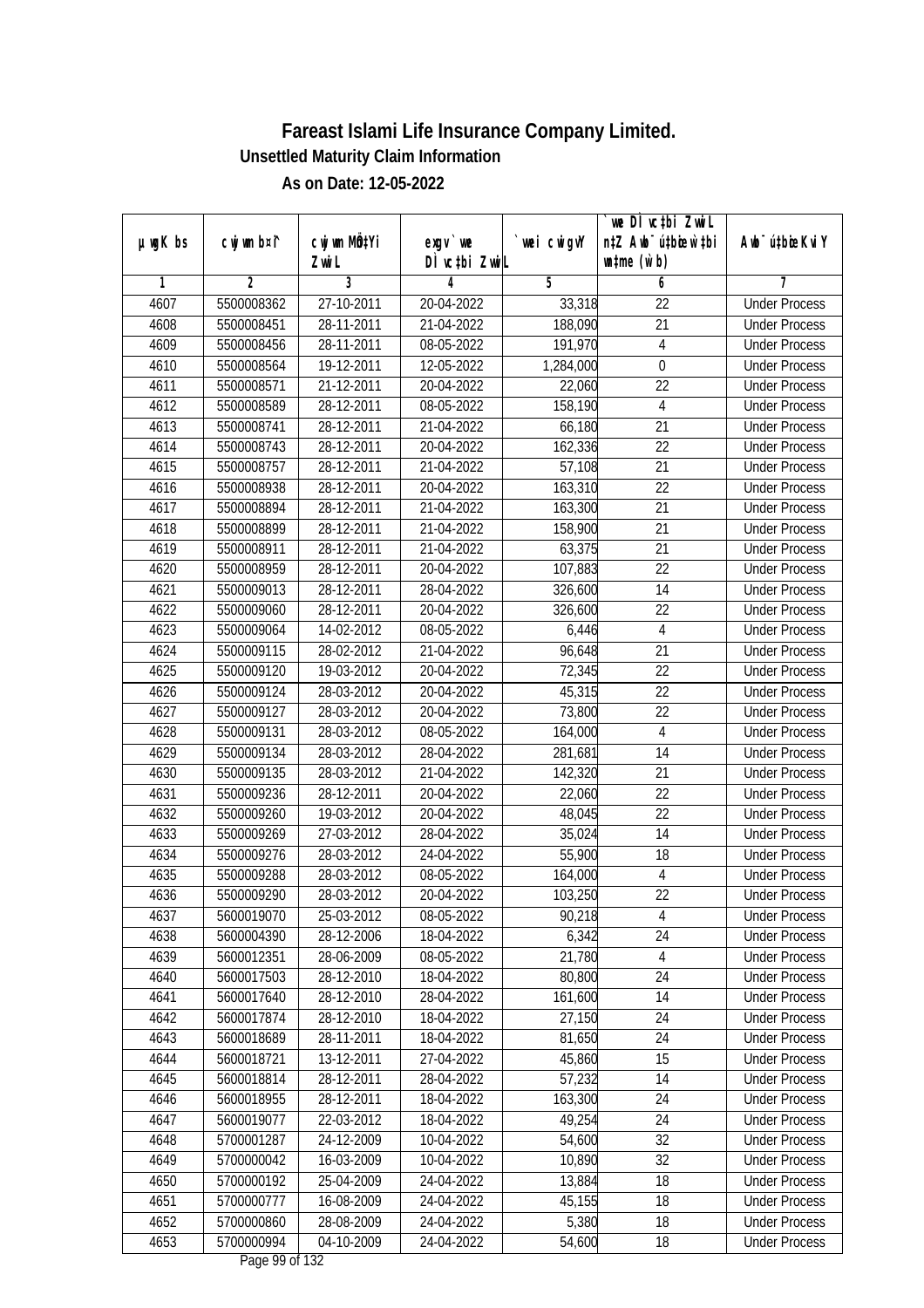| $µ$ ug $K$ bs | cwj wm b¤i^    | cwj wm MÖ¢Yi     | $exgV$ we     | wei cwigvY | we DI vctbi ZwiL<br>n‡Z Awb <sup>-</sup> ú‡bicen`‡bi | Awb <sup>-</sup> ú‡bioeKviY |
|---------------|----------------|------------------|---------------|------------|------------------------------------------------------|-----------------------------|
|               |                | Zwi L            | DÌ vctbi ZwiL |            | $\n  untime\n  (u`b)\n$                              |                             |
| 1             | $\overline{2}$ | 3                | 4             | 5          | 6                                                    | 7                           |
| 4607          | 5500008362     | 27-10-2011       | 20-04-2022    | 33,318     | $\overline{22}$                                      | <b>Under Process</b>        |
| 4608          | 5500008451     | 28-11-2011       | 21-04-2022    | 188,090    | $\overline{21}$                                      | <b>Under Process</b>        |
| 4609          | 5500008456     | 28-11-2011       | 08-05-2022    | 191,970    | $\overline{4}$                                       | <b>Under Process</b>        |
| 4610          | 5500008564     | 19-12-2011       | 12-05-2022    | 1,284,000  | $\boldsymbol{0}$                                     | <b>Under Process</b>        |
| 4611          | 5500008571     | 21-12-2011       | 20-04-2022    | 22,060     | 22                                                   | <b>Under Process</b>        |
| 4612          | 5500008589     | 28-12-2011       | 08-05-2022    | 158,190    | $\overline{4}$                                       | <b>Under Process</b>        |
| 4613          | 5500008741     | 28-12-2011       | 21-04-2022    | 66,180     | 21                                                   | <b>Under Process</b>        |
| 4614          | 5500008743     | 28-12-2011       | 20-04-2022    | 162,336    | $\overline{22}$                                      | <b>Under Process</b>        |
| 4615          | 5500008757     | 28-12-2011       | 21-04-2022    | 57,108     | 21                                                   | <b>Under Process</b>        |
| 4616          | 5500008938     | 28-12-2011       | 20-04-2022    | 163,310    | 22                                                   | <b>Under Process</b>        |
| 4617          | 5500008894     | 28-12-2011       | 21-04-2022    | 163,300    | $\overline{21}$                                      | <b>Under Process</b>        |
| 4618          | 5500008899     | 28-12-2011       | 21-04-2022    | 158,900    | 21                                                   | <b>Under Process</b>        |
| 4619          | 5500008911     | 28-12-2011       | 21-04-2022    | 63,375     | $\overline{21}$                                      | <b>Under Process</b>        |
| 4620          | 5500008959     | 28-12-2011       | 20-04-2022    | 107,883    | 22                                                   | <b>Under Process</b>        |
| 4621          | 5500009013     | 28-12-2011       | 28-04-2022    | 326,600    | 14                                                   | <b>Under Process</b>        |
| 4622          | 5500009060     | 28-12-2011       | 20-04-2022    | 326,600    | 22                                                   | <b>Under Process</b>        |
| 4623          | 5500009064     | 14-02-2012       | 08-05-2022    | 6,446      | $\overline{4}$                                       | <b>Under Process</b>        |
| 4624          | 5500009115     | 28-02-2012       | 21-04-2022    | 96,648     | 21                                                   | <b>Under Process</b>        |
| 4625          | 5500009120     | 19-03-2012       | 20-04-2022    | 72,345     | 22                                                   | <b>Under Process</b>        |
| 4626          | 5500009124     | 28-03-2012       | 20-04-2022    | 45,315     | 22                                                   | <b>Under Process</b>        |
| 4627          | 5500009127     | 28-03-2012       | 20-04-2022    | 73,800     | 22                                                   | <b>Under Process</b>        |
| 4628          | 5500009131     | 28-03-2012       | 08-05-2022    | 164,000    | 4                                                    | <b>Under Process</b>        |
| 4629          | 5500009134     | 28-03-2012       | 28-04-2022    | 281,681    | 14                                                   | <b>Under Process</b>        |
| 4630          | 5500009135     | 28-03-2012       | 21-04-2022    | 142,320    | 21                                                   | <b>Under Process</b>        |
| 4631          | 5500009236     | 28-12-2011       | 20-04-2022    | 22,060     | 22                                                   | <b>Under Process</b>        |
| 4632          | 5500009260     | 19-03-2012       | 20-04-2022    | 48,045     | 22                                                   | <b>Under Process</b>        |
| 4633          | 5500009269     | 27-03-2012       | 28-04-2022    | 35,024     | 14                                                   | <b>Under Process</b>        |
| 4634          | 5500009276     | 28-03-2012       | 24-04-2022    | 55,900     | 18                                                   | <b>Under Process</b>        |
| 4635          | 5500009288     | 28-03-2012       | 08-05-2022    | 164,000    | $\overline{4}$                                       | <b>Under Process</b>        |
| 4636          | 5500009290     | 28-03-2012       | 20-04-2022    | 103,250    | 22                                                   | <b>Under Process</b>        |
| 4637          | 5600019070     | 25-03-2012       | 08-05-2022    | 90,218     | $\overline{4}$                                       | <b>Under Process</b>        |
| 4638          | 5600004390     | 28-12-2006       | 18-04-2022    | 6,342      | 24                                                   | <b>Under Process</b>        |
| 4639          | 5600012351     | 28-06-2009       | 08-05-2022    | 21,780     | $\overline{4}$                                       | <b>Under Process</b>        |
| 4640          | 5600017503     | 28-12-2010       | 18-04-2022    | 80,800     | 24                                                   | <b>Under Process</b>        |
| 4641          | 5600017640     | 28-12-2010       | 28-04-2022    | 161,600    | 14                                                   | <b>Under Process</b>        |
| 4642          | 5600017874     | 28-12-2010       | 18-04-2022    | 27,150     | 24                                                   | <b>Under Process</b>        |
| 4643          | 5600018689     | 28-11-2011       | 18-04-2022    | 81,650     | 24                                                   | <b>Under Process</b>        |
| 4644          | 5600018721     | 13-12-2011       | 27-04-2022    | 45,860     | 15                                                   | <b>Under Process</b>        |
| 4645          | 5600018814     | 28-12-2011       | 28-04-2022    | 57,232     | 14                                                   | <b>Under Process</b>        |
| 4646          | 5600018955     | 28-12-2011       | 18-04-2022    | 163,300    | 24                                                   | <b>Under Process</b>        |
| 4647          | 5600019077     | 22-03-2012       | 18-04-2022    | 49,254     | 24                                                   | <b>Under Process</b>        |
| 4648          | 5700001287     | 24-12-2009       | 10-04-2022    | 54,600     | 32                                                   | <b>Under Process</b>        |
| 4649          | 5700000042     | 16-03-2009       | 10-04-2022    | 10,890     | $\overline{32}$                                      | <b>Under Process</b>        |
| 4650          | 5700000192     | 25-04-2009       | 24-04-2022    | 13,884     | 18                                                   | <b>Under Process</b>        |
| 4651          | 5700000777     | 16-08-2009       | 24-04-2022    | 45,155     | 18                                                   | <b>Under Process</b>        |
| 4652          | 5700000860     | 28-08-2009       | 24-04-2022    | 5,380      | 18                                                   | <b>Under Process</b>        |
| 4653          | 5700000994     | $04 - 10 - 2009$ | 24-04-2022    | 54,600     | 18                                                   | <b>Under Process</b>        |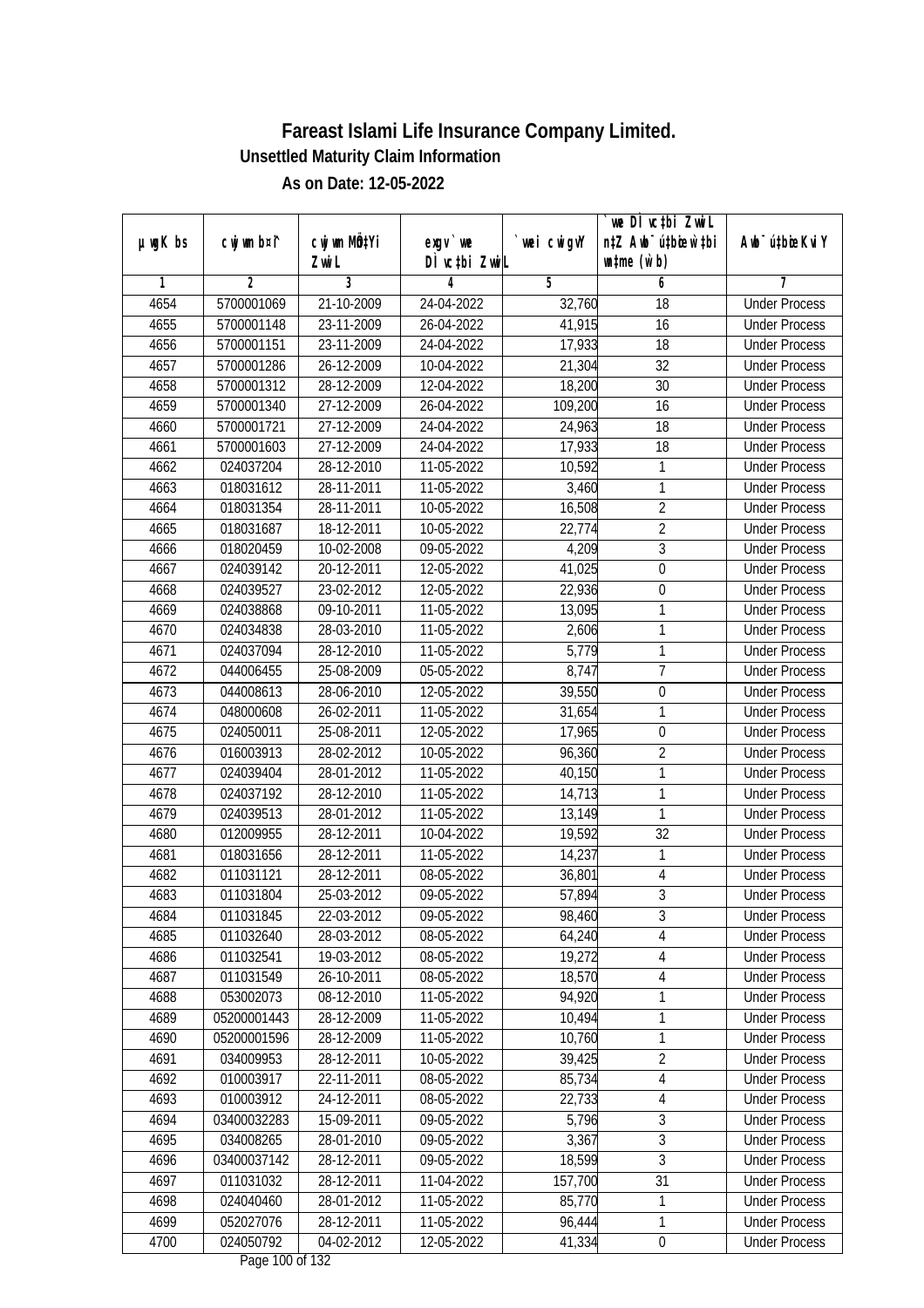|               |                         |                                |                          |                  | `we DÌ vc‡bi ZwiL                |                                              |
|---------------|-------------------------|--------------------------------|--------------------------|------------------|----------------------------------|----------------------------------------------|
| $µ$ ug $K$ bs | cwj wm b¤i^             | cwj wm MQ <sup>1</sup> Yi      | $exgV$ we                | `wei cwigvY      | n‡Z Awb <sup>-</sup> ú‡bioen`‡bi | Awb <sup>-</sup> ú‡bioeKviY                  |
|               |                         | Zwi L                          | DÌ vctbi ZwiL            |                  | $\n  untime\n  (u`b)\n$          |                                              |
| 1             | 2                       | 3                              | 4                        | 5                | 6                                | 7                                            |
| 4654          | 5700001069              | 21-10-2009                     | 24-04-2022               | 32,760           | 18                               | <b>Under Process</b>                         |
| 4655          | 5700001148              | 23-11-2009                     | 26-04-2022               | 41,915           | 16                               | <b>Under Process</b>                         |
| 4656          | 5700001151              | 23-11-2009                     | 24-04-2022               | 17,933           | 18                               | <b>Under Process</b>                         |
| 4657          | 5700001286              | 26-12-2009                     | 10-04-2022               | 21,304           | $\overline{32}$                  | <b>Under Process</b><br><b>Under Process</b> |
| 4658          | 5700001312              | 28-12-2009                     | 12-04-2022               | 18,200           | 30                               |                                              |
| 4659          | 5700001340              | $27 - 12 - 2009$<br>27-12-2009 | 26-04-2022               | 109,200          | $\overline{16}$                  | <b>Under Process</b>                         |
| 4660<br>4661  | 5700001721              |                                | 24-04-2022<br>24-04-2022 | 24,963           | 18<br>$\overline{18}$            | <b>Under Process</b><br><b>Under Process</b> |
| 4662          | 5700001603<br>024037204 | 27-12-2009<br>28-12-2010       | 11-05-2022               | 17,933<br>10,592 | 1                                | <b>Under Process</b>                         |
|               |                         |                                |                          |                  | 1                                |                                              |
| 4663<br>4664  | 018031612<br>018031354  | 28-11-2011<br>28-11-2011       | 11-05-2022<br>10-05-2022 | 3,460            | $\overline{2}$                   | <b>Under Process</b><br><b>Under Process</b> |
|               |                         |                                |                          | 16,508           | $\overline{2}$                   |                                              |
| 4665<br>4666  | 018031687<br>018020459  | 18-12-2011<br>10-02-2008       | 10-05-2022<br>09-05-2022 | 22,774<br>4,209  | $\overline{3}$                   | <b>Under Process</b><br><b>Under Process</b> |
|               |                         |                                |                          |                  |                                  | <b>Under Process</b>                         |
| 4667          | 024039142               | 20-12-2011                     | 12-05-2022               | 41,025<br>22,936 | $\pmb{0}$                        |                                              |
| 4668          | 024039527               | 23-02-2012                     | 12-05-2022               |                  | 0<br>1                           | <b>Under Process</b><br><b>Under Process</b> |
| 4669          | 024038868               | 09-10-2011<br>28-03-2010       | 11-05-2022<br>11-05-2022 | 13,095           |                                  |                                              |
| 4670<br>4671  | 024034838<br>024037094  | 28-12-2010                     | 11-05-2022               | 2,606<br>5,779   | 1<br>1                           | <b>Under Process</b><br><b>Under Process</b> |
| 4672          | 044006455               | 25-08-2009                     | 05-05-2022               | 8,747            | $\overline{1}$                   | <b>Under Process</b>                         |
| 4673          | 044008613               | 28-06-2010                     | 12-05-2022               | 39,550           | $\boldsymbol{0}$                 | <b>Under Process</b>                         |
| 4674          | 048000608               | 26-02-2011                     | 11-05-2022               | 31,654           | 1                                | <b>Under Process</b>                         |
| 4675          | 024050011               | 25-08-2011                     | 12-05-2022               | 17,965           | $\boldsymbol{0}$                 | <b>Under Process</b>                         |
| 4676          | 016003913               | 28-02-2012                     | 10-05-2022               | 96,360           | $\overline{2}$                   | <b>Under Process</b>                         |
| 4677          | 024039404               | 28-01-2012                     | 11-05-2022               | 40,150           | 1                                | <b>Under Process</b>                         |
| 4678          | 024037192               | 28-12-2010                     | 11-05-2022               | 14,713           | 1                                | <b>Under Process</b>                         |
| 4679          | 024039513               | 28-01-2012                     | 11-05-2022               | 13,149           | 1                                | <b>Under Process</b>                         |
| 4680          | 012009955               | 28-12-2011                     | 10-04-2022               | 19,592           | 32                               | <b>Under Process</b>                         |
| 4681          | 018031656               | 28-12-2011                     | 11-05-2022               | 14,237           | 1                                | <b>Under Process</b>                         |
| 4682          | 011031121               | 28-12-2011                     | 08-05-2022               | 36,801           | $\overline{4}$                   | <b>Under Process</b>                         |
| 4683          | 011031804               | 25-03-2012                     | 09-05-2022               | 57,894           | $\overline{3}$                   | <b>Under Process</b>                         |
| 4684          | 011031845               | 22-03-2012                     | 09-05-2022               | 98,460           | 3                                | <b>Under Process</b>                         |
| 4685          | 011032640               | 28-03-2012                     | 08-05-2022               | 64,240           | 4                                | <b>Under Process</b>                         |
| 4686          | 011032541               | 19-03-2012                     | 08-05-2022               | 19,272           | $\sqrt{4}$                       | <b>Under Process</b>                         |
| 4687          | 011031549               | 26-10-2011                     | 08-05-2022               | 18,570           | 4                                | <b>Under Process</b>                         |
| 4688          | 053002073               | 08-12-2010                     | 11-05-2022               | 94,920           | 1                                | <b>Under Process</b>                         |
| 4689          | 05200001443             | 28-12-2009                     | 11-05-2022               | 10,494           | 1                                | <b>Under Process</b>                         |
| 4690          | 05200001596             | 28-12-2009                     | 11-05-2022               | 10,760           | 1                                | <b>Under Process</b>                         |
| 4691          | 034009953               | 28-12-2011                     | 10-05-2022               | 39,425           | $\overline{2}$                   | <b>Under Process</b>                         |
| 4692          | 010003917               | 22-11-2011                     | 08-05-2022               | 85,734           | 4                                | <b>Under Process</b>                         |
| 4693          | 010003912               | 24-12-2011                     | 08-05-2022               | 22,733           | $\overline{4}$                   | <b>Under Process</b>                         |
| 4694          | 03400032283             | 15-09-2011                     | 09-05-2022               | 5,796            | $\overline{3}$                   | <b>Under Process</b>                         |
| 4695          | 034008265               | 28-01-2010                     | 09-05-2022               | 3,367            | 3                                | <b>Under Process</b>                         |
| 4696          | 03400037142             | 28-12-2011                     | $09 - 05 - 2022$         | 18,599           | $\overline{3}$                   | <b>Under Process</b>                         |
| 4697          | 011031032               | 28-12-2011                     | 11-04-2022               | 157,700          | $\overline{31}$                  | <b>Under Process</b>                         |
| 4698          | 024040460               | 28-01-2012                     | 11-05-2022               | 85,770           | 1                                | <b>Under Process</b>                         |
| 4699          | 052027076               | 28-12-2011                     | 11-05-2022               | 96,444           | 1                                | <b>Under Process</b>                         |
| 4700          | 024050792               | 04-02-2012                     | 12-05-2022               | 41,334           | $\pmb{0}$                        | <b>Under Process</b>                         |
|               |                         |                                | Dege 100 of 122          |                  |                                  |                                              |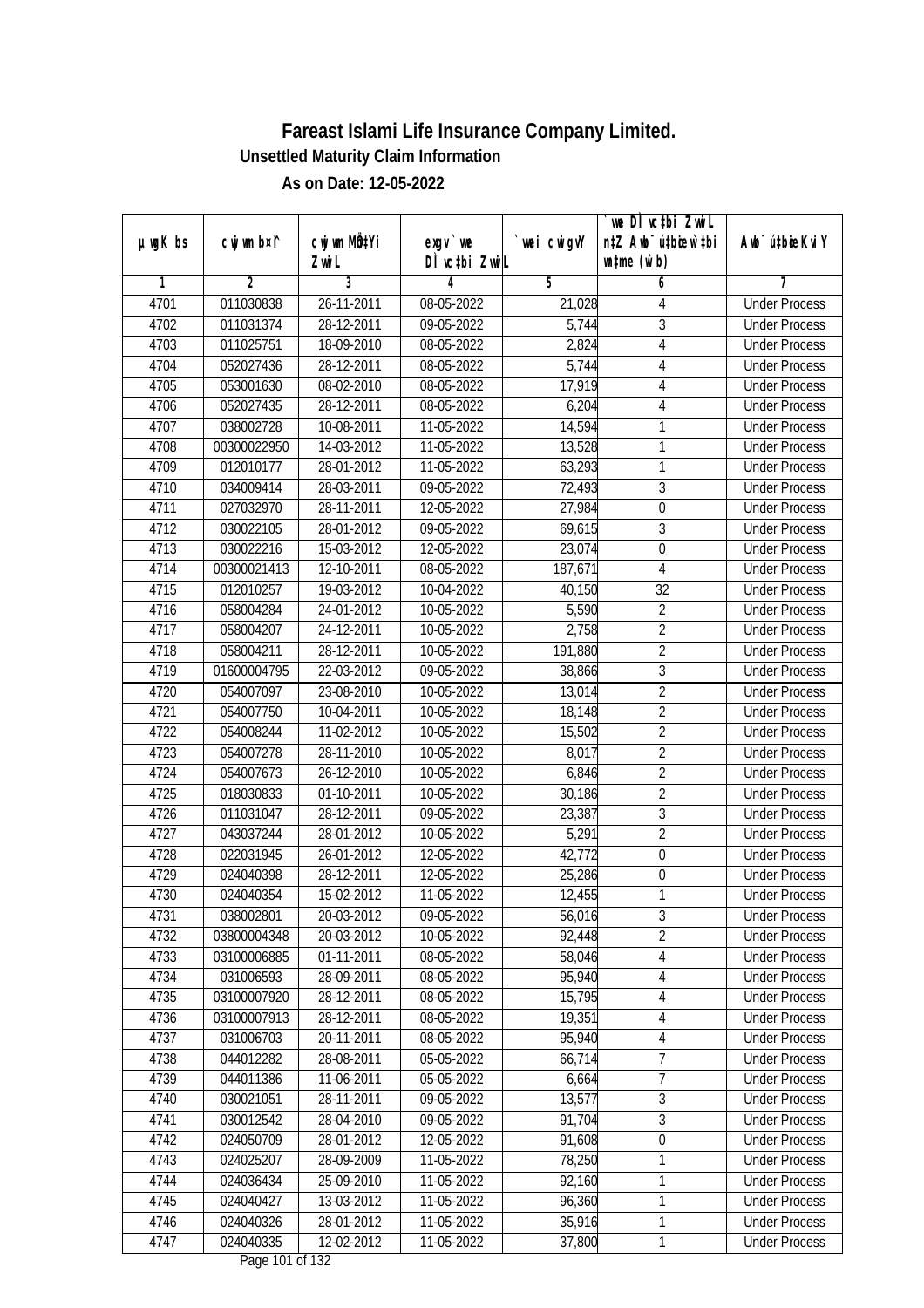|               |                |              |                                     |            | we DI vctbi ZwiL                 |                             |
|---------------|----------------|--------------|-------------------------------------|------------|----------------------------------|-----------------------------|
| $µ$ ug $K$ bs | cwj wm b¤i^    | cwj wm MQtYi | $exgV$ we                           | wei cwigvY | n‡Z Awb <sup>-</sup> ú‡bicew`‡bi | Awb <sup>-</sup> ú‡bioeKviY |
|               |                | Zwi L        | DÌ vctbi ZwiL                       |            | $\n  untime\n  (u`b)\n$          |                             |
| 1             | $\overline{2}$ | 3            | 4                                   | 5          | 6                                | 7                           |
| 4701          | 011030838      | 26-11-2011   | 08-05-2022                          | 21,028     | 4                                | <b>Under Process</b>        |
| 4702          | 011031374      | 28-12-2011   | 09-05-2022                          | 5,744      | $\overline{3}$                   | <b>Under Process</b>        |
| 4703          | 011025751      | 18-09-2010   | 08-05-2022                          | 2,824      | $\overline{4}$                   | <b>Under Process</b>        |
| 4704          | 052027436      | 28-12-2011   | 08-05-2022                          | 5,744      | $\overline{4}$                   | <b>Under Process</b>        |
| 4705          | 053001630      | 08-02-2010   | 08-05-2022                          | 17,919     | $\overline{4}$                   | <b>Under Process</b>        |
| 4706          | 052027435      | 28-12-2011   | 08-05-2022                          | 6,204      | 4                                | <b>Under Process</b>        |
| 4707          | 038002728      | 10-08-2011   | 11-05-2022                          | 14,594     | 1                                | <b>Under Process</b>        |
| 4708          | 00300022950    | 14-03-2012   | 11-05-2022                          | 13,528     | 1                                | <b>Under Process</b>        |
| 4709          | 012010177      | 28-01-2012   | 11-05-2022                          | 63,293     | $\mathbf{1}$                     | <b>Under Process</b>        |
| 4710          | 034009414      | 28-03-2011   | 09-05-2022                          | 72,493     | 3                                | <b>Under Process</b>        |
| 4711          | 027032970      | 28-11-2011   | 12-05-2022                          | 27,984     | $\boldsymbol{0}$                 | <b>Under Process</b>        |
| 4712          | 030022105      | 28-01-2012   | 09-05-2022                          | 69,615     | $\sqrt{3}$                       | <b>Under Process</b>        |
| 4713          | 030022216      | 15-03-2012   | 12-05-2022                          | 23,074     | $\overline{0}$                   | <b>Under Process</b>        |
| 4714          | 00300021413    | 12-10-2011   | 08-05-2022                          | 187,671    | $\overline{4}$                   | <b>Under Process</b>        |
| 4715          | 012010257      | 19-03-2012   | 10-04-2022                          | 40,150     | 32                               | <b>Under Process</b>        |
| 4716          | 058004284      | 24-01-2012   | 10-05-2022                          | 5,590      | $\overline{2}$                   | <b>Under Process</b>        |
| 4717          | 058004207      | 24-12-2011   | 10-05-2022                          | 2,758      | $\overline{2}$                   | <b>Under Process</b>        |
| 4718          | 058004211      | 28-12-2011   | 10-05-2022                          | 191,880    | $\overline{2}$                   | <b>Under Process</b>        |
| 4719          | 01600004795    | 22-03-2012   | 09-05-2022                          | 38,866     | $\overline{3}$                   | <b>Under Process</b>        |
| 4720          | 054007097      | 23-08-2010   | 10-05-2022                          | 13,014     | $\overline{2}$                   | <b>Under Process</b>        |
| 4721          | 054007750      | 10-04-2011   | 10-05-2022                          | 18,148     | $\overline{2}$                   | <b>Under Process</b>        |
| 4722          | 054008244      | 11-02-2012   | 10-05-2022                          | 15,502     | $\sqrt{2}$                       | <b>Under Process</b>        |
| 4723          | 054007278      | 28-11-2010   | 10-05-2022                          | 8,017      | $\overline{2}$                   | <b>Under Process</b>        |
| 4724          | 054007673      | 26-12-2010   | 10-05-2022                          | 6,846      | $\overline{2}$                   | <b>Under Process</b>        |
| 4725          | 018030833      | 01-10-2011   | 10-05-2022                          | 30,186     | $\overline{2}$                   | <b>Under Process</b>        |
| 4726          | 011031047      | 28-12-2011   | 09-05-2022                          | 23,387     | $\overline{3}$                   | <b>Under Process</b>        |
| 4727          | 043037244      | 28-01-2012   | 10-05-2022                          | 5,291      | $\overline{2}$                   | <b>Under Process</b>        |
| 4728          | 022031945      | 26-01-2012   | 12-05-2022                          | 42,772     | $\boldsymbol{0}$                 | <b>Under Process</b>        |
| 4729          | 024040398      | 28-12-2011   | 12-05-2022                          | 25,286     | $\boldsymbol{0}$                 | <b>Under Process</b>        |
| 4730          | 024040354      | 15-02-2012   | 11-05-2022                          | 12,455     | 1                                | <b>Under Process</b>        |
| 4731          | 038002801      | 20-03-2012   | 09-05-2022                          | 56,016     | 3                                | <b>Under Process</b>        |
| 4732          | 03800004348    | 20-03-2012   | 10-05-2022                          | 92,448     | $\overline{2}$                   | <b>Under Process</b>        |
| 4733          | 03100006885    | 01-11-2011   | 08-05-2022                          | 58,046     | $\overline{4}$                   | <b>Under Process</b>        |
| 4734          | 031006593      | 28-09-2011   | 08-05-2022                          | 95,940     | $\overline{4}$                   | <b>Under Process</b>        |
| 4735          | 03100007920    | 28-12-2011   | 08-05-2022                          | 15,795     | $\overline{4}$                   | <b>Under Process</b>        |
| 4736          | 03100007913    | 28-12-2011   | 08-05-2022                          | 19,351     | 4                                | <b>Under Process</b>        |
| 4737          | 031006703      | 20-11-2011   | 08-05-2022                          | 95,940     | $\overline{4}$                   | <b>Under Process</b>        |
| 4738          | 044012282      | 28-08-2011   | 05-05-2022                          | 66,714     | $\overline{7}$                   | <b>Under Process</b>        |
| 4739          | 044011386      | 11-06-2011   | 05-05-2022                          | 6,664      | 7                                | <b>Under Process</b>        |
| 4740          | 030021051      | 28-11-2011   | 09-05-2022                          | 13,577     | $\overline{3}$                   | <b>Under Process</b>        |
| 4741          | 030012542      | 28-04-2010   | 09-05-2022                          | 91,704     | $\sqrt{3}$                       | <b>Under Process</b>        |
| 4742          | 024050709      | 28-01-2012   | 12-05-2022                          | 91,608     | $\overline{0}$                   | <b>Under Process</b>        |
| 4743          | 024025207      | 28-09-2009   | 11-05-2022                          | 78,250     | 1                                | <b>Under Process</b>        |
| 4744          | 024036434      | 25-09-2010   | 11-05-2022                          | 92,160     | 1                                | <b>Under Process</b>        |
| 4745          | 024040427      | 13-03-2012   | 11-05-2022                          | 96,360     | 1                                | <b>Under Process</b>        |
| 4746          | 024040326      | 28-01-2012   | 11-05-2022                          | 35,916     | $\mathbf{1}$                     | <b>Under Process</b>        |
| 4747          | 024040335      | 12-02-2012   | 11-05-2022<br>$D_{0.82}$ 101 of 122 | 37,800     | $\mathbf{1}$                     | <b>Under Process</b>        |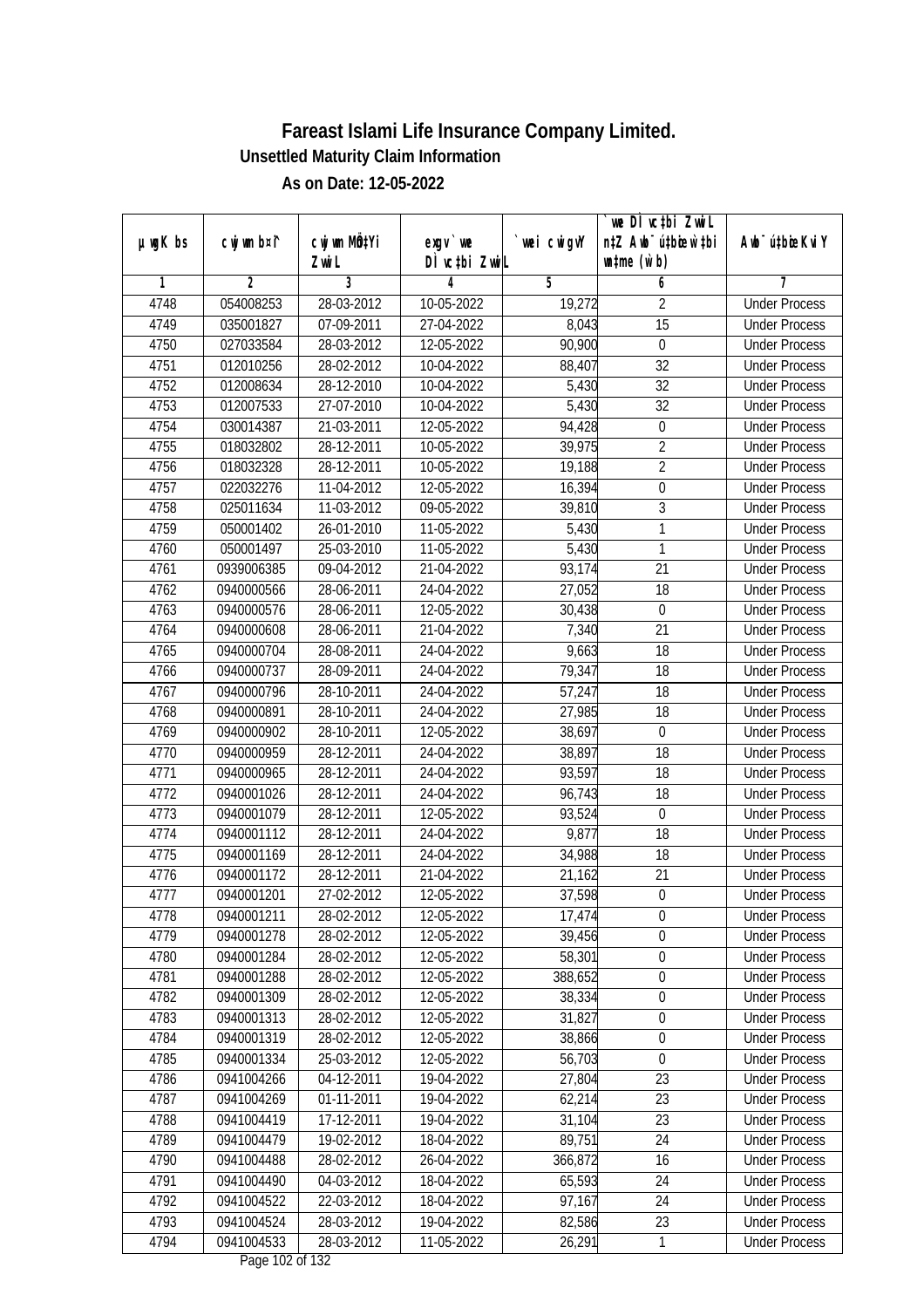| $µ$ ug $K$ bs | cwj wm b¤i^    | cwj wm MQtYi |                           | wei cwigvY | we DI vctbi ZwiL<br>n‡Z Awb <sup>-</sup> ú‡bicen`‡bi | Awb <sup>-</sup> ú‡bioeKviY |
|---------------|----------------|--------------|---------------------------|------------|------------------------------------------------------|-----------------------------|
|               |                | Zwi L        | exgv `we<br>DÌ vctbi ZwiL |            | $\n  untime\n  (u`b)\n$                              |                             |
| 1             | $\overline{2}$ | 3            | 4                         | 5          | 6                                                    | 7                           |
| 4748          | 054008253      | 28-03-2012   | 10-05-2022                | 19,272     | $\overline{2}$                                       | <b>Under Process</b>        |
| 4749          | 035001827      | 07-09-2011   | 27-04-2022                | 8,043      | $\overline{15}$                                      | <b>Under Process</b>        |
| 4750          | 027033584      | 28-03-2012   | 12-05-2022                | 90,900     | $\boldsymbol{0}$                                     | <b>Under Process</b>        |
| 4751          | 012010256      | 28-02-2012   | 10-04-2022                | 88,407     | 32                                                   | <b>Under Process</b>        |
| 4752          | 012008634      | 28-12-2010   | 10-04-2022                | 5,430      | $\overline{32}$                                      | <b>Under Process</b>        |
| 4753          | 012007533      | 27-07-2010   | 10-04-2022                | 5,430      | $\overline{32}$                                      | <b>Under Process</b>        |
| 4754          | 030014387      | 21-03-2011   | 12-05-2022                | 94,428     | $\boldsymbol{0}$                                     | <b>Under Process</b>        |
| 4755          | 018032802      | 28-12-2011   | 10-05-2022                | 39,975     | $\overline{2}$                                       | <b>Under Process</b>        |
| 4756          | 018032328      | 28-12-2011   | 10-05-2022                | 19,188     | $\overline{2}$                                       | <b>Under Process</b>        |
| 4757          | 022032276      | 11-04-2012   | 12-05-2022                | 16,394     | $\boldsymbol{0}$                                     | <b>Under Process</b>        |
| 4758          | 025011634      | 11-03-2012   | 09-05-2022                | 39,810     | $\overline{3}$                                       | <b>Under Process</b>        |
| 4759          | 050001402      | 26-01-2010   | 11-05-2022                | 5,430      | 1                                                    | <b>Under Process</b>        |
| 4760          | 050001497      | 25-03-2010   | 11-05-2022                | 5,430      | $\overline{1}$                                       | <b>Under Process</b>        |
| 4761          | 0939006385     | 09-04-2012   | 21-04-2022                | 93,174     | 21                                                   | <b>Under Process</b>        |
| 4762          | 0940000566     | 28-06-2011   | 24-04-2022                | 27,052     | 18                                                   | <b>Under Process</b>        |
| 4763          | 0940000576     | 28-06-2011   | 12-05-2022                | 30,438     | $\mathbf 0$                                          | <b>Under Process</b>        |
| 4764          | 0940000608     | 28-06-2011   | 21-04-2022                | 7,340      | 21                                                   | <b>Under Process</b>        |
| 4765          | 0940000704     | 28-08-2011   | 24-04-2022                | 9,663      | 18                                                   | <b>Under Process</b>        |
| 4766          | 0940000737     | 28-09-2011   | 24-04-2022                | 79,347     | 18                                                   | <b>Under Process</b>        |
| 4767          | 0940000796     | 28-10-2011   | 24-04-2022                | 57,247     | 18                                                   | <b>Under Process</b>        |
| 4768          | 0940000891     | 28-10-2011   | 24-04-2022                | 27,985     | 18                                                   | <b>Under Process</b>        |
| 4769          | 0940000902     | 28-10-2011   | 12-05-2022                | 38,697     | 0                                                    | <b>Under Process</b>        |
| 4770          | 0940000959     | 28-12-2011   | 24-04-2022                | 38,897     | 18                                                   | <b>Under Process</b>        |
| 4771          | 0940000965     | 28-12-2011   | 24-04-2022                | 93,597     | 18                                                   | <b>Under Process</b>        |
| 4772          | 0940001026     | 28-12-2011   | 24-04-2022                | 96,743     | 18                                                   | <b>Under Process</b>        |
| 4773          | 0940001079     | 28-12-2011   | 12-05-2022                | 93,524     | $\mathbf 0$                                          | <b>Under Process</b>        |
| 4774          | 0940001112     | 28-12-2011   | 24-04-2022                | 9,877      | 18                                                   | <b>Under Process</b>        |
| 4775          | 0940001169     | 28-12-2011   | 24-04-2022                | 34,988     | 18                                                   | <b>Under Process</b>        |
| 4776          | 0940001172     | 28-12-2011   | 21-04-2022                | 21,162     | 21                                                   | <b>Under Process</b>        |
| 4777          | 0940001201     | 27-02-2012   | 12-05-2022                | 37,598     | $\boldsymbol{0}$                                     | <b>Under Process</b>        |
| 4778          | 0940001211     | 28-02-2012   | 12-05-2022                | 17,474     | 0                                                    | <b>Under Process</b>        |
| 4779          | 0940001278     | 28-02-2012   | 12-05-2022                | 39,456     | $\boldsymbol{0}$                                     | <b>Under Process</b>        |
| 4780          | 0940001284     | 28-02-2012   | 12-05-2022                | 58,301     | $\boldsymbol{0}$                                     | <b>Under Process</b>        |
| 4781          | 0940001288     | 28-02-2012   | 12-05-2022                | 388,652    | $\overline{0}$                                       | <b>Under Process</b>        |
| 4782          | 0940001309     | 28-02-2012   | 12-05-2022                | 38,334     | $\boldsymbol{0}$                                     | <b>Under Process</b>        |
| 4783          | 0940001313     | 28-02-2012   | 12-05-2022                | 31,827     | $\pmb{0}$                                            | <b>Under Process</b>        |
| 4784          | 0940001319     | 28-02-2012   | 12-05-2022                | 38,866     | $\boldsymbol{0}$                                     | <b>Under Process</b>        |
| 4785          | 0940001334     | 25-03-2012   | 12-05-2022                | 56,703     | $\mathbf 0$                                          | <b>Under Process</b>        |
| 4786          | 0941004266     | 04-12-2011   | 19-04-2022                | 27,804     | 23                                                   | <b>Under Process</b>        |
| 4787          | 0941004269     | 01-11-2011   | 19-04-2022                | 62,214     | 23                                                   | <b>Under Process</b>        |
| 4788          | 0941004419     | 17-12-2011   | 19-04-2022                | 31,104     | 23                                                   | <b>Under Process</b>        |
| 4789          | 0941004479     | 19-02-2012   | 18-04-2022                | 89,751     | 24                                                   | <b>Under Process</b>        |
| 4790          | 0941004488     | 28-02-2012   | 26-04-2022                | 366,872    | 16                                                   | <b>Under Process</b>        |
| 4791          | 0941004490     | 04-03-2012   | 18-04-2022                | 65,593     | 24                                                   | <b>Under Process</b>        |
| 4792          | 0941004522     | 22-03-2012   | 18-04-2022                | 97,167     | 24                                                   | <b>Under Process</b>        |
| 4793          | 0941004524     | 28-03-2012   | 19-04-2022                | 82,586     | 23                                                   | <b>Under Process</b>        |
| 4794          | 0941004533     | 28-03-2012   | 11-05-2022                | 26,291     | $\mathbf{1}$                                         | <b>Under Process</b>        |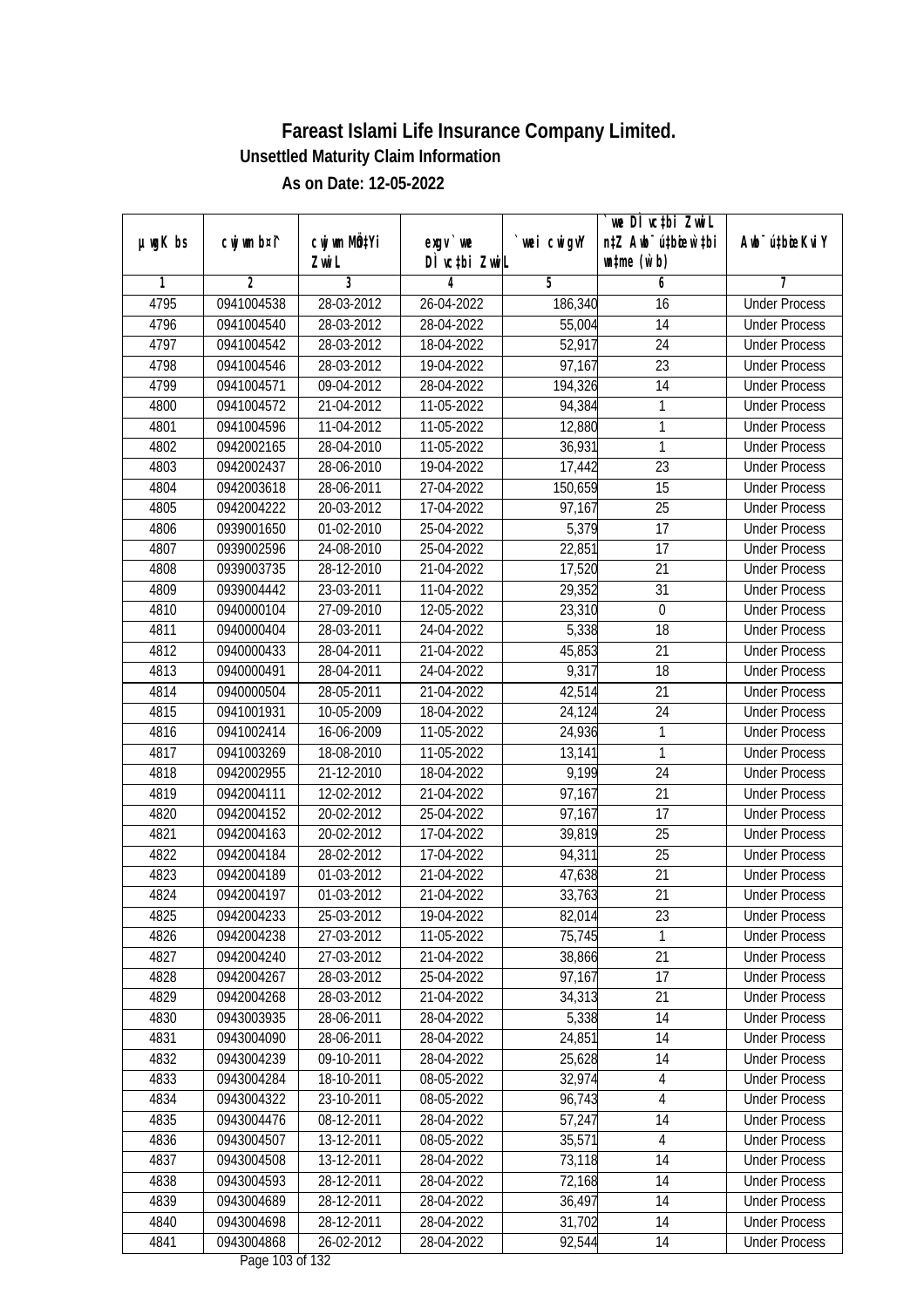| DÌ vctbi ZwiL<br>$\n  untime\n  (u`b)\n$<br>Zwi L<br>3<br>$\overline{2}$<br>5<br>6<br>7<br>1<br>4<br>4795<br>0941004538<br>28-03-2012<br>26-04-2022<br>186,340<br><b>Under Process</b><br>16<br>4796<br>0941004540<br>28-03-2012<br>28-04-2022<br>14<br>55,004<br><b>Under Process</b><br>4797<br>$\overline{24}$<br>0941004542<br>28-03-2012<br>18-04-2022<br>52,917<br><b>Under Process</b><br>4798<br>23<br>0941004546<br>28-03-2012<br>19-04-2022<br>97,167<br><b>Under Process</b><br>4799<br>$\overline{14}$<br>0941004571<br>09-04-2012<br>28-04-2022<br>194,326<br><b>Under Process</b><br>4800<br>0941004572<br>21-04-2012<br>11-05-2022<br>94,384<br>1<br><b>Under Process</b><br>1<br>4801<br>0941004596<br>11-04-2012<br>11-05-2022<br>12,880<br><b>Under Process</b><br>$\mathbf{1}$<br>4802<br>0942002165<br>28-04-2010<br>11-05-2022<br><b>Under Process</b><br>36,931<br>4803<br>28-06-2010<br>19-04-2022<br>23<br>0942002437<br>17,442<br><b>Under Process</b><br>15<br>4804<br>0942003618<br>28-06-2011<br>27-04-2022<br>150,659<br><b>Under Process</b><br>$\overline{25}$<br>4805<br>0942004222<br>20-03-2012<br>17-04-2022<br>97,167<br><b>Under Process</b><br>5,379<br>25-04-2022<br>17<br>4806<br>0939001650<br>01-02-2010<br><b>Under Process</b><br>22,851<br>$\overline{17}$<br>4807<br>24-08-2010<br>25-04-2022<br>0939002596<br><b>Under Process</b><br>4808<br>0939003735<br>28-12-2010<br>21-04-2022<br>17,520<br>21<br><b>Under Process</b><br>4809<br>0939004442<br>23-03-2011<br>11-04-2022<br>29,352<br>31<br><b>Under Process</b><br>$\mathbf 0$<br>4810<br>0940000104<br>27-09-2010<br>12-05-2022<br>23,310<br><b>Under Process</b><br>5,338<br>18<br>4811<br>28-03-2011<br>24-04-2022<br>0940000404<br><b>Under Process</b><br>21<br>4812<br>28-04-2011<br>45,853<br>0940000433<br>21-04-2022<br><b>Under Process</b><br>9,317<br>4813<br>28-04-2011<br>18<br>0940000491<br>24-04-2022<br><b>Under Process</b><br>28-05-2011<br>21<br>4814<br>0940000504<br>21-04-2022<br>42,514<br><b>Under Process</b><br>24<br>4815<br>0941001931<br>10-05-2009<br>18-04-2022<br>24,124<br><b>Under Process</b><br>24,936<br>1<br>4816<br>0941002414<br>16-06-2009<br>11-05-2022<br><b>Under Process</b><br>$\mathbf{1}$<br>4817<br>18-08-2010<br>13,141<br>0941003269<br>11-05-2022<br><b>Under Process</b><br>24<br>4818<br>21-12-2010<br>18-04-2022<br>9,199<br>0942002955<br><b>Under Process</b><br>4819<br>12-02-2012<br>21-04-2022<br>97,167<br>21<br>0942004111<br><b>Under Process</b><br>4820<br>0942004152<br>20-02-2012<br>25-04-2022<br>97,167<br>17<br><b>Under Process</b><br>25<br>4821<br>0942004163<br>20-02-2012<br>39,819<br>17-04-2022<br><b>Under Process</b><br>25<br>4822<br>28-02-2012<br>17-04-2022<br>0942004184<br>94,311<br><b>Under Process</b><br>21<br>4823<br>0942004189<br>01-03-2012<br>21-04-2022<br>47,638<br><b>Under Process</b><br>4824<br>21<br>0942004197<br>01-03-2012<br>21-04-2022<br>33,763<br><b>Under Process</b><br>4825<br>0942004233<br>25-03-2012<br>19-04-2022<br>82,014<br>23<br><b>Under Process</b><br>0942004238<br>27-03-2012<br>$\mathbf{1}$<br>4826<br>11-05-2022<br>75,745<br><b>Under Process</b><br>27-03-2012<br>21<br>4827<br>0942004240<br>21-04-2022<br>38,866<br><b>Under Process</b><br>97,167<br>17<br>4828<br>0942004267<br>28-03-2012<br>25-04-2022<br><b>Under Process</b><br>4829<br>0942004268<br>28-03-2012<br>21-04-2022<br>34,313<br>21<br><b>Under Process</b><br>5,338<br>4830<br>0943003935<br>28-06-2011<br>28-04-2022<br>14<br><b>Under Process</b><br>14<br>4831<br>0943004090<br>28-06-2011<br>28-04-2022<br>24,851<br><b>Under Process</b><br>25,628<br>4832<br>$09-10-2011$<br>14<br>0943004239<br>28-04-2022<br><b>Under Process</b><br>32,974<br>4833<br>0943004284<br>18-10-2011<br>08-05-2022<br>4<br><b>Under Process</b><br>4834<br>0943004322<br>23-10-2011<br>08-05-2022<br>96,743<br>$\overline{4}$<br><b>Under Process</b><br>4835<br>0943004476<br>08-12-2011<br>57,247<br><b>Under Process</b><br>28-04-2022<br>14<br>0943004507<br>13-12-2011<br>08-05-2022<br>$\overline{4}$<br>4836<br>35,571<br><b>Under Process</b><br>4837<br>0943004508<br>13-12-2011<br>73,118<br>14<br>28-04-2022<br><b>Under Process</b><br>4838<br>0943004593<br>28-12-2011<br>28-04-2022<br>72,168<br>14<br><b>Under Process</b><br>4839<br>0943004689<br>28-12-2011<br>28-04-2022<br>36,497<br>14<br><b>Under Process</b><br>28-12-2011<br>31,702<br>4840<br>0943004698<br>28-04-2022<br>14<br><b>Under Process</b><br>4841<br>0943004868<br>92,544<br>26-02-2012<br>28-04-2022<br>14<br><b>Under Process</b> | $µ$ ug $K$ bs | cwj wm b¤i^ | cwj wm MQtYi | exgv `we | wei cwigvY | we DI vctbi ZwiL<br>n‡Z Awb <sup>-</sup> ú‡bicen`‡bi | Awb <sup>-</sup> ú‡bioeKviY |
|------------------------------------------------------------------------------------------------------------------------------------------------------------------------------------------------------------------------------------------------------------------------------------------------------------------------------------------------------------------------------------------------------------------------------------------------------------------------------------------------------------------------------------------------------------------------------------------------------------------------------------------------------------------------------------------------------------------------------------------------------------------------------------------------------------------------------------------------------------------------------------------------------------------------------------------------------------------------------------------------------------------------------------------------------------------------------------------------------------------------------------------------------------------------------------------------------------------------------------------------------------------------------------------------------------------------------------------------------------------------------------------------------------------------------------------------------------------------------------------------------------------------------------------------------------------------------------------------------------------------------------------------------------------------------------------------------------------------------------------------------------------------------------------------------------------------------------------------------------------------------------------------------------------------------------------------------------------------------------------------------------------------------------------------------------------------------------------------------------------------------------------------------------------------------------------------------------------------------------------------------------------------------------------------------------------------------------------------------------------------------------------------------------------------------------------------------------------------------------------------------------------------------------------------------------------------------------------------------------------------------------------------------------------------------------------------------------------------------------------------------------------------------------------------------------------------------------------------------------------------------------------------------------------------------------------------------------------------------------------------------------------------------------------------------------------------------------------------------------------------------------------------------------------------------------------------------------------------------------------------------------------------------------------------------------------------------------------------------------------------------------------------------------------------------------------------------------------------------------------------------------------------------------------------------------------------------------------------------------------------------------------------------------------------------------------------------------------------------------------------------------------------------------------------------------------------------------------------------------------------------------------------------------------------------------------------------------------------------------------------------------------------------------------------------------------------------------------------------------------------------------------------------------------------------------------------------------------------------------------------------------------------------------------------------------------------------------------------------------------------------------------------------------------------------------------------------------------------------------------------------------------------------------------------------------------------------------------------------------------------|---------------|-------------|--------------|----------|------------|------------------------------------------------------|-----------------------------|
|                                                                                                                                                                                                                                                                                                                                                                                                                                                                                                                                                                                                                                                                                                                                                                                                                                                                                                                                                                                                                                                                                                                                                                                                                                                                                                                                                                                                                                                                                                                                                                                                                                                                                                                                                                                                                                                                                                                                                                                                                                                                                                                                                                                                                                                                                                                                                                                                                                                                                                                                                                                                                                                                                                                                                                                                                                                                                                                                                                                                                                                                                                                                                                                                                                                                                                                                                                                                                                                                                                                                                                                                                                                                                                                                                                                                                                                                                                                                                                                                                                                                                                                                                                                                                                                                                                                                                                                                                                                                                                                                                                                                                        |               |             |              |          |            |                                                      |                             |
|                                                                                                                                                                                                                                                                                                                                                                                                                                                                                                                                                                                                                                                                                                                                                                                                                                                                                                                                                                                                                                                                                                                                                                                                                                                                                                                                                                                                                                                                                                                                                                                                                                                                                                                                                                                                                                                                                                                                                                                                                                                                                                                                                                                                                                                                                                                                                                                                                                                                                                                                                                                                                                                                                                                                                                                                                                                                                                                                                                                                                                                                                                                                                                                                                                                                                                                                                                                                                                                                                                                                                                                                                                                                                                                                                                                                                                                                                                                                                                                                                                                                                                                                                                                                                                                                                                                                                                                                                                                                                                                                                                                                                        |               |             |              |          |            |                                                      |                             |
|                                                                                                                                                                                                                                                                                                                                                                                                                                                                                                                                                                                                                                                                                                                                                                                                                                                                                                                                                                                                                                                                                                                                                                                                                                                                                                                                                                                                                                                                                                                                                                                                                                                                                                                                                                                                                                                                                                                                                                                                                                                                                                                                                                                                                                                                                                                                                                                                                                                                                                                                                                                                                                                                                                                                                                                                                                                                                                                                                                                                                                                                                                                                                                                                                                                                                                                                                                                                                                                                                                                                                                                                                                                                                                                                                                                                                                                                                                                                                                                                                                                                                                                                                                                                                                                                                                                                                                                                                                                                                                                                                                                                                        |               |             |              |          |            |                                                      |                             |
|                                                                                                                                                                                                                                                                                                                                                                                                                                                                                                                                                                                                                                                                                                                                                                                                                                                                                                                                                                                                                                                                                                                                                                                                                                                                                                                                                                                                                                                                                                                                                                                                                                                                                                                                                                                                                                                                                                                                                                                                                                                                                                                                                                                                                                                                                                                                                                                                                                                                                                                                                                                                                                                                                                                                                                                                                                                                                                                                                                                                                                                                                                                                                                                                                                                                                                                                                                                                                                                                                                                                                                                                                                                                                                                                                                                                                                                                                                                                                                                                                                                                                                                                                                                                                                                                                                                                                                                                                                                                                                                                                                                                                        |               |             |              |          |            |                                                      |                             |
|                                                                                                                                                                                                                                                                                                                                                                                                                                                                                                                                                                                                                                                                                                                                                                                                                                                                                                                                                                                                                                                                                                                                                                                                                                                                                                                                                                                                                                                                                                                                                                                                                                                                                                                                                                                                                                                                                                                                                                                                                                                                                                                                                                                                                                                                                                                                                                                                                                                                                                                                                                                                                                                                                                                                                                                                                                                                                                                                                                                                                                                                                                                                                                                                                                                                                                                                                                                                                                                                                                                                                                                                                                                                                                                                                                                                                                                                                                                                                                                                                                                                                                                                                                                                                                                                                                                                                                                                                                                                                                                                                                                                                        |               |             |              |          |            |                                                      |                             |
|                                                                                                                                                                                                                                                                                                                                                                                                                                                                                                                                                                                                                                                                                                                                                                                                                                                                                                                                                                                                                                                                                                                                                                                                                                                                                                                                                                                                                                                                                                                                                                                                                                                                                                                                                                                                                                                                                                                                                                                                                                                                                                                                                                                                                                                                                                                                                                                                                                                                                                                                                                                                                                                                                                                                                                                                                                                                                                                                                                                                                                                                                                                                                                                                                                                                                                                                                                                                                                                                                                                                                                                                                                                                                                                                                                                                                                                                                                                                                                                                                                                                                                                                                                                                                                                                                                                                                                                                                                                                                                                                                                                                                        |               |             |              |          |            |                                                      |                             |
|                                                                                                                                                                                                                                                                                                                                                                                                                                                                                                                                                                                                                                                                                                                                                                                                                                                                                                                                                                                                                                                                                                                                                                                                                                                                                                                                                                                                                                                                                                                                                                                                                                                                                                                                                                                                                                                                                                                                                                                                                                                                                                                                                                                                                                                                                                                                                                                                                                                                                                                                                                                                                                                                                                                                                                                                                                                                                                                                                                                                                                                                                                                                                                                                                                                                                                                                                                                                                                                                                                                                                                                                                                                                                                                                                                                                                                                                                                                                                                                                                                                                                                                                                                                                                                                                                                                                                                                                                                                                                                                                                                                                                        |               |             |              |          |            |                                                      |                             |
|                                                                                                                                                                                                                                                                                                                                                                                                                                                                                                                                                                                                                                                                                                                                                                                                                                                                                                                                                                                                                                                                                                                                                                                                                                                                                                                                                                                                                                                                                                                                                                                                                                                                                                                                                                                                                                                                                                                                                                                                                                                                                                                                                                                                                                                                                                                                                                                                                                                                                                                                                                                                                                                                                                                                                                                                                                                                                                                                                                                                                                                                                                                                                                                                                                                                                                                                                                                                                                                                                                                                                                                                                                                                                                                                                                                                                                                                                                                                                                                                                                                                                                                                                                                                                                                                                                                                                                                                                                                                                                                                                                                                                        |               |             |              |          |            |                                                      |                             |
|                                                                                                                                                                                                                                                                                                                                                                                                                                                                                                                                                                                                                                                                                                                                                                                                                                                                                                                                                                                                                                                                                                                                                                                                                                                                                                                                                                                                                                                                                                                                                                                                                                                                                                                                                                                                                                                                                                                                                                                                                                                                                                                                                                                                                                                                                                                                                                                                                                                                                                                                                                                                                                                                                                                                                                                                                                                                                                                                                                                                                                                                                                                                                                                                                                                                                                                                                                                                                                                                                                                                                                                                                                                                                                                                                                                                                                                                                                                                                                                                                                                                                                                                                                                                                                                                                                                                                                                                                                                                                                                                                                                                                        |               |             |              |          |            |                                                      |                             |
|                                                                                                                                                                                                                                                                                                                                                                                                                                                                                                                                                                                                                                                                                                                                                                                                                                                                                                                                                                                                                                                                                                                                                                                                                                                                                                                                                                                                                                                                                                                                                                                                                                                                                                                                                                                                                                                                                                                                                                                                                                                                                                                                                                                                                                                                                                                                                                                                                                                                                                                                                                                                                                                                                                                                                                                                                                                                                                                                                                                                                                                                                                                                                                                                                                                                                                                                                                                                                                                                                                                                                                                                                                                                                                                                                                                                                                                                                                                                                                                                                                                                                                                                                                                                                                                                                                                                                                                                                                                                                                                                                                                                                        |               |             |              |          |            |                                                      |                             |
|                                                                                                                                                                                                                                                                                                                                                                                                                                                                                                                                                                                                                                                                                                                                                                                                                                                                                                                                                                                                                                                                                                                                                                                                                                                                                                                                                                                                                                                                                                                                                                                                                                                                                                                                                                                                                                                                                                                                                                                                                                                                                                                                                                                                                                                                                                                                                                                                                                                                                                                                                                                                                                                                                                                                                                                                                                                                                                                                                                                                                                                                                                                                                                                                                                                                                                                                                                                                                                                                                                                                                                                                                                                                                                                                                                                                                                                                                                                                                                                                                                                                                                                                                                                                                                                                                                                                                                                                                                                                                                                                                                                                                        |               |             |              |          |            |                                                      |                             |
|                                                                                                                                                                                                                                                                                                                                                                                                                                                                                                                                                                                                                                                                                                                                                                                                                                                                                                                                                                                                                                                                                                                                                                                                                                                                                                                                                                                                                                                                                                                                                                                                                                                                                                                                                                                                                                                                                                                                                                                                                                                                                                                                                                                                                                                                                                                                                                                                                                                                                                                                                                                                                                                                                                                                                                                                                                                                                                                                                                                                                                                                                                                                                                                                                                                                                                                                                                                                                                                                                                                                                                                                                                                                                                                                                                                                                                                                                                                                                                                                                                                                                                                                                                                                                                                                                                                                                                                                                                                                                                                                                                                                                        |               |             |              |          |            |                                                      |                             |
|                                                                                                                                                                                                                                                                                                                                                                                                                                                                                                                                                                                                                                                                                                                                                                                                                                                                                                                                                                                                                                                                                                                                                                                                                                                                                                                                                                                                                                                                                                                                                                                                                                                                                                                                                                                                                                                                                                                                                                                                                                                                                                                                                                                                                                                                                                                                                                                                                                                                                                                                                                                                                                                                                                                                                                                                                                                                                                                                                                                                                                                                                                                                                                                                                                                                                                                                                                                                                                                                                                                                                                                                                                                                                                                                                                                                                                                                                                                                                                                                                                                                                                                                                                                                                                                                                                                                                                                                                                                                                                                                                                                                                        |               |             |              |          |            |                                                      |                             |
|                                                                                                                                                                                                                                                                                                                                                                                                                                                                                                                                                                                                                                                                                                                                                                                                                                                                                                                                                                                                                                                                                                                                                                                                                                                                                                                                                                                                                                                                                                                                                                                                                                                                                                                                                                                                                                                                                                                                                                                                                                                                                                                                                                                                                                                                                                                                                                                                                                                                                                                                                                                                                                                                                                                                                                                                                                                                                                                                                                                                                                                                                                                                                                                                                                                                                                                                                                                                                                                                                                                                                                                                                                                                                                                                                                                                                                                                                                                                                                                                                                                                                                                                                                                                                                                                                                                                                                                                                                                                                                                                                                                                                        |               |             |              |          |            |                                                      |                             |
|                                                                                                                                                                                                                                                                                                                                                                                                                                                                                                                                                                                                                                                                                                                                                                                                                                                                                                                                                                                                                                                                                                                                                                                                                                                                                                                                                                                                                                                                                                                                                                                                                                                                                                                                                                                                                                                                                                                                                                                                                                                                                                                                                                                                                                                                                                                                                                                                                                                                                                                                                                                                                                                                                                                                                                                                                                                                                                                                                                                                                                                                                                                                                                                                                                                                                                                                                                                                                                                                                                                                                                                                                                                                                                                                                                                                                                                                                                                                                                                                                                                                                                                                                                                                                                                                                                                                                                                                                                                                                                                                                                                                                        |               |             |              |          |            |                                                      |                             |
|                                                                                                                                                                                                                                                                                                                                                                                                                                                                                                                                                                                                                                                                                                                                                                                                                                                                                                                                                                                                                                                                                                                                                                                                                                                                                                                                                                                                                                                                                                                                                                                                                                                                                                                                                                                                                                                                                                                                                                                                                                                                                                                                                                                                                                                                                                                                                                                                                                                                                                                                                                                                                                                                                                                                                                                                                                                                                                                                                                                                                                                                                                                                                                                                                                                                                                                                                                                                                                                                                                                                                                                                                                                                                                                                                                                                                                                                                                                                                                                                                                                                                                                                                                                                                                                                                                                                                                                                                                                                                                                                                                                                                        |               |             |              |          |            |                                                      |                             |
|                                                                                                                                                                                                                                                                                                                                                                                                                                                                                                                                                                                                                                                                                                                                                                                                                                                                                                                                                                                                                                                                                                                                                                                                                                                                                                                                                                                                                                                                                                                                                                                                                                                                                                                                                                                                                                                                                                                                                                                                                                                                                                                                                                                                                                                                                                                                                                                                                                                                                                                                                                                                                                                                                                                                                                                                                                                                                                                                                                                                                                                                                                                                                                                                                                                                                                                                                                                                                                                                                                                                                                                                                                                                                                                                                                                                                                                                                                                                                                                                                                                                                                                                                                                                                                                                                                                                                                                                                                                                                                                                                                                                                        |               |             |              |          |            |                                                      |                             |
|                                                                                                                                                                                                                                                                                                                                                                                                                                                                                                                                                                                                                                                                                                                                                                                                                                                                                                                                                                                                                                                                                                                                                                                                                                                                                                                                                                                                                                                                                                                                                                                                                                                                                                                                                                                                                                                                                                                                                                                                                                                                                                                                                                                                                                                                                                                                                                                                                                                                                                                                                                                                                                                                                                                                                                                                                                                                                                                                                                                                                                                                                                                                                                                                                                                                                                                                                                                                                                                                                                                                                                                                                                                                                                                                                                                                                                                                                                                                                                                                                                                                                                                                                                                                                                                                                                                                                                                                                                                                                                                                                                                                                        |               |             |              |          |            |                                                      |                             |
|                                                                                                                                                                                                                                                                                                                                                                                                                                                                                                                                                                                                                                                                                                                                                                                                                                                                                                                                                                                                                                                                                                                                                                                                                                                                                                                                                                                                                                                                                                                                                                                                                                                                                                                                                                                                                                                                                                                                                                                                                                                                                                                                                                                                                                                                                                                                                                                                                                                                                                                                                                                                                                                                                                                                                                                                                                                                                                                                                                                                                                                                                                                                                                                                                                                                                                                                                                                                                                                                                                                                                                                                                                                                                                                                                                                                                                                                                                                                                                                                                                                                                                                                                                                                                                                                                                                                                                                                                                                                                                                                                                                                                        |               |             |              |          |            |                                                      |                             |
|                                                                                                                                                                                                                                                                                                                                                                                                                                                                                                                                                                                                                                                                                                                                                                                                                                                                                                                                                                                                                                                                                                                                                                                                                                                                                                                                                                                                                                                                                                                                                                                                                                                                                                                                                                                                                                                                                                                                                                                                                                                                                                                                                                                                                                                                                                                                                                                                                                                                                                                                                                                                                                                                                                                                                                                                                                                                                                                                                                                                                                                                                                                                                                                                                                                                                                                                                                                                                                                                                                                                                                                                                                                                                                                                                                                                                                                                                                                                                                                                                                                                                                                                                                                                                                                                                                                                                                                                                                                                                                                                                                                                                        |               |             |              |          |            |                                                      |                             |
|                                                                                                                                                                                                                                                                                                                                                                                                                                                                                                                                                                                                                                                                                                                                                                                                                                                                                                                                                                                                                                                                                                                                                                                                                                                                                                                                                                                                                                                                                                                                                                                                                                                                                                                                                                                                                                                                                                                                                                                                                                                                                                                                                                                                                                                                                                                                                                                                                                                                                                                                                                                                                                                                                                                                                                                                                                                                                                                                                                                                                                                                                                                                                                                                                                                                                                                                                                                                                                                                                                                                                                                                                                                                                                                                                                                                                                                                                                                                                                                                                                                                                                                                                                                                                                                                                                                                                                                                                                                                                                                                                                                                                        |               |             |              |          |            |                                                      |                             |
|                                                                                                                                                                                                                                                                                                                                                                                                                                                                                                                                                                                                                                                                                                                                                                                                                                                                                                                                                                                                                                                                                                                                                                                                                                                                                                                                                                                                                                                                                                                                                                                                                                                                                                                                                                                                                                                                                                                                                                                                                                                                                                                                                                                                                                                                                                                                                                                                                                                                                                                                                                                                                                                                                                                                                                                                                                                                                                                                                                                                                                                                                                                                                                                                                                                                                                                                                                                                                                                                                                                                                                                                                                                                                                                                                                                                                                                                                                                                                                                                                                                                                                                                                                                                                                                                                                                                                                                                                                                                                                                                                                                                                        |               |             |              |          |            |                                                      |                             |
|                                                                                                                                                                                                                                                                                                                                                                                                                                                                                                                                                                                                                                                                                                                                                                                                                                                                                                                                                                                                                                                                                                                                                                                                                                                                                                                                                                                                                                                                                                                                                                                                                                                                                                                                                                                                                                                                                                                                                                                                                                                                                                                                                                                                                                                                                                                                                                                                                                                                                                                                                                                                                                                                                                                                                                                                                                                                                                                                                                                                                                                                                                                                                                                                                                                                                                                                                                                                                                                                                                                                                                                                                                                                                                                                                                                                                                                                                                                                                                                                                                                                                                                                                                                                                                                                                                                                                                                                                                                                                                                                                                                                                        |               |             |              |          |            |                                                      |                             |
|                                                                                                                                                                                                                                                                                                                                                                                                                                                                                                                                                                                                                                                                                                                                                                                                                                                                                                                                                                                                                                                                                                                                                                                                                                                                                                                                                                                                                                                                                                                                                                                                                                                                                                                                                                                                                                                                                                                                                                                                                                                                                                                                                                                                                                                                                                                                                                                                                                                                                                                                                                                                                                                                                                                                                                                                                                                                                                                                                                                                                                                                                                                                                                                                                                                                                                                                                                                                                                                                                                                                                                                                                                                                                                                                                                                                                                                                                                                                                                                                                                                                                                                                                                                                                                                                                                                                                                                                                                                                                                                                                                                                                        |               |             |              |          |            |                                                      |                             |
|                                                                                                                                                                                                                                                                                                                                                                                                                                                                                                                                                                                                                                                                                                                                                                                                                                                                                                                                                                                                                                                                                                                                                                                                                                                                                                                                                                                                                                                                                                                                                                                                                                                                                                                                                                                                                                                                                                                                                                                                                                                                                                                                                                                                                                                                                                                                                                                                                                                                                                                                                                                                                                                                                                                                                                                                                                                                                                                                                                                                                                                                                                                                                                                                                                                                                                                                                                                                                                                                                                                                                                                                                                                                                                                                                                                                                                                                                                                                                                                                                                                                                                                                                                                                                                                                                                                                                                                                                                                                                                                                                                                                                        |               |             |              |          |            |                                                      |                             |
|                                                                                                                                                                                                                                                                                                                                                                                                                                                                                                                                                                                                                                                                                                                                                                                                                                                                                                                                                                                                                                                                                                                                                                                                                                                                                                                                                                                                                                                                                                                                                                                                                                                                                                                                                                                                                                                                                                                                                                                                                                                                                                                                                                                                                                                                                                                                                                                                                                                                                                                                                                                                                                                                                                                                                                                                                                                                                                                                                                                                                                                                                                                                                                                                                                                                                                                                                                                                                                                                                                                                                                                                                                                                                                                                                                                                                                                                                                                                                                                                                                                                                                                                                                                                                                                                                                                                                                                                                                                                                                                                                                                                                        |               |             |              |          |            |                                                      |                             |
|                                                                                                                                                                                                                                                                                                                                                                                                                                                                                                                                                                                                                                                                                                                                                                                                                                                                                                                                                                                                                                                                                                                                                                                                                                                                                                                                                                                                                                                                                                                                                                                                                                                                                                                                                                                                                                                                                                                                                                                                                                                                                                                                                                                                                                                                                                                                                                                                                                                                                                                                                                                                                                                                                                                                                                                                                                                                                                                                                                                                                                                                                                                                                                                                                                                                                                                                                                                                                                                                                                                                                                                                                                                                                                                                                                                                                                                                                                                                                                                                                                                                                                                                                                                                                                                                                                                                                                                                                                                                                                                                                                                                                        |               |             |              |          |            |                                                      |                             |
|                                                                                                                                                                                                                                                                                                                                                                                                                                                                                                                                                                                                                                                                                                                                                                                                                                                                                                                                                                                                                                                                                                                                                                                                                                                                                                                                                                                                                                                                                                                                                                                                                                                                                                                                                                                                                                                                                                                                                                                                                                                                                                                                                                                                                                                                                                                                                                                                                                                                                                                                                                                                                                                                                                                                                                                                                                                                                                                                                                                                                                                                                                                                                                                                                                                                                                                                                                                                                                                                                                                                                                                                                                                                                                                                                                                                                                                                                                                                                                                                                                                                                                                                                                                                                                                                                                                                                                                                                                                                                                                                                                                                                        |               |             |              |          |            |                                                      |                             |
|                                                                                                                                                                                                                                                                                                                                                                                                                                                                                                                                                                                                                                                                                                                                                                                                                                                                                                                                                                                                                                                                                                                                                                                                                                                                                                                                                                                                                                                                                                                                                                                                                                                                                                                                                                                                                                                                                                                                                                                                                                                                                                                                                                                                                                                                                                                                                                                                                                                                                                                                                                                                                                                                                                                                                                                                                                                                                                                                                                                                                                                                                                                                                                                                                                                                                                                                                                                                                                                                                                                                                                                                                                                                                                                                                                                                                                                                                                                                                                                                                                                                                                                                                                                                                                                                                                                                                                                                                                                                                                                                                                                                                        |               |             |              |          |            |                                                      |                             |
|                                                                                                                                                                                                                                                                                                                                                                                                                                                                                                                                                                                                                                                                                                                                                                                                                                                                                                                                                                                                                                                                                                                                                                                                                                                                                                                                                                                                                                                                                                                                                                                                                                                                                                                                                                                                                                                                                                                                                                                                                                                                                                                                                                                                                                                                                                                                                                                                                                                                                                                                                                                                                                                                                                                                                                                                                                                                                                                                                                                                                                                                                                                                                                                                                                                                                                                                                                                                                                                                                                                                                                                                                                                                                                                                                                                                                                                                                                                                                                                                                                                                                                                                                                                                                                                                                                                                                                                                                                                                                                                                                                                                                        |               |             |              |          |            |                                                      |                             |
|                                                                                                                                                                                                                                                                                                                                                                                                                                                                                                                                                                                                                                                                                                                                                                                                                                                                                                                                                                                                                                                                                                                                                                                                                                                                                                                                                                                                                                                                                                                                                                                                                                                                                                                                                                                                                                                                                                                                                                                                                                                                                                                                                                                                                                                                                                                                                                                                                                                                                                                                                                                                                                                                                                                                                                                                                                                                                                                                                                                                                                                                                                                                                                                                                                                                                                                                                                                                                                                                                                                                                                                                                                                                                                                                                                                                                                                                                                                                                                                                                                                                                                                                                                                                                                                                                                                                                                                                                                                                                                                                                                                                                        |               |             |              |          |            |                                                      |                             |
|                                                                                                                                                                                                                                                                                                                                                                                                                                                                                                                                                                                                                                                                                                                                                                                                                                                                                                                                                                                                                                                                                                                                                                                                                                                                                                                                                                                                                                                                                                                                                                                                                                                                                                                                                                                                                                                                                                                                                                                                                                                                                                                                                                                                                                                                                                                                                                                                                                                                                                                                                                                                                                                                                                                                                                                                                                                                                                                                                                                                                                                                                                                                                                                                                                                                                                                                                                                                                                                                                                                                                                                                                                                                                                                                                                                                                                                                                                                                                                                                                                                                                                                                                                                                                                                                                                                                                                                                                                                                                                                                                                                                                        |               |             |              |          |            |                                                      |                             |
|                                                                                                                                                                                                                                                                                                                                                                                                                                                                                                                                                                                                                                                                                                                                                                                                                                                                                                                                                                                                                                                                                                                                                                                                                                                                                                                                                                                                                                                                                                                                                                                                                                                                                                                                                                                                                                                                                                                                                                                                                                                                                                                                                                                                                                                                                                                                                                                                                                                                                                                                                                                                                                                                                                                                                                                                                                                                                                                                                                                                                                                                                                                                                                                                                                                                                                                                                                                                                                                                                                                                                                                                                                                                                                                                                                                                                                                                                                                                                                                                                                                                                                                                                                                                                                                                                                                                                                                                                                                                                                                                                                                                                        |               |             |              |          |            |                                                      |                             |
|                                                                                                                                                                                                                                                                                                                                                                                                                                                                                                                                                                                                                                                                                                                                                                                                                                                                                                                                                                                                                                                                                                                                                                                                                                                                                                                                                                                                                                                                                                                                                                                                                                                                                                                                                                                                                                                                                                                                                                                                                                                                                                                                                                                                                                                                                                                                                                                                                                                                                                                                                                                                                                                                                                                                                                                                                                                                                                                                                                                                                                                                                                                                                                                                                                                                                                                                                                                                                                                                                                                                                                                                                                                                                                                                                                                                                                                                                                                                                                                                                                                                                                                                                                                                                                                                                                                                                                                                                                                                                                                                                                                                                        |               |             |              |          |            |                                                      |                             |
|                                                                                                                                                                                                                                                                                                                                                                                                                                                                                                                                                                                                                                                                                                                                                                                                                                                                                                                                                                                                                                                                                                                                                                                                                                                                                                                                                                                                                                                                                                                                                                                                                                                                                                                                                                                                                                                                                                                                                                                                                                                                                                                                                                                                                                                                                                                                                                                                                                                                                                                                                                                                                                                                                                                                                                                                                                                                                                                                                                                                                                                                                                                                                                                                                                                                                                                                                                                                                                                                                                                                                                                                                                                                                                                                                                                                                                                                                                                                                                                                                                                                                                                                                                                                                                                                                                                                                                                                                                                                                                                                                                                                                        |               |             |              |          |            |                                                      |                             |
|                                                                                                                                                                                                                                                                                                                                                                                                                                                                                                                                                                                                                                                                                                                                                                                                                                                                                                                                                                                                                                                                                                                                                                                                                                                                                                                                                                                                                                                                                                                                                                                                                                                                                                                                                                                                                                                                                                                                                                                                                                                                                                                                                                                                                                                                                                                                                                                                                                                                                                                                                                                                                                                                                                                                                                                                                                                                                                                                                                                                                                                                                                                                                                                                                                                                                                                                                                                                                                                                                                                                                                                                                                                                                                                                                                                                                                                                                                                                                                                                                                                                                                                                                                                                                                                                                                                                                                                                                                                                                                                                                                                                                        |               |             |              |          |            |                                                      |                             |
|                                                                                                                                                                                                                                                                                                                                                                                                                                                                                                                                                                                                                                                                                                                                                                                                                                                                                                                                                                                                                                                                                                                                                                                                                                                                                                                                                                                                                                                                                                                                                                                                                                                                                                                                                                                                                                                                                                                                                                                                                                                                                                                                                                                                                                                                                                                                                                                                                                                                                                                                                                                                                                                                                                                                                                                                                                                                                                                                                                                                                                                                                                                                                                                                                                                                                                                                                                                                                                                                                                                                                                                                                                                                                                                                                                                                                                                                                                                                                                                                                                                                                                                                                                                                                                                                                                                                                                                                                                                                                                                                                                                                                        |               |             |              |          |            |                                                      |                             |
|                                                                                                                                                                                                                                                                                                                                                                                                                                                                                                                                                                                                                                                                                                                                                                                                                                                                                                                                                                                                                                                                                                                                                                                                                                                                                                                                                                                                                                                                                                                                                                                                                                                                                                                                                                                                                                                                                                                                                                                                                                                                                                                                                                                                                                                                                                                                                                                                                                                                                                                                                                                                                                                                                                                                                                                                                                                                                                                                                                                                                                                                                                                                                                                                                                                                                                                                                                                                                                                                                                                                                                                                                                                                                                                                                                                                                                                                                                                                                                                                                                                                                                                                                                                                                                                                                                                                                                                                                                                                                                                                                                                                                        |               |             |              |          |            |                                                      |                             |
|                                                                                                                                                                                                                                                                                                                                                                                                                                                                                                                                                                                                                                                                                                                                                                                                                                                                                                                                                                                                                                                                                                                                                                                                                                                                                                                                                                                                                                                                                                                                                                                                                                                                                                                                                                                                                                                                                                                                                                                                                                                                                                                                                                                                                                                                                                                                                                                                                                                                                                                                                                                                                                                                                                                                                                                                                                                                                                                                                                                                                                                                                                                                                                                                                                                                                                                                                                                                                                                                                                                                                                                                                                                                                                                                                                                                                                                                                                                                                                                                                                                                                                                                                                                                                                                                                                                                                                                                                                                                                                                                                                                                                        |               |             |              |          |            |                                                      |                             |
|                                                                                                                                                                                                                                                                                                                                                                                                                                                                                                                                                                                                                                                                                                                                                                                                                                                                                                                                                                                                                                                                                                                                                                                                                                                                                                                                                                                                                                                                                                                                                                                                                                                                                                                                                                                                                                                                                                                                                                                                                                                                                                                                                                                                                                                                                                                                                                                                                                                                                                                                                                                                                                                                                                                                                                                                                                                                                                                                                                                                                                                                                                                                                                                                                                                                                                                                                                                                                                                                                                                                                                                                                                                                                                                                                                                                                                                                                                                                                                                                                                                                                                                                                                                                                                                                                                                                                                                                                                                                                                                                                                                                                        |               |             |              |          |            |                                                      |                             |
|                                                                                                                                                                                                                                                                                                                                                                                                                                                                                                                                                                                                                                                                                                                                                                                                                                                                                                                                                                                                                                                                                                                                                                                                                                                                                                                                                                                                                                                                                                                                                                                                                                                                                                                                                                                                                                                                                                                                                                                                                                                                                                                                                                                                                                                                                                                                                                                                                                                                                                                                                                                                                                                                                                                                                                                                                                                                                                                                                                                                                                                                                                                                                                                                                                                                                                                                                                                                                                                                                                                                                                                                                                                                                                                                                                                                                                                                                                                                                                                                                                                                                                                                                                                                                                                                                                                                                                                                                                                                                                                                                                                                                        |               |             |              |          |            |                                                      |                             |
|                                                                                                                                                                                                                                                                                                                                                                                                                                                                                                                                                                                                                                                                                                                                                                                                                                                                                                                                                                                                                                                                                                                                                                                                                                                                                                                                                                                                                                                                                                                                                                                                                                                                                                                                                                                                                                                                                                                                                                                                                                                                                                                                                                                                                                                                                                                                                                                                                                                                                                                                                                                                                                                                                                                                                                                                                                                                                                                                                                                                                                                                                                                                                                                                                                                                                                                                                                                                                                                                                                                                                                                                                                                                                                                                                                                                                                                                                                                                                                                                                                                                                                                                                                                                                                                                                                                                                                                                                                                                                                                                                                                                                        |               |             |              |          |            |                                                      |                             |
|                                                                                                                                                                                                                                                                                                                                                                                                                                                                                                                                                                                                                                                                                                                                                                                                                                                                                                                                                                                                                                                                                                                                                                                                                                                                                                                                                                                                                                                                                                                                                                                                                                                                                                                                                                                                                                                                                                                                                                                                                                                                                                                                                                                                                                                                                                                                                                                                                                                                                                                                                                                                                                                                                                                                                                                                                                                                                                                                                                                                                                                                                                                                                                                                                                                                                                                                                                                                                                                                                                                                                                                                                                                                                                                                                                                                                                                                                                                                                                                                                                                                                                                                                                                                                                                                                                                                                                                                                                                                                                                                                                                                                        |               |             |              |          |            |                                                      |                             |
|                                                                                                                                                                                                                                                                                                                                                                                                                                                                                                                                                                                                                                                                                                                                                                                                                                                                                                                                                                                                                                                                                                                                                                                                                                                                                                                                                                                                                                                                                                                                                                                                                                                                                                                                                                                                                                                                                                                                                                                                                                                                                                                                                                                                                                                                                                                                                                                                                                                                                                                                                                                                                                                                                                                                                                                                                                                                                                                                                                                                                                                                                                                                                                                                                                                                                                                                                                                                                                                                                                                                                                                                                                                                                                                                                                                                                                                                                                                                                                                                                                                                                                                                                                                                                                                                                                                                                                                                                                                                                                                                                                                                                        |               |             |              |          |            |                                                      |                             |
|                                                                                                                                                                                                                                                                                                                                                                                                                                                                                                                                                                                                                                                                                                                                                                                                                                                                                                                                                                                                                                                                                                                                                                                                                                                                                                                                                                                                                                                                                                                                                                                                                                                                                                                                                                                                                                                                                                                                                                                                                                                                                                                                                                                                                                                                                                                                                                                                                                                                                                                                                                                                                                                                                                                                                                                                                                                                                                                                                                                                                                                                                                                                                                                                                                                                                                                                                                                                                                                                                                                                                                                                                                                                                                                                                                                                                                                                                                                                                                                                                                                                                                                                                                                                                                                                                                                                                                                                                                                                                                                                                                                                                        |               |             |              |          |            |                                                      |                             |
|                                                                                                                                                                                                                                                                                                                                                                                                                                                                                                                                                                                                                                                                                                                                                                                                                                                                                                                                                                                                                                                                                                                                                                                                                                                                                                                                                                                                                                                                                                                                                                                                                                                                                                                                                                                                                                                                                                                                                                                                                                                                                                                                                                                                                                                                                                                                                                                                                                                                                                                                                                                                                                                                                                                                                                                                                                                                                                                                                                                                                                                                                                                                                                                                                                                                                                                                                                                                                                                                                                                                                                                                                                                                                                                                                                                                                                                                                                                                                                                                                                                                                                                                                                                                                                                                                                                                                                                                                                                                                                                                                                                                                        |               |             |              |          |            |                                                      |                             |
|                                                                                                                                                                                                                                                                                                                                                                                                                                                                                                                                                                                                                                                                                                                                                                                                                                                                                                                                                                                                                                                                                                                                                                                                                                                                                                                                                                                                                                                                                                                                                                                                                                                                                                                                                                                                                                                                                                                                                                                                                                                                                                                                                                                                                                                                                                                                                                                                                                                                                                                                                                                                                                                                                                                                                                                                                                                                                                                                                                                                                                                                                                                                                                                                                                                                                                                                                                                                                                                                                                                                                                                                                                                                                                                                                                                                                                                                                                                                                                                                                                                                                                                                                                                                                                                                                                                                                                                                                                                                                                                                                                                                                        |               |             |              |          |            |                                                      |                             |
|                                                                                                                                                                                                                                                                                                                                                                                                                                                                                                                                                                                                                                                                                                                                                                                                                                                                                                                                                                                                                                                                                                                                                                                                                                                                                                                                                                                                                                                                                                                                                                                                                                                                                                                                                                                                                                                                                                                                                                                                                                                                                                                                                                                                                                                                                                                                                                                                                                                                                                                                                                                                                                                                                                                                                                                                                                                                                                                                                                                                                                                                                                                                                                                                                                                                                                                                                                                                                                                                                                                                                                                                                                                                                                                                                                                                                                                                                                                                                                                                                                                                                                                                                                                                                                                                                                                                                                                                                                                                                                                                                                                                                        |               |             |              |          |            |                                                      |                             |
|                                                                                                                                                                                                                                                                                                                                                                                                                                                                                                                                                                                                                                                                                                                                                                                                                                                                                                                                                                                                                                                                                                                                                                                                                                                                                                                                                                                                                                                                                                                                                                                                                                                                                                                                                                                                                                                                                                                                                                                                                                                                                                                                                                                                                                                                                                                                                                                                                                                                                                                                                                                                                                                                                                                                                                                                                                                                                                                                                                                                                                                                                                                                                                                                                                                                                                                                                                                                                                                                                                                                                                                                                                                                                                                                                                                                                                                                                                                                                                                                                                                                                                                                                                                                                                                                                                                                                                                                                                                                                                                                                                                                                        |               |             |              |          |            |                                                      |                             |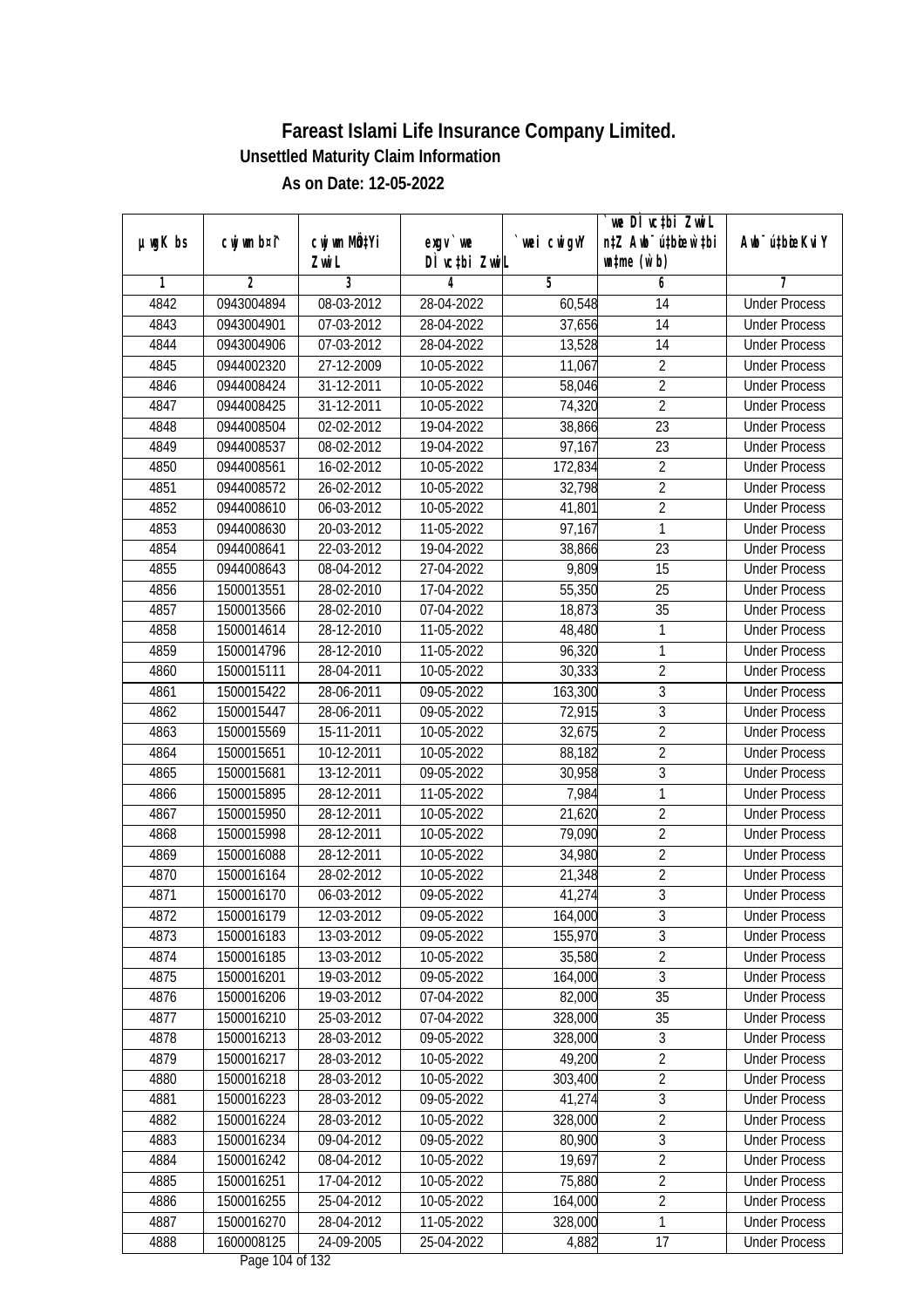| DÌ vctbi ZwiL<br>$\n  untime\n  (u`b)\n$<br>Zwi L<br>3<br>$\overline{2}$<br>5<br>4<br>6<br>1<br>7<br>4842<br>0943004894<br>08-03-2012<br>28-04-2022<br><b>Under Process</b><br>60,548<br>14<br>4843<br>07-03-2012<br>28-04-2022<br>37,656<br>14<br>0943004901<br><b>Under Process</b><br>4844<br>0943004906<br>07-03-2012<br>28-04-2022<br>13,528<br>14<br><b>Under Process</b><br>4845<br>0944002320<br>27-12-2009<br>10-05-2022<br>$\overline{2}$<br>11,067<br><b>Under Process</b><br>$\overline{2}$<br>0944008424<br>$31 - 12 - 2011$<br>10-05-2022<br>4846<br>58,046<br><b>Under Process</b><br>$\overline{2}$<br>74,320<br>4847<br>0944008425<br>31-12-2011<br>10-05-2022<br><b>Under Process</b><br>$\overline{23}$<br>4848<br>0944008504<br>02-02-2012<br>38,866<br>19-04-2022<br><b>Under Process</b><br>4849<br>97,167<br>23<br>0944008537<br>08-02-2012<br>19-04-2022<br><b>Under Process</b><br>$\overline{2}$<br>4850<br>0944008561<br>16-02-2012<br>10-05-2022<br>172,834<br><b>Under Process</b><br>$\overline{2}$<br>4851<br>26-02-2012<br>32,798<br>0944008572<br>10-05-2022<br><b>Under Process</b><br>$\overline{2}$<br>4852<br>0944008610<br>06-03-2012<br>10-05-2022<br>41,801<br><b>Under Process</b><br>4853<br>97,167<br>1<br>0944008630<br>20-03-2012<br>11-05-2022<br><b>Under Process</b><br>4854<br>$\overline{23}$<br>22-03-2012<br>19-04-2022<br>38,866<br>0944008641<br><b>Under Process</b><br>4855<br>0944008643<br>08-04-2012<br>27-04-2022<br>9,809<br>15<br><b>Under Process</b><br>25<br>4856<br>1500013551<br>28-02-2010<br>17-04-2022<br>55,350<br><b>Under Process</b><br>35<br>4857<br>1500013566<br>28-02-2010<br>07-04-2022<br>18,873<br><b>Under Process</b><br>48,480<br>4858<br>1500014614<br>28-12-2010<br>11-05-2022<br>1<br><b>Under Process</b><br>1<br>4859<br>28-12-2010<br>96,320<br>1500014796<br>11-05-2022<br><b>Under Process</b><br>$\overline{2}$<br>4860<br>30,333<br>1500015111<br>28-04-2011<br>10-05-2022<br><b>Under Process</b><br>3<br>4861<br>1500015422<br>28-06-2011<br>09-05-2022<br>163,300<br><b>Under Process</b><br>$\overline{3}$<br>4862<br>1500015447<br>28-06-2011<br>09-05-2022<br>72,915<br><b>Under Process</b><br>$\overline{2}$<br>4863<br>1500015569<br>15-11-2011<br>10-05-2022<br>32,675<br><b>Under Process</b><br>$\overline{2}$<br>4864<br>1500015651<br>10-12-2011<br>10-05-2022<br>88,182<br><b>Under Process</b><br>$\overline{3}$<br>4865<br>1500015681<br>09-05-2022<br>30,958<br>13-12-2011<br><b>Under Process</b><br>$\mathbf{1}$<br>4866<br>1500015895<br>28-12-2011<br>11-05-2022<br>7,984<br><b>Under Process</b><br>$\overline{2}$<br>4867<br>1500015950<br>28-12-2011<br>10-05-2022<br>21,620<br><b>Under Process</b><br>$\overline{2}$<br>4868<br>1500015998<br>28-12-2011<br>10-05-2022<br>79,090<br><b>Under Process</b><br>$\overline{2}$<br>4869<br>28-12-2011<br>10-05-2022<br>34,980<br>1500016088<br><b>Under Process</b><br>$\overline{2}$<br>4870<br>1500016164<br>28-02-2012<br>10-05-2022<br>21,348<br><b>Under Process</b><br>$\overline{3}$<br>4871<br>1500016170<br>06-03-2012<br>09-05-2022<br>41,274<br><b>Under Process</b><br>4872<br>1500016179<br>12-03-2012<br>09-05-2022<br>164,000<br>3<br><b>Under Process</b><br>3<br>4873<br>1500016183<br>13-03-2012<br>155,970<br>09-05-2022<br><b>Under Process</b><br>$\overline{2}$<br>35,580<br>4874<br>1500016185<br>13-03-2012<br>10-05-2022<br><b>Under Process</b><br>$\overline{3}$<br>4875<br>1500016201<br>19-03-2012<br>09-05-2022<br>164,000<br><b>Under Process</b><br>4876<br>1500016206<br>82,000<br>35<br>19-03-2012<br>07-04-2022<br><b>Under Process</b><br>4877<br>1500016210<br>328,000<br>25-03-2012<br>07-04-2022<br>35<br><b>Under Process</b><br>$\overline{3}$<br>1500016213<br>328,000<br>4878<br>28-03-2012<br>09-05-2022<br><b>Under Process</b><br>49,200<br>$\overline{2}$<br>4879<br>1500016217<br>28-03-2012<br>10-05-2022<br><b>Under Process</b><br>$\overline{2}$<br>4880<br>1500016218<br>28-03-2012<br>10-05-2022<br>303,400<br><b>Under Process</b><br>$\overline{3}$<br>4881<br>1500016223<br>28-03-2012<br>09-05-2022<br>41,274<br><b>Under Process</b><br>$\overline{2}$<br>4882<br>1500016224<br>28-03-2012<br>10-05-2022<br>328,000<br><b>Under Process</b><br>$\overline{3}$<br>1500016234<br>09-04-2012<br>09-05-2022<br>80,900<br>4883<br><b>Under Process</b><br>$\overline{2}$<br>4884<br>1500016242<br>$\overline{08}$ -04-2012<br>19,697<br>10-05-2022<br><b>Under Process</b><br>75,880<br>$\overline{2}$<br>4885<br>1500016251<br>17-04-2012<br>10-05-2022<br><b>Under Process</b><br>$\overline{2}$<br>4886<br>1500016255<br>25-04-2012<br>10-05-2022<br>164,000<br><b>Under Process</b><br>$\mathbf{1}$<br>4887<br>1500016270<br>28-04-2012<br>11-05-2022<br>328,000<br><b>Under Process</b><br>4888<br>1600008125<br>24-09-2005<br>4,882<br>17<br>25-04-2022<br><b>Under Process</b> | $µ$ ug $K$ bs | cwj wm b¤i^ | cwj wm MQtYi | exgv `we | wei cwigvY | we DI vctbi ZwiL<br>n‡Z Awb <sup>-</sup> ú‡bioar`‡bi | Awb <sup>-</sup> ú‡bioeKviY |
|-----------------------------------------------------------------------------------------------------------------------------------------------------------------------------------------------------------------------------------------------------------------------------------------------------------------------------------------------------------------------------------------------------------------------------------------------------------------------------------------------------------------------------------------------------------------------------------------------------------------------------------------------------------------------------------------------------------------------------------------------------------------------------------------------------------------------------------------------------------------------------------------------------------------------------------------------------------------------------------------------------------------------------------------------------------------------------------------------------------------------------------------------------------------------------------------------------------------------------------------------------------------------------------------------------------------------------------------------------------------------------------------------------------------------------------------------------------------------------------------------------------------------------------------------------------------------------------------------------------------------------------------------------------------------------------------------------------------------------------------------------------------------------------------------------------------------------------------------------------------------------------------------------------------------------------------------------------------------------------------------------------------------------------------------------------------------------------------------------------------------------------------------------------------------------------------------------------------------------------------------------------------------------------------------------------------------------------------------------------------------------------------------------------------------------------------------------------------------------------------------------------------------------------------------------------------------------------------------------------------------------------------------------------------------------------------------------------------------------------------------------------------------------------------------------------------------------------------------------------------------------------------------------------------------------------------------------------------------------------------------------------------------------------------------------------------------------------------------------------------------------------------------------------------------------------------------------------------------------------------------------------------------------------------------------------------------------------------------------------------------------------------------------------------------------------------------------------------------------------------------------------------------------------------------------------------------------------------------------------------------------------------------------------------------------------------------------------------------------------------------------------------------------------------------------------------------------------------------------------------------------------------------------------------------------------------------------------------------------------------------------------------------------------------------------------------------------------------------------------------------------------------------------------------------------------------------------------------------------------------------------------------------------------------------------------------------------------------------------------------------------------------------------------------------------------------------------------------------------------------------------------------------------------------------------------------------------------------------------------------------------------------------------------------------------------------------------------------------------------------------------------------------------------------------------------------------------------------------------------------------------------------------------------------|---------------|-------------|--------------|----------|------------|------------------------------------------------------|-----------------------------|
|                                                                                                                                                                                                                                                                                                                                                                                                                                                                                                                                                                                                                                                                                                                                                                                                                                                                                                                                                                                                                                                                                                                                                                                                                                                                                                                                                                                                                                                                                                                                                                                                                                                                                                                                                                                                                                                                                                                                                                                                                                                                                                                                                                                                                                                                                                                                                                                                                                                                                                                                                                                                                                                                                                                                                                                                                                                                                                                                                                                                                                                                                                                                                                                                                                                                                                                                                                                                                                                                                                                                                                                                                                                                                                                                                                                                                                                                                                                                                                                                                                                                                                                                                                                                                                                                                                                                                                                                                                                                                                                                                                                                                                                                                                                                                                                                                                                                                                                 |               |             |              |          |            |                                                      |                             |
|                                                                                                                                                                                                                                                                                                                                                                                                                                                                                                                                                                                                                                                                                                                                                                                                                                                                                                                                                                                                                                                                                                                                                                                                                                                                                                                                                                                                                                                                                                                                                                                                                                                                                                                                                                                                                                                                                                                                                                                                                                                                                                                                                                                                                                                                                                                                                                                                                                                                                                                                                                                                                                                                                                                                                                                                                                                                                                                                                                                                                                                                                                                                                                                                                                                                                                                                                                                                                                                                                                                                                                                                                                                                                                                                                                                                                                                                                                                                                                                                                                                                                                                                                                                                                                                                                                                                                                                                                                                                                                                                                                                                                                                                                                                                                                                                                                                                                                                 |               |             |              |          |            |                                                      |                             |
|                                                                                                                                                                                                                                                                                                                                                                                                                                                                                                                                                                                                                                                                                                                                                                                                                                                                                                                                                                                                                                                                                                                                                                                                                                                                                                                                                                                                                                                                                                                                                                                                                                                                                                                                                                                                                                                                                                                                                                                                                                                                                                                                                                                                                                                                                                                                                                                                                                                                                                                                                                                                                                                                                                                                                                                                                                                                                                                                                                                                                                                                                                                                                                                                                                                                                                                                                                                                                                                                                                                                                                                                                                                                                                                                                                                                                                                                                                                                                                                                                                                                                                                                                                                                                                                                                                                                                                                                                                                                                                                                                                                                                                                                                                                                                                                                                                                                                                                 |               |             |              |          |            |                                                      |                             |
|                                                                                                                                                                                                                                                                                                                                                                                                                                                                                                                                                                                                                                                                                                                                                                                                                                                                                                                                                                                                                                                                                                                                                                                                                                                                                                                                                                                                                                                                                                                                                                                                                                                                                                                                                                                                                                                                                                                                                                                                                                                                                                                                                                                                                                                                                                                                                                                                                                                                                                                                                                                                                                                                                                                                                                                                                                                                                                                                                                                                                                                                                                                                                                                                                                                                                                                                                                                                                                                                                                                                                                                                                                                                                                                                                                                                                                                                                                                                                                                                                                                                                                                                                                                                                                                                                                                                                                                                                                                                                                                                                                                                                                                                                                                                                                                                                                                                                                                 |               |             |              |          |            |                                                      |                             |
|                                                                                                                                                                                                                                                                                                                                                                                                                                                                                                                                                                                                                                                                                                                                                                                                                                                                                                                                                                                                                                                                                                                                                                                                                                                                                                                                                                                                                                                                                                                                                                                                                                                                                                                                                                                                                                                                                                                                                                                                                                                                                                                                                                                                                                                                                                                                                                                                                                                                                                                                                                                                                                                                                                                                                                                                                                                                                                                                                                                                                                                                                                                                                                                                                                                                                                                                                                                                                                                                                                                                                                                                                                                                                                                                                                                                                                                                                                                                                                                                                                                                                                                                                                                                                                                                                                                                                                                                                                                                                                                                                                                                                                                                                                                                                                                                                                                                                                                 |               |             |              |          |            |                                                      |                             |
|                                                                                                                                                                                                                                                                                                                                                                                                                                                                                                                                                                                                                                                                                                                                                                                                                                                                                                                                                                                                                                                                                                                                                                                                                                                                                                                                                                                                                                                                                                                                                                                                                                                                                                                                                                                                                                                                                                                                                                                                                                                                                                                                                                                                                                                                                                                                                                                                                                                                                                                                                                                                                                                                                                                                                                                                                                                                                                                                                                                                                                                                                                                                                                                                                                                                                                                                                                                                                                                                                                                                                                                                                                                                                                                                                                                                                                                                                                                                                                                                                                                                                                                                                                                                                                                                                                                                                                                                                                                                                                                                                                                                                                                                                                                                                                                                                                                                                                                 |               |             |              |          |            |                                                      |                             |
|                                                                                                                                                                                                                                                                                                                                                                                                                                                                                                                                                                                                                                                                                                                                                                                                                                                                                                                                                                                                                                                                                                                                                                                                                                                                                                                                                                                                                                                                                                                                                                                                                                                                                                                                                                                                                                                                                                                                                                                                                                                                                                                                                                                                                                                                                                                                                                                                                                                                                                                                                                                                                                                                                                                                                                                                                                                                                                                                                                                                                                                                                                                                                                                                                                                                                                                                                                                                                                                                                                                                                                                                                                                                                                                                                                                                                                                                                                                                                                                                                                                                                                                                                                                                                                                                                                                                                                                                                                                                                                                                                                                                                                                                                                                                                                                                                                                                                                                 |               |             |              |          |            |                                                      |                             |
|                                                                                                                                                                                                                                                                                                                                                                                                                                                                                                                                                                                                                                                                                                                                                                                                                                                                                                                                                                                                                                                                                                                                                                                                                                                                                                                                                                                                                                                                                                                                                                                                                                                                                                                                                                                                                                                                                                                                                                                                                                                                                                                                                                                                                                                                                                                                                                                                                                                                                                                                                                                                                                                                                                                                                                                                                                                                                                                                                                                                                                                                                                                                                                                                                                                                                                                                                                                                                                                                                                                                                                                                                                                                                                                                                                                                                                                                                                                                                                                                                                                                                                                                                                                                                                                                                                                                                                                                                                                                                                                                                                                                                                                                                                                                                                                                                                                                                                                 |               |             |              |          |            |                                                      |                             |
|                                                                                                                                                                                                                                                                                                                                                                                                                                                                                                                                                                                                                                                                                                                                                                                                                                                                                                                                                                                                                                                                                                                                                                                                                                                                                                                                                                                                                                                                                                                                                                                                                                                                                                                                                                                                                                                                                                                                                                                                                                                                                                                                                                                                                                                                                                                                                                                                                                                                                                                                                                                                                                                                                                                                                                                                                                                                                                                                                                                                                                                                                                                                                                                                                                                                                                                                                                                                                                                                                                                                                                                                                                                                                                                                                                                                                                                                                                                                                                                                                                                                                                                                                                                                                                                                                                                                                                                                                                                                                                                                                                                                                                                                                                                                                                                                                                                                                                                 |               |             |              |          |            |                                                      |                             |
|                                                                                                                                                                                                                                                                                                                                                                                                                                                                                                                                                                                                                                                                                                                                                                                                                                                                                                                                                                                                                                                                                                                                                                                                                                                                                                                                                                                                                                                                                                                                                                                                                                                                                                                                                                                                                                                                                                                                                                                                                                                                                                                                                                                                                                                                                                                                                                                                                                                                                                                                                                                                                                                                                                                                                                                                                                                                                                                                                                                                                                                                                                                                                                                                                                                                                                                                                                                                                                                                                                                                                                                                                                                                                                                                                                                                                                                                                                                                                                                                                                                                                                                                                                                                                                                                                                                                                                                                                                                                                                                                                                                                                                                                                                                                                                                                                                                                                                                 |               |             |              |          |            |                                                      |                             |
|                                                                                                                                                                                                                                                                                                                                                                                                                                                                                                                                                                                                                                                                                                                                                                                                                                                                                                                                                                                                                                                                                                                                                                                                                                                                                                                                                                                                                                                                                                                                                                                                                                                                                                                                                                                                                                                                                                                                                                                                                                                                                                                                                                                                                                                                                                                                                                                                                                                                                                                                                                                                                                                                                                                                                                                                                                                                                                                                                                                                                                                                                                                                                                                                                                                                                                                                                                                                                                                                                                                                                                                                                                                                                                                                                                                                                                                                                                                                                                                                                                                                                                                                                                                                                                                                                                                                                                                                                                                                                                                                                                                                                                                                                                                                                                                                                                                                                                                 |               |             |              |          |            |                                                      |                             |
|                                                                                                                                                                                                                                                                                                                                                                                                                                                                                                                                                                                                                                                                                                                                                                                                                                                                                                                                                                                                                                                                                                                                                                                                                                                                                                                                                                                                                                                                                                                                                                                                                                                                                                                                                                                                                                                                                                                                                                                                                                                                                                                                                                                                                                                                                                                                                                                                                                                                                                                                                                                                                                                                                                                                                                                                                                                                                                                                                                                                                                                                                                                                                                                                                                                                                                                                                                                                                                                                                                                                                                                                                                                                                                                                                                                                                                                                                                                                                                                                                                                                                                                                                                                                                                                                                                                                                                                                                                                                                                                                                                                                                                                                                                                                                                                                                                                                                                                 |               |             |              |          |            |                                                      |                             |
|                                                                                                                                                                                                                                                                                                                                                                                                                                                                                                                                                                                                                                                                                                                                                                                                                                                                                                                                                                                                                                                                                                                                                                                                                                                                                                                                                                                                                                                                                                                                                                                                                                                                                                                                                                                                                                                                                                                                                                                                                                                                                                                                                                                                                                                                                                                                                                                                                                                                                                                                                                                                                                                                                                                                                                                                                                                                                                                                                                                                                                                                                                                                                                                                                                                                                                                                                                                                                                                                                                                                                                                                                                                                                                                                                                                                                                                                                                                                                                                                                                                                                                                                                                                                                                                                                                                                                                                                                                                                                                                                                                                                                                                                                                                                                                                                                                                                                                                 |               |             |              |          |            |                                                      |                             |
|                                                                                                                                                                                                                                                                                                                                                                                                                                                                                                                                                                                                                                                                                                                                                                                                                                                                                                                                                                                                                                                                                                                                                                                                                                                                                                                                                                                                                                                                                                                                                                                                                                                                                                                                                                                                                                                                                                                                                                                                                                                                                                                                                                                                                                                                                                                                                                                                                                                                                                                                                                                                                                                                                                                                                                                                                                                                                                                                                                                                                                                                                                                                                                                                                                                                                                                                                                                                                                                                                                                                                                                                                                                                                                                                                                                                                                                                                                                                                                                                                                                                                                                                                                                                                                                                                                                                                                                                                                                                                                                                                                                                                                                                                                                                                                                                                                                                                                                 |               |             |              |          |            |                                                      |                             |
|                                                                                                                                                                                                                                                                                                                                                                                                                                                                                                                                                                                                                                                                                                                                                                                                                                                                                                                                                                                                                                                                                                                                                                                                                                                                                                                                                                                                                                                                                                                                                                                                                                                                                                                                                                                                                                                                                                                                                                                                                                                                                                                                                                                                                                                                                                                                                                                                                                                                                                                                                                                                                                                                                                                                                                                                                                                                                                                                                                                                                                                                                                                                                                                                                                                                                                                                                                                                                                                                                                                                                                                                                                                                                                                                                                                                                                                                                                                                                                                                                                                                                                                                                                                                                                                                                                                                                                                                                                                                                                                                                                                                                                                                                                                                                                                                                                                                                                                 |               |             |              |          |            |                                                      |                             |
|                                                                                                                                                                                                                                                                                                                                                                                                                                                                                                                                                                                                                                                                                                                                                                                                                                                                                                                                                                                                                                                                                                                                                                                                                                                                                                                                                                                                                                                                                                                                                                                                                                                                                                                                                                                                                                                                                                                                                                                                                                                                                                                                                                                                                                                                                                                                                                                                                                                                                                                                                                                                                                                                                                                                                                                                                                                                                                                                                                                                                                                                                                                                                                                                                                                                                                                                                                                                                                                                                                                                                                                                                                                                                                                                                                                                                                                                                                                                                                                                                                                                                                                                                                                                                                                                                                                                                                                                                                                                                                                                                                                                                                                                                                                                                                                                                                                                                                                 |               |             |              |          |            |                                                      |                             |
|                                                                                                                                                                                                                                                                                                                                                                                                                                                                                                                                                                                                                                                                                                                                                                                                                                                                                                                                                                                                                                                                                                                                                                                                                                                                                                                                                                                                                                                                                                                                                                                                                                                                                                                                                                                                                                                                                                                                                                                                                                                                                                                                                                                                                                                                                                                                                                                                                                                                                                                                                                                                                                                                                                                                                                                                                                                                                                                                                                                                                                                                                                                                                                                                                                                                                                                                                                                                                                                                                                                                                                                                                                                                                                                                                                                                                                                                                                                                                                                                                                                                                                                                                                                                                                                                                                                                                                                                                                                                                                                                                                                                                                                                                                                                                                                                                                                                                                                 |               |             |              |          |            |                                                      |                             |
|                                                                                                                                                                                                                                                                                                                                                                                                                                                                                                                                                                                                                                                                                                                                                                                                                                                                                                                                                                                                                                                                                                                                                                                                                                                                                                                                                                                                                                                                                                                                                                                                                                                                                                                                                                                                                                                                                                                                                                                                                                                                                                                                                                                                                                                                                                                                                                                                                                                                                                                                                                                                                                                                                                                                                                                                                                                                                                                                                                                                                                                                                                                                                                                                                                                                                                                                                                                                                                                                                                                                                                                                                                                                                                                                                                                                                                                                                                                                                                                                                                                                                                                                                                                                                                                                                                                                                                                                                                                                                                                                                                                                                                                                                                                                                                                                                                                                                                                 |               |             |              |          |            |                                                      |                             |
|                                                                                                                                                                                                                                                                                                                                                                                                                                                                                                                                                                                                                                                                                                                                                                                                                                                                                                                                                                                                                                                                                                                                                                                                                                                                                                                                                                                                                                                                                                                                                                                                                                                                                                                                                                                                                                                                                                                                                                                                                                                                                                                                                                                                                                                                                                                                                                                                                                                                                                                                                                                                                                                                                                                                                                                                                                                                                                                                                                                                                                                                                                                                                                                                                                                                                                                                                                                                                                                                                                                                                                                                                                                                                                                                                                                                                                                                                                                                                                                                                                                                                                                                                                                                                                                                                                                                                                                                                                                                                                                                                                                                                                                                                                                                                                                                                                                                                                                 |               |             |              |          |            |                                                      |                             |
|                                                                                                                                                                                                                                                                                                                                                                                                                                                                                                                                                                                                                                                                                                                                                                                                                                                                                                                                                                                                                                                                                                                                                                                                                                                                                                                                                                                                                                                                                                                                                                                                                                                                                                                                                                                                                                                                                                                                                                                                                                                                                                                                                                                                                                                                                                                                                                                                                                                                                                                                                                                                                                                                                                                                                                                                                                                                                                                                                                                                                                                                                                                                                                                                                                                                                                                                                                                                                                                                                                                                                                                                                                                                                                                                                                                                                                                                                                                                                                                                                                                                                                                                                                                                                                                                                                                                                                                                                                                                                                                                                                                                                                                                                                                                                                                                                                                                                                                 |               |             |              |          |            |                                                      |                             |
|                                                                                                                                                                                                                                                                                                                                                                                                                                                                                                                                                                                                                                                                                                                                                                                                                                                                                                                                                                                                                                                                                                                                                                                                                                                                                                                                                                                                                                                                                                                                                                                                                                                                                                                                                                                                                                                                                                                                                                                                                                                                                                                                                                                                                                                                                                                                                                                                                                                                                                                                                                                                                                                                                                                                                                                                                                                                                                                                                                                                                                                                                                                                                                                                                                                                                                                                                                                                                                                                                                                                                                                                                                                                                                                                                                                                                                                                                                                                                                                                                                                                                                                                                                                                                                                                                                                                                                                                                                                                                                                                                                                                                                                                                                                                                                                                                                                                                                                 |               |             |              |          |            |                                                      |                             |
|                                                                                                                                                                                                                                                                                                                                                                                                                                                                                                                                                                                                                                                                                                                                                                                                                                                                                                                                                                                                                                                                                                                                                                                                                                                                                                                                                                                                                                                                                                                                                                                                                                                                                                                                                                                                                                                                                                                                                                                                                                                                                                                                                                                                                                                                                                                                                                                                                                                                                                                                                                                                                                                                                                                                                                                                                                                                                                                                                                                                                                                                                                                                                                                                                                                                                                                                                                                                                                                                                                                                                                                                                                                                                                                                                                                                                                                                                                                                                                                                                                                                                                                                                                                                                                                                                                                                                                                                                                                                                                                                                                                                                                                                                                                                                                                                                                                                                                                 |               |             |              |          |            |                                                      |                             |
|                                                                                                                                                                                                                                                                                                                                                                                                                                                                                                                                                                                                                                                                                                                                                                                                                                                                                                                                                                                                                                                                                                                                                                                                                                                                                                                                                                                                                                                                                                                                                                                                                                                                                                                                                                                                                                                                                                                                                                                                                                                                                                                                                                                                                                                                                                                                                                                                                                                                                                                                                                                                                                                                                                                                                                                                                                                                                                                                                                                                                                                                                                                                                                                                                                                                                                                                                                                                                                                                                                                                                                                                                                                                                                                                                                                                                                                                                                                                                                                                                                                                                                                                                                                                                                                                                                                                                                                                                                                                                                                                                                                                                                                                                                                                                                                                                                                                                                                 |               |             |              |          |            |                                                      |                             |
|                                                                                                                                                                                                                                                                                                                                                                                                                                                                                                                                                                                                                                                                                                                                                                                                                                                                                                                                                                                                                                                                                                                                                                                                                                                                                                                                                                                                                                                                                                                                                                                                                                                                                                                                                                                                                                                                                                                                                                                                                                                                                                                                                                                                                                                                                                                                                                                                                                                                                                                                                                                                                                                                                                                                                                                                                                                                                                                                                                                                                                                                                                                                                                                                                                                                                                                                                                                                                                                                                                                                                                                                                                                                                                                                                                                                                                                                                                                                                                                                                                                                                                                                                                                                                                                                                                                                                                                                                                                                                                                                                                                                                                                                                                                                                                                                                                                                                                                 |               |             |              |          |            |                                                      |                             |
|                                                                                                                                                                                                                                                                                                                                                                                                                                                                                                                                                                                                                                                                                                                                                                                                                                                                                                                                                                                                                                                                                                                                                                                                                                                                                                                                                                                                                                                                                                                                                                                                                                                                                                                                                                                                                                                                                                                                                                                                                                                                                                                                                                                                                                                                                                                                                                                                                                                                                                                                                                                                                                                                                                                                                                                                                                                                                                                                                                                                                                                                                                                                                                                                                                                                                                                                                                                                                                                                                                                                                                                                                                                                                                                                                                                                                                                                                                                                                                                                                                                                                                                                                                                                                                                                                                                                                                                                                                                                                                                                                                                                                                                                                                                                                                                                                                                                                                                 |               |             |              |          |            |                                                      |                             |
|                                                                                                                                                                                                                                                                                                                                                                                                                                                                                                                                                                                                                                                                                                                                                                                                                                                                                                                                                                                                                                                                                                                                                                                                                                                                                                                                                                                                                                                                                                                                                                                                                                                                                                                                                                                                                                                                                                                                                                                                                                                                                                                                                                                                                                                                                                                                                                                                                                                                                                                                                                                                                                                                                                                                                                                                                                                                                                                                                                                                                                                                                                                                                                                                                                                                                                                                                                                                                                                                                                                                                                                                                                                                                                                                                                                                                                                                                                                                                                                                                                                                                                                                                                                                                                                                                                                                                                                                                                                                                                                                                                                                                                                                                                                                                                                                                                                                                                                 |               |             |              |          |            |                                                      |                             |
|                                                                                                                                                                                                                                                                                                                                                                                                                                                                                                                                                                                                                                                                                                                                                                                                                                                                                                                                                                                                                                                                                                                                                                                                                                                                                                                                                                                                                                                                                                                                                                                                                                                                                                                                                                                                                                                                                                                                                                                                                                                                                                                                                                                                                                                                                                                                                                                                                                                                                                                                                                                                                                                                                                                                                                                                                                                                                                                                                                                                                                                                                                                                                                                                                                                                                                                                                                                                                                                                                                                                                                                                                                                                                                                                                                                                                                                                                                                                                                                                                                                                                                                                                                                                                                                                                                                                                                                                                                                                                                                                                                                                                                                                                                                                                                                                                                                                                                                 |               |             |              |          |            |                                                      |                             |
|                                                                                                                                                                                                                                                                                                                                                                                                                                                                                                                                                                                                                                                                                                                                                                                                                                                                                                                                                                                                                                                                                                                                                                                                                                                                                                                                                                                                                                                                                                                                                                                                                                                                                                                                                                                                                                                                                                                                                                                                                                                                                                                                                                                                                                                                                                                                                                                                                                                                                                                                                                                                                                                                                                                                                                                                                                                                                                                                                                                                                                                                                                                                                                                                                                                                                                                                                                                                                                                                                                                                                                                                                                                                                                                                                                                                                                                                                                                                                                                                                                                                                                                                                                                                                                                                                                                                                                                                                                                                                                                                                                                                                                                                                                                                                                                                                                                                                                                 |               |             |              |          |            |                                                      |                             |
|                                                                                                                                                                                                                                                                                                                                                                                                                                                                                                                                                                                                                                                                                                                                                                                                                                                                                                                                                                                                                                                                                                                                                                                                                                                                                                                                                                                                                                                                                                                                                                                                                                                                                                                                                                                                                                                                                                                                                                                                                                                                                                                                                                                                                                                                                                                                                                                                                                                                                                                                                                                                                                                                                                                                                                                                                                                                                                                                                                                                                                                                                                                                                                                                                                                                                                                                                                                                                                                                                                                                                                                                                                                                                                                                                                                                                                                                                                                                                                                                                                                                                                                                                                                                                                                                                                                                                                                                                                                                                                                                                                                                                                                                                                                                                                                                                                                                                                                 |               |             |              |          |            |                                                      |                             |
|                                                                                                                                                                                                                                                                                                                                                                                                                                                                                                                                                                                                                                                                                                                                                                                                                                                                                                                                                                                                                                                                                                                                                                                                                                                                                                                                                                                                                                                                                                                                                                                                                                                                                                                                                                                                                                                                                                                                                                                                                                                                                                                                                                                                                                                                                                                                                                                                                                                                                                                                                                                                                                                                                                                                                                                                                                                                                                                                                                                                                                                                                                                                                                                                                                                                                                                                                                                                                                                                                                                                                                                                                                                                                                                                                                                                                                                                                                                                                                                                                                                                                                                                                                                                                                                                                                                                                                                                                                                                                                                                                                                                                                                                                                                                                                                                                                                                                                                 |               |             |              |          |            |                                                      |                             |
|                                                                                                                                                                                                                                                                                                                                                                                                                                                                                                                                                                                                                                                                                                                                                                                                                                                                                                                                                                                                                                                                                                                                                                                                                                                                                                                                                                                                                                                                                                                                                                                                                                                                                                                                                                                                                                                                                                                                                                                                                                                                                                                                                                                                                                                                                                                                                                                                                                                                                                                                                                                                                                                                                                                                                                                                                                                                                                                                                                                                                                                                                                                                                                                                                                                                                                                                                                                                                                                                                                                                                                                                                                                                                                                                                                                                                                                                                                                                                                                                                                                                                                                                                                                                                                                                                                                                                                                                                                                                                                                                                                                                                                                                                                                                                                                                                                                                                                                 |               |             |              |          |            |                                                      |                             |
|                                                                                                                                                                                                                                                                                                                                                                                                                                                                                                                                                                                                                                                                                                                                                                                                                                                                                                                                                                                                                                                                                                                                                                                                                                                                                                                                                                                                                                                                                                                                                                                                                                                                                                                                                                                                                                                                                                                                                                                                                                                                                                                                                                                                                                                                                                                                                                                                                                                                                                                                                                                                                                                                                                                                                                                                                                                                                                                                                                                                                                                                                                                                                                                                                                                                                                                                                                                                                                                                                                                                                                                                                                                                                                                                                                                                                                                                                                                                                                                                                                                                                                                                                                                                                                                                                                                                                                                                                                                                                                                                                                                                                                                                                                                                                                                                                                                                                                                 |               |             |              |          |            |                                                      |                             |
|                                                                                                                                                                                                                                                                                                                                                                                                                                                                                                                                                                                                                                                                                                                                                                                                                                                                                                                                                                                                                                                                                                                                                                                                                                                                                                                                                                                                                                                                                                                                                                                                                                                                                                                                                                                                                                                                                                                                                                                                                                                                                                                                                                                                                                                                                                                                                                                                                                                                                                                                                                                                                                                                                                                                                                                                                                                                                                                                                                                                                                                                                                                                                                                                                                                                                                                                                                                                                                                                                                                                                                                                                                                                                                                                                                                                                                                                                                                                                                                                                                                                                                                                                                                                                                                                                                                                                                                                                                                                                                                                                                                                                                                                                                                                                                                                                                                                                                                 |               |             |              |          |            |                                                      |                             |
|                                                                                                                                                                                                                                                                                                                                                                                                                                                                                                                                                                                                                                                                                                                                                                                                                                                                                                                                                                                                                                                                                                                                                                                                                                                                                                                                                                                                                                                                                                                                                                                                                                                                                                                                                                                                                                                                                                                                                                                                                                                                                                                                                                                                                                                                                                                                                                                                                                                                                                                                                                                                                                                                                                                                                                                                                                                                                                                                                                                                                                                                                                                                                                                                                                                                                                                                                                                                                                                                                                                                                                                                                                                                                                                                                                                                                                                                                                                                                                                                                                                                                                                                                                                                                                                                                                                                                                                                                                                                                                                                                                                                                                                                                                                                                                                                                                                                                                                 |               |             |              |          |            |                                                      |                             |
|                                                                                                                                                                                                                                                                                                                                                                                                                                                                                                                                                                                                                                                                                                                                                                                                                                                                                                                                                                                                                                                                                                                                                                                                                                                                                                                                                                                                                                                                                                                                                                                                                                                                                                                                                                                                                                                                                                                                                                                                                                                                                                                                                                                                                                                                                                                                                                                                                                                                                                                                                                                                                                                                                                                                                                                                                                                                                                                                                                                                                                                                                                                                                                                                                                                                                                                                                                                                                                                                                                                                                                                                                                                                                                                                                                                                                                                                                                                                                                                                                                                                                                                                                                                                                                                                                                                                                                                                                                                                                                                                                                                                                                                                                                                                                                                                                                                                                                                 |               |             |              |          |            |                                                      |                             |
|                                                                                                                                                                                                                                                                                                                                                                                                                                                                                                                                                                                                                                                                                                                                                                                                                                                                                                                                                                                                                                                                                                                                                                                                                                                                                                                                                                                                                                                                                                                                                                                                                                                                                                                                                                                                                                                                                                                                                                                                                                                                                                                                                                                                                                                                                                                                                                                                                                                                                                                                                                                                                                                                                                                                                                                                                                                                                                                                                                                                                                                                                                                                                                                                                                                                                                                                                                                                                                                                                                                                                                                                                                                                                                                                                                                                                                                                                                                                                                                                                                                                                                                                                                                                                                                                                                                                                                                                                                                                                                                                                                                                                                                                                                                                                                                                                                                                                                                 |               |             |              |          |            |                                                      |                             |
|                                                                                                                                                                                                                                                                                                                                                                                                                                                                                                                                                                                                                                                                                                                                                                                                                                                                                                                                                                                                                                                                                                                                                                                                                                                                                                                                                                                                                                                                                                                                                                                                                                                                                                                                                                                                                                                                                                                                                                                                                                                                                                                                                                                                                                                                                                                                                                                                                                                                                                                                                                                                                                                                                                                                                                                                                                                                                                                                                                                                                                                                                                                                                                                                                                                                                                                                                                                                                                                                                                                                                                                                                                                                                                                                                                                                                                                                                                                                                                                                                                                                                                                                                                                                                                                                                                                                                                                                                                                                                                                                                                                                                                                                                                                                                                                                                                                                                                                 |               |             |              |          |            |                                                      |                             |
|                                                                                                                                                                                                                                                                                                                                                                                                                                                                                                                                                                                                                                                                                                                                                                                                                                                                                                                                                                                                                                                                                                                                                                                                                                                                                                                                                                                                                                                                                                                                                                                                                                                                                                                                                                                                                                                                                                                                                                                                                                                                                                                                                                                                                                                                                                                                                                                                                                                                                                                                                                                                                                                                                                                                                                                                                                                                                                                                                                                                                                                                                                                                                                                                                                                                                                                                                                                                                                                                                                                                                                                                                                                                                                                                                                                                                                                                                                                                                                                                                                                                                                                                                                                                                                                                                                                                                                                                                                                                                                                                                                                                                                                                                                                                                                                                                                                                                                                 |               |             |              |          |            |                                                      |                             |
|                                                                                                                                                                                                                                                                                                                                                                                                                                                                                                                                                                                                                                                                                                                                                                                                                                                                                                                                                                                                                                                                                                                                                                                                                                                                                                                                                                                                                                                                                                                                                                                                                                                                                                                                                                                                                                                                                                                                                                                                                                                                                                                                                                                                                                                                                                                                                                                                                                                                                                                                                                                                                                                                                                                                                                                                                                                                                                                                                                                                                                                                                                                                                                                                                                                                                                                                                                                                                                                                                                                                                                                                                                                                                                                                                                                                                                                                                                                                                                                                                                                                                                                                                                                                                                                                                                                                                                                                                                                                                                                                                                                                                                                                                                                                                                                                                                                                                                                 |               |             |              |          |            |                                                      |                             |
|                                                                                                                                                                                                                                                                                                                                                                                                                                                                                                                                                                                                                                                                                                                                                                                                                                                                                                                                                                                                                                                                                                                                                                                                                                                                                                                                                                                                                                                                                                                                                                                                                                                                                                                                                                                                                                                                                                                                                                                                                                                                                                                                                                                                                                                                                                                                                                                                                                                                                                                                                                                                                                                                                                                                                                                                                                                                                                                                                                                                                                                                                                                                                                                                                                                                                                                                                                                                                                                                                                                                                                                                                                                                                                                                                                                                                                                                                                                                                                                                                                                                                                                                                                                                                                                                                                                                                                                                                                                                                                                                                                                                                                                                                                                                                                                                                                                                                                                 |               |             |              |          |            |                                                      |                             |
|                                                                                                                                                                                                                                                                                                                                                                                                                                                                                                                                                                                                                                                                                                                                                                                                                                                                                                                                                                                                                                                                                                                                                                                                                                                                                                                                                                                                                                                                                                                                                                                                                                                                                                                                                                                                                                                                                                                                                                                                                                                                                                                                                                                                                                                                                                                                                                                                                                                                                                                                                                                                                                                                                                                                                                                                                                                                                                                                                                                                                                                                                                                                                                                                                                                                                                                                                                                                                                                                                                                                                                                                                                                                                                                                                                                                                                                                                                                                                                                                                                                                                                                                                                                                                                                                                                                                                                                                                                                                                                                                                                                                                                                                                                                                                                                                                                                                                                                 |               |             |              |          |            |                                                      |                             |
|                                                                                                                                                                                                                                                                                                                                                                                                                                                                                                                                                                                                                                                                                                                                                                                                                                                                                                                                                                                                                                                                                                                                                                                                                                                                                                                                                                                                                                                                                                                                                                                                                                                                                                                                                                                                                                                                                                                                                                                                                                                                                                                                                                                                                                                                                                                                                                                                                                                                                                                                                                                                                                                                                                                                                                                                                                                                                                                                                                                                                                                                                                                                                                                                                                                                                                                                                                                                                                                                                                                                                                                                                                                                                                                                                                                                                                                                                                                                                                                                                                                                                                                                                                                                                                                                                                                                                                                                                                                                                                                                                                                                                                                                                                                                                                                                                                                                                                                 |               |             |              |          |            |                                                      |                             |
|                                                                                                                                                                                                                                                                                                                                                                                                                                                                                                                                                                                                                                                                                                                                                                                                                                                                                                                                                                                                                                                                                                                                                                                                                                                                                                                                                                                                                                                                                                                                                                                                                                                                                                                                                                                                                                                                                                                                                                                                                                                                                                                                                                                                                                                                                                                                                                                                                                                                                                                                                                                                                                                                                                                                                                                                                                                                                                                                                                                                                                                                                                                                                                                                                                                                                                                                                                                                                                                                                                                                                                                                                                                                                                                                                                                                                                                                                                                                                                                                                                                                                                                                                                                                                                                                                                                                                                                                                                                                                                                                                                                                                                                                                                                                                                                                                                                                                                                 |               |             |              |          |            |                                                      |                             |
|                                                                                                                                                                                                                                                                                                                                                                                                                                                                                                                                                                                                                                                                                                                                                                                                                                                                                                                                                                                                                                                                                                                                                                                                                                                                                                                                                                                                                                                                                                                                                                                                                                                                                                                                                                                                                                                                                                                                                                                                                                                                                                                                                                                                                                                                                                                                                                                                                                                                                                                                                                                                                                                                                                                                                                                                                                                                                                                                                                                                                                                                                                                                                                                                                                                                                                                                                                                                                                                                                                                                                                                                                                                                                                                                                                                                                                                                                                                                                                                                                                                                                                                                                                                                                                                                                                                                                                                                                                                                                                                                                                                                                                                                                                                                                                                                                                                                                                                 |               |             |              |          |            |                                                      |                             |
|                                                                                                                                                                                                                                                                                                                                                                                                                                                                                                                                                                                                                                                                                                                                                                                                                                                                                                                                                                                                                                                                                                                                                                                                                                                                                                                                                                                                                                                                                                                                                                                                                                                                                                                                                                                                                                                                                                                                                                                                                                                                                                                                                                                                                                                                                                                                                                                                                                                                                                                                                                                                                                                                                                                                                                                                                                                                                                                                                                                                                                                                                                                                                                                                                                                                                                                                                                                                                                                                                                                                                                                                                                                                                                                                                                                                                                                                                                                                                                                                                                                                                                                                                                                                                                                                                                                                                                                                                                                                                                                                                                                                                                                                                                                                                                                                                                                                                                                 |               |             |              |          |            |                                                      |                             |
|                                                                                                                                                                                                                                                                                                                                                                                                                                                                                                                                                                                                                                                                                                                                                                                                                                                                                                                                                                                                                                                                                                                                                                                                                                                                                                                                                                                                                                                                                                                                                                                                                                                                                                                                                                                                                                                                                                                                                                                                                                                                                                                                                                                                                                                                                                                                                                                                                                                                                                                                                                                                                                                                                                                                                                                                                                                                                                                                                                                                                                                                                                                                                                                                                                                                                                                                                                                                                                                                                                                                                                                                                                                                                                                                                                                                                                                                                                                                                                                                                                                                                                                                                                                                                                                                                                                                                                                                                                                                                                                                                                                                                                                                                                                                                                                                                                                                                                                 |               |             |              |          |            |                                                      |                             |
|                                                                                                                                                                                                                                                                                                                                                                                                                                                                                                                                                                                                                                                                                                                                                                                                                                                                                                                                                                                                                                                                                                                                                                                                                                                                                                                                                                                                                                                                                                                                                                                                                                                                                                                                                                                                                                                                                                                                                                                                                                                                                                                                                                                                                                                                                                                                                                                                                                                                                                                                                                                                                                                                                                                                                                                                                                                                                                                                                                                                                                                                                                                                                                                                                                                                                                                                                                                                                                                                                                                                                                                                                                                                                                                                                                                                                                                                                                                                                                                                                                                                                                                                                                                                                                                                                                                                                                                                                                                                                                                                                                                                                                                                                                                                                                                                                                                                                                                 |               |             |              |          |            |                                                      |                             |
|                                                                                                                                                                                                                                                                                                                                                                                                                                                                                                                                                                                                                                                                                                                                                                                                                                                                                                                                                                                                                                                                                                                                                                                                                                                                                                                                                                                                                                                                                                                                                                                                                                                                                                                                                                                                                                                                                                                                                                                                                                                                                                                                                                                                                                                                                                                                                                                                                                                                                                                                                                                                                                                                                                                                                                                                                                                                                                                                                                                                                                                                                                                                                                                                                                                                                                                                                                                                                                                                                                                                                                                                                                                                                                                                                                                                                                                                                                                                                                                                                                                                                                                                                                                                                                                                                                                                                                                                                                                                                                                                                                                                                                                                                                                                                                                                                                                                                                                 |               |             |              |          |            |                                                      |                             |
|                                                                                                                                                                                                                                                                                                                                                                                                                                                                                                                                                                                                                                                                                                                                                                                                                                                                                                                                                                                                                                                                                                                                                                                                                                                                                                                                                                                                                                                                                                                                                                                                                                                                                                                                                                                                                                                                                                                                                                                                                                                                                                                                                                                                                                                                                                                                                                                                                                                                                                                                                                                                                                                                                                                                                                                                                                                                                                                                                                                                                                                                                                                                                                                                                                                                                                                                                                                                                                                                                                                                                                                                                                                                                                                                                                                                                                                                                                                                                                                                                                                                                                                                                                                                                                                                                                                                                                                                                                                                                                                                                                                                                                                                                                                                                                                                                                                                                                                 |               |             |              |          |            |                                                      |                             |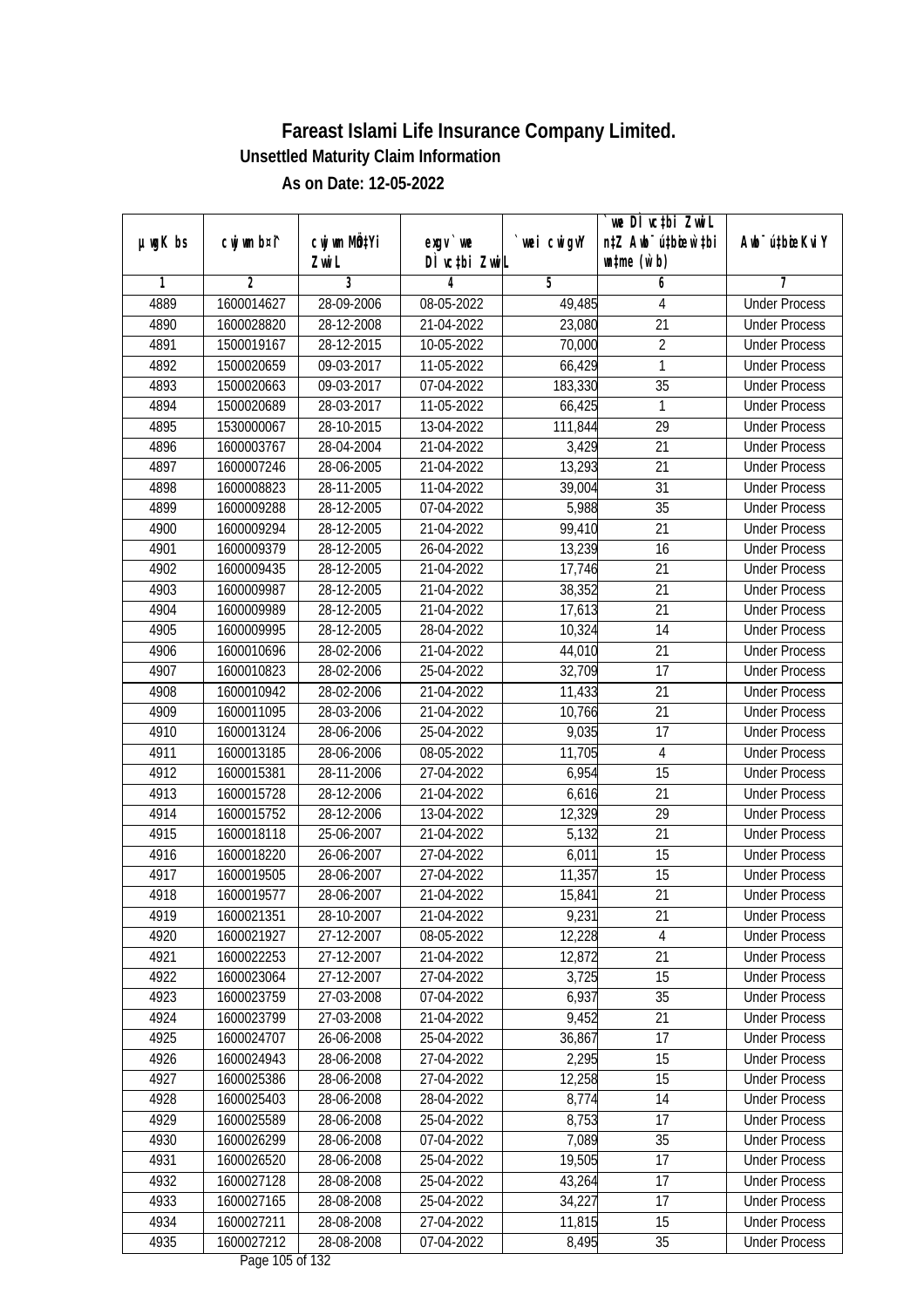| exgy `we<br>DÌ vctbi ZwiL<br>$\n  untime\n  (u`b)\n$<br>Zwi L<br>3<br>$\overline{2}$<br>$\overline{5}$<br>6<br>1<br>4<br>7<br><b>Under Process</b><br>4889<br>1600014627<br>28-09-2006<br>08-05-2022<br>49,485<br>4<br>$\overline{21}$<br>4890<br>28-12-2008<br>21-04-2022<br>23,080<br>1600028820<br><b>Under Process</b><br>$\overline{2}$<br>4891<br>1500019167<br>28-12-2015<br>10-05-2022<br>70,000<br><b>Under Process</b><br>4892<br>09-03-2017<br>11-05-2022<br>66,429<br>1<br>1500020659<br><b>Under Process</b><br>$\overline{35}$<br>4893<br>1500020663<br>09-03-2017<br>07-04-2022<br>183,330<br><b>Under Process</b><br>4894<br>1500020689<br>28-03-2017<br>11-05-2022<br>66,425<br>1<br><b>Under Process</b><br>$\overline{29}$<br>4895<br>28-10-2015<br>13-04-2022<br>111,844<br>1530000067<br><b>Under Process</b><br>4896<br>1600003767<br>28-04-2004<br>21-04-2022<br>3,429<br>21<br><b>Under Process</b><br>4897<br>$\overline{21}$<br>1600007246<br>28-06-2005<br>21-04-2022<br>13,293<br><b>Under Process</b><br>31<br>4898<br>1600008823<br>28-11-2005<br>11-04-2022<br>39,004<br><b>Under Process</b><br>4899<br>5,988<br>$\overline{35}$<br>1600009288<br>28-12-2005<br>07-04-2022<br><b>Under Process</b><br>99,410<br>21<br>4900<br>1600009294<br>28-12-2005<br>21-04-2022<br><b>Under Process</b><br>4901<br>13,239<br>$\overline{16}$<br>1600009379<br>28-12-2005<br>26-04-2022<br><b>Under Process</b><br>4902<br>28-12-2005<br>21-04-2022<br>21<br>1600009435<br>17,746<br><b>Under Process</b><br>4903<br>1600009987<br>28-12-2005<br>21-04-2022<br>38,352<br>21<br><b>Under Process</b><br>21<br>4904<br>1600009989<br>28-12-2005<br>21-04-2022<br>17,613<br><b>Under Process</b><br>4905<br>28-12-2005<br>28-04-2022<br>10,324<br>14<br>1600009995<br><b>Under Process</b><br>21<br>4906<br>28-02-2006<br>21-04-2022<br>44,010<br>1600010696<br><b>Under Process</b><br>4907<br>28-02-2006<br>25-04-2022<br>32,709<br>17<br>1600010823<br><b>Under Process</b><br>4908<br>21<br>1600010942<br>28-02-2006<br>21-04-2022<br>11,433<br><b>Under Process</b><br>21<br>4909<br>1600011095<br>28-03-2006<br>21-04-2022<br>10,766<br><b>Under Process</b><br>9,035<br>4910<br>25-04-2022<br>17<br>1600013124<br>28-06-2006<br><b>Under Process</b><br>4911<br>28-06-2006<br>08-05-2022<br>11,705<br>$\overline{4}$<br>1600013185<br><b>Under Process</b><br>4912<br>1600015381<br>28-11-2006<br>27-04-2022<br>6,954<br>15<br><b>Under Process</b><br>4913<br>21<br>1600015728<br>28-12-2006<br>21-04-2022<br>6,616<br><b>Under Process</b><br>4914<br>1600015752<br>28-12-2006<br>13-04-2022<br>12,329<br>29<br><b>Under Process</b><br>21<br>4915<br>1600018118<br>25-06-2007<br>21-04-2022<br>5,132<br><b>Under Process</b><br>15<br>4916<br>26-06-2007<br>27-04-2022<br>6,011<br>1600018220<br><b>Under Process</b><br>15<br>4917<br>1600019505<br>28-06-2007<br>27-04-2022<br>11,357<br><b>Under Process</b><br>21<br>4918<br>1600019577<br>28-06-2007<br>21-04-2022<br>15,841<br><b>Under Process</b><br>4919<br>1600021351<br>28-10-2007<br>21-04-2022<br>9,231<br>21<br><b>Under Process</b><br>4920<br>1600021927<br>27-12-2007<br>08-05-2022<br>12,228<br>4<br><b>Under Process</b><br>21<br>4921<br>1600022253<br>27-12-2007<br>21-04-2022<br>12,872<br><b>Under Process</b><br>3,725<br>15<br>4922<br>1600023064<br>27-12-2007<br>27-04-2022<br><b>Under Process</b><br>1600023759<br>27-03-2008<br>6,937<br>35<br>4923<br>07-04-2022<br><b>Under Process</b><br>4924<br>9,452<br>1600023799<br>27-03-2008<br>21-04-2022<br>21<br><b>Under Process</b><br>4925<br>1600024707<br>36,867<br>17<br>26-06-2008<br>25-04-2022<br><b>Under Process</b><br>2,295<br>28-06-2008<br>15<br>4926<br>1600024943<br>27-04-2022<br><b>Under Process</b><br>12,258<br>15<br>4927<br>1600025386<br>28-06-2008<br>27-04-2022<br><b>Under Process</b><br>14<br>4928<br>1600025403<br>28-06-2008<br>28-04-2022<br>8,774<br><b>Under Process</b><br>8,753<br>4929<br>1600025589<br>28-06-2008<br>25-04-2022<br>17<br><b>Under Process</b><br>4930<br>35<br>1600026299<br>28-06-2008<br>07-04-2022<br>7,089<br><b>Under Process</b><br>$\overline{17}$<br>4931<br>28-06-2008<br>25-04-2022<br>19,505<br>1600026520<br><b>Under Process</b><br>43,264<br>17<br>4932<br>1600027128<br>28-08-2008<br>25-04-2022<br><b>Under Process</b><br>4933<br>17<br>1600027165<br>28-08-2008<br>25-04-2022<br>34,227<br><b>Under Process</b><br>4934<br>1600027211<br>28-08-2008<br>27-04-2022<br>11,815<br>15<br><b>Under Process</b><br>4935<br>1600027212<br>8,495<br>35<br>28-08-2008<br>07-04-2022<br><b>Under Process</b> |         |             |              |             | we DI vctbi ZwiL                 |                             |
|-----------------------------------------------------------------------------------------------------------------------------------------------------------------------------------------------------------------------------------------------------------------------------------------------------------------------------------------------------------------------------------------------------------------------------------------------------------------------------------------------------------------------------------------------------------------------------------------------------------------------------------------------------------------------------------------------------------------------------------------------------------------------------------------------------------------------------------------------------------------------------------------------------------------------------------------------------------------------------------------------------------------------------------------------------------------------------------------------------------------------------------------------------------------------------------------------------------------------------------------------------------------------------------------------------------------------------------------------------------------------------------------------------------------------------------------------------------------------------------------------------------------------------------------------------------------------------------------------------------------------------------------------------------------------------------------------------------------------------------------------------------------------------------------------------------------------------------------------------------------------------------------------------------------------------------------------------------------------------------------------------------------------------------------------------------------------------------------------------------------------------------------------------------------------------------------------------------------------------------------------------------------------------------------------------------------------------------------------------------------------------------------------------------------------------------------------------------------------------------------------------------------------------------------------------------------------------------------------------------------------------------------------------------------------------------------------------------------------------------------------------------------------------------------------------------------------------------------------------------------------------------------------------------------------------------------------------------------------------------------------------------------------------------------------------------------------------------------------------------------------------------------------------------------------------------------------------------------------------------------------------------------------------------------------------------------------------------------------------------------------------------------------------------------------------------------------------------------------------------------------------------------------------------------------------------------------------------------------------------------------------------------------------------------------------------------------------------------------------------------------------------------------------------------------------------------------------------------------------------------------------------------------------------------------------------------------------------------------------------------------------------------------------------------------------------------------------------------------------------------------------------------------------------------------------------------------------------------------------------------------------------------------------------------------------------------------------------------------------------------------------------------------------------------------------------------------------------------------------------------------------------------------------------------------------------------------------------------------------------------------------------|---------|-------------|--------------|-------------|----------------------------------|-----------------------------|
|                                                                                                                                                                                                                                                                                                                                                                                                                                                                                                                                                                                                                                                                                                                                                                                                                                                                                                                                                                                                                                                                                                                                                                                                                                                                                                                                                                                                                                                                                                                                                                                                                                                                                                                                                                                                                                                                                                                                                                                                                                                                                                                                                                                                                                                                                                                                                                                                                                                                                                                                                                                                                                                                                                                                                                                                                                                                                                                                                                                                                                                                                                                                                                                                                                                                                                                                                                                                                                                                                                                                                                                                                                                                                                                                                                                                                                                                                                                                                                                                                                                                                                                                                                                                                                                                                                                                                                                                                                                                                                                                                                                                                                   | µwgK bs | cwj wm b¤i^ | cwj wm MQtYi | `wei cwigvY | n‡Z Awb <sup>-</sup> ú‡bioar`‡bi | Awb <sup>-</sup> ú‡bioeKviY |
|                                                                                                                                                                                                                                                                                                                                                                                                                                                                                                                                                                                                                                                                                                                                                                                                                                                                                                                                                                                                                                                                                                                                                                                                                                                                                                                                                                                                                                                                                                                                                                                                                                                                                                                                                                                                                                                                                                                                                                                                                                                                                                                                                                                                                                                                                                                                                                                                                                                                                                                                                                                                                                                                                                                                                                                                                                                                                                                                                                                                                                                                                                                                                                                                                                                                                                                                                                                                                                                                                                                                                                                                                                                                                                                                                                                                                                                                                                                                                                                                                                                                                                                                                                                                                                                                                                                                                                                                                                                                                                                                                                                                                                   |         |             |              |             |                                  |                             |
|                                                                                                                                                                                                                                                                                                                                                                                                                                                                                                                                                                                                                                                                                                                                                                                                                                                                                                                                                                                                                                                                                                                                                                                                                                                                                                                                                                                                                                                                                                                                                                                                                                                                                                                                                                                                                                                                                                                                                                                                                                                                                                                                                                                                                                                                                                                                                                                                                                                                                                                                                                                                                                                                                                                                                                                                                                                                                                                                                                                                                                                                                                                                                                                                                                                                                                                                                                                                                                                                                                                                                                                                                                                                                                                                                                                                                                                                                                                                                                                                                                                                                                                                                                                                                                                                                                                                                                                                                                                                                                                                                                                                                                   |         |             |              |             |                                  |                             |
|                                                                                                                                                                                                                                                                                                                                                                                                                                                                                                                                                                                                                                                                                                                                                                                                                                                                                                                                                                                                                                                                                                                                                                                                                                                                                                                                                                                                                                                                                                                                                                                                                                                                                                                                                                                                                                                                                                                                                                                                                                                                                                                                                                                                                                                                                                                                                                                                                                                                                                                                                                                                                                                                                                                                                                                                                                                                                                                                                                                                                                                                                                                                                                                                                                                                                                                                                                                                                                                                                                                                                                                                                                                                                                                                                                                                                                                                                                                                                                                                                                                                                                                                                                                                                                                                                                                                                                                                                                                                                                                                                                                                                                   |         |             |              |             |                                  |                             |
|                                                                                                                                                                                                                                                                                                                                                                                                                                                                                                                                                                                                                                                                                                                                                                                                                                                                                                                                                                                                                                                                                                                                                                                                                                                                                                                                                                                                                                                                                                                                                                                                                                                                                                                                                                                                                                                                                                                                                                                                                                                                                                                                                                                                                                                                                                                                                                                                                                                                                                                                                                                                                                                                                                                                                                                                                                                                                                                                                                                                                                                                                                                                                                                                                                                                                                                                                                                                                                                                                                                                                                                                                                                                                                                                                                                                                                                                                                                                                                                                                                                                                                                                                                                                                                                                                                                                                                                                                                                                                                                                                                                                                                   |         |             |              |             |                                  |                             |
|                                                                                                                                                                                                                                                                                                                                                                                                                                                                                                                                                                                                                                                                                                                                                                                                                                                                                                                                                                                                                                                                                                                                                                                                                                                                                                                                                                                                                                                                                                                                                                                                                                                                                                                                                                                                                                                                                                                                                                                                                                                                                                                                                                                                                                                                                                                                                                                                                                                                                                                                                                                                                                                                                                                                                                                                                                                                                                                                                                                                                                                                                                                                                                                                                                                                                                                                                                                                                                                                                                                                                                                                                                                                                                                                                                                                                                                                                                                                                                                                                                                                                                                                                                                                                                                                                                                                                                                                                                                                                                                                                                                                                                   |         |             |              |             |                                  |                             |
|                                                                                                                                                                                                                                                                                                                                                                                                                                                                                                                                                                                                                                                                                                                                                                                                                                                                                                                                                                                                                                                                                                                                                                                                                                                                                                                                                                                                                                                                                                                                                                                                                                                                                                                                                                                                                                                                                                                                                                                                                                                                                                                                                                                                                                                                                                                                                                                                                                                                                                                                                                                                                                                                                                                                                                                                                                                                                                                                                                                                                                                                                                                                                                                                                                                                                                                                                                                                                                                                                                                                                                                                                                                                                                                                                                                                                                                                                                                                                                                                                                                                                                                                                                                                                                                                                                                                                                                                                                                                                                                                                                                                                                   |         |             |              |             |                                  |                             |
|                                                                                                                                                                                                                                                                                                                                                                                                                                                                                                                                                                                                                                                                                                                                                                                                                                                                                                                                                                                                                                                                                                                                                                                                                                                                                                                                                                                                                                                                                                                                                                                                                                                                                                                                                                                                                                                                                                                                                                                                                                                                                                                                                                                                                                                                                                                                                                                                                                                                                                                                                                                                                                                                                                                                                                                                                                                                                                                                                                                                                                                                                                                                                                                                                                                                                                                                                                                                                                                                                                                                                                                                                                                                                                                                                                                                                                                                                                                                                                                                                                                                                                                                                                                                                                                                                                                                                                                                                                                                                                                                                                                                                                   |         |             |              |             |                                  |                             |
|                                                                                                                                                                                                                                                                                                                                                                                                                                                                                                                                                                                                                                                                                                                                                                                                                                                                                                                                                                                                                                                                                                                                                                                                                                                                                                                                                                                                                                                                                                                                                                                                                                                                                                                                                                                                                                                                                                                                                                                                                                                                                                                                                                                                                                                                                                                                                                                                                                                                                                                                                                                                                                                                                                                                                                                                                                                                                                                                                                                                                                                                                                                                                                                                                                                                                                                                                                                                                                                                                                                                                                                                                                                                                                                                                                                                                                                                                                                                                                                                                                                                                                                                                                                                                                                                                                                                                                                                                                                                                                                                                                                                                                   |         |             |              |             |                                  |                             |
|                                                                                                                                                                                                                                                                                                                                                                                                                                                                                                                                                                                                                                                                                                                                                                                                                                                                                                                                                                                                                                                                                                                                                                                                                                                                                                                                                                                                                                                                                                                                                                                                                                                                                                                                                                                                                                                                                                                                                                                                                                                                                                                                                                                                                                                                                                                                                                                                                                                                                                                                                                                                                                                                                                                                                                                                                                                                                                                                                                                                                                                                                                                                                                                                                                                                                                                                                                                                                                                                                                                                                                                                                                                                                                                                                                                                                                                                                                                                                                                                                                                                                                                                                                                                                                                                                                                                                                                                                                                                                                                                                                                                                                   |         |             |              |             |                                  |                             |
|                                                                                                                                                                                                                                                                                                                                                                                                                                                                                                                                                                                                                                                                                                                                                                                                                                                                                                                                                                                                                                                                                                                                                                                                                                                                                                                                                                                                                                                                                                                                                                                                                                                                                                                                                                                                                                                                                                                                                                                                                                                                                                                                                                                                                                                                                                                                                                                                                                                                                                                                                                                                                                                                                                                                                                                                                                                                                                                                                                                                                                                                                                                                                                                                                                                                                                                                                                                                                                                                                                                                                                                                                                                                                                                                                                                                                                                                                                                                                                                                                                                                                                                                                                                                                                                                                                                                                                                                                                                                                                                                                                                                                                   |         |             |              |             |                                  |                             |
|                                                                                                                                                                                                                                                                                                                                                                                                                                                                                                                                                                                                                                                                                                                                                                                                                                                                                                                                                                                                                                                                                                                                                                                                                                                                                                                                                                                                                                                                                                                                                                                                                                                                                                                                                                                                                                                                                                                                                                                                                                                                                                                                                                                                                                                                                                                                                                                                                                                                                                                                                                                                                                                                                                                                                                                                                                                                                                                                                                                                                                                                                                                                                                                                                                                                                                                                                                                                                                                                                                                                                                                                                                                                                                                                                                                                                                                                                                                                                                                                                                                                                                                                                                                                                                                                                                                                                                                                                                                                                                                                                                                                                                   |         |             |              |             |                                  |                             |
|                                                                                                                                                                                                                                                                                                                                                                                                                                                                                                                                                                                                                                                                                                                                                                                                                                                                                                                                                                                                                                                                                                                                                                                                                                                                                                                                                                                                                                                                                                                                                                                                                                                                                                                                                                                                                                                                                                                                                                                                                                                                                                                                                                                                                                                                                                                                                                                                                                                                                                                                                                                                                                                                                                                                                                                                                                                                                                                                                                                                                                                                                                                                                                                                                                                                                                                                                                                                                                                                                                                                                                                                                                                                                                                                                                                                                                                                                                                                                                                                                                                                                                                                                                                                                                                                                                                                                                                                                                                                                                                                                                                                                                   |         |             |              |             |                                  |                             |
|                                                                                                                                                                                                                                                                                                                                                                                                                                                                                                                                                                                                                                                                                                                                                                                                                                                                                                                                                                                                                                                                                                                                                                                                                                                                                                                                                                                                                                                                                                                                                                                                                                                                                                                                                                                                                                                                                                                                                                                                                                                                                                                                                                                                                                                                                                                                                                                                                                                                                                                                                                                                                                                                                                                                                                                                                                                                                                                                                                                                                                                                                                                                                                                                                                                                                                                                                                                                                                                                                                                                                                                                                                                                                                                                                                                                                                                                                                                                                                                                                                                                                                                                                                                                                                                                                                                                                                                                                                                                                                                                                                                                                                   |         |             |              |             |                                  |                             |
|                                                                                                                                                                                                                                                                                                                                                                                                                                                                                                                                                                                                                                                                                                                                                                                                                                                                                                                                                                                                                                                                                                                                                                                                                                                                                                                                                                                                                                                                                                                                                                                                                                                                                                                                                                                                                                                                                                                                                                                                                                                                                                                                                                                                                                                                                                                                                                                                                                                                                                                                                                                                                                                                                                                                                                                                                                                                                                                                                                                                                                                                                                                                                                                                                                                                                                                                                                                                                                                                                                                                                                                                                                                                                                                                                                                                                                                                                                                                                                                                                                                                                                                                                                                                                                                                                                                                                                                                                                                                                                                                                                                                                                   |         |             |              |             |                                  |                             |
|                                                                                                                                                                                                                                                                                                                                                                                                                                                                                                                                                                                                                                                                                                                                                                                                                                                                                                                                                                                                                                                                                                                                                                                                                                                                                                                                                                                                                                                                                                                                                                                                                                                                                                                                                                                                                                                                                                                                                                                                                                                                                                                                                                                                                                                                                                                                                                                                                                                                                                                                                                                                                                                                                                                                                                                                                                                                                                                                                                                                                                                                                                                                                                                                                                                                                                                                                                                                                                                                                                                                                                                                                                                                                                                                                                                                                                                                                                                                                                                                                                                                                                                                                                                                                                                                                                                                                                                                                                                                                                                                                                                                                                   |         |             |              |             |                                  |                             |
|                                                                                                                                                                                                                                                                                                                                                                                                                                                                                                                                                                                                                                                                                                                                                                                                                                                                                                                                                                                                                                                                                                                                                                                                                                                                                                                                                                                                                                                                                                                                                                                                                                                                                                                                                                                                                                                                                                                                                                                                                                                                                                                                                                                                                                                                                                                                                                                                                                                                                                                                                                                                                                                                                                                                                                                                                                                                                                                                                                                                                                                                                                                                                                                                                                                                                                                                                                                                                                                                                                                                                                                                                                                                                                                                                                                                                                                                                                                                                                                                                                                                                                                                                                                                                                                                                                                                                                                                                                                                                                                                                                                                                                   |         |             |              |             |                                  |                             |
|                                                                                                                                                                                                                                                                                                                                                                                                                                                                                                                                                                                                                                                                                                                                                                                                                                                                                                                                                                                                                                                                                                                                                                                                                                                                                                                                                                                                                                                                                                                                                                                                                                                                                                                                                                                                                                                                                                                                                                                                                                                                                                                                                                                                                                                                                                                                                                                                                                                                                                                                                                                                                                                                                                                                                                                                                                                                                                                                                                                                                                                                                                                                                                                                                                                                                                                                                                                                                                                                                                                                                                                                                                                                                                                                                                                                                                                                                                                                                                                                                                                                                                                                                                                                                                                                                                                                                                                                                                                                                                                                                                                                                                   |         |             |              |             |                                  |                             |
|                                                                                                                                                                                                                                                                                                                                                                                                                                                                                                                                                                                                                                                                                                                                                                                                                                                                                                                                                                                                                                                                                                                                                                                                                                                                                                                                                                                                                                                                                                                                                                                                                                                                                                                                                                                                                                                                                                                                                                                                                                                                                                                                                                                                                                                                                                                                                                                                                                                                                                                                                                                                                                                                                                                                                                                                                                                                                                                                                                                                                                                                                                                                                                                                                                                                                                                                                                                                                                                                                                                                                                                                                                                                                                                                                                                                                                                                                                                                                                                                                                                                                                                                                                                                                                                                                                                                                                                                                                                                                                                                                                                                                                   |         |             |              |             |                                  |                             |
|                                                                                                                                                                                                                                                                                                                                                                                                                                                                                                                                                                                                                                                                                                                                                                                                                                                                                                                                                                                                                                                                                                                                                                                                                                                                                                                                                                                                                                                                                                                                                                                                                                                                                                                                                                                                                                                                                                                                                                                                                                                                                                                                                                                                                                                                                                                                                                                                                                                                                                                                                                                                                                                                                                                                                                                                                                                                                                                                                                                                                                                                                                                                                                                                                                                                                                                                                                                                                                                                                                                                                                                                                                                                                                                                                                                                                                                                                                                                                                                                                                                                                                                                                                                                                                                                                                                                                                                                                                                                                                                                                                                                                                   |         |             |              |             |                                  |                             |
|                                                                                                                                                                                                                                                                                                                                                                                                                                                                                                                                                                                                                                                                                                                                                                                                                                                                                                                                                                                                                                                                                                                                                                                                                                                                                                                                                                                                                                                                                                                                                                                                                                                                                                                                                                                                                                                                                                                                                                                                                                                                                                                                                                                                                                                                                                                                                                                                                                                                                                                                                                                                                                                                                                                                                                                                                                                                                                                                                                                                                                                                                                                                                                                                                                                                                                                                                                                                                                                                                                                                                                                                                                                                                                                                                                                                                                                                                                                                                                                                                                                                                                                                                                                                                                                                                                                                                                                                                                                                                                                                                                                                                                   |         |             |              |             |                                  |                             |
|                                                                                                                                                                                                                                                                                                                                                                                                                                                                                                                                                                                                                                                                                                                                                                                                                                                                                                                                                                                                                                                                                                                                                                                                                                                                                                                                                                                                                                                                                                                                                                                                                                                                                                                                                                                                                                                                                                                                                                                                                                                                                                                                                                                                                                                                                                                                                                                                                                                                                                                                                                                                                                                                                                                                                                                                                                                                                                                                                                                                                                                                                                                                                                                                                                                                                                                                                                                                                                                                                                                                                                                                                                                                                                                                                                                                                                                                                                                                                                                                                                                                                                                                                                                                                                                                                                                                                                                                                                                                                                                                                                                                                                   |         |             |              |             |                                  |                             |
|                                                                                                                                                                                                                                                                                                                                                                                                                                                                                                                                                                                                                                                                                                                                                                                                                                                                                                                                                                                                                                                                                                                                                                                                                                                                                                                                                                                                                                                                                                                                                                                                                                                                                                                                                                                                                                                                                                                                                                                                                                                                                                                                                                                                                                                                                                                                                                                                                                                                                                                                                                                                                                                                                                                                                                                                                                                                                                                                                                                                                                                                                                                                                                                                                                                                                                                                                                                                                                                                                                                                                                                                                                                                                                                                                                                                                                                                                                                                                                                                                                                                                                                                                                                                                                                                                                                                                                                                                                                                                                                                                                                                                                   |         |             |              |             |                                  |                             |
|                                                                                                                                                                                                                                                                                                                                                                                                                                                                                                                                                                                                                                                                                                                                                                                                                                                                                                                                                                                                                                                                                                                                                                                                                                                                                                                                                                                                                                                                                                                                                                                                                                                                                                                                                                                                                                                                                                                                                                                                                                                                                                                                                                                                                                                                                                                                                                                                                                                                                                                                                                                                                                                                                                                                                                                                                                                                                                                                                                                                                                                                                                                                                                                                                                                                                                                                                                                                                                                                                                                                                                                                                                                                                                                                                                                                                                                                                                                                                                                                                                                                                                                                                                                                                                                                                                                                                                                                                                                                                                                                                                                                                                   |         |             |              |             |                                  |                             |
|                                                                                                                                                                                                                                                                                                                                                                                                                                                                                                                                                                                                                                                                                                                                                                                                                                                                                                                                                                                                                                                                                                                                                                                                                                                                                                                                                                                                                                                                                                                                                                                                                                                                                                                                                                                                                                                                                                                                                                                                                                                                                                                                                                                                                                                                                                                                                                                                                                                                                                                                                                                                                                                                                                                                                                                                                                                                                                                                                                                                                                                                                                                                                                                                                                                                                                                                                                                                                                                                                                                                                                                                                                                                                                                                                                                                                                                                                                                                                                                                                                                                                                                                                                                                                                                                                                                                                                                                                                                                                                                                                                                                                                   |         |             |              |             |                                  |                             |
|                                                                                                                                                                                                                                                                                                                                                                                                                                                                                                                                                                                                                                                                                                                                                                                                                                                                                                                                                                                                                                                                                                                                                                                                                                                                                                                                                                                                                                                                                                                                                                                                                                                                                                                                                                                                                                                                                                                                                                                                                                                                                                                                                                                                                                                                                                                                                                                                                                                                                                                                                                                                                                                                                                                                                                                                                                                                                                                                                                                                                                                                                                                                                                                                                                                                                                                                                                                                                                                                                                                                                                                                                                                                                                                                                                                                                                                                                                                                                                                                                                                                                                                                                                                                                                                                                                                                                                                                                                                                                                                                                                                                                                   |         |             |              |             |                                  |                             |
|                                                                                                                                                                                                                                                                                                                                                                                                                                                                                                                                                                                                                                                                                                                                                                                                                                                                                                                                                                                                                                                                                                                                                                                                                                                                                                                                                                                                                                                                                                                                                                                                                                                                                                                                                                                                                                                                                                                                                                                                                                                                                                                                                                                                                                                                                                                                                                                                                                                                                                                                                                                                                                                                                                                                                                                                                                                                                                                                                                                                                                                                                                                                                                                                                                                                                                                                                                                                                                                                                                                                                                                                                                                                                                                                                                                                                                                                                                                                                                                                                                                                                                                                                                                                                                                                                                                                                                                                                                                                                                                                                                                                                                   |         |             |              |             |                                  |                             |
|                                                                                                                                                                                                                                                                                                                                                                                                                                                                                                                                                                                                                                                                                                                                                                                                                                                                                                                                                                                                                                                                                                                                                                                                                                                                                                                                                                                                                                                                                                                                                                                                                                                                                                                                                                                                                                                                                                                                                                                                                                                                                                                                                                                                                                                                                                                                                                                                                                                                                                                                                                                                                                                                                                                                                                                                                                                                                                                                                                                                                                                                                                                                                                                                                                                                                                                                                                                                                                                                                                                                                                                                                                                                                                                                                                                                                                                                                                                                                                                                                                                                                                                                                                                                                                                                                                                                                                                                                                                                                                                                                                                                                                   |         |             |              |             |                                  |                             |
|                                                                                                                                                                                                                                                                                                                                                                                                                                                                                                                                                                                                                                                                                                                                                                                                                                                                                                                                                                                                                                                                                                                                                                                                                                                                                                                                                                                                                                                                                                                                                                                                                                                                                                                                                                                                                                                                                                                                                                                                                                                                                                                                                                                                                                                                                                                                                                                                                                                                                                                                                                                                                                                                                                                                                                                                                                                                                                                                                                                                                                                                                                                                                                                                                                                                                                                                                                                                                                                                                                                                                                                                                                                                                                                                                                                                                                                                                                                                                                                                                                                                                                                                                                                                                                                                                                                                                                                                                                                                                                                                                                                                                                   |         |             |              |             |                                  |                             |
|                                                                                                                                                                                                                                                                                                                                                                                                                                                                                                                                                                                                                                                                                                                                                                                                                                                                                                                                                                                                                                                                                                                                                                                                                                                                                                                                                                                                                                                                                                                                                                                                                                                                                                                                                                                                                                                                                                                                                                                                                                                                                                                                                                                                                                                                                                                                                                                                                                                                                                                                                                                                                                                                                                                                                                                                                                                                                                                                                                                                                                                                                                                                                                                                                                                                                                                                                                                                                                                                                                                                                                                                                                                                                                                                                                                                                                                                                                                                                                                                                                                                                                                                                                                                                                                                                                                                                                                                                                                                                                                                                                                                                                   |         |             |              |             |                                  |                             |
|                                                                                                                                                                                                                                                                                                                                                                                                                                                                                                                                                                                                                                                                                                                                                                                                                                                                                                                                                                                                                                                                                                                                                                                                                                                                                                                                                                                                                                                                                                                                                                                                                                                                                                                                                                                                                                                                                                                                                                                                                                                                                                                                                                                                                                                                                                                                                                                                                                                                                                                                                                                                                                                                                                                                                                                                                                                                                                                                                                                                                                                                                                                                                                                                                                                                                                                                                                                                                                                                                                                                                                                                                                                                                                                                                                                                                                                                                                                                                                                                                                                                                                                                                                                                                                                                                                                                                                                                                                                                                                                                                                                                                                   |         |             |              |             |                                  |                             |
|                                                                                                                                                                                                                                                                                                                                                                                                                                                                                                                                                                                                                                                                                                                                                                                                                                                                                                                                                                                                                                                                                                                                                                                                                                                                                                                                                                                                                                                                                                                                                                                                                                                                                                                                                                                                                                                                                                                                                                                                                                                                                                                                                                                                                                                                                                                                                                                                                                                                                                                                                                                                                                                                                                                                                                                                                                                                                                                                                                                                                                                                                                                                                                                                                                                                                                                                                                                                                                                                                                                                                                                                                                                                                                                                                                                                                                                                                                                                                                                                                                                                                                                                                                                                                                                                                                                                                                                                                                                                                                                                                                                                                                   |         |             |              |             |                                  |                             |
|                                                                                                                                                                                                                                                                                                                                                                                                                                                                                                                                                                                                                                                                                                                                                                                                                                                                                                                                                                                                                                                                                                                                                                                                                                                                                                                                                                                                                                                                                                                                                                                                                                                                                                                                                                                                                                                                                                                                                                                                                                                                                                                                                                                                                                                                                                                                                                                                                                                                                                                                                                                                                                                                                                                                                                                                                                                                                                                                                                                                                                                                                                                                                                                                                                                                                                                                                                                                                                                                                                                                                                                                                                                                                                                                                                                                                                                                                                                                                                                                                                                                                                                                                                                                                                                                                                                                                                                                                                                                                                                                                                                                                                   |         |             |              |             |                                  |                             |
|                                                                                                                                                                                                                                                                                                                                                                                                                                                                                                                                                                                                                                                                                                                                                                                                                                                                                                                                                                                                                                                                                                                                                                                                                                                                                                                                                                                                                                                                                                                                                                                                                                                                                                                                                                                                                                                                                                                                                                                                                                                                                                                                                                                                                                                                                                                                                                                                                                                                                                                                                                                                                                                                                                                                                                                                                                                                                                                                                                                                                                                                                                                                                                                                                                                                                                                                                                                                                                                                                                                                                                                                                                                                                                                                                                                                                                                                                                                                                                                                                                                                                                                                                                                                                                                                                                                                                                                                                                                                                                                                                                                                                                   |         |             |              |             |                                  |                             |
|                                                                                                                                                                                                                                                                                                                                                                                                                                                                                                                                                                                                                                                                                                                                                                                                                                                                                                                                                                                                                                                                                                                                                                                                                                                                                                                                                                                                                                                                                                                                                                                                                                                                                                                                                                                                                                                                                                                                                                                                                                                                                                                                                                                                                                                                                                                                                                                                                                                                                                                                                                                                                                                                                                                                                                                                                                                                                                                                                                                                                                                                                                                                                                                                                                                                                                                                                                                                                                                                                                                                                                                                                                                                                                                                                                                                                                                                                                                                                                                                                                                                                                                                                                                                                                                                                                                                                                                                                                                                                                                                                                                                                                   |         |             |              |             |                                  |                             |
|                                                                                                                                                                                                                                                                                                                                                                                                                                                                                                                                                                                                                                                                                                                                                                                                                                                                                                                                                                                                                                                                                                                                                                                                                                                                                                                                                                                                                                                                                                                                                                                                                                                                                                                                                                                                                                                                                                                                                                                                                                                                                                                                                                                                                                                                                                                                                                                                                                                                                                                                                                                                                                                                                                                                                                                                                                                                                                                                                                                                                                                                                                                                                                                                                                                                                                                                                                                                                                                                                                                                                                                                                                                                                                                                                                                                                                                                                                                                                                                                                                                                                                                                                                                                                                                                                                                                                                                                                                                                                                                                                                                                                                   |         |             |              |             |                                  |                             |
|                                                                                                                                                                                                                                                                                                                                                                                                                                                                                                                                                                                                                                                                                                                                                                                                                                                                                                                                                                                                                                                                                                                                                                                                                                                                                                                                                                                                                                                                                                                                                                                                                                                                                                                                                                                                                                                                                                                                                                                                                                                                                                                                                                                                                                                                                                                                                                                                                                                                                                                                                                                                                                                                                                                                                                                                                                                                                                                                                                                                                                                                                                                                                                                                                                                                                                                                                                                                                                                                                                                                                                                                                                                                                                                                                                                                                                                                                                                                                                                                                                                                                                                                                                                                                                                                                                                                                                                                                                                                                                                                                                                                                                   |         |             |              |             |                                  |                             |
|                                                                                                                                                                                                                                                                                                                                                                                                                                                                                                                                                                                                                                                                                                                                                                                                                                                                                                                                                                                                                                                                                                                                                                                                                                                                                                                                                                                                                                                                                                                                                                                                                                                                                                                                                                                                                                                                                                                                                                                                                                                                                                                                                                                                                                                                                                                                                                                                                                                                                                                                                                                                                                                                                                                                                                                                                                                                                                                                                                                                                                                                                                                                                                                                                                                                                                                                                                                                                                                                                                                                                                                                                                                                                                                                                                                                                                                                                                                                                                                                                                                                                                                                                                                                                                                                                                                                                                                                                                                                                                                                                                                                                                   |         |             |              |             |                                  |                             |
|                                                                                                                                                                                                                                                                                                                                                                                                                                                                                                                                                                                                                                                                                                                                                                                                                                                                                                                                                                                                                                                                                                                                                                                                                                                                                                                                                                                                                                                                                                                                                                                                                                                                                                                                                                                                                                                                                                                                                                                                                                                                                                                                                                                                                                                                                                                                                                                                                                                                                                                                                                                                                                                                                                                                                                                                                                                                                                                                                                                                                                                                                                                                                                                                                                                                                                                                                                                                                                                                                                                                                                                                                                                                                                                                                                                                                                                                                                                                                                                                                                                                                                                                                                                                                                                                                                                                                                                                                                                                                                                                                                                                                                   |         |             |              |             |                                  |                             |
|                                                                                                                                                                                                                                                                                                                                                                                                                                                                                                                                                                                                                                                                                                                                                                                                                                                                                                                                                                                                                                                                                                                                                                                                                                                                                                                                                                                                                                                                                                                                                                                                                                                                                                                                                                                                                                                                                                                                                                                                                                                                                                                                                                                                                                                                                                                                                                                                                                                                                                                                                                                                                                                                                                                                                                                                                                                                                                                                                                                                                                                                                                                                                                                                                                                                                                                                                                                                                                                                                                                                                                                                                                                                                                                                                                                                                                                                                                                                                                                                                                                                                                                                                                                                                                                                                                                                                                                                                                                                                                                                                                                                                                   |         |             |              |             |                                  |                             |
|                                                                                                                                                                                                                                                                                                                                                                                                                                                                                                                                                                                                                                                                                                                                                                                                                                                                                                                                                                                                                                                                                                                                                                                                                                                                                                                                                                                                                                                                                                                                                                                                                                                                                                                                                                                                                                                                                                                                                                                                                                                                                                                                                                                                                                                                                                                                                                                                                                                                                                                                                                                                                                                                                                                                                                                                                                                                                                                                                                                                                                                                                                                                                                                                                                                                                                                                                                                                                                                                                                                                                                                                                                                                                                                                                                                                                                                                                                                                                                                                                                                                                                                                                                                                                                                                                                                                                                                                                                                                                                                                                                                                                                   |         |             |              |             |                                  |                             |
|                                                                                                                                                                                                                                                                                                                                                                                                                                                                                                                                                                                                                                                                                                                                                                                                                                                                                                                                                                                                                                                                                                                                                                                                                                                                                                                                                                                                                                                                                                                                                                                                                                                                                                                                                                                                                                                                                                                                                                                                                                                                                                                                                                                                                                                                                                                                                                                                                                                                                                                                                                                                                                                                                                                                                                                                                                                                                                                                                                                                                                                                                                                                                                                                                                                                                                                                                                                                                                                                                                                                                                                                                                                                                                                                                                                                                                                                                                                                                                                                                                                                                                                                                                                                                                                                                                                                                                                                                                                                                                                                                                                                                                   |         |             |              |             |                                  |                             |
|                                                                                                                                                                                                                                                                                                                                                                                                                                                                                                                                                                                                                                                                                                                                                                                                                                                                                                                                                                                                                                                                                                                                                                                                                                                                                                                                                                                                                                                                                                                                                                                                                                                                                                                                                                                                                                                                                                                                                                                                                                                                                                                                                                                                                                                                                                                                                                                                                                                                                                                                                                                                                                                                                                                                                                                                                                                                                                                                                                                                                                                                                                                                                                                                                                                                                                                                                                                                                                                                                                                                                                                                                                                                                                                                                                                                                                                                                                                                                                                                                                                                                                                                                                                                                                                                                                                                                                                                                                                                                                                                                                                                                                   |         |             |              |             |                                  |                             |
|                                                                                                                                                                                                                                                                                                                                                                                                                                                                                                                                                                                                                                                                                                                                                                                                                                                                                                                                                                                                                                                                                                                                                                                                                                                                                                                                                                                                                                                                                                                                                                                                                                                                                                                                                                                                                                                                                                                                                                                                                                                                                                                                                                                                                                                                                                                                                                                                                                                                                                                                                                                                                                                                                                                                                                                                                                                                                                                                                                                                                                                                                                                                                                                                                                                                                                                                                                                                                                                                                                                                                                                                                                                                                                                                                                                                                                                                                                                                                                                                                                                                                                                                                                                                                                                                                                                                                                                                                                                                                                                                                                                                                                   |         |             |              |             |                                  |                             |
|                                                                                                                                                                                                                                                                                                                                                                                                                                                                                                                                                                                                                                                                                                                                                                                                                                                                                                                                                                                                                                                                                                                                                                                                                                                                                                                                                                                                                                                                                                                                                                                                                                                                                                                                                                                                                                                                                                                                                                                                                                                                                                                                                                                                                                                                                                                                                                                                                                                                                                                                                                                                                                                                                                                                                                                                                                                                                                                                                                                                                                                                                                                                                                                                                                                                                                                                                                                                                                                                                                                                                                                                                                                                                                                                                                                                                                                                                                                                                                                                                                                                                                                                                                                                                                                                                                                                                                                                                                                                                                                                                                                                                                   |         |             |              |             |                                  |                             |
|                                                                                                                                                                                                                                                                                                                                                                                                                                                                                                                                                                                                                                                                                                                                                                                                                                                                                                                                                                                                                                                                                                                                                                                                                                                                                                                                                                                                                                                                                                                                                                                                                                                                                                                                                                                                                                                                                                                                                                                                                                                                                                                                                                                                                                                                                                                                                                                                                                                                                                                                                                                                                                                                                                                                                                                                                                                                                                                                                                                                                                                                                                                                                                                                                                                                                                                                                                                                                                                                                                                                                                                                                                                                                                                                                                                                                                                                                                                                                                                                                                                                                                                                                                                                                                                                                                                                                                                                                                                                                                                                                                                                                                   |         |             |              |             |                                  |                             |
|                                                                                                                                                                                                                                                                                                                                                                                                                                                                                                                                                                                                                                                                                                                                                                                                                                                                                                                                                                                                                                                                                                                                                                                                                                                                                                                                                                                                                                                                                                                                                                                                                                                                                                                                                                                                                                                                                                                                                                                                                                                                                                                                                                                                                                                                                                                                                                                                                                                                                                                                                                                                                                                                                                                                                                                                                                                                                                                                                                                                                                                                                                                                                                                                                                                                                                                                                                                                                                                                                                                                                                                                                                                                                                                                                                                                                                                                                                                                                                                                                                                                                                                                                                                                                                                                                                                                                                                                                                                                                                                                                                                                                                   |         |             |              |             |                                  |                             |
|                                                                                                                                                                                                                                                                                                                                                                                                                                                                                                                                                                                                                                                                                                                                                                                                                                                                                                                                                                                                                                                                                                                                                                                                                                                                                                                                                                                                                                                                                                                                                                                                                                                                                                                                                                                                                                                                                                                                                                                                                                                                                                                                                                                                                                                                                                                                                                                                                                                                                                                                                                                                                                                                                                                                                                                                                                                                                                                                                                                                                                                                                                                                                                                                                                                                                                                                                                                                                                                                                                                                                                                                                                                                                                                                                                                                                                                                                                                                                                                                                                                                                                                                                                                                                                                                                                                                                                                                                                                                                                                                                                                                                                   |         |             |              |             |                                  |                             |
|                                                                                                                                                                                                                                                                                                                                                                                                                                                                                                                                                                                                                                                                                                                                                                                                                                                                                                                                                                                                                                                                                                                                                                                                                                                                                                                                                                                                                                                                                                                                                                                                                                                                                                                                                                                                                                                                                                                                                                                                                                                                                                                                                                                                                                                                                                                                                                                                                                                                                                                                                                                                                                                                                                                                                                                                                                                                                                                                                                                                                                                                                                                                                                                                                                                                                                                                                                                                                                                                                                                                                                                                                                                                                                                                                                                                                                                                                                                                                                                                                                                                                                                                                                                                                                                                                                                                                                                                                                                                                                                                                                                                                                   |         |             |              |             |                                  |                             |
|                                                                                                                                                                                                                                                                                                                                                                                                                                                                                                                                                                                                                                                                                                                                                                                                                                                                                                                                                                                                                                                                                                                                                                                                                                                                                                                                                                                                                                                                                                                                                                                                                                                                                                                                                                                                                                                                                                                                                                                                                                                                                                                                                                                                                                                                                                                                                                                                                                                                                                                                                                                                                                                                                                                                                                                                                                                                                                                                                                                                                                                                                                                                                                                                                                                                                                                                                                                                                                                                                                                                                                                                                                                                                                                                                                                                                                                                                                                                                                                                                                                                                                                                                                                                                                                                                                                                                                                                                                                                                                                                                                                                                                   |         |             |              |             |                                  |                             |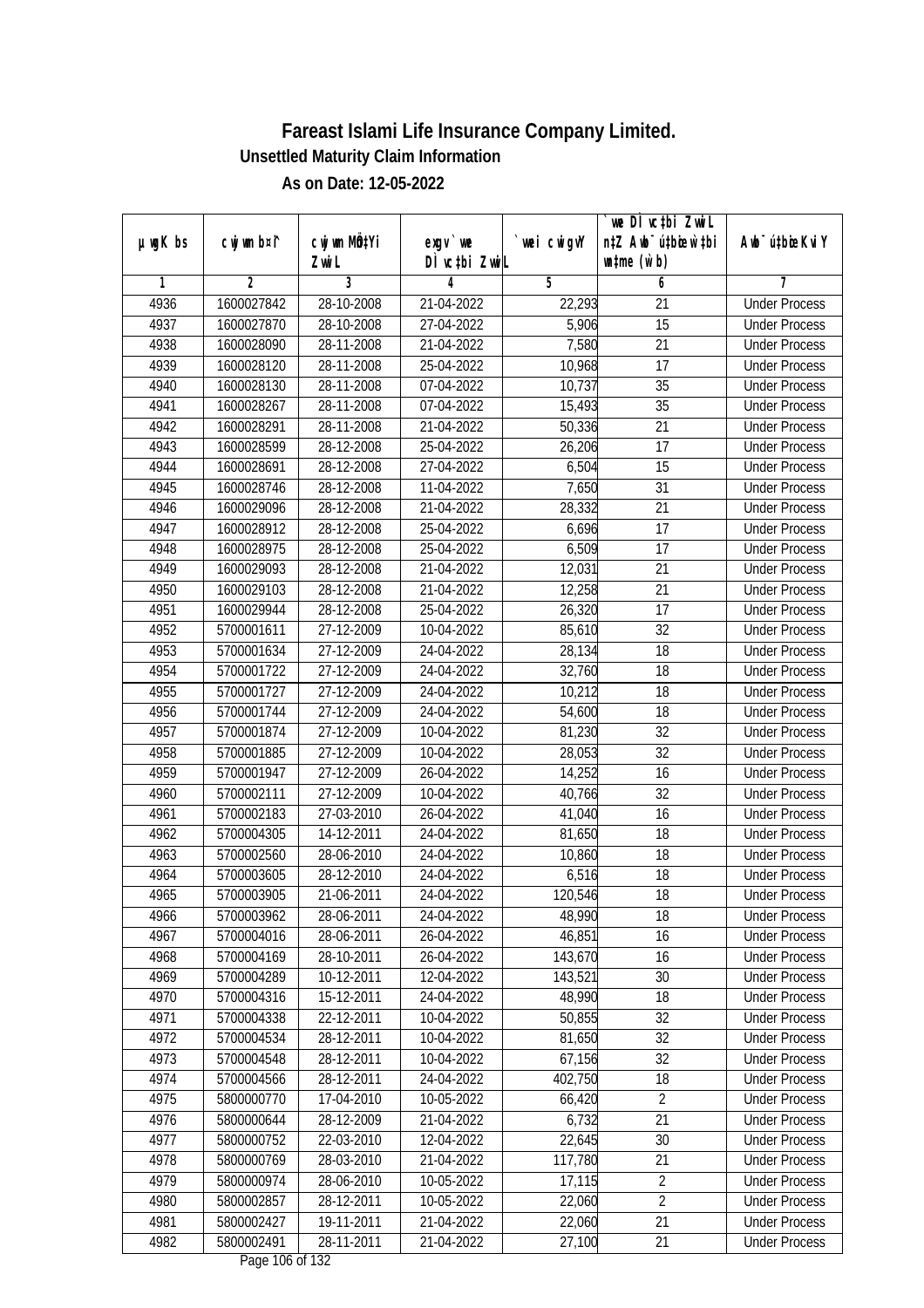| DÌ vctbi ZwiL<br>$\n  untime\n  (u`b)\n$<br>Zwi L<br>3<br>1<br>2<br>5<br>6<br>4<br>7<br>1600027842<br>28-10-2008<br><b>Under Process</b><br>4936<br>21-04-2022<br>22,293<br>21<br>5,906<br>4937<br>28-10-2008<br>27-04-2022<br>15<br>1600027870<br><b>Under Process</b><br>7,580<br>4938<br>1600028090<br>28-11-2008<br>21-04-2022<br>21<br><b>Under Process</b><br>4939<br>1600028120<br>28-11-2008<br>25-04-2022<br>10,968<br>17<br><b>Under Process</b><br>$\overline{35}$<br>4940<br>1600028130<br>28-11-2008<br>07-04-2022<br>10,737<br><b>Under Process</b><br>4941<br>28-11-2008<br>15,493<br>$\overline{35}$<br>1600028267<br>07-04-2022<br><b>Under Process</b><br>4942<br>1600028291<br>28-11-2008<br>21-04-2022<br>50,336<br>21<br><b>Under Process</b><br>$\overline{17}$<br>4943<br>1600028599<br>28-12-2008<br>25-04-2022<br>26,206<br><b>Under Process</b><br>4944<br>1600028691<br>28-12-2008<br>27-04-2022<br>6,504<br>15<br><b>Under Process</b><br>7,650<br>31<br>4945<br>1600028746<br>28-12-2008<br>11-04-2022<br><b>Under Process</b><br>28,332<br>$\overline{21}$<br>4946<br>1600029096<br>28-12-2008<br>21-04-2022<br><b>Under Process</b><br>17<br>4947<br>1600028912<br>28-12-2008<br>25-04-2022<br>6,696<br><b>Under Process</b><br>4948<br>28-12-2008<br>25-04-2022<br>6,509<br>17<br>1600028975<br><b>Under Process</b><br>4949<br>28-12-2008<br>21-04-2022<br>12,031<br>21<br>1600029093<br><b>Under Process</b><br>4950<br>21<br>1600029103<br>28-12-2008<br>21-04-2022<br>12,258<br><b>Under Process</b><br>4951<br>17<br>1600029944<br>28-12-2008<br>25-04-2022<br>26,320<br><b>Under Process</b><br>32<br>4952<br>5700001611<br>27-12-2009<br>85,610<br>10-04-2022<br><b>Under Process</b><br>18<br>4953<br>28,134<br>5700001634<br>27-12-2009<br>24-04-2022<br><b>Under Process</b><br>4954<br>27-12-2009<br>5700001722<br>24-04-2022<br>32,760<br>18<br><b>Under Process</b><br>4955<br>5700001727<br>27-12-2009<br>24-04-2022<br>10,212<br>18<br><b>Under Process</b><br>4956<br>27-12-2009<br>5700001744<br>24-04-2022<br>54,600<br>18<br><b>Under Process</b><br>81,230<br>32<br>4957<br>27-12-2009<br>5700001874<br>10-04-2022<br><b>Under Process</b><br>32<br>4958<br>5700001885<br>27-12-2009<br>10-04-2022<br>28,053<br><b>Under Process</b><br>4959<br>14,252<br>16<br>5700001947<br>27-12-2009<br>26-04-2022<br><b>Under Process</b><br>4960<br>27-12-2009<br>10-04-2022<br>32<br>5700002111<br>40,766<br><b>Under Process</b><br>4961<br>5700002183<br>27-03-2010<br>26-04-2022<br>16<br>41,040<br><b>Under Process</b><br>4962<br>5700004305<br>14-12-2011<br>24-04-2022<br>18<br>81,650<br><b>Under Process</b><br>4963<br>5700002560<br>28-06-2010<br>10,860<br>18<br>24-04-2022<br><b>Under Process</b><br>4964<br>5700003605<br>28-12-2010<br>24-04-2022<br>6,516<br>18<br><b>Under Process</b><br>4965<br>21-06-2011<br>24-04-2022<br>120,546<br>18<br>5700003905<br><b>Under Process</b><br>4966<br>5700003962<br>28-06-2011<br>24-04-2022<br>48,990<br>18<br><b>Under Process</b><br>4967<br>5700004016<br>28-06-2011<br>26-04-2022<br>46,851<br>16<br><b>Under Process</b><br>4968<br>5700004169<br>28-10-2011<br>143,670<br>16<br>26-04-2022<br><b>Under Process</b><br>4969<br>143,521<br>30<br>5700004289<br>10-12-2011<br>12-04-2022<br><b>Under Process</b><br>4970<br>5700004316<br>48,990<br>15-12-2011<br>24-04-2022<br>18<br><b>Under Process</b><br>4971<br>5700004338<br>22-12-2011<br>10-04-2022<br>50,855<br>32<br><b>Under Process</b><br>4972<br>28-12-2011<br>32<br>5700004534<br>10-04-2022<br>81,650<br><b>Under Process</b><br>$\overline{32}$<br>4973<br>5700004548<br>67,156<br>28-12-2011<br>10-04-2022<br><b>Under Process</b><br>402,750<br>4974<br>5700004566<br>28-12-2011<br>24-04-2022<br>18<br><b>Under Process</b><br>4975<br>5800000770<br>$\overline{2}$<br>17-04-2010<br>10-05-2022<br>66,420<br><b>Under Process</b><br>4976<br>21<br>5800000644<br>28-12-2009<br>21-04-2022<br>6,732<br><b>Under Process</b><br>4977<br>5800000752<br>22-03-2010<br>12-04-2022<br>22,645<br>30<br><b>Under Process</b><br>$\overline{21}$<br>4978<br>5800000769<br>28-03-2010<br>21-04-2022<br>117,780<br><b>Under Process</b><br>$\overline{2}$<br>4979<br>17,115<br>5800000974<br>28-06-2010<br>10-05-2022<br><b>Under Process</b><br>$\overline{2}$<br>4980<br>5800002857<br>28-12-2011<br>10-05-2022<br>22,060<br><b>Under Process</b><br>4981<br>5800002427<br>19-11-2011<br>21-04-2022<br>22,060<br>21<br><b>Under Process</b><br>4982<br>27,100<br>5800002491<br>28-11-2011<br>21-04-2022<br>21<br><b>Under Process</b><br>$D_{0.92}$ 104 of 122 | $µ$ ug $K$ bs | cwj wm b¤i^ | cwj wm MQtYi | exgv `we | wei cwigvY | `we DÌ vc‡bi ZwiL<br>n‡Z Awb <sup>-</sup> ú‡bioen`‡bi | Awb <sup>-</sup> ú‡bioeKviY |
|------------------------------------------------------------------------------------------------------------------------------------------------------------------------------------------------------------------------------------------------------------------------------------------------------------------------------------------------------------------------------------------------------------------------------------------------------------------------------------------------------------------------------------------------------------------------------------------------------------------------------------------------------------------------------------------------------------------------------------------------------------------------------------------------------------------------------------------------------------------------------------------------------------------------------------------------------------------------------------------------------------------------------------------------------------------------------------------------------------------------------------------------------------------------------------------------------------------------------------------------------------------------------------------------------------------------------------------------------------------------------------------------------------------------------------------------------------------------------------------------------------------------------------------------------------------------------------------------------------------------------------------------------------------------------------------------------------------------------------------------------------------------------------------------------------------------------------------------------------------------------------------------------------------------------------------------------------------------------------------------------------------------------------------------------------------------------------------------------------------------------------------------------------------------------------------------------------------------------------------------------------------------------------------------------------------------------------------------------------------------------------------------------------------------------------------------------------------------------------------------------------------------------------------------------------------------------------------------------------------------------------------------------------------------------------------------------------------------------------------------------------------------------------------------------------------------------------------------------------------------------------------------------------------------------------------------------------------------------------------------------------------------------------------------------------------------------------------------------------------------------------------------------------------------------------------------------------------------------------------------------------------------------------------------------------------------------------------------------------------------------------------------------------------------------------------------------------------------------------------------------------------------------------------------------------------------------------------------------------------------------------------------------------------------------------------------------------------------------------------------------------------------------------------------------------------------------------------------------------------------------------------------------------------------------------------------------------------------------------------------------------------------------------------------------------------------------------------------------------------------------------------------------------------------------------------------------------------------------------------------------------------------------------------------------------------------------------------------------------------------------------------------------------------------------------------------------------------------------------------------------------------------------------------------------------------------------------------------------------------------------------|---------------|-------------|--------------|----------|------------|-------------------------------------------------------|-----------------------------|
|                                                                                                                                                                                                                                                                                                                                                                                                                                                                                                                                                                                                                                                                                                                                                                                                                                                                                                                                                                                                                                                                                                                                                                                                                                                                                                                                                                                                                                                                                                                                                                                                                                                                                                                                                                                                                                                                                                                                                                                                                                                                                                                                                                                                                                                                                                                                                                                                                                                                                                                                                                                                                                                                                                                                                                                                                                                                                                                                                                                                                                                                                                                                                                                                                                                                                                                                                                                                                                                                                                                                                                                                                                                                                                                                                                                                                                                                                                                                                                                                                                                                                                                                                                                                                                                                                                                                                                                                                                                                                                                                                                                                                                    |               |             |              |          |            |                                                       |                             |
|                                                                                                                                                                                                                                                                                                                                                                                                                                                                                                                                                                                                                                                                                                                                                                                                                                                                                                                                                                                                                                                                                                                                                                                                                                                                                                                                                                                                                                                                                                                                                                                                                                                                                                                                                                                                                                                                                                                                                                                                                                                                                                                                                                                                                                                                                                                                                                                                                                                                                                                                                                                                                                                                                                                                                                                                                                                                                                                                                                                                                                                                                                                                                                                                                                                                                                                                                                                                                                                                                                                                                                                                                                                                                                                                                                                                                                                                                                                                                                                                                                                                                                                                                                                                                                                                                                                                                                                                                                                                                                                                                                                                                                    |               |             |              |          |            |                                                       |                             |
|                                                                                                                                                                                                                                                                                                                                                                                                                                                                                                                                                                                                                                                                                                                                                                                                                                                                                                                                                                                                                                                                                                                                                                                                                                                                                                                                                                                                                                                                                                                                                                                                                                                                                                                                                                                                                                                                                                                                                                                                                                                                                                                                                                                                                                                                                                                                                                                                                                                                                                                                                                                                                                                                                                                                                                                                                                                                                                                                                                                                                                                                                                                                                                                                                                                                                                                                                                                                                                                                                                                                                                                                                                                                                                                                                                                                                                                                                                                                                                                                                                                                                                                                                                                                                                                                                                                                                                                                                                                                                                                                                                                                                                    |               |             |              |          |            |                                                       |                             |
|                                                                                                                                                                                                                                                                                                                                                                                                                                                                                                                                                                                                                                                                                                                                                                                                                                                                                                                                                                                                                                                                                                                                                                                                                                                                                                                                                                                                                                                                                                                                                                                                                                                                                                                                                                                                                                                                                                                                                                                                                                                                                                                                                                                                                                                                                                                                                                                                                                                                                                                                                                                                                                                                                                                                                                                                                                                                                                                                                                                                                                                                                                                                                                                                                                                                                                                                                                                                                                                                                                                                                                                                                                                                                                                                                                                                                                                                                                                                                                                                                                                                                                                                                                                                                                                                                                                                                                                                                                                                                                                                                                                                                                    |               |             |              |          |            |                                                       |                             |
|                                                                                                                                                                                                                                                                                                                                                                                                                                                                                                                                                                                                                                                                                                                                                                                                                                                                                                                                                                                                                                                                                                                                                                                                                                                                                                                                                                                                                                                                                                                                                                                                                                                                                                                                                                                                                                                                                                                                                                                                                                                                                                                                                                                                                                                                                                                                                                                                                                                                                                                                                                                                                                                                                                                                                                                                                                                                                                                                                                                                                                                                                                                                                                                                                                                                                                                                                                                                                                                                                                                                                                                                                                                                                                                                                                                                                                                                                                                                                                                                                                                                                                                                                                                                                                                                                                                                                                                                                                                                                                                                                                                                                                    |               |             |              |          |            |                                                       |                             |
|                                                                                                                                                                                                                                                                                                                                                                                                                                                                                                                                                                                                                                                                                                                                                                                                                                                                                                                                                                                                                                                                                                                                                                                                                                                                                                                                                                                                                                                                                                                                                                                                                                                                                                                                                                                                                                                                                                                                                                                                                                                                                                                                                                                                                                                                                                                                                                                                                                                                                                                                                                                                                                                                                                                                                                                                                                                                                                                                                                                                                                                                                                                                                                                                                                                                                                                                                                                                                                                                                                                                                                                                                                                                                                                                                                                                                                                                                                                                                                                                                                                                                                                                                                                                                                                                                                                                                                                                                                                                                                                                                                                                                                    |               |             |              |          |            |                                                       |                             |
|                                                                                                                                                                                                                                                                                                                                                                                                                                                                                                                                                                                                                                                                                                                                                                                                                                                                                                                                                                                                                                                                                                                                                                                                                                                                                                                                                                                                                                                                                                                                                                                                                                                                                                                                                                                                                                                                                                                                                                                                                                                                                                                                                                                                                                                                                                                                                                                                                                                                                                                                                                                                                                                                                                                                                                                                                                                                                                                                                                                                                                                                                                                                                                                                                                                                                                                                                                                                                                                                                                                                                                                                                                                                                                                                                                                                                                                                                                                                                                                                                                                                                                                                                                                                                                                                                                                                                                                                                                                                                                                                                                                                                                    |               |             |              |          |            |                                                       |                             |
|                                                                                                                                                                                                                                                                                                                                                                                                                                                                                                                                                                                                                                                                                                                                                                                                                                                                                                                                                                                                                                                                                                                                                                                                                                                                                                                                                                                                                                                                                                                                                                                                                                                                                                                                                                                                                                                                                                                                                                                                                                                                                                                                                                                                                                                                                                                                                                                                                                                                                                                                                                                                                                                                                                                                                                                                                                                                                                                                                                                                                                                                                                                                                                                                                                                                                                                                                                                                                                                                                                                                                                                                                                                                                                                                                                                                                                                                                                                                                                                                                                                                                                                                                                                                                                                                                                                                                                                                                                                                                                                                                                                                                                    |               |             |              |          |            |                                                       |                             |
|                                                                                                                                                                                                                                                                                                                                                                                                                                                                                                                                                                                                                                                                                                                                                                                                                                                                                                                                                                                                                                                                                                                                                                                                                                                                                                                                                                                                                                                                                                                                                                                                                                                                                                                                                                                                                                                                                                                                                                                                                                                                                                                                                                                                                                                                                                                                                                                                                                                                                                                                                                                                                                                                                                                                                                                                                                                                                                                                                                                                                                                                                                                                                                                                                                                                                                                                                                                                                                                                                                                                                                                                                                                                                                                                                                                                                                                                                                                                                                                                                                                                                                                                                                                                                                                                                                                                                                                                                                                                                                                                                                                                                                    |               |             |              |          |            |                                                       |                             |
|                                                                                                                                                                                                                                                                                                                                                                                                                                                                                                                                                                                                                                                                                                                                                                                                                                                                                                                                                                                                                                                                                                                                                                                                                                                                                                                                                                                                                                                                                                                                                                                                                                                                                                                                                                                                                                                                                                                                                                                                                                                                                                                                                                                                                                                                                                                                                                                                                                                                                                                                                                                                                                                                                                                                                                                                                                                                                                                                                                                                                                                                                                                                                                                                                                                                                                                                                                                                                                                                                                                                                                                                                                                                                                                                                                                                                                                                                                                                                                                                                                                                                                                                                                                                                                                                                                                                                                                                                                                                                                                                                                                                                                    |               |             |              |          |            |                                                       |                             |
|                                                                                                                                                                                                                                                                                                                                                                                                                                                                                                                                                                                                                                                                                                                                                                                                                                                                                                                                                                                                                                                                                                                                                                                                                                                                                                                                                                                                                                                                                                                                                                                                                                                                                                                                                                                                                                                                                                                                                                                                                                                                                                                                                                                                                                                                                                                                                                                                                                                                                                                                                                                                                                                                                                                                                                                                                                                                                                                                                                                                                                                                                                                                                                                                                                                                                                                                                                                                                                                                                                                                                                                                                                                                                                                                                                                                                                                                                                                                                                                                                                                                                                                                                                                                                                                                                                                                                                                                                                                                                                                                                                                                                                    |               |             |              |          |            |                                                       |                             |
|                                                                                                                                                                                                                                                                                                                                                                                                                                                                                                                                                                                                                                                                                                                                                                                                                                                                                                                                                                                                                                                                                                                                                                                                                                                                                                                                                                                                                                                                                                                                                                                                                                                                                                                                                                                                                                                                                                                                                                                                                                                                                                                                                                                                                                                                                                                                                                                                                                                                                                                                                                                                                                                                                                                                                                                                                                                                                                                                                                                                                                                                                                                                                                                                                                                                                                                                                                                                                                                                                                                                                                                                                                                                                                                                                                                                                                                                                                                                                                                                                                                                                                                                                                                                                                                                                                                                                                                                                                                                                                                                                                                                                                    |               |             |              |          |            |                                                       |                             |
|                                                                                                                                                                                                                                                                                                                                                                                                                                                                                                                                                                                                                                                                                                                                                                                                                                                                                                                                                                                                                                                                                                                                                                                                                                                                                                                                                                                                                                                                                                                                                                                                                                                                                                                                                                                                                                                                                                                                                                                                                                                                                                                                                                                                                                                                                                                                                                                                                                                                                                                                                                                                                                                                                                                                                                                                                                                                                                                                                                                                                                                                                                                                                                                                                                                                                                                                                                                                                                                                                                                                                                                                                                                                                                                                                                                                                                                                                                                                                                                                                                                                                                                                                                                                                                                                                                                                                                                                                                                                                                                                                                                                                                    |               |             |              |          |            |                                                       |                             |
|                                                                                                                                                                                                                                                                                                                                                                                                                                                                                                                                                                                                                                                                                                                                                                                                                                                                                                                                                                                                                                                                                                                                                                                                                                                                                                                                                                                                                                                                                                                                                                                                                                                                                                                                                                                                                                                                                                                                                                                                                                                                                                                                                                                                                                                                                                                                                                                                                                                                                                                                                                                                                                                                                                                                                                                                                                                                                                                                                                                                                                                                                                                                                                                                                                                                                                                                                                                                                                                                                                                                                                                                                                                                                                                                                                                                                                                                                                                                                                                                                                                                                                                                                                                                                                                                                                                                                                                                                                                                                                                                                                                                                                    |               |             |              |          |            |                                                       |                             |
|                                                                                                                                                                                                                                                                                                                                                                                                                                                                                                                                                                                                                                                                                                                                                                                                                                                                                                                                                                                                                                                                                                                                                                                                                                                                                                                                                                                                                                                                                                                                                                                                                                                                                                                                                                                                                                                                                                                                                                                                                                                                                                                                                                                                                                                                                                                                                                                                                                                                                                                                                                                                                                                                                                                                                                                                                                                                                                                                                                                                                                                                                                                                                                                                                                                                                                                                                                                                                                                                                                                                                                                                                                                                                                                                                                                                                                                                                                                                                                                                                                                                                                                                                                                                                                                                                                                                                                                                                                                                                                                                                                                                                                    |               |             |              |          |            |                                                       |                             |
|                                                                                                                                                                                                                                                                                                                                                                                                                                                                                                                                                                                                                                                                                                                                                                                                                                                                                                                                                                                                                                                                                                                                                                                                                                                                                                                                                                                                                                                                                                                                                                                                                                                                                                                                                                                                                                                                                                                                                                                                                                                                                                                                                                                                                                                                                                                                                                                                                                                                                                                                                                                                                                                                                                                                                                                                                                                                                                                                                                                                                                                                                                                                                                                                                                                                                                                                                                                                                                                                                                                                                                                                                                                                                                                                                                                                                                                                                                                                                                                                                                                                                                                                                                                                                                                                                                                                                                                                                                                                                                                                                                                                                                    |               |             |              |          |            |                                                       |                             |
|                                                                                                                                                                                                                                                                                                                                                                                                                                                                                                                                                                                                                                                                                                                                                                                                                                                                                                                                                                                                                                                                                                                                                                                                                                                                                                                                                                                                                                                                                                                                                                                                                                                                                                                                                                                                                                                                                                                                                                                                                                                                                                                                                                                                                                                                                                                                                                                                                                                                                                                                                                                                                                                                                                                                                                                                                                                                                                                                                                                                                                                                                                                                                                                                                                                                                                                                                                                                                                                                                                                                                                                                                                                                                                                                                                                                                                                                                                                                                                                                                                                                                                                                                                                                                                                                                                                                                                                                                                                                                                                                                                                                                                    |               |             |              |          |            |                                                       |                             |
|                                                                                                                                                                                                                                                                                                                                                                                                                                                                                                                                                                                                                                                                                                                                                                                                                                                                                                                                                                                                                                                                                                                                                                                                                                                                                                                                                                                                                                                                                                                                                                                                                                                                                                                                                                                                                                                                                                                                                                                                                                                                                                                                                                                                                                                                                                                                                                                                                                                                                                                                                                                                                                                                                                                                                                                                                                                                                                                                                                                                                                                                                                                                                                                                                                                                                                                                                                                                                                                                                                                                                                                                                                                                                                                                                                                                                                                                                                                                                                                                                                                                                                                                                                                                                                                                                                                                                                                                                                                                                                                                                                                                                                    |               |             |              |          |            |                                                       |                             |
|                                                                                                                                                                                                                                                                                                                                                                                                                                                                                                                                                                                                                                                                                                                                                                                                                                                                                                                                                                                                                                                                                                                                                                                                                                                                                                                                                                                                                                                                                                                                                                                                                                                                                                                                                                                                                                                                                                                                                                                                                                                                                                                                                                                                                                                                                                                                                                                                                                                                                                                                                                                                                                                                                                                                                                                                                                                                                                                                                                                                                                                                                                                                                                                                                                                                                                                                                                                                                                                                                                                                                                                                                                                                                                                                                                                                                                                                                                                                                                                                                                                                                                                                                                                                                                                                                                                                                                                                                                                                                                                                                                                                                                    |               |             |              |          |            |                                                       |                             |
|                                                                                                                                                                                                                                                                                                                                                                                                                                                                                                                                                                                                                                                                                                                                                                                                                                                                                                                                                                                                                                                                                                                                                                                                                                                                                                                                                                                                                                                                                                                                                                                                                                                                                                                                                                                                                                                                                                                                                                                                                                                                                                                                                                                                                                                                                                                                                                                                                                                                                                                                                                                                                                                                                                                                                                                                                                                                                                                                                                                                                                                                                                                                                                                                                                                                                                                                                                                                                                                                                                                                                                                                                                                                                                                                                                                                                                                                                                                                                                                                                                                                                                                                                                                                                                                                                                                                                                                                                                                                                                                                                                                                                                    |               |             |              |          |            |                                                       |                             |
|                                                                                                                                                                                                                                                                                                                                                                                                                                                                                                                                                                                                                                                                                                                                                                                                                                                                                                                                                                                                                                                                                                                                                                                                                                                                                                                                                                                                                                                                                                                                                                                                                                                                                                                                                                                                                                                                                                                                                                                                                                                                                                                                                                                                                                                                                                                                                                                                                                                                                                                                                                                                                                                                                                                                                                                                                                                                                                                                                                                                                                                                                                                                                                                                                                                                                                                                                                                                                                                                                                                                                                                                                                                                                                                                                                                                                                                                                                                                                                                                                                                                                                                                                                                                                                                                                                                                                                                                                                                                                                                                                                                                                                    |               |             |              |          |            |                                                       |                             |
|                                                                                                                                                                                                                                                                                                                                                                                                                                                                                                                                                                                                                                                                                                                                                                                                                                                                                                                                                                                                                                                                                                                                                                                                                                                                                                                                                                                                                                                                                                                                                                                                                                                                                                                                                                                                                                                                                                                                                                                                                                                                                                                                                                                                                                                                                                                                                                                                                                                                                                                                                                                                                                                                                                                                                                                                                                                                                                                                                                                                                                                                                                                                                                                                                                                                                                                                                                                                                                                                                                                                                                                                                                                                                                                                                                                                                                                                                                                                                                                                                                                                                                                                                                                                                                                                                                                                                                                                                                                                                                                                                                                                                                    |               |             |              |          |            |                                                       |                             |
|                                                                                                                                                                                                                                                                                                                                                                                                                                                                                                                                                                                                                                                                                                                                                                                                                                                                                                                                                                                                                                                                                                                                                                                                                                                                                                                                                                                                                                                                                                                                                                                                                                                                                                                                                                                                                                                                                                                                                                                                                                                                                                                                                                                                                                                                                                                                                                                                                                                                                                                                                                                                                                                                                                                                                                                                                                                                                                                                                                                                                                                                                                                                                                                                                                                                                                                                                                                                                                                                                                                                                                                                                                                                                                                                                                                                                                                                                                                                                                                                                                                                                                                                                                                                                                                                                                                                                                                                                                                                                                                                                                                                                                    |               |             |              |          |            |                                                       |                             |
|                                                                                                                                                                                                                                                                                                                                                                                                                                                                                                                                                                                                                                                                                                                                                                                                                                                                                                                                                                                                                                                                                                                                                                                                                                                                                                                                                                                                                                                                                                                                                                                                                                                                                                                                                                                                                                                                                                                                                                                                                                                                                                                                                                                                                                                                                                                                                                                                                                                                                                                                                                                                                                                                                                                                                                                                                                                                                                                                                                                                                                                                                                                                                                                                                                                                                                                                                                                                                                                                                                                                                                                                                                                                                                                                                                                                                                                                                                                                                                                                                                                                                                                                                                                                                                                                                                                                                                                                                                                                                                                                                                                                                                    |               |             |              |          |            |                                                       |                             |
|                                                                                                                                                                                                                                                                                                                                                                                                                                                                                                                                                                                                                                                                                                                                                                                                                                                                                                                                                                                                                                                                                                                                                                                                                                                                                                                                                                                                                                                                                                                                                                                                                                                                                                                                                                                                                                                                                                                                                                                                                                                                                                                                                                                                                                                                                                                                                                                                                                                                                                                                                                                                                                                                                                                                                                                                                                                                                                                                                                                                                                                                                                                                                                                                                                                                                                                                                                                                                                                                                                                                                                                                                                                                                                                                                                                                                                                                                                                                                                                                                                                                                                                                                                                                                                                                                                                                                                                                                                                                                                                                                                                                                                    |               |             |              |          |            |                                                       |                             |
|                                                                                                                                                                                                                                                                                                                                                                                                                                                                                                                                                                                                                                                                                                                                                                                                                                                                                                                                                                                                                                                                                                                                                                                                                                                                                                                                                                                                                                                                                                                                                                                                                                                                                                                                                                                                                                                                                                                                                                                                                                                                                                                                                                                                                                                                                                                                                                                                                                                                                                                                                                                                                                                                                                                                                                                                                                                                                                                                                                                                                                                                                                                                                                                                                                                                                                                                                                                                                                                                                                                                                                                                                                                                                                                                                                                                                                                                                                                                                                                                                                                                                                                                                                                                                                                                                                                                                                                                                                                                                                                                                                                                                                    |               |             |              |          |            |                                                       |                             |
|                                                                                                                                                                                                                                                                                                                                                                                                                                                                                                                                                                                                                                                                                                                                                                                                                                                                                                                                                                                                                                                                                                                                                                                                                                                                                                                                                                                                                                                                                                                                                                                                                                                                                                                                                                                                                                                                                                                                                                                                                                                                                                                                                                                                                                                                                                                                                                                                                                                                                                                                                                                                                                                                                                                                                                                                                                                                                                                                                                                                                                                                                                                                                                                                                                                                                                                                                                                                                                                                                                                                                                                                                                                                                                                                                                                                                                                                                                                                                                                                                                                                                                                                                                                                                                                                                                                                                                                                                                                                                                                                                                                                                                    |               |             |              |          |            |                                                       |                             |
|                                                                                                                                                                                                                                                                                                                                                                                                                                                                                                                                                                                                                                                                                                                                                                                                                                                                                                                                                                                                                                                                                                                                                                                                                                                                                                                                                                                                                                                                                                                                                                                                                                                                                                                                                                                                                                                                                                                                                                                                                                                                                                                                                                                                                                                                                                                                                                                                                                                                                                                                                                                                                                                                                                                                                                                                                                                                                                                                                                                                                                                                                                                                                                                                                                                                                                                                                                                                                                                                                                                                                                                                                                                                                                                                                                                                                                                                                                                                                                                                                                                                                                                                                                                                                                                                                                                                                                                                                                                                                                                                                                                                                                    |               |             |              |          |            |                                                       |                             |
|                                                                                                                                                                                                                                                                                                                                                                                                                                                                                                                                                                                                                                                                                                                                                                                                                                                                                                                                                                                                                                                                                                                                                                                                                                                                                                                                                                                                                                                                                                                                                                                                                                                                                                                                                                                                                                                                                                                                                                                                                                                                                                                                                                                                                                                                                                                                                                                                                                                                                                                                                                                                                                                                                                                                                                                                                                                                                                                                                                                                                                                                                                                                                                                                                                                                                                                                                                                                                                                                                                                                                                                                                                                                                                                                                                                                                                                                                                                                                                                                                                                                                                                                                                                                                                                                                                                                                                                                                                                                                                                                                                                                                                    |               |             |              |          |            |                                                       |                             |
|                                                                                                                                                                                                                                                                                                                                                                                                                                                                                                                                                                                                                                                                                                                                                                                                                                                                                                                                                                                                                                                                                                                                                                                                                                                                                                                                                                                                                                                                                                                                                                                                                                                                                                                                                                                                                                                                                                                                                                                                                                                                                                                                                                                                                                                                                                                                                                                                                                                                                                                                                                                                                                                                                                                                                                                                                                                                                                                                                                                                                                                                                                                                                                                                                                                                                                                                                                                                                                                                                                                                                                                                                                                                                                                                                                                                                                                                                                                                                                                                                                                                                                                                                                                                                                                                                                                                                                                                                                                                                                                                                                                                                                    |               |             |              |          |            |                                                       |                             |
|                                                                                                                                                                                                                                                                                                                                                                                                                                                                                                                                                                                                                                                                                                                                                                                                                                                                                                                                                                                                                                                                                                                                                                                                                                                                                                                                                                                                                                                                                                                                                                                                                                                                                                                                                                                                                                                                                                                                                                                                                                                                                                                                                                                                                                                                                                                                                                                                                                                                                                                                                                                                                                                                                                                                                                                                                                                                                                                                                                                                                                                                                                                                                                                                                                                                                                                                                                                                                                                                                                                                                                                                                                                                                                                                                                                                                                                                                                                                                                                                                                                                                                                                                                                                                                                                                                                                                                                                                                                                                                                                                                                                                                    |               |             |              |          |            |                                                       |                             |
|                                                                                                                                                                                                                                                                                                                                                                                                                                                                                                                                                                                                                                                                                                                                                                                                                                                                                                                                                                                                                                                                                                                                                                                                                                                                                                                                                                                                                                                                                                                                                                                                                                                                                                                                                                                                                                                                                                                                                                                                                                                                                                                                                                                                                                                                                                                                                                                                                                                                                                                                                                                                                                                                                                                                                                                                                                                                                                                                                                                                                                                                                                                                                                                                                                                                                                                                                                                                                                                                                                                                                                                                                                                                                                                                                                                                                                                                                                                                                                                                                                                                                                                                                                                                                                                                                                                                                                                                                                                                                                                                                                                                                                    |               |             |              |          |            |                                                       |                             |
|                                                                                                                                                                                                                                                                                                                                                                                                                                                                                                                                                                                                                                                                                                                                                                                                                                                                                                                                                                                                                                                                                                                                                                                                                                                                                                                                                                                                                                                                                                                                                                                                                                                                                                                                                                                                                                                                                                                                                                                                                                                                                                                                                                                                                                                                                                                                                                                                                                                                                                                                                                                                                                                                                                                                                                                                                                                                                                                                                                                                                                                                                                                                                                                                                                                                                                                                                                                                                                                                                                                                                                                                                                                                                                                                                                                                                                                                                                                                                                                                                                                                                                                                                                                                                                                                                                                                                                                                                                                                                                                                                                                                                                    |               |             |              |          |            |                                                       |                             |
|                                                                                                                                                                                                                                                                                                                                                                                                                                                                                                                                                                                                                                                                                                                                                                                                                                                                                                                                                                                                                                                                                                                                                                                                                                                                                                                                                                                                                                                                                                                                                                                                                                                                                                                                                                                                                                                                                                                                                                                                                                                                                                                                                                                                                                                                                                                                                                                                                                                                                                                                                                                                                                                                                                                                                                                                                                                                                                                                                                                                                                                                                                                                                                                                                                                                                                                                                                                                                                                                                                                                                                                                                                                                                                                                                                                                                                                                                                                                                                                                                                                                                                                                                                                                                                                                                                                                                                                                                                                                                                                                                                                                                                    |               |             |              |          |            |                                                       |                             |
|                                                                                                                                                                                                                                                                                                                                                                                                                                                                                                                                                                                                                                                                                                                                                                                                                                                                                                                                                                                                                                                                                                                                                                                                                                                                                                                                                                                                                                                                                                                                                                                                                                                                                                                                                                                                                                                                                                                                                                                                                                                                                                                                                                                                                                                                                                                                                                                                                                                                                                                                                                                                                                                                                                                                                                                                                                                                                                                                                                                                                                                                                                                                                                                                                                                                                                                                                                                                                                                                                                                                                                                                                                                                                                                                                                                                                                                                                                                                                                                                                                                                                                                                                                                                                                                                                                                                                                                                                                                                                                                                                                                                                                    |               |             |              |          |            |                                                       |                             |
|                                                                                                                                                                                                                                                                                                                                                                                                                                                                                                                                                                                                                                                                                                                                                                                                                                                                                                                                                                                                                                                                                                                                                                                                                                                                                                                                                                                                                                                                                                                                                                                                                                                                                                                                                                                                                                                                                                                                                                                                                                                                                                                                                                                                                                                                                                                                                                                                                                                                                                                                                                                                                                                                                                                                                                                                                                                                                                                                                                                                                                                                                                                                                                                                                                                                                                                                                                                                                                                                                                                                                                                                                                                                                                                                                                                                                                                                                                                                                                                                                                                                                                                                                                                                                                                                                                                                                                                                                                                                                                                                                                                                                                    |               |             |              |          |            |                                                       |                             |
|                                                                                                                                                                                                                                                                                                                                                                                                                                                                                                                                                                                                                                                                                                                                                                                                                                                                                                                                                                                                                                                                                                                                                                                                                                                                                                                                                                                                                                                                                                                                                                                                                                                                                                                                                                                                                                                                                                                                                                                                                                                                                                                                                                                                                                                                                                                                                                                                                                                                                                                                                                                                                                                                                                                                                                                                                                                                                                                                                                                                                                                                                                                                                                                                                                                                                                                                                                                                                                                                                                                                                                                                                                                                                                                                                                                                                                                                                                                                                                                                                                                                                                                                                                                                                                                                                                                                                                                                                                                                                                                                                                                                                                    |               |             |              |          |            |                                                       |                             |
|                                                                                                                                                                                                                                                                                                                                                                                                                                                                                                                                                                                                                                                                                                                                                                                                                                                                                                                                                                                                                                                                                                                                                                                                                                                                                                                                                                                                                                                                                                                                                                                                                                                                                                                                                                                                                                                                                                                                                                                                                                                                                                                                                                                                                                                                                                                                                                                                                                                                                                                                                                                                                                                                                                                                                                                                                                                                                                                                                                                                                                                                                                                                                                                                                                                                                                                                                                                                                                                                                                                                                                                                                                                                                                                                                                                                                                                                                                                                                                                                                                                                                                                                                                                                                                                                                                                                                                                                                                                                                                                                                                                                                                    |               |             |              |          |            |                                                       |                             |
|                                                                                                                                                                                                                                                                                                                                                                                                                                                                                                                                                                                                                                                                                                                                                                                                                                                                                                                                                                                                                                                                                                                                                                                                                                                                                                                                                                                                                                                                                                                                                                                                                                                                                                                                                                                                                                                                                                                                                                                                                                                                                                                                                                                                                                                                                                                                                                                                                                                                                                                                                                                                                                                                                                                                                                                                                                                                                                                                                                                                                                                                                                                                                                                                                                                                                                                                                                                                                                                                                                                                                                                                                                                                                                                                                                                                                                                                                                                                                                                                                                                                                                                                                                                                                                                                                                                                                                                                                                                                                                                                                                                                                                    |               |             |              |          |            |                                                       |                             |
|                                                                                                                                                                                                                                                                                                                                                                                                                                                                                                                                                                                                                                                                                                                                                                                                                                                                                                                                                                                                                                                                                                                                                                                                                                                                                                                                                                                                                                                                                                                                                                                                                                                                                                                                                                                                                                                                                                                                                                                                                                                                                                                                                                                                                                                                                                                                                                                                                                                                                                                                                                                                                                                                                                                                                                                                                                                                                                                                                                                                                                                                                                                                                                                                                                                                                                                                                                                                                                                                                                                                                                                                                                                                                                                                                                                                                                                                                                                                                                                                                                                                                                                                                                                                                                                                                                                                                                                                                                                                                                                                                                                                                                    |               |             |              |          |            |                                                       |                             |
|                                                                                                                                                                                                                                                                                                                                                                                                                                                                                                                                                                                                                                                                                                                                                                                                                                                                                                                                                                                                                                                                                                                                                                                                                                                                                                                                                                                                                                                                                                                                                                                                                                                                                                                                                                                                                                                                                                                                                                                                                                                                                                                                                                                                                                                                                                                                                                                                                                                                                                                                                                                                                                                                                                                                                                                                                                                                                                                                                                                                                                                                                                                                                                                                                                                                                                                                                                                                                                                                                                                                                                                                                                                                                                                                                                                                                                                                                                                                                                                                                                                                                                                                                                                                                                                                                                                                                                                                                                                                                                                                                                                                                                    |               |             |              |          |            |                                                       |                             |
|                                                                                                                                                                                                                                                                                                                                                                                                                                                                                                                                                                                                                                                                                                                                                                                                                                                                                                                                                                                                                                                                                                                                                                                                                                                                                                                                                                                                                                                                                                                                                                                                                                                                                                                                                                                                                                                                                                                                                                                                                                                                                                                                                                                                                                                                                                                                                                                                                                                                                                                                                                                                                                                                                                                                                                                                                                                                                                                                                                                                                                                                                                                                                                                                                                                                                                                                                                                                                                                                                                                                                                                                                                                                                                                                                                                                                                                                                                                                                                                                                                                                                                                                                                                                                                                                                                                                                                                                                                                                                                                                                                                                                                    |               |             |              |          |            |                                                       |                             |
|                                                                                                                                                                                                                                                                                                                                                                                                                                                                                                                                                                                                                                                                                                                                                                                                                                                                                                                                                                                                                                                                                                                                                                                                                                                                                                                                                                                                                                                                                                                                                                                                                                                                                                                                                                                                                                                                                                                                                                                                                                                                                                                                                                                                                                                                                                                                                                                                                                                                                                                                                                                                                                                                                                                                                                                                                                                                                                                                                                                                                                                                                                                                                                                                                                                                                                                                                                                                                                                                                                                                                                                                                                                                                                                                                                                                                                                                                                                                                                                                                                                                                                                                                                                                                                                                                                                                                                                                                                                                                                                                                                                                                                    |               |             |              |          |            |                                                       |                             |
|                                                                                                                                                                                                                                                                                                                                                                                                                                                                                                                                                                                                                                                                                                                                                                                                                                                                                                                                                                                                                                                                                                                                                                                                                                                                                                                                                                                                                                                                                                                                                                                                                                                                                                                                                                                                                                                                                                                                                                                                                                                                                                                                                                                                                                                                                                                                                                                                                                                                                                                                                                                                                                                                                                                                                                                                                                                                                                                                                                                                                                                                                                                                                                                                                                                                                                                                                                                                                                                                                                                                                                                                                                                                                                                                                                                                                                                                                                                                                                                                                                                                                                                                                                                                                                                                                                                                                                                                                                                                                                                                                                                                                                    |               |             |              |          |            |                                                       |                             |
|                                                                                                                                                                                                                                                                                                                                                                                                                                                                                                                                                                                                                                                                                                                                                                                                                                                                                                                                                                                                                                                                                                                                                                                                                                                                                                                                                                                                                                                                                                                                                                                                                                                                                                                                                                                                                                                                                                                                                                                                                                                                                                                                                                                                                                                                                                                                                                                                                                                                                                                                                                                                                                                                                                                                                                                                                                                                                                                                                                                                                                                                                                                                                                                                                                                                                                                                                                                                                                                                                                                                                                                                                                                                                                                                                                                                                                                                                                                                                                                                                                                                                                                                                                                                                                                                                                                                                                                                                                                                                                                                                                                                                                    |               |             |              |          |            |                                                       |                             |
|                                                                                                                                                                                                                                                                                                                                                                                                                                                                                                                                                                                                                                                                                                                                                                                                                                                                                                                                                                                                                                                                                                                                                                                                                                                                                                                                                                                                                                                                                                                                                                                                                                                                                                                                                                                                                                                                                                                                                                                                                                                                                                                                                                                                                                                                                                                                                                                                                                                                                                                                                                                                                                                                                                                                                                                                                                                                                                                                                                                                                                                                                                                                                                                                                                                                                                                                                                                                                                                                                                                                                                                                                                                                                                                                                                                                                                                                                                                                                                                                                                                                                                                                                                                                                                                                                                                                                                                                                                                                                                                                                                                                                                    |               |             |              |          |            |                                                       |                             |
|                                                                                                                                                                                                                                                                                                                                                                                                                                                                                                                                                                                                                                                                                                                                                                                                                                                                                                                                                                                                                                                                                                                                                                                                                                                                                                                                                                                                                                                                                                                                                                                                                                                                                                                                                                                                                                                                                                                                                                                                                                                                                                                                                                                                                                                                                                                                                                                                                                                                                                                                                                                                                                                                                                                                                                                                                                                                                                                                                                                                                                                                                                                                                                                                                                                                                                                                                                                                                                                                                                                                                                                                                                                                                                                                                                                                                                                                                                                                                                                                                                                                                                                                                                                                                                                                                                                                                                                                                                                                                                                                                                                                                                    |               |             |              |          |            |                                                       |                             |
|                                                                                                                                                                                                                                                                                                                                                                                                                                                                                                                                                                                                                                                                                                                                                                                                                                                                                                                                                                                                                                                                                                                                                                                                                                                                                                                                                                                                                                                                                                                                                                                                                                                                                                                                                                                                                                                                                                                                                                                                                                                                                                                                                                                                                                                                                                                                                                                                                                                                                                                                                                                                                                                                                                                                                                                                                                                                                                                                                                                                                                                                                                                                                                                                                                                                                                                                                                                                                                                                                                                                                                                                                                                                                                                                                                                                                                                                                                                                                                                                                                                                                                                                                                                                                                                                                                                                                                                                                                                                                                                                                                                                                                    |               |             |              |          |            |                                                       |                             |
|                                                                                                                                                                                                                                                                                                                                                                                                                                                                                                                                                                                                                                                                                                                                                                                                                                                                                                                                                                                                                                                                                                                                                                                                                                                                                                                                                                                                                                                                                                                                                                                                                                                                                                                                                                                                                                                                                                                                                                                                                                                                                                                                                                                                                                                                                                                                                                                                                                                                                                                                                                                                                                                                                                                                                                                                                                                                                                                                                                                                                                                                                                                                                                                                                                                                                                                                                                                                                                                                                                                                                                                                                                                                                                                                                                                                                                                                                                                                                                                                                                                                                                                                                                                                                                                                                                                                                                                                                                                                                                                                                                                                                                    |               |             |              |          |            |                                                       |                             |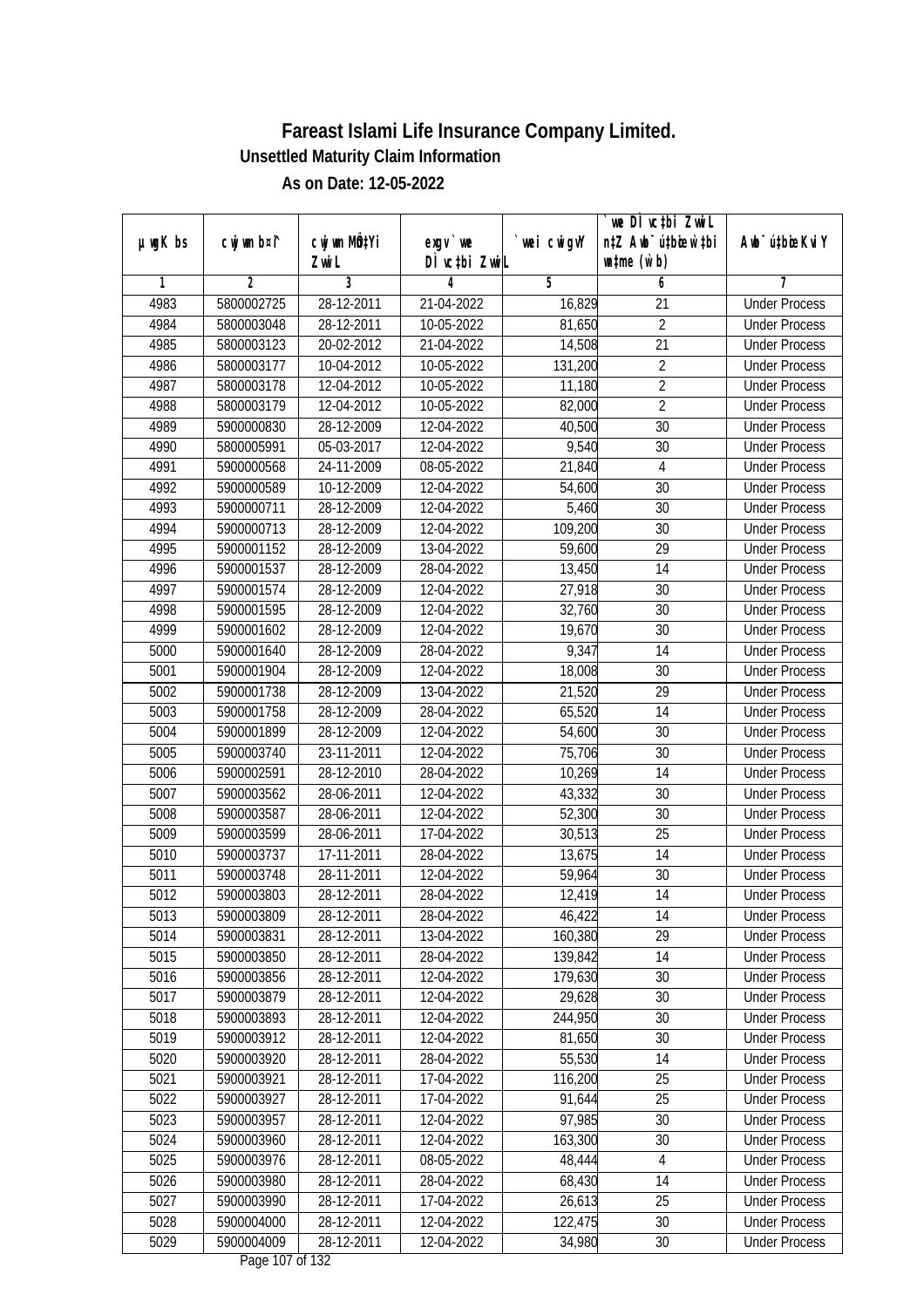|               |                |                       |                           |            | we DI vctbi ZwiL                                            |                             |
|---------------|----------------|-----------------------|---------------------------|------------|-------------------------------------------------------------|-----------------------------|
| $µ$ ug $K$ bs | cwj wm b¤i^    | cwj wm MQtYi<br>Zwi L | exgv `we<br>DÌ vctbi ZwiL | wei cwigvY | n‡Z Awb <sup>-</sup> ú‡bicen`‡bi<br>$\n  untime\n  (u`b)\n$ | Awb <sup>-</sup> ú‡bioeKviY |
| 1             | $\overline{2}$ | 3                     | 4                         | 5          | 6                                                           | 7                           |
| 4983          | 5800002725     | 28-12-2011            | 21-04-2022                | 16,829     | $\overline{21}$                                             | <b>Under Process</b>        |
| 4984          | 5800003048     | 28-12-2011            | 10-05-2022                | 81,650     | $\overline{2}$                                              | <b>Under Process</b>        |
| 4985          | 5800003123     | 20-02-2012            | 21-04-2022                | 14,508     | $\overline{21}$                                             | <b>Under Process</b>        |
| 4986          | 5800003177     | 10-04-2012            | 10-05-2022                | 131,200    | $\overline{2}$                                              | <b>Under Process</b>        |
| 4987          | 5800003178     | 12-04-2012            | 10-05-2022                | 11,180     | $\overline{2}$                                              | <b>Under Process</b>        |
| 4988          | 5800003179     | 12-04-2012            | 10-05-2022                | 82,000     | $\overline{2}$                                              | <b>Under Process</b>        |
| 4989          | 5900000830     | 28-12-2009            | 12-04-2022                | 40,500     | $\overline{30}$                                             | <b>Under Process</b>        |
| 4990          | 5800005991     | 05-03-2017            | 12-04-2022                | 9,540      | 30                                                          | <b>Under Process</b>        |
| 4991          | 5900000568     | 24-11-2009            | 08-05-2022                | 21,840     | $\overline{4}$                                              | <b>Under Process</b>        |
| 4992          | 5900000589     | 10-12-2009            | 12-04-2022                | 54,600     | 30                                                          | <b>Under Process</b>        |
| 4993          | 5900000711     | 28-12-2009            | 12-04-2022                | 5,460      | $\overline{30}$                                             | <b>Under Process</b>        |
| 4994          | 5900000713     | 28-12-2009            | 12-04-2022                | 109,200    | 30                                                          | <b>Under Process</b>        |
| 4995          | 5900001152     | 28-12-2009            | 13-04-2022                | 59,600     | $\overline{29}$                                             | <b>Under Process</b>        |
| 4996          | 5900001537     | 28-12-2009            | 28-04-2022                | 13,450     | 14                                                          | <b>Under Process</b>        |
| 4997          | 5900001574     | 28-12-2009            | 12-04-2022                | 27,918     | 30                                                          | <b>Under Process</b>        |
| 4998          | 5900001595     | 28-12-2009            | 12-04-2022                | 32,760     | 30                                                          | <b>Under Process</b>        |
| 4999          | 5900001602     | 28-12-2009            | 12-04-2022                | 19,670     | 30                                                          | <b>Under Process</b>        |
| 5000          | 5900001640     | 28-12-2009            | 28-04-2022                | 9,347      | 14                                                          | <b>Under Process</b>        |
| 5001          | 5900001904     | 28-12-2009            | 12-04-2022                | 18,008     | 30                                                          | <b>Under Process</b>        |
| 5002          | 5900001738     | 28-12-2009            | 13-04-2022                | 21,520     | 29                                                          | <b>Under Process</b>        |
| 5003          | 5900001758     | 28-12-2009            | 28-04-2022                | 65,520     | 14                                                          | <b>Under Process</b>        |
| 5004          | 5900001899     | 28-12-2009            | 12-04-2022                | 54,600     | 30                                                          | <b>Under Process</b>        |
| 5005          | 5900003740     | 23-11-2011            | 12-04-2022                | 75,706     | 30                                                          | <b>Under Process</b>        |
| 5006          | 5900002591     | 28-12-2010            | 28-04-2022                | 10,269     | 14                                                          | <b>Under Process</b>        |
| 5007          | 5900003562     | 28-06-2011            | 12-04-2022                | 43,332     | 30                                                          | <b>Under Process</b>        |
| 5008          | 5900003587     | 28-06-2011            | 12-04-2022                | 52,300     | 30                                                          | <b>Under Process</b>        |
| 5009          | 5900003599     | 28-06-2011            | 17-04-2022                | 30,513     | 25                                                          | <b>Under Process</b>        |
| 5010          | 5900003737     | 17-11-2011            | 28-04-2022                | 13,675     | 14                                                          | <b>Under Process</b>        |
| 5011          | 5900003748     | 28-11-2011            | 12-04-2022                | 59,964     | 30                                                          | <b>Under Process</b>        |
| 5012          | 5900003803     | 28-12-2011            | 28-04-2022                | 12,419     | 14                                                          | <b>Under Process</b>        |
| 5013          | 5900003809     | 28-12-2011            | 28-04-2022                | 46,422     | 14                                                          | <b>Under Process</b>        |
| 5014          | 5900003831     | 28-12-2011            | 13-04-2022                | 160,380    | 29                                                          | <b>Under Process</b>        |
| 5015          | 5900003850     | 28-12-2011            | 28-04-2022                | 139,842    | 14                                                          | <b>Under Process</b>        |
| 5016          | 5900003856     | 28-12-2011            | 12-04-2022                | 179,630    | 30                                                          | <b>Under Process</b>        |
| 5017          | 5900003879     | 28-12-2011            | 12-04-2022                | 29,628     | 30                                                          | <b>Under Process</b>        |
| 5018          | 5900003893     | 28-12-2011            | 12-04-2022                | 244,950    | 30                                                          | <b>Under Process</b>        |
| 5019          | 5900003912     | 28-12-2011            | 12-04-2022                | 81,650     | 30                                                          | <b>Under Process</b>        |
| 5020          | 5900003920     | 28-12-2011            | 28-04-2022                | 55,530     | 14                                                          | <b>Under Process</b>        |
| 5021          | 5900003921     | 28-12-2011            | 17-04-2022                | 116,200    | 25                                                          | <b>Under Process</b>        |
| 5022          | 5900003927     | 28-12-2011            | 17-04-2022                | 91,644     | 25                                                          | <b>Under Process</b>        |
| 5023          | 5900003957     | 28-12-2011            | 12-04-2022                | 97,985     | 30                                                          | <b>Under Process</b>        |
| 5024          | 5900003960     | 28-12-2011            | 12-04-2022                | 163,300    | 30                                                          | <b>Under Process</b>        |
| 5025          | 5900003976     | 28-12-2011            | 08-05-2022                | 48,444     | 4                                                           | <b>Under Process</b>        |
| 5026          | 5900003980     | 28-12-2011            | 28-04-2022                | 68,430     | 14                                                          | <b>Under Process</b>        |
| 5027          | 5900003990     | 28-12-2011            | 17-04-2022                | 26,613     | 25                                                          | <b>Under Process</b>        |
| 5028          | 5900004000     | 28-12-2011            | 12-04-2022                | 122,475    | 30                                                          | <b>Under Process</b>        |
| 5029          | 5900004009     | 28-12-2011            | 12-04-2022                | 34,980     | 30                                                          | <b>Under Process</b>        |
|               |                |                       | $D_{0.82}$ 107 of 122     |            |                                                             |                             |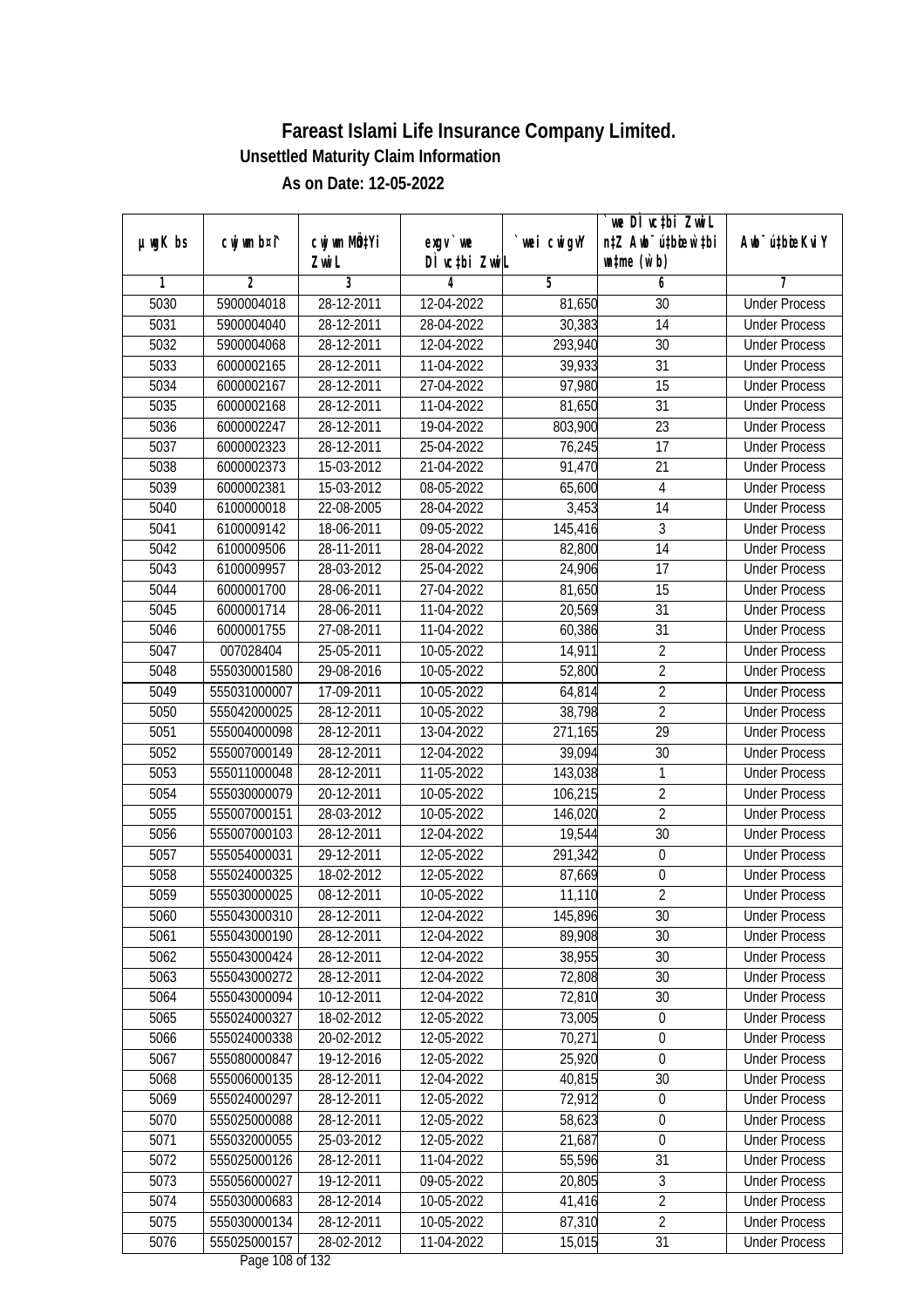|               |                |              |                                     |             | `we DÌ vc‡bi ZwwiL               |                             |
|---------------|----------------|--------------|-------------------------------------|-------------|----------------------------------|-----------------------------|
| $µ$ ug $K$ bs | cwj wm b¤i^    | cwj wm MQtYi | exgy `we                            | `wei cwigvY | n‡Z Awb <sup>-</sup> ú‡bioen`‡bi | Awb <sup>-</sup> ú‡bioeKviY |
|               |                | Zwi L        | DÌ vctbi ZwiL                       |             | $\n  untime\n  (u`b)\n$          |                             |
| 1             | $\overline{2}$ | 3            | 4                                   | 5           | 6                                | 7                           |
| 5030          | 5900004018     | 28-12-2011   | 12-04-2022                          | 81,650      | 30                               | <b>Under Process</b>        |
| 5031          | 5900004040     | 28-12-2011   | 28-04-2022                          | 30,383      | $\overline{14}$                  | <b>Under Process</b>        |
| 5032          | 5900004068     | 28-12-2011   | 12-04-2022                          | 293,940     | 30                               | <b>Under Process</b>        |
| 5033          | 6000002165     | 28-12-2011   | 11-04-2022                          | 39,933      | 31                               | <b>Under Process</b>        |
| 5034          | 6000002167     | 28-12-2011   | 27-04-2022                          | 97,980      | $\overline{15}$                  | <b>Under Process</b>        |
| 5035          | 6000002168     | 28-12-2011   | 11-04-2022                          | 81,650      | $\overline{31}$                  | <b>Under Process</b>        |
| 5036          | 6000002247     | 28-12-2011   | 19-04-2022                          | 803,900     | $\overline{23}$                  | <b>Under Process</b>        |
| 5037          | 6000002323     | 28-12-2011   | 25-04-2022                          | 76,245      | $\overline{17}$                  | <b>Under Process</b>        |
| 5038          | 6000002373     | 15-03-2012   | 21-04-2022                          | 91,470      | 21                               | <b>Under Process</b>        |
| 5039          | 6000002381     | 15-03-2012   | 08-05-2022                          | 65,600      | $\overline{4}$                   | <b>Under Process</b>        |
| 5040          | 6100000018     | 22-08-2005   | 28-04-2022                          | 3,453       | 14                               | <b>Under Process</b>        |
| 5041          | 6100009142     | 18-06-2011   | 09-05-2022                          | 145,416     | 3                                | <b>Under Process</b>        |
| 5042          | 6100009506     | 28-11-2011   | 28-04-2022                          | 82,800      | $\overline{14}$                  | <b>Under Process</b>        |
| 5043          | 6100009957     | 28-03-2012   | 25-04-2022                          | 24,906      | 17                               | <b>Under Process</b>        |
| 5044          | 6000001700     | 28-06-2011   | 27-04-2022                          | 81,650      | 15                               | <b>Under Process</b>        |
| 5045          | 6000001714     | 28-06-2011   | 11-04-2022                          | 20,569      | 31                               | <b>Under Process</b>        |
| 5046          | 6000001755     | 27-08-2011   | 11-04-2022                          | 60,386      | 31                               | <b>Under Process</b>        |
| 5047          | 007028404      | 25-05-2011   | 10-05-2022                          | 14,911      | $\overline{2}$                   | <b>Under Process</b>        |
| 5048          | 555030001580   | 29-08-2016   | 10-05-2022                          | 52,800      | $\overline{2}$                   | <b>Under Process</b>        |
| 5049          | 555031000007   | 17-09-2011   | 10-05-2022                          | 64,814      | $\overline{2}$                   | <b>Under Process</b>        |
| 5050          | 555042000025   | 28-12-2011   | 10-05-2022                          | 38,798      | $\overline{2}$                   | <b>Under Process</b>        |
| 5051          | 555004000098   | 28-12-2011   | 13-04-2022                          | 271,165     | 29                               | <b>Under Process</b>        |
| 5052          | 555007000149   | 28-12-2011   | 12-04-2022                          | 39,094      | 30                               | <b>Under Process</b>        |
| 5053          | 555011000048   | 28-12-2011   | 11-05-2022                          | 143,038     | 1                                | <b>Under Process</b>        |
| 5054          | 555030000079   | 20-12-2011   | 10-05-2022                          | 106,215     | $\sqrt{2}$                       | <b>Under Process</b>        |
| 5055          | 555007000151   | 28-03-2012   | 10-05-2022                          | 146,020     | $\overline{2}$                   | <b>Under Process</b>        |
| 5056          | 555007000103   | 28-12-2011   | 12-04-2022                          | 19,544      | 30                               | <b>Under Process</b>        |
| 5057          | 555054000031   | 29-12-2011   | 12-05-2022                          | 291,342     | $\boldsymbol{0}$                 | <b>Under Process</b>        |
| 5058          | 555024000325   | 18-02-2012   | 12-05-2022                          | 87,669      | $\boldsymbol{0}$                 | <b>Under Process</b>        |
| 5059          | 555030000025   | 08-12-2011   | 10-05-2022                          | 11,110      | $\overline{2}$                   | <b>Under Process</b>        |
| 5060          | 555043000310   | 28-12-2011   | 12-04-2022                          | 145,896     | 30                               | <b>Under Process</b>        |
| 5061          | 555043000190   | 28-12-2011   | 12-04-2022                          | 89,908      | 30                               | <b>Under Process</b>        |
| 5062          | 555043000424   | 28-12-2011   | 12-04-2022                          | 38,955      | 30                               | <b>Under Process</b>        |
| 5063          | 555043000272   | 28-12-2011   | 12-04-2022                          | 72,808      | 30                               | <b>Under Process</b>        |
| 5064          | 555043000094   | 10-12-2011   | 12-04-2022                          | 72,810      | 30                               | <b>Under Process</b>        |
| 5065          | 555024000327   | 18-02-2012   | 12-05-2022                          | 73,005      | $\boldsymbol{0}$                 | <b>Under Process</b>        |
| 5066          | 555024000338   | 20-02-2012   | 12-05-2022                          | 70,271      | $\boldsymbol{0}$                 | <b>Under Process</b>        |
| 5067          | 555080000847   | 19-12-2016   | 12-05-2022                          | 25,920      | $\mathbf 0$                      | <b>Under Process</b>        |
| 5068          | 555006000135   | 28-12-2011   | 12-04-2022                          | 40,815      | $\overline{30}$                  | <b>Under Process</b>        |
| 5069          | 555024000297   | 28-12-2011   | 12-05-2022                          | 72,912      | $\boldsymbol{0}$                 | <b>Under Process</b>        |
| 5070          | 555025000088   | 28-12-2011   | 12-05-2022                          | 58,623      | $\boldsymbol{0}$                 | <b>Under Process</b>        |
| 5071          | 555032000055   | 25-03-2012   | 12-05-2022                          | 21,687      | $\mathbf 0$                      | <b>Under Process</b>        |
| 5072          | 555025000126   | 28-12-2011   | 11-04-2022                          | 55,596      | $\overline{31}$                  | <b>Under Process</b>        |
| 5073          | 555056000027   | 19-12-2011   | 09-05-2022                          | 20,805      | 3                                | <b>Under Process</b>        |
| 5074          | 555030000683   | 28-12-2014   | 10-05-2022                          | 41,416      | $\overline{2}$                   | <b>Under Process</b>        |
| 5075          | 555030000134   | 28-12-2011   | 10-05-2022                          | 87,310      | $\overline{2}$                   | <b>Under Process</b>        |
| 5076          | 555025000157   | 28-02-2012   | 11-04-2022<br>$D_{0.88}$ 100 of 123 | 15,015      | 31                               | <b>Under Process</b>        |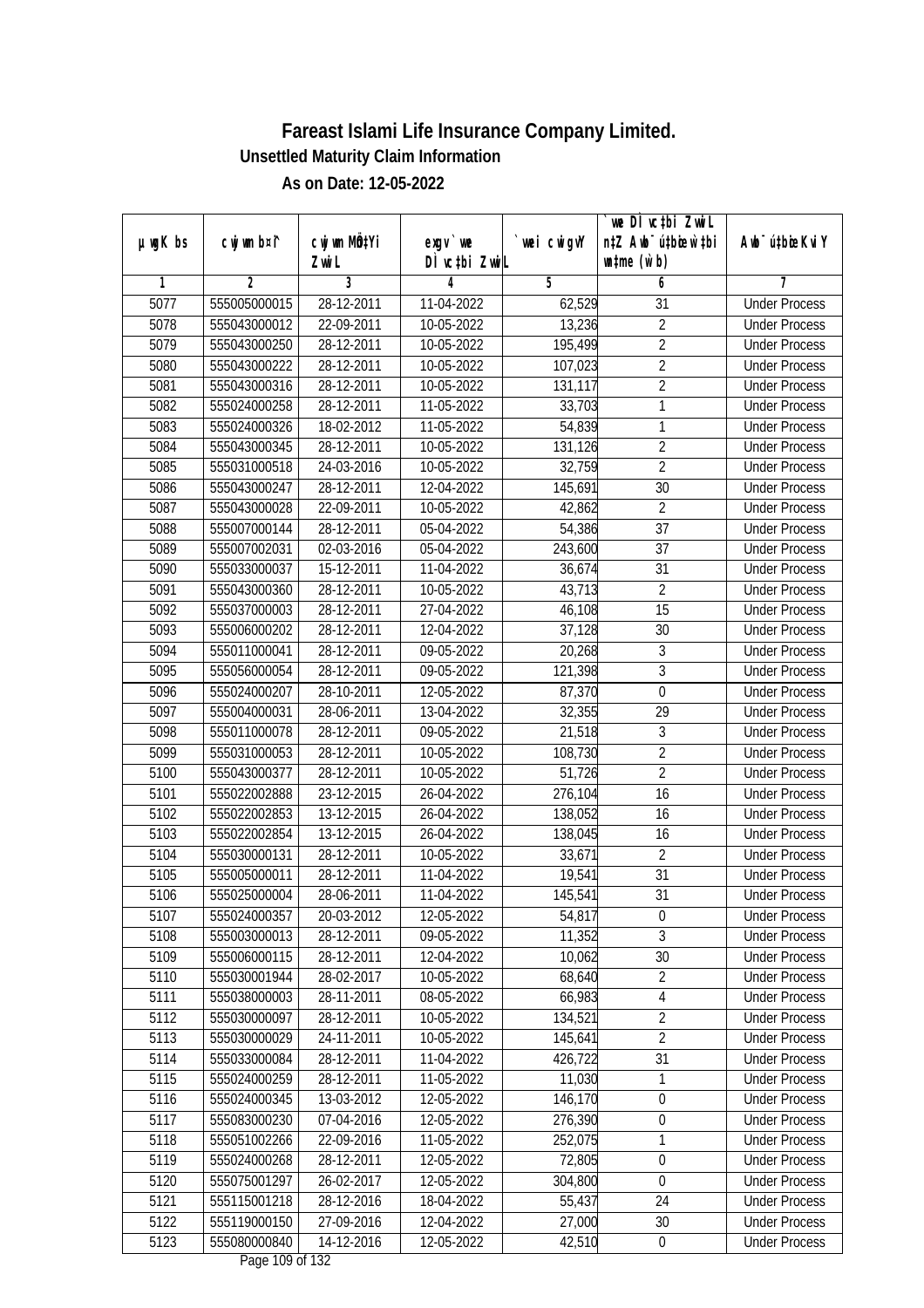|               |                |              |                               |            | we DI vctbi ZwiL                 |                             |
|---------------|----------------|--------------|-------------------------------|------------|----------------------------------|-----------------------------|
| $µ$ ug $K$ bs | cwj wm b¤i^    | cwj wm MQtYi | exgv `we                      | wei cwigvY | n‡Z Awb <sup>-</sup> ú‡bioar`‡bi | Awb <sup>-</sup> ú‡bioeKviY |
| 1             | $\overline{2}$ | Zwi L<br>3   | DÌ vctbi ZwiL<br>4            | 5          | $\n  untime\n  (u`b)\n$          | 7                           |
| 5077          | 555005000015   | 28-12-2011   | 11-04-2022                    | 62,529     | 6<br>$\overline{31}$             | <b>Under Process</b>        |
|               | 555043000012   | 22-09-2011   |                               |            | $\overline{2}$                   |                             |
| 5078<br>5079  | 555043000250   |              | 10-05-2022                    | 13,236     | $\overline{2}$                   | <b>Under Process</b>        |
|               |                | 28-12-2011   | 10-05-2022                    | 195,499    |                                  | <b>Under Process</b>        |
| 5080          | 555043000222   | 28-12-2011   | 10-05-2022                    | 107,023    | $\overline{2}$<br>$\overline{2}$ | <b>Under Process</b>        |
| 5081          | 555043000316   | 28-12-2011   | 10-05-2022                    | 131,117    |                                  | <b>Under Process</b>        |
| 5082          | 555024000258   | 28-12-2011   | 11-05-2022                    | 33,703     | $\mathbf{1}$                     | <b>Under Process</b>        |
| 5083          | 555024000326   | 18-02-2012   | $11-05-2022$                  | 54,839     | $\mathbf{1}$                     | <b>Under Process</b>        |
| 5084          | 555043000345   | 28-12-2011   | 10-05-2022                    | 131,126    | $\overline{2}$<br>$\overline{2}$ | <b>Under Process</b>        |
| 5085          | 555031000518   | 24-03-2016   | 10-05-2022                    | 32,759     |                                  | <b>Under Process</b>        |
| 5086          | 555043000247   | 28-12-2011   | 12-04-2022                    | 145,691    | 30                               | <b>Under Process</b>        |
| 5087          | 555043000028   | 22-09-2011   | 10-05-2022                    | 42,862     | $\overline{2}$                   | <b>Under Process</b>        |
| 5088          | 555007000144   | 28-12-2011   | 05-04-2022                    | 54,386     | 37                               | <b>Under Process</b>        |
| 5089          | 555007002031   | 02-03-2016   | 05-04-2022                    | 243,600    | $\overline{37}$                  | <b>Under Process</b>        |
| 5090          | 555033000037   | 15-12-2011   | 11-04-2022                    | 36,674     | 31                               | <b>Under Process</b>        |
| 5091          | 555043000360   | 28-12-2011   | 10-05-2022                    | 43,713     | $\overline{2}$                   | <b>Under Process</b>        |
| 5092          | 555037000003   | 28-12-2011   | 27-04-2022                    | 46,108     | 15                               | <b>Under Process</b>        |
| 5093          | 555006000202   | 28-12-2011   | 12-04-2022                    | 37,128     | 30                               | <b>Under Process</b>        |
| 5094          | 555011000041   | 28-12-2011   | 09-05-2022                    | 20,268     | $\sqrt{3}$                       | <b>Under Process</b>        |
| 5095          | 555056000054   | 28-12-2011   | 09-05-2022                    | 121,398    | $\mathfrak{Z}$                   | <b>Under Process</b>        |
| 5096          | 555024000207   | 28-10-2011   | 12-05-2022                    | 87,370     | $\boldsymbol{0}$                 | <b>Under Process</b>        |
| 5097          | 555004000031   | 28-06-2011   | 13-04-2022                    | 32,355     | 29                               | <b>Under Process</b>        |
| 5098          | 555011000078   | 28-12-2011   | 09-05-2022                    | 21,518     | 3                                | <b>Under Process</b>        |
| 5099          | 555031000053   | 28-12-2011   | 10-05-2022                    | 108,730    | $\overline{2}$                   | <b>Under Process</b>        |
| 5100          | 555043000377   | 28-12-2011   | 10-05-2022                    | 51,726     | $\overline{2}$                   | <b>Under Process</b>        |
| 5101          | 555022002888   | 23-12-2015   | 26-04-2022                    | 276,104    | 16                               | <b>Under Process</b>        |
| 5102          | 555022002853   | 13-12-2015   | 26-04-2022                    | 138,052    | 16                               | <b>Under Process</b>        |
| 5103          | 555022002854   | 13-12-2015   | 26-04-2022                    | 138,045    | 16                               | <b>Under Process</b>        |
| 5104          | 555030000131   | 28-12-2011   | 10-05-2022                    | 33,671     | $\overline{2}$                   | <b>Under Process</b>        |
| 5105          | 555005000011   | 28-12-2011   | 11-04-2022                    | 19,541     | 31                               | <b>Under Process</b>        |
| 5106          | 555025000004   | 28-06-2011   | 11-04-2022                    | 145,541    | 31                               | <b>Under Process</b>        |
| 5107          | 555024000357   | 20-03-2012   | 12-05-2022                    | 54,817     | $\boldsymbol{0}$                 | <b>Under Process</b>        |
| 5108          | 555003000013   | 28-12-2011   | 09-05-2022                    | 11,352     | $\overline{3}$                   | <b>Under Process</b>        |
| 5109          | 555006000115   | 28-12-2011   | 12-04-2022                    | 10,062     | 30                               | <b>Under Process</b>        |
| 5110          | 555030001944   | 28-02-2017   | 10-05-2022                    | 68,640     | $\overline{2}$                   | <b>Under Process</b>        |
| 5111          | 555038000003   | 28-11-2011   | 08-05-2022                    | 66,983     | $\overline{4}$                   | <b>Under Process</b>        |
| 5112          | 555030000097   | 28-12-2011   | 10-05-2022                    | 134,521    | $\overline{2}$                   | <b>Under Process</b>        |
| 5113          | 555030000029   | 24-11-2011   | 10-05-2022                    | 145,641    | $\overline{2}$                   | <b>Under Process</b>        |
| 5114          | 555033000084   | 28-12-2011   | 11-04-2022                    | 426,722    | 31                               | <b>Under Process</b>        |
| 5115          | 555024000259   | 28-12-2011   | 11-05-2022                    | 11,030     | 1                                | <b>Under Process</b>        |
| 5116          | 555024000345   | 13-03-2012   | 12-05-2022                    | 146,170    | $\boldsymbol{0}$                 | <b>Under Process</b>        |
| 5117          | 555083000230   | 07-04-2016   | 12-05-2022                    | 276,390    | $\pmb{0}$                        | <b>Under Process</b>        |
| 5118          | 555051002266   | 22-09-2016   | 11-05-2022                    | 252,075    | $\mathbf{1}$                     | <b>Under Process</b>        |
| 5119          | 555024000268   | 28-12-2011   | 12-05-2022                    | 72,805     | $\boldsymbol{0}$                 | <b>Under Process</b>        |
| 5120          | 555075001297   | 26-02-2017   | 12-05-2022                    | 304,800    | $\boldsymbol{0}$                 | <b>Under Process</b>        |
| 5121          | 555115001218   | 28-12-2016   | 18-04-2022                    | 55,437     | 24                               | <b>Under Process</b>        |
| 5122          | 555119000150   | 27-09-2016   | 12-04-2022                    | 27,000     | 30                               | <b>Under Process</b>        |
| 5123          | 555080000840   | 14-12-2016   | 12-05-2022<br>Dege 100 of 122 | 42,510     | $\pmb{0}$                        | <b>Under Process</b>        |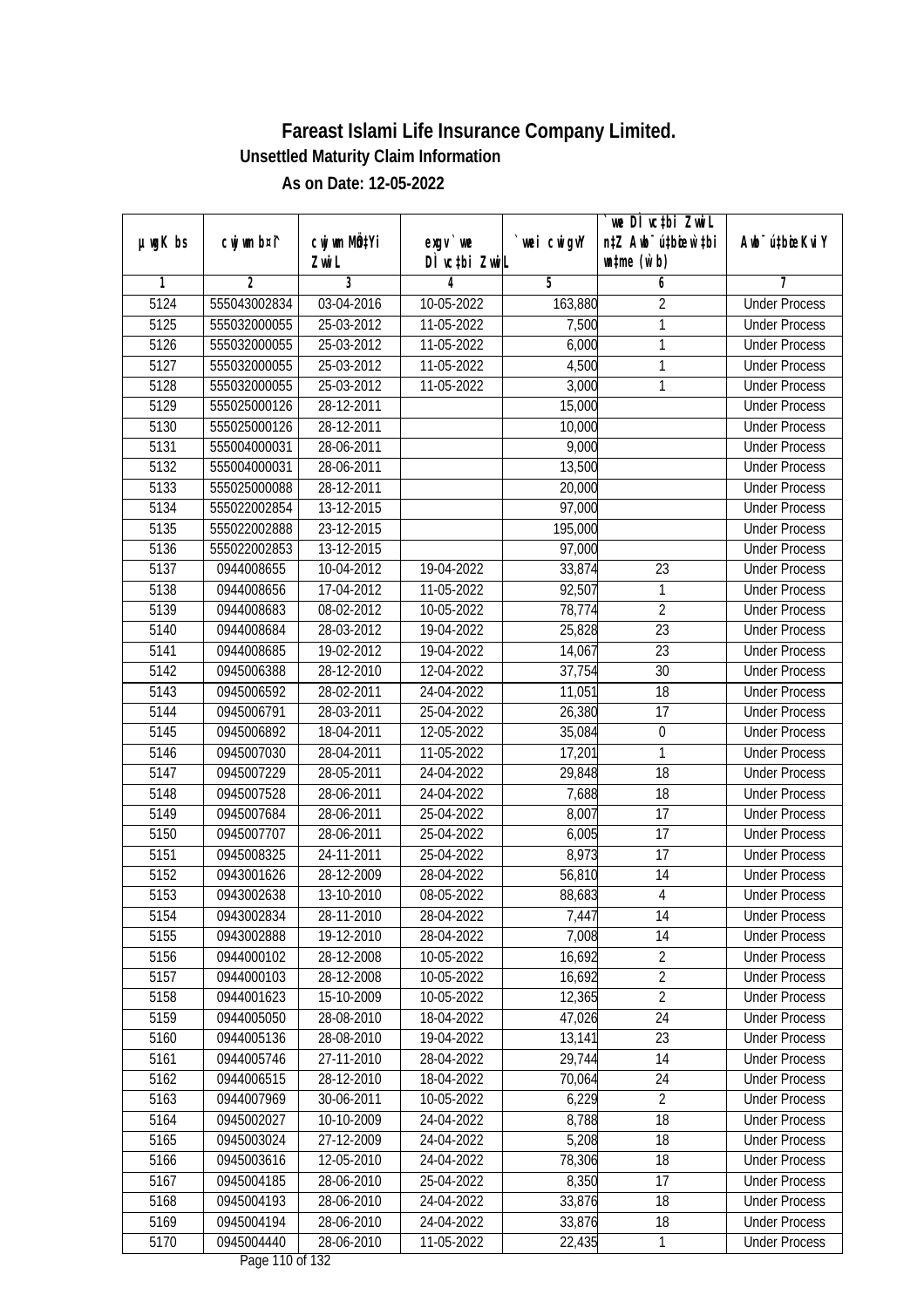|               |                |                  |               |             | we DI vctbi ZwiL                 |                             |
|---------------|----------------|------------------|---------------|-------------|----------------------------------|-----------------------------|
| $µ$ ug $K$ bs | cwj wm b¤i^    | cwj wm MQtYi     | exgv `we      | `wei cwigvY | n‡Z Awb <sup>-</sup> ú‡bioar`‡bi | Awb <sup>-</sup> ú‡bioeKviY |
|               |                | Zwi L            | DÌ vctbi ZwiL |             | $\n  untime\n  (u`b)\n$          |                             |
| 1             | $\overline{2}$ | 3                | 4             | 5           | 6                                | 7                           |
| 5124          | 555043002834   | 03-04-2016       | 10-05-2022    | 163,880     | $\overline{2}$                   | <b>Under Process</b>        |
| 5125          | 555032000055   | 25-03-2012       | 11-05-2022    | 7,500       | 1                                | <b>Under Process</b>        |
| 5126          | 555032000055   | 25-03-2012       | 11-05-2022    | 6,000       | 1                                | <b>Under Process</b>        |
| 5127          | 555032000055   | 25-03-2012       | 11-05-2022    | 4,500       | 1                                | <b>Under Process</b>        |
| 5128          | 555032000055   | $25 - 03 - 2012$ | 11-05-2022    | 3,000       | 1                                | <b>Under Process</b>        |
| 5129          | 555025000126   | 28-12-2011       |               | 15,000      |                                  | <b>Under Process</b>        |
| 5130          | 555025000126   | 28-12-2011       |               | 10,000      |                                  | <b>Under Process</b>        |
| 5131          | 555004000031   | 28-06-2011       |               | 9,000       |                                  | <b>Under Process</b>        |
| 5132          | 555004000031   | 28-06-2011       |               | 13,500      |                                  | <b>Under Process</b>        |
| 5133          | 555025000088   | 28-12-2011       |               | 20,000      |                                  | <b>Under Process</b>        |
| 5134          | 555022002854   | 13-12-2015       |               | 97,000      |                                  | <b>Under Process</b>        |
| 5135          | 555022002888   | 23-12-2015       |               | 195,000     |                                  | <b>Under Process</b>        |
| 5136          | 555022002853   | 13-12-2015       |               | 97,000      |                                  | <b>Under Process</b>        |
| 5137          | 0944008655     | 10-04-2012       | 19-04-2022    | 33,874      | 23                               | <b>Under Process</b>        |
| 5138          | 0944008656     | 17-04-2012       | 11-05-2022    | 92,507      | 1                                | <b>Under Process</b>        |
| 5139          | 0944008683     | 08-02-2012       | 10-05-2022    | 78,774      | $\overline{2}$                   | <b>Under Process</b>        |
| 5140          | 0944008684     | 28-03-2012       | 19-04-2022    | 25,828      | 23                               | <b>Under Process</b>        |
| 5141          | 0944008685     | 19-02-2012       | 19-04-2022    | 14,067      | 23                               | <b>Under Process</b>        |
| 5142          | 0945006388     | 28-12-2010       | 12-04-2022    | 37,754      | 30                               | <b>Under Process</b>        |
| 5143          | 0945006592     | 28-02-2011       | 24-04-2022    | 11,051      | 18                               | <b>Under Process</b>        |
| 5144          | 0945006791     | 28-03-2011       | 25-04-2022    | 26,380      | 17                               | <b>Under Process</b>        |
| 5145          | 0945006892     | 18-04-2011       | 12-05-2022    | 35,084      | 0                                | <b>Under Process</b>        |
| 5146          | 0945007030     | 28-04-2011       | 11-05-2022    | 17,201      | 1                                | <b>Under Process</b>        |
| 5147          | 0945007229     | 28-05-2011       | 24-04-2022    | 29,848      | 18                               | <b>Under Process</b>        |
| 5148          | 0945007528     | 28-06-2011       | 24-04-2022    | 7,688       | 18                               | <b>Under Process</b>        |
| 5149          | 0945007684     | 28-06-2011       | 25-04-2022    | 8,007       | 17                               | <b>Under Process</b>        |
| 5150          | 0945007707     | 28-06-2011       | 25-04-2022    | 6,005       | 17                               | <b>Under Process</b>        |
| 5151          | 0945008325     | 24-11-2011       | 25-04-2022    | 8,973       | 17                               | <b>Under Process</b>        |
| 5152          | 0943001626     | 28-12-2009       | 28-04-2022    | 56,810      | 14                               | <b>Under Process</b>        |
| 5153          | 0943002638     | 13-10-2010       | 08-05-2022    | 88,683      | $\overline{4}$                   | <b>Under Process</b>        |
| 5154          | 0943002834     | 28-11-2010       | 28-04-2022    | 7,447       | 14                               | <b>Under Process</b>        |
| 5155          | 0943002888     | 19-12-2010       | 28-04-2022    | 7,008       | 14                               | <b>Under Process</b>        |
| 5156          | 0944000102     | 28-12-2008       | 10-05-2022    | 16,692      | $\overline{2}$                   | <b>Under Process</b>        |
| 5157          | 0944000103     | 28-12-2008       | 10-05-2022    | 16,692      | $\overline{2}$                   | <b>Under Process</b>        |
| 5158          | 0944001623     | 15-10-2009       | 10-05-2022    | 12,365      | $\overline{2}$                   | <b>Under Process</b>        |
| 5159          | 0944005050     | 28-08-2010       | 18-04-2022    | 47,026      | 24                               | <b>Under Process</b>        |
| 5160          | 0944005136     | 28-08-2010       | 19-04-2022    | 13,141      | 23                               | <b>Under Process</b>        |
| 5161          | 0944005746     | 27-11-2010       | 28-04-2022    | 29,744      | 14                               | <b>Under Process</b>        |
| 5162          | 0944006515     | 28-12-2010       | 18-04-2022    | 70,064      | 24                               | <b>Under Process</b>        |
| 5163          | 0944007969     | 30-06-2011       | 10-05-2022    | 6,229       | $\sqrt{2}$                       | <b>Under Process</b>        |
| 5164          | 0945002027     | 10-10-2009       | 24-04-2022    | 8,788       | 18                               | <b>Under Process</b>        |
| 5165          | 0945003024     | 27-12-2009       | 24-04-2022    | 5,208       | 18                               | <b>Under Process</b>        |
| 5166          | 0945003616     | 12-05-2010       | 24-04-2022    | 78,306      | 18                               | <b>Under Process</b>        |
| 5167          | 0945004185     | 28-06-2010       | 25-04-2022    | 8,350       | 17                               | <b>Under Process</b>        |
| 5168          | 0945004193     | 28-06-2010       | 24-04-2022    | 33,876      | 18                               | <b>Under Process</b>        |
| 5169          | 0945004194     | 28-06-2010       | 24-04-2022    | 33,876      | 18                               | <b>Under Process</b>        |
| 5170          | 0945004440     | 28-06-2010       | 11-05-2022    | 22,435      | 1                                | <b>Under Process</b>        |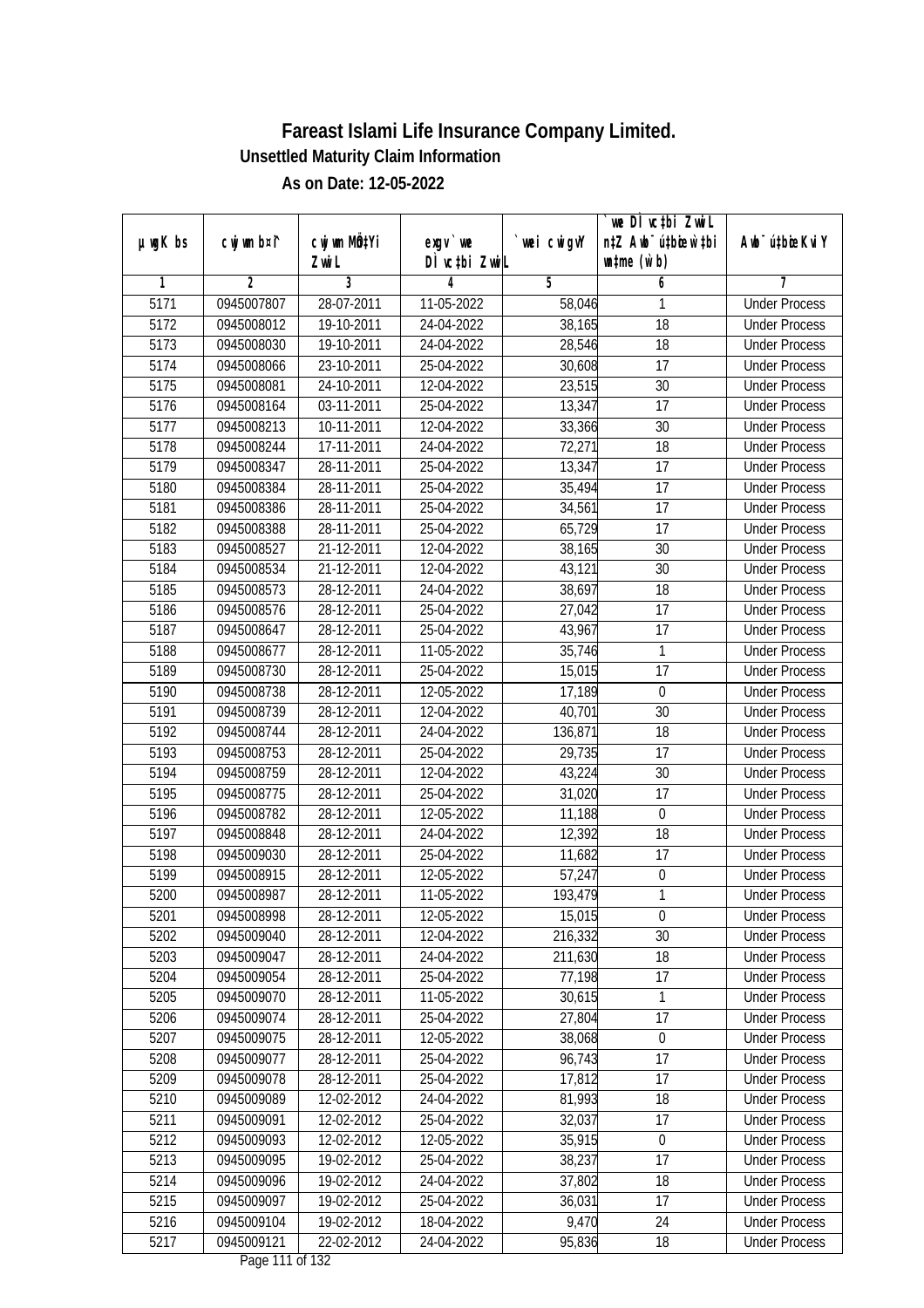| $µ$ ug $K$ bs | cwj wm b¤i^ | cwj wm MQtYi | exgv `we                      | wei cwigvY | `we DÌ vc‡bi ZwiL<br>n‡Z Awb <sup>-</sup> ú‡bicen`‡bi | Awb <sup>-</sup> ú‡bioeKviY |
|---------------|-------------|--------------|-------------------------------|------------|-------------------------------------------------------|-----------------------------|
|               |             | Zwi L        | DÌ vctbi ZwiL                 |            | $\n  untime\n  (u`b)\n$                               |                             |
| 1             | 2           | 3            | 4                             | 5          | 6                                                     | 7                           |
| 5171          | 0945007807  | 28-07-2011   | 11-05-2022                    | 58,046     | 1                                                     | <b>Under Process</b>        |
| 5172          | 0945008012  | 19-10-2011   | 24-04-2022                    | 38,165     | 18                                                    | <b>Under Process</b>        |
| 5173          | 0945008030  | 19-10-2011   | 24-04-2022                    | 28,546     | 18                                                    | <b>Under Process</b>        |
| 5174          | 0945008066  | 23-10-2011   | 25-04-2022                    | 30,608     | 17                                                    | <b>Under Process</b>        |
| 5175          | 0945008081  | 24-10-2011   | 12-04-2022                    | 23,515     | 30                                                    | <b>Under Process</b>        |
| 5176          | 0945008164  | 03-11-2011   | 25-04-2022                    | 13,347     | $\overline{17}$                                       | <b>Under Process</b>        |
| 5177          | 0945008213  | 10-11-2011   | 12-04-2022                    | 33,366     | 30                                                    | <b>Under Process</b>        |
| 5178          | 0945008244  | 17-11-2011   | 24-04-2022                    | 72,271     | $\overline{18}$                                       | <b>Under Process</b>        |
| 5179          | 0945008347  | 28-11-2011   | 25-04-2022                    | 13,347     | 17                                                    | <b>Under Process</b>        |
| 5180          | 0945008384  | 28-11-2011   | 25-04-2022                    | 35,494     | 17                                                    | <b>Under Process</b>        |
| 5181          | 0945008386  | 28-11-2011   | 25-04-2022                    | 34,561     | $\overline{17}$                                       | <b>Under Process</b>        |
| 5182          | 0945008388  | 28-11-2011   | 25-04-2022                    | 65,729     | 17                                                    | <b>Under Process</b>        |
| 5183          | 0945008527  | 21-12-2011   | 12-04-2022                    | 38,165     | 30                                                    | <b>Under Process</b>        |
| 5184          | 0945008534  | 21-12-2011   | 12-04-2022                    | 43,121     | 30                                                    | <b>Under Process</b>        |
| 5185          | 0945008573  | 28-12-2011   | 24-04-2022                    | 38,697     | 18                                                    | <b>Under Process</b>        |
| 5186          | 0945008576  | 28-12-2011   | 25-04-2022                    | 27,042     | 17                                                    | <b>Under Process</b>        |
| 5187          | 0945008647  | 28-12-2011   | 25-04-2022                    | 43,967     | 17                                                    | <b>Under Process</b>        |
| 5188          | 0945008677  | 28-12-2011   | 11-05-2022                    | 35,746     | $\mathbf{1}$                                          | <b>Under Process</b>        |
| 5189          | 0945008730  | 28-12-2011   | 25-04-2022                    | 15,015     | 17                                                    | <b>Under Process</b>        |
| 5190          | 0945008738  | 28-12-2011   | 12-05-2022                    | 17,189     | $\boldsymbol{0}$                                      | <b>Under Process</b>        |
| 5191          | 0945008739  | 28-12-2011   | 12-04-2022                    | 40,701     | 30                                                    | <b>Under Process</b>        |
| 5192          | 0945008744  | 28-12-2011   | 24-04-2022                    | 136,871    | 18                                                    | <b>Under Process</b>        |
| 5193          | 0945008753  | 28-12-2011   | 25-04-2022                    | 29,735     | 17                                                    | <b>Under Process</b>        |
| 5194          | 0945008759  | 28-12-2011   | 12-04-2022                    | 43,224     | 30                                                    | <b>Under Process</b>        |
| 5195          | 0945008775  | 28-12-2011   | 25-04-2022                    | 31,020     | 17                                                    | <b>Under Process</b>        |
| 5196          | 0945008782  | 28-12-2011   | 12-05-2022                    | 11,188     | $\boldsymbol{0}$                                      | <b>Under Process</b>        |
| 5197          | 0945008848  | 28-12-2011   | 24-04-2022                    | 12,392     | 18                                                    | <b>Under Process</b>        |
| 5198          | 0945009030  | 28-12-2011   | 25-04-2022                    | 11,682     | 17                                                    | <b>Under Process</b>        |
| 5199          | 0945008915  | 28-12-2011   | 12-05-2022                    | 57,247     | $\boldsymbol{0}$                                      | <b>Under Process</b>        |
| 5200          | 0945008987  | 28-12-2011   | 11-05-2022                    | 193,479    | $\mathbf{1}$                                          | <b>Under Process</b>        |
| 5201          | 0945008998  | 28-12-2011   | 12-05-2022                    | 15,015     | 0                                                     | <b>Under Process</b>        |
| 5202          | 0945009040  | 28-12-2011   | 12-04-2022                    | 216,332    | 30                                                    | <b>Under Process</b>        |
| 5203          | 0945009047  | 28-12-2011   | 24-04-2022                    | 211,630    | 18                                                    | <b>Under Process</b>        |
| 5204          | 0945009054  | 28-12-2011   | 25-04-2022                    | 77,198     | 17                                                    | <b>Under Process</b>        |
| 5205          | 0945009070  | 28-12-2011   | 11-05-2022                    | 30,615     | 1                                                     | <b>Under Process</b>        |
| 5206          | 0945009074  | 28-12-2011   | 25-04-2022                    | 27,804     | 17                                                    | <b>Under Process</b>        |
| 5207          | 0945009075  | 28-12-2011   | 12-05-2022                    | 38,068     | $\boldsymbol{0}$                                      | <b>Under Process</b>        |
| 5208          | 0945009077  | 28-12-2011   | 25-04-2022                    | 96,743     | 17                                                    | <b>Under Process</b>        |
| 5209          | 0945009078  | 28-12-2011   | 25-04-2022                    | 17,812     | 17                                                    | <b>Under Process</b>        |
| 5210          | 0945009089  | 12-02-2012   | 24-04-2022                    | 81,993     | 18                                                    | <b>Under Process</b>        |
| 5211          | 0945009091  | 12-02-2012   | 25-04-2022                    | 32,037     | 17                                                    | <b>Under Process</b>        |
| 5212          | 0945009093  | 12-02-2012   | 12-05-2022                    | 35,915     | $\boldsymbol{0}$                                      | <b>Under Process</b>        |
| 5213          | 0945009095  | 19-02-2012   | 25-04-2022                    | 38,237     | 17                                                    | <b>Under Process</b>        |
| 5214          | 0945009096  | 19-02-2012   | 24-04-2022                    | 37,802     | 18                                                    | <b>Under Process</b>        |
| 5215          | 0945009097  | 19-02-2012   | 25-04-2022                    | 36,031     | 17                                                    | <b>Under Process</b>        |
| 5216          | 0945009104  | 19-02-2012   | 18-04-2022                    | 9,470      | 24                                                    | <b>Under Process</b>        |
| 5217          | 0945009121  | 22-02-2012   | 24-04-2022<br>Dago 111 of 122 | 95,836     | 18                                                    | <b>Under Process</b>        |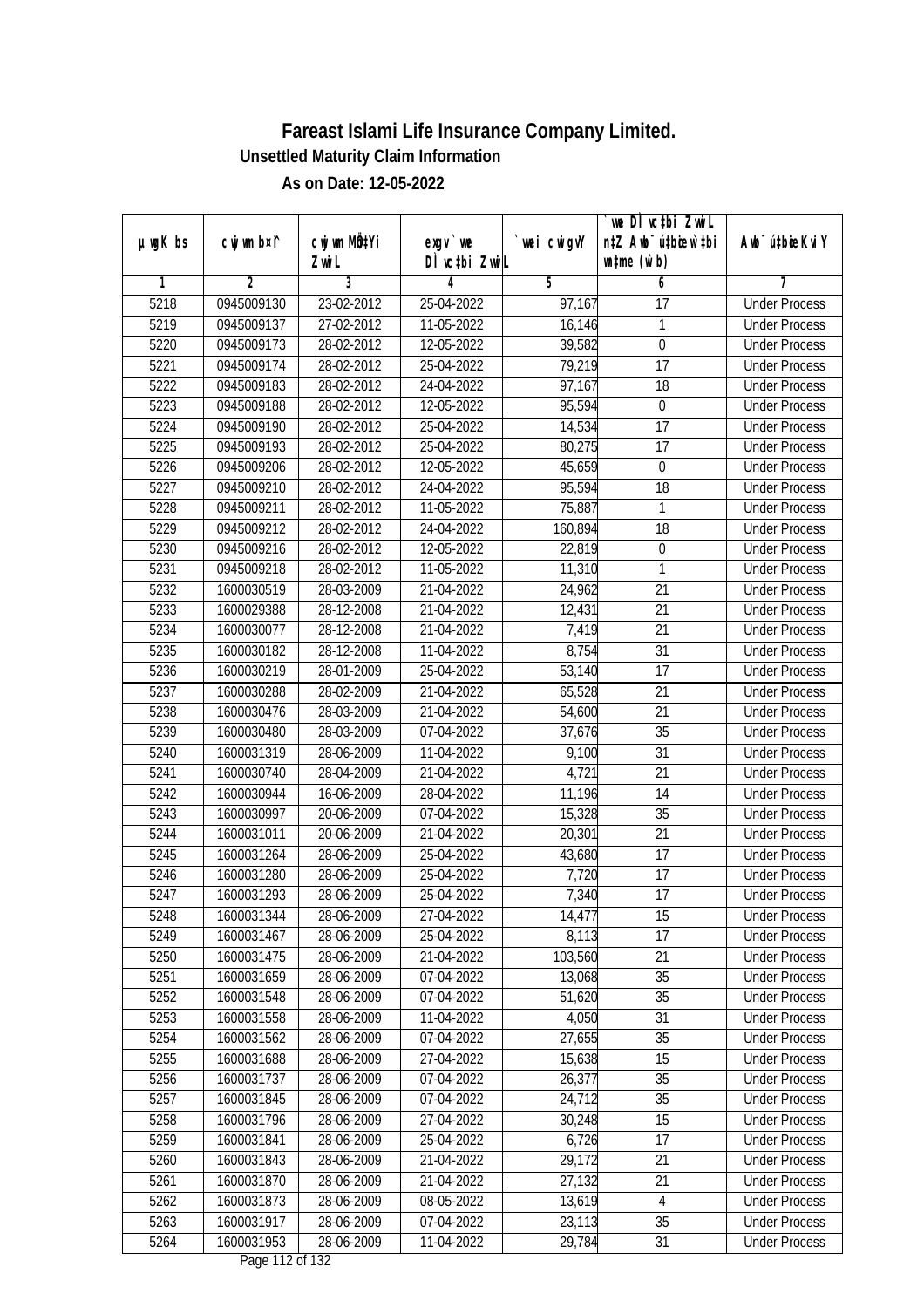|               |                          |                           |                               |                   | `we DÌ vc‡bi ZwiL                |                                              |
|---------------|--------------------------|---------------------------|-------------------------------|-------------------|----------------------------------|----------------------------------------------|
| $µ$ ug $K$ bs | cwj wm b¤i^              | cwj wm MQ <sup>1</sup> Yi | $exgV$ we                     | `wei cwigvY       | n‡Z Awb <sup>-</sup> ú‡bioar`‡bi | Awb <sup>-</sup> ú‡bioeKviY                  |
| 1             | 2                        | Zwi L<br>3                | DÌ vctbi ZwiL<br>4            | 5                 | $\n  untime\n  (u`b)\n$<br>6     | 7                                            |
| 5218          | 0945009130               | 23-02-2012                | 25-04-2022                    | 97,167            | 17                               | <b>Under Process</b>                         |
| 5219          | 0945009137               | 27-02-2012                | 11-05-2022                    | 16,146            | 1                                | <b>Under Process</b>                         |
| 5220          | 0945009173               | 28-02-2012                | 12-05-2022                    | 39,582            | $\boldsymbol{0}$                 | <b>Under Process</b>                         |
| 5221          | 0945009174               | 28-02-2012                | 25-04-2022                    | 79,219            | $\overline{17}$                  | <b>Under Process</b>                         |
| 5222          | 0945009183               | $28-02-2012$              | 24-04-2022                    | 97,167            | 18                               | <b>Under Process</b>                         |
| 5223          | 0945009188               | 28-02-2012                | 12-05-2022                    | 95,594            | $\boldsymbol{0}$                 | <b>Under Process</b>                         |
| 5224          | 0945009190               | 28-02-2012                | 25-04-2022                    | 14,534            | $\overline{17}$                  | <b>Under Process</b>                         |
| 5225          | 0945009193               | 28-02-2012                | 25-04-2022                    | 80,275            | $\overline{17}$                  | <b>Under Process</b>                         |
| 5226          | 0945009206               | 28-02-2012                | 12-05-2022                    | 45,659            | $\boldsymbol{0}$                 | <b>Under Process</b>                         |
|               |                          |                           |                               |                   |                                  |                                              |
| 5227          | 0945009210<br>0945009211 | 28-02-2012                | 24-04-2022                    | 95,594            | 18<br>1                          | <b>Under Process</b><br><b>Under Process</b> |
| 5228          |                          | 28-02-2012                | 11-05-2022                    | 75,887            |                                  |                                              |
| 5229          | 0945009212               | 28-02-2012<br>28-02-2012  | 24-04-2022<br>12-05-2022      | 160,894<br>22,819 | 18                               | <b>Under Process</b><br><b>Under Process</b> |
| 5230          | 0945009216               |                           |                               |                   | $\boldsymbol{0}$                 |                                              |
| 5231          | 0945009218               | 28-02-2012                | 11-05-2022                    | 11,310            | $\mathbf{1}$                     | <b>Under Process</b>                         |
| 5232          | 1600030519               | 28-03-2009                | 21-04-2022                    | 24,962            | 21                               | <b>Under Process</b>                         |
| 5233          | 1600029388               | 28-12-2008                | 21-04-2022                    | 12,431            | 21                               | <b>Under Process</b>                         |
| 5234          | 1600030077               | 28-12-2008                | 21-04-2022                    | 7,419             | 21                               | <b>Under Process</b>                         |
| 5235          | 1600030182               | 28-12-2008                | 11-04-2022                    | 8,754             | 31                               | <b>Under Process</b>                         |
| 5236          | 1600030219               | 28-01-2009                | 25-04-2022                    | 53,140            | 17                               | <b>Under Process</b>                         |
| 5237          | 1600030288               | 28-02-2009                | 21-04-2022                    | 65,528            | 21                               | <b>Under Process</b>                         |
| 5238          | 1600030476               | 28-03-2009                | 21-04-2022                    | 54,600            | 21                               | <b>Under Process</b>                         |
| 5239          | 1600030480               | 28-03-2009                | 07-04-2022                    | 37,676            | 35                               | <b>Under Process</b>                         |
| 5240          | 1600031319               | 28-06-2009                | 11-04-2022                    | 9,100             | 31                               | <b>Under Process</b>                         |
| 5241          | 1600030740               | 28-04-2009                | 21-04-2022                    | 4,721             | 21                               | <b>Under Process</b>                         |
| 5242          | 1600030944               | 16-06-2009                | 28-04-2022                    | 11,196            | 14                               | <b>Under Process</b>                         |
| 5243          | 1600030997               | 20-06-2009                | 07-04-2022                    | 15,328            | 35                               | <b>Under Process</b>                         |
| 5244          | 1600031011               | 20-06-2009                | 21-04-2022                    | 20,301            | 21                               | <b>Under Process</b>                         |
| 5245          | 1600031264               | 28-06-2009                | 25-04-2022                    | 43,680            | 17                               | <b>Under Process</b>                         |
| 5246          | 1600031280               | 28-06-2009                | 25-04-2022                    | 7,720             | 17                               | <b>Under Process</b>                         |
| 5247          | 1600031293               | 28-06-2009                | 25-04-2022                    | 7,340             | 17                               | <b>Under Process</b>                         |
| 5248          | 1600031344               | 28-06-2009                | 27-04-2022                    | 14,477            | 15                               | <b>Under Process</b>                         |
| 5249          | 1600031467               | 28-06-2009                | 25-04-2022                    | 8,113             | 17                               | <b>Under Process</b>                         |
| 5250          | 1600031475               | 28-06-2009                | 21-04-2022                    | 103,560           | 21                               | <b>Under Process</b>                         |
| 5251          | 1600031659               | 28-06-2009                | 07-04-2022                    | 13,068            | 35                               | <b>Under Process</b>                         |
| 5252          | 1600031548               | 28-06-2009                | 07-04-2022                    | 51,620            | 35                               | <b>Under Process</b>                         |
| 5253          | 1600031558               | 28-06-2009                | 11-04-2022                    | 4,050             | 31                               | <b>Under Process</b>                         |
| 5254          | 1600031562               | 28-06-2009                | 07-04-2022                    | 27,655            | 35                               | <b>Under Process</b>                         |
| 5255          | 1600031688               | 28-06-2009                | 27-04-2022                    | 15,638            | 15                               | <b>Under Process</b>                         |
| 5256          | 1600031737               | 28-06-2009                | 07-04-2022                    | 26,377            | 35                               | <b>Under Process</b>                         |
| 5257          | 1600031845               | 28-06-2009                | 07-04-2022                    | 24,712            | 35                               | <b>Under Process</b>                         |
| 5258          | 1600031796               | 28-06-2009                | 27-04-2022                    | 30,248            | 15                               | <b>Under Process</b>                         |
| 5259          | 1600031841               | 28-06-2009                | 25-04-2022                    | 6,726             | 17                               | <b>Under Process</b>                         |
| 5260          | 1600031843               | 28-06-2009                | 21-04-2022                    | 29,172            | $\overline{21}$                  | <b>Under Process</b>                         |
| 5261          | 1600031870               | 28-06-2009                | 21-04-2022                    | 27,132            | 21                               | <b>Under Process</b>                         |
| 5262          | 1600031873               | 28-06-2009                | 08-05-2022                    | 13,619            | $\overline{4}$                   | <b>Under Process</b>                         |
| 5263          | 1600031917               | 28-06-2009                | 07-04-2022                    | 23,113            | 35                               | <b>Under Process</b>                         |
| 5264          | 1600031953               | 28-06-2009                | 11-04-2022<br>Dege 113 of 123 | 29,784            | 31                               | <b>Under Process</b>                         |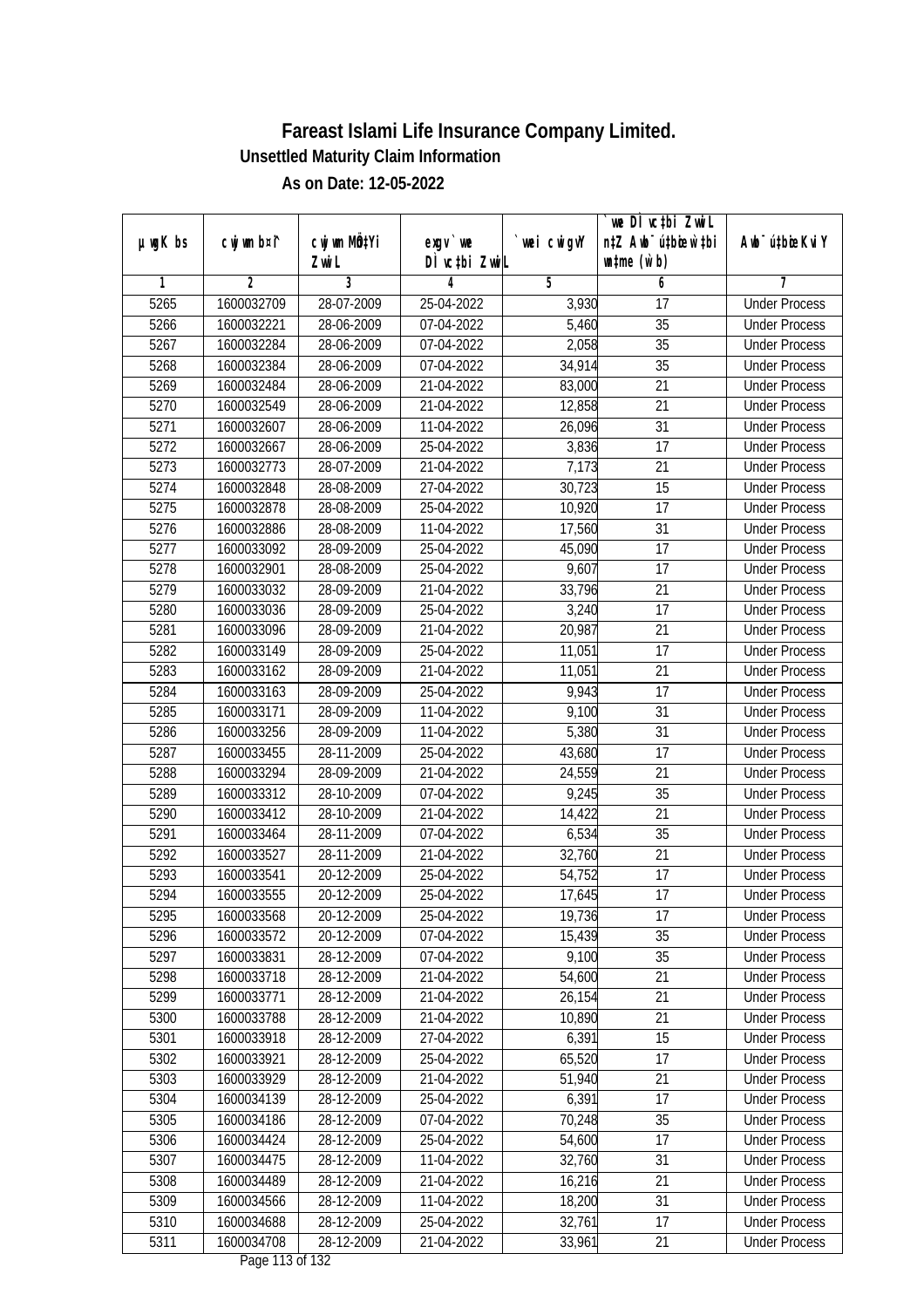|               |                |              |                                     |            | we DI vctbi Zwil                 |                             |
|---------------|----------------|--------------|-------------------------------------|------------|----------------------------------|-----------------------------|
| $µ$ ug $K$ bs | cwj wm b¤i^    | cwj wm MQtYi | $exgv$ we                           | wei cwigvY | n‡Z Awb <sup>-</sup> ú‡bioen`‡bi | Awb <sup>-</sup> ú‡bioeKviY |
|               |                | Zwi L        | DÌ vctbi ZwiL                       |            | $\n  untime\n  (u`b)\n$          |                             |
| 1             | $\overline{2}$ | 3            | 4                                   | 5          | 6                                | 7                           |
| 5265          | 1600032709     | 28-07-2009   | 25-04-2022                          | 3,930      | $\overline{17}$                  | <b>Under Process</b>        |
| 5266          | 1600032221     | 28-06-2009   | 07-04-2022                          | 5,460      | $\overline{35}$                  | <b>Under Process</b>        |
| 5267          | 1600032284     | 28-06-2009   | 07-04-2022                          | 2,058      | $\overline{35}$                  | <b>Under Process</b>        |
| 5268          | 1600032384     | 28-06-2009   | 07-04-2022                          | 34,914     | 35                               | <b>Under Process</b>        |
| 5269          | 1600032484     | 28-06-2009   | 21-04-2022                          | 83,000     | $\overline{21}$                  | <b>Under Process</b>        |
| 5270          | 1600032549     | 28-06-2009   | 21-04-2022                          | 12,858     | $\overline{21}$                  | <b>Under Process</b>        |
| 5271          | 1600032607     | 28-06-2009   | 11-04-2022                          | 26,096     | $\overline{31}$                  | <b>Under Process</b>        |
| 5272          | 1600032667     | 28-06-2009   | 25-04-2022                          | 3,836      | 17                               | <b>Under Process</b>        |
| 5273          | 1600032773     | 28-07-2009   | 21-04-2022                          | 7,173      | 21                               | <b>Under Process</b>        |
| 5274          | 1600032848     | 28-08-2009   | 27-04-2022                          | 30,723     | 15                               | <b>Under Process</b>        |
| 5275          | 1600032878     | 28-08-2009   | 25-04-2022                          | 10,920     | $\overline{17}$                  | <b>Under Process</b>        |
| 5276          | 1600032886     | 28-08-2009   | 11-04-2022                          | 17,560     | 31                               | <b>Under Process</b>        |
| 5277          | 1600033092     | 28-09-2009   | 25-04-2022                          | 45,090     | $\overline{17}$                  | <b>Under Process</b>        |
| 5278          | 1600032901     | 28-08-2009   | 25-04-2022                          | 9,607      | 17                               | <b>Under Process</b>        |
| 5279          | 1600033032     | 28-09-2009   | 21-04-2022                          | 33,796     | 21                               | <b>Under Process</b>        |
| 5280          | 1600033036     | 28-09-2009   | 25-04-2022                          | 3,240      | 17                               | <b>Under Process</b>        |
| 5281          | 1600033096     | 28-09-2009   | 21-04-2022                          | 20,987     | 21                               | <b>Under Process</b>        |
| 5282          | 1600033149     | 28-09-2009   | 25-04-2022                          | 11,051     | 17                               | <b>Under Process</b>        |
| 5283          | 1600033162     | 28-09-2009   | 21-04-2022                          | 11,051     | 21                               | <b>Under Process</b>        |
| 5284          | 1600033163     | 28-09-2009   | 25-04-2022                          | 9,943      | 17                               | <b>Under Process</b>        |
| 5285          | 1600033171     | 28-09-2009   | 11-04-2022                          | 9,100      | $\overline{31}$                  | <b>Under Process</b>        |
| 5286          | 1600033256     | 28-09-2009   | 11-04-2022                          | 5,380      | 31                               | <b>Under Process</b>        |
| 5287          | 1600033455     | 28-11-2009   | 25-04-2022                          | 43,680     | 17                               | <b>Under Process</b>        |
| 5288          | 1600033294     | 28-09-2009   | 21-04-2022                          | 24,559     | 21                               | <b>Under Process</b>        |
| 5289          | 1600033312     | 28-10-2009   | 07-04-2022                          | 9,245      | 35                               | <b>Under Process</b>        |
| 5290          | 1600033412     | 28-10-2009   | 21-04-2022                          | 14,422     | 21                               | <b>Under Process</b>        |
| 5291          | 1600033464     | 28-11-2009   | 07-04-2022                          | 6,534      | 35                               | <b>Under Process</b>        |
| 5292          | 1600033527     | 28-11-2009   | 21-04-2022                          | 32,760     | 21                               | <b>Under Process</b>        |
| 5293          | 1600033541     | 20-12-2009   | 25-04-2022                          | 54,752     | 17                               | <b>Under Process</b>        |
| 5294          | 1600033555     | 20-12-2009   | 25-04-2022                          | 17,645     | 17                               | <b>Under Process</b>        |
| 5295          | 1600033568     | 20-12-2009   | 25-04-2022                          | 19,736     | 17                               | <b>Under Process</b>        |
| 5296          | 1600033572     | 20-12-2009   | 07-04-2022                          | 15,439     | 35                               | <b>Under Process</b>        |
| 5297          | 1600033831     | 28-12-2009   | 07-04-2022                          | 9,100      | 35                               | <b>Under Process</b>        |
| 5298          | 1600033718     | 28-12-2009   | 21-04-2022                          | 54,600     | 21                               | <b>Under Process</b>        |
| 5299          | 1600033771     | 28-12-2009   | 21-04-2022                          | 26,154     | 21                               | <b>Under Process</b>        |
| 5300          | 1600033788     | 28-12-2009   | 21-04-2022                          | 10,890     | 21                               | <b>Under Process</b>        |
| 5301          | 1600033918     | 28-12-2009   | 27-04-2022                          | 6,391      | 15                               | <b>Under Process</b>        |
| 5302          | 1600033921     | 28-12-2009   | 25-04-2022                          | 65,520     | 17                               | <b>Under Process</b>        |
| 5303          | 1600033929     | 28-12-2009   | 21-04-2022                          | 51,940     | 21                               | <b>Under Process</b>        |
| 5304          | 1600034139     | 28-12-2009   | 25-04-2022                          | 6,391      | 17                               | <b>Under Process</b>        |
| 5305          | 1600034186     | 28-12-2009   | 07-04-2022                          | 70,248     | 35                               | <b>Under Process</b>        |
| 5306          | 1600034424     | 28-12-2009   | 25-04-2022                          | 54,600     | 17                               | <b>Under Process</b>        |
| 5307          | 1600034475     | 28-12-2009   | 11-04-2022                          | 32,760     | $\overline{31}$                  | <b>Under Process</b>        |
| 5308          | 1600034489     | 28-12-2009   | 21-04-2022                          | 16,216     | 21                               | <b>Under Process</b>        |
| 5309          | 1600034566     | 28-12-2009   | 11-04-2022                          | 18,200     | 31                               | <b>Under Process</b>        |
| 5310          | 1600034688     | 28-12-2009   | 25-04-2022                          | 32,761     | 17                               | <b>Under Process</b>        |
| 5311          | 1600034708     | 28-12-2009   | 21-04-2022<br>$D_{0.82}$ 112 of 122 | 33,961     | 21                               | <b>Under Process</b>        |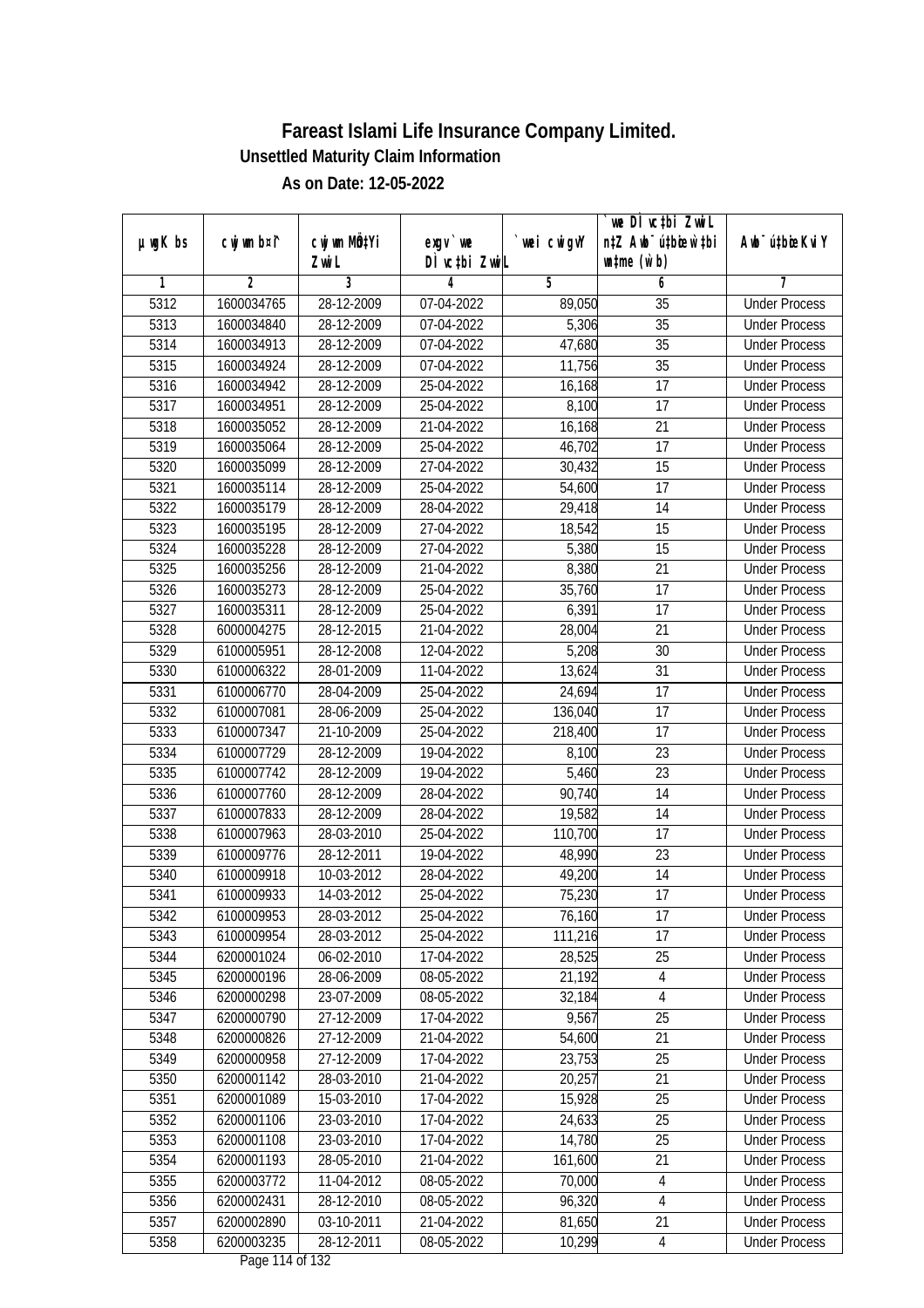|               |             |              |                                     |             | `we DÌ vc‡bi ZwiL                |                             |
|---------------|-------------|--------------|-------------------------------------|-------------|----------------------------------|-----------------------------|
| $µ$ ug $K$ bs | cwj wm b¤i^ | cwj wm MQtYi | $exgV$ we                           | `wei cwigvY | n‡Z Awb <sup>-</sup> ú‡bioar`‡bi | Awb <sup>-</sup> ú‡bioeKviY |
|               |             | Zwi L        | DÌ vctbi ZwiL                       |             | $\n  untime\n  (u`b)\n$          |                             |
| 1             | 2           | 3            | 4                                   | 5           | 6                                | 7                           |
| 5312          | 1600034765  | 28-12-2009   | 07-04-2022                          | 89,050      | 35                               | <b>Under Process</b>        |
| 5313          | 1600034840  | 28-12-2009   | 07-04-2022                          | 5,306       | $\overline{35}$                  | <b>Under Process</b>        |
| 5314          | 1600034913  | 28-12-2009   | 07-04-2022                          | 47,680      | $\overline{35}$                  | <b>Under Process</b>        |
| 5315          | 1600034924  | 28-12-2009   | 07-04-2022                          | 11,756      | $\overline{35}$                  | <b>Under Process</b>        |
| 5316          | 1600034942  | 28-12-2009   | 25-04-2022                          | 16,168      | $\overline{17}$                  | <b>Under Process</b>        |
| 5317          | 1600034951  | 28-12-2009   | 25-04-2022                          | 8,100       | $\overline{17}$                  | <b>Under Process</b>        |
| 5318          | 1600035052  | 28-12-2009   | 21-04-2022                          | 16,168      | 21                               | <b>Under Process</b>        |
| 5319          | 1600035064  | 28-12-2009   | 25-04-2022                          | 46,702      | $\overline{17}$                  | <b>Under Process</b>        |
| 5320          | 1600035099  | 28-12-2009   | 27-04-2022                          | 30,432      | 15                               | <b>Under Process</b>        |
| 5321          | 1600035114  | 28-12-2009   | 25-04-2022                          | 54,600      | 17                               | <b>Under Process</b>        |
| 5322          | 1600035179  | 28-12-2009   | 28-04-2022                          | 29,418      | 14                               | <b>Under Process</b>        |
| 5323          | 1600035195  | 28-12-2009   | 27-04-2022                          | 18,542      | 15                               | <b>Under Process</b>        |
| 5324          | 1600035228  | 28-12-2009   | 27-04-2022                          | 5,380       | 15                               | <b>Under Process</b>        |
| 5325          | 1600035256  | 28-12-2009   | 21-04-2022                          | 8,380       | 21                               | <b>Under Process</b>        |
| 5326          | 1600035273  | 28-12-2009   | 25-04-2022                          | 35,760      | 17                               | <b>Under Process</b>        |
| 5327          | 1600035311  | 28-12-2009   | 25-04-2022                          | 6,391       | 17                               | <b>Under Process</b>        |
| 5328          | 6000004275  | 28-12-2015   | 21-04-2022                          | 28,004      | 21                               | <b>Under Process</b>        |
| 5329          | 6100005951  | 28-12-2008   | 12-04-2022                          | 5,208       | 30                               | <b>Under Process</b>        |
| 5330          | 6100006322  | 28-01-2009   | 11-04-2022                          | 13,624      | 31                               | <b>Under Process</b>        |
| 5331          | 6100006770  | 28-04-2009   | 25-04-2022                          | 24,694      | 17                               | <b>Under Process</b>        |
| 5332          | 6100007081  | 28-06-2009   | 25-04-2022                          | 136,040     | 17                               | <b>Under Process</b>        |
| 5333          | 6100007347  | 21-10-2009   | 25-04-2022                          | 218,400     | 17                               | <b>Under Process</b>        |
| 5334          | 6100007729  | 28-12-2009   | 19-04-2022                          | 8,100       | 23                               | <b>Under Process</b>        |
| 5335          | 6100007742  | 28-12-2009   | 19-04-2022                          | 5,460       | 23                               | <b>Under Process</b>        |
| 5336          | 6100007760  | 28-12-2009   | 28-04-2022                          | 90,740      | 14                               | <b>Under Process</b>        |
| 5337          | 6100007833  | 28-12-2009   | 28-04-2022                          | 19,582      | 14                               | <b>Under Process</b>        |
| 5338          | 6100007963  | 28-03-2010   | 25-04-2022                          | 110,700     | 17                               | <b>Under Process</b>        |
| 5339          | 6100009776  | 28-12-2011   | 19-04-2022                          | 48,990      | 23                               | <b>Under Process</b>        |
| 5340          | 6100009918  | 10-03-2012   | 28-04-2022                          | 49,200      | 14                               | <b>Under Process</b>        |
| 5341          | 6100009933  | 14-03-2012   | 25-04-2022                          | 75,230      | 17                               | <b>Under Process</b>        |
| 5342          | 6100009953  | 28-03-2012   | 25-04-2022                          | 76,160      | 17                               | <b>Under Process</b>        |
| 5343          | 6100009954  | 28-03-2012   | 25-04-2022                          | 111,216     | 17                               | <b>Under Process</b>        |
| 5344          | 6200001024  | 06-02-2010   | 17-04-2022                          | 28,525      | 25                               | <b>Under Process</b>        |
| 5345          | 6200000196  | 28-06-2009   | 08-05-2022                          | 21, 192     | $\overline{4}$                   | <b>Under Process</b>        |
| 5346          | 6200000298  | 23-07-2009   | 08-05-2022                          | 32,184      | $\overline{4}$                   | <b>Under Process</b>        |
| 5347          | 6200000790  | 27-12-2009   | 17-04-2022                          | 9,567       | 25                               | <b>Under Process</b>        |
| 5348          | 6200000826  | 27-12-2009   | 21-04-2022                          | 54,600      | 21                               | <b>Under Process</b>        |
| 5349          | 6200000958  | 27-12-2009   | 17-04-2022                          | 23,753      | 25                               | <b>Under Process</b>        |
| 5350          | 6200001142  | 28-03-2010   | 21-04-2022                          | 20,257      | 21                               | <b>Under Process</b>        |
| 5351          | 6200001089  | 15-03-2010   | 17-04-2022                          | 15,928      | 25                               | <b>Under Process</b>        |
| 5352          | 6200001106  | 23-03-2010   | 17-04-2022                          | 24,633      | 25                               | <b>Under Process</b>        |
| 5353          | 6200001108  | 23-03-2010   | 17-04-2022                          | 14,780      | 25                               | <b>Under Process</b>        |
| 5354          | 6200001193  | 28-05-2010   | 21-04-2022                          | 161,600     | $\overline{21}$                  | <b>Under Process</b>        |
| 5355          | 6200003772  | 11-04-2012   | 08-05-2022                          | 70,000      | 4                                | <b>Under Process</b>        |
| 5356          | 6200002431  | 28-12-2010   | 08-05-2022                          | 96,320      | $\overline{4}$                   | <b>Under Process</b>        |
| 5357          | 6200002890  | 03-10-2011   | 21-04-2022                          | 81,650      | 21                               | <b>Under Process</b>        |
| 5358          | 6200003235  | 28-12-2011   | 08-05-2022<br>$D_{0.92}$ 114 of 122 | 10,299      | 4                                | <b>Under Process</b>        |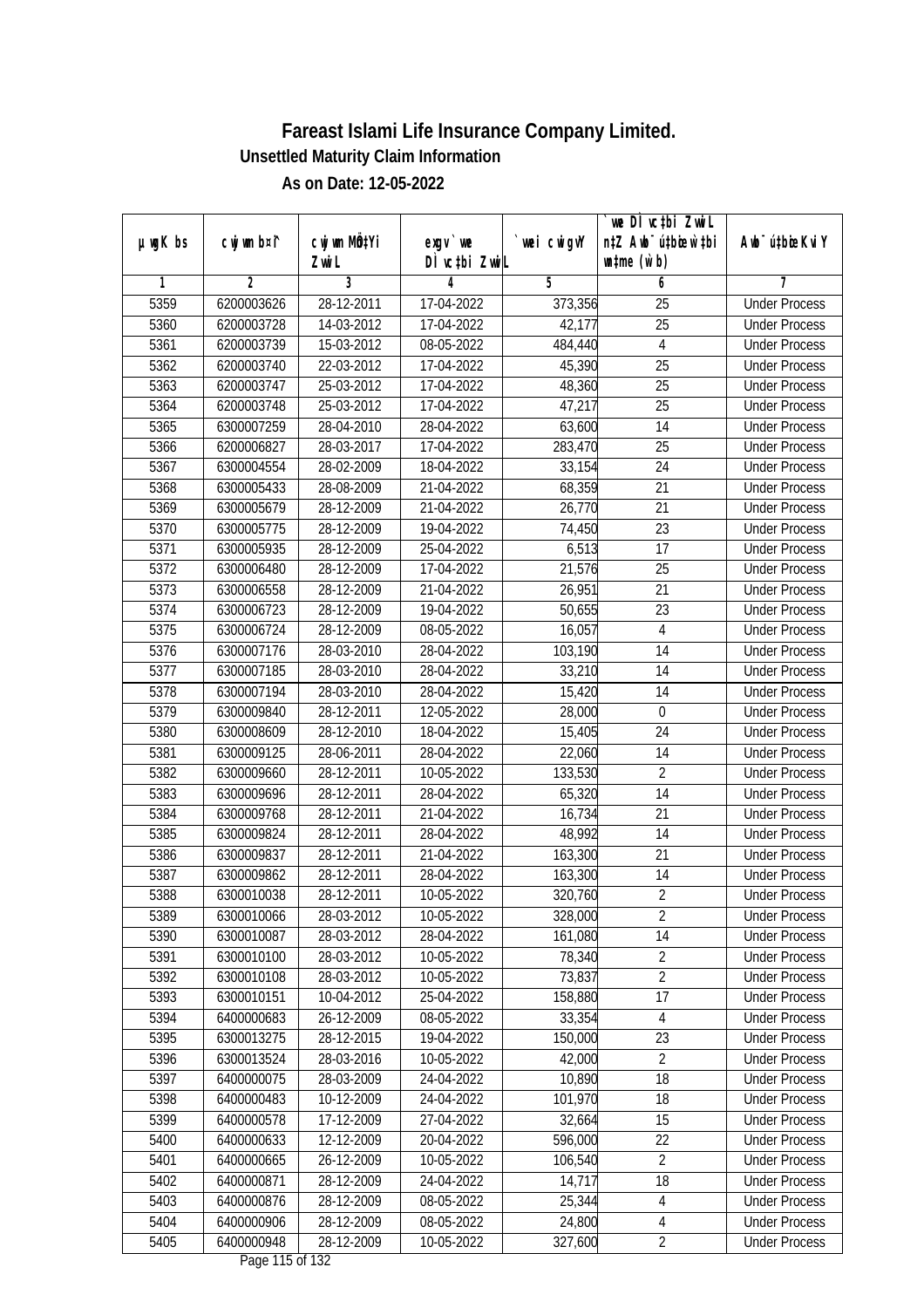|         |                |              |                     |            | we DI vctbi Zwil                 |                             |
|---------|----------------|--------------|---------------------|------------|----------------------------------|-----------------------------|
| µwgK bs | cwj wm b¤i^    | cwj wm MQtYi | $exgv$ we           | wei cwigvY | n‡Z Awb <sup>-</sup> ú‡bicen`‡bi | Awb <sup>-</sup> ú‡bioeKviY |
| 1       | $\overline{2}$ | Zwi L<br>3   | DÌ vctbi ZwiL<br>4  | 5          | $\n  untime\n  (u`b)\n$<br>6     | 7                           |
| 5359    | 6200003626     | 28-12-2011   | 17-04-2022          | 373,356    | $\overline{25}$                  | <b>Under Process</b>        |
| 5360    | 6200003728     | 14-03-2012   | 17-04-2022          | 42,177     | $\overline{25}$                  | <b>Under Process</b>        |
| 5361    | 6200003739     | 15-03-2012   | 08-05-2022          | 484,440    | $\overline{4}$                   | <b>Under Process</b>        |
| 5362    | 6200003740     | 22-03-2012   | 17-04-2022          | 45,390     | 25                               | <b>Under Process</b>        |
| 5363    | 6200003747     | 25-03-2012   | 17-04-2022          | 48,360     | $\overline{25}$                  | <b>Under Process</b>        |
| 5364    | 6200003748     | 25-03-2012   | 17-04-2022          | 47,217     | $\overline{25}$                  | <b>Under Process</b>        |
| 5365    | 6300007259     | 28-04-2010   | 28-04-2022          | 63,600     | 14                               | <b>Under Process</b>        |
| 5366    | 6200006827     | 28-03-2017   | 17-04-2022          | 283,470    | 25                               | <b>Under Process</b>        |
| 5367    | 6300004554     | 28-02-2009   | 18-04-2022          | 33,154     | 24                               | <b>Under Process</b>        |
| 5368    | 6300005433     | 28-08-2009   | 21-04-2022          | 68,359     | 21                               | <b>Under Process</b>        |
| 5369    | 6300005679     | 28-12-2009   | 21-04-2022          | 26,770     | $\overline{21}$                  | <b>Under Process</b>        |
| 5370    | 6300005775     | 28-12-2009   | 19-04-2022          | 74,450     | 23                               | <b>Under Process</b>        |
| 5371    | 6300005935     | 28-12-2009   | 25-04-2022          | 6,513      | $\overline{17}$                  | <b>Under Process</b>        |
| 5372    | 6300006480     | 28-12-2009   | 17-04-2022          | 21,576     | 25                               | <b>Under Process</b>        |
| 5373    | 6300006558     | 28-12-2009   | 21-04-2022          | 26,951     | 21                               | <b>Under Process</b>        |
| 5374    | 6300006723     | 28-12-2009   | 19-04-2022          | 50,655     | 23                               | <b>Under Process</b>        |
| 5375    | 6300006724     | 28-12-2009   | 08-05-2022          | 16,057     | $\sqrt{4}$                       | <b>Under Process</b>        |
| 5376    | 6300007176     | 28-03-2010   | 28-04-2022          | 103,190    | 14                               | <b>Under Process</b>        |
| 5377    | 6300007185     | 28-03-2010   | 28-04-2022          | 33,210     | 14                               | <b>Under Process</b>        |
| 5378    | 6300007194     | 28-03-2010   | 28-04-2022          | 15,420     | 14                               | <b>Under Process</b>        |
| 5379    | 6300009840     | 28-12-2011   | 12-05-2022          | 28,000     | $\mathbf 0$                      | <b>Under Process</b>        |
| 5380    | 6300008609     | 28-12-2010   | 18-04-2022          | 15,405     | 24                               | <b>Under Process</b>        |
| 5381    | 6300009125     | 28-06-2011   | 28-04-2022          | 22,060     | 14                               | <b>Under Process</b>        |
| 5382    | 6300009660     | 28-12-2011   | 10-05-2022          | 133,530    | $\overline{2}$                   | <b>Under Process</b>        |
| 5383    | 6300009696     | 28-12-2011   | 28-04-2022          | 65,320     | 14                               | <b>Under Process</b>        |
| 5384    | 6300009768     | 28-12-2011   | 21-04-2022          | 16,734     | 21                               | <b>Under Process</b>        |
| 5385    | 6300009824     | 28-12-2011   | 28-04-2022          | 48,992     | 14                               | <b>Under Process</b>        |
| 5386    | 6300009837     | 28-12-2011   | 21-04-2022          | 163,300    | 21                               | <b>Under Process</b>        |
| 5387    | 6300009862     | 28-12-2011   | 28-04-2022          | 163,300    | 14                               | <b>Under Process</b>        |
| 5388    | 6300010038     | 28-12-2011   | 10-05-2022          | 320,760    | $\overline{2}$                   | <b>Under Process</b>        |
| 5389    | 6300010066     | 28-03-2012   | 10-05-2022          | 328,000    | 2                                | <b>Under Process</b>        |
| 5390    | 6300010087     | 28-03-2012   | 28-04-2022          | 161,080    | 14                               | <b>Under Process</b>        |
| 5391    | 6300010100     | 28-03-2012   | 10-05-2022          | 78,340     | $\overline{2}$                   | <b>Under Process</b>        |
| 5392    | 6300010108     | 28-03-2012   | 10-05-2022          | 73,837     | $\overline{2}$                   | <b>Under Process</b>        |
| 5393    | 6300010151     | 10-04-2012   | 25-04-2022          | 158,880    | 17                               | <b>Under Process</b>        |
| 5394    | 6400000683     | 26-12-2009   | 08-05-2022          | 33,354     | 4                                | <b>Under Process</b>        |
| 5395    | 6300013275     | 28-12-2015   | 19-04-2022          | 150,000    | 23                               | <b>Under Process</b>        |
| 5396    | 6300013524     | 28-03-2016   | 10-05-2022          | 42,000     | $\overline{2}$                   | <b>Under Process</b>        |
| 5397    | 6400000075     | 28-03-2009   | 24-04-2022          | 10,890     | 18                               | <b>Under Process</b>        |
| 5398    | 6400000483     | 10-12-2009   | 24-04-2022          | 101,970    | 18                               | <b>Under Process</b>        |
| 5399    | 6400000578     | 17-12-2009   | 27-04-2022          | 32,664     | 15                               | <b>Under Process</b>        |
| 5400    | 6400000633     | 12-12-2009   | 20-04-2022          | 596,000    | 22                               | <b>Under Process</b>        |
| 5401    | 6400000665     | 26-12-2009   | 10-05-2022          | 106,540    | $\overline{2}$                   | <b>Under Process</b>        |
| 5402    | 6400000871     | 28-12-2009   | 24-04-2022          | 14,717     | 18                               | <b>Under Process</b>        |
| 5403    | 6400000876     | 28-12-2009   | 08-05-2022          | 25,344     | 4                                | <b>Under Process</b>        |
| 5404    | 6400000906     | 28-12-2009   | 08-05-2022          | 24,800     | 4                                | <b>Under Process</b>        |
| 5405    | 6400000948     | 28-12-2009   | 10-05-2022          | 327,600    | $\overline{2}$                   | <b>Under Process</b>        |
|         |                |              | Dega $115$ of $122$ |            |                                  |                             |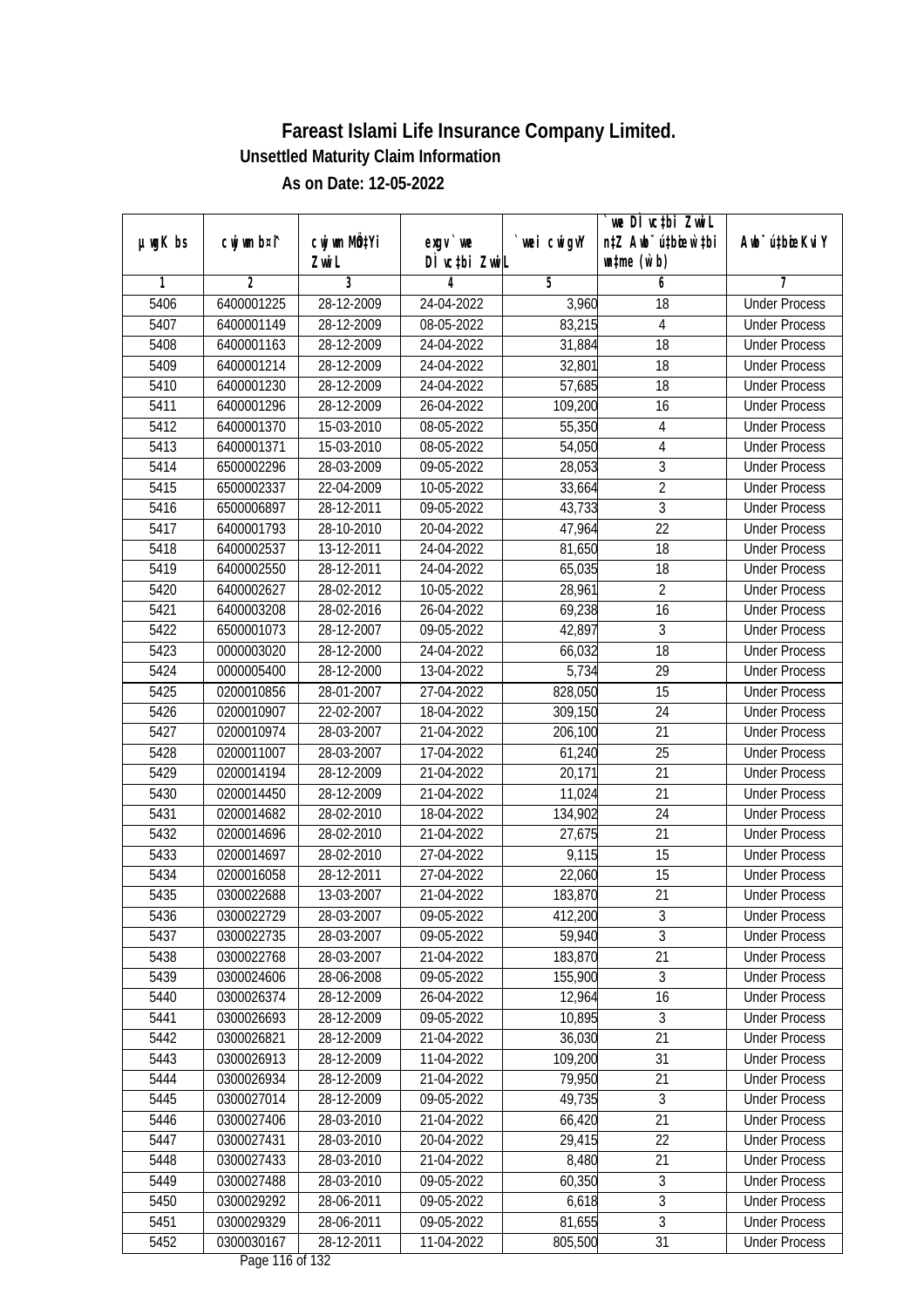|               |             |                           |                                     |             | `we DÌ vc‡bi ZwiL                |                             |
|---------------|-------------|---------------------------|-------------------------------------|-------------|----------------------------------|-----------------------------|
| $µ$ ug $K$ bs | cwj wm b¤i^ | cwj wm MQ <sup>1</sup> Yi | $exgV$ we                           | `wei cwigvY | n‡Z Awb <sup>-</sup> ú‡bioar`‡bi | Awb <sup>-</sup> ú‡bioeKviY |
|               |             | Zwi L                     | DÌ vctbi ZwiL                       |             | $\n  untime\n  (u`b)\n$          |                             |
| 1             | 2           | 3                         | 4                                   | 5           | 6                                | 7                           |
| 5406          | 6400001225  | 28-12-2009                | 24-04-2022                          | 3,960       | 18                               | <b>Under Process</b>        |
| 5407          | 6400001149  | 28-12-2009                | 08-05-2022                          | 83,215      | 4                                | <b>Under Process</b>        |
| 5408          | 6400001163  | 28-12-2009                | 24-04-2022                          | 31,884      | $\overline{18}$                  | <b>Under Process</b>        |
| 5409          | 6400001214  | 28-12-2009                | 24-04-2022                          | 32,801      | 18                               | <b>Under Process</b>        |
| 5410          | 6400001230  | 28-12-2009                | 24-04-2022                          | 57,685      | 18                               | <b>Under Process</b>        |
| 5411          | 6400001296  | 28-12-2009                | 26-04-2022                          | 109,200     | 16                               | <b>Under Process</b>        |
| 5412          | 6400001370  | 15-03-2010                | 08-05-2022                          | 55,350      | 4                                | <b>Under Process</b>        |
| 5413          | 6400001371  | 15-03-2010                | 08-05-2022                          | 54,050      | $\overline{4}$                   | <b>Under Process</b>        |
| 5414          | 6500002296  | 28-03-2009                | 09-05-2022                          | 28,053      | $\overline{3}$                   | <b>Under Process</b>        |
| 5415          | 6500002337  | 22-04-2009                | 10-05-2022                          | 33,664      | $\overline{2}$                   | <b>Under Process</b>        |
| 5416          | 6500006897  | 28-12-2011                | 09-05-2022                          | 43,733      | 3                                | <b>Under Process</b>        |
| 5417          | 6400001793  | 28-10-2010                | 20-04-2022                          | 47,964      | 22                               | <b>Under Process</b>        |
| 5418          | 6400002537  | 13-12-2011                | 24-04-2022                          | 81,650      | $\overline{18}$                  | <b>Under Process</b>        |
| 5419          | 6400002550  | 28-12-2011                | 24-04-2022                          | 65,035      | 18                               | <b>Under Process</b>        |
| 5420          | 6400002627  | 28-02-2012                | 10-05-2022                          | 28,961      | $\overline{2}$                   | <b>Under Process</b>        |
| 5421          | 6400003208  | 28-02-2016                | 26-04-2022                          | 69,238      | 16                               | <b>Under Process</b>        |
| 5422          | 6500001073  | 28-12-2007                | 09-05-2022                          | 42,897      | 3                                | <b>Under Process</b>        |
| 5423          | 0000003020  | 28-12-2000                | 24-04-2022                          | 66,032      | 18                               | <b>Under Process</b>        |
| 5424          | 0000005400  | 28-12-2000                | 13-04-2022                          | 5,734       | 29                               | <b>Under Process</b>        |
| 5425          | 0200010856  | 28-01-2007                | 27-04-2022                          | 828,050     | 15                               | <b>Under Process</b>        |
| 5426          | 0200010907  | 22-02-2007                | 18-04-2022                          | 309,150     | 24                               | <b>Under Process</b>        |
| 5427          | 0200010974  | 28-03-2007                | 21-04-2022                          | 206,100     | 21                               | <b>Under Process</b>        |
| 5428          | 0200011007  | 28-03-2007                | 17-04-2022                          | 61,240      | 25                               | <b>Under Process</b>        |
| 5429          | 0200014194  | 28-12-2009                | 21-04-2022                          | 20,171      | 21                               | <b>Under Process</b>        |
| 5430          | 0200014450  | 28-12-2009                | 21-04-2022                          | 11,024      | 21                               | <b>Under Process</b>        |
| 5431          | 0200014682  | 28-02-2010                | 18-04-2022                          | 134,902     | 24                               | <b>Under Process</b>        |
| 5432          | 0200014696  | 28-02-2010                | 21-04-2022                          | 27,675      | 21                               | <b>Under Process</b>        |
| 5433          | 0200014697  | 28-02-2010                | 27-04-2022                          | 9,115       | 15                               | <b>Under Process</b>        |
| 5434          | 0200016058  | 28-12-2011                | 27-04-2022                          | 22,060      | 15                               | <b>Under Process</b>        |
| 5435          | 0300022688  | 13-03-2007                | 21-04-2022                          | 183,870     | 21                               | <b>Under Process</b>        |
| 5436          | 0300022729  | 28-03-2007                | 09-05-2022                          | 412,200     | 3                                | <b>Under Process</b>        |
| 5437          | 0300022735  | 28-03-2007                | 09-05-2022                          | 59,940      | $\overline{3}$                   | <b>Under Process</b>        |
| 5438          | 0300022768  | 28-03-2007                | 21-04-2022                          | 183,870     | 21                               | <b>Under Process</b>        |
| 5439          | 0300024606  | 28-06-2008                | 09-05-2022                          | 155,900     | 3                                | <b>Under Process</b>        |
| 5440          | 0300026374  | 28-12-2009                | 26-04-2022                          | 12,964      | 16                               | <b>Under Process</b>        |
| 5441          | 0300026693  | 28-12-2009                | 09-05-2022                          | 10,895      | 3                                | <b>Under Process</b>        |
| 5442          | 0300026821  | 28-12-2009                | 21-04-2022                          | 36,030      | 21                               | <b>Under Process</b>        |
| 5443          | 0300026913  | 28-12-2009                | 11-04-2022                          | 109,200     | 31                               | <b>Under Process</b>        |
| 5444          | 0300026934  | 28-12-2009                | 21-04-2022                          | 79,950      | 21                               | <b>Under Process</b>        |
| 5445          | 0300027014  | 28-12-2009                | 09-05-2022                          | 49,735      | $\sqrt{3}$                       | <b>Under Process</b>        |
| 5446          | 0300027406  | 28-03-2010                | 21-04-2022                          | 66,420      | 21                               | <b>Under Process</b>        |
| 5447          | 0300027431  | 28-03-2010                | 20-04-2022                          | 29,415      | 22                               | <b>Under Process</b>        |
| 5448          | 0300027433  | 28-03-2010                | 21-04-2022                          | 8,480       | $\overline{21}$                  | <b>Under Process</b>        |
| 5449          | 0300027488  | 28-03-2010                | 09-05-2022                          | 60,350      | 3                                | <b>Under Process</b>        |
| 5450          | 0300029292  | 28-06-2011                | 09-05-2022                          | 6,618       | $\overline{3}$                   | <b>Under Process</b>        |
| 5451          | 0300029329  | 28-06-2011                | 09-05-2022                          | 81,655      | $\overline{3}$                   | <b>Under Process</b>        |
| 5452          | 0300030167  | 28-12-2011                | 11-04-2022<br>$D_{0.92}$ 11/ of 122 | 805,500     | 31                               | <b>Under Process</b>        |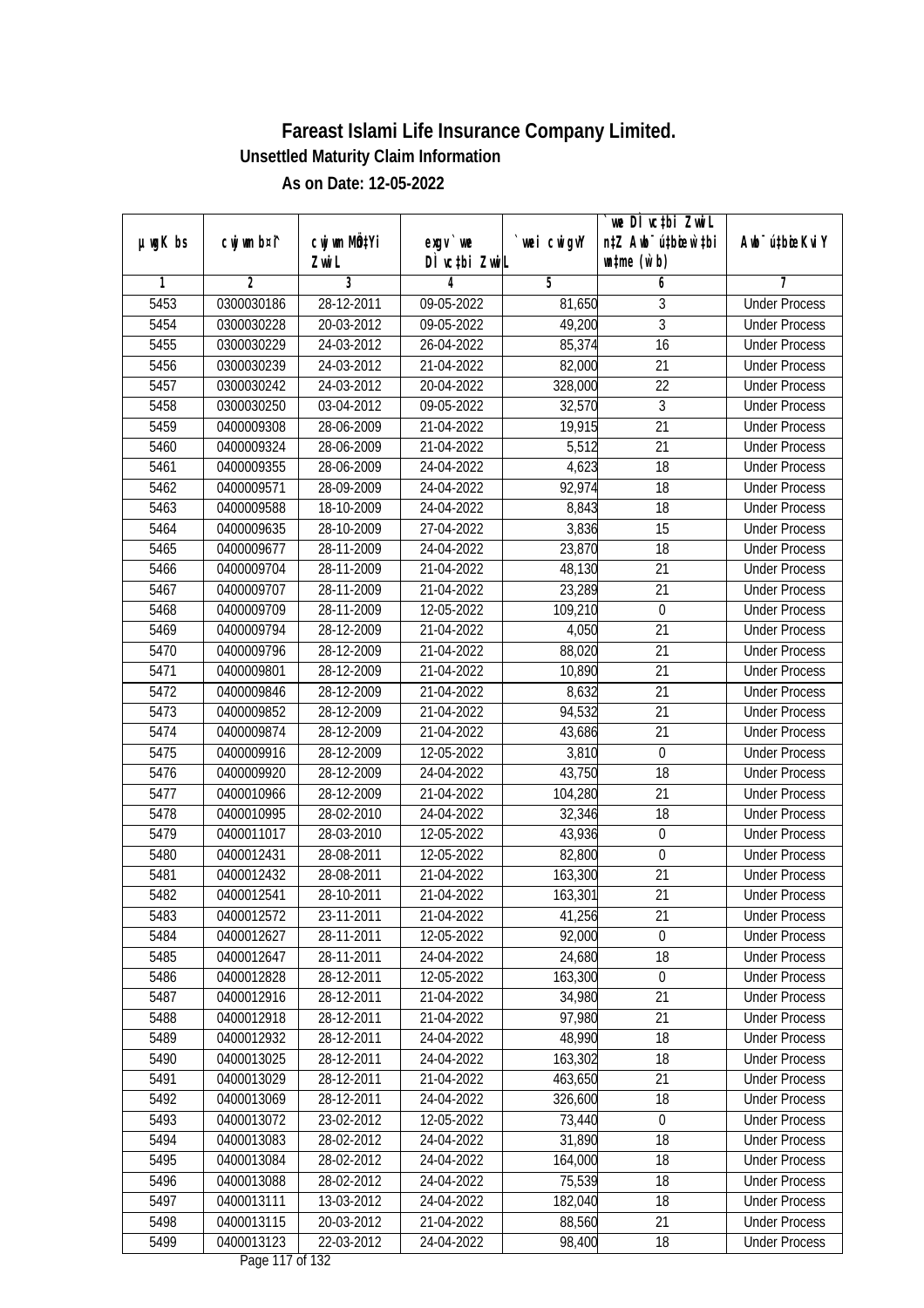| $exgV$ we<br>DÌ vctbi ZwiL<br>$\n  untime\n  (u`b)\n$<br>Zwi L<br>3<br>$\overline{2}$<br>$\overline{5}$<br>6<br>1<br>4<br>7<br>5453<br>0300030186<br>28-12-2011<br>09-05-2022<br>3<br><b>Under Process</b><br>81,650<br>$\overline{3}$<br>5454<br>20-03-2012<br>$09-05-2022$<br>49,200<br>0300030228<br><b>Under Process</b><br>5455<br>85,374<br>$\overline{16}$<br>0300030229<br>24-03-2012<br>26-04-2022<br><b>Under Process</b><br>5456<br>24-03-2012<br>21-04-2022<br>21<br>0300030239<br>82,000<br><b>Under Process</b><br>5457<br>$\overline{22}$<br>0300030242<br>24-03-2012<br>20-04-2022<br>328,000<br><b>Under Process</b><br>3<br>5458<br>0300030250<br>03-04-2012<br>09-05-2022<br>32,570<br><b>Under Process</b><br>$\overline{21}$<br>5459<br>28-06-2009<br>21-04-2022<br>19,915<br>0400009308<br><b>Under Process</b><br>$\overline{21}$<br>5460<br>0400009324<br>28-06-2009<br>21-04-2022<br>5,512<br><b>Under Process</b><br>5461<br>4,623<br>0400009355<br>28-06-2009<br>24-04-2022<br>18<br><b>Under Process</b><br>92,974<br>18<br>5462<br>0400009571<br>28-09-2009<br>24-04-2022<br><b>Under Process</b><br>$\overline{18}$<br>5463<br>0400009588<br>18-10-2009<br>24-04-2022<br>8,843<br><b>Under Process</b><br>3,836<br>27-04-2022<br>15<br>5464<br>0400009635<br>28-10-2009<br><b>Under Process</b><br>23,870<br>$\overline{18}$<br>5465<br>0400009677<br>28-11-2009<br>24-04-2022<br><b>Under Process</b><br>5466<br>21-04-2022<br>21<br>0400009704<br>28-11-2009<br>48,130<br><b>Under Process</b><br>5467<br>0400009707<br>28-11-2009<br>21-04-2022<br>23,289<br>21<br><b>Under Process</b><br>5468<br>0400009709<br>28-11-2009<br>12-05-2022<br>109,210<br>$\boldsymbol{0}$<br><b>Under Process</b><br>21<br>5469<br>28-12-2009<br>21-04-2022<br>4,050<br>0400009794<br><b>Under Process</b><br>21<br>5470<br>28-12-2009<br>21-04-2022<br>88,020<br>0400009796<br><b>Under Process</b><br>5471<br>0400009801<br>28-12-2009<br>21-04-2022<br>10,890<br>21<br><b>Under Process</b><br>5472<br>8,632<br>21<br>0400009846<br>28-12-2009<br>21-04-2022<br><b>Under Process</b><br>21<br>5473<br>0400009852<br>28-12-2009<br>21-04-2022<br>94,532<br><b>Under Process</b><br>5474<br>21-04-2022<br>21<br>0400009874<br>28-12-2009<br>43,686<br><b>Under Process</b><br>5475<br>3,810<br>28-12-2009<br>12-05-2022<br>$\boldsymbol{0}$<br>0400009916<br><b>Under Process</b><br>5476<br>18<br>28-12-2009<br>24-04-2022<br>43,750<br>0400009920<br><b>Under Process</b><br>5477<br>21<br>0400010966<br>28-12-2009<br>21-04-2022<br>104,280<br><b>Under Process</b><br>5478<br>0400010995<br>28-02-2010<br>24-04-2022<br>18<br>32,346<br><b>Under Process</b><br>5479<br>0400011017<br>28-03-2010<br>12-05-2022<br>43,936<br>$\boldsymbol{0}$<br><b>Under Process</b><br>5480<br>28-08-2011<br>12-05-2022<br>82,800<br>$\boldsymbol{0}$<br>0400012431<br><b>Under Process</b><br>5481<br>21<br>0400012432<br>28-08-2011<br>21-04-2022<br>163,300<br><b>Under Process</b><br>5482<br>21<br>0400012541<br>28-10-2011<br>21-04-2022<br>163,301<br><b>Under Process</b><br>5483<br>0400012572<br>23-11-2011<br>21-04-2022<br>41,256<br>21<br><b>Under Process</b><br>0400012627<br>28-11-2011<br>12-05-2022<br>92,000<br>0<br>5484<br><b>Under Process</b><br>24,680<br>18<br>5485<br>0400012647<br>28-11-2011<br>24-04-2022<br><b>Under Process</b><br>5486<br>163,300<br>$\boldsymbol{0}$<br>0400012828<br>28-12-2011<br>12-05-2022<br><b>Under Process</b><br>5487<br>0400012916<br>34,980<br>28-12-2011<br>21-04-2022<br>21<br><b>Under Process</b><br>5488<br>97,980<br>0400012918<br>28-12-2011<br>21-04-2022<br>21<br><b>Under Process</b><br>48,990<br>18<br>5489<br>0400012932<br>28-12-2011<br>24-04-2022<br><b>Under Process</b><br>5490<br>0400013025<br>163,302<br>18<br>28-12-2011<br>24-04-2022<br><b>Under Process</b><br>463,650<br>21<br>5491<br>0400013029<br>28-12-2011<br>21-04-2022<br><b>Under Process</b><br>5492<br>0400013069<br>28-12-2011<br>24-04-2022<br>326,600<br>18<br><b>Under Process</b><br>5493<br>0400013072<br>23-02-2012<br>12-05-2022<br>73,440<br><b>Under Process</b><br>0<br>5494<br>0400013083<br>28-02-2012<br>18<br>24-04-2022<br>31,890<br><b>Under Process</b><br>5495<br>0400013084<br>28-02-2012<br>24-04-2022<br>164,000<br>18<br><b>Under Process</b><br>75,539<br>18<br>5496<br>0400013088<br>28-02-2012<br>24-04-2022<br><b>Under Process</b><br>5497<br>18<br>0400013111<br>13-03-2012<br>24-04-2022<br>182,040<br><b>Under Process</b><br>88,560<br>5498<br>0400013115<br>20-03-2012<br>21<br><b>Under Process</b><br>21-04-2022<br>5499<br>0400013123<br>22-03-2012<br>98,400<br>24-04-2022<br>18<br><b>Under Process</b> |         |             |              |             | we DI vctbi ZwiL                 |                             |
|-----------------------------------------------------------------------------------------------------------------------------------------------------------------------------------------------------------------------------------------------------------------------------------------------------------------------------------------------------------------------------------------------------------------------------------------------------------------------------------------------------------------------------------------------------------------------------------------------------------------------------------------------------------------------------------------------------------------------------------------------------------------------------------------------------------------------------------------------------------------------------------------------------------------------------------------------------------------------------------------------------------------------------------------------------------------------------------------------------------------------------------------------------------------------------------------------------------------------------------------------------------------------------------------------------------------------------------------------------------------------------------------------------------------------------------------------------------------------------------------------------------------------------------------------------------------------------------------------------------------------------------------------------------------------------------------------------------------------------------------------------------------------------------------------------------------------------------------------------------------------------------------------------------------------------------------------------------------------------------------------------------------------------------------------------------------------------------------------------------------------------------------------------------------------------------------------------------------------------------------------------------------------------------------------------------------------------------------------------------------------------------------------------------------------------------------------------------------------------------------------------------------------------------------------------------------------------------------------------------------------------------------------------------------------------------------------------------------------------------------------------------------------------------------------------------------------------------------------------------------------------------------------------------------------------------------------------------------------------------------------------------------------------------------------------------------------------------------------------------------------------------------------------------------------------------------------------------------------------------------------------------------------------------------------------------------------------------------------------------------------------------------------------------------------------------------------------------------------------------------------------------------------------------------------------------------------------------------------------------------------------------------------------------------------------------------------------------------------------------------------------------------------------------------------------------------------------------------------------------------------------------------------------------------------------------------------------------------------------------------------------------------------------------------------------------------------------------------------------------------------------------------------------------------------------------------------------------------------------------------------------------------------------------------------------------------------------------------------------------------------------------------------------------------------------------------------------------------------------------------------------------------------------------------------------------------------------------------------------------------------------------------------------------------------------------------------------|---------|-------------|--------------|-------------|----------------------------------|-----------------------------|
|                                                                                                                                                                                                                                                                                                                                                                                                                                                                                                                                                                                                                                                                                                                                                                                                                                                                                                                                                                                                                                                                                                                                                                                                                                                                                                                                                                                                                                                                                                                                                                                                                                                                                                                                                                                                                                                                                                                                                                                                                                                                                                                                                                                                                                                                                                                                                                                                                                                                                                                                                                                                                                                                                                                                                                                                                                                                                                                                                                                                                                                                                                                                                                                                                                                                                                                                                                                                                                                                                                                                                                                                                                                                                                                                                                                                                                                                                                                                                                                                                                                                                                                                                                                                                                                                                                                                                                                                                                                                                                                                                                                                                                                                                                     | µwgK bs | cwj wm b¤i^ | cwj wm MQtYi | `wei cwigvY | n‡Z Awb <sup>-</sup> ú‡bioar`‡bi | Awb <sup>-</sup> ú‡bioeKviY |
|                                                                                                                                                                                                                                                                                                                                                                                                                                                                                                                                                                                                                                                                                                                                                                                                                                                                                                                                                                                                                                                                                                                                                                                                                                                                                                                                                                                                                                                                                                                                                                                                                                                                                                                                                                                                                                                                                                                                                                                                                                                                                                                                                                                                                                                                                                                                                                                                                                                                                                                                                                                                                                                                                                                                                                                                                                                                                                                                                                                                                                                                                                                                                                                                                                                                                                                                                                                                                                                                                                                                                                                                                                                                                                                                                                                                                                                                                                                                                                                                                                                                                                                                                                                                                                                                                                                                                                                                                                                                                                                                                                                                                                                                                                     |         |             |              |             |                                  |                             |
|                                                                                                                                                                                                                                                                                                                                                                                                                                                                                                                                                                                                                                                                                                                                                                                                                                                                                                                                                                                                                                                                                                                                                                                                                                                                                                                                                                                                                                                                                                                                                                                                                                                                                                                                                                                                                                                                                                                                                                                                                                                                                                                                                                                                                                                                                                                                                                                                                                                                                                                                                                                                                                                                                                                                                                                                                                                                                                                                                                                                                                                                                                                                                                                                                                                                                                                                                                                                                                                                                                                                                                                                                                                                                                                                                                                                                                                                                                                                                                                                                                                                                                                                                                                                                                                                                                                                                                                                                                                                                                                                                                                                                                                                                                     |         |             |              |             |                                  |                             |
|                                                                                                                                                                                                                                                                                                                                                                                                                                                                                                                                                                                                                                                                                                                                                                                                                                                                                                                                                                                                                                                                                                                                                                                                                                                                                                                                                                                                                                                                                                                                                                                                                                                                                                                                                                                                                                                                                                                                                                                                                                                                                                                                                                                                                                                                                                                                                                                                                                                                                                                                                                                                                                                                                                                                                                                                                                                                                                                                                                                                                                                                                                                                                                                                                                                                                                                                                                                                                                                                                                                                                                                                                                                                                                                                                                                                                                                                                                                                                                                                                                                                                                                                                                                                                                                                                                                                                                                                                                                                                                                                                                                                                                                                                                     |         |             |              |             |                                  |                             |
|                                                                                                                                                                                                                                                                                                                                                                                                                                                                                                                                                                                                                                                                                                                                                                                                                                                                                                                                                                                                                                                                                                                                                                                                                                                                                                                                                                                                                                                                                                                                                                                                                                                                                                                                                                                                                                                                                                                                                                                                                                                                                                                                                                                                                                                                                                                                                                                                                                                                                                                                                                                                                                                                                                                                                                                                                                                                                                                                                                                                                                                                                                                                                                                                                                                                                                                                                                                                                                                                                                                                                                                                                                                                                                                                                                                                                                                                                                                                                                                                                                                                                                                                                                                                                                                                                                                                                                                                                                                                                                                                                                                                                                                                                                     |         |             |              |             |                                  |                             |
|                                                                                                                                                                                                                                                                                                                                                                                                                                                                                                                                                                                                                                                                                                                                                                                                                                                                                                                                                                                                                                                                                                                                                                                                                                                                                                                                                                                                                                                                                                                                                                                                                                                                                                                                                                                                                                                                                                                                                                                                                                                                                                                                                                                                                                                                                                                                                                                                                                                                                                                                                                                                                                                                                                                                                                                                                                                                                                                                                                                                                                                                                                                                                                                                                                                                                                                                                                                                                                                                                                                                                                                                                                                                                                                                                                                                                                                                                                                                                                                                                                                                                                                                                                                                                                                                                                                                                                                                                                                                                                                                                                                                                                                                                                     |         |             |              |             |                                  |                             |
|                                                                                                                                                                                                                                                                                                                                                                                                                                                                                                                                                                                                                                                                                                                                                                                                                                                                                                                                                                                                                                                                                                                                                                                                                                                                                                                                                                                                                                                                                                                                                                                                                                                                                                                                                                                                                                                                                                                                                                                                                                                                                                                                                                                                                                                                                                                                                                                                                                                                                                                                                                                                                                                                                                                                                                                                                                                                                                                                                                                                                                                                                                                                                                                                                                                                                                                                                                                                                                                                                                                                                                                                                                                                                                                                                                                                                                                                                                                                                                                                                                                                                                                                                                                                                                                                                                                                                                                                                                                                                                                                                                                                                                                                                                     |         |             |              |             |                                  |                             |
|                                                                                                                                                                                                                                                                                                                                                                                                                                                                                                                                                                                                                                                                                                                                                                                                                                                                                                                                                                                                                                                                                                                                                                                                                                                                                                                                                                                                                                                                                                                                                                                                                                                                                                                                                                                                                                                                                                                                                                                                                                                                                                                                                                                                                                                                                                                                                                                                                                                                                                                                                                                                                                                                                                                                                                                                                                                                                                                                                                                                                                                                                                                                                                                                                                                                                                                                                                                                                                                                                                                                                                                                                                                                                                                                                                                                                                                                                                                                                                                                                                                                                                                                                                                                                                                                                                                                                                                                                                                                                                                                                                                                                                                                                                     |         |             |              |             |                                  |                             |
|                                                                                                                                                                                                                                                                                                                                                                                                                                                                                                                                                                                                                                                                                                                                                                                                                                                                                                                                                                                                                                                                                                                                                                                                                                                                                                                                                                                                                                                                                                                                                                                                                                                                                                                                                                                                                                                                                                                                                                                                                                                                                                                                                                                                                                                                                                                                                                                                                                                                                                                                                                                                                                                                                                                                                                                                                                                                                                                                                                                                                                                                                                                                                                                                                                                                                                                                                                                                                                                                                                                                                                                                                                                                                                                                                                                                                                                                                                                                                                                                                                                                                                                                                                                                                                                                                                                                                                                                                                                                                                                                                                                                                                                                                                     |         |             |              |             |                                  |                             |
|                                                                                                                                                                                                                                                                                                                                                                                                                                                                                                                                                                                                                                                                                                                                                                                                                                                                                                                                                                                                                                                                                                                                                                                                                                                                                                                                                                                                                                                                                                                                                                                                                                                                                                                                                                                                                                                                                                                                                                                                                                                                                                                                                                                                                                                                                                                                                                                                                                                                                                                                                                                                                                                                                                                                                                                                                                                                                                                                                                                                                                                                                                                                                                                                                                                                                                                                                                                                                                                                                                                                                                                                                                                                                                                                                                                                                                                                                                                                                                                                                                                                                                                                                                                                                                                                                                                                                                                                                                                                                                                                                                                                                                                                                                     |         |             |              |             |                                  |                             |
|                                                                                                                                                                                                                                                                                                                                                                                                                                                                                                                                                                                                                                                                                                                                                                                                                                                                                                                                                                                                                                                                                                                                                                                                                                                                                                                                                                                                                                                                                                                                                                                                                                                                                                                                                                                                                                                                                                                                                                                                                                                                                                                                                                                                                                                                                                                                                                                                                                                                                                                                                                                                                                                                                                                                                                                                                                                                                                                                                                                                                                                                                                                                                                                                                                                                                                                                                                                                                                                                                                                                                                                                                                                                                                                                                                                                                                                                                                                                                                                                                                                                                                                                                                                                                                                                                                                                                                                                                                                                                                                                                                                                                                                                                                     |         |             |              |             |                                  |                             |
|                                                                                                                                                                                                                                                                                                                                                                                                                                                                                                                                                                                                                                                                                                                                                                                                                                                                                                                                                                                                                                                                                                                                                                                                                                                                                                                                                                                                                                                                                                                                                                                                                                                                                                                                                                                                                                                                                                                                                                                                                                                                                                                                                                                                                                                                                                                                                                                                                                                                                                                                                                                                                                                                                                                                                                                                                                                                                                                                                                                                                                                                                                                                                                                                                                                                                                                                                                                                                                                                                                                                                                                                                                                                                                                                                                                                                                                                                                                                                                                                                                                                                                                                                                                                                                                                                                                                                                                                                                                                                                                                                                                                                                                                                                     |         |             |              |             |                                  |                             |
|                                                                                                                                                                                                                                                                                                                                                                                                                                                                                                                                                                                                                                                                                                                                                                                                                                                                                                                                                                                                                                                                                                                                                                                                                                                                                                                                                                                                                                                                                                                                                                                                                                                                                                                                                                                                                                                                                                                                                                                                                                                                                                                                                                                                                                                                                                                                                                                                                                                                                                                                                                                                                                                                                                                                                                                                                                                                                                                                                                                                                                                                                                                                                                                                                                                                                                                                                                                                                                                                                                                                                                                                                                                                                                                                                                                                                                                                                                                                                                                                                                                                                                                                                                                                                                                                                                                                                                                                                                                                                                                                                                                                                                                                                                     |         |             |              |             |                                  |                             |
|                                                                                                                                                                                                                                                                                                                                                                                                                                                                                                                                                                                                                                                                                                                                                                                                                                                                                                                                                                                                                                                                                                                                                                                                                                                                                                                                                                                                                                                                                                                                                                                                                                                                                                                                                                                                                                                                                                                                                                                                                                                                                                                                                                                                                                                                                                                                                                                                                                                                                                                                                                                                                                                                                                                                                                                                                                                                                                                                                                                                                                                                                                                                                                                                                                                                                                                                                                                                                                                                                                                                                                                                                                                                                                                                                                                                                                                                                                                                                                                                                                                                                                                                                                                                                                                                                                                                                                                                                                                                                                                                                                                                                                                                                                     |         |             |              |             |                                  |                             |
|                                                                                                                                                                                                                                                                                                                                                                                                                                                                                                                                                                                                                                                                                                                                                                                                                                                                                                                                                                                                                                                                                                                                                                                                                                                                                                                                                                                                                                                                                                                                                                                                                                                                                                                                                                                                                                                                                                                                                                                                                                                                                                                                                                                                                                                                                                                                                                                                                                                                                                                                                                                                                                                                                                                                                                                                                                                                                                                                                                                                                                                                                                                                                                                                                                                                                                                                                                                                                                                                                                                                                                                                                                                                                                                                                                                                                                                                                                                                                                                                                                                                                                                                                                                                                                                                                                                                                                                                                                                                                                                                                                                                                                                                                                     |         |             |              |             |                                  |                             |
|                                                                                                                                                                                                                                                                                                                                                                                                                                                                                                                                                                                                                                                                                                                                                                                                                                                                                                                                                                                                                                                                                                                                                                                                                                                                                                                                                                                                                                                                                                                                                                                                                                                                                                                                                                                                                                                                                                                                                                                                                                                                                                                                                                                                                                                                                                                                                                                                                                                                                                                                                                                                                                                                                                                                                                                                                                                                                                                                                                                                                                                                                                                                                                                                                                                                                                                                                                                                                                                                                                                                                                                                                                                                                                                                                                                                                                                                                                                                                                                                                                                                                                                                                                                                                                                                                                                                                                                                                                                                                                                                                                                                                                                                                                     |         |             |              |             |                                  |                             |
|                                                                                                                                                                                                                                                                                                                                                                                                                                                                                                                                                                                                                                                                                                                                                                                                                                                                                                                                                                                                                                                                                                                                                                                                                                                                                                                                                                                                                                                                                                                                                                                                                                                                                                                                                                                                                                                                                                                                                                                                                                                                                                                                                                                                                                                                                                                                                                                                                                                                                                                                                                                                                                                                                                                                                                                                                                                                                                                                                                                                                                                                                                                                                                                                                                                                                                                                                                                                                                                                                                                                                                                                                                                                                                                                                                                                                                                                                                                                                                                                                                                                                                                                                                                                                                                                                                                                                                                                                                                                                                                                                                                                                                                                                                     |         |             |              |             |                                  |                             |
|                                                                                                                                                                                                                                                                                                                                                                                                                                                                                                                                                                                                                                                                                                                                                                                                                                                                                                                                                                                                                                                                                                                                                                                                                                                                                                                                                                                                                                                                                                                                                                                                                                                                                                                                                                                                                                                                                                                                                                                                                                                                                                                                                                                                                                                                                                                                                                                                                                                                                                                                                                                                                                                                                                                                                                                                                                                                                                                                                                                                                                                                                                                                                                                                                                                                                                                                                                                                                                                                                                                                                                                                                                                                                                                                                                                                                                                                                                                                                                                                                                                                                                                                                                                                                                                                                                                                                                                                                                                                                                                                                                                                                                                                                                     |         |             |              |             |                                  |                             |
|                                                                                                                                                                                                                                                                                                                                                                                                                                                                                                                                                                                                                                                                                                                                                                                                                                                                                                                                                                                                                                                                                                                                                                                                                                                                                                                                                                                                                                                                                                                                                                                                                                                                                                                                                                                                                                                                                                                                                                                                                                                                                                                                                                                                                                                                                                                                                                                                                                                                                                                                                                                                                                                                                                                                                                                                                                                                                                                                                                                                                                                                                                                                                                                                                                                                                                                                                                                                                                                                                                                                                                                                                                                                                                                                                                                                                                                                                                                                                                                                                                                                                                                                                                                                                                                                                                                                                                                                                                                                                                                                                                                                                                                                                                     |         |             |              |             |                                  |                             |
|                                                                                                                                                                                                                                                                                                                                                                                                                                                                                                                                                                                                                                                                                                                                                                                                                                                                                                                                                                                                                                                                                                                                                                                                                                                                                                                                                                                                                                                                                                                                                                                                                                                                                                                                                                                                                                                                                                                                                                                                                                                                                                                                                                                                                                                                                                                                                                                                                                                                                                                                                                                                                                                                                                                                                                                                                                                                                                                                                                                                                                                                                                                                                                                                                                                                                                                                                                                                                                                                                                                                                                                                                                                                                                                                                                                                                                                                                                                                                                                                                                                                                                                                                                                                                                                                                                                                                                                                                                                                                                                                                                                                                                                                                                     |         |             |              |             |                                  |                             |
|                                                                                                                                                                                                                                                                                                                                                                                                                                                                                                                                                                                                                                                                                                                                                                                                                                                                                                                                                                                                                                                                                                                                                                                                                                                                                                                                                                                                                                                                                                                                                                                                                                                                                                                                                                                                                                                                                                                                                                                                                                                                                                                                                                                                                                                                                                                                                                                                                                                                                                                                                                                                                                                                                                                                                                                                                                                                                                                                                                                                                                                                                                                                                                                                                                                                                                                                                                                                                                                                                                                                                                                                                                                                                                                                                                                                                                                                                                                                                                                                                                                                                                                                                                                                                                                                                                                                                                                                                                                                                                                                                                                                                                                                                                     |         |             |              |             |                                  |                             |
|                                                                                                                                                                                                                                                                                                                                                                                                                                                                                                                                                                                                                                                                                                                                                                                                                                                                                                                                                                                                                                                                                                                                                                                                                                                                                                                                                                                                                                                                                                                                                                                                                                                                                                                                                                                                                                                                                                                                                                                                                                                                                                                                                                                                                                                                                                                                                                                                                                                                                                                                                                                                                                                                                                                                                                                                                                                                                                                                                                                                                                                                                                                                                                                                                                                                                                                                                                                                                                                                                                                                                                                                                                                                                                                                                                                                                                                                                                                                                                                                                                                                                                                                                                                                                                                                                                                                                                                                                                                                                                                                                                                                                                                                                                     |         |             |              |             |                                  |                             |
|                                                                                                                                                                                                                                                                                                                                                                                                                                                                                                                                                                                                                                                                                                                                                                                                                                                                                                                                                                                                                                                                                                                                                                                                                                                                                                                                                                                                                                                                                                                                                                                                                                                                                                                                                                                                                                                                                                                                                                                                                                                                                                                                                                                                                                                                                                                                                                                                                                                                                                                                                                                                                                                                                                                                                                                                                                                                                                                                                                                                                                                                                                                                                                                                                                                                                                                                                                                                                                                                                                                                                                                                                                                                                                                                                                                                                                                                                                                                                                                                                                                                                                                                                                                                                                                                                                                                                                                                                                                                                                                                                                                                                                                                                                     |         |             |              |             |                                  |                             |
|                                                                                                                                                                                                                                                                                                                                                                                                                                                                                                                                                                                                                                                                                                                                                                                                                                                                                                                                                                                                                                                                                                                                                                                                                                                                                                                                                                                                                                                                                                                                                                                                                                                                                                                                                                                                                                                                                                                                                                                                                                                                                                                                                                                                                                                                                                                                                                                                                                                                                                                                                                                                                                                                                                                                                                                                                                                                                                                                                                                                                                                                                                                                                                                                                                                                                                                                                                                                                                                                                                                                                                                                                                                                                                                                                                                                                                                                                                                                                                                                                                                                                                                                                                                                                                                                                                                                                                                                                                                                                                                                                                                                                                                                                                     |         |             |              |             |                                  |                             |
|                                                                                                                                                                                                                                                                                                                                                                                                                                                                                                                                                                                                                                                                                                                                                                                                                                                                                                                                                                                                                                                                                                                                                                                                                                                                                                                                                                                                                                                                                                                                                                                                                                                                                                                                                                                                                                                                                                                                                                                                                                                                                                                                                                                                                                                                                                                                                                                                                                                                                                                                                                                                                                                                                                                                                                                                                                                                                                                                                                                                                                                                                                                                                                                                                                                                                                                                                                                                                                                                                                                                                                                                                                                                                                                                                                                                                                                                                                                                                                                                                                                                                                                                                                                                                                                                                                                                                                                                                                                                                                                                                                                                                                                                                                     |         |             |              |             |                                  |                             |
|                                                                                                                                                                                                                                                                                                                                                                                                                                                                                                                                                                                                                                                                                                                                                                                                                                                                                                                                                                                                                                                                                                                                                                                                                                                                                                                                                                                                                                                                                                                                                                                                                                                                                                                                                                                                                                                                                                                                                                                                                                                                                                                                                                                                                                                                                                                                                                                                                                                                                                                                                                                                                                                                                                                                                                                                                                                                                                                                                                                                                                                                                                                                                                                                                                                                                                                                                                                                                                                                                                                                                                                                                                                                                                                                                                                                                                                                                                                                                                                                                                                                                                                                                                                                                                                                                                                                                                                                                                                                                                                                                                                                                                                                                                     |         |             |              |             |                                  |                             |
|                                                                                                                                                                                                                                                                                                                                                                                                                                                                                                                                                                                                                                                                                                                                                                                                                                                                                                                                                                                                                                                                                                                                                                                                                                                                                                                                                                                                                                                                                                                                                                                                                                                                                                                                                                                                                                                                                                                                                                                                                                                                                                                                                                                                                                                                                                                                                                                                                                                                                                                                                                                                                                                                                                                                                                                                                                                                                                                                                                                                                                                                                                                                                                                                                                                                                                                                                                                                                                                                                                                                                                                                                                                                                                                                                                                                                                                                                                                                                                                                                                                                                                                                                                                                                                                                                                                                                                                                                                                                                                                                                                                                                                                                                                     |         |             |              |             |                                  |                             |
|                                                                                                                                                                                                                                                                                                                                                                                                                                                                                                                                                                                                                                                                                                                                                                                                                                                                                                                                                                                                                                                                                                                                                                                                                                                                                                                                                                                                                                                                                                                                                                                                                                                                                                                                                                                                                                                                                                                                                                                                                                                                                                                                                                                                                                                                                                                                                                                                                                                                                                                                                                                                                                                                                                                                                                                                                                                                                                                                                                                                                                                                                                                                                                                                                                                                                                                                                                                                                                                                                                                                                                                                                                                                                                                                                                                                                                                                                                                                                                                                                                                                                                                                                                                                                                                                                                                                                                                                                                                                                                                                                                                                                                                                                                     |         |             |              |             |                                  |                             |
|                                                                                                                                                                                                                                                                                                                                                                                                                                                                                                                                                                                                                                                                                                                                                                                                                                                                                                                                                                                                                                                                                                                                                                                                                                                                                                                                                                                                                                                                                                                                                                                                                                                                                                                                                                                                                                                                                                                                                                                                                                                                                                                                                                                                                                                                                                                                                                                                                                                                                                                                                                                                                                                                                                                                                                                                                                                                                                                                                                                                                                                                                                                                                                                                                                                                                                                                                                                                                                                                                                                                                                                                                                                                                                                                                                                                                                                                                                                                                                                                                                                                                                                                                                                                                                                                                                                                                                                                                                                                                                                                                                                                                                                                                                     |         |             |              |             |                                  |                             |
|                                                                                                                                                                                                                                                                                                                                                                                                                                                                                                                                                                                                                                                                                                                                                                                                                                                                                                                                                                                                                                                                                                                                                                                                                                                                                                                                                                                                                                                                                                                                                                                                                                                                                                                                                                                                                                                                                                                                                                                                                                                                                                                                                                                                                                                                                                                                                                                                                                                                                                                                                                                                                                                                                                                                                                                                                                                                                                                                                                                                                                                                                                                                                                                                                                                                                                                                                                                                                                                                                                                                                                                                                                                                                                                                                                                                                                                                                                                                                                                                                                                                                                                                                                                                                                                                                                                                                                                                                                                                                                                                                                                                                                                                                                     |         |             |              |             |                                  |                             |
|                                                                                                                                                                                                                                                                                                                                                                                                                                                                                                                                                                                                                                                                                                                                                                                                                                                                                                                                                                                                                                                                                                                                                                                                                                                                                                                                                                                                                                                                                                                                                                                                                                                                                                                                                                                                                                                                                                                                                                                                                                                                                                                                                                                                                                                                                                                                                                                                                                                                                                                                                                                                                                                                                                                                                                                                                                                                                                                                                                                                                                                                                                                                                                                                                                                                                                                                                                                                                                                                                                                                                                                                                                                                                                                                                                                                                                                                                                                                                                                                                                                                                                                                                                                                                                                                                                                                                                                                                                                                                                                                                                                                                                                                                                     |         |             |              |             |                                  |                             |
|                                                                                                                                                                                                                                                                                                                                                                                                                                                                                                                                                                                                                                                                                                                                                                                                                                                                                                                                                                                                                                                                                                                                                                                                                                                                                                                                                                                                                                                                                                                                                                                                                                                                                                                                                                                                                                                                                                                                                                                                                                                                                                                                                                                                                                                                                                                                                                                                                                                                                                                                                                                                                                                                                                                                                                                                                                                                                                                                                                                                                                                                                                                                                                                                                                                                                                                                                                                                                                                                                                                                                                                                                                                                                                                                                                                                                                                                                                                                                                                                                                                                                                                                                                                                                                                                                                                                                                                                                                                                                                                                                                                                                                                                                                     |         |             |              |             |                                  |                             |
|                                                                                                                                                                                                                                                                                                                                                                                                                                                                                                                                                                                                                                                                                                                                                                                                                                                                                                                                                                                                                                                                                                                                                                                                                                                                                                                                                                                                                                                                                                                                                                                                                                                                                                                                                                                                                                                                                                                                                                                                                                                                                                                                                                                                                                                                                                                                                                                                                                                                                                                                                                                                                                                                                                                                                                                                                                                                                                                                                                                                                                                                                                                                                                                                                                                                                                                                                                                                                                                                                                                                                                                                                                                                                                                                                                                                                                                                                                                                                                                                                                                                                                                                                                                                                                                                                                                                                                                                                                                                                                                                                                                                                                                                                                     |         |             |              |             |                                  |                             |
|                                                                                                                                                                                                                                                                                                                                                                                                                                                                                                                                                                                                                                                                                                                                                                                                                                                                                                                                                                                                                                                                                                                                                                                                                                                                                                                                                                                                                                                                                                                                                                                                                                                                                                                                                                                                                                                                                                                                                                                                                                                                                                                                                                                                                                                                                                                                                                                                                                                                                                                                                                                                                                                                                                                                                                                                                                                                                                                                                                                                                                                                                                                                                                                                                                                                                                                                                                                                                                                                                                                                                                                                                                                                                                                                                                                                                                                                                                                                                                                                                                                                                                                                                                                                                                                                                                                                                                                                                                                                                                                                                                                                                                                                                                     |         |             |              |             |                                  |                             |
|                                                                                                                                                                                                                                                                                                                                                                                                                                                                                                                                                                                                                                                                                                                                                                                                                                                                                                                                                                                                                                                                                                                                                                                                                                                                                                                                                                                                                                                                                                                                                                                                                                                                                                                                                                                                                                                                                                                                                                                                                                                                                                                                                                                                                                                                                                                                                                                                                                                                                                                                                                                                                                                                                                                                                                                                                                                                                                                                                                                                                                                                                                                                                                                                                                                                                                                                                                                                                                                                                                                                                                                                                                                                                                                                                                                                                                                                                                                                                                                                                                                                                                                                                                                                                                                                                                                                                                                                                                                                                                                                                                                                                                                                                                     |         |             |              |             |                                  |                             |
|                                                                                                                                                                                                                                                                                                                                                                                                                                                                                                                                                                                                                                                                                                                                                                                                                                                                                                                                                                                                                                                                                                                                                                                                                                                                                                                                                                                                                                                                                                                                                                                                                                                                                                                                                                                                                                                                                                                                                                                                                                                                                                                                                                                                                                                                                                                                                                                                                                                                                                                                                                                                                                                                                                                                                                                                                                                                                                                                                                                                                                                                                                                                                                                                                                                                                                                                                                                                                                                                                                                                                                                                                                                                                                                                                                                                                                                                                                                                                                                                                                                                                                                                                                                                                                                                                                                                                                                                                                                                                                                                                                                                                                                                                                     |         |             |              |             |                                  |                             |
|                                                                                                                                                                                                                                                                                                                                                                                                                                                                                                                                                                                                                                                                                                                                                                                                                                                                                                                                                                                                                                                                                                                                                                                                                                                                                                                                                                                                                                                                                                                                                                                                                                                                                                                                                                                                                                                                                                                                                                                                                                                                                                                                                                                                                                                                                                                                                                                                                                                                                                                                                                                                                                                                                                                                                                                                                                                                                                                                                                                                                                                                                                                                                                                                                                                                                                                                                                                                                                                                                                                                                                                                                                                                                                                                                                                                                                                                                                                                                                                                                                                                                                                                                                                                                                                                                                                                                                                                                                                                                                                                                                                                                                                                                                     |         |             |              |             |                                  |                             |
|                                                                                                                                                                                                                                                                                                                                                                                                                                                                                                                                                                                                                                                                                                                                                                                                                                                                                                                                                                                                                                                                                                                                                                                                                                                                                                                                                                                                                                                                                                                                                                                                                                                                                                                                                                                                                                                                                                                                                                                                                                                                                                                                                                                                                                                                                                                                                                                                                                                                                                                                                                                                                                                                                                                                                                                                                                                                                                                                                                                                                                                                                                                                                                                                                                                                                                                                                                                                                                                                                                                                                                                                                                                                                                                                                                                                                                                                                                                                                                                                                                                                                                                                                                                                                                                                                                                                                                                                                                                                                                                                                                                                                                                                                                     |         |             |              |             |                                  |                             |
|                                                                                                                                                                                                                                                                                                                                                                                                                                                                                                                                                                                                                                                                                                                                                                                                                                                                                                                                                                                                                                                                                                                                                                                                                                                                                                                                                                                                                                                                                                                                                                                                                                                                                                                                                                                                                                                                                                                                                                                                                                                                                                                                                                                                                                                                                                                                                                                                                                                                                                                                                                                                                                                                                                                                                                                                                                                                                                                                                                                                                                                                                                                                                                                                                                                                                                                                                                                                                                                                                                                                                                                                                                                                                                                                                                                                                                                                                                                                                                                                                                                                                                                                                                                                                                                                                                                                                                                                                                                                                                                                                                                                                                                                                                     |         |             |              |             |                                  |                             |
|                                                                                                                                                                                                                                                                                                                                                                                                                                                                                                                                                                                                                                                                                                                                                                                                                                                                                                                                                                                                                                                                                                                                                                                                                                                                                                                                                                                                                                                                                                                                                                                                                                                                                                                                                                                                                                                                                                                                                                                                                                                                                                                                                                                                                                                                                                                                                                                                                                                                                                                                                                                                                                                                                                                                                                                                                                                                                                                                                                                                                                                                                                                                                                                                                                                                                                                                                                                                                                                                                                                                                                                                                                                                                                                                                                                                                                                                                                                                                                                                                                                                                                                                                                                                                                                                                                                                                                                                                                                                                                                                                                                                                                                                                                     |         |             |              |             |                                  |                             |
|                                                                                                                                                                                                                                                                                                                                                                                                                                                                                                                                                                                                                                                                                                                                                                                                                                                                                                                                                                                                                                                                                                                                                                                                                                                                                                                                                                                                                                                                                                                                                                                                                                                                                                                                                                                                                                                                                                                                                                                                                                                                                                                                                                                                                                                                                                                                                                                                                                                                                                                                                                                                                                                                                                                                                                                                                                                                                                                                                                                                                                                                                                                                                                                                                                                                                                                                                                                                                                                                                                                                                                                                                                                                                                                                                                                                                                                                                                                                                                                                                                                                                                                                                                                                                                                                                                                                                                                                                                                                                                                                                                                                                                                                                                     |         |             |              |             |                                  |                             |
|                                                                                                                                                                                                                                                                                                                                                                                                                                                                                                                                                                                                                                                                                                                                                                                                                                                                                                                                                                                                                                                                                                                                                                                                                                                                                                                                                                                                                                                                                                                                                                                                                                                                                                                                                                                                                                                                                                                                                                                                                                                                                                                                                                                                                                                                                                                                                                                                                                                                                                                                                                                                                                                                                                                                                                                                                                                                                                                                                                                                                                                                                                                                                                                                                                                                                                                                                                                                                                                                                                                                                                                                                                                                                                                                                                                                                                                                                                                                                                                                                                                                                                                                                                                                                                                                                                                                                                                                                                                                                                                                                                                                                                                                                                     |         |             |              |             |                                  |                             |
|                                                                                                                                                                                                                                                                                                                                                                                                                                                                                                                                                                                                                                                                                                                                                                                                                                                                                                                                                                                                                                                                                                                                                                                                                                                                                                                                                                                                                                                                                                                                                                                                                                                                                                                                                                                                                                                                                                                                                                                                                                                                                                                                                                                                                                                                                                                                                                                                                                                                                                                                                                                                                                                                                                                                                                                                                                                                                                                                                                                                                                                                                                                                                                                                                                                                                                                                                                                                                                                                                                                                                                                                                                                                                                                                                                                                                                                                                                                                                                                                                                                                                                                                                                                                                                                                                                                                                                                                                                                                                                                                                                                                                                                                                                     |         |             |              |             |                                  |                             |
|                                                                                                                                                                                                                                                                                                                                                                                                                                                                                                                                                                                                                                                                                                                                                                                                                                                                                                                                                                                                                                                                                                                                                                                                                                                                                                                                                                                                                                                                                                                                                                                                                                                                                                                                                                                                                                                                                                                                                                                                                                                                                                                                                                                                                                                                                                                                                                                                                                                                                                                                                                                                                                                                                                                                                                                                                                                                                                                                                                                                                                                                                                                                                                                                                                                                                                                                                                                                                                                                                                                                                                                                                                                                                                                                                                                                                                                                                                                                                                                                                                                                                                                                                                                                                                                                                                                                                                                                                                                                                                                                                                                                                                                                                                     |         |             |              |             |                                  |                             |
|                                                                                                                                                                                                                                                                                                                                                                                                                                                                                                                                                                                                                                                                                                                                                                                                                                                                                                                                                                                                                                                                                                                                                                                                                                                                                                                                                                                                                                                                                                                                                                                                                                                                                                                                                                                                                                                                                                                                                                                                                                                                                                                                                                                                                                                                                                                                                                                                                                                                                                                                                                                                                                                                                                                                                                                                                                                                                                                                                                                                                                                                                                                                                                                                                                                                                                                                                                                                                                                                                                                                                                                                                                                                                                                                                                                                                                                                                                                                                                                                                                                                                                                                                                                                                                                                                                                                                                                                                                                                                                                                                                                                                                                                                                     |         |             |              |             |                                  |                             |
|                                                                                                                                                                                                                                                                                                                                                                                                                                                                                                                                                                                                                                                                                                                                                                                                                                                                                                                                                                                                                                                                                                                                                                                                                                                                                                                                                                                                                                                                                                                                                                                                                                                                                                                                                                                                                                                                                                                                                                                                                                                                                                                                                                                                                                                                                                                                                                                                                                                                                                                                                                                                                                                                                                                                                                                                                                                                                                                                                                                                                                                                                                                                                                                                                                                                                                                                                                                                                                                                                                                                                                                                                                                                                                                                                                                                                                                                                                                                                                                                                                                                                                                                                                                                                                                                                                                                                                                                                                                                                                                                                                                                                                                                                                     |         |             |              |             |                                  |                             |
|                                                                                                                                                                                                                                                                                                                                                                                                                                                                                                                                                                                                                                                                                                                                                                                                                                                                                                                                                                                                                                                                                                                                                                                                                                                                                                                                                                                                                                                                                                                                                                                                                                                                                                                                                                                                                                                                                                                                                                                                                                                                                                                                                                                                                                                                                                                                                                                                                                                                                                                                                                                                                                                                                                                                                                                                                                                                                                                                                                                                                                                                                                                                                                                                                                                                                                                                                                                                                                                                                                                                                                                                                                                                                                                                                                                                                                                                                                                                                                                                                                                                                                                                                                                                                                                                                                                                                                                                                                                                                                                                                                                                                                                                                                     |         |             |              |             |                                  |                             |
|                                                                                                                                                                                                                                                                                                                                                                                                                                                                                                                                                                                                                                                                                                                                                                                                                                                                                                                                                                                                                                                                                                                                                                                                                                                                                                                                                                                                                                                                                                                                                                                                                                                                                                                                                                                                                                                                                                                                                                                                                                                                                                                                                                                                                                                                                                                                                                                                                                                                                                                                                                                                                                                                                                                                                                                                                                                                                                                                                                                                                                                                                                                                                                                                                                                                                                                                                                                                                                                                                                                                                                                                                                                                                                                                                                                                                                                                                                                                                                                                                                                                                                                                                                                                                                                                                                                                                                                                                                                                                                                                                                                                                                                                                                     |         |             |              |             |                                  |                             |
|                                                                                                                                                                                                                                                                                                                                                                                                                                                                                                                                                                                                                                                                                                                                                                                                                                                                                                                                                                                                                                                                                                                                                                                                                                                                                                                                                                                                                                                                                                                                                                                                                                                                                                                                                                                                                                                                                                                                                                                                                                                                                                                                                                                                                                                                                                                                                                                                                                                                                                                                                                                                                                                                                                                                                                                                                                                                                                                                                                                                                                                                                                                                                                                                                                                                                                                                                                                                                                                                                                                                                                                                                                                                                                                                                                                                                                                                                                                                                                                                                                                                                                                                                                                                                                                                                                                                                                                                                                                                                                                                                                                                                                                                                                     |         |             |              |             |                                  |                             |
|                                                                                                                                                                                                                                                                                                                                                                                                                                                                                                                                                                                                                                                                                                                                                                                                                                                                                                                                                                                                                                                                                                                                                                                                                                                                                                                                                                                                                                                                                                                                                                                                                                                                                                                                                                                                                                                                                                                                                                                                                                                                                                                                                                                                                                                                                                                                                                                                                                                                                                                                                                                                                                                                                                                                                                                                                                                                                                                                                                                                                                                                                                                                                                                                                                                                                                                                                                                                                                                                                                                                                                                                                                                                                                                                                                                                                                                                                                                                                                                                                                                                                                                                                                                                                                                                                                                                                                                                                                                                                                                                                                                                                                                                                                     |         |             |              |             |                                  |                             |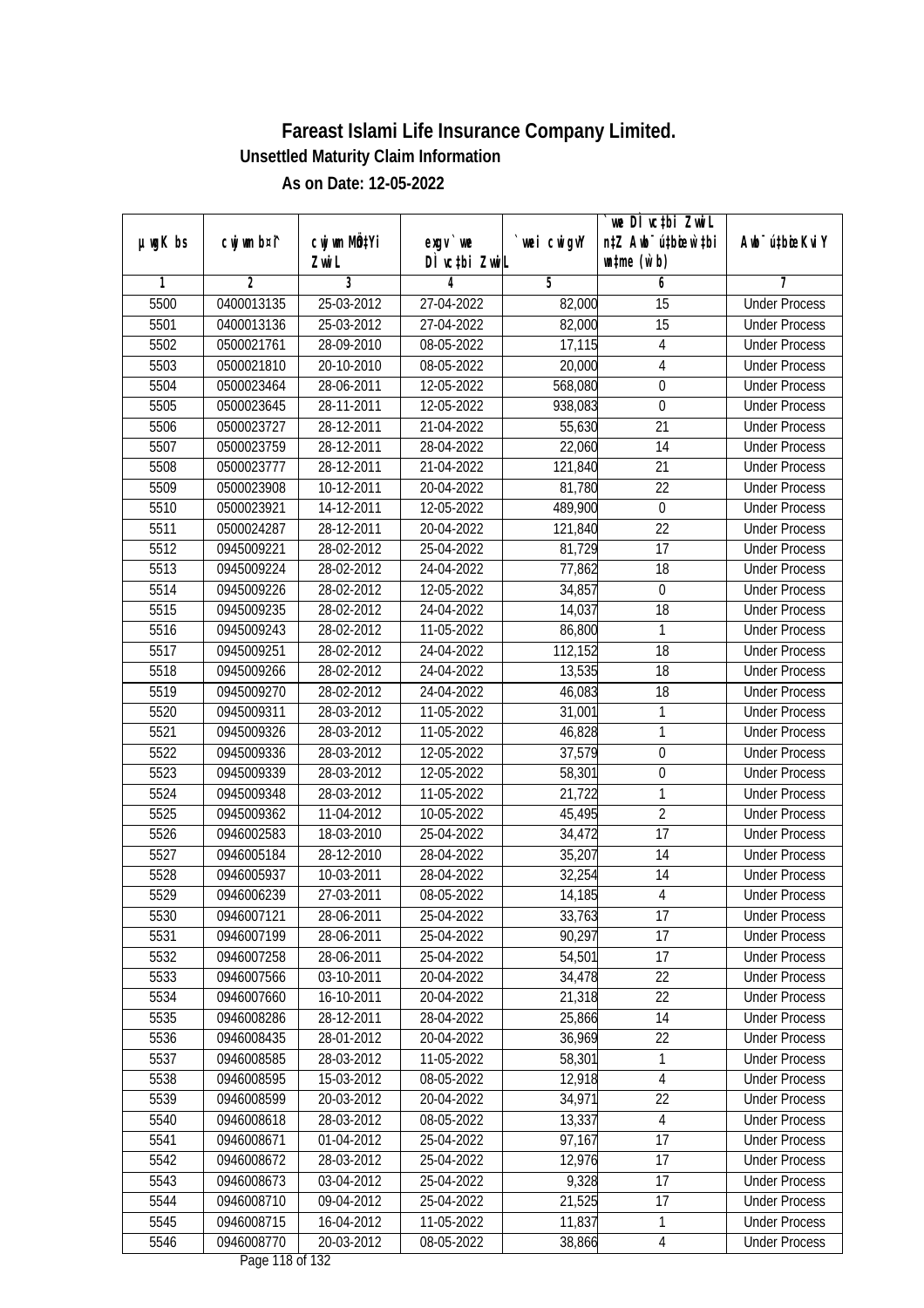|         |                |              |                               |                | we DI vctbi ZwiL                 |                             |
|---------|----------------|--------------|-------------------------------|----------------|----------------------------------|-----------------------------|
| µwgK bs | cwj wm b¤i^    | cwj wm MQtYi | exgv `we                      | `wei cwigvY    | n‡Z Awb <sup>-</sup> ú‡bioar`‡bi | Awb <sup>-</sup> ú‡bioeKviY |
|         |                | Zwi L        | DÌ vctbi ZwiL                 |                | $\n  untime\n  (u`b)\n$          |                             |
| 1       | $\overline{2}$ | 3            | 4                             | $\overline{5}$ | 6                                | 7                           |
| 5500    | 0400013135     | 25-03-2012   | 27-04-2022                    | 82,000         | $\overline{15}$                  | <b>Under Process</b>        |
| 5501    | 0400013136     | 25-03-2012   | 27-04-2022                    | 82,000         | $\overline{15}$                  | <b>Under Process</b>        |
| 5502    | 0500021761     | 28-09-2010   | 08-05-2022                    | 17,115         | $\sqrt{4}$                       | <b>Under Process</b>        |
| 5503    | 0500021810     | 20-10-2010   | 08-05-2022                    | 20,000         | 4                                | <b>Under Process</b>        |
| 5504    | 0500023464     | 28-06-2011   | 12-05-2022                    | 568,080        | $\boldsymbol{0}$                 | <b>Under Process</b>        |
| 5505    | 0500023645     | 28-11-2011   | 12-05-2022                    | 938,083        | 0                                | <b>Under Process</b>        |
| 5506    | 0500023727     | 28-12-2011   | 21-04-2022                    | 55,630         | $\overline{21}$                  | <b>Under Process</b>        |
| 5507    | 0500023759     | 28-12-2011   | 28-04-2022                    | 22,060         | $\overline{14}$                  | <b>Under Process</b>        |
| 5508    | 0500023777     | 28-12-2011   | 21-04-2022                    | 121,840        | 21                               | <b>Under Process</b>        |
| 5509    | 0500023908     | 10-12-2011   | 20-04-2022                    | 81,780         | 22                               | <b>Under Process</b>        |
| 5510    | 0500023921     | 14-12-2011   | 12-05-2022                    | 489,900        | $\mathbf 0$                      | <b>Under Process</b>        |
| 5511    | 0500024287     | 28-12-2011   | 20-04-2022                    | 121,840        | 22                               | <b>Under Process</b>        |
| 5512    | 0945009221     | 28-02-2012   | 25-04-2022                    | 81,729         | $\overline{17}$                  | <b>Under Process</b>        |
| 5513    | 0945009224     | 28-02-2012   | 24-04-2022                    | 77,862         | 18                               | <b>Under Process</b>        |
| 5514    | 0945009226     | 28-02-2012   | 12-05-2022                    | 34,857         | $\boldsymbol{0}$                 | <b>Under Process</b>        |
| 5515    | 0945009235     | 28-02-2012   | 24-04-2022                    | 14,037         | 18                               | <b>Under Process</b>        |
| 5516    | 0945009243     | 28-02-2012   | 11-05-2022                    | 86,800         | 1                                | <b>Under Process</b>        |
| 5517    | 0945009251     | 28-02-2012   | 24-04-2022                    | 112,152        | 18                               | <b>Under Process</b>        |
| 5518    | 0945009266     | 28-02-2012   | 24-04-2022                    | 13,535         | 18                               | <b>Under Process</b>        |
| 5519    | 0945009270     | 28-02-2012   | 24-04-2022                    | 46,083         | 18                               | <b>Under Process</b>        |
| 5520    | 0945009311     | 28-03-2012   | 11-05-2022                    | 31,001         | 1                                | <b>Under Process</b>        |
| 5521    | 0945009326     | 28-03-2012   | 11-05-2022                    | 46,828         | 1                                | <b>Under Process</b>        |
| 5522    | 0945009336     | 28-03-2012   | 12-05-2022                    | 37,579         | $\boldsymbol{0}$                 | <b>Under Process</b>        |
| 5523    | 0945009339     | 28-03-2012   | 12-05-2022                    | 58,301         | $\boldsymbol{0}$                 | <b>Under Process</b>        |
| 5524    | 0945009348     | 28-03-2012   | 11-05-2022                    | 21,722         | 1                                | <b>Under Process</b>        |
| 5525    | 0945009362     | 11-04-2012   | 10-05-2022                    | 45,495         | $\sqrt{2}$                       | <b>Under Process</b>        |
| 5526    | 0946002583     | 18-03-2010   | 25-04-2022                    | 34,472         | 17                               | <b>Under Process</b>        |
| 5527    | 0946005184     | 28-12-2010   | 28-04-2022                    | 35,207         | 14                               | <b>Under Process</b>        |
| 5528    | 0946005937     | 10-03-2011   | 28-04-2022                    | 32,254         | 14                               | <b>Under Process</b>        |
| 5529    | 0946006239     | 27-03-2011   | 08-05-2022                    | 14,185         | $\overline{4}$                   | <b>Under Process</b>        |
| 5530    | 0946007121     | 28-06-2011   | 25-04-2022                    | 33,763         | 17                               | <b>Under Process</b>        |
| 5531    | 0946007199     | 28-06-2011   | 25-04-2022                    | 90,297         | 17                               | <b>Under Process</b>        |
| 5532    | 0946007258     | 28-06-2011   | 25-04-2022                    | 54,501         | 17                               | <b>Under Process</b>        |
| 5533    | 0946007566     | 03-10-2011   | 20-04-2022                    | 34,478         | 22                               | <b>Under Process</b>        |
| 5534    | 0946007660     | 16-10-2011   | 20-04-2022                    | 21,318         | 22                               | <b>Under Process</b>        |
| 5535    | 0946008286     | 28-12-2011   | 28-04-2022                    | 25,866         | 14                               | <b>Under Process</b>        |
| 5536    | 0946008435     | 28-01-2012   | 20-04-2022                    | 36,969         | 22                               | <b>Under Process</b>        |
| 5537    | 0946008585     | 28-03-2012   | 11-05-2022                    | 58,301         | 1                                | <b>Under Process</b>        |
| 5538    | 0946008595     | 15-03-2012   | 08-05-2022                    | 12,918         | $\overline{4}$                   | <b>Under Process</b>        |
| 5539    | 0946008599     | 20-03-2012   | 20-04-2022                    | 34,971         | 22                               | <b>Under Process</b>        |
| 5540    | 0946008618     | 28-03-2012   | 08-05-2022                    | 13,337         | 4                                | <b>Under Process</b>        |
| 5541    | 0946008671     | 01-04-2012   | 25-04-2022                    | 97,167         | 17                               | <b>Under Process</b>        |
| 5542    | 0946008672     | 28-03-2012   | 25-04-2022                    | 12,976         | 17                               | <b>Under Process</b>        |
| 5543    | 0946008673     | 03-04-2012   | 25-04-2022                    | 9,328          | 17                               | <b>Under Process</b>        |
| 5544    | 0946008710     | 09-04-2012   | 25-04-2022                    | 21,525         | 17                               | <b>Under Process</b>        |
| 5545    | 0946008715     | 16-04-2012   | 11-05-2022                    | 11,837         | 1                                | <b>Under Process</b>        |
| 5546    | 0946008770     | 20-03-2012   | 08-05-2022<br>Dege 110 of 123 | 38,866         | 4                                | <b>Under Process</b>        |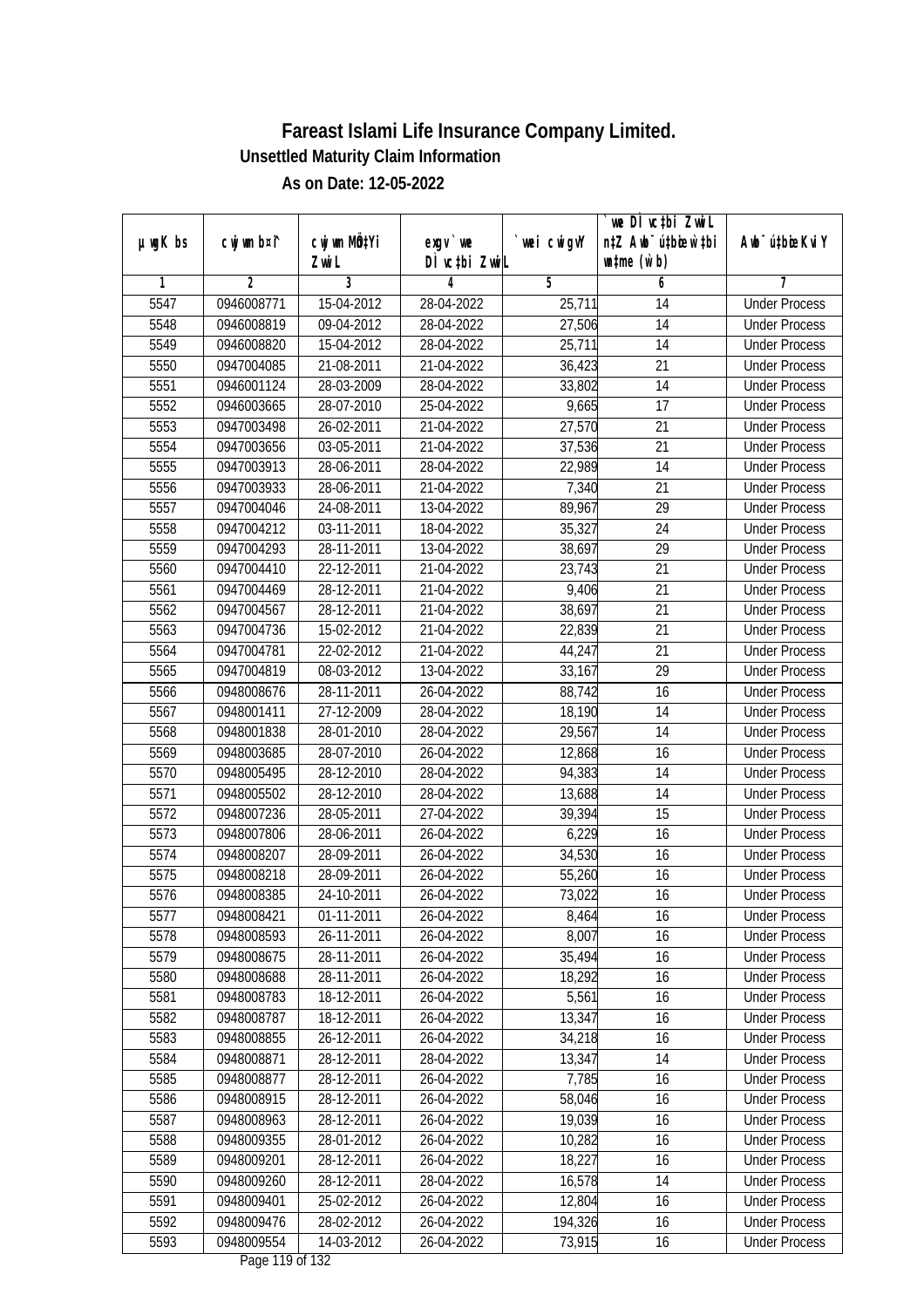|         |                |              |                                     |                | we DI vctbi ZwiL                 |                             |
|---------|----------------|--------------|-------------------------------------|----------------|----------------------------------|-----------------------------|
| µwgK bs | cwj wm b¤i^    | cwj wm MQtYi | exgv `we                            | `wei cwigvY    | n‡Z Awb <sup>-</sup> ú‡bioar`‡bi | Awb <sup>-</sup> ú‡bioeKviY |
|         |                | Zwi L        | DÌ vctbi ZwiL                       |                | $\n  untime\n  (u`b)\n$          |                             |
| 1       | $\overline{2}$ | 3            | 4                                   | $\overline{5}$ | 6                                | 7                           |
| 5547    | 0946008771     | 15-04-2012   | 28-04-2022                          | 25,711         | 14                               | <b>Under Process</b>        |
| 5548    | 0946008819     | 09-04-2012   | 28-04-2022                          | 27,506         | $\overline{14}$                  | <b>Under Process</b>        |
| 5549    | 0946008820     | 15-04-2012   | 28-04-2022                          | 25,711         | 14                               | <b>Under Process</b>        |
| 5550    | 0947004085     | 21-08-2011   | 21-04-2022                          | 36,423         | 21                               | <b>Under Process</b>        |
| 5551    | 0946001124     | 28-03-2009   | 28-04-2022                          | 33,802         | $\overline{14}$                  | <b>Under Process</b>        |
| 5552    | 0946003665     | 28-07-2010   | 25-04-2022                          | 9,665          | 17                               | <b>Under Process</b>        |
| 5553    | 0947003498     | 26-02-2011   | 21-04-2022                          | 27,570         | 21                               | <b>Under Process</b>        |
| 5554    | 0947003656     | 03-05-2011   | 21-04-2022                          | 37,536         | 21                               | <b>Under Process</b>        |
| 5555    | 0947003913     | 28-06-2011   | 28-04-2022                          | 22,989         | 14                               | <b>Under Process</b>        |
| 5556    | 0947003933     | 28-06-2011   | 21-04-2022                          | 7,340          | 21                               | <b>Under Process</b>        |
| 5557    | 0947004046     | 24-08-2011   | 13-04-2022                          | 89,967         | $\overline{29}$                  | <b>Under Process</b>        |
| 5558    | 0947004212     | 03-11-2011   | 18-04-2022                          | 35,327         | 24                               | <b>Under Process</b>        |
| 5559    | 0947004293     | 28-11-2011   | 13-04-2022                          | 38,697         | $\overline{29}$                  | <b>Under Process</b>        |
| 5560    | 0947004410     | 22-12-2011   | 21-04-2022                          | 23,743         | 21                               | <b>Under Process</b>        |
| 5561    | 0947004469     | 28-12-2011   | 21-04-2022                          | 9,406          | 21                               | <b>Under Process</b>        |
| 5562    | 0947004567     | 28-12-2011   | 21-04-2022                          | 38,697         | 21                               | <b>Under Process</b>        |
| 5563    | 0947004736     | 15-02-2012   | 21-04-2022                          | 22,839         | 21                               | <b>Under Process</b>        |
| 5564    | 0947004781     | 22-02-2012   | 21-04-2022                          | 44,247         | 21                               | <b>Under Process</b>        |
| 5565    | 0947004819     | 08-03-2012   | 13-04-2022                          | 33,167         | 29                               | <b>Under Process</b>        |
| 5566    | 0948008676     | 28-11-2011   | 26-04-2022                          | 88,742         | 16                               | <b>Under Process</b>        |
| 5567    | 0948001411     | 27-12-2009   | 28-04-2022                          | 18,190         | 14                               | <b>Under Process</b>        |
| 5568    | 0948001838     | 28-01-2010   | 28-04-2022                          | 29,567         | 14                               | <b>Under Process</b>        |
| 5569    | 0948003685     | 28-07-2010   | 26-04-2022                          | 12,868         | 16                               | <b>Under Process</b>        |
| 5570    | 0948005495     | 28-12-2010   | 28-04-2022                          | 94,383         | 14                               | <b>Under Process</b>        |
| 5571    | 0948005502     | 28-12-2010   | 28-04-2022                          | 13,688         | 14                               | <b>Under Process</b>        |
| 5572    | 0948007236     | 28-05-2011   | 27-04-2022                          | 39,394         | 15                               | <b>Under Process</b>        |
| 5573    | 0948007806     | 28-06-2011   | 26-04-2022                          | 6,229          | 16                               | <b>Under Process</b>        |
| 5574    | 0948008207     | 28-09-2011   | 26-04-2022                          | 34,530         | 16                               | <b>Under Process</b>        |
| 5575    | 0948008218     | 28-09-2011   | 26-04-2022                          | 55,260         | 16                               | <b>Under Process</b>        |
| 5576    | 0948008385     | 24-10-2011   | 26-04-2022                          | 73,022         | 16                               | <b>Under Process</b>        |
| 5577    | 0948008421     | 01-11-2011   | 26-04-2022                          | 8,464          | 16                               | <b>Under Process</b>        |
| 5578    | 0948008593     | 26-11-2011   | 26-04-2022                          | 8,007          | 16                               | <b>Under Process</b>        |
| 5579    | 0948008675     | 28-11-2011   | 26-04-2022                          | 35,494         | 16                               | <b>Under Process</b>        |
| 5580    | 0948008688     | 28-11-2011   | 26-04-2022                          | 18,292         | 16                               | <b>Under Process</b>        |
| 5581    | 0948008783     | 18-12-2011   | 26-04-2022                          | 5,561          | 16                               | <b>Under Process</b>        |
| 5582    | 0948008787     | 18-12-2011   | 26-04-2022                          | 13,347         | 16                               | <b>Under Process</b>        |
| 5583    | 0948008855     | 26-12-2011   | 26-04-2022                          | 34,218         | 16                               | <b>Under Process</b>        |
| 5584    | 0948008871     | 28-12-2011   | 28-04-2022                          | 13,347         | 14                               | <b>Under Process</b>        |
| 5585    | 0948008877     | 28-12-2011   | 26-04-2022                          | 7,785          | 16                               | <b>Under Process</b>        |
| 5586    | 0948008915     | 28-12-2011   | 26-04-2022                          | 58,046         | 16                               | <b>Under Process</b>        |
| 5587    | 0948008963     | 28-12-2011   | 26-04-2022                          | 19,039         | 16                               | <b>Under Process</b>        |
| 5588    | 0948009355     | 28-01-2012   | 26-04-2022                          | 10,282         | 16                               | <b>Under Process</b>        |
| 5589    | 0948009201     | 28-12-2011   | 26-04-2022                          | 18,227         | 16                               | <b>Under Process</b>        |
| 5590    | 0948009260     | 28-12-2011   | 28-04-2022                          | 16,578         | 14                               | <b>Under Process</b>        |
| 5591    | 0948009401     | 25-02-2012   | 26-04-2022                          | 12,804         | 16                               | <b>Under Process</b>        |
| 5592    | 0948009476     | 28-02-2012   | 26-04-2022                          | 194,326        | 16                               | <b>Under Process</b>        |
| 5593    | 0948009554     | $14-03-2012$ | 26-04-2022<br>$D_{0.92}$ 110 of 123 | 73,915         | 16                               | <b>Under Process</b>        |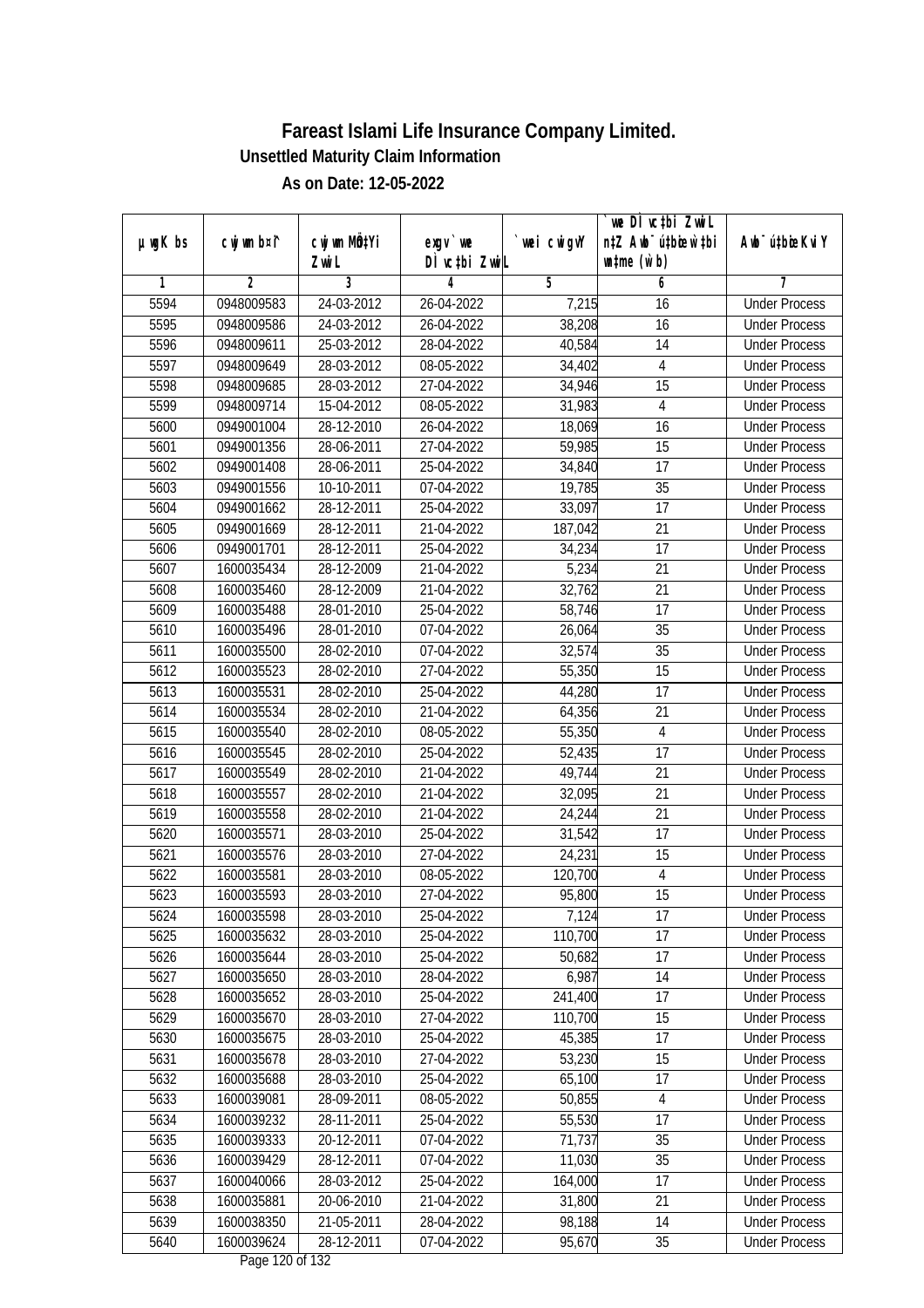|               |             |              |                               |             | `we DÌ vc‡bi ZwiL                |                             |
|---------------|-------------|--------------|-------------------------------|-------------|----------------------------------|-----------------------------|
| $µ$ ug $K$ bs | cwj wm b¤i^ | cwj wm MQtYi | $exgV$ we                     | `wei cwigvY | n‡Z Awb <sup>-</sup> ú‡bioar`‡bi | Awb <sup>-</sup> ú‡bioeKviY |
|               |             | Zwi L        | DÌ vctbi ZwiL                 |             | $\n  untime\n  (u`b)\n$          |                             |
| 1             | 2           | 3            | 4                             | 5           | 6                                | 7                           |
| 5594          | 0948009583  | 24-03-2012   | 26-04-2022                    | 7,215       | 16                               | <b>Under Process</b>        |
| 5595          | 0948009586  | 24-03-2012   | 26-04-2022                    | 38,208      | 16                               | <b>Under Process</b>        |
| 5596          | 0948009611  | 25-03-2012   | 28-04-2022                    | 40,584      | 14                               | <b>Under Process</b>        |
| 5597          | 0948009649  | 28-03-2012   | 08-05-2022                    | 34,402      | $\overline{4}$                   | <b>Under Process</b>        |
| 5598          | 0948009685  | $28-03-2012$ | 27-04-2022                    | 34,946      | 15                               | <b>Under Process</b>        |
| 5599          | 0948009714  | 15-04-2012   | 08-05-2022                    | 31,983      | 4                                | <b>Under Process</b>        |
| 5600          | 0949001004  | 28-12-2010   | 26-04-2022                    | 18,069      | 16                               | <b>Under Process</b>        |
| 5601          | 0949001356  | 28-06-2011   | 27-04-2022                    | 59,985      | $\overline{15}$                  | <b>Under Process</b>        |
| 5602          | 0949001408  | 28-06-2011   | 25-04-2022                    | 34,840      | 17                               | <b>Under Process</b>        |
| 5603          | 0949001556  | 10-10-2011   | 07-04-2022                    | 19,785      | 35                               | <b>Under Process</b>        |
| 5604          | 0949001662  | 28-12-2011   | 25-04-2022                    | 33,097      | 17                               | <b>Under Process</b>        |
| 5605          | 0949001669  | 28-12-2011   | 21-04-2022                    | 187,042     | 21                               | <b>Under Process</b>        |
| 5606          | 0949001701  | 28-12-2011   | 25-04-2022                    | 34,234      | $\overline{17}$                  | <b>Under Process</b>        |
| 5607          | 1600035434  | 28-12-2009   | 21-04-2022                    | 5,234       | 21                               | <b>Under Process</b>        |
| 5608          | 1600035460  | 28-12-2009   | 21-04-2022                    | 32,762      | 21                               | <b>Under Process</b>        |
| 5609          | 1600035488  | 28-01-2010   | 25-04-2022                    | 58,746      | 17                               | <b>Under Process</b>        |
| 5610          | 1600035496  | 28-01-2010   | 07-04-2022                    | 26,064      | 35                               | <b>Under Process</b>        |
| 5611          | 1600035500  | 28-02-2010   | 07-04-2022                    | 32,574      | 35                               | <b>Under Process</b>        |
| 5612          | 1600035523  | 28-02-2010   | 27-04-2022                    | 55,350      | 15                               | <b>Under Process</b>        |
| 5613          | 1600035531  | 28-02-2010   | 25-04-2022                    | 44,280      | 17                               | <b>Under Process</b>        |
| 5614          | 1600035534  | 28-02-2010   | 21-04-2022                    | 64,356      | 21                               | <b>Under Process</b>        |
| 5615          | 1600035540  | 28-02-2010   | 08-05-2022                    | 55,350      | 4                                | <b>Under Process</b>        |
| 5616          | 1600035545  | 28-02-2010   | 25-04-2022                    | 52,435      | 17                               | <b>Under Process</b>        |
| 5617          | 1600035549  | 28-02-2010   | 21-04-2022                    | 49,744      | 21                               | <b>Under Process</b>        |
| 5618          | 1600035557  | 28-02-2010   | 21-04-2022                    | 32,095      | 21                               | <b>Under Process</b>        |
| 5619          | 1600035558  | 28-02-2010   | 21-04-2022                    | 24,244      | 21                               | <b>Under Process</b>        |
| 5620          | 1600035571  | 28-03-2010   | 25-04-2022                    | 31,542      | 17                               | <b>Under Process</b>        |
| 5621          | 1600035576  | 28-03-2010   | 27-04-2022                    | 24,231      | 15                               | <b>Under Process</b>        |
| 5622          | 1600035581  | 28-03-2010   | 08-05-2022                    | 120,700     | $\overline{4}$                   | <b>Under Process</b>        |
| 5623          | 1600035593  | 28-03-2010   | 27-04-2022                    | 95,800      | 15                               | <b>Under Process</b>        |
| 5624          | 1600035598  | 28-03-2010   | 25-04-2022                    | 7,124       | 17                               | <b>Under Process</b>        |
| 5625          | 1600035632  | 28-03-2010   | 25-04-2022                    | 110,700     | 17                               | <b>Under Process</b>        |
| 5626          | 1600035644  | 28-03-2010   | 25-04-2022                    | 50,682      | 17                               | <b>Under Process</b>        |
| 5627          | 1600035650  | 28-03-2010   | 28-04-2022                    | 6,987       | 14                               | <b>Under Process</b>        |
| 5628          | 1600035652  | 28-03-2010   | 25-04-2022                    | 241,400     | 17                               | <b>Under Process</b>        |
| 5629          | 1600035670  | 28-03-2010   | 27-04-2022                    | 110,700     | 15                               | <b>Under Process</b>        |
| 5630          | 1600035675  | 28-03-2010   | 25-04-2022                    | 45,385      | 17                               | <b>Under Process</b>        |
| 5631          | 1600035678  | 28-03-2010   | 27-04-2022                    | 53,230      | 15                               | <b>Under Process</b>        |
| 5632          | 1600035688  | 28-03-2010   | 25-04-2022                    | 65,100      | 17                               | <b>Under Process</b>        |
| 5633          | 1600039081  | 28-09-2011   | 08-05-2022                    | 50,855      | $\sqrt{4}$                       | <b>Under Process</b>        |
| 5634          | 1600039232  | 28-11-2011   | 25-04-2022                    | 55,530      | 17                               | <b>Under Process</b>        |
| 5635          | 1600039333  | 20-12-2011   | 07-04-2022                    | 71,737      | 35                               | <b>Under Process</b>        |
| 5636          | 1600039429  | 28-12-2011   | 07-04-2022                    | 11,030      | $\overline{35}$                  | <b>Under Process</b>        |
| 5637          | 1600040066  | 28-03-2012   | 25-04-2022                    | 164,000     | 17                               | <b>Under Process</b>        |
| 5638          | 1600035881  | 20-06-2010   | 21-04-2022                    | 31,800      | 21                               | <b>Under Process</b>        |
| 5639          | 1600038350  | 21-05-2011   | 28-04-2022                    | 98,188      | 14                               | <b>Under Process</b>        |
| 5640          | 1600039624  | 28-12-2011   | 07-04-2022<br>Dege 100 of 100 | 95,670      | 35                               | <b>Under Process</b>        |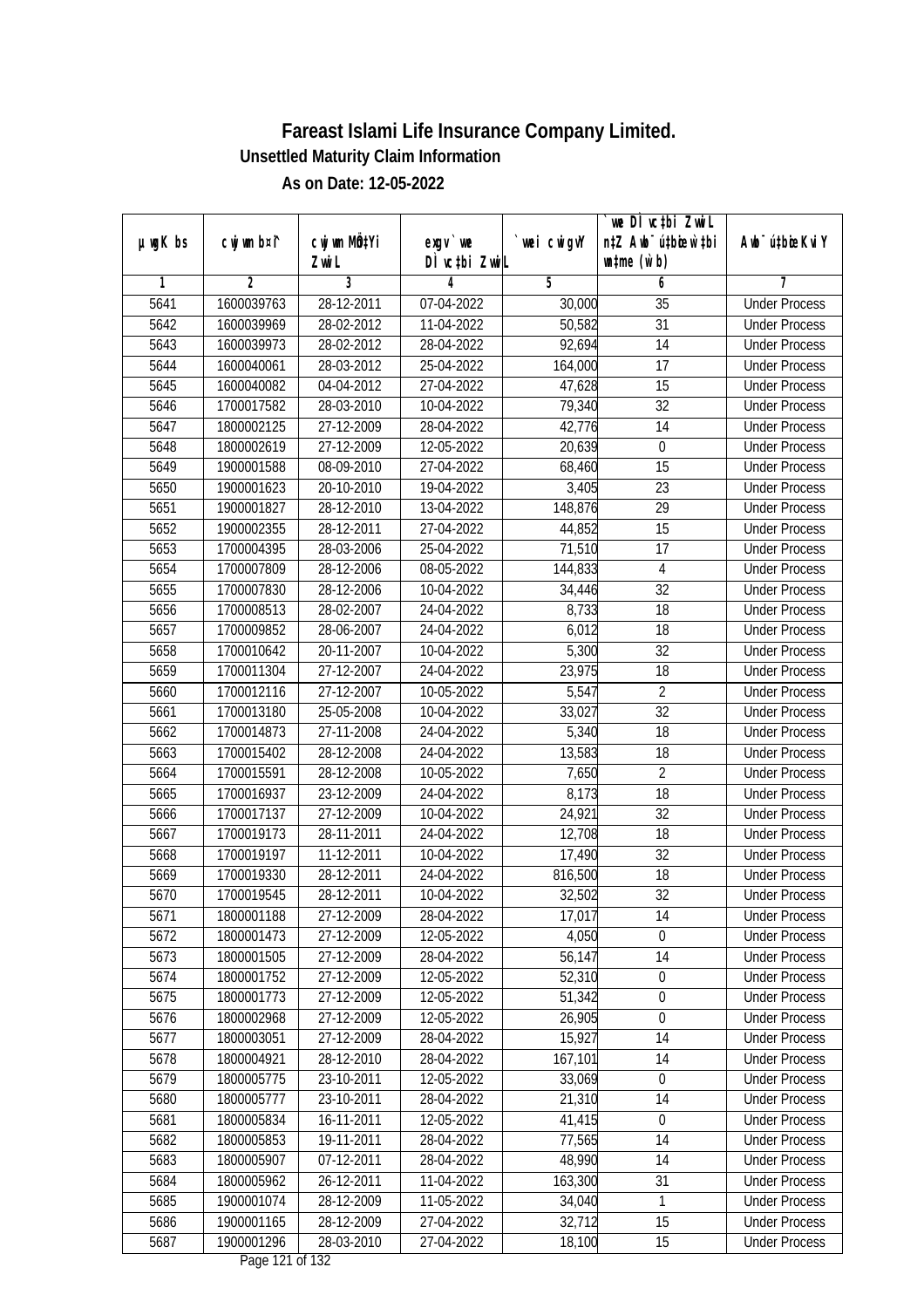|               |             |                          |                               |             | `we DÌ vc‡bi ZwiL                |                             |
|---------------|-------------|--------------------------|-------------------------------|-------------|----------------------------------|-----------------------------|
| $µ$ ug $K$ bs | cwj wm b¤i^ | cwj wm MQtYi             | $exgV$ we                     | `wei cwigvY | n‡Z Awb <sup>-</sup> ú‡bioar`‡bi | Awb <sup>-</sup> ú‡bioeKviY |
| 1             | 2           | Zwi L<br>3               | DÌ vctbi ZwiL<br>4            | 5           | $\n  untime\n  (u`b)\n$<br>6     | 7                           |
| 5641          | 1600039763  | 28-12-2011               | 07-04-2022                    | 30,000      | 35                               | <b>Under Process</b>        |
| 5642          | 1600039969  | 28-02-2012               | 11-04-2022                    | 50,582      | 31                               | <b>Under Process</b>        |
| 5643          | 1600039973  | 28-02-2012               | 28-04-2022                    | 92,694      | 14                               | <b>Under Process</b>        |
| 5644          | 1600040061  | 28-03-2012               | 25-04-2022                    | 164,000     | $\overline{17}$                  | <b>Under Process</b>        |
| 5645          | 1600040082  | 04-04-2012               | 27-04-2022                    | 47,628      | $\overline{15}$                  | <b>Under Process</b>        |
| 5646          | 1700017582  | 28-03-2010               | 10-04-2022                    | 79,340      | $\overline{32}$                  | <b>Under Process</b>        |
| 5647          | 1800002125  | 27-12-2009               | 28-04-2022                    | 42,776      | 14                               | <b>Under Process</b>        |
| 5648          | 1800002619  | 27-12-2009               | 12-05-2022                    | 20,639      | $\boldsymbol{0}$                 | <b>Under Process</b>        |
| 5649          | 1900001588  | 08-09-2010               | 27-04-2022                    | 68,460      | 15                               | <b>Under Process</b>        |
|               | 1900001623  |                          | 19-04-2022                    | 3,405       | 23                               | <b>Under Process</b>        |
| 5650<br>5651  | 1900001827  | 20-10-2010<br>28-12-2010 | 13-04-2022                    | 148,876     | $\overline{29}$                  | <b>Under Process</b>        |
|               |             |                          |                               |             |                                  |                             |
| 5652          | 1900002355  | 28-12-2011               | 27-04-2022                    | 44,852      | 15                               | <b>Under Process</b>        |
| 5653          | 1700004395  | 28-03-2006               | 25-04-2022                    | 71,510      | $\overline{17}$                  | <b>Under Process</b>        |
| 5654          | 1700007809  | 28-12-2006               | 08-05-2022                    | 144,833     | $\overline{4}$                   | <b>Under Process</b>        |
| 5655          | 1700007830  | 28-12-2006               | 10-04-2022                    | 34,446      | 32                               | <b>Under Process</b>        |
| 5656          | 1700008513  | 28-02-2007               | 24-04-2022                    | 8,733       | 18                               | <b>Under Process</b>        |
| 5657          | 1700009852  | 28-06-2007               | 24-04-2022                    | 6,012       | 18                               | <b>Under Process</b>        |
| 5658          | 1700010642  | 20-11-2007               | 10-04-2022                    | 5,300       | 32                               | <b>Under Process</b>        |
| 5659          | 1700011304  | 27-12-2007               | 24-04-2022                    | 23,975      | 18                               | <b>Under Process</b>        |
| 5660          | 1700012116  | 27-12-2007               | 10-05-2022                    | 5,547       | $\overline{2}$                   | <b>Under Process</b>        |
| 5661          | 1700013180  | 25-05-2008               | 10-04-2022                    | 33,027      | 32                               | <b>Under Process</b>        |
| 5662          | 1700014873  | 27-11-2008               | 24-04-2022                    | 5,340       | 18                               | <b>Under Process</b>        |
| 5663          | 1700015402  | 28-12-2008               | 24-04-2022                    | 13,583      | 18                               | <b>Under Process</b>        |
| 5664          | 1700015591  | 28-12-2008               | 10-05-2022                    | 7,650       | $\overline{2}$                   | <b>Under Process</b>        |
| 5665          | 1700016937  | 23-12-2009               | 24-04-2022                    | 8,173       | 18                               | <b>Under Process</b>        |
| 5666          | 1700017137  | 27-12-2009               | 10-04-2022                    | 24,921      | 32                               | <b>Under Process</b>        |
| 5667          | 1700019173  | 28-11-2011               | 24-04-2022                    | 12,708      | 18                               | <b>Under Process</b>        |
| 5668          | 1700019197  | 11-12-2011               | 10-04-2022                    | 17,490      | 32                               | <b>Under Process</b>        |
| 5669          | 1700019330  | 28-12-2011               | 24-04-2022                    | 816,500     | 18                               | <b>Under Process</b>        |
| 5670          | 1700019545  | 28-12-2011               | 10-04-2022                    | 32,502      | 32                               | <b>Under Process</b>        |
| 5671          | 1800001188  | 27-12-2009               | 28-04-2022                    | 17,017      | 14                               | <b>Under Process</b>        |
| 5672          | 1800001473  | 27-12-2009               | 12-05-2022                    | 4,050       | $\mathbf 0$                      | <b>Under Process</b>        |
| 5673          | 1800001505  | 27-12-2009               | 28-04-2022                    | 56,147      | 14                               | <b>Under Process</b>        |
| 5674          | 1800001752  | 27-12-2009               | 12-05-2022                    | 52,310      | $\boldsymbol{0}$                 | <b>Under Process</b>        |
| 5675          | 1800001773  | 27-12-2009               | 12-05-2022                    | 51,342      | $\boldsymbol{0}$                 | <b>Under Process</b>        |
| 5676          | 1800002968  | 27-12-2009               | 12-05-2022                    | 26,905      | 0                                | <b>Under Process</b>        |
| 5677          | 1800003051  | 27-12-2009               | 28-04-2022                    | 15,927      | 14                               | <b>Under Process</b>        |
| 5678          | 1800004921  | 28-12-2010               | 28-04-2022                    | 167,101     | 14                               | <b>Under Process</b>        |
| 5679          | 1800005775  | 23-10-2011               | 12-05-2022                    | 33,069      | $\boldsymbol{0}$                 | <b>Under Process</b>        |
| 5680          | 1800005777  | 23-10-2011               | 28-04-2022                    | 21,310      | 14                               | <b>Under Process</b>        |
| 5681          | 1800005834  | 16-11-2011               | 12-05-2022                    | 41,415      | $\boldsymbol{0}$                 | <b>Under Process</b>        |
| 5682          | 1800005853  | 19-11-2011               | 28-04-2022                    | 77,565      | 14                               | <b>Under Process</b>        |
| 5683          | 1800005907  | 07-12-2011               | 28-04-2022                    | 48,990      | $\overline{14}$                  | <b>Under Process</b>        |
| 5684          | 1800005962  | 26-12-2011               | 11-04-2022                    | 163,300     | 31                               | <b>Under Process</b>        |
| 5685          | 1900001074  | 28-12-2009               | 11-05-2022                    | 34,040      | 1                                | <b>Under Process</b>        |
| 5686          | 1900001165  | 28-12-2009               | 27-04-2022                    | 32,712      | 15                               | <b>Under Process</b>        |
| 5687          | 1900001296  | 28-03-2010               | 27-04-2022<br>Dago 101 of 120 | 18,100      | 15                               | <b>Under Process</b>        |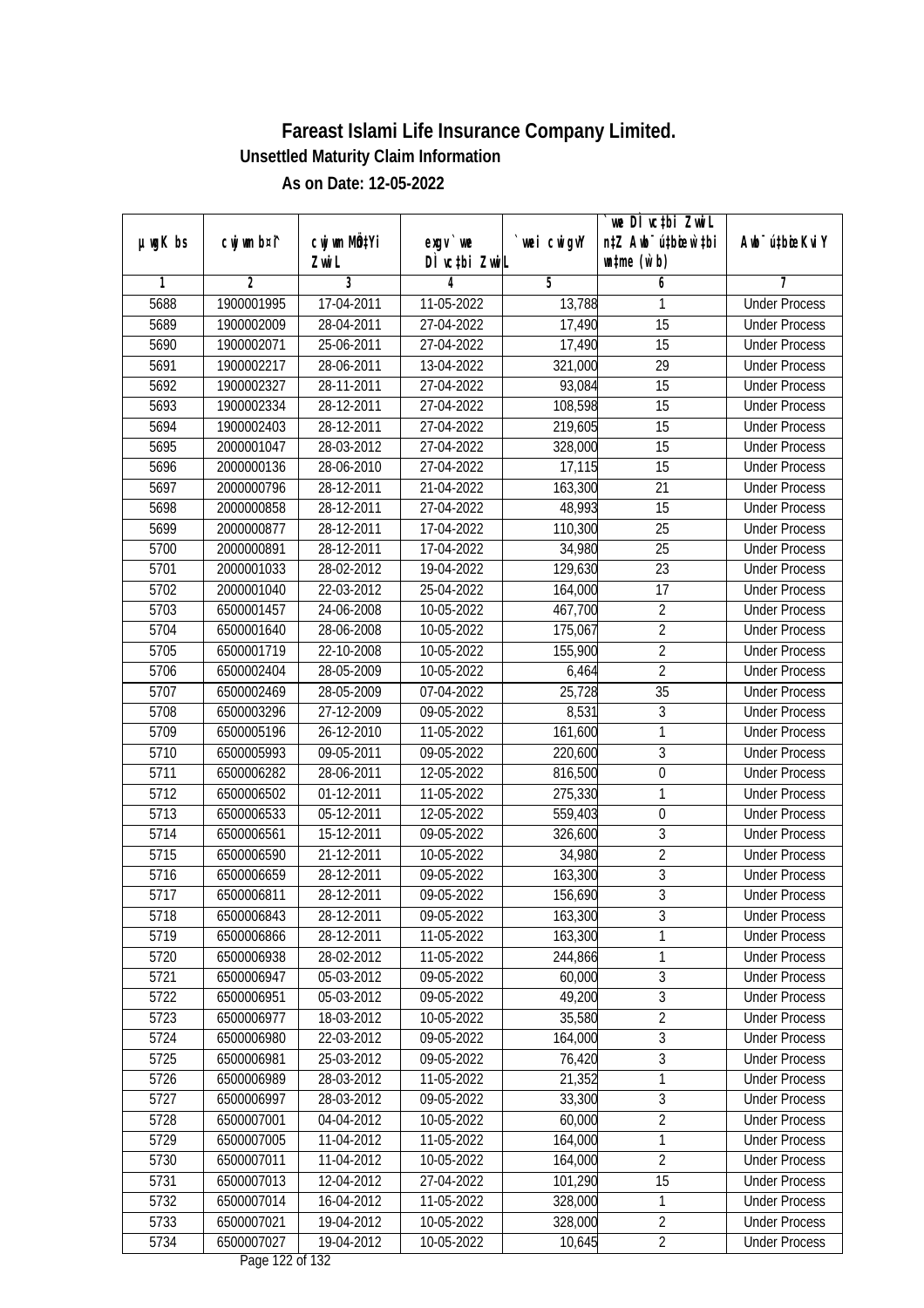|               |             |                           |                               |             | we DI vctbi ZwiL                 |                             |
|---------------|-------------|---------------------------|-------------------------------|-------------|----------------------------------|-----------------------------|
| $µ$ ug $K$ bs | cwj wm b¤i^ | cwj wm MQ <sup>1</sup> Yi | $exgV$ we                     | `wei cwigvY | n‡Z Awb <sup>-</sup> ú‡bioen`‡bi | Awb <sup>-</sup> ú‡bioeKviY |
|               |             | Zwi L                     | DÌ vctbi ZwiL                 |             | $\n  untime\n  (u`b)\n$          |                             |
| 1             | 2           | 3                         | 4                             | 5           | 6                                | 7                           |
| 5688          | 1900001995  | 17-04-2011                | 11-05-2022                    | 13,788      | 1                                | <b>Under Process</b>        |
| 5689          | 1900002009  | 28-04-2011                | 27-04-2022                    | 17,490      | 15                               | <b>Under Process</b>        |
| 5690          | 1900002071  | 25-06-2011                | 27-04-2022                    | 17,490      | 15                               | <b>Under Process</b>        |
| 5691          | 1900002217  | 28-06-2011                | 13-04-2022                    | 321,000     | $\overline{29}$                  | <b>Under Process</b>        |
| 5692          | 1900002327  | $28-11-2011$              | 27-04-2022                    | 93,084      | $\overline{15}$                  | <b>Under Process</b>        |
| 5693          | 1900002334  | 28-12-2011                | 27-04-2022                    | 108,598     | $\overline{15}$                  | <b>Under Process</b>        |
| 5694          | 1900002403  | 28-12-2011                | 27-04-2022                    | 219,605     | 15                               | <b>Under Process</b>        |
| 5695          | 2000001047  | 28-03-2012                | 27-04-2022                    | 328,000     | $\overline{15}$                  | <b>Under Process</b>        |
| 5696          | 2000000136  | 28-06-2010                | 27-04-2022                    | 17,115      | 15                               | <b>Under Process</b>        |
| 5697          | 2000000796  | 28-12-2011                | 21-04-2022                    | 163,300     | 21                               | <b>Under Process</b>        |
| 5698          | 2000000858  | 28-12-2011                | 27-04-2022                    | 48,993      | 15                               | <b>Under Process</b>        |
| 5699          | 2000000877  | 28-12-2011                | 17-04-2022                    | 110,300     | 25                               | <b>Under Process</b>        |
| 5700          | 2000000891  | 28-12-2011                | 17-04-2022                    | 34,980      | $\overline{25}$                  | <b>Under Process</b>        |
| 5701          | 2000001033  | 28-02-2012                | 19-04-2022                    | 129,630     | 23                               | <b>Under Process</b>        |
| 5702          | 2000001040  | 22-03-2012                | 25-04-2022                    | 164,000     | 17                               | <b>Under Process</b>        |
| 5703          | 6500001457  | 24-06-2008                | 10-05-2022                    | 467,700     | $\overline{2}$                   | <b>Under Process</b>        |
| 5704          | 6500001640  | 28-06-2008                | 10-05-2022                    | 175,067     | $\overline{2}$                   | <b>Under Process</b>        |
| 5705          | 6500001719  | 22-10-2008                | 10-05-2022                    | 155,900     | $\overline{2}$                   | <b>Under Process</b>        |
| 5706          | 6500002404  | 28-05-2009                | 10-05-2022                    | 6,464       | $\overline{2}$                   | <b>Under Process</b>        |
| 5707          | 6500002469  | 28-05-2009                | 07-04-2022                    | 25,728      | 35                               | <b>Under Process</b>        |
| 5708          | 6500003296  | 27-12-2009                | 09-05-2022                    | 8,531       | 3                                | <b>Under Process</b>        |
| 5709          | 6500005196  | 26-12-2010                | 11-05-2022                    | 161,600     | 1                                | <b>Under Process</b>        |
| 5710          | 6500005993  | 09-05-2011                | 09-05-2022                    | 220,600     | 3                                | <b>Under Process</b>        |
| 5711          | 6500006282  | 28-06-2011                | 12-05-2022                    | 816,500     | $\boldsymbol{0}$                 | <b>Under Process</b>        |
| 5712          | 6500006502  | 01-12-2011                | 11-05-2022                    | 275,330     | 1                                | <b>Under Process</b>        |
| 5713          | 6500006533  | 05-12-2011                | 12-05-2022                    | 559,403     | $\boldsymbol{0}$                 | <b>Under Process</b>        |
| 5714          | 6500006561  | 15-12-2011                | 09-05-2022                    | 326,600     | 3                                | <b>Under Process</b>        |
| 5715          | 6500006590  | 21-12-2011                | 10-05-2022                    | 34,980      | $\overline{2}$                   | <b>Under Process</b>        |
| 5716          | 6500006659  | 28-12-2011                | 09-05-2022                    | 163,300     | $\overline{3}$                   | <b>Under Process</b>        |
| 5717          | 6500006811  | 28-12-2011                | 09-05-2022                    | 156,690     | $\overline{3}$                   | <b>Under Process</b>        |
| 5718          | 6500006843  | 28-12-2011                | 09-05-2022                    | 163,300     | 3                                | <b>Under Process</b>        |
| 5719          | 6500006866  | 28-12-2011                | 11-05-2022                    | 163,300     | 1                                | <b>Under Process</b>        |
| 5720          | 6500006938  | 28-02-2012                | 11-05-2022                    | 244,866     | 1                                | <b>Under Process</b>        |
| 5721          | 6500006947  | 05-03-2012                | 09-05-2022                    | 60,000      | 3                                | <b>Under Process</b>        |
| 5722          | 6500006951  | 05-03-2012                | 09-05-2022                    | 49,200      | $\overline{3}$                   | <b>Under Process</b>        |
| 5723          | 6500006977  | 18-03-2012                | 10-05-2022                    | 35,580      | $\overline{2}$                   | <b>Under Process</b>        |
| 5724          | 6500006980  | 22-03-2012                | 09-05-2022                    | 164,000     | 3                                | <b>Under Process</b>        |
| 5725          | 6500006981  | 25-03-2012                | 09-05-2022                    | 76,420      | 3                                | <b>Under Process</b>        |
| 5726          | 6500006989  | 28-03-2012                | 11-05-2022                    | 21,352      | 1                                | <b>Under Process</b>        |
| 5727          | 6500006997  | 28-03-2012                | 09-05-2022                    | 33,300      | $\overline{3}$                   | <b>Under Process</b>        |
| 5728          | 6500007001  | 04-04-2012                | 10-05-2022                    | 60,000      | $\overline{2}$                   | <b>Under Process</b>        |
| 5729          | 6500007005  | 11-04-2012                | 11-05-2022                    | 164,000     | 1                                | <b>Under Process</b>        |
| 5730          | 6500007011  | 11-04-2012                | $10-05-2022$                  | 164,000     | $\overline{2}$                   | <b>Under Process</b>        |
| 5731          | 6500007013  | 12-04-2012                | 27-04-2022                    | 101,290     | 15                               | <b>Under Process</b>        |
| 5732          | 6500007014  | 16-04-2012                | 11-05-2022                    | 328,000     | 1                                | <b>Under Process</b>        |
| 5733          | 6500007021  | 19-04-2012                | 10-05-2022                    | 328,000     | $\sqrt{2}$                       | <b>Under Process</b>        |
| 5734          | 6500007027  | 19-04-2012                | 10-05-2022<br>Dege 100 of 100 | 10,645      | $\overline{2}$                   | <b>Under Process</b>        |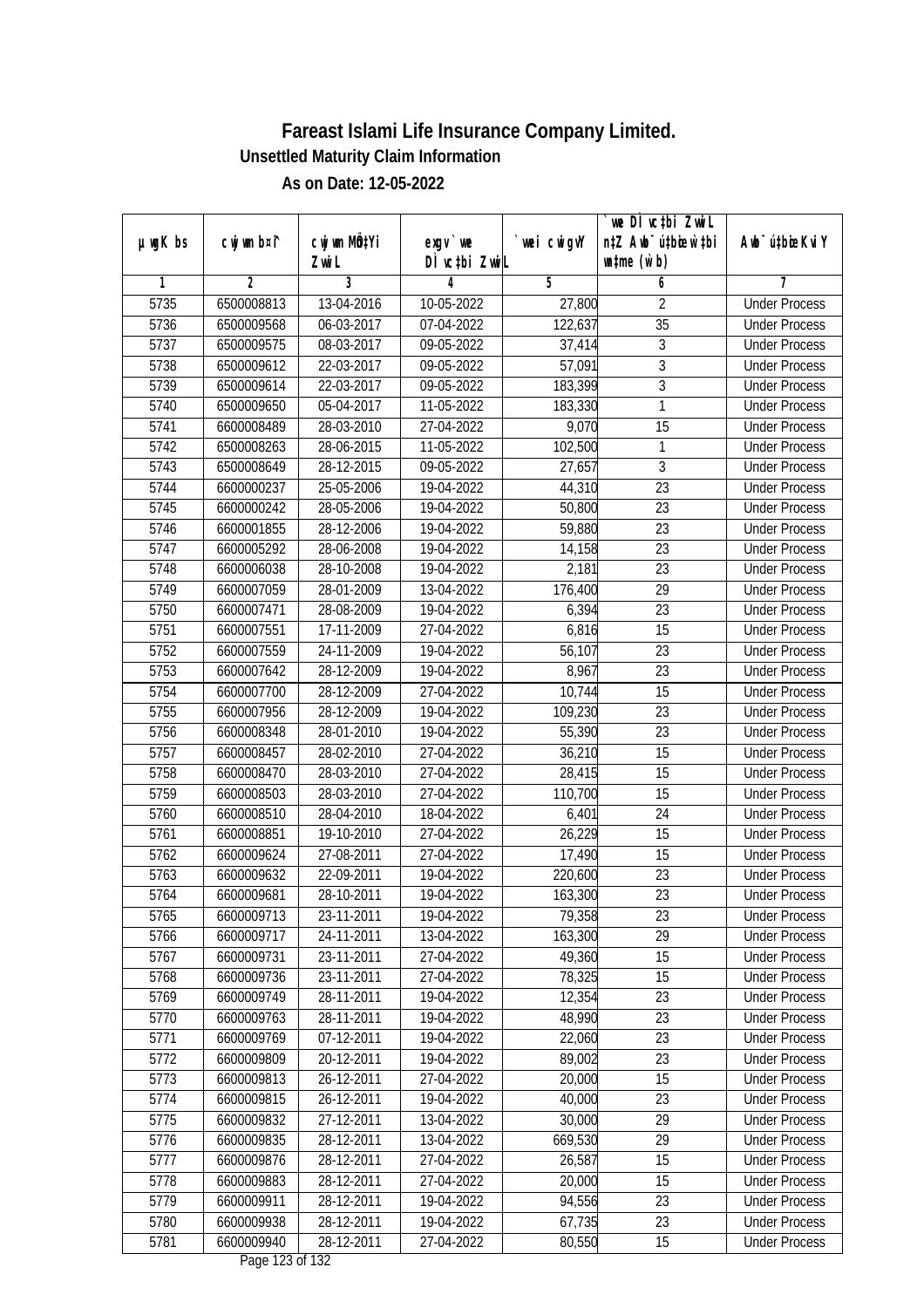|               |                |              |                                     |            | we DI vctbi ZwiL                 |                             |
|---------------|----------------|--------------|-------------------------------------|------------|----------------------------------|-----------------------------|
| $µ$ ug $K$ bs | cwj wm b¤i^    | cwj wm MQtYi | $exgV$ we                           | wei cwigvY | n‡Z Awb <sup>-</sup> ú‡bicen`‡bi | Awb <sup>-</sup> ú‡bioeKviY |
| 1             | $\overline{2}$ | Zwi L<br>3   | DÌ vctbi ZwiL<br>4                  | 5          | $\n  untime\n  (u`b)\n$          | 7                           |
| 5735          | 6500008813     | 13-04-2016   | 10-05-2022                          | 27,800     | 6<br>$\overline{2}$              | <b>Under Process</b>        |
|               |                |              |                                     | 122,637    | $\overline{35}$                  |                             |
| 5736          | 6500009568     | 06-03-2017   | 07-04-2022                          |            | $\overline{3}$                   | <b>Under Process</b>        |
| 5737          | 6500009575     | 08-03-2017   | 09-05-2022                          | 37,414     |                                  | <b>Under Process</b>        |
| 5738          | 6500009612     | 22-03-2017   | 09-05-2022                          | 57,091     | $\overline{3}$<br>$\overline{3}$ | <b>Under Process</b>        |
| 5739          | 6500009614     | 22-03-2017   | 09-05-2022                          | 183,399    |                                  | <b>Under Process</b>        |
| 5740          | 6500009650     | 05-04-2017   | 11-05-2022                          | 183,330    | $\mathbf{1}$                     | <b>Under Process</b>        |
| 5741          | 6600008489     | 28-03-2010   | 27-04-2022                          | 9,070      | $\overline{15}$                  | <b>Under Process</b>        |
| 5742          | 6500008263     | 28-06-2015   | 11-05-2022                          | 102,500    | 1                                | <b>Under Process</b>        |
| 5743          | 6500008649     | 28-12-2015   | 09-05-2022                          | 27,657     | $\overline{3}$                   | <b>Under Process</b>        |
| 5744          | 6600000237     | 25-05-2006   | 19-04-2022                          | 44,310     | 23                               | <b>Under Process</b>        |
| 5745          | 6600000242     | 28-05-2006   | 19-04-2022                          | 50,800     | $\overline{23}$                  | <b>Under Process</b>        |
| 5746          | 6600001855     | 28-12-2006   | 19-04-2022                          | 59,880     | 23                               | <b>Under Process</b>        |
| 5747          | 6600005292     | 28-06-2008   | 19-04-2022                          | 14,158     | $\overline{23}$                  | <b>Under Process</b>        |
| 5748          | 6600006038     | 28-10-2008   | 19-04-2022                          | 2,181      | 23                               | <b>Under Process</b>        |
| 5749          | 6600007059     | 28-01-2009   | 13-04-2022                          | 176,400    | 29                               | <b>Under Process</b>        |
| 5750          | 6600007471     | 28-08-2009   | 19-04-2022                          | 6,394      | 23                               | <b>Under Process</b>        |
| 5751          | 6600007551     | 17-11-2009   | 27-04-2022                          | 6,816      | 15                               | <b>Under Process</b>        |
| 5752          | 6600007559     | 24-11-2009   | 19-04-2022                          | 56,107     | 23                               | <b>Under Process</b>        |
| 5753          | 6600007642     | 28-12-2009   | 19-04-2022                          | 8,967      | 23                               | <b>Under Process</b>        |
| 5754          | 6600007700     | 28-12-2009   | 27-04-2022                          | 10,744     | 15                               | <b>Under Process</b>        |
| 5755          | 6600007956     | 28-12-2009   | 19-04-2022                          | 109,230    | 23                               | <b>Under Process</b>        |
| 5756          | 6600008348     | 28-01-2010   | 19-04-2022                          | 55,390     | 23                               | <b>Under Process</b>        |
| 5757          | 6600008457     | 28-02-2010   | 27-04-2022                          | 36,210     | 15                               | <b>Under Process</b>        |
| 5758          | 6600008470     | 28-03-2010   | 27-04-2022                          | 28,415     | 15                               | <b>Under Process</b>        |
| 5759          | 6600008503     | 28-03-2010   | 27-04-2022                          | 110,700    | 15                               | <b>Under Process</b>        |
| 5760          | 6600008510     | 28-04-2010   | 18-04-2022                          | 6,401      | 24                               | <b>Under Process</b>        |
| 5761          | 6600008851     | 19-10-2010   | 27-04-2022                          | 26,229     | 15                               | <b>Under Process</b>        |
| 5762          | 6600009624     | 27-08-2011   | 27-04-2022                          | 17,490     | 15                               | <b>Under Process</b>        |
| 5763          | 6600009632     | 22-09-2011   | 19-04-2022                          | 220,600    | 23                               | <b>Under Process</b>        |
| 5764          | 6600009681     | 28-10-2011   | 19-04-2022                          | 163,300    | 23                               | <b>Under Process</b>        |
| 5765          | 6600009713     | 23-11-2011   | 19-04-2022                          | 79,358     | 23                               | <b>Under Process</b>        |
| 5766          | 6600009717     | 24-11-2011   | 13-04-2022                          | 163,300    | 29                               | <b>Under Process</b>        |
| 5767          | 6600009731     | 23-11-2011   | 27-04-2022                          | 49,360     | 15                               | <b>Under Process</b>        |
| 5768          | 6600009736     | 23-11-2011   | 27-04-2022                          | 78,325     | 15                               | <b>Under Process</b>        |
| 5769          | 6600009749     | 28-11-2011   | 19-04-2022                          | 12,354     | 23                               | <b>Under Process</b>        |
| 5770          | 6600009763     | 28-11-2011   | 19-04-2022                          | 48,990     | 23                               | <b>Under Process</b>        |
| 5771          | 6600009769     | 07-12-2011   | 19-04-2022                          | 22,060     | 23                               | <b>Under Process</b>        |
| 5772          | 6600009809     | 20-12-2011   | 19-04-2022                          | 89,002     | 23                               | <b>Under Process</b>        |
| 5773          | 6600009813     | 26-12-2011   | 27-04-2022                          | 20,000     | 15                               | <b>Under Process</b>        |
| 5774          | 6600009815     | 26-12-2011   | 19-04-2022                          | 40,000     | 23                               | <b>Under Process</b>        |
| 5775          | 6600009832     | 27-12-2011   | 13-04-2022                          | 30,000     | 29                               | <b>Under Process</b>        |
| 5776          | 6600009835     | 28-12-2011   | 13-04-2022                          | 669,530    | $\overline{29}$                  | <b>Under Process</b>        |
| 5777          | 6600009876     | 28-12-2011   | 27-04-2022                          | 26,587     | 15                               | <b>Under Process</b>        |
| 5778          | 6600009883     | 28-12-2011   | 27-04-2022                          | 20,000     | 15                               | <b>Under Process</b>        |
| 5779          | 6600009911     | 28-12-2011   | 19-04-2022                          | 94,556     | 23                               | <b>Under Process</b>        |
| 5780          | 6600009938     | 28-12-2011   | 19-04-2022                          | 67,735     | 23                               | <b>Under Process</b>        |
| 5781          | 6600009940     | 28-12-2011   | 27-04-2022<br>$D_{0.82}$ 100 of 100 | 80,550     | 15                               | <b>Under Process</b>        |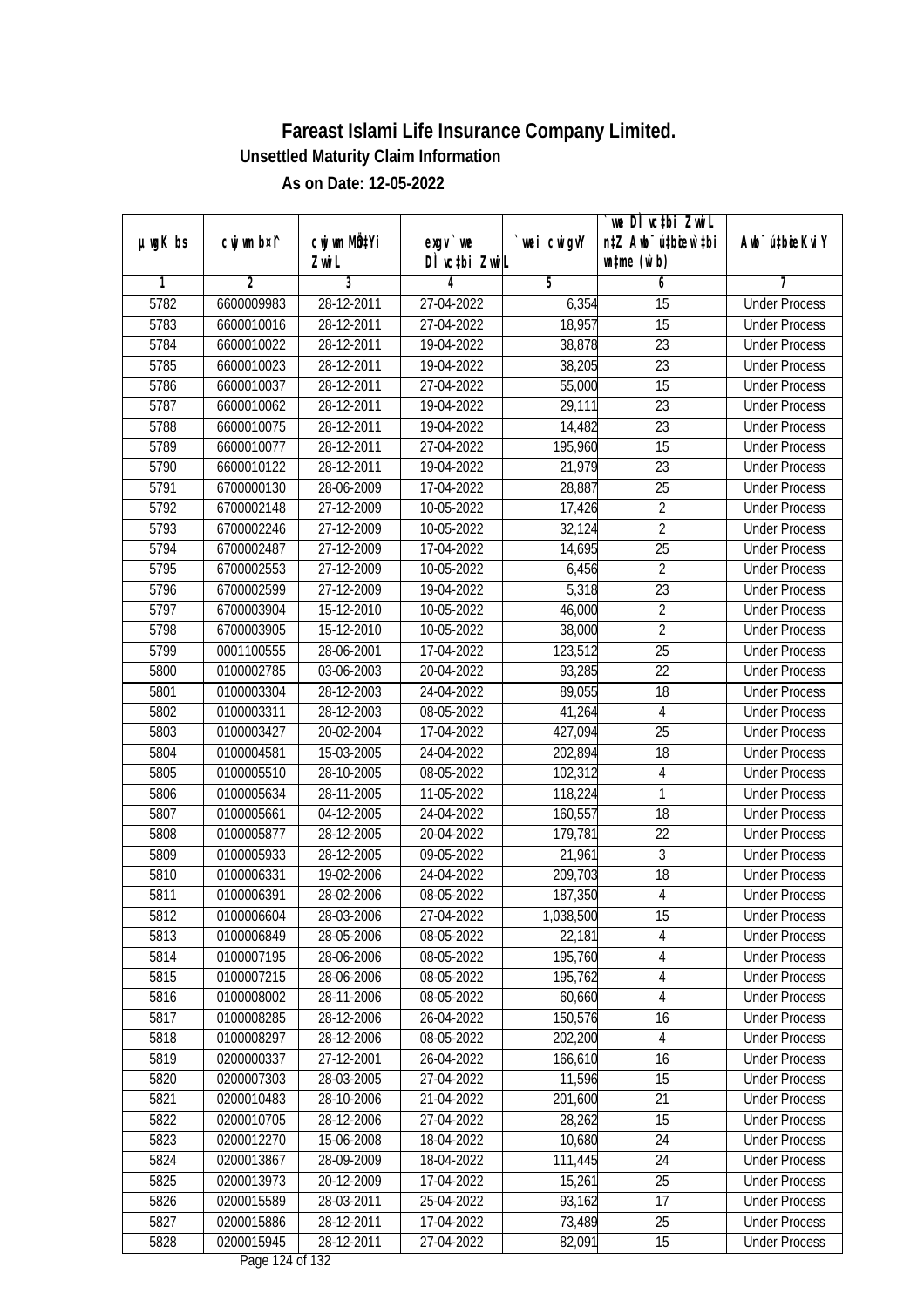| n‡Z Awb <sup>-</sup> ú‡bioar`‡bi<br>cwj wm MQ <sup>1</sup> Yi<br>$µ$ ug $K$ bs<br>cwj wm b¤i^<br>$exgV$ we<br>`wei cwigvY<br>Awb <sup>-</sup> ú‡bioeKviY<br>DÌ vctbi ZwiL<br>$\n  untime\n  (u`b)\n$<br>Zwi L<br>3<br>2<br>5<br>6<br>1<br>4<br>7<br>6600009983<br>28-12-2011<br>6,354<br><b>Under Process</b><br>5782<br>27-04-2022<br>15<br>18,957<br>5783<br>28-12-2011<br>27-04-2022<br>15<br>6600010016<br><b>Under Process</b><br>5784<br>6600010022<br>28-12-2011<br>19-04-2022<br>38,878<br>23<br><b>Under Process</b><br>5785<br>$\overline{23}$<br>6600010023<br>28-12-2011<br>19-04-2022<br>38,205<br><b>Under Process</b><br>$\overline{15}$<br>5786<br>6600010037<br>28-12-2011<br>27-04-2022<br>55,000<br><b>Under Process</b><br>5787<br>28-12-2011<br>29,111<br>$\overline{23}$<br>6600010062<br>19-04-2022<br><b>Under Process</b><br>5788<br>6600010075<br>28-12-2011<br>19-04-2022<br>23<br>14,482<br><b>Under Process</b><br>5789<br>195,960<br>$\overline{15}$<br>6600010077<br>28-12-2011<br>27-04-2022<br><b>Under Process</b> |  |
|------------------------------------------------------------------------------------------------------------------------------------------------------------------------------------------------------------------------------------------------------------------------------------------------------------------------------------------------------------------------------------------------------------------------------------------------------------------------------------------------------------------------------------------------------------------------------------------------------------------------------------------------------------------------------------------------------------------------------------------------------------------------------------------------------------------------------------------------------------------------------------------------------------------------------------------------------------------------------------------------------------------------------------------------------|--|
|                                                                                                                                                                                                                                                                                                                                                                                                                                                                                                                                                                                                                                                                                                                                                                                                                                                                                                                                                                                                                                                      |  |
|                                                                                                                                                                                                                                                                                                                                                                                                                                                                                                                                                                                                                                                                                                                                                                                                                                                                                                                                                                                                                                                      |  |
|                                                                                                                                                                                                                                                                                                                                                                                                                                                                                                                                                                                                                                                                                                                                                                                                                                                                                                                                                                                                                                                      |  |
|                                                                                                                                                                                                                                                                                                                                                                                                                                                                                                                                                                                                                                                                                                                                                                                                                                                                                                                                                                                                                                                      |  |
|                                                                                                                                                                                                                                                                                                                                                                                                                                                                                                                                                                                                                                                                                                                                                                                                                                                                                                                                                                                                                                                      |  |
|                                                                                                                                                                                                                                                                                                                                                                                                                                                                                                                                                                                                                                                                                                                                                                                                                                                                                                                                                                                                                                                      |  |
|                                                                                                                                                                                                                                                                                                                                                                                                                                                                                                                                                                                                                                                                                                                                                                                                                                                                                                                                                                                                                                                      |  |
|                                                                                                                                                                                                                                                                                                                                                                                                                                                                                                                                                                                                                                                                                                                                                                                                                                                                                                                                                                                                                                                      |  |
|                                                                                                                                                                                                                                                                                                                                                                                                                                                                                                                                                                                                                                                                                                                                                                                                                                                                                                                                                                                                                                                      |  |
|                                                                                                                                                                                                                                                                                                                                                                                                                                                                                                                                                                                                                                                                                                                                                                                                                                                                                                                                                                                                                                                      |  |
|                                                                                                                                                                                                                                                                                                                                                                                                                                                                                                                                                                                                                                                                                                                                                                                                                                                                                                                                                                                                                                                      |  |
| 5790<br>28-12-2011<br>19-04-2022<br>21,979<br>23<br>6600010122<br><b>Under Process</b>                                                                                                                                                                                                                                                                                                                                                                                                                                                                                                                                                                                                                                                                                                                                                                                                                                                                                                                                                               |  |
| 28-06-2009<br>25<br>5791<br>6700000130<br>17-04-2022<br>28,887<br><b>Under Process</b>                                                                                                                                                                                                                                                                                                                                                                                                                                                                                                                                                                                                                                                                                                                                                                                                                                                                                                                                                               |  |
| $\overline{2}$<br>5792<br>6700002148<br>27-12-2009<br>10-05-2022<br>17,426<br><b>Under Process</b>                                                                                                                                                                                                                                                                                                                                                                                                                                                                                                                                                                                                                                                                                                                                                                                                                                                                                                                                                   |  |
| $\overline{2}$<br>32,124<br>5793<br>6700002246<br>27-12-2009<br>10-05-2022<br><b>Under Process</b>                                                                                                                                                                                                                                                                                                                                                                                                                                                                                                                                                                                                                                                                                                                                                                                                                                                                                                                                                   |  |
| $\overline{25}$<br>5794<br>6700002487<br>27-12-2009<br>17-04-2022<br>14,695<br><b>Under Process</b>                                                                                                                                                                                                                                                                                                                                                                                                                                                                                                                                                                                                                                                                                                                                                                                                                                                                                                                                                  |  |
| $\overline{2}$<br>5795<br>6700002553<br>27-12-2009<br>10-05-2022<br>6,456<br><b>Under Process</b>                                                                                                                                                                                                                                                                                                                                                                                                                                                                                                                                                                                                                                                                                                                                                                                                                                                                                                                                                    |  |
| 23<br>5796<br>6700002599<br>5,318<br>27-12-2009<br>19-04-2022<br><b>Under Process</b>                                                                                                                                                                                                                                                                                                                                                                                                                                                                                                                                                                                                                                                                                                                                                                                                                                                                                                                                                                |  |
| $\overline{2}$<br>5797<br>6700003904<br>15-12-2010<br>10-05-2022<br>46,000<br><b>Under Process</b>                                                                                                                                                                                                                                                                                                                                                                                                                                                                                                                                                                                                                                                                                                                                                                                                                                                                                                                                                   |  |
| $\overline{2}$<br>5798<br>6700003905<br>15-12-2010<br>10-05-2022<br>38,000<br><b>Under Process</b>                                                                                                                                                                                                                                                                                                                                                                                                                                                                                                                                                                                                                                                                                                                                                                                                                                                                                                                                                   |  |
| 25<br>5799<br>0001100555<br>28-06-2001<br>17-04-2022<br>123,512<br><b>Under Process</b>                                                                                                                                                                                                                                                                                                                                                                                                                                                                                                                                                                                                                                                                                                                                                                                                                                                                                                                                                              |  |
| 22<br>5800<br>0100002785<br>03-06-2003<br>20-04-2022<br>93,285<br><b>Under Process</b>                                                                                                                                                                                                                                                                                                                                                                                                                                                                                                                                                                                                                                                                                                                                                                                                                                                                                                                                                               |  |
| 5801<br>0100003304<br>28-12-2003<br>24-04-2022<br>89,055<br>18<br><b>Under Process</b>                                                                                                                                                                                                                                                                                                                                                                                                                                                                                                                                                                                                                                                                                                                                                                                                                                                                                                                                                               |  |
| 5802<br>0100003311<br>28-12-2003<br>08-05-2022<br>41,264<br>$\overline{4}$<br><b>Under Process</b>                                                                                                                                                                                                                                                                                                                                                                                                                                                                                                                                                                                                                                                                                                                                                                                                                                                                                                                                                   |  |
| 25<br>5803<br>0100003427<br>20-02-2004<br>427,094<br>17-04-2022<br><b>Under Process</b>                                                                                                                                                                                                                                                                                                                                                                                                                                                                                                                                                                                                                                                                                                                                                                                                                                                                                                                                                              |  |
| 5804<br>202,894<br>18<br>0100004581<br>15-03-2005<br>24-04-2022<br><b>Under Process</b>                                                                                                                                                                                                                                                                                                                                                                                                                                                                                                                                                                                                                                                                                                                                                                                                                                                                                                                                                              |  |
| 5805<br>$\sqrt{4}$<br>0100005510<br>28-10-2005<br>08-05-2022<br>102,312<br><b>Under Process</b>                                                                                                                                                                                                                                                                                                                                                                                                                                                                                                                                                                                                                                                                                                                                                                                                                                                                                                                                                      |  |
| 5806<br>11-05-2022<br>1<br>0100005634<br>28-11-2005<br>118,224<br><b>Under Process</b>                                                                                                                                                                                                                                                                                                                                                                                                                                                                                                                                                                                                                                                                                                                                                                                                                                                                                                                                                               |  |
| 5807<br>0100005661<br>04-12-2005<br>18<br>24-04-2022<br>160,557<br><b>Under Process</b>                                                                                                                                                                                                                                                                                                                                                                                                                                                                                                                                                                                                                                                                                                                                                                                                                                                                                                                                                              |  |
| 22<br>5808<br>0100005877<br>28-12-2005<br>20-04-2022<br>179,781<br><b>Under Process</b>                                                                                                                                                                                                                                                                                                                                                                                                                                                                                                                                                                                                                                                                                                                                                                                                                                                                                                                                                              |  |
| 3<br>5809<br>0100005933<br>28-12-2005<br>09-05-2022<br>21,961<br><b>Under Process</b>                                                                                                                                                                                                                                                                                                                                                                                                                                                                                                                                                                                                                                                                                                                                                                                                                                                                                                                                                                |  |
| 18<br>5810<br>0100006331<br>19-02-2006<br>24-04-2022<br>209,703<br><b>Under Process</b>                                                                                                                                                                                                                                                                                                                                                                                                                                                                                                                                                                                                                                                                                                                                                                                                                                                                                                                                                              |  |
| 5811<br>0100006391<br>28-02-2006<br>08-05-2022<br>187,350<br>$\overline{4}$<br><b>Under Process</b>                                                                                                                                                                                                                                                                                                                                                                                                                                                                                                                                                                                                                                                                                                                                                                                                                                                                                                                                                  |  |
| 5812<br>0100006604<br>28-03-2006<br>27-04-2022<br>1,038,500<br>15<br><b>Under Process</b>                                                                                                                                                                                                                                                                                                                                                                                                                                                                                                                                                                                                                                                                                                                                                                                                                                                                                                                                                            |  |
| 4<br>5813<br>0100006849<br>28-05-2006<br>08-05-2022<br>22,181<br><b>Under Process</b>                                                                                                                                                                                                                                                                                                                                                                                                                                                                                                                                                                                                                                                                                                                                                                                                                                                                                                                                                                |  |
| 5814<br>195,760<br>$\sqrt{4}$<br>0100007195<br>28-06-2006<br>08-05-2022<br><b>Under Process</b>                                                                                                                                                                                                                                                                                                                                                                                                                                                                                                                                                                                                                                                                                                                                                                                                                                                                                                                                                      |  |
| 195,762<br>4<br>5815<br>0100007215<br>28-06-2006<br>08-05-2022<br><b>Under Process</b>                                                                                                                                                                                                                                                                                                                                                                                                                                                                                                                                                                                                                                                                                                                                                                                                                                                                                                                                                               |  |
| 5816<br>0100008002<br>60,660<br>$\sqrt{4}$<br>28-11-2006<br>08-05-2022<br><b>Under Process</b>                                                                                                                                                                                                                                                                                                                                                                                                                                                                                                                                                                                                                                                                                                                                                                                                                                                                                                                                                       |  |
| 5817<br>150,576<br>0100008285<br>28-12-2006<br>26-04-2022<br>16<br><b>Under Process</b>                                                                                                                                                                                                                                                                                                                                                                                                                                                                                                                                                                                                                                                                                                                                                                                                                                                                                                                                                              |  |
| 0100008297<br>202,200<br>5818<br>28-12-2006<br>08-05-2022<br>$\overline{4}$<br><b>Under Process</b>                                                                                                                                                                                                                                                                                                                                                                                                                                                                                                                                                                                                                                                                                                                                                                                                                                                                                                                                                  |  |
| 5819<br>27-12-2001<br>166,610<br>16<br>0200000337<br>26-04-2022<br><b>Under Process</b>                                                                                                                                                                                                                                                                                                                                                                                                                                                                                                                                                                                                                                                                                                                                                                                                                                                                                                                                                              |  |
| 11,596<br>5820<br>0200007303<br>28-03-2005<br>27-04-2022<br>15<br><b>Under Process</b>                                                                                                                                                                                                                                                                                                                                                                                                                                                                                                                                                                                                                                                                                                                                                                                                                                                                                                                                                               |  |
| 5821<br>21<br>0200010483<br>28-10-2006<br>21-04-2022<br>201,600<br><b>Under Process</b>                                                                                                                                                                                                                                                                                                                                                                                                                                                                                                                                                                                                                                                                                                                                                                                                                                                                                                                                                              |  |
| 5822<br>0200010705<br>28-12-2006<br>27-04-2022<br>28,262<br>15<br><b>Under Process</b>                                                                                                                                                                                                                                                                                                                                                                                                                                                                                                                                                                                                                                                                                                                                                                                                                                                                                                                                                               |  |
| 0200012270<br>5823<br>15-06-2008<br>18-04-2022<br>10,680<br>24<br><b>Under Process</b>                                                                                                                                                                                                                                                                                                                                                                                                                                                                                                                                                                                                                                                                                                                                                                                                                                                                                                                                                               |  |
| $\overline{24}$<br>5824<br>0200013867<br>28-09-2009<br>111,445<br><b>Under Process</b><br>18-04-2022                                                                                                                                                                                                                                                                                                                                                                                                                                                                                                                                                                                                                                                                                                                                                                                                                                                                                                                                                 |  |
| $\overline{25}$<br>5825<br>0200013973<br>20-12-2009<br>15,261<br>17-04-2022<br><b>Under Process</b>                                                                                                                                                                                                                                                                                                                                                                                                                                                                                                                                                                                                                                                                                                                                                                                                                                                                                                                                                  |  |
| 5826<br>17<br>0200015589<br>28-03-2011<br>25-04-2022<br>93,162<br><b>Under Process</b>                                                                                                                                                                                                                                                                                                                                                                                                                                                                                                                                                                                                                                                                                                                                                                                                                                                                                                                                                               |  |
| 73,489<br>5827<br>0200015886<br>28-12-2011<br>17-04-2022<br>25<br><b>Under Process</b>                                                                                                                                                                                                                                                                                                                                                                                                                                                                                                                                                                                                                                                                                                                                                                                                                                                                                                                                                               |  |
| 5828<br>0200015945<br>28-12-2011<br>27-04-2022<br>82,091<br>15<br><b>Under Process</b><br>$D_{0.92}$ 104 of 100                                                                                                                                                                                                                                                                                                                                                                                                                                                                                                                                                                                                                                                                                                                                                                                                                                                                                                                                      |  |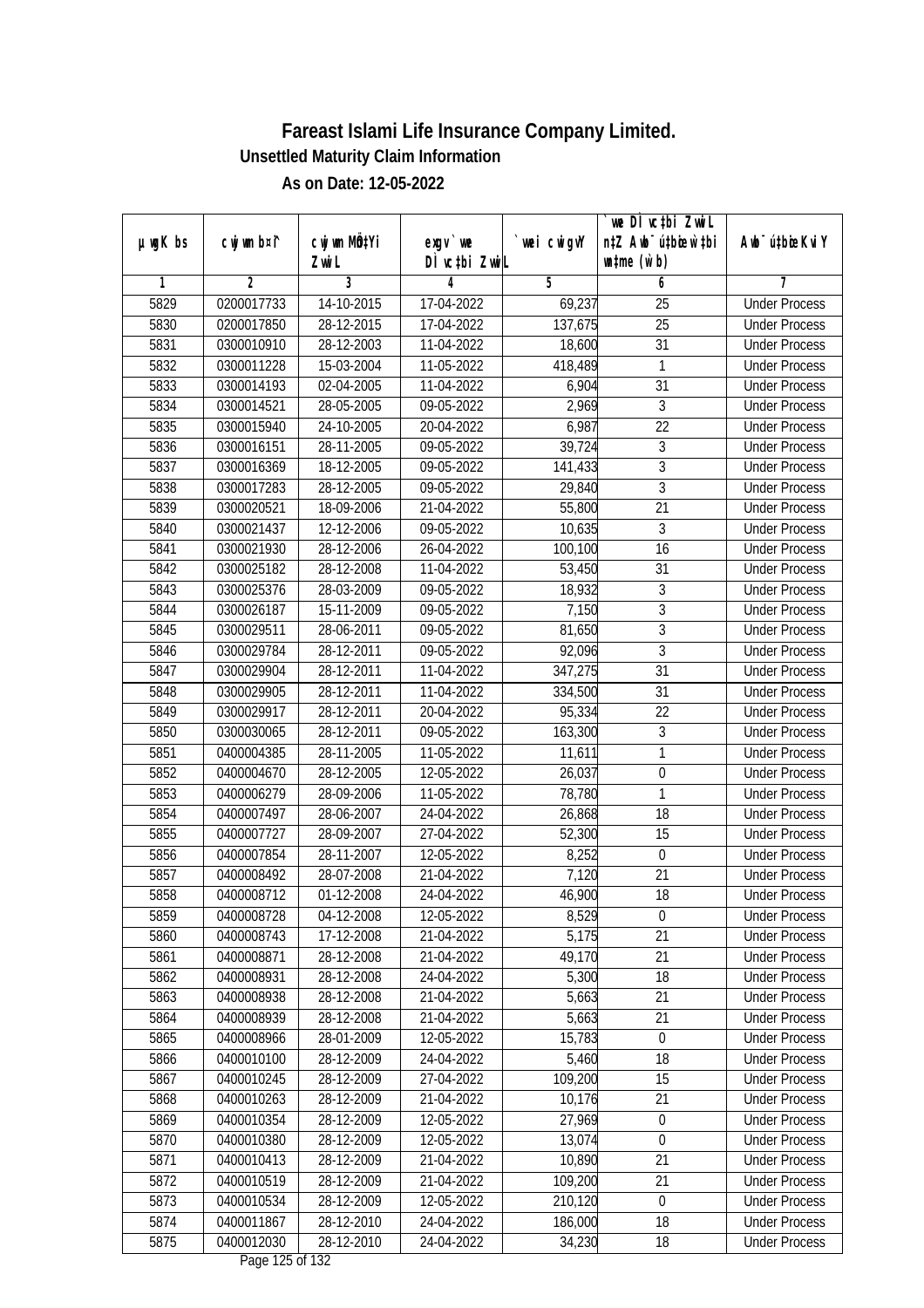|               |                          |                           |                          |                | we DI vctbi ZwiL                    |                                              |
|---------------|--------------------------|---------------------------|--------------------------|----------------|-------------------------------------|----------------------------------------------|
| $µ$ ug $K$ bs | cwj wm b¤i^              | cwj wm MQ <sup>1</sup> Yi | $exgv$ we                | `wei cwigvY    | n‡Z Awb <sup>-</sup> ú‡bicen`‡bi    | Awb <sup>-</sup> ú‡bioeKviY                  |
|               |                          | Zwi L                     | DÌ vctbi ZwiL            |                | $\n  untime\n  (u`b)\n$             |                                              |
| 1             | $\overline{2}$           | 3                         | 4                        | 5              | 6                                   | 7<br><b>Under Process</b>                    |
| 5829          | 0200017733               | 14-10-2015                | 17-04-2022               | 69,237         | $\overline{25}$                     |                                              |
| 5830          | 0200017850               | 28-12-2015                | 17-04-2022               | 137,675        | $\overline{25}$                     | <b>Under Process</b>                         |
| 5831          | 0300010910               | 28-12-2003                | 11-04-2022               | 18,600         | $\overline{31}$                     | <b>Under Process</b>                         |
| 5832          | 0300011228               | 15-03-2004                | 11-05-2022               | 418,489        | 1                                   | <b>Under Process</b>                         |
| 5833          | 0300014193               | 02-04-2005                | 11-04-2022               | 6,904          | $\overline{31}$                     | <b>Under Process</b>                         |
| 5834          | 0300014521               | 28-05-2005                | 09-05-2022               | 2,969          | $\overline{3}$<br>$\overline{22}$   | <b>Under Process</b>                         |
| 5835<br>5836  | 0300015940               | 24-10-2005                | 20-04-2022               | 6,987          | $\overline{3}$                      | <b>Under Process</b><br><b>Under Process</b> |
|               | 0300016151               | 28-11-2005                | 09-05-2022               | 39,724         | $\overline{3}$                      |                                              |
| 5837          | 0300016369               | 18-12-2005                | 09-05-2022               | 141,433        |                                     | <b>Under Process</b>                         |
| 5838          | 0300017283               | 28-12-2005                | 09-05-2022               | 29,840         | $\overline{3}$<br>$\overline{21}$   | <b>Under Process</b>                         |
| 5839          | 0300020521               | 18-09-2006                | 21-04-2022               | 55,800         |                                     | <b>Under Process</b>                         |
| 5840          | 0300021437               | 12-12-2006                | 09-05-2022               | 10,635         | 3<br>$\overline{16}$                | <b>Under Process</b>                         |
| 5841          | 0300021930               | 28-12-2006                | 26-04-2022               | 100,100        |                                     | <b>Under Process</b>                         |
| 5842          | 0300025182               | 28-12-2008                | 11-04-2022               | 53,450         | 31                                  | <b>Under Process</b>                         |
| 5843          | 0300025376               | 28-03-2009                | 09-05-2022               | 18,932         | 3                                   | <b>Under Process</b>                         |
| 5844          | 0300026187               | 15-11-2009                | 09-05-2022               | 7,150          | 3                                   | <b>Under Process</b>                         |
| 5845          | 0300029511               | 28-06-2011                | 09-05-2022               | 81,650         | 3                                   | <b>Under Process</b>                         |
| 5846          | 0300029784               | 28-12-2011                | 09-05-2022               | 92,096         | $\overline{3}$                      | <b>Under Process</b>                         |
| 5847          | 0300029904               | 28-12-2011                | 11-04-2022               | 347,275        | 31                                  | <b>Under Process</b>                         |
| 5848          | 0300029905               | 28-12-2011                | 11-04-2022               | 334,500        | 31                                  | <b>Under Process</b>                         |
| 5849          | 0300029917               | 28-12-2011                | 20-04-2022               | 95,334         | 22                                  | <b>Under Process</b>                         |
| 5850          | 0300030065               | 28-12-2011                | 09-05-2022               | 163,300        | 3                                   | <b>Under Process</b>                         |
| 5851          | 0400004385               | 28-11-2005                | 11-05-2022               | 11,611         | 1                                   | <b>Under Process</b>                         |
| 5852          | 0400004670               | 28-12-2005                | 12-05-2022               | 26,037         | $\boldsymbol{0}$                    | <b>Under Process</b>                         |
| 5853          | 0400006279               | 28-09-2006                | 11-05-2022               | 78,780         | 1                                   | <b>Under Process</b>                         |
| 5854          | 0400007497               | 28-06-2007<br>28-09-2007  | 24-04-2022               | 26,868         | 18                                  | <b>Under Process</b><br><b>Under Process</b> |
| 5855          | 0400007727               |                           | 27-04-2022               | 52,300         | 15                                  |                                              |
| 5856          | 0400007854               | 28-11-2007                | 12-05-2022               | 8,252          | $\boldsymbol{0}$                    | <b>Under Process</b>                         |
| 5857          | 0400008492               | 28-07-2008                | 21-04-2022               | 7,120          | 21                                  | <b>Under Process</b>                         |
| 5858          | 0400008712               | 01-12-2008                | 24-04-2022               | 46,900         | 18                                  | <b>Under Process</b>                         |
| 5859          | 0400008728<br>0400008743 | 04-12-2008<br>17-12-2008  | 12-05-2022               | 8,529<br>5,175 | $\boldsymbol{0}$<br>$\overline{21}$ | <b>Under Process</b>                         |
| 5860<br>5861  | 0400008871               | 28-12-2008                | 21-04-2022<br>21-04-2022 | 49,170         | 21                                  | <b>Under Process</b>                         |
| 5862          | 0400008931               | 28-12-2008                | 24-04-2022               | 5,300          | 18                                  | <b>Under Process</b><br><b>Under Process</b> |
| 5863          | 0400008938               | 28-12-2008                | 21-04-2022               | 5,663          | 21                                  | <b>Under Process</b>                         |
| 5864          | 0400008939               | 28-12-2008                | 21-04-2022               | 5,663          | 21                                  | <b>Under Process</b>                         |
| 5865          | 0400008966               | 28-01-2009                | 12-05-2022               | 15,783         | $\boldsymbol{0}$                    | <b>Under Process</b>                         |
| 5866          | 0400010100               | 28-12-2009                | 24-04-2022               | 5,460          | 18                                  | <b>Under Process</b>                         |
| 5867          | 0400010245               | 28-12-2009                | 27-04-2022               | 109,200        | 15                                  | <b>Under Process</b>                         |
| 5868          | 0400010263               | 28-12-2009                | 21-04-2022               | 10,176         | 21                                  | <b>Under Process</b>                         |
| 5869          | 0400010354               | 28-12-2009                | 12-05-2022               | 27,969         | $\pmb{0}$                           | <b>Under Process</b>                         |
| 5870          | 0400010380               | 28-12-2009                | 12-05-2022               | 13,074         | $\boldsymbol{0}$                    | <b>Under Process</b>                         |
| 5871          | 0400010413               | 28-12-2009                | 21-04-2022               | 10,890         | 21                                  | <b>Under Process</b>                         |
| 5872          | 0400010519               | 28-12-2009                | 21-04-2022               | 109,200        | 21                                  | <b>Under Process</b>                         |
| 5873          | 0400010534               | 28-12-2009                | 12-05-2022               | 210,120        | $\boldsymbol{0}$                    | <b>Under Process</b>                         |
| 5874          | 0400011867               | 28-12-2010                | 24-04-2022               | 186,000        | 18                                  | <b>Under Process</b>                         |
| 5875          | 0400012030               | 28-12-2010                | 24-04-2022               | 34,230         | 18                                  | <b>Under Process</b>                         |
|               |                          |                           | $D_{0.92}$ 10E of 100    |                |                                     |                                              |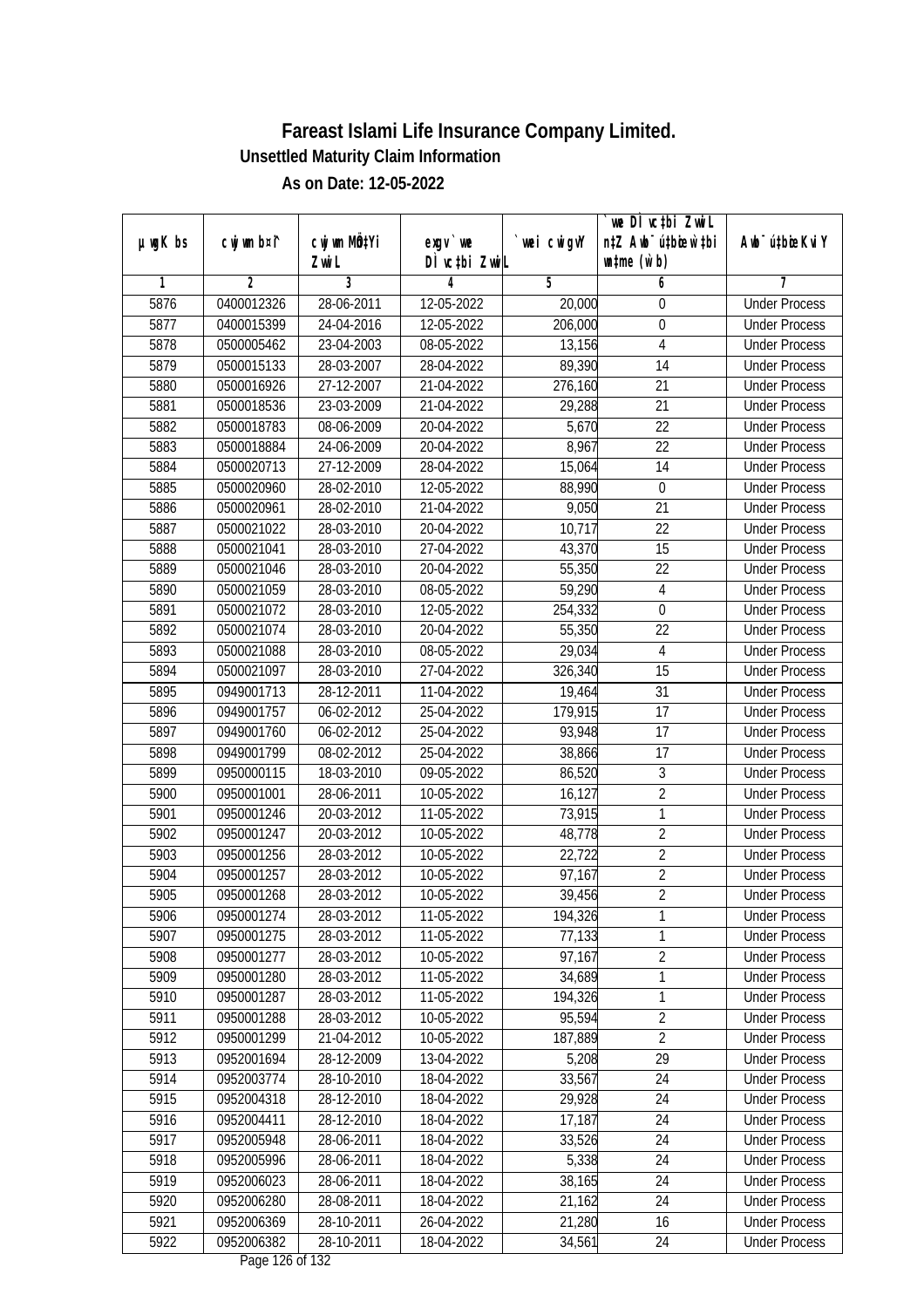|               |                |                           |                          |                   | we DI vctbi ZwiL                 |                             |
|---------------|----------------|---------------------------|--------------------------|-------------------|----------------------------------|-----------------------------|
| $µ$ ug $K$ bs | cwj wm b¤i^    | cwj wm MQ <sup>1</sup> Yi | $exgv$ we                | `wei cwigvY       | n‡Z Awb <sup>-</sup> ú‡bicen`‡bi | Awb <sup>-</sup> ú‡bioeKviY |
| 1             | $\overline{2}$ | Zwi L<br>3                | DÌ vctbi ZwiL<br>4       | 5                 | $\n  untime\n  (u`b)\n$<br>6     | 7                           |
| 5876          | 0400012326     | 28-06-2011                | 12-05-2022               | 20,000            | 0                                | <b>Under Process</b>        |
| 5877          | 0400015399     | 24-04-2016                | 12-05-2022               | 206,000           | $\boldsymbol{0}$                 | <b>Under Process</b>        |
| 5878          | 0500005462     | 23-04-2003                | 08-05-2022               | 13,156            | $\overline{4}$                   | <b>Under Process</b>        |
| 5879          | 0500015133     | 28-03-2007                |                          |                   | 14                               | <b>Under Process</b>        |
| 5880          | 0500016926     | $27 - 12 - 2007$          | 28-04-2022<br>21-04-2022 | 89,390<br>276,160 | $\overline{21}$                  | <b>Under Process</b>        |
|               |                | 23-03-2009                |                          |                   |                                  |                             |
| 5881          | 0500018536     |                           | 21-04-2022               | 29,288            | 21<br>$\overline{22}$            | <b>Under Process</b>        |
| 5882          | 0500018783     | 08-06-2009                | 20-04-2022               | 5,670             |                                  | <b>Under Process</b>        |
| 5883          | 0500018884     | 24-06-2009                | 20-04-2022               | 8,967             | $\overline{22}$                  | <b>Under Process</b>        |
| 5884          | 0500020713     | 27-12-2009                | 28-04-2022               | 15,064            | 14                               | <b>Under Process</b>        |
| 5885          | 0500020960     | 28-02-2010                | 12-05-2022               | 88,990            | $\mathbf 0$                      | <b>Under Process</b>        |
| 5886          | 0500020961     | 28-02-2010                | 21-04-2022               | 9,050             | $\overline{21}$                  | <b>Under Process</b>        |
| 5887          | 0500021022     | 28-03-2010                | 20-04-2022               | 10,717            | 22                               | <b>Under Process</b>        |
| 5888          | 0500021041     | 28-03-2010                | 27-04-2022               | 43,370            | $\overline{15}$                  | <b>Under Process</b>        |
| 5889          | 0500021046     | 28-03-2010                | 20-04-2022               | 55,350            | 22                               | <b>Under Process</b>        |
| 5890          | 0500021059     | 28-03-2010                | 08-05-2022               | 59,290            | $\overline{4}$                   | <b>Under Process</b>        |
| 5891          | 0500021072     | 28-03-2010                | 12-05-2022               | 254,332           | 0                                | <b>Under Process</b>        |
| 5892          | 0500021074     | 28-03-2010                | 20-04-2022               | 55,350            | 22                               | <b>Under Process</b>        |
| 5893          | 0500021088     | 28-03-2010                | 08-05-2022               | 29,034            | $\overline{4}$                   | <b>Under Process</b>        |
| 5894          | 0500021097     | 28-03-2010                | 27-04-2022               | 326,340           | 15                               | <b>Under Process</b>        |
| 5895          | 0949001713     | 28-12-2011                | 11-04-2022               | 19,464            | 31                               | <b>Under Process</b>        |
| 5896          | 0949001757     | 06-02-2012                | 25-04-2022               | 179,915           | 17                               | <b>Under Process</b>        |
| 5897          | 0949001760     | 06-02-2012                | 25-04-2022               | 93,948            | 17                               | <b>Under Process</b>        |
| 5898          | 0949001799     | 08-02-2012                | 25-04-2022               | 38,866            | 17                               | <b>Under Process</b>        |
| 5899          | 0950000115     | 18-03-2010                | 09-05-2022               | 86,520            | $\overline{3}$                   | <b>Under Process</b>        |
| 5900          | 0950001001     | 28-06-2011                | 10-05-2022               | 16,127            | $\overline{2}$                   | <b>Under Process</b>        |
| 5901          | 0950001246     | 20-03-2012                | 11-05-2022               | 73,915            | 1                                | <b>Under Process</b>        |
| 5902          | 0950001247     | 20-03-2012                | 10-05-2022               | 48,778            | $\overline{2}$                   | <b>Under Process</b>        |
| 5903          | 0950001256     | 28-03-2012                | 10-05-2022               | 22,722            | $\overline{2}$                   | <b>Under Process</b>        |
| 5904          | 0950001257     | 28-03-2012                | 10-05-2022               | 97,167            | $\overline{2}$                   | <b>Under Process</b>        |
| 5905          | 0950001268     | 28-03-2012                | 10-05-2022               | 39,456            | $\overline{2}$                   | <b>Under Process</b>        |
| 5906          | 0950001274     | 28-03-2012                | 11-05-2022               | 194,326           | 1                                | <b>Under Process</b>        |
| 5907          | 0950001275     | 28-03-2012                | 11-05-2022               | 77,133            | 1                                | <b>Under Process</b>        |
| 5908          | 0950001277     | 28-03-2012                | 10-05-2022               | 97,167            | $\overline{2}$                   | <b>Under Process</b>        |
| 5909          | 0950001280     | 28-03-2012                | 11-05-2022               | 34,689            | $\overline{1}$                   | <b>Under Process</b>        |
| 5910          | 0950001287     | 28-03-2012                | 11-05-2022               | 194,326           | 1                                | <b>Under Process</b>        |
| 5911          | 0950001288     | 28-03-2012                | 10-05-2022               | 95,594            | $\overline{2}$                   | <b>Under Process</b>        |
| 5912          | 0950001299     | 21-04-2012                | 10-05-2022               | 187,889           | $\overline{2}$                   | <b>Under Process</b>        |
| 5913          | 0952001694     | 28-12-2009                | 13-04-2022               | 5,208             | 29                               | <b>Under Process</b>        |
| 5914          | 0952003774     | 28-10-2010                | 18-04-2022               | 33,567            | 24                               | <b>Under Process</b>        |
| 5915          | 0952004318     | 28-12-2010                | 18-04-2022               | 29,928            | 24                               | <b>Under Process</b>        |
| 5916          | 0952004411     | 28-12-2010                | 18-04-2022               | 17,187            | 24                               | <b>Under Process</b>        |
| 5917          | 0952005948     | 28-06-2011                | 18-04-2022               | 33,526            | 24                               | <b>Under Process</b>        |
| 5918          | 0952005996     | 28-06-2011                | 18-04-2022               | 5,338             | 24                               | <b>Under Process</b>        |
| 5919          | 0952006023     | 28-06-2011                | 18-04-2022               | 38,165            | 24                               | <b>Under Process</b>        |
| 5920          | 0952006280     | 28-08-2011                | 18-04-2022               | 21,162            | 24                               | <b>Under Process</b>        |
| 5921          | 0952006369     | 28-10-2011                | 26-04-2022               | 21,280            | 16                               | <b>Under Process</b>        |
| 5922          | 0952006382     | 28-10-2011                | 18-04-2022               | 34,561            | 24                               | <b>Under Process</b>        |
|               |                |                           |                          |                   |                                  |                             |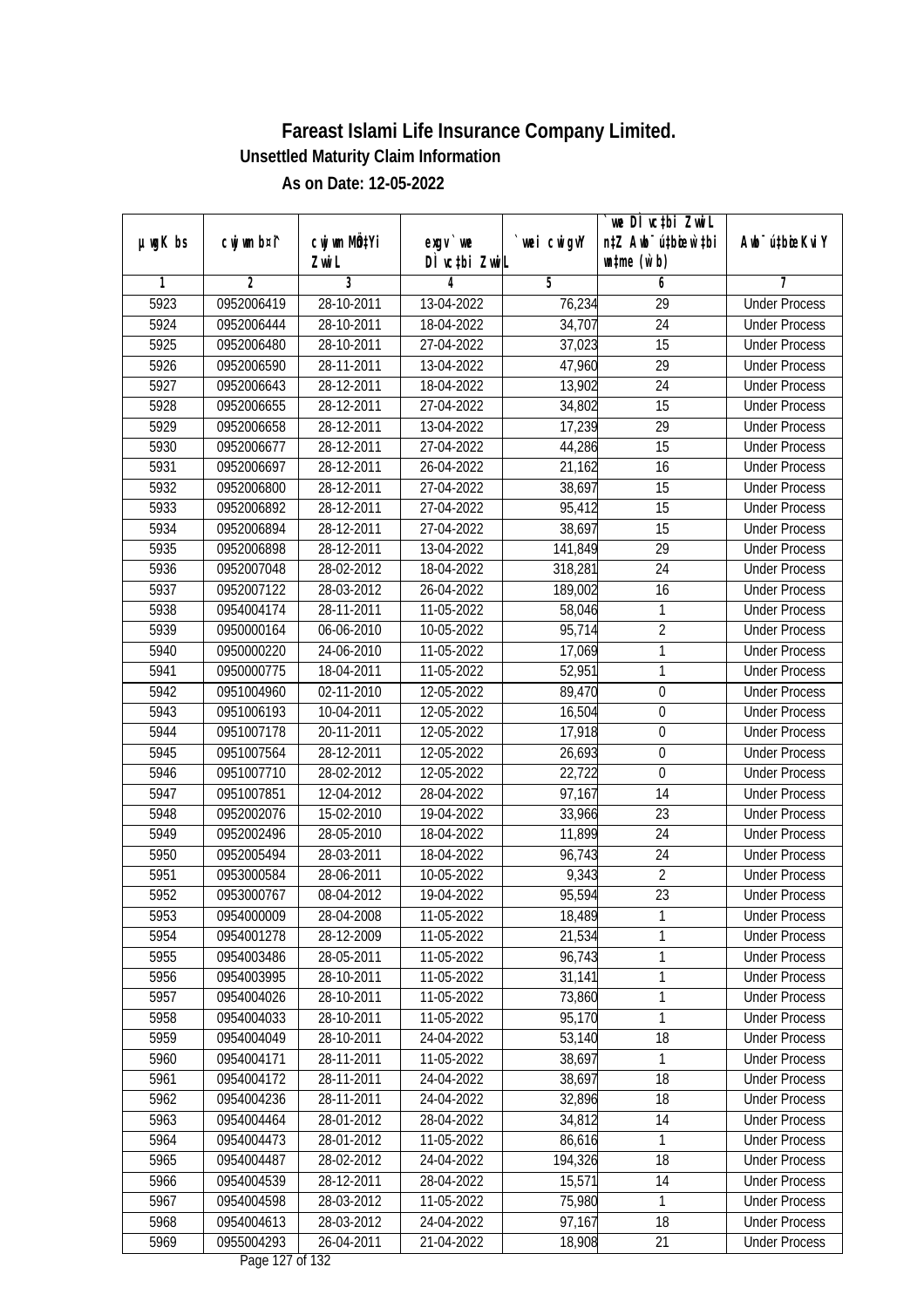|         |                |                          |                                     |             | we DI vctbi ZwiL                 |                             |
|---------|----------------|--------------------------|-------------------------------------|-------------|----------------------------------|-----------------------------|
| µwgK bs | cwj wm b¤i^    | cwj wm MQtYi             | $exgV$ we                           | `wei cwigvY | n‡Z Awb <sup>-</sup> ú‡bicen`‡bi | Awb <sup>-</sup> ú‡bioeKviY |
|         |                | Zwi L                    | DÌ vctbi ZwiL                       |             | $\n  untime\n  (u`b)\n$          |                             |
| 1       | $\overline{2}$ | 3                        | 4                                   | 5           | 6                                | 7                           |
| 5923    | 0952006419     | 28-10-2011               | 13-04-2022                          | 76,234      | $\overline{29}$                  | <b>Under Process</b>        |
| 5924    | 0952006444     | 28-10-2011               | 18-04-2022                          | 34,707      | $\overline{24}$                  | <b>Under Process</b>        |
| 5925    | 0952006480     | 28-10-2011               | 27-04-2022                          | 37,023      | 15                               | <b>Under Process</b>        |
| 5926    | 0952006590     | 28-11-2011               | 13-04-2022                          | 47,960      | 29                               | <b>Under Process</b>        |
| 5927    | 0952006643     | 28-12-2011               | 18-04-2022                          | 13,902      | $\overline{24}$                  | <b>Under Process</b>        |
| 5928    | 0952006655     | 28-12-2011               | 27-04-2022                          | 34,802      | 15                               | <b>Under Process</b>        |
| 5929    | 0952006658     | 28-12-2011               | 13-04-2022                          | 17,239      | $\overline{29}$                  | <b>Under Process</b>        |
| 5930    | 0952006677     | 28-12-2011               | 27-04-2022                          | 44,286      | $\overline{15}$                  | <b>Under Process</b>        |
| 5931    | 0952006697     | 28-12-2011               | 26-04-2022                          | 21,162      | 16                               | <b>Under Process</b>        |
| 5932    | 0952006800     | 28-12-2011               | 27-04-2022                          | 38,697      | 15                               | <b>Under Process</b>        |
| 5933    | 0952006892     | 28-12-2011               | 27-04-2022                          | 95,412      | $\overline{15}$                  | <b>Under Process</b>        |
| 5934    | 0952006894     | 28-12-2011               | 27-04-2022                          | 38,697      | 15                               | <b>Under Process</b>        |
| 5935    | 0952006898     | 28-12-2011               | 13-04-2022                          | 141,849     | $\overline{29}$                  | <b>Under Process</b>        |
| 5936    | 0952007048     | 28-02-2012               | 18-04-2022                          | 318,281     | 24                               | <b>Under Process</b>        |
| 5937    | 0952007122     | 28-03-2012               | 26-04-2022                          | 189,002     | 16                               | <b>Under Process</b>        |
| 5938    | 0954004174     | 28-11-2011               | 11-05-2022                          | 58,046      | 1                                | <b>Under Process</b>        |
| 5939    | 0950000164     | 06-06-2010               | 10-05-2022                          | 95,714      | $\overline{2}$                   | <b>Under Process</b>        |
| 5940    | 0950000220     | 24-06-2010               | 11-05-2022                          | 17,069      | 1                                | <b>Under Process</b>        |
| 5941    | 0950000775     | 18-04-2011               | 11-05-2022                          | 52,951      | $\mathbf{1}$                     | <b>Under Process</b>        |
| 5942    | 0951004960     | $\overline{0}$ 2-11-2010 | 12-05-2022                          | 89,470      | $\boldsymbol{0}$                 | <b>Under Process</b>        |
| 5943    | 0951006193     | 10-04-2011               | 12-05-2022                          | 16,504      | $\boldsymbol{0}$                 | <b>Under Process</b>        |
| 5944    | 0951007178     | 20-11-2011               | 12-05-2022                          | 17,918      | 0                                | <b>Under Process</b>        |
| 5945    | 0951007564     | 28-12-2011               | 12-05-2022                          | 26,693      | $\boldsymbol{0}$                 | <b>Under Process</b>        |
| 5946    | 0951007710     | 28-02-2012               | 12-05-2022                          | 22,722      | $\boldsymbol{0}$                 | <b>Under Process</b>        |
| 5947    | 0951007851     | 12-04-2012               | 28-04-2022                          | 97,167      | 14                               | <b>Under Process</b>        |
| 5948    | 0952002076     | 15-02-2010               | 19-04-2022                          | 33,966      | 23                               | <b>Under Process</b>        |
| 5949    | 0952002496     | 28-05-2010               | 18-04-2022                          | 11,899      | 24                               | <b>Under Process</b>        |
| 5950    | 0952005494     | 28-03-2011               | 18-04-2022                          | 96,743      | 24                               | <b>Under Process</b>        |
| 5951    | 0953000584     | 28-06-2011               | 10-05-2022                          | 9,343       | $\overline{2}$                   | <b>Under Process</b>        |
| 5952    | 0953000767     | 08-04-2012               | 19-04-2022                          | 95,594      | 23                               | <b>Under Process</b>        |
| 5953    | 0954000009     | 28-04-2008               | 11-05-2022                          | 18,489      | 1                                | <b>Under Process</b>        |
| 5954    | 0954001278     | 28-12-2009               | 11-05-2022                          | 21,534      | 1                                | <b>Under Process</b>        |
| 5955    | 0954003486     | 28-05-2011               | 11-05-2022                          | 96,743      | 1                                | <b>Under Process</b>        |
| 5956    | 0954003995     | 28-10-2011               | 11-05-2022                          | 31,141      | 1                                | <b>Under Process</b>        |
| 5957    | 0954004026     | 28-10-2011               | 11-05-2022                          | 73,860      | 1                                | <b>Under Process</b>        |
| 5958    | 0954004033     | 28-10-2011               | 11-05-2022                          | 95,170      | 1                                | <b>Under Process</b>        |
| 5959    | 0954004049     | 28-10-2011               | 24-04-2022                          | 53,140      | 18                               | <b>Under Process</b>        |
| 5960    | 0954004171     | 28-11-2011               | 11-05-2022                          | 38,697      | 1                                | <b>Under Process</b>        |
| 5961    | 0954004172     | 28-11-2011               | 24-04-2022                          | 38,697      | 18                               | <b>Under Process</b>        |
| 5962    | 0954004236     | 28-11-2011               | 24-04-2022                          | 32,896      | 18                               | <b>Under Process</b>        |
| 5963    | 0954004464     | 28-01-2012               | 28-04-2022                          | 34,812      | 14                               | <b>Under Process</b>        |
| 5964    | 0954004473     | 28-01-2012               | 11-05-2022                          | 86,616      | 1                                | <b>Under Process</b>        |
| 5965    | 0954004487     | 28-02-2012               | 24-04-2022                          | 194,326     | 18                               | <b>Under Process</b>        |
| 5966    | 0954004539     | 28-12-2011               | 28-04-2022                          | 15,571      | 14                               | <b>Under Process</b>        |
| 5967    | 0954004598     | 28-03-2012               | 11-05-2022                          | 75,980      | 1                                | <b>Under Process</b>        |
| 5968    | 0954004613     | 28-03-2012               | 24-04-2022                          | 97,167      | 18                               | <b>Under Process</b>        |
| 5969    | 0955004293     | 26-04-2011               | 21-04-2022<br>$D_{0.92}$ 107 of 100 | 18,908      | 21                               | <b>Under Process</b>        |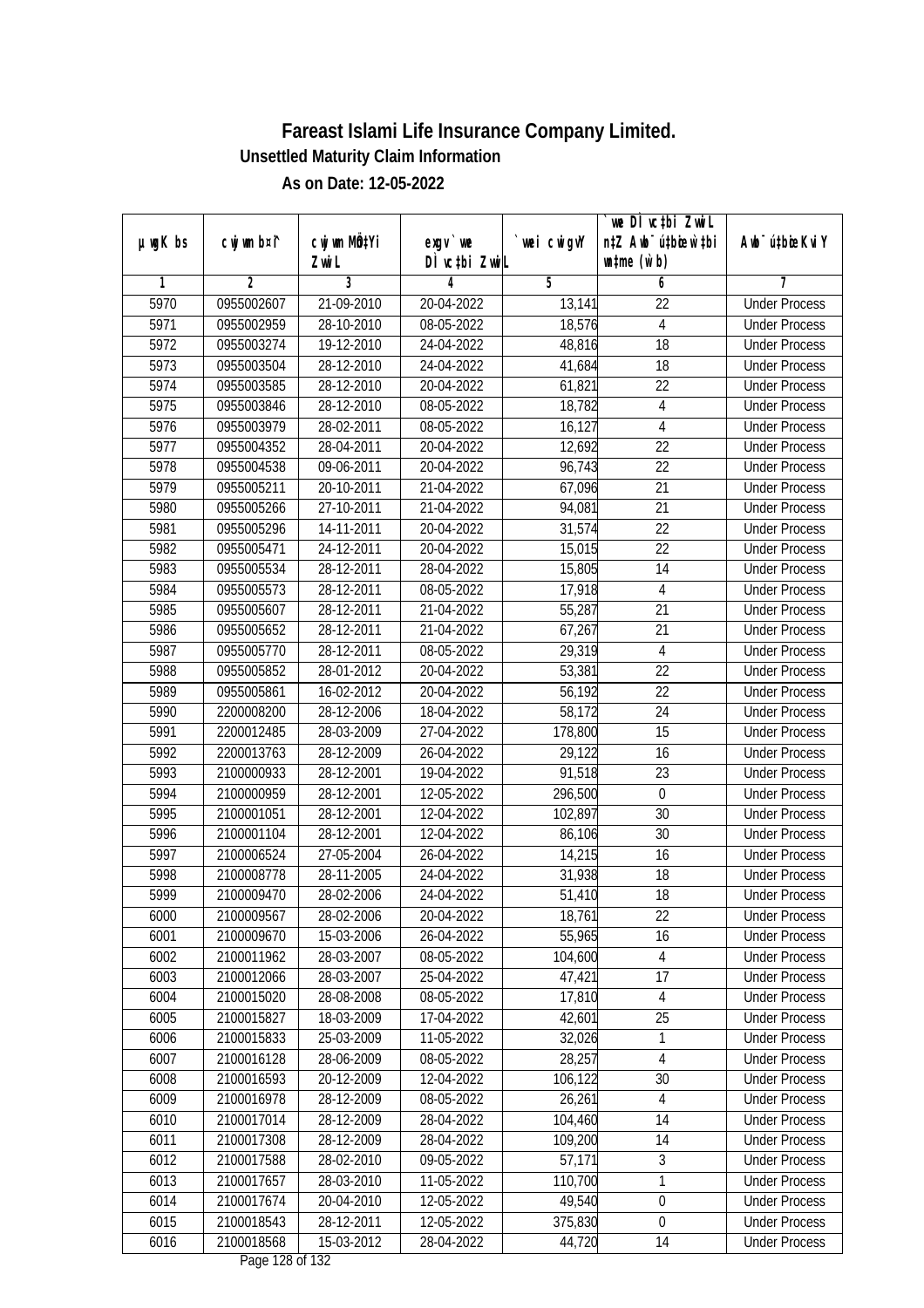|               |                          |                           |                               |             | `we DÌ vc‡bi ZwiL                |                                              |
|---------------|--------------------------|---------------------------|-------------------------------|-------------|----------------------------------|----------------------------------------------|
| $µ$ ug $K$ bs | cwj wm b¤i^              | cwj wm MQ <sup>1</sup> Yi | $exgv$ we                     | `wei cwigvY | n‡Z Awb <sup>-</sup> ú‡bioen`‡bi | Awb <sup>-</sup> ú‡bioeKviY                  |
| 1             | 2                        | Zwi L<br>3                | DÌ vctbi ZwiL<br>4            | 5           | $\n  untime\n  (u`b)\n$<br>6     | 7                                            |
| 5970          | 0955002607               | 21-09-2010                | 20-04-2022                    | 13,141      | 22                               | <b>Under Process</b>                         |
| 5971          | 0955002959               | 28-10-2010                | 08-05-2022                    | 18,576      | 4                                | <b>Under Process</b>                         |
| 5972          | 0955003274               | 19-12-2010                | 24-04-2022                    | 48,816      | $\overline{18}$                  | <b>Under Process</b>                         |
| 5973          | 0955003504               | 28-12-2010                | 24-04-2022                    | 41,684      | 18                               | <b>Under Process</b>                         |
| 5974          | 0955003585               | 28-12-2010                | 20-04-2022                    | 61,821      | 22                               | <b>Under Process</b>                         |
| 5975          | 0955003846               | 28-12-2010                | 08-05-2022                    | 18,782      | 4                                | <b>Under Process</b>                         |
| 5976          | 0955003979               | 28-02-2011                | 08-05-2022                    | 16,127      | 4                                | <b>Under Process</b>                         |
| 5977          | 0955004352               | 28-04-2011                | 20-04-2022                    | 12,692      | $\overline{22}$                  | <b>Under Process</b>                         |
| 5978          | 0955004538               | 09-06-2011                | 20-04-2022                    | 96,743      | 22                               | <b>Under Process</b>                         |
| 5979          |                          |                           |                               |             |                                  |                                              |
|               | 0955005211<br>0955005266 | 20-10-2011                | 21-04-2022                    | 67,096      | 21<br>21                         | <b>Under Process</b><br><b>Under Process</b> |
| 5980          |                          | 27-10-2011<br>14-11-2011  | 21-04-2022                    | 94,081      |                                  |                                              |
| 5981          | 0955005296               |                           | 20-04-2022                    | 31,574      | 22<br>$\overline{22}$            | <b>Under Process</b><br><b>Under Process</b> |
| 5982          | 0955005471               | 24-12-2011                | 20-04-2022                    | 15,015      |                                  |                                              |
| 5983          | 0955005534               | 28-12-2011                | 28-04-2022                    | 15,805      | 14                               | <b>Under Process</b>                         |
| 5984          | 0955005573               | 28-12-2011                | 08-05-2022                    | 17,918      | 4                                | <b>Under Process</b>                         |
| 5985          | 0955005607               | 28-12-2011                | 21-04-2022                    | 55,287      | 21                               | <b>Under Process</b>                         |
| 5986          | 0955005652               | 28-12-2011                | 21-04-2022                    | 67,267      | 21                               | <b>Under Process</b>                         |
| 5987          | 0955005770               | 28-12-2011                | 08-05-2022                    | 29,319      | $\overline{4}$                   | <b>Under Process</b>                         |
| 5988          | 0955005852               | 28-01-2012                | 20-04-2022                    | 53,381      | 22                               | <b>Under Process</b>                         |
| 5989          | 0955005861               | 16-02-2012                | 20-04-2022                    | 56,192      | 22                               | <b>Under Process</b>                         |
| 5990          | 2200008200               | 28-12-2006                | 18-04-2022                    | 58,172      | 24                               | <b>Under Process</b>                         |
| 5991          | 2200012485               | 28-03-2009                | 27-04-2022                    | 178,800     | 15                               | <b>Under Process</b>                         |
| 5992          | 2200013763               | 28-12-2009                | 26-04-2022                    | 29,122      | 16                               | <b>Under Process</b>                         |
| 5993          | 2100000933               | 28-12-2001                | 19-04-2022                    | 91,518      | 23                               | <b>Under Process</b>                         |
| 5994          | 2100000959               | 28-12-2001                | 12-05-2022                    | 296,500     | $\boldsymbol{0}$                 | <b>Under Process</b>                         |
| 5995          | 2100001051               | 28-12-2001                | 12-04-2022                    | 102,897     | 30                               | <b>Under Process</b>                         |
| 5996          | 2100001104               | 28-12-2001                | 12-04-2022                    | 86,106      | 30                               | <b>Under Process</b>                         |
| 5997          | 2100006524               | 27-05-2004                | 26-04-2022                    | 14,215      | 16                               | <b>Under Process</b>                         |
| 5998          | 2100008778               | 28-11-2005                | 24-04-2022                    | 31,938      | 18                               | <b>Under Process</b>                         |
| 5999          | 2100009470               | 28-02-2006                | 24-04-2022                    | 51,410      | 18                               | <b>Under Process</b>                         |
| 6000          | 2100009567               | 28-02-2006                | 20-04-2022                    | 18,761      | 22                               | <b>Under Process</b>                         |
| 6001          | 2100009670               | 15-03-2006                | 26-04-2022                    | 55,965      | 16                               | <b>Under Process</b>                         |
| 6002          | 2100011962               | 28-03-2007                | 08-05-2022                    | 104,600     | 4                                | <b>Under Process</b>                         |
| 6003          | 2100012066               | 28-03-2007                | 25-04-2022                    | 47,421      | 17                               | <b>Under Process</b>                         |
| 6004          | 2100015020               | 28-08-2008                | 08-05-2022                    | 17,810      | $\overline{4}$                   | <b>Under Process</b>                         |
| 6005          | 2100015827               | 18-03-2009                | 17-04-2022                    | 42,601      | 25                               | <b>Under Process</b>                         |
| 6006          | 2100015833               | 25-03-2009                | 11-05-2022                    | 32,026      | 1                                | <b>Under Process</b>                         |
| 6007          | 2100016128               | 28-06-2009                | 08-05-2022                    | 28,257      | 4                                | <b>Under Process</b>                         |
| 6008          | 2100016593               | 20-12-2009                | 12-04-2022                    | 106,122     | 30                               | <b>Under Process</b>                         |
| 6009          | 2100016978               | 28-12-2009                | 08-05-2022                    | 26,261      | $\sqrt{4}$                       | <b>Under Process</b>                         |
| 6010          | 2100017014               | 28-12-2009                | 28-04-2022                    | 104,460     | 14                               | <b>Under Process</b>                         |
| 6011          | 2100017308               | 28-12-2009                | 28-04-2022                    | 109,200     | 14                               | <b>Under Process</b>                         |
| 6012          | 2100017588               | 28-02-2010                | $09 - 05 - 2022$              | 57,171      | $\overline{3}$                   | <b>Under Process</b>                         |
| 6013          | 2100017657               | 28-03-2010                | 11-05-2022                    | 110,700     | 1                                | <b>Under Process</b>                         |
| 6014          | 2100017674               | 20-04-2010                | 12-05-2022                    | 49,540      | $\overline{0}$                   | <b>Under Process</b>                         |
| 6015          | 2100018543               | 28-12-2011                | 12-05-2022                    | 375,830     | $\boldsymbol{0}$                 | <b>Under Process</b>                         |
| 6016          | 2100018568               | 15-03-2012                | 28-04-2022<br>Dege 100 of 100 | 44,720      | 14                               | <b>Under Process</b>                         |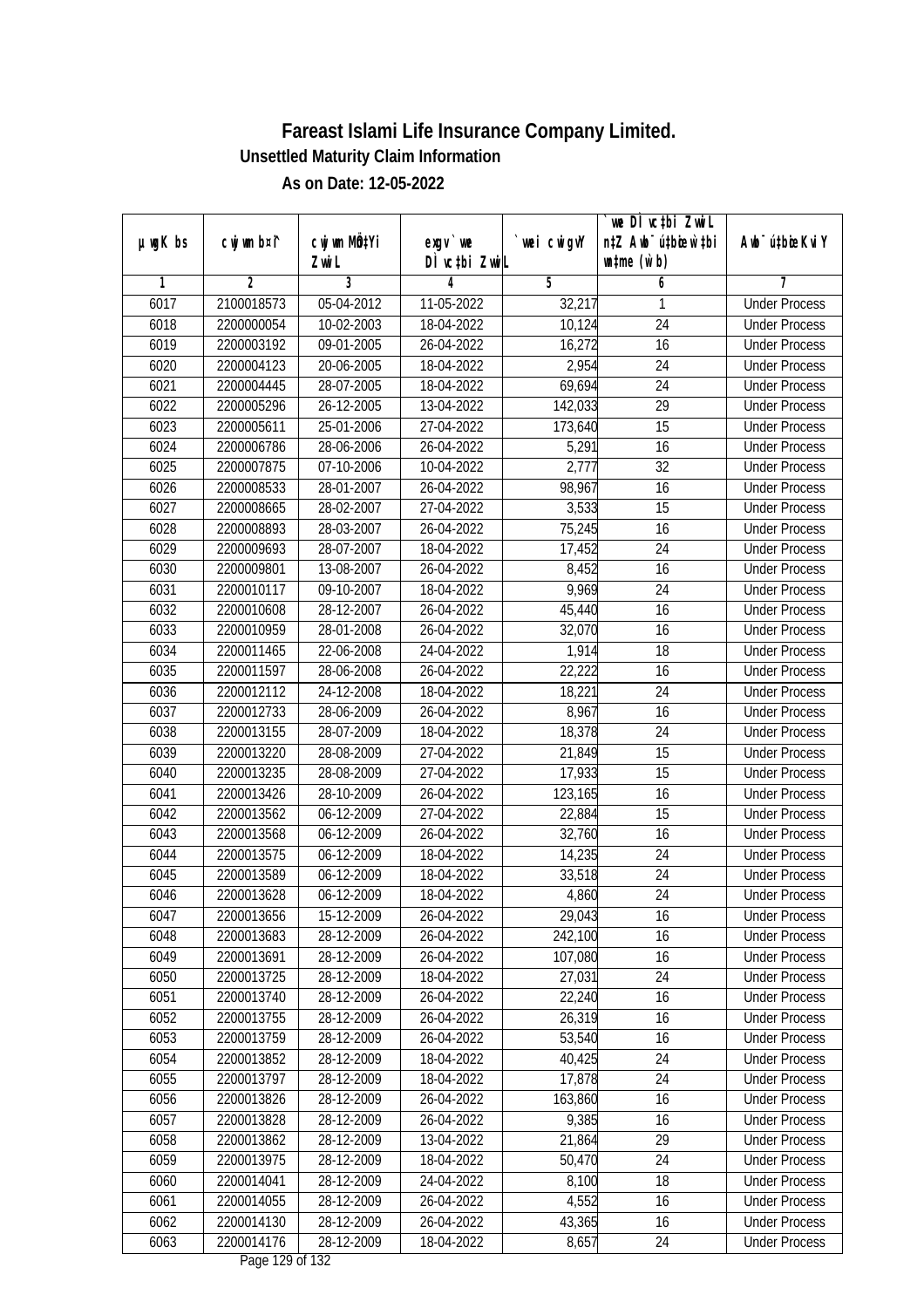| $µ$ ug $K$ bs | cwj wm b¤i^ | cwj wm MQtYi | $exqu$ we                           | wei cwigvY | we DI vctbi ZwiL<br>n‡Z Awb <sup>-</sup> ú‡bioen`‡bi | Awb <sup>-</sup> ú‡bioeKviY |
|---------------|-------------|--------------|-------------------------------------|------------|------------------------------------------------------|-----------------------------|
|               |             | Zwi L        | DÌ vctbi ZwiL                       |            | $\n  untime\n  (u`b)\n$                              |                             |
| 1             | 2           | 3            | 4                                   | 5          | 6                                                    | 7                           |
| 6017          | 2100018573  | 05-04-2012   | 11-05-2022                          | 32,217     | 1                                                    | <b>Under Process</b>        |
| 6018          | 2200000054  | 10-02-2003   | 18-04-2022                          | 10,124     | 24                                                   | <b>Under Process</b>        |
| 6019          | 2200003192  | 09-01-2005   | 26-04-2022                          | 16,272     | 16                                                   | <b>Under Process</b>        |
| 6020          | 2200004123  | 20-06-2005   | 18-04-2022                          | 2,954      | 24                                                   | <b>Under Process</b>        |
| 6021          | 2200004445  | 28-07-2005   | 18-04-2022                          | 69,694     | 24                                                   | <b>Under Process</b>        |
| 6022          | 2200005296  | 26-12-2005   | 13-04-2022                          | 142,033    | $\overline{29}$                                      | <b>Under Process</b>        |
| 6023          | 2200005611  | 25-01-2006   | 27-04-2022                          | 173,640    | 15                                                   | <b>Under Process</b>        |
| 6024          | 2200006786  | 28-06-2006   | 26-04-2022                          | 5,291      | $\overline{16}$                                      | <b>Under Process</b>        |
| 6025          | 2200007875  | 07-10-2006   | 10-04-2022                          | 2,777      | 32                                                   | <b>Under Process</b>        |
| 6026          | 2200008533  | 28-01-2007   | 26-04-2022                          | 98,967     | 16                                                   | <b>Under Process</b>        |
| 6027          | 2200008665  | 28-02-2007   | 27-04-2022                          | 3,533      | $\overline{15}$                                      | <b>Under Process</b>        |
| 6028          | 2200008893  | 28-03-2007   | 26-04-2022                          | 75,245     | 16                                                   | <b>Under Process</b>        |
| 6029          | 2200009693  | 28-07-2007   | 18-04-2022                          | 17,452     | $\overline{24}$                                      | <b>Under Process</b>        |
| 6030          | 2200009801  | 13-08-2007   | 26-04-2022                          | 8,452      | 16                                                   | <b>Under Process</b>        |
| 6031          | 2200010117  | 09-10-2007   | 18-04-2022                          | 9,969      | 24                                                   | <b>Under Process</b>        |
| 6032          | 2200010608  | 28-12-2007   | 26-04-2022                          | 45,440     | 16                                                   | <b>Under Process</b>        |
| 6033          | 2200010959  | 28-01-2008   | 26-04-2022                          | 32,070     | 16                                                   | <b>Under Process</b>        |
| 6034          | 2200011465  | 22-06-2008   | 24-04-2022                          | 1,914      | 18                                                   | <b>Under Process</b>        |
| 6035          | 2200011597  | 28-06-2008   | 26-04-2022                          | 22,222     | 16                                                   | <b>Under Process</b>        |
| 6036          | 2200012112  | 24-12-2008   | 18-04-2022                          | 18,221     | 24                                                   | <b>Under Process</b>        |
| 6037          | 2200012733  | 28-06-2009   | 26-04-2022                          | 8,967      | 16                                                   | <b>Under Process</b>        |
| 6038          | 2200013155  | 28-07-2009   | 18-04-2022                          | 18,378     | 24                                                   | <b>Under Process</b>        |
| 6039          | 2200013220  | 28-08-2009   | 27-04-2022                          | 21,849     | 15                                                   | <b>Under Process</b>        |
| 6040          | 2200013235  | 28-08-2009   | 27-04-2022                          | 17,933     | 15                                                   | <b>Under Process</b>        |
| 6041          | 2200013426  | 28-10-2009   | 26-04-2022                          | 123,165    | 16                                                   | <b>Under Process</b>        |
| 6042          | 2200013562  | 06-12-2009   | 27-04-2022                          | 22,884     | 15                                                   | <b>Under Process</b>        |
| 6043          | 2200013568  | 06-12-2009   | 26-04-2022                          | 32,760     | 16                                                   | <b>Under Process</b>        |
| 6044          | 2200013575  | 06-12-2009   | 18-04-2022                          | 14,235     | 24                                                   | <b>Under Process</b>        |
| 6045          | 2200013589  | 06-12-2009   | 18-04-2022                          | 33,518     | 24                                                   | <b>Under Process</b>        |
| 6046          | 2200013628  | 06-12-2009   | 18-04-2022                          | 4,860      | 24                                                   | <b>Under Process</b>        |
| 6047          | 2200013656  | 15-12-2009   | 26-04-2022                          | 29,043     | 16                                                   | <b>Under Process</b>        |
| 6048          | 2200013683  | 28-12-2009   | 26-04-2022                          | 242,100    | 16                                                   | <b>Under Process</b>        |
| 6049          | 2200013691  | 28-12-2009   | 26-04-2022                          | 107,080    | 16                                                   | <b>Under Process</b>        |
| 6050          | 2200013725  | 28-12-2009   | 18-04-2022                          | 27,031     | 24                                                   | <b>Under Process</b>        |
| 6051          | 2200013740  | 28-12-2009   | 26-04-2022                          | 22,240     | 16                                                   | <b>Under Process</b>        |
| 6052          | 2200013755  | 28-12-2009   | 26-04-2022                          | 26,319     | 16                                                   | <b>Under Process</b>        |
| 6053          | 2200013759  | 28-12-2009   | 26-04-2022                          | 53,540     | 16                                                   | <b>Under Process</b>        |
| 6054          | 2200013852  | 28-12-2009   | 18-04-2022                          | 40,425     | 24                                                   | <b>Under Process</b>        |
| 6055          | 2200013797  | 28-12-2009   | 18-04-2022                          | 17,878     | 24                                                   | <b>Under Process</b>        |
| 6056          | 2200013826  | 28-12-2009   | 26-04-2022                          | 163,860    | 16                                                   | <b>Under Process</b>        |
| 6057          | 2200013828  | 28-12-2009   | 26-04-2022                          | 9,385      | 16                                                   | <b>Under Process</b>        |
| 6058          | 2200013862  | 28-12-2009   | 13-04-2022                          | 21,864     | 29                                                   | <b>Under Process</b>        |
| 6059          | 2200013975  | 28-12-2009   | 18-04-2022                          | 50,470     | 24                                                   | <b>Under Process</b>        |
| 6060          | 2200014041  | 28-12-2009   | 24-04-2022                          | 8,100      | 18                                                   | <b>Under Process</b>        |
| 6061          | 2200014055  | 28-12-2009   | 26-04-2022                          | 4,552      | 16                                                   | <b>Under Process</b>        |
| 6062          | 2200014130  | 28-12-2009   | 26-04-2022                          | 43,365     | 16                                                   | <b>Under Process</b>        |
| 6063          | 2200014176  | 28-12-2009   | 18-04-2022<br>$D_{0.92}$ 100 of 122 | 8,657      | 24                                                   | <b>Under Process</b>        |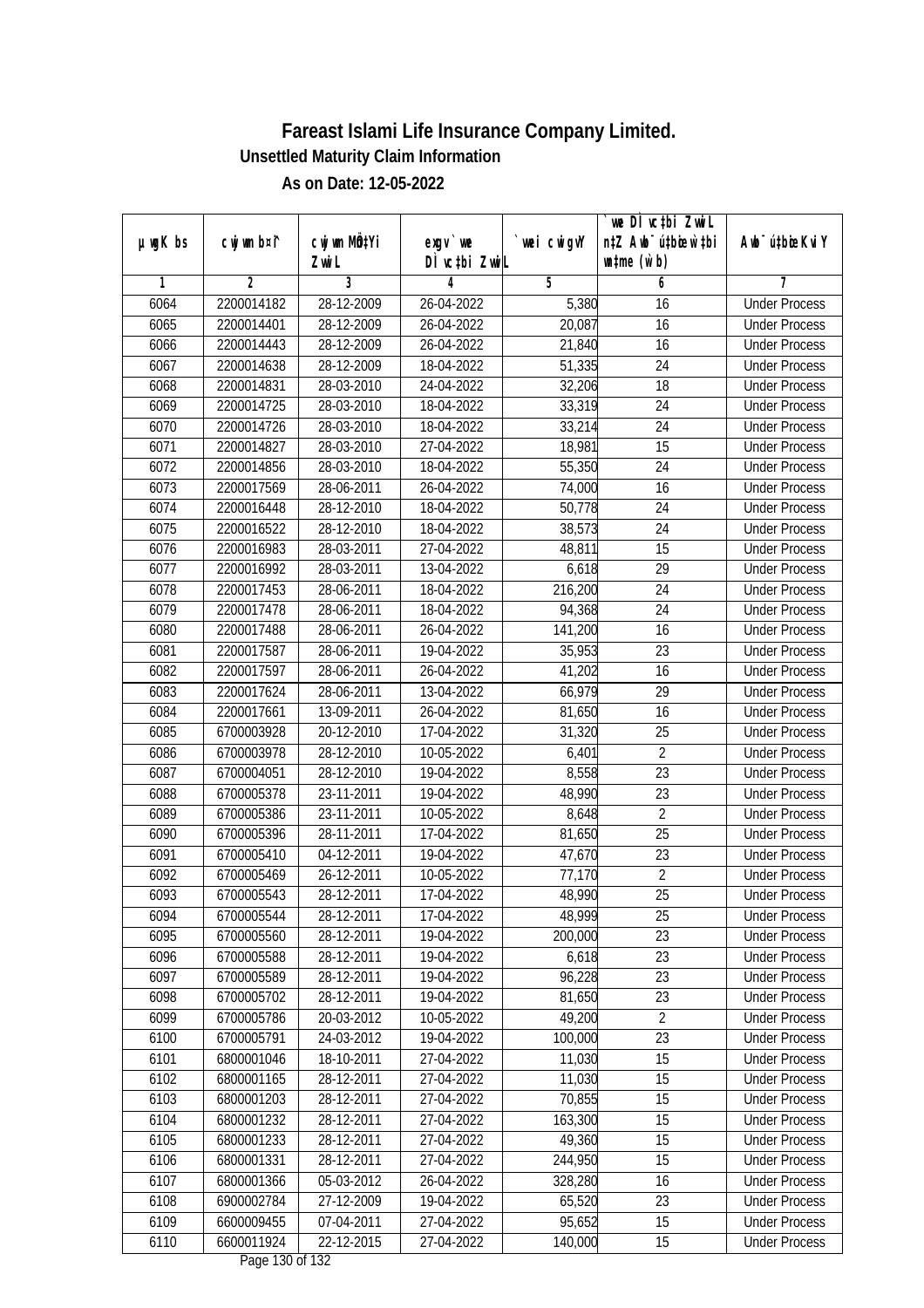|               |             | cwj wm MQtYi |                                     |            | `we DÌ vc‡bi ZwiL<br>n‡Z Awb <sup>-</sup> ú‡bicen`‡bi |                             |
|---------------|-------------|--------------|-------------------------------------|------------|-------------------------------------------------------|-----------------------------|
| $µ$ ug $K$ bs | cwj wm b¤i^ | Zwi L        | exgv `we<br>DÌ vctbi ZwiL           | wei cwigvY | $\n  untime\n  (u`b)\n$                               | Awb <sup>-</sup> ú‡bioeKviY |
| 1             | 2           | 3            | 4                                   | 5          | 6                                                     | 7                           |
| 6064          | 2200014182  | 28-12-2009   | 26-04-2022                          | 5,380      | 16                                                    | <b>Under Process</b>        |
| 6065          | 2200014401  | 28-12-2009   | 26-04-2022                          | 20,087     | 16                                                    | <b>Under Process</b>        |
| 6066          | 2200014443  | 28-12-2009   | 26-04-2022                          | 21,840     | 16                                                    | <b>Under Process</b>        |
| 6067          | 2200014638  | 28-12-2009   | 18-04-2022                          | 51,335     | 24                                                    | <b>Under Process</b>        |
| 6068          | 2200014831  | 28-03-2010   | 24-04-2022                          | 32,206     | 18                                                    | <b>Under Process</b>        |
| 6069          | 2200014725  | 28-03-2010   | 18-04-2022                          | 33,319     | $\overline{24}$                                       | <b>Under Process</b>        |
| 6070          | 2200014726  | 28-03-2010   | 18-04-2022                          | 33,214     | 24                                                    | <b>Under Process</b>        |
| 6071          | 2200014827  | 28-03-2010   | 27-04-2022                          | 18,981     | $\overline{15}$                                       | <b>Under Process</b>        |
| 6072          | 2200014856  | 28-03-2010   | 18-04-2022                          | 55,350     | 24                                                    | <b>Under Process</b>        |
| 6073          | 2200017569  | 28-06-2011   | 26-04-2022                          | 74,000     | 16                                                    | <b>Under Process</b>        |
| 6074          | 2200016448  | 28-12-2010   | 18-04-2022                          | 50,778     | $\overline{24}$                                       | <b>Under Process</b>        |
| 6075          | 2200016522  | 28-12-2010   | 18-04-2022                          | 38,573     | 24                                                    | <b>Under Process</b>        |
| 6076          | 2200016983  | 28-03-2011   | 27-04-2022                          | 48,811     | $\overline{15}$                                       | <b>Under Process</b>        |
| 6077          | 2200016992  | 28-03-2011   | 13-04-2022                          | 6,618      | 29                                                    | <b>Under Process</b>        |
| 6078          | 2200017453  | 28-06-2011   | 18-04-2022                          | 216,200    | 24                                                    | <b>Under Process</b>        |
| 6079          | 2200017478  | 28-06-2011   | 18-04-2022                          | 94,368     | 24                                                    | <b>Under Process</b>        |
| 6080          | 2200017488  | 28-06-2011   | 26-04-2022                          | 141,200    | 16                                                    | <b>Under Process</b>        |
| 6081          | 2200017587  | 28-06-2011   | 19-04-2022                          | 35,953     | 23                                                    | <b>Under Process</b>        |
| 6082          | 2200017597  | 28-06-2011   | 26-04-2022                          | 41,202     | 16                                                    | <b>Under Process</b>        |
| 6083          | 2200017624  | 28-06-2011   | 13-04-2022                          | 66,979     | 29                                                    | <b>Under Process</b>        |
| 6084          | 2200017661  | 13-09-2011   | 26-04-2022                          | 81,650     | 16                                                    | <b>Under Process</b>        |
| 6085          | 6700003928  | 20-12-2010   | 17-04-2022                          | 31,320     | 25                                                    | <b>Under Process</b>        |
| 6086          | 6700003978  | 28-12-2010   | 10-05-2022                          | 6,401      | $\overline{2}$                                        | <b>Under Process</b>        |
| 6087          | 6700004051  | 28-12-2010   | 19-04-2022                          | 8,558      | 23                                                    | <b>Under Process</b>        |
| 6088          | 6700005378  | 23-11-2011   | 19-04-2022                          | 48,990     | 23                                                    | <b>Under Process</b>        |
| 6089          | 6700005386  | 23-11-2011   | 10-05-2022                          | 8,648      | $\overline{2}$                                        | <b>Under Process</b>        |
| 6090          | 6700005396  | 28-11-2011   | 17-04-2022                          | 81,650     | 25                                                    | <b>Under Process</b>        |
| 6091          | 6700005410  | 04-12-2011   | 19-04-2022                          | 47,670     | 23                                                    | <b>Under Process</b>        |
| 6092          | 6700005469  | 26-12-2011   | 10-05-2022                          | 77,170     | $\overline{2}$                                        | <b>Under Process</b>        |
| 6093          | 6700005543  | 28-12-2011   | 17-04-2022                          | 48,990     | 25                                                    | <b>Under Process</b>        |
| 6094          | 6700005544  | 28-12-2011   | 17-04-2022                          | 48,999     | 25                                                    | <b>Under Process</b>        |
| 6095          | 6700005560  | 28-12-2011   | 19-04-2022                          | 200,000    | 23                                                    | <b>Under Process</b>        |
| 6096          | 6700005588  | 28-12-2011   | 19-04-2022                          | 6,618      | 23                                                    | <b>Under Process</b>        |
| 6097          | 6700005589  | 28-12-2011   | 19-04-2022                          | 96,228     | 23                                                    | <b>Under Process</b>        |
| 6098          | 6700005702  | 28-12-2011   | 19-04-2022                          | 81,650     | 23                                                    | <b>Under Process</b>        |
| 6099          | 6700005786  | 20-03-2012   | 10-05-2022                          | 49,200     | $\overline{2}$                                        | <b>Under Process</b>        |
| 6100          | 6700005791  | 24-03-2012   | 19-04-2022                          | 100,000    | 23                                                    | <b>Under Process</b>        |
| 6101          | 6800001046  | 18-10-2011   | 27-04-2022                          | 11,030     | 15                                                    | <b>Under Process</b>        |
| 6102          | 6800001165  | 28-12-2011   | 27-04-2022                          | 11,030     | 15                                                    | <b>Under Process</b>        |
| 6103          | 6800001203  | 28-12-2011   | 27-04-2022                          | 70,855     | 15                                                    | <b>Under Process</b>        |
| 6104          | 6800001232  | 28-12-2011   | 27-04-2022                          | 163,300    | 15                                                    | <b>Under Process</b>        |
| 6105          | 6800001233  | 28-12-2011   | 27-04-2022                          | 49,360     | 15                                                    | <b>Under Process</b>        |
| 6106          | 6800001331  | 28-12-2011   | 27-04-2022                          | 244,950    | 15                                                    | <b>Under Process</b>        |
| 6107          | 6800001366  | 05-03-2012   | 26-04-2022                          | 328,280    | 16                                                    | <b>Under Process</b>        |
| 6108          | 6900002784  | 27-12-2009   | 19-04-2022                          | 65,520     | 23                                                    | <b>Under Process</b>        |
| 6109          | 6600009455  | 07-04-2011   | 27-04-2022                          | 95,652     | 15                                                    | <b>Under Process</b>        |
| 6110          | 6600011924  | 22-12-2015   | 27-04-2022<br>$D_{0.92}$ 120 of 122 | 140,000    | 15                                                    | <b>Under Process</b>        |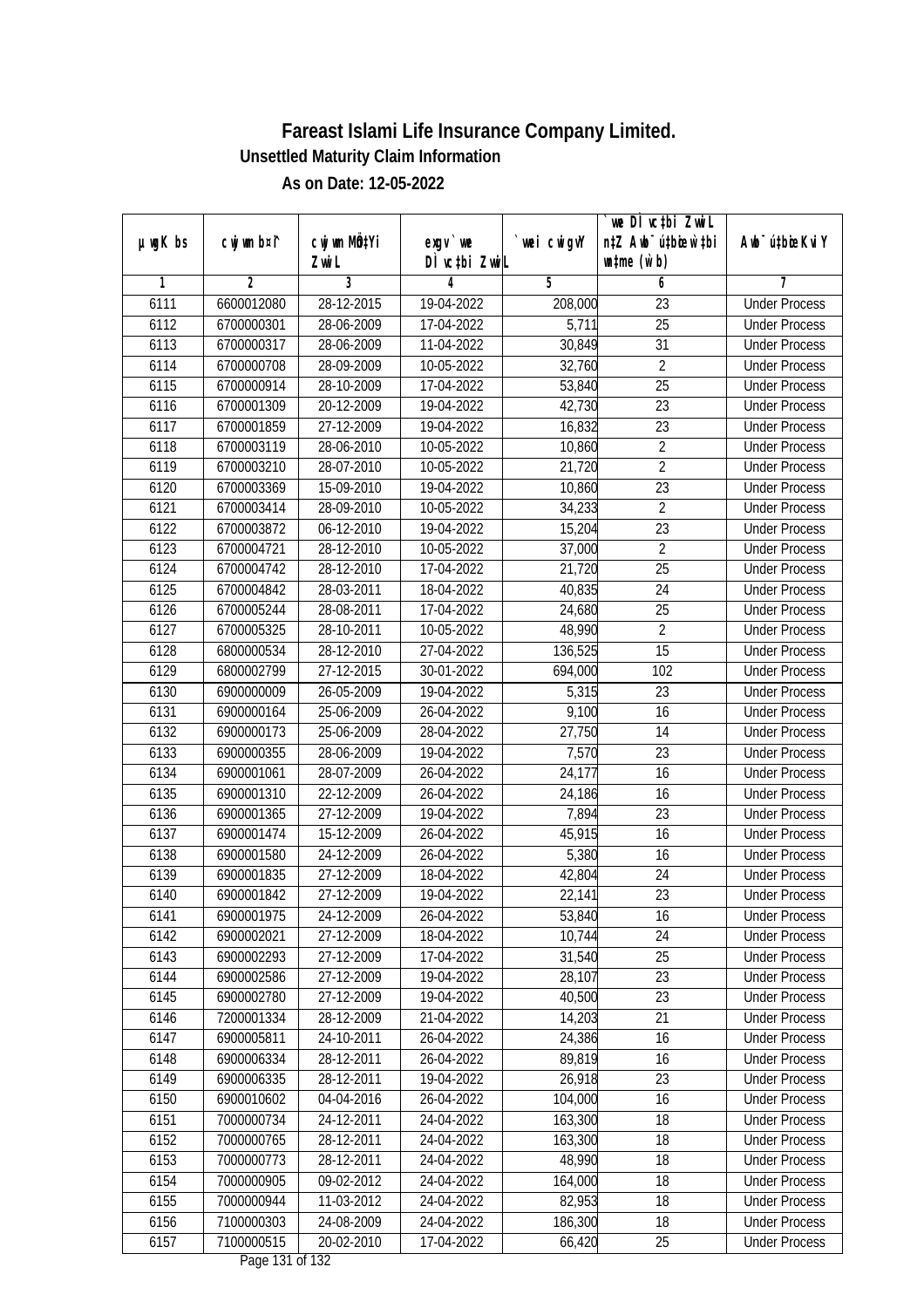| $µ$ ug $K$ bs | cwj wm b¤i^ | cwj wm MQtYi | exgv `we                            | wei cwigvY | `we DÌ vc‡bi ZwiL<br>n‡Z Awb <sup>-</sup> ú‡bioen`‡bi | Awb <sup>-</sup> ú‡bioeKviY |
|---------------|-------------|--------------|-------------------------------------|------------|-------------------------------------------------------|-----------------------------|
|               |             | Zwi L        | DÌ vctbi ZwiL                       |            | $\n  untime\n  (u`b)\n$                               |                             |
| 1             | 2           | 3            | 4                                   | 5          | 6                                                     | 7                           |
| 6111          | 6600012080  | 28-12-2015   | 19-04-2022                          | 208,000    | 23                                                    | <b>Under Process</b>        |
| 6112          | 6700000301  | 28-06-2009   | 17-04-2022                          | 5,711      | $\overline{25}$                                       | <b>Under Process</b>        |
| 6113          | 6700000317  | 28-06-2009   | 11-04-2022                          | 30,849     | 31                                                    | <b>Under Process</b>        |
| 6114          | 6700000708  | 28-09-2009   | 10-05-2022                          | 32,760     | $\overline{2}$                                        | <b>Under Process</b>        |
| 6115          | 6700000914  | 28-10-2009   | 17-04-2022                          | 53,840     | $\overline{25}$                                       | <b>Under Process</b>        |
| 6116          | 6700001309  | 20-12-2009   | 19-04-2022                          | 42,730     | $\overline{23}$                                       | <b>Under Process</b>        |
| 6117          | 6700001859  | 27-12-2009   | 19-04-2022                          | 16,832     | $\overline{23}$                                       | <b>Under Process</b>        |
| 6118          | 6700003119  | 28-06-2010   | 10-05-2022                          | 10,860     | $\overline{2}$                                        | <b>Under Process</b>        |
| 6119          | 6700003210  | 28-07-2010   | 10-05-2022                          | 21,720     | $\overline{2}$                                        | <b>Under Process</b>        |
| 6120          | 6700003369  | 15-09-2010   | 19-04-2022                          | 10,860     | 23                                                    | <b>Under Process</b>        |
| 6121          | 6700003414  | 28-09-2010   | 10-05-2022                          | 34,233     | $\overline{2}$                                        | <b>Under Process</b>        |
| 6122          | 6700003872  | 06-12-2010   | 19-04-2022                          | 15,204     | 23                                                    | <b>Under Process</b>        |
| 6123          | 6700004721  | 28-12-2010   | 10-05-2022                          | 37,000     | $\overline{2}$                                        | <b>Under Process</b>        |
| 6124          | 6700004742  | 28-12-2010   | 17-04-2022                          | 21,720     | 25                                                    | <b>Under Process</b>        |
| 6125          | 6700004842  | 28-03-2011   | 18-04-2022                          | 40,835     | 24                                                    | <b>Under Process</b>        |
| 6126          | 6700005244  | 28-08-2011   | 17-04-2022                          | 24,680     | 25                                                    | <b>Under Process</b>        |
| 6127          | 6700005325  | 28-10-2011   | 10-05-2022                          | 48,990     | $\overline{2}$                                        | <b>Under Process</b>        |
| 6128          | 6800000534  | 28-12-2010   | 27-04-2022                          | 136,525    | $\overline{15}$                                       | <b>Under Process</b>        |
| 6129          | 6800002799  | 27-12-2015   | 30-01-2022                          | 694,000    | 102                                                   | <b>Under Process</b>        |
| 6130          | 6900000009  | 26-05-2009   | 19-04-2022                          | 5,315      | 23                                                    | <b>Under Process</b>        |
| 6131          | 6900000164  | 25-06-2009   | 26-04-2022                          | 9,100      | 16                                                    | <b>Under Process</b>        |
| 6132          | 6900000173  | 25-06-2009   | 28-04-2022                          | 27,750     | 14                                                    | <b>Under Process</b>        |
| 6133          | 6900000355  | 28-06-2009   | 19-04-2022                          | 7,570      | 23                                                    | <b>Under Process</b>        |
| 6134          | 6900001061  | 28-07-2009   | 26-04-2022                          | 24,177     | 16                                                    | <b>Under Process</b>        |
| 6135          | 6900001310  | 22-12-2009   | 26-04-2022                          | 24,186     | 16                                                    | <b>Under Process</b>        |
| 6136          | 6900001365  | 27-12-2009   | 19-04-2022                          | 7,894      | 23                                                    | <b>Under Process</b>        |
| 6137          | 6900001474  | 15-12-2009   | 26-04-2022                          | 45,915     | 16                                                    | <b>Under Process</b>        |
| 6138          | 6900001580  | 24-12-2009   | 26-04-2022                          | 5,380      | 16                                                    | <b>Under Process</b>        |
| 6139          | 6900001835  | 27-12-2009   | 18-04-2022                          | 42,804     | 24                                                    | <b>Under Process</b>        |
| 6140          | 6900001842  | 27-12-2009   | 19-04-2022                          | 22,141     | 23                                                    | <b>Under Process</b>        |
| 6141          | 6900001975  | 24-12-2009   | 26-04-2022                          | 53,840     | 16                                                    | <b>Under Process</b>        |
| 6142          | 6900002021  | 27-12-2009   | 18-04-2022                          | 10,744     | 24                                                    | <b>Under Process</b>        |
| 6143          | 6900002293  | 27-12-2009   | 17-04-2022                          | 31,540     | 25                                                    | <b>Under Process</b>        |
| 6144          | 6900002586  | 27-12-2009   | 19-04-2022                          | 28,107     | 23                                                    | <b>Under Process</b>        |
| 6145          | 6900002780  | 27-12-2009   | 19-04-2022                          | 40,500     | 23                                                    | <b>Under Process</b>        |
| 6146          | 7200001334  | 28-12-2009   | 21-04-2022                          | 14,203     | 21                                                    | <b>Under Process</b>        |
| 6147          | 6900005811  | 24-10-2011   | 26-04-2022                          | 24,386     | 16                                                    | <b>Under Process</b>        |
| 6148          | 6900006334  | 28-12-2011   | 26-04-2022                          | 89,819     | 16                                                    | <b>Under Process</b>        |
| 6149          | 6900006335  | 28-12-2011   | 19-04-2022                          | 26,918     | 23                                                    | <b>Under Process</b>        |
| 6150          | 6900010602  | 04-04-2016   | 26-04-2022                          | 104,000    | 16                                                    | <b>Under Process</b>        |
| 6151          | 7000000734  | 24-12-2011   | 24-04-2022                          | 163,300    | 18                                                    | <b>Under Process</b>        |
| 6152          | 7000000765  | 28-12-2011   | 24-04-2022                          | 163,300    | 18                                                    | <b>Under Process</b>        |
| 6153          | 7000000773  | 28-12-2011   | 24-04-2022                          | 48,990     | 18                                                    | <b>Under Process</b>        |
| 6154          | 7000000905  | 09-02-2012   | 24-04-2022                          | 164,000    | 18                                                    | <b>Under Process</b>        |
| 6155          | 7000000944  | 11-03-2012   | 24-04-2022                          | 82,953     | 18                                                    | <b>Under Process</b>        |
| 6156          | 7100000303  | 24-08-2009   | 24-04-2022                          | 186,300    | 18                                                    | <b>Under Process</b>        |
| 6157          | 7100000515  | 20-02-2010   | 17-04-2022<br>$D_{0.92}$ 121 of 122 | 66,420     | 25                                                    | <b>Under Process</b>        |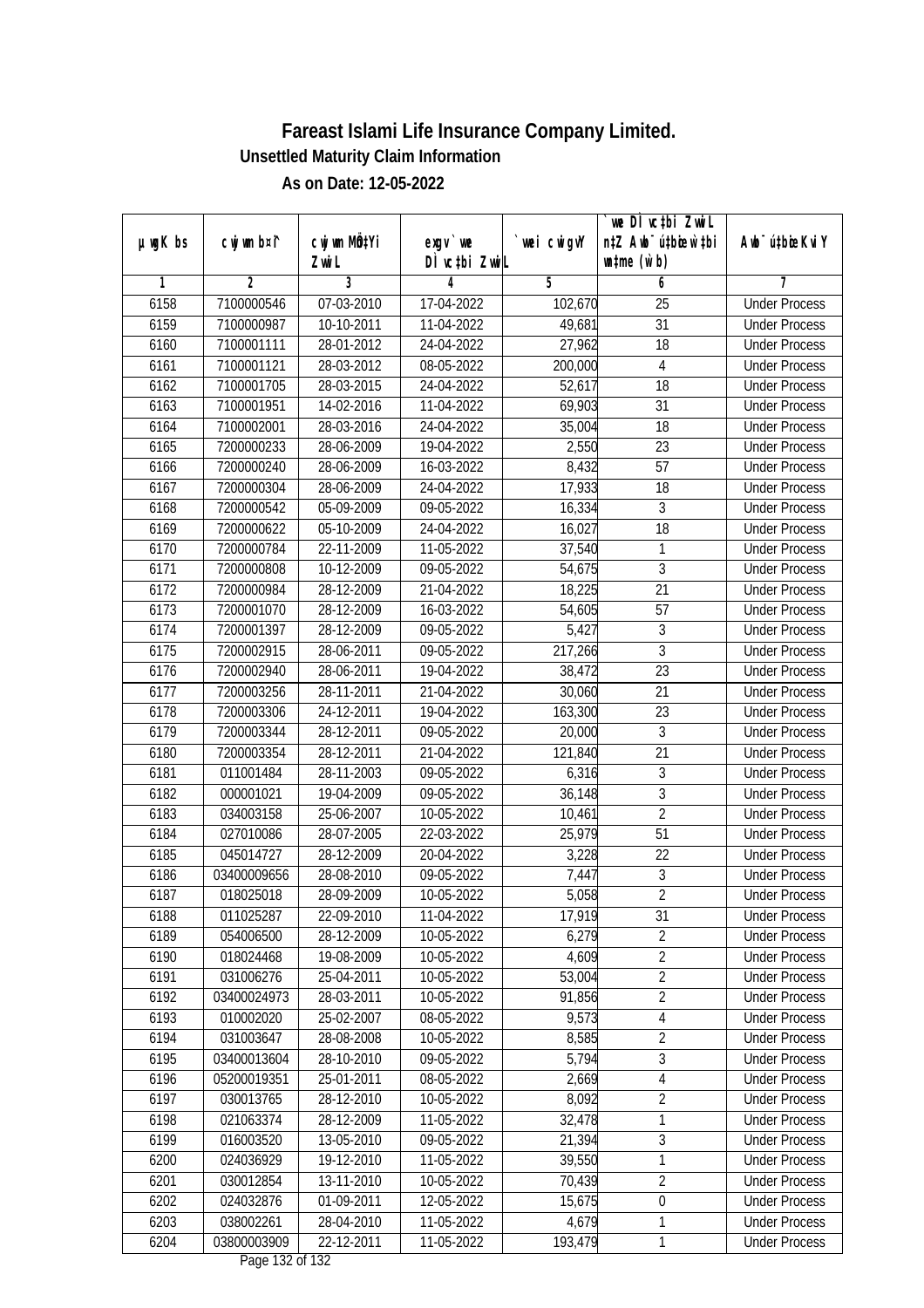|               | cwj wm b¤i^    | cwj wm MÖ¢Yi     |                                     |            | we DI vctbi ZwiL<br>n‡Z Awb <sup>-</sup> ú‡bicen`‡bi |                             |
|---------------|----------------|------------------|-------------------------------------|------------|------------------------------------------------------|-----------------------------|
| $µ$ ug $K$ bs |                | Zwi L            | $exgV$ we<br>DÌ vctbi ZwiL          | wei cwigvY | $\n  untime\n  (u`b)\n$                              | Awb <sup>-</sup> ú‡bioeKviY |
| 1             | $\overline{2}$ | 3                | 4                                   | 5          | 6                                                    | 7                           |
| 6158          | 7100000546     | 07-03-2010       | 17-04-2022                          | 102,670    | $\overline{25}$                                      | <b>Under Process</b>        |
| 6159          | 7100000987     | 10-10-2011       | 11-04-2022                          | 49,681     | $\overline{31}$                                      | <b>Under Process</b>        |
| 6160          | 7100001111     | 28-01-2012       | 24-04-2022                          | 27,962     | $\overline{18}$                                      | <b>Under Process</b>        |
| 6161          | 7100001121     | 28-03-2012       | 08-05-2022                          | 200,000    | 4                                                    | <b>Under Process</b>        |
| 6162          | 7100001705     | 28-03-2015       | 24-04-2022                          | 52,617     | $\overline{18}$                                      | <b>Under Process</b>        |
| 6163          | 7100001951     | 14-02-2016       | 11-04-2022                          | 69,903     | $\overline{31}$                                      | <b>Under Process</b>        |
| 6164          | 7100002001     | 28-03-2016       | 24-04-2022                          | 35,004     | 18                                                   | <b>Under Process</b>        |
| 6165          | 7200000233     | 28-06-2009       | 19-04-2022                          | 2,550      | 23                                                   | <b>Under Process</b>        |
| 6166          | 7200000240     | 28-06-2009       | 16-03-2022                          | 8,432      | $\overline{57}$                                      | <b>Under Process</b>        |
| 6167          | 7200000304     | 28-06-2009       | 24-04-2022                          | 17,933     | 18                                                   | <b>Under Process</b>        |
| 6168          | 7200000542     | 05-09-2009       | 09-05-2022                          | 16,334     | $\overline{3}$                                       | <b>Under Process</b>        |
| 6169          | 7200000622     | 05-10-2009       | 24-04-2022                          | 16,027     | 18                                                   | <b>Under Process</b>        |
| 6170          | 7200000784     | 22-11-2009       | 11-05-2022                          | 37,540     | $\mathbf{1}$                                         | <b>Under Process</b>        |
| 6171          | 7200000808     | 10-12-2009       | 09-05-2022                          | 54,675     | $\mathfrak{Z}$                                       | <b>Under Process</b>        |
| 6172          | 7200000984     | 28-12-2009       | 21-04-2022                          | 18,225     | 21                                                   | <b>Under Process</b>        |
| 6173          | 7200001070     | 28-12-2009       | 16-03-2022                          | 54,605     | 57                                                   | <b>Under Process</b>        |
| 6174          | 7200001397     | 28-12-2009       | 09-05-2022                          | 5,427      | $\sqrt{3}$                                           | <b>Under Process</b>        |
| 6175          | 7200002915     | 28-06-2011       | 09-05-2022                          | 217,266    | $\overline{3}$                                       | <b>Under Process</b>        |
| 6176          | 7200002940     | 28-06-2011       | 19-04-2022                          | 38,472     | 23                                                   | <b>Under Process</b>        |
| 6177          | 7200003256     | 28-11-2011       | 21-04-2022                          | 30,060     | 21                                                   | <b>Under Process</b>        |
| 6178          | 7200003306     | 24-12-2011       | 19-04-2022                          | 163,300    | 23                                                   | <b>Under Process</b>        |
| 6179          | 7200003344     | 28-12-2011       | 09-05-2022                          | 20,000     | 3                                                    | <b>Under Process</b>        |
| 6180          | 7200003354     | 28-12-2011       | 21-04-2022                          | 121,840    | $\overline{21}$                                      | <b>Under Process</b>        |
| 6181          | 011001484      | 28-11-2003       | 09-05-2022                          | 6,316      | $\sqrt{3}$                                           | <b>Under Process</b>        |
| 6182          | 000001021      | 19-04-2009       | 09-05-2022                          | 36,148     | $\overline{3}$                                       | <b>Under Process</b>        |
| 6183          | 034003158      | 25-06-2007       | 10-05-2022                          | 10,461     | $\overline{2}$                                       | <b>Under Process</b>        |
| 6184          | 027010086      | 28-07-2005       | 22-03-2022                          | 25,979     | 51                                                   | <b>Under Process</b>        |
| 6185          | 045014727      | 28-12-2009       | 20-04-2022                          | 3,228      | 22                                                   | <b>Under Process</b>        |
| 6186          | 03400009656    | 28-08-2010       | 09-05-2022                          | 7,447      | $\overline{3}$                                       | <b>Under Process</b>        |
| 6187          | 018025018      | 28-09-2009       | 10-05-2022                          | 5,058      | $\overline{2}$                                       | <b>Under Process</b>        |
| 6188          | 011025287      | 22-09-2010       | 11-04-2022                          | 17,919     | 31                                                   | <b>Under Process</b>        |
| 6189          | 054006500      | 28-12-2009       | 10-05-2022                          | 6,279      | $\overline{2}$                                       | <b>Under Process</b>        |
| 6190          | 018024468      | 19-08-2009       | 10-05-2022                          | 4,609      | $\overline{2}$                                       | <b>Under Process</b>        |
| 6191          | 031006276      | 25-04-2011       | 10-05-2022                          | 53,004     | $\overline{2}$                                       | <b>Under Process</b>        |
| 6192          | 03400024973    | 28-03-2011       | 10-05-2022                          | 91,856     | $\overline{2}$                                       | <b>Under Process</b>        |
| 6193          | 010002020      | 25-02-2007       | 08-05-2022                          | 9,573      | 4                                                    | <b>Under Process</b>        |
| 6194          | 031003647      | 28-08-2008       | 10-05-2022                          | 8,585      | $\overline{2}$                                       | <b>Under Process</b>        |
| 6195          | 03400013604    | 28-10-2010       | 09-05-2022                          | 5,794      | $\overline{3}$                                       | <b>Under Process</b>        |
| 6196          | 05200019351    | 25-01-2011       | 08-05-2022                          | 2,669      | $\overline{4}$                                       | <b>Under Process</b>        |
| 6197          | 030013765      | 28-12-2010       | 10-05-2022                          | 8,092      | $\overline{2}$                                       | <b>Under Process</b>        |
| 6198          | 021063374      | 28-12-2009       | 11-05-2022                          | 32,478     | 1                                                    | <b>Under Process</b>        |
| 6199          | 016003520      | 13-05-2010       | 09-05-2022                          | 21,394     | $\overline{3}$                                       | <b>Under Process</b>        |
| 6200          | 024036929      | 19-12-2010       | $11 - 05 - 2022$                    | 39,550     | 1                                                    | <b>Under Process</b>        |
| 6201          | 030012854      | $13 - 11 - 2010$ | 10-05-2022                          | 70,439     | $\overline{2}$                                       | <b>Under Process</b>        |
| 6202          | 024032876      | 01-09-2011       | 12-05-2022                          | 15,675     | $\overline{0}$                                       | <b>Under Process</b>        |
| 6203          | 038002261      | 28-04-2010       | 11-05-2022                          | 4,679      | $\mathbf{1}$                                         | <b>Under Process</b>        |
| 6204          | 03800003909    | 22-12-2011       | 11-05-2022<br>$D_{0.92}$ 122 of 123 | 193,479    | $\mathbf{1}$                                         | <b>Under Process</b>        |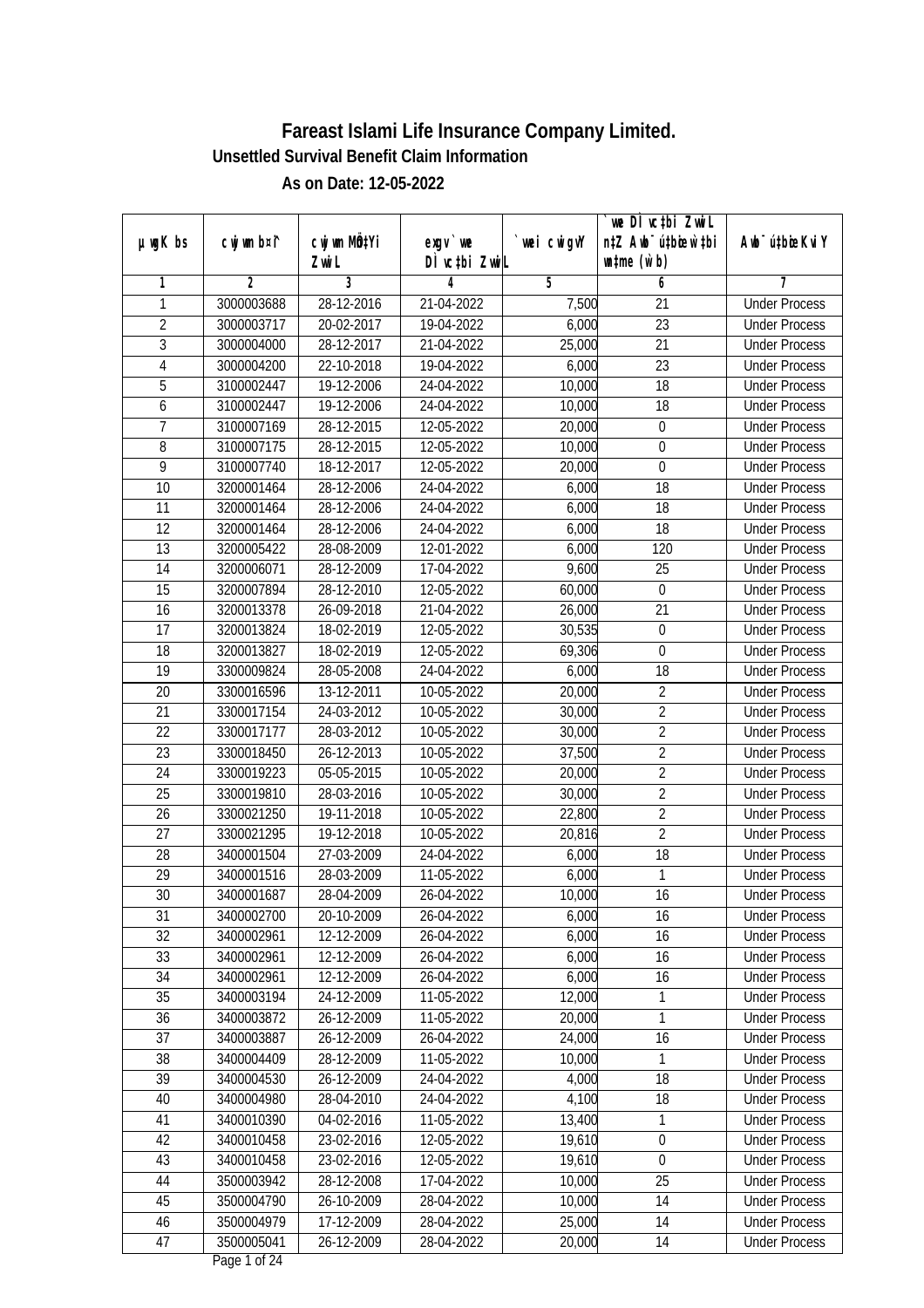|                 |                |              |               |            | we DÌ vc‡bi ZwiL                 |                              |
|-----------------|----------------|--------------|---------------|------------|----------------------------------|------------------------------|
| $µ$ ug $K$ bs   | cwj wm b¤i^    | cwj wm MQtYi | $exqu$ we     | wei cwigvY | n‡Z Awb <sup>-</sup> ú‡bioen`‡bi | Aub <sup>-</sup> ú‡bioeKvi Y |
|                 |                | Zwi L        | DÌ vctbi ZwiL |            | $\n  untime\n  (u`b)\n$          |                              |
| 1               | $\overline{2}$ | 3            | 4             | 5          | 6                                | 7                            |
| 1               | 3000003688     | 28-12-2016   | 21-04-2022    | 7,500      | 21                               | <b>Under Process</b>         |
| $\overline{2}$  | 3000003717     | 20-02-2017   | 19-04-2022    | 6,000      | $\overline{23}$                  | <b>Under Process</b>         |
| $\overline{3}$  | 3000004000     | 28-12-2017   | 21-04-2022    | 25,000     | 21                               | <b>Under Process</b>         |
| $\overline{4}$  | 3000004200     | 22-10-2018   | 19-04-2022    | 6,000      | $\overline{23}$                  | <b>Under Process</b>         |
| 5               | 3100002447     | 19-12-2006   | 24-04-2022    | 10,000     | $\overline{18}$                  | <b>Under Process</b>         |
| 6               | 3100002447     | 19-12-2006   | 24-04-2022    | 10,000     | $\overline{18}$                  | <b>Under Process</b>         |
| $\overline{7}$  | 3100007169     | 28-12-2015   | 12-05-2022    | 20,000     | $\boldsymbol{0}$                 | <b>Under Process</b>         |
| $\overline{8}$  | 3100007175     | 28-12-2015   | 12-05-2022    | 10,000     | $\overline{0}$                   | <b>Under Process</b>         |
| $\overline{9}$  | 3100007740     | 18-12-2017   | 12-05-2022    | 20,000     | $\boldsymbol{0}$                 | <b>Under Process</b>         |
| 10              | 3200001464     | 28-12-2006   | 24-04-2022    | 6,000      | 18                               | <b>Under Process</b>         |
| $\overline{11}$ | 3200001464     | 28-12-2006   | 24-04-2022    | 6,000      | $\overline{18}$                  | <b>Under Process</b>         |
| 12              | 3200001464     | 28-12-2006   | 24-04-2022    | 6,000      | 18                               | <b>Under Process</b>         |
| 13              | 3200005422     | 28-08-2009   | 12-01-2022    | 6,000      | 120                              | <b>Under Process</b>         |
| 14              | 3200006071     | 28-12-2009   | 17-04-2022    | 9,600      | 25                               | <b>Under Process</b>         |
| 15              | 3200007894     | 28-12-2010   | 12-05-2022    | 60,000     | $\mathbf 0$                      | <b>Under Process</b>         |
| 16              | 3200013378     | 26-09-2018   | 21-04-2022    | 26,000     | 21                               | <b>Under Process</b>         |
| 17              | 3200013824     | 18-02-2019   | 12-05-2022    | 30,535     | $\boldsymbol{0}$                 | <b>Under Process</b>         |
| 18              | 3200013827     | 18-02-2019   | 12-05-2022    | 69,306     | $\boldsymbol{0}$                 | <b>Under Process</b>         |
| 19              | 3300009824     | 28-05-2008   | 24-04-2022    | 6,000      | 18                               | <b>Under Process</b>         |
| 20              | 3300016596     | 13-12-2011   | 10-05-2022    | 20,000     | $\overline{2}$                   | <b>Under Process</b>         |
| 21              | 3300017154     | 24-03-2012   | 10-05-2022    | 30,000     | $\overline{2}$                   | <b>Under Process</b>         |
| 22              | 3300017177     | 28-03-2012   | 10-05-2022    | 30,000     | $\overline{2}$                   | <b>Under Process</b>         |
| 23              | 3300018450     | 26-12-2013   | 10-05-2022    | 37,500     | $\overline{2}$                   | <b>Under Process</b>         |
| 24              | 3300019223     | 05-05-2015   | 10-05-2022    | 20,000     | $\overline{2}$                   | <b>Under Process</b>         |
| 25              | 3300019810     | 28-03-2016   | 10-05-2022    | 30,000     | $\overline{2}$                   | <b>Under Process</b>         |
| 26              | 3300021250     | 19-11-2018   | 10-05-2022    | 22,800     | $\overline{2}$                   | <b>Under Process</b>         |
| 27              | 3300021295     | 19-12-2018   | 10-05-2022    | 20,816     | $\overline{2}$                   | <b>Under Process</b>         |
| 28              | 3400001504     | 27-03-2009   | 24-04-2022    | 6,000      | 18                               | <b>Under Process</b>         |
| 29              | 3400001516     | 28-03-2009   | 11-05-2022    | 6,000      | 1                                | <b>Under Process</b>         |
| 30              | 3400001687     | 28-04-2009   | 26-04-2022    | 10,000     | 16                               | <b>Under Process</b>         |
| 31              | 3400002700     | 20-10-2009   | 26-04-2022    | 6,000      | 16                               | <b>Under Process</b>         |
| 32              | 3400002961     | 12-12-2009   | 26-04-2022    | 6,000      | 16                               | <b>Under Process</b>         |
| 33              | 3400002961     | 12-12-2009   | 26-04-2022    | 6,000      | 16                               | <b>Under Process</b>         |
| 34              | 3400002961     | 12-12-2009   | 26-04-2022    | 6,000      | 16                               | <b>Under Process</b>         |
| 35              | 3400003194     | 24-12-2009   | 11-05-2022    | 12,000     | 1                                | <b>Under Process</b>         |
| 36              | 3400003872     | 26-12-2009   | 11-05-2022    | 20,000     | 1                                | <b>Under Process</b>         |
| 37              | 3400003887     | 26-12-2009   | 26-04-2022    | 24,000     | 16                               | <b>Under Process</b>         |
| 38              | 3400004409     | 28-12-2009   | 11-05-2022    | 10,000     | 1                                | <b>Under Process</b>         |
| 39              | 3400004530     | 26-12-2009   | 24-04-2022    | 4,000      | 18                               | <b>Under Process</b>         |
| 40              | 3400004980     | 28-04-2010   | 24-04-2022    | 4,100      | 18                               | <b>Under Process</b>         |
| 41              | 3400010390     | 04-02-2016   | 11-05-2022    | 13,400     | 1                                | <b>Under Process</b>         |
| 42              | 3400010458     | 23-02-2016   | 12-05-2022    | 19,610     | 0                                | <b>Under Process</b>         |
| 43              | 3400010458     | 23-02-2016   | 12-05-2022    | 19,610     | $\mathbf 0$                      | <b>Under Process</b>         |
| 44              | 3500003942     | 28-12-2008   | 17-04-2022    | 10,000     | $\overline{25}$                  | <b>Under Process</b>         |
| 45              | 3500004790     | 26-10-2009   | 28-04-2022    | 10,000     | 14                               | <b>Under Process</b>         |
| 46              | 3500004979     | 17-12-2009   | 28-04-2022    | 25,000     | 14                               | <b>Under Process</b>         |
| 47              | 3500005041     | 26-12-2009   | 28-04-2022    | 20,000     | 14                               | <b>Under Process</b>         |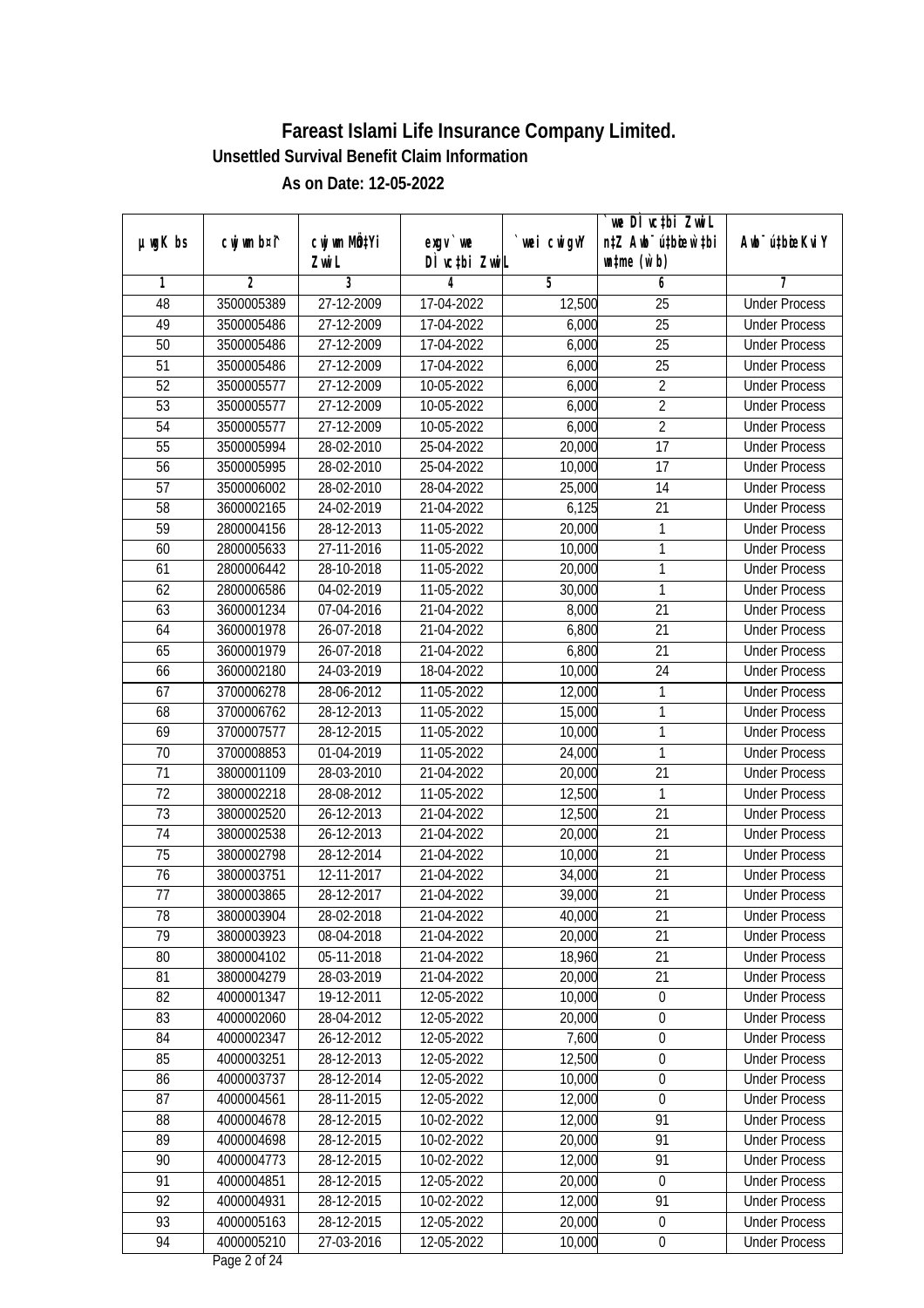| µwgK bs         | cwj wm b¤i^    | cwj wm MQ <sup>1</sup> Yi | $exqu$ we     | wei cwigvY | we DI vctbi ZwiL<br>n‡Z Awb <sup>-</sup> ú‡bioen`‡bi | Awb <sup>-</sup> ú‡bioeKviY |
|-----------------|----------------|---------------------------|---------------|------------|------------------------------------------------------|-----------------------------|
|                 |                | Zwi L                     | DÌ vctbi ZwiL |            | $\n  untime\n  (u`b)\n$                              |                             |
| 1               | $\overline{2}$ | 3                         | 4             | 5          | 6                                                    | 7                           |
| 48              | 3500005389     | 27-12-2009                | 17-04-2022    | 12,500     | $\overline{25}$                                      | <b>Under Process</b>        |
| 49              | 3500005486     | 27-12-2009                | 17-04-2022    | 6,000      | $\overline{25}$                                      | <b>Under Process</b>        |
| $\overline{50}$ | 3500005486     | 27-12-2009                | 17-04-2022    | 6,000      | $\overline{25}$                                      | <b>Under Process</b>        |
| 51              | 3500005486     | 27-12-2009                | 17-04-2022    | 6,000      | $\overline{25}$                                      | <b>Under Process</b>        |
| $\overline{52}$ | 3500005577     | 27-12-2009                | 10-05-2022    | 6,000      | $\overline{2}$                                       | <b>Under Process</b>        |
| $\overline{53}$ | 3500005577     | 27-12-2009                | 10-05-2022    | 6,000      | $\overline{2}$                                       | <b>Under Process</b>        |
| $\overline{54}$ | 3500005577     | 27-12-2009                | 10-05-2022    | 6,000      | $\overline{2}$                                       | <b>Under Process</b>        |
| 55              | 3500005994     | 28-02-2010                | 25-04-2022    | 20,000     | $\overline{17}$                                      | <b>Under Process</b>        |
| 56              | 3500005995     | 28-02-2010                | 25-04-2022    | 10,000     | 17                                                   | <b>Under Process</b>        |
| 57              | 3500006002     | 28-02-2010                | 28-04-2022    | 25,000     | 14                                                   | <b>Under Process</b>        |
| $\overline{58}$ | 3600002165     | 24-02-2019                | 21-04-2022    | 6,125      | $\overline{21}$                                      | <b>Under Process</b>        |
| 59              | 2800004156     | 28-12-2013                | 11-05-2022    | 20,000     | 1                                                    | <b>Under Process</b>        |
| 60              | 2800005633     | 27-11-2016                | 11-05-2022    | 10,000     | $\mathbf{1}$                                         | <b>Under Process</b>        |
| 61              | 2800006442     | 28-10-2018                | 11-05-2022    | 20,000     | 1                                                    | <b>Under Process</b>        |
| 62              | 2800006586     | 04-02-2019                | 11-05-2022    | 30,000     | 1                                                    | <b>Under Process</b>        |
| 63              | 3600001234     | 07-04-2016                | 21-04-2022    | 8,000      | 21                                                   | <b>Under Process</b>        |
| 64              | 3600001978     | 26-07-2018                | 21-04-2022    | 6,800      | 21                                                   | <b>Under Process</b>        |
| 65              | 3600001979     | 26-07-2018                | 21-04-2022    | 6,800      | 21                                                   | <b>Under Process</b>        |
| 66              | 3600002180     | 24-03-2019                | 18-04-2022    | 10,000     | 24                                                   | <b>Under Process</b>        |
| 67              | 3700006278     | 28-06-2012                | 11-05-2022    | 12,000     | $\mathbf{1}$                                         | <b>Under Process</b>        |
| 68              | 3700006762     | 28-12-2013                | 11-05-2022    | 15,000     | $\mathbf{1}$                                         | <b>Under Process</b>        |
| 69              | 3700007577     | 28-12-2015                | 11-05-2022    | 10,000     | 1                                                    | <b>Under Process</b>        |
| 70              | 3700008853     | 01-04-2019                | 11-05-2022    | 24,000     | $\mathbf{1}$                                         | <b>Under Process</b>        |
| 71              | 3800001109     | 28-03-2010                | 21-04-2022    | 20,000     | 21                                                   | <b>Under Process</b>        |
| 72              | 3800002218     | 28-08-2012                | 11-05-2022    | 12,500     | 1                                                    | <b>Under Process</b>        |
| 73              | 3800002520     | 26-12-2013                | 21-04-2022    | 12,500     | 21                                                   | <b>Under Process</b>        |
| 74              | 3800002538     | 26-12-2013                | 21-04-2022    | 20,000     | 21                                                   | <b>Under Process</b>        |
| 75              | 3800002798     | 28-12-2014                | 21-04-2022    | 10,000     | 21                                                   | <b>Under Process</b>        |
| 76              | 3800003751     | 12-11-2017                | 21-04-2022    | 34,000     | 21                                                   | <b>Under Process</b>        |
| 77              | 3800003865     | 28-12-2017                | 21-04-2022    | 39,000     | 21                                                   | <b>Under Process</b>        |
| 78              | 3800003904     | 28-02-2018                | 21-04-2022    | 40,000     | 21                                                   | <b>Under Process</b>        |
| 79              | 3800003923     | 08-04-2018                | 21-04-2022    | 20,000     | 21                                                   | <b>Under Process</b>        |
| 80              | 3800004102     | 05-11-2018                | 21-04-2022    | 18,960     | 21                                                   | <b>Under Process</b>        |
| 81              | 3800004279     | 28-03-2019                | 21-04-2022    | 20,000     | 21                                                   | <b>Under Process</b>        |
| 82              | 4000001347     | 19-12-2011                | 12-05-2022    | 10,000     | $\pmb{0}$                                            | <b>Under Process</b>        |
| 83              | 4000002060     | 28-04-2012                | 12-05-2022    | 20,000     | $\pmb{0}$                                            | <b>Under Process</b>        |
| 84              | 4000002347     | 26-12-2012                | 12-05-2022    | 7,600      | 0                                                    | <b>Under Process</b>        |
| 85              | 4000003251     | 28-12-2013                | 12-05-2022    | 12,500     | 0                                                    | <b>Under Process</b>        |
| 86              | 4000003737     | 28-12-2014                | 12-05-2022    | 10,000     | $\boldsymbol{0}$                                     | <b>Under Process</b>        |
| 87              | 4000004561     | 28-11-2015                | 12-05-2022    | 12,000     | $\boldsymbol{0}$                                     | <b>Under Process</b>        |
| 88              | 4000004678     | 28-12-2015                | 10-02-2022    | 12,000     | 91                                                   | <b>Under Process</b>        |
| 89              | 4000004698     | 28-12-2015                | 10-02-2022    | 20,000     | 91                                                   | <b>Under Process</b>        |
| 90              | 4000004773     | 28-12-2015                | 10-02-2022    | 12,000     | 91                                                   | <b>Under Process</b>        |
| 91              | 4000004851     | 28-12-2015                | 12-05-2022    | 20,000     | $\boldsymbol{0}$                                     | <b>Under Process</b>        |
| 92              | 4000004931     | 28-12-2015                | 10-02-2022    | 12,000     | 91                                                   | <b>Under Process</b>        |
| 93              | 4000005163     | 28-12-2015                | 12-05-2022    | 20,000     | $\pmb{0}$                                            | <b>Under Process</b>        |
| 94              | 4000005210     | 27-03-2016                | 12-05-2022    | 10,000     | $\pmb{0}$                                            | <b>Under Process</b>        |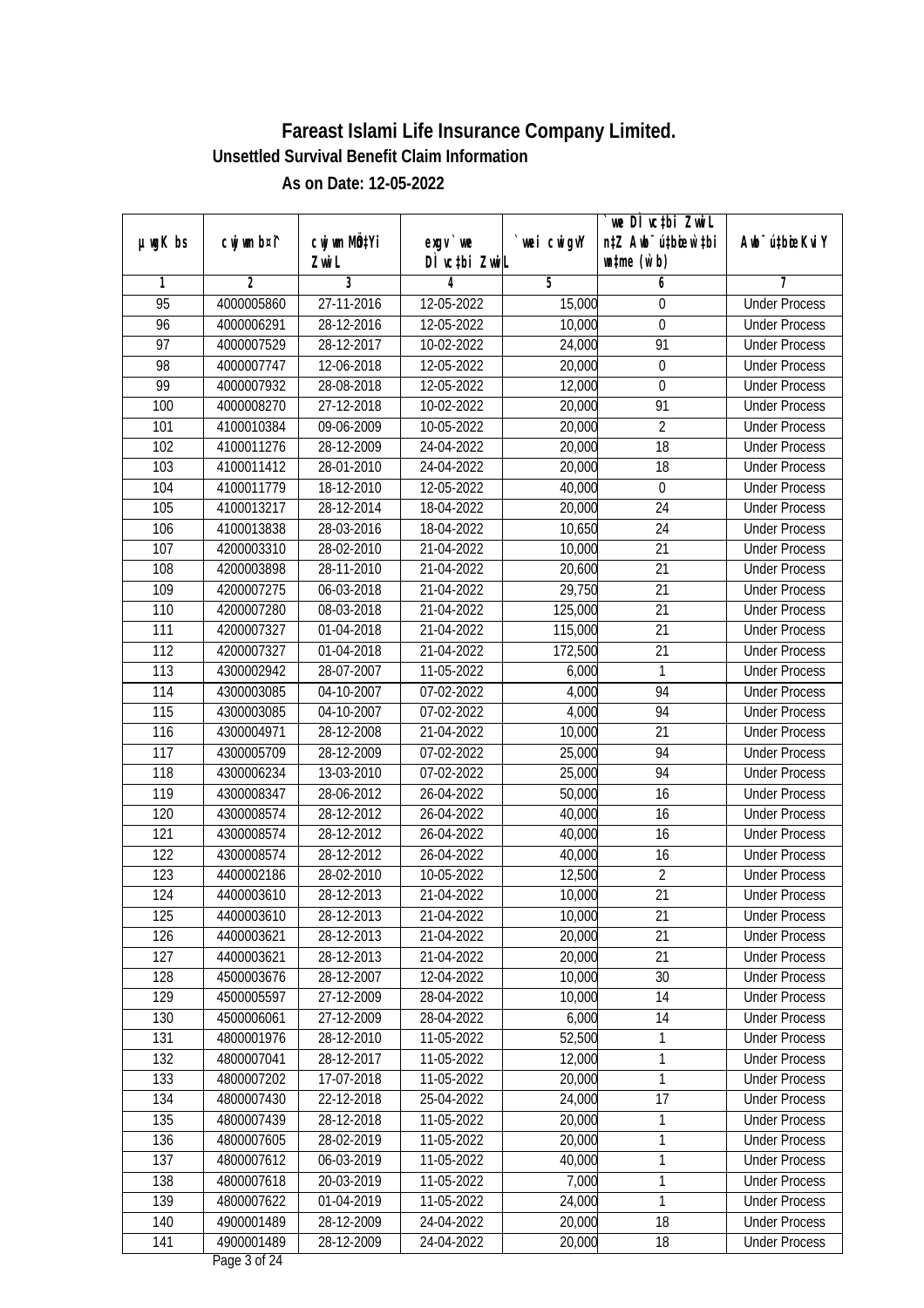|                 |                |                          |               |                | we DI vctbi Zwil                 |                             |
|-----------------|----------------|--------------------------|---------------|----------------|----------------------------------|-----------------------------|
| $µ$ ug $K$ bs   | cwj wm b¤i^    | cwj wm MQtYi             | $exgV$ we     | `wei cwigvY    | n‡Z Awb <sup>-</sup> ú‡bioar`‡bi | Awb <sup>-</sup> ú‡bioeKviY |
|                 |                | Zwi L                    | DÌ vctbi ZwiL |                | $\n  untime\n  (u`b)\n$          |                             |
| 1               | $\overline{2}$ | 3                        | 4             | $\overline{5}$ | 6                                | 7                           |
| $\overline{95}$ | 4000005860     | 27-11-2016               | 12-05-2022    | 15,000         | 0                                | <b>Under Process</b>        |
| 96              | 4000006291     | 28-12-2016               | 12-05-2022    | 10,000         | $\boldsymbol{0}$                 | <b>Under Process</b>        |
| $\overline{97}$ | 4000007529     | 28-12-2017               | 10-02-2022    | 24,000         | 91                               | <b>Under Process</b>        |
| 98              | 4000007747     | 12-06-2018               | 12-05-2022    | 20,000         | $\boldsymbol{0}$                 | <b>Under Process</b>        |
| 99              | 4000007932     | 28-08-2018               | 12-05-2022    | 12,000         | $\overline{0}$                   | <b>Under Process</b>        |
| 100             | 4000008270     | 27-12-2018               | 10-02-2022    | 20,000         | 91                               | <b>Under Process</b>        |
| 101             | 4100010384     | 09-06-2009               | 10-05-2022    | 20,000         | $\overline{2}$                   | <b>Under Process</b>        |
| 102             | 4100011276     | 28-12-2009               | 24-04-2022    | 20,000         | $\overline{18}$                  | <b>Under Process</b>        |
| 103             | 4100011412     | 28-01-2010               | 24-04-2022    | 20,000         | $\overline{18}$                  | <b>Under Process</b>        |
| 104             | 4100011779     | 18-12-2010               | 12-05-2022    | 40,000         | $\boldsymbol{0}$                 | <b>Under Process</b>        |
| 105             | 4100013217     | 28-12-2014               | 18-04-2022    | 20,000         | $\overline{24}$                  | <b>Under Process</b>        |
| 106             | 4100013838     | 28-03-2016               | 18-04-2022    | 10,650         | 24                               | <b>Under Process</b>        |
| 107             | 4200003310     | 28-02-2010               | 21-04-2022    | 10,000         | $\overline{21}$                  | <b>Under Process</b>        |
| 108             | 4200003898     | 28-11-2010               | 21-04-2022    | 20,600         | 21                               | <b>Under Process</b>        |
| 109             | 4200007275     | 06-03-2018               | 21-04-2022    | 29,750         | 21                               | <b>Under Process</b>        |
| 110             | 4200007280     | 08-03-2018               | 21-04-2022    | 125,000        | 21                               | <b>Under Process</b>        |
| 111             | 4200007327     | 01-04-2018               | 21-04-2022    | 115,000        | 21                               | <b>Under Process</b>        |
| 112             | 4200007327     | 01-04-2018               | 21-04-2022    | 172,500        | 21                               | <b>Under Process</b>        |
| 113             | 4300002942     | 28-07-2007               | 11-05-2022    | 6,000          | $\mathbf{1}$                     | <b>Under Process</b>        |
| 114             | 4300003085     | $\overline{0}$ 4-10-2007 | 07-02-2022    | 4,000          | 94                               | <b>Under Process</b>        |
| 115             | 4300003085     | 04-10-2007               | 07-02-2022    | 4,000          | 94                               | <b>Under Process</b>        |
| 116             | 4300004971     | 28-12-2008               | 21-04-2022    | 10,000         | 21                               | <b>Under Process</b>        |
| 117             | 4300005709     | 28-12-2009               | 07-02-2022    | 25,000         | 94                               | <b>Under Process</b>        |
| 118             | 4300006234     | 13-03-2010               | 07-02-2022    | 25,000         | 94                               | <b>Under Process</b>        |
| 119             | 4300008347     | 28-06-2012               | 26-04-2022    | 50,000         | 16                               | <b>Under Process</b>        |
| 120             | 4300008574     | 28-12-2012               | 26-04-2022    | 40,000         | 16                               | <b>Under Process</b>        |
| 121             | 4300008574     | 28-12-2012               | 26-04-2022    | 40,000         | 16                               | <b>Under Process</b>        |
| 122             | 4300008574     | 28-12-2012               | 26-04-2022    | 40,000         | 16                               | <b>Under Process</b>        |
| 123             | 4400002186     | 28-02-2010               | 10-05-2022    | 12,500         | $\overline{2}$                   | <b>Under Process</b>        |
| 124             | 4400003610     | 28-12-2013               | 21-04-2022    | 10,000         | 21                               | <b>Under Process</b>        |
| 125             | 4400003610     | 28-12-2013               | 21-04-2022    | 10,000         | 21                               | <b>Under Process</b>        |
| 126             | 4400003621     | 28-12-2013               | 21-04-2022    | 20,000         | 21                               | <b>Under Process</b>        |
| 127             | 4400003621     | 28-12-2013               | 21-04-2022    | 20,000         | 21                               | <b>Under Process</b>        |
| 128             | 4500003676     | 28-12-2007               | 12-04-2022    | 10,000         | 30                               | <b>Under Process</b>        |
| 129             | 4500005597     | 27-12-2009               | 28-04-2022    | 10,000         | 14                               | <b>Under Process</b>        |
| 130             | 4500006061     | 27-12-2009               | 28-04-2022    | 6,000          | 14                               | <b>Under Process</b>        |
| 131             | 4800001976     | 28-12-2010               | 11-05-2022    | 52,500         | 1                                | <b>Under Process</b>        |
| 132             | 4800007041     | 28-12-2017               | 11-05-2022    | 12,000         | 1                                | <b>Under Process</b>        |
| 133             | 4800007202     | 17-07-2018               | 11-05-2022    | 20,000         | 1                                | <b>Under Process</b>        |
| 134             | 4800007430     | 22-12-2018               | 25-04-2022    | 24,000         | 17                               | <b>Under Process</b>        |
| 135             | 4800007439     | 28-12-2018               | 11-05-2022    | 20,000         | 1                                | <b>Under Process</b>        |
| 136             | 4800007605     | 28-02-2019               | 11-05-2022    | 20,000         | 1                                | <b>Under Process</b>        |
| 137             | 4800007612     | 06-03-2019               | 11-05-2022    | 40,000         | 1                                | <b>Under Process</b>        |
| 138             | 4800007618     | 20-03-2019               | 11-05-2022    | 7,000          | 1                                | <b>Under Process</b>        |
| 139             | 4800007622     | 01-04-2019               | 11-05-2022    | 24,000         | 1                                | <b>Under Process</b>        |
| 140             | 4900001489     | 28-12-2009               | 24-04-2022    | 20,000         | 18                               | <b>Under Process</b>        |
| 141             | 4900001489     | 28-12-2009               | 24-04-2022    | 20,000         | 18                               | <b>Under Process</b>        |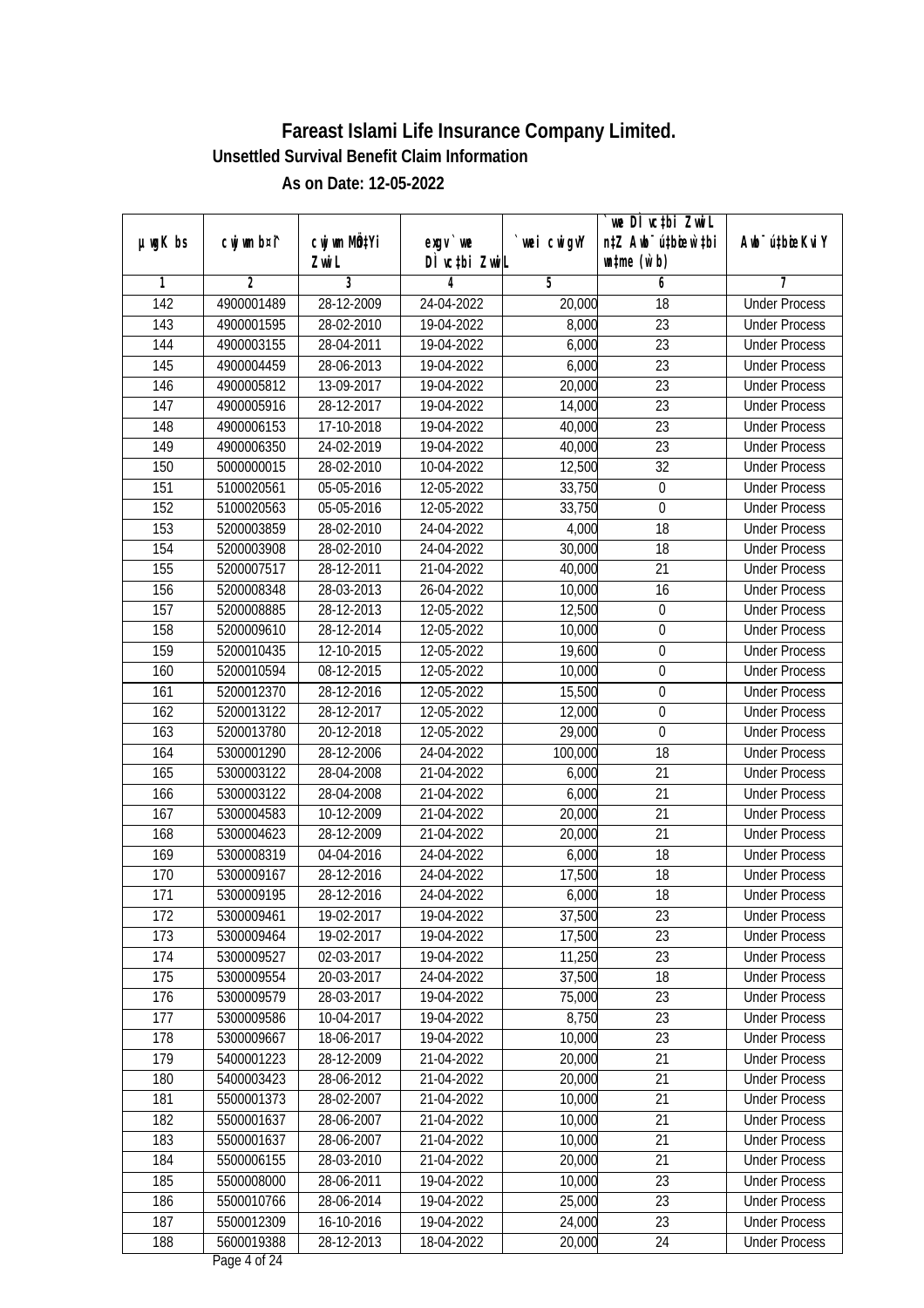|                  |                |              |               |                | we DI vctbi Zwil                 |                             |
|------------------|----------------|--------------|---------------|----------------|----------------------------------|-----------------------------|
| $µ$ ug $K$ bs    | cwj wm b¤i^    | cwj wm MQtYi | $exgV$ we     | `wei cwigvY    | n‡Z Awb <sup>-</sup> ú‡bioar`‡bi | Awb <sup>-</sup> ú‡bioeKviY |
|                  |                | Zwi L        | DÌ vctbi ZwiL |                | $\n  untime\n  (u`b)\n$          |                             |
| 1                | $\overline{2}$ | 3            | 4             | $\overline{5}$ | 6                                | 7                           |
| $\overline{142}$ | 4900001489     | 28-12-2009   | 24-04-2022    | 20,000         | $\overline{18}$                  | <b>Under Process</b>        |
| 143              | 4900001595     | 28-02-2010   | 19-04-2022    | 8,000          | $\overline{23}$                  | <b>Under Process</b>        |
| 144              | 4900003155     | 28-04-2011   | 19-04-2022    | 6,000          | $\overline{23}$                  | <b>Under Process</b>        |
| 145              | 4900004459     | 28-06-2013   | 19-04-2022    | 6,000          | 23                               | <b>Under Process</b>        |
| 146              | 4900005812     | 13-09-2017   | 19-04-2022    | 20,000         | $\overline{23}$                  | <b>Under Process</b>        |
| 147              | 4900005916     | 28-12-2017   | 19-04-2022    | 14,000         | $\overline{23}$                  | <b>Under Process</b>        |
| 148              | 4900006153     | 17-10-2018   | 19-04-2022    | 40,000         | $\overline{23}$                  | <b>Under Process</b>        |
| 149              | 4900006350     | 24-02-2019   | 19-04-2022    | 40,000         | $\overline{23}$                  | <b>Under Process</b>        |
| 150              | 5000000015     | 28-02-2010   | 10-04-2022    | 12,500         | $\overline{32}$                  | <b>Under Process</b>        |
| 151              | 5100020561     | 05-05-2016   | 12-05-2022    | 33,750         | $\boldsymbol{0}$                 | <b>Under Process</b>        |
| 152              | 5100020563     | 05-05-2016   | 12-05-2022    | 33,750         | $\mathbf 0$                      | <b>Under Process</b>        |
| 153              | 5200003859     | 28-02-2010   | 24-04-2022    | 4,000          | 18                               | <b>Under Process</b>        |
| 154              | 5200003908     | 28-02-2010   | 24-04-2022    | 30,000         | $\overline{18}$                  | <b>Under Process</b>        |
| 155              | 5200007517     | 28-12-2011   | 21-04-2022    | 40,000         | 21                               | <b>Under Process</b>        |
| 156              | 5200008348     | 28-03-2013   | 26-04-2022    | 10,000         | 16                               | <b>Under Process</b>        |
| 157              | 5200008885     | 28-12-2013   | 12-05-2022    | 12,500         | $\boldsymbol{0}$                 | <b>Under Process</b>        |
| 158              | 5200009610     | 28-12-2014   | 12-05-2022    | 10,000         | $\boldsymbol{0}$                 | <b>Under Process</b>        |
| 159              | 5200010435     | 12-10-2015   | 12-05-2022    | 19,600         | $\boldsymbol{0}$                 | <b>Under Process</b>        |
| 160              | 5200010594     | 08-12-2015   | 12-05-2022    | 10,000         | $\boldsymbol{0}$                 | <b>Under Process</b>        |
| 161              | 5200012370     | 28-12-2016   | 12-05-2022    | 15,500         | $\boldsymbol{0}$                 | <b>Under Process</b>        |
| 162              | 5200013122     | 28-12-2017   | 12-05-2022    | 12,000         | $\boldsymbol{0}$                 | <b>Under Process</b>        |
| 163              | 5200013780     | 20-12-2018   | 12-05-2022    | 29,000         | 0                                | <b>Under Process</b>        |
| 164              | 5300001290     | 28-12-2006   | 24-04-2022    | 100,000        | 18                               | <b>Under Process</b>        |
| 165              | 5300003122     | 28-04-2008   | 21-04-2022    | 6,000          | 21                               | <b>Under Process</b>        |
| 166              | 5300003122     | 28-04-2008   | 21-04-2022    | 6,000          | 21                               | <b>Under Process</b>        |
| 167              | 5300004583     | 10-12-2009   | 21-04-2022    | 20,000         | 21                               | <b>Under Process</b>        |
| 168              | 5300004623     | 28-12-2009   | 21-04-2022    | 20,000         | 21                               | <b>Under Process</b>        |
| 169              | 5300008319     | 04-04-2016   | 24-04-2022    | 6,000          | 18                               | <b>Under Process</b>        |
| 170              | 5300009167     | 28-12-2016   | 24-04-2022    | 17,500         | 18                               | <b>Under Process</b>        |
| 171              | 5300009195     | 28-12-2016   | 24-04-2022    | 6,000          | 18                               | <b>Under Process</b>        |
| 172              | 5300009461     | 19-02-2017   | 19-04-2022    | 37,500         | 23                               | <b>Under Process</b>        |
| 173              | 5300009464     | 19-02-2017   | 19-04-2022    | 17,500         | 23                               | <b>Under Process</b>        |
| 174              | 5300009527     | 02-03-2017   | 19-04-2022    | 11,250         | 23                               | <b>Under Process</b>        |
| 175              | 5300009554     | 20-03-2017   | 24-04-2022    | 37,500         | 18                               | <b>Under Process</b>        |
| 176              | 5300009579     | 28-03-2017   | 19-04-2022    | 75,000         | 23                               | <b>Under Process</b>        |
| 177              | 5300009586     | 10-04-2017   | 19-04-2022    | 8,750          | 23                               | <b>Under Process</b>        |
| 178              | 5300009667     | 18-06-2017   | 19-04-2022    | 10,000         | 23                               | <b>Under Process</b>        |
| 179              | 5400001223     | 28-12-2009   | 21-04-2022    | 20,000         | $\overline{21}$                  | <b>Under Process</b>        |
| 180              | 5400003423     | 28-06-2012   | 21-04-2022    | 20,000         | 21                               | <b>Under Process</b>        |
| 181              | 5500001373     | 28-02-2007   | 21-04-2022    | 10,000         | 21                               | <b>Under Process</b>        |
| 182              | 5500001637     | 28-06-2007   | 21-04-2022    | 10,000         | 21                               | <b>Under Process</b>        |
| 183              | 5500001637     | 28-06-2007   | 21-04-2022    | 10,000         | 21                               | <b>Under Process</b>        |
| 184              | 5500006155     | 28-03-2010   | 21-04-2022    | 20,000         | $\overline{21}$                  | <b>Under Process</b>        |
| 185              | 5500008000     | 28-06-2011   | 19-04-2022    | 10,000         | 23                               | <b>Under Process</b>        |
| 186              | 5500010766     | 28-06-2014   | 19-04-2022    | 25,000         | 23                               | <b>Under Process</b>        |
| 187              | 5500012309     | 16-10-2016   | 19-04-2022    | 24,000         | 23                               | <b>Under Process</b>        |
| 188              | 5600019388     | 28-12-2013   | 18-04-2022    | 20,000         | 24                               | <b>Under Process</b>        |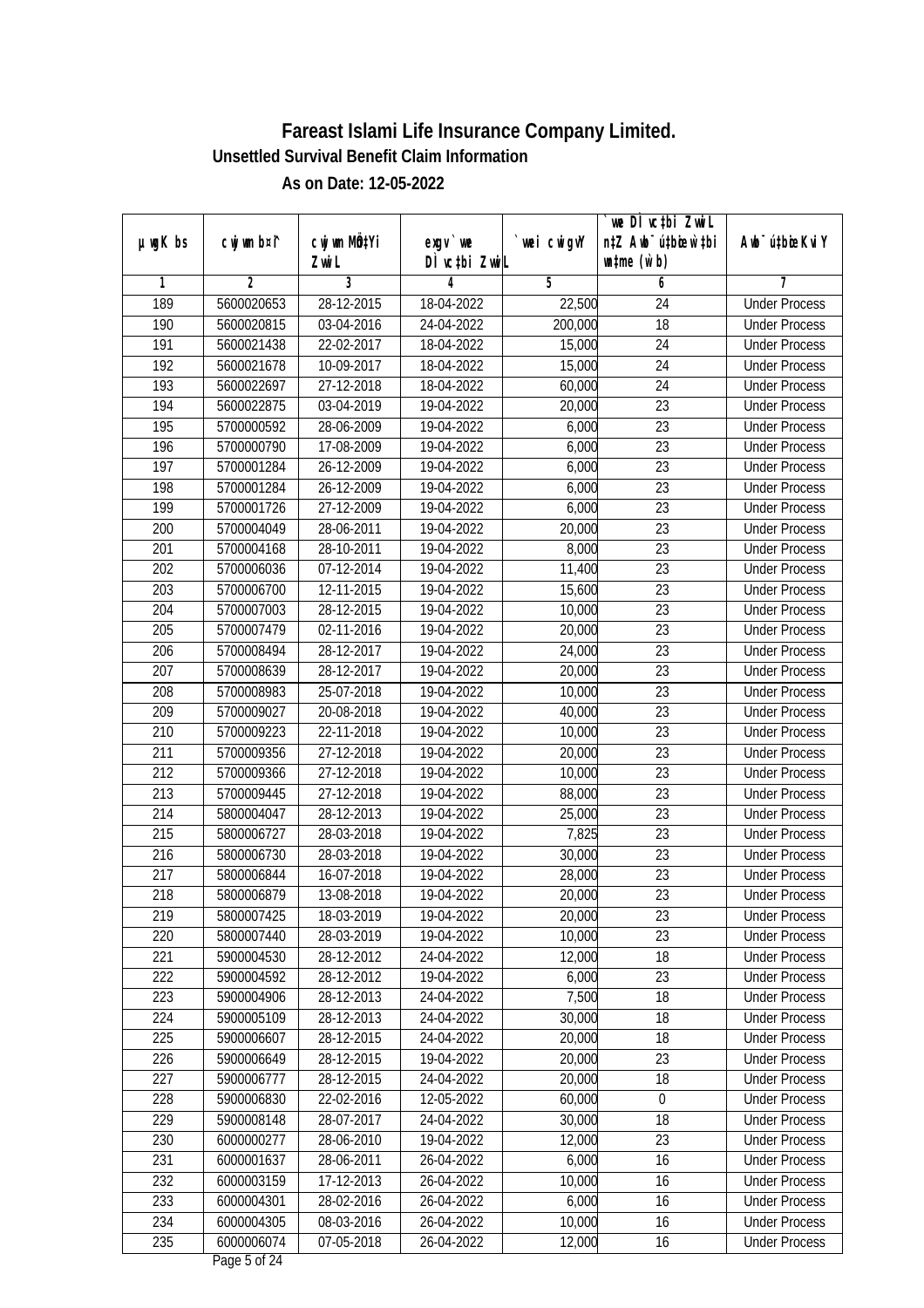|                  |             |              |               |             | `we DÌ vc‡bi ZwwiL               |                             |
|------------------|-------------|--------------|---------------|-------------|----------------------------------|-----------------------------|
| $µ$ ug $K$ bs    | cwj wm b¤i^ | cwj wm MQtYi | exgy `we      | `wei cwigvY | n‡Z Awb <sup>-</sup> ú‡bioen`‡bi | Awb <sup>-</sup> ú‡bioeKviY |
|                  |             | Zwi L        | DÌ vctbi ZwiL |             | $\n  untime\n  (u`b)\n$          |                             |
| 1                | 2           | 3            | 4             | 5           | 6                                | 7                           |
| 189              | 5600020653  | 28-12-2015   | 18-04-2022    | 22,500      | 24                               | <b>Under Process</b>        |
| 190              | 5600020815  | 03-04-2016   | 24-04-2022    | 200,000     | $\overline{18}$                  | <b>Under Process</b>        |
| 191              | 5600021438  | 22-02-2017   | 18-04-2022    | 15,000      | $\overline{24}$                  | <b>Under Process</b>        |
| $\overline{192}$ | 5600021678  | 10-09-2017   | 18-04-2022    | 15,000      | $\overline{24}$                  | <b>Under Process</b>        |
| 193              | 5600022697  | 27-12-2018   | 18-04-2022    | 60,000      | $\overline{24}$                  | <b>Under Process</b>        |
| 194              | 5600022875  | 03-04-2019   | 19-04-2022    | 20,000      | $\overline{23}$                  | <b>Under Process</b>        |
| 195              | 5700000592  | 28-06-2009   | 19-04-2022    | 6,000       | $\overline{23}$                  | <b>Under Process</b>        |
| 196              | 5700000790  | 17-08-2009   | 19-04-2022    | 6,000       | $\overline{23}$                  | <b>Under Process</b>        |
| 197              | 5700001284  | 26-12-2009   | 19-04-2022    | 6,000       | 23                               | <b>Under Process</b>        |
| 198              | 5700001284  | 26-12-2009   | 19-04-2022    | 6,000       | 23                               | <b>Under Process</b>        |
| 199              | 5700001726  | 27-12-2009   | 19-04-2022    | 6,000       | 23                               | <b>Under Process</b>        |
| 200              | 5700004049  | 28-06-2011   | 19-04-2022    | 20,000      | 23                               | <b>Under Process</b>        |
| 201              | 5700004168  | 28-10-2011   | 19-04-2022    | 8,000       | $\overline{23}$                  | <b>Under Process</b>        |
| 202              | 5700006036  | 07-12-2014   | 19-04-2022    | 11,400      | 23                               | <b>Under Process</b>        |
| 203              | 5700006700  | 12-11-2015   | 19-04-2022    | 15,600      | 23                               | <b>Under Process</b>        |
| 204              | 5700007003  | 28-12-2015   | 19-04-2022    | 10,000      | 23                               | <b>Under Process</b>        |
| 205              | 5700007479  | 02-11-2016   | 19-04-2022    | 20,000      | 23                               | <b>Under Process</b>        |
| 206              | 5700008494  | 28-12-2017   | 19-04-2022    | 24,000      | 23                               | <b>Under Process</b>        |
| 207              | 5700008639  | 28-12-2017   | 19-04-2022    | 20,000      | 23                               | <b>Under Process</b>        |
| 208              | 5700008983  | 25-07-2018   | 19-04-2022    | 10,000      | 23                               | <b>Under Process</b>        |
| 209              | 5700009027  | 20-08-2018   | 19-04-2022    | 40,000      | 23                               | <b>Under Process</b>        |
| 210              | 5700009223  | 22-11-2018   | 19-04-2022    | 10,000      | 23                               | <b>Under Process</b>        |
| 211              | 5700009356  | 27-12-2018   | 19-04-2022    | 20,000      | 23                               | <b>Under Process</b>        |
| 212              | 5700009366  | 27-12-2018   | 19-04-2022    | 10,000      | 23                               | <b>Under Process</b>        |
| 213              | 5700009445  | 27-12-2018   | 19-04-2022    | 88,000      | 23                               | <b>Under Process</b>        |
| 214              | 5800004047  | 28-12-2013   | 19-04-2022    | 25,000      | 23                               | <b>Under Process</b>        |
| 215              | 5800006727  | 28-03-2018   | 19-04-2022    | 7,825       | 23                               | <b>Under Process</b>        |
| 216              | 5800006730  | 28-03-2018   | 19-04-2022    | 30,000      | 23                               | <b>Under Process</b>        |
| 217              | 5800006844  | 16-07-2018   | 19-04-2022    | 28,000      | 23                               | <b>Under Process</b>        |
| 218              | 5800006879  | 13-08-2018   | 19-04-2022    | 20,000      | 23                               | <b>Under Process</b>        |
| 219              | 5800007425  | 18-03-2019   | 19-04-2022    | 20,000      | 23                               | <b>Under Process</b>        |
| 220              | 5800007440  | 28-03-2019   | 19-04-2022    | 10,000      | 23                               | <b>Under Process</b>        |
| 221              | 5900004530  | 28-12-2012   | 24-04-2022    | 12,000      | 18                               | <b>Under Process</b>        |
| 222              | 5900004592  | 28-12-2012   | 19-04-2022    | 6,000       | 23                               | <b>Under Process</b>        |
| 223              | 5900004906  | 28-12-2013   | 24-04-2022    | 7,500       | 18                               | <b>Under Process</b>        |
| 224              | 5900005109  | 28-12-2013   | 24-04-2022    | 30,000      | 18                               | <b>Under Process</b>        |
| 225              | 5900006607  | 28-12-2015   | 24-04-2022    | 20,000      | 18                               | <b>Under Process</b>        |
| 226              | 5900006649  | 28-12-2015   | 19-04-2022    | 20,000      | 23                               | <b>Under Process</b>        |
| 227              | 5900006777  | 28-12-2015   | 24-04-2022    | 20,000      | 18                               | <b>Under Process</b>        |
| 228              | 5900006830  | 22-02-2016   | 12-05-2022    | 60,000      | $\boldsymbol{0}$                 | <b>Under Process</b>        |
| 229              | 5900008148  | 28-07-2017   | 24-04-2022    | 30,000      | 18                               | <b>Under Process</b>        |
| 230              | 6000000277  | 28-06-2010   | 19-04-2022    | 12,000      | 23                               | <b>Under Process</b>        |
| 231              | 6000001637  | 28-06-2011   | 26-04-2022    | 6,000       | 16                               | <b>Under Process</b>        |
| 232              | 6000003159  | 17-12-2013   | 26-04-2022    | 10,000      | 16                               | <b>Under Process</b>        |
| 233              | 6000004301  | 28-02-2016   | 26-04-2022    | 6,000       | 16                               | <b>Under Process</b>        |
| 234              | 6000004305  | 08-03-2016   | 26-04-2022    | 10,000      | 16                               | <b>Under Process</b>        |
| 235              | 6000006074  | 07-05-2018   | 26-04-2022    | 12,000      | 16                               | <b>Under Process</b>        |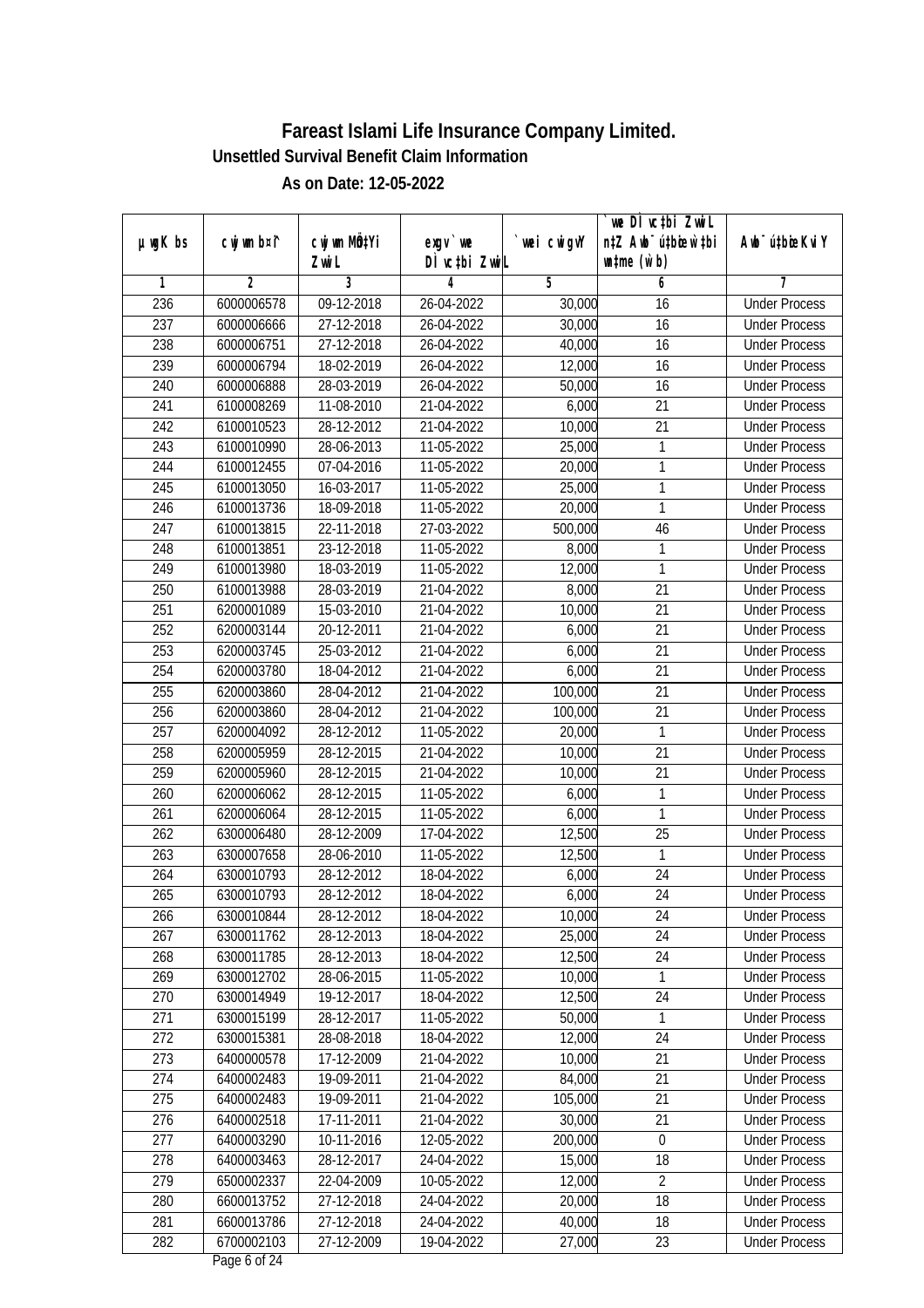|                  |                |                  |               |            | we DI vctbi Zwil                 |                             |
|------------------|----------------|------------------|---------------|------------|----------------------------------|-----------------------------|
| µwgK bs          | cwj wm b¤i^    | cwj wm MQtYi     | $exgv$ we     | wei cwigvY | n‡Z Awb <sup>-</sup> ú‡bioen`‡bi | Awb <sup>-</sup> ú‡bioeKviY |
|                  |                | Zwi L            | DÌ vctbi ZwiL |            | $\n  untime\n  (u`b)\n$          |                             |
| 1                | $\overline{2}$ | 3                | 4             | 5          | 6                                | 7                           |
| 236              | 6000006578     | $09 - 12 - 2018$ | 26-04-2022    | 30,000     | 16                               | <b>Under Process</b>        |
| 237              | 6000006666     | 27-12-2018       | 26-04-2022    | 30,000     | $\overline{16}$                  | <b>Under Process</b>        |
| 238              | 6000006751     | 27-12-2018       | 26-04-2022    | 40,000     | $\overline{16}$                  | <b>Under Process</b>        |
| 239              | 6000006794     | 18-02-2019       | 26-04-2022    | 12,000     | 16                               | <b>Under Process</b>        |
| 240              | 6000006888     | 28-03-2019       | 26-04-2022    | 50,000     | 16                               | <b>Under Process</b>        |
| 241              | 6100008269     | 11-08-2010       | 21-04-2022    | 6,000      | $\overline{21}$                  | <b>Under Process</b>        |
| $\overline{242}$ | 6100010523     | 28-12-2012       | 21-04-2022    | 10,000     | $\overline{21}$                  | <b>Under Process</b>        |
| 243              | 6100010990     | 28-06-2013       | 11-05-2022    | 25,000     | 1                                | <b>Under Process</b>        |
| 244              | 6100012455     | 07-04-2016       | 11-05-2022    | 20,000     | 1                                | <b>Under Process</b>        |
| 245              | 6100013050     | 16-03-2017       | 11-05-2022    | 25,000     | 1                                | <b>Under Process</b>        |
| 246              | 6100013736     | 18-09-2018       | 11-05-2022    | 20,000     | 1                                | <b>Under Process</b>        |
| 247              | 6100013815     | 22-11-2018       | 27-03-2022    | 500,000    | 46                               | <b>Under Process</b>        |
| 248              | 6100013851     | 23-12-2018       | 11-05-2022    | 8,000      | 1                                | <b>Under Process</b>        |
| 249              | 6100013980     | 18-03-2019       | 11-05-2022    | 12,000     | 1                                | <b>Under Process</b>        |
| 250              | 6100013988     | 28-03-2019       | 21-04-2022    | 8,000      | 21                               | <b>Under Process</b>        |
| 251              | 6200001089     | 15-03-2010       | 21-04-2022    | 10,000     | 21                               | <b>Under Process</b>        |
| 252              | 6200003144     | $20-12-2011$     | 21-04-2022    | 6,000      | 21                               | <b>Under Process</b>        |
| 253              | 6200003745     | 25-03-2012       | 21-04-2022    | 6,000      | 21                               | <b>Under Process</b>        |
| 254              | 6200003780     | 18-04-2012       | 21-04-2022    | 6,000      | 21                               | <b>Under Process</b>        |
| 255              | 6200003860     | 28-04-2012       | 21-04-2022    | 100,000    | 21                               | <b>Under Process</b>        |
| 256              | 6200003860     | 28-04-2012       | 21-04-2022    | 100,000    | 21                               | <b>Under Process</b>        |
| 257              | 6200004092     | 28-12-2012       | 11-05-2022    | 20,000     | 1                                | <b>Under Process</b>        |
| 258              | 6200005959     | 28-12-2015       | 21-04-2022    | 10,000     | 21                               | <b>Under Process</b>        |
| 259              | 6200005960     | 28-12-2015       | 21-04-2022    | 10,000     | 21                               | <b>Under Process</b>        |
| 260              | 6200006062     | 28-12-2015       | 11-05-2022    | 6,000      | $\mathbf{1}$                     | <b>Under Process</b>        |
| 261              | 6200006064     | 28-12-2015       | 11-05-2022    | 6,000      | 1                                | <b>Under Process</b>        |
| 262              | 6300006480     | 28-12-2009       | 17-04-2022    | 12,500     | 25                               | <b>Under Process</b>        |
| 263              | 6300007658     | 28-06-2010       | 11-05-2022    | 12,500     | 1                                | <b>Under Process</b>        |
| 264              | 6300010793     | 28-12-2012       | 18-04-2022    | 6,000      | 24                               | <b>Under Process</b>        |
| 265              | 6300010793     | 28-12-2012       | 18-04-2022    | 6,000      | 24                               | <b>Under Process</b>        |
| 266              | 6300010844     | 28-12-2012       | 18-04-2022    | 10,000     | 24                               | <b>Under Process</b>        |
| 267              | 6300011762     | 28-12-2013       | 18-04-2022    | 25,000     | 24                               | <b>Under Process</b>        |
| 268              | 6300011785     | 28-12-2013       | 18-04-2022    | 12,500     | 24                               | <b>Under Process</b>        |
| 269              | 6300012702     | 28-06-2015       | 11-05-2022    | 10,000     | 1                                | <b>Under Process</b>        |
| 270              | 6300014949     | 19-12-2017       | 18-04-2022    | 12,500     | 24                               | <b>Under Process</b>        |
| 271              | 6300015199     | 28-12-2017       | 11-05-2022    | 50,000     | 1                                | <b>Under Process</b>        |
| 272              | 6300015381     | 28-08-2018       | 18-04-2022    | 12,000     | 24                               | <b>Under Process</b>        |
| 273              | 6400000578     | 17-12-2009       | 21-04-2022    | 10,000     | $\overline{21}$                  | <b>Under Process</b>        |
| 274              | 6400002483     | 19-09-2011       | 21-04-2022    | 84,000     | 21                               | <b>Under Process</b>        |
| 275              | 6400002483     | 19-09-2011       | 21-04-2022    | 105,000    | 21                               | <b>Under Process</b>        |
| 276              | 6400002518     | 17-11-2011       | 21-04-2022    | 30,000     | 21                               | <b>Under Process</b>        |
| 277              | 6400003290     | 10-11-2016       | 12-05-2022    | 200,000    | $\boldsymbol{0}$                 | <b>Under Process</b>        |
| 278              | 6400003463     | 28-12-2017       | 24-04-2022    | 15,000     | 18                               | <b>Under Process</b>        |
| 279              | 6500002337     | 22-04-2009       | 10-05-2022    | 12,000     | $\overline{2}$                   | <b>Under Process</b>        |
| 280              | 6600013752     | 27-12-2018       | 24-04-2022    | 20,000     | 18                               | <b>Under Process</b>        |
| 281              | 6600013786     | 27-12-2018       | 24-04-2022    | 40,000     | 18                               | <b>Under Process</b>        |
| 282              | 6700002103     | 27-12-2009       | 19-04-2022    | 27,000     | 23                               | <b>Under Process</b>        |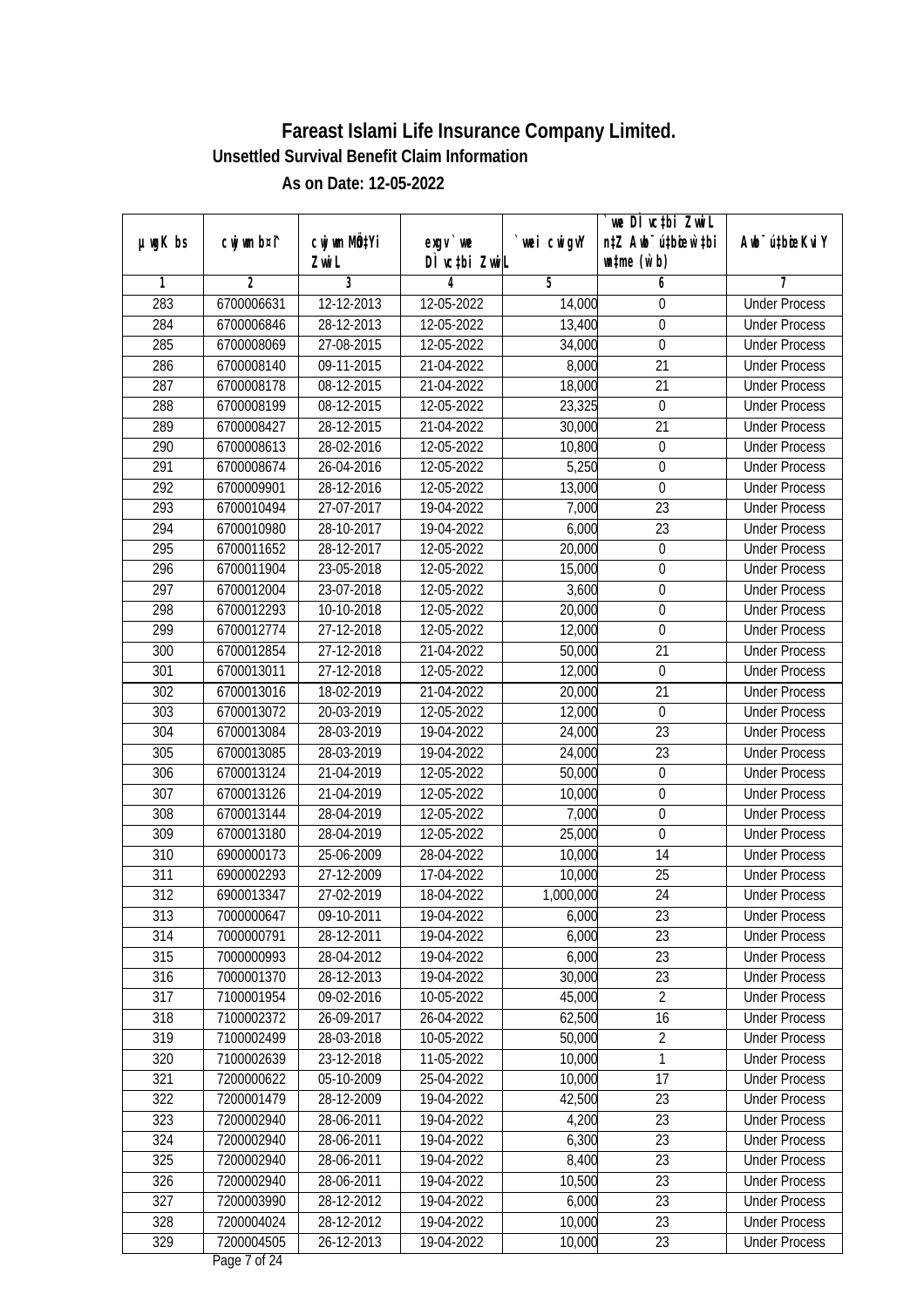|         |                |                  |                             |                | we DI vctbi ZwiL                 |                             |
|---------|----------------|------------------|-----------------------------|----------------|----------------------------------|-----------------------------|
| µwgK bs | cwj wm b¤i^    | cwj wm MQtYi     | $exgV$ we                   | `wei cwigvY    | n‡Z Awb <sup>-</sup> ú‡bioar`‡bi | Awb <sup>-</sup> ú‡bioeKviY |
|         |                | Zwi L            | DÌ vctbi ZwiL               |                | $\n  untime\n  (u`b)\n$          |                             |
| 1       | $\overline{2}$ | 3                | 4                           | $\overline{5}$ | 6                                | 7                           |
| 283     | 6700006631     | $12 - 12 - 2013$ | 12-05-2022                  | 14,000         | 0                                | <b>Under Process</b>        |
| 284     | 6700006846     | 28-12-2013       | 12-05-2022                  | 13,400         | $\boldsymbol{0}$                 | <b>Under Process</b>        |
| 285     | 6700008069     | 27-08-2015       | 12-05-2022                  | 34,000         | $\pmb{0}$                        | <b>Under Process</b>        |
| 286     | 6700008140     | 09-11-2015       | 21-04-2022                  | 8,000          | 21                               | <b>Under Process</b>        |
| 287     | 6700008178     | $08 - 12 - 2015$ | 21-04-2022                  | 18,000         | $\overline{21}$                  | <b>Under Process</b>        |
| 288     | 6700008199     | 08-12-2015       | 12-05-2022                  | 23,325         | 0                                | <b>Under Process</b>        |
| 289     | 6700008427     | 28-12-2015       | 21-04-2022                  | 30,000         | $\overline{21}$                  | <b>Under Process</b>        |
| 290     | 6700008613     | 28-02-2016       | 12-05-2022                  | 10,800         | $\boldsymbol{0}$                 | <b>Under Process</b>        |
| 291     | 6700008674     | 26-04-2016       | 12-05-2022                  | 5,250          | $\boldsymbol{0}$                 | <b>Under Process</b>        |
| 292     | 6700009901     | 28-12-2016       | 12-05-2022                  | 13,000         | $\mathbf 0$                      | <b>Under Process</b>        |
| 293     | 6700010494     | 27-07-2017       | 19-04-2022                  | 7,000          | $\overline{23}$                  | <b>Under Process</b>        |
| 294     | 6700010980     | 28-10-2017       | 19-04-2022                  | 6,000          | 23                               | <b>Under Process</b>        |
| 295     | 6700011652     | 28-12-2017       | 12-05-2022                  | 20,000         | $\overline{0}$                   | <b>Under Process</b>        |
| 296     | 6700011904     | 23-05-2018       | 12-05-2022                  | 15,000         | $\boldsymbol{0}$                 | <b>Under Process</b>        |
| 297     | 6700012004     | 23-07-2018       | 12-05-2022                  | 3,600          | $\boldsymbol{0}$                 | <b>Under Process</b>        |
| 298     | 6700012293     | 10-10-2018       | 12-05-2022                  | 20,000         | $\boldsymbol{0}$                 | <b>Under Process</b>        |
| 299     | 6700012774     | 27-12-2018       | 12-05-2022                  | 12,000         | 0                                | <b>Under Process</b>        |
| 300     | 6700012854     | 27-12-2018       | 21-04-2022                  | 50,000         | 21                               | <b>Under Process</b>        |
| 301     | 6700013011     | 27-12-2018       | 12-05-2022                  | 12,000         | $\boldsymbol{0}$                 | <b>Under Process</b>        |
| 302     | 6700013016     | 18-02-2019       | 21-04-2022                  | 20,000         | 21                               | <b>Under Process</b>        |
| 303     | 6700013072     | 20-03-2019       | 12-05-2022                  | 12,000         | $\mathbf 0$                      | <b>Under Process</b>        |
| 304     | 6700013084     | 28-03-2019       | 19-04-2022                  | 24,000         | 23                               | <b>Under Process</b>        |
| 305     | 6700013085     | 28-03-2019       | $\overline{19} - 04 - 2022$ | 24,000         | 23                               | <b>Under Process</b>        |
| 306     | 6700013124     | 21-04-2019       | 12-05-2022                  | 50,000         | $\boldsymbol{0}$                 | <b>Under Process</b>        |
| 307     | 6700013126     | 21-04-2019       | 12-05-2022                  | 10,000         | $\boldsymbol{0}$                 | <b>Under Process</b>        |
| 308     | 6700013144     | 28-04-2019       | 12-05-2022                  | 7,000          | $\boldsymbol{0}$                 | <b>Under Process</b>        |
| 309     | 6700013180     | 28-04-2019       | 12-05-2022                  | 25,000         | 0                                | <b>Under Process</b>        |
| 310     | 6900000173     | 25-06-2009       | 28-04-2022                  | 10,000         | 14                               | <b>Under Process</b>        |
| 311     | 6900002293     | 27-12-2009       | 17-04-2022                  | 10,000         | 25                               | <b>Under Process</b>        |
| 312     | 6900013347     | 27-02-2019       | 18-04-2022                  | 1,000,000      | 24                               | <b>Under Process</b>        |
| 313     | 7000000647     | 09-10-2011       | 19-04-2022                  | 6,000          | 23                               | <b>Under Process</b>        |
| 314     | 7000000791     | 28-12-2011       | 19-04-2022                  | 6,000          | 23                               | <b>Under Process</b>        |
| 315     | 7000000993     | 28-04-2012       | 19-04-2022                  | 6,000          | 23                               | <b>Under Process</b>        |
| 316     | 7000001370     | 28-12-2013       | 19-04-2022                  | 30,000         | 23                               | <b>Under Process</b>        |
| 317     | 7100001954     | 09-02-2016       | 10-05-2022                  | 45,000         | $\overline{2}$                   | <b>Under Process</b>        |
| 318     | 7100002372     | 26-09-2017       | 26-04-2022                  | 62,500         | 16                               | <b>Under Process</b>        |
| 319     | 7100002499     | 28-03-2018       | 10-05-2022                  | 50,000         | $\overline{2}$                   | <b>Under Process</b>        |
| 320     | 7100002639     | 23-12-2018       | 11-05-2022                  | 10,000         | 1                                | <b>Under Process</b>        |
| 321     | 7200000622     | 05-10-2009       | 25-04-2022                  | 10,000         | 17                               | <b>Under Process</b>        |
| 322     | 7200001479     | 28-12-2009       | 19-04-2022                  | 42,500         | 23                               | <b>Under Process</b>        |
| 323     | 7200002940     | 28-06-2011       | 19-04-2022                  | 4,200          | 23                               | <b>Under Process</b>        |
| 324     | 7200002940     | 28-06-2011       | 19-04-2022                  | 6,300          | 23                               | <b>Under Process</b>        |
| 325     | 7200002940     | 28-06-2011       | 19-04-2022                  | 8,400          | $\overline{23}$                  | <b>Under Process</b>        |
| 326     | 7200002940     | 28-06-2011       | 19-04-2022                  | 10,500         | 23                               | <b>Under Process</b>        |
| 327     | 7200003990     | 28-12-2012       | 19-04-2022                  | 6,000          | 23                               | <b>Under Process</b>        |
| 328     | 7200004024     | 28-12-2012       | 19-04-2022                  | 10,000         | 23                               | <b>Under Process</b>        |
| 329     | 7200004505     | 26-12-2013       | 19-04-2022                  | 10,000         | 23                               | <b>Under Process</b>        |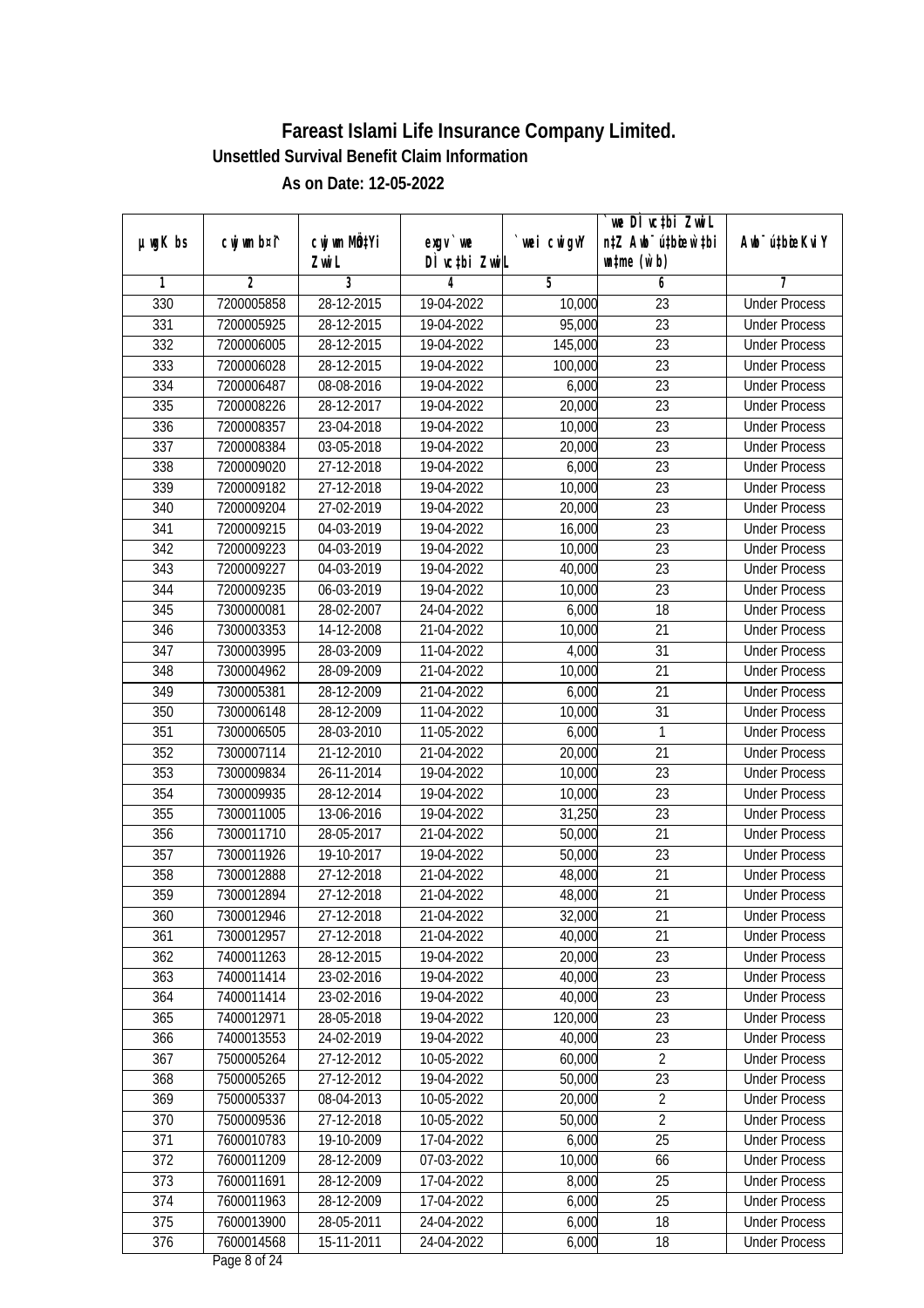|                  |                |              |               |                | we DI vctbi ZwiL                 |                             |
|------------------|----------------|--------------|---------------|----------------|----------------------------------|-----------------------------|
| $µ$ ug $K$ bs    | cwj wm b¤i^    | cwj wm MQtYi | $exgV$ we     | `wei cwigvY    | n‡Z Awb <sup>-</sup> ú‡bioar`‡bi | Awb <sup>-</sup> ú‡bioeKviY |
|                  |                | Zwi L        | DÌ vctbi ZwiL |                | $\n  untime\n  (u`b)\n$          |                             |
| 1                | $\overline{2}$ | 3            | 4             | $\overline{5}$ | 6                                | 7                           |
| 330              | 7200005858     | 28-12-2015   | 19-04-2022    | 10,000         | $\overline{23}$                  | <b>Under Process</b>        |
| 331              | 7200005925     | 28-12-2015   | 19-04-2022    | 95,000         | $\overline{23}$                  | <b>Under Process</b>        |
| $\overline{332}$ | 7200006005     | 28-12-2015   | 19-04-2022    | 145,000        | $\overline{23}$                  | <b>Under Process</b>        |
| 333              | 7200006028     | 28-12-2015   | 19-04-2022    | 100,000        | 23                               | <b>Under Process</b>        |
| 334              | 7200006487     | 08-08-2016   | 19-04-2022    | 6,000          | $\overline{23}$                  | <b>Under Process</b>        |
| 335              | 7200008226     | 28-12-2017   | 19-04-2022    | 20,000         | $\overline{23}$                  | <b>Under Process</b>        |
| 336              | 7200008357     | 23-04-2018   | 19-04-2022    | 10,000         | $\overline{23}$                  | <b>Under Process</b>        |
| 337              | 7200008384     | 03-05-2018   | 19-04-2022    | 20,000         | $\overline{23}$                  | <b>Under Process</b>        |
| 338              | 7200009020     | 27-12-2018   | 19-04-2022    | 6,000          | $\overline{23}$                  | <b>Under Process</b>        |
| 339              | 7200009182     | 27-12-2018   | 19-04-2022    | 10,000         | 23                               | <b>Under Process</b>        |
| 340              | 7200009204     | 27-02-2019   | 19-04-2022    | 20,000         | $\overline{23}$                  | <b>Under Process</b>        |
| 341              | 7200009215     | 04-03-2019   | 19-04-2022    | 16,000         | 23                               | <b>Under Process</b>        |
| $\overline{342}$ | 7200009223     | 04-03-2019   | 19-04-2022    | 10,000         | $\overline{23}$                  | <b>Under Process</b>        |
| 343              | 7200009227     | 04-03-2019   | 19-04-2022    | 40,000         | 23                               | <b>Under Process</b>        |
| 344              | 7200009235     | 06-03-2019   | 19-04-2022    | 10,000         | 23                               | <b>Under Process</b>        |
| 345              | 7300000081     | 28-02-2007   | 24-04-2022    | 6,000          | 18                               | <b>Under Process</b>        |
| 346              | 7300003353     | 14-12-2008   | 21-04-2022    | 10,000         | 21                               | <b>Under Process</b>        |
| 347              | 7300003995     | 28-03-2009   | 11-04-2022    | 4,000          | 31                               | <b>Under Process</b>        |
| 348              | 7300004962     | 28-09-2009   | 21-04-2022    | 10,000         | 21                               | <b>Under Process</b>        |
| 349              | 7300005381     | 28-12-2009   | 21-04-2022    | 6,000          | 21                               | <b>Under Process</b>        |
| 350              | 7300006148     | 28-12-2009   | 11-04-2022    | 10,000         | 31                               | <b>Under Process</b>        |
| 351              | 7300006505     | 28-03-2010   | 11-05-2022    | 6,000          | 1                                | <b>Under Process</b>        |
| 352              | 7300007114     | 21-12-2010   | 21-04-2022    | 20,000         | 21                               | <b>Under Process</b>        |
| 353              | 7300009834     | 26-11-2014   | 19-04-2022    | 10,000         | 23                               | <b>Under Process</b>        |
| 354              | 7300009935     | 28-12-2014   | 19-04-2022    | 10,000         | 23                               | <b>Under Process</b>        |
| 355              | 7300011005     | 13-06-2016   | 19-04-2022    | 31,250         | 23                               | <b>Under Process</b>        |
| 356              | 7300011710     | 28-05-2017   | 21-04-2022    | 50,000         | 21                               | <b>Under Process</b>        |
| 357              | 7300011926     | 19-10-2017   | 19-04-2022    | 50,000         | 23                               | <b>Under Process</b>        |
| 358              | 7300012888     | 27-12-2018   | 21-04-2022    | 48,000         | 21                               | <b>Under Process</b>        |
| 359              | 7300012894     | 27-12-2018   | 21-04-2022    | 48,000         | 21                               | <b>Under Process</b>        |
| 360              | 7300012946     | 27-12-2018   | 21-04-2022    | 32,000         | 21                               | <b>Under Process</b>        |
| 361              | 7300012957     | 27-12-2018   | 21-04-2022    | 40,000         | 21                               | <b>Under Process</b>        |
| 362              | 7400011263     | 28-12-2015   | 19-04-2022    | 20,000         | 23                               | <b>Under Process</b>        |
| 363              | 7400011414     | 23-02-2016   | 19-04-2022    | 40,000         | 23                               | <b>Under Process</b>        |
| 364              | 7400011414     | 23-02-2016   | 19-04-2022    | 40,000         | 23                               | <b>Under Process</b>        |
| 365              | 7400012971     | 28-05-2018   | 19-04-2022    | 120,000        | 23                               | <b>Under Process</b>        |
| 366              | 7400013553     | 24-02-2019   | 19-04-2022    | 40,000         | 23                               | <b>Under Process</b>        |
| 367              | 7500005264     | 27-12-2012   | 10-05-2022    | 60,000         | $\overline{2}$                   | <b>Under Process</b>        |
| 368              | 7500005265     | 27-12-2012   | 19-04-2022    | 50,000         | 23                               | <b>Under Process</b>        |
| 369              | 7500005337     | 08-04-2013   | 10-05-2022    | 20,000         | $\sqrt{2}$                       | <b>Under Process</b>        |
| 370              | 7500009536     | 27-12-2018   | 10-05-2022    | 50,000         | $\sqrt{2}$                       | <b>Under Process</b>        |
| 371              | 7600010783     | 19-10-2009   | 17-04-2022    | 6,000          | 25                               | <b>Under Process</b>        |
| 372              | 7600011209     | 28-12-2009   | 07-03-2022    | 10,000         | 66                               | <b>Under Process</b>        |
| 373              | 7600011691     | 28-12-2009   | 17-04-2022    | 8,000          | 25                               | <b>Under Process</b>        |
| 374              | 7600011963     | 28-12-2009   | 17-04-2022    | 6,000          | 25                               | <b>Under Process</b>        |
| 375              | 7600013900     | 28-05-2011   | 24-04-2022    | 6,000          | 18                               | <b>Under Process</b>        |
| 376              | 7600014568     | 15-11-2011   | 24-04-2022    | 6,000          | 18                               | <b>Under Process</b>        |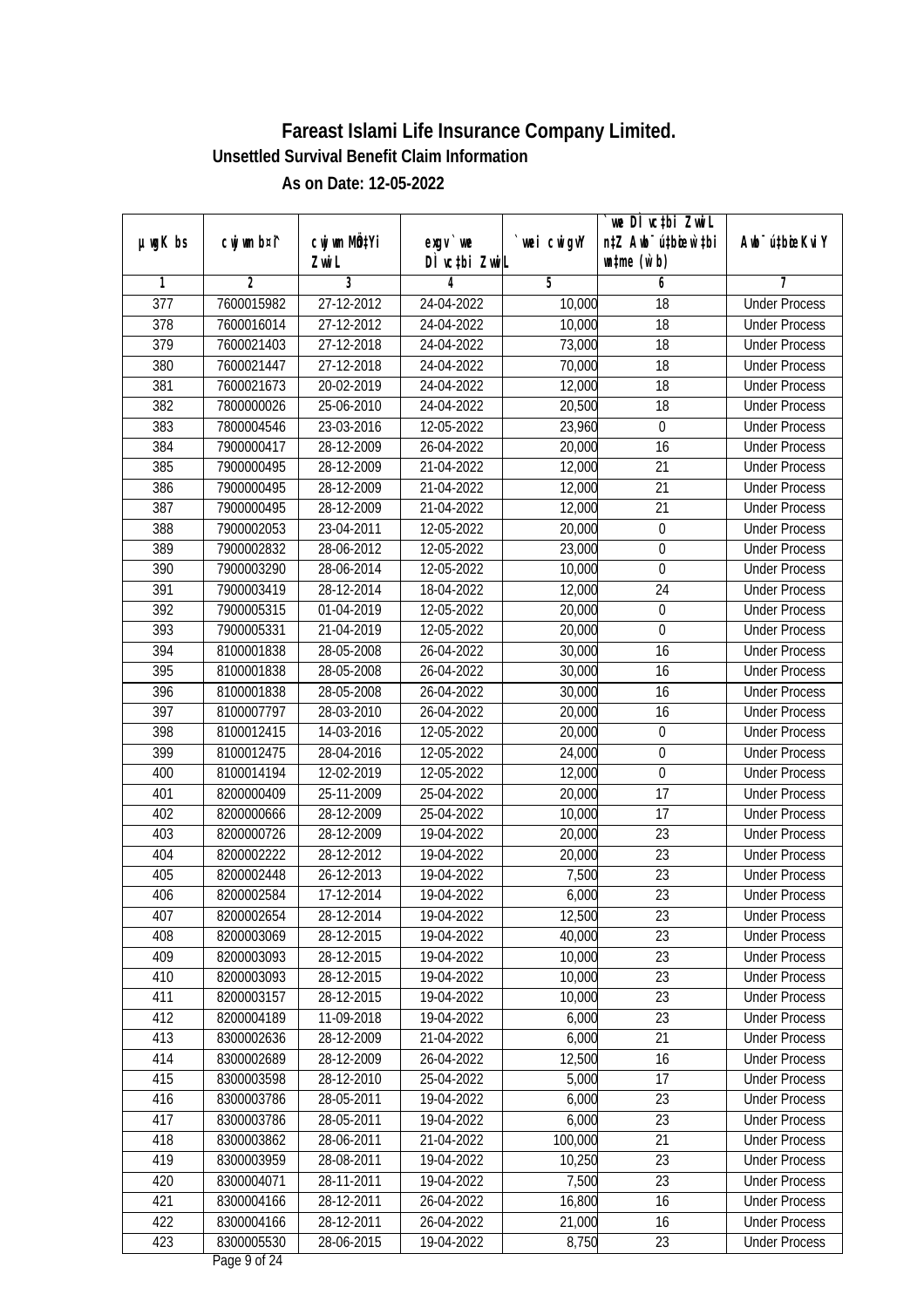|                  | cwj wm b¤i^    | cwj wm MQtYi |                            |            | we DI vctbi ZwiL<br>n‡Z Awb <sup>-</sup> ú‡bioar`‡bi |                             |
|------------------|----------------|--------------|----------------------------|------------|------------------------------------------------------|-----------------------------|
| µwgK bs          |                | Zwi L        | $exqu$ we<br>DÌ vctbi ZwiL | wei cwigvY | $w$ tme $(w b)$                                      | Awb <sup>-</sup> ú‡bioeKviY |
| 1                | $\overline{2}$ | 3            | 4                          | 5          | 6                                                    | 7                           |
| $\overline{377}$ | 7600015982     | 27-12-2012   | 24-04-2022                 | 10,000     | 18                                                   | <b>Under Process</b>        |
| 378              | 7600016014     | 27-12-2012   | 24-04-2022                 | 10,000     | 18                                                   | <b>Under Process</b>        |
| 379              | 7600021403     | 27-12-2018   | 24-04-2022                 | 73,000     | $\overline{18}$                                      | <b>Under Process</b>        |
| 380              | 7600021447     | 27-12-2018   | 24-04-2022                 | 70,000     | 18                                                   | <b>Under Process</b>        |
| 381              | 7600021673     | 20-02-2019   | 24-04-2022                 | 12,000     | $\overline{18}$                                      | <b>Under Process</b>        |
| 382              | 7800000026     | 25-06-2010   | 24-04-2022                 | 20,500     | 18                                                   | <b>Under Process</b>        |
| 383              | 7800004546     | 23-03-2016   | 12-05-2022                 | 23,960     | $\boldsymbol{0}$                                     | <b>Under Process</b>        |
| 384              | 7900000417     | 28-12-2009   | 26-04-2022                 | 20,000     | 16                                                   | <b>Under Process</b>        |
| 385              | 7900000495     | 28-12-2009   | 21-04-2022                 | 12,000     | 21                                                   | <b>Under Process</b>        |
| 386              | 7900000495     | 28-12-2009   | 21-04-2022                 | 12,000     | 21                                                   | <b>Under Process</b>        |
| 387              | 7900000495     | 28-12-2009   | 21-04-2022                 | 12,000     | $\overline{21}$                                      | <b>Under Process</b>        |
| 388              | 7900002053     | 23-04-2011   | 12-05-2022                 | 20,000     | $\boldsymbol{0}$                                     | <b>Under Process</b>        |
| 389              | 7900002832     | 28-06-2012   | 12-05-2022                 | 23,000     | $\overline{0}$                                       | <b>Under Process</b>        |
| 390              | 7900003290     | 28-06-2014   | 12-05-2022                 | 10,000     | $\boldsymbol{0}$                                     | <b>Under Process</b>        |
| 391              | 7900003419     | 28-12-2014   | 18-04-2022                 | 12,000     | 24                                                   | <b>Under Process</b>        |
| 392              | 7900005315     | 01-04-2019   | 12-05-2022                 | 20,000     | $\boldsymbol{0}$                                     | <b>Under Process</b>        |
| 393              | 7900005331     | 21-04-2019   | 12-05-2022                 | 20,000     | $\mathbf 0$                                          | <b>Under Process</b>        |
| 394              | 8100001838     | 28-05-2008   | 26-04-2022                 | 30,000     | 16                                                   | <b>Under Process</b>        |
| 395              | 8100001838     | 28-05-2008   | 26-04-2022                 | 30,000     | 16                                                   | <b>Under Process</b>        |
| 396              | 8100001838     | 28-05-2008   | 26-04-2022                 | 30,000     | 16                                                   | <b>Under Process</b>        |
| 397              | 8100007797     | 28-03-2010   | 26-04-2022                 | 20,000     | 16                                                   | <b>Under Process</b>        |
| 398              | 8100012415     | 14-03-2016   | 12-05-2022                 | 20,000     | $\boldsymbol{0}$                                     | <b>Under Process</b>        |
| 399              | 8100012475     | 28-04-2016   | 12-05-2022                 | 24,000     | $\boldsymbol{0}$                                     | <b>Under Process</b>        |
| 400              | 8100014194     | 12-02-2019   | 12-05-2022                 | 12,000     | $\mathbf 0$                                          | <b>Under Process</b>        |
| 401              | 8200000409     | 25-11-2009   | 25-04-2022                 | 20,000     | 17                                                   | <b>Under Process</b>        |
| 402              | 8200000666     | 28-12-2009   | 25-04-2022                 | 10,000     | 17                                                   | <b>Under Process</b>        |
| 403              | 8200000726     | 28-12-2009   | 19-04-2022                 | 20,000     | 23                                                   | <b>Under Process</b>        |
| 404              | 8200002222     | 28-12-2012   | 19-04-2022                 | 20,000     | 23                                                   | <b>Under Process</b>        |
| 405              | 8200002448     | 26-12-2013   | 19-04-2022                 | 7,500      | 23                                                   | <b>Under Process</b>        |
| 406              | 8200002584     | 17-12-2014   | 19-04-2022                 | 6,000      | 23                                                   | <b>Under Process</b>        |
| 407              | 8200002654     | 28-12-2014   | 19-04-2022                 | 12,500     | 23                                                   | <b>Under Process</b>        |
| 408              | 8200003069     | 28-12-2015   | 19-04-2022                 | 40,000     | 23                                                   | <b>Under Process</b>        |
| 409              | 8200003093     | 28-12-2015   | 19-04-2022                 | 10,000     | 23                                                   | <b>Under Process</b>        |
| 410              | 8200003093     | 28-12-2015   | 19-04-2022                 | 10,000     | 23                                                   | <b>Under Process</b>        |
| 411              | 8200003157     | 28-12-2015   | 19-04-2022                 | 10,000     | 23                                                   | <b>Under Process</b>        |
| 412              | 8200004189     | 11-09-2018   | 19-04-2022                 | 6,000      | 23                                                   | <b>Under Process</b>        |
| 413              | 8300002636     | 28-12-2009   | 21-04-2022                 | 6,000      | 21                                                   | <b>Under Process</b>        |
| 414              | 8300002689     | 28-12-2009   | 26-04-2022                 | 12,500     | 16                                                   | <b>Under Process</b>        |
| 415              | 8300003598     | 28-12-2010   | 25-04-2022                 | 5,000      | 17                                                   | <b>Under Process</b>        |
| 416              | 8300003786     | 28-05-2011   | 19-04-2022                 | 6,000      | 23                                                   | <b>Under Process</b>        |
| 417              | 8300003786     | 28-05-2011   | 19-04-2022                 | 6,000      | 23                                                   | <b>Under Process</b>        |
| 418              | 8300003862     | 28-06-2011   | 21-04-2022                 | 100,000    | $\overline{21}$                                      | <b>Under Process</b>        |
| 419              | 8300003959     | 28-08-2011   | 19-04-2022                 | 10,250     | 23                                                   | <b>Under Process</b>        |
| 420              | 8300004071     | 28-11-2011   | 19-04-2022                 | 7,500      | 23                                                   | <b>Under Process</b>        |
| 421              | 8300004166     | 28-12-2011   | 26-04-2022                 | 16,800     | 16                                                   | <b>Under Process</b>        |
| 422              | 8300004166     | 28-12-2011   | 26-04-2022                 | 21,000     | 16                                                   | <b>Under Process</b>        |
| 423              | 8300005530     | 28-06-2015   | 19-04-2022                 | 8,750      | 23                                                   | <b>Under Process</b>        |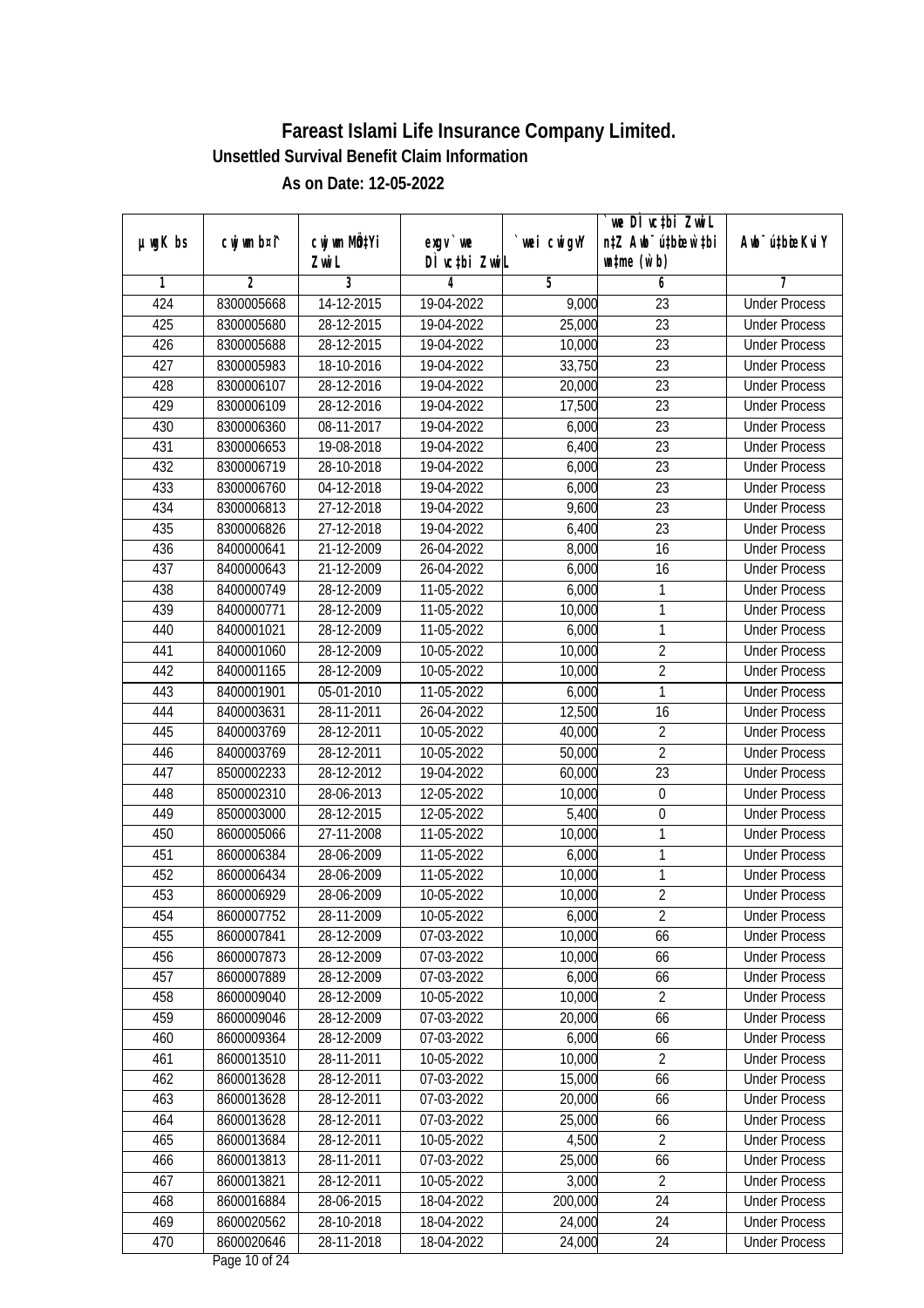|                  |                |                           |               |            | we DI vctbi Zwil                 |                             |
|------------------|----------------|---------------------------|---------------|------------|----------------------------------|-----------------------------|
| µwgK bs          | cwj wm b¤i^    | cwj wm MQtYi              | $exgv$ we     | wei cwigvY | n‡Z Awb <sup>-</sup> ú‡bioen`‡bi | Awb <sup>-</sup> ú‡bioeKviY |
|                  |                | Zwi L                     | DÌ vctbi ZwiL |            | $\n  untime\n  (u`b)\n$          |                             |
| 1                | $\overline{2}$ | 3                         | 4             | 5          | 6                                | 7                           |
| 424              | 8300005668     | 14-12-2015                | 19-04-2022    | 9,000      | $\overline{23}$                  | <b>Under Process</b>        |
| 425              | 8300005680     | 28-12-2015                | 19-04-2022    | 25,000     | $\overline{23}$                  | <b>Under Process</b>        |
| $\overline{426}$ | 8300005688     | 28-12-2015                | 19-04-2022    | 10,000     | $\overline{23}$                  | <b>Under Process</b>        |
| 427              | 8300005983     | 18-10-2016                | 19-04-2022    | 33,750     | 23                               | <b>Under Process</b>        |
| 428              | 8300006107     | $28-12-2016$              | 19-04-2022    | 20,000     | $\overline{23}$                  | <b>Under Process</b>        |
| 429              | 8300006109     | 28-12-2016                | 19-04-2022    | 17,500     | $\overline{23}$                  | <b>Under Process</b>        |
| 430              | 8300006360     | 08-11-2017                | 19-04-2022    | 6,000      | $\overline{23}$                  | <b>Under Process</b>        |
| 431              | 8300006653     | 19-08-2018                | 19-04-2022    | 6,400      | $\overline{23}$                  | <b>Under Process</b>        |
| 432              | 8300006719     | 28-10-2018                | 19-04-2022    | 6,000      | $\overline{23}$                  | <b>Under Process</b>        |
| 433              | 8300006760     | $\overline{04-12} - 2018$ | 19-04-2022    | 6,000      | $\overline{23}$                  | <b>Under Process</b>        |
| 434              | 8300006813     | 27-12-2018                | 19-04-2022    | 9,600      | $\overline{23}$                  | <b>Under Process</b>        |
| 435              | 8300006826     | 27-12-2018                | 19-04-2022    | 6,400      | 23                               | <b>Under Process</b>        |
| 436              | 8400000641     | 21-12-2009                | 26-04-2022    | 8,000      | $\overline{16}$                  | <b>Under Process</b>        |
| 437              | 8400000643     | 21-12-2009                | 26-04-2022    | 6,000      | 16                               | <b>Under Process</b>        |
| 438              | 8400000749     | 28-12-2009                | 11-05-2022    | 6,000      | 1                                | <b>Under Process</b>        |
| 439              | 8400000771     | 28-12-2009                | 11-05-2022    | 10,000     | $\mathbf{1}$                     | <b>Under Process</b>        |
| 440              | 8400001021     | 28-12-2009                | 11-05-2022    | 6,000      | $\mathbf{1}$                     | <b>Under Process</b>        |
| 441              | 8400001060     | 28-12-2009                | 10-05-2022    | 10,000     | $\overline{2}$                   | <b>Under Process</b>        |
| 442              | 8400001165     | 28-12-2009                | 10-05-2022    | 10,000     | $\overline{2}$                   | <b>Under Process</b>        |
| 443              | 8400001901     | 05-01-2010                | 11-05-2022    | 6,000      | 1                                | <b>Under Process</b>        |
| 444              | 8400003631     | 28-11-2011                | 26-04-2022    | 12,500     | 16                               | <b>Under Process</b>        |
| 445              | 8400003769     | 28-12-2011                | 10-05-2022    | 40,000     | 2                                | <b>Under Process</b>        |
| 446              | 8400003769     | 28-12-2011                | 10-05-2022    | 50,000     | $\overline{2}$                   | <b>Under Process</b>        |
| 447              | 8500002233     | 28-12-2012                | 19-04-2022    | 60,000     | 23                               | <b>Under Process</b>        |
| 448              | 8500002310     | 28-06-2013                | 12-05-2022    | 10,000     | $\boldsymbol{0}$                 | <b>Under Process</b>        |
| 449              | 8500003000     | 28-12-2015                | 12-05-2022    | 5,400      | 0                                | <b>Under Process</b>        |
| 450              | 8600005066     | 27-11-2008                | 11-05-2022    | 10,000     | 1                                | <b>Under Process</b>        |
| 451              | 8600006384     | 28-06-2009                | 11-05-2022    | 6,000      | 1                                | <b>Under Process</b>        |
| 452              | 8600006434     | 28-06-2009                | 11-05-2022    | 10,000     | $\mathbf{1}$                     | <b>Under Process</b>        |
| 453              | 8600006929     | 28-06-2009                | 10-05-2022    | 10,000     | $\overline{2}$                   | <b>Under Process</b>        |
| 454              | 8600007752     | 28-11-2009                | 10-05-2022    | 6,000      | 2                                | <b>Under Process</b>        |
| 455              | 8600007841     | 28-12-2009                | 07-03-2022    | 10,000     | 66                               | <b>Under Process</b>        |
| 456              | 8600007873     | 28-12-2009                | 07-03-2022    | 10,000     | 66                               | <b>Under Process</b>        |
| 457              | 8600007889     | 28-12-2009                | 07-03-2022    | 6,000      | 66                               | <b>Under Process</b>        |
| 458              | 8600009040     | 28-12-2009                | 10-05-2022    | 10,000     | $\overline{2}$                   | <b>Under Process</b>        |
| 459              | 8600009046     | 28-12-2009                | 07-03-2022    | 20,000     | 66                               | <b>Under Process</b>        |
| 460              | 8600009364     | 28-12-2009                | 07-03-2022    | 6,000      | 66                               | <b>Under Process</b>        |
| 461              | 8600013510     | 28-11-2011                | 10-05-2022    | 10,000     | $\overline{2}$                   | <b>Under Process</b>        |
| 462              | 8600013628     | 28-12-2011                | 07-03-2022    | 15,000     | 66                               | <b>Under Process</b>        |
| 463              | 8600013628     | 28-12-2011                | 07-03-2022    | 20,000     | 66                               | <b>Under Process</b>        |
| 464              | 8600013628     | 28-12-2011                | 07-03-2022    | 25,000     | 66                               | <b>Under Process</b>        |
| 465              | 8600013684     | 28-12-2011                | 10-05-2022    | 4,500      | $\overline{2}$                   | <b>Under Process</b>        |
| 466              | 8600013813     | 28-11-2011                | 07-03-2022    | 25,000     | 66                               | <b>Under Process</b>        |
| 467              | 8600013821     | 28-12-2011                | 10-05-2022    | 3,000      | $\overline{2}$                   | <b>Under Process</b>        |
| 468              | 8600016884     | 28-06-2015                | 18-04-2022    | 200,000    | 24                               | <b>Under Process</b>        |
| 469              | 8600020562     | 28-10-2018                | 18-04-2022    | 24,000     | 24                               | <b>Under Process</b>        |
| 470              | 8600020646     | 28-11-2018                | 18-04-2022    | 24,000     | 24                               | <b>Under Process</b>        |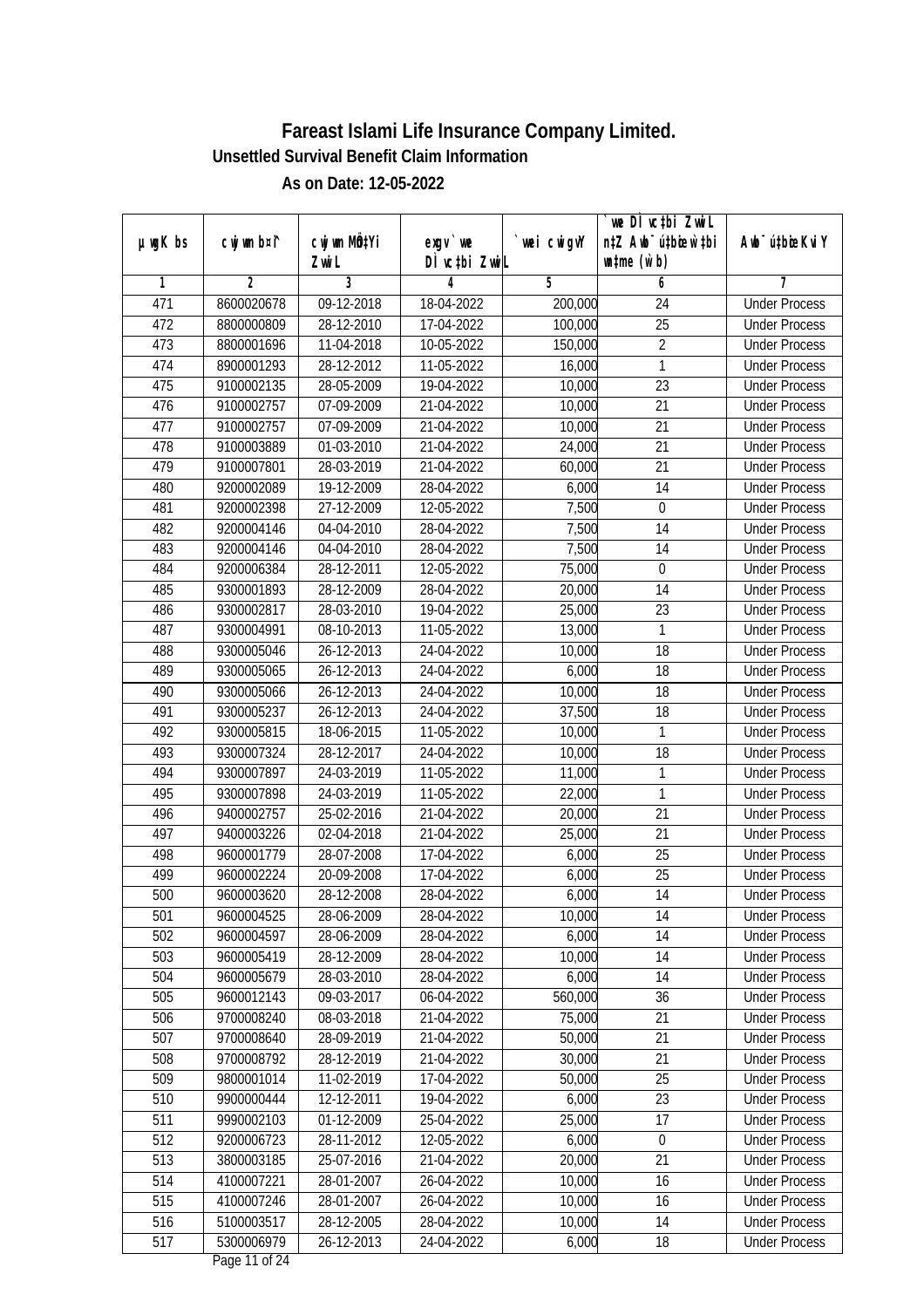|         |                |                  |               |            | we DI vctbi ZwiL                 |                             |
|---------|----------------|------------------|---------------|------------|----------------------------------|-----------------------------|
| µwgK bs | cwj wm b¤i^    | cwj wm MQtYi     | $exgv$ we     | wei cwigvY | n‡Z Awb <sup>-</sup> ú‡bioen`‡bi | Awb <sup>-</sup> ú‡bioeKviY |
|         |                | Zwi L            | DÌ vctbi ZwiL |            | $\n  untime\n  (u`b)\n$          |                             |
| 1       | $\overline{2}$ | 3                | 4             | 5          | 6                                | 7                           |
| 471     | 8600020678     | 09-12-2018       | 18-04-2022    | 200,000    | 24                               | <b>Under Process</b>        |
| 472     | 8800000809     | 28-12-2010       | 17-04-2022    | 100,000    | $\overline{25}$                  | <b>Under Process</b>        |
| 473     | 8800001696     | 11-04-2018       | 10-05-2022    | 150,000    | $\overline{2}$                   | <b>Under Process</b>        |
| 474     | 8900001293     | 28-12-2012       | 11-05-2022    | 16,000     | 1                                | <b>Under Process</b>        |
| 475     | 9100002135     | 28-05-2009       | 19-04-2022    | 10,000     | $\overline{23}$                  | <b>Under Process</b>        |
| 476     | 9100002757     | 07-09-2009       | 21-04-2022    | 10,000     | $\overline{21}$                  | <b>Under Process</b>        |
| 477     | 9100002757     | 07-09-2009       | 21-04-2022    | 10,000     | $\overline{21}$                  | <b>Under Process</b>        |
| 478     | 9100003889     | 01-03-2010       | 21-04-2022    | 24,000     | 21                               | <b>Under Process</b>        |
| 479     | 9100007801     | 28-03-2019       | 21-04-2022    | 60,000     | 21                               | <b>Under Process</b>        |
| 480     | 9200002089     | 19-12-2009       | 28-04-2022    | 6,000      | 14                               | <b>Under Process</b>        |
| 481     | 9200002398     | 27-12-2009       | 12-05-2022    | 7,500      | $\mathbf 0$                      | <b>Under Process</b>        |
| 482     | 9200004146     | 04-04-2010       | 28-04-2022    | 7,500      | 14                               | <b>Under Process</b>        |
| 483     | 9200004146     | 04-04-2010       | 28-04-2022    | 7,500      | $\overline{14}$                  | <b>Under Process</b>        |
| 484     | 9200006384     | 28-12-2011       | 12-05-2022    | 75,000     | $\boldsymbol{0}$                 | <b>Under Process</b>        |
| 485     | 9300001893     | 28-12-2009       | 28-04-2022    | 20,000     | 14                               | <b>Under Process</b>        |
| 486     | 9300002817     | 28-03-2010       | 19-04-2022    | 25,000     | 23                               | <b>Under Process</b>        |
| 487     | 9300004991     | 08-10-2013       | 11-05-2022    | 13,000     | 1                                | <b>Under Process</b>        |
| 488     | 9300005046     | 26-12-2013       | 24-04-2022    | 10,000     | 18                               | <b>Under Process</b>        |
| 489     | 9300005065     | 26-12-2013       | 24-04-2022    | 6,000      | 18                               | <b>Under Process</b>        |
| 490     | 9300005066     | 26-12-2013       | 24-04-2022    | 10,000     | 18                               | <b>Under Process</b>        |
| 491     | 9300005237     | $26 - 12 - 2013$ | 24-04-2022    | 37,500     | 18                               | <b>Under Process</b>        |
| 492     | 9300005815     | 18-06-2015       | 11-05-2022    | 10,000     | 1                                | <b>Under Process</b>        |
| 493     | 9300007324     | 28-12-2017       | 24-04-2022    | 10,000     | 18                               | <b>Under Process</b>        |
| 494     | 9300007897     | 24-03-2019       | 11-05-2022    | 11,000     | $\mathbf{1}$                     | <b>Under Process</b>        |
| 495     | 9300007898     | 24-03-2019       | 11-05-2022    | 22,000     | 1                                | <b>Under Process</b>        |
| 496     | 9400002757     | 25-02-2016       | 21-04-2022    | 20,000     | 21                               | <b>Under Process</b>        |
| 497     | 9400003226     | 02-04-2018       | 21-04-2022    | 25,000     | 21                               | <b>Under Process</b>        |
| 498     | 9600001779     | 28-07-2008       | 17-04-2022    | 6,000      | 25                               | <b>Under Process</b>        |
| 499     | 9600002224     | 20-09-2008       | 17-04-2022    | 6,000      | 25                               | <b>Under Process</b>        |
| 500     | 9600003620     | 28-12-2008       | 28-04-2022    | 6,000      | 14                               | <b>Under Process</b>        |
| 501     | 9600004525     | 28-06-2009       | 28-04-2022    | 10,000     | 14                               | <b>Under Process</b>        |
| 502     | 9600004597     | 28-06-2009       | 28-04-2022    | 6,000      | 14                               | <b>Under Process</b>        |
| 503     | 9600005419     | 28-12-2009       | 28-04-2022    | 10,000     | 14                               | <b>Under Process</b>        |
| 504     | 9600005679     | 28-03-2010       | 28-04-2022    | 6,000      | 14                               | <b>Under Process</b>        |
| 505     | 9600012143     | 09-03-2017       | 06-04-2022    | 560,000    | 36                               | <b>Under Process</b>        |
| 506     | 9700008240     | 08-03-2018       | 21-04-2022    | 75,000     | 21                               | <b>Under Process</b>        |
| 507     | 9700008640     | 28-09-2019       | 21-04-2022    | 50,000     | 21                               | <b>Under Process</b>        |
| 508     | 9700008792     | 28-12-2019       | 21-04-2022    | 30,000     | $\overline{21}$                  | <b>Under Process</b>        |
| 509     | 9800001014     | 11-02-2019       | 17-04-2022    | 50,000     | 25                               | <b>Under Process</b>        |
| 510     | 9900000444     | 12-12-2011       | 19-04-2022    | 6,000      | 23                               | <b>Under Process</b>        |
| 511     | 9990002103     | 01-12-2009       | 25-04-2022    | 25,000     | 17                               | <b>Under Process</b>        |
| 512     | 9200006723     | 28-11-2012       | 12-05-2022    | 6,000      | $\boldsymbol{0}$                 | <b>Under Process</b>        |
| 513     | 3800003185     | 25-07-2016       | 21-04-2022    | 20,000     | $\overline{21}$                  | <b>Under Process</b>        |
| 514     | 4100007221     | 28-01-2007       | 26-04-2022    | 10,000     | 16                               | <b>Under Process</b>        |
| 515     | 4100007246     | 28-01-2007       | 26-04-2022    | 10,000     | 16                               | <b>Under Process</b>        |
| 516     | 5100003517     | 28-12-2005       | 28-04-2022    | 10,000     | 14                               | <b>Under Process</b>        |
| 517     | 5300006979     | 26-12-2013       | 24-04-2022    | 6,000      | 18                               | <b>Under Process</b>        |
|         |                |                  |               |            |                                  |                             |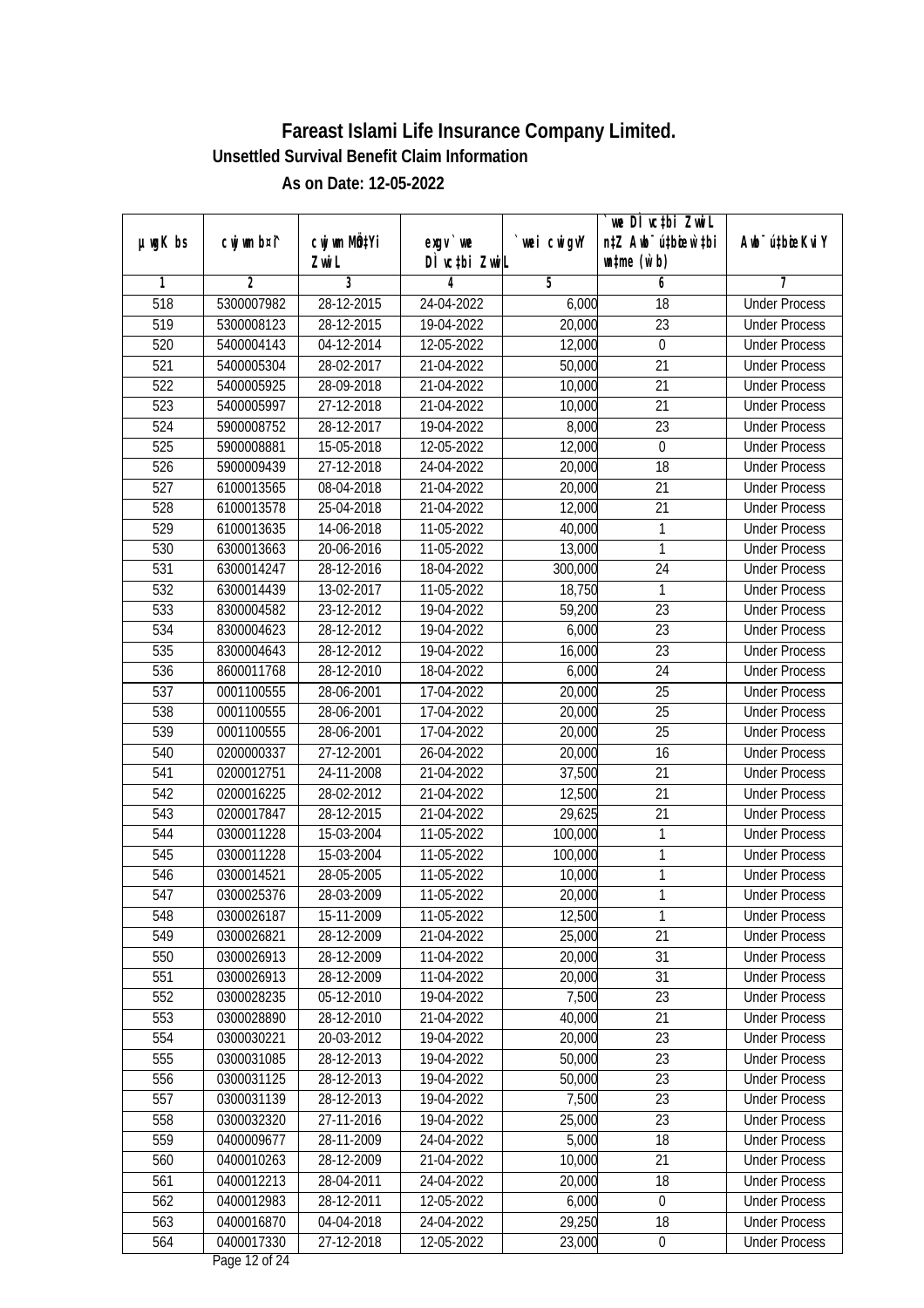|               |                |                  |               |             | `we DÌ vc‡bi ZwwiL               |                             |
|---------------|----------------|------------------|---------------|-------------|----------------------------------|-----------------------------|
| $µ$ ug $K$ bs | cwj wm b¤i^    | CW wm MQYi       | exgy `we      | `wei cwigvY | n‡Z Awb <sup>-</sup> ú‡bioen`‡bi | Awb <sup>-</sup> ú‡bioeKviY |
|               |                | Zwi L            | DÌ vctbi ZwiL |             | $\n  untime\n  (u`b)\n$          |                             |
| 1             | $\overline{2}$ | 3                | 4             | 5           | 6                                | 7                           |
| 518           | 5300007982     | 28-12-2015       | 24-04-2022    | 6,000       | 18                               | <b>Under Process</b>        |
| 519           | 5300008123     | 28-12-2015       | 19-04-2022    | 20,000      | $\overline{23}$                  | <b>Under Process</b>        |
| 520           | 5400004143     | 04-12-2014       | 12-05-2022    | 12,000      | $\boldsymbol{0}$                 | <b>Under Process</b>        |
| 521           | 5400005304     | 28-02-2017       | 21-04-2022    | 50,000      | $\overline{21}$                  | <b>Under Process</b>        |
| 522           | 5400005925     | 28-09-2018       | 21-04-2022    | 10,000      | $\overline{21}$                  | <b>Under Process</b>        |
| 523           | 5400005997     | 27-12-2018       | 21-04-2022    | 10,000      | $\overline{21}$                  | <b>Under Process</b>        |
| 524           | 5900008752     | 28-12-2017       | 19-04-2022    | 8,000       | $\overline{23}$                  | <b>Under Process</b>        |
| 525           | 5900008881     | 15-05-2018       | 12-05-2022    | 12,000      | $\boldsymbol{0}$                 | <b>Under Process</b>        |
| 526           | 5900009439     | 27-12-2018       | 24-04-2022    | 20,000      | 18                               | <b>Under Process</b>        |
| 527           | 6100013565     | 08-04-2018       | 21-04-2022    | 20,000      | 21                               | <b>Under Process</b>        |
| 528           | 6100013578     | $25 - 04 - 2018$ | 21-04-2022    | 12,000      | 21                               | <b>Under Process</b>        |
| 529           | 6100013635     | 14-06-2018       | 11-05-2022    | 40,000      | 1                                | <b>Under Process</b>        |
| 530           | 6300013663     | 20-06-2016       | 11-05-2022    | 13,000      | 1                                | <b>Under Process</b>        |
| 531           | 6300014247     | 28-12-2016       | 18-04-2022    | 300,000     | 24                               | <b>Under Process</b>        |
| 532           | 6300014439     | 13-02-2017       | 11-05-2022    | 18,750      | 1                                | <b>Under Process</b>        |
| 533           | 8300004582     | 23-12-2012       | 19-04-2022    | 59,200      | 23                               | <b>Under Process</b>        |
| 534           | 8300004623     | 28-12-2012       | 19-04-2022    | 6,000       | 23                               | <b>Under Process</b>        |
| 535           | 8300004643     | 28-12-2012       | 19-04-2022    | 16,000      | 23                               | <b>Under Process</b>        |
| 536           | 8600011768     | 28-12-2010       | 18-04-2022    | 6,000       | 24                               | <b>Under Process</b>        |
| 537           | 0001100555     | 28-06-2001       | 17-04-2022    | 20,000      | 25                               | <b>Under Process</b>        |
| 538           | 0001100555     | 28-06-2001       | 17-04-2022    | 20,000      | 25                               | <b>Under Process</b>        |
| 539           | 0001100555     | 28-06-2001       | 17-04-2022    | 20,000      | 25                               | <b>Under Process</b>        |
| 540           | 0200000337     | 27-12-2001       | 26-04-2022    | 20,000      | 16                               | <b>Under Process</b>        |
| 541           | 0200012751     | 24-11-2008       | 21-04-2022    | 37,500      | 21                               | <b>Under Process</b>        |
| 542           | 0200016225     | 28-02-2012       | 21-04-2022    | 12,500      | 21                               | <b>Under Process</b>        |
| 543           | 0200017847     | 28-12-2015       | 21-04-2022    | 29,625      | 21                               | <b>Under Process</b>        |
| 544           | 0300011228     | 15-03-2004       | 11-05-2022    | 100,000     | 1                                | <b>Under Process</b>        |
| 545           | 0300011228     | 15-03-2004       | 11-05-2022    | 100,000     | 1                                | <b>Under Process</b>        |
| 546           | 0300014521     | 28-05-2005       | 11-05-2022    | 10,000      | 1                                | <b>Under Process</b>        |
| 547           | 0300025376     | 28-03-2009       | 11-05-2022    | 20,000      | 1                                | <b>Under Process</b>        |
| 548           | 0300026187     | 15-11-2009       | 11-05-2022    | 12,500      | 1                                | <b>Under Process</b>        |
| 549           | 0300026821     | 28-12-2009       | 21-04-2022    | 25,000      | 21                               | <b>Under Process</b>        |
| 550           | 0300026913     | 28-12-2009       | 11-04-2022    | 20,000      | 31                               | <b>Under Process</b>        |
| 551           | 0300026913     | 28-12-2009       | 11-04-2022    | 20,000      | 31                               | <b>Under Process</b>        |
| 552           | 0300028235     | 05-12-2010       | 19-04-2022    | 7,500       | 23                               | <b>Under Process</b>        |
| 553           | 0300028890     | 28-12-2010       | 21-04-2022    | 40,000      | 21                               | <b>Under Process</b>        |
| 554           | 0300030221     | 20-03-2012       | 19-04-2022    | 20,000      | 23                               | <b>Under Process</b>        |
| 555           | 0300031085     | 28-12-2013       | 19-04-2022    | 50,000      | 23                               | <b>Under Process</b>        |
| 556           | 0300031125     | 28-12-2013       | 19-04-2022    | 50,000      | 23                               | <b>Under Process</b>        |
| 557           | 0300031139     | 28-12-2013       | 19-04-2022    | 7,500       | 23                               | <b>Under Process</b>        |
| 558           | 0300032320     | 27-11-2016       | 19-04-2022    | 25,000      | 23                               | <b>Under Process</b>        |
| 559           | 0400009677     | 28-11-2009       | 24-04-2022    | 5,000       | 18                               | <b>Under Process</b>        |
| 560           | 0400010263     | 28-12-2009       | 21-04-2022    | 10,000      | $\overline{21}$                  | <b>Under Process</b>        |
| 561           | 0400012213     | 28-04-2011       | 24-04-2022    | 20,000      | 18                               | <b>Under Process</b>        |
| 562           | 0400012983     | 28-12-2011       | 12-05-2022    | 6,000       | $\boldsymbol{0}$                 | <b>Under Process</b>        |
| 563           | 0400016870     | 04-04-2018       | 24-04-2022    | 29,250      | 18                               | <b>Under Process</b>        |
| 564           | 0400017330     | 27-12-2018       | 12-05-2022    | 23,000      | $\boldsymbol{0}$                 | <b>Under Process</b>        |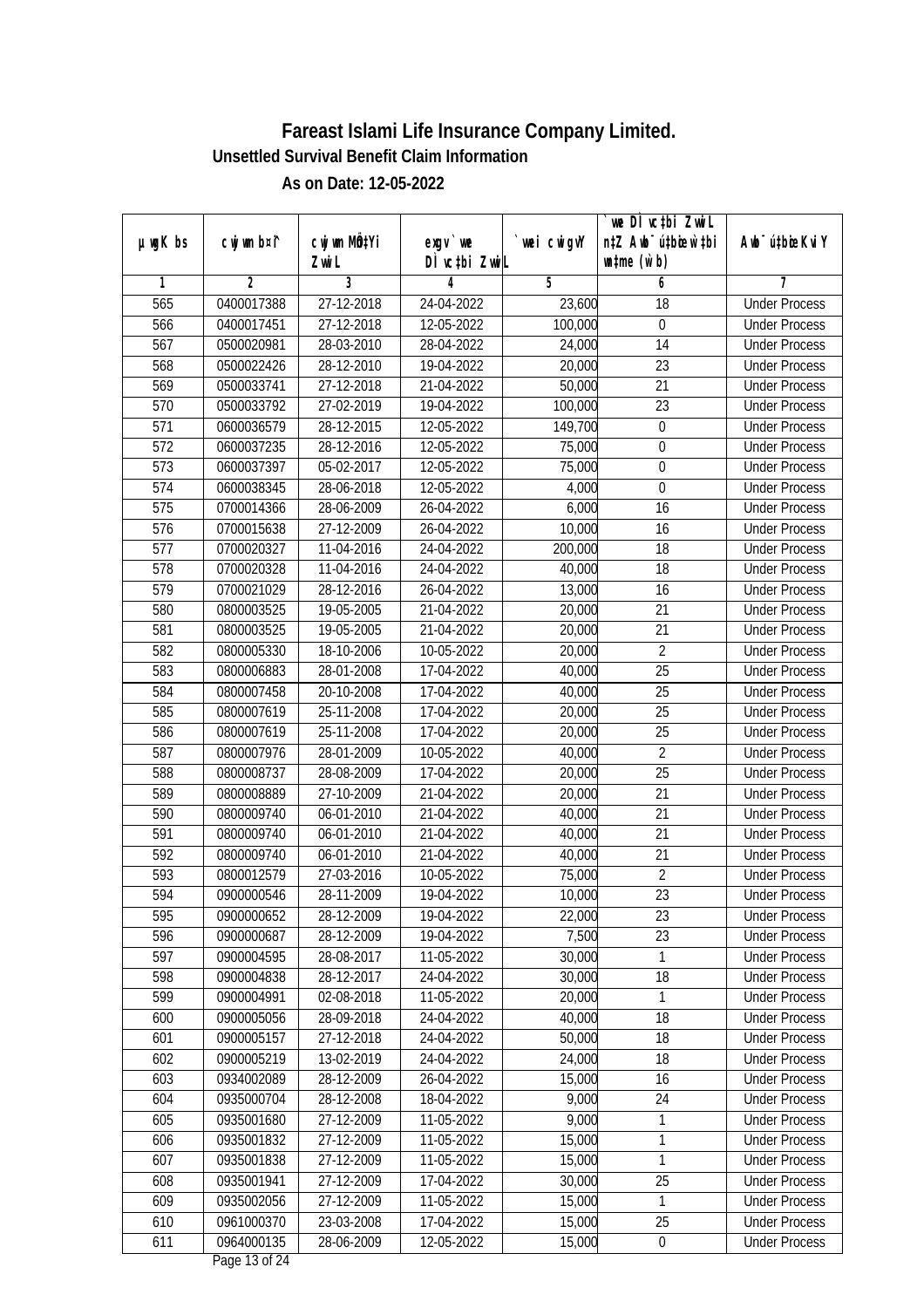| $µ$ ug $K$ bs | cwj wm b¤i^ | cwj wm MQtYi | $exgV$ we     | `wei cwigvY | we DI vctbi ZwiL<br>n‡Z Awb <sup>-</sup> ú‡bioar`‡bi | Awb <sup>-</sup> ú‡bioeKviY |
|---------------|-------------|--------------|---------------|-------------|------------------------------------------------------|-----------------------------|
|               |             | Zwi L        | DÌ vctbi ZwiL |             | $\n  untime\n  (u`b)\n$                              |                             |
| 1             | 2           | 3            | 4             | 5           | 6                                                    | 7                           |
| 565           | 0400017388  | 27-12-2018   | 24-04-2022    | 23,600      | 18                                                   | <b>Under Process</b>        |
| 566           | 0400017451  | 27-12-2018   | 12-05-2022    | 100,000     | $\boldsymbol{0}$                                     | <b>Under Process</b>        |
| 567           | 0500020981  | 28-03-2010   | 28-04-2022    | 24,000      | 14                                                   | <b>Under Process</b>        |
| 568           | 0500022426  | 28-12-2010   | 19-04-2022    | 20,000      | $\overline{23}$                                      | <b>Under Process</b>        |
| 569           | 0500033741  | 27-12-2018   | 21-04-2022    | 50,000      | $\overline{21}$                                      | <b>Under Process</b>        |
| 570           | 0500033792  | 27-02-2019   | 19-04-2022    | 100,000     | $\overline{23}$                                      | <b>Under Process</b>        |
| 571           | 0600036579  | 28-12-2015   | 12-05-2022    | 149,700     | $\boldsymbol{0}$                                     | <b>Under Process</b>        |
| 572           | 0600037235  | 28-12-2016   | 12-05-2022    | 75,000      | $\overline{0}$                                       | <b>Under Process</b>        |
| 573           | 0600037397  | 05-02-2017   | 12-05-2022    | 75,000      | $\boldsymbol{0}$                                     | <b>Under Process</b>        |
| 574           | 0600038345  | 28-06-2018   | 12-05-2022    | 4,000       | $\boldsymbol{0}$                                     | <b>Under Process</b>        |
| 575           | 0700014366  | 28-06-2009   | 26-04-2022    | 6,000       | 16                                                   | <b>Under Process</b>        |
| 576           | 0700015638  | 27-12-2009   | 26-04-2022    | 10,000      | 16                                                   | <b>Under Process</b>        |
| 577           | 0700020327  | 11-04-2016   | 24-04-2022    | 200,000     | 18                                                   | <b>Under Process</b>        |
| 578           | 0700020328  | 11-04-2016   | 24-04-2022    | 40,000      | 18                                                   | <b>Under Process</b>        |
| 579           | 0700021029  | 28-12-2016   | 26-04-2022    | 13,000      | 16                                                   | <b>Under Process</b>        |
| 580           | 0800003525  | 19-05-2005   | 21-04-2022    | 20,000      | 21                                                   | <b>Under Process</b>        |
| 581           | 0800003525  | 19-05-2005   | 21-04-2022    | 20,000      | 21                                                   | <b>Under Process</b>        |
| 582           | 0800005330  | 18-10-2006   | 10-05-2022    | 20,000      | $\overline{2}$                                       | <b>Under Process</b>        |
| 583           | 0800006883  | 28-01-2008   | 17-04-2022    | 40,000      | 25                                                   | <b>Under Process</b>        |
| 584           | 0800007458  | 20-10-2008   | 17-04-2022    | 40,000      | 25                                                   | <b>Under Process</b>        |
| 585           | 0800007619  | 25-11-2008   | 17-04-2022    | 20,000      | 25                                                   | <b>Under Process</b>        |
| 586           | 0800007619  | 25-11-2008   | 17-04-2022    | 20,000      | 25                                                   | <b>Under Process</b>        |
| 587           | 0800007976  | 28-01-2009   | 10-05-2022    | 40,000      | $\overline{2}$                                       | <b>Under Process</b>        |
| 588           | 0800008737  | 28-08-2009   | 17-04-2022    | 20,000      | 25                                                   | <b>Under Process</b>        |
| 589           | 0800008889  | 27-10-2009   | 21-04-2022    | 20,000      | 21                                                   | <b>Under Process</b>        |
| 590           | 0800009740  | 06-01-2010   | 21-04-2022    | 40,000      | 21                                                   | <b>Under Process</b>        |
| 591           | 0800009740  | 06-01-2010   | 21-04-2022    | 40,000      | 21                                                   | <b>Under Process</b>        |
| 592           | 0800009740  | 06-01-2010   | 21-04-2022    | 40,000      | 21                                                   | <b>Under Process</b>        |
| 593           | 0800012579  | 27-03-2016   | 10-05-2022    | 75,000      | $\overline{2}$                                       | <b>Under Process</b>        |
| 594           | 0900000546  | 28-11-2009   | 19-04-2022    | 10,000      | 23                                                   | <b>Under Process</b>        |
| 595           | 0900000652  | 28-12-2009   | 19-04-2022    | 22,000      | 23                                                   | <b>Under Process</b>        |
| 596           | 0900000687  | 28-12-2009   | 19-04-2022    | 7,500       | 23                                                   | <b>Under Process</b>        |
| 597           | 0900004595  | 28-08-2017   | 11-05-2022    | 30,000      | 1                                                    | <b>Under Process</b>        |
| 598           | 0900004838  | 28-12-2017   | 24-04-2022    | 30,000      | 18                                                   | <b>Under Process</b>        |
| 599           | 0900004991  | 02-08-2018   | 11-05-2022    | 20,000      | $\mathbf{1}$                                         | <b>Under Process</b>        |
| 600           | 0900005056  | 28-09-2018   | 24-04-2022    | 40,000      | 18                                                   | <b>Under Process</b>        |
| 601           | 0900005157  | 27-12-2018   | 24-04-2022    | 50,000      | 18                                                   | <b>Under Process</b>        |
| 602           | 0900005219  | 13-02-2019   | 24-04-2022    | 24,000      | 18                                                   | <b>Under Process</b>        |
| 603           | 0934002089  | 28-12-2009   | 26-04-2022    | 15,000      | 16                                                   | <b>Under Process</b>        |
| 604           | 0935000704  | 28-12-2008   | 18-04-2022    | 9,000       | 24                                                   | <b>Under Process</b>        |
| 605           | 0935001680  | 27-12-2009   | 11-05-2022    | 9,000       | $\mathbf{1}$                                         | <b>Under Process</b>        |
| 606           | 0935001832  | 27-12-2009   | 11-05-2022    | 15,000      | 1                                                    | <b>Under Process</b>        |
| 607           | 0935001838  | 27-12-2009   | 11-05-2022    | 15,000      | 1                                                    | <b>Under Process</b>        |
| 608           | 0935001941  | 27-12-2009   | 17-04-2022    | 30,000      | $\overline{25}$                                      | <b>Under Process</b>        |
| 609           | 0935002056  | 27-12-2009   | 11-05-2022    | 15,000      | $\mathbf{1}$                                         | <b>Under Process</b>        |
| 610           | 0961000370  | 23-03-2008   | 17-04-2022    | 15,000      | 25                                                   | <b>Under Process</b>        |
| 611           | 0964000135  | 28-06-2009   | 12-05-2022    | 15,000      | $\pmb{0}$                                            | <b>Under Process</b>        |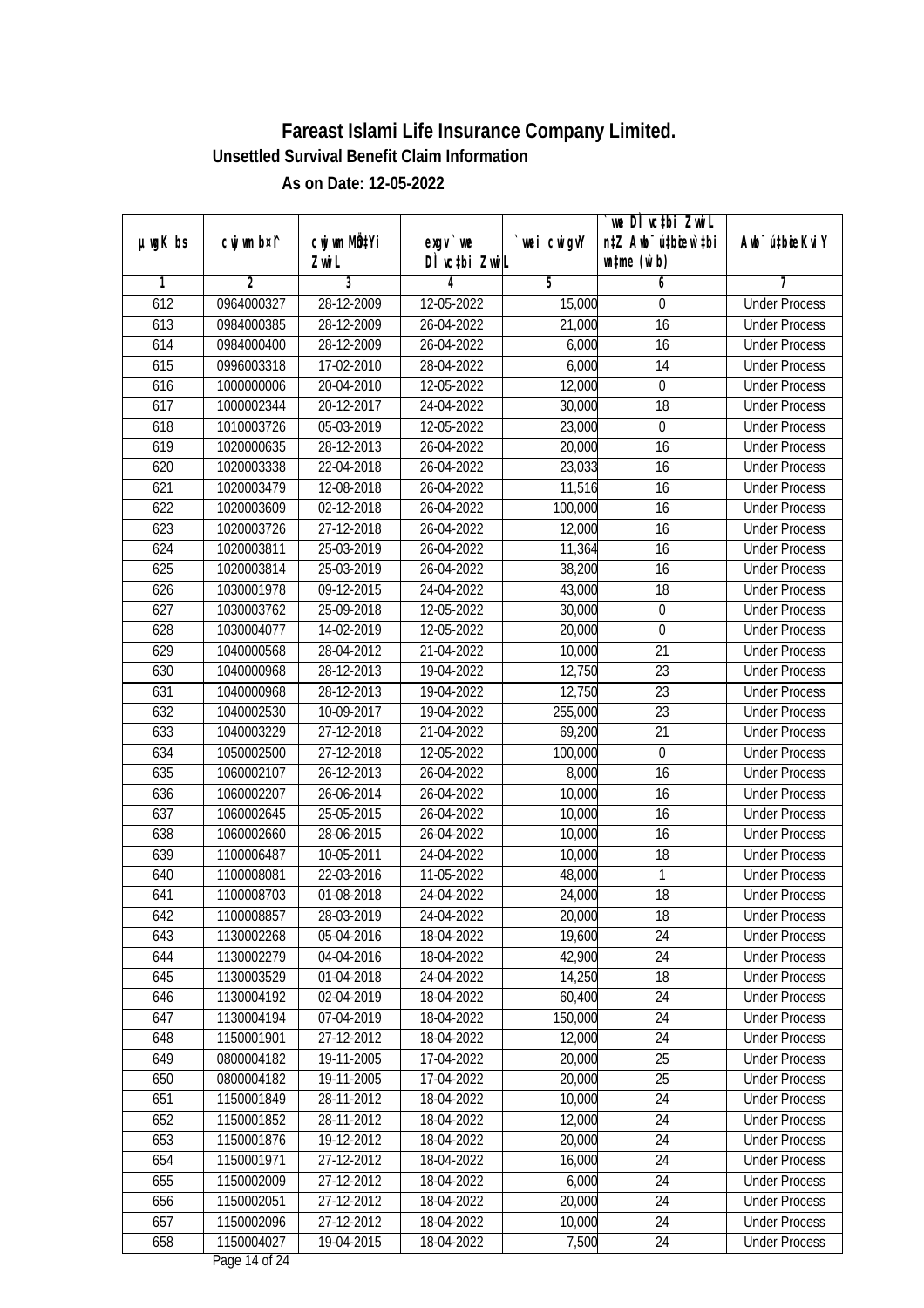|               |             |              |               |             | we DI vctbi ZwiL                 |                             |
|---------------|-------------|--------------|---------------|-------------|----------------------------------|-----------------------------|
| $µ$ ug $K$ bs | cwj wm b¤i^ | cwj wm MQtYi | $exqu$ we     | `wei cwigvY | n‡Z Awb <sup>-</sup> ú‡bioar`‡bi | Awb <sup>-</sup> ú‡bioeKviY |
|               |             | Zwi L        | DÌ vctbi ZwiL |             | $\n  untime\n  (u`b)\n$          |                             |
| 1             | 2           | 3            | 4             | 5           | 6                                | 7                           |
| 612           | 0964000327  | 28-12-2009   | 12-05-2022    | 15,000      | 0                                | <b>Under Process</b>        |
| 613           | 0984000385  | 28-12-2009   | 26-04-2022    | 21,000      | 16                               | <b>Under Process</b>        |
| 614           | 0984000400  | 28-12-2009   | 26-04-2022    | 6,000       | 16                               | <b>Under Process</b>        |
| 615           | 0996003318  | 17-02-2010   | 28-04-2022    | 6,000       | 14                               | <b>Under Process</b>        |
| 616           | 1000000006  | 20-04-2010   | 12-05-2022    | 12,000      | $\boldsymbol{0}$                 | <b>Under Process</b>        |
| 617           | 1000002344  | 20-12-2017   | 24-04-2022    | 30,000      | $\overline{18}$                  | <b>Under Process</b>        |
| 618           | 1010003726  | 05-03-2019   | 12-05-2022    | 23,000      | $\mathbf 0$                      | <b>Under Process</b>        |
| 619           | 1020000635  | 28-12-2013   | 26-04-2022    | 20,000      | $\overline{16}$                  | <b>Under Process</b>        |
| 620           | 1020003338  | 22-04-2018   | 26-04-2022    | 23,033      | 16                               | <b>Under Process</b>        |
| 621           | 1020003479  | 12-08-2018   | 26-04-2022    | 11,516      | 16                               | <b>Under Process</b>        |
| 622           | 1020003609  | 02-12-2018   | 26-04-2022    | 100,000     | $\overline{16}$                  | <b>Under Process</b>        |
| 623           | 1020003726  | 27-12-2018   | 26-04-2022    | 12,000      | 16                               | <b>Under Process</b>        |
| 624           | 1020003811  | 25-03-2019   | 26-04-2022    | 11,364      | 16                               | <b>Under Process</b>        |
| 625           | 1020003814  | 25-03-2019   | 26-04-2022    | 38,200      | 16                               | <b>Under Process</b>        |
| 626           | 1030001978  | 09-12-2015   | 24-04-2022    | 43,000      | 18                               | <b>Under Process</b>        |
| 627           | 1030003762  | 25-09-2018   | 12-05-2022    | 30,000      | $\mathbf 0$                      | <b>Under Process</b>        |
| 628           | 1030004077  | 14-02-2019   | 12-05-2022    | 20,000      | $\mathbf 0$                      | <b>Under Process</b>        |
| 629           | 1040000568  | 28-04-2012   | 21-04-2022    | 10,000      | 21                               | <b>Under Process</b>        |
| 630           | 1040000968  | 28-12-2013   | 19-04-2022    | 12,750      | 23                               | <b>Under Process</b>        |
| 631           | 1040000968  | 28-12-2013   | 19-04-2022    | 12,750      | 23                               | <b>Under Process</b>        |
| 632           | 1040002530  | 10-09-2017   | 19-04-2022    | 255,000     | 23                               | <b>Under Process</b>        |
| 633           | 1040003229  | 27-12-2018   | 21-04-2022    | 69,200      | 21                               | <b>Under Process</b>        |
| 634           | 1050002500  | 27-12-2018   | 12-05-2022    | 100,000     | 0                                | <b>Under Process</b>        |
| 635           | 1060002107  | 26-12-2013   | 26-04-2022    | 8,000       | 16                               | <b>Under Process</b>        |
| 636           | 1060002207  | 26-06-2014   | 26-04-2022    | 10,000      | 16                               | <b>Under Process</b>        |
| 637           | 1060002645  | 25-05-2015   | 26-04-2022    | 10,000      | 16                               | <b>Under Process</b>        |
| 638           | 1060002660  | 28-06-2015   | 26-04-2022    | 10,000      | 16                               | <b>Under Process</b>        |
| 639           | 1100006487  | 10-05-2011   | 24-04-2022    | 10,000      | 18                               | <b>Under Process</b>        |
| 640           | 1100008081  | 22-03-2016   | 11-05-2022    | 48,000      | 1                                | <b>Under Process</b>        |
| 641           | 1100008703  | 01-08-2018   | 24-04-2022    | 24,000      | 18                               | <b>Under Process</b>        |
| 642           | 1100008857  | 28-03-2019   | 24-04-2022    | 20,000      | 18                               | <b>Under Process</b>        |
| 643           | 1130002268  | 05-04-2016   | 18-04-2022    | 19,600      | 24                               | <b>Under Process</b>        |
| 644           | 1130002279  | 04-04-2016   | 18-04-2022    | 42,900      | 24                               | <b>Under Process</b>        |
| 645           | 1130003529  | 01-04-2018   | 24-04-2022    | 14,250      | 18                               | <b>Under Process</b>        |
| 646           | 1130004192  | 02-04-2019   | 18-04-2022    | 60,400      | 24                               | <b>Under Process</b>        |
| 647           | 1130004194  | 07-04-2019   | 18-04-2022    | 150,000     | 24                               | <b>Under Process</b>        |
| 648           | 1150001901  | 27-12-2012   | 18-04-2022    | 12,000      | 24                               | <b>Under Process</b>        |
| 649           | 0800004182  | 19-11-2005   | 17-04-2022    | 20,000      | 25                               | <b>Under Process</b>        |
| 650           | 0800004182  | 19-11-2005   | 17-04-2022    | 20,000      | 25                               | <b>Under Process</b>        |
| 651           | 1150001849  | 28-11-2012   | 18-04-2022    | 10,000      | 24                               | <b>Under Process</b>        |
| 652           | 1150001852  | 28-11-2012   | 18-04-2022    | 12,000      | 24                               | <b>Under Process</b>        |
| 653           | 1150001876  | 19-12-2012   | 18-04-2022    | 20,000      | 24                               | <b>Under Process</b>        |
| 654           | 1150001971  | 27-12-2012   | $18-04-2022$  | 16,000      | $\overline{24}$                  | <b>Under Process</b>        |
| 655           | 1150002009  | 27-12-2012   | 18-04-2022    | 6,000       | 24                               | <b>Under Process</b>        |
| 656           | 1150002051  | 27-12-2012   | 18-04-2022    | 20,000      | 24                               | <b>Under Process</b>        |
| 657           | 1150002096  | 27-12-2012   | 18-04-2022    | 10,000      | 24                               | <b>Under Process</b>        |
| 658           | 1150004027  | 19-04-2015   | 18-04-2022    | 7,500       | 24                               | <b>Under Process</b>        |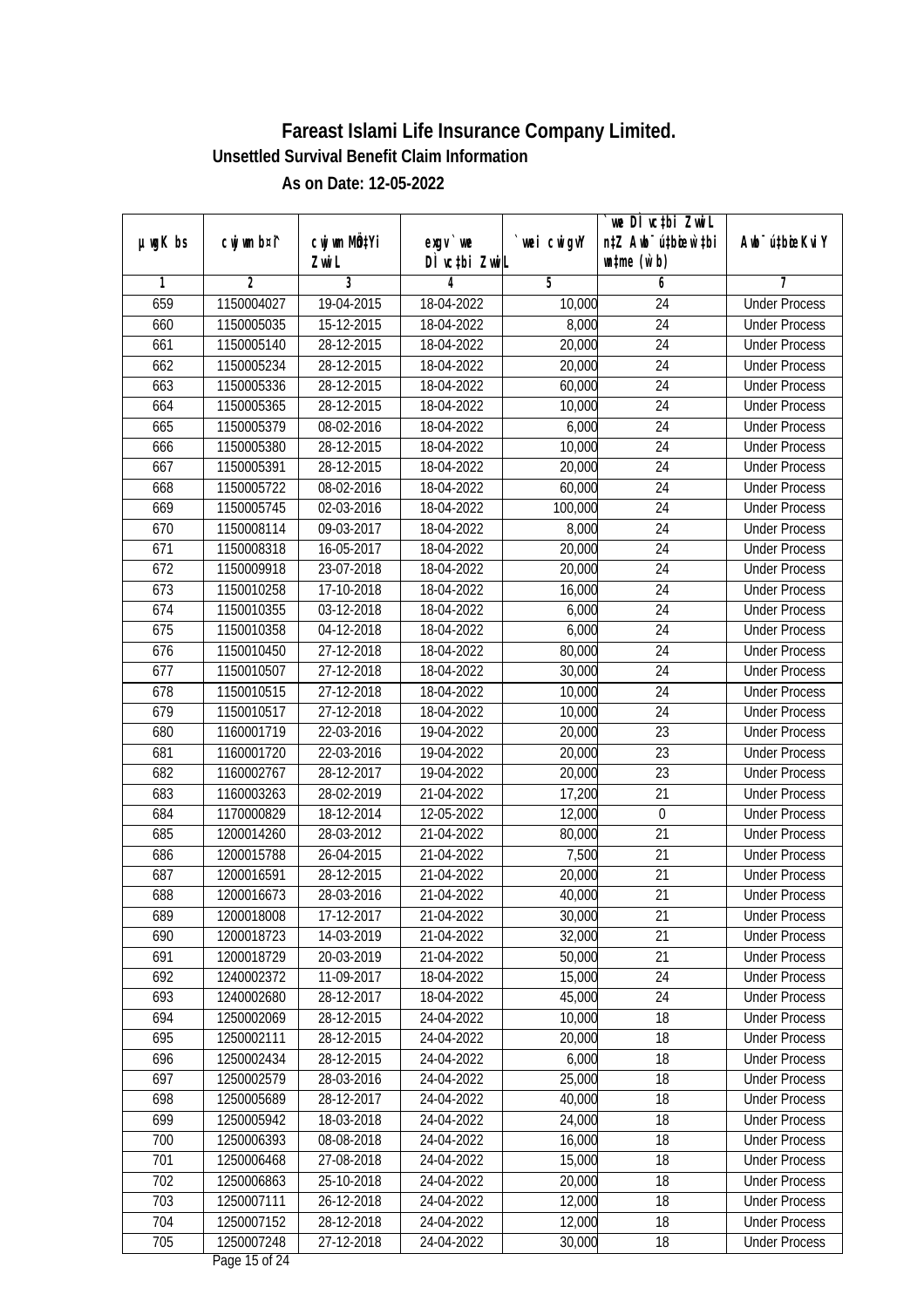|               |                |              |               |            | we DÌ vc‡bi ZwiL                 |                             |
|---------------|----------------|--------------|---------------|------------|----------------------------------|-----------------------------|
| $µ$ ug $K$ bs | cwj wm b¤i^    | cwj wm MQtYi | $exqu$ we     | wei cwigvY | n‡Z Awb <sup>-</sup> ú‡bioen`‡bi | Awb <sup>-</sup> ú‡bioeKviY |
|               |                | Zwi L        | DÌ vctbi ZwiL |            | $\n  untime\n  (u`b)\n$          |                             |
| 1             | $\overline{2}$ | 3            | 4             | 5          | 6                                | 7                           |
| 659           | 1150004027     | 19-04-2015   | 18-04-2022    | 10,000     | 24                               | <b>Under Process</b>        |
| 660           | 1150005035     | 15-12-2015   | 18-04-2022    | 8,000      | $\overline{24}$                  | <b>Under Process</b>        |
| 661           | 1150005140     | 28-12-2015   | 18-04-2022    | 20,000     | 24                               | <b>Under Process</b>        |
| 662           | 1150005234     | 28-12-2015   | 18-04-2022    | 20,000     | $\overline{24}$                  | <b>Under Process</b>        |
| 663           | 1150005336     | 28-12-2015   | 18-04-2022    | 60,000     | $\overline{24}$                  | <b>Under Process</b>        |
| 664           | 1150005365     | 28-12-2015   | 18-04-2022    | 10,000     | $\overline{24}$                  | <b>Under Process</b>        |
| 665           | 1150005379     | 08-02-2016   | 18-04-2022    | 6,000      | $\overline{24}$                  | <b>Under Process</b>        |
| 666           | 1150005380     | 28-12-2015   | 18-04-2022    | 10,000     | $\overline{24}$                  | <b>Under Process</b>        |
| 667           | 1150005391     | 28-12-2015   | 18-04-2022    | 20,000     | 24                               | <b>Under Process</b>        |
| 668           | 1150005722     | 08-02-2016   | 18-04-2022    | 60,000     | 24                               | <b>Under Process</b>        |
| 669           | 1150005745     | 02-03-2016   | 18-04-2022    | 100,000    | $\overline{24}$                  | <b>Under Process</b>        |
| 670           | 1150008114     | 09-03-2017   | 18-04-2022    | 8,000      | 24                               | <b>Under Process</b>        |
| 671           | 1150008318     | 16-05-2017   | 18-04-2022    | 20,000     | 24                               | <b>Under Process</b>        |
| 672           | 1150009918     | 23-07-2018   | 18-04-2022    | 20,000     | 24                               | <b>Under Process</b>        |
| 673           | 1150010258     | 17-10-2018   | 18-04-2022    | 16,000     | 24                               | <b>Under Process</b>        |
| 674           | 1150010355     | 03-12-2018   | 18-04-2022    | 6,000      | 24                               | <b>Under Process</b>        |
| 675           | 1150010358     | 04-12-2018   | 18-04-2022    | 6,000      | 24                               | <b>Under Process</b>        |
| 676           | 1150010450     | 27-12-2018   | 18-04-2022    | 80,000     | 24                               | <b>Under Process</b>        |
| 677           | 1150010507     | 27-12-2018   | 18-04-2022    | 30,000     | 24                               | <b>Under Process</b>        |
| 678           | 1150010515     | 27-12-2018   | 18-04-2022    | 10,000     | 24                               | <b>Under Process</b>        |
| 679           | 1150010517     | 27-12-2018   | 18-04-2022    | 10,000     | 24                               | <b>Under Process</b>        |
| 680           | 1160001719     | 22-03-2016   | 19-04-2022    | 20,000     | 23                               | <b>Under Process</b>        |
| 681           | 1160001720     | 22-03-2016   | 19-04-2022    | 20,000     | 23                               | <b>Under Process</b>        |
| 682           | 1160002767     | 28-12-2017   | 19-04-2022    | 20,000     | 23                               | <b>Under Process</b>        |
| 683           | 1160003263     | 28-02-2019   | 21-04-2022    | 17,200     | 21                               | <b>Under Process</b>        |
| 684           | 1170000829     | 18-12-2014   | 12-05-2022    | 12,000     | $\mathbf 0$                      | <b>Under Process</b>        |
| 685           | 1200014260     | 28-03-2012   | 21-04-2022    | 80,000     | 21                               | <b>Under Process</b>        |
| 686           | 1200015788     | 26-04-2015   | 21-04-2022    | 7,500      | 21                               | <b>Under Process</b>        |
| 687           | 1200016591     | 28-12-2015   | 21-04-2022    | 20,000     | 21                               | <b>Under Process</b>        |
| 688           | 1200016673     | 28-03-2016   | 21-04-2022    | 40,000     | 21                               | <b>Under Process</b>        |
| 689           | 1200018008     | 17-12-2017   | 21-04-2022    | 30,000     | 21                               | <b>Under Process</b>        |
| 690           | 1200018723     | 14-03-2019   | 21-04-2022    | 32,000     | 21                               | <b>Under Process</b>        |
| 691           | 1200018729     | 20-03-2019   | 21-04-2022    | 50,000     | 21                               | <b>Under Process</b>        |
| 692           | 1240002372     | 11-09-2017   | 18-04-2022    | 15,000     | 24                               | <b>Under Process</b>        |
| 693           | 1240002680     | 28-12-2017   | 18-04-2022    | 45,000     | 24                               | <b>Under Process</b>        |
| 694           | 1250002069     | 28-12-2015   | 24-04-2022    | 10,000     | 18                               | <b>Under Process</b>        |
| 695           | 1250002111     | 28-12-2015   | 24-04-2022    | 20,000     | 18                               | <b>Under Process</b>        |
| 696           | 1250002434     | 28-12-2015   | 24-04-2022    | 6,000      | 18                               | <b>Under Process</b>        |
| 697           | 1250002579     | 28-03-2016   | 24-04-2022    | 25,000     | 18                               | <b>Under Process</b>        |
| 698           | 1250005689     | 28-12-2017   | 24-04-2022    | 40,000     | 18                               | <b>Under Process</b>        |
| 699           | 1250005942     | 18-03-2018   | 24-04-2022    | 24,000     | 18                               | <b>Under Process</b>        |
| 700           | 1250006393     | 08-08-2018   | 24-04-2022    | 16,000     | 18                               | <b>Under Process</b>        |
| 701           | 1250006468     | 27-08-2018   | 24-04-2022    | 15,000     | $\overline{18}$                  | <b>Under Process</b>        |
| 702           | 1250006863     | 25-10-2018   | 24-04-2022    | 20,000     | 18                               | <b>Under Process</b>        |
| 703           | 1250007111     | 26-12-2018   | 24-04-2022    | 12,000     | 18                               | <b>Under Process</b>        |
| 704           | 1250007152     | 28-12-2018   | 24-04-2022    | 12,000     | 18                               | <b>Under Process</b>        |
| 705           | 1250007248     | 27-12-2018   | 24-04-2022    | 30,000     | 18                               | <b>Under Process</b>        |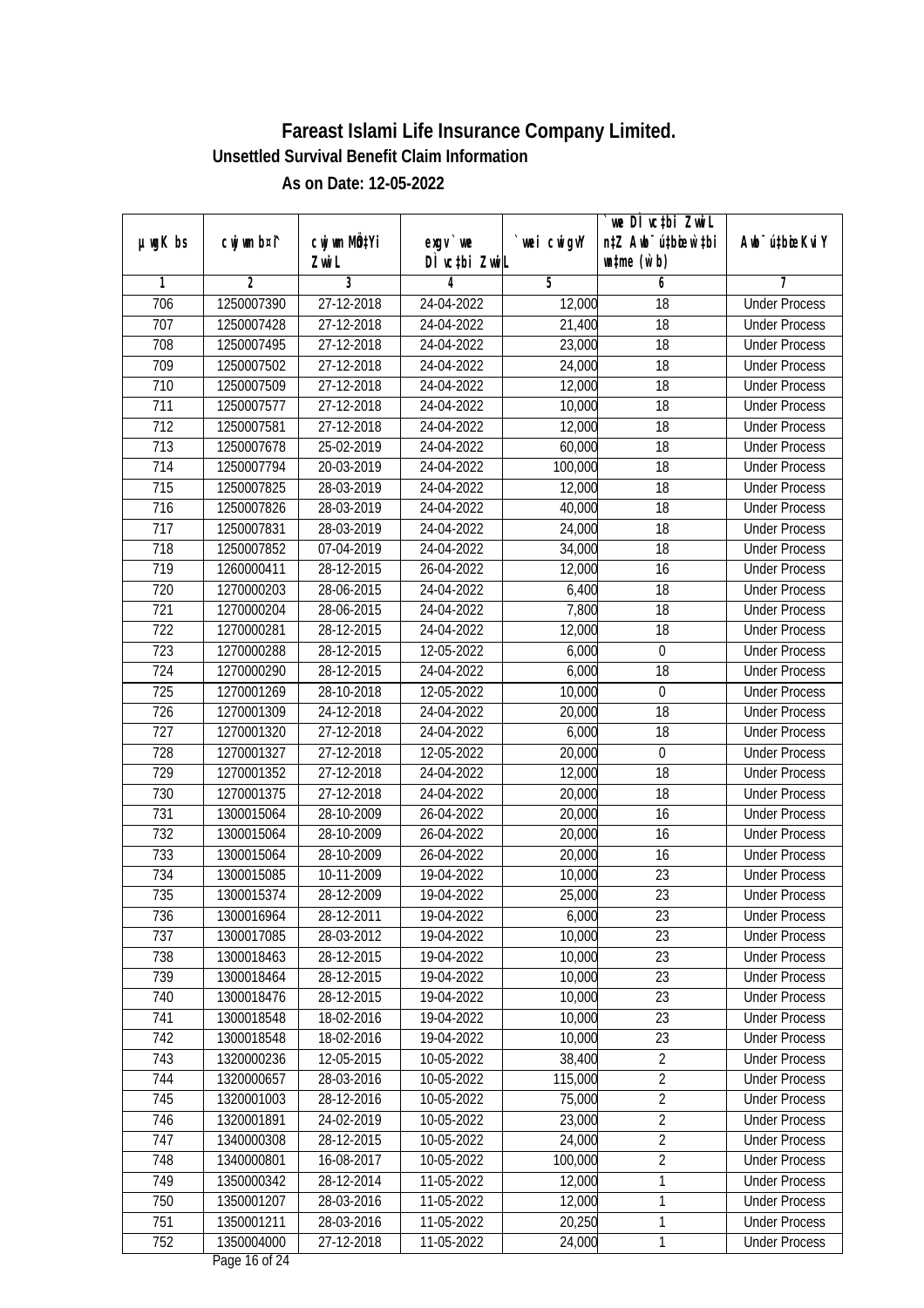|                  |                |                  |               |            | we DI vctbi Zwil                 |                             |
|------------------|----------------|------------------|---------------|------------|----------------------------------|-----------------------------|
| $µ$ ug $K$ bs    | cwj wm b¤i^    | cwj wm MQtYi     | $exqu$ we     | wei cwigvY | n‡Z Awb <sup>-</sup> ú‡bioar`‡bi | Awb <sup>-</sup> ú‡bioeKviY |
|                  |                | Zwi L            | DÌ vctbi ZwiL |            | $\n  untime\n  (u`b)\n$          |                             |
| 1                | $\overline{2}$ | 3                | 4             | 5          | 6                                | 7                           |
| 706              | 1250007390     | 27-12-2018       | 24-04-2022    | 12,000     | $\overline{18}$                  | <b>Under Process</b>        |
| 707              | 1250007428     | 27-12-2018       | 24-04-2022    | 21,400     | 18                               | <b>Under Process</b>        |
| 708              | 1250007495     | 27-12-2018       | 24-04-2022    | 23,000     | $\overline{18}$                  | <b>Under Process</b>        |
| 709              | 1250007502     | 27-12-2018       | 24-04-2022    | 24,000     | 18                               | <b>Under Process</b>        |
| 710              | 1250007509     | 27-12-2018       | 24-04-2022    | 12,000     | $\overline{18}$                  | <b>Under Process</b>        |
| $\overline{711}$ | 1250007577     | 27-12-2018       | 24-04-2022    | 10,000     | $\overline{18}$                  | <b>Under Process</b>        |
| $\overline{712}$ | 1250007581     | 27-12-2018       | 24-04-2022    | 12,000     | 18                               | <b>Under Process</b>        |
| 713              | 1250007678     | 25-02-2019       | 24-04-2022    | 60,000     | 18                               | <b>Under Process</b>        |
| 714              | 1250007794     | 20-03-2019       | 24-04-2022    | 100,000    | 18                               | <b>Under Process</b>        |
| 715              | 1250007825     | 28-03-2019       | 24-04-2022    | 12,000     | 18                               | <b>Under Process</b>        |
| 716              | 1250007826     | 28-03-2019       | 24-04-2022    | 40,000     | $\overline{18}$                  | <b>Under Process</b>        |
| 717              | 1250007831     | 28-03-2019       | 24-04-2022    | 24,000     | 18                               | <b>Under Process</b>        |
| 718              | 1250007852     | 07-04-2019       | 24-04-2022    | 34,000     | $\overline{18}$                  | <b>Under Process</b>        |
| 719              | 1260000411     | 28-12-2015       | 26-04-2022    | 12,000     | 16                               | <b>Under Process</b>        |
| 720              | 1270000203     | 28-06-2015       | 24-04-2022    | 6,400      | 18                               | <b>Under Process</b>        |
| 721              | 1270000204     | 28-06-2015       | 24-04-2022    | 7,800      | 18                               | <b>Under Process</b>        |
| 722              | 1270000281     | 28-12-2015       | 24-04-2022    | 12,000     | 18                               | <b>Under Process</b>        |
| 723              | 1270000288     | 28-12-2015       | 12-05-2022    | 6,000      | $\boldsymbol{0}$                 | <b>Under Process</b>        |
| 724              | 1270000290     | 28-12-2015       | 24-04-2022    | 6,000      | 18                               | <b>Under Process</b>        |
| 725              | 1270001269     | 28-10-2018       | 12-05-2022    | 10,000     | $\pmb{0}$                        | <b>Under Process</b>        |
| 726              | 1270001309     | 24-12-2018       | 24-04-2022    | 20,000     | 18                               | <b>Under Process</b>        |
| 727              | 1270001320     | 27-12-2018       | 24-04-2022    | 6,000      | 18                               | <b>Under Process</b>        |
| 728              | 1270001327     | 27-12-2018       | 12-05-2022    | 20,000     | $\boldsymbol{0}$                 | <b>Under Process</b>        |
| 729              | 1270001352     | 27-12-2018       | 24-04-2022    | 12,000     | 18                               | <b>Under Process</b>        |
| 730              | 1270001375     | 27-12-2018       | 24-04-2022    | 20,000     | 18                               | <b>Under Process</b>        |
| 731              | 1300015064     | 28-10-2009       | 26-04-2022    | 20,000     | 16                               | <b>Under Process</b>        |
| 732              | 1300015064     | 28-10-2009       | 26-04-2022    | 20,000     | 16                               | <b>Under Process</b>        |
| 733              | 1300015064     | 28-10-2009       | 26-04-2022    | 20,000     | 16                               | <b>Under Process</b>        |
| 734              | 1300015085     | 10-11-2009       | 19-04-2022    | 10,000     | 23                               | <b>Under Process</b>        |
| 735              | 1300015374     | 28-12-2009       | 19-04-2022    | 25,000     | 23                               | <b>Under Process</b>        |
| 736              | 1300016964     | 28-12-2011       | 19-04-2022    | 6,000      | 23                               | <b>Under Process</b>        |
| 737              | 1300017085     | 28-03-2012       | 19-04-2022    | 10,000     | 23                               | <b>Under Process</b>        |
| 738              | 1300018463     | 28-12-2015       | 19-04-2022    | 10,000     | 23                               | <b>Under Process</b>        |
| 739              | 1300018464     | 28-12-2015       | 19-04-2022    | 10,000     | 23                               | <b>Under Process</b>        |
| 740              | 1300018476     | 28-12-2015       | 19-04-2022    | 10,000     | 23                               | <b>Under Process</b>        |
| 741              | 1300018548     | 18-02-2016       | 19-04-2022    | 10,000     | 23                               | <b>Under Process</b>        |
| 742              | 1300018548     | 18-02-2016       | 19-04-2022    | 10,000     | 23                               | <b>Under Process</b>        |
| 743              | 1320000236     | $12 - 05 - 2015$ | 10-05-2022    | 38,400     | $\overline{2}$                   | <b>Under Process</b>        |
| 744              | 1320000657     | 28-03-2016       | 10-05-2022    | 115,000    | $\overline{2}$                   | <b>Under Process</b>        |
| 745              | 1320001003     | 28-12-2016       | 10-05-2022    | 75,000     | $\overline{2}$                   | <b>Under Process</b>        |
| 746              | 1320001891     | 24-02-2019       | 10-05-2022    | 23,000     | $\overline{2}$                   | <b>Under Process</b>        |
| 747              | 1340000308     | 28-12-2015       | 10-05-2022    | 24,000     | $\overline{2}$                   | <b>Under Process</b>        |
| 748              | 1340000801     | 16-08-2017       | 10-05-2022    | 100,000    | $\overline{2}$                   | <b>Under Process</b>        |
| 749              | 1350000342     | $28-12-2014$     | 11-05-2022    | 12,000     | $\mathbf{1}$                     | <b>Under Process</b>        |
| 750              | 1350001207     | 28-03-2016       | 11-05-2022    | 12,000     | $\mathbf{1}$                     | <b>Under Process</b>        |
| 751              | 1350001211     | 28-03-2016       | 11-05-2022    | 20,250     | $\mathbf{1}$                     | <b>Under Process</b>        |
| 752              | 1350004000     | 27-12-2018       | 11-05-2022    | 24,000     | 1                                | <b>Under Process</b>        |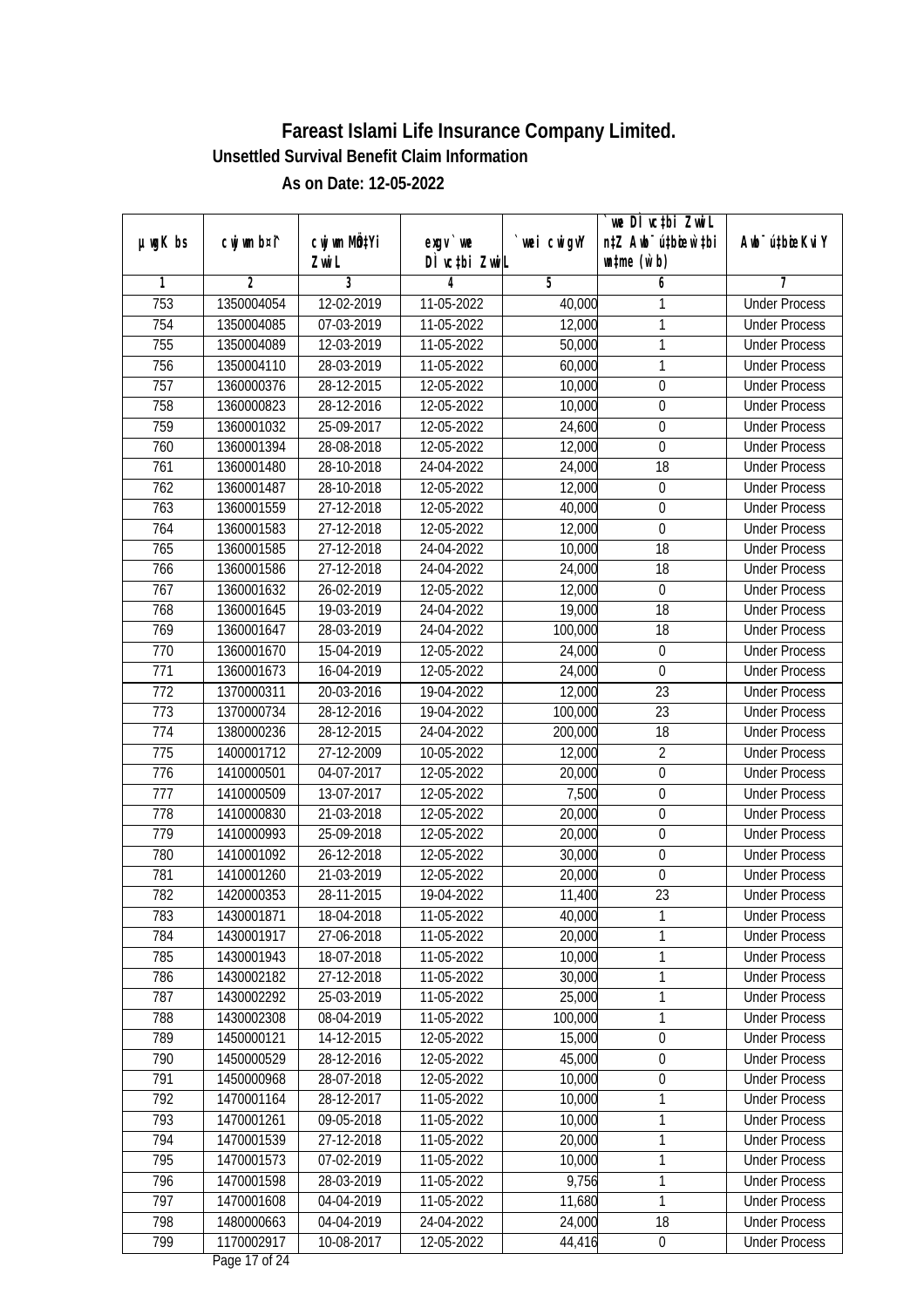|               |                |              |               |            | we DÌ vc‡bi ZwiL                 |                             |
|---------------|----------------|--------------|---------------|------------|----------------------------------|-----------------------------|
| $µ$ ug $K$ bs | cwj wm b¤i^    | cwj wm MQtYi | $exqu$ we     | wei cwigvY | n‡Z Awb <sup>-</sup> ú‡biosw`‡bi | Awb <sup>-</sup> ú‡bioeKviY |
|               |                | Zwi L        | DÌ vctbi ZwiL |            | $\n  untime\n  (u`b)\n$          |                             |
| 1             | $\overline{2}$ | 3            | 4             | 5          | 6                                | 7                           |
| 753           | 1350004054     | 12-02-2019   | 11-05-2022    | 40,000     | 1                                | <b>Under Process</b>        |
| 754           | 1350004085     | 07-03-2019   | 11-05-2022    | 12,000     | 1                                | <b>Under Process</b>        |
| 755           | 1350004089     | 12-03-2019   | 11-05-2022    | 50,000     | $\mathbf{1}$                     | <b>Under Process</b>        |
| 756           | 1350004110     | 28-03-2019   | 11-05-2022    | 60,000     | $\mathbf{1}$                     | <b>Under Process</b>        |
| 757           | 1360000376     | 28-12-2015   | 12-05-2022    | 10,000     | 0                                | <b>Under Process</b>        |
| 758           | 1360000823     | 28-12-2016   | 12-05-2022    | 10,000     | 0                                | <b>Under Process</b>        |
| 759           | 1360001032     | 25-09-2017   | 12-05-2022    | 24,600     | $\boldsymbol{0}$                 | <b>Under Process</b>        |
| 760           | 1360001394     | 28-08-2018   | 12-05-2022    | 12,000     | $\overline{0}$                   | <b>Under Process</b>        |
| 761           | 1360001480     | 28-10-2018   | 24-04-2022    | 24,000     | 18                               | <b>Under Process</b>        |
| 762           | 1360001487     | 28-10-2018   | 12-05-2022    | 12,000     | $\boldsymbol{0}$                 | <b>Under Process</b>        |
| 763           | 1360001559     | 27-12-2018   | 12-05-2022    | 40,000     | 0                                | <b>Under Process</b>        |
| 764           | 1360001583     | 27-12-2018   | 12-05-2022    | 12,000     | $\mathbf 0$                      | <b>Under Process</b>        |
| 765           | 1360001585     | 27-12-2018   | 24-04-2022    | 10,000     | 18                               | <b>Under Process</b>        |
| 766           | 1360001586     | 27-12-2018   | 24-04-2022    | 24,000     | 18                               | <b>Under Process</b>        |
| 767           | 1360001632     | 26-02-2019   | 12-05-2022    | 12,000     | $\mathbf 0$                      | <b>Under Process</b>        |
| 768           | 1360001645     | 19-03-2019   | 24-04-2022    | 19,000     | 18                               | <b>Under Process</b>        |
| 769           | 1360001647     | 28-03-2019   | 24-04-2022    | 100,000    | 18                               | <b>Under Process</b>        |
| 770           | 1360001670     | 15-04-2019   | 12-05-2022    | 24,000     | $\boldsymbol{0}$                 | <b>Under Process</b>        |
| 771           | 1360001673     | 16-04-2019   | 12-05-2022    | 24,000     | $\boldsymbol{0}$                 | <b>Under Process</b>        |
| 772           | 1370000311     | 20-03-2016   | 19-04-2022    | 12,000     | 23                               | <b>Under Process</b>        |
| 773           | 1370000734     | 28-12-2016   | 19-04-2022    | 100,000    | 23                               | <b>Under Process</b>        |
| 774           | 1380000236     | 28-12-2015   | 24-04-2022    | 200,000    | 18                               | <b>Under Process</b>        |
| 775           | 1400001712     | 27-12-2009   | 10-05-2022    | 12,000     | $\overline{2}$                   | <b>Under Process</b>        |
| 776           | 1410000501     | 04-07-2017   | 12-05-2022    | 20,000     | 0                                | <b>Under Process</b>        |
| 777           | 1410000509     | 13-07-2017   | 12-05-2022    | 7,500      | $\boldsymbol{0}$                 | <b>Under Process</b>        |
| 778           | 1410000830     | 21-03-2018   | 12-05-2022    | 20,000     | $\boldsymbol{0}$                 | <b>Under Process</b>        |
| 779           | 1410000993     | 25-09-2018   | 12-05-2022    | 20,000     | 0                                | <b>Under Process</b>        |
| 780           | 1410001092     | 26-12-2018   | 12-05-2022    | 30,000     | 0                                | <b>Under Process</b>        |
| 781           | 1410001260     | 21-03-2019   | 12-05-2022    | 20,000     | $\boldsymbol{0}$                 | <b>Under Process</b>        |
| 782           | 1420000353     | 28-11-2015   | 19-04-2022    | 11,400     | 23                               | <b>Under Process</b>        |
| 783           | 1430001871     | 18-04-2018   | 11-05-2022    | 40,000     | 1                                | <b>Under Process</b>        |
| 784           | 1430001917     | 27-06-2018   | 11-05-2022    | 20,000     | 1                                | <b>Under Process</b>        |
| 785           | 1430001943     | 18-07-2018   | 11-05-2022    | 10,000     | 1                                | <b>Under Process</b>        |
| 786           | 1430002182     | 27-12-2018   | 11-05-2022    | 30,000     | 1                                | <b>Under Process</b>        |
| 787           | 1430002292     | 25-03-2019   | 11-05-2022    | 25,000     | $\mathbf{1}$                     | <b>Under Process</b>        |
| 788           | 1430002308     | 08-04-2019   | 11-05-2022    | 100,000    | 1                                | <b>Under Process</b>        |
| 789           | 1450000121     | 14-12-2015   | 12-05-2022    | 15,000     | 0                                | <b>Under Process</b>        |
| 790           | 1450000529     | 28-12-2016   | 12-05-2022    | 45,000     | 0                                | <b>Under Process</b>        |
| 791           | 1450000968     | 28-07-2018   | 12-05-2022    | 10,000     | $\boldsymbol{0}$                 | <b>Under Process</b>        |
| 792           | 1470001164     | 28-12-2017   | 11-05-2022    | 10,000     | 1                                | <b>Under Process</b>        |
| 793           | 1470001261     | 09-05-2018   | 11-05-2022    | 10,000     | 1                                | <b>Under Process</b>        |
| 794           | 1470001539     | 27-12-2018   | 11-05-2022    | 20,000     | 1                                | <b>Under Process</b>        |
| 795           | 1470001573     | 07-02-2019   | 11-05-2022    | 10,000     | $\mathbf{1}$                     | <b>Under Process</b>        |
| 796           | 1470001598     | 28-03-2019   | 11-05-2022    | 9,756      | 1                                | <b>Under Process</b>        |
| 797           | 1470001608     | 04-04-2019   | 11-05-2022    | 11,680     | 1                                | <b>Under Process</b>        |
| 798           | 1480000663     | 04-04-2019   | 24-04-2022    | 24,000     | 18                               | <b>Under Process</b>        |
| 799           | 1170002917     | 10-08-2017   | 12-05-2022    | 44,416     | $\pmb{0}$                        | <b>Under Process</b>        |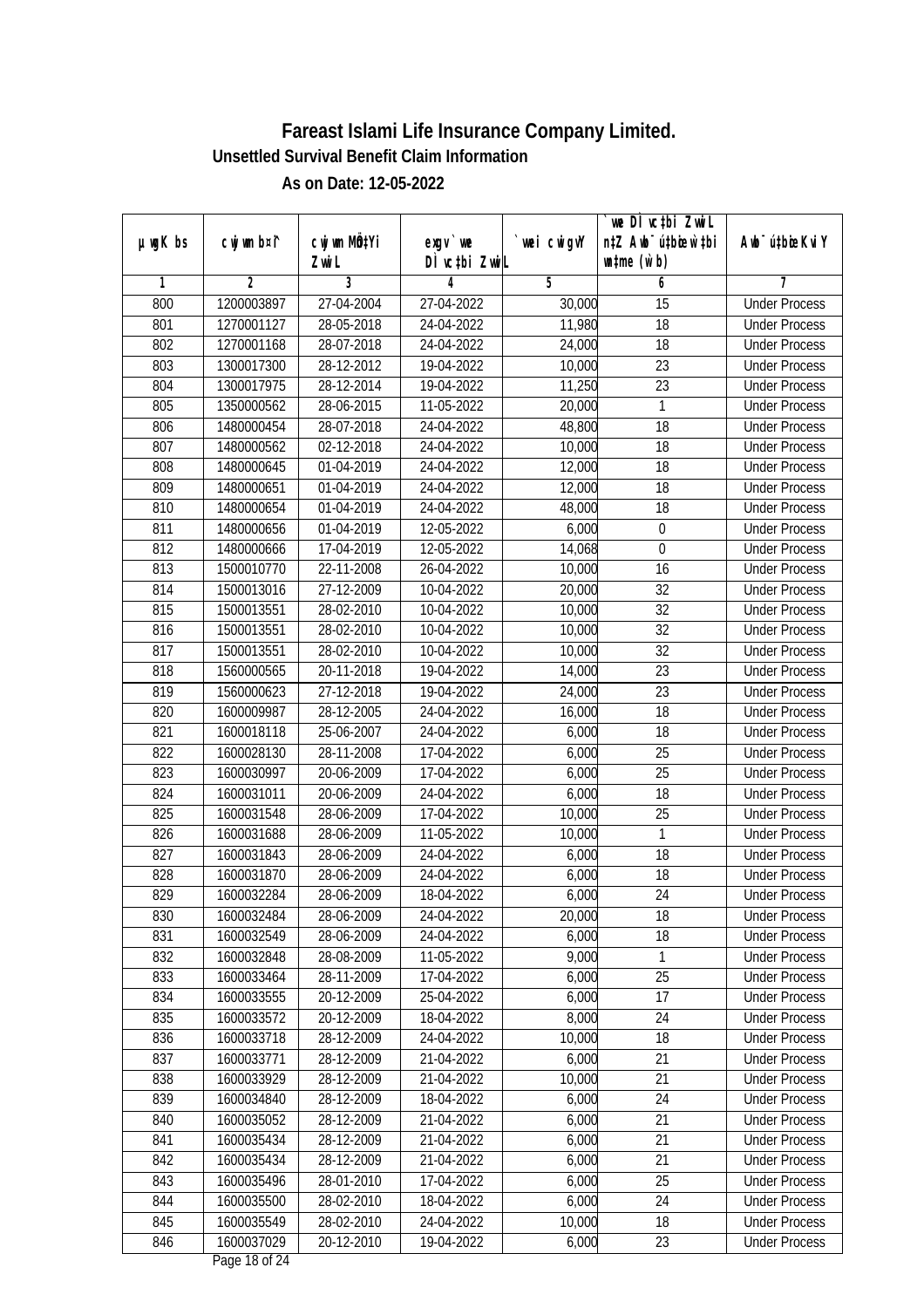|         |                |                  |               |            | we DI vctbi ZwiL                 |                             |
|---------|----------------|------------------|---------------|------------|----------------------------------|-----------------------------|
| µwgK bs | cwj wm b¤i^    | cwj wm MQtYi     | $exqu$ we     | wei cwigvY | n‡Z Awb <sup>-</sup> ú‡bioen`‡bi | Awb <sup>-</sup> ú‡bioeKviY |
|         |                | Zwi L            | DÌ vctbi ZwiL |            | $\n  untime\n  (u`b)\n$          |                             |
| 1       | $\overline{2}$ | 3                | 4             | 5          | 6                                | 7                           |
| 800     | 1200003897     | 27-04-2004       | 27-04-2022    | 30,000     | $\overline{15}$                  | <b>Under Process</b>        |
| 801     | 1270001127     | 28-05-2018       | 24-04-2022    | 11,980     | 18                               | <b>Under Process</b>        |
| 802     | 1270001168     | 28-07-2018       | 24-04-2022    | 24,000     | $\overline{18}$                  | <b>Under Process</b>        |
| 803     | 1300017300     | $28 - 12 - 2012$ | 19-04-2022    | 10,000     | 23                               | <b>Under Process</b>        |
| 804     | 1300017975     | 28-12-2014       | 19-04-2022    | 11,250     | $\overline{23}$                  | <b>Under Process</b>        |
| 805     | 1350000562     | 28-06-2015       | 11-05-2022    | 20,000     | 1                                | <b>Under Process</b>        |
| 806     | 1480000454     | 28-07-2018       | 24-04-2022    | 48,800     | 18                               | <b>Under Process</b>        |
| 807     | 1480000562     | 02-12-2018       | 24-04-2022    | 10,000     | 18                               | <b>Under Process</b>        |
| 808     | 1480000645     | 01-04-2019       | 24-04-2022    | 12,000     | 18                               | <b>Under Process</b>        |
| 809     | 1480000651     | 01-04-2019       | 24-04-2022    | 12,000     | 18                               | <b>Under Process</b>        |
| 810     | 1480000654     | 01-04-2019       | 24-04-2022    | 48,000     | $\overline{18}$                  | <b>Under Process</b>        |
| 811     | 1480000656     | 01-04-2019       | 12-05-2022    | 6,000      | $\boldsymbol{0}$                 | <b>Under Process</b>        |
| 812     | 1480000666     | 17-04-2019       | 12-05-2022    | 14,068     | $\overline{0}$                   | <b>Under Process</b>        |
| 813     | 1500010770     | 22-11-2008       | 26-04-2022    | 10,000     | 16                               | <b>Under Process</b>        |
| 814     | 1500013016     | 27-12-2009       | 10-04-2022    | 20,000     | 32                               | <b>Under Process</b>        |
| 815     | 1500013551     | 28-02-2010       | 10-04-2022    | 10,000     | $\overline{32}$                  | <b>Under Process</b>        |
| 816     | 1500013551     | 28-02-2010       | 10-04-2022    | 10,000     | 32                               | <b>Under Process</b>        |
| 817     | 1500013551     | 28-02-2010       | 10-04-2022    | 10,000     | 32                               | <b>Under Process</b>        |
| 818     | 1560000565     | 20-11-2018       | 19-04-2022    | 14,000     | 23                               | <b>Under Process</b>        |
| 819     | 1560000623     | 27-12-2018       | 19-04-2022    | 24,000     | 23                               | <b>Under Process</b>        |
| 820     | 1600009987     | $28-12-2005$     | 24-04-2022    | 16,000     | 18                               | <b>Under Process</b>        |
| 821     | 1600018118     | 25-06-2007       | 24-04-2022    | 6,000      | 18                               | <b>Under Process</b>        |
| 822     | 1600028130     | 28-11-2008       | 17-04-2022    | 6,000      | 25                               | <b>Under Process</b>        |
| 823     | 1600030997     | 20-06-2009       | 17-04-2022    | 6,000      | 25                               | <b>Under Process</b>        |
| 824     | 1600031011     | 20-06-2009       | 24-04-2022    | 6,000      | 18                               | <b>Under Process</b>        |
| 825     | 1600031548     | 28-06-2009       | 17-04-2022    | 10,000     | 25                               | <b>Under Process</b>        |
| 826     | 1600031688     | 28-06-2009       | 11-05-2022    | 10,000     | 1                                | <b>Under Process</b>        |
| 827     | 1600031843     | 28-06-2009       | 24-04-2022    | 6,000      | 18                               | <b>Under Process</b>        |
| 828     | 1600031870     | 28-06-2009       | 24-04-2022    | 6,000      | 18                               | <b>Under Process</b>        |
| 829     | 1600032284     | 28-06-2009       | 18-04-2022    | 6,000      | 24                               | <b>Under Process</b>        |
| 830     | 1600032484     | 28-06-2009       | 24-04-2022    | 20,000     | 18                               | <b>Under Process</b>        |
| 831     | 1600032549     | 28-06-2009       | 24-04-2022    | 6,000      | 18                               | <b>Under Process</b>        |
| 832     | 1600032848     | 28-08-2009       | 11-05-2022    | 9,000      | 1                                | <b>Under Process</b>        |
| 833     | 1600033464     | 28-11-2009       | 17-04-2022    | 6,000      | 25                               | <b>Under Process</b>        |
| 834     | 1600033555     | 20-12-2009       | 25-04-2022    | 6,000      | 17                               | <b>Under Process</b>        |
| 835     | 1600033572     | 20-12-2009       | 18-04-2022    | 8,000      | 24                               | <b>Under Process</b>        |
| 836     | 1600033718     | 28-12-2009       | 24-04-2022    | 10,000     | 18                               | <b>Under Process</b>        |
| 837     | 1600033771     | 28-12-2009       | 21-04-2022    | 6,000      | $\overline{21}$                  | <b>Under Process</b>        |
| 838     | 1600033929     | 28-12-2009       | 21-04-2022    | 10,000     | 21                               | <b>Under Process</b>        |
| 839     | 1600034840     | 28-12-2009       | 18-04-2022    | 6,000      | 24                               | <b>Under Process</b>        |
| 840     | 1600035052     | 28-12-2009       | 21-04-2022    | 6,000      | 21                               | <b>Under Process</b>        |
| 841     | 1600035434     | 28-12-2009       | 21-04-2022    | 6,000      | 21                               | <b>Under Process</b>        |
| 842     | 1600035434     | 28-12-2009       | 21-04-2022    | 6,000      | 21                               | <b>Under Process</b>        |
| 843     | 1600035496     | 28-01-2010       | 17-04-2022    | 6,000      | 25                               | <b>Under Process</b>        |
| 844     | 1600035500     | 28-02-2010       | 18-04-2022    | 6,000      | 24                               | <b>Under Process</b>        |
| 845     | 1600035549     | 28-02-2010       | 24-04-2022    | 10,000     | 18                               | <b>Under Process</b>        |
| 846     | 1600037029     | 20-12-2010       | 19-04-2022    | 6,000      | 23                               | <b>Under Process</b>        |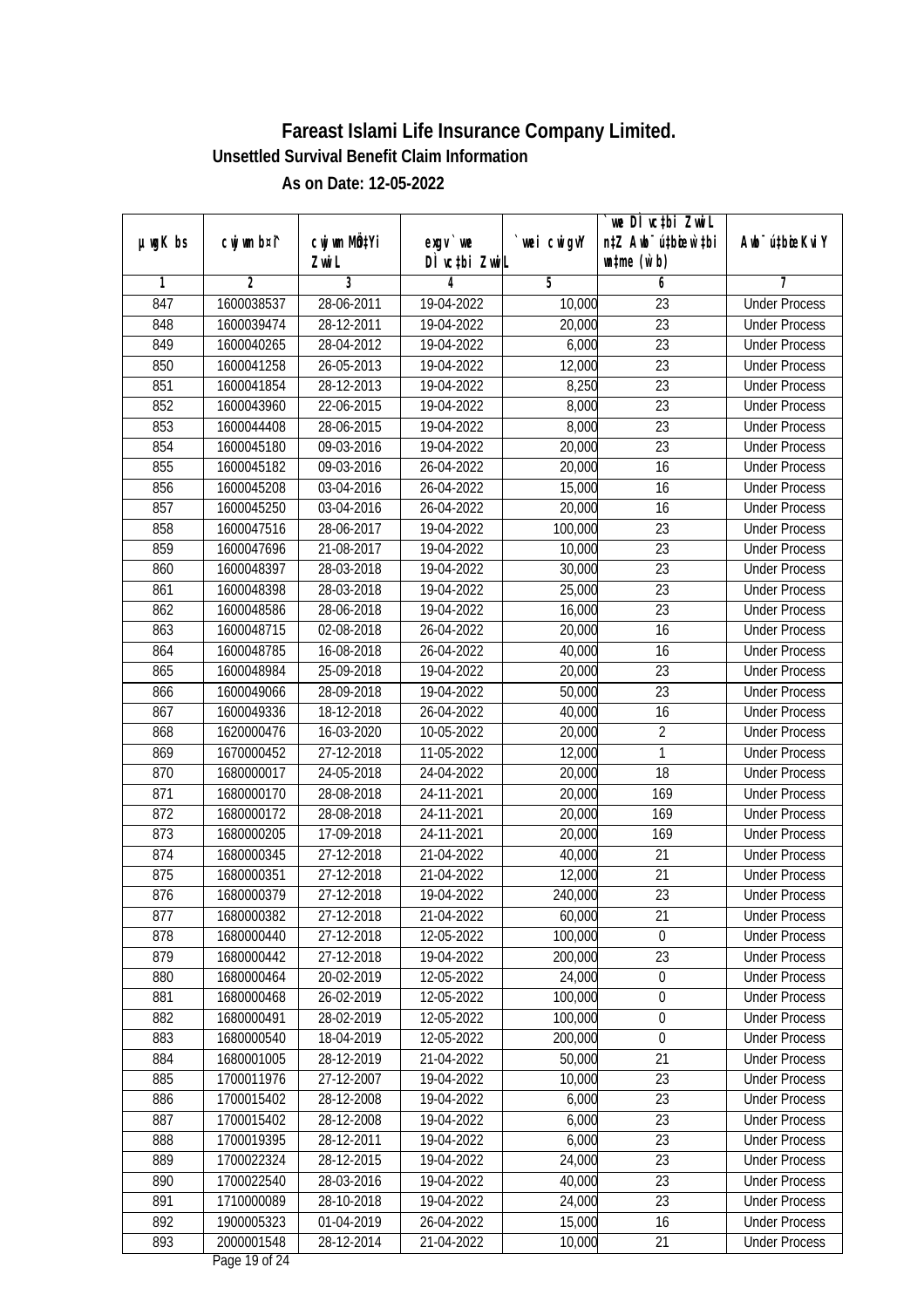|         |                |                  |               |            | we DI vctbi Zwil                 |                             |
|---------|----------------|------------------|---------------|------------|----------------------------------|-----------------------------|
| µwgK bs | cwj wm b¤i^    | cwj wm MQtYi     | $exqu$ we     | wei cwigvY | n‡Z Awb <sup>-</sup> ú‡bioen`‡bi | Awb <sup>-</sup> ú‡bioeKviY |
|         |                | Zwi L            | DÌ vctbi ZwiL |            | $\n  untime\n  (u`b)\n$          |                             |
| 1       | $\overline{2}$ | 3                | 4             | 5          | 6                                | 7                           |
| 847     | 1600038537     | 28-06-2011       | 19-04-2022    | 10,000     | $\overline{23}$                  | <b>Under Process</b>        |
| 848     | 1600039474     | 28-12-2011       | 19-04-2022    | 20,000     | $\overline{23}$                  | <b>Under Process</b>        |
| 849     | 1600040265     | 28-04-2012       | 19-04-2022    | 6,000      | $\overline{23}$                  | <b>Under Process</b>        |
| 850     | 1600041258     | 26-05-2013       | 19-04-2022    | 12,000     | 23                               | <b>Under Process</b>        |
| 851     | 1600041854     | $28 - 12 - 2013$ | 19-04-2022    | 8,250      | $\overline{23}$                  | <b>Under Process</b>        |
| 852     | 1600043960     | 22-06-2015       | 19-04-2022    | 8,000      | $\overline{23}$                  | <b>Under Process</b>        |
| 853     | 1600044408     | 28-06-2015       | 19-04-2022    | 8,000      | $\overline{23}$                  | <b>Under Process</b>        |
| 854     | 1600045180     | 09-03-2016       | 19-04-2022    | 20,000     | $\overline{23}$                  | <b>Under Process</b>        |
| 855     | 1600045182     | 09-03-2016       | 26-04-2022    | 20,000     | 16                               | <b>Under Process</b>        |
| 856     | 1600045208     | 03-04-2016       | 26-04-2022    | 15,000     | 16                               | <b>Under Process</b>        |
| 857     | 1600045250     | 03-04-2016       | 26-04-2022    | 20,000     | $\overline{16}$                  | <b>Under Process</b>        |
| 858     | 1600047516     | 28-06-2017       | 19-04-2022    | 100,000    | 23                               | <b>Under Process</b>        |
| 859     | 1600047696     | 21-08-2017       | 19-04-2022    | 10,000     | $\overline{23}$                  | <b>Under Process</b>        |
| 860     | 1600048397     | 28-03-2018       | 19-04-2022    | 30,000     | 23                               | <b>Under Process</b>        |
| 861     | 1600048398     | 28-03-2018       | 19-04-2022    | 25,000     | 23                               | <b>Under Process</b>        |
| 862     | 1600048586     | 28-06-2018       | 19-04-2022    | 16,000     | $\overline{23}$                  | <b>Under Process</b>        |
| 863     | 1600048715     | 02-08-2018       | 26-04-2022    | 20,000     | 16                               | <b>Under Process</b>        |
| 864     | 1600048785     | 16-08-2018       | 26-04-2022    | 40,000     | 16                               | <b>Under Process</b>        |
| 865     | 1600048984     | 25-09-2018       | 19-04-2022    | 20,000     | 23                               | <b>Under Process</b>        |
| 866     | 1600049066     | 28-09-2018       | 19-04-2022    | 50,000     | 23                               | <b>Under Process</b>        |
| 867     | 1600049336     | 18-12-2018       | 26-04-2022    | 40,000     | 16                               | <b>Under Process</b>        |
| 868     | 1620000476     | 16-03-2020       | 10-05-2022    | 20,000     | 2                                | <b>Under Process</b>        |
| 869     | 1670000452     | 27-12-2018       | 11-05-2022    | 12,000     | $\mathbf{1}$                     | <b>Under Process</b>        |
| 870     | 1680000017     | 24-05-2018       | 24-04-2022    | 20,000     | 18                               | <b>Under Process</b>        |
| 871     | 1680000170     | 28-08-2018       | 24-11-2021    | 20,000     | 169                              | <b>Under Process</b>        |
| 872     | 1680000172     | 28-08-2018       | 24-11-2021    | 20,000     | 169                              | <b>Under Process</b>        |
| 873     | 1680000205     | 17-09-2018       | 24-11-2021    | 20,000     | 169                              | <b>Under Process</b>        |
| 874     | 1680000345     | 27-12-2018       | 21-04-2022    | 40,000     | 21                               | <b>Under Process</b>        |
| 875     | 1680000351     | 27-12-2018       | 21-04-2022    | 12,000     | 21                               | <b>Under Process</b>        |
| 876     | 1680000379     | 27-12-2018       | 19-04-2022    | 240,000    | 23                               | <b>Under Process</b>        |
| 877     | 1680000382     | 27-12-2018       | 21-04-2022    | 60,000     | 21                               | <b>Under Process</b>        |
| 878     | 1680000440     | 27-12-2018       | 12-05-2022    | 100,000    | 0                                | <b>Under Process</b>        |
| 879     | 1680000442     | 27-12-2018       | 19-04-2022    | 200,000    | 23                               | <b>Under Process</b>        |
| 880     | 1680000464     | 20-02-2019       | 12-05-2022    | 24,000     | $\boldsymbol{0}$                 | <b>Under Process</b>        |
| 881     | 1680000468     | 26-02-2019       | 12-05-2022    | 100,000    | 0                                | <b>Under Process</b>        |
| 882     | 1680000491     | 28-02-2019       | 12-05-2022    | 100,000    | 0                                | <b>Under Process</b>        |
| 883     | 1680000540     | 18-04-2019       | 12-05-2022    | 200,000    | $\boldsymbol{0}$                 | <b>Under Process</b>        |
| 884     | 1680001005     | 28-12-2019       | 21-04-2022    | 50,000     | $\overline{21}$                  | <b>Under Process</b>        |
| 885     | 1700011976     | 27-12-2007       | 19-04-2022    | 10,000     | 23                               | <b>Under Process</b>        |
| 886     | 1700015402     | 28-12-2008       | 19-04-2022    | 6,000      | 23                               | <b>Under Process</b>        |
| 887     | 1700015402     | 28-12-2008       | 19-04-2022    | 6,000      | 23                               | <b>Under Process</b>        |
| 888     | 1700019395     | 28-12-2011       | 19-04-2022    | 6,000      | $\overline{23}$                  | <b>Under Process</b>        |
| 889     | 1700022324     | 28-12-2015       | 19-04-2022    | 24,000     | $\overline{23}$                  | <b>Under Process</b>        |
| 890     | 1700022540     | 28-03-2016       | 19-04-2022    | 40,000     | 23                               | <b>Under Process</b>        |
| 891     | 1710000089     | 28-10-2018       | 19-04-2022    | 24,000     | 23                               | <b>Under Process</b>        |
| 892     | 1900005323     | 01-04-2019       | 26-04-2022    | 15,000     | 16                               | <b>Under Process</b>        |
| 893     | 2000001548     | 28-12-2014       | 21-04-2022    | 10,000     | 21                               | <b>Under Process</b>        |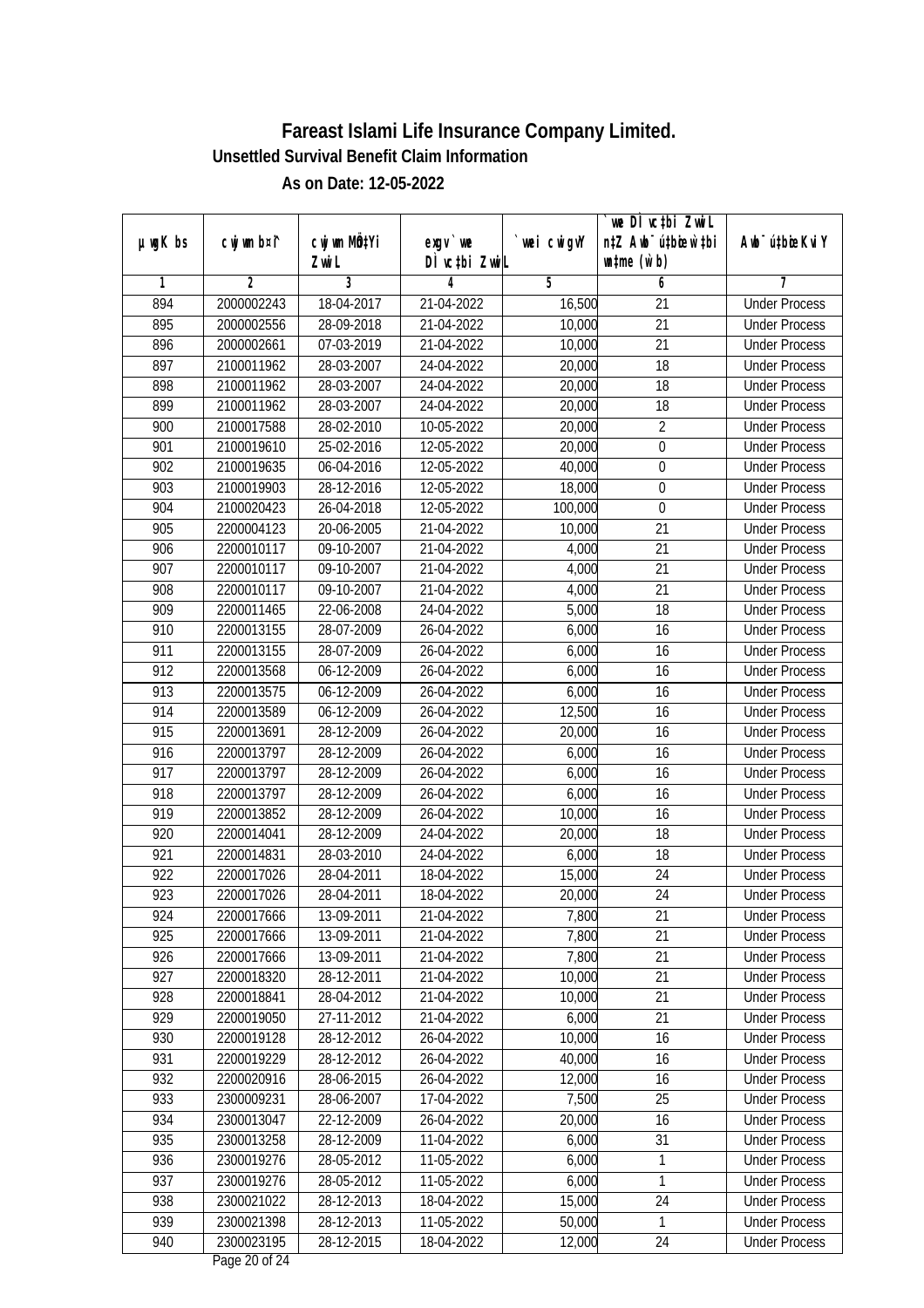|         |             |                       |                            |             | we DI vctbi ZwiL<br>n‡Z Awb <sup>-</sup> ú‡bioar`‡bi |                             |
|---------|-------------|-----------------------|----------------------------|-------------|------------------------------------------------------|-----------------------------|
| µwgK bs | cwj wm b¤i^ | cwj wm MQtYi<br>Zwi L | $exqu$ we<br>DÌ vctbi ZwiL | `wei cwigvY | $\n  untime\n  (u`b)\n$                              | Awb <sup>-</sup> ú‡bioeKviY |
| 1       | 2           | $\overline{3}$        | 4                          | 5           | 6                                                    | 7                           |
| 894     | 2000002243  | 18-04-2017            | 21-04-2022                 | 16,500      | 21                                                   | <b>Under Process</b>        |
| 895     | 2000002556  | 28-09-2018            | 21-04-2022                 | 10,000      | 21                                                   | <b>Under Process</b>        |
| 896     | 2000002661  | 07-03-2019            | 21-04-2022                 | 10,000      | $\overline{21}$                                      | <b>Under Process</b>        |
| 897     | 2100011962  | 28-03-2007            | 24-04-2022                 | 20,000      | $\overline{18}$                                      | <b>Under Process</b>        |
| 898     | 2100011962  | 28-03-2007            | 24-04-2022                 | 20,000      | $\overline{18}$                                      | <b>Under Process</b>        |
| 899     | 2100011962  | 28-03-2007            | 24-04-2022                 | 20,000      | 18                                                   | <b>Under Process</b>        |
| 900     | 2100017588  | 28-02-2010            | 10-05-2022                 | 20,000      | $\overline{2}$                                       | <b>Under Process</b>        |
| 901     | 2100019610  | 25-02-2016            | 12-05-2022                 | 20,000      | $\pmb{0}$                                            | <b>Under Process</b>        |
| 902     | 2100019635  | 06-04-2016            | 12-05-2022                 | 40,000      | $\boldsymbol{0}$                                     | <b>Under Process</b>        |
| 903     | 2100019903  | 28-12-2016            | 12-05-2022                 | 18,000      | $\boldsymbol{0}$                                     | <b>Under Process</b>        |
| 904     | 2100020423  | 26-04-2018            | 12-05-2022                 | 100,000     | 0                                                    | <b>Under Process</b>        |
| 905     | 2200004123  | 20-06-2005            | 21-04-2022                 | 10,000      | 21                                                   | <b>Under Process</b>        |
| 906     | 2200010117  | 09-10-2007            | 21-04-2022                 | 4,000       | $\overline{21}$                                      | <b>Under Process</b>        |
| 907     | 2200010117  | 09-10-2007            | 21-04-2022                 | 4,000       | 21                                                   | <b>Under Process</b>        |
| 908     | 2200010117  | 09-10-2007            | 21-04-2022                 | 4,000       | 21                                                   | <b>Under Process</b>        |
| 909     | 2200011465  | 22-06-2008            | 24-04-2022                 | 5,000       | 18                                                   | <b>Under Process</b>        |
| 910     | 2200013155  | 28-07-2009            | 26-04-2022                 | 6,000       | 16                                                   | <b>Under Process</b>        |
| 911     | 2200013155  | 28-07-2009            | 26-04-2022                 | 6,000       | 16                                                   | <b>Under Process</b>        |
| 912     | 2200013568  | 06-12-2009            | 26-04-2022                 | 6,000       | 16                                                   | <b>Under Process</b>        |
| 913     | 2200013575  | 06-12-2009            | 26-04-2022                 | 6,000       | 16                                                   | <b>Under Process</b>        |
| 914     | 2200013589  | 06-12-2009            | 26-04-2022                 | 12,500      | 16                                                   | <b>Under Process</b>        |
| 915     | 2200013691  | 28-12-2009            | 26-04-2022                 | 20,000      | 16                                                   | <b>Under Process</b>        |
| 916     | 2200013797  | 28-12-2009            | 26-04-2022                 | 6,000       | 16                                                   | <b>Under Process</b>        |
| 917     | 2200013797  | 28-12-2009            | 26-04-2022                 | 6,000       | 16                                                   | <b>Under Process</b>        |
| 918     | 2200013797  | 28-12-2009            | 26-04-2022                 | 6,000       | 16                                                   | <b>Under Process</b>        |
| 919     | 2200013852  | 28-12-2009            | 26-04-2022                 | 10,000      | 16                                                   | <b>Under Process</b>        |
| 920     | 2200014041  | 28-12-2009            | 24-04-2022                 | 20,000      | 18                                                   | <b>Under Process</b>        |
| 921     | 2200014831  | 28-03-2010            | 24-04-2022                 | 6,000       | 18                                                   | <b>Under Process</b>        |
| 922     | 2200017026  | 28-04-2011            | 18-04-2022                 | 15,000      | 24                                                   | <b>Under Process</b>        |
| 923     | 2200017026  | 28-04-2011            | 18-04-2022                 | 20,000      | 24                                                   | <b>Under Process</b>        |
| 924     | 2200017666  | 13-09-2011            | 21-04-2022                 | 7,800       | 21                                                   | <b>Under Process</b>        |
| 925     | 2200017666  | 13-09-2011            | 21-04-2022                 | 7,800       | 21                                                   | <b>Under Process</b>        |
| 926     | 2200017666  | 13-09-2011            | 21-04-2022                 | 7,800       | 21                                                   | <b>Under Process</b>        |
| 927     | 2200018320  | 28-12-2011            | 21-04-2022                 | 10,000      | 21                                                   | <b>Under Process</b>        |
| 928     | 2200018841  | 28-04-2012            | 21-04-2022                 | 10,000      | 21                                                   | <b>Under Process</b>        |
| 929     | 2200019050  | 27-11-2012            | 21-04-2022                 | 6,000       | 21                                                   | <b>Under Process</b>        |
| 930     | 2200019128  | 28-12-2012            | 26-04-2022                 | 10,000      | 16                                                   | <b>Under Process</b>        |
| 931     | 2200019229  | 28-12-2012            | 26-04-2022                 | 40,000      | 16                                                   | <b>Under Process</b>        |
| 932     | 2200020916  | 28-06-2015            | 26-04-2022                 | 12,000      | 16                                                   | <b>Under Process</b>        |
| 933     | 2300009231  | 28-06-2007            | 17-04-2022                 | 7,500       | 25                                                   | <b>Under Process</b>        |
| 934     | 2300013047  | 22-12-2009            | 26-04-2022                 | 20,000      | 16                                                   | <b>Under Process</b>        |
| 935     | 2300013258  | 28-12-2009            | 11-04-2022                 | 6,000       | $\overline{31}$                                      | <b>Under Process</b>        |
| 936     | 2300019276  | 28-05-2012            | 11-05-2022                 | 6,000       | 1                                                    | <b>Under Process</b>        |
| 937     | 2300019276  | 28-05-2012            | 11-05-2022                 | 6,000       | 1                                                    | <b>Under Process</b>        |
| 938     | 2300021022  | 28-12-2013            | 18-04-2022                 | 15,000      | 24                                                   | <b>Under Process</b>        |
| 939     | 2300021398  | 28-12-2013            | 11-05-2022                 | 50,000      | 1                                                    | <b>Under Process</b>        |
| 940     | 2300023195  | 28-12-2015            | 18-04-2022                 | 12,000      | 24                                                   | <b>Under Process</b>        |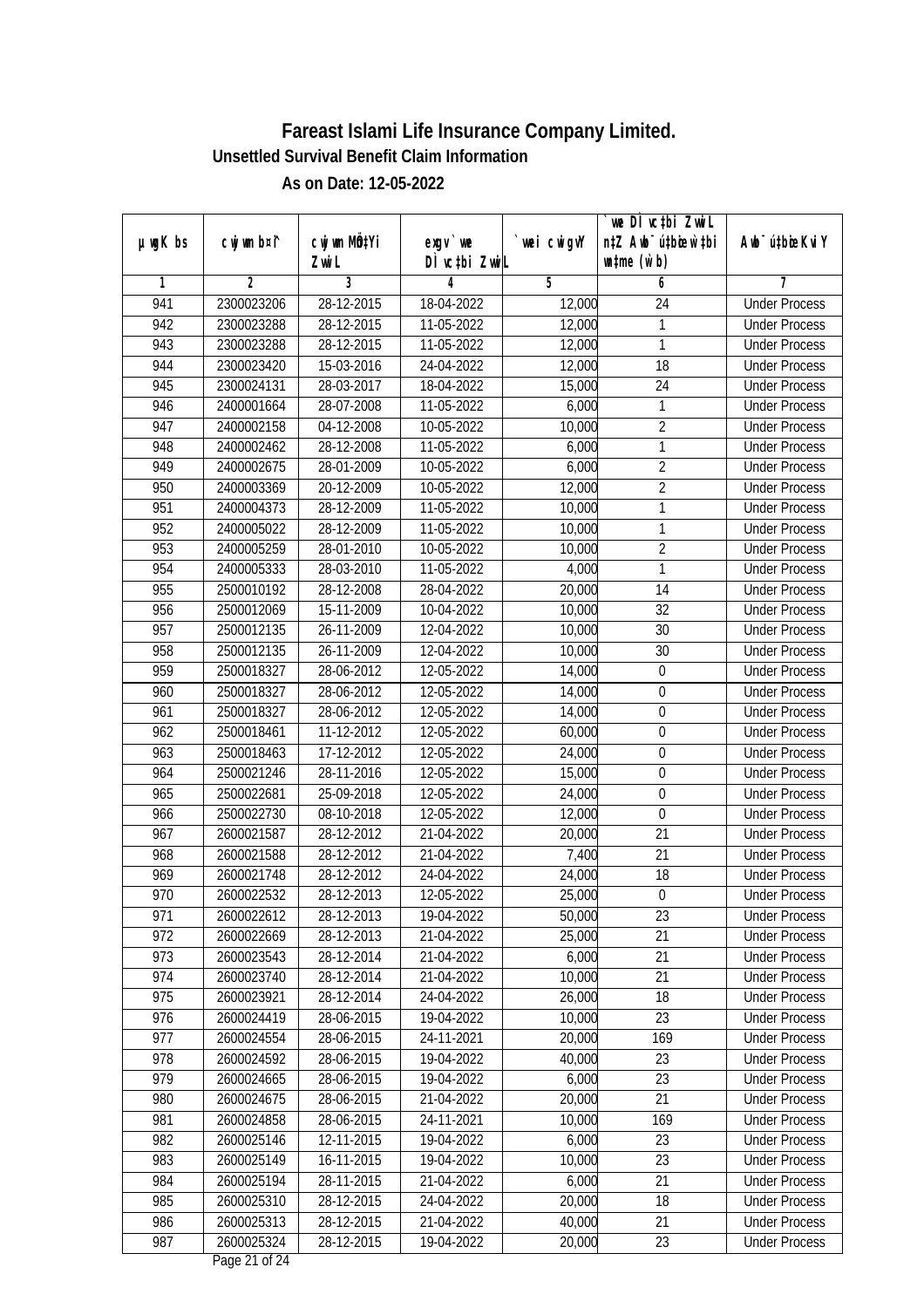|               |                |              |               |            | we DI vctbi ZwiL                 |                              |
|---------------|----------------|--------------|---------------|------------|----------------------------------|------------------------------|
| $µ$ ug $K$ bs | cwj wm b¤i^    | cwj wm MQtYi | $exqu$ we     | wei cwigvY | n‡Z Awb <sup>-</sup> ú‡biosw`‡bi | Aub <sup>-</sup> ú‡biosKvi Y |
|               |                | Zwi L        | DÌ vctbi ZwiL |            | $\n  untime\n  (u`b)\n$          |                              |
| 1             | $\overline{2}$ | 3            | 4             | 5          | 6                                | 7                            |
| 941           | 2300023206     | 28-12-2015   | 18-04-2022    | 12,000     | $\overline{24}$                  | <b>Under Process</b>         |
| 942           | 2300023288     | 28-12-2015   | 11-05-2022    | 12,000     | 1                                | <b>Under Process</b>         |
| 943           | 2300023288     | 28-12-2015   | 11-05-2022    | 12,000     | $\mathbf{1}$                     | <b>Under Process</b>         |
| 944           | 2300023420     | 15-03-2016   | 24-04-2022    | 12,000     | 18                               | <b>Under Process</b>         |
| 945           | 2300024131     | 28-03-2017   | 18-04-2022    | 15,000     | $\overline{24}$                  | <b>Under Process</b>         |
| 946           | 2400001664     | 28-07-2008   | 11-05-2022    | 6,000      | 1                                | <b>Under Process</b>         |
| 947           | 2400002158     | 04-12-2008   | 10-05-2022    | 10,000     | $\overline{2}$                   | <b>Under Process</b>         |
| 948           | 2400002462     | 28-12-2008   | 11-05-2022    | 6,000      | $\mathbf{1}$                     | <b>Under Process</b>         |
| 949           | 2400002675     | 28-01-2009   | 10-05-2022    | 6,000      | $\overline{2}$                   | <b>Under Process</b>         |
| 950           | 2400003369     | 20-12-2009   | 10-05-2022    | 12,000     | $\overline{2}$                   | <b>Under Process</b>         |
| 951           | 2400004373     | 28-12-2009   | 11-05-2022    | 10,000     | $\mathbf{1}$                     | <b>Under Process</b>         |
| 952           | 2400005022     | 28-12-2009   | 11-05-2022    | 10,000     | 1                                | <b>Under Process</b>         |
| 953           | 2400005259     | 28-01-2010   | 10-05-2022    | 10,000     | $\overline{2}$                   | <b>Under Process</b>         |
| 954           | 2400005333     | 28-03-2010   | 11-05-2022    | 4,000      | 1                                | <b>Under Process</b>         |
| 955           | 2500010192     | 28-12-2008   | 28-04-2022    | 20,000     | 14                               | <b>Under Process</b>         |
| 956           | 2500012069     | 15-11-2009   | 10-04-2022    | 10,000     | 32                               | <b>Under Process</b>         |
| 957           | 2500012135     | 26-11-2009   | 12-04-2022    | 10,000     | 30                               | <b>Under Process</b>         |
| 958           | 2500012135     | 26-11-2009   | 12-04-2022    | 10,000     | 30                               | <b>Under Process</b>         |
| 959           | 2500018327     | 28-06-2012   | 12-05-2022    | 14,000     | $\boldsymbol{0}$                 | <b>Under Process</b>         |
| 960           | 2500018327     | 28-06-2012   | 12-05-2022    | 14,000     | $\pmb{0}$                        | <b>Under Process</b>         |
| 961           | 2500018327     | 28-06-2012   | 12-05-2022    | 14,000     | $\boldsymbol{0}$                 | <b>Under Process</b>         |
| 962           | 2500018461     | 11-12-2012   | 12-05-2022    | 60,000     | 0                                | <b>Under Process</b>         |
| 963           | 2500018463     | 17-12-2012   | 12-05-2022    | 24,000     | $\boldsymbol{0}$                 | <b>Under Process</b>         |
| 964           | 2500021246     | 28-11-2016   | 12-05-2022    | 15,000     | $\boldsymbol{0}$                 | <b>Under Process</b>         |
| 965           | 2500022681     | 25-09-2018   | 12-05-2022    | 24,000     | $\boldsymbol{0}$                 | <b>Under Process</b>         |
| 966           | 2500022730     | 08-10-2018   | 12-05-2022    | 12,000     | $\mathbf 0$                      | <b>Under Process</b>         |
| 967           | 2600021587     | 28-12-2012   | 21-04-2022    | 20,000     | 21                               | <b>Under Process</b>         |
| 968           | 2600021588     | 28-12-2012   | 21-04-2022    | 7,400      | 21                               | <b>Under Process</b>         |
| 969           | 2600021748     | 28-12-2012   | 24-04-2022    | 24,000     | 18                               | <b>Under Process</b>         |
| 970           | 2600022532     | 28-12-2013   | 12-05-2022    | 25,000     | $\boldsymbol{0}$                 | <b>Under Process</b>         |
| 971           | 2600022612     | 28-12-2013   | 19-04-2022    | 50,000     | 23                               | <b>Under Process</b>         |
| 972           | 2600022669     | 28-12-2013   | 21-04-2022    | 25,000     | 21                               | <b>Under Process</b>         |
| 973           | 2600023543     | 28-12-2014   | 21-04-2022    | 6,000      | 21                               | <b>Under Process</b>         |
| 974           | 2600023740     | 28-12-2014   | 21-04-2022    | 10,000     | 21                               | <b>Under Process</b>         |
| 975           | 2600023921     | 28-12-2014   | 24-04-2022    | 26,000     | 18                               | <b>Under Process</b>         |
| 976           | 2600024419     | 28-06-2015   | 19-04-2022    | 10,000     | 23                               | <b>Under Process</b>         |
| 977           | 2600024554     | 28-06-2015   | 24-11-2021    | 20,000     | 169                              | <b>Under Process</b>         |
| 978           | 2600024592     | 28-06-2015   | 19-04-2022    | 40,000     | 23                               | <b>Under Process</b>         |
| 979           | 2600024665     | 28-06-2015   | 19-04-2022    | 6,000      | 23                               | <b>Under Process</b>         |
| 980           | 2600024675     | 28-06-2015   | 21-04-2022    | 20,000     | 21                               | <b>Under Process</b>         |
| 981           | 2600024858     | 28-06-2015   | 24-11-2021    | 10,000     | 169                              | <b>Under Process</b>         |
| 982           | 2600025146     | 12-11-2015   | 19-04-2022    | 6,000      | 23                               | <b>Under Process</b>         |
| 983           | 2600025149     | 16-11-2015   | 19-04-2022    | 10,000     | $\overline{23}$                  | <b>Under Process</b>         |
| 984           | 2600025194     | 28-11-2015   | 21-04-2022    | 6,000      | 21                               | <b>Under Process</b>         |
| 985           | 2600025310     | 28-12-2015   | 24-04-2022    | 20,000     | 18                               | <b>Under Process</b>         |
| 986           | 2600025313     | 28-12-2015   | 21-04-2022    | 40,000     | 21                               | <b>Under Process</b>         |
| 987           | 2600025324     | 28-12-2015   | 19-04-2022    | 20,000     | 23                               | <b>Under Process</b>         |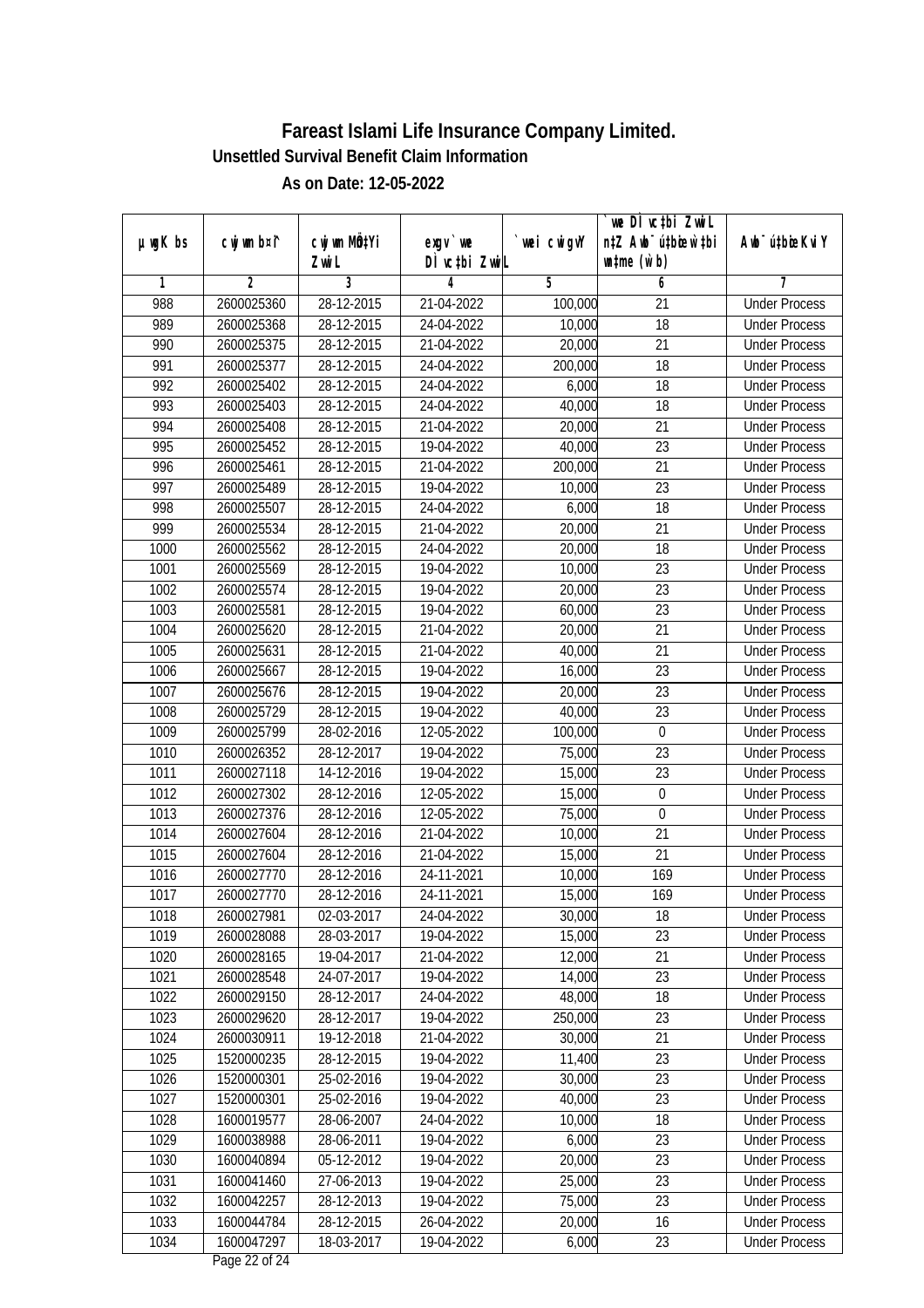| wei cwigvY<br>$exqu$ we<br>DÌ vctbi ZwiL<br>$\n  untime\n  (u`b)\n$<br>Zwi L<br>3<br>$\overline{2}$<br>5<br>6<br>7<br>1<br>4<br>28-12-2015<br>988<br>2600025360<br>21-04-2022<br>$\overline{21}$<br><b>Under Process</b><br>100,000<br>$\overline{18}$<br>989<br>2600025368<br>28-12-2015<br>24-04-2022<br>10,000<br><b>Under Process</b><br>990<br>$\overline{21}$<br>2600025375<br>28-12-2015<br>21-04-2022<br>20,000<br><b>Under Process</b><br>991<br>2600025377<br>28-12-2015<br>24-04-2022<br>200,000<br>18<br><b>Under Process</b><br>992<br>$\overline{18}$<br>2600025402<br>28-12-2015<br>24-04-2022<br>6,000<br><b>Under Process</b><br>993<br>28-12-2015<br>$\overline{18}$<br>2600025403<br>24-04-2022<br>40,000<br><b>Under Process</b><br>994<br>$\overline{21}$<br>2600025408<br>28-12-2015<br>21-04-2022<br>20,000<br><b>Under Process</b><br>995<br>2600025452<br>28-12-2015<br>19-04-2022<br>40,000<br>23<br><b>Under Process</b><br>996<br>2600025461<br>28-12-2015<br>21-04-2022<br>21<br>200,000<br><b>Under Process</b><br>$\overline{23}$<br>997<br>2600025489<br>28-12-2015<br>19-04-2022<br>10,000<br><b>Under Process</b><br>998<br>28-12-2015<br>$\overline{18}$<br>2600025507<br>24-04-2022<br>6,000<br><b>Under Process</b><br>999<br>20,000<br>21-04-2022<br>21<br>2600025534<br>28-12-2015<br><b>Under Process</b><br>$\overline{18}$<br>1000<br>2600025562<br>28-12-2015<br>24-04-2022<br>20,000<br><b>Under Process</b><br>23<br>1001<br>2600025569<br>28-12-2015<br>19-04-2022<br>10,000<br><b>Under Process</b><br>1002<br>23<br>2600025574<br>28-12-2015<br>19-04-2022<br>20,000<br><b>Under Process</b><br>$\overline{23}$<br>1003<br>2600025581<br>28-12-2015<br>19-04-2022<br>60,000<br><b>Under Process</b><br>1004<br>21<br>2600025620<br>28-12-2015<br>21-04-2022<br>20,000<br><b>Under Process</b><br>21<br>1005<br>28-12-2015<br>21-04-2022<br>2600025631<br>40,000<br><b>Under Process</b><br>23<br>1006<br>2600025667<br>28-12-2015<br>19-04-2022<br>16,000<br><b>Under Process</b><br>23<br>1007<br>28-12-2015<br>19-04-2022<br>2600025676<br>20,000<br><b>Under Process</b><br>$28-12-2015$<br>23<br>1008<br>2600025729<br>19-04-2022<br>40,000<br><b>Under Process</b><br>1009<br>100,000<br>2600025799<br>28-02-2016<br>12-05-2022<br>$\boldsymbol{0}$<br><b>Under Process</b><br>23<br>1010<br>28-12-2017<br>19-04-2022<br>75,000<br>2600026352<br><b>Under Process</b><br>23<br>1011<br>14-12-2016<br>19-04-2022<br>15,000<br>2600027118<br><b>Under Process</b><br>1012<br>28-12-2016<br>12-05-2022<br>$\boldsymbol{0}$<br>2600027302<br>15,000<br><b>Under Process</b><br>1013<br>2600027376<br>28-12-2016<br>12-05-2022<br>75,000<br>$\mathbf 0$<br><b>Under Process</b><br>21<br>1014<br>28-12-2016<br>21-04-2022<br>10,000<br>2600027604<br><b>Under Process</b><br>21<br>1015<br>28-12-2016<br>21-04-2022<br>15,000<br>2600027604<br><b>Under Process</b><br>1016<br>2600027770<br>28-12-2016<br>24-11-2021<br>10,000<br>169<br><b>Under Process</b><br>1017<br>24-11-2021<br>169<br>2600027770<br>28-12-2016<br>15,000<br><b>Under Process</b><br>1018<br>2600027981<br>02-03-2017<br>24-04-2022<br>30,000<br>18<br><b>Under Process</b><br>1019<br>28-03-2017<br>19-04-2022<br>15,000<br>23<br>2600028088<br><b>Under Process</b><br>1020<br>12,000<br>21<br>2600028165<br>19-04-2017<br>21-04-2022<br><b>Under Process</b><br>1021<br>2600028548<br>14,000<br>23<br>24-07-2017<br>19-04-2022<br><b>Under Process</b><br>1022<br>2600029150<br>48,000<br>28-12-2017<br>24-04-2022<br>18<br><b>Under Process</b><br>1023<br>250,000<br>2600029620<br>28-12-2017<br>19-04-2022<br>23<br><b>Under Process</b><br>1024<br>2600030911<br>19-12-2018<br>21-04-2022<br>30,000<br>21<br><b>Under Process</b><br>$\overline{23}$<br>1025<br>1520000235<br>19-04-2022<br>11,400<br>28-12-2015<br><b>Under Process</b><br>30,000<br>1026<br>23<br>1520000301<br>25-02-2016<br>19-04-2022<br><b>Under Process</b><br>1027<br>1520000301<br>40,000<br>23<br>25-02-2016<br>19-04-2022<br><b>Under Process</b><br>1028<br>1600019577<br>28-06-2007<br>24-04-2022<br>10,000<br><b>Under Process</b><br>18<br>1029<br>1600038988<br>28-06-2011<br>19-04-2022<br>6,000<br>23<br><b>Under Process</b><br>$\overline{23}$<br>1030<br>05-12-2012<br>19-04-2022<br>20,000<br>1600040894<br><b>Under Process</b><br>25,000<br>23<br>1031<br>1600041460<br>27-06-2013<br>19-04-2022<br><b>Under Process</b><br>1032<br>75,000<br>23<br>1600042257<br>28-12-2013<br>19-04-2022<br><b>Under Process</b><br>1033<br>1600044784<br>28-12-2015<br>20,000<br>26-04-2022<br>16<br><b>Under Process</b><br>1034<br>1600047297<br>18-03-2017<br>19-04-2022<br>6,000<br>23<br><b>Under Process</b> |               |             |              |  | we DI vctbi Zwil                 |                             |
|------------------------------------------------------------------------------------------------------------------------------------------------------------------------------------------------------------------------------------------------------------------------------------------------------------------------------------------------------------------------------------------------------------------------------------------------------------------------------------------------------------------------------------------------------------------------------------------------------------------------------------------------------------------------------------------------------------------------------------------------------------------------------------------------------------------------------------------------------------------------------------------------------------------------------------------------------------------------------------------------------------------------------------------------------------------------------------------------------------------------------------------------------------------------------------------------------------------------------------------------------------------------------------------------------------------------------------------------------------------------------------------------------------------------------------------------------------------------------------------------------------------------------------------------------------------------------------------------------------------------------------------------------------------------------------------------------------------------------------------------------------------------------------------------------------------------------------------------------------------------------------------------------------------------------------------------------------------------------------------------------------------------------------------------------------------------------------------------------------------------------------------------------------------------------------------------------------------------------------------------------------------------------------------------------------------------------------------------------------------------------------------------------------------------------------------------------------------------------------------------------------------------------------------------------------------------------------------------------------------------------------------------------------------------------------------------------------------------------------------------------------------------------------------------------------------------------------------------------------------------------------------------------------------------------------------------------------------------------------------------------------------------------------------------------------------------------------------------------------------------------------------------------------------------------------------------------------------------------------------------------------------------------------------------------------------------------------------------------------------------------------------------------------------------------------------------------------------------------------------------------------------------------------------------------------------------------------------------------------------------------------------------------------------------------------------------------------------------------------------------------------------------------------------------------------------------------------------------------------------------------------------------------------------------------------------------------------------------------------------------------------------------------------------------------------------------------------------------------------------------------------------------------------------------------------------------------------------------------------------------------------------------------------------------------------------------------------------------------------------------------------------------------------------------------------------------------------------------------------------------------------------------------------------------------------------------------------------------------------------------------------------------------------------------------------------------------------------------------|---------------|-------------|--------------|--|----------------------------------|-----------------------------|
|                                                                                                                                                                                                                                                                                                                                                                                                                                                                                                                                                                                                                                                                                                                                                                                                                                                                                                                                                                                                                                                                                                                                                                                                                                                                                                                                                                                                                                                                                                                                                                                                                                                                                                                                                                                                                                                                                                                                                                                                                                                                                                                                                                                                                                                                                                                                                                                                                                                                                                                                                                                                                                                                                                                                                                                                                                                                                                                                                                                                                                                                                                                                                                                                                                                                                                                                                                                                                                                                                                                                                                                                                                                                                                                                                                                                                                                                                                                                                                                                                                                                                                                                                                                                                                                                                                                                                                                                                                                                                                                                                                                                                                                                                                                              | $µ$ ug $K$ bs | cwj wm b¤i^ | cwj wm MQtYi |  | n‡Z Awb <sup>-</sup> ú‡bioar`‡bi | Awb <sup>-</sup> ú‡bioeKviY |
|                                                                                                                                                                                                                                                                                                                                                                                                                                                                                                                                                                                                                                                                                                                                                                                                                                                                                                                                                                                                                                                                                                                                                                                                                                                                                                                                                                                                                                                                                                                                                                                                                                                                                                                                                                                                                                                                                                                                                                                                                                                                                                                                                                                                                                                                                                                                                                                                                                                                                                                                                                                                                                                                                                                                                                                                                                                                                                                                                                                                                                                                                                                                                                                                                                                                                                                                                                                                                                                                                                                                                                                                                                                                                                                                                                                                                                                                                                                                                                                                                                                                                                                                                                                                                                                                                                                                                                                                                                                                                                                                                                                                                                                                                                                              |               |             |              |  |                                  |                             |
|                                                                                                                                                                                                                                                                                                                                                                                                                                                                                                                                                                                                                                                                                                                                                                                                                                                                                                                                                                                                                                                                                                                                                                                                                                                                                                                                                                                                                                                                                                                                                                                                                                                                                                                                                                                                                                                                                                                                                                                                                                                                                                                                                                                                                                                                                                                                                                                                                                                                                                                                                                                                                                                                                                                                                                                                                                                                                                                                                                                                                                                                                                                                                                                                                                                                                                                                                                                                                                                                                                                                                                                                                                                                                                                                                                                                                                                                                                                                                                                                                                                                                                                                                                                                                                                                                                                                                                                                                                                                                                                                                                                                                                                                                                                              |               |             |              |  |                                  |                             |
|                                                                                                                                                                                                                                                                                                                                                                                                                                                                                                                                                                                                                                                                                                                                                                                                                                                                                                                                                                                                                                                                                                                                                                                                                                                                                                                                                                                                                                                                                                                                                                                                                                                                                                                                                                                                                                                                                                                                                                                                                                                                                                                                                                                                                                                                                                                                                                                                                                                                                                                                                                                                                                                                                                                                                                                                                                                                                                                                                                                                                                                                                                                                                                                                                                                                                                                                                                                                                                                                                                                                                                                                                                                                                                                                                                                                                                                                                                                                                                                                                                                                                                                                                                                                                                                                                                                                                                                                                                                                                                                                                                                                                                                                                                                              |               |             |              |  |                                  |                             |
|                                                                                                                                                                                                                                                                                                                                                                                                                                                                                                                                                                                                                                                                                                                                                                                                                                                                                                                                                                                                                                                                                                                                                                                                                                                                                                                                                                                                                                                                                                                                                                                                                                                                                                                                                                                                                                                                                                                                                                                                                                                                                                                                                                                                                                                                                                                                                                                                                                                                                                                                                                                                                                                                                                                                                                                                                                                                                                                                                                                                                                                                                                                                                                                                                                                                                                                                                                                                                                                                                                                                                                                                                                                                                                                                                                                                                                                                                                                                                                                                                                                                                                                                                                                                                                                                                                                                                                                                                                                                                                                                                                                                                                                                                                                              |               |             |              |  |                                  |                             |
|                                                                                                                                                                                                                                                                                                                                                                                                                                                                                                                                                                                                                                                                                                                                                                                                                                                                                                                                                                                                                                                                                                                                                                                                                                                                                                                                                                                                                                                                                                                                                                                                                                                                                                                                                                                                                                                                                                                                                                                                                                                                                                                                                                                                                                                                                                                                                                                                                                                                                                                                                                                                                                                                                                                                                                                                                                                                                                                                                                                                                                                                                                                                                                                                                                                                                                                                                                                                                                                                                                                                                                                                                                                                                                                                                                                                                                                                                                                                                                                                                                                                                                                                                                                                                                                                                                                                                                                                                                                                                                                                                                                                                                                                                                                              |               |             |              |  |                                  |                             |
|                                                                                                                                                                                                                                                                                                                                                                                                                                                                                                                                                                                                                                                                                                                                                                                                                                                                                                                                                                                                                                                                                                                                                                                                                                                                                                                                                                                                                                                                                                                                                                                                                                                                                                                                                                                                                                                                                                                                                                                                                                                                                                                                                                                                                                                                                                                                                                                                                                                                                                                                                                                                                                                                                                                                                                                                                                                                                                                                                                                                                                                                                                                                                                                                                                                                                                                                                                                                                                                                                                                                                                                                                                                                                                                                                                                                                                                                                                                                                                                                                                                                                                                                                                                                                                                                                                                                                                                                                                                                                                                                                                                                                                                                                                                              |               |             |              |  |                                  |                             |
|                                                                                                                                                                                                                                                                                                                                                                                                                                                                                                                                                                                                                                                                                                                                                                                                                                                                                                                                                                                                                                                                                                                                                                                                                                                                                                                                                                                                                                                                                                                                                                                                                                                                                                                                                                                                                                                                                                                                                                                                                                                                                                                                                                                                                                                                                                                                                                                                                                                                                                                                                                                                                                                                                                                                                                                                                                                                                                                                                                                                                                                                                                                                                                                                                                                                                                                                                                                                                                                                                                                                                                                                                                                                                                                                                                                                                                                                                                                                                                                                                                                                                                                                                                                                                                                                                                                                                                                                                                                                                                                                                                                                                                                                                                                              |               |             |              |  |                                  |                             |
|                                                                                                                                                                                                                                                                                                                                                                                                                                                                                                                                                                                                                                                                                                                                                                                                                                                                                                                                                                                                                                                                                                                                                                                                                                                                                                                                                                                                                                                                                                                                                                                                                                                                                                                                                                                                                                                                                                                                                                                                                                                                                                                                                                                                                                                                                                                                                                                                                                                                                                                                                                                                                                                                                                                                                                                                                                                                                                                                                                                                                                                                                                                                                                                                                                                                                                                                                                                                                                                                                                                                                                                                                                                                                                                                                                                                                                                                                                                                                                                                                                                                                                                                                                                                                                                                                                                                                                                                                                                                                                                                                                                                                                                                                                                              |               |             |              |  |                                  |                             |
|                                                                                                                                                                                                                                                                                                                                                                                                                                                                                                                                                                                                                                                                                                                                                                                                                                                                                                                                                                                                                                                                                                                                                                                                                                                                                                                                                                                                                                                                                                                                                                                                                                                                                                                                                                                                                                                                                                                                                                                                                                                                                                                                                                                                                                                                                                                                                                                                                                                                                                                                                                                                                                                                                                                                                                                                                                                                                                                                                                                                                                                                                                                                                                                                                                                                                                                                                                                                                                                                                                                                                                                                                                                                                                                                                                                                                                                                                                                                                                                                                                                                                                                                                                                                                                                                                                                                                                                                                                                                                                                                                                                                                                                                                                                              |               |             |              |  |                                  |                             |
|                                                                                                                                                                                                                                                                                                                                                                                                                                                                                                                                                                                                                                                                                                                                                                                                                                                                                                                                                                                                                                                                                                                                                                                                                                                                                                                                                                                                                                                                                                                                                                                                                                                                                                                                                                                                                                                                                                                                                                                                                                                                                                                                                                                                                                                                                                                                                                                                                                                                                                                                                                                                                                                                                                                                                                                                                                                                                                                                                                                                                                                                                                                                                                                                                                                                                                                                                                                                                                                                                                                                                                                                                                                                                                                                                                                                                                                                                                                                                                                                                                                                                                                                                                                                                                                                                                                                                                                                                                                                                                                                                                                                                                                                                                                              |               |             |              |  |                                  |                             |
|                                                                                                                                                                                                                                                                                                                                                                                                                                                                                                                                                                                                                                                                                                                                                                                                                                                                                                                                                                                                                                                                                                                                                                                                                                                                                                                                                                                                                                                                                                                                                                                                                                                                                                                                                                                                                                                                                                                                                                                                                                                                                                                                                                                                                                                                                                                                                                                                                                                                                                                                                                                                                                                                                                                                                                                                                                                                                                                                                                                                                                                                                                                                                                                                                                                                                                                                                                                                                                                                                                                                                                                                                                                                                                                                                                                                                                                                                                                                                                                                                                                                                                                                                                                                                                                                                                                                                                                                                                                                                                                                                                                                                                                                                                                              |               |             |              |  |                                  |                             |
|                                                                                                                                                                                                                                                                                                                                                                                                                                                                                                                                                                                                                                                                                                                                                                                                                                                                                                                                                                                                                                                                                                                                                                                                                                                                                                                                                                                                                                                                                                                                                                                                                                                                                                                                                                                                                                                                                                                                                                                                                                                                                                                                                                                                                                                                                                                                                                                                                                                                                                                                                                                                                                                                                                                                                                                                                                                                                                                                                                                                                                                                                                                                                                                                                                                                                                                                                                                                                                                                                                                                                                                                                                                                                                                                                                                                                                                                                                                                                                                                                                                                                                                                                                                                                                                                                                                                                                                                                                                                                                                                                                                                                                                                                                                              |               |             |              |  |                                  |                             |
|                                                                                                                                                                                                                                                                                                                                                                                                                                                                                                                                                                                                                                                                                                                                                                                                                                                                                                                                                                                                                                                                                                                                                                                                                                                                                                                                                                                                                                                                                                                                                                                                                                                                                                                                                                                                                                                                                                                                                                                                                                                                                                                                                                                                                                                                                                                                                                                                                                                                                                                                                                                                                                                                                                                                                                                                                                                                                                                                                                                                                                                                                                                                                                                                                                                                                                                                                                                                                                                                                                                                                                                                                                                                                                                                                                                                                                                                                                                                                                                                                                                                                                                                                                                                                                                                                                                                                                                                                                                                                                                                                                                                                                                                                                                              |               |             |              |  |                                  |                             |
|                                                                                                                                                                                                                                                                                                                                                                                                                                                                                                                                                                                                                                                                                                                                                                                                                                                                                                                                                                                                                                                                                                                                                                                                                                                                                                                                                                                                                                                                                                                                                                                                                                                                                                                                                                                                                                                                                                                                                                                                                                                                                                                                                                                                                                                                                                                                                                                                                                                                                                                                                                                                                                                                                                                                                                                                                                                                                                                                                                                                                                                                                                                                                                                                                                                                                                                                                                                                                                                                                                                                                                                                                                                                                                                                                                                                                                                                                                                                                                                                                                                                                                                                                                                                                                                                                                                                                                                                                                                                                                                                                                                                                                                                                                                              |               |             |              |  |                                  |                             |
|                                                                                                                                                                                                                                                                                                                                                                                                                                                                                                                                                                                                                                                                                                                                                                                                                                                                                                                                                                                                                                                                                                                                                                                                                                                                                                                                                                                                                                                                                                                                                                                                                                                                                                                                                                                                                                                                                                                                                                                                                                                                                                                                                                                                                                                                                                                                                                                                                                                                                                                                                                                                                                                                                                                                                                                                                                                                                                                                                                                                                                                                                                                                                                                                                                                                                                                                                                                                                                                                                                                                                                                                                                                                                                                                                                                                                                                                                                                                                                                                                                                                                                                                                                                                                                                                                                                                                                                                                                                                                                                                                                                                                                                                                                                              |               |             |              |  |                                  |                             |
|                                                                                                                                                                                                                                                                                                                                                                                                                                                                                                                                                                                                                                                                                                                                                                                                                                                                                                                                                                                                                                                                                                                                                                                                                                                                                                                                                                                                                                                                                                                                                                                                                                                                                                                                                                                                                                                                                                                                                                                                                                                                                                                                                                                                                                                                                                                                                                                                                                                                                                                                                                                                                                                                                                                                                                                                                                                                                                                                                                                                                                                                                                                                                                                                                                                                                                                                                                                                                                                                                                                                                                                                                                                                                                                                                                                                                                                                                                                                                                                                                                                                                                                                                                                                                                                                                                                                                                                                                                                                                                                                                                                                                                                                                                                              |               |             |              |  |                                  |                             |
|                                                                                                                                                                                                                                                                                                                                                                                                                                                                                                                                                                                                                                                                                                                                                                                                                                                                                                                                                                                                                                                                                                                                                                                                                                                                                                                                                                                                                                                                                                                                                                                                                                                                                                                                                                                                                                                                                                                                                                                                                                                                                                                                                                                                                                                                                                                                                                                                                                                                                                                                                                                                                                                                                                                                                                                                                                                                                                                                                                                                                                                                                                                                                                                                                                                                                                                                                                                                                                                                                                                                                                                                                                                                                                                                                                                                                                                                                                                                                                                                                                                                                                                                                                                                                                                                                                                                                                                                                                                                                                                                                                                                                                                                                                                              |               |             |              |  |                                  |                             |
|                                                                                                                                                                                                                                                                                                                                                                                                                                                                                                                                                                                                                                                                                                                                                                                                                                                                                                                                                                                                                                                                                                                                                                                                                                                                                                                                                                                                                                                                                                                                                                                                                                                                                                                                                                                                                                                                                                                                                                                                                                                                                                                                                                                                                                                                                                                                                                                                                                                                                                                                                                                                                                                                                                                                                                                                                                                                                                                                                                                                                                                                                                                                                                                                                                                                                                                                                                                                                                                                                                                                                                                                                                                                                                                                                                                                                                                                                                                                                                                                                                                                                                                                                                                                                                                                                                                                                                                                                                                                                                                                                                                                                                                                                                                              |               |             |              |  |                                  |                             |
|                                                                                                                                                                                                                                                                                                                                                                                                                                                                                                                                                                                                                                                                                                                                                                                                                                                                                                                                                                                                                                                                                                                                                                                                                                                                                                                                                                                                                                                                                                                                                                                                                                                                                                                                                                                                                                                                                                                                                                                                                                                                                                                                                                                                                                                                                                                                                                                                                                                                                                                                                                                                                                                                                                                                                                                                                                                                                                                                                                                                                                                                                                                                                                                                                                                                                                                                                                                                                                                                                                                                                                                                                                                                                                                                                                                                                                                                                                                                                                                                                                                                                                                                                                                                                                                                                                                                                                                                                                                                                                                                                                                                                                                                                                                              |               |             |              |  |                                  |                             |
|                                                                                                                                                                                                                                                                                                                                                                                                                                                                                                                                                                                                                                                                                                                                                                                                                                                                                                                                                                                                                                                                                                                                                                                                                                                                                                                                                                                                                                                                                                                                                                                                                                                                                                                                                                                                                                                                                                                                                                                                                                                                                                                                                                                                                                                                                                                                                                                                                                                                                                                                                                                                                                                                                                                                                                                                                                                                                                                                                                                                                                                                                                                                                                                                                                                                                                                                                                                                                                                                                                                                                                                                                                                                                                                                                                                                                                                                                                                                                                                                                                                                                                                                                                                                                                                                                                                                                                                                                                                                                                                                                                                                                                                                                                                              |               |             |              |  |                                  |                             |
|                                                                                                                                                                                                                                                                                                                                                                                                                                                                                                                                                                                                                                                                                                                                                                                                                                                                                                                                                                                                                                                                                                                                                                                                                                                                                                                                                                                                                                                                                                                                                                                                                                                                                                                                                                                                                                                                                                                                                                                                                                                                                                                                                                                                                                                                                                                                                                                                                                                                                                                                                                                                                                                                                                                                                                                                                                                                                                                                                                                                                                                                                                                                                                                                                                                                                                                                                                                                                                                                                                                                                                                                                                                                                                                                                                                                                                                                                                                                                                                                                                                                                                                                                                                                                                                                                                                                                                                                                                                                                                                                                                                                                                                                                                                              |               |             |              |  |                                  |                             |
|                                                                                                                                                                                                                                                                                                                                                                                                                                                                                                                                                                                                                                                                                                                                                                                                                                                                                                                                                                                                                                                                                                                                                                                                                                                                                                                                                                                                                                                                                                                                                                                                                                                                                                                                                                                                                                                                                                                                                                                                                                                                                                                                                                                                                                                                                                                                                                                                                                                                                                                                                                                                                                                                                                                                                                                                                                                                                                                                                                                                                                                                                                                                                                                                                                                                                                                                                                                                                                                                                                                                                                                                                                                                                                                                                                                                                                                                                                                                                                                                                                                                                                                                                                                                                                                                                                                                                                                                                                                                                                                                                                                                                                                                                                                              |               |             |              |  |                                  |                             |
|                                                                                                                                                                                                                                                                                                                                                                                                                                                                                                                                                                                                                                                                                                                                                                                                                                                                                                                                                                                                                                                                                                                                                                                                                                                                                                                                                                                                                                                                                                                                                                                                                                                                                                                                                                                                                                                                                                                                                                                                                                                                                                                                                                                                                                                                                                                                                                                                                                                                                                                                                                                                                                                                                                                                                                                                                                                                                                                                                                                                                                                                                                                                                                                                                                                                                                                                                                                                                                                                                                                                                                                                                                                                                                                                                                                                                                                                                                                                                                                                                                                                                                                                                                                                                                                                                                                                                                                                                                                                                                                                                                                                                                                                                                                              |               |             |              |  |                                  |                             |
|                                                                                                                                                                                                                                                                                                                                                                                                                                                                                                                                                                                                                                                                                                                                                                                                                                                                                                                                                                                                                                                                                                                                                                                                                                                                                                                                                                                                                                                                                                                                                                                                                                                                                                                                                                                                                                                                                                                                                                                                                                                                                                                                                                                                                                                                                                                                                                                                                                                                                                                                                                                                                                                                                                                                                                                                                                                                                                                                                                                                                                                                                                                                                                                                                                                                                                                                                                                                                                                                                                                                                                                                                                                                                                                                                                                                                                                                                                                                                                                                                                                                                                                                                                                                                                                                                                                                                                                                                                                                                                                                                                                                                                                                                                                              |               |             |              |  |                                  |                             |
|                                                                                                                                                                                                                                                                                                                                                                                                                                                                                                                                                                                                                                                                                                                                                                                                                                                                                                                                                                                                                                                                                                                                                                                                                                                                                                                                                                                                                                                                                                                                                                                                                                                                                                                                                                                                                                                                                                                                                                                                                                                                                                                                                                                                                                                                                                                                                                                                                                                                                                                                                                                                                                                                                                                                                                                                                                                                                                                                                                                                                                                                                                                                                                                                                                                                                                                                                                                                                                                                                                                                                                                                                                                                                                                                                                                                                                                                                                                                                                                                                                                                                                                                                                                                                                                                                                                                                                                                                                                                                                                                                                                                                                                                                                                              |               |             |              |  |                                  |                             |
|                                                                                                                                                                                                                                                                                                                                                                                                                                                                                                                                                                                                                                                                                                                                                                                                                                                                                                                                                                                                                                                                                                                                                                                                                                                                                                                                                                                                                                                                                                                                                                                                                                                                                                                                                                                                                                                                                                                                                                                                                                                                                                                                                                                                                                                                                                                                                                                                                                                                                                                                                                                                                                                                                                                                                                                                                                                                                                                                                                                                                                                                                                                                                                                                                                                                                                                                                                                                                                                                                                                                                                                                                                                                                                                                                                                                                                                                                                                                                                                                                                                                                                                                                                                                                                                                                                                                                                                                                                                                                                                                                                                                                                                                                                                              |               |             |              |  |                                  |                             |
|                                                                                                                                                                                                                                                                                                                                                                                                                                                                                                                                                                                                                                                                                                                                                                                                                                                                                                                                                                                                                                                                                                                                                                                                                                                                                                                                                                                                                                                                                                                                                                                                                                                                                                                                                                                                                                                                                                                                                                                                                                                                                                                                                                                                                                                                                                                                                                                                                                                                                                                                                                                                                                                                                                                                                                                                                                                                                                                                                                                                                                                                                                                                                                                                                                                                                                                                                                                                                                                                                                                                                                                                                                                                                                                                                                                                                                                                                                                                                                                                                                                                                                                                                                                                                                                                                                                                                                                                                                                                                                                                                                                                                                                                                                                              |               |             |              |  |                                  |                             |
|                                                                                                                                                                                                                                                                                                                                                                                                                                                                                                                                                                                                                                                                                                                                                                                                                                                                                                                                                                                                                                                                                                                                                                                                                                                                                                                                                                                                                                                                                                                                                                                                                                                                                                                                                                                                                                                                                                                                                                                                                                                                                                                                                                                                                                                                                                                                                                                                                                                                                                                                                                                                                                                                                                                                                                                                                                                                                                                                                                                                                                                                                                                                                                                                                                                                                                                                                                                                                                                                                                                                                                                                                                                                                                                                                                                                                                                                                                                                                                                                                                                                                                                                                                                                                                                                                                                                                                                                                                                                                                                                                                                                                                                                                                                              |               |             |              |  |                                  |                             |
|                                                                                                                                                                                                                                                                                                                                                                                                                                                                                                                                                                                                                                                                                                                                                                                                                                                                                                                                                                                                                                                                                                                                                                                                                                                                                                                                                                                                                                                                                                                                                                                                                                                                                                                                                                                                                                                                                                                                                                                                                                                                                                                                                                                                                                                                                                                                                                                                                                                                                                                                                                                                                                                                                                                                                                                                                                                                                                                                                                                                                                                                                                                                                                                                                                                                                                                                                                                                                                                                                                                                                                                                                                                                                                                                                                                                                                                                                                                                                                                                                                                                                                                                                                                                                                                                                                                                                                                                                                                                                                                                                                                                                                                                                                                              |               |             |              |  |                                  |                             |
|                                                                                                                                                                                                                                                                                                                                                                                                                                                                                                                                                                                                                                                                                                                                                                                                                                                                                                                                                                                                                                                                                                                                                                                                                                                                                                                                                                                                                                                                                                                                                                                                                                                                                                                                                                                                                                                                                                                                                                                                                                                                                                                                                                                                                                                                                                                                                                                                                                                                                                                                                                                                                                                                                                                                                                                                                                                                                                                                                                                                                                                                                                                                                                                                                                                                                                                                                                                                                                                                                                                                                                                                                                                                                                                                                                                                                                                                                                                                                                                                                                                                                                                                                                                                                                                                                                                                                                                                                                                                                                                                                                                                                                                                                                                              |               |             |              |  |                                  |                             |
|                                                                                                                                                                                                                                                                                                                                                                                                                                                                                                                                                                                                                                                                                                                                                                                                                                                                                                                                                                                                                                                                                                                                                                                                                                                                                                                                                                                                                                                                                                                                                                                                                                                                                                                                                                                                                                                                                                                                                                                                                                                                                                                                                                                                                                                                                                                                                                                                                                                                                                                                                                                                                                                                                                                                                                                                                                                                                                                                                                                                                                                                                                                                                                                                                                                                                                                                                                                                                                                                                                                                                                                                                                                                                                                                                                                                                                                                                                                                                                                                                                                                                                                                                                                                                                                                                                                                                                                                                                                                                                                                                                                                                                                                                                                              |               |             |              |  |                                  |                             |
|                                                                                                                                                                                                                                                                                                                                                                                                                                                                                                                                                                                                                                                                                                                                                                                                                                                                                                                                                                                                                                                                                                                                                                                                                                                                                                                                                                                                                                                                                                                                                                                                                                                                                                                                                                                                                                                                                                                                                                                                                                                                                                                                                                                                                                                                                                                                                                                                                                                                                                                                                                                                                                                                                                                                                                                                                                                                                                                                                                                                                                                                                                                                                                                                                                                                                                                                                                                                                                                                                                                                                                                                                                                                                                                                                                                                                                                                                                                                                                                                                                                                                                                                                                                                                                                                                                                                                                                                                                                                                                                                                                                                                                                                                                                              |               |             |              |  |                                  |                             |
|                                                                                                                                                                                                                                                                                                                                                                                                                                                                                                                                                                                                                                                                                                                                                                                                                                                                                                                                                                                                                                                                                                                                                                                                                                                                                                                                                                                                                                                                                                                                                                                                                                                                                                                                                                                                                                                                                                                                                                                                                                                                                                                                                                                                                                                                                                                                                                                                                                                                                                                                                                                                                                                                                                                                                                                                                                                                                                                                                                                                                                                                                                                                                                                                                                                                                                                                                                                                                                                                                                                                                                                                                                                                                                                                                                                                                                                                                                                                                                                                                                                                                                                                                                                                                                                                                                                                                                                                                                                                                                                                                                                                                                                                                                                              |               |             |              |  |                                  |                             |
|                                                                                                                                                                                                                                                                                                                                                                                                                                                                                                                                                                                                                                                                                                                                                                                                                                                                                                                                                                                                                                                                                                                                                                                                                                                                                                                                                                                                                                                                                                                                                                                                                                                                                                                                                                                                                                                                                                                                                                                                                                                                                                                                                                                                                                                                                                                                                                                                                                                                                                                                                                                                                                                                                                                                                                                                                                                                                                                                                                                                                                                                                                                                                                                                                                                                                                                                                                                                                                                                                                                                                                                                                                                                                                                                                                                                                                                                                                                                                                                                                                                                                                                                                                                                                                                                                                                                                                                                                                                                                                                                                                                                                                                                                                                              |               |             |              |  |                                  |                             |
|                                                                                                                                                                                                                                                                                                                                                                                                                                                                                                                                                                                                                                                                                                                                                                                                                                                                                                                                                                                                                                                                                                                                                                                                                                                                                                                                                                                                                                                                                                                                                                                                                                                                                                                                                                                                                                                                                                                                                                                                                                                                                                                                                                                                                                                                                                                                                                                                                                                                                                                                                                                                                                                                                                                                                                                                                                                                                                                                                                                                                                                                                                                                                                                                                                                                                                                                                                                                                                                                                                                                                                                                                                                                                                                                                                                                                                                                                                                                                                                                                                                                                                                                                                                                                                                                                                                                                                                                                                                                                                                                                                                                                                                                                                                              |               |             |              |  |                                  |                             |
|                                                                                                                                                                                                                                                                                                                                                                                                                                                                                                                                                                                                                                                                                                                                                                                                                                                                                                                                                                                                                                                                                                                                                                                                                                                                                                                                                                                                                                                                                                                                                                                                                                                                                                                                                                                                                                                                                                                                                                                                                                                                                                                                                                                                                                                                                                                                                                                                                                                                                                                                                                                                                                                                                                                                                                                                                                                                                                                                                                                                                                                                                                                                                                                                                                                                                                                                                                                                                                                                                                                                                                                                                                                                                                                                                                                                                                                                                                                                                                                                                                                                                                                                                                                                                                                                                                                                                                                                                                                                                                                                                                                                                                                                                                                              |               |             |              |  |                                  |                             |
|                                                                                                                                                                                                                                                                                                                                                                                                                                                                                                                                                                                                                                                                                                                                                                                                                                                                                                                                                                                                                                                                                                                                                                                                                                                                                                                                                                                                                                                                                                                                                                                                                                                                                                                                                                                                                                                                                                                                                                                                                                                                                                                                                                                                                                                                                                                                                                                                                                                                                                                                                                                                                                                                                                                                                                                                                                                                                                                                                                                                                                                                                                                                                                                                                                                                                                                                                                                                                                                                                                                                                                                                                                                                                                                                                                                                                                                                                                                                                                                                                                                                                                                                                                                                                                                                                                                                                                                                                                                                                                                                                                                                                                                                                                                              |               |             |              |  |                                  |                             |
|                                                                                                                                                                                                                                                                                                                                                                                                                                                                                                                                                                                                                                                                                                                                                                                                                                                                                                                                                                                                                                                                                                                                                                                                                                                                                                                                                                                                                                                                                                                                                                                                                                                                                                                                                                                                                                                                                                                                                                                                                                                                                                                                                                                                                                                                                                                                                                                                                                                                                                                                                                                                                                                                                                                                                                                                                                                                                                                                                                                                                                                                                                                                                                                                                                                                                                                                                                                                                                                                                                                                                                                                                                                                                                                                                                                                                                                                                                                                                                                                                                                                                                                                                                                                                                                                                                                                                                                                                                                                                                                                                                                                                                                                                                                              |               |             |              |  |                                  |                             |
|                                                                                                                                                                                                                                                                                                                                                                                                                                                                                                                                                                                                                                                                                                                                                                                                                                                                                                                                                                                                                                                                                                                                                                                                                                                                                                                                                                                                                                                                                                                                                                                                                                                                                                                                                                                                                                                                                                                                                                                                                                                                                                                                                                                                                                                                                                                                                                                                                                                                                                                                                                                                                                                                                                                                                                                                                                                                                                                                                                                                                                                                                                                                                                                                                                                                                                                                                                                                                                                                                                                                                                                                                                                                                                                                                                                                                                                                                                                                                                                                                                                                                                                                                                                                                                                                                                                                                                                                                                                                                                                                                                                                                                                                                                                              |               |             |              |  |                                  |                             |
|                                                                                                                                                                                                                                                                                                                                                                                                                                                                                                                                                                                                                                                                                                                                                                                                                                                                                                                                                                                                                                                                                                                                                                                                                                                                                                                                                                                                                                                                                                                                                                                                                                                                                                                                                                                                                                                                                                                                                                                                                                                                                                                                                                                                                                                                                                                                                                                                                                                                                                                                                                                                                                                                                                                                                                                                                                                                                                                                                                                                                                                                                                                                                                                                                                                                                                                                                                                                                                                                                                                                                                                                                                                                                                                                                                                                                                                                                                                                                                                                                                                                                                                                                                                                                                                                                                                                                                                                                                                                                                                                                                                                                                                                                                                              |               |             |              |  |                                  |                             |
|                                                                                                                                                                                                                                                                                                                                                                                                                                                                                                                                                                                                                                                                                                                                                                                                                                                                                                                                                                                                                                                                                                                                                                                                                                                                                                                                                                                                                                                                                                                                                                                                                                                                                                                                                                                                                                                                                                                                                                                                                                                                                                                                                                                                                                                                                                                                                                                                                                                                                                                                                                                                                                                                                                                                                                                                                                                                                                                                                                                                                                                                                                                                                                                                                                                                                                                                                                                                                                                                                                                                                                                                                                                                                                                                                                                                                                                                                                                                                                                                                                                                                                                                                                                                                                                                                                                                                                                                                                                                                                                                                                                                                                                                                                                              |               |             |              |  |                                  |                             |
|                                                                                                                                                                                                                                                                                                                                                                                                                                                                                                                                                                                                                                                                                                                                                                                                                                                                                                                                                                                                                                                                                                                                                                                                                                                                                                                                                                                                                                                                                                                                                                                                                                                                                                                                                                                                                                                                                                                                                                                                                                                                                                                                                                                                                                                                                                                                                                                                                                                                                                                                                                                                                                                                                                                                                                                                                                                                                                                                                                                                                                                                                                                                                                                                                                                                                                                                                                                                                                                                                                                                                                                                                                                                                                                                                                                                                                                                                                                                                                                                                                                                                                                                                                                                                                                                                                                                                                                                                                                                                                                                                                                                                                                                                                                              |               |             |              |  |                                  |                             |
|                                                                                                                                                                                                                                                                                                                                                                                                                                                                                                                                                                                                                                                                                                                                                                                                                                                                                                                                                                                                                                                                                                                                                                                                                                                                                                                                                                                                                                                                                                                                                                                                                                                                                                                                                                                                                                                                                                                                                                                                                                                                                                                                                                                                                                                                                                                                                                                                                                                                                                                                                                                                                                                                                                                                                                                                                                                                                                                                                                                                                                                                                                                                                                                                                                                                                                                                                                                                                                                                                                                                                                                                                                                                                                                                                                                                                                                                                                                                                                                                                                                                                                                                                                                                                                                                                                                                                                                                                                                                                                                                                                                                                                                                                                                              |               |             |              |  |                                  |                             |
|                                                                                                                                                                                                                                                                                                                                                                                                                                                                                                                                                                                                                                                                                                                                                                                                                                                                                                                                                                                                                                                                                                                                                                                                                                                                                                                                                                                                                                                                                                                                                                                                                                                                                                                                                                                                                                                                                                                                                                                                                                                                                                                                                                                                                                                                                                                                                                                                                                                                                                                                                                                                                                                                                                                                                                                                                                                                                                                                                                                                                                                                                                                                                                                                                                                                                                                                                                                                                                                                                                                                                                                                                                                                                                                                                                                                                                                                                                                                                                                                                                                                                                                                                                                                                                                                                                                                                                                                                                                                                                                                                                                                                                                                                                                              |               |             |              |  |                                  |                             |
|                                                                                                                                                                                                                                                                                                                                                                                                                                                                                                                                                                                                                                                                                                                                                                                                                                                                                                                                                                                                                                                                                                                                                                                                                                                                                                                                                                                                                                                                                                                                                                                                                                                                                                                                                                                                                                                                                                                                                                                                                                                                                                                                                                                                                                                                                                                                                                                                                                                                                                                                                                                                                                                                                                                                                                                                                                                                                                                                                                                                                                                                                                                                                                                                                                                                                                                                                                                                                                                                                                                                                                                                                                                                                                                                                                                                                                                                                                                                                                                                                                                                                                                                                                                                                                                                                                                                                                                                                                                                                                                                                                                                                                                                                                                              |               |             |              |  |                                  |                             |
|                                                                                                                                                                                                                                                                                                                                                                                                                                                                                                                                                                                                                                                                                                                                                                                                                                                                                                                                                                                                                                                                                                                                                                                                                                                                                                                                                                                                                                                                                                                                                                                                                                                                                                                                                                                                                                                                                                                                                                                                                                                                                                                                                                                                                                                                                                                                                                                                                                                                                                                                                                                                                                                                                                                                                                                                                                                                                                                                                                                                                                                                                                                                                                                                                                                                                                                                                                                                                                                                                                                                                                                                                                                                                                                                                                                                                                                                                                                                                                                                                                                                                                                                                                                                                                                                                                                                                                                                                                                                                                                                                                                                                                                                                                                              |               |             |              |  |                                  |                             |
|                                                                                                                                                                                                                                                                                                                                                                                                                                                                                                                                                                                                                                                                                                                                                                                                                                                                                                                                                                                                                                                                                                                                                                                                                                                                                                                                                                                                                                                                                                                                                                                                                                                                                                                                                                                                                                                                                                                                                                                                                                                                                                                                                                                                                                                                                                                                                                                                                                                                                                                                                                                                                                                                                                                                                                                                                                                                                                                                                                                                                                                                                                                                                                                                                                                                                                                                                                                                                                                                                                                                                                                                                                                                                                                                                                                                                                                                                                                                                                                                                                                                                                                                                                                                                                                                                                                                                                                                                                                                                                                                                                                                                                                                                                                              |               |             |              |  |                                  |                             |
|                                                                                                                                                                                                                                                                                                                                                                                                                                                                                                                                                                                                                                                                                                                                                                                                                                                                                                                                                                                                                                                                                                                                                                                                                                                                                                                                                                                                                                                                                                                                                                                                                                                                                                                                                                                                                                                                                                                                                                                                                                                                                                                                                                                                                                                                                                                                                                                                                                                                                                                                                                                                                                                                                                                                                                                                                                                                                                                                                                                                                                                                                                                                                                                                                                                                                                                                                                                                                                                                                                                                                                                                                                                                                                                                                                                                                                                                                                                                                                                                                                                                                                                                                                                                                                                                                                                                                                                                                                                                                                                                                                                                                                                                                                                              |               |             |              |  |                                  |                             |
|                                                                                                                                                                                                                                                                                                                                                                                                                                                                                                                                                                                                                                                                                                                                                                                                                                                                                                                                                                                                                                                                                                                                                                                                                                                                                                                                                                                                                                                                                                                                                                                                                                                                                                                                                                                                                                                                                                                                                                                                                                                                                                                                                                                                                                                                                                                                                                                                                                                                                                                                                                                                                                                                                                                                                                                                                                                                                                                                                                                                                                                                                                                                                                                                                                                                                                                                                                                                                                                                                                                                                                                                                                                                                                                                                                                                                                                                                                                                                                                                                                                                                                                                                                                                                                                                                                                                                                                                                                                                                                                                                                                                                                                                                                                              |               |             |              |  |                                  |                             |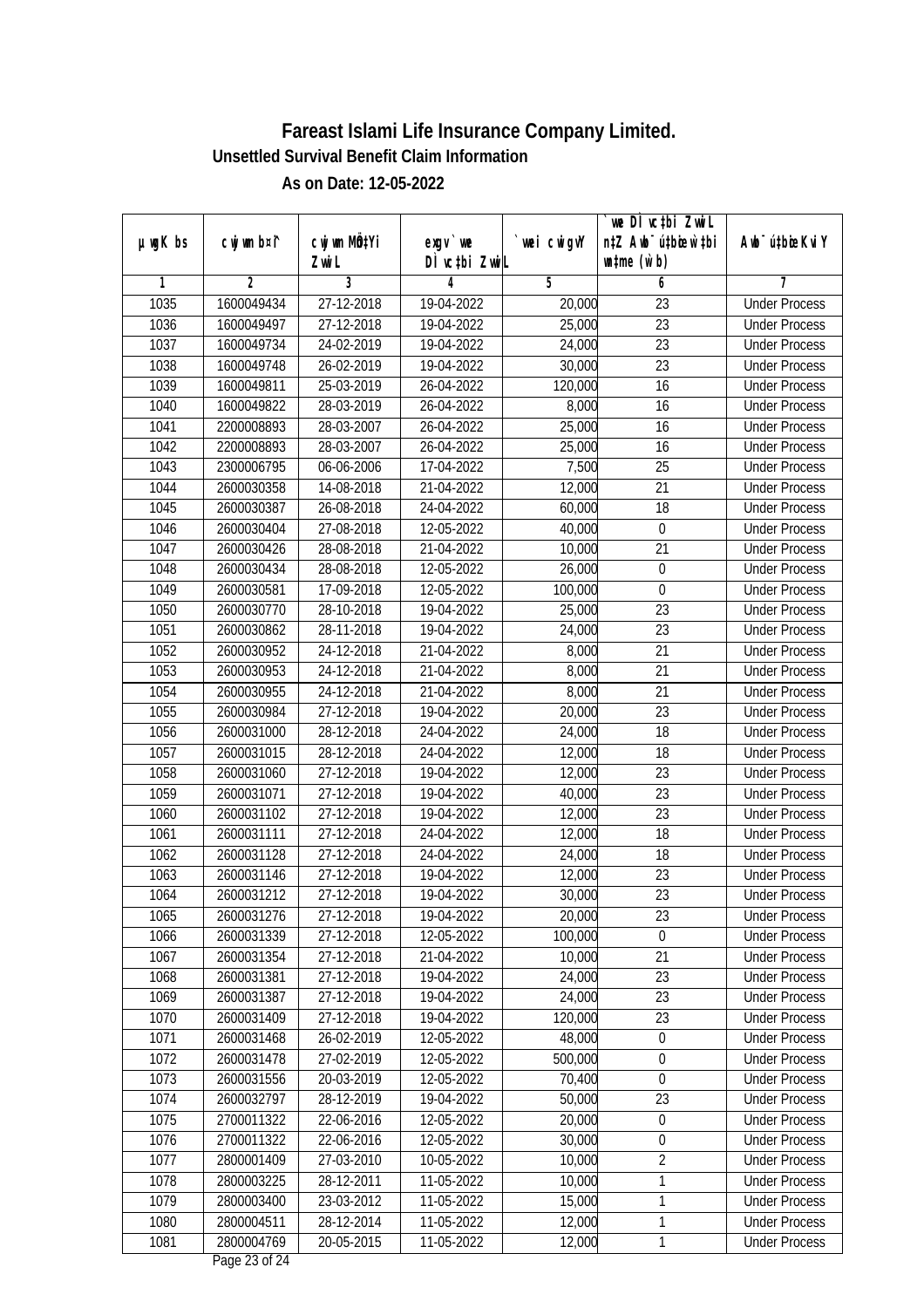|         |                |              |               |                | we DI vctbi ZwiL                 |                             |
|---------|----------------|--------------|---------------|----------------|----------------------------------|-----------------------------|
| µwgK bs | cwj wm b¤i^    | cwj wm MQtYi | $exqu$ we     | `wei cwigvY    | n‡Z Awb <sup>-</sup> ú‡bioar`‡bi | Awb <sup>-</sup> ú‡bioeKviY |
|         |                | Zwi L        | DÌ vctbi ZwiL |                | $\n  untime\n  (u`b)\n$          |                             |
| 1       | $\overline{2}$ | 3            | 4             | $\overline{5}$ | 6                                | 7                           |
| 1035    | 1600049434     | 27-12-2018   | 19-04-2022    | 20,000         | $\overline{23}$                  | <b>Under Process</b>        |
| 1036    | 1600049497     | 27-12-2018   | 19-04-2022    | 25,000         | $\overline{23}$                  | <b>Under Process</b>        |
| 1037    | 1600049734     | 24-02-2019   | 19-04-2022    | 24,000         | $\overline{23}$                  | <b>Under Process</b>        |
| 1038    | 1600049748     | 26-02-2019   | 19-04-2022    | 30,000         | 23                               | <b>Under Process</b>        |
| 1039    | 1600049811     | 25-03-2019   | 26-04-2022    | 120,000        | $\overline{16}$                  | <b>Under Process</b>        |
| 1040    | 1600049822     | 28-03-2019   | 26-04-2022    | 8,000          | 16                               | <b>Under Process</b>        |
| 1041    | 2200008893     | 28-03-2007   | 26-04-2022    | 25,000         | 16                               | <b>Under Process</b>        |
| 1042    | 2200008893     | 28-03-2007   | 26-04-2022    | 25,000         | 16                               | <b>Under Process</b>        |
| 1043    | 2300006795     | 06-06-2006   | 17-04-2022    | 7,500          | $\overline{25}$                  | <b>Under Process</b>        |
| 1044    | 2600030358     | 14-08-2018   | 21-04-2022    | 12,000         | 21                               | <b>Under Process</b>        |
| 1045    | 2600030387     | 26-08-2018   | 24-04-2022    | 60,000         | $\overline{18}$                  | <b>Under Process</b>        |
| 1046    | 2600030404     | 27-08-2018   | 12-05-2022    | 40,000         | $\boldsymbol{0}$                 | <b>Under Process</b>        |
| 1047    | 2600030426     | 28-08-2018   | 21-04-2022    | 10,000         | $\overline{21}$                  | <b>Under Process</b>        |
| 1048    | 2600030434     | 28-08-2018   | 12-05-2022    | 26,000         | $\boldsymbol{0}$                 | <b>Under Process</b>        |
| 1049    | 2600030581     | 17-09-2018   | 12-05-2022    | 100,000        | $\boldsymbol{0}$                 | <b>Under Process</b>        |
| 1050    | 2600030770     | 28-10-2018   | 19-04-2022    | 25,000         | 23                               | <b>Under Process</b>        |
| 1051    | 2600030862     | 28-11-2018   | 19-04-2022    | 24,000         | 23                               | <b>Under Process</b>        |
| 1052    | 2600030952     | 24-12-2018   | 21-04-2022    | 8,000          | 21                               | <b>Under Process</b>        |
| 1053    | 2600030953     | 24-12-2018   | 21-04-2022    | 8,000          | 21                               | <b>Under Process</b>        |
| 1054    | 2600030955     | 24-12-2018   | 21-04-2022    | 8,000          | 21                               | <b>Under Process</b>        |
| 1055    | 2600030984     | 27-12-2018   | 19-04-2022    | 20,000         | 23                               | <b>Under Process</b>        |
| 1056    | 2600031000     | 28-12-2018   | 24-04-2022    | 24,000         | 18                               | <b>Under Process</b>        |
| 1057    | 2600031015     | 28-12-2018   | 24-04-2022    | 12,000         | 18                               | <b>Under Process</b>        |
| 1058    | 2600031060     | 27-12-2018   | 19-04-2022    | 12,000         | 23                               | <b>Under Process</b>        |
| 1059    | 2600031071     | 27-12-2018   | 19-04-2022    | 40,000         | 23                               | <b>Under Process</b>        |
| 1060    | 2600031102     | 27-12-2018   | 19-04-2022    | 12,000         | 23                               | <b>Under Process</b>        |
| 1061    | 2600031111     | 27-12-2018   | 24-04-2022    | 12,000         | 18                               | <b>Under Process</b>        |
| 1062    | 2600031128     | 27-12-2018   | 24-04-2022    | 24,000         | 18                               | <b>Under Process</b>        |
| 1063    | 2600031146     | 27-12-2018   | 19-04-2022    | 12,000         | 23                               | <b>Under Process</b>        |
| 1064    | 2600031212     | 27-12-2018   | 19-04-2022    | 30,000         | 23                               | <b>Under Process</b>        |
| 1065    | 2600031276     | 27-12-2018   | 19-04-2022    | 20,000         | 23                               | <b>Under Process</b>        |
| 1066    | 2600031339     | 27-12-2018   | 12-05-2022    | 100,000        | 0                                | <b>Under Process</b>        |
| 1067    | 2600031354     | 27-12-2018   | 21-04-2022    | 10,000         | 21                               | <b>Under Process</b>        |
| 1068    | 2600031381     | 27-12-2018   | 19-04-2022    | 24,000         | 23                               | <b>Under Process</b>        |
| 1069    | 2600031387     | 27-12-2018   | 19-04-2022    | 24,000         | 23                               | <b>Under Process</b>        |
| 1070    | 2600031409     | 27-12-2018   | 19-04-2022    | 120,000        | 23                               | <b>Under Process</b>        |
| 1071    | 2600031468     | 26-02-2019   | 12-05-2022    | 48,000         | $\boldsymbol{0}$                 | <b>Under Process</b>        |
| 1072    | 2600031478     | 27-02-2019   | 12-05-2022    | 500,000        | $\boldsymbol{0}$                 | <b>Under Process</b>        |
| 1073    | 2600031556     | 20-03-2019   | 12-05-2022    | 70,400         | $\boldsymbol{0}$                 | <b>Under Process</b>        |
| 1074    | 2600032797     | 28-12-2019   | 19-04-2022    | 50,000         | 23                               | <b>Under Process</b>        |
| 1075    | 2700011322     | 22-06-2016   | 12-05-2022    | 20,000         | $\pmb{0}$                        | <b>Under Process</b>        |
| 1076    | 2700011322     | $22-06-2016$ | 12-05-2022    | 30,000         | $\boldsymbol{0}$                 | <b>Under Process</b>        |
| 1077    | 2800001409     | 27-03-2010   | 10-05-2022    | 10,000         | $\overline{2}$                   | <b>Under Process</b>        |
| 1078    | 2800003225     | 28-12-2011   | 11-05-2022    | 10,000         | 1                                | <b>Under Process</b>        |
| 1079    | 2800003400     | 23-03-2012   | 11-05-2022    | 15,000         | 1                                | <b>Under Process</b>        |
| 1080    | 2800004511     | 28-12-2014   | 11-05-2022    | 12,000         | 1                                | <b>Under Process</b>        |
| 1081    | 2800004769     | 20-05-2015   | 11-05-2022    | 12,000         | 1                                | <b>Under Process</b>        |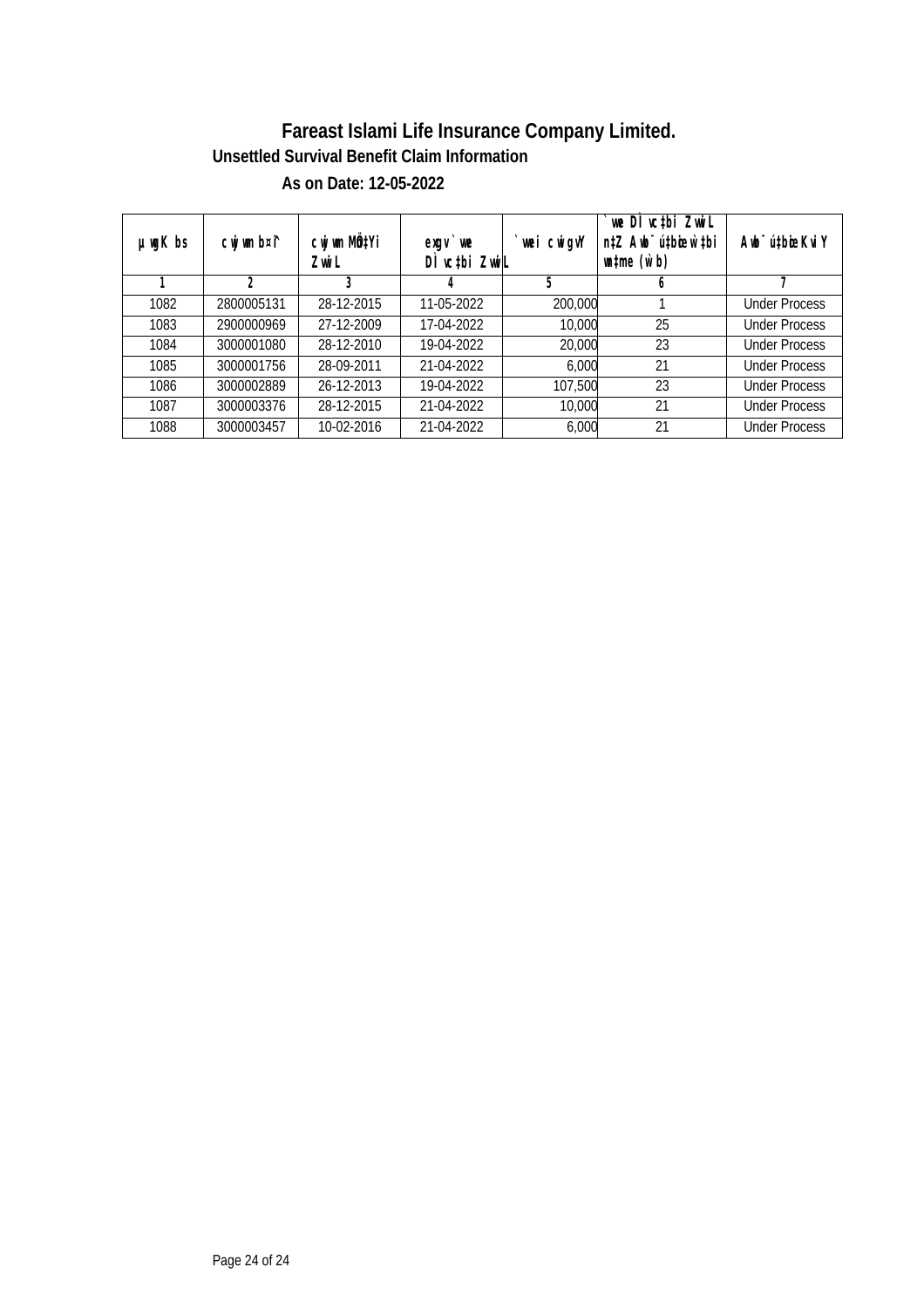| $µ$ mg $K$ bs | cwj wm b¤i^ | cwj wm MQ <sup>1</sup> Yi<br>Zwi L | $exqu$ we<br>DI vctbi ZwiL | `wei cwigvY | $\sqrt{\frac{1}{100}}$ vctbi Zwill<br>n‡Z Awb <sup>-</sup> ú‡bioen`‡bi<br>$\n  untime\n  (u`b)\n$ | Awb <sup>-</sup> ú‡bioeKvi Y |
|---------------|-------------|------------------------------------|----------------------------|-------------|---------------------------------------------------------------------------------------------------|------------------------------|
|               | 2           | 3                                  | 4                          | 5           | b                                                                                                 |                              |
| 1082          | 2800005131  | 28-12-2015                         | 11-05-2022                 | 200,000     |                                                                                                   | <b>Under Process</b>         |
| 1083          | 2900000969  | 27-12-2009                         | 17-04-2022                 | 10,000      | 25                                                                                                | <b>Under Process</b>         |
| 1084          | 3000001080  | 28-12-2010                         | 19-04-2022                 | 20,000      | 23                                                                                                | <b>Under Process</b>         |
| 1085          | 3000001756  | 28-09-2011                         | 21-04-2022                 | 6,000       | 21                                                                                                | <b>Under Process</b>         |
| 1086          | 3000002889  | 26-12-2013                         | 19-04-2022                 | 107,500     | 23                                                                                                | <b>Under Process</b>         |
| 1087          | 3000003376  | 28-12-2015                         | 21-04-2022                 | 10,000      | 21                                                                                                | <b>Under Process</b>         |
| 1088          | 3000003457  | 10-02-2016                         | 21-04-2022                 | 6,000       | 21                                                                                                | <b>Under Process</b>         |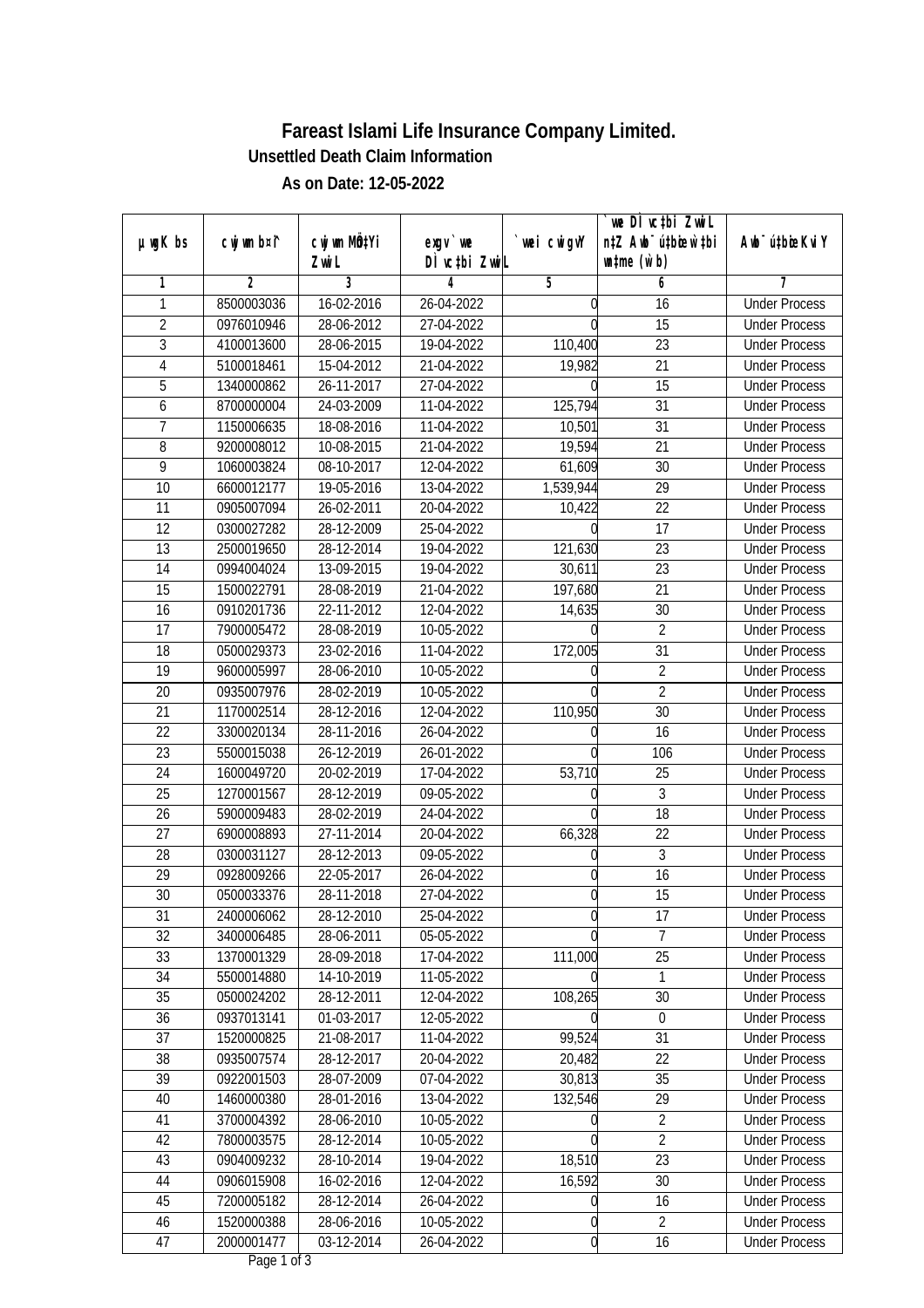|                 |                |              |               |             | we DI vctbi Zwil                 |                             |
|-----------------|----------------|--------------|---------------|-------------|----------------------------------|-----------------------------|
| $µ$ ug $K$ bs   | cwj wm b¤i^    | cwj wm MQtYi | exgv `we      | `wei cwigvY | n‡Z Awb <sup>-</sup> ú‡bioar`‡bi | Awb <sup>-</sup> ú‡bioeKviY |
|                 |                | Zwi L        | DÌ vctbi ZwiL |             | $\n  untime\n  (u`b)\n$          |                             |
| 1               | $\overline{2}$ | 3            | 4             | 5           | 6                                | 7                           |
| 1               | 8500003036     | 16-02-2016   | 26-04-2022    | U           | 16                               | <b>Under Process</b>        |
| $\overline{2}$  | 0976010946     | 28-06-2012   | 27-04-2022    | $\Omega$    | $\overline{15}$                  | <b>Under Process</b>        |
| $\overline{3}$  | 4100013600     | 28-06-2015   | 19-04-2022    | 110,400     | $\overline{23}$                  | <b>Under Process</b>        |
| 4               | 5100018461     | 15-04-2012   | 21-04-2022    | 19,982      | 21                               | <b>Under Process</b>        |
| 5               | 1340000862     | 26-11-2017   | 27-04-2022    |             | $\overline{15}$                  | <b>Under Process</b>        |
| 6               | 8700000004     | 24-03-2009   | 11-04-2022    | 125,794     | $\overline{31}$                  | <b>Under Process</b>        |
| 7               | 1150006635     | 18-08-2016   | 11-04-2022    | 10,501      | $\overline{31}$                  | <b>Under Process</b>        |
| $\overline{8}$  | 9200008012     | 10-08-2015   | 21-04-2022    | 19,594      | $\overline{21}$                  | <b>Under Process</b>        |
| $\overline{9}$  | 1060003824     | 08-10-2017   | 12-04-2022    | 61,609      | $\overline{30}$                  | <b>Under Process</b>        |
| 10              | 6600012177     | 19-05-2016   | 13-04-2022    | 1,539,944   | 29                               | <b>Under Process</b>        |
| $\overline{11}$ | 0905007094     | 26-02-2011   | 20-04-2022    | 10,422      | $\overline{22}$                  | <b>Under Process</b>        |
| 12              | 0300027282     | 28-12-2009   | 25-04-2022    |             | 17                               | <b>Under Process</b>        |
| $\overline{13}$ | 2500019650     | 28-12-2014   | 19-04-2022    | 121,630     | $\overline{23}$                  | <b>Under Process</b>        |
| 14              | 0994004024     | 13-09-2015   | 19-04-2022    | 30,611      | 23                               | <b>Under Process</b>        |
| 15              | 1500022791     | 28-08-2019   | 21-04-2022    | 197,680     | 21                               | <b>Under Process</b>        |
| 16              | 0910201736     | 22-11-2012   | 12-04-2022    | 14,635      | 30                               | <b>Under Process</b>        |
| 17              | 7900005472     | 28-08-2019   | 10-05-2022    |             | $\overline{2}$                   | <b>Under Process</b>        |
| 18              | 0500029373     | 23-02-2016   | 11-04-2022    | 172,005     | 31                               | <b>Under Process</b>        |
| 19              | 9600005997     | 28-06-2010   | 10-05-2022    |             | $\overline{2}$                   | <b>Under Process</b>        |
| 20              | 0935007976     | 28-02-2019   | 10-05-2022    |             | $\overline{2}$                   | <b>Under Process</b>        |
| 21              | 1170002514     | 28-12-2016   | 12-04-2022    | 110,950     | 30                               | <b>Under Process</b>        |
| 22              | 3300020134     | 28-11-2016   | 26-04-2022    |             | 16                               | <b>Under Process</b>        |
| 23              | 5500015038     | 26-12-2019   | 26-01-2022    |             | 106                              | <b>Under Process</b>        |
| 24              | 1600049720     | 20-02-2019   | 17-04-2022    | 53,710      | 25                               | <b>Under Process</b>        |
| 25              | 1270001567     | 28-12-2019   | 09-05-2022    | N           | $\sqrt{3}$                       | <b>Under Process</b>        |
| 26              | 5900009483     | 28-02-2019   | 24-04-2022    |             | 18                               | <b>Under Process</b>        |
| 27              | 6900008893     | 27-11-2014   | 20-04-2022    | 66,328      | 22                               | <b>Under Process</b>        |
| 28              | 0300031127     | 28-12-2013   | 09-05-2022    | 0           | 3                                | <b>Under Process</b>        |
| 29              | 0928009266     | 22-05-2017   | 26-04-2022    | 0           | $\overline{16}$                  | <b>Under Process</b>        |
| 30              | 0500033376     | 28-11-2018   | 27-04-2022    | 0           | 15                               | <b>Under Process</b>        |
| 31              | 2400006062     | 28-12-2010   | 25-04-2022    | q           | 17                               | <b>Under Process</b>        |
| 32              | 3400006485     | 28-06-2011   | 05-05-2022    |             | $\overline{7}$                   | <b>Under Process</b>        |
| 33              | 1370001329     | 28-09-2018   | 17-04-2022    | 111,000     | 25                               | <b>Under Process</b>        |
| 34              | 5500014880     | 14-10-2019   | 11-05-2022    |             | 1                                | <b>Under Process</b>        |
| 35              | 0500024202     | 28-12-2011   | 12-04-2022    | 108,265     | 30                               | <b>Under Process</b>        |
| 36              | 0937013141     | 01-03-2017   | 12-05-2022    |             | 0                                | <b>Under Process</b>        |
| 37              | 1520000825     | 21-08-2017   | 11-04-2022    | 99,524      | 31                               | <b>Under Process</b>        |
| 38              | 0935007574     | 28-12-2017   | 20-04-2022    | 20,482      | $\overline{22}$                  | <b>Under Process</b>        |
| 39              | 0922001503     | 28-07-2009   | 07-04-2022    | 30,813      | 35                               | <b>Under Process</b>        |
| 40              | 1460000380     | 28-01-2016   | 13-04-2022    | 132,546     | 29                               | <b>Under Process</b>        |
| 41              | 3700004392     | 28-06-2010   | 10-05-2022    |             | $\sqrt{2}$                       | <b>Under Process</b>        |
| 42              | 7800003575     | 28-12-2014   | 10-05-2022    | U           | $\overline{2}$                   | <b>Under Process</b>        |
| 43              | 0904009232     | 28-10-2014   | 19-04-2022    | 18,510      | $\overline{23}$                  | <b>Under Process</b>        |
| 44              | 0906015908     | 16-02-2016   | 12-04-2022    | 16,592      | 30                               | <b>Under Process</b>        |
| 45              | 7200005182     | 28-12-2014   | 26-04-2022    | 0           | 16                               | <b>Under Process</b>        |
| 46              | 1520000388     | 28-06-2016   | 10-05-2022    | 0           | $\overline{2}$                   | <b>Under Process</b>        |
| 47              | 2000001477     | $03-12-2014$ | 26-04-2022    | 0           | 16                               | <b>Under Process</b>        |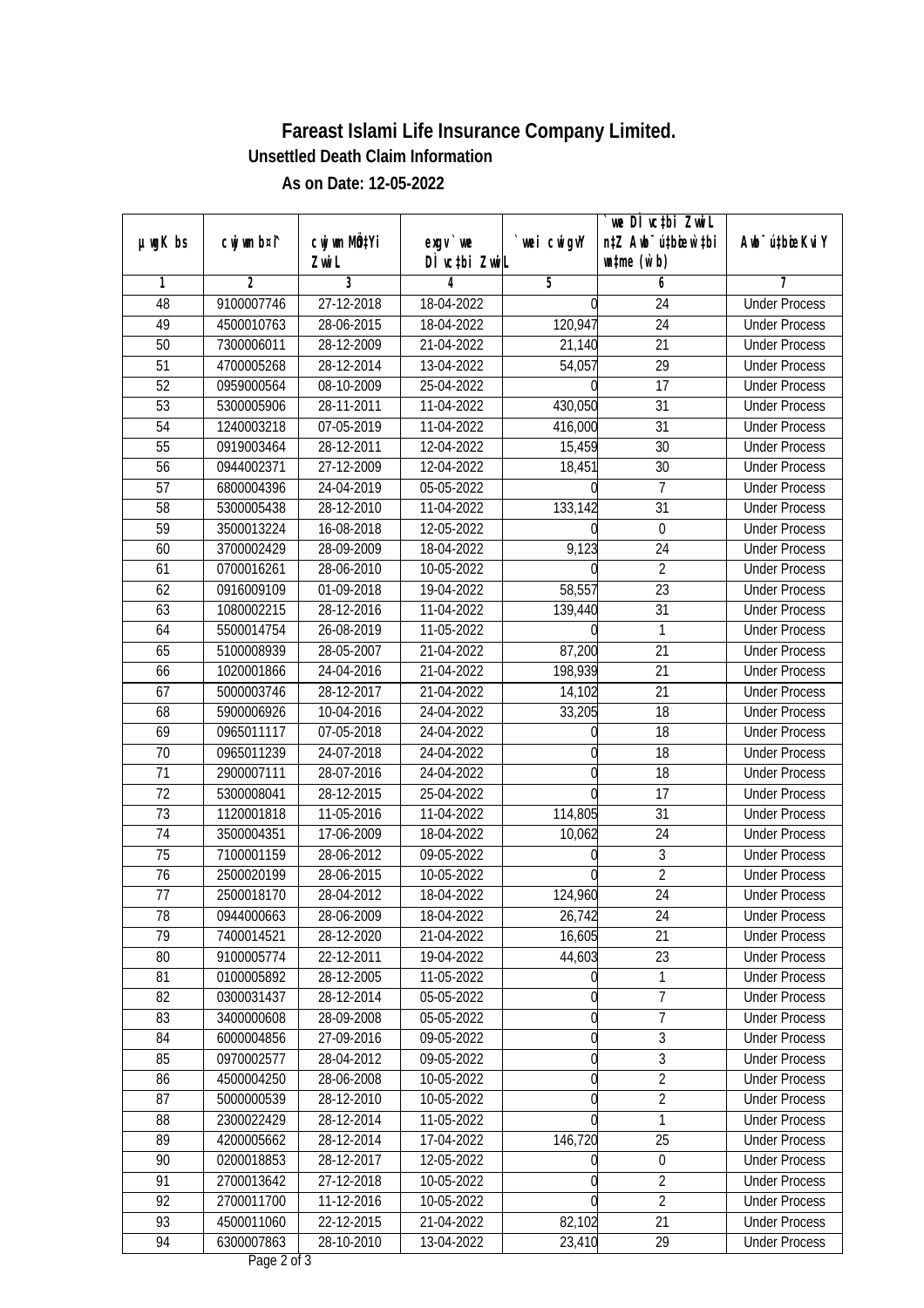|                 |                |              |               |             | we DI vctbi Zwil                             |                             |
|-----------------|----------------|--------------|---------------|-------------|----------------------------------------------|-----------------------------|
| $µ$ ug $K$ bs   | cwj wm b¤i^    | cwj wm MQtYi | exgv `we      | `wei cwigvY | n‡Z Awb <sup>-</sup> ú‡bioar`‡bi             | Awb <sup>-</sup> ú‡bioeKviY |
|                 |                | Zwi L        | DÌ vctbi ZwiL |             | $\n  un \uparrow me \left(\vec{v}, b\right)$ |                             |
| 1               | $\overline{2}$ | 3            | 4             | 5           | 6                                            | 7                           |
| 48              | 9100007746     | 27-12-2018   | 18-04-2022    | N           | 24                                           | <b>Under Process</b>        |
| 49              | 4500010763     | 28-06-2015   | 18-04-2022    | 120,947     | $\overline{24}$                              | <b>Under Process</b>        |
| 50              | 7300006011     | 28-12-2009   | 21-04-2022    | 21,140      | $\overline{21}$                              | <b>Under Process</b>        |
| 51              | 4700005268     | 28-12-2014   | 13-04-2022    | 54,057      | 29                                           | <b>Under Process</b>        |
| 52              | 0959000564     | 08-10-2009   | 25-04-2022    |             | $\overline{17}$                              | <b>Under Process</b>        |
| 53              | 5300005906     | 28-11-2011   | 11-04-2022    | 430,050     | $\overline{31}$                              | <b>Under Process</b>        |
| 54              | 1240003218     | 07-05-2019   | 11-04-2022    | 416,000     | $\overline{31}$                              | <b>Under Process</b>        |
| 55              | 0919003464     | 28-12-2011   | 12-04-2022    | 15,459      | $\overline{30}$                              | <b>Under Process</b>        |
| $\overline{56}$ | 0944002371     | 27-12-2009   | 12-04-2022    | 18,451      | $\overline{30}$                              | <b>Under Process</b>        |
| 57              | 6800004396     | 24-04-2019   | 05-05-2022    |             | $\overline{7}$                               | <b>Under Process</b>        |
| 58              | 5300005438     | 28-12-2010   | 11-04-2022    | 133,142     | $\overline{31}$                              | <b>Under Process</b>        |
| 59              | 3500013224     | 16-08-2018   | 12-05-2022    |             | $\boldsymbol{0}$                             | <b>Under Process</b>        |
| 60              | 3700002429     | 28-09-2009   | 18-04-2022    | 9,123       | $\overline{24}$                              | <b>Under Process</b>        |
| 61              | 0700016261     | 28-06-2010   | 10-05-2022    |             | $\overline{2}$                               | <b>Under Process</b>        |
| 62              | 0916009109     | 01-09-2018   | 19-04-2022    | 58,557      | 23                                           | <b>Under Process</b>        |
| 63              | 1080002215     | 28-12-2016   | 11-04-2022    | 139,440     | 31                                           | <b>Under Process</b>        |
| 64              | 5500014754     | 26-08-2019   | 11-05-2022    |             | 1                                            | <b>Under Process</b>        |
| 65              | 5100008939     | 28-05-2007   | 21-04-2022    | 87,200      | 21                                           | <b>Under Process</b>        |
| 66              | 1020001866     | 24-04-2016   | 21-04-2022    | 198,939     | 21                                           | <b>Under Process</b>        |
| 67              | 5000003746     | 28-12-2017   | 21-04-2022    | 14,102      | 21                                           | <b>Under Process</b>        |
| 68              | 5900006926     | 10-04-2016   | 24-04-2022    | 33,205      | 18                                           | <b>Under Process</b>        |
| 69              | 0965011117     | 07-05-2018   | 24-04-2022    | 0           | 18                                           | <b>Under Process</b>        |
| 70              | 0965011239     | 24-07-2018   | 24-04-2022    |             | 18                                           | <b>Under Process</b>        |
| 71              | 2900007111     | 28-07-2016   | 24-04-2022    | 0           | 18                                           | <b>Under Process</b>        |
| 72              | 5300008041     | 28-12-2015   | 25-04-2022    |             | 17                                           | <b>Under Process</b>        |
| 73              | 1120001818     | 11-05-2016   | 11-04-2022    | 114,805     | 31                                           | <b>Under Process</b>        |
| 74              | 3500004351     | 17-06-2009   | 18-04-2022    | 10,062      | 24                                           | <b>Under Process</b>        |
| 75              | 7100001159     | 28-06-2012   | 09-05-2022    | 0           | 3                                            | <b>Under Process</b>        |
| 76              | 2500020199     | 28-06-2015   | 10-05-2022    |             | $\overline{2}$                               | <b>Under Process</b>        |
| 77              | 2500018170     | 28-04-2012   | 18-04-2022    | 124,960     | 24                                           | <b>Under Process</b>        |
| 78              | 0944000663     | 28-06-2009   | 18-04-2022    | 26,742      | 24                                           | <b>Under Process</b>        |
| 79              | 7400014521     | 28-12-2020   | 21-04-2022    | 16,605      | 21                                           | <b>Under Process</b>        |
| 80              | 9100005774     | 22-12-2011   | 19-04-2022    | 44,603      | 23                                           | <b>Under Process</b>        |
| 81              | 0100005892     | 28-12-2005   | 11-05-2022    |             | 1                                            | <b>Under Process</b>        |
| 82              | 0300031437     | 28-12-2014   | 05-05-2022    | 0           | 7                                            | <b>Under Process</b>        |
| 83              | 3400000608     | 28-09-2008   | 05-05-2022    | 0           | $\overline{7}$                               | <b>Under Process</b>        |
| 84              | 6000004856     | 27-09-2016   | 09-05-2022    | 0           | $\overline{3}$                               | <b>Under Process</b>        |
| 85              | 0970002577     | 28-04-2012   | 09-05-2022    | 0           | $\overline{3}$                               | <b>Under Process</b>        |
| 86              | 4500004250     | 28-06-2008   | 10-05-2022    | 0           | $\overline{2}$                               | <b>Under Process</b>        |
| 87              | 5000000539     | 28-12-2010   | 10-05-2022    | 0           | $\overline{2}$                               | <b>Under Process</b>        |
| 88              | 2300022429     | 28-12-2014   | 11-05-2022    |             | 1                                            | <b>Under Process</b>        |
| 89              | 4200005662     | 28-12-2014   | 17-04-2022    | 146,720     | 25                                           | <b>Under Process</b>        |
| 90              | 0200018853     | 28-12-2017   | 12-05-2022    |             | $\boldsymbol{0}$                             | <b>Under Process</b>        |
| 91              | 2700013642     | 27-12-2018   | 10-05-2022    | 0           | $\overline{2}$                               | <b>Under Process</b>        |
| 92              | 2700011700     | 11-12-2016   | 10-05-2022    |             | $\overline{2}$                               | <b>Under Process</b>        |
| 93              | 4500011060     | 22-12-2015   | 21-04-2022    | 82,102      | 21                                           | <b>Under Process</b>        |
| 94              | 6300007863     | 28-10-2010   | 13-04-2022    | 23,410      | 29                                           | <b>Under Process</b>        |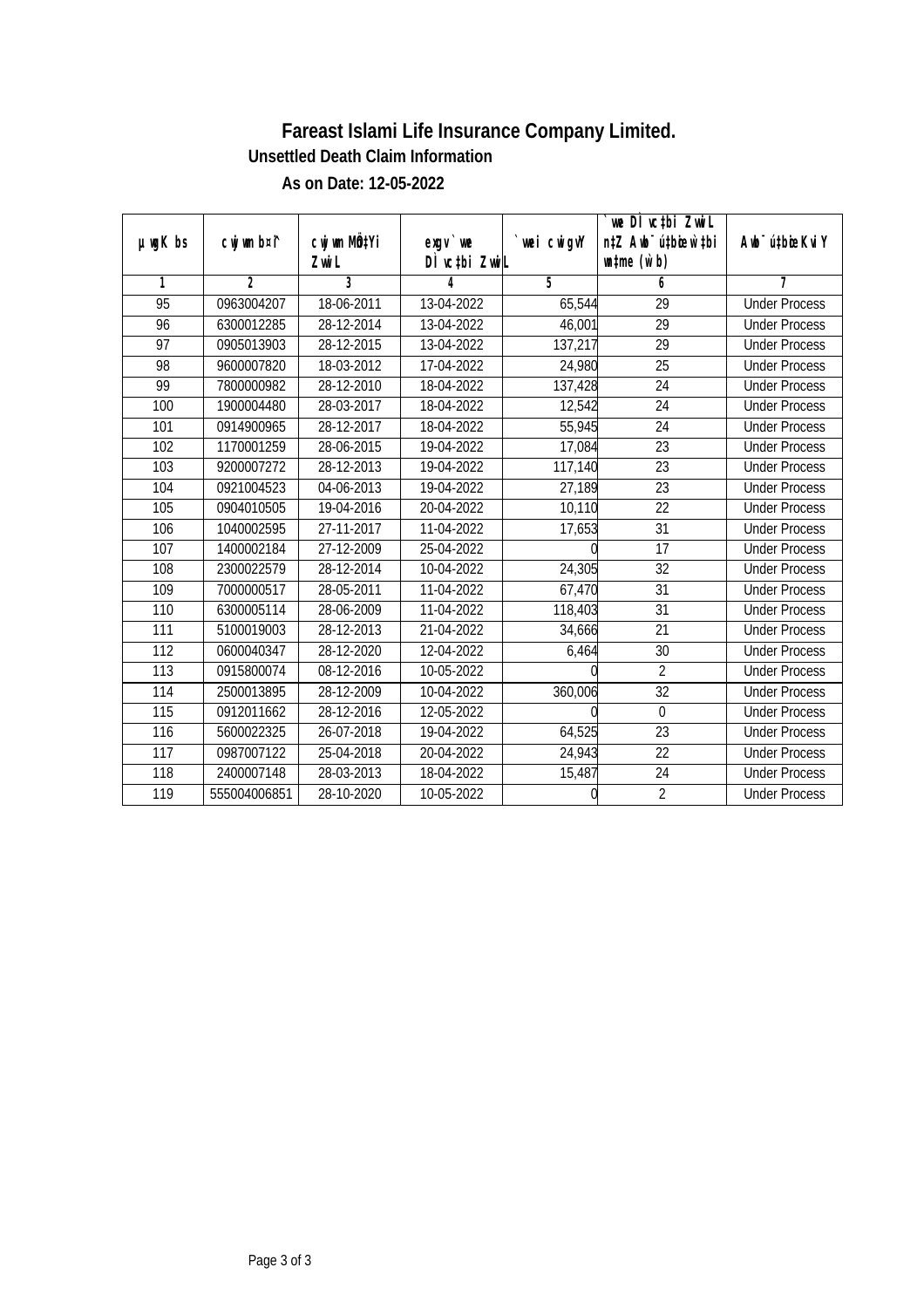| $µ$ ug $K$ bs   | cwj wm b¤i^    | cwj wm MÖ¢Yi | $exgV$ we     | wei cwigvY | we DI vctbi ZwiL<br>n‡Z Awb <sup>-</sup> ú‡bioar`‡bi | Awb <sup>-</sup> ú‡bioeKviY |
|-----------------|----------------|--------------|---------------|------------|------------------------------------------------------|-----------------------------|
|                 |                | Zwi L        | DÌ vctbi ZwiL |            | $\n  untime\n  (u`b)\n$                              |                             |
| 1               | $\mathfrak{D}$ | 3            | 4             | 5          | 6                                                    | 7                           |
| $\overline{95}$ | 0963004207     | 18-06-2011   | 13-04-2022    | 65,544     | $\overline{29}$                                      | <b>Under Process</b>        |
| 96              | 6300012285     | 28-12-2014   | 13-04-2022    | 46,001     | 29                                                   | <b>Under Process</b>        |
| $\overline{97}$ | 0905013903     | 28-12-2015   | 13-04-2022    | 137,217    | 29                                                   | <b>Under Process</b>        |
| 98              | 9600007820     | 18-03-2012   | 17-04-2022    | 24,980     | $\overline{25}$                                      | <b>Under Process</b>        |
| 99              | 7800000982     | 28-12-2010   | 18-04-2022    | 137,428    | $\overline{24}$                                      | <b>Under Process</b>        |
| 100             | 1900004480     | 28-03-2017   | 18-04-2022    | 12,542     | $\overline{24}$                                      | <b>Under Process</b>        |
| 101             | 0914900965     | 28-12-2017   | 18-04-2022    | 55,945     | $\overline{24}$                                      | <b>Under Process</b>        |
| 102             | 1170001259     | 28-06-2015   | 19-04-2022    | 17,084     | $\overline{23}$                                      | <b>Under Process</b>        |
| 103             | 9200007272     | 28-12-2013   | 19-04-2022    | 117,140    | $\overline{23}$                                      | <b>Under Process</b>        |
| 104             | 0921004523     | 04-06-2013   | 19-04-2022    | 27,189     | 23                                                   | <b>Under Process</b>        |
| 105             | 0904010505     | 19-04-2016   | 20-04-2022    | 10,110     | $\overline{22}$                                      | <b>Under Process</b>        |
| 106             | 1040002595     | 27-11-2017   | 11-04-2022    | 17,653     | 31                                                   | <b>Under Process</b>        |
| 107             | 1400002184     | 27-12-2009   | 25-04-2022    |            | $\overline{17}$                                      | <b>Under Process</b>        |
| 108             | 2300022579     | 28-12-2014   | 10-04-2022    | 24,305     | 32                                                   | <b>Under Process</b>        |
| 109             | 7000000517     | 28-05-2011   | 11-04-2022    | 67,470     | 31                                                   | <b>Under Process</b>        |
| 110             | 6300005114     | 28-06-2009   | 11-04-2022    | 118,403    | 31                                                   | <b>Under Process</b>        |
| 111             | 5100019003     | 28-12-2013   | 21-04-2022    | 34,666     | 21                                                   | <b>Under Process</b>        |
| 112             | 0600040347     | 28-12-2020   | 12-04-2022    | 6,464      | 30                                                   | <b>Under Process</b>        |
| 113             | 0915800074     | 08-12-2016   | 10-05-2022    |            | $\overline{2}$                                       | <b>Under Process</b>        |
| 114             | 2500013895     | 28-12-2009   | 10-04-2022    | 360,006    | 32                                                   | <b>Under Process</b>        |
| 115             | 0912011662     | 28-12-2016   | 12-05-2022    |            | $\mathbf 0$                                          | <b>Under Process</b>        |
| 116             | 5600022325     | 26-07-2018   | 19-04-2022    | 64,525     | 23                                                   | <b>Under Process</b>        |
| 117             | 0987007122     | 25-04-2018   | 20-04-2022    | 24,943     | 22                                                   | <b>Under Process</b>        |
| 118             | 2400007148     | 28-03-2013   | 18-04-2022    | 15,487     | 24                                                   | <b>Under Process</b>        |
| 119             | 555004006851   | 28-10-2020   | 10-05-2022    |            | $\overline{2}$                                       | <b>Under Process</b>        |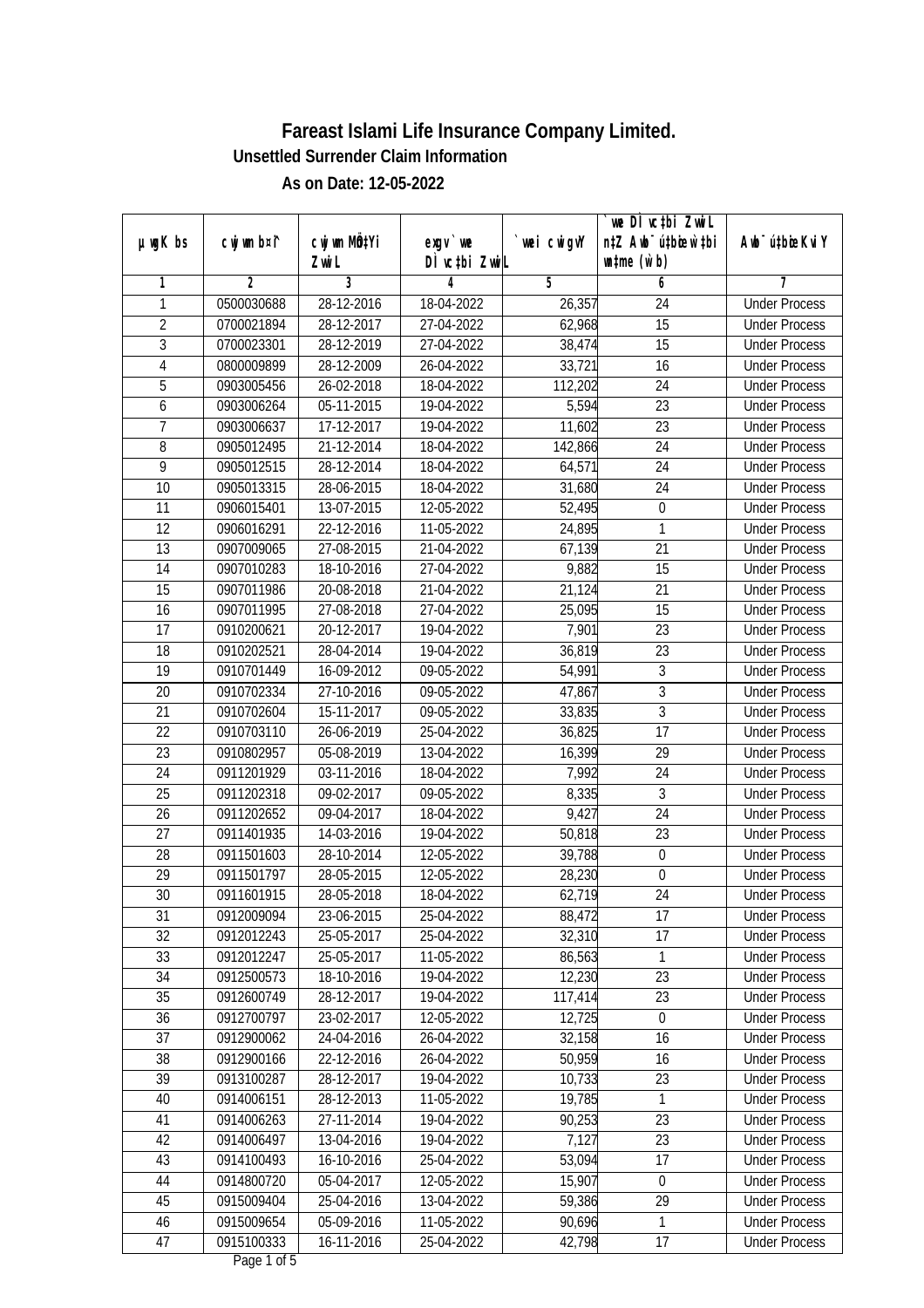|                |             |                             |               |             | `we DÌ vc‡bi ZwwiL               |                             |
|----------------|-------------|-----------------------------|---------------|-------------|----------------------------------|-----------------------------|
| $µ$ ug $K$ bs  | cwj wm b¤i^ | CW wm MQYi                  | $exgV$ we     | `wei cwigvY | n‡Z Awb <sup>-</sup> ú‡bioen`‡bi | Awb <sup>-</sup> ú‡bioeKviY |
|                |             | Zwi L                       | DÌ vctbi ZwiL |             | $\n  untime\n  (u`b)\n$          |                             |
| 1              | 2           | 3                           | 4             | 5           | 6                                | 7                           |
| 1              | 0500030688  | 28-12-2016                  | 18-04-2022    | 26,357      | 24                               | <b>Under Process</b>        |
| $\overline{2}$ | 0700021894  | 28-12-2017                  | 27-04-2022    | 62,968      | $\overline{15}$                  | <b>Under Process</b>        |
| $\overline{3}$ | 0700023301  | 28-12-2019                  | 27-04-2022    | 38,474      | $\overline{15}$                  | <b>Under Process</b>        |
| $\overline{4}$ | 0800009899  | 28-12-2009                  | 26-04-2022    | 33,721      | 16                               | <b>Under Process</b>        |
| 5              | 0903005456  | 26-02-2018                  | 18-04-2022    | 112,202     | $\overline{24}$                  | <b>Under Process</b>        |
| 6              | 0903006264  | 05-11-2015                  | 19-04-2022    | 5,594       | $\overline{23}$                  | <b>Under Process</b>        |
| 7              | 0903006637  | 17-12-2017                  | 19-04-2022    | 11,602      | $\overline{23}$                  | <b>Under Process</b>        |
| $\overline{8}$ | 0905012495  | 21-12-2014                  | 18-04-2022    | 142,866     | $\overline{24}$                  | <b>Under Process</b>        |
| $\overline{9}$ | 0905012515  | 28-12-2014                  | 18-04-2022    | 64,571      | 24                               | <b>Under Process</b>        |
| 10             | 0905013315  | 28-06-2015                  | 18-04-2022    | 31,680      | 24                               | <b>Under Process</b>        |
| 11             | 0906015401  | $\overline{13} - 07 - 2015$ | 12-05-2022    | 52,495      | 0                                | <b>Under Process</b>        |
| 12             | 0906016291  | 22-12-2016                  | 11-05-2022    | 24,895      | 1                                | <b>Under Process</b>        |
| 13             | 0907009065  | 27-08-2015                  | 21-04-2022    | 67,139      | $\overline{21}$                  | <b>Under Process</b>        |
| 14             | 0907010283  | 18-10-2016                  | 27-04-2022    | 9,882       | 15                               | <b>Under Process</b>        |
| 15             | 0907011986  | 20-08-2018                  | 21-04-2022    | 21,124      | 21                               | <b>Under Process</b>        |
| 16             | 0907011995  | 27-08-2018                  | 27-04-2022    | 25,095      | 15                               | <b>Under Process</b>        |
| 17             | 0910200621  | 20-12-2017                  | 19-04-2022    | 7,901       | 23                               | <b>Under Process</b>        |
| 18             | 0910202521  | 28-04-2014                  | 19-04-2022    | 36,819      | 23                               | <b>Under Process</b>        |
| 19             | 0910701449  | 16-09-2012                  | 09-05-2022    | 54,991      | $\overline{3}$                   | <b>Under Process</b>        |
| 20             | 0910702334  | 27-10-2016                  | 09-05-2022    | 47,867      | $\overline{3}$                   | <b>Under Process</b>        |
| 21             | 0910702604  | 15-11-2017                  | 09-05-2022    | 33,835      | 3                                | <b>Under Process</b>        |
| 22             | 0910703110  | 26-06-2019                  | 25-04-2022    | 36,825      | 17                               | <b>Under Process</b>        |
| 23             | 0910802957  | 05-08-2019                  | 13-04-2022    | 16,399      | 29                               | <b>Under Process</b>        |
| 24             | 0911201929  | 03-11-2016                  | 18-04-2022    | 7,992       | 24                               | <b>Under Process</b>        |
| 25             | 0911202318  | 09-02-2017                  | 09-05-2022    | 8,335       | $\mathfrak{Z}$                   | <b>Under Process</b>        |
| 26             | 0911202652  | 09-04-2017                  | 18-04-2022    | 9,427       | 24                               | <b>Under Process</b>        |
| 27             | 0911401935  | 14-03-2016                  | 19-04-2022    | 50,818      | 23                               | <b>Under Process</b>        |
| 28             | 0911501603  | 28-10-2014                  | 12-05-2022    | 39,788      | $\boldsymbol{0}$                 | <b>Under Process</b>        |
| 29             | 0911501797  | 28-05-2015                  | 12-05-2022    | 28,230      | $\boldsymbol{0}$                 | <b>Under Process</b>        |
| 30             | 0911601915  | 28-05-2018                  | 18-04-2022    | 62,719      | 24                               | <b>Under Process</b>        |
| 31             | 0912009094  | 23-06-2015                  | 25-04-2022    | 88,472      | 17                               | <b>Under Process</b>        |
| 32             | 0912012243  | 25-05-2017                  | 25-04-2022    | 32,310      | 17                               | <b>Under Process</b>        |
| 33             | 0912012247  | 25-05-2017                  | 11-05-2022    | 86,563      | 1                                | <b>Under Process</b>        |
| 34             | 0912500573  | 18-10-2016                  | 19-04-2022    | 12,230      | 23                               | <b>Under Process</b>        |
| 35             | 0912600749  | 28-12-2017                  | 19-04-2022    | 117,414     | 23                               | <b>Under Process</b>        |
| 36             | 0912700797  | 23-02-2017                  | 12-05-2022    | 12,725      | $\boldsymbol{0}$                 | <b>Under Process</b>        |
| 37             | 0912900062  | 24-04-2016                  | 26-04-2022    | 32,158      | 16                               | <b>Under Process</b>        |
| 38             | 0912900166  | 22-12-2016                  | 26-04-2022    | 50,959      | 16                               | <b>Under Process</b>        |
| 39             | 0913100287  | 28-12-2017                  | 19-04-2022    | 10,733      | 23                               | <b>Under Process</b>        |
| 40             | 0914006151  | 28-12-2013                  | 11-05-2022    | 19,785      | 1                                | <b>Under Process</b>        |
| 41             | 0914006263  | 27-11-2014                  | 19-04-2022    | 90,253      | 23                               | <b>Under Process</b>        |
| 42             | 0914006497  | 13-04-2016                  | 19-04-2022    | 7,127       | 23                               | <b>Under Process</b>        |
| 43             | 0914100493  | 16-10-2016                  | 25-04-2022    | 53,094      | $\overline{17}$                  | <b>Under Process</b>        |
| 44             | 0914800720  | 05-04-2017                  | 12-05-2022    | 15,907      | $\boldsymbol{0}$                 | <b>Under Process</b>        |
| 45             | 0915009404  | 25-04-2016                  | 13-04-2022    | 59,386      | 29                               | <b>Under Process</b>        |
| 46             | 0915009654  | 05-09-2016                  | 11-05-2022    | 90,696      | 1                                | <b>Under Process</b>        |
| 47             | 0915100333  | $16 - 11 - 2016$            | 25-04-2022    | 42,798      | 17                               | <b>Under Process</b>        |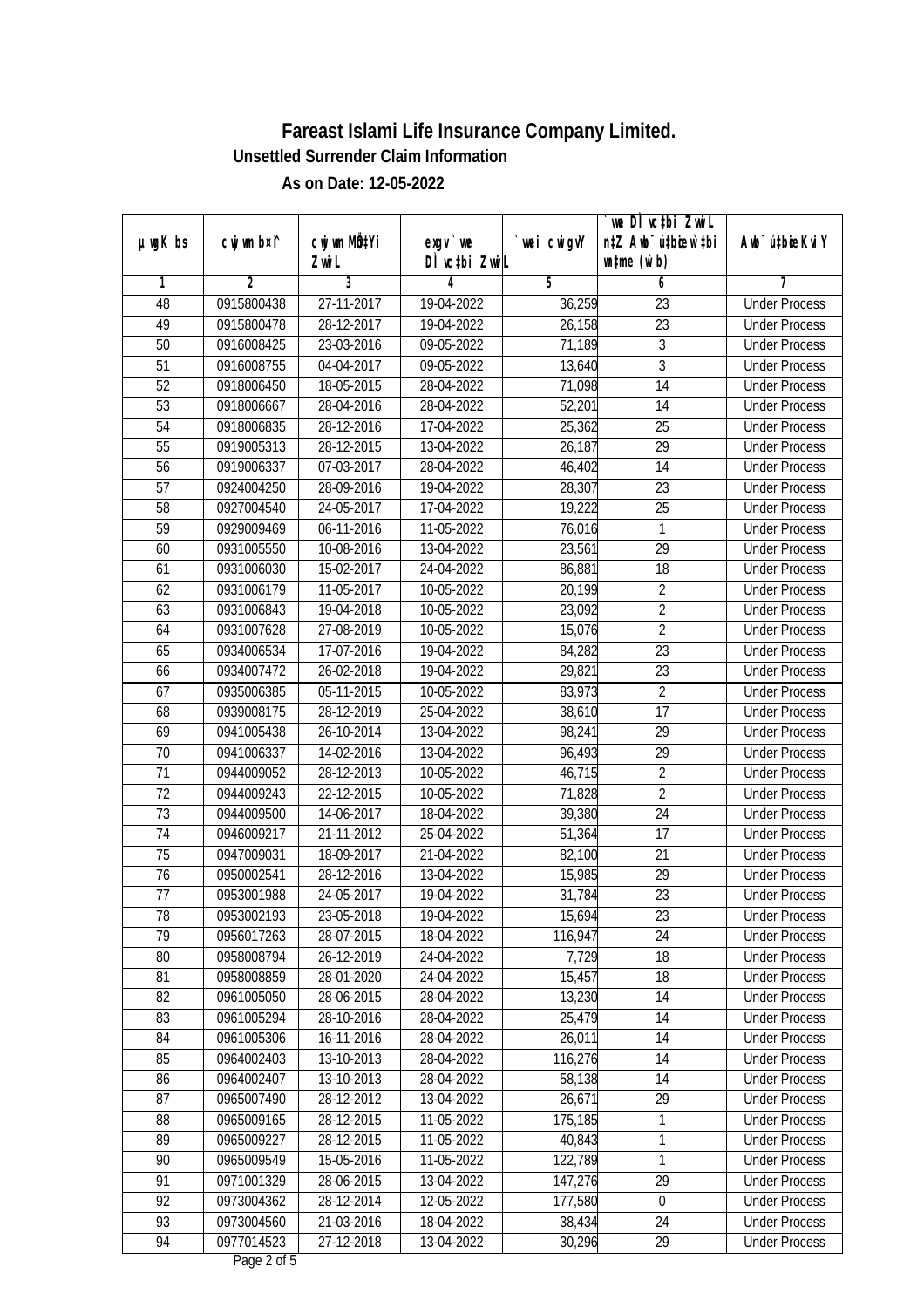|                 |                |                           |               |             | we DI vctbi ZwiL                 |                             |
|-----------------|----------------|---------------------------|---------------|-------------|----------------------------------|-----------------------------|
| $µ$ ug $K$ bs   | cwj wm b¤i^    | cwj wm MQ <sup>1</sup> Yi | $exqu$ we     | `wei cwigvY | n‡Z Awb <sup>-</sup> ú‡bioen`‡bi | Awb <sup>-</sup> ú‡bioeKviY |
|                 |                | Zwi L                     | DÌ vctbi ZwiL |             | $\n  untime\n  (u`b)\n$          |                             |
| 1               | $\overline{2}$ | 3                         | 4             | 5           | 6                                | 7                           |
| 48              | 0915800438     | 27-11-2017                | 19-04-2022    | 36,259      | 23                               | <b>Under Process</b>        |
| 49              | 0915800478     | 28-12-2017                | 19-04-2022    | 26,158      | 23                               | <b>Under Process</b>        |
| 50              | 0916008425     | 23-03-2016                | 09-05-2022    | 71,189      | $\overline{3}$                   | <b>Under Process</b>        |
| $\overline{51}$ | 0916008755     | 04-04-2017                | 09-05-2022    | 13,640      | $\overline{3}$                   | <b>Under Process</b>        |
| 52              | 0918006450     | 18-05-2015                | 28-04-2022    | 71,098      | $\overline{14}$                  | <b>Under Process</b>        |
| 53              | 0918006667     | 28-04-2016                | 28-04-2022    | 52,201      | 14                               | <b>Under Process</b>        |
| 54              | 0918006835     | 28-12-2016                | 17-04-2022    | 25,362      | $\overline{25}$                  | <b>Under Process</b>        |
| 55              | 0919005313     | 28-12-2015                | 13-04-2022    | 26,187      | 29                               | <b>Under Process</b>        |
| 56              | 0919006337     | 07-03-2017                | 28-04-2022    | 46,402      | 14                               | <b>Under Process</b>        |
| 57              | 0924004250     | 28-09-2016                | 19-04-2022    | 28,307      | $\overline{23}$                  | <b>Under Process</b>        |
| 58              | 0927004540     | 24-05-2017                | 17-04-2022    | 19,222      | $\overline{25}$                  | <b>Under Process</b>        |
| 59              | 0929009469     | 06-11-2016                | 11-05-2022    | 76,016      | 1                                | <b>Under Process</b>        |
| 60              | 0931005550     | 10-08-2016                | 13-04-2022    | 23,561      | $\overline{29}$                  | <b>Under Process</b>        |
| 61              | 0931006030     | 15-02-2017                | 24-04-2022    | 86,881      | 18                               | <b>Under Process</b>        |
| 62              | 0931006179     | 11-05-2017                | 10-05-2022    | 20,199      | $\overline{2}$                   | <b>Under Process</b>        |
| 63              | 0931006843     | 19-04-2018                | 10-05-2022    | 23,092      | $\overline{2}$                   | <b>Under Process</b>        |
| 64              | 0931007628     | 27-08-2019                | 10-05-2022    | 15,076      | $\overline{2}$                   | <b>Under Process</b>        |
| 65              | 0934006534     | 17-07-2016                | 19-04-2022    | 84,282      | 23                               | <b>Under Process</b>        |
| 66              | 0934007472     | 26-02-2018                | 19-04-2022    | 29,821      | 23                               | <b>Under Process</b>        |
| 67              | 0935006385     | 05-11-2015                | 10-05-2022    | 83,973      | $\overline{2}$                   | <b>Under Process</b>        |
| 68              | 0939008175     | 28-12-2019                | 25-04-2022    | 38,610      | $\overline{17}$                  | <b>Under Process</b>        |
| 69              | 0941005438     | 26-10-2014                | 13-04-2022    | 98,241      | 29                               | <b>Under Process</b>        |
| 70              | 0941006337     | 14-02-2016                | 13-04-2022    | 96,493      | 29                               | <b>Under Process</b>        |
| 71              | 0944009052     | 28-12-2013                | 10-05-2022    | 46,715      | $\overline{2}$                   | <b>Under Process</b>        |
| 72              | 0944009243     | 22-12-2015                | 10-05-2022    | 71,828      | $\overline{2}$                   | <b>Under Process</b>        |
| 73              | 0944009500     | 14-06-2017                | 18-04-2022    | 39,380      | 24                               | <b>Under Process</b>        |
| 74              | 0946009217     | 21-11-2012                | 25-04-2022    | 51,364      | 17                               | <b>Under Process</b>        |
| 75              | 0947009031     | 18-09-2017                | 21-04-2022    | 82,100      | 21                               | <b>Under Process</b>        |
| 76              | 0950002541     | 28-12-2016                | 13-04-2022    | 15,985      | 29                               | <b>Under Process</b>        |
| 77              | 0953001988     | 24-05-2017                | 19-04-2022    | 31,784      | 23                               | <b>Under Process</b>        |
| 78              | 0953002193     | 23-05-2018                | 19-04-2022    | 15,694      | 23                               | <b>Under Process</b>        |
| 79              | 0956017263     | 28-07-2015                | 18-04-2022    | 116,947     | 24                               | <b>Under Process</b>        |
| 80              | 0958008794     | 26-12-2019                | 24-04-2022    | 7,729       | 18                               | <b>Under Process</b>        |
| 81              | 0958008859     | 28-01-2020                | 24-04-2022    | 15,457      | 18                               | <b>Under Process</b>        |
| 82              | 0961005050     | 28-06-2015                | 28-04-2022    | 13,230      | 14                               | <b>Under Process</b>        |
| 83              | 0961005294     | 28-10-2016                | 28-04-2022    | 25,479      | 14                               | <b>Under Process</b>        |
| 84              | 0961005306     | 16-11-2016                | 28-04-2022    | 26,011      | 14                               | <b>Under Process</b>        |
| 85              | 0964002403     | 13-10-2013                | 28-04-2022    | 116,276     | 14                               | <b>Under Process</b>        |
| 86              | 0964002407     | 13-10-2013                | 28-04-2022    | 58,138      | 14                               | <b>Under Process</b>        |
| 87              | 0965007490     | 28-12-2012                | 13-04-2022    | 26,671      | 29                               | <b>Under Process</b>        |
| 88              | 0965009165     | 28-12-2015                | 11-05-2022    | 175,185     | $\mathbf{1}$                     | <b>Under Process</b>        |
| 89              | 0965009227     | 28-12-2015                | 11-05-2022    | 40,843      | 1                                | <b>Under Process</b>        |
| 90              | 0965009549     | 15-05-2016                | 11-05-2022    | 122,789     | 1                                | <b>Under Process</b>        |
| 91              | 0971001329     | 28-06-2015                | 13-04-2022    | 147,276     | 29                               | <b>Under Process</b>        |
| 92              | 0973004362     | 28-12-2014                | 12-05-2022    | 177,580     | $\pmb{0}$                        | <b>Under Process</b>        |
| 93              | 0973004560     | 21-03-2016                | 18-04-2022    | 38,434      | 24                               | <b>Under Process</b>        |
| 94              | 0977014523     | 27-12-2018                | 13-04-2022    | 30,296      | 29                               | <b>Under Process</b>        |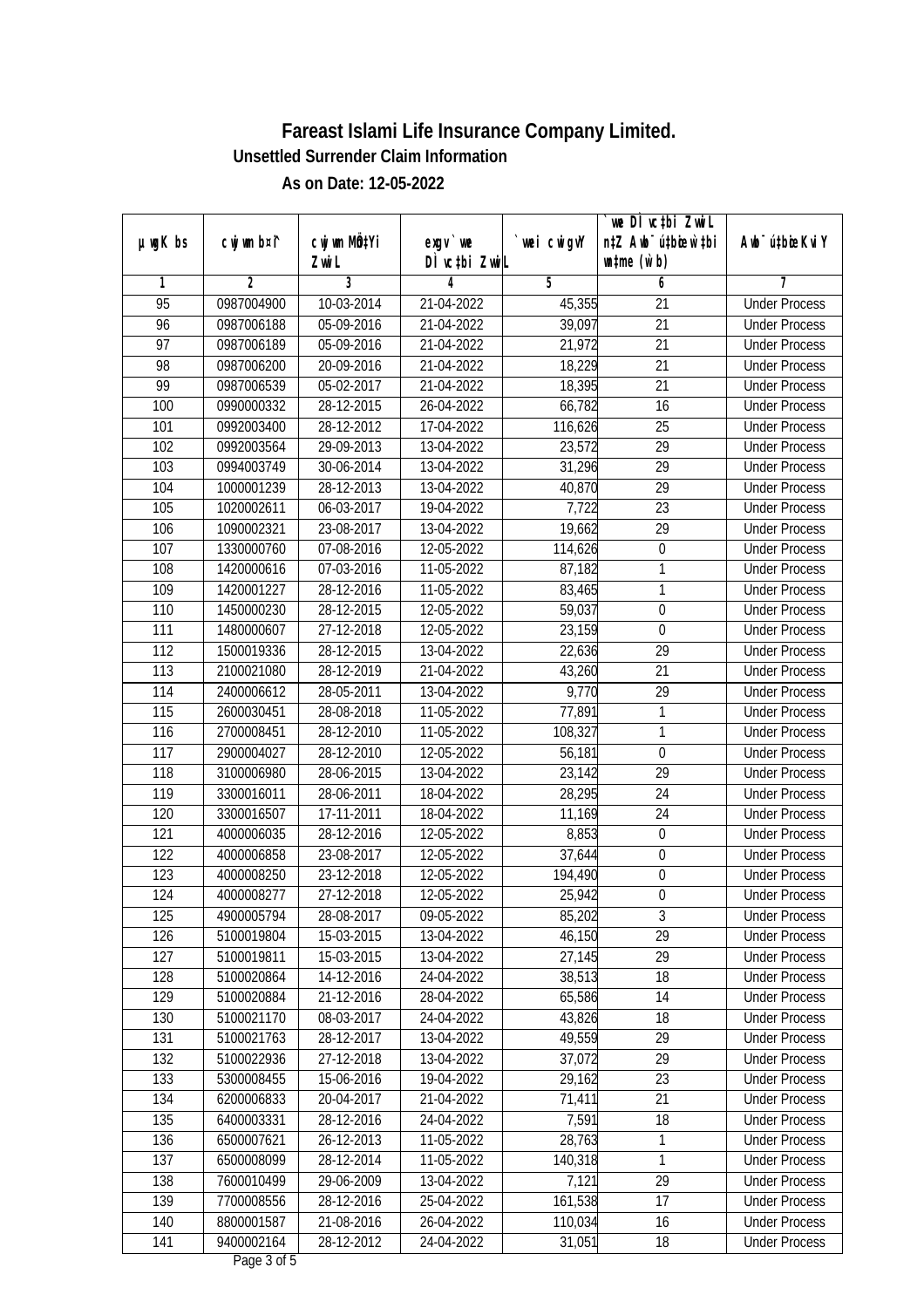|                 |                |                  |               |             | we DI vctbi ZwiL                 |                             |
|-----------------|----------------|------------------|---------------|-------------|----------------------------------|-----------------------------|
| $µ$ ug $K$ bs   | cwj wm b¤i^    | cwj wm MQtYi     | $exgv$ we     | `wei cwigvY | n‡Z Awb <sup>-</sup> ú‡bioen`‡bi | Awb <sup>-</sup> ú‡bioeKviY |
|                 |                | Zwi L            | DÌ vctbi ZwiL |             | $\n  untime\n  (u`b)\n$          |                             |
| 1               | $\overline{2}$ | 3                | 4             | 5           | 6                                | 7                           |
| $\overline{95}$ | 0987004900     | 10-03-2014       | 21-04-2022    | 45,355      | 21                               | <b>Under Process</b>        |
| 96              | 0987006188     | 05-09-2016       | 21-04-2022    | 39,097      | 21                               | <b>Under Process</b>        |
| $\overline{97}$ | 0987006189     | 05-09-2016       | 21-04-2022    | 21,972      | $\overline{21}$                  | <b>Under Process</b>        |
| 98              | 0987006200     | $20 - 09 - 2016$ | 21-04-2022    | 18,229      | $\overline{21}$                  | <b>Under Process</b>        |
| 99              | 0987006539     | 05-02-2017       | 21-04-2022    | 18,395      | $\overline{21}$                  | <b>Under Process</b>        |
| 100             | 0990000332     | 28-12-2015       | 26-04-2022    | 66,782      | 16                               | <b>Under Process</b>        |
| 101             | 0992003400     | 28-12-2012       | 17-04-2022    | 116,626     | $\overline{25}$                  | <b>Under Process</b>        |
| 102             | 0992003564     | 29-09-2013       | 13-04-2022    | 23,572      | 29                               | <b>Under Process</b>        |
| 103             | 0994003749     | 30-06-2014       | 13-04-2022    | 31,296      | $\overline{29}$                  | <b>Under Process</b>        |
| 104             | 1000001239     | 28-12-2013       | 13-04-2022    | 40,870      | $\overline{29}$                  | <b>Under Process</b>        |
| 105             | 1020002611     | 06-03-2017       | 19-04-2022    | 7,722       | $\overline{23}$                  | <b>Under Process</b>        |
| 106             | 1090002321     | 23-08-2017       | 13-04-2022    | 19,662      | 29                               | <b>Under Process</b>        |
| 107             | 1330000760     | 07-08-2016       | 12-05-2022    | 114,626     | $\boldsymbol{0}$                 | <b>Under Process</b>        |
| 108             | 1420000616     | 07-03-2016       | 11-05-2022    | 87,182      | 1                                | <b>Under Process</b>        |
| 109             | 1420001227     | $28-12-2016$     | 11-05-2022    | 83,465      | 1                                | <b>Under Process</b>        |
| 110             | 1450000230     | 28-12-2015       | 12-05-2022    | 59,037      | $\overline{0}$                   | <b>Under Process</b>        |
| 111             | 1480000607     | 27-12-2018       | 12-05-2022    | 23,159      | $\boldsymbol{0}$                 | <b>Under Process</b>        |
| 112             | 1500019336     | 28-12-2015       | 13-04-2022    | 22,636      | 29                               | <b>Under Process</b>        |
| 113             | 2100021080     | 28-12-2019       | 21-04-2022    | 43,260      | 21                               | <b>Under Process</b>        |
| 114             | 2400006612     | 28-05-2011       | 13-04-2022    | 9,770       | 29                               | <b>Under Process</b>        |
| 115             | 2600030451     | 28-08-2018       | 11-05-2022    | 77,891      | 1                                | <b>Under Process</b>        |
| 116             | 2700008451     | 28-12-2010       | 11-05-2022    | 108,327     | 1                                | <b>Under Process</b>        |
| 117             | 2900004027     | 28-12-2010       | 12-05-2022    | 56,181      | $\boldsymbol{0}$                 | <b>Under Process</b>        |
| 118             | 3100006980     | 28-06-2015       | 13-04-2022    | 23,142      | 29                               | <b>Under Process</b>        |
| 119             | 3300016011     | 28-06-2011       | 18-04-2022    | 28,295      | 24                               | <b>Under Process</b>        |
| 120             | 3300016507     | 17-11-2011       | 18-04-2022    | 11,169      | 24                               | <b>Under Process</b>        |
| 121             | 4000006035     | 28-12-2016       | 12-05-2022    | 8,853       | 0                                | <b>Under Process</b>        |
| 122             | 4000006858     | 23-08-2017       | 12-05-2022    | 37,644      | $\overline{0}$                   | <b>Under Process</b>        |
| 123             | 4000008250     | 23-12-2018       | 12-05-2022    | 194,490     | $\boldsymbol{0}$                 | <b>Under Process</b>        |
| 124             | 4000008277     | 27-12-2018       | 12-05-2022    | 25,942      | $\boldsymbol{0}$                 | <b>Under Process</b>        |
| 125             | 4900005794     | 28-08-2017       | 09-05-2022    | 85,202      | $\overline{3}$                   | <b>Under Process</b>        |
| 126             | 5100019804     | 15-03-2015       | 13-04-2022    | 46,150      | 29                               | <b>Under Process</b>        |
| 127             | 5100019811     | 15-03-2015       | 13-04-2022    | 27,145      | 29                               | <b>Under Process</b>        |
| 128             | 5100020864     | 14-12-2016       | 24-04-2022    | 38,513      | 18                               | <b>Under Process</b>        |
| 129             | 5100020884     | 21-12-2016       | 28-04-2022    | 65,586      | 14                               | <b>Under Process</b>        |
| 130             | 5100021170     | 08-03-2017       | 24-04-2022    | 43,826      | 18                               | <b>Under Process</b>        |
| 131             | 5100021763     | 28-12-2017       | 13-04-2022    | 49,559      | 29                               | <b>Under Process</b>        |
| 132             | 5100022936     | 27-12-2018       | 13-04-2022    | 37,072      | 29                               | <b>Under Process</b>        |
| 133             | 5300008455     | 15-06-2016       | 19-04-2022    | 29,162      | 23                               | <b>Under Process</b>        |
| 134             | 6200006833     | 20-04-2017       | 21-04-2022    | 71,411      | 21                               | <b>Under Process</b>        |
| 135             | 6400003331     | 28-12-2016       | 24-04-2022    | 7,591       | 18                               | <b>Under Process</b>        |
| 136             | 6500007621     | 26-12-2013       | 11-05-2022    | 28,763      | 1                                | <b>Under Process</b>        |
| 137             | 6500008099     | 28-12-2014       | 11-05-2022    | 140,318     | 1                                | <b>Under Process</b>        |
| 138             | 7600010499     | 29-06-2009       | 13-04-2022    | 7,121       | 29                               | <b>Under Process</b>        |
| 139             | 7700008556     | 28-12-2016       | 25-04-2022    | 161,538     | 17                               | <b>Under Process</b>        |
| 140             | 8800001587     | 21-08-2016       | 26-04-2022    | 110,034     | 16                               | <b>Under Process</b>        |
| 141             | 9400002164     | 28-12-2012       | 24-04-2022    | 31,051      | 18                               | <b>Under Process</b>        |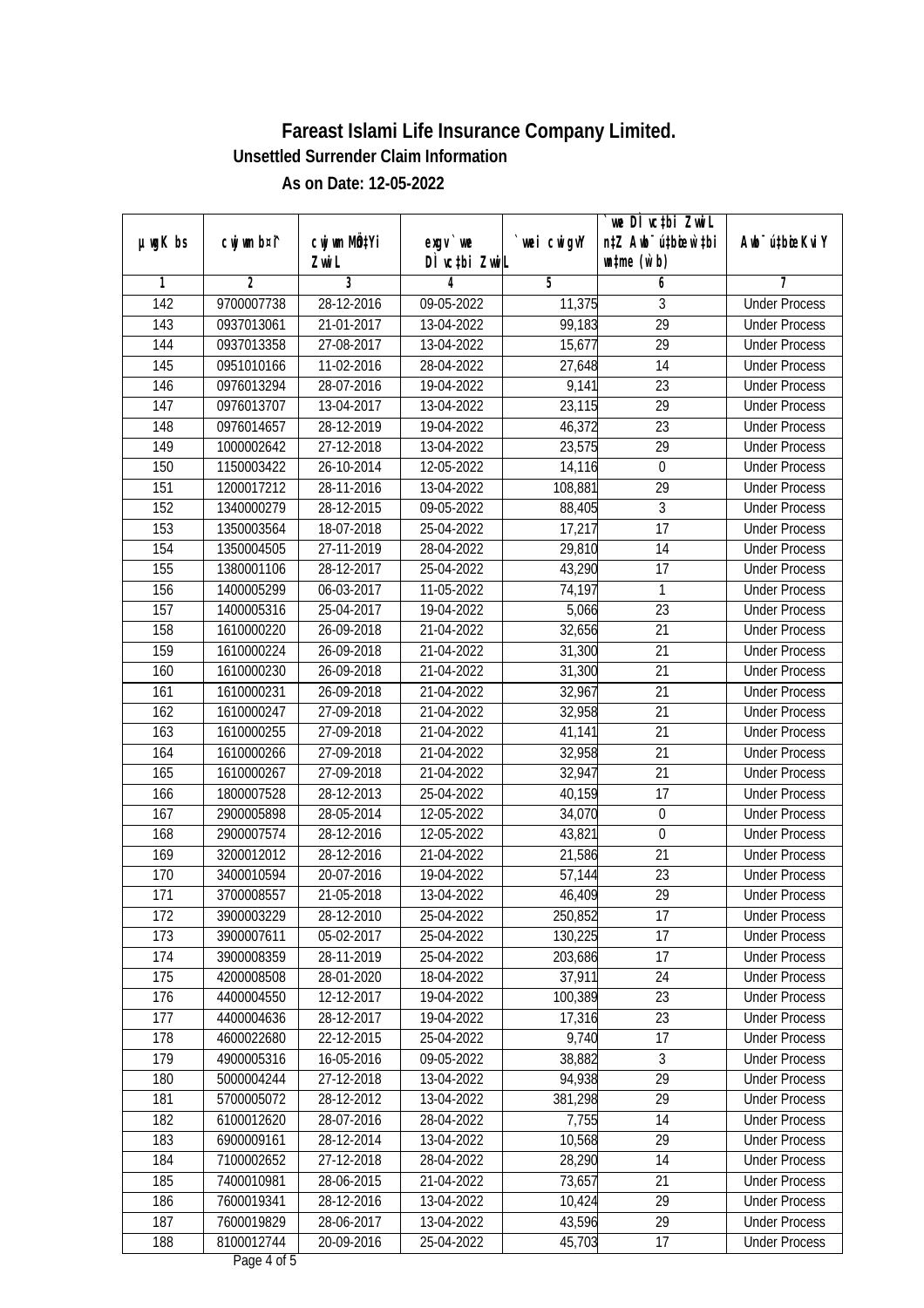|                  |             |            |               |             | we DI vctbi ZwiL                 |                             |
|------------------|-------------|------------|---------------|-------------|----------------------------------|-----------------------------|
| µwgK bs          | cwj wm b¤i^ | CW wm MQYi | $exqu$ we     | `wei cwigvY | n‡Z Awb <sup>-</sup> ú‡bioar`‡bi | Awb <sup>-</sup> ú‡bioeKviY |
|                  |             | Zwi L      | DÌ vctbi ZwiL |             | $\n  untime\n  (u`b)\n$          |                             |
| 1                | 2           | 3          | 4             | 5           | 6                                | 7                           |
| $\overline{142}$ | 9700007738  | 28-12-2016 | 09-05-2022    | 11,375      | 3                                | <b>Under Process</b>        |
| 143              | 0937013061  | 21-01-2017 | 13-04-2022    | 99,183      | $\overline{29}$                  | <b>Under Process</b>        |
| 144              | 0937013358  | 27-08-2017 | 13-04-2022    | 15,677      | $\overline{29}$                  | <b>Under Process</b>        |
| 145              | 0951010166  | 11-02-2016 | 28-04-2022    | 27,648      | $\overline{14}$                  | <b>Under Process</b>        |
| 146              | 0976013294  | 28-07-2016 | 19-04-2022    | 9,141       | $\overline{23}$                  | <b>Under Process</b>        |
| 147              | 0976013707  | 13-04-2017 | 13-04-2022    | 23,115      | $\overline{29}$                  | <b>Under Process</b>        |
| 148              | 0976014657  | 28-12-2019 | 19-04-2022    | 46,372      | $\overline{23}$                  | <b>Under Process</b>        |
| 149              | 1000002642  | 27-12-2018 | 13-04-2022    | 23,575      | $\overline{29}$                  | <b>Under Process</b>        |
| 150              | 1150003422  | 26-10-2014 | 12-05-2022    | 14,116      | $\boldsymbol{0}$                 | <b>Under Process</b>        |
| 151              | 1200017212  | 28-11-2016 | 13-04-2022    | 108,881     | 29                               | <b>Under Process</b>        |
| 152              | 1340000279  | 28-12-2015 | 09-05-2022    | 88,405      | $\overline{3}$                   | <b>Under Process</b>        |
| 153              | 1350003564  | 18-07-2018 | 25-04-2022    | 17,217      | 17                               | <b>Under Process</b>        |
| 154              | 1350004505  | 27-11-2019 | 28-04-2022    | 29,810      | $\overline{14}$                  | <b>Under Process</b>        |
| 155              | 1380001106  | 28-12-2017 | 25-04-2022    | 43,290      | 17                               | <b>Under Process</b>        |
| 156              | 1400005299  | 06-03-2017 | 11-05-2022    | 74,197      | 1                                | <b>Under Process</b>        |
| 157              | 1400005316  | 25-04-2017 | 19-04-2022    | 5,066       | 23                               | <b>Under Process</b>        |
| 158              | 1610000220  | 26-09-2018 | 21-04-2022    | 32,656      | 21                               | <b>Under Process</b>        |
| 159              | 1610000224  | 26-09-2018 | 21-04-2022    | 31,300      | 21                               | <b>Under Process</b>        |
| 160              | 1610000230  | 26-09-2018 | 21-04-2022    | 31,300      | 21                               | <b>Under Process</b>        |
| 161              | 1610000231  | 26-09-2018 | 21-04-2022    | 32,967      | 21                               | <b>Under Process</b>        |
| 162              | 1610000247  | 27-09-2018 | 21-04-2022    | 32,958      | 21                               | <b>Under Process</b>        |
| 163              | 1610000255  | 27-09-2018 | 21-04-2022    | 41,141      | 21                               | <b>Under Process</b>        |
| 164              | 1610000266  | 27-09-2018 | 21-04-2022    | 32,958      | 21                               | <b>Under Process</b>        |
| 165              | 1610000267  | 27-09-2018 | 21-04-2022    | 32,947      | 21                               | <b>Under Process</b>        |
| 166              | 1800007528  | 28-12-2013 | 25-04-2022    | 40,159      | 17                               | <b>Under Process</b>        |
| 167              | 2900005898  | 28-05-2014 | 12-05-2022    | 34,070      | $\boldsymbol{0}$                 | <b>Under Process</b>        |
| 168              | 2900007574  | 28-12-2016 | 12-05-2022    | 43,821      | 0                                | <b>Under Process</b>        |
| 169              | 3200012012  | 28-12-2016 | 21-04-2022    | 21,586      | $\overline{21}$                  | <b>Under Process</b>        |
| 170              | 3400010594  | 20-07-2016 | 19-04-2022    | 57,144      | 23                               | <b>Under Process</b>        |
| 171              | 3700008557  | 21-05-2018 | 13-04-2022    | 46,409      | 29                               | <b>Under Process</b>        |
| 172              | 3900003229  | 28-12-2010 | 25-04-2022    | 250,852     | 17                               | <b>Under Process</b>        |
| 173              | 3900007611  | 05-02-2017 | 25-04-2022    | 130,225     | 17                               | <b>Under Process</b>        |
| 174              | 3900008359  | 28-11-2019 | 25-04-2022    | 203,686     | 17                               | <b>Under Process</b>        |
| 175              | 4200008508  | 28-01-2020 | 18-04-2022    | 37,911      | 24                               | <b>Under Process</b>        |
| 176              | 4400004550  | 12-12-2017 | 19-04-2022    | 100,389     | 23                               | <b>Under Process</b>        |
| 177              | 4400004636  | 28-12-2017 | 19-04-2022    | 17,316      | 23                               | <b>Under Process</b>        |
| 178              | 4600022680  | 22-12-2015 | 25-04-2022    | 9,740       | 17                               | <b>Under Process</b>        |
| 179              | 4900005316  | 16-05-2016 | 09-05-2022    | 38,882      | $\mathfrak{Z}$                   | <b>Under Process</b>        |
| 180              | 5000004244  | 27-12-2018 | 13-04-2022    | 94,938      | 29                               | <b>Under Process</b>        |
| 181              | 5700005072  | 28-12-2012 | 13-04-2022    | 381,298     | 29                               | <b>Under Process</b>        |
| 182              | 6100012620  | 28-07-2016 | 28-04-2022    | 7,755       | 14                               | <b>Under Process</b>        |
| 183              | 6900009161  | 28-12-2014 | 13-04-2022    | 10,568      | $\overline{29}$                  | <b>Under Process</b>        |
| 184              | 7100002652  | 27-12-2018 | 28-04-2022    | 28,290      | 14                               | <b>Under Process</b>        |
| 185              | 7400010981  | 28-06-2015 | 21-04-2022    | 73,657      | 21                               | <b>Under Process</b>        |
| 186              | 7600019341  | 28-12-2016 | 13-04-2022    | 10,424      | 29                               | <b>Under Process</b>        |
| 187              | 7600019829  | 28-06-2017 | 13-04-2022    | 43,596      | 29                               | <b>Under Process</b>        |
| 188              | 8100012744  | 20-09-2016 | 25-04-2022    | 45,703      | 17                               | <b>Under Process</b>        |